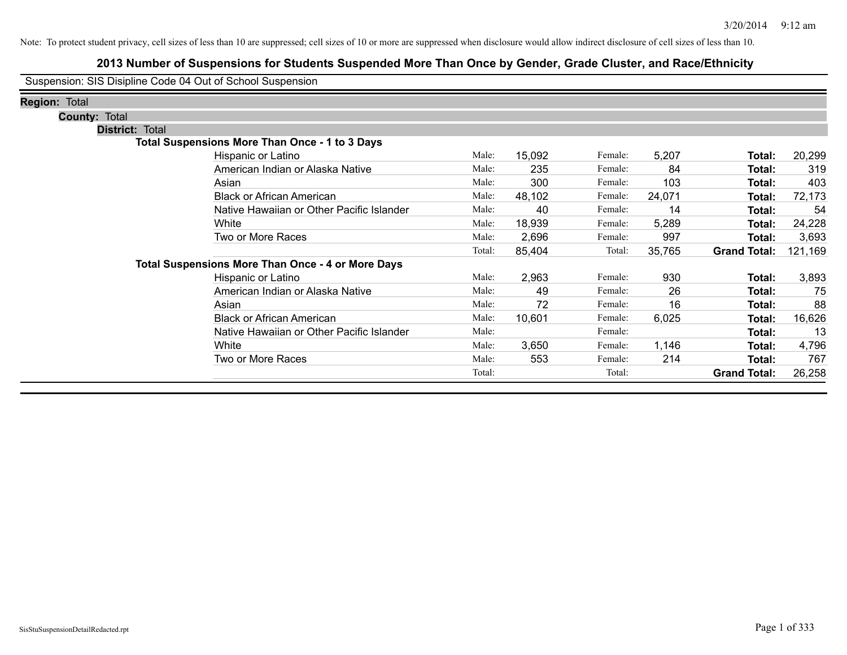## **2013 Number of Suspensions for Students Suspended More Than Once by Gender, Grade Cluster, and Race/Ethnicity**

Suspension: SIS Disipline Code 04 Out of School Suspension

| <b>Region: Total</b>   |                                                          |        |        |         |        |                     |         |
|------------------------|----------------------------------------------------------|--------|--------|---------|--------|---------------------|---------|
| <b>County: Total</b>   |                                                          |        |        |         |        |                     |         |
| <b>District: Total</b> |                                                          |        |        |         |        |                     |         |
|                        | <b>Total Suspensions More Than Once - 1 to 3 Days</b>    |        |        |         |        |                     |         |
|                        | Hispanic or Latino                                       | Male:  | 15,092 | Female: | 5,207  | Total:              | 20,299  |
|                        | American Indian or Alaska Native                         | Male:  | 235    | Female: | 84     | Total:              | 319     |
|                        | Asian                                                    | Male:  | 300    | Female: | 103    | Total:              | 403     |
|                        | <b>Black or African American</b>                         | Male:  | 48,102 | Female: | 24,071 | Total:              | 72,173  |
|                        | Native Hawaiian or Other Pacific Islander                | Male:  | 40     | Female: | 14     | Total:              | 54      |
|                        | White                                                    | Male:  | 18,939 | Female: | 5,289  | Total:              | 24,228  |
|                        | Two or More Races                                        | Male:  | 2,696  | Female: | 997    | Total:              | 3,693   |
|                        |                                                          | Total: | 85,404 | Total:  | 35,765 | <b>Grand Total:</b> | 121,169 |
|                        | <b>Total Suspensions More Than Once - 4 or More Days</b> |        |        |         |        |                     |         |
|                        | Hispanic or Latino                                       | Male:  | 2,963  | Female: | 930    | Total:              | 3,893   |
|                        | American Indian or Alaska Native                         | Male:  | 49     | Female: | 26     | Total:              | 75      |
|                        | Asian                                                    | Male:  | 72     | Female: | 16     | Total:              | 88      |
|                        | <b>Black or African American</b>                         | Male:  | 10,601 | Female: | 6,025  | Total:              | 16,626  |
|                        | Native Hawaiian or Other Pacific Islander                | Male:  |        | Female: |        | Total:              | 13      |
|                        | White                                                    | Male:  | 3,650  | Female: | 1,146  | Total:              | 4,796   |
|                        | Two or More Races                                        | Male:  | 553    | Female: | 214    | Total:              | 767     |
|                        |                                                          | Total: |        | Total:  |        | <b>Grand Total:</b> | 26,258  |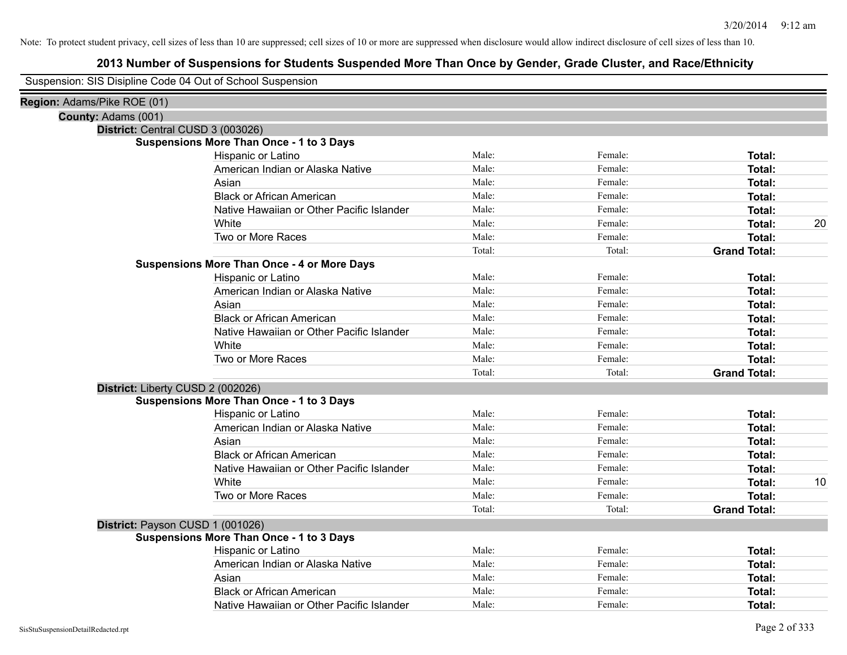| Suspension: SIS Disipline Code 04 Out of School Suspension |                                                    |        |         |                     |    |
|------------------------------------------------------------|----------------------------------------------------|--------|---------|---------------------|----|
| Region: Adams/Pike ROE (01)                                |                                                    |        |         |                     |    |
| County: Adams (001)                                        |                                                    |        |         |                     |    |
|                                                            | District: Central CUSD 3 (003026)                  |        |         |                     |    |
|                                                            | <b>Suspensions More Than Once - 1 to 3 Days</b>    |        |         |                     |    |
|                                                            | Hispanic or Latino                                 | Male:  | Female: | Total:              |    |
|                                                            | American Indian or Alaska Native                   | Male:  | Female: | Total:              |    |
|                                                            | Asian                                              | Male:  | Female: | Total:              |    |
|                                                            | <b>Black or African American</b>                   | Male:  | Female: | Total:              |    |
|                                                            | Native Hawaiian or Other Pacific Islander          | Male:  | Female: | Total:              |    |
|                                                            | White                                              | Male:  | Female: | Total:              | 20 |
|                                                            | Two or More Races                                  | Male:  | Female: | Total:              |    |
|                                                            |                                                    | Total: | Total:  | <b>Grand Total:</b> |    |
|                                                            | <b>Suspensions More Than Once - 4 or More Days</b> |        |         |                     |    |
|                                                            | Hispanic or Latino                                 | Male:  | Female: | Total:              |    |
|                                                            | American Indian or Alaska Native                   | Male:  | Female: | Total:              |    |
|                                                            | Asian                                              | Male:  | Female: | Total:              |    |
|                                                            | <b>Black or African American</b>                   | Male:  | Female: | Total:              |    |
|                                                            | Native Hawaiian or Other Pacific Islander          | Male:  | Female: | Total:              |    |
|                                                            | White                                              | Male:  | Female: | Total:              |    |
|                                                            | Two or More Races                                  | Male:  | Female: | Total:              |    |
|                                                            |                                                    | Total: | Total:  | <b>Grand Total:</b> |    |
|                                                            | District: Liberty CUSD 2 (002026)                  |        |         |                     |    |
|                                                            | <b>Suspensions More Than Once - 1 to 3 Days</b>    |        |         |                     |    |
|                                                            | Hispanic or Latino                                 | Male:  | Female: | Total:              |    |
|                                                            | American Indian or Alaska Native                   | Male:  | Female: | Total:              |    |
|                                                            | Asian                                              | Male:  | Female: | Total:              |    |
|                                                            | <b>Black or African American</b>                   | Male:  | Female: | Total:              |    |
|                                                            | Native Hawaiian or Other Pacific Islander          | Male:  | Female: | Total:              |    |
|                                                            | White                                              | Male:  | Female: | Total:              | 10 |
|                                                            | Two or More Races                                  | Male:  | Female: | Total:              |    |
|                                                            |                                                    | Total: | Total:  | <b>Grand Total:</b> |    |
|                                                            | District: Payson CUSD 1 (001026)                   |        |         |                     |    |
|                                                            | <b>Suspensions More Than Once - 1 to 3 Days</b>    |        |         |                     |    |
|                                                            | Hispanic or Latino                                 | Male:  | Female: | Total:              |    |
|                                                            | American Indian or Alaska Native                   | Male:  | Female: | Total:              |    |
|                                                            | Asian                                              | Male:  | Female: | Total:              |    |
|                                                            | <b>Black or African American</b>                   | Male:  | Female: | Total:              |    |
|                                                            | Native Hawaiian or Other Pacific Islander          | Male:  | Female: | Total:              |    |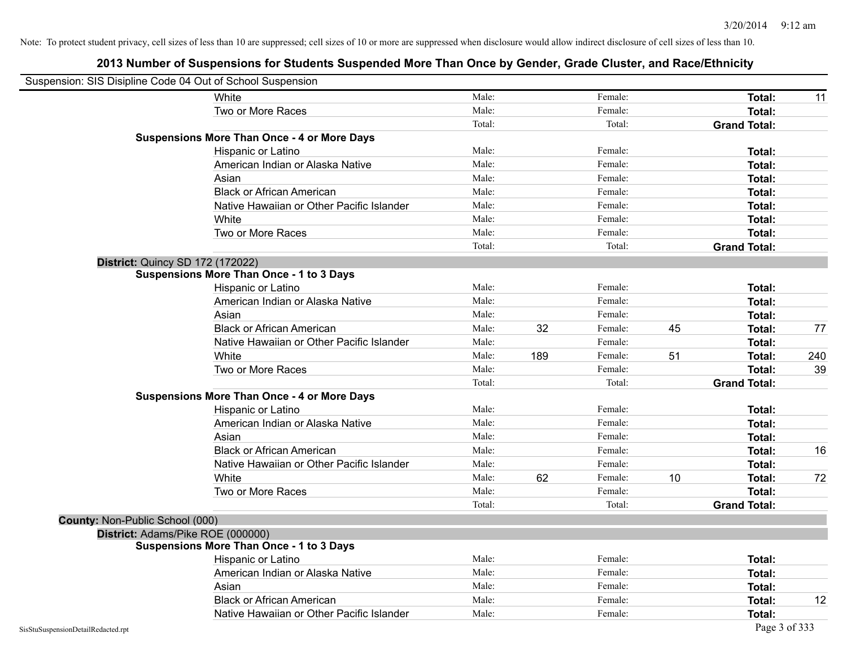|                                    | Suspension: SIS Disipline Code 04 Out of School Suspension |        |     |         |    |                     |     |
|------------------------------------|------------------------------------------------------------|--------|-----|---------|----|---------------------|-----|
|                                    | White                                                      | Male:  |     | Female: |    | Total:              | 11  |
|                                    | Two or More Races                                          | Male:  |     | Female: |    | Total:              |     |
|                                    |                                                            | Total: |     | Total:  |    | <b>Grand Total:</b> |     |
|                                    | <b>Suspensions More Than Once - 4 or More Days</b>         |        |     |         |    |                     |     |
|                                    | Hispanic or Latino                                         | Male:  |     | Female: |    | Total:              |     |
|                                    | American Indian or Alaska Native                           | Male:  |     | Female: |    | Total:              |     |
|                                    | Asian                                                      | Male:  |     | Female: |    | Total:              |     |
|                                    | <b>Black or African American</b>                           | Male:  |     | Female: |    | Total:              |     |
|                                    | Native Hawaiian or Other Pacific Islander                  | Male:  |     | Female: |    | Total:              |     |
|                                    | White                                                      | Male:  |     | Female: |    | Total:              |     |
|                                    | Two or More Races                                          | Male:  |     | Female: |    | Total:              |     |
|                                    |                                                            | Total: |     | Total:  |    | <b>Grand Total:</b> |     |
|                                    | <b>District: Quincy SD 172 (172022)</b>                    |        |     |         |    |                     |     |
|                                    | <b>Suspensions More Than Once - 1 to 3 Days</b>            |        |     |         |    |                     |     |
|                                    | Hispanic or Latino                                         | Male:  |     | Female: |    | Total:              |     |
|                                    | American Indian or Alaska Native                           | Male:  |     | Female: |    | Total:              |     |
|                                    | Asian                                                      | Male:  |     | Female: |    | Total:              |     |
|                                    | <b>Black or African American</b>                           | Male:  | 32  | Female: | 45 | Total:              | 77  |
|                                    | Native Hawaiian or Other Pacific Islander                  | Male:  |     | Female: |    | Total:              |     |
|                                    | White                                                      | Male:  | 189 | Female: | 51 | Total:              | 240 |
|                                    | Two or More Races                                          | Male:  |     | Female: |    | Total:              | 39  |
|                                    |                                                            | Total: |     | Total:  |    | <b>Grand Total:</b> |     |
|                                    | <b>Suspensions More Than Once - 4 or More Days</b>         |        |     |         |    |                     |     |
|                                    | Hispanic or Latino                                         | Male:  |     | Female: |    | Total:              |     |
|                                    | American Indian or Alaska Native                           | Male:  |     | Female: |    | Total:              |     |
|                                    | Asian                                                      | Male:  |     | Female: |    | Total:              |     |
|                                    | <b>Black or African American</b>                           | Male:  |     | Female: |    | Total:              | 16  |
|                                    | Native Hawaiian or Other Pacific Islander                  | Male:  |     | Female: |    | Total:              |     |
|                                    | White                                                      | Male:  | 62  | Female: | 10 | Total:              | 72  |
|                                    | Two or More Races                                          | Male:  |     | Female: |    | Total:              |     |
|                                    |                                                            | Total: |     | Total:  |    | <b>Grand Total:</b> |     |
| County: Non-Public School (000)    |                                                            |        |     |         |    |                     |     |
|                                    | District: Adams/Pike ROE (000000)                          |        |     |         |    |                     |     |
|                                    | <b>Suspensions More Than Once - 1 to 3 Days</b>            |        |     |         |    |                     |     |
|                                    | Hispanic or Latino                                         | Male:  |     | Female: |    | Total:              |     |
|                                    | American Indian or Alaska Native                           | Male:  |     | Female: |    | Total:              |     |
|                                    | Asian                                                      | Male:  |     | Female: |    | Total:              |     |
|                                    | <b>Black or African American</b>                           | Male:  |     | Female: |    | Total:              | 12  |
|                                    | Native Hawaiian or Other Pacific Islander                  | Male:  |     | Female: |    | Total:              |     |
| SisStuSuspensionDetailRedacted.rpt |                                                            |        |     |         |    | Page 3 of 333       |     |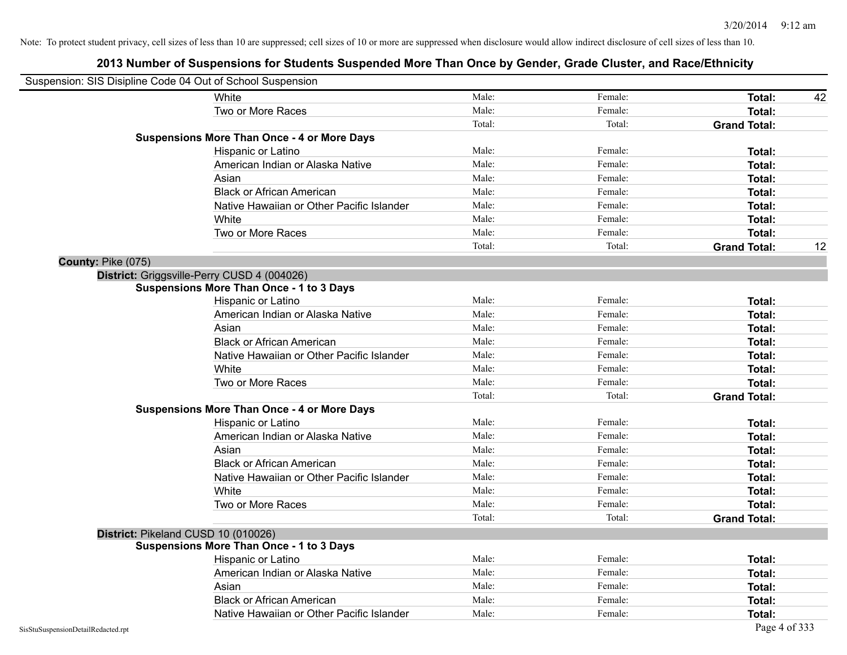|                                    | Suspension: SIS Disipline Code 04 Out of School Suspension |        |         |                     |    |
|------------------------------------|------------------------------------------------------------|--------|---------|---------------------|----|
|                                    | White                                                      | Male:  | Female: | Total:              | 42 |
|                                    | Two or More Races                                          | Male:  | Female: | <b>Total:</b>       |    |
|                                    |                                                            | Total: | Total:  | <b>Grand Total:</b> |    |
|                                    | <b>Suspensions More Than Once - 4 or More Days</b>         |        |         |                     |    |
|                                    | Hispanic or Latino                                         | Male:  | Female: | Total:              |    |
|                                    | American Indian or Alaska Native                           | Male:  | Female: | <b>Total:</b>       |    |
|                                    | Asian                                                      | Male:  | Female: | <b>Total:</b>       |    |
|                                    | <b>Black or African American</b>                           | Male:  | Female: | Total:              |    |
|                                    | Native Hawaiian or Other Pacific Islander                  | Male:  | Female: | <b>Total:</b>       |    |
|                                    | White                                                      | Male:  | Female: | <b>Total:</b>       |    |
|                                    | Two or More Races                                          | Male:  | Female: | <b>Total:</b>       |    |
|                                    |                                                            | Total: | Total:  | <b>Grand Total:</b> | 12 |
| County: Pike (075)                 |                                                            |        |         |                     |    |
|                                    | District: Griggsville-Perry CUSD 4 (004026)                |        |         |                     |    |
|                                    | <b>Suspensions More Than Once - 1 to 3 Days</b>            |        |         |                     |    |
|                                    | Hispanic or Latino                                         | Male:  | Female: | Total:              |    |
|                                    | American Indian or Alaska Native                           | Male:  | Female: | <b>Total:</b>       |    |
|                                    | Asian                                                      | Male:  | Female: | Total:              |    |
|                                    | <b>Black or African American</b>                           | Male:  | Female: | <b>Total:</b>       |    |
|                                    | Native Hawaiian or Other Pacific Islander                  | Male:  | Female: | <b>Total:</b>       |    |
|                                    | White                                                      | Male:  | Female: | <b>Total:</b>       |    |
|                                    | Two or More Races                                          | Male:  | Female: | <b>Total:</b>       |    |
|                                    |                                                            | Total: | Total:  | <b>Grand Total:</b> |    |
|                                    | <b>Suspensions More Than Once - 4 or More Days</b>         |        |         |                     |    |
|                                    | Hispanic or Latino                                         | Male:  | Female: | Total:              |    |
|                                    | American Indian or Alaska Native                           | Male:  | Female: | <b>Total:</b>       |    |
|                                    | Asian                                                      | Male:  | Female: | Total:              |    |
|                                    | <b>Black or African American</b>                           | Male:  | Female: | <b>Total:</b>       |    |
|                                    | Native Hawaiian or Other Pacific Islander                  | Male:  | Female: | <b>Total:</b>       |    |
|                                    | White                                                      | Male:  | Female: | Total:              |    |
|                                    | Two or More Races                                          | Male:  | Female: | <b>Total:</b>       |    |
|                                    |                                                            | Total: | Total:  | <b>Grand Total:</b> |    |
|                                    | District: Pikeland CUSD 10 (010026)                        |        |         |                     |    |
|                                    | <b>Suspensions More Than Once - 1 to 3 Days</b>            |        |         |                     |    |
|                                    | Hispanic or Latino                                         | Male:  | Female: | <b>Total:</b>       |    |
|                                    | American Indian or Alaska Native                           | Male:  | Female: | Total:              |    |
|                                    | Asian                                                      | Male:  | Female: | Total:              |    |
|                                    | <b>Black or African American</b>                           | Male:  | Female: | Total:              |    |
|                                    | Native Hawaiian or Other Pacific Islander                  | Male:  | Female: | Total:              |    |
| SisStuSuspensionDetailRedacted.rpt |                                                            |        |         | Page 4 of 333       |    |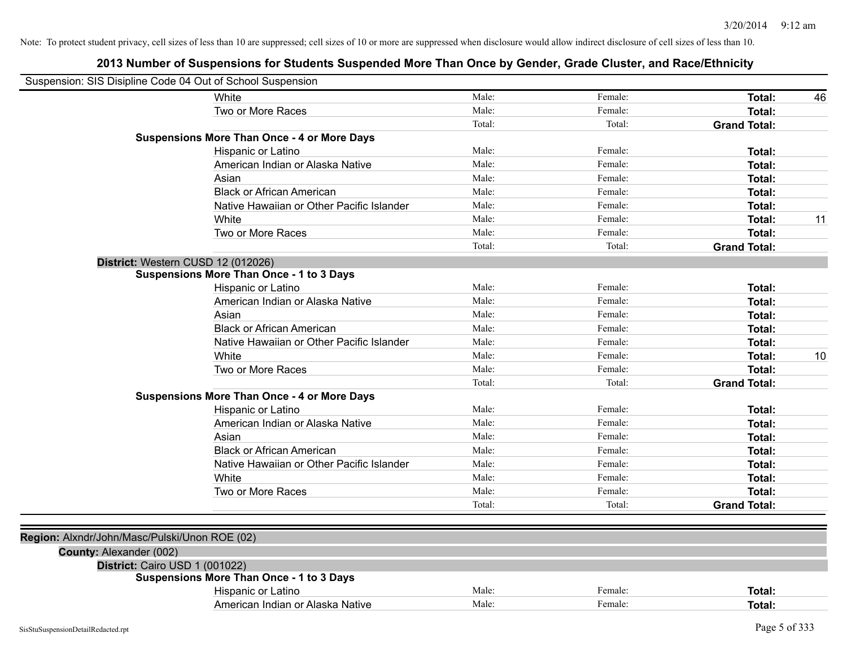| Suspension: SIS Disipline Code 04 Out of School Suspension |                                                    |        |         |                     |    |
|------------------------------------------------------------|----------------------------------------------------|--------|---------|---------------------|----|
|                                                            | White                                              | Male:  | Female: | Total:              | 46 |
|                                                            | Two or More Races                                  | Male:  | Female: | Total:              |    |
|                                                            |                                                    | Total: | Total:  | <b>Grand Total:</b> |    |
|                                                            | <b>Suspensions More Than Once - 4 or More Days</b> |        |         |                     |    |
|                                                            | Hispanic or Latino                                 | Male:  | Female: | Total:              |    |
|                                                            | American Indian or Alaska Native                   | Male:  | Female: | Total:              |    |
|                                                            | Asian                                              | Male:  | Female: | Total:              |    |
|                                                            | <b>Black or African American</b>                   | Male:  | Female: | Total:              |    |
|                                                            | Native Hawaiian or Other Pacific Islander          | Male:  | Female: | Total:              |    |
|                                                            | White                                              | Male:  | Female: | Total:              | 11 |
|                                                            | Two or More Races                                  | Male:  | Female: | Total:              |    |
|                                                            |                                                    | Total: | Total:  | <b>Grand Total:</b> |    |
| District: Western CUSD 12 (012026)                         |                                                    |        |         |                     |    |
|                                                            | <b>Suspensions More Than Once - 1 to 3 Days</b>    |        |         |                     |    |
|                                                            | Hispanic or Latino                                 | Male:  | Female: | Total:              |    |
|                                                            | American Indian or Alaska Native                   | Male:  | Female: | Total:              |    |
|                                                            | Asian                                              | Male:  | Female: | Total:              |    |
|                                                            | <b>Black or African American</b>                   | Male:  | Female: | Total:              |    |
|                                                            | Native Hawaiian or Other Pacific Islander          | Male:  | Female: | Total:              |    |
|                                                            | White                                              | Male:  | Female: | Total:              | 10 |
|                                                            | Two or More Races                                  | Male:  | Female: | Total:              |    |
|                                                            |                                                    | Total: | Total:  | <b>Grand Total:</b> |    |
|                                                            | <b>Suspensions More Than Once - 4 or More Days</b> |        |         |                     |    |
|                                                            | Hispanic or Latino                                 | Male:  | Female: | Total:              |    |
|                                                            | American Indian or Alaska Native                   | Male:  | Female: | Total:              |    |
|                                                            | Asian                                              | Male:  | Female: | Total:              |    |
|                                                            | <b>Black or African American</b>                   | Male:  | Female: | Total:              |    |
|                                                            | Native Hawaiian or Other Pacific Islander          | Male:  | Female: | Total:              |    |
|                                                            | White                                              | Male:  | Female: | Total:              |    |
|                                                            | Two or More Races                                  | Male:  | Female: | Total:              |    |
|                                                            |                                                    | Total: | Total:  | <b>Grand Total:</b> |    |
|                                                            |                                                    |        |         |                     |    |
| Region: Alxndr/John/Masc/Pulski/Unon ROE (02)              |                                                    |        |         |                     |    |
| County: Alexander (002)                                    |                                                    |        |         |                     |    |
| District: Cairo USD 1 (001022)                             |                                                    |        |         |                     |    |
|                                                            | <b>Suspensions More Than Once - 1 to 3 Days</b>    |        |         |                     |    |
|                                                            | Hispanic or Latino                                 | Male:  | Female: | Total:              |    |
|                                                            | American Indian or Alaska Native                   | Male:  | Female: | Total:              |    |
|                                                            |                                                    |        |         |                     |    |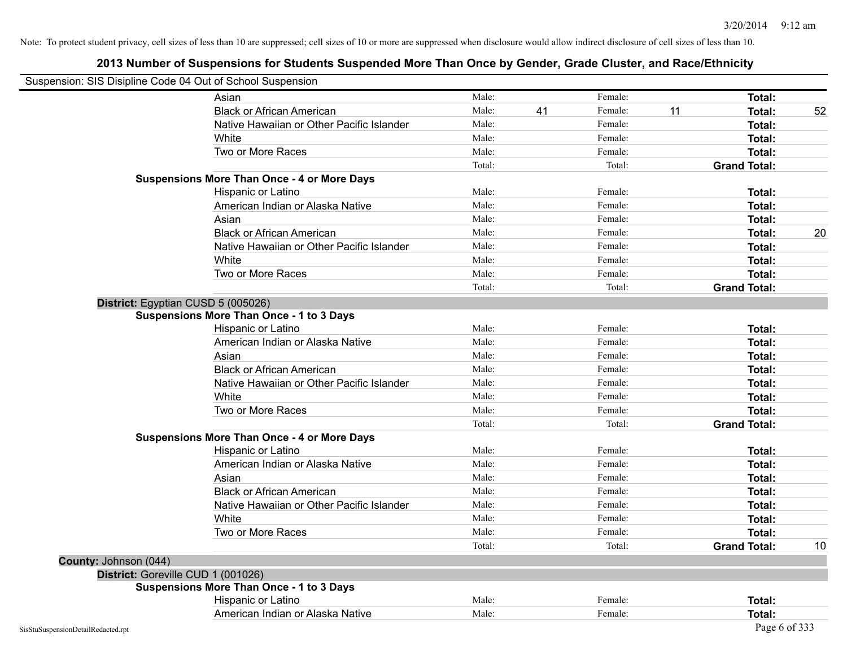| Suspension: SIS Disipline Code 04 Out of School Suspension |                                                    |        |    |         |    |                     |    |
|------------------------------------------------------------|----------------------------------------------------|--------|----|---------|----|---------------------|----|
|                                                            | Asian                                              | Male:  |    | Female: |    | Total:              |    |
|                                                            | <b>Black or African American</b>                   | Male:  | 41 | Female: | 11 | <b>Total:</b>       | 52 |
|                                                            | Native Hawaiian or Other Pacific Islander          | Male:  |    | Female: |    | <b>Total:</b>       |    |
|                                                            | White                                              | Male:  |    | Female: |    | Total:              |    |
|                                                            | Two or More Races                                  | Male:  |    | Female: |    | Total:              |    |
|                                                            |                                                    | Total: |    | Total:  |    | <b>Grand Total:</b> |    |
|                                                            | <b>Suspensions More Than Once - 4 or More Days</b> |        |    |         |    |                     |    |
|                                                            | Hispanic or Latino                                 | Male:  |    | Female: |    | Total:              |    |
|                                                            | American Indian or Alaska Native                   | Male:  |    | Female: |    | <b>Total:</b>       |    |
|                                                            | Asian                                              | Male:  |    | Female: |    | Total:              |    |
|                                                            | <b>Black or African American</b>                   | Male:  |    | Female: |    | Total:              | 20 |
|                                                            | Native Hawaiian or Other Pacific Islander          | Male:  |    | Female: |    | Total:              |    |
|                                                            | White                                              | Male:  |    | Female: |    | Total:              |    |
|                                                            | Two or More Races                                  | Male:  |    | Female: |    | Total:              |    |
|                                                            |                                                    | Total: |    | Total:  |    | <b>Grand Total:</b> |    |
| District: Egyptian CUSD 5 (005026)                         |                                                    |        |    |         |    |                     |    |
|                                                            | <b>Suspensions More Than Once - 1 to 3 Days</b>    |        |    |         |    |                     |    |
|                                                            | Hispanic or Latino                                 | Male:  |    | Female: |    | <b>Total:</b>       |    |
|                                                            | American Indian or Alaska Native                   | Male:  |    | Female: |    | Total:              |    |
|                                                            | Asian                                              | Male:  |    | Female: |    | Total:              |    |
|                                                            | <b>Black or African American</b>                   | Male:  |    | Female: |    | Total:              |    |
|                                                            | Native Hawaiian or Other Pacific Islander          | Male:  |    | Female: |    | Total:              |    |
|                                                            | White                                              | Male:  |    | Female: |    | <b>Total:</b>       |    |
|                                                            | Two or More Races                                  | Male:  |    | Female: |    | Total:              |    |
|                                                            |                                                    | Total: |    | Total:  |    | <b>Grand Total:</b> |    |
|                                                            | <b>Suspensions More Than Once - 4 or More Days</b> |        |    |         |    |                     |    |
|                                                            | Hispanic or Latino                                 | Male:  |    | Female: |    | Total:              |    |
|                                                            | American Indian or Alaska Native                   | Male:  |    | Female: |    | Total:              |    |
|                                                            | Asian                                              | Male:  |    | Female: |    | <b>Total:</b>       |    |
|                                                            | <b>Black or African American</b>                   | Male:  |    | Female: |    | <b>Total:</b>       |    |
|                                                            | Native Hawaiian or Other Pacific Islander          | Male:  |    | Female: |    | Total:              |    |
|                                                            | White                                              | Male:  |    | Female: |    | Total:              |    |
|                                                            | Two or More Races                                  | Male:  |    | Female: |    | Total:              |    |
|                                                            |                                                    | Total: |    | Total:  |    | <b>Grand Total:</b> | 10 |
| County: Johnson (044)                                      |                                                    |        |    |         |    |                     |    |
| District: Goreville CUD 1 (001026)                         |                                                    |        |    |         |    |                     |    |
|                                                            | <b>Suspensions More Than Once - 1 to 3 Days</b>    |        |    |         |    |                     |    |
|                                                            | Hispanic or Latino                                 | Male:  |    | Female: |    | Total:              |    |
|                                                            | American Indian or Alaska Native                   | Male:  |    | Female: |    | Total:              |    |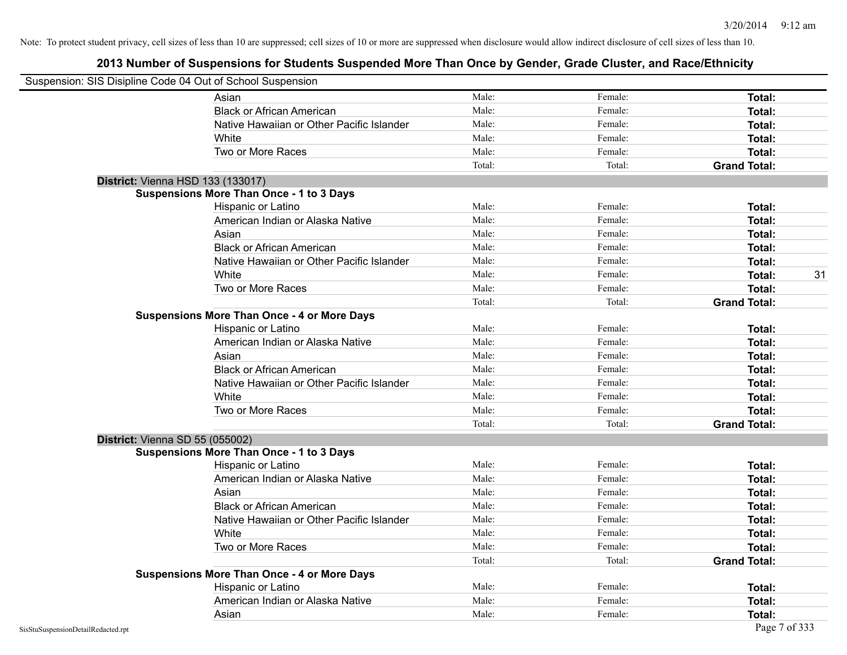| Suspension: SIS Disipline Code 04 Out of School Suspension |                                                    |        |         |                     |    |
|------------------------------------------------------------|----------------------------------------------------|--------|---------|---------------------|----|
|                                                            | Asian                                              | Male:  | Female: | Total:              |    |
|                                                            | <b>Black or African American</b>                   | Male:  | Female: | Total:              |    |
|                                                            | Native Hawaiian or Other Pacific Islander          | Male:  | Female: | Total:              |    |
|                                                            | White                                              | Male:  | Female: | Total:              |    |
|                                                            | Two or More Races                                  | Male:  | Female: | Total:              |    |
|                                                            |                                                    | Total: | Total:  | <b>Grand Total:</b> |    |
| <b>District: Vienna HSD 133 (133017)</b>                   |                                                    |        |         |                     |    |
|                                                            | <b>Suspensions More Than Once - 1 to 3 Days</b>    |        |         |                     |    |
|                                                            | Hispanic or Latino                                 | Male:  | Female: | Total:              |    |
|                                                            | American Indian or Alaska Native                   | Male:  | Female: | Total:              |    |
|                                                            | Asian                                              | Male:  | Female: | Total:              |    |
|                                                            | <b>Black or African American</b>                   | Male:  | Female: | Total:              |    |
|                                                            | Native Hawaiian or Other Pacific Islander          | Male:  | Female: | Total:              |    |
|                                                            | White                                              | Male:  | Female: | Total:              | 31 |
|                                                            | Two or More Races                                  | Male:  | Female: | Total:              |    |
|                                                            |                                                    | Total: | Total:  | <b>Grand Total:</b> |    |
|                                                            | <b>Suspensions More Than Once - 4 or More Days</b> |        |         |                     |    |
|                                                            | Hispanic or Latino                                 | Male:  | Female: | Total:              |    |
|                                                            | American Indian or Alaska Native                   | Male:  | Female: | Total:              |    |
|                                                            | Asian                                              | Male:  | Female: | Total:              |    |
|                                                            | <b>Black or African American</b>                   | Male:  | Female: | Total:              |    |
|                                                            | Native Hawaiian or Other Pacific Islander          | Male:  | Female: | Total:              |    |
|                                                            | White                                              | Male:  | Female: | Total:              |    |
|                                                            | Two or More Races                                  | Male:  | Female: | Total:              |    |
|                                                            |                                                    | Total: | Total:  | <b>Grand Total:</b> |    |
| District: Vienna SD 55 (055002)                            |                                                    |        |         |                     |    |
|                                                            | <b>Suspensions More Than Once - 1 to 3 Days</b>    |        |         |                     |    |
|                                                            | Hispanic or Latino                                 | Male:  | Female: | Total:              |    |
|                                                            | American Indian or Alaska Native                   | Male:  | Female: | Total:              |    |
|                                                            | Asian                                              | Male:  | Female: | Total:              |    |
|                                                            | <b>Black or African American</b>                   | Male:  | Female: | Total:              |    |
|                                                            | Native Hawaiian or Other Pacific Islander          | Male:  | Female: | Total:              |    |
|                                                            | White                                              | Male:  | Female: | Total:              |    |
|                                                            | Two or More Races                                  | Male:  | Female: | Total:              |    |
|                                                            |                                                    | Total: | Total:  | <b>Grand Total:</b> |    |
|                                                            | <b>Suspensions More Than Once - 4 or More Days</b> |        |         |                     |    |
|                                                            | Hispanic or Latino                                 | Male:  | Female: | Total:              |    |
|                                                            | American Indian or Alaska Native                   | Male:  | Female: | Total:              |    |
|                                                            | Asian                                              | Male:  | Female: | Total:              |    |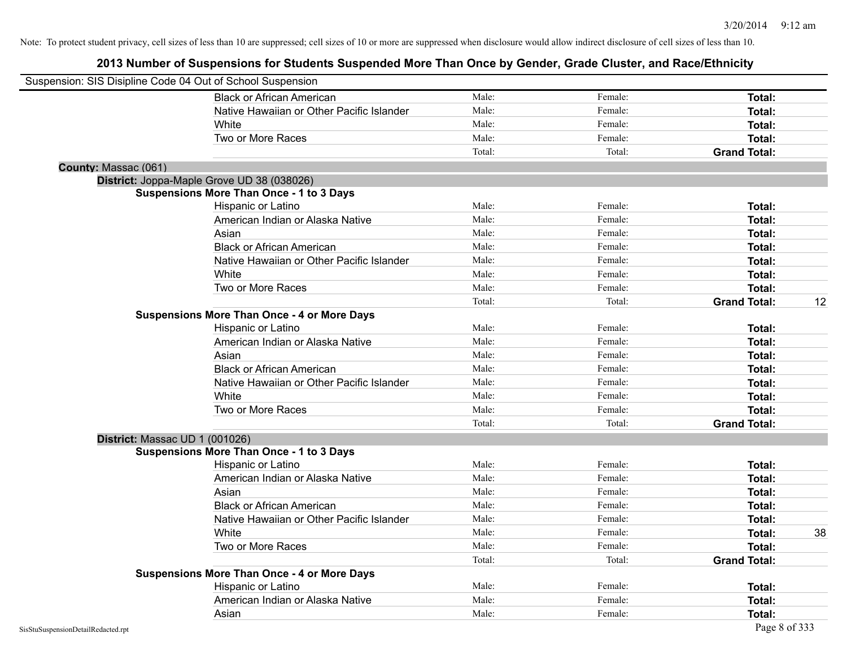|                                | Suspension: SIS Disipline Code 04 Out of School Suspension |        |         |                     |    |
|--------------------------------|------------------------------------------------------------|--------|---------|---------------------|----|
|                                | <b>Black or African American</b>                           | Male:  | Female: | Total:              |    |
|                                | Native Hawaiian or Other Pacific Islander                  | Male:  | Female: | Total:              |    |
|                                | White                                                      | Male:  | Female: | Total:              |    |
|                                | Two or More Races                                          | Male:  | Female: | Total:              |    |
|                                |                                                            | Total: | Total:  | <b>Grand Total:</b> |    |
| County: Massac (061)           |                                                            |        |         |                     |    |
|                                | District: Joppa-Maple Grove UD 38 (038026)                 |        |         |                     |    |
|                                | <b>Suspensions More Than Once - 1 to 3 Days</b>            |        |         |                     |    |
|                                | Hispanic or Latino                                         | Male:  | Female: | Total:              |    |
|                                | American Indian or Alaska Native                           | Male:  | Female: | Total:              |    |
|                                | Asian                                                      | Male:  | Female: | Total:              |    |
|                                | <b>Black or African American</b>                           | Male:  | Female: | Total:              |    |
|                                | Native Hawaiian or Other Pacific Islander                  | Male:  | Female: | Total:              |    |
|                                | White                                                      | Male:  | Female: | Total:              |    |
|                                | Two or More Races                                          | Male:  | Female: | Total:              |    |
|                                |                                                            | Total: | Total:  | <b>Grand Total:</b> | 12 |
|                                | <b>Suspensions More Than Once - 4 or More Days</b>         |        |         |                     |    |
|                                | Hispanic or Latino                                         | Male:  | Female: | Total:              |    |
|                                | American Indian or Alaska Native                           | Male:  | Female: | Total:              |    |
|                                | Asian                                                      | Male:  | Female: | Total:              |    |
|                                | <b>Black or African American</b>                           | Male:  | Female: | Total:              |    |
|                                | Native Hawaiian or Other Pacific Islander                  | Male:  | Female: | Total:              |    |
|                                | White                                                      | Male:  | Female: | Total:              |    |
|                                | Two or More Races                                          | Male:  | Female: | Total:              |    |
|                                |                                                            | Total: | Total:  | <b>Grand Total:</b> |    |
| District: Massac UD 1 (001026) |                                                            |        |         |                     |    |
|                                | <b>Suspensions More Than Once - 1 to 3 Days</b>            |        |         |                     |    |
|                                | Hispanic or Latino                                         | Male:  | Female: | Total:              |    |
|                                | American Indian or Alaska Native                           | Male:  | Female: | Total:              |    |
|                                | Asian                                                      | Male:  | Female: | Total:              |    |
|                                | <b>Black or African American</b>                           | Male:  | Female: | Total:              |    |
|                                | Native Hawaiian or Other Pacific Islander                  | Male:  | Female: | Total:              |    |
|                                | <b>White</b>                                               | Male:  | Female: | Total:              | 38 |
|                                | Two or More Races                                          | Male:  | Female: | Total:              |    |
|                                |                                                            | Total: | Total:  | <b>Grand Total:</b> |    |
|                                | <b>Suspensions More Than Once - 4 or More Days</b>         |        |         |                     |    |
|                                | Hispanic or Latino                                         | Male:  | Female: | Total:              |    |
|                                | American Indian or Alaska Native                           | Male:  | Female: | Total:              |    |
|                                | Asian                                                      | Male:  | Female: | Total:              |    |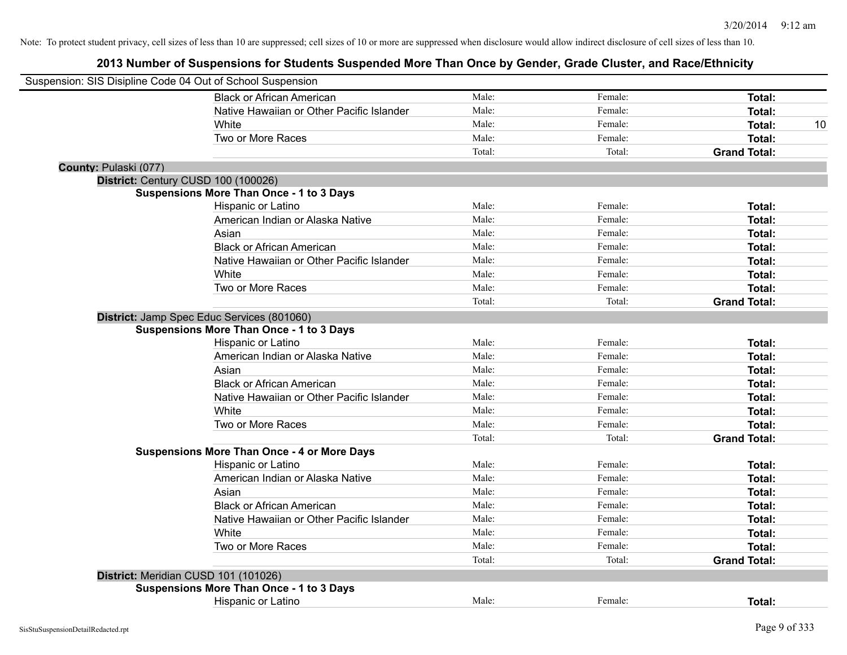| Suspension: SIS Disipline Code 04 Out of School Suspension |                                                                                               |        |         |                     |
|------------------------------------------------------------|-----------------------------------------------------------------------------------------------|--------|---------|---------------------|
|                                                            | <b>Black or African American</b>                                                              | Male:  | Female: | Total:              |
|                                                            | Native Hawaiian or Other Pacific Islander                                                     | Male:  | Female: | Total:              |
|                                                            | White                                                                                         | Male:  | Female: | Total:<br>10        |
|                                                            | Two or More Races                                                                             | Male:  | Female: | Total:              |
|                                                            |                                                                                               | Total: | Total:  | <b>Grand Total:</b> |
| County: Pulaski (077)                                      |                                                                                               |        |         |                     |
| District: Century CUSD 100 (100026)                        |                                                                                               |        |         |                     |
|                                                            | <b>Suspensions More Than Once - 1 to 3 Days</b>                                               |        |         |                     |
|                                                            | Hispanic or Latino                                                                            | Male:  | Female: | Total:              |
|                                                            | American Indian or Alaska Native                                                              | Male:  | Female: | Total:              |
|                                                            | Asian                                                                                         | Male:  | Female: | Total:              |
|                                                            | <b>Black or African American</b>                                                              | Male:  | Female: | Total:              |
|                                                            | Native Hawaiian or Other Pacific Islander                                                     | Male:  | Female: | Total:              |
|                                                            | White                                                                                         | Male:  | Female: | Total:              |
|                                                            | Two or More Races                                                                             | Male:  | Female: | Total:              |
|                                                            |                                                                                               | Total: | Total:  | <b>Grand Total:</b> |
|                                                            | District: Jamp Spec Educ Services (801060)<br><b>Suspensions More Than Once - 1 to 3 Days</b> |        |         |                     |
|                                                            | Hispanic or Latino                                                                            | Male:  | Female: | Total:              |
|                                                            | American Indian or Alaska Native                                                              | Male:  | Female: | Total:              |
|                                                            | Asian                                                                                         | Male:  | Female: | Total:              |
|                                                            | <b>Black or African American</b>                                                              | Male:  | Female: | Total:              |
|                                                            | Native Hawaiian or Other Pacific Islander                                                     | Male:  | Female: | Total:              |
|                                                            | White                                                                                         | Male:  | Female: | Total:              |
|                                                            | Two or More Races                                                                             | Male:  | Female: | Total:              |
|                                                            |                                                                                               | Total: | Total:  | <b>Grand Total:</b> |
|                                                            | <b>Suspensions More Than Once - 4 or More Days</b>                                            |        |         |                     |
|                                                            | Hispanic or Latino                                                                            | Male:  | Female: | Total:              |
|                                                            | American Indian or Alaska Native                                                              | Male:  | Female: | Total:              |
|                                                            | Asian                                                                                         | Male:  | Female: | Total:              |
|                                                            | <b>Black or African American</b>                                                              | Male:  | Female: | Total:              |
|                                                            | Native Hawaiian or Other Pacific Islander                                                     | Male:  | Female: | Total:              |
|                                                            | White                                                                                         | Male:  | Female: | Total:              |
|                                                            | Two or More Races                                                                             | Male:  | Female: | Total:              |
|                                                            |                                                                                               | Total: | Total:  | <b>Grand Total:</b> |
|                                                            | District: Meridian CUSD 101 (101026)                                                          |        |         |                     |
|                                                            | <b>Suspensions More Than Once - 1 to 3 Days</b>                                               |        |         |                     |
|                                                            | Hispanic or Latino                                                                            | Male:  | Female: | Total:              |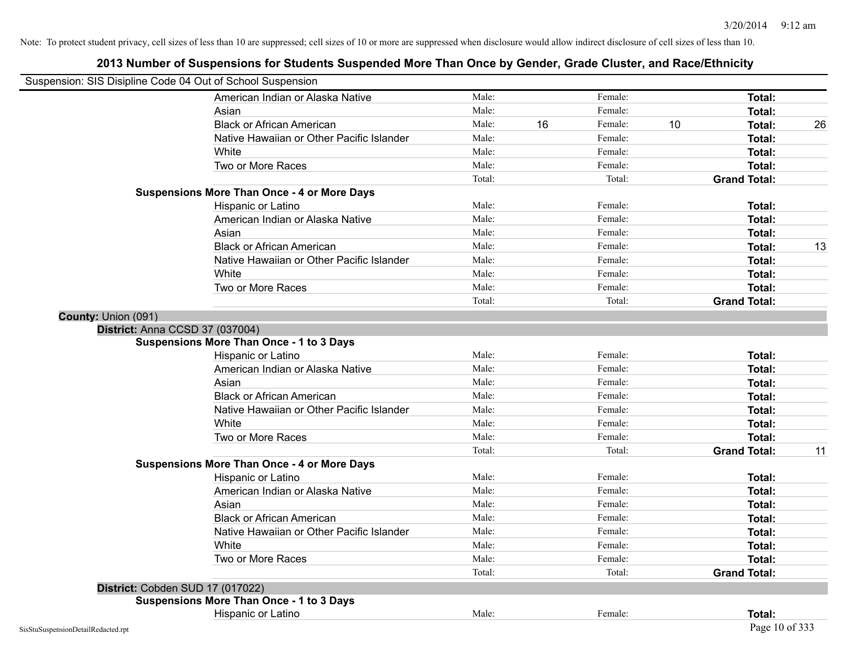| Suspension: SIS Disipline Code 04 Out of School Suspension |                                                    |        |    |         |    |                     |    |
|------------------------------------------------------------|----------------------------------------------------|--------|----|---------|----|---------------------|----|
|                                                            | American Indian or Alaska Native                   | Male:  |    | Female: |    | <b>Total:</b>       |    |
|                                                            | Asian                                              | Male:  |    | Female: |    | Total:              |    |
|                                                            | <b>Black or African American</b>                   | Male:  | 16 | Female: | 10 | Total:              | 26 |
|                                                            | Native Hawaiian or Other Pacific Islander          | Male:  |    | Female: |    | Total:              |    |
|                                                            | White                                              | Male:  |    | Female: |    | Total:              |    |
|                                                            | Two or More Races                                  | Male:  |    | Female: |    | <b>Total:</b>       |    |
|                                                            |                                                    | Total: |    | Total:  |    | <b>Grand Total:</b> |    |
|                                                            | <b>Suspensions More Than Once - 4 or More Days</b> |        |    |         |    |                     |    |
|                                                            | Hispanic or Latino                                 | Male:  |    | Female: |    | Total:              |    |
|                                                            | American Indian or Alaska Native                   | Male:  |    | Female: |    | <b>Total:</b>       |    |
|                                                            | Asian                                              | Male:  |    | Female: |    | Total:              |    |
|                                                            | <b>Black or African American</b>                   | Male:  |    | Female: |    | Total:              | 13 |
|                                                            | Native Hawaiian or Other Pacific Islander          | Male:  |    | Female: |    | Total:              |    |
|                                                            | White                                              | Male:  |    | Female: |    | Total:              |    |
|                                                            | Two or More Races                                  | Male:  |    | Female: |    | <b>Total:</b>       |    |
|                                                            |                                                    | Total: |    | Total:  |    | <b>Grand Total:</b> |    |
| County: Union (091)                                        |                                                    |        |    |         |    |                     |    |
| <b>District: Anna CCSD 37 (037004)</b>                     |                                                    |        |    |         |    |                     |    |
|                                                            | <b>Suspensions More Than Once - 1 to 3 Days</b>    |        |    |         |    |                     |    |
|                                                            | Hispanic or Latino                                 | Male:  |    | Female: |    | Total:              |    |
|                                                            | American Indian or Alaska Native                   | Male:  |    | Female: |    | Total:              |    |
|                                                            | Asian                                              | Male:  |    | Female: |    | Total:              |    |
|                                                            | <b>Black or African American</b>                   | Male:  |    | Female: |    | <b>Total:</b>       |    |
|                                                            | Native Hawaiian or Other Pacific Islander          | Male:  |    | Female: |    | <b>Total:</b>       |    |
|                                                            | White                                              | Male:  |    | Female: |    | Total:              |    |
|                                                            | Two or More Races                                  | Male:  |    | Female: |    | <b>Total:</b>       |    |
|                                                            |                                                    | Total: |    | Total:  |    | <b>Grand Total:</b> | 11 |
|                                                            | <b>Suspensions More Than Once - 4 or More Days</b> |        |    |         |    |                     |    |
|                                                            | Hispanic or Latino                                 | Male:  |    | Female: |    | Total:              |    |
|                                                            | American Indian or Alaska Native                   | Male:  |    | Female: |    | Total:              |    |
|                                                            | Asian                                              | Male:  |    | Female: |    | Total:              |    |
|                                                            | <b>Black or African American</b>                   | Male:  |    | Female: |    | Total:              |    |
|                                                            | Native Hawaiian or Other Pacific Islander          | Male:  |    | Female: |    | Total:              |    |
|                                                            | White                                              | Male:  |    | Female: |    | Total:              |    |
|                                                            | Two or More Races                                  | Male:  |    | Female: |    | <b>Total:</b>       |    |
|                                                            |                                                    | Total: |    | Total:  |    | <b>Grand Total:</b> |    |
|                                                            | District: Cobden SUD 17 (017022)                   |        |    |         |    |                     |    |
|                                                            | <b>Suspensions More Than Once - 1 to 3 Days</b>    |        |    |         |    |                     |    |
|                                                            | Hispanic or Latino                                 | Male:  |    | Female: |    | Total:              |    |
| SisStuSuspensionDetailRedacted.rpt                         |                                                    |        |    |         |    | Page 10 of 333      |    |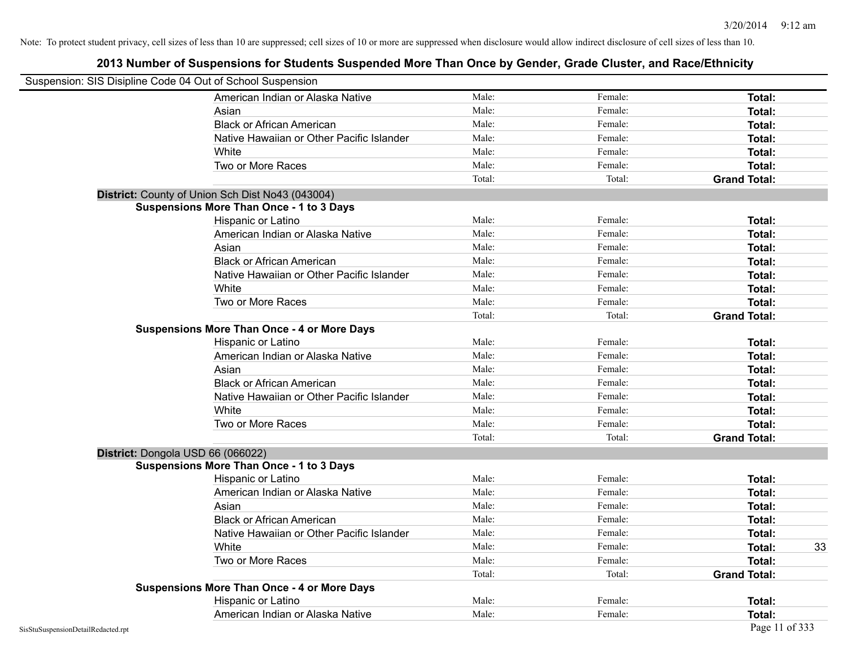| Suspension: SIS Disipline Code 04 Out of School Suspension |                                                    |        |         |                     |
|------------------------------------------------------------|----------------------------------------------------|--------|---------|---------------------|
|                                                            | American Indian or Alaska Native                   | Male:  | Female: | Total:              |
|                                                            | Asian                                              | Male:  | Female: | Total:              |
|                                                            | <b>Black or African American</b>                   | Male:  | Female: | Total:              |
|                                                            | Native Hawaiian or Other Pacific Islander          | Male:  | Female: | Total:              |
|                                                            | White                                              | Male:  | Female: | Total:              |
|                                                            | Two or More Races                                  | Male:  | Female: | Total:              |
|                                                            |                                                    | Total: | Total:  | <b>Grand Total:</b> |
|                                                            | District: County of Union Sch Dist No43 (043004)   |        |         |                     |
|                                                            | <b>Suspensions More Than Once - 1 to 3 Days</b>    |        |         |                     |
|                                                            | Hispanic or Latino                                 | Male:  | Female: | Total:              |
|                                                            | American Indian or Alaska Native                   | Male:  | Female: | Total:              |
|                                                            | Asian                                              | Male:  | Female: | Total:              |
|                                                            | <b>Black or African American</b>                   | Male:  | Female: | Total:              |
|                                                            | Native Hawaiian or Other Pacific Islander          | Male:  | Female: | Total:              |
|                                                            | White                                              | Male:  | Female: | Total:              |
|                                                            | Two or More Races                                  | Male:  | Female: | Total:              |
|                                                            |                                                    | Total: | Total:  | <b>Grand Total:</b> |
|                                                            | <b>Suspensions More Than Once - 4 or More Days</b> |        |         |                     |
|                                                            | Hispanic or Latino                                 | Male:  | Female: | Total:              |
|                                                            | American Indian or Alaska Native                   | Male:  | Female: | Total:              |
|                                                            | Asian                                              | Male:  | Female: | Total:              |
|                                                            | <b>Black or African American</b>                   | Male:  | Female: | Total:              |
|                                                            | Native Hawaiian or Other Pacific Islander          | Male:  | Female: | Total:              |
|                                                            | White                                              | Male:  | Female: | Total:              |
|                                                            | Two or More Races                                  | Male:  | Female: | Total:              |
|                                                            |                                                    | Total: | Total:  | <b>Grand Total:</b> |
|                                                            | District: Dongola USD 66 (066022)                  |        |         |                     |
|                                                            | <b>Suspensions More Than Once - 1 to 3 Days</b>    |        |         |                     |
|                                                            | Hispanic or Latino                                 | Male:  | Female: | Total:              |
|                                                            | American Indian or Alaska Native                   | Male:  | Female: | Total:              |
|                                                            | Asian                                              | Male:  | Female: | Total:              |
|                                                            | <b>Black or African American</b>                   | Male:  | Female: | Total:              |
|                                                            | Native Hawaiian or Other Pacific Islander          | Male:  | Female: | Total:              |
|                                                            | White                                              | Male:  | Female: | 33<br>Total:        |
|                                                            | Two or More Races                                  | Male:  | Female: | Total:              |
|                                                            |                                                    | Total: | Total:  | <b>Grand Total:</b> |
|                                                            | <b>Suspensions More Than Once - 4 or More Days</b> |        |         |                     |
|                                                            | Hispanic or Latino                                 | Male:  | Female: | Total:              |
|                                                            | American Indian or Alaska Native                   | Male:  | Female: | Total:              |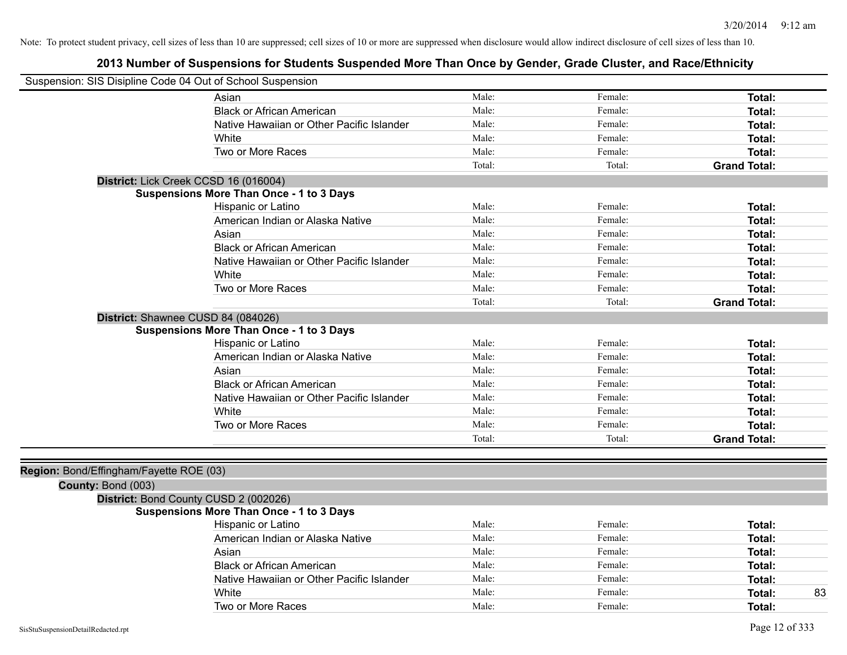| Suspension: SIS Disipline Code 04 Out of School Suspension |                                                 |        |         |                     |
|------------------------------------------------------------|-------------------------------------------------|--------|---------|---------------------|
|                                                            | Asian                                           | Male:  | Female: | Total:              |
|                                                            | <b>Black or African American</b>                | Male:  | Female: | Total:              |
|                                                            | Native Hawaiian or Other Pacific Islander       | Male:  | Female: | <b>Total:</b>       |
|                                                            | White                                           | Male:  | Female: | Total:              |
|                                                            | Two or More Races                               | Male:  | Female: | Total:              |
|                                                            |                                                 | Total: | Total:  | <b>Grand Total:</b> |
|                                                            | District: Lick Creek CCSD 16 (016004)           |        |         |                     |
|                                                            | Suspensions More Than Once - 1 to 3 Days        |        |         |                     |
|                                                            | Hispanic or Latino                              | Male:  | Female: | Total:              |
|                                                            | American Indian or Alaska Native                | Male:  | Female: | Total:              |
|                                                            | Asian                                           | Male:  | Female: | <b>Total:</b>       |
|                                                            | <b>Black or African American</b>                | Male:  | Female: | <b>Total:</b>       |
|                                                            | Native Hawaiian or Other Pacific Islander       | Male:  | Female: | Total:              |
|                                                            | White                                           | Male:  | Female: | Total:              |
|                                                            | Two or More Races                               | Male:  | Female: | Total:              |
|                                                            |                                                 | Total: | Total:  | <b>Grand Total:</b> |
|                                                            | District: Shawnee CUSD 84 (084026)              |        |         |                     |
|                                                            | <b>Suspensions More Than Once - 1 to 3 Days</b> |        |         |                     |
|                                                            | Hispanic or Latino                              | Male:  | Female: | <b>Total:</b>       |
|                                                            | American Indian or Alaska Native                | Male:  | Female: | <b>Total:</b>       |
|                                                            | Asian                                           | Male:  | Female: | Total:              |
|                                                            | <b>Black or African American</b>                | Male:  | Female: | Total:              |
|                                                            | Native Hawaiian or Other Pacific Islander       | Male:  | Female: | Total:              |
|                                                            | White                                           | Male:  | Female: | Total:              |
|                                                            | Two or More Races                               | Male:  | Female: | Total:              |
|                                                            |                                                 | Total: | Total:  | <b>Grand Total:</b> |
|                                                            |                                                 |        |         |                     |
| Region: Bond/Effingham/Fayette ROE (03)                    |                                                 |        |         |                     |
| County: Bond (003)                                         |                                                 |        |         |                     |
|                                                            | District: Bond County CUSD 2 (002026)           |        |         |                     |
|                                                            | <b>Suspensions More Than Once - 1 to 3 Days</b> |        |         |                     |
|                                                            | Hispanic or Latino                              | Male:  | Female: | Total:              |
|                                                            | American Indian or Alaska Native                | Male:  | Female: | Total:              |
|                                                            | Asian                                           | Male:  | Female: | Total:              |
|                                                            | <b>Black or African American</b>                | Male:  | Female: | Total:              |
|                                                            | Native Hawaiian or Other Pacific Islander       | Male:  | Female: | Total:              |
|                                                            | White                                           | Male:  | Female: | 83<br>Total:        |
|                                                            | Two or More Races                               | Male:  | Female: | Total:              |
|                                                            |                                                 |        |         |                     |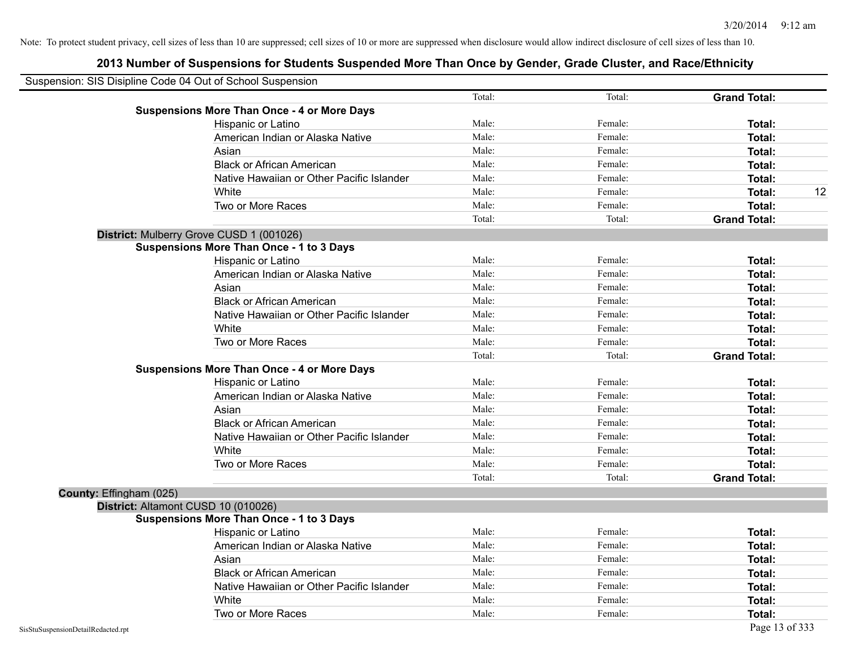| Suspension: SIS Disipline Code 04 Out of School Suspension |                                                    |        |         |                     |
|------------------------------------------------------------|----------------------------------------------------|--------|---------|---------------------|
|                                                            |                                                    | Total: | Total:  | <b>Grand Total:</b> |
|                                                            | <b>Suspensions More Than Once - 4 or More Days</b> |        |         |                     |
|                                                            | Hispanic or Latino                                 | Male:  | Female: | Total:              |
|                                                            | American Indian or Alaska Native                   | Male:  | Female: | Total:              |
|                                                            | Asian                                              | Male:  | Female: | Total:              |
|                                                            | <b>Black or African American</b>                   | Male:  | Female: | Total:              |
|                                                            | Native Hawaiian or Other Pacific Islander          | Male:  | Female: | Total:              |
|                                                            | White                                              | Male:  | Female: | 12<br>Total:        |
|                                                            | Two or More Races                                  | Male:  | Female: | Total:              |
|                                                            |                                                    | Total: | Total:  | <b>Grand Total:</b> |
|                                                            | District: Mulberry Grove CUSD 1 (001026)           |        |         |                     |
|                                                            | <b>Suspensions More Than Once - 1 to 3 Days</b>    |        |         |                     |
|                                                            | Hispanic or Latino                                 | Male:  | Female: | Total:              |
|                                                            | American Indian or Alaska Native                   | Male:  | Female: | Total:              |
|                                                            | Asian                                              | Male:  | Female: | Total:              |
|                                                            | <b>Black or African American</b>                   | Male:  | Female: | Total:              |
|                                                            | Native Hawaiian or Other Pacific Islander          | Male:  | Female: | Total:              |
|                                                            | White                                              | Male:  | Female: | Total:              |
|                                                            | Two or More Races                                  | Male:  | Female: | Total:              |
|                                                            |                                                    | Total: | Total:  | <b>Grand Total:</b> |
|                                                            | <b>Suspensions More Than Once - 4 or More Days</b> |        |         |                     |
|                                                            | Hispanic or Latino                                 | Male:  | Female: | Total:              |
|                                                            | American Indian or Alaska Native                   | Male:  | Female: | Total:              |
|                                                            | Asian                                              | Male:  | Female: | Total:              |
|                                                            | <b>Black or African American</b>                   | Male:  | Female: | Total:              |
|                                                            | Native Hawaiian or Other Pacific Islander          | Male:  | Female: | Total:              |
|                                                            | White                                              | Male:  | Female: | Total:              |
|                                                            | Two or More Races                                  | Male:  | Female: | Total:              |
|                                                            |                                                    | Total: | Total:  | <b>Grand Total:</b> |
| County: Effingham (025)                                    |                                                    |        |         |                     |
|                                                            | District: Altamont CUSD 10 (010026)                |        |         |                     |
|                                                            | <b>Suspensions More Than Once - 1 to 3 Days</b>    |        |         |                     |
|                                                            | Hispanic or Latino                                 | Male:  | Female: | Total:              |
|                                                            | American Indian or Alaska Native                   | Male:  | Female: | Total:              |
|                                                            | Asian                                              | Male:  | Female: | Total:              |
|                                                            | <b>Black or African American</b>                   | Male:  | Female: | Total:              |
|                                                            | Native Hawaiian or Other Pacific Islander          | Male:  | Female: | Total:              |
|                                                            | White                                              | Male:  | Female: | Total:              |
|                                                            | Two or More Races                                  | Male:  | Female: | Total:              |
| SisStuSuspensionDetailRedacted.rpt                         |                                                    |        |         | Page 13 of 333      |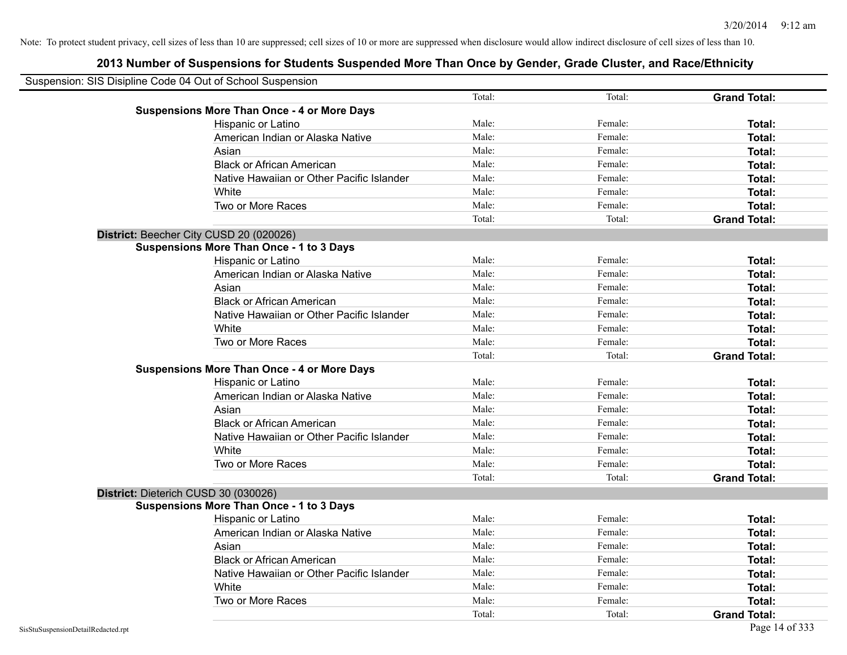| Suspension: SIS Disipline Code 04 Out of School Suspension |        |         |                     |
|------------------------------------------------------------|--------|---------|---------------------|
|                                                            | Total: | Total:  | <b>Grand Total:</b> |
| <b>Suspensions More Than Once - 4 or More Days</b>         |        |         |                     |
| Hispanic or Latino                                         | Male:  | Female: | Total:              |
| American Indian or Alaska Native                           | Male:  | Female: | Total:              |
| Asian                                                      | Male:  | Female: | Total:              |
| <b>Black or African American</b>                           | Male:  | Female: | Total:              |
| Native Hawaiian or Other Pacific Islander                  | Male:  | Female: | Total:              |
| White                                                      | Male:  | Female: | Total:              |
| Two or More Races                                          | Male:  | Female: | Total:              |
|                                                            | Total: | Total:  | <b>Grand Total:</b> |
| District: Beecher City CUSD 20 (020026)                    |        |         |                     |
| <b>Suspensions More Than Once - 1 to 3 Days</b>            |        |         |                     |
| Hispanic or Latino                                         | Male:  | Female: | Total:              |
| American Indian or Alaska Native                           | Male:  | Female: | Total:              |
| Asian                                                      | Male:  | Female: | Total:              |
| <b>Black or African American</b>                           | Male:  | Female: | Total:              |
| Native Hawaiian or Other Pacific Islander                  | Male:  | Female: | Total:              |
| White                                                      | Male:  | Female: | Total:              |
| Two or More Races                                          | Male:  | Female: | Total:              |
|                                                            | Total: | Total:  | <b>Grand Total:</b> |
| <b>Suspensions More Than Once - 4 or More Days</b>         |        |         |                     |
| Hispanic or Latino                                         | Male:  | Female: | Total:              |
| American Indian or Alaska Native                           | Male:  | Female: | Total:              |
| Asian                                                      | Male:  | Female: | Total:              |
| <b>Black or African American</b>                           | Male:  | Female: | Total:              |
| Native Hawaiian or Other Pacific Islander                  | Male:  | Female: | Total:              |
| White                                                      | Male:  | Female: | Total:              |
| Two or More Races                                          | Male:  | Female: | Total:              |
|                                                            | Total: | Total:  | <b>Grand Total:</b> |
| District: Dieterich CUSD 30 (030026)                       |        |         |                     |
| <b>Suspensions More Than Once - 1 to 3 Days</b>            |        |         |                     |
| Hispanic or Latino                                         | Male:  | Female: | Total:              |
| American Indian or Alaska Native                           | Male:  | Female: | Total:              |
| Asian                                                      | Male:  | Female: | Total:              |
| <b>Black or African American</b>                           | Male:  | Female: | Total:              |
| Native Hawaiian or Other Pacific Islander                  | Male:  | Female: | Total:              |
| White                                                      | Male:  | Female: | Total:              |
| Two or More Races                                          | Male:  | Female: | Total:              |
|                                                            | Total: | Total:  | <b>Grand Total:</b> |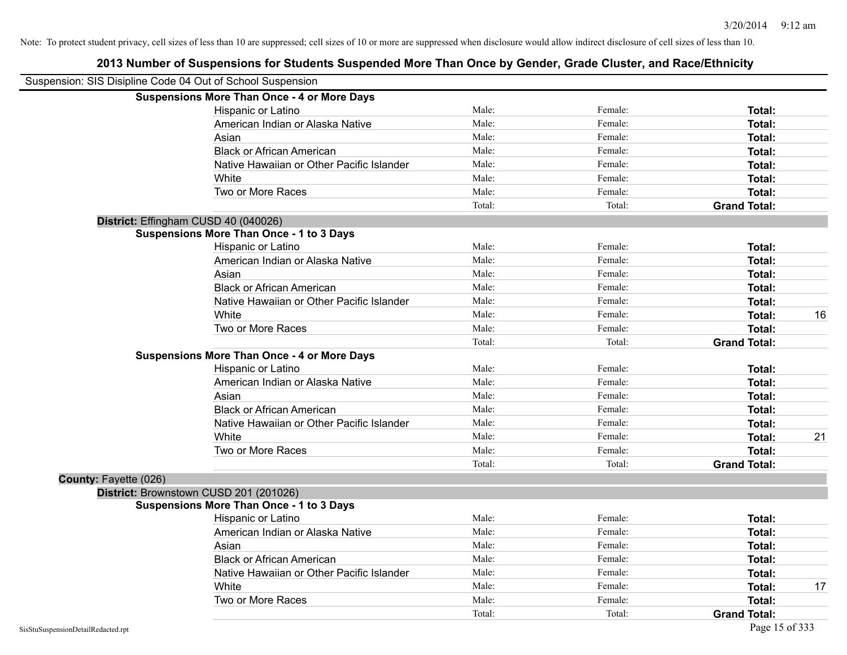| Suspension: SIS Disipline Code 04 Out of School Suspension |                                                    |        |         |                     |    |
|------------------------------------------------------------|----------------------------------------------------|--------|---------|---------------------|----|
|                                                            | <b>Suspensions More Than Once - 4 or More Days</b> |        |         |                     |    |
|                                                            | Hispanic or Latino                                 | Male:  | Female: | Total:              |    |
|                                                            | American Indian or Alaska Native                   | Male:  | Female: | Total:              |    |
|                                                            | Asian                                              | Male:  | Female: | Total:              |    |
|                                                            | <b>Black or African American</b>                   | Male:  | Female: | Total:              |    |
|                                                            | Native Hawaiian or Other Pacific Islander          | Male:  | Female: | Total:              |    |
|                                                            | White                                              | Male:  | Female: | Total:              |    |
|                                                            | Two or More Races                                  | Male:  | Female: | Total:              |    |
|                                                            |                                                    | Total: | Total:  | <b>Grand Total:</b> |    |
| District: Effingham CUSD 40 (040026)                       |                                                    |        |         |                     |    |
|                                                            | <b>Suspensions More Than Once - 1 to 3 Days</b>    |        |         |                     |    |
|                                                            | Hispanic or Latino                                 | Male:  | Female: | Total:              |    |
|                                                            | American Indian or Alaska Native                   | Male:  | Female: | Total:              |    |
|                                                            | Asian                                              | Male:  | Female: | Total:              |    |
|                                                            | <b>Black or African American</b>                   | Male:  | Female: | Total:              |    |
|                                                            | Native Hawaiian or Other Pacific Islander          | Male:  | Female: | Total:              |    |
|                                                            | White                                              | Male:  | Female: | Total:              | 16 |
|                                                            | Two or More Races                                  | Male:  | Female: | Total:              |    |
|                                                            |                                                    | Total: | Total:  | <b>Grand Total:</b> |    |
|                                                            | <b>Suspensions More Than Once - 4 or More Days</b> |        |         |                     |    |
|                                                            | Hispanic or Latino                                 | Male:  | Female: | Total:              |    |
|                                                            | American Indian or Alaska Native                   | Male:  | Female: | Total:              |    |
|                                                            | Asian                                              | Male:  | Female: | Total:              |    |
|                                                            | <b>Black or African American</b>                   | Male:  | Female: | Total:              |    |
|                                                            | Native Hawaiian or Other Pacific Islander          | Male:  | Female: | Total:              |    |
|                                                            | White                                              | Male:  | Female: | <b>Total:</b>       | 21 |
|                                                            | Two or More Races                                  | Male:  | Female: | Total:              |    |
|                                                            |                                                    | Total: | Total:  | <b>Grand Total:</b> |    |
| County: Fayette (026)                                      |                                                    |        |         |                     |    |
|                                                            | District: Brownstown CUSD 201 (201026)             |        |         |                     |    |
|                                                            | <b>Suspensions More Than Once - 1 to 3 Days</b>    |        |         |                     |    |
|                                                            | Hispanic or Latino                                 | Male:  | Female: | Total:              |    |
|                                                            | American Indian or Alaska Native                   | Male:  | Female: | Total:              |    |
|                                                            | Asian                                              | Male:  | Female: | Total:              |    |
|                                                            | <b>Black or African American</b>                   | Male:  | Female: | Total:              |    |
|                                                            | Native Hawaiian or Other Pacific Islander          | Male:  | Female: | Total:              |    |
|                                                            | White                                              | Male:  | Female: | Total:              | 17 |
|                                                            | Two or More Races                                  | Male:  | Female: | <b>Total:</b>       |    |
|                                                            |                                                    | Total: | Total:  | <b>Grand Total:</b> |    |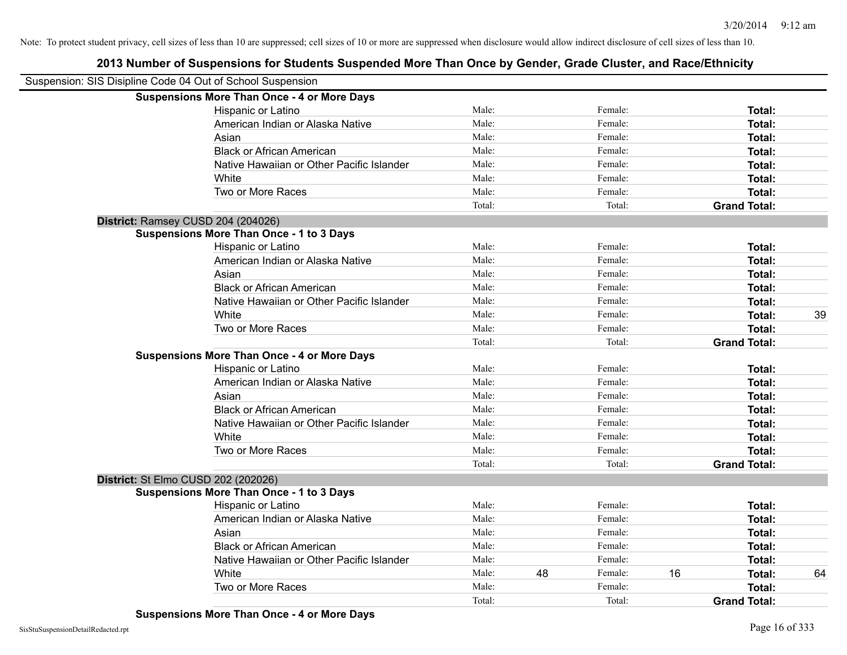| Suspension: SIS Disipline Code 04 Out of School Suspension |                                                    |        |    |         |    |                     |    |
|------------------------------------------------------------|----------------------------------------------------|--------|----|---------|----|---------------------|----|
|                                                            | <b>Suspensions More Than Once - 4 or More Days</b> |        |    |         |    |                     |    |
|                                                            | Hispanic or Latino                                 | Male:  |    | Female: |    | Total:              |    |
|                                                            | American Indian or Alaska Native                   | Male:  |    | Female: |    | Total:              |    |
|                                                            | Asian                                              | Male:  |    | Female: |    | Total:              |    |
|                                                            | <b>Black or African American</b>                   | Male:  |    | Female: |    | Total:              |    |
|                                                            | Native Hawaiian or Other Pacific Islander          | Male:  |    | Female: |    | Total:              |    |
|                                                            | White                                              | Male:  |    | Female: |    | Total:              |    |
|                                                            | Two or More Races                                  | Male:  |    | Female: |    | Total:              |    |
|                                                            |                                                    | Total: |    | Total:  |    | <b>Grand Total:</b> |    |
|                                                            | District: Ramsey CUSD 204 (204026)                 |        |    |         |    |                     |    |
|                                                            | <b>Suspensions More Than Once - 1 to 3 Days</b>    |        |    |         |    |                     |    |
|                                                            | Hispanic or Latino                                 | Male:  |    | Female: |    | Total:              |    |
|                                                            | American Indian or Alaska Native                   | Male:  |    | Female: |    | Total:              |    |
|                                                            | Asian                                              | Male:  |    | Female: |    | Total:              |    |
|                                                            | <b>Black or African American</b>                   | Male:  |    | Female: |    | Total:              |    |
|                                                            | Native Hawaiian or Other Pacific Islander          | Male:  |    | Female: |    | Total:              |    |
|                                                            | White                                              | Male:  |    | Female: |    | Total:              | 39 |
|                                                            | Two or More Races                                  | Male:  |    | Female: |    | Total:              |    |
|                                                            |                                                    | Total: |    | Total:  |    | <b>Grand Total:</b> |    |
|                                                            | <b>Suspensions More Than Once - 4 or More Days</b> |        |    |         |    |                     |    |
|                                                            | Hispanic or Latino                                 | Male:  |    | Female: |    | Total:              |    |
|                                                            | American Indian or Alaska Native                   | Male:  |    | Female: |    | Total:              |    |
|                                                            | Asian                                              | Male:  |    | Female: |    | Total:              |    |
|                                                            | <b>Black or African American</b>                   | Male:  |    | Female: |    | Total:              |    |
|                                                            | Native Hawaiian or Other Pacific Islander          | Male:  |    | Female: |    | Total:              |    |
|                                                            | White                                              | Male:  |    | Female: |    | Total:              |    |
|                                                            | Two or More Races                                  | Male:  |    | Female: |    | Total:              |    |
|                                                            |                                                    | Total: |    | Total:  |    | <b>Grand Total:</b> |    |
|                                                            | District: St Elmo CUSD 202 (202026)                |        |    |         |    |                     |    |
|                                                            | <b>Suspensions More Than Once - 1 to 3 Days</b>    |        |    |         |    |                     |    |
|                                                            | Hispanic or Latino                                 | Male:  |    | Female: |    | Total:              |    |
|                                                            | American Indian or Alaska Native                   | Male:  |    | Female: |    | Total:              |    |
|                                                            | Asian                                              | Male:  |    | Female: |    | Total:              |    |
|                                                            | <b>Black or African American</b>                   | Male:  |    | Female: |    | Total:              |    |
|                                                            | Native Hawaiian or Other Pacific Islander          | Male:  |    | Female: |    | Total:              |    |
|                                                            | White                                              | Male:  | 48 | Female: | 16 | Total:              | 64 |
|                                                            | Two or More Races                                  | Male:  |    | Female: |    | Total:              |    |
|                                                            |                                                    | Total: |    | Total:  |    | <b>Grand Total:</b> |    |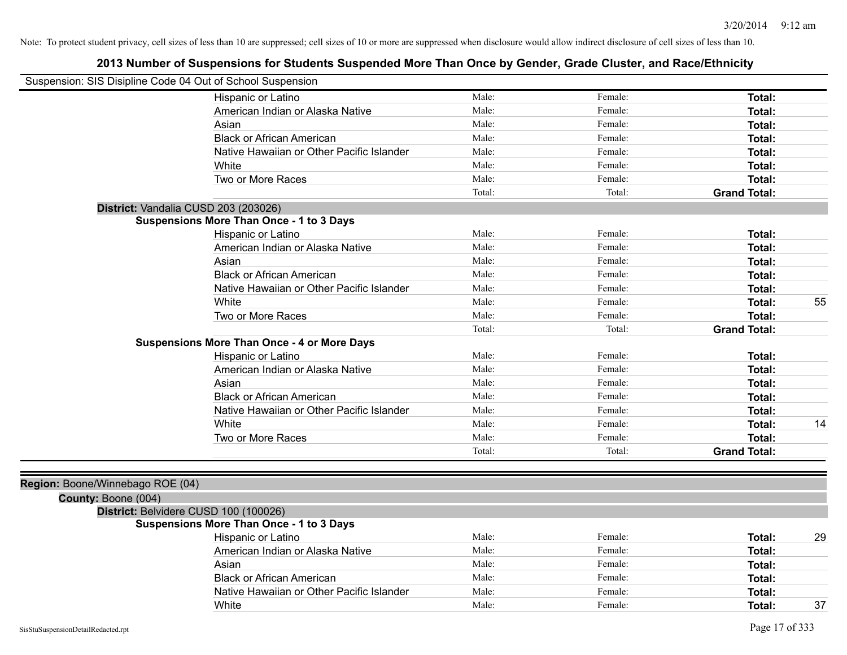| Suspension: SIS Disipline Code 04 Out of School Suspension |                                                    |        |         |                     |    |
|------------------------------------------------------------|----------------------------------------------------|--------|---------|---------------------|----|
|                                                            | Hispanic or Latino                                 | Male:  | Female: | Total:              |    |
|                                                            | American Indian or Alaska Native                   | Male:  | Female: | Total:              |    |
|                                                            | Asian                                              | Male:  | Female: | <b>Total:</b>       |    |
|                                                            | <b>Black or African American</b>                   | Male:  | Female: | <b>Total:</b>       |    |
|                                                            | Native Hawaiian or Other Pacific Islander          | Male:  | Female: | Total:              |    |
|                                                            | White                                              | Male:  | Female: | Total:              |    |
|                                                            | Two or More Races                                  | Male:  | Female: | Total:              |    |
|                                                            |                                                    | Total: | Total:  | <b>Grand Total:</b> |    |
|                                                            | District: Vandalia CUSD 203 (203026)               |        |         |                     |    |
|                                                            | <b>Suspensions More Than Once - 1 to 3 Days</b>    |        |         |                     |    |
|                                                            | Hispanic or Latino                                 | Male:  | Female: | Total:              |    |
|                                                            | American Indian or Alaska Native                   | Male:  | Female: | <b>Total:</b>       |    |
|                                                            | Asian                                              | Male:  | Female: | <b>Total:</b>       |    |
|                                                            | <b>Black or African American</b>                   | Male:  | Female: | Total:              |    |
|                                                            | Native Hawaiian or Other Pacific Islander          | Male:  | Female: | Total:              |    |
|                                                            | White                                              | Male:  | Female: | Total:              | 55 |
|                                                            | Two or More Races                                  | Male:  | Female: | Total:              |    |
|                                                            |                                                    | Total: | Total:  | <b>Grand Total:</b> |    |
|                                                            | <b>Suspensions More Than Once - 4 or More Days</b> |        |         |                     |    |
|                                                            | Hispanic or Latino                                 | Male:  | Female: | Total:              |    |
|                                                            | American Indian or Alaska Native                   | Male:  | Female: | Total:              |    |
|                                                            | Asian                                              | Male:  | Female: | Total:              |    |
|                                                            | <b>Black or African American</b>                   | Male:  | Female: | Total:              |    |
|                                                            | Native Hawaiian or Other Pacific Islander          | Male:  | Female: | Total:              |    |
|                                                            | White                                              | Male:  | Female: | Total:              | 14 |
|                                                            | Two or More Races                                  | Male:  | Female: | Total:              |    |
|                                                            |                                                    | Total: | Total:  | <b>Grand Total:</b> |    |
|                                                            |                                                    |        |         |                     |    |
| Region: Boone/Winnebago ROE (04)                           |                                                    |        |         |                     |    |
| County: Boone (004)                                        |                                                    |        |         |                     |    |
|                                                            | District: Belvidere CUSD 100 (100026)              |        |         |                     |    |
|                                                            | <b>Suspensions More Than Once - 1 to 3 Days</b>    |        |         |                     |    |
|                                                            | Hispanic or Latino                                 | Male:  | Female: | Total:              | 29 |
|                                                            | American Indian or Alaska Native                   | Male:  | Female: | Total:              |    |
|                                                            | Asian                                              | Male:  | Female: | Total:              |    |
|                                                            | <b>Black or African American</b>                   | Male:  | Female: | Total:              |    |
|                                                            | Native Hawaiian or Other Pacific Islander          | Male:  | Female: | Total:              |    |
|                                                            | White                                              | Male:  | Female: | Total:              | 37 |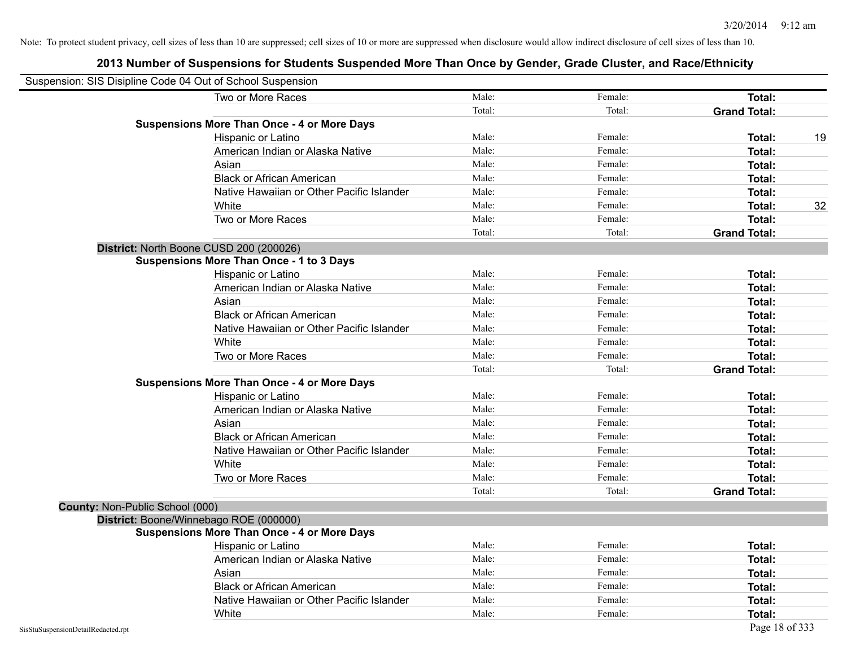|                                 | Suspension: SIS Disipline Code 04 Out of School Suspension |        |         |                     |    |
|---------------------------------|------------------------------------------------------------|--------|---------|---------------------|----|
|                                 | Two or More Races                                          | Male:  | Female: | Total:              |    |
|                                 |                                                            | Total: | Total:  | <b>Grand Total:</b> |    |
|                                 | <b>Suspensions More Than Once - 4 or More Days</b>         |        |         |                     |    |
|                                 | Hispanic or Latino                                         | Male:  | Female: | Total:              | 19 |
|                                 | American Indian or Alaska Native                           | Male:  | Female: | <b>Total:</b>       |    |
|                                 | Asian                                                      | Male:  | Female: | Total:              |    |
|                                 | <b>Black or African American</b>                           | Male:  | Female: | Total:              |    |
|                                 | Native Hawaiian or Other Pacific Islander                  | Male:  | Female: | Total:              |    |
|                                 | White                                                      | Male:  | Female: | Total:              | 32 |
|                                 | Two or More Races                                          | Male:  | Female: | <b>Total:</b>       |    |
|                                 |                                                            | Total: | Total:  | <b>Grand Total:</b> |    |
|                                 | District: North Boone CUSD 200 (200026)                    |        |         |                     |    |
|                                 | <b>Suspensions More Than Once - 1 to 3 Days</b>            |        |         |                     |    |
|                                 | Hispanic or Latino                                         | Male:  | Female: | Total:              |    |
|                                 | American Indian or Alaska Native                           | Male:  | Female: | <b>Total:</b>       |    |
|                                 | Asian                                                      | Male:  | Female: | Total:              |    |
|                                 | <b>Black or African American</b>                           | Male:  | Female: | Total:              |    |
|                                 | Native Hawaiian or Other Pacific Islander                  | Male:  | Female: | Total:              |    |
|                                 | White                                                      | Male:  | Female: | <b>Total:</b>       |    |
|                                 | Two or More Races                                          | Male:  | Female: | Total:              |    |
|                                 |                                                            | Total: | Total:  | <b>Grand Total:</b> |    |
|                                 | <b>Suspensions More Than Once - 4 or More Days</b>         |        |         |                     |    |
|                                 | Hispanic or Latino                                         | Male:  | Female: | Total:              |    |
|                                 | American Indian or Alaska Native                           | Male:  | Female: | Total:              |    |
|                                 | Asian                                                      | Male:  | Female: | Total:              |    |
|                                 | <b>Black or African American</b>                           | Male:  | Female: | <b>Total:</b>       |    |
|                                 | Native Hawaiian or Other Pacific Islander                  | Male:  | Female: | Total:              |    |
|                                 | White                                                      | Male:  | Female: | Total:              |    |
|                                 | Two or More Races                                          | Male:  | Female: | <b>Total:</b>       |    |
|                                 |                                                            | Total: | Total:  | <b>Grand Total:</b> |    |
| County: Non-Public School (000) |                                                            |        |         |                     |    |
|                                 | District: Boone/Winnebago ROE (000000)                     |        |         |                     |    |
|                                 | <b>Suspensions More Than Once - 4 or More Days</b>         |        |         |                     |    |
|                                 | Hispanic or Latino                                         | Male:  | Female: | Total:              |    |
|                                 | American Indian or Alaska Native                           | Male:  | Female: | Total:              |    |
|                                 | Asian                                                      | Male:  | Female: | <b>Total:</b>       |    |
|                                 | <b>Black or African American</b>                           | Male:  | Female: | <b>Total:</b>       |    |
|                                 | Native Hawaiian or Other Pacific Islander                  | Male:  | Female: | <b>Total:</b>       |    |
|                                 | White                                                      | Male:  | Female: | Total:              |    |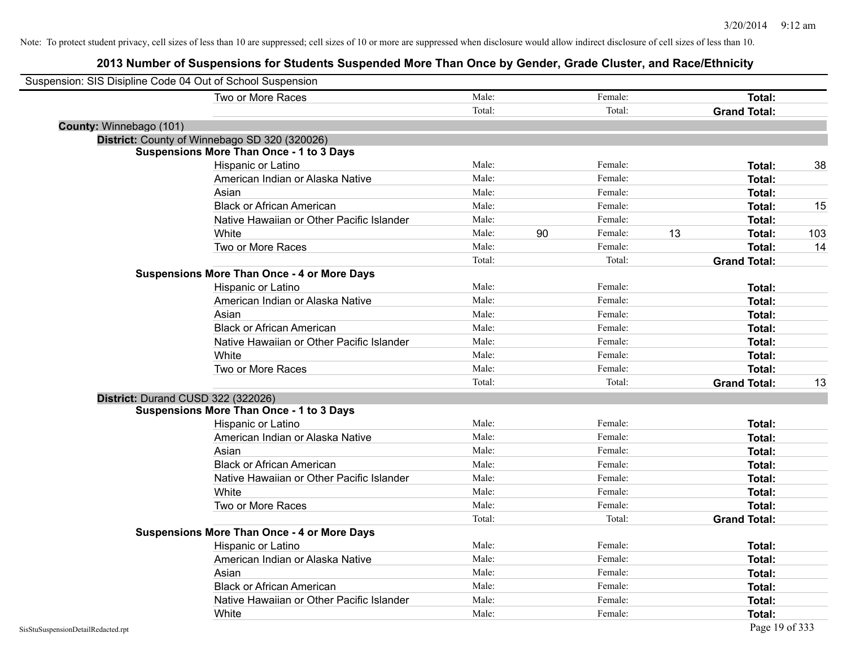| Suspension: SIS Disipline Code 04 Out of School Suspension |                                                    |        |    |         |    |                     |     |
|------------------------------------------------------------|----------------------------------------------------|--------|----|---------|----|---------------------|-----|
|                                                            | Two or More Races                                  | Male:  |    | Female: |    | Total:              |     |
|                                                            |                                                    | Total: |    | Total:  |    | <b>Grand Total:</b> |     |
| County: Winnebago (101)                                    |                                                    |        |    |         |    |                     |     |
|                                                            | District: County of Winnebago SD 320 (320026)      |        |    |         |    |                     |     |
|                                                            | <b>Suspensions More Than Once - 1 to 3 Days</b>    |        |    |         |    |                     |     |
|                                                            | Hispanic or Latino                                 | Male:  |    | Female: |    | Total:              | 38  |
|                                                            | American Indian or Alaska Native                   | Male:  |    | Female: |    | Total:              |     |
|                                                            | Asian                                              | Male:  |    | Female: |    | Total:              |     |
|                                                            | <b>Black or African American</b>                   | Male:  |    | Female: |    | Total:              | 15  |
|                                                            | Native Hawaiian or Other Pacific Islander          | Male:  |    | Female: |    | Total:              |     |
|                                                            | White                                              | Male:  | 90 | Female: | 13 | Total:              | 103 |
|                                                            | Two or More Races                                  | Male:  |    | Female: |    | Total:              | 14  |
|                                                            |                                                    | Total: |    | Total:  |    | <b>Grand Total:</b> |     |
|                                                            | <b>Suspensions More Than Once - 4 or More Days</b> |        |    |         |    |                     |     |
|                                                            | Hispanic or Latino                                 | Male:  |    | Female: |    | Total:              |     |
|                                                            | American Indian or Alaska Native                   | Male:  |    | Female: |    | Total:              |     |
|                                                            | Asian                                              | Male:  |    | Female: |    | Total:              |     |
|                                                            | <b>Black or African American</b>                   | Male:  |    | Female: |    | Total:              |     |
|                                                            | Native Hawaiian or Other Pacific Islander          | Male:  |    | Female: |    | Total:              |     |
|                                                            | White                                              | Male:  |    | Female: |    | Total:              |     |
|                                                            | Two or More Races                                  | Male:  |    | Female: |    | Total:              |     |
|                                                            |                                                    | Total: |    | Total:  |    | <b>Grand Total:</b> | 13  |
| District: Durand CUSD 322 (322026)                         |                                                    |        |    |         |    |                     |     |
|                                                            | <b>Suspensions More Than Once - 1 to 3 Days</b>    |        |    |         |    |                     |     |
|                                                            | Hispanic or Latino                                 | Male:  |    | Female: |    | Total:              |     |
|                                                            | American Indian or Alaska Native                   | Male:  |    | Female: |    | Total:              |     |
|                                                            | Asian                                              | Male:  |    | Female: |    | Total:              |     |
|                                                            | <b>Black or African American</b>                   | Male:  |    | Female: |    | Total:              |     |
|                                                            | Native Hawaiian or Other Pacific Islander          | Male:  |    | Female: |    | Total:              |     |
|                                                            | White                                              | Male:  |    | Female: |    | Total:              |     |
|                                                            | Two or More Races                                  | Male:  |    | Female: |    | Total:              |     |
|                                                            |                                                    | Total: |    | Total:  |    | <b>Grand Total:</b> |     |
|                                                            | <b>Suspensions More Than Once - 4 or More Days</b> |        |    |         |    |                     |     |
|                                                            | Hispanic or Latino                                 | Male:  |    | Female: |    | Total:              |     |
|                                                            | American Indian or Alaska Native                   | Male:  |    | Female: |    | Total:              |     |
|                                                            | Asian                                              | Male:  |    | Female: |    | Total:              |     |
|                                                            | <b>Black or African American</b>                   | Male:  |    | Female: |    | Total:              |     |
|                                                            | Native Hawaiian or Other Pacific Islander          | Male:  |    | Female: |    | Total:              |     |
|                                                            | White                                              | Male:  |    | Female: |    | Total:              |     |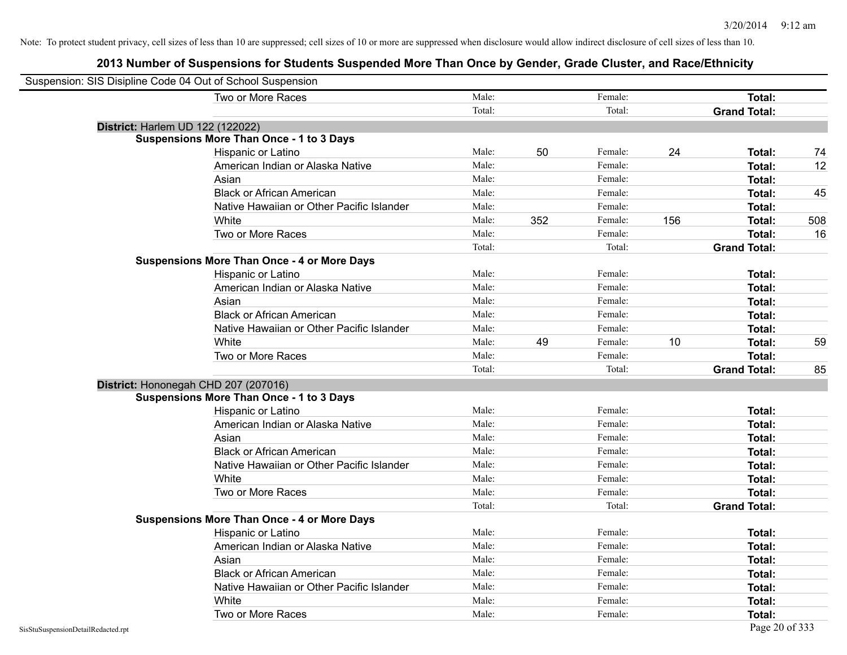| Suspension: SIS Disipline Code 04 Out of School Suspension |        |     |         |     |                     |     |
|------------------------------------------------------------|--------|-----|---------|-----|---------------------|-----|
| Two or More Races                                          | Male:  |     | Female: |     | Total:              |     |
|                                                            | Total: |     | Total:  |     | <b>Grand Total:</b> |     |
| <b>District: Harlem UD 122 (122022)</b>                    |        |     |         |     |                     |     |
| <b>Suspensions More Than Once - 1 to 3 Days</b>            |        |     |         |     |                     |     |
| Hispanic or Latino                                         | Male:  | 50  | Female: | 24  | Total:              | 74  |
| American Indian or Alaska Native                           | Male:  |     | Female: |     | Total:              | 12  |
| Asian                                                      | Male:  |     | Female: |     | Total:              |     |
| <b>Black or African American</b>                           | Male:  |     | Female: |     | Total:              | 45  |
| Native Hawaiian or Other Pacific Islander                  | Male:  |     | Female: |     | Total:              |     |
| White                                                      | Male:  | 352 | Female: | 156 | Total:              | 508 |
| Two or More Races                                          | Male:  |     | Female: |     | Total:              | 16  |
|                                                            | Total: |     | Total:  |     | <b>Grand Total:</b> |     |
| <b>Suspensions More Than Once - 4 or More Days</b>         |        |     |         |     |                     |     |
| Hispanic or Latino                                         | Male:  |     | Female: |     | Total:              |     |
| American Indian or Alaska Native                           | Male:  |     | Female: |     | Total:              |     |
| Asian                                                      | Male:  |     | Female: |     | Total:              |     |
| <b>Black or African American</b>                           | Male:  |     | Female: |     | Total:              |     |
| Native Hawaiian or Other Pacific Islander                  | Male:  |     | Female: |     | Total:              |     |
| White                                                      | Male:  | 49  | Female: | 10  | Total:              | 59  |
| Two or More Races                                          | Male:  |     | Female: |     | Total:              |     |
|                                                            | Total: |     | Total:  |     | <b>Grand Total:</b> | 85  |
| District: Hononegah CHD 207 (207016)                       |        |     |         |     |                     |     |
| <b>Suspensions More Than Once - 1 to 3 Days</b>            |        |     |         |     |                     |     |
| Hispanic or Latino                                         | Male:  |     | Female: |     | Total:              |     |
| American Indian or Alaska Native                           | Male:  |     | Female: |     | Total:              |     |
| Asian                                                      | Male:  |     | Female: |     | Total:              |     |
| <b>Black or African American</b>                           | Male:  |     | Female: |     | Total:              |     |
| Native Hawaiian or Other Pacific Islander                  | Male:  |     | Female: |     | Total:              |     |
| White                                                      | Male:  |     | Female: |     | Total:              |     |
| Two or More Races                                          | Male:  |     | Female: |     | Total:              |     |
|                                                            | Total: |     | Total:  |     | <b>Grand Total:</b> |     |
| <b>Suspensions More Than Once - 4 or More Days</b>         |        |     |         |     |                     |     |
| Hispanic or Latino                                         | Male:  |     | Female: |     | Total:              |     |
| American Indian or Alaska Native                           | Male:  |     | Female: |     | Total:              |     |
| Asian                                                      | Male:  |     | Female: |     | Total:              |     |
| <b>Black or African American</b>                           | Male:  |     | Female: |     | Total:              |     |
| Native Hawaiian or Other Pacific Islander                  | Male:  |     | Female: |     | Total:              |     |
| White                                                      | Male:  |     | Female: |     | Total:              |     |
| Two or More Races                                          | Male:  |     | Female: |     | Total:              |     |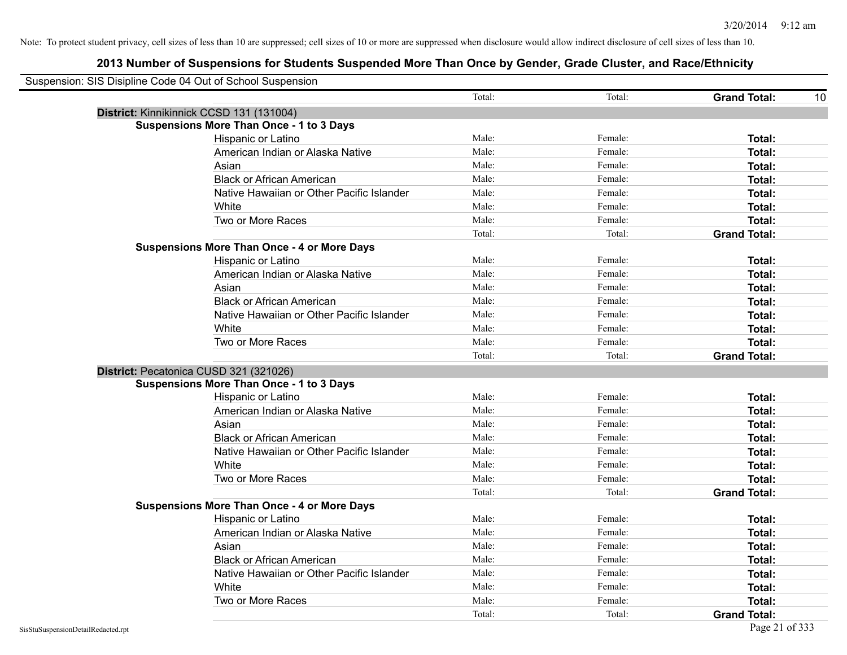| Suspension: SIS Disipline Code 04 Out of School Suspension |                                                    |        |         |                           |
|------------------------------------------------------------|----------------------------------------------------|--------|---------|---------------------------|
|                                                            |                                                    | Total: | Total:  | <b>Grand Total:</b><br>10 |
|                                                            | District: Kinnikinnick CCSD 131 (131004)           |        |         |                           |
|                                                            | <b>Suspensions More Than Once - 1 to 3 Days</b>    |        |         |                           |
|                                                            | Hispanic or Latino                                 | Male:  | Female: | Total:                    |
|                                                            | American Indian or Alaska Native                   | Male:  | Female: | Total:                    |
|                                                            | Asian                                              | Male:  | Female: | Total:                    |
|                                                            | <b>Black or African American</b>                   | Male:  | Female: | Total:                    |
|                                                            | Native Hawaiian or Other Pacific Islander          | Male:  | Female: | <b>Total:</b>             |
|                                                            | White                                              | Male:  | Female: | Total:                    |
|                                                            | Two or More Races                                  | Male:  | Female: | Total:                    |
|                                                            |                                                    | Total: | Total:  | <b>Grand Total:</b>       |
|                                                            | <b>Suspensions More Than Once - 4 or More Days</b> |        |         |                           |
|                                                            | Hispanic or Latino                                 | Male:  | Female: | Total:                    |
|                                                            | American Indian or Alaska Native                   | Male:  | Female: | Total:                    |
|                                                            | Asian                                              | Male:  | Female: | Total:                    |
|                                                            | <b>Black or African American</b>                   | Male:  | Female: | Total:                    |
|                                                            | Native Hawaiian or Other Pacific Islander          | Male:  | Female: | Total:                    |
|                                                            | White                                              | Male:  | Female: | <b>Total:</b>             |
|                                                            | Two or More Races                                  | Male:  | Female: | Total:                    |
|                                                            |                                                    | Total: | Total:  | <b>Grand Total:</b>       |
|                                                            | District: Pecatonica CUSD 321 (321026)             |        |         |                           |
|                                                            | <b>Suspensions More Than Once - 1 to 3 Days</b>    |        |         |                           |
|                                                            | Hispanic or Latino                                 | Male:  | Female: | Total:                    |
|                                                            | American Indian or Alaska Native                   | Male:  | Female: | Total:                    |
|                                                            | Asian                                              | Male:  | Female: | Total:                    |
|                                                            | <b>Black or African American</b>                   | Male:  | Female: | <b>Total:</b>             |
|                                                            | Native Hawaiian or Other Pacific Islander          | Male:  | Female: | <b>Total:</b>             |
|                                                            | White                                              | Male:  | Female: | Total:                    |
|                                                            | Two or More Races                                  | Male:  | Female: | <b>Total:</b>             |
|                                                            |                                                    | Total: | Total:  | <b>Grand Total:</b>       |
|                                                            | <b>Suspensions More Than Once - 4 or More Days</b> |        |         |                           |
|                                                            | Hispanic or Latino                                 | Male:  | Female: | Total:                    |
|                                                            | American Indian or Alaska Native                   | Male:  | Female: | Total:                    |
|                                                            | Asian                                              | Male:  | Female: | Total:                    |
|                                                            | <b>Black or African American</b>                   | Male:  | Female: | Total:                    |
|                                                            | Native Hawaiian or Other Pacific Islander          | Male:  | Female: | Total:                    |
|                                                            | White                                              | Male:  | Female: | <b>Total:</b>             |
|                                                            | Two or More Races                                  | Male:  | Female: | Total:                    |
|                                                            |                                                    | Total: | Total:  | <b>Grand Total:</b>       |
| SisStuSuspensionDetailRedacted.rpt                         |                                                    |        |         | Page 21 of 333            |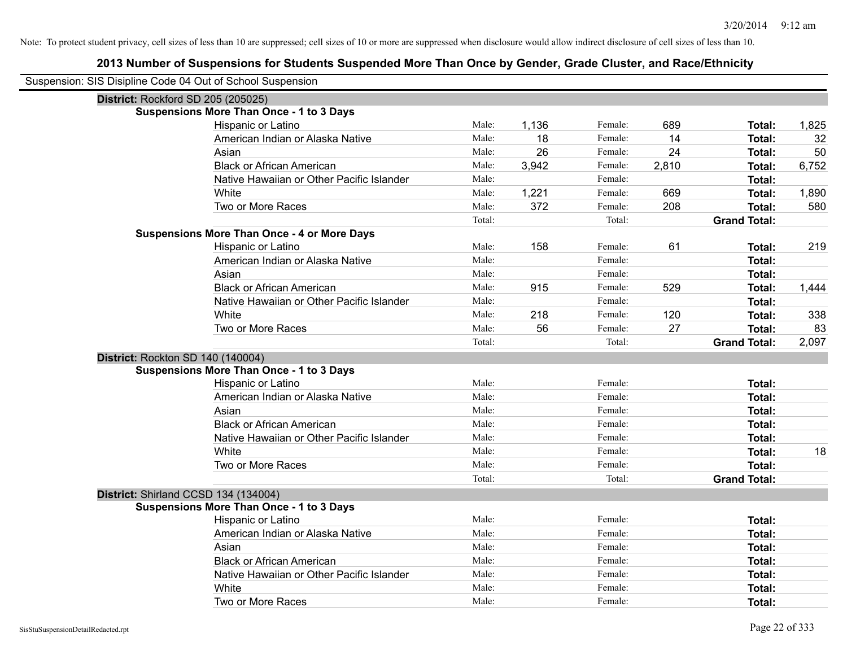| Suspension: SIS Disipline Code 04 Out of School Suspension |                                                    |        |       |         |       |                     |       |
|------------------------------------------------------------|----------------------------------------------------|--------|-------|---------|-------|---------------------|-------|
| District: Rockford SD 205 (205025)                         |                                                    |        |       |         |       |                     |       |
|                                                            | Suspensions More Than Once - 1 to 3 Days           |        |       |         |       |                     |       |
|                                                            | Hispanic or Latino                                 | Male:  | 1,136 | Female: | 689   | Total:              | 1,825 |
|                                                            | American Indian or Alaska Native                   | Male:  | 18    | Female: | 14    | Total:              | 32    |
|                                                            | Asian                                              | Male:  | 26    | Female: | 24    | Total:              | 50    |
|                                                            | <b>Black or African American</b>                   | Male:  | 3,942 | Female: | 2,810 | Total:              | 6,752 |
|                                                            | Native Hawaiian or Other Pacific Islander          | Male:  |       | Female: |       | Total:              |       |
|                                                            | White                                              | Male:  | 1,221 | Female: | 669   | Total:              | 1,890 |
|                                                            | Two or More Races                                  | Male:  | 372   | Female: | 208   | Total:              | 580   |
|                                                            |                                                    | Total: |       | Total:  |       | <b>Grand Total:</b> |       |
|                                                            | <b>Suspensions More Than Once - 4 or More Days</b> |        |       |         |       |                     |       |
|                                                            | Hispanic or Latino                                 | Male:  | 158   | Female: | 61    | Total:              | 219   |
|                                                            | American Indian or Alaska Native                   | Male:  |       | Female: |       | Total:              |       |
|                                                            | Asian                                              | Male:  |       | Female: |       | Total:              |       |
|                                                            | <b>Black or African American</b>                   | Male:  | 915   | Female: | 529   | Total:              | 1,444 |
|                                                            | Native Hawaiian or Other Pacific Islander          | Male:  |       | Female: |       | Total:              |       |
|                                                            | White                                              | Male:  | 218   | Female: | 120   | Total:              | 338   |
|                                                            | Two or More Races                                  | Male:  | 56    | Female: | 27    | Total:              | 83    |
|                                                            |                                                    | Total: |       | Total:  |       | <b>Grand Total:</b> | 2,097 |
| District: Rockton SD 140 (140004)                          |                                                    |        |       |         |       |                     |       |
|                                                            | <b>Suspensions More Than Once - 1 to 3 Days</b>    |        |       |         |       |                     |       |
|                                                            | Hispanic or Latino                                 | Male:  |       | Female: |       | Total:              |       |
|                                                            | American Indian or Alaska Native                   | Male:  |       | Female: |       | Total:              |       |
|                                                            | Asian                                              | Male:  |       | Female: |       | Total:              |       |
|                                                            | <b>Black or African American</b>                   | Male:  |       | Female: |       | <b>Total:</b>       |       |
|                                                            | Native Hawaiian or Other Pacific Islander          | Male:  |       | Female: |       | Total:              |       |
|                                                            | White                                              | Male:  |       | Female: |       | <b>Total:</b>       | 18    |
|                                                            | Two or More Races                                  | Male:  |       | Female: |       | Total:              |       |
|                                                            |                                                    | Total: |       | Total:  |       | <b>Grand Total:</b> |       |
| District: Shirland CCSD 134 (134004)                       |                                                    |        |       |         |       |                     |       |
|                                                            | <b>Suspensions More Than Once - 1 to 3 Days</b>    |        |       |         |       |                     |       |
|                                                            | Hispanic or Latino                                 | Male:  |       | Female: |       | <b>Total:</b>       |       |
|                                                            | American Indian or Alaska Native                   | Male:  |       | Female: |       | Total:              |       |
|                                                            | Asian                                              | Male:  |       | Female: |       | Total:              |       |
|                                                            | <b>Black or African American</b>                   | Male:  |       | Female: |       | Total:              |       |
|                                                            | Native Hawaiian or Other Pacific Islander          | Male:  |       | Female: |       | Total:              |       |
|                                                            | White                                              | Male:  |       | Female: |       | <b>Total:</b>       |       |
|                                                            | Two or More Races                                  | Male:  |       | Female: |       | Total:              |       |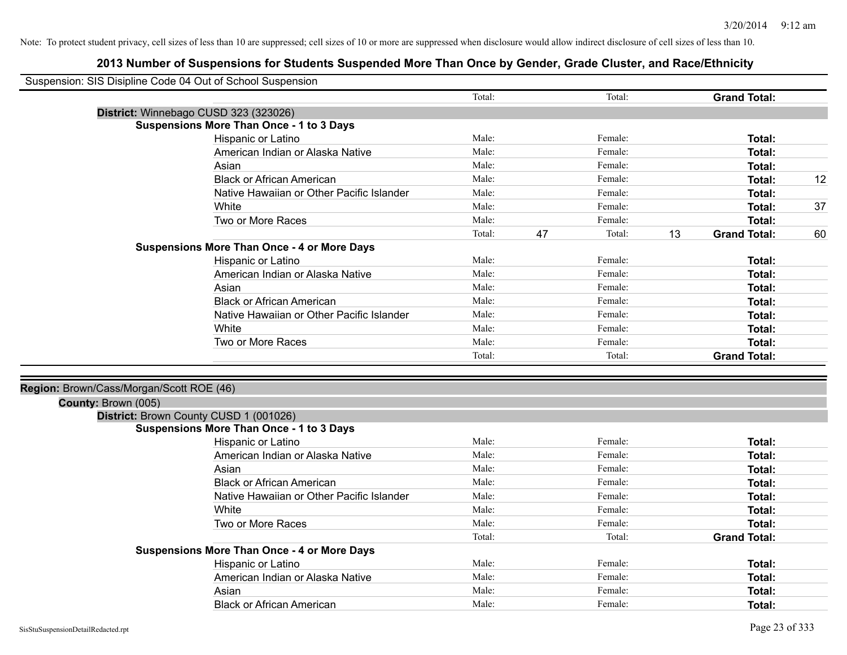| Suspension: SIS Disipline Code 04 Out of School Suspension    |                                                    |        |    |         |    |                     |    |
|---------------------------------------------------------------|----------------------------------------------------|--------|----|---------|----|---------------------|----|
|                                                               |                                                    | Total: |    | Total:  |    | <b>Grand Total:</b> |    |
| District: Winnebago CUSD 323 (323026)                         |                                                    |        |    |         |    |                     |    |
|                                                               | <b>Suspensions More Than Once - 1 to 3 Days</b>    |        |    |         |    |                     |    |
|                                                               | Hispanic or Latino                                 | Male:  |    | Female: |    | Total:              |    |
|                                                               | American Indian or Alaska Native                   | Male:  |    | Female: |    | Total:              |    |
|                                                               | Asian                                              | Male:  |    | Female: |    | <b>Total:</b>       |    |
|                                                               | <b>Black or African American</b>                   | Male:  |    | Female: |    | Total:              | 12 |
|                                                               | Native Hawaiian or Other Pacific Islander          | Male:  |    | Female: |    | Total:              |    |
|                                                               | White                                              | Male:  |    | Female: |    | Total:              | 37 |
|                                                               | Two or More Races                                  | Male:  |    | Female: |    | Total:              |    |
|                                                               |                                                    | Total: | 47 | Total:  | 13 | <b>Grand Total:</b> | 60 |
|                                                               | <b>Suspensions More Than Once - 4 or More Days</b> |        |    |         |    |                     |    |
|                                                               | Hispanic or Latino                                 | Male:  |    | Female: |    | Total:              |    |
|                                                               | American Indian or Alaska Native                   | Male:  |    | Female: |    | <b>Total:</b>       |    |
|                                                               | Asian                                              | Male:  |    | Female: |    | Total:              |    |
|                                                               | <b>Black or African American</b>                   | Male:  |    | Female: |    | Total:              |    |
|                                                               | Native Hawaiian or Other Pacific Islander          | Male:  |    | Female: |    | Total:              |    |
|                                                               | White                                              | Male:  |    | Female: |    | Total:              |    |
|                                                               | Two or More Races                                  | Male:  |    | Female: |    | Total:              |    |
|                                                               |                                                    | Total: |    | Total:  |    | <b>Grand Total:</b> |    |
|                                                               |                                                    |        |    |         |    |                     |    |
| Region: Brown/Cass/Morgan/Scott ROE (46)                      |                                                    |        |    |         |    |                     |    |
| County: Brown (005)<br>District: Brown County CUSD 1 (001026) |                                                    |        |    |         |    |                     |    |
|                                                               | <b>Suspensions More Than Once - 1 to 3 Days</b>    |        |    |         |    |                     |    |
|                                                               | Hispanic or Latino                                 | Male:  |    | Female: |    | Total:              |    |
|                                                               | American Indian or Alaska Native                   | Male:  |    | Female: |    | Total:              |    |
|                                                               | Asian                                              | Male:  |    | Female: |    | <b>Total:</b>       |    |
|                                                               | <b>Black or African American</b>                   | Male:  |    | Female: |    | Total:              |    |
|                                                               | Native Hawaiian or Other Pacific Islander          | Male:  |    | Female: |    | Total:              |    |
|                                                               | White                                              | Male:  |    | Female: |    | Total:              |    |
|                                                               | Two or More Races                                  | Male:  |    | Female: |    | Total:              |    |
|                                                               |                                                    | Total: |    | Total:  |    | <b>Grand Total:</b> |    |
|                                                               | <b>Suspensions More Than Once - 4 or More Days</b> |        |    |         |    |                     |    |
|                                                               | Hispanic or Latino                                 | Male:  |    | Female: |    | Total:              |    |
|                                                               | American Indian or Alaska Native                   | Male:  |    | Female: |    | <b>Total:</b>       |    |
|                                                               | Asian                                              | Male:  |    | Female: |    | Total:              |    |
|                                                               | <b>Black or African American</b>                   | Male:  |    | Female: |    | Total:              |    |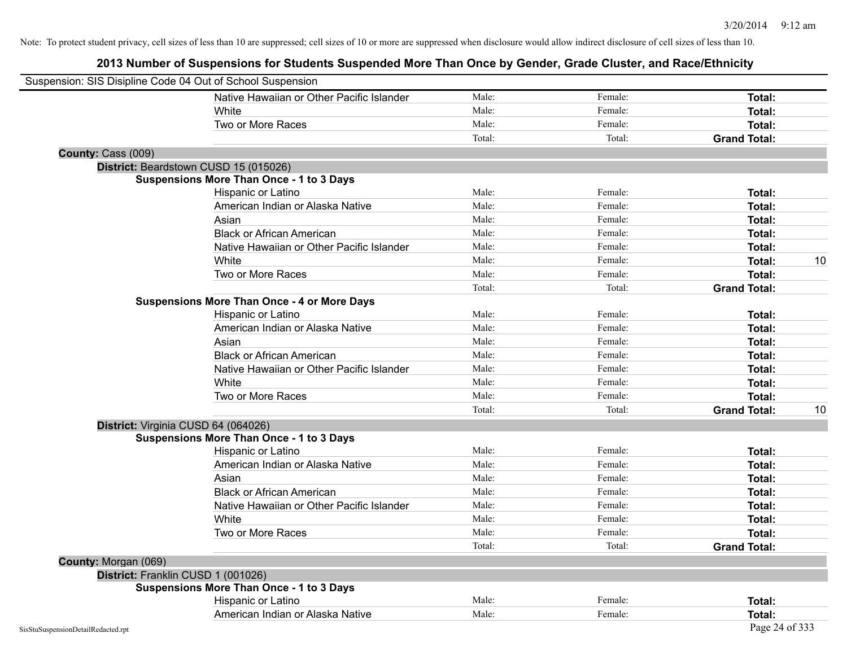|                      | Suspension: SIS Disipline Code 04 Out of School Suspension |        |         |                     |    |
|----------------------|------------------------------------------------------------|--------|---------|---------------------|----|
|                      | Native Hawaiian or Other Pacific Islander                  | Male:  | Female: | Total:              |    |
|                      | White                                                      | Male:  | Female: | <b>Total:</b>       |    |
|                      | Two or More Races                                          | Male:  | Female: | <b>Total:</b>       |    |
|                      |                                                            | Total: | Total:  | <b>Grand Total:</b> |    |
| County: Cass (009)   |                                                            |        |         |                     |    |
|                      | District: Beardstown CUSD 15 (015026)                      |        |         |                     |    |
|                      | <b>Suspensions More Than Once - 1 to 3 Days</b>            |        |         |                     |    |
|                      | Hispanic or Latino                                         | Male:  | Female: | Total:              |    |
|                      | American Indian or Alaska Native                           | Male:  | Female: | <b>Total:</b>       |    |
|                      | Asian                                                      | Male:  | Female: | <b>Total:</b>       |    |
|                      | <b>Black or African American</b>                           | Male:  | Female: | Total:              |    |
|                      | Native Hawaiian or Other Pacific Islander                  | Male:  | Female: | <b>Total:</b>       |    |
|                      | White                                                      | Male:  | Female: | Total:              | 10 |
|                      | Two or More Races                                          | Male:  | Female: | Total:              |    |
|                      |                                                            | Total: | Total:  | <b>Grand Total:</b> |    |
|                      | <b>Suspensions More Than Once - 4 or More Days</b>         |        |         |                     |    |
|                      | Hispanic or Latino                                         | Male:  | Female: | Total:              |    |
|                      | American Indian or Alaska Native                           | Male:  | Female: | Total:              |    |
|                      | Asian                                                      | Male:  | Female: | Total:              |    |
|                      | <b>Black or African American</b>                           | Male:  | Female: | Total:              |    |
|                      | Native Hawaiian or Other Pacific Islander                  | Male:  | Female: | Total:              |    |
|                      | White                                                      | Male:  | Female: | Total:              |    |
|                      | Two or More Races                                          | Male:  | Female: | Total:              |    |
|                      |                                                            | Total: | Total:  | <b>Grand Total:</b> | 10 |
|                      | District: Virginia CUSD 64 (064026)                        |        |         |                     |    |
|                      | <b>Suspensions More Than Once - 1 to 3 Days</b>            |        |         |                     |    |
|                      | Hispanic or Latino                                         | Male:  | Female: | <b>Total:</b>       |    |
|                      | American Indian or Alaska Native                           | Male:  | Female: | Total:              |    |
|                      | Asian                                                      | Male:  | Female: | Total:              |    |
|                      | <b>Black or African American</b>                           | Male:  | Female: | <b>Total:</b>       |    |
|                      | Native Hawaiian or Other Pacific Islander                  | Male:  | Female: | <b>Total:</b>       |    |
|                      | White                                                      | Male:  | Female: | <b>Total:</b>       |    |
|                      | Two or More Races                                          | Male:  | Female: | Total:              |    |
|                      |                                                            | Total: | Total:  | <b>Grand Total:</b> |    |
| County: Morgan (069) |                                                            |        |         |                     |    |
|                      | District: Franklin CUSD 1 (001026)                         |        |         |                     |    |
|                      | <b>Suspensions More Than Once - 1 to 3 Days</b>            |        |         |                     |    |
|                      | Hispanic or Latino                                         | Male:  | Female: | <b>Total:</b>       |    |
|                      | American Indian or Alaska Native                           | Male:  | Female: | Total:              |    |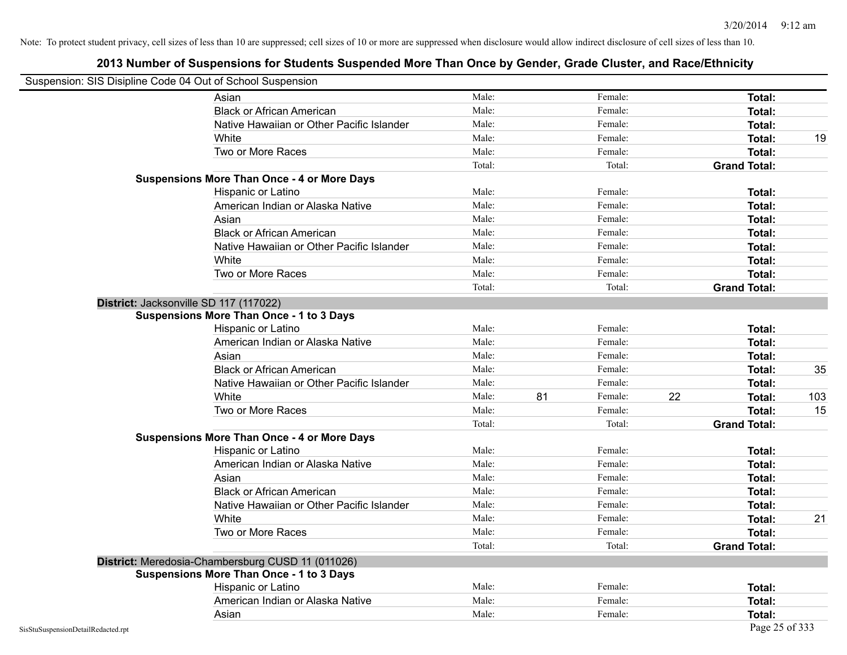| Suspension: SIS Disipline Code 04 Out of School Suspension |                                                    |        |    |         |    |                     |     |
|------------------------------------------------------------|----------------------------------------------------|--------|----|---------|----|---------------------|-----|
|                                                            | Asian                                              | Male:  |    | Female: |    | Total:              |     |
|                                                            | <b>Black or African American</b>                   | Male:  |    | Female: |    | Total:              |     |
|                                                            | Native Hawaiian or Other Pacific Islander          | Male:  |    | Female: |    | Total:              |     |
|                                                            | White                                              | Male:  |    | Female: |    | Total:              | 19  |
|                                                            | Two or More Races                                  | Male:  |    | Female: |    | Total:              |     |
|                                                            |                                                    | Total: |    | Total:  |    | <b>Grand Total:</b> |     |
|                                                            | <b>Suspensions More Than Once - 4 or More Days</b> |        |    |         |    |                     |     |
|                                                            | Hispanic or Latino                                 | Male:  |    | Female: |    | Total:              |     |
|                                                            | American Indian or Alaska Native                   | Male:  |    | Female: |    | Total:              |     |
|                                                            | Asian                                              | Male:  |    | Female: |    | Total:              |     |
|                                                            | <b>Black or African American</b>                   | Male:  |    | Female: |    | Total:              |     |
|                                                            | Native Hawaiian or Other Pacific Islander          | Male:  |    | Female: |    | <b>Total:</b>       |     |
|                                                            | White                                              | Male:  |    | Female: |    | <b>Total:</b>       |     |
|                                                            | Two or More Races                                  | Male:  |    | Female: |    | <b>Total:</b>       |     |
|                                                            |                                                    | Total: |    | Total:  |    | <b>Grand Total:</b> |     |
|                                                            | District: Jacksonville SD 117 (117022)             |        |    |         |    |                     |     |
|                                                            | <b>Suspensions More Than Once - 1 to 3 Days</b>    |        |    |         |    |                     |     |
|                                                            | Hispanic or Latino                                 | Male:  |    | Female: |    | <b>Total:</b>       |     |
|                                                            | American Indian or Alaska Native                   | Male:  |    | Female: |    | <b>Total:</b>       |     |
|                                                            | Asian                                              | Male:  |    | Female: |    | Total:              |     |
|                                                            | <b>Black or African American</b>                   | Male:  |    | Female: |    | Total:              | 35  |
|                                                            | Native Hawaiian or Other Pacific Islander          | Male:  |    | Female: |    | Total:              |     |
|                                                            | White                                              | Male:  | 81 | Female: | 22 | Total:              | 103 |
|                                                            | Two or More Races                                  | Male:  |    | Female: |    | <b>Total:</b>       | 15  |
|                                                            |                                                    | Total: |    | Total:  |    | <b>Grand Total:</b> |     |
|                                                            | <b>Suspensions More Than Once - 4 or More Days</b> |        |    |         |    |                     |     |
|                                                            | Hispanic or Latino                                 | Male:  |    | Female: |    | Total:              |     |
|                                                            | American Indian or Alaska Native                   | Male:  |    | Female: |    | <b>Total:</b>       |     |
|                                                            | Asian                                              | Male:  |    | Female: |    | Total:              |     |
|                                                            | <b>Black or African American</b>                   | Male:  |    | Female: |    | <b>Total:</b>       |     |
|                                                            | Native Hawaiian or Other Pacific Islander          | Male:  |    | Female: |    | Total:              |     |
|                                                            | White                                              | Male:  |    | Female: |    | Total:              | 21  |
|                                                            | Two or More Races                                  | Male:  |    | Female: |    | Total:              |     |
|                                                            |                                                    | Total: |    | Total:  |    | <b>Grand Total:</b> |     |
|                                                            | District: Meredosia-Chambersburg CUSD 11 (011026)  |        |    |         |    |                     |     |
|                                                            | <b>Suspensions More Than Once - 1 to 3 Days</b>    |        |    |         |    |                     |     |
|                                                            | Hispanic or Latino                                 | Male:  |    | Female: |    | Total:              |     |
|                                                            | American Indian or Alaska Native                   | Male:  |    | Female: |    | Total:              |     |
|                                                            | Asian                                              | Male:  |    | Female: |    | <b>Total:</b>       |     |
| SisStuSuspensionDetailRedacted.rpt                         |                                                    |        |    |         |    | Page 25 of 333      |     |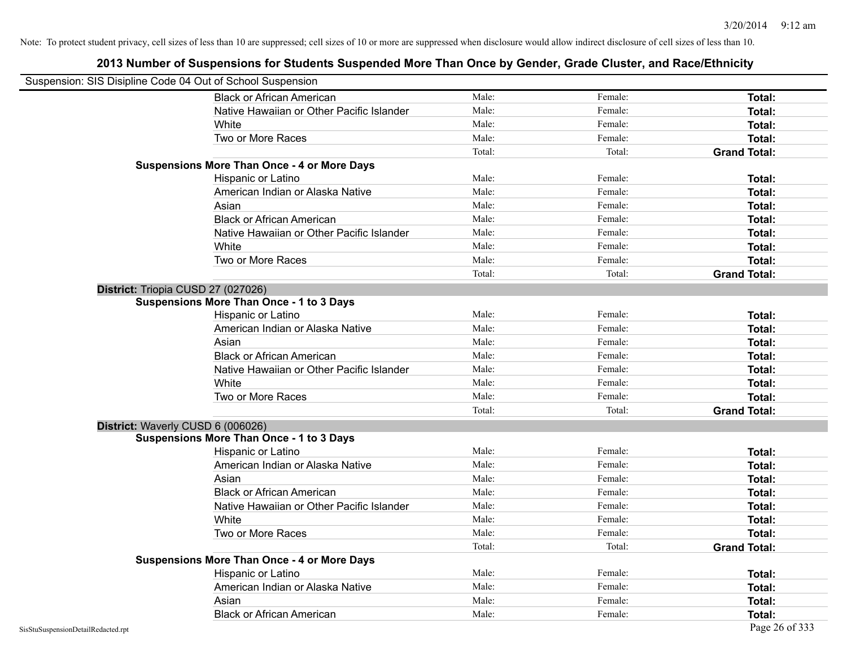| Suspension: SIS Disipline Code 04 Out of School Suspension |                                                    |        |         |                     |
|------------------------------------------------------------|----------------------------------------------------|--------|---------|---------------------|
|                                                            | <b>Black or African American</b>                   | Male:  | Female: | Total:              |
|                                                            | Native Hawaiian or Other Pacific Islander          | Male:  | Female: | Total:              |
|                                                            | White                                              | Male:  | Female: | Total:              |
|                                                            | Two or More Races                                  | Male:  | Female: | Total:              |
|                                                            |                                                    | Total: | Total:  | <b>Grand Total:</b> |
|                                                            | <b>Suspensions More Than Once - 4 or More Days</b> |        |         |                     |
|                                                            | Hispanic or Latino                                 | Male:  | Female: | Total:              |
|                                                            | American Indian or Alaska Native                   | Male:  | Female: | Total:              |
|                                                            | Asian                                              | Male:  | Female: | Total:              |
|                                                            | <b>Black or African American</b>                   | Male:  | Female: | Total:              |
|                                                            | Native Hawaiian or Other Pacific Islander          | Male:  | Female: | Total:              |
|                                                            | White                                              | Male:  | Female: | Total:              |
|                                                            | Two or More Races                                  | Male:  | Female: | <b>Total:</b>       |
|                                                            |                                                    | Total: | Total:  | <b>Grand Total:</b> |
| District: Triopia CUSD 27 (027026)                         |                                                    |        |         |                     |
|                                                            | <b>Suspensions More Than Once - 1 to 3 Days</b>    |        |         |                     |
|                                                            | Hispanic or Latino                                 | Male:  | Female: | Total:              |
|                                                            | American Indian or Alaska Native                   | Male:  | Female: | Total:              |
|                                                            | Asian                                              | Male:  | Female: | Total:              |
|                                                            | <b>Black or African American</b>                   | Male:  | Female: | <b>Total:</b>       |
|                                                            | Native Hawaiian or Other Pacific Islander          | Male:  | Female: | Total:              |
|                                                            | White                                              | Male:  | Female: | Total:              |
|                                                            | Two or More Races                                  | Male:  | Female: | Total:              |
|                                                            |                                                    | Total: | Total:  | <b>Grand Total:</b> |
| District: Waverly CUSD 6 (006026)                          |                                                    |        |         |                     |
|                                                            | <b>Suspensions More Than Once - 1 to 3 Days</b>    |        |         |                     |
|                                                            | Hispanic or Latino                                 | Male:  | Female: | Total:              |
|                                                            | American Indian or Alaska Native                   | Male:  | Female: | Total:              |
|                                                            | Asian                                              | Male:  | Female: | Total:              |
|                                                            | <b>Black or African American</b>                   | Male:  | Female: | Total:              |
|                                                            | Native Hawaiian or Other Pacific Islander          | Male:  | Female: | Total:              |
|                                                            | <b>White</b>                                       | Male:  | Female: | Total:              |
|                                                            | Two or More Races                                  | Male:  | Female: | <b>Total:</b>       |
|                                                            |                                                    | Total: | Total:  | <b>Grand Total:</b> |
|                                                            | <b>Suspensions More Than Once - 4 or More Days</b> |        |         |                     |
|                                                            | Hispanic or Latino                                 | Male:  | Female: | Total:              |
|                                                            | American Indian or Alaska Native                   | Male:  | Female: | Total:              |
|                                                            | Asian                                              | Male:  | Female: | Total:              |
|                                                            | <b>Black or African American</b>                   | Male:  | Female: | Total:              |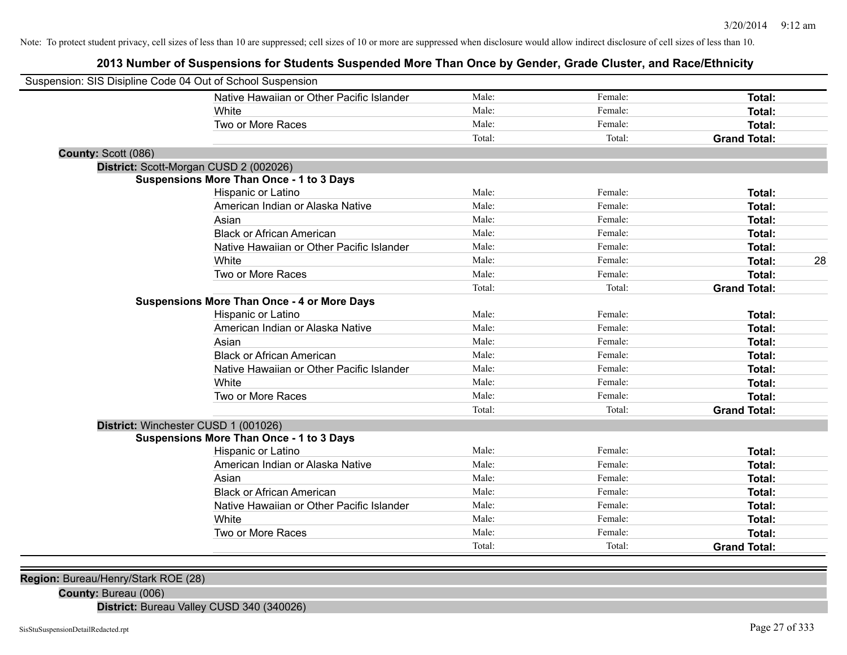## **2013 Number of Suspensions for Students Suspended More Than Once by Gender, Grade Cluster, and Race/Ethnicity**

| Suspension: SIS Disipline Code 04 Out of School Suspension |                                                    |        |         |                     |    |
|------------------------------------------------------------|----------------------------------------------------|--------|---------|---------------------|----|
|                                                            | Native Hawaiian or Other Pacific Islander          | Male:  | Female: | Total:              |    |
|                                                            | White                                              | Male:  | Female: | Total:              |    |
|                                                            | Two or More Races                                  | Male:  | Female: | <b>Total:</b>       |    |
|                                                            |                                                    | Total: | Total:  | <b>Grand Total:</b> |    |
| County: Scott (086)                                        |                                                    |        |         |                     |    |
|                                                            | District: Scott-Morgan CUSD 2 (002026)             |        |         |                     |    |
|                                                            | Suspensions More Than Once - 1 to 3 Days           |        |         |                     |    |
|                                                            | Hispanic or Latino                                 | Male:  | Female: | Total:              |    |
|                                                            | American Indian or Alaska Native                   | Male:  | Female: | Total:              |    |
|                                                            | Asian                                              | Male:  | Female: | Total:              |    |
|                                                            | <b>Black or African American</b>                   | Male:  | Female: | Total:              |    |
|                                                            | Native Hawaiian or Other Pacific Islander          | Male:  | Female: | <b>Total:</b>       |    |
|                                                            | White                                              | Male:  | Female: | Total:              | 28 |
|                                                            | Two or More Races                                  | Male:  | Female: | Total:              |    |
|                                                            |                                                    | Total: | Total:  | <b>Grand Total:</b> |    |
|                                                            | <b>Suspensions More Than Once - 4 or More Days</b> |        |         |                     |    |
|                                                            | Hispanic or Latino                                 | Male:  | Female: | Total:              |    |
|                                                            | American Indian or Alaska Native                   | Male:  | Female: | Total:              |    |
|                                                            | Asian                                              | Male:  | Female: | Total:              |    |
|                                                            | <b>Black or African American</b>                   | Male:  | Female: | <b>Total:</b>       |    |
|                                                            | Native Hawaiian or Other Pacific Islander          | Male:  | Female: | Total:              |    |
|                                                            | White                                              | Male:  | Female: | Total:              |    |
|                                                            | Two or More Races                                  | Male:  | Female: | Total:              |    |
|                                                            |                                                    | Total: | Total:  | <b>Grand Total:</b> |    |
|                                                            | District: Winchester CUSD 1 (001026)               |        |         |                     |    |
|                                                            | <b>Suspensions More Than Once - 1 to 3 Days</b>    |        |         |                     |    |
|                                                            | Hispanic or Latino                                 | Male:  | Female: | Total:              |    |
|                                                            | American Indian or Alaska Native                   | Male:  | Female: | Total:              |    |
|                                                            | Asian                                              | Male:  | Female: | Total:              |    |
|                                                            | <b>Black or African American</b>                   | Male:  | Female: | Total:              |    |
|                                                            | Native Hawaiian or Other Pacific Islander          | Male:  | Female: | Total:              |    |
|                                                            | White                                              | Male:  | Female: | Total:              |    |
|                                                            | Two or More Races                                  | Male:  | Female: | Total:              |    |
|                                                            |                                                    | Total: | Total:  | <b>Grand Total:</b> |    |
|                                                            |                                                    |        |         |                     |    |

**Region:** Bureau/Henry/Stark ROE (28)

**County:** Bureau (006)

**District:** Bureau Valley CUSD 340 (340026)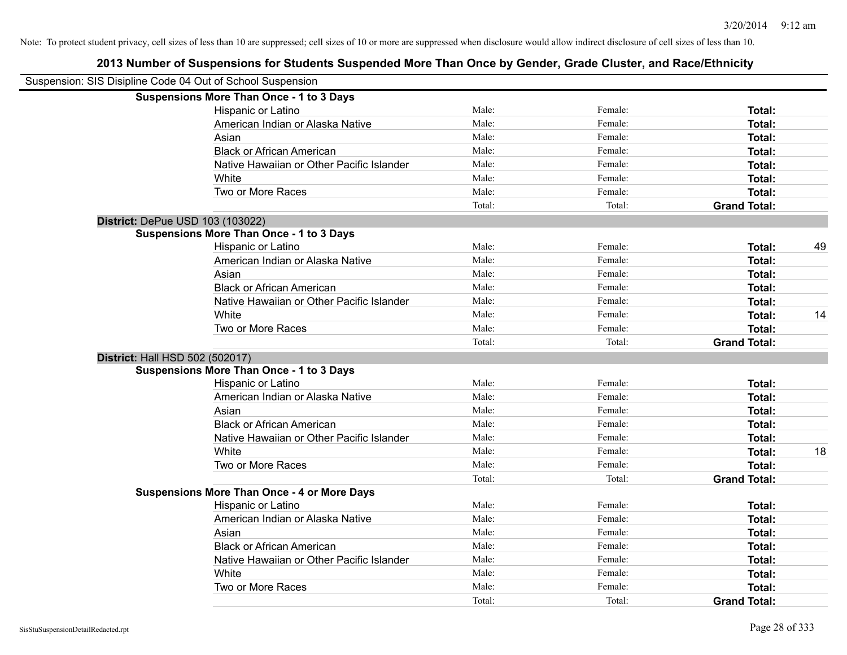| Suspension: SIS Disipline Code 04 Out of School Suspension |                                                    |        |         |                     |    |
|------------------------------------------------------------|----------------------------------------------------|--------|---------|---------------------|----|
|                                                            | <b>Suspensions More Than Once - 1 to 3 Days</b>    |        |         |                     |    |
|                                                            | Hispanic or Latino                                 | Male:  | Female: | Total:              |    |
|                                                            | American Indian or Alaska Native                   | Male:  | Female: | Total:              |    |
|                                                            | Asian                                              | Male:  | Female: | Total:              |    |
|                                                            | <b>Black or African American</b>                   | Male:  | Female: | Total:              |    |
|                                                            | Native Hawaiian or Other Pacific Islander          | Male:  | Female: | Total:              |    |
|                                                            | White                                              | Male:  | Female: | Total:              |    |
|                                                            | Two or More Races                                  | Male:  | Female: | Total:              |    |
|                                                            |                                                    | Total: | Total:  | <b>Grand Total:</b> |    |
|                                                            | District: DePue USD 103 (103022)                   |        |         |                     |    |
|                                                            | <b>Suspensions More Than Once - 1 to 3 Days</b>    |        |         |                     |    |
|                                                            | Hispanic or Latino                                 | Male:  | Female: | Total:              | 49 |
|                                                            | American Indian or Alaska Native                   | Male:  | Female: | Total:              |    |
|                                                            | Asian                                              | Male:  | Female: | Total:              |    |
|                                                            | <b>Black or African American</b>                   | Male:  | Female: | Total:              |    |
|                                                            | Native Hawaiian or Other Pacific Islander          | Male:  | Female: | Total:              |    |
|                                                            | White                                              | Male:  | Female: | Total:              | 14 |
|                                                            | Two or More Races                                  | Male:  | Female: | Total:              |    |
|                                                            |                                                    | Total: | Total:  | <b>Grand Total:</b> |    |
| District: Hall HSD 502 (502017)                            |                                                    |        |         |                     |    |
|                                                            | <b>Suspensions More Than Once - 1 to 3 Days</b>    |        |         |                     |    |
|                                                            | Hispanic or Latino                                 | Male:  | Female: | Total:              |    |
|                                                            | American Indian or Alaska Native                   | Male:  | Female: | Total:              |    |
|                                                            | Asian                                              | Male:  | Female: | Total:              |    |
|                                                            | <b>Black or African American</b>                   | Male:  | Female: | Total:              |    |
|                                                            | Native Hawaiian or Other Pacific Islander          | Male:  | Female: | Total:              |    |
|                                                            | White                                              | Male:  | Female: | Total:              | 18 |
|                                                            | Two or More Races                                  | Male:  | Female: | Total:              |    |
|                                                            |                                                    | Total: | Total:  | <b>Grand Total:</b> |    |
|                                                            | <b>Suspensions More Than Once - 4 or More Days</b> |        |         |                     |    |
|                                                            | Hispanic or Latino                                 | Male:  | Female: | Total:              |    |
|                                                            | American Indian or Alaska Native                   | Male:  | Female: | Total:              |    |
|                                                            | Asian                                              | Male:  | Female: | Total:              |    |
|                                                            | <b>Black or African American</b>                   | Male:  | Female: | Total:              |    |
|                                                            | Native Hawaiian or Other Pacific Islander          | Male:  | Female: | Total:              |    |
|                                                            | White                                              | Male:  | Female: | Total:              |    |
|                                                            | Two or More Races                                  | Male:  | Female: | Total:              |    |
|                                                            |                                                    | Total: | Total:  | <b>Grand Total:</b> |    |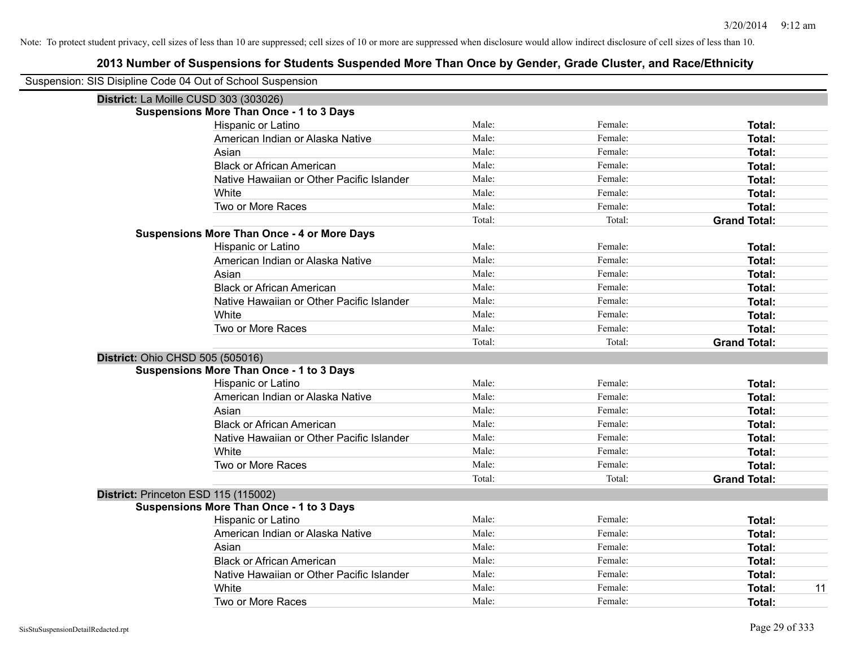| Suspension: SIS Disipline Code 04 Out of School Suspension |                                                    |        |         |                     |
|------------------------------------------------------------|----------------------------------------------------|--------|---------|---------------------|
| District: La Moille CUSD 303 (303026)                      |                                                    |        |         |                     |
|                                                            | <b>Suspensions More Than Once - 1 to 3 Days</b>    |        |         |                     |
|                                                            | Hispanic or Latino                                 | Male:  | Female: | Total:              |
|                                                            | American Indian or Alaska Native                   | Male:  | Female: | <b>Total:</b>       |
|                                                            | Asian                                              | Male:  | Female: | <b>Total:</b>       |
|                                                            | <b>Black or African American</b>                   | Male:  | Female: | <b>Total:</b>       |
|                                                            | Native Hawaiian or Other Pacific Islander          | Male:  | Female: | <b>Total:</b>       |
|                                                            | White                                              | Male:  | Female: | Total:              |
|                                                            | Two or More Races                                  | Male:  | Female: | <b>Total:</b>       |
|                                                            |                                                    | Total: | Total:  | <b>Grand Total:</b> |
|                                                            | <b>Suspensions More Than Once - 4 or More Days</b> |        |         |                     |
|                                                            | Hispanic or Latino                                 | Male:  | Female: | Total:              |
|                                                            | American Indian or Alaska Native                   | Male:  | Female: | <b>Total:</b>       |
|                                                            | Asian                                              | Male:  | Female: | <b>Total:</b>       |
|                                                            | <b>Black or African American</b>                   | Male:  | Female: | <b>Total:</b>       |
|                                                            | Native Hawaiian or Other Pacific Islander          | Male:  | Female: | Total:              |
|                                                            | White                                              | Male:  | Female: | Total:              |
|                                                            | Two or More Races                                  | Male:  | Female: | <b>Total:</b>       |
|                                                            |                                                    | Total: | Total:  | <b>Grand Total:</b> |
| District: Ohio CHSD 505 (505016)                           |                                                    |        |         |                     |
|                                                            | <b>Suspensions More Than Once - 1 to 3 Days</b>    |        |         |                     |
|                                                            | Hispanic or Latino                                 | Male:  | Female: | Total:              |
|                                                            | American Indian or Alaska Native                   | Male:  | Female: | <b>Total:</b>       |
|                                                            | Asian                                              | Male:  | Female: | <b>Total:</b>       |
|                                                            | <b>Black or African American</b>                   | Male:  | Female: | <b>Total:</b>       |
|                                                            | Native Hawaiian or Other Pacific Islander          | Male:  | Female: | <b>Total:</b>       |
|                                                            | White                                              | Male:  | Female: | <b>Total:</b>       |
|                                                            | Two or More Races                                  | Male:  | Female: | <b>Total:</b>       |
|                                                            |                                                    | Total: | Total:  | <b>Grand Total:</b> |
| District: Princeton ESD 115 (115002)                       |                                                    |        |         |                     |
|                                                            | <b>Suspensions More Than Once - 1 to 3 Days</b>    |        |         |                     |
|                                                            | Hispanic or Latino                                 | Male:  | Female: | Total:              |
|                                                            | American Indian or Alaska Native                   | Male:  | Female: | <b>Total:</b>       |
|                                                            | Asian                                              | Male:  | Female: | <b>Total:</b>       |
|                                                            | <b>Black or African American</b>                   | Male:  | Female: | <b>Total:</b>       |
|                                                            | Native Hawaiian or Other Pacific Islander          | Male:  | Female: | <b>Total:</b>       |
|                                                            | White                                              | Male:  | Female: | 11<br><b>Total:</b> |
|                                                            | Two or More Races                                  | Male:  | Female: | Total:              |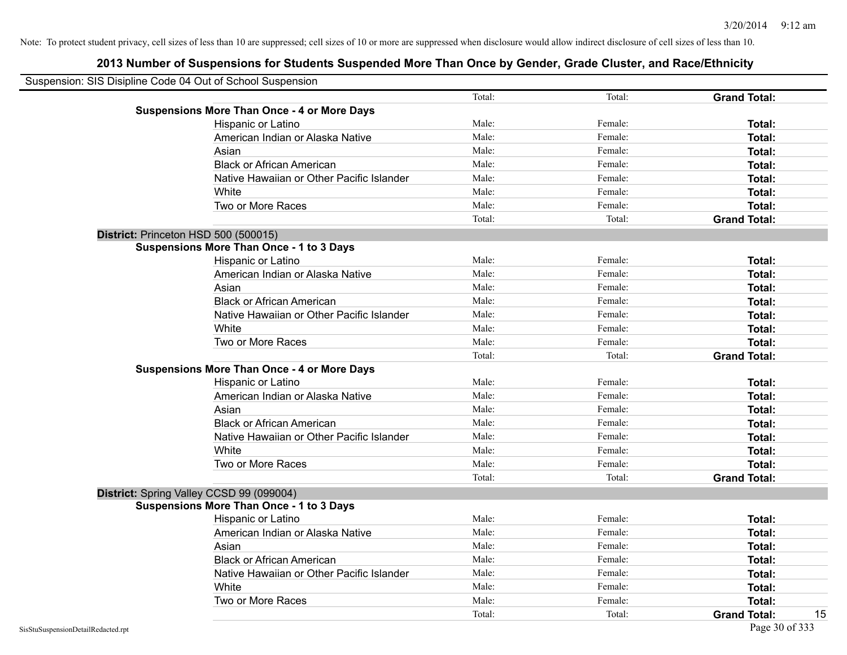| Suspension: SIS Disipline Code 04 Out of School Suspension |        |         |                     |
|------------------------------------------------------------|--------|---------|---------------------|
|                                                            | Total: | Total:  | <b>Grand Total:</b> |
| <b>Suspensions More Than Once - 4 or More Days</b>         |        |         |                     |
| Hispanic or Latino                                         | Male:  | Female: | Total:              |
| American Indian or Alaska Native                           | Male:  | Female: | Total:              |
| Asian                                                      | Male:  | Female: | Total:              |
| <b>Black or African American</b>                           | Male:  | Female: | Total:              |
| Native Hawaiian or Other Pacific Islander                  | Male:  | Female: | Total:              |
| White                                                      | Male:  | Female: | Total:              |
| Two or More Races                                          | Male:  | Female: | Total:              |
|                                                            | Total: | Total:  | <b>Grand Total:</b> |
| District: Princeton HSD 500 (500015)                       |        |         |                     |
| <b>Suspensions More Than Once - 1 to 3 Days</b>            |        |         |                     |
| Hispanic or Latino                                         | Male:  | Female: | Total:              |
| American Indian or Alaska Native                           | Male:  | Female: | Total:              |
| Asian                                                      | Male:  | Female: | Total:              |
| <b>Black or African American</b>                           | Male:  | Female: | Total:              |
| Native Hawaiian or Other Pacific Islander                  | Male:  | Female: | Total:              |
| White                                                      | Male:  | Female: | Total:              |
| Two or More Races                                          | Male:  | Female: | Total:              |
|                                                            | Total: | Total:  | <b>Grand Total:</b> |
| <b>Suspensions More Than Once - 4 or More Days</b>         |        |         |                     |
| <b>Hispanic or Latino</b>                                  | Male:  | Female: | Total:              |
| American Indian or Alaska Native                           | Male:  | Female: | Total:              |
| Asian                                                      | Male:  | Female: | Total:              |
| <b>Black or African American</b>                           | Male:  | Female: | Total:              |
| Native Hawaiian or Other Pacific Islander                  | Male:  | Female: | Total:              |
| White                                                      | Male:  | Female: | Total:              |
| Two or More Races                                          | Male:  | Female: | Total:              |
|                                                            | Total: | Total:  | <b>Grand Total:</b> |
| District: Spring Valley CCSD 99 (099004)                   |        |         |                     |
| <b>Suspensions More Than Once - 1 to 3 Days</b>            |        |         |                     |
| Hispanic or Latino                                         | Male:  | Female: | Total:              |
| American Indian or Alaska Native                           | Male:  | Female: | Total:              |
| Asian                                                      | Male:  | Female: | Total:              |
| <b>Black or African American</b>                           | Male:  | Female: | Total:              |
| Native Hawaiian or Other Pacific Islander                  | Male:  | Female: | Total:              |
| White                                                      | Male:  | Female: | Total:              |
| Two or More Races                                          | Male:  | Female: | Total:              |
|                                                            | Total: | Total:  | <b>Grand Total:</b> |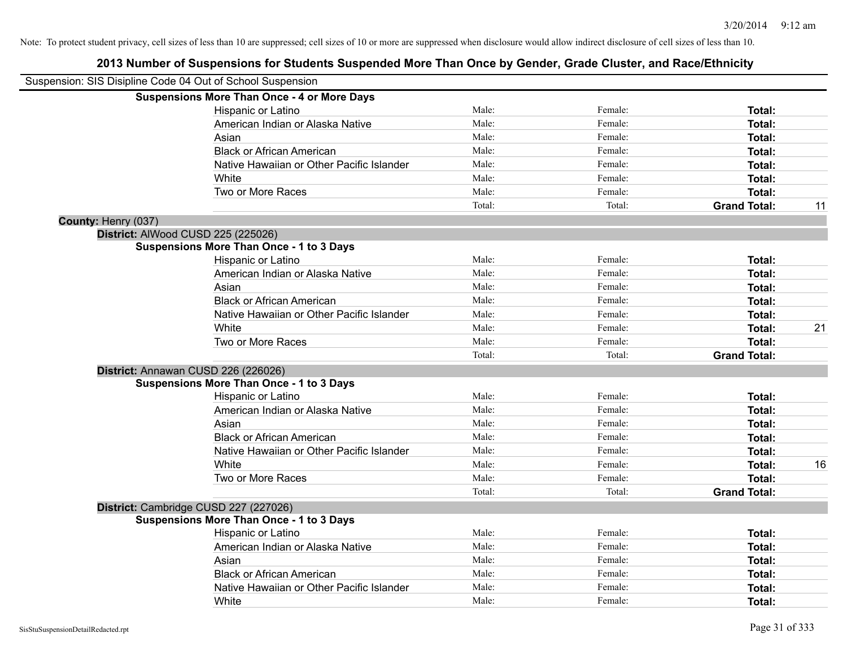| Suspension: SIS Disipline Code 04 Out of School Suspension |                                                    |        |         |                     |    |
|------------------------------------------------------------|----------------------------------------------------|--------|---------|---------------------|----|
|                                                            | <b>Suspensions More Than Once - 4 or More Days</b> |        |         |                     |    |
|                                                            | Hispanic or Latino                                 | Male:  | Female: | Total:              |    |
|                                                            | American Indian or Alaska Native                   | Male:  | Female: | Total:              |    |
|                                                            | Asian                                              | Male:  | Female: | Total:              |    |
|                                                            | <b>Black or African American</b>                   | Male:  | Female: | Total:              |    |
|                                                            | Native Hawaiian or Other Pacific Islander          | Male:  | Female: | Total:              |    |
|                                                            | White                                              | Male:  | Female: | Total:              |    |
|                                                            | Two or More Races                                  | Male:  | Female: | Total:              |    |
|                                                            |                                                    | Total: | Total:  | <b>Grand Total:</b> | 11 |
| County: Henry (037)                                        |                                                    |        |         |                     |    |
|                                                            | District: AlWood CUSD 225 (225026)                 |        |         |                     |    |
|                                                            | <b>Suspensions More Than Once - 1 to 3 Days</b>    |        |         |                     |    |
|                                                            | Hispanic or Latino                                 | Male:  | Female: | Total:              |    |
|                                                            | American Indian or Alaska Native                   | Male:  | Female: | Total:              |    |
|                                                            | Asian                                              | Male:  | Female: | Total:              |    |
|                                                            | <b>Black or African American</b>                   | Male:  | Female: | Total:              |    |
|                                                            | Native Hawaiian or Other Pacific Islander          | Male:  | Female: | Total:              |    |
|                                                            | White                                              | Male:  | Female: | Total:              | 21 |
|                                                            | Two or More Races                                  | Male:  | Female: | Total:              |    |
|                                                            |                                                    | Total: | Total:  | <b>Grand Total:</b> |    |
|                                                            | District: Annawan CUSD 226 (226026)                |        |         |                     |    |
|                                                            | <b>Suspensions More Than Once - 1 to 3 Days</b>    |        |         |                     |    |
|                                                            | Hispanic or Latino                                 | Male:  | Female: | Total:              |    |
|                                                            | American Indian or Alaska Native                   | Male:  | Female: | Total:              |    |
|                                                            | Asian                                              | Male:  | Female: | Total:              |    |
|                                                            | <b>Black or African American</b>                   | Male:  | Female: | Total:              |    |
|                                                            | Native Hawaiian or Other Pacific Islander          | Male:  | Female: | Total:              |    |
|                                                            | <b>White</b>                                       | Male:  | Female: | Total:              | 16 |
|                                                            | Two or More Races                                  | Male:  | Female: | Total:              |    |
|                                                            |                                                    | Total: | Total:  | <b>Grand Total:</b> |    |
|                                                            | District: Cambridge CUSD 227 (227026)              |        |         |                     |    |
|                                                            | <b>Suspensions More Than Once - 1 to 3 Days</b>    |        |         |                     |    |
|                                                            | Hispanic or Latino                                 | Male:  | Female: | Total:              |    |
|                                                            | American Indian or Alaska Native                   | Male:  | Female: | Total:              |    |
|                                                            | Asian                                              | Male:  | Female: | Total:              |    |
|                                                            | <b>Black or African American</b>                   | Male:  | Female: | Total:              |    |
|                                                            | Native Hawaiian or Other Pacific Islander          | Male:  | Female: | Total:              |    |
|                                                            | White                                              | Male:  | Female: | Total:              |    |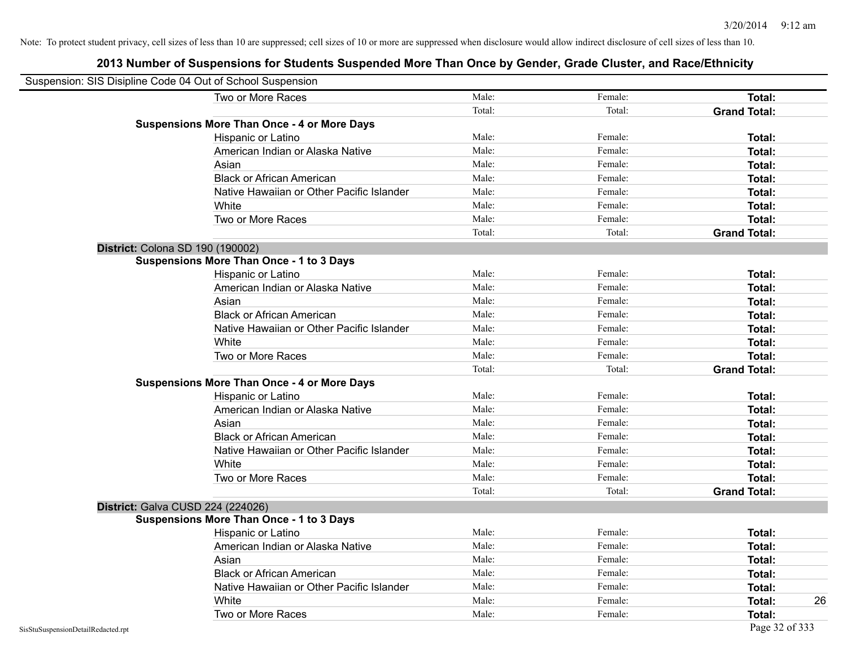| Suspension: SIS Disipline Code 04 Out of School Suspension |                                                    |        |         |                     |
|------------------------------------------------------------|----------------------------------------------------|--------|---------|---------------------|
|                                                            | Two or More Races                                  | Male:  | Female: | <b>Total:</b>       |
|                                                            |                                                    | Total: | Total:  | <b>Grand Total:</b> |
|                                                            | <b>Suspensions More Than Once - 4 or More Days</b> |        |         |                     |
|                                                            | Hispanic or Latino                                 | Male:  | Female: | Total:              |
|                                                            | American Indian or Alaska Native                   | Male:  | Female: | Total:              |
|                                                            | Asian                                              | Male:  | Female: | Total:              |
|                                                            | <b>Black or African American</b>                   | Male:  | Female: | Total:              |
|                                                            | Native Hawaiian or Other Pacific Islander          | Male:  | Female: | Total:              |
|                                                            | White                                              | Male:  | Female: | Total:              |
|                                                            | Two or More Races                                  | Male:  | Female: | Total:              |
|                                                            |                                                    | Total: | Total:  | <b>Grand Total:</b> |
|                                                            | District: Colona SD 190 (190002)                   |        |         |                     |
|                                                            | <b>Suspensions More Than Once - 1 to 3 Days</b>    |        |         |                     |
|                                                            | Hispanic or Latino                                 | Male:  | Female: | Total:              |
|                                                            | American Indian or Alaska Native                   | Male:  | Female: | Total:              |
|                                                            | Asian                                              | Male:  | Female: | Total:              |
|                                                            | <b>Black or African American</b>                   | Male:  | Female: | Total:              |
|                                                            | Native Hawaiian or Other Pacific Islander          | Male:  | Female: | Total:              |
|                                                            | White                                              | Male:  | Female: | Total:              |
|                                                            | Two or More Races                                  | Male:  | Female: | Total:              |
|                                                            |                                                    | Total: | Total:  | <b>Grand Total:</b> |
|                                                            | <b>Suspensions More Than Once - 4 or More Days</b> |        |         |                     |
|                                                            | Hispanic or Latino                                 | Male:  | Female: | Total:              |
|                                                            | American Indian or Alaska Native                   | Male:  | Female: | Total:              |
|                                                            | Asian                                              | Male:  | Female: | Total:              |
|                                                            | <b>Black or African American</b>                   | Male:  | Female: | Total:              |
|                                                            | Native Hawaiian or Other Pacific Islander          | Male:  | Female: | Total:              |
|                                                            | White                                              | Male:  | Female: | Total:              |
|                                                            | Two or More Races                                  | Male:  | Female: | Total:              |
|                                                            |                                                    | Total: | Total:  | <b>Grand Total:</b> |
|                                                            | District: Galva CUSD 224 (224026)                  |        |         |                     |
|                                                            | <b>Suspensions More Than Once - 1 to 3 Days</b>    |        |         |                     |
|                                                            | Hispanic or Latino                                 | Male:  | Female: | Total:              |
|                                                            | American Indian or Alaska Native                   | Male:  | Female: | Total:              |
|                                                            | Asian                                              | Male:  | Female: | Total:              |
|                                                            | <b>Black or African American</b>                   | Male:  | Female: | Total:              |
|                                                            | Native Hawaiian or Other Pacific Islander          | Male:  | Female: | Total:              |
|                                                            | White                                              | Male:  | Female: | Total:<br>26        |
|                                                            | Two or More Races                                  | Male:  | Female: | Total:              |
| SisStuSuspensionDetailRedacted.rpt                         |                                                    |        |         | Page 32 of 333      |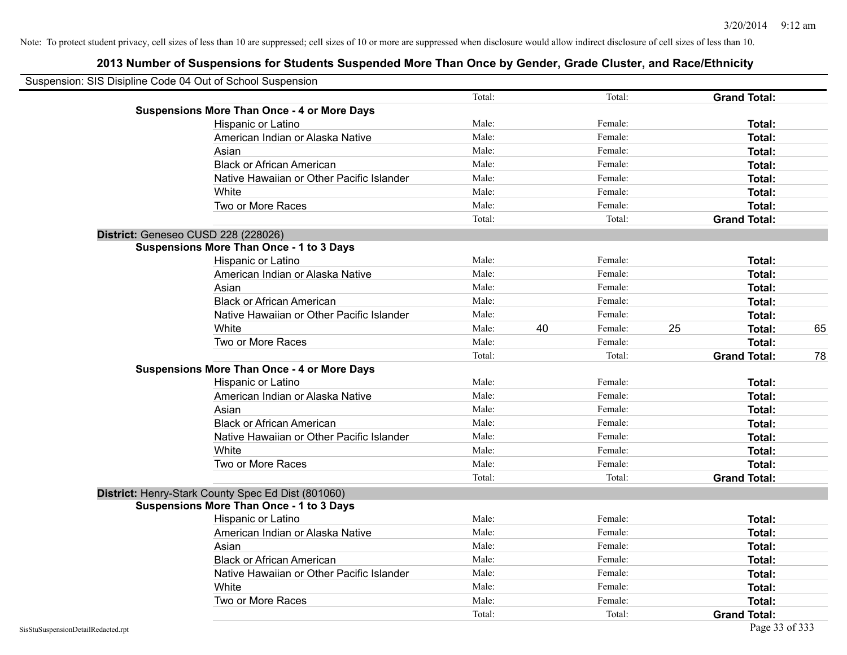| Suspension: SIS Disipline Code 04 Out of School Suspension |        |    |         |    |                     |    |
|------------------------------------------------------------|--------|----|---------|----|---------------------|----|
|                                                            | Total: |    | Total:  |    | <b>Grand Total:</b> |    |
| <b>Suspensions More Than Once - 4 or More Days</b>         |        |    |         |    |                     |    |
| Hispanic or Latino                                         | Male:  |    | Female: |    | Total:              |    |
| American Indian or Alaska Native                           | Male:  |    | Female: |    | Total:              |    |
| Asian                                                      | Male:  |    | Female: |    | Total:              |    |
| <b>Black or African American</b>                           | Male:  |    | Female: |    | Total:              |    |
| Native Hawaiian or Other Pacific Islander                  | Male:  |    | Female: |    | Total:              |    |
| White                                                      | Male:  |    | Female: |    | Total:              |    |
| Two or More Races                                          | Male:  |    | Female: |    | Total:              |    |
|                                                            | Total: |    | Total:  |    | <b>Grand Total:</b> |    |
| District: Geneseo CUSD 228 (228026)                        |        |    |         |    |                     |    |
| <b>Suspensions More Than Once - 1 to 3 Days</b>            |        |    |         |    |                     |    |
| Hispanic or Latino                                         | Male:  |    | Female: |    | Total:              |    |
| American Indian or Alaska Native                           | Male:  |    | Female: |    | Total:              |    |
| Asian                                                      | Male:  |    | Female: |    | Total:              |    |
| <b>Black or African American</b>                           | Male:  |    | Female: |    | Total:              |    |
| Native Hawaiian or Other Pacific Islander                  | Male:  |    | Female: |    | Total:              |    |
| White                                                      | Male:  | 40 | Female: | 25 | Total:              | 65 |
| Two or More Races                                          | Male:  |    | Female: |    | Total:              |    |
|                                                            | Total: |    | Total:  |    | <b>Grand Total:</b> | 78 |
| <b>Suspensions More Than Once - 4 or More Days</b>         |        |    |         |    |                     |    |
| Hispanic or Latino                                         | Male:  |    | Female: |    | Total:              |    |
| American Indian or Alaska Native                           | Male:  |    | Female: |    | Total:              |    |
| Asian                                                      | Male:  |    | Female: |    | Total:              |    |
| <b>Black or African American</b>                           | Male:  |    | Female: |    | Total:              |    |
| Native Hawaiian or Other Pacific Islander                  | Male:  |    | Female: |    | Total:              |    |
| White                                                      | Male:  |    | Female: |    | Total:              |    |
| Two or More Races                                          | Male:  |    | Female: |    | Total:              |    |
|                                                            | Total: |    | Total:  |    | <b>Grand Total:</b> |    |
| District: Henry-Stark County Spec Ed Dist (801060)         |        |    |         |    |                     |    |
| <b>Suspensions More Than Once - 1 to 3 Days</b>            |        |    |         |    |                     |    |
| Hispanic or Latino                                         | Male:  |    | Female: |    | Total:              |    |
| American Indian or Alaska Native                           | Male:  |    | Female: |    | Total:              |    |
| Asian                                                      | Male:  |    | Female: |    | Total:              |    |
| <b>Black or African American</b>                           | Male:  |    | Female: |    | Total:              |    |
| Native Hawaiian or Other Pacific Islander                  | Male:  |    | Female: |    | Total:              |    |
| White                                                      | Male:  |    | Female: |    | Total:              |    |
| Two or More Races                                          | Male:  |    | Female: |    | <b>Total:</b>       |    |
|                                                            | Total: |    | Total:  |    | <b>Grand Total:</b> |    |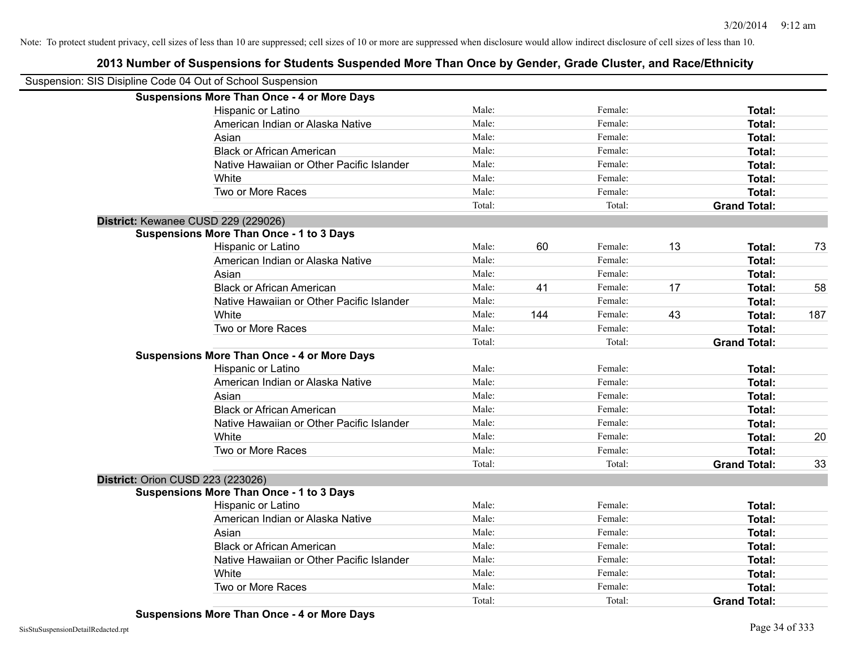| Suspension: SIS Disipline Code 04 Out of School Suspension |                                                    |        |     |         |    |                     |     |
|------------------------------------------------------------|----------------------------------------------------|--------|-----|---------|----|---------------------|-----|
|                                                            | <b>Suspensions More Than Once - 4 or More Days</b> |        |     |         |    |                     |     |
|                                                            | Hispanic or Latino                                 | Male:  |     | Female: |    | Total:              |     |
|                                                            | American Indian or Alaska Native                   | Male:  |     | Female: |    | Total:              |     |
|                                                            | Asian                                              | Male:  |     | Female: |    | Total:              |     |
|                                                            | <b>Black or African American</b>                   | Male:  |     | Female: |    | Total:              |     |
|                                                            | Native Hawaiian or Other Pacific Islander          | Male:  |     | Female: |    | Total:              |     |
|                                                            | White                                              | Male:  |     | Female: |    | Total:              |     |
|                                                            | Two or More Races                                  | Male:  |     | Female: |    | Total:              |     |
|                                                            |                                                    | Total: |     | Total:  |    | <b>Grand Total:</b> |     |
|                                                            | District: Kewanee CUSD 229 (229026)                |        |     |         |    |                     |     |
|                                                            | <b>Suspensions More Than Once - 1 to 3 Days</b>    |        |     |         |    |                     |     |
|                                                            | Hispanic or Latino                                 | Male:  | 60  | Female: | 13 | Total:              | 73  |
|                                                            | American Indian or Alaska Native                   | Male:  |     | Female: |    | Total:              |     |
|                                                            | Asian                                              | Male:  |     | Female: |    | Total:              |     |
|                                                            | <b>Black or African American</b>                   | Male:  | 41  | Female: | 17 | Total:              | 58  |
|                                                            | Native Hawaiian or Other Pacific Islander          | Male:  |     | Female: |    | Total:              |     |
|                                                            | White                                              | Male:  | 144 | Female: | 43 | Total:              | 187 |
|                                                            | Two or More Races                                  | Male:  |     | Female: |    | Total:              |     |
|                                                            |                                                    | Total: |     | Total:  |    | <b>Grand Total:</b> |     |
|                                                            | <b>Suspensions More Than Once - 4 or More Days</b> |        |     |         |    |                     |     |
|                                                            | Hispanic or Latino                                 | Male:  |     | Female: |    | Total:              |     |
|                                                            | American Indian or Alaska Native                   | Male:  |     | Female: |    | Total:              |     |
|                                                            | Asian                                              | Male:  |     | Female: |    | Total:              |     |
|                                                            | <b>Black or African American</b>                   | Male:  |     | Female: |    | Total:              |     |
|                                                            | Native Hawaiian or Other Pacific Islander          | Male:  |     | Female: |    | Total:              |     |
|                                                            | White                                              | Male:  |     | Female: |    | Total:              | 20  |
|                                                            | Two or More Races                                  | Male:  |     | Female: |    | Total:              |     |
|                                                            |                                                    | Total: |     | Total:  |    | <b>Grand Total:</b> | 33  |
|                                                            | District: Orion CUSD 223 (223026)                  |        |     |         |    |                     |     |
|                                                            | <b>Suspensions More Than Once - 1 to 3 Days</b>    |        |     |         |    |                     |     |
|                                                            | Hispanic or Latino                                 | Male:  |     | Female: |    | Total:              |     |
|                                                            | American Indian or Alaska Native                   | Male:  |     | Female: |    | Total:              |     |
|                                                            | Asian                                              | Male:  |     | Female: |    | Total:              |     |
|                                                            | <b>Black or African American</b>                   | Male:  |     | Female: |    | Total:              |     |
|                                                            | Native Hawaiian or Other Pacific Islander          | Male:  |     | Female: |    | Total:              |     |
|                                                            | White                                              | Male:  |     | Female: |    | Total:              |     |
|                                                            | Two or More Races                                  | Male:  |     | Female: |    | Total:              |     |
|                                                            |                                                    | Total: |     | Total:  |    | <b>Grand Total:</b> |     |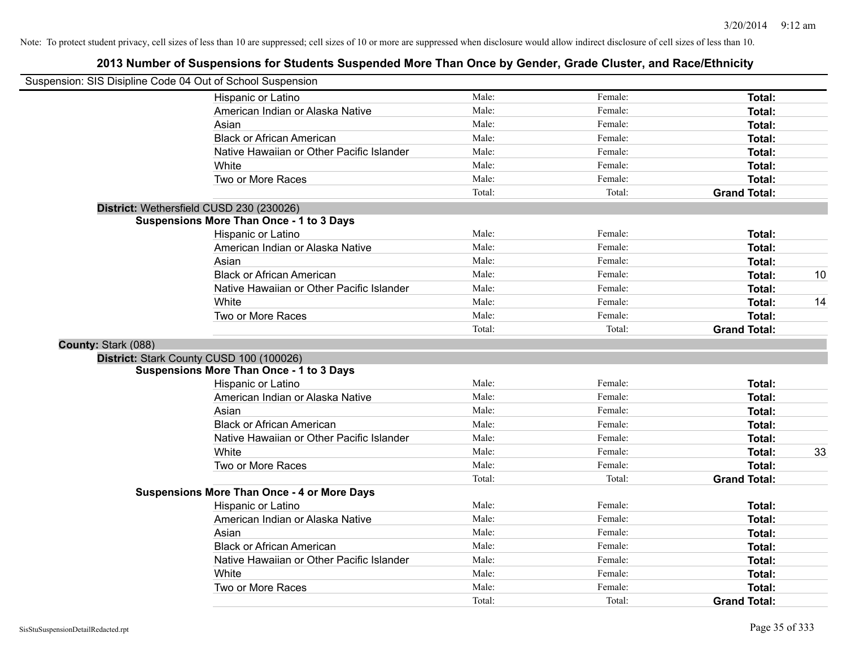|                     | Suspension: SIS Disipline Code 04 Out of School Suspension |        |         |                     |    |
|---------------------|------------------------------------------------------------|--------|---------|---------------------|----|
|                     | Hispanic or Latino                                         | Male:  | Female: | <b>Total:</b>       |    |
|                     | American Indian or Alaska Native                           | Male:  | Female: | Total:              |    |
|                     | Asian                                                      | Male:  | Female: | Total:              |    |
|                     | <b>Black or African American</b>                           | Male:  | Female: | Total:              |    |
|                     | Native Hawaiian or Other Pacific Islander                  | Male:  | Female: | Total:              |    |
|                     | White                                                      | Male:  | Female: | Total:              |    |
|                     | Two or More Races                                          | Male:  | Female: | Total:              |    |
|                     |                                                            | Total: | Total:  | <b>Grand Total:</b> |    |
|                     | District: Wethersfield CUSD 230 (230026)                   |        |         |                     |    |
|                     | <b>Suspensions More Than Once - 1 to 3 Days</b>            |        |         |                     |    |
|                     | Hispanic or Latino                                         | Male:  | Female: | Total:              |    |
|                     | American Indian or Alaska Native                           | Male:  | Female: | Total:              |    |
|                     | Asian                                                      | Male:  | Female: | Total:              |    |
|                     | <b>Black or African American</b>                           | Male:  | Female: | Total:              | 10 |
|                     | Native Hawaiian or Other Pacific Islander                  | Male:  | Female: | Total:              |    |
|                     | White                                                      | Male:  | Female: | Total:              | 14 |
|                     | Two or More Races                                          | Male:  | Female: | Total:              |    |
|                     |                                                            | Total: | Total:  | <b>Grand Total:</b> |    |
| County: Stark (088) |                                                            |        |         |                     |    |
|                     | District: Stark County CUSD 100 (100026)                   |        |         |                     |    |
|                     | <b>Suspensions More Than Once - 1 to 3 Days</b>            |        |         |                     |    |
|                     | Hispanic or Latino                                         | Male:  | Female: | Total:              |    |
|                     | American Indian or Alaska Native                           | Male:  | Female: | Total:              |    |
|                     | Asian                                                      | Male:  | Female: | Total:              |    |
|                     | <b>Black or African American</b>                           | Male:  | Female: | Total:              |    |
|                     | Native Hawaiian or Other Pacific Islander                  | Male:  | Female: | Total:              |    |
|                     | White                                                      | Male:  | Female: | Total:              | 33 |
|                     | Two or More Races                                          | Male:  | Female: | Total:              |    |
|                     |                                                            | Total: | Total:  | <b>Grand Total:</b> |    |
|                     | <b>Suspensions More Than Once - 4 or More Days</b>         |        |         |                     |    |
|                     | Hispanic or Latino                                         | Male:  | Female: | Total:              |    |
|                     | American Indian or Alaska Native                           | Male:  | Female: | Total:              |    |
|                     | Asian                                                      | Male:  | Female: | Total:              |    |
|                     | <b>Black or African American</b>                           | Male:  | Female: | Total:              |    |
|                     | Native Hawaiian or Other Pacific Islander                  | Male:  | Female: | Total:              |    |
|                     | White                                                      | Male:  | Female: | Total:              |    |
|                     | Two or More Races                                          | Male:  | Female: | Total:              |    |
|                     |                                                            | Total: | Total:  | <b>Grand Total:</b> |    |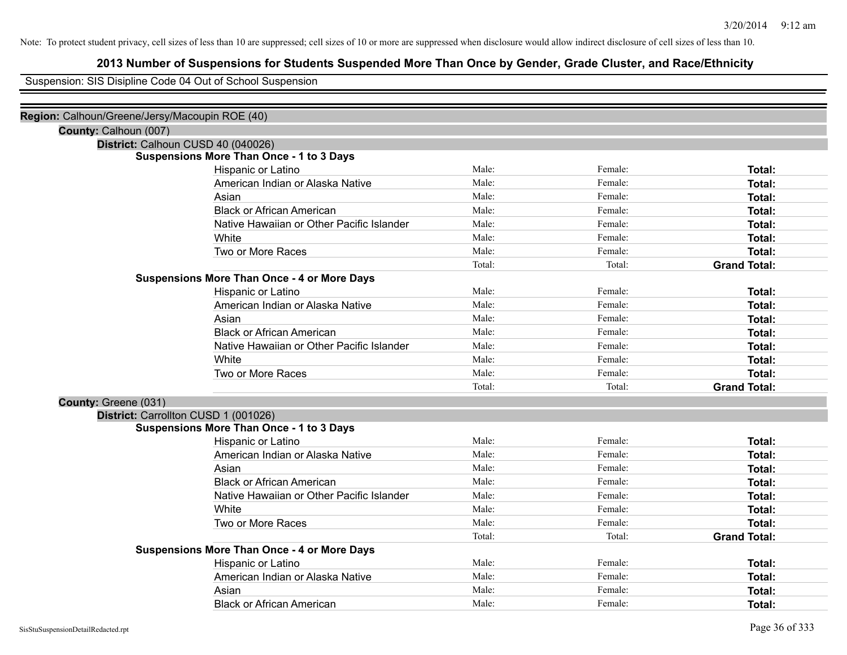## **2013 Number of Suspensions for Students Suspended More Than Once by Gender, Grade Cluster, and Race/Ethnicity**

Suspension: SIS Disipline Code 04 Out of School Suspension

| Region: Calhoun/Greene/Jersy/Macoupin ROE (40) |                                                    |        |         |                     |
|------------------------------------------------|----------------------------------------------------|--------|---------|---------------------|
| County: Calhoun (007)                          |                                                    |        |         |                     |
| District: Calhoun CUSD 40 (040026)             |                                                    |        |         |                     |
|                                                | <b>Suspensions More Than Once - 1 to 3 Days</b>    |        |         |                     |
|                                                | Hispanic or Latino                                 | Male:  | Female: | Total:              |
|                                                | American Indian or Alaska Native                   | Male:  | Female: | Total:              |
|                                                | Asian                                              | Male:  | Female: | Total:              |
|                                                | <b>Black or African American</b>                   | Male:  | Female: | Total:              |
|                                                | Native Hawaiian or Other Pacific Islander          | Male:  | Female: | <b>Total:</b>       |
|                                                | White                                              | Male:  | Female: | <b>Total:</b>       |
|                                                | Two or More Races                                  | Male:  | Female: | Total:              |
|                                                |                                                    | Total: | Total:  | <b>Grand Total:</b> |
|                                                | <b>Suspensions More Than Once - 4 or More Days</b> |        |         |                     |
|                                                | Hispanic or Latino                                 | Male:  | Female: | <b>Total:</b>       |
|                                                | American Indian or Alaska Native                   | Male:  | Female: | Total:              |
|                                                | Asian                                              | Male:  | Female: | <b>Total:</b>       |
|                                                | <b>Black or African American</b>                   | Male:  | Female: | <b>Total:</b>       |
|                                                | Native Hawaiian or Other Pacific Islander          | Male:  | Female: | Total:              |
|                                                | White                                              | Male:  | Female: | Total:              |
|                                                | Two or More Races                                  | Male:  | Female: | Total:              |
|                                                |                                                    | Total: | Total:  | <b>Grand Total:</b> |
| County: Greene (031)                           |                                                    |        |         |                     |
| District: Carrollton CUSD 1 (001026)           |                                                    |        |         |                     |
|                                                | <b>Suspensions More Than Once - 1 to 3 Days</b>    |        |         |                     |
|                                                | Hispanic or Latino                                 | Male:  | Female: | Total:              |
|                                                | American Indian or Alaska Native                   | Male:  | Female: | Total:              |
|                                                | Asian                                              | Male:  | Female: | <b>Total:</b>       |
|                                                | <b>Black or African American</b>                   | Male:  | Female: | <b>Total:</b>       |
|                                                | Native Hawaiian or Other Pacific Islander          | Male:  | Female: | Total:              |
|                                                | White                                              | Male:  | Female: | Total:              |
|                                                | Two or More Races                                  | Male:  | Female: | Total:              |
|                                                |                                                    | Total: | Total:  | <b>Grand Total:</b> |
|                                                | <b>Suspensions More Than Once - 4 or More Days</b> |        |         |                     |
|                                                | Hispanic or Latino                                 | Male:  | Female: | <b>Total:</b>       |
|                                                | American Indian or Alaska Native                   | Male:  | Female: | <b>Total:</b>       |
|                                                | Asian                                              | Male:  | Female: | <b>Total:</b>       |
|                                                | <b>Black or African American</b>                   | Male:  | Female: | Total:              |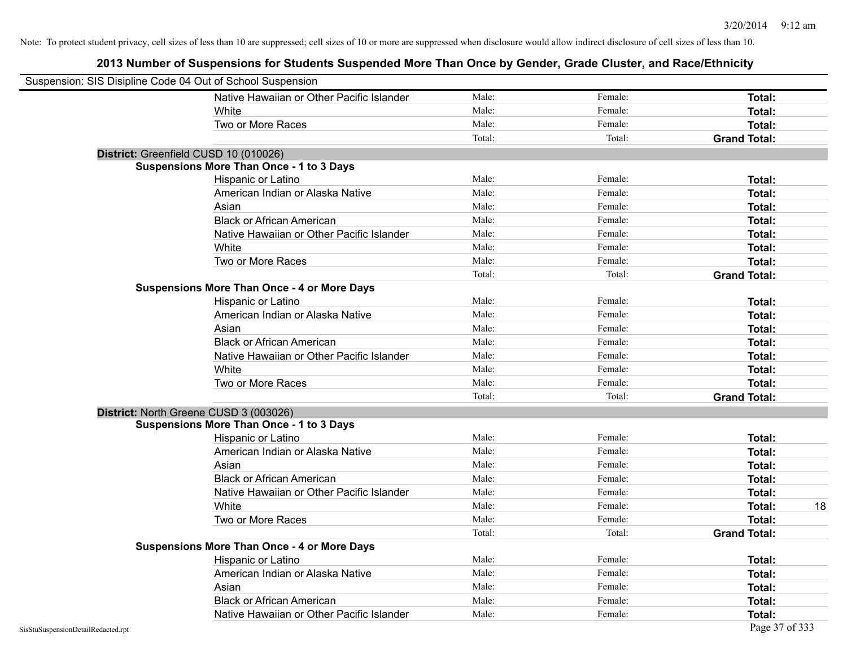| Suspension: SIS Disipline Code 04 Out of School Suspension |                                                    |        |         |                     |
|------------------------------------------------------------|----------------------------------------------------|--------|---------|---------------------|
|                                                            | Native Hawaiian or Other Pacific Islander          | Male:  | Female: | <b>Total:</b>       |
|                                                            | White                                              | Male:  | Female: | Total:              |
|                                                            | Two or More Races                                  | Male:  | Female: | Total:              |
|                                                            |                                                    | Total: | Total:  | <b>Grand Total:</b> |
| District: Greenfield CUSD 10 (010026)                      |                                                    |        |         |                     |
|                                                            | <b>Suspensions More Than Once - 1 to 3 Days</b>    |        |         |                     |
|                                                            | Hispanic or Latino                                 | Male:  | Female: | Total:              |
|                                                            | American Indian or Alaska Native                   | Male:  | Female: | Total:              |
|                                                            | Asian                                              | Male:  | Female: | Total:              |
|                                                            | <b>Black or African American</b>                   | Male:  | Female: | Total:              |
|                                                            | Native Hawaiian or Other Pacific Islander          | Male:  | Female: | Total:              |
|                                                            | White                                              | Male:  | Female: | Total:              |
|                                                            | Two or More Races                                  | Male:  | Female: | Total:              |
|                                                            |                                                    | Total: | Total:  | <b>Grand Total:</b> |
|                                                            | <b>Suspensions More Than Once - 4 or More Days</b> |        |         |                     |
|                                                            | Hispanic or Latino                                 | Male:  | Female: | Total:              |
|                                                            | American Indian or Alaska Native                   | Male:  | Female: | Total:              |
|                                                            | Asian                                              | Male:  | Female: | Total:              |
|                                                            | <b>Black or African American</b>                   | Male:  | Female: | Total:              |
|                                                            | Native Hawaiian or Other Pacific Islander          | Male:  | Female: | Total:              |
|                                                            | White                                              | Male:  | Female: | Total:              |
|                                                            | Two or More Races                                  | Male:  | Female: | Total:              |
|                                                            |                                                    | Total: | Total:  | <b>Grand Total:</b> |
| District: North Greene CUSD 3 (003026)                     |                                                    |        |         |                     |
|                                                            | <b>Suspensions More Than Once - 1 to 3 Days</b>    |        |         |                     |
|                                                            | Hispanic or Latino                                 | Male:  | Female: | Total:              |
|                                                            | American Indian or Alaska Native                   | Male:  | Female: | Total:              |
|                                                            | Asian                                              | Male:  | Female: | Total:              |
|                                                            | <b>Black or African American</b>                   | Male:  | Female: | Total:              |
|                                                            | Native Hawaiian or Other Pacific Islander          | Male:  | Female: | Total:              |
|                                                            | White                                              | Male:  | Female: | Total:<br>18        |
|                                                            | Two or More Races                                  | Male:  | Female: | Total:              |
|                                                            |                                                    | Total: | Total:  | <b>Grand Total:</b> |
|                                                            | <b>Suspensions More Than Once - 4 or More Days</b> |        |         |                     |
|                                                            | Hispanic or Latino                                 | Male:  | Female: | Total:              |
|                                                            | American Indian or Alaska Native                   | Male:  | Female: | Total:              |
|                                                            | Asian                                              | Male:  | Female: | Total:              |
|                                                            | <b>Black or African American</b>                   | Male:  | Female: | Total:              |
|                                                            | Native Hawaiian or Other Pacific Islander          | Male:  | Female: | Total:              |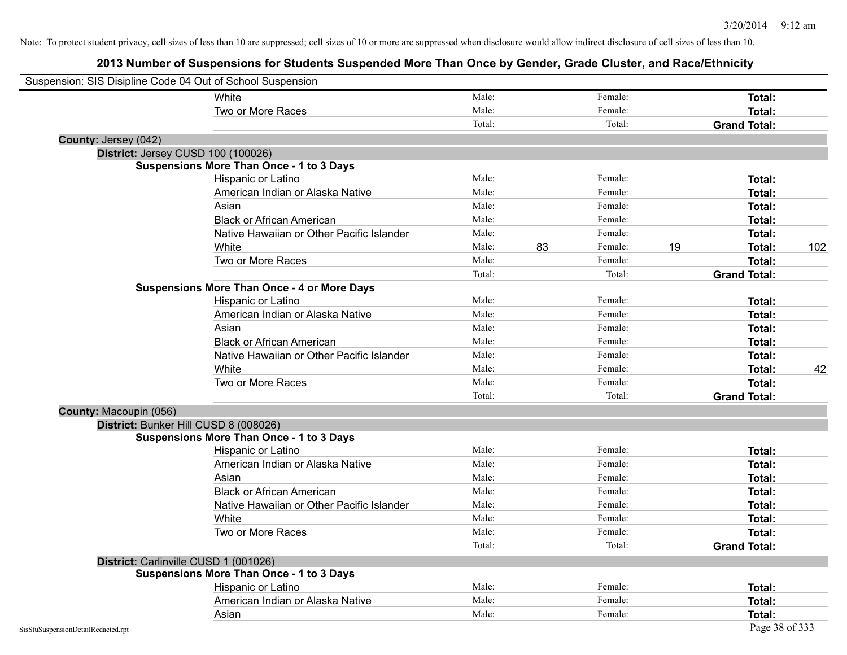| Suspension: SIS Disipline Code 04 Out of School Suspension |                                                    |        |    |         |    |                     |     |
|------------------------------------------------------------|----------------------------------------------------|--------|----|---------|----|---------------------|-----|
|                                                            | White                                              | Male:  |    | Female: |    | Total:              |     |
|                                                            | Two or More Races                                  | Male:  |    | Female: |    | Total:              |     |
|                                                            |                                                    | Total: |    | Total:  |    | <b>Grand Total:</b> |     |
| County: Jersey (042)                                       |                                                    |        |    |         |    |                     |     |
|                                                            | District: Jersey CUSD 100 (100026)                 |        |    |         |    |                     |     |
|                                                            | <b>Suspensions More Than Once - 1 to 3 Days</b>    |        |    |         |    |                     |     |
|                                                            | Hispanic or Latino                                 | Male:  |    | Female: |    | Total:              |     |
|                                                            | American Indian or Alaska Native                   | Male:  |    | Female: |    | Total:              |     |
|                                                            | Asian                                              | Male:  |    | Female: |    | Total:              |     |
|                                                            | <b>Black or African American</b>                   | Male:  |    | Female: |    | Total:              |     |
|                                                            | Native Hawaiian or Other Pacific Islander          | Male:  |    | Female: |    | Total:              |     |
|                                                            | White                                              | Male:  | 83 | Female: | 19 | Total:              | 102 |
|                                                            | Two or More Races                                  | Male:  |    | Female: |    | Total:              |     |
|                                                            |                                                    | Total: |    | Total:  |    | <b>Grand Total:</b> |     |
|                                                            | <b>Suspensions More Than Once - 4 or More Days</b> |        |    |         |    |                     |     |
|                                                            | Hispanic or Latino                                 | Male:  |    | Female: |    | Total:              |     |
|                                                            | American Indian or Alaska Native                   | Male:  |    | Female: |    | Total:              |     |
|                                                            | Asian                                              | Male:  |    | Female: |    | Total:              |     |
|                                                            | <b>Black or African American</b>                   | Male:  |    | Female: |    | Total:              |     |
|                                                            | Native Hawaiian or Other Pacific Islander          | Male:  |    | Female: |    | Total:              |     |
|                                                            | White                                              | Male:  |    | Female: |    | Total:              | 42  |
|                                                            | Two or More Races                                  | Male:  |    | Female: |    | Total:              |     |
|                                                            |                                                    | Total: |    | Total:  |    | <b>Grand Total:</b> |     |
| County: Macoupin (056)                                     |                                                    |        |    |         |    |                     |     |
|                                                            | District: Bunker Hill CUSD 8 (008026)              |        |    |         |    |                     |     |
|                                                            | <b>Suspensions More Than Once - 1 to 3 Days</b>    |        |    |         |    |                     |     |
|                                                            | Hispanic or Latino                                 | Male:  |    | Female: |    | Total:              |     |
|                                                            | American Indian or Alaska Native                   | Male:  |    | Female: |    | Total:              |     |
|                                                            | Asian                                              | Male:  |    | Female: |    | Total:              |     |
|                                                            | <b>Black or African American</b>                   | Male:  |    | Female: |    | Total:              |     |
|                                                            | Native Hawaiian or Other Pacific Islander          | Male:  |    | Female: |    | Total:              |     |
|                                                            | White                                              | Male:  |    | Female: |    | Total:              |     |
|                                                            | Two or More Races                                  | Male:  |    | Female: |    | Total:              |     |
|                                                            |                                                    | Total: |    | Total:  |    | <b>Grand Total:</b> |     |
|                                                            | District: Carlinville CUSD 1 (001026)              |        |    |         |    |                     |     |
|                                                            | <b>Suspensions More Than Once - 1 to 3 Days</b>    |        |    |         |    |                     |     |
|                                                            | Hispanic or Latino                                 | Male:  |    | Female: |    | Total:              |     |
|                                                            | American Indian or Alaska Native                   | Male:  |    | Female: |    | Total:              |     |
|                                                            | Asian                                              | Male:  |    | Female: |    | <b>Total:</b>       |     |
| SisStuSuspensionDetailRedacted.rpt                         |                                                    |        |    |         |    | Page 38 of 333      |     |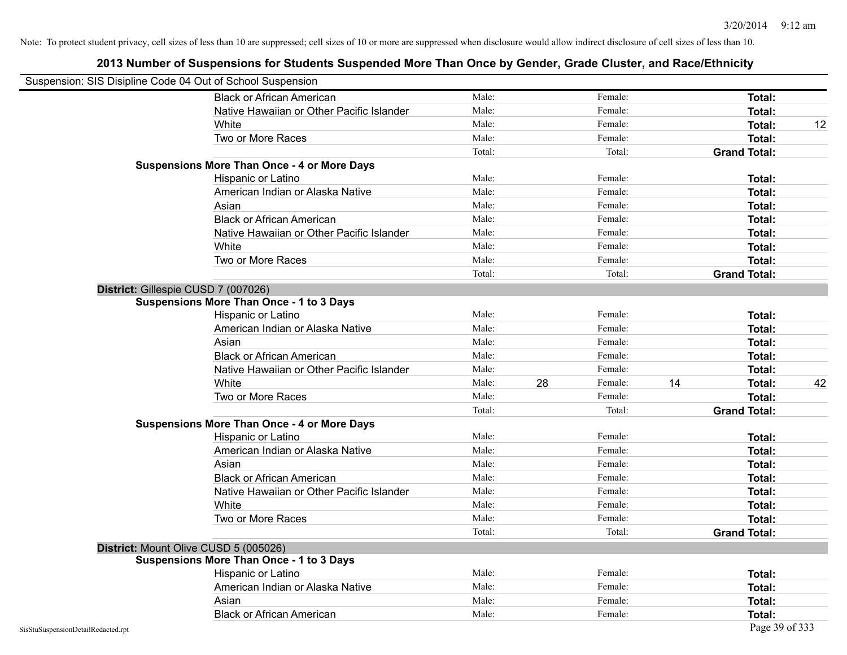| Suspension: SIS Disipline Code 04 Out of School Suspension |                                                    |        |    |         |    |                     |    |
|------------------------------------------------------------|----------------------------------------------------|--------|----|---------|----|---------------------|----|
|                                                            | <b>Black or African American</b>                   | Male:  |    | Female: |    | <b>Total:</b>       |    |
|                                                            | Native Hawaiian or Other Pacific Islander          | Male:  |    | Female: |    | Total:              |    |
|                                                            | White                                              | Male:  |    | Female: |    | Total:              | 12 |
|                                                            | Two or More Races                                  | Male:  |    | Female: |    | Total:              |    |
|                                                            |                                                    | Total: |    | Total:  |    | <b>Grand Total:</b> |    |
|                                                            | <b>Suspensions More Than Once - 4 or More Days</b> |        |    |         |    |                     |    |
|                                                            | Hispanic or Latino                                 | Male:  |    | Female: |    | Total:              |    |
|                                                            | American Indian or Alaska Native                   | Male:  |    | Female: |    | Total:              |    |
|                                                            | Asian                                              | Male:  |    | Female: |    | Total:              |    |
|                                                            | <b>Black or African American</b>                   | Male:  |    | Female: |    | <b>Total:</b>       |    |
|                                                            | Native Hawaiian or Other Pacific Islander          | Male:  |    | Female: |    | Total:              |    |
|                                                            | White                                              | Male:  |    | Female: |    | Total:              |    |
|                                                            | Two or More Races                                  | Male:  |    | Female: |    | Total:              |    |
|                                                            |                                                    | Total: |    | Total:  |    | <b>Grand Total:</b> |    |
|                                                            | District: Gillespie CUSD 7 (007026)                |        |    |         |    |                     |    |
|                                                            | <b>Suspensions More Than Once - 1 to 3 Days</b>    |        |    |         |    |                     |    |
|                                                            | Hispanic or Latino                                 | Male:  |    | Female: |    | Total:              |    |
|                                                            | American Indian or Alaska Native                   | Male:  |    | Female: |    | Total:              |    |
|                                                            | Asian                                              | Male:  |    | Female: |    | Total:              |    |
|                                                            | <b>Black or African American</b>                   | Male:  |    | Female: |    | Total:              |    |
|                                                            | Native Hawaiian or Other Pacific Islander          | Male:  |    | Female: |    | Total:              |    |
|                                                            | White                                              | Male:  | 28 | Female: | 14 | Total:              | 42 |
|                                                            | Two or More Races                                  | Male:  |    | Female: |    | <b>Total:</b>       |    |
|                                                            |                                                    | Total: |    | Total:  |    | <b>Grand Total:</b> |    |
|                                                            | <b>Suspensions More Than Once - 4 or More Days</b> |        |    |         |    |                     |    |
|                                                            | Hispanic or Latino                                 | Male:  |    | Female: |    | Total:              |    |
|                                                            | American Indian or Alaska Native                   | Male:  |    | Female: |    | Total:              |    |
|                                                            | Asian                                              | Male:  |    | Female: |    | Total:              |    |
|                                                            | <b>Black or African American</b>                   | Male:  |    | Female: |    | Total:              |    |
|                                                            | Native Hawaiian or Other Pacific Islander          | Male:  |    | Female: |    | Total:              |    |
|                                                            | White                                              | Male:  |    | Female: |    | Total:              |    |
|                                                            | Two or More Races                                  | Male:  |    | Female: |    | Total:              |    |
|                                                            |                                                    | Total: |    | Total:  |    | <b>Grand Total:</b> |    |
|                                                            | District: Mount Olive CUSD 5 (005026)              |        |    |         |    |                     |    |
|                                                            | <b>Suspensions More Than Once - 1 to 3 Days</b>    |        |    |         |    |                     |    |
|                                                            | Hispanic or Latino                                 | Male:  |    | Female: |    | Total:              |    |
|                                                            | American Indian or Alaska Native                   | Male:  |    | Female: |    | Total:              |    |
|                                                            | Asian                                              | Male:  |    | Female: |    | Total:              |    |
|                                                            | <b>Black or African American</b>                   | Male:  |    | Female: |    | Total:              |    |
| SisStuSuspensionDetailRedacted.rpt                         |                                                    |        |    |         |    | Page 39 of 333      |    |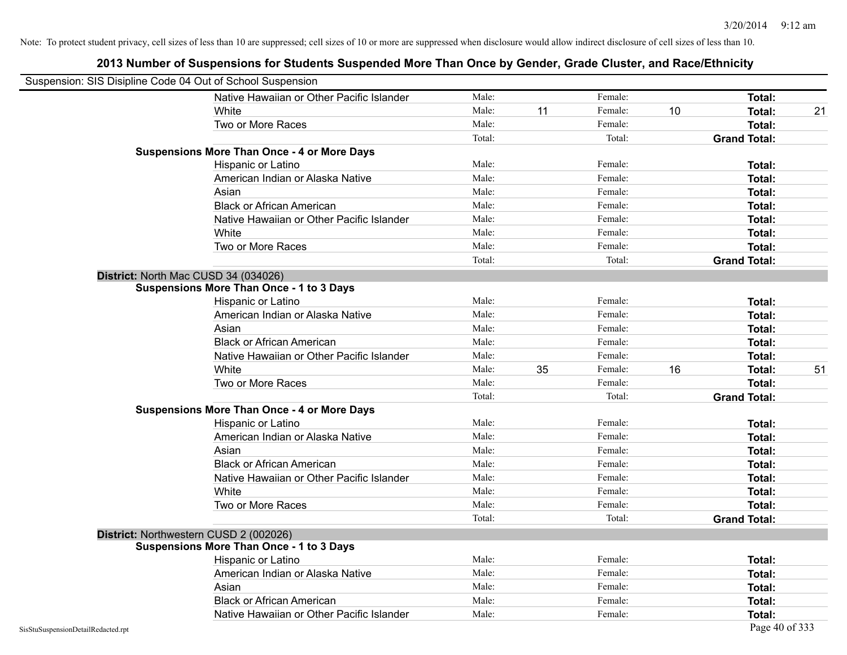|                                    | Suspension: SIS Disipline Code 04 Out of School Suspension |        |    |         |    |                     |    |
|------------------------------------|------------------------------------------------------------|--------|----|---------|----|---------------------|----|
|                                    | Native Hawaiian or Other Pacific Islander                  | Male:  |    | Female: |    | Total:              |    |
|                                    | White                                                      | Male:  | 11 | Female: | 10 | <b>Total:</b>       | 21 |
|                                    | Two or More Races                                          | Male:  |    | Female: |    | <b>Total:</b>       |    |
|                                    |                                                            | Total: |    | Total:  |    | <b>Grand Total:</b> |    |
|                                    | <b>Suspensions More Than Once - 4 or More Days</b>         |        |    |         |    |                     |    |
|                                    | Hispanic or Latino                                         | Male:  |    | Female: |    | Total:              |    |
|                                    | American Indian or Alaska Native                           | Male:  |    | Female: |    | Total:              |    |
|                                    | Asian                                                      | Male:  |    | Female: |    | Total:              |    |
|                                    | <b>Black or African American</b>                           | Male:  |    | Female: |    | <b>Total:</b>       |    |
|                                    | Native Hawaiian or Other Pacific Islander                  | Male:  |    | Female: |    | <b>Total:</b>       |    |
|                                    | White                                                      | Male:  |    | Female: |    | <b>Total:</b>       |    |
|                                    | Two or More Races                                          | Male:  |    | Female: |    | Total:              |    |
|                                    |                                                            | Total: |    | Total:  |    | <b>Grand Total:</b> |    |
|                                    | District: North Mac CUSD 34 (034026)                       |        |    |         |    |                     |    |
|                                    | <b>Suspensions More Than Once - 1 to 3 Days</b>            |        |    |         |    |                     |    |
|                                    | Hispanic or Latino                                         | Male:  |    | Female: |    | <b>Total:</b>       |    |
|                                    | American Indian or Alaska Native                           | Male:  |    | Female: |    | <b>Total:</b>       |    |
|                                    | Asian                                                      | Male:  |    | Female: |    | Total:              |    |
|                                    | <b>Black or African American</b>                           | Male:  |    | Female: |    | <b>Total:</b>       |    |
|                                    | Native Hawaiian or Other Pacific Islander                  | Male:  |    | Female: |    | Total:              |    |
|                                    | White                                                      | Male:  | 35 | Female: | 16 | Total:              | 51 |
|                                    | Two or More Races                                          | Male:  |    | Female: |    | <b>Total:</b>       |    |
|                                    |                                                            | Total: |    | Total:  |    | <b>Grand Total:</b> |    |
|                                    | <b>Suspensions More Than Once - 4 or More Days</b>         |        |    |         |    |                     |    |
|                                    | Hispanic or Latino                                         | Male:  |    | Female: |    | Total:              |    |
|                                    | American Indian or Alaska Native                           | Male:  |    | Female: |    | <b>Total:</b>       |    |
|                                    | Asian                                                      | Male:  |    | Female: |    | Total:              |    |
|                                    | <b>Black or African American</b>                           | Male:  |    | Female: |    | <b>Total:</b>       |    |
|                                    | Native Hawaiian or Other Pacific Islander                  | Male:  |    | Female: |    | <b>Total:</b>       |    |
|                                    | White                                                      | Male:  |    | Female: |    | Total:              |    |
|                                    | Two or More Races                                          | Male:  |    | Female: |    | <b>Total:</b>       |    |
|                                    |                                                            | Total: |    | Total:  |    | <b>Grand Total:</b> |    |
|                                    | District: Northwestern CUSD 2 (002026)                     |        |    |         |    |                     |    |
|                                    | <b>Suspensions More Than Once - 1 to 3 Days</b>            |        |    |         |    |                     |    |
|                                    | Hispanic or Latino                                         | Male:  |    | Female: |    | <b>Total:</b>       |    |
|                                    | American Indian or Alaska Native                           | Male:  |    | Female: |    | <b>Total:</b>       |    |
|                                    | Asian                                                      | Male:  |    | Female: |    | <b>Total:</b>       |    |
|                                    | <b>Black or African American</b>                           | Male:  |    | Female: |    | Total:              |    |
|                                    | Native Hawaiian or Other Pacific Islander                  | Male:  |    | Female: |    | Total:              |    |
| SisStuSuspensionDetailRedacted.rpt |                                                            |        |    |         |    | Page 40 of 333      |    |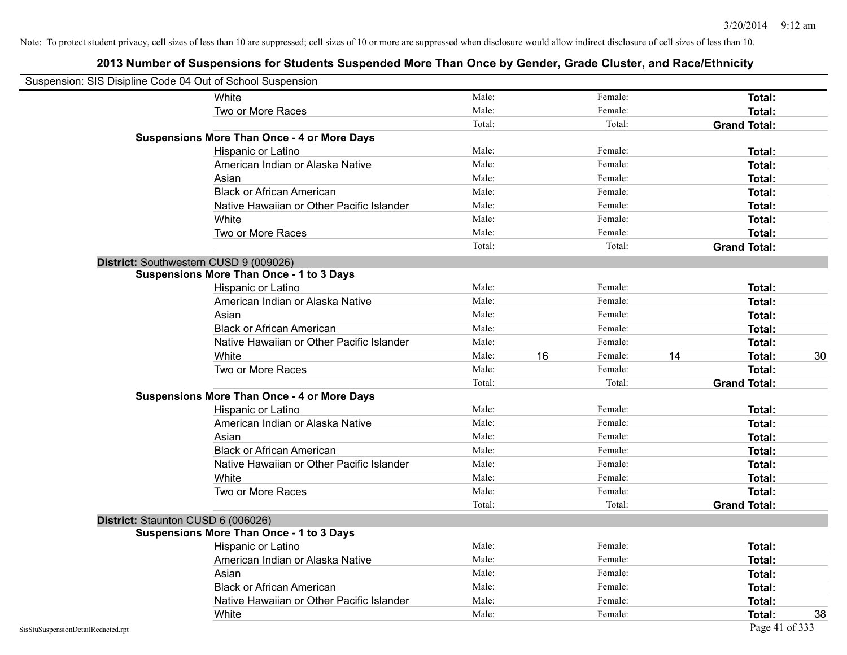| Suspension: SIS Disipline Code 04 Out of School Suspension |                                                    |        |    |         |    |                     |    |
|------------------------------------------------------------|----------------------------------------------------|--------|----|---------|----|---------------------|----|
|                                                            | White                                              | Male:  |    | Female: |    | Total:              |    |
|                                                            | Two or More Races                                  | Male:  |    | Female: |    | Total:              |    |
|                                                            |                                                    | Total: |    | Total:  |    | <b>Grand Total:</b> |    |
|                                                            | <b>Suspensions More Than Once - 4 or More Days</b> |        |    |         |    |                     |    |
|                                                            | Hispanic or Latino                                 | Male:  |    | Female: |    | Total:              |    |
|                                                            | American Indian or Alaska Native                   | Male:  |    | Female: |    | Total:              |    |
|                                                            | Asian                                              | Male:  |    | Female: |    | Total:              |    |
|                                                            | <b>Black or African American</b>                   | Male:  |    | Female: |    | Total:              |    |
|                                                            | Native Hawaiian or Other Pacific Islander          | Male:  |    | Female: |    | Total:              |    |
|                                                            | White                                              | Male:  |    | Female: |    | Total:              |    |
|                                                            | Two or More Races                                  | Male:  |    | Female: |    | Total:              |    |
|                                                            |                                                    | Total: |    | Total:  |    | <b>Grand Total:</b> |    |
|                                                            | District: Southwestern CUSD 9 (009026)             |        |    |         |    |                     |    |
|                                                            | <b>Suspensions More Than Once - 1 to 3 Days</b>    |        |    |         |    |                     |    |
|                                                            | Hispanic or Latino                                 | Male:  |    | Female: |    | Total:              |    |
|                                                            | American Indian or Alaska Native                   | Male:  |    | Female: |    | Total:              |    |
|                                                            | Asian                                              | Male:  |    | Female: |    | Total:              |    |
|                                                            | <b>Black or African American</b>                   | Male:  |    | Female: |    | Total:              |    |
|                                                            | Native Hawaiian or Other Pacific Islander          | Male:  |    | Female: |    | Total:              |    |
|                                                            | White                                              | Male:  | 16 | Female: | 14 | Total:              | 30 |
|                                                            | Two or More Races                                  | Male:  |    | Female: |    | Total:              |    |
|                                                            |                                                    | Total: |    | Total:  |    | <b>Grand Total:</b> |    |
|                                                            | <b>Suspensions More Than Once - 4 or More Days</b> |        |    |         |    |                     |    |
|                                                            | Hispanic or Latino                                 | Male:  |    | Female: |    | Total:              |    |
|                                                            | American Indian or Alaska Native                   | Male:  |    | Female: |    | Total:              |    |
|                                                            | Asian                                              | Male:  |    | Female: |    | Total:              |    |
|                                                            | <b>Black or African American</b>                   | Male:  |    | Female: |    | Total:              |    |
|                                                            | Native Hawaiian or Other Pacific Islander          | Male:  |    | Female: |    | Total:              |    |
|                                                            | White                                              | Male:  |    | Female: |    | Total:              |    |
|                                                            | Two or More Races                                  | Male:  |    | Female: |    | Total:              |    |
|                                                            |                                                    | Total: |    | Total:  |    | <b>Grand Total:</b> |    |
|                                                            | District: Staunton CUSD 6 (006026)                 |        |    |         |    |                     |    |
|                                                            | <b>Suspensions More Than Once - 1 to 3 Days</b>    |        |    |         |    |                     |    |
|                                                            | <b>Hispanic or Latino</b>                          | Male:  |    | Female: |    | Total:              |    |
|                                                            | American Indian or Alaska Native                   | Male:  |    | Female: |    | Total:              |    |
|                                                            | Asian                                              | Male:  |    | Female: |    | Total:              |    |
|                                                            | <b>Black or African American</b>                   | Male:  |    | Female: |    | Total:              |    |
|                                                            | Native Hawaiian or Other Pacific Islander          | Male:  |    | Female: |    | Total:              |    |
|                                                            | White                                              | Male:  |    | Female: |    | Total:              | 38 |
| SisStuSuspensionDetailRedacted.rpt                         |                                                    |        |    |         |    | Page 41 of 333      |    |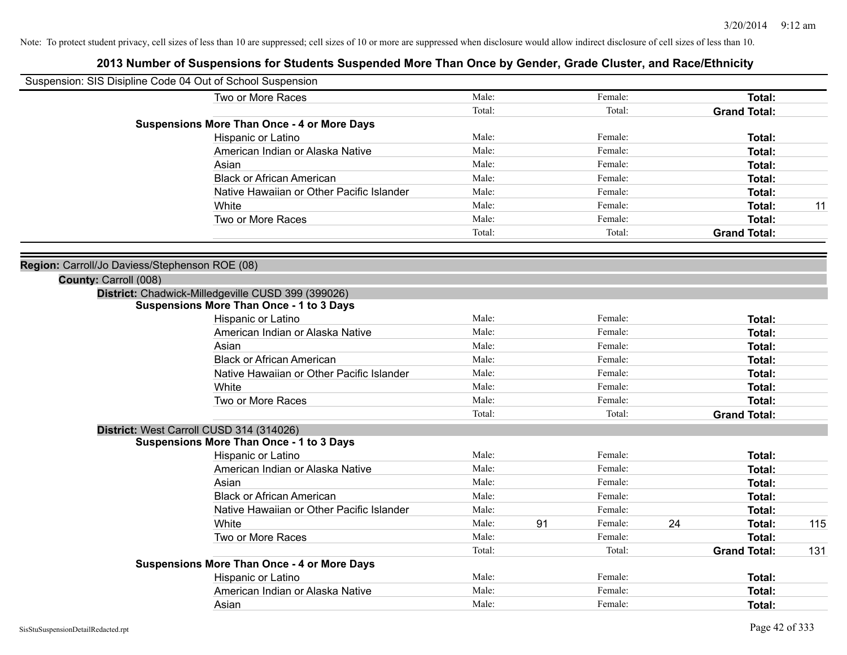| Suspension: SIS Disipline Code 04 Out of School Suspension |                                                    |        |    |         |    |                     |     |
|------------------------------------------------------------|----------------------------------------------------|--------|----|---------|----|---------------------|-----|
|                                                            | Two or More Races                                  | Male:  |    | Female: |    | Total:              |     |
|                                                            |                                                    | Total: |    | Total:  |    | <b>Grand Total:</b> |     |
|                                                            | <b>Suspensions More Than Once - 4 or More Days</b> |        |    |         |    |                     |     |
|                                                            | Hispanic or Latino                                 | Male:  |    | Female: |    | Total:              |     |
|                                                            | American Indian or Alaska Native                   | Male:  |    | Female: |    | Total:              |     |
|                                                            | Asian                                              | Male:  |    | Female: |    | Total:              |     |
|                                                            | <b>Black or African American</b>                   | Male:  |    | Female: |    | Total:              |     |
|                                                            | Native Hawaiian or Other Pacific Islander          | Male:  |    | Female: |    | Total:              |     |
|                                                            | White                                              | Male:  |    | Female: |    | Total:              | 11  |
|                                                            | Two or More Races                                  | Male:  |    | Female: |    | Total:              |     |
|                                                            |                                                    | Total: |    | Total:  |    | <b>Grand Total:</b> |     |
| Region: Carroll/Jo Daviess/Stephenson ROE (08)             |                                                    |        |    |         |    |                     |     |
| County: Carroll (008)                                      |                                                    |        |    |         |    |                     |     |
|                                                            | District: Chadwick-Milledgeville CUSD 399 (399026) |        |    |         |    |                     |     |
|                                                            | <b>Suspensions More Than Once - 1 to 3 Days</b>    |        |    |         |    |                     |     |
|                                                            | Hispanic or Latino                                 | Male:  |    | Female: |    | Total:              |     |
|                                                            | American Indian or Alaska Native                   | Male:  |    | Female: |    | Total:              |     |
|                                                            | Asian                                              | Male:  |    | Female: |    | Total:              |     |
|                                                            | <b>Black or African American</b>                   | Male:  |    | Female: |    | Total:              |     |
|                                                            | Native Hawaiian or Other Pacific Islander          | Male:  |    | Female: |    | Total:              |     |
|                                                            | White                                              | Male:  |    | Female: |    | Total:              |     |
|                                                            | Two or More Races                                  | Male:  |    | Female: |    | Total:              |     |
|                                                            |                                                    | Total: |    | Total:  |    | <b>Grand Total:</b> |     |
|                                                            | District: West Carroll CUSD 314 (314026)           |        |    |         |    |                     |     |
|                                                            | <b>Suspensions More Than Once - 1 to 3 Days</b>    |        |    |         |    |                     |     |
|                                                            | Hispanic or Latino                                 | Male:  |    | Female: |    | Total:              |     |
|                                                            | American Indian or Alaska Native                   | Male:  |    | Female: |    | Total:              |     |
|                                                            | Asian                                              | Male:  |    | Female: |    | Total:              |     |
|                                                            | <b>Black or African American</b>                   | Male:  |    | Female: |    | Total:              |     |
|                                                            | Native Hawaiian or Other Pacific Islander          | Male:  |    | Female: |    | Total:              |     |
|                                                            | White                                              | Male:  | 91 | Female: | 24 | Total:              | 115 |
|                                                            | Two or More Races                                  | Male:  |    | Female: |    | Total:              |     |
|                                                            |                                                    | Total: |    | Total:  |    | <b>Grand Total:</b> | 131 |
|                                                            | <b>Suspensions More Than Once - 4 or More Days</b> |        |    |         |    |                     |     |
|                                                            | Hispanic or Latino                                 | Male:  |    | Female: |    | Total:              |     |
|                                                            | American Indian or Alaska Native                   | Male:  |    | Female: |    | Total:              |     |
|                                                            | Asian                                              | Male:  |    | Female: |    | Total:              |     |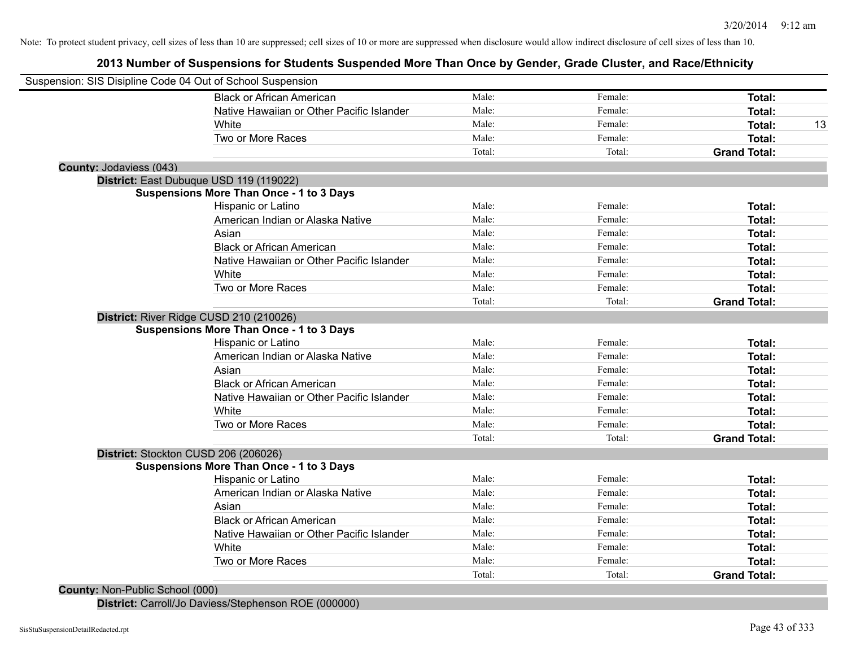# **2013 Number of Suspensions for Students Suspended More Than Once by Gender, Grade Cluster, and Race/Ethnicity**

|                                      | Suspension: SIS Disipline Code 04 Out of School Suspension |        |         |                     |
|--------------------------------------|------------------------------------------------------------|--------|---------|---------------------|
|                                      | <b>Black or African American</b>                           | Male:  | Female: | Total:              |
|                                      | Native Hawaiian or Other Pacific Islander                  | Male:  | Female: | Total:              |
|                                      | White                                                      | Male:  | Female: | Total:              |
|                                      | Two or More Races                                          | Male:  | Female: | Total:              |
|                                      |                                                            | Total: | Total:  | <b>Grand Total:</b> |
| County: Jodaviess (043)              |                                                            |        |         |                     |
|                                      | District: East Dubuque USD 119 (119022)                    |        |         |                     |
|                                      | <b>Suspensions More Than Once - 1 to 3 Days</b>            |        |         |                     |
|                                      | Hispanic or Latino                                         | Male:  | Female: | Total:              |
|                                      | American Indian or Alaska Native                           | Male:  | Female: | Total:              |
|                                      | Asian                                                      | Male:  | Female: | Total:              |
|                                      | <b>Black or African American</b>                           | Male:  | Female: | Total:              |
|                                      | Native Hawaiian or Other Pacific Islander                  | Male:  | Female: | Total:              |
|                                      | White                                                      | Male:  | Female: | Total:              |
|                                      | Two or More Races                                          | Male:  | Female: | Total:              |
|                                      |                                                            | Total: | Total:  | <b>Grand Total:</b> |
|                                      | District: River Ridge CUSD 210 (210026)                    |        |         |                     |
|                                      | <b>Suspensions More Than Once - 1 to 3 Days</b>            |        |         |                     |
|                                      | Hispanic or Latino                                         | Male:  | Female: | Total:              |
|                                      | American Indian or Alaska Native                           | Male:  | Female: | Total:              |
|                                      | Asian                                                      | Male:  | Female: | Total:              |
|                                      | <b>Black or African American</b>                           | Male:  | Female: | Total:              |
|                                      | Native Hawaiian or Other Pacific Islander                  | Male:  | Female: | Total:              |
|                                      | White                                                      | Male:  | Female: | Total:              |
|                                      | Two or More Races                                          | Male:  | Female: | <b>Total:</b>       |
|                                      |                                                            | Total: | Total:  | <b>Grand Total:</b> |
| District: Stockton CUSD 206 (206026) |                                                            |        |         |                     |
|                                      | <b>Suspensions More Than Once - 1 to 3 Days</b>            |        |         |                     |
|                                      | Hispanic or Latino                                         | Male:  | Female: | Total:              |
|                                      | American Indian or Alaska Native                           | Male:  | Female: | Total:              |
|                                      | Asian                                                      | Male:  | Female: | Total:              |
|                                      | <b>Black or African American</b>                           | Male:  | Female: | Total:              |
|                                      | Native Hawaiian or Other Pacific Islander                  | Male:  | Female: | Total:              |
|                                      | White                                                      | Male:  | Female: | Total:              |
|                                      | Two or More Races                                          | Male:  | Female: | Total:              |
|                                      |                                                            | Total: | Total:  | <b>Grand Total:</b> |

**District:** Carroll/Jo Daviess/Stephenson ROE (000000)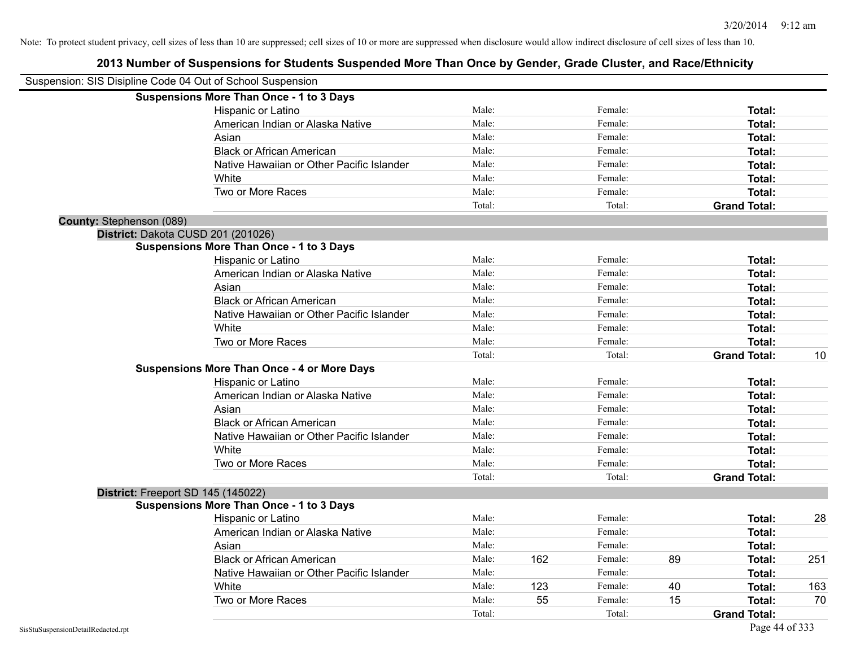|                          | Suspension: SIS Disipline Code 04 Out of School Suspension |        |     |         |    |                     |     |
|--------------------------|------------------------------------------------------------|--------|-----|---------|----|---------------------|-----|
|                          | <b>Suspensions More Than Once - 1 to 3 Days</b>            |        |     |         |    |                     |     |
|                          | Hispanic or Latino                                         | Male:  |     | Female: |    | Total:              |     |
|                          | American Indian or Alaska Native                           | Male:  |     | Female: |    | Total:              |     |
|                          | Asian                                                      | Male:  |     | Female: |    | Total:              |     |
|                          | <b>Black or African American</b>                           | Male:  |     | Female: |    | Total:              |     |
|                          | Native Hawaiian or Other Pacific Islander                  | Male:  |     | Female: |    | Total:              |     |
|                          | White                                                      | Male:  |     | Female: |    | Total:              |     |
|                          | Two or More Races                                          | Male:  |     | Female: |    | Total:              |     |
|                          |                                                            | Total: |     | Total:  |    | <b>Grand Total:</b> |     |
| County: Stephenson (089) |                                                            |        |     |         |    |                     |     |
|                          | District: Dakota CUSD 201 (201026)                         |        |     |         |    |                     |     |
|                          | <b>Suspensions More Than Once - 1 to 3 Days</b>            |        |     |         |    |                     |     |
|                          | Hispanic or Latino                                         | Male:  |     | Female: |    | Total:              |     |
|                          | American Indian or Alaska Native                           | Male:  |     | Female: |    | Total:              |     |
|                          | Asian                                                      | Male:  |     | Female: |    | Total:              |     |
|                          | <b>Black or African American</b>                           | Male:  |     | Female: |    | Total:              |     |
|                          | Native Hawaiian or Other Pacific Islander                  | Male:  |     | Female: |    | Total:              |     |
|                          | White                                                      | Male:  |     | Female: |    | Total:              |     |
|                          | Two or More Races                                          | Male:  |     | Female: |    | Total:              |     |
|                          |                                                            | Total: |     | Total:  |    | <b>Grand Total:</b> | 10  |
|                          | <b>Suspensions More Than Once - 4 or More Days</b>         |        |     |         |    |                     |     |
|                          | Hispanic or Latino                                         | Male:  |     | Female: |    | Total:              |     |
|                          | American Indian or Alaska Native                           | Male:  |     | Female: |    | Total:              |     |
|                          | Asian                                                      | Male:  |     | Female: |    | Total:              |     |
|                          | <b>Black or African American</b>                           | Male:  |     | Female: |    | Total:              |     |
|                          | Native Hawaiian or Other Pacific Islander                  | Male:  |     | Female: |    | Total:              |     |
|                          | White                                                      | Male:  |     | Female: |    | Total:              |     |
|                          | Two or More Races                                          | Male:  |     | Female: |    | Total:              |     |
|                          |                                                            | Total: |     | Total:  |    | <b>Grand Total:</b> |     |
|                          | District: Freeport SD 145 (145022)                         |        |     |         |    |                     |     |
|                          | <b>Suspensions More Than Once - 1 to 3 Days</b>            |        |     |         |    |                     |     |
|                          | Hispanic or Latino                                         | Male:  |     | Female: |    | Total:              | 28  |
|                          | American Indian or Alaska Native                           | Male:  |     | Female: |    | Total:              |     |
|                          | Asian                                                      | Male:  |     | Female: |    | Total:              |     |
|                          | <b>Black or African American</b>                           | Male:  | 162 | Female: | 89 | Total:              | 251 |
|                          | Native Hawaiian or Other Pacific Islander                  | Male:  |     | Female: |    | Total:              |     |
|                          | White                                                      | Male:  | 123 | Female: | 40 | Total:              | 163 |
|                          | Two or More Races                                          | Male:  | 55  | Female: | 15 | Total:              | 70  |
|                          |                                                            | Total: |     | Total:  |    | <b>Grand Total:</b> |     |
|                          |                                                            |        |     |         |    |                     |     |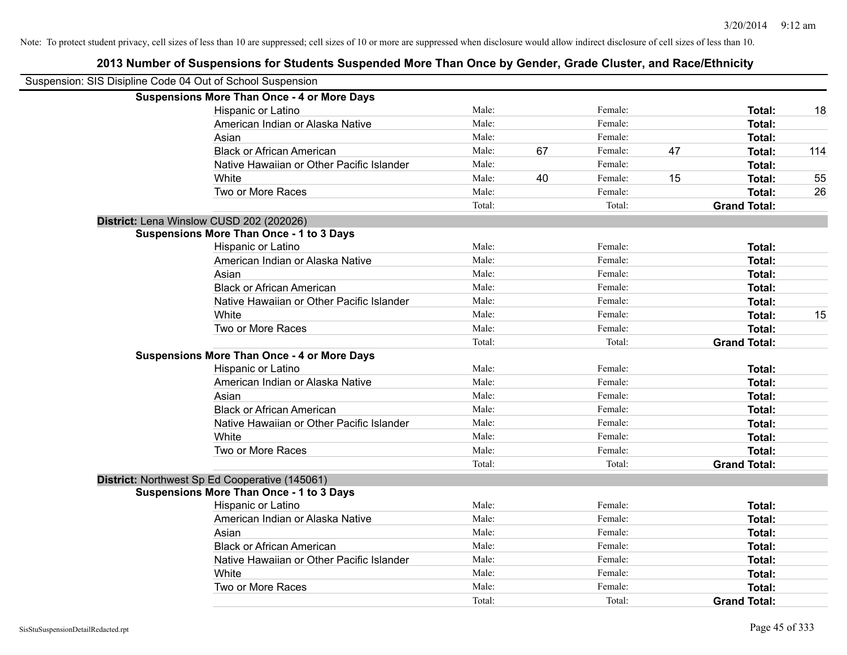| Suspension: SIS Disipline Code 04 Out of School Suspension |                                                    |        |    |         |    |                     |     |
|------------------------------------------------------------|----------------------------------------------------|--------|----|---------|----|---------------------|-----|
|                                                            | <b>Suspensions More Than Once - 4 or More Days</b> |        |    |         |    |                     |     |
|                                                            | Hispanic or Latino                                 | Male:  |    | Female: |    | Total:              | 18  |
|                                                            | American Indian or Alaska Native                   | Male:  |    | Female: |    | <b>Total:</b>       |     |
|                                                            | Asian                                              | Male:  |    | Female: |    | Total:              |     |
|                                                            | <b>Black or African American</b>                   | Male:  | 67 | Female: | 47 | Total:              | 114 |
|                                                            | Native Hawaiian or Other Pacific Islander          | Male:  |    | Female: |    | Total:              |     |
|                                                            | White                                              | Male:  | 40 | Female: | 15 | Total:              | 55  |
|                                                            | Two or More Races                                  | Male:  |    | Female: |    | Total:              | 26  |
|                                                            |                                                    | Total: |    | Total:  |    | <b>Grand Total:</b> |     |
|                                                            | District: Lena Winslow CUSD 202 (202026)           |        |    |         |    |                     |     |
|                                                            | <b>Suspensions More Than Once - 1 to 3 Days</b>    |        |    |         |    |                     |     |
|                                                            | Hispanic or Latino                                 | Male:  |    | Female: |    | Total:              |     |
|                                                            | American Indian or Alaska Native                   | Male:  |    | Female: |    | Total:              |     |
|                                                            | Asian                                              | Male:  |    | Female: |    | Total:              |     |
|                                                            | <b>Black or African American</b>                   | Male:  |    | Female: |    | Total:              |     |
|                                                            | Native Hawaiian or Other Pacific Islander          | Male:  |    | Female: |    | <b>Total:</b>       |     |
|                                                            | White                                              | Male:  |    | Female: |    | Total:              | 15  |
|                                                            | Two or More Races                                  | Male:  |    | Female: |    | <b>Total:</b>       |     |
|                                                            |                                                    | Total: |    | Total:  |    | <b>Grand Total:</b> |     |
|                                                            | <b>Suspensions More Than Once - 4 or More Days</b> |        |    |         |    |                     |     |
|                                                            | Hispanic or Latino                                 | Male:  |    | Female: |    | Total:              |     |
|                                                            | American Indian or Alaska Native                   | Male:  |    | Female: |    | <b>Total:</b>       |     |
|                                                            | Asian                                              | Male:  |    | Female: |    | Total:              |     |
|                                                            | <b>Black or African American</b>                   | Male:  |    | Female: |    | Total:              |     |
|                                                            | Native Hawaiian or Other Pacific Islander          | Male:  |    | Female: |    | Total:              |     |
|                                                            | White                                              | Male:  |    | Female: |    | Total:              |     |
|                                                            | Two or More Races                                  | Male:  |    | Female: |    | Total:              |     |
|                                                            |                                                    | Total: |    | Total:  |    | <b>Grand Total:</b> |     |
|                                                            | District: Northwest Sp Ed Cooperative (145061)     |        |    |         |    |                     |     |
|                                                            | <b>Suspensions More Than Once - 1 to 3 Days</b>    |        |    |         |    |                     |     |
|                                                            | Hispanic or Latino                                 | Male:  |    | Female: |    | <b>Total:</b>       |     |
|                                                            | American Indian or Alaska Native                   | Male:  |    | Female: |    | Total:              |     |
|                                                            | Asian                                              | Male:  |    | Female: |    | Total:              |     |
|                                                            | <b>Black or African American</b>                   | Male:  |    | Female: |    | <b>Total:</b>       |     |
|                                                            | Native Hawaiian or Other Pacific Islander          | Male:  |    | Female: |    | Total:              |     |
|                                                            | White                                              | Male:  |    | Female: |    | Total:              |     |
|                                                            | Two or More Races                                  | Male:  |    | Female: |    | <b>Total:</b>       |     |
|                                                            |                                                    | Total: |    | Total:  |    | <b>Grand Total:</b> |     |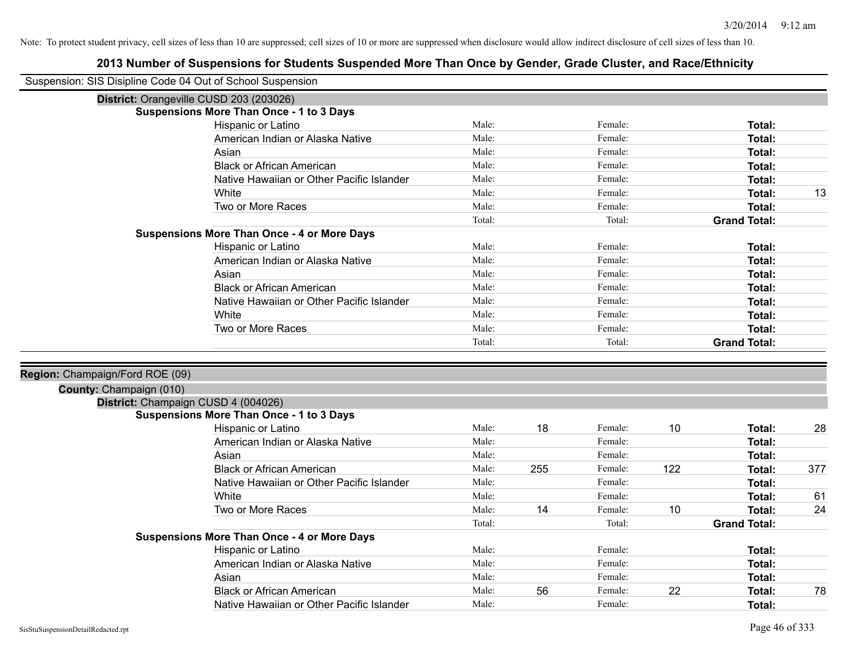| Suspension: SIS Disipline Code 04 Out of School Suspension |                                                    |        |     |         |     |                     |     |
|------------------------------------------------------------|----------------------------------------------------|--------|-----|---------|-----|---------------------|-----|
|                                                            | District: Orangeville CUSD 203 (203026)            |        |     |         |     |                     |     |
|                                                            | <b>Suspensions More Than Once - 1 to 3 Days</b>    |        |     |         |     |                     |     |
|                                                            | Hispanic or Latino                                 | Male:  |     | Female: |     | Total:              |     |
|                                                            | American Indian or Alaska Native                   | Male:  |     | Female: |     | Total:              |     |
|                                                            | Asian                                              | Male:  |     | Female: |     | Total:              |     |
|                                                            | <b>Black or African American</b>                   | Male:  |     | Female: |     | Total:              |     |
|                                                            | Native Hawaiian or Other Pacific Islander          | Male:  |     | Female: |     | <b>Total:</b>       |     |
|                                                            | White                                              | Male:  |     | Female: |     | Total:              | 13  |
|                                                            | Two or More Races                                  | Male:  |     | Female: |     | Total:              |     |
|                                                            |                                                    | Total: |     | Total:  |     | <b>Grand Total:</b> |     |
|                                                            | <b>Suspensions More Than Once - 4 or More Days</b> |        |     |         |     |                     |     |
|                                                            | Hispanic or Latino                                 | Male:  |     | Female: |     | Total:              |     |
|                                                            | American Indian or Alaska Native                   | Male:  |     | Female: |     | <b>Total:</b>       |     |
|                                                            | Asian                                              | Male:  |     | Female: |     | Total:              |     |
|                                                            | <b>Black or African American</b>                   | Male:  |     | Female: |     | Total:              |     |
|                                                            | Native Hawaiian or Other Pacific Islander          | Male:  |     | Female: |     | Total:              |     |
|                                                            | White                                              | Male:  |     | Female: |     | Total:              |     |
|                                                            | Two or More Races                                  | Male:  |     | Female: |     | Total:              |     |
|                                                            |                                                    | Total: |     | Total:  |     | <b>Grand Total:</b> |     |
|                                                            |                                                    |        |     |         |     |                     |     |
| Region: Champaign/Ford ROE (09)                            |                                                    |        |     |         |     |                     |     |
| County: Champaign (010)                                    |                                                    |        |     |         |     |                     |     |
|                                                            | District: Champaign CUSD 4 (004026)                |        |     |         |     |                     |     |
|                                                            | <b>Suspensions More Than Once - 1 to 3 Days</b>    |        |     |         |     |                     |     |
|                                                            | Hispanic or Latino                                 | Male:  | 18  | Female: | 10  | Total:              | 28  |
|                                                            | American Indian or Alaska Native                   | Male:  |     | Female: |     | Total:              |     |
|                                                            | Asian                                              | Male:  |     | Female: |     | Total:              |     |
|                                                            | <b>Black or African American</b>                   | Male:  | 255 | Female: | 122 | Total:              | 377 |
|                                                            | Native Hawaiian or Other Pacific Islander          | Male:  |     | Female: |     | <b>Total:</b>       |     |
|                                                            | White                                              | Male:  |     | Female: |     | Total:              | 61  |
|                                                            | Two or More Races                                  | Male:  | 14  | Female: | 10  | Total:              | 24  |
|                                                            |                                                    | Total: |     | Total:  |     | <b>Grand Total:</b> |     |
|                                                            | <b>Suspensions More Than Once - 4 or More Days</b> |        |     |         |     |                     |     |
|                                                            | <b>Hispanic or Latino</b>                          | Male:  |     | Female: |     | Total:              |     |
|                                                            | American Indian or Alaska Native                   | Male:  |     | Female: |     | Total:              |     |
|                                                            | Asian                                              | Male:  |     | Female: |     | Total:              |     |
|                                                            | <b>Black or African American</b>                   | Male:  | 56  | Female: | 22  | <b>Total:</b>       | 78  |
|                                                            | Native Hawaiian or Other Pacific Islander          | Male:  |     | Female: |     | Total:              |     |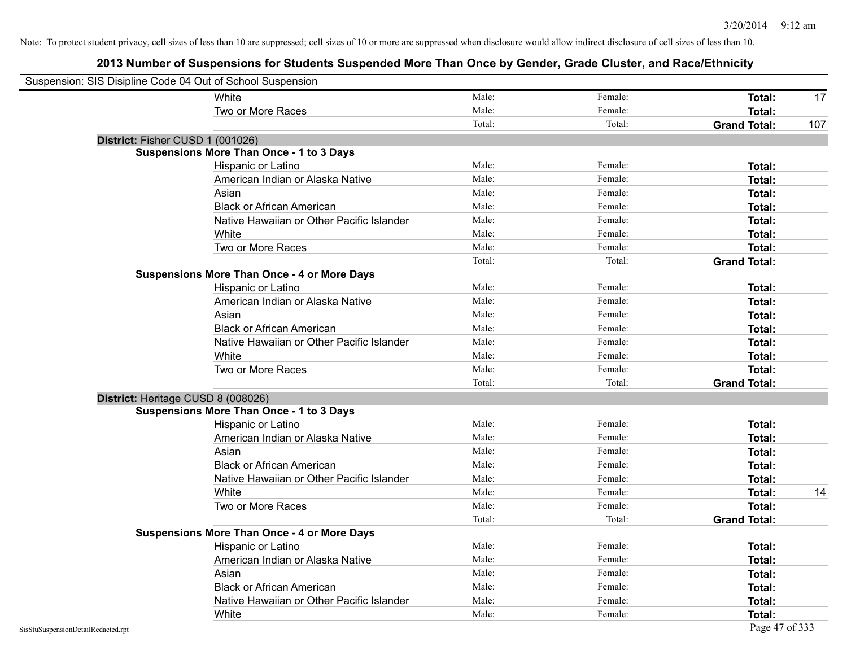| Suspension: SIS Disipline Code 04 Out of School Suspension |                                                    |        |         |                     |     |
|------------------------------------------------------------|----------------------------------------------------|--------|---------|---------------------|-----|
|                                                            | White                                              | Male:  | Female: | Total:              | 17  |
|                                                            | Two or More Races                                  | Male:  | Female: | Total:              |     |
|                                                            |                                                    | Total: | Total:  | <b>Grand Total:</b> | 107 |
| District: Fisher CUSD 1 (001026)                           |                                                    |        |         |                     |     |
|                                                            | <b>Suspensions More Than Once - 1 to 3 Days</b>    |        |         |                     |     |
|                                                            | Hispanic or Latino                                 | Male:  | Female: | Total:              |     |
|                                                            | American Indian or Alaska Native                   | Male:  | Female: | Total:              |     |
|                                                            | Asian                                              | Male:  | Female: | Total:              |     |
|                                                            | <b>Black or African American</b>                   | Male:  | Female: | <b>Total:</b>       |     |
|                                                            | Native Hawaiian or Other Pacific Islander          | Male:  | Female: | Total:              |     |
|                                                            | White                                              | Male:  | Female: | Total:              |     |
|                                                            | Two or More Races                                  | Male:  | Female: | Total:              |     |
|                                                            |                                                    | Total: | Total:  | <b>Grand Total:</b> |     |
|                                                            | <b>Suspensions More Than Once - 4 or More Days</b> |        |         |                     |     |
|                                                            | Hispanic or Latino                                 | Male:  | Female: | Total:              |     |
|                                                            | American Indian or Alaska Native                   | Male:  | Female: | Total:              |     |
|                                                            | Asian                                              | Male:  | Female: | Total:              |     |
|                                                            | <b>Black or African American</b>                   | Male:  | Female: | <b>Total:</b>       |     |
|                                                            | Native Hawaiian or Other Pacific Islander          | Male:  | Female: | Total:              |     |
|                                                            | White                                              | Male:  | Female: | Total:              |     |
|                                                            | Two or More Races                                  | Male:  | Female: | Total:              |     |
|                                                            |                                                    | Total: | Total:  | <b>Grand Total:</b> |     |
|                                                            | District: Heritage CUSD 8 (008026)                 |        |         |                     |     |
|                                                            | <b>Suspensions More Than Once - 1 to 3 Days</b>    |        |         |                     |     |
|                                                            | Hispanic or Latino                                 | Male:  | Female: | Total:              |     |
|                                                            | American Indian or Alaska Native                   | Male:  | Female: | Total:              |     |
|                                                            | Asian                                              | Male:  | Female: | Total:              |     |
|                                                            | <b>Black or African American</b>                   | Male:  | Female: | <b>Total:</b>       |     |
|                                                            | Native Hawaiian or Other Pacific Islander          | Male:  | Female: | Total:              |     |
|                                                            | White                                              | Male:  | Female: | <b>Total:</b>       | 14  |
|                                                            | Two or More Races                                  | Male:  | Female: | <b>Total:</b>       |     |
|                                                            |                                                    | Total: | Total:  | <b>Grand Total:</b> |     |
|                                                            | <b>Suspensions More Than Once - 4 or More Days</b> |        |         |                     |     |
|                                                            | Hispanic or Latino                                 | Male:  | Female: | Total:              |     |
|                                                            | American Indian or Alaska Native                   | Male:  | Female: | Total:              |     |
|                                                            | Asian                                              | Male:  | Female: | Total:              |     |
|                                                            | <b>Black or African American</b>                   | Male:  | Female: | Total:              |     |
|                                                            | Native Hawaiian or Other Pacific Islander          | Male:  | Female: | Total:              |     |
|                                                            | White                                              | Male:  | Female: | <b>Total:</b>       |     |
| SisStuSuspensionDetailRedacted.rpt                         |                                                    |        |         | Page 47 of 333      |     |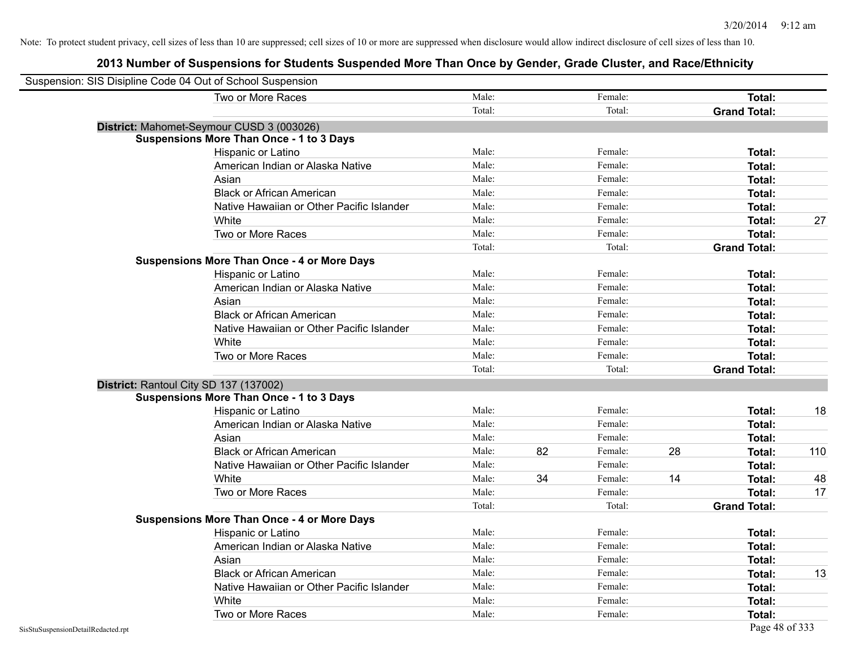| Suspension: SIS Disipline Code 04 Out of School Suspension |        |    |         |    |                     |     |
|------------------------------------------------------------|--------|----|---------|----|---------------------|-----|
| Two or More Races                                          | Male:  |    | Female: |    | Total:              |     |
|                                                            | Total: |    | Total:  |    | <b>Grand Total:</b> |     |
| District: Mahomet-Seymour CUSD 3 (003026)                  |        |    |         |    |                     |     |
| <b>Suspensions More Than Once - 1 to 3 Days</b>            |        |    |         |    |                     |     |
| Hispanic or Latino                                         | Male:  |    | Female: |    | Total:              |     |
| American Indian or Alaska Native                           | Male:  |    | Female: |    | Total:              |     |
| Asian                                                      | Male:  |    | Female: |    | Total:              |     |
| <b>Black or African American</b>                           | Male:  |    | Female: |    | Total:              |     |
| Native Hawaiian or Other Pacific Islander                  | Male:  |    | Female: |    | Total:              |     |
| White                                                      | Male:  |    | Female: |    | Total:              | 27  |
| Two or More Races                                          | Male:  |    | Female: |    | Total:              |     |
|                                                            | Total: |    | Total:  |    | <b>Grand Total:</b> |     |
| <b>Suspensions More Than Once - 4 or More Days</b>         |        |    |         |    |                     |     |
| Hispanic or Latino                                         | Male:  |    | Female: |    | Total:              |     |
| American Indian or Alaska Native                           | Male:  |    | Female: |    | Total:              |     |
| Asian                                                      | Male:  |    | Female: |    | Total:              |     |
| <b>Black or African American</b>                           | Male:  |    | Female: |    | Total:              |     |
| Native Hawaiian or Other Pacific Islander                  | Male:  |    | Female: |    | Total:              |     |
| White                                                      | Male:  |    | Female: |    | Total:              |     |
| Two or More Races                                          | Male:  |    | Female: |    | Total:              |     |
|                                                            | Total: |    | Total:  |    | <b>Grand Total:</b> |     |
| District: Rantoul City SD 137 (137002)                     |        |    |         |    |                     |     |
| <b>Suspensions More Than Once - 1 to 3 Days</b>            |        |    |         |    |                     |     |
| Hispanic or Latino                                         | Male:  |    | Female: |    | Total:              | 18  |
| American Indian or Alaska Native                           | Male:  |    | Female: |    | Total:              |     |
| Asian                                                      | Male:  |    | Female: |    | Total:              |     |
| <b>Black or African American</b>                           | Male:  | 82 | Female: | 28 | Total:              | 110 |
| Native Hawaiian or Other Pacific Islander                  | Male:  |    | Female: |    | Total:              |     |
| White                                                      | Male:  | 34 | Female: | 14 | Total:              | 48  |
| Two or More Races                                          | Male:  |    | Female: |    | Total:              | 17  |
|                                                            | Total: |    | Total:  |    | <b>Grand Total:</b> |     |
| <b>Suspensions More Than Once - 4 or More Days</b>         |        |    |         |    |                     |     |
| Hispanic or Latino                                         | Male:  |    | Female: |    | Total:              |     |
| American Indian or Alaska Native                           | Male:  |    | Female: |    | Total:              |     |
| Asian                                                      | Male:  |    | Female: |    | Total:              |     |
| <b>Black or African American</b>                           | Male:  |    | Female: |    | Total:              | 13  |
| Native Hawaiian or Other Pacific Islander                  | Male:  |    | Female: |    | Total:              |     |
| White                                                      | Male:  |    | Female: |    | Total:              |     |
| Two or More Races                                          | Male:  |    | Female: |    | Total:              |     |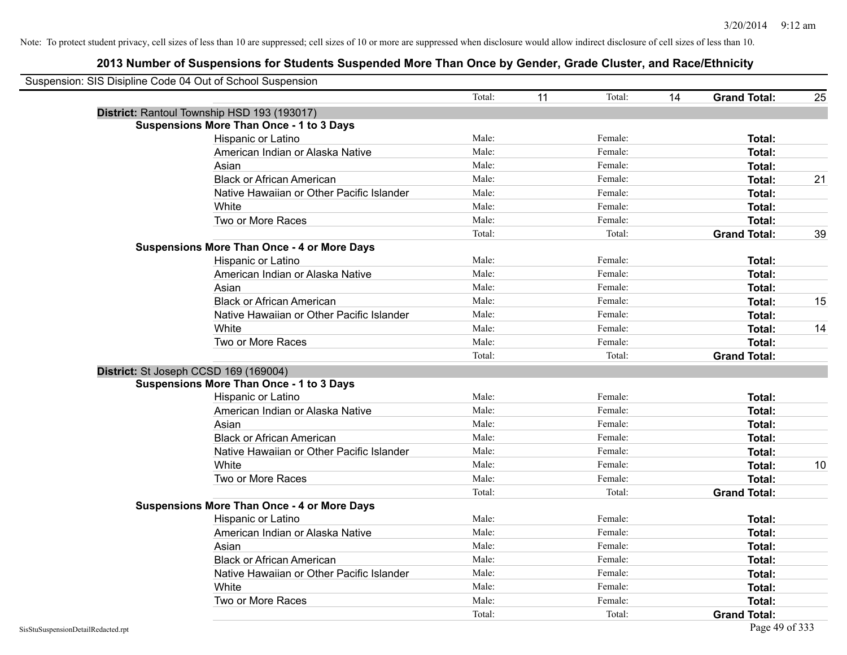|                                    | Suspension: SIS Disipline Code 04 Out of School Suspension |        |    |         |    |                     |    |
|------------------------------------|------------------------------------------------------------|--------|----|---------|----|---------------------|----|
|                                    |                                                            | Total: | 11 | Total:  | 14 | <b>Grand Total:</b> | 25 |
|                                    | District: Rantoul Township HSD 193 (193017)                |        |    |         |    |                     |    |
|                                    | <b>Suspensions More Than Once - 1 to 3 Days</b>            |        |    |         |    |                     |    |
|                                    | Hispanic or Latino                                         | Male:  |    | Female: |    | Total:              |    |
|                                    | American Indian or Alaska Native                           | Male:  |    | Female: |    | Total:              |    |
|                                    | Asian                                                      | Male:  |    | Female: |    | Total:              |    |
|                                    | <b>Black or African American</b>                           | Male:  |    | Female: |    | Total:              | 21 |
|                                    | Native Hawaiian or Other Pacific Islander                  | Male:  |    | Female: |    | Total:              |    |
|                                    | White                                                      | Male:  |    | Female: |    | Total:              |    |
|                                    | Two or More Races                                          | Male:  |    | Female: |    | Total:              |    |
|                                    |                                                            | Total: |    | Total:  |    | <b>Grand Total:</b> | 39 |
|                                    | <b>Suspensions More Than Once - 4 or More Days</b>         |        |    |         |    |                     |    |
|                                    | Hispanic or Latino                                         | Male:  |    | Female: |    | Total:              |    |
|                                    | American Indian or Alaska Native                           | Male:  |    | Female: |    | Total:              |    |
|                                    | Asian                                                      | Male:  |    | Female: |    | Total:              |    |
|                                    | <b>Black or African American</b>                           | Male:  |    | Female: |    | Total:              | 15 |
|                                    | Native Hawaiian or Other Pacific Islander                  | Male:  |    | Female: |    | Total:              |    |
|                                    | White                                                      | Male:  |    | Female: |    | Total:              | 14 |
|                                    | Two or More Races                                          | Male:  |    | Female: |    | Total:              |    |
|                                    |                                                            | Total: |    | Total:  |    | <b>Grand Total:</b> |    |
|                                    | District: St Joseph CCSD 169 (169004)                      |        |    |         |    |                     |    |
|                                    | <b>Suspensions More Than Once - 1 to 3 Days</b>            |        |    |         |    |                     |    |
|                                    | Hispanic or Latino                                         | Male:  |    | Female: |    | Total:              |    |
|                                    | American Indian or Alaska Native                           | Male:  |    | Female: |    | Total:              |    |
|                                    | Asian                                                      | Male:  |    | Female: |    | Total:              |    |
|                                    | <b>Black or African American</b>                           | Male:  |    | Female: |    | Total:              |    |
|                                    | Native Hawaiian or Other Pacific Islander                  | Male:  |    | Female: |    | Total:              |    |
|                                    | White                                                      | Male:  |    | Female: |    | Total:              | 10 |
|                                    | Two or More Races                                          | Male:  |    | Female: |    | Total:              |    |
|                                    |                                                            | Total: |    | Total:  |    | <b>Grand Total:</b> |    |
|                                    | <b>Suspensions More Than Once - 4 or More Days</b>         |        |    |         |    |                     |    |
|                                    | Hispanic or Latino                                         | Male:  |    | Female: |    | Total:              |    |
|                                    | American Indian or Alaska Native                           | Male:  |    | Female: |    | Total:              |    |
|                                    | Asian                                                      | Male:  |    | Female: |    | Total:              |    |
|                                    | <b>Black or African American</b>                           | Male:  |    | Female: |    | Total:              |    |
|                                    | Native Hawaiian or Other Pacific Islander                  | Male:  |    | Female: |    | Total:              |    |
|                                    | White                                                      | Male:  |    | Female: |    | Total:              |    |
|                                    | Two or More Races                                          | Male:  |    | Female: |    | Total:              |    |
|                                    |                                                            | Total: |    | Total:  |    | <b>Grand Total:</b> |    |
| SisStuSuspensionDetailRedacted.rpt |                                                            |        |    |         |    | Page 49 of 333      |    |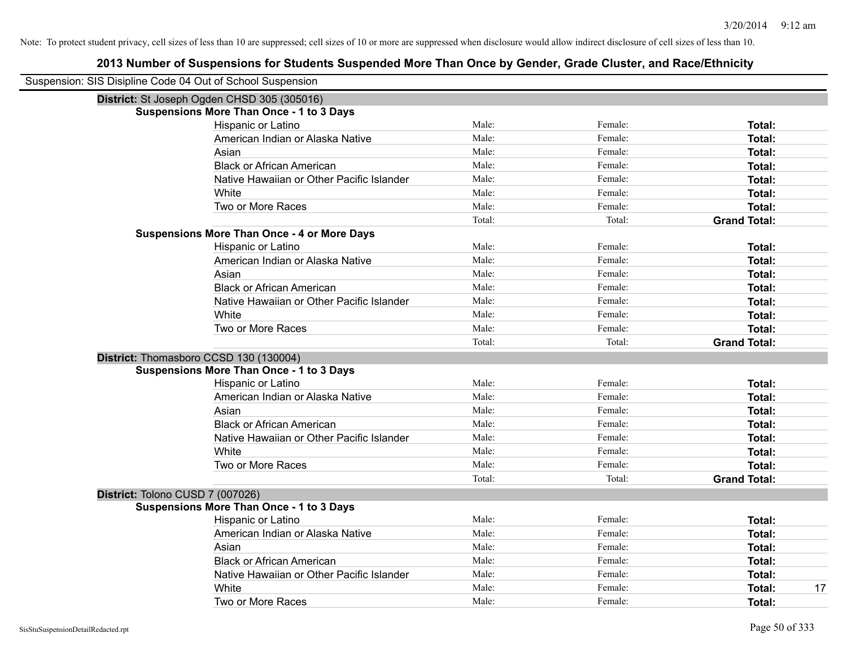| Suspension: SIS Disipline Code 04 Out of School Suspension |        |         |                     |
|------------------------------------------------------------|--------|---------|---------------------|
| District: St Joseph Ogden CHSD 305 (305016)                |        |         |                     |
| <b>Suspensions More Than Once - 1 to 3 Days</b>            |        |         |                     |
| Hispanic or Latino                                         | Male:  | Female: | Total:              |
| American Indian or Alaska Native                           | Male:  | Female: | Total:              |
| Asian                                                      | Male:  | Female: | Total:              |
| <b>Black or African American</b>                           | Male:  | Female: | <b>Total:</b>       |
| Native Hawaiian or Other Pacific Islander                  | Male:  | Female: | <b>Total:</b>       |
| White                                                      | Male:  | Female: | <b>Total:</b>       |
| Two or More Races                                          | Male:  | Female: | <b>Total:</b>       |
|                                                            | Total: | Total:  | <b>Grand Total:</b> |
| <b>Suspensions More Than Once - 4 or More Days</b>         |        |         |                     |
| Hispanic or Latino                                         | Male:  | Female: | Total:              |
| American Indian or Alaska Native                           | Male:  | Female: | Total:              |
| Asian                                                      | Male:  | Female: | <b>Total:</b>       |
| <b>Black or African American</b>                           | Male:  | Female: | <b>Total:</b>       |
| Native Hawaiian or Other Pacific Islander                  | Male:  | Female: | <b>Total:</b>       |
| White                                                      | Male:  | Female: | <b>Total:</b>       |
| Two or More Races                                          | Male:  | Female: | <b>Total:</b>       |
|                                                            | Total: | Total:  | <b>Grand Total:</b> |
| District: Thomasboro CCSD 130 (130004)                     |        |         |                     |
| <b>Suspensions More Than Once - 1 to 3 Days</b>            |        |         |                     |
| Hispanic or Latino                                         | Male:  | Female: | Total:              |
| American Indian or Alaska Native                           | Male:  | Female: | Total:              |
| Asian                                                      | Male:  | Female: | Total:              |
| <b>Black or African American</b>                           | Male:  | Female: | Total:              |
| Native Hawaiian or Other Pacific Islander                  | Male:  | Female: | <b>Total:</b>       |
| White                                                      | Male:  | Female: | <b>Total:</b>       |
| Two or More Races                                          | Male:  | Female: | <b>Total:</b>       |
|                                                            | Total: | Total:  | <b>Grand Total:</b> |
| District: Tolono CUSD 7 (007026)                           |        |         |                     |
| <b>Suspensions More Than Once - 1 to 3 Days</b>            |        |         |                     |
| Hispanic or Latino                                         | Male:  | Female: | Total:              |
| American Indian or Alaska Native                           | Male:  | Female: | Total:              |
| Asian                                                      | Male:  | Female: | Total:              |
| <b>Black or African American</b>                           | Male:  | Female: | <b>Total:</b>       |
| Native Hawaiian or Other Pacific Islander                  | Male:  | Female: | <b>Total:</b>       |
| White                                                      | Male:  | Female: | 17<br><b>Total:</b> |
| Two or More Races                                          | Male:  | Female: | Total:              |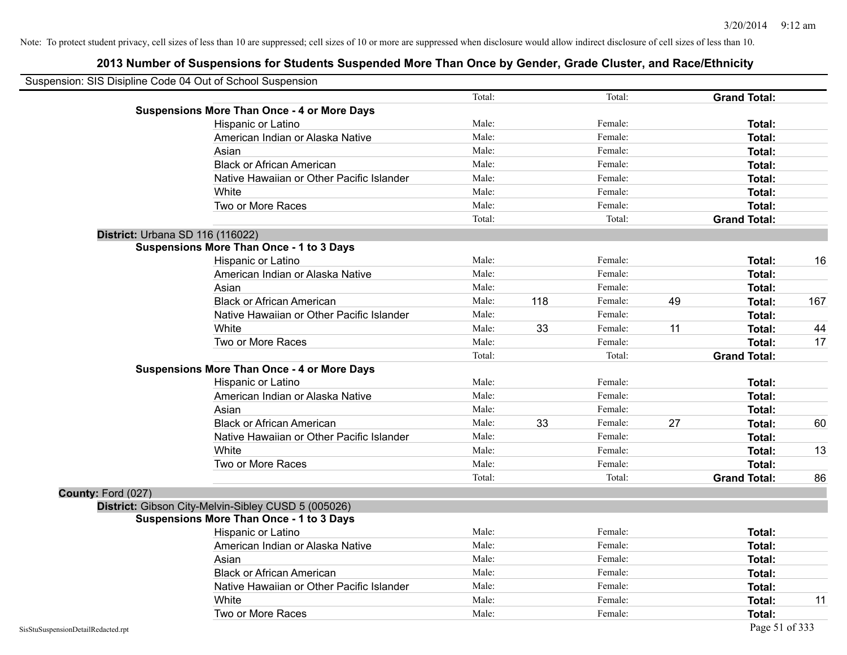| Suspension: SIS Disipline Code 04 Out of School Suspension |                                                     |        |     |         |    |                     |     |
|------------------------------------------------------------|-----------------------------------------------------|--------|-----|---------|----|---------------------|-----|
|                                                            |                                                     | Total: |     | Total:  |    | <b>Grand Total:</b> |     |
|                                                            | <b>Suspensions More Than Once - 4 or More Days</b>  |        |     |         |    |                     |     |
|                                                            | Hispanic or Latino                                  | Male:  |     | Female: |    | Total:              |     |
|                                                            | American Indian or Alaska Native                    | Male:  |     | Female: |    | Total:              |     |
|                                                            | Asian                                               | Male:  |     | Female: |    | Total:              |     |
|                                                            | <b>Black or African American</b>                    | Male:  |     | Female: |    | Total:              |     |
|                                                            | Native Hawaiian or Other Pacific Islander           | Male:  |     | Female: |    | Total:              |     |
|                                                            | White                                               | Male:  |     | Female: |    | Total:              |     |
|                                                            | Two or More Races                                   | Male:  |     | Female: |    | Total:              |     |
|                                                            |                                                     | Total: |     | Total:  |    | <b>Grand Total:</b> |     |
|                                                            | District: Urbana SD 116 (116022)                    |        |     |         |    |                     |     |
|                                                            | <b>Suspensions More Than Once - 1 to 3 Days</b>     |        |     |         |    |                     |     |
|                                                            | Hispanic or Latino                                  | Male:  |     | Female: |    | Total:              | 16  |
|                                                            | American Indian or Alaska Native                    | Male:  |     | Female: |    | Total:              |     |
|                                                            | Asian                                               | Male:  |     | Female: |    | Total:              |     |
|                                                            | <b>Black or African American</b>                    | Male:  | 118 | Female: | 49 | Total:              | 167 |
|                                                            | Native Hawaiian or Other Pacific Islander           | Male:  |     | Female: |    | Total:              |     |
|                                                            | White                                               | Male:  | 33  | Female: | 11 | Total:              | 44  |
|                                                            | Two or More Races                                   | Male:  |     | Female: |    | <b>Total:</b>       | 17  |
|                                                            |                                                     | Total: |     | Total:  |    | <b>Grand Total:</b> |     |
|                                                            | <b>Suspensions More Than Once - 4 or More Days</b>  |        |     |         |    |                     |     |
|                                                            | Hispanic or Latino                                  | Male:  |     | Female: |    | Total:              |     |
|                                                            | American Indian or Alaska Native                    | Male:  |     | Female: |    | Total:              |     |
|                                                            | Asian                                               | Male:  |     | Female: |    | Total:              |     |
|                                                            | <b>Black or African American</b>                    | Male:  | 33  | Female: | 27 | Total:              | 60  |
|                                                            | Native Hawaiian or Other Pacific Islander           | Male:  |     | Female: |    | Total:              |     |
|                                                            | White                                               | Male:  |     | Female: |    | Total:              | 13  |
|                                                            | Two or More Races                                   | Male:  |     | Female: |    | Total:              |     |
|                                                            |                                                     | Total: |     | Total:  |    | <b>Grand Total:</b> | 86  |
| County: Ford (027)                                         |                                                     |        |     |         |    |                     |     |
|                                                            | District: Gibson City-Melvin-Sibley CUSD 5 (005026) |        |     |         |    |                     |     |
|                                                            | <b>Suspensions More Than Once - 1 to 3 Days</b>     |        |     |         |    |                     |     |
|                                                            | Hispanic or Latino                                  | Male:  |     | Female: |    | Total:              |     |
|                                                            | American Indian or Alaska Native                    | Male:  |     | Female: |    | Total:              |     |
|                                                            | Asian                                               | Male:  |     | Female: |    | Total:              |     |
|                                                            | <b>Black or African American</b>                    | Male:  |     | Female: |    | Total:              |     |
|                                                            | Native Hawaiian or Other Pacific Islander           | Male:  |     | Female: |    | Total:              |     |
|                                                            | White                                               | Male:  |     | Female: |    | Total:              | 11  |
|                                                            | Two or More Races                                   | Male:  |     | Female: |    | Total:              |     |
| SisStuSuspensionDetailRedacted.rpt                         |                                                     |        |     |         |    | Page 51 of 333      |     |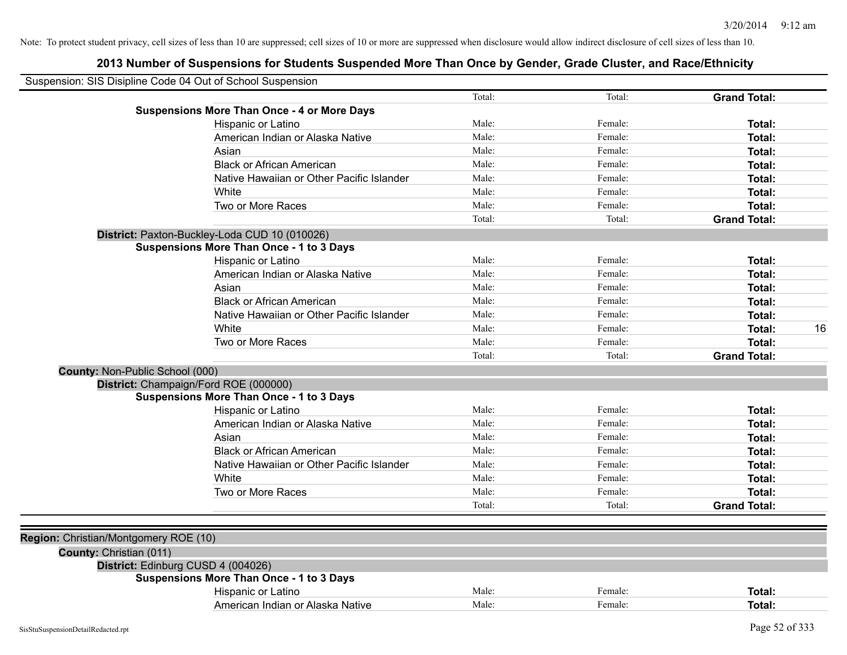| Total:<br><b>Grand Total:</b><br>Total:<br><b>Suspensions More Than Once - 4 or More Days</b><br>Male:<br>Female:<br>Hispanic or Latino<br>Total:<br>Male:<br>Female:<br>American Indian or Alaska Native<br>Total:<br>Male:<br>Female:<br>Asian<br>Total:<br><b>Black or African American</b><br>Male:<br>Female:<br>Total:<br>Male:<br>Female:<br>Native Hawaiian or Other Pacific Islander<br><b>Total:</b><br>White<br>Male:<br>Female:<br>Total:<br>Two or More Races<br>Male:<br>Female:<br>Total:<br>Total:<br>Total:<br><b>Grand Total:</b><br>District: Paxton-Buckley-Loda CUD 10 (010026)<br><b>Suspensions More Than Once - 1 to 3 Days</b><br>Hispanic or Latino<br>Male:<br>Female:<br>Total:<br>Male:<br>American Indian or Alaska Native<br>Female:<br>Total:<br>Asian<br>Male:<br>Female:<br>Total:<br><b>Black or African American</b><br>Male:<br>Female:<br>Total:<br>Native Hawaiian or Other Pacific Islander<br>Male:<br>Female:<br>Total:<br>White<br>Male:<br>Female:<br>Total:<br>Two or More Races<br>Male:<br>Female:<br>Total:<br>Total:<br>Total:<br><b>Grand Total:</b><br>County: Non-Public School (000)<br>District: Champaign/Ford ROE (000000)<br><b>Suspensions More Than Once - 1 to 3 Days</b><br>Hispanic or Latino<br>Male:<br>Female:<br>Total:<br>American Indian or Alaska Native<br>Male:<br>Female:<br><b>Total:</b><br>Asian<br>Male:<br>Female:<br>Total:<br>Male:<br><b>Black or African American</b><br>Female:<br><b>Total:</b><br>Male:<br>Native Hawaiian or Other Pacific Islander<br>Female:<br>Total:<br>White<br>Male:<br>Female:<br><b>Total:</b><br>Two or More Races<br>Male:<br>Female:<br>Total:<br>Total:<br>Total:<br><b>Grand Total:</b><br>Region: Christian/Montgomery ROE (10)<br>County: Christian (011)<br>District: Edinburg CUSD 4 (004026)<br><b>Suspensions More Than Once - 1 to 3 Days</b><br>Hispanic or Latino<br>Male:<br>Female:<br>Total:<br>American Indian or Alaska Native<br>Male:<br>Female:<br>Total: | Suspension: SIS Disipline Code 04 Out of School Suspension |  |    |
|----------------------------------------------------------------------------------------------------------------------------------------------------------------------------------------------------------------------------------------------------------------------------------------------------------------------------------------------------------------------------------------------------------------------------------------------------------------------------------------------------------------------------------------------------------------------------------------------------------------------------------------------------------------------------------------------------------------------------------------------------------------------------------------------------------------------------------------------------------------------------------------------------------------------------------------------------------------------------------------------------------------------------------------------------------------------------------------------------------------------------------------------------------------------------------------------------------------------------------------------------------------------------------------------------------------------------------------------------------------------------------------------------------------------------------------------------------------------------------------------------------------------------------------------------------------------------------------------------------------------------------------------------------------------------------------------------------------------------------------------------------------------------------------------------------------------------------------------------------------------------------------------------------------------------------------------------------------------------------------------|------------------------------------------------------------|--|----|
|                                                                                                                                                                                                                                                                                                                                                                                                                                                                                                                                                                                                                                                                                                                                                                                                                                                                                                                                                                                                                                                                                                                                                                                                                                                                                                                                                                                                                                                                                                                                                                                                                                                                                                                                                                                                                                                                                                                                                                                              |                                                            |  |    |
|                                                                                                                                                                                                                                                                                                                                                                                                                                                                                                                                                                                                                                                                                                                                                                                                                                                                                                                                                                                                                                                                                                                                                                                                                                                                                                                                                                                                                                                                                                                                                                                                                                                                                                                                                                                                                                                                                                                                                                                              |                                                            |  |    |
|                                                                                                                                                                                                                                                                                                                                                                                                                                                                                                                                                                                                                                                                                                                                                                                                                                                                                                                                                                                                                                                                                                                                                                                                                                                                                                                                                                                                                                                                                                                                                                                                                                                                                                                                                                                                                                                                                                                                                                                              |                                                            |  |    |
|                                                                                                                                                                                                                                                                                                                                                                                                                                                                                                                                                                                                                                                                                                                                                                                                                                                                                                                                                                                                                                                                                                                                                                                                                                                                                                                                                                                                                                                                                                                                                                                                                                                                                                                                                                                                                                                                                                                                                                                              |                                                            |  |    |
|                                                                                                                                                                                                                                                                                                                                                                                                                                                                                                                                                                                                                                                                                                                                                                                                                                                                                                                                                                                                                                                                                                                                                                                                                                                                                                                                                                                                                                                                                                                                                                                                                                                                                                                                                                                                                                                                                                                                                                                              |                                                            |  |    |
|                                                                                                                                                                                                                                                                                                                                                                                                                                                                                                                                                                                                                                                                                                                                                                                                                                                                                                                                                                                                                                                                                                                                                                                                                                                                                                                                                                                                                                                                                                                                                                                                                                                                                                                                                                                                                                                                                                                                                                                              |                                                            |  |    |
|                                                                                                                                                                                                                                                                                                                                                                                                                                                                                                                                                                                                                                                                                                                                                                                                                                                                                                                                                                                                                                                                                                                                                                                                                                                                                                                                                                                                                                                                                                                                                                                                                                                                                                                                                                                                                                                                                                                                                                                              |                                                            |  |    |
|                                                                                                                                                                                                                                                                                                                                                                                                                                                                                                                                                                                                                                                                                                                                                                                                                                                                                                                                                                                                                                                                                                                                                                                                                                                                                                                                                                                                                                                                                                                                                                                                                                                                                                                                                                                                                                                                                                                                                                                              |                                                            |  |    |
|                                                                                                                                                                                                                                                                                                                                                                                                                                                                                                                                                                                                                                                                                                                                                                                                                                                                                                                                                                                                                                                                                                                                                                                                                                                                                                                                                                                                                                                                                                                                                                                                                                                                                                                                                                                                                                                                                                                                                                                              |                                                            |  |    |
|                                                                                                                                                                                                                                                                                                                                                                                                                                                                                                                                                                                                                                                                                                                                                                                                                                                                                                                                                                                                                                                                                                                                                                                                                                                                                                                                                                                                                                                                                                                                                                                                                                                                                                                                                                                                                                                                                                                                                                                              |                                                            |  |    |
|                                                                                                                                                                                                                                                                                                                                                                                                                                                                                                                                                                                                                                                                                                                                                                                                                                                                                                                                                                                                                                                                                                                                                                                                                                                                                                                                                                                                                                                                                                                                                                                                                                                                                                                                                                                                                                                                                                                                                                                              |                                                            |  |    |
|                                                                                                                                                                                                                                                                                                                                                                                                                                                                                                                                                                                                                                                                                                                                                                                                                                                                                                                                                                                                                                                                                                                                                                                                                                                                                                                                                                                                                                                                                                                                                                                                                                                                                                                                                                                                                                                                                                                                                                                              |                                                            |  |    |
|                                                                                                                                                                                                                                                                                                                                                                                                                                                                                                                                                                                                                                                                                                                                                                                                                                                                                                                                                                                                                                                                                                                                                                                                                                                                                                                                                                                                                                                                                                                                                                                                                                                                                                                                                                                                                                                                                                                                                                                              |                                                            |  |    |
|                                                                                                                                                                                                                                                                                                                                                                                                                                                                                                                                                                                                                                                                                                                                                                                                                                                                                                                                                                                                                                                                                                                                                                                                                                                                                                                                                                                                                                                                                                                                                                                                                                                                                                                                                                                                                                                                                                                                                                                              |                                                            |  |    |
|                                                                                                                                                                                                                                                                                                                                                                                                                                                                                                                                                                                                                                                                                                                                                                                                                                                                                                                                                                                                                                                                                                                                                                                                                                                                                                                                                                                                                                                                                                                                                                                                                                                                                                                                                                                                                                                                                                                                                                                              |                                                            |  |    |
|                                                                                                                                                                                                                                                                                                                                                                                                                                                                                                                                                                                                                                                                                                                                                                                                                                                                                                                                                                                                                                                                                                                                                                                                                                                                                                                                                                                                                                                                                                                                                                                                                                                                                                                                                                                                                                                                                                                                                                                              |                                                            |  |    |
|                                                                                                                                                                                                                                                                                                                                                                                                                                                                                                                                                                                                                                                                                                                                                                                                                                                                                                                                                                                                                                                                                                                                                                                                                                                                                                                                                                                                                                                                                                                                                                                                                                                                                                                                                                                                                                                                                                                                                                                              |                                                            |  |    |
|                                                                                                                                                                                                                                                                                                                                                                                                                                                                                                                                                                                                                                                                                                                                                                                                                                                                                                                                                                                                                                                                                                                                                                                                                                                                                                                                                                                                                                                                                                                                                                                                                                                                                                                                                                                                                                                                                                                                                                                              |                                                            |  | 16 |
|                                                                                                                                                                                                                                                                                                                                                                                                                                                                                                                                                                                                                                                                                                                                                                                                                                                                                                                                                                                                                                                                                                                                                                                                                                                                                                                                                                                                                                                                                                                                                                                                                                                                                                                                                                                                                                                                                                                                                                                              |                                                            |  |    |
|                                                                                                                                                                                                                                                                                                                                                                                                                                                                                                                                                                                                                                                                                                                                                                                                                                                                                                                                                                                                                                                                                                                                                                                                                                                                                                                                                                                                                                                                                                                                                                                                                                                                                                                                                                                                                                                                                                                                                                                              |                                                            |  |    |
|                                                                                                                                                                                                                                                                                                                                                                                                                                                                                                                                                                                                                                                                                                                                                                                                                                                                                                                                                                                                                                                                                                                                                                                                                                                                                                                                                                                                                                                                                                                                                                                                                                                                                                                                                                                                                                                                                                                                                                                              |                                                            |  |    |
|                                                                                                                                                                                                                                                                                                                                                                                                                                                                                                                                                                                                                                                                                                                                                                                                                                                                                                                                                                                                                                                                                                                                                                                                                                                                                                                                                                                                                                                                                                                                                                                                                                                                                                                                                                                                                                                                                                                                                                                              |                                                            |  |    |
|                                                                                                                                                                                                                                                                                                                                                                                                                                                                                                                                                                                                                                                                                                                                                                                                                                                                                                                                                                                                                                                                                                                                                                                                                                                                                                                                                                                                                                                                                                                                                                                                                                                                                                                                                                                                                                                                                                                                                                                              |                                                            |  |    |
|                                                                                                                                                                                                                                                                                                                                                                                                                                                                                                                                                                                                                                                                                                                                                                                                                                                                                                                                                                                                                                                                                                                                                                                                                                                                                                                                                                                                                                                                                                                                                                                                                                                                                                                                                                                                                                                                                                                                                                                              |                                                            |  |    |
|                                                                                                                                                                                                                                                                                                                                                                                                                                                                                                                                                                                                                                                                                                                                                                                                                                                                                                                                                                                                                                                                                                                                                                                                                                                                                                                                                                                                                                                                                                                                                                                                                                                                                                                                                                                                                                                                                                                                                                                              |                                                            |  |    |
|                                                                                                                                                                                                                                                                                                                                                                                                                                                                                                                                                                                                                                                                                                                                                                                                                                                                                                                                                                                                                                                                                                                                                                                                                                                                                                                                                                                                                                                                                                                                                                                                                                                                                                                                                                                                                                                                                                                                                                                              |                                                            |  |    |
|                                                                                                                                                                                                                                                                                                                                                                                                                                                                                                                                                                                                                                                                                                                                                                                                                                                                                                                                                                                                                                                                                                                                                                                                                                                                                                                                                                                                                                                                                                                                                                                                                                                                                                                                                                                                                                                                                                                                                                                              |                                                            |  |    |
|                                                                                                                                                                                                                                                                                                                                                                                                                                                                                                                                                                                                                                                                                                                                                                                                                                                                                                                                                                                                                                                                                                                                                                                                                                                                                                                                                                                                                                                                                                                                                                                                                                                                                                                                                                                                                                                                                                                                                                                              |                                                            |  |    |
|                                                                                                                                                                                                                                                                                                                                                                                                                                                                                                                                                                                                                                                                                                                                                                                                                                                                                                                                                                                                                                                                                                                                                                                                                                                                                                                                                                                                                                                                                                                                                                                                                                                                                                                                                                                                                                                                                                                                                                                              |                                                            |  |    |
|                                                                                                                                                                                                                                                                                                                                                                                                                                                                                                                                                                                                                                                                                                                                                                                                                                                                                                                                                                                                                                                                                                                                                                                                                                                                                                                                                                                                                                                                                                                                                                                                                                                                                                                                                                                                                                                                                                                                                                                              |                                                            |  |    |
|                                                                                                                                                                                                                                                                                                                                                                                                                                                                                                                                                                                                                                                                                                                                                                                                                                                                                                                                                                                                                                                                                                                                                                                                                                                                                                                                                                                                                                                                                                                                                                                                                                                                                                                                                                                                                                                                                                                                                                                              |                                                            |  |    |
|                                                                                                                                                                                                                                                                                                                                                                                                                                                                                                                                                                                                                                                                                                                                                                                                                                                                                                                                                                                                                                                                                                                                                                                                                                                                                                                                                                                                                                                                                                                                                                                                                                                                                                                                                                                                                                                                                                                                                                                              |                                                            |  |    |
|                                                                                                                                                                                                                                                                                                                                                                                                                                                                                                                                                                                                                                                                                                                                                                                                                                                                                                                                                                                                                                                                                                                                                                                                                                                                                                                                                                                                                                                                                                                                                                                                                                                                                                                                                                                                                                                                                                                                                                                              |                                                            |  |    |
|                                                                                                                                                                                                                                                                                                                                                                                                                                                                                                                                                                                                                                                                                                                                                                                                                                                                                                                                                                                                                                                                                                                                                                                                                                                                                                                                                                                                                                                                                                                                                                                                                                                                                                                                                                                                                                                                                                                                                                                              |                                                            |  |    |
|                                                                                                                                                                                                                                                                                                                                                                                                                                                                                                                                                                                                                                                                                                                                                                                                                                                                                                                                                                                                                                                                                                                                                                                                                                                                                                                                                                                                                                                                                                                                                                                                                                                                                                                                                                                                                                                                                                                                                                                              |                                                            |  |    |
|                                                                                                                                                                                                                                                                                                                                                                                                                                                                                                                                                                                                                                                                                                                                                                                                                                                                                                                                                                                                                                                                                                                                                                                                                                                                                                                                                                                                                                                                                                                                                                                                                                                                                                                                                                                                                                                                                                                                                                                              |                                                            |  |    |
|                                                                                                                                                                                                                                                                                                                                                                                                                                                                                                                                                                                                                                                                                                                                                                                                                                                                                                                                                                                                                                                                                                                                                                                                                                                                                                                                                                                                                                                                                                                                                                                                                                                                                                                                                                                                                                                                                                                                                                                              |                                                            |  |    |
|                                                                                                                                                                                                                                                                                                                                                                                                                                                                                                                                                                                                                                                                                                                                                                                                                                                                                                                                                                                                                                                                                                                                                                                                                                                                                                                                                                                                                                                                                                                                                                                                                                                                                                                                                                                                                                                                                                                                                                                              |                                                            |  |    |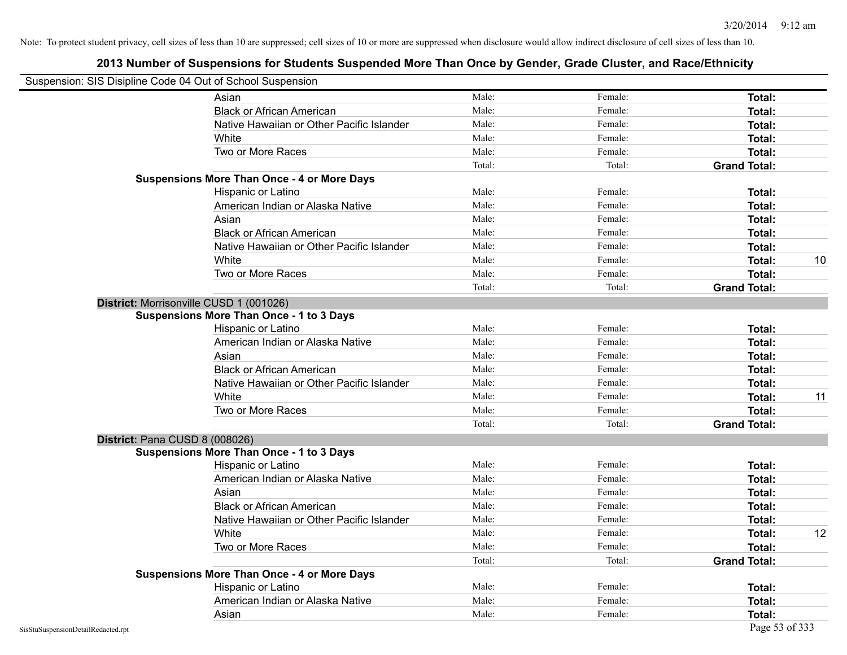| Suspension: SIS Disipline Code 04 Out of School Suspension |                                                    |        |         |                     |    |
|------------------------------------------------------------|----------------------------------------------------|--------|---------|---------------------|----|
|                                                            | Asian                                              | Male:  | Female: | Total:              |    |
|                                                            | <b>Black or African American</b>                   | Male:  | Female: | Total:              |    |
|                                                            | Native Hawaiian or Other Pacific Islander          | Male:  | Female: | Total:              |    |
|                                                            | White                                              | Male:  | Female: | Total:              |    |
|                                                            | Two or More Races                                  | Male:  | Female: | Total:              |    |
|                                                            |                                                    | Total: | Total:  | <b>Grand Total:</b> |    |
|                                                            | <b>Suspensions More Than Once - 4 or More Days</b> |        |         |                     |    |
|                                                            | Hispanic or Latino                                 | Male:  | Female: | Total:              |    |
|                                                            | American Indian or Alaska Native                   | Male:  | Female: | Total:              |    |
|                                                            | Asian                                              | Male:  | Female: | Total:              |    |
|                                                            | <b>Black or African American</b>                   | Male:  | Female: | Total:              |    |
|                                                            | Native Hawaiian or Other Pacific Islander          | Male:  | Female: | Total:              |    |
|                                                            | White                                              | Male:  | Female: | Total:              | 10 |
|                                                            | Two or More Races                                  | Male:  | Female: | Total:              |    |
|                                                            |                                                    | Total: | Total:  | <b>Grand Total:</b> |    |
|                                                            | District: Morrisonville CUSD 1 (001026)            |        |         |                     |    |
|                                                            | <b>Suspensions More Than Once - 1 to 3 Days</b>    |        |         |                     |    |
|                                                            | Hispanic or Latino                                 | Male:  | Female: | Total:              |    |
|                                                            | American Indian or Alaska Native                   | Male:  | Female: | Total:              |    |
|                                                            | Asian                                              | Male:  | Female: | Total:              |    |
|                                                            | <b>Black or African American</b>                   | Male:  | Female: | Total:              |    |
|                                                            | Native Hawaiian or Other Pacific Islander          | Male:  | Female: | Total:              |    |
|                                                            | White                                              | Male:  | Female: | Total:              | 11 |
|                                                            | Two or More Races                                  | Male:  | Female: | Total:              |    |
|                                                            |                                                    | Total: | Total:  | <b>Grand Total:</b> |    |
| District: Pana CUSD 8 (008026)                             |                                                    |        |         |                     |    |
|                                                            | <b>Suspensions More Than Once - 1 to 3 Days</b>    |        |         |                     |    |
|                                                            | Hispanic or Latino                                 | Male:  | Female: | Total:              |    |
|                                                            | American Indian or Alaska Native                   | Male:  | Female: | Total:              |    |
|                                                            | Asian                                              | Male:  | Female: | Total:              |    |
|                                                            | <b>Black or African American</b>                   | Male:  | Female: | Total:              |    |
|                                                            | Native Hawaiian or Other Pacific Islander          | Male:  | Female: | Total:              |    |
|                                                            | White                                              | Male:  | Female: | Total:              | 12 |
|                                                            | Two or More Races                                  | Male:  | Female: | Total:              |    |
|                                                            |                                                    | Total: | Total:  | <b>Grand Total:</b> |    |
|                                                            | <b>Suspensions More Than Once - 4 or More Days</b> |        |         |                     |    |
|                                                            | <b>Hispanic or Latino</b>                          | Male:  | Female: | Total:              |    |
|                                                            | American Indian or Alaska Native                   | Male:  | Female: | Total:              |    |
|                                                            | Asian                                              | Male:  | Female: | Total:              |    |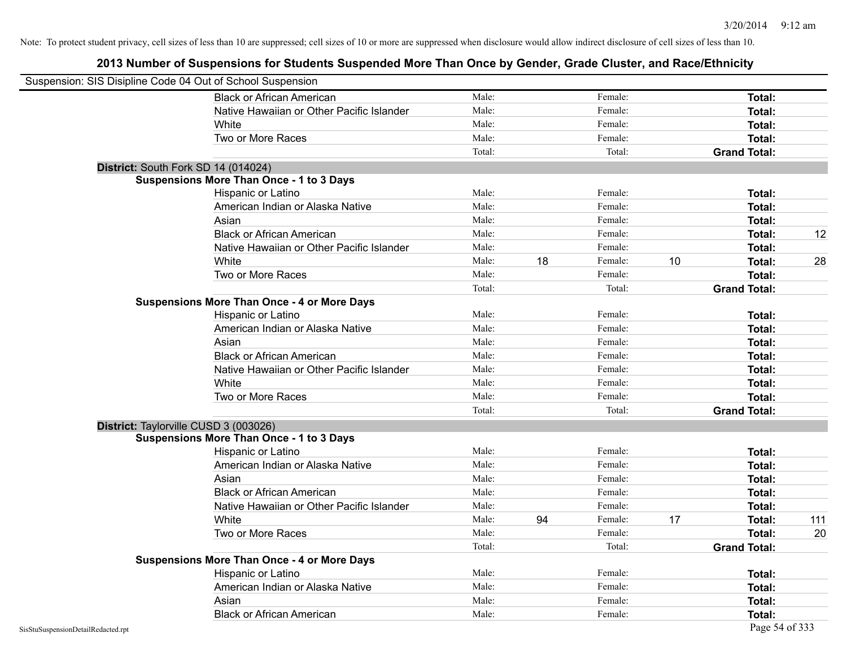| Suspension: SIS Disipline Code 04 Out of School Suspension |                                                    |        |    |         |    |                     |     |
|------------------------------------------------------------|----------------------------------------------------|--------|----|---------|----|---------------------|-----|
|                                                            | <b>Black or African American</b>                   | Male:  |    | Female: |    | Total:              |     |
|                                                            | Native Hawaiian or Other Pacific Islander          | Male:  |    | Female: |    | Total:              |     |
|                                                            | White                                              | Male:  |    | Female: |    | Total:              |     |
|                                                            | Two or More Races                                  | Male:  |    | Female: |    | Total:              |     |
|                                                            |                                                    | Total: |    | Total:  |    | <b>Grand Total:</b> |     |
|                                                            | District: South Fork SD 14 (014024)                |        |    |         |    |                     |     |
|                                                            | <b>Suspensions More Than Once - 1 to 3 Days</b>    |        |    |         |    |                     |     |
|                                                            | Hispanic or Latino                                 | Male:  |    | Female: |    | Total:              |     |
|                                                            | American Indian or Alaska Native                   | Male:  |    | Female: |    | Total:              |     |
|                                                            | Asian                                              | Male:  |    | Female: |    | Total:              |     |
|                                                            | <b>Black or African American</b>                   | Male:  |    | Female: |    | Total:              | 12  |
|                                                            | Native Hawaiian or Other Pacific Islander          | Male:  |    | Female: |    | Total:              |     |
|                                                            | White                                              | Male:  | 18 | Female: | 10 | Total:              | 28  |
|                                                            | Two or More Races                                  | Male:  |    | Female: |    | Total:              |     |
|                                                            |                                                    | Total: |    | Total:  |    | <b>Grand Total:</b> |     |
|                                                            | <b>Suspensions More Than Once - 4 or More Days</b> |        |    |         |    |                     |     |
|                                                            | Hispanic or Latino                                 | Male:  |    | Female: |    | Total:              |     |
|                                                            | American Indian or Alaska Native                   | Male:  |    | Female: |    | Total:              |     |
|                                                            | Asian                                              | Male:  |    | Female: |    | Total:              |     |
|                                                            | <b>Black or African American</b>                   | Male:  |    | Female: |    | Total:              |     |
|                                                            | Native Hawaiian or Other Pacific Islander          | Male:  |    | Female: |    | Total:              |     |
|                                                            | White                                              | Male:  |    | Female: |    | Total:              |     |
|                                                            | Two or More Races                                  | Male:  |    | Female: |    | Total:              |     |
|                                                            |                                                    | Total: |    | Total:  |    | <b>Grand Total:</b> |     |
|                                                            | District: Taylorville CUSD 3 (003026)              |        |    |         |    |                     |     |
|                                                            | <b>Suspensions More Than Once - 1 to 3 Days</b>    |        |    |         |    |                     |     |
|                                                            | Hispanic or Latino                                 | Male:  |    | Female: |    | Total:              |     |
|                                                            | American Indian or Alaska Native                   | Male:  |    | Female: |    | Total:              |     |
|                                                            | Asian                                              | Male:  |    | Female: |    | Total:              |     |
|                                                            | <b>Black or African American</b>                   | Male:  |    | Female: |    | Total:              |     |
|                                                            | Native Hawaiian or Other Pacific Islander          | Male:  |    | Female: |    | Total:              |     |
|                                                            | White                                              | Male:  | 94 | Female: | 17 | Total:              | 111 |
|                                                            | Two or More Races                                  | Male:  |    | Female: |    | Total:              | 20  |
|                                                            |                                                    | Total: |    | Total:  |    | <b>Grand Total:</b> |     |
|                                                            | <b>Suspensions More Than Once - 4 or More Days</b> |        |    |         |    |                     |     |
|                                                            | Hispanic or Latino                                 | Male:  |    | Female: |    | Total:              |     |
|                                                            | American Indian or Alaska Native                   | Male:  |    | Female: |    | Total:              |     |
|                                                            | Asian                                              | Male:  |    | Female: |    | Total:              |     |
|                                                            | <b>Black or African American</b>                   | Male:  |    | Female: |    | Total:              |     |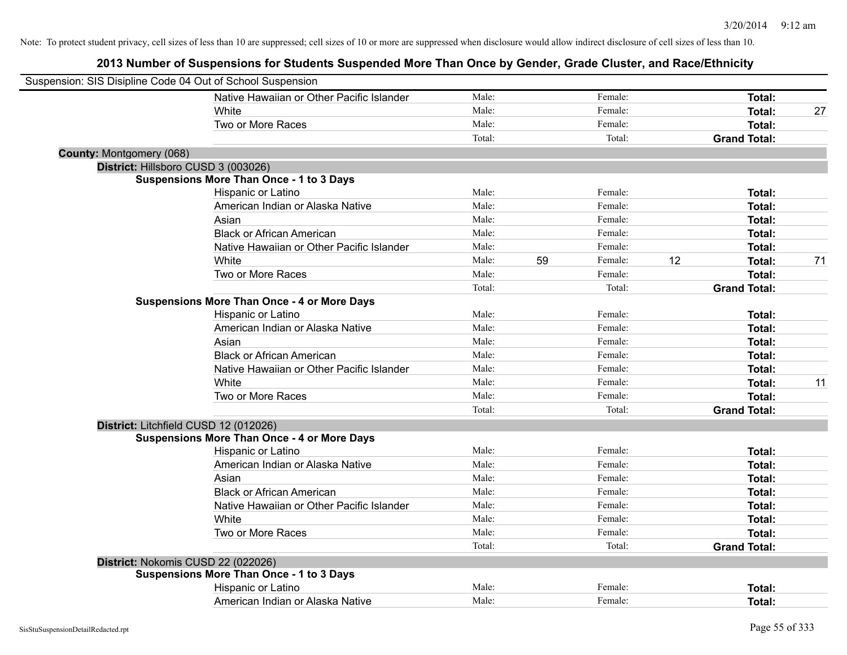| Suspension: SIS Disipline Code 04 Out of School Suspension |                                                    |        |    |         |    |                     |    |
|------------------------------------------------------------|----------------------------------------------------|--------|----|---------|----|---------------------|----|
|                                                            | Native Hawaiian or Other Pacific Islander          | Male:  |    | Female: |    | Total:              |    |
|                                                            | <b>White</b>                                       | Male:  |    | Female: |    | Total:              | 27 |
|                                                            | Two or More Races                                  | Male:  |    | Female: |    | Total:              |    |
|                                                            |                                                    | Total: |    | Total:  |    | <b>Grand Total:</b> |    |
| <b>County: Montgomery (068)</b>                            |                                                    |        |    |         |    |                     |    |
|                                                            | District: Hillsboro CUSD 3 (003026)                |        |    |         |    |                     |    |
|                                                            | <b>Suspensions More Than Once - 1 to 3 Days</b>    |        |    |         |    |                     |    |
|                                                            | Hispanic or Latino                                 | Male:  |    | Female: |    | Total:              |    |
|                                                            | American Indian or Alaska Native                   | Male:  |    | Female: |    | Total:              |    |
|                                                            | Asian                                              | Male:  |    | Female: |    | Total:              |    |
|                                                            | <b>Black or African American</b>                   | Male:  |    | Female: |    | Total:              |    |
|                                                            | Native Hawaiian or Other Pacific Islander          | Male:  |    | Female: |    | Total:              |    |
|                                                            | White                                              | Male:  | 59 | Female: | 12 | <b>Total:</b>       | 71 |
|                                                            | Two or More Races                                  | Male:  |    | Female: |    | Total:              |    |
|                                                            |                                                    | Total: |    | Total:  |    | <b>Grand Total:</b> |    |
|                                                            | <b>Suspensions More Than Once - 4 or More Days</b> |        |    |         |    |                     |    |
|                                                            | Hispanic or Latino                                 | Male:  |    | Female: |    | Total:              |    |
|                                                            | American Indian or Alaska Native                   | Male:  |    | Female: |    | Total:              |    |
|                                                            | Asian                                              | Male:  |    | Female: |    | Total:              |    |
|                                                            | <b>Black or African American</b>                   | Male:  |    | Female: |    | Total:              |    |
|                                                            | Native Hawaiian or Other Pacific Islander          | Male:  |    | Female: |    | Total:              |    |
|                                                            | White                                              | Male:  |    | Female: |    | Total:              | 11 |
|                                                            | Two or More Races                                  | Male:  |    | Female: |    | Total:              |    |
|                                                            |                                                    | Total: |    | Total:  |    | <b>Grand Total:</b> |    |
|                                                            | District: Litchfield CUSD 12 (012026)              |        |    |         |    |                     |    |
|                                                            | <b>Suspensions More Than Once - 4 or More Days</b> |        |    |         |    |                     |    |
|                                                            | Hispanic or Latino                                 | Male:  |    | Female: |    | Total:              |    |
|                                                            | American Indian or Alaska Native                   | Male:  |    | Female: |    | Total:              |    |
|                                                            | Asian                                              | Male:  |    | Female: |    | Total:              |    |
|                                                            | <b>Black or African American</b>                   | Male:  |    | Female: |    | Total:              |    |
|                                                            | Native Hawaiian or Other Pacific Islander          | Male:  |    | Female: |    | Total:              |    |
|                                                            | White                                              | Male:  |    | Female: |    | Total:              |    |
|                                                            | Two or More Races                                  | Male:  |    | Female: |    | Total:              |    |
|                                                            |                                                    | Total: |    | Total:  |    | <b>Grand Total:</b> |    |
|                                                            | District: Nokomis CUSD 22 (022026)                 |        |    |         |    |                     |    |
|                                                            | <b>Suspensions More Than Once - 1 to 3 Days</b>    |        |    |         |    |                     |    |
|                                                            | Hispanic or Latino                                 | Male:  |    | Female: |    | Total:              |    |
|                                                            | American Indian or Alaska Native                   | Male:  |    | Female: |    | Total:              |    |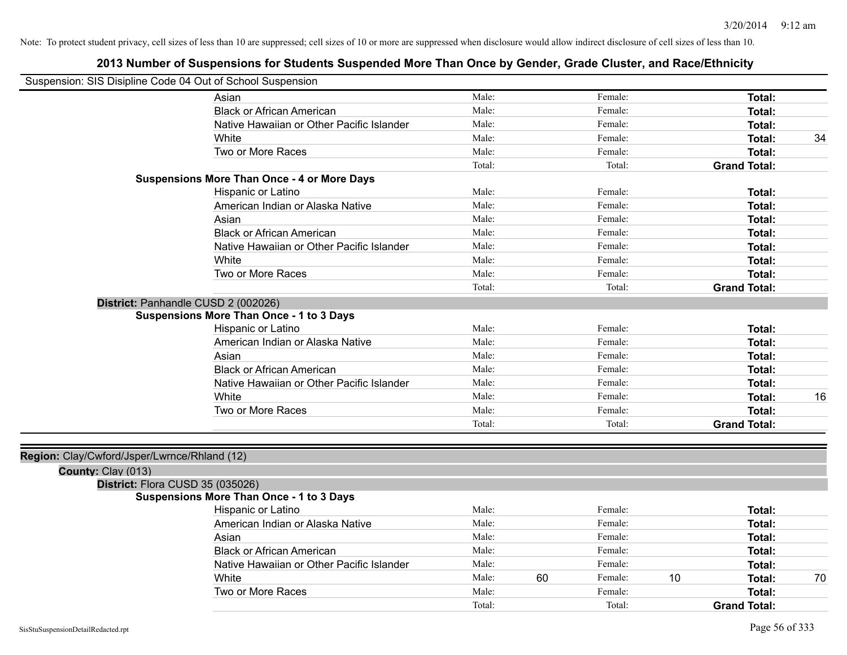| Suspension: SIS Disipline Code 04 Out of School Suspension |                                                    |        |    |         |    |                     |    |
|------------------------------------------------------------|----------------------------------------------------|--------|----|---------|----|---------------------|----|
|                                                            | Asian                                              | Male:  |    | Female: |    | <b>Total:</b>       |    |
|                                                            | <b>Black or African American</b>                   | Male:  |    | Female: |    | Total:              |    |
|                                                            | Native Hawaiian or Other Pacific Islander          | Male:  |    | Female: |    | Total:              |    |
|                                                            | White                                              | Male:  |    | Female: |    | Total:              | 34 |
|                                                            | Two or More Races                                  | Male:  |    | Female: |    | Total:              |    |
|                                                            |                                                    | Total: |    | Total:  |    | <b>Grand Total:</b> |    |
|                                                            | <b>Suspensions More Than Once - 4 or More Days</b> |        |    |         |    |                     |    |
|                                                            | Hispanic or Latino                                 | Male:  |    | Female: |    | Total:              |    |
|                                                            | American Indian or Alaska Native                   | Male:  |    | Female: |    | Total:              |    |
|                                                            | Asian                                              | Male:  |    | Female: |    | Total:              |    |
|                                                            | <b>Black or African American</b>                   | Male:  |    | Female: |    | Total:              |    |
|                                                            | Native Hawaiian or Other Pacific Islander          | Male:  |    | Female: |    | Total:              |    |
|                                                            | White                                              | Male:  |    | Female: |    | Total:              |    |
|                                                            | Two or More Races                                  | Male:  |    | Female: |    | Total:              |    |
|                                                            |                                                    | Total: |    | Total:  |    | <b>Grand Total:</b> |    |
|                                                            | District: Panhandle CUSD 2 (002026)                |        |    |         |    |                     |    |
|                                                            | <b>Suspensions More Than Once - 1 to 3 Days</b>    |        |    |         |    |                     |    |
|                                                            | Hispanic or Latino                                 | Male:  |    | Female: |    | Total:              |    |
|                                                            | American Indian or Alaska Native                   | Male:  |    | Female: |    | Total:              |    |
|                                                            | Asian                                              | Male:  |    | Female: |    | Total:              |    |
|                                                            | <b>Black or African American</b>                   | Male:  |    | Female: |    | Total:              |    |
|                                                            | Native Hawaiian or Other Pacific Islander          | Male:  |    | Female: |    | Total:              |    |
|                                                            | White                                              | Male:  |    | Female: |    | Total:              | 16 |
|                                                            | Two or More Races                                  | Male:  |    | Female: |    | Total:              |    |
|                                                            |                                                    | Total: |    | Total:  |    | <b>Grand Total:</b> |    |
|                                                            |                                                    |        |    |         |    |                     |    |
| Region: Clay/Cwford/Jsper/Lwrnce/Rhland (12)               |                                                    |        |    |         |    |                     |    |
| County: Clay (013)                                         |                                                    |        |    |         |    |                     |    |
| District: Flora CUSD 35 (035026)                           |                                                    |        |    |         |    |                     |    |
|                                                            | <b>Suspensions More Than Once - 1 to 3 Days</b>    |        |    |         |    |                     |    |
|                                                            | Hispanic or Latino                                 | Male:  |    | Female: |    | Total:              |    |
|                                                            | American Indian or Alaska Native                   | Male:  |    | Female: |    | Total:              |    |
|                                                            | Asian                                              | Male:  |    | Female: |    | Total:              |    |
|                                                            | <b>Black or African American</b>                   | Male:  |    | Female: |    | Total:              |    |
|                                                            | Native Hawaiian or Other Pacific Islander          | Male:  |    | Female: |    | Total:              |    |
|                                                            | White                                              | Male:  | 60 | Female: | 10 | Total:              | 70 |
|                                                            | Two or More Races                                  | Male:  |    | Female: |    | Total:              |    |
|                                                            |                                                    | Total: |    | Total:  |    | <b>Grand Total:</b> |    |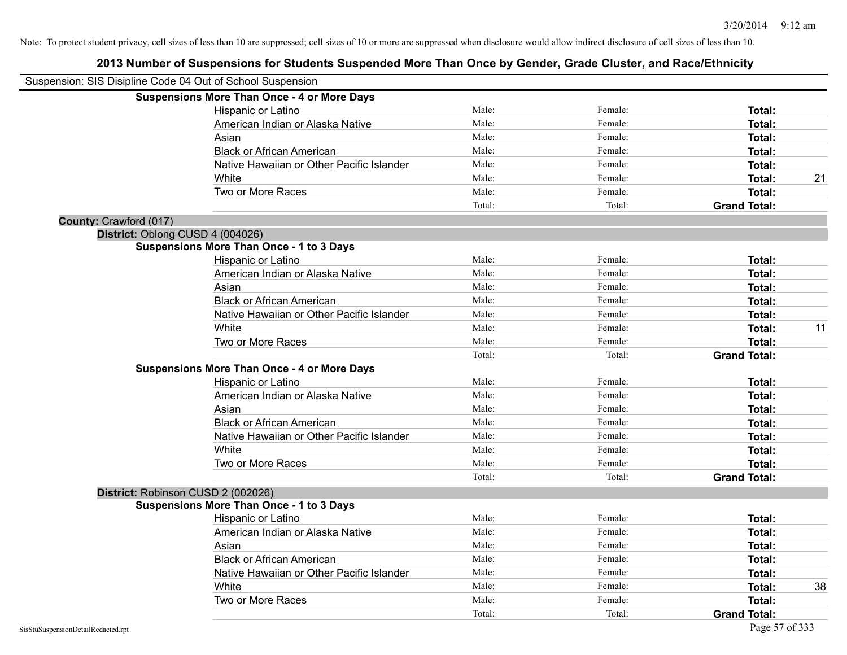|                        | Suspension: SIS Disipline Code 04 Out of School Suspension |        |         |                     |    |
|------------------------|------------------------------------------------------------|--------|---------|---------------------|----|
|                        | <b>Suspensions More Than Once - 4 or More Days</b>         |        |         |                     |    |
|                        | Hispanic or Latino                                         | Male:  | Female: | Total:              |    |
|                        | American Indian or Alaska Native                           | Male:  | Female: | Total:              |    |
|                        | Asian                                                      | Male:  | Female: | Total:              |    |
|                        | <b>Black or African American</b>                           | Male:  | Female: | Total:              |    |
|                        | Native Hawaiian or Other Pacific Islander                  | Male:  | Female: | Total:              |    |
|                        | White                                                      | Male:  | Female: | Total:              | 21 |
|                        | Two or More Races                                          | Male:  | Female: | Total:              |    |
|                        |                                                            | Total: | Total:  | <b>Grand Total:</b> |    |
| County: Crawford (017) |                                                            |        |         |                     |    |
|                        | District: Oblong CUSD 4 (004026)                           |        |         |                     |    |
|                        | <b>Suspensions More Than Once - 1 to 3 Days</b>            |        |         |                     |    |
|                        | Hispanic or Latino                                         | Male:  | Female: | Total:              |    |
|                        | American Indian or Alaska Native                           | Male:  | Female: | Total:              |    |
|                        | Asian                                                      | Male:  | Female: | Total:              |    |
|                        | <b>Black or African American</b>                           | Male:  | Female: | Total:              |    |
|                        | Native Hawaiian or Other Pacific Islander                  | Male:  | Female: | Total:              |    |
|                        | White                                                      | Male:  | Female: | Total:              | 11 |
|                        | Two or More Races                                          | Male:  | Female: | Total:              |    |
|                        |                                                            | Total: | Total:  | <b>Grand Total:</b> |    |
|                        | <b>Suspensions More Than Once - 4 or More Days</b>         |        |         |                     |    |
|                        | <b>Hispanic or Latino</b>                                  | Male:  | Female: | Total:              |    |
|                        | American Indian or Alaska Native                           | Male:  | Female: | Total:              |    |
|                        | Asian                                                      | Male:  | Female: | Total:              |    |
|                        | <b>Black or African American</b>                           | Male:  | Female: | Total:              |    |
|                        | Native Hawaiian or Other Pacific Islander                  | Male:  | Female: | Total:              |    |
|                        | White                                                      | Male:  | Female: | Total:              |    |
|                        | Two or More Races                                          | Male:  | Female: | Total:              |    |
|                        |                                                            | Total: | Total:  | <b>Grand Total:</b> |    |
|                        | District: Robinson CUSD 2 (002026)                         |        |         |                     |    |
|                        | <b>Suspensions More Than Once - 1 to 3 Days</b>            |        |         |                     |    |
|                        | Hispanic or Latino                                         | Male:  | Female: | Total:              |    |
|                        | American Indian or Alaska Native                           | Male:  | Female: | Total:              |    |
|                        | Asian                                                      | Male:  | Female: | Total:              |    |
|                        | <b>Black or African American</b>                           | Male:  | Female: | Total:              |    |
|                        | Native Hawaiian or Other Pacific Islander                  | Male:  | Female: | Total:              |    |
|                        | White                                                      | Male:  | Female: | Total:              | 38 |
|                        | Two or More Races                                          | Male:  | Female: | Total:              |    |
|                        |                                                            | Total: | Total:  | <b>Grand Total:</b> |    |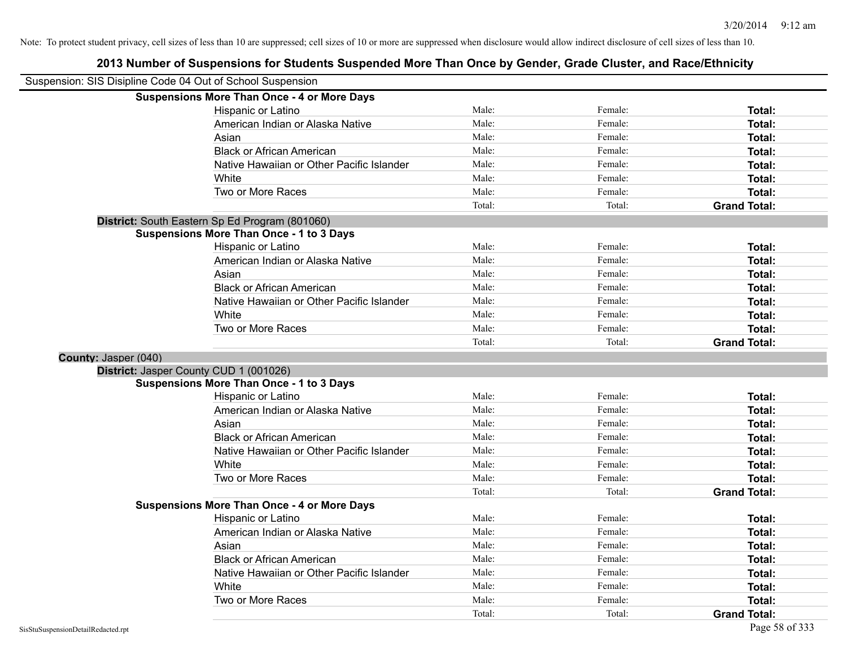| Suspension: SIS Disipline Code 04 Out of School Suspension |                                                    |        |         |                     |
|------------------------------------------------------------|----------------------------------------------------|--------|---------|---------------------|
|                                                            | <b>Suspensions More Than Once - 4 or More Days</b> |        |         |                     |
|                                                            | Hispanic or Latino                                 | Male:  | Female: | Total:              |
|                                                            | American Indian or Alaska Native                   | Male:  | Female: | Total:              |
|                                                            | Asian                                              | Male:  | Female: | Total:              |
|                                                            | <b>Black or African American</b>                   | Male:  | Female: | Total:              |
|                                                            | Native Hawaiian or Other Pacific Islander          | Male:  | Female: | Total:              |
|                                                            | White                                              | Male:  | Female: | Total:              |
|                                                            | Two or More Races                                  | Male:  | Female: | Total:              |
|                                                            |                                                    | Total: | Total:  | <b>Grand Total:</b> |
|                                                            | District: South Eastern Sp Ed Program (801060)     |        |         |                     |
|                                                            | <b>Suspensions More Than Once - 1 to 3 Days</b>    |        |         |                     |
|                                                            | Hispanic or Latino                                 | Male:  | Female: | Total:              |
|                                                            | American Indian or Alaska Native                   | Male:  | Female: | Total:              |
|                                                            | Asian                                              | Male:  | Female: | Total:              |
|                                                            | <b>Black or African American</b>                   | Male:  | Female: | Total:              |
|                                                            | Native Hawaiian or Other Pacific Islander          | Male:  | Female: | Total:              |
|                                                            | White                                              | Male:  | Female: | Total:              |
|                                                            | Two or More Races                                  | Male:  | Female: | Total:              |
|                                                            |                                                    | Total: | Total:  | <b>Grand Total:</b> |
| County: Jasper (040)                                       |                                                    |        |         |                     |
| District: Jasper County CUD 1 (001026)                     |                                                    |        |         |                     |
|                                                            | <b>Suspensions More Than Once - 1 to 3 Days</b>    |        |         |                     |
|                                                            | Hispanic or Latino                                 | Male:  | Female: | Total:              |
|                                                            | American Indian or Alaska Native                   | Male:  | Female: | Total:              |
|                                                            | Asian                                              | Male:  | Female: | Total:              |
|                                                            | <b>Black or African American</b>                   | Male:  | Female: | Total:              |
|                                                            | Native Hawaiian or Other Pacific Islander          | Male:  | Female: | Total:              |
|                                                            | White                                              | Male:  | Female: | Total:              |
|                                                            | Two or More Races                                  | Male:  | Female: | Total:              |
|                                                            |                                                    | Total: | Total:  | <b>Grand Total:</b> |
|                                                            | <b>Suspensions More Than Once - 4 or More Days</b> |        |         |                     |
|                                                            | Hispanic or Latino                                 | Male:  | Female: | Total:              |
|                                                            | American Indian or Alaska Native                   | Male:  | Female: | Total:              |
|                                                            | Asian                                              | Male:  | Female: | Total:              |
|                                                            | <b>Black or African American</b>                   | Male:  | Female: | Total:              |
|                                                            | Native Hawaiian or Other Pacific Islander          | Male:  | Female: | Total:              |
|                                                            | White                                              | Male:  | Female: | Total:              |
|                                                            | Two or More Races                                  | Male:  | Female: | Total:              |
|                                                            |                                                    | Total: | Total:  | <b>Grand Total:</b> |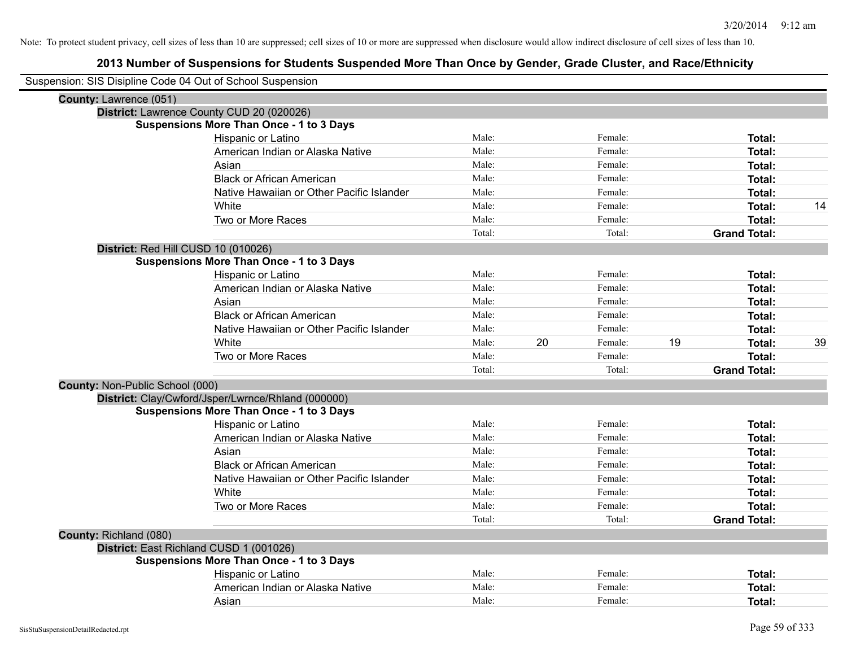| Suspension: SIS Disipline Code 04 Out of School Suspension |                                                    |        |    |         |    |                     |    |
|------------------------------------------------------------|----------------------------------------------------|--------|----|---------|----|---------------------|----|
| County: Lawrence (051)                                     |                                                    |        |    |         |    |                     |    |
|                                                            | District: Lawrence County CUD 20 (020026)          |        |    |         |    |                     |    |
|                                                            | <b>Suspensions More Than Once - 1 to 3 Days</b>    |        |    |         |    |                     |    |
|                                                            | Hispanic or Latino                                 | Male:  |    | Female: |    | Total:              |    |
|                                                            | American Indian or Alaska Native                   | Male:  |    | Female: |    | Total:              |    |
|                                                            | Asian                                              | Male:  |    | Female: |    | <b>Total:</b>       |    |
|                                                            | <b>Black or African American</b>                   | Male:  |    | Female: |    | <b>Total:</b>       |    |
|                                                            | Native Hawaiian or Other Pacific Islander          | Male:  |    | Female: |    | <b>Total:</b>       |    |
|                                                            | White                                              | Male:  |    | Female: |    | Total:              | 14 |
|                                                            | Two or More Races                                  | Male:  |    | Female: |    | Total:              |    |
|                                                            |                                                    | Total: |    | Total:  |    | <b>Grand Total:</b> |    |
|                                                            | District: Red Hill CUSD 10 (010026)                |        |    |         |    |                     |    |
|                                                            | <b>Suspensions More Than Once - 1 to 3 Days</b>    |        |    |         |    |                     |    |
|                                                            | Hispanic or Latino                                 | Male:  |    | Female: |    | Total:              |    |
|                                                            | American Indian or Alaska Native                   | Male:  |    | Female: |    | <b>Total:</b>       |    |
|                                                            | Asian                                              | Male:  |    | Female: |    | Total:              |    |
|                                                            | <b>Black or African American</b>                   | Male:  |    | Female: |    | Total:              |    |
|                                                            | Native Hawaiian or Other Pacific Islander          | Male:  |    | Female: |    | Total:              |    |
|                                                            | White                                              | Male:  | 20 | Female: | 19 | Total:              | 39 |
|                                                            | Two or More Races                                  | Male:  |    | Female: |    | Total:              |    |
|                                                            |                                                    | Total: |    | Total:  |    | <b>Grand Total:</b> |    |
| County: Non-Public School (000)                            |                                                    |        |    |         |    |                     |    |
|                                                            | District: Clay/Cwford/Jsper/Lwrnce/Rhland (000000) |        |    |         |    |                     |    |
|                                                            | <b>Suspensions More Than Once - 1 to 3 Days</b>    |        |    |         |    |                     |    |
|                                                            | Hispanic or Latino                                 | Male:  |    | Female: |    | Total:              |    |
|                                                            | American Indian or Alaska Native                   | Male:  |    | Female: |    | <b>Total:</b>       |    |
|                                                            | Asian                                              | Male:  |    | Female: |    | <b>Total:</b>       |    |
|                                                            | <b>Black or African American</b>                   | Male:  |    | Female: |    | Total:              |    |
|                                                            | Native Hawaiian or Other Pacific Islander          | Male:  |    | Female: |    | Total:              |    |
|                                                            | White                                              | Male:  |    | Female: |    | Total:              |    |
|                                                            | Two or More Races                                  | Male:  |    | Female: |    | Total:              |    |
|                                                            |                                                    | Total: |    | Total:  |    | <b>Grand Total:</b> |    |
| County: Richland (080)                                     |                                                    |        |    |         |    |                     |    |
|                                                            | District: East Richland CUSD 1 (001026)            |        |    |         |    |                     |    |
|                                                            | <b>Suspensions More Than Once - 1 to 3 Days</b>    |        |    |         |    |                     |    |
|                                                            | Hispanic or Latino                                 | Male:  |    | Female: |    | Total:              |    |
|                                                            | American Indian or Alaska Native                   | Male:  |    | Female: |    | <b>Total:</b>       |    |
|                                                            | Asian                                              | Male:  |    | Female: |    | Total:              |    |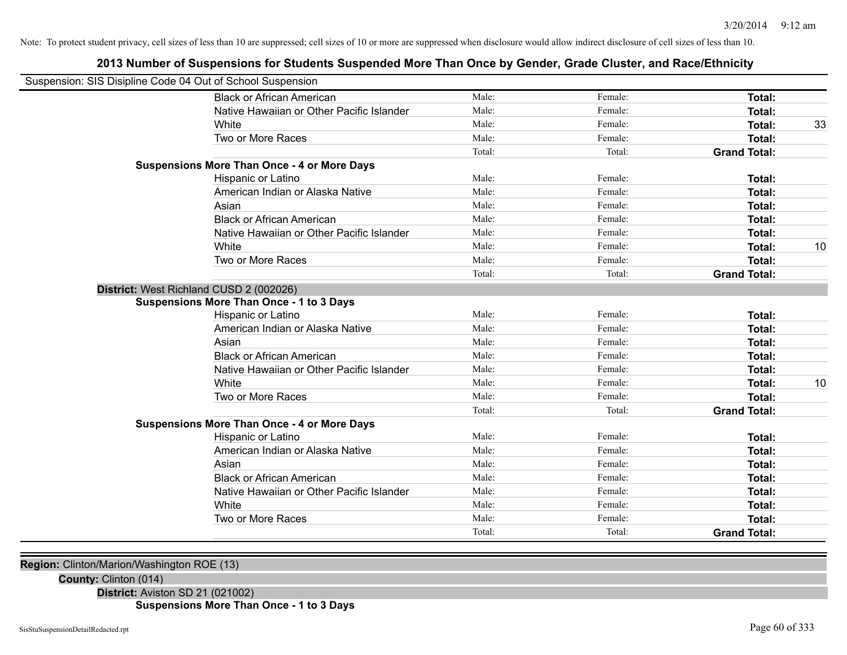# **2013 Number of Suspensions for Students Suspended More Than Once by Gender, Grade Cluster, and Race/Ethnicity**

| Suspension: SIS Disipline Code 04 Out of School Suspension |                                                    |        |         |                     |    |
|------------------------------------------------------------|----------------------------------------------------|--------|---------|---------------------|----|
|                                                            | <b>Black or African American</b>                   | Male:  | Female: | <b>Total:</b>       |    |
|                                                            | Native Hawaiian or Other Pacific Islander          | Male:  | Female: | Total:              |    |
|                                                            | White                                              | Male:  | Female: | <b>Total:</b>       | 33 |
|                                                            | Two or More Races                                  | Male:  | Female: | <b>Total:</b>       |    |
|                                                            |                                                    | Total: | Total:  | <b>Grand Total:</b> |    |
|                                                            | <b>Suspensions More Than Once - 4 or More Days</b> |        |         |                     |    |
|                                                            | Hispanic or Latino                                 | Male:  | Female: | Total:              |    |
|                                                            | American Indian or Alaska Native                   | Male:  | Female: | Total:              |    |
|                                                            | Asian                                              | Male:  | Female: | <b>Total:</b>       |    |
|                                                            | <b>Black or African American</b>                   | Male:  | Female: | <b>Total:</b>       |    |
|                                                            | Native Hawaiian or Other Pacific Islander          | Male:  | Female: | <b>Total:</b>       |    |
|                                                            | White                                              | Male:  | Female: | Total:              | 10 |
|                                                            | Two or More Races                                  | Male:  | Female: | <b>Total:</b>       |    |
|                                                            |                                                    | Total: | Total:  | <b>Grand Total:</b> |    |
| District: West Richland CUSD 2 (002026)                    |                                                    |        |         |                     |    |
|                                                            | <b>Suspensions More Than Once - 1 to 3 Days</b>    |        |         |                     |    |
|                                                            | Hispanic or Latino                                 | Male:  | Female: | Total:              |    |
|                                                            | American Indian or Alaska Native                   | Male:  | Female: | Total:              |    |
|                                                            | Asian                                              | Male:  | Female: | Total:              |    |
|                                                            | <b>Black or African American</b>                   | Male:  | Female: | <b>Total:</b>       |    |
|                                                            | Native Hawaiian or Other Pacific Islander          | Male:  | Female: | Total:              |    |
|                                                            | White                                              | Male:  | Female: | <b>Total:</b>       | 10 |
|                                                            | Two or More Races                                  | Male:  | Female: | Total:              |    |
|                                                            |                                                    | Total: | Total:  | <b>Grand Total:</b> |    |
|                                                            | <b>Suspensions More Than Once - 4 or More Days</b> |        |         |                     |    |
|                                                            | Hispanic or Latino                                 | Male:  | Female: | Total:              |    |
|                                                            | American Indian or Alaska Native                   | Male:  | Female: | <b>Total:</b>       |    |
|                                                            | Asian                                              | Male:  | Female: | <b>Total:</b>       |    |
|                                                            | <b>Black or African American</b>                   | Male:  | Female: | <b>Total:</b>       |    |
|                                                            | Native Hawaiian or Other Pacific Islander          | Male:  | Female: | Total:              |    |
|                                                            | White                                              | Male:  | Female: | <b>Total:</b>       |    |
|                                                            | Two or More Races                                  | Male:  | Female: | <b>Total:</b>       |    |
|                                                            |                                                    | Total: | Total:  | <b>Grand Total:</b> |    |
|                                                            |                                                    |        |         |                     |    |

**Region:** Clinton/Marion/Washington ROE (13)

**County:** Clinton (014)

**District:** Aviston SD 21 (021002)

**Suspensions More Than Once - 1 to 3 Days**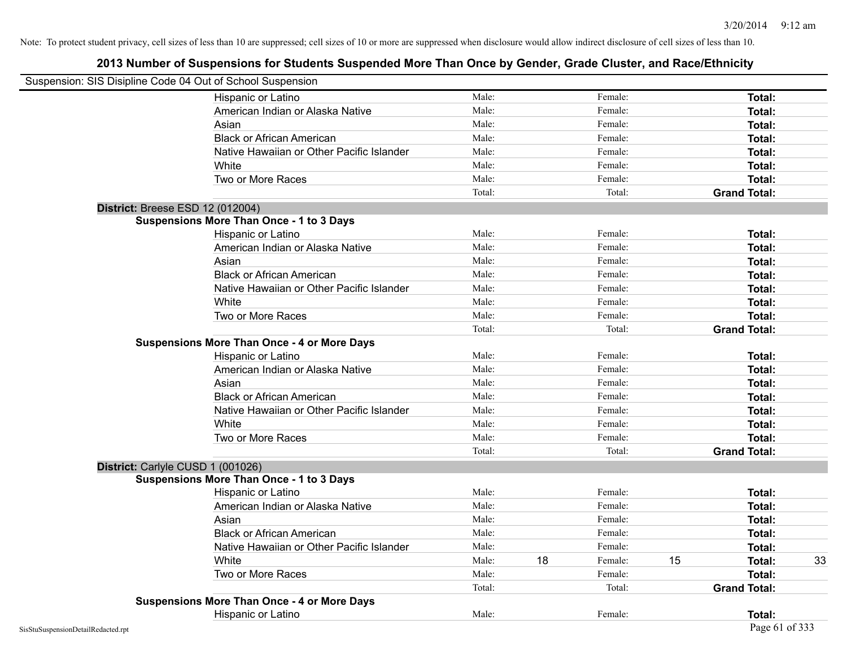| Suspension: SIS Disipline Code 04 Out of School Suspension |                                                    |        |    |         |    |                     |    |
|------------------------------------------------------------|----------------------------------------------------|--------|----|---------|----|---------------------|----|
|                                                            | Hispanic or Latino                                 | Male:  |    | Female: |    | <b>Total:</b>       |    |
|                                                            | American Indian or Alaska Native                   | Male:  |    | Female: |    | Total:              |    |
|                                                            | Asian                                              | Male:  |    | Female: |    | Total:              |    |
|                                                            | <b>Black or African American</b>                   | Male:  |    | Female: |    | Total:              |    |
|                                                            | Native Hawaiian or Other Pacific Islander          | Male:  |    | Female: |    | Total:              |    |
|                                                            | White                                              | Male:  |    | Female: |    | Total:              |    |
|                                                            | Two or More Races                                  | Male:  |    | Female: |    | Total:              |    |
|                                                            |                                                    | Total: |    | Total:  |    | <b>Grand Total:</b> |    |
|                                                            | <b>District: Breese ESD 12 (012004)</b>            |        |    |         |    |                     |    |
|                                                            | <b>Suspensions More Than Once - 1 to 3 Days</b>    |        |    |         |    |                     |    |
|                                                            | Hispanic or Latino                                 | Male:  |    | Female: |    | Total:              |    |
|                                                            | American Indian or Alaska Native                   | Male:  |    | Female: |    | Total:              |    |
|                                                            | Asian                                              | Male:  |    | Female: |    | Total:              |    |
|                                                            | <b>Black or African American</b>                   | Male:  |    | Female: |    | Total:              |    |
|                                                            | Native Hawaiian or Other Pacific Islander          | Male:  |    | Female: |    | Total:              |    |
|                                                            | White                                              | Male:  |    | Female: |    | Total:              |    |
|                                                            | Two or More Races                                  | Male:  |    | Female: |    | Total:              |    |
|                                                            |                                                    | Total: |    | Total:  |    | <b>Grand Total:</b> |    |
|                                                            | <b>Suspensions More Than Once - 4 or More Days</b> |        |    |         |    |                     |    |
|                                                            | Hispanic or Latino                                 | Male:  |    | Female: |    | Total:              |    |
|                                                            | American Indian or Alaska Native                   | Male:  |    | Female: |    | Total:              |    |
|                                                            | Asian                                              | Male:  |    | Female: |    | Total:              |    |
|                                                            | <b>Black or African American</b>                   | Male:  |    | Female: |    | Total:              |    |
|                                                            | Native Hawaiian or Other Pacific Islander          | Male:  |    | Female: |    | Total:              |    |
|                                                            | White                                              | Male:  |    | Female: |    | Total:              |    |
|                                                            | Two or More Races                                  | Male:  |    | Female: |    | Total:              |    |
|                                                            |                                                    | Total: |    | Total:  |    | <b>Grand Total:</b> |    |
|                                                            | District: Carlyle CUSD 1 (001026)                  |        |    |         |    |                     |    |
|                                                            | <b>Suspensions More Than Once - 1 to 3 Days</b>    |        |    |         |    |                     |    |
|                                                            | Hispanic or Latino                                 | Male:  |    | Female: |    | Total:              |    |
|                                                            | American Indian or Alaska Native                   | Male:  |    | Female: |    | Total:              |    |
|                                                            | Asian                                              | Male:  |    | Female: |    | Total:              |    |
|                                                            | <b>Black or African American</b>                   | Male:  |    | Female: |    | Total:              |    |
|                                                            | Native Hawaiian or Other Pacific Islander          | Male:  |    | Female: |    | Total:              |    |
|                                                            | White                                              | Male:  | 18 | Female: | 15 | Total:              | 33 |
|                                                            | Two or More Races                                  | Male:  |    | Female: |    | Total:              |    |
|                                                            |                                                    | Total: |    | Total:  |    | <b>Grand Total:</b> |    |
|                                                            | <b>Suspensions More Than Once - 4 or More Days</b> |        |    |         |    |                     |    |
|                                                            | Hispanic or Latino                                 | Male:  |    | Female: |    | Total:              |    |
| SisStuSuspensionDetailRedacted.rpt                         |                                                    |        |    |         |    | Page 61 of 333      |    |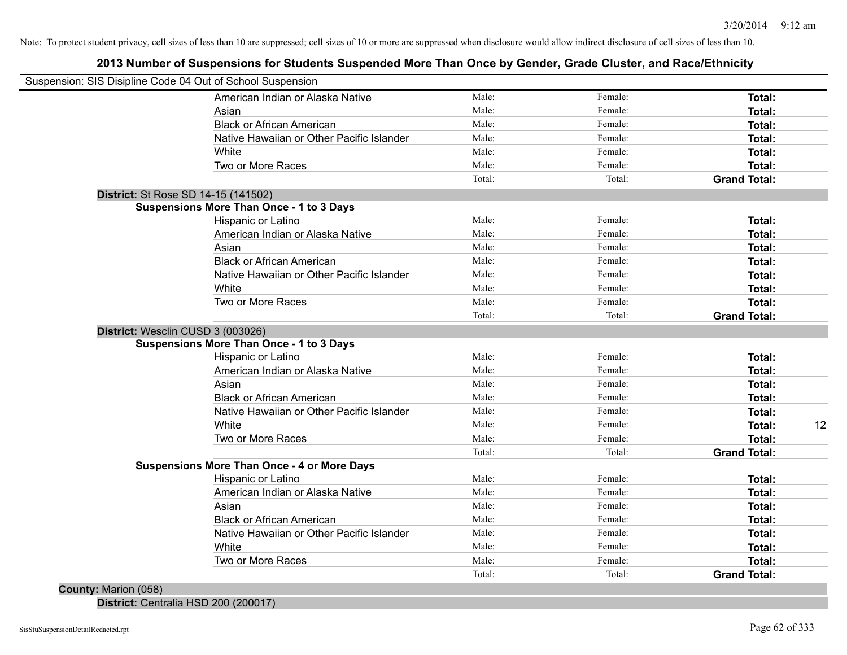# **2013 Number of Suspensions for Students Suspended More Than Once by Gender, Grade Cluster, and Race/Ethnicity**

|                                   | Suspension: SIS Disipline Code 04 Out of School Suspension |        |         |                     |    |
|-----------------------------------|------------------------------------------------------------|--------|---------|---------------------|----|
|                                   | American Indian or Alaska Native                           | Male:  | Female: | <b>Total:</b>       |    |
|                                   | Asian                                                      | Male:  | Female: | <b>Total:</b>       |    |
|                                   | <b>Black or African American</b>                           | Male:  | Female: | <b>Total:</b>       |    |
|                                   | Native Hawaiian or Other Pacific Islander                  | Male:  | Female: | Total:              |    |
|                                   | White                                                      | Male:  | Female: | Total:              |    |
|                                   | Two or More Races                                          | Male:  | Female: | <b>Total:</b>       |    |
|                                   |                                                            | Total: | Total:  | <b>Grand Total:</b> |    |
|                                   | District: St Rose SD 14-15 (141502)                        |        |         |                     |    |
|                                   | <b>Suspensions More Than Once - 1 to 3 Days</b>            |        |         |                     |    |
|                                   | Hispanic or Latino                                         | Male:  | Female: | <b>Total:</b>       |    |
|                                   | American Indian or Alaska Native                           | Male:  | Female: | <b>Total:</b>       |    |
|                                   | Asian                                                      | Male:  | Female: | Total:              |    |
|                                   | <b>Black or African American</b>                           | Male:  | Female: | <b>Total:</b>       |    |
|                                   | Native Hawaiian or Other Pacific Islander                  | Male:  | Female: | <b>Total:</b>       |    |
|                                   | White                                                      | Male:  | Female: | <b>Total:</b>       |    |
|                                   | Two or More Races                                          | Male:  | Female: | <b>Total:</b>       |    |
|                                   |                                                            | Total: | Total:  | <b>Grand Total:</b> |    |
| District: Wesclin CUSD 3 (003026) |                                                            |        |         |                     |    |
|                                   | <b>Suspensions More Than Once - 1 to 3 Days</b>            |        |         |                     |    |
|                                   | Hispanic or Latino                                         | Male:  | Female: | <b>Total:</b>       |    |
|                                   | American Indian or Alaska Native                           | Male:  | Female: | <b>Total:</b>       |    |
|                                   | Asian                                                      | Male:  | Female: | Total:              |    |
|                                   | <b>Black or African American</b>                           | Male:  | Female: | Total:              |    |
|                                   | Native Hawaiian or Other Pacific Islander                  | Male:  | Female: | <b>Total:</b>       |    |
|                                   | White                                                      | Male:  | Female: | <b>Total:</b>       | 12 |
|                                   | Two or More Races                                          | Male:  | Female: | <b>Total:</b>       |    |
|                                   |                                                            | Total: | Total:  | <b>Grand Total:</b> |    |
|                                   | <b>Suspensions More Than Once - 4 or More Days</b>         |        |         |                     |    |
|                                   | Hispanic or Latino                                         | Male:  | Female: | Total:              |    |
|                                   | American Indian or Alaska Native                           | Male:  | Female: | <b>Total:</b>       |    |
|                                   | Asian                                                      | Male:  | Female: | <b>Total:</b>       |    |
|                                   | <b>Black or African American</b>                           | Male:  | Female: | <b>Total:</b>       |    |
|                                   | Native Hawaiian or Other Pacific Islander                  | Male:  | Female: | <b>Total:</b>       |    |
|                                   | White                                                      | Male:  | Female: | <b>Total:</b>       |    |
|                                   | Two or More Races                                          | Male:  | Female: | Total:              |    |
|                                   |                                                            | Total: | Total:  | <b>Grand Total:</b> |    |
| <b>County: Marion (058)</b>       |                                                            |        |         |                     |    |

**District:** Centralia HSD 200 (200017)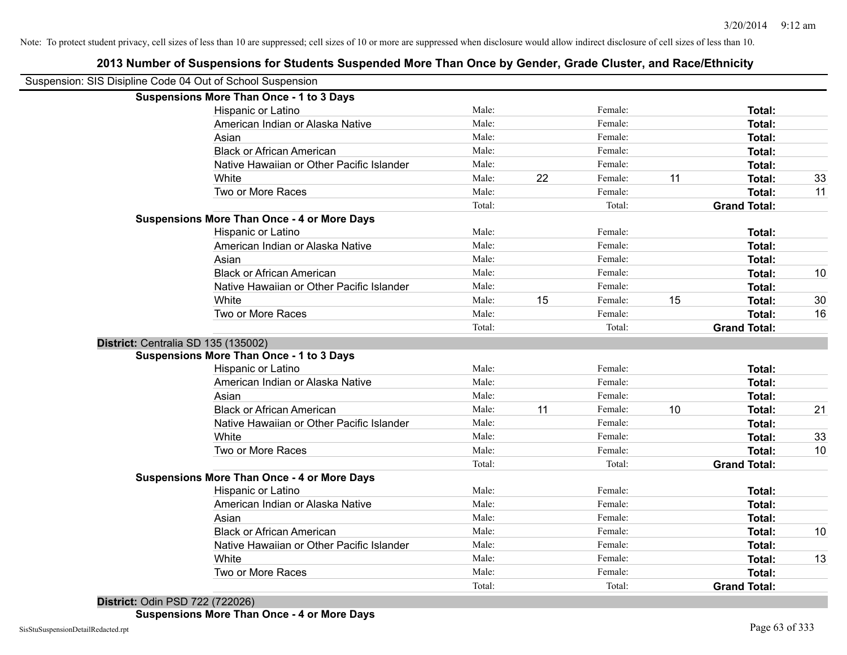|                                                            | 2013 Number of Suspensions for Students Suspended More Than Once by Gender, Grade Cluster, and Race/Ethnicity |        |    |         |    |                     |    |
|------------------------------------------------------------|---------------------------------------------------------------------------------------------------------------|--------|----|---------|----|---------------------|----|
| Suspension: SIS Disipline Code 04 Out of School Suspension |                                                                                                               |        |    |         |    |                     |    |
|                                                            | <b>Suspensions More Than Once - 1 to 3 Days</b>                                                               |        |    |         |    |                     |    |
|                                                            | Hispanic or Latino                                                                                            | Male:  |    | Female: |    | Total:              |    |
|                                                            | American Indian or Alaska Native                                                                              | Male:  |    | Female: |    | Total:              |    |
|                                                            | Asian                                                                                                         | Male:  |    | Female: |    | <b>Total:</b>       |    |
|                                                            | <b>Black or African American</b>                                                                              | Male:  |    | Female: |    | <b>Total:</b>       |    |
|                                                            | Native Hawaiian or Other Pacific Islander                                                                     | Male:  |    | Female: |    | <b>Total:</b>       |    |
|                                                            | White                                                                                                         | Male:  | 22 | Female: | 11 | <b>Total:</b>       | 33 |
|                                                            | Two or More Races                                                                                             | Male:  |    | Female: |    | <b>Total:</b>       | 11 |
|                                                            |                                                                                                               | Total: |    | Total:  |    | <b>Grand Total:</b> |    |
|                                                            | <b>Suspensions More Than Once - 4 or More Days</b>                                                            |        |    |         |    |                     |    |
|                                                            | Hispanic or Latino                                                                                            | Male:  |    | Female: |    | Total:              |    |
|                                                            | American Indian or Alaska Native                                                                              | Male:  |    | Female: |    | <b>Total:</b>       |    |
|                                                            | Asian                                                                                                         | Male:  |    | Female: |    | Total:              |    |
|                                                            | <b>Black or African American</b>                                                                              | Male:  |    | Female: |    | <b>Total:</b>       | 10 |
|                                                            | Native Hawaiian or Other Pacific Islander                                                                     | Male:  |    | Female: |    | Total:              |    |
|                                                            | White                                                                                                         | Male:  | 15 | Female: | 15 | <b>Total:</b>       | 30 |
|                                                            | Two or More Races                                                                                             | Male:  |    | Female: |    | Total:              | 16 |
|                                                            |                                                                                                               | Total: |    | Total:  |    | <b>Grand Total:</b> |    |
| District: Centralia SD 135 (135002)                        |                                                                                                               |        |    |         |    |                     |    |
|                                                            | <b>Suspensions More Than Once - 1 to 3 Days</b>                                                               |        |    |         |    |                     |    |
|                                                            | Hispanic or Latino                                                                                            | Male:  |    | Female: |    | Total:              |    |
|                                                            | American Indian or Alaska Native                                                                              | Male:  |    | Female: |    | <b>Total:</b>       |    |
|                                                            | Asian                                                                                                         | Male:  |    | Female: |    | <b>Total:</b>       |    |
|                                                            | <b>Black or African American</b>                                                                              | Male:  | 11 | Female: | 10 | <b>Total:</b>       | 21 |
|                                                            | Native Hawaiian or Other Pacific Islander                                                                     | Male:  |    | Female: |    | <b>Total:</b>       |    |
|                                                            | White                                                                                                         | Male:  |    | Female: |    | Total:              | 33 |
|                                                            | Two or More Races                                                                                             | Male:  |    | Female: |    | Total:              | 10 |
|                                                            |                                                                                                               | Total: |    | Total:  |    | <b>Grand Total:</b> |    |
|                                                            | <b>Suspensions More Than Once - 4 or More Days</b>                                                            |        |    |         |    |                     |    |
|                                                            | Hispanic or Latino                                                                                            | Male:  |    | Female: |    | Total:              |    |
|                                                            | American Indian or Alaska Native                                                                              | Male:  |    | Female: |    | <b>Total:</b>       |    |
|                                                            | Asian                                                                                                         | Male:  |    | Female: |    | <b>Total:</b>       |    |
|                                                            | <b>Black or African American</b>                                                                              | Male:  |    | Female: |    | Total:              | 10 |
|                                                            | Native Hawaiian or Other Pacific Islander                                                                     | Male:  |    | Female: |    | Total:              |    |
|                                                            | White                                                                                                         | Male:  |    | Female: |    | <b>Total:</b>       | 13 |
|                                                            | Two or More Races                                                                                             | Male:  |    | Female: |    | <b>Total:</b>       |    |
|                                                            |                                                                                                               | Total: |    | Total:  |    | <b>Grand Total:</b> |    |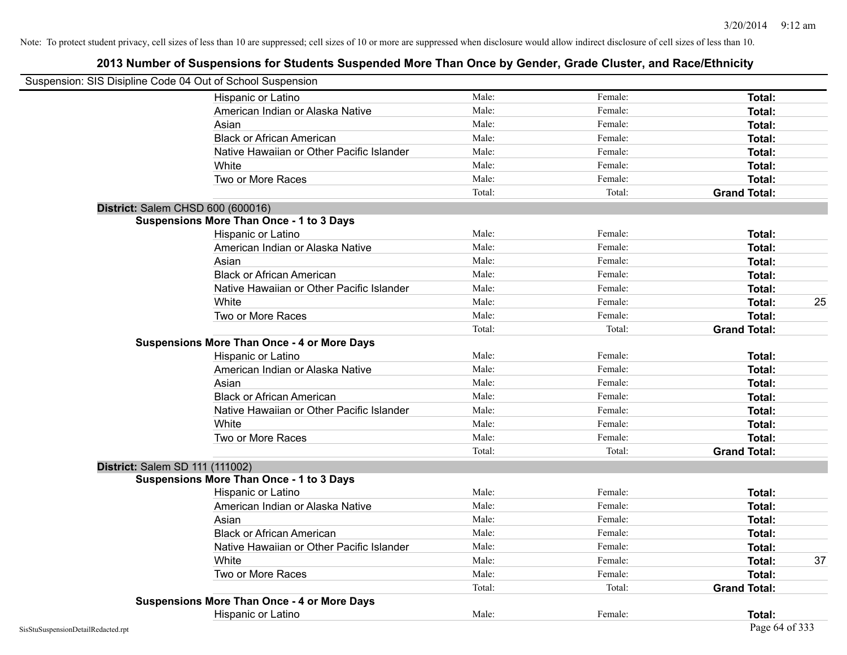| Suspension: SIS Disipline Code 04 Out of School Suspension |                                                    |        |         |                     |    |
|------------------------------------------------------------|----------------------------------------------------|--------|---------|---------------------|----|
|                                                            | Hispanic or Latino                                 | Male:  | Female: | Total:              |    |
|                                                            | American Indian or Alaska Native                   | Male:  | Female: | Total:              |    |
|                                                            | Asian                                              | Male:  | Female: | Total:              |    |
|                                                            | <b>Black or African American</b>                   | Male:  | Female: | Total:              |    |
|                                                            | Native Hawaiian or Other Pacific Islander          | Male:  | Female: | Total:              |    |
|                                                            | White                                              | Male:  | Female: | Total:              |    |
|                                                            | Two or More Races                                  | Male:  | Female: | Total:              |    |
|                                                            |                                                    | Total: | Total:  |                     |    |
|                                                            |                                                    |        |         | <b>Grand Total:</b> |    |
|                                                            | District: Salem CHSD 600 (600016)                  |        |         |                     |    |
|                                                            | <b>Suspensions More Than Once - 1 to 3 Days</b>    |        |         |                     |    |
|                                                            | Hispanic or Latino                                 | Male:  | Female: | Total:              |    |
|                                                            | American Indian or Alaska Native                   | Male:  | Female: | Total:              |    |
|                                                            | Asian                                              | Male:  | Female: | Total:              |    |
|                                                            | <b>Black or African American</b>                   | Male:  | Female: | Total:              |    |
|                                                            | Native Hawaiian or Other Pacific Islander          | Male:  | Female: | Total:              |    |
|                                                            | White                                              | Male:  | Female: | Total:              | 25 |
|                                                            | Two or More Races                                  | Male:  | Female: | Total:              |    |
|                                                            |                                                    | Total: | Total:  | <b>Grand Total:</b> |    |
|                                                            | <b>Suspensions More Than Once - 4 or More Days</b> |        |         |                     |    |
|                                                            | Hispanic or Latino                                 | Male:  | Female: | Total:              |    |
|                                                            | American Indian or Alaska Native                   | Male:  | Female: | Total:              |    |
|                                                            | Asian                                              | Male:  | Female: | Total:              |    |
|                                                            | <b>Black or African American</b>                   | Male:  | Female: | Total:              |    |
|                                                            | Native Hawaiian or Other Pacific Islander          | Male:  | Female: | Total:              |    |
|                                                            | White                                              | Male:  | Female: | Total:              |    |
|                                                            | Two or More Races                                  | Male:  | Female: | Total:              |    |
|                                                            |                                                    | Total: | Total:  | <b>Grand Total:</b> |    |
|                                                            | District: Salem SD 111 (111002)                    |        |         |                     |    |
|                                                            | <b>Suspensions More Than Once - 1 to 3 Days</b>    |        |         |                     |    |
|                                                            | Hispanic or Latino                                 | Male:  | Female: | Total:              |    |
|                                                            | American Indian or Alaska Native                   | Male:  | Female: | Total:              |    |
|                                                            | Asian                                              | Male:  | Female: | Total:              |    |
|                                                            | <b>Black or African American</b>                   | Male:  | Female: | Total:              |    |
|                                                            | Native Hawaiian or Other Pacific Islander          | Male:  | Female: | Total:              |    |
|                                                            | White                                              | Male:  | Female: | Total:              | 37 |
|                                                            | Two or More Races                                  | Male:  | Female: | Total:              |    |
|                                                            |                                                    | Total: | Total:  | <b>Grand Total:</b> |    |
|                                                            | <b>Suspensions More Than Once - 4 or More Days</b> |        |         |                     |    |
|                                                            | Hispanic or Latino                                 | Male:  | Female: | Total:              |    |
| SisStuSuspensionDetailRedacted.rpt                         |                                                    |        |         | Page 64 of 333      |    |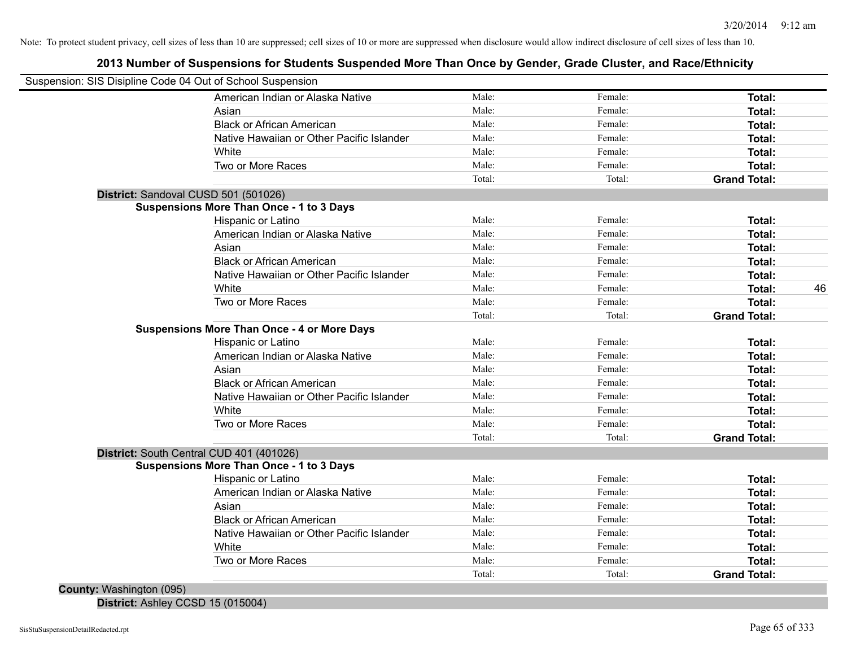# **2013 Number of Suspensions for Students Suspended More Than Once by Gender, Grade Cluster, and Race/Ethnicity**

| Suspension: SIS Disipline Code 04 Out of School Suspension |        |         |                     |    |
|------------------------------------------------------------|--------|---------|---------------------|----|
| American Indian or Alaska Native                           | Male:  | Female: | Total:              |    |
| Asian                                                      | Male:  | Female: | Total:              |    |
| <b>Black or African American</b>                           | Male:  | Female: | Total:              |    |
| Native Hawaiian or Other Pacific Islander                  | Male:  | Female: | Total:              |    |
| White                                                      | Male:  | Female: | Total:              |    |
| Two or More Races                                          | Male:  | Female: | Total:              |    |
|                                                            | Total: | Total:  | <b>Grand Total:</b> |    |
| District: Sandoval CUSD 501 (501026)                       |        |         |                     |    |
| <b>Suspensions More Than Once - 1 to 3 Days</b>            |        |         |                     |    |
| Hispanic or Latino                                         | Male:  | Female: | Total:              |    |
| American Indian or Alaska Native                           | Male:  | Female: | Total:              |    |
| Asian                                                      | Male:  | Female: | Total:              |    |
| <b>Black or African American</b>                           | Male:  | Female: | Total:              |    |
| Native Hawaiian or Other Pacific Islander                  | Male:  | Female: | Total:              |    |
| White                                                      | Male:  | Female: | Total:              | 46 |
| Two or More Races                                          | Male:  | Female: | Total:              |    |
|                                                            | Total: | Total:  | <b>Grand Total:</b> |    |
| <b>Suspensions More Than Once - 4 or More Days</b>         |        |         |                     |    |
| Hispanic or Latino                                         | Male:  | Female: | Total:              |    |
| American Indian or Alaska Native                           | Male:  | Female: | Total:              |    |
| Asian                                                      | Male:  | Female: | Total:              |    |
| <b>Black or African American</b>                           | Male:  | Female: | Total:              |    |
| Native Hawaiian or Other Pacific Islander                  | Male:  | Female: | Total:              |    |
| <b>White</b>                                               | Male:  | Female: | Total:              |    |
| Two or More Races                                          | Male:  | Female: | Total:              |    |
|                                                            | Total: | Total:  | <b>Grand Total:</b> |    |
| District: South Central CUD 401 (401026)                   |        |         |                     |    |
| <b>Suspensions More Than Once - 1 to 3 Days</b>            |        |         |                     |    |
| Hispanic or Latino                                         | Male:  | Female: | Total:              |    |
| American Indian or Alaska Native                           | Male:  | Female: | Total:              |    |
| Asian                                                      | Male:  | Female: | Total:              |    |
| <b>Black or African American</b>                           | Male:  | Female: | Total:              |    |
| Native Hawaiian or Other Pacific Islander                  | Male:  | Female: | Total:              |    |
| White                                                      | Male:  | Female: | Total:              |    |
| Two or More Races                                          | Male:  | Female: | Total:              |    |
|                                                            | Total: | Total:  | <b>Grand Total:</b> |    |
| <b>County: Washington (095)</b>                            |        |         |                     |    |

**District:** Ashley CCSD 15 (015004)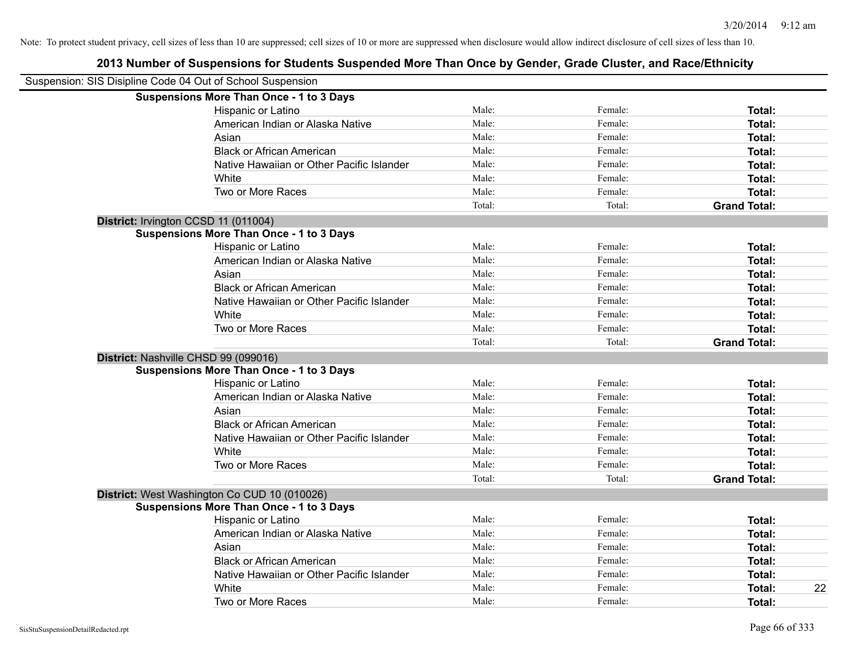| Suspension: SIS Disipline Code 04 Out of School Suspension |        |         |                     |    |
|------------------------------------------------------------|--------|---------|---------------------|----|
|                                                            |        |         |                     |    |
| <b>Suspensions More Than Once - 1 to 3 Days</b>            | Male:  | Female: |                     |    |
| Hispanic or Latino                                         | Male:  | Female: | Total:              |    |
| American Indian or Alaska Native                           | Male:  |         | Total:              |    |
| Asian                                                      |        | Female: | Total:              |    |
| <b>Black or African American</b>                           | Male:  | Female: | Total:              |    |
| Native Hawaiian or Other Pacific Islander                  | Male:  | Female: | Total:              |    |
| White                                                      | Male:  | Female: | Total:              |    |
| Two or More Races                                          | Male:  | Female: | Total:              |    |
|                                                            | Total: | Total:  | <b>Grand Total:</b> |    |
| District: Irvington CCSD 11 (011004)                       |        |         |                     |    |
| <b>Suspensions More Than Once - 1 to 3 Days</b>            |        |         |                     |    |
| Hispanic or Latino                                         | Male:  | Female: | Total:              |    |
| American Indian or Alaska Native                           | Male:  | Female: | Total:              |    |
| Asian                                                      | Male:  | Female: | Total:              |    |
| <b>Black or African American</b>                           | Male:  | Female: | Total:              |    |
| Native Hawaiian or Other Pacific Islander                  | Male:  | Female: | Total:              |    |
| White                                                      | Male:  | Female: | Total:              |    |
| Two or More Races                                          | Male:  | Female: | Total:              |    |
|                                                            | Total: | Total:  | <b>Grand Total:</b> |    |
| District: Nashville CHSD 99 (099016)                       |        |         |                     |    |
| <b>Suspensions More Than Once - 1 to 3 Days</b>            |        |         |                     |    |
| Hispanic or Latino                                         | Male:  | Female: | Total:              |    |
| American Indian or Alaska Native                           | Male:  | Female: | Total:              |    |
| Asian                                                      | Male:  | Female: | Total:              |    |
| <b>Black or African American</b>                           | Male:  | Female: | Total:              |    |
| Native Hawaiian or Other Pacific Islander                  | Male:  | Female: | Total:              |    |
| White                                                      | Male:  | Female: | Total:              |    |
| Two or More Races                                          | Male:  | Female: | Total:              |    |
|                                                            | Total: | Total:  | <b>Grand Total:</b> |    |
| District: West Washington Co CUD 10 (010026)               |        |         |                     |    |
| <b>Suspensions More Than Once - 1 to 3 Days</b>            |        |         |                     |    |
| Hispanic or Latino                                         | Male:  | Female: | Total:              |    |
| American Indian or Alaska Native                           | Male:  | Female: | Total:              |    |
| Asian                                                      | Male:  | Female: | Total:              |    |
| <b>Black or African American</b>                           | Male:  | Female: | Total:              |    |
| Native Hawaiian or Other Pacific Islander                  | Male:  | Female: | Total:              |    |
| White                                                      | Male:  | Female: | Total:              | 22 |
| Two or More Races                                          | Male:  | Female: | Total:              |    |
|                                                            |        |         |                     |    |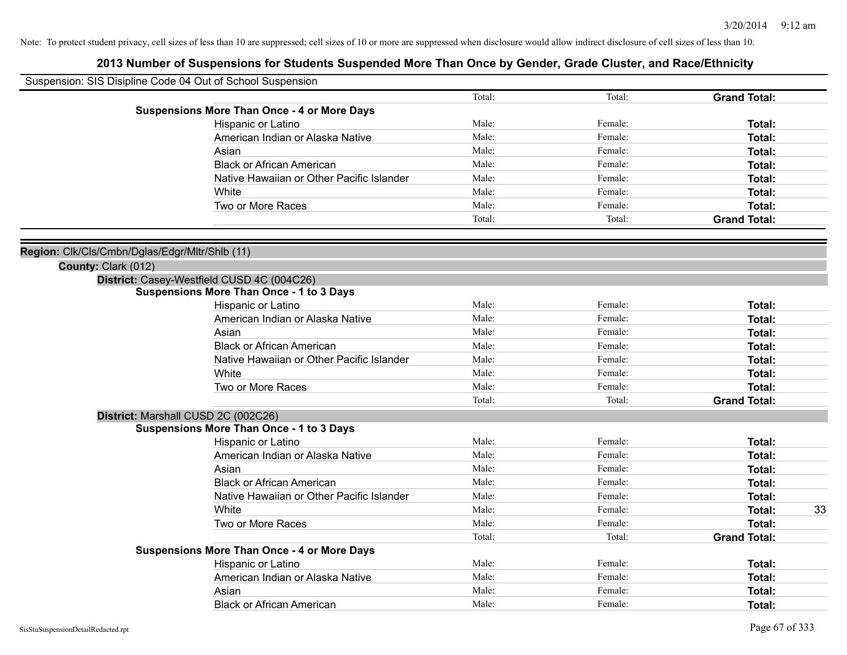| Suspension: SIS Disipline Code 04 Out of School Suspension |                                                    |        |         |                     |    |
|------------------------------------------------------------|----------------------------------------------------|--------|---------|---------------------|----|
|                                                            |                                                    | Total: | Total:  | <b>Grand Total:</b> |    |
|                                                            | <b>Suspensions More Than Once - 4 or More Days</b> |        |         |                     |    |
|                                                            | Hispanic or Latino                                 | Male:  | Female: | Total:              |    |
|                                                            | American Indian or Alaska Native                   | Male:  | Female: | Total:              |    |
|                                                            | Asian                                              | Male:  | Female: | Total:              |    |
|                                                            | <b>Black or African American</b>                   | Male:  | Female: | Total:              |    |
|                                                            | Native Hawaiian or Other Pacific Islander          | Male:  | Female: | Total:              |    |
|                                                            | White                                              | Male:  | Female: | Total:              |    |
|                                                            | Two or More Races                                  | Male:  | Female: | Total:              |    |
|                                                            |                                                    | Total: | Total:  | <b>Grand Total:</b> |    |
| Region: Clk/Cls/Cmbn/Dglas/Edgr/Mltr/Shlb (11)             |                                                    |        |         |                     |    |
| County: Clark (012)                                        |                                                    |        |         |                     |    |
|                                                            | District: Casey-Westfield CUSD 4C (004C26)         |        |         |                     |    |
|                                                            | <b>Suspensions More Than Once - 1 to 3 Days</b>    |        |         |                     |    |
|                                                            | Hispanic or Latino                                 | Male:  | Female: | Total:              |    |
|                                                            | American Indian or Alaska Native                   | Male:  | Female: | Total:              |    |
|                                                            | Asian                                              | Male:  | Female: | Total:              |    |
|                                                            | <b>Black or African American</b>                   | Male:  | Female: | Total:              |    |
|                                                            | Native Hawaiian or Other Pacific Islander          | Male:  | Female: | Total:              |    |
|                                                            | White                                              | Male:  | Female: | <b>Total:</b>       |    |
|                                                            | Two or More Races                                  | Male:  | Female: | <b>Total:</b>       |    |
|                                                            |                                                    | Total: | Total:  | <b>Grand Total:</b> |    |
|                                                            | District: Marshall CUSD 2C (002C26)                |        |         |                     |    |
|                                                            | <b>Suspensions More Than Once - 1 to 3 Days</b>    |        |         |                     |    |
|                                                            | Hispanic or Latino                                 | Male:  | Female: | <b>Total:</b>       |    |
|                                                            | American Indian or Alaska Native                   | Male:  | Female: | Total:              |    |
|                                                            | Asian                                              | Male:  | Female: | Total:              |    |
|                                                            | <b>Black or African American</b>                   | Male:  | Female: | Total:              |    |
|                                                            | Native Hawaiian or Other Pacific Islander          | Male:  | Female: | Total:              |    |
|                                                            | White                                              | Male:  | Female: | Total:              | 33 |
|                                                            | Two or More Races                                  | Male:  | Female: | Total:              |    |
|                                                            |                                                    | Total: | Total:  | <b>Grand Total:</b> |    |
|                                                            | <b>Suspensions More Than Once - 4 or More Days</b> |        |         |                     |    |
|                                                            | Hispanic or Latino                                 | Male:  | Female: | <b>Total:</b>       |    |
|                                                            | American Indian or Alaska Native                   | Male:  | Female: | Total:              |    |
|                                                            | Asian                                              | Male:  | Female: | <b>Total:</b>       |    |
|                                                            | <b>Black or African American</b>                   | Male:  | Female: | Total:              |    |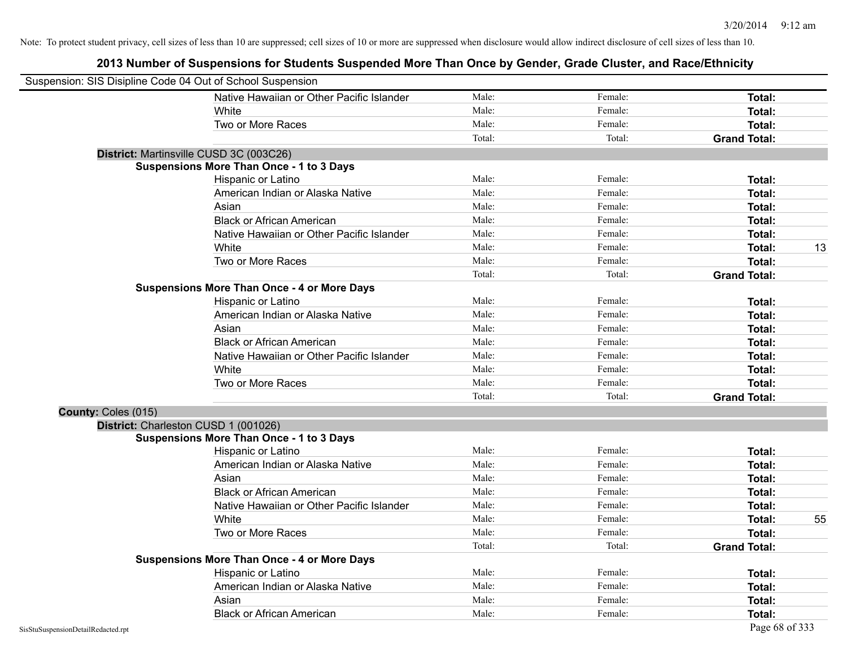| Suspension: SIS Disipline Code 04 Out of School Suspension |                                                    |        |         |                     |    |
|------------------------------------------------------------|----------------------------------------------------|--------|---------|---------------------|----|
|                                                            | Native Hawaiian or Other Pacific Islander          | Male:  | Female: | Total:              |    |
|                                                            | White                                              | Male:  | Female: | Total:              |    |
|                                                            | Two or More Races                                  | Male:  | Female: | Total:              |    |
|                                                            |                                                    | Total: | Total:  | <b>Grand Total:</b> |    |
|                                                            | District: Martinsville CUSD 3C (003C26)            |        |         |                     |    |
|                                                            | <b>Suspensions More Than Once - 1 to 3 Days</b>    |        |         |                     |    |
|                                                            | Hispanic or Latino                                 | Male:  | Female: | Total:              |    |
|                                                            | American Indian or Alaska Native                   | Male:  | Female: | <b>Total:</b>       |    |
|                                                            | Asian                                              | Male:  | Female: | Total:              |    |
|                                                            | <b>Black or African American</b>                   | Male:  | Female: | <b>Total:</b>       |    |
|                                                            | Native Hawaiian or Other Pacific Islander          | Male:  | Female: | <b>Total:</b>       |    |
|                                                            | White                                              | Male:  | Female: | <b>Total:</b>       | 13 |
|                                                            | Two or More Races                                  | Male:  | Female: | <b>Total:</b>       |    |
|                                                            |                                                    | Total: | Total:  | <b>Grand Total:</b> |    |
|                                                            | <b>Suspensions More Than Once - 4 or More Days</b> |        |         |                     |    |
|                                                            | Hispanic or Latino                                 | Male:  | Female: | Total:              |    |
|                                                            | American Indian or Alaska Native                   | Male:  | Female: | <b>Total:</b>       |    |
|                                                            | Asian                                              | Male:  | Female: | <b>Total:</b>       |    |
|                                                            | <b>Black or African American</b>                   | Male:  | Female: | Total:              |    |
|                                                            | Native Hawaiian or Other Pacific Islander          | Male:  | Female: | Total:              |    |
|                                                            | White                                              | Male:  | Female: | Total:              |    |
|                                                            | Two or More Races                                  | Male:  | Female: | Total:              |    |
|                                                            |                                                    | Total: | Total:  | <b>Grand Total:</b> |    |
| County: Coles (015)                                        |                                                    |        |         |                     |    |
|                                                            | District: Charleston CUSD 1 (001026)               |        |         |                     |    |
|                                                            | <b>Suspensions More Than Once - 1 to 3 Days</b>    |        |         |                     |    |
|                                                            | Hispanic or Latino                                 | Male:  | Female: | Total:              |    |
|                                                            | American Indian or Alaska Native                   | Male:  | Female: | <b>Total:</b>       |    |
|                                                            | Asian                                              | Male:  | Female: | <b>Total:</b>       |    |
|                                                            | <b>Black or African American</b>                   | Male:  | Female: | <b>Total:</b>       |    |
|                                                            | Native Hawaiian or Other Pacific Islander          | Male:  | Female: | <b>Total:</b>       |    |
|                                                            | White                                              | Male:  | Female: | <b>Total:</b>       | 55 |
|                                                            | Two or More Races                                  | Male:  | Female: | <b>Total:</b>       |    |
|                                                            |                                                    | Total: | Total:  | <b>Grand Total:</b> |    |
|                                                            | <b>Suspensions More Than Once - 4 or More Days</b> |        |         |                     |    |
|                                                            | Hispanic or Latino                                 | Male:  | Female: | Total:              |    |
|                                                            | American Indian or Alaska Native                   | Male:  | Female: | <b>Total:</b>       |    |
|                                                            | Asian                                              | Male:  | Female: | <b>Total:</b>       |    |
|                                                            | <b>Black or African American</b>                   | Male:  | Female: | Total:              |    |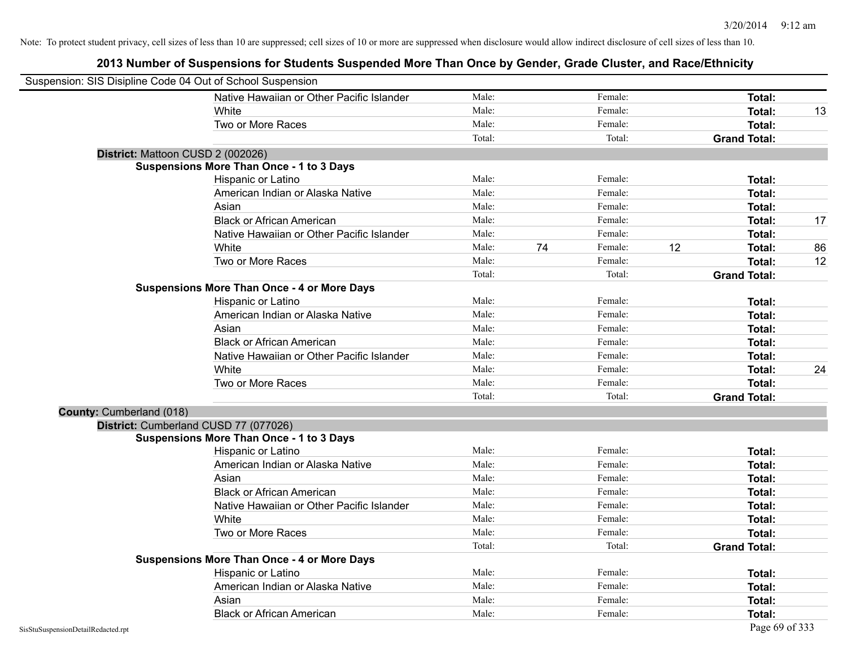| Suspension: SIS Disipline Code 04 Out of School Suspension |                                                    |        |    |         |    |                     |    |
|------------------------------------------------------------|----------------------------------------------------|--------|----|---------|----|---------------------|----|
|                                                            | Native Hawaiian or Other Pacific Islander          | Male:  |    | Female: |    | Total:              |    |
|                                                            | White                                              | Male:  |    | Female: |    | <b>Total:</b>       | 13 |
|                                                            | Two or More Races                                  | Male:  |    | Female: |    | Total:              |    |
|                                                            |                                                    | Total: |    | Total:  |    | <b>Grand Total:</b> |    |
| District: Mattoon CUSD 2 (002026)                          |                                                    |        |    |         |    |                     |    |
|                                                            | <b>Suspensions More Than Once - 1 to 3 Days</b>    |        |    |         |    |                     |    |
|                                                            | Hispanic or Latino                                 | Male:  |    | Female: |    | Total:              |    |
|                                                            | American Indian or Alaska Native                   | Male:  |    | Female: |    | Total:              |    |
|                                                            | Asian                                              | Male:  |    | Female: |    | <b>Total:</b>       |    |
|                                                            | <b>Black or African American</b>                   | Male:  |    | Female: |    | <b>Total:</b>       | 17 |
|                                                            | Native Hawaiian or Other Pacific Islander          | Male:  |    | Female: |    | <b>Total:</b>       |    |
|                                                            | White                                              | Male:  | 74 | Female: | 12 | Total:              | 86 |
|                                                            | Two or More Races                                  | Male:  |    | Female: |    | Total:              | 12 |
|                                                            |                                                    | Total: |    | Total:  |    | <b>Grand Total:</b> |    |
|                                                            | <b>Suspensions More Than Once - 4 or More Days</b> |        |    |         |    |                     |    |
|                                                            | Hispanic or Latino                                 | Male:  |    | Female: |    | Total:              |    |
|                                                            | American Indian or Alaska Native                   | Male:  |    | Female: |    | <b>Total:</b>       |    |
|                                                            | Asian                                              | Male:  |    | Female: |    | Total:              |    |
|                                                            | <b>Black or African American</b>                   | Male:  |    | Female: |    | Total:              |    |
|                                                            | Native Hawaiian or Other Pacific Islander          | Male:  |    | Female: |    | Total:              |    |
|                                                            | White                                              | Male:  |    | Female: |    | Total:              | 24 |
|                                                            | Two or More Races                                  | Male:  |    | Female: |    | <b>Total:</b>       |    |
|                                                            |                                                    | Total: |    | Total:  |    | <b>Grand Total:</b> |    |
| County: Cumberland (018)                                   |                                                    |        |    |         |    |                     |    |
|                                                            | District: Cumberland CUSD 77 (077026)              |        |    |         |    |                     |    |
|                                                            | <b>Suspensions More Than Once - 1 to 3 Days</b>    |        |    |         |    |                     |    |
|                                                            | Hispanic or Latino                                 | Male:  |    | Female: |    | Total:              |    |
|                                                            | American Indian or Alaska Native                   | Male:  |    | Female: |    | Total:              |    |
|                                                            | Asian                                              | Male:  |    | Female: |    | Total:              |    |
|                                                            | <b>Black or African American</b>                   | Male:  |    | Female: |    | Total:              |    |
|                                                            | Native Hawaiian or Other Pacific Islander          | Male:  |    | Female: |    | Total:              |    |
|                                                            | White                                              | Male:  |    | Female: |    | <b>Total:</b>       |    |
|                                                            | Two or More Races                                  | Male:  |    | Female: |    | <b>Total:</b>       |    |
|                                                            |                                                    | Total: |    | Total:  |    | <b>Grand Total:</b> |    |
|                                                            | <b>Suspensions More Than Once - 4 or More Days</b> |        |    |         |    |                     |    |
|                                                            | Hispanic or Latino                                 | Male:  |    | Female: |    | Total:              |    |
|                                                            | American Indian or Alaska Native                   | Male:  |    | Female: |    | <b>Total:</b>       |    |
|                                                            | Asian                                              | Male:  |    | Female: |    | <b>Total:</b>       |    |
|                                                            | <b>Black or African American</b>                   | Male:  |    | Female: |    | Total:              |    |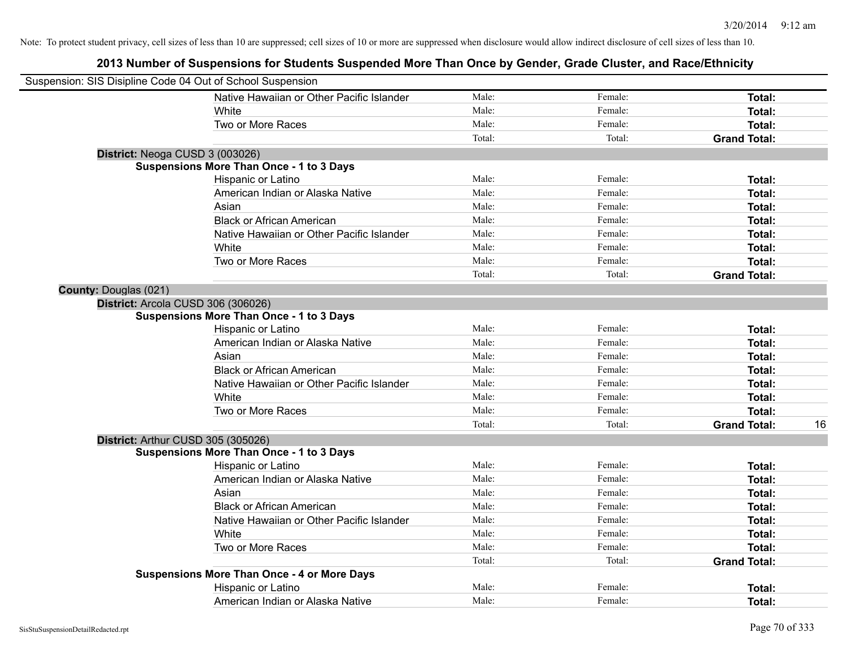| Suspension: SIS Disipline Code 04 Out of School Suspension |                                                    |        |         |                     |    |
|------------------------------------------------------------|----------------------------------------------------|--------|---------|---------------------|----|
|                                                            | Native Hawaiian or Other Pacific Islander          | Male:  | Female: | Total:              |    |
|                                                            | White                                              | Male:  | Female: | Total:              |    |
|                                                            | Two or More Races                                  | Male:  | Female: | Total:              |    |
|                                                            |                                                    | Total: | Total:  | <b>Grand Total:</b> |    |
| District: Neoga CUSD 3 (003026)                            |                                                    |        |         |                     |    |
|                                                            | <b>Suspensions More Than Once - 1 to 3 Days</b>    |        |         |                     |    |
|                                                            | Hispanic or Latino                                 | Male:  | Female: | Total:              |    |
|                                                            | American Indian or Alaska Native                   | Male:  | Female: | Total:              |    |
|                                                            | Asian                                              | Male:  | Female: | Total:              |    |
|                                                            | <b>Black or African American</b>                   | Male:  | Female: | Total:              |    |
|                                                            | Native Hawaiian or Other Pacific Islander          | Male:  | Female: | Total:              |    |
|                                                            | White                                              | Male:  | Female: | Total:              |    |
|                                                            | Two or More Races                                  | Male:  | Female: | Total:              |    |
|                                                            |                                                    | Total: | Total:  | <b>Grand Total:</b> |    |
| <b>County: Douglas (021)</b>                               |                                                    |        |         |                     |    |
| District: Arcola CUSD 306 (306026)                         |                                                    |        |         |                     |    |
|                                                            | <b>Suspensions More Than Once - 1 to 3 Days</b>    |        |         |                     |    |
|                                                            | Hispanic or Latino                                 | Male:  | Female: | Total:              |    |
|                                                            | American Indian or Alaska Native                   | Male:  | Female: | Total:              |    |
|                                                            | Asian                                              | Male:  | Female: | Total:              |    |
|                                                            | <b>Black or African American</b>                   | Male:  | Female: | Total:              |    |
|                                                            | Native Hawaiian or Other Pacific Islander          | Male:  | Female: | Total:              |    |
|                                                            | White                                              | Male:  | Female: | Total:              |    |
|                                                            | Two or More Races                                  | Male:  | Female: | Total:              |    |
|                                                            |                                                    | Total: | Total:  | <b>Grand Total:</b> | 16 |
| District: Arthur CUSD 305 (305026)                         |                                                    |        |         |                     |    |
|                                                            | <b>Suspensions More Than Once - 1 to 3 Days</b>    |        |         |                     |    |
|                                                            | Hispanic or Latino                                 | Male:  | Female: | Total:              |    |
|                                                            | American Indian or Alaska Native                   | Male:  | Female: | Total:              |    |
|                                                            | Asian                                              | Male:  | Female: | Total:              |    |
|                                                            | <b>Black or African American</b>                   | Male:  | Female: | Total:              |    |
|                                                            | Native Hawaiian or Other Pacific Islander          | Male:  | Female: | Total:              |    |
|                                                            | White                                              | Male:  | Female: | Total:              |    |
|                                                            | Two or More Races                                  | Male:  | Female: | Total:              |    |
|                                                            |                                                    | Total: | Total:  | <b>Grand Total:</b> |    |
|                                                            | <b>Suspensions More Than Once - 4 or More Days</b> |        |         |                     |    |
|                                                            | Hispanic or Latino                                 | Male:  | Female: | Total:              |    |
|                                                            | American Indian or Alaska Native                   | Male:  | Female: | Total:              |    |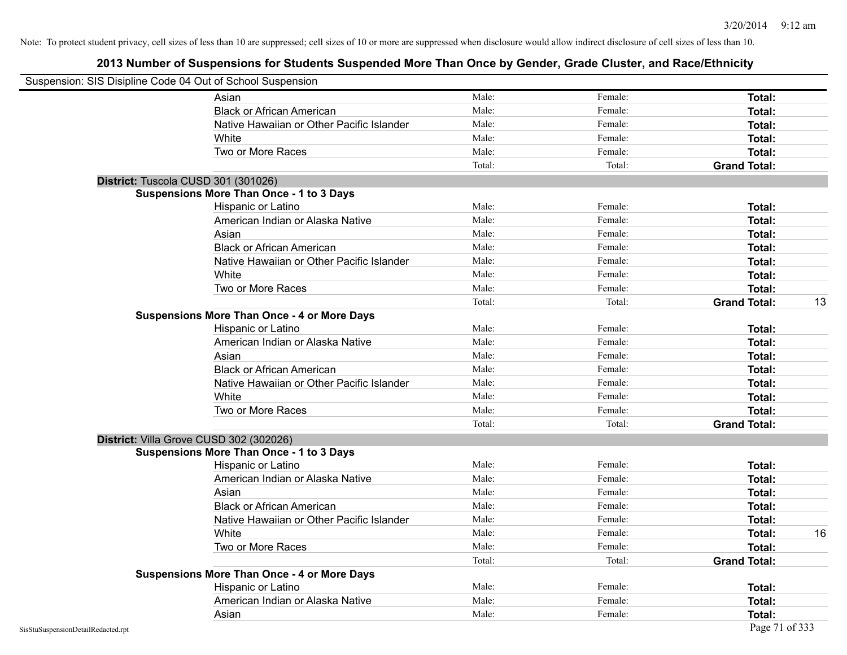| Suspension: SIS Disipline Code 04 Out of School Suspension |                                                    |        |         |                     |    |
|------------------------------------------------------------|----------------------------------------------------|--------|---------|---------------------|----|
|                                                            | Asian                                              | Male:  | Female: | Total:              |    |
|                                                            | <b>Black or African American</b>                   | Male:  | Female: | Total:              |    |
|                                                            | Native Hawaiian or Other Pacific Islander          | Male:  | Female: | Total:              |    |
|                                                            | White                                              | Male:  | Female: | Total:              |    |
|                                                            | Two or More Races                                  | Male:  | Female: | Total:              |    |
|                                                            |                                                    | Total: | Total:  | <b>Grand Total:</b> |    |
|                                                            | District: Tuscola CUSD 301 (301026)                |        |         |                     |    |
|                                                            | <b>Suspensions More Than Once - 1 to 3 Days</b>    |        |         |                     |    |
|                                                            | Hispanic or Latino                                 | Male:  | Female: | Total:              |    |
|                                                            | American Indian or Alaska Native                   | Male:  | Female: | Total:              |    |
|                                                            | Asian                                              | Male:  | Female: | Total:              |    |
|                                                            | <b>Black or African American</b>                   | Male:  | Female: | Total:              |    |
|                                                            | Native Hawaiian or Other Pacific Islander          | Male:  | Female: | Total:              |    |
|                                                            | White                                              | Male:  | Female: | Total:              |    |
|                                                            | Two or More Races                                  | Male:  | Female: | Total:              |    |
|                                                            |                                                    | Total: | Total:  | <b>Grand Total:</b> | 13 |
|                                                            | <b>Suspensions More Than Once - 4 or More Days</b> |        |         |                     |    |
|                                                            | Hispanic or Latino                                 | Male:  | Female: | Total:              |    |
|                                                            | American Indian or Alaska Native                   | Male:  | Female: | Total:              |    |
|                                                            | Asian                                              | Male:  | Female: | Total:              |    |
|                                                            | <b>Black or African American</b>                   | Male:  | Female: | Total:              |    |
|                                                            | Native Hawaiian or Other Pacific Islander          | Male:  | Female: | Total:              |    |
|                                                            | White                                              | Male:  | Female: | Total:              |    |
|                                                            | Two or More Races                                  | Male:  | Female: | Total:              |    |
|                                                            |                                                    | Total: | Total:  | <b>Grand Total:</b> |    |
|                                                            | District: Villa Grove CUSD 302 (302026)            |        |         |                     |    |
|                                                            | <b>Suspensions More Than Once - 1 to 3 Days</b>    |        |         |                     |    |
|                                                            | Hispanic or Latino                                 | Male:  | Female: | Total:              |    |
|                                                            | American Indian or Alaska Native                   | Male:  | Female: | Total:              |    |
|                                                            | Asian                                              | Male:  | Female: | Total:              |    |
|                                                            | <b>Black or African American</b>                   | Male:  | Female: | Total:              |    |
|                                                            | Native Hawaiian or Other Pacific Islander          | Male:  | Female: | Total:              |    |
|                                                            | White                                              | Male:  | Female: | Total:              | 16 |
|                                                            | Two or More Races                                  | Male:  | Female: | Total:              |    |
|                                                            |                                                    | Total: | Total:  | <b>Grand Total:</b> |    |
|                                                            | <b>Suspensions More Than Once - 4 or More Days</b> |        |         |                     |    |
|                                                            | Hispanic or Latino                                 | Male:  | Female: | Total:              |    |
|                                                            | American Indian or Alaska Native                   | Male:  | Female: | Total:              |    |
|                                                            | Asian                                              | Male:  | Female: | Total:              |    |
| SisStuSuspensionDetailRedacted.rpt                         |                                                    |        |         | Page 71 of 333      |    |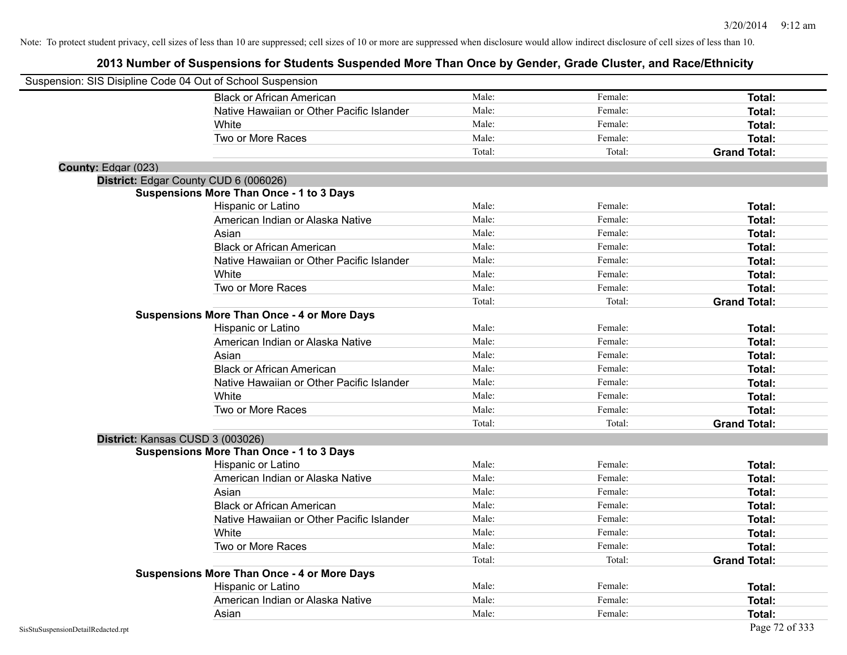| Suspension: SIS Disipline Code 04 Out of School Suspension |                                                    |        |         |                     |
|------------------------------------------------------------|----------------------------------------------------|--------|---------|---------------------|
|                                                            | <b>Black or African American</b>                   | Male:  | Female: | Total:              |
|                                                            | Native Hawaiian or Other Pacific Islander          | Male:  | Female: | Total:              |
|                                                            | White                                              | Male:  | Female: | Total:              |
|                                                            | Two or More Races                                  | Male:  | Female: | Total:              |
|                                                            |                                                    | Total: | Total:  | <b>Grand Total:</b> |
| County: Edgar (023)                                        |                                                    |        |         |                     |
|                                                            | District: Edgar County CUD 6 (006026)              |        |         |                     |
|                                                            | <b>Suspensions More Than Once - 1 to 3 Days</b>    |        |         |                     |
|                                                            | Hispanic or Latino                                 | Male:  | Female: | Total:              |
|                                                            | American Indian or Alaska Native                   | Male:  | Female: | Total:              |
|                                                            | Asian                                              | Male:  | Female: | Total:              |
|                                                            | <b>Black or African American</b>                   | Male:  | Female: | Total:              |
|                                                            | Native Hawaiian or Other Pacific Islander          | Male:  | Female: | Total:              |
|                                                            | White                                              | Male:  | Female: | Total:              |
|                                                            | Two or More Races                                  | Male:  | Female: | Total:              |
|                                                            |                                                    | Total: | Total:  | <b>Grand Total:</b> |
|                                                            | <b>Suspensions More Than Once - 4 or More Days</b> |        |         |                     |
|                                                            | Hispanic or Latino                                 | Male:  | Female: | Total:              |
|                                                            | American Indian or Alaska Native                   | Male:  | Female: | Total:              |
|                                                            | Asian                                              | Male:  | Female: | Total:              |
|                                                            | <b>Black or African American</b>                   | Male:  | Female: | Total:              |
|                                                            | Native Hawaiian or Other Pacific Islander          | Male:  | Female: | Total:              |
|                                                            | White                                              | Male:  | Female: | Total:              |
|                                                            | Two or More Races                                  | Male:  | Female: | Total:              |
|                                                            |                                                    | Total: | Total:  | <b>Grand Total:</b> |
| District: Kansas CUSD 3 (003026)                           |                                                    |        |         |                     |
|                                                            | <b>Suspensions More Than Once - 1 to 3 Days</b>    |        |         |                     |
|                                                            | Hispanic or Latino                                 | Male:  | Female: | Total:              |
|                                                            | American Indian or Alaska Native                   | Male:  | Female: | Total:              |
|                                                            | Asian                                              | Male:  | Female: | Total:              |
|                                                            | <b>Black or African American</b>                   | Male:  | Female: | Total:              |
|                                                            | Native Hawaiian or Other Pacific Islander          | Male:  | Female: | Total:              |
|                                                            | <b>White</b>                                       | Male:  | Female: | Total:              |
|                                                            | Two or More Races                                  | Male:  | Female: | Total:              |
|                                                            |                                                    | Total: | Total:  | <b>Grand Total:</b> |
|                                                            | <b>Suspensions More Than Once - 4 or More Days</b> |        |         |                     |
|                                                            | Hispanic or Latino                                 | Male:  | Female: | Total:              |
|                                                            | American Indian or Alaska Native                   | Male:  | Female: | Total:              |
|                                                            | Asian                                              | Male:  | Female: | Total:              |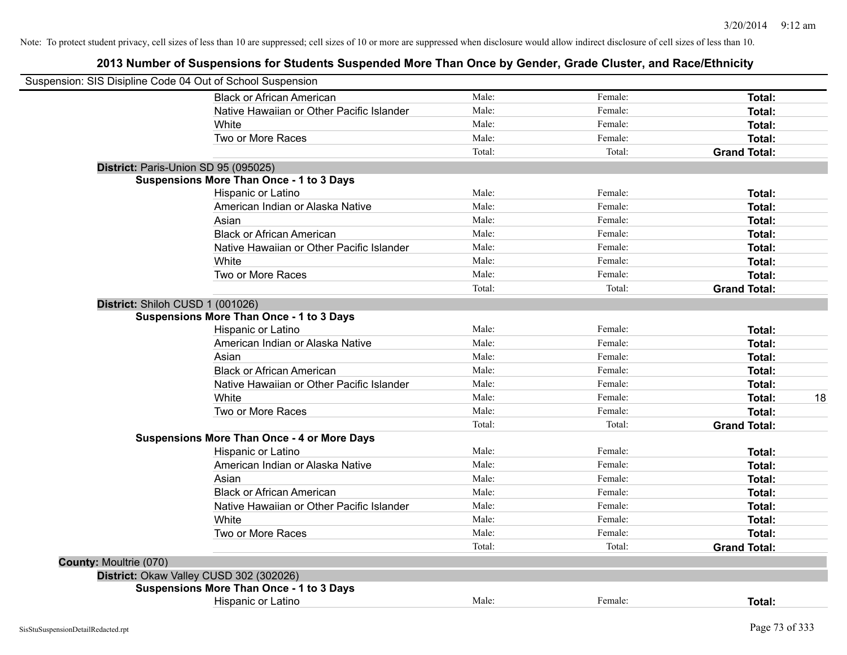|                                  | Suspension: SIS Disipline Code 04 Out of School Suspension |        |         |                     |
|----------------------------------|------------------------------------------------------------|--------|---------|---------------------|
|                                  | <b>Black or African American</b>                           | Male:  | Female: | Total:              |
|                                  | Native Hawaiian or Other Pacific Islander                  | Male:  | Female: | Total:              |
|                                  | White                                                      | Male:  | Female: | <b>Total:</b>       |
|                                  | Two or More Races                                          | Male:  | Female: | Total:              |
|                                  |                                                            | Total: | Total:  | <b>Grand Total:</b> |
|                                  | District: Paris-Union SD 95 (095025)                       |        |         |                     |
|                                  | <b>Suspensions More Than Once - 1 to 3 Days</b>            |        |         |                     |
|                                  | Hispanic or Latino                                         | Male:  | Female: | Total:              |
|                                  | American Indian or Alaska Native                           | Male:  | Female: | Total:              |
|                                  | Asian                                                      | Male:  | Female: | Total:              |
|                                  | <b>Black or African American</b>                           | Male:  | Female: | Total:              |
|                                  | Native Hawaiian or Other Pacific Islander                  | Male:  | Female: | Total:              |
|                                  | White                                                      | Male:  | Female: | Total:              |
|                                  | Two or More Races                                          | Male:  | Female: | Total:              |
|                                  |                                                            | Total: | Total:  | <b>Grand Total:</b> |
| District: Shiloh CUSD 1 (001026) |                                                            |        |         |                     |
|                                  | <b>Suspensions More Than Once - 1 to 3 Days</b>            |        |         |                     |
|                                  | Hispanic or Latino                                         | Male:  | Female: | <b>Total:</b>       |
|                                  | American Indian or Alaska Native                           | Male:  | Female: | Total:              |
|                                  | Asian                                                      | Male:  | Female: | Total:              |
|                                  | <b>Black or African American</b>                           | Male:  | Female: | Total:              |
|                                  | Native Hawaiian or Other Pacific Islander                  | Male:  | Female: | <b>Total:</b>       |
|                                  | White                                                      | Male:  | Female: | <b>Total:</b><br>18 |
|                                  | Two or More Races                                          | Male:  | Female: | Total:              |
|                                  |                                                            | Total: | Total:  | <b>Grand Total:</b> |
|                                  | <b>Suspensions More Than Once - 4 or More Days</b>         |        |         |                     |
|                                  | Hispanic or Latino                                         | Male:  | Female: | Total:              |
|                                  | American Indian or Alaska Native                           | Male:  | Female: | <b>Total:</b>       |
|                                  | Asian                                                      | Male:  | Female: | Total:              |
|                                  | <b>Black or African American</b>                           | Male:  | Female: | Total:              |
|                                  | Native Hawaiian or Other Pacific Islander                  | Male:  | Female: | Total:              |
|                                  | White                                                      | Male:  | Female: | <b>Total:</b>       |
|                                  | Two or More Races                                          | Male:  | Female: | Total:              |
|                                  |                                                            | Total: | Total:  | <b>Grand Total:</b> |
| <b>County: Moultrie (070)</b>    |                                                            |        |         |                     |
|                                  | District: Okaw Valley CUSD 302 (302026)                    |        |         |                     |
|                                  | <b>Suspensions More Than Once - 1 to 3 Days</b>            |        |         |                     |
|                                  | Hispanic or Latino                                         | Male:  | Female: | Total:              |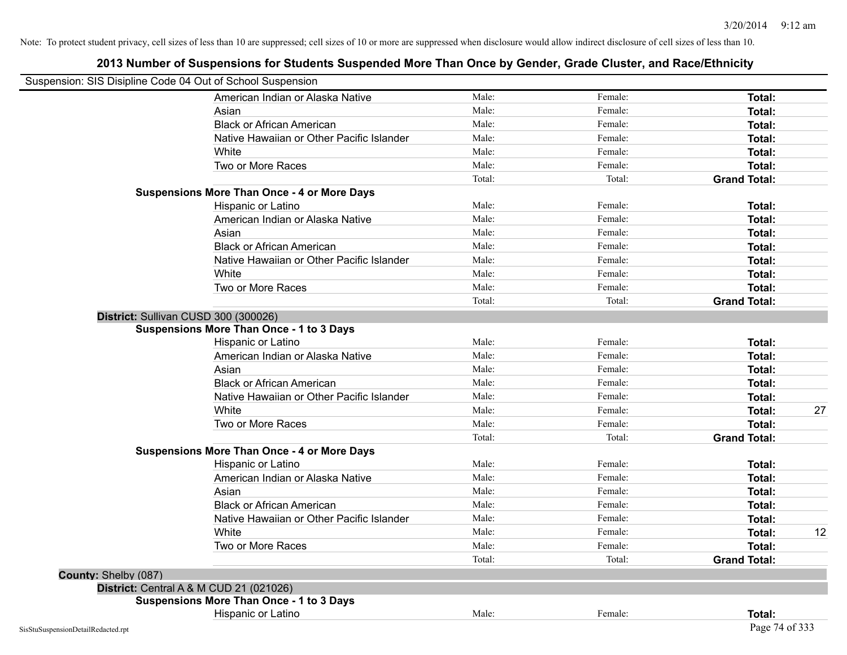| Suspension: SIS Disipline Code 04 Out of School Suspension |                                                                                         |        |         |                     |    |
|------------------------------------------------------------|-----------------------------------------------------------------------------------------|--------|---------|---------------------|----|
|                                                            | American Indian or Alaska Native                                                        | Male:  | Female: | <b>Total:</b>       |    |
|                                                            | Asian                                                                                   | Male:  | Female: | Total:              |    |
|                                                            | <b>Black or African American</b>                                                        | Male:  | Female: | Total:              |    |
|                                                            | Native Hawaiian or Other Pacific Islander                                               | Male:  | Female: | <b>Total:</b>       |    |
|                                                            | White                                                                                   | Male:  | Female: | <b>Total:</b>       |    |
|                                                            | Two or More Races                                                                       | Male:  | Female: | Total:              |    |
|                                                            |                                                                                         | Total: | Total:  | <b>Grand Total:</b> |    |
|                                                            | <b>Suspensions More Than Once - 4 or More Days</b>                                      |        |         |                     |    |
|                                                            | Hispanic or Latino                                                                      | Male:  | Female: | Total:              |    |
|                                                            | American Indian or Alaska Native                                                        | Male:  | Female: | <b>Total:</b>       |    |
|                                                            | Asian                                                                                   | Male:  | Female: | <b>Total:</b>       |    |
|                                                            | <b>Black or African American</b>                                                        | Male:  | Female: | Total:              |    |
|                                                            | Native Hawaiian or Other Pacific Islander                                               | Male:  | Female: | Total:              |    |
|                                                            | White                                                                                   | Male:  | Female: | Total:              |    |
|                                                            | Two or More Races                                                                       | Male:  | Female: | <b>Total:</b>       |    |
|                                                            |                                                                                         | Total: | Total:  | <b>Grand Total:</b> |    |
|                                                            | District: Sullivan CUSD 300 (300026)<br><b>Suspensions More Than Once - 1 to 3 Days</b> |        |         |                     |    |
|                                                            | Hispanic or Latino                                                                      | Male:  | Female: | <b>Total:</b>       |    |
|                                                            | American Indian or Alaska Native                                                        | Male:  | Female: | Total:              |    |
|                                                            | Asian                                                                                   | Male:  | Female: | Total:              |    |
|                                                            | <b>Black or African American</b>                                                        | Male:  | Female: | <b>Total:</b>       |    |
|                                                            | Native Hawaiian or Other Pacific Islander                                               | Male:  | Female: | Total:              |    |
|                                                            | White                                                                                   | Male:  | Female: | Total:              | 27 |
|                                                            | Two or More Races                                                                       | Male:  | Female: | <b>Total:</b>       |    |
|                                                            |                                                                                         | Total: | Total:  | <b>Grand Total:</b> |    |
|                                                            | <b>Suspensions More Than Once - 4 or More Days</b>                                      |        |         |                     |    |
|                                                            | Hispanic or Latino                                                                      | Male:  | Female: | Total:              |    |
|                                                            | American Indian or Alaska Native                                                        | Male:  | Female: | Total:              |    |
|                                                            | Asian                                                                                   | Male:  | Female: | <b>Total:</b>       |    |
|                                                            | <b>Black or African American</b>                                                        | Male:  | Female: | Total:              |    |
|                                                            | Native Hawaiian or Other Pacific Islander                                               | Male:  | Female: | <b>Total:</b>       |    |
|                                                            | White                                                                                   | Male:  | Female: | Total:              | 12 |
|                                                            | Two or More Races                                                                       | Male:  | Female: | <b>Total:</b>       |    |
|                                                            |                                                                                         | Total: | Total:  | <b>Grand Total:</b> |    |
| County: Shelby (087)                                       |                                                                                         |        |         |                     |    |
|                                                            | District: Central A & M CUD 21 (021026)                                                 |        |         |                     |    |
|                                                            | <b>Suspensions More Than Once - 1 to 3 Days</b>                                         |        |         |                     |    |
|                                                            | Hispanic or Latino                                                                      | Male:  | Female: | Total:              |    |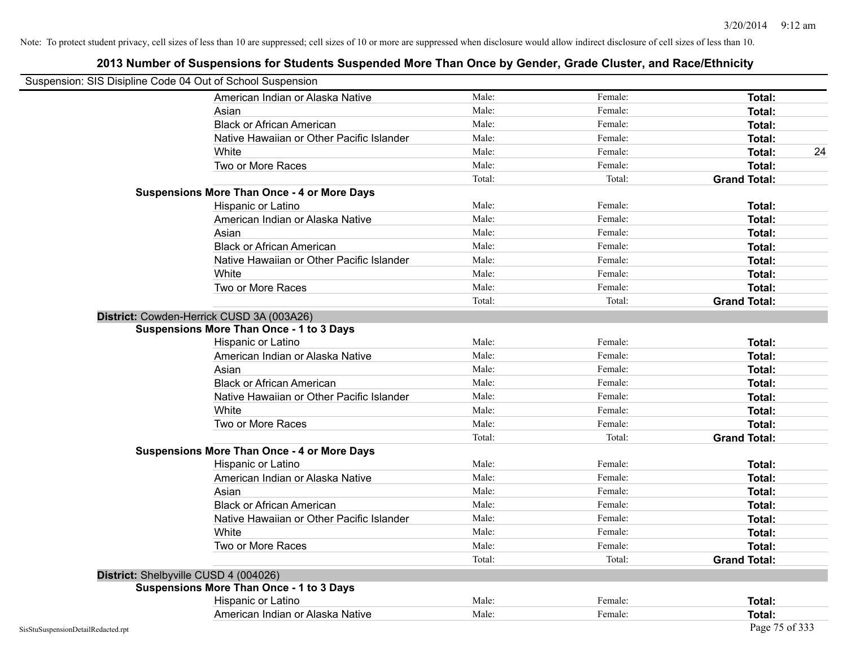| Suspension: SIS Disipline Code 04 Out of School Suspension |                                                    |        |         |                     |
|------------------------------------------------------------|----------------------------------------------------|--------|---------|---------------------|
|                                                            | American Indian or Alaska Native                   | Male:  | Female: | <b>Total:</b>       |
|                                                            | Asian                                              | Male:  | Female: | <b>Total:</b>       |
|                                                            | <b>Black or African American</b>                   | Male:  | Female: | Total:              |
|                                                            | Native Hawaiian or Other Pacific Islander          | Male:  | Female: | Total:              |
|                                                            | White                                              | Male:  | Female: | 24<br>Total:        |
|                                                            | Two or More Races                                  | Male:  | Female: | <b>Total:</b>       |
|                                                            |                                                    | Total: | Total:  | <b>Grand Total:</b> |
|                                                            | <b>Suspensions More Than Once - 4 or More Days</b> |        |         |                     |
|                                                            | Hispanic or Latino                                 | Male:  | Female: | Total:              |
|                                                            | American Indian or Alaska Native                   | Male:  | Female: | <b>Total:</b>       |
|                                                            | Asian                                              | Male:  | Female: | <b>Total:</b>       |
|                                                            | <b>Black or African American</b>                   | Male:  | Female: | <b>Total:</b>       |
|                                                            | Native Hawaiian or Other Pacific Islander          | Male:  | Female: | Total:              |
|                                                            | White                                              | Male:  | Female: | Total:              |
|                                                            | Two or More Races                                  | Male:  | Female: | <b>Total:</b>       |
|                                                            |                                                    | Total: | Total:  | <b>Grand Total:</b> |
|                                                            | District: Cowden-Herrick CUSD 3A (003A26)          |        |         |                     |
|                                                            | <b>Suspensions More Than Once - 1 to 3 Days</b>    |        |         |                     |
|                                                            | Hispanic or Latino                                 | Male:  | Female: | <b>Total:</b>       |
|                                                            | American Indian or Alaska Native                   | Male:  | Female: | <b>Total:</b>       |
|                                                            | Asian                                              | Male:  | Female: | Total:              |
|                                                            | <b>Black or African American</b>                   | Male:  | Female: | Total:              |
|                                                            | Native Hawaiian or Other Pacific Islander          | Male:  | Female: | Total:              |
|                                                            | White                                              | Male:  | Female: | <b>Total:</b>       |
|                                                            | Two or More Races                                  | Male:  | Female: | Total:              |
|                                                            |                                                    | Total: | Total:  | <b>Grand Total:</b> |
|                                                            | <b>Suspensions More Than Once - 4 or More Days</b> |        |         |                     |
|                                                            | Hispanic or Latino                                 | Male:  | Female: | Total:              |
|                                                            | American Indian or Alaska Native                   | Male:  | Female: | <b>Total:</b>       |
|                                                            | Asian                                              | Male:  | Female: | Total:              |
|                                                            | <b>Black or African American</b>                   | Male:  | Female: | Total:              |
|                                                            | Native Hawaiian or Other Pacific Islander          | Male:  | Female: | Total:              |
|                                                            | White                                              | Male:  | Female: | <b>Total:</b>       |
|                                                            | Two or More Races                                  | Male:  | Female: | Total:              |
|                                                            |                                                    | Total: | Total:  | <b>Grand Total:</b> |
|                                                            | District: Shelbyville CUSD 4 (004026)              |        |         |                     |
|                                                            | <b>Suspensions More Than Once - 1 to 3 Days</b>    |        |         |                     |
|                                                            | Hispanic or Latino                                 | Male:  | Female: | Total:              |
|                                                            | American Indian or Alaska Native                   | Male:  | Female: | Total:              |
| SisStuSuspensionDetailRedacted.rpt                         |                                                    |        |         | Page 75 of 333      |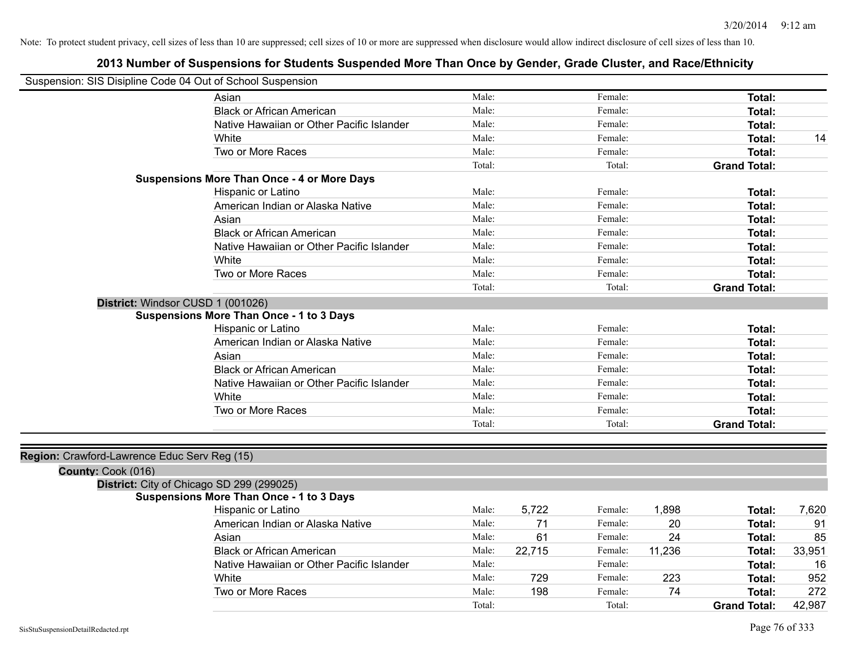| Suspension: SIS Disipline Code 04 Out of School Suspension |                                                    |        |        |         |        |                     |        |
|------------------------------------------------------------|----------------------------------------------------|--------|--------|---------|--------|---------------------|--------|
|                                                            | Asian                                              | Male:  |        | Female: |        | Total:              |        |
|                                                            | <b>Black or African American</b>                   | Male:  |        | Female: |        | Total:              |        |
|                                                            | Native Hawaiian or Other Pacific Islander          | Male:  |        | Female: |        | Total:              |        |
|                                                            | White                                              | Male:  |        | Female: |        | Total:              | 14     |
|                                                            | Two or More Races                                  | Male:  |        | Female: |        | Total:              |        |
|                                                            |                                                    | Total: |        | Total:  |        | <b>Grand Total:</b> |        |
|                                                            | <b>Suspensions More Than Once - 4 or More Days</b> |        |        |         |        |                     |        |
|                                                            | Hispanic or Latino                                 | Male:  |        | Female: |        | Total:              |        |
|                                                            | American Indian or Alaska Native                   | Male:  |        | Female: |        | Total:              |        |
|                                                            | Asian                                              | Male:  |        | Female: |        | Total:              |        |
|                                                            | <b>Black or African American</b>                   | Male:  |        | Female: |        | Total:              |        |
|                                                            | Native Hawaiian or Other Pacific Islander          | Male:  |        | Female: |        | Total:              |        |
|                                                            | White                                              | Male:  |        | Female: |        | Total:              |        |
|                                                            | Two or More Races                                  | Male:  |        | Female: |        | <b>Total:</b>       |        |
|                                                            |                                                    | Total: |        | Total:  |        | <b>Grand Total:</b> |        |
| District: Windsor CUSD 1 (001026)                          |                                                    |        |        |         |        |                     |        |
|                                                            | <b>Suspensions More Than Once - 1 to 3 Days</b>    |        |        |         |        |                     |        |
|                                                            | Hispanic or Latino                                 | Male:  |        | Female: |        | Total:              |        |
|                                                            | American Indian or Alaska Native                   | Male:  |        | Female: |        | Total:              |        |
|                                                            | Asian                                              | Male:  |        | Female: |        | Total:              |        |
|                                                            | <b>Black or African American</b>                   | Male:  |        | Female: |        | Total:              |        |
|                                                            | Native Hawaiian or Other Pacific Islander          | Male:  |        | Female: |        | Total:              |        |
|                                                            | White                                              | Male:  |        | Female: |        | Total:              |        |
|                                                            | Two or More Races                                  | Male:  |        | Female: |        | Total:              |        |
|                                                            |                                                    | Total: |        | Total:  |        | <b>Grand Total:</b> |        |
|                                                            |                                                    |        |        |         |        |                     |        |
| Region: Crawford-Lawrence Educ Serv Reg (15)               |                                                    |        |        |         |        |                     |        |
| County: Cook (016)                                         |                                                    |        |        |         |        |                     |        |
| District: City of Chicago SD 299 (299025)                  |                                                    |        |        |         |        |                     |        |
|                                                            | <b>Suspensions More Than Once - 1 to 3 Days</b>    |        |        |         |        |                     |        |
|                                                            | Hispanic or Latino                                 | Male:  | 5,722  | Female: | 1,898  | Total:              | 7,620  |
|                                                            | American Indian or Alaska Native                   | Male:  | 71     | Female: | 20     | Total:              | 91     |
|                                                            | Asian                                              | Male:  | 61     | Female: | 24     | Total:              | 85     |
|                                                            | <b>Black or African American</b>                   | Male:  | 22,715 | Female: | 11,236 | Total:              | 33,951 |
|                                                            | Native Hawaiian or Other Pacific Islander          | Male:  |        | Female: |        | Total:              | 16     |
|                                                            | White                                              | Male:  | 729    | Female: | 223    | Total:              | 952    |
|                                                            | Two or More Races                                  | Male:  | 198    | Female: | 74     | Total:              | 272    |
|                                                            |                                                    | Total: |        | Total:  |        | <b>Grand Total:</b> | 42,987 |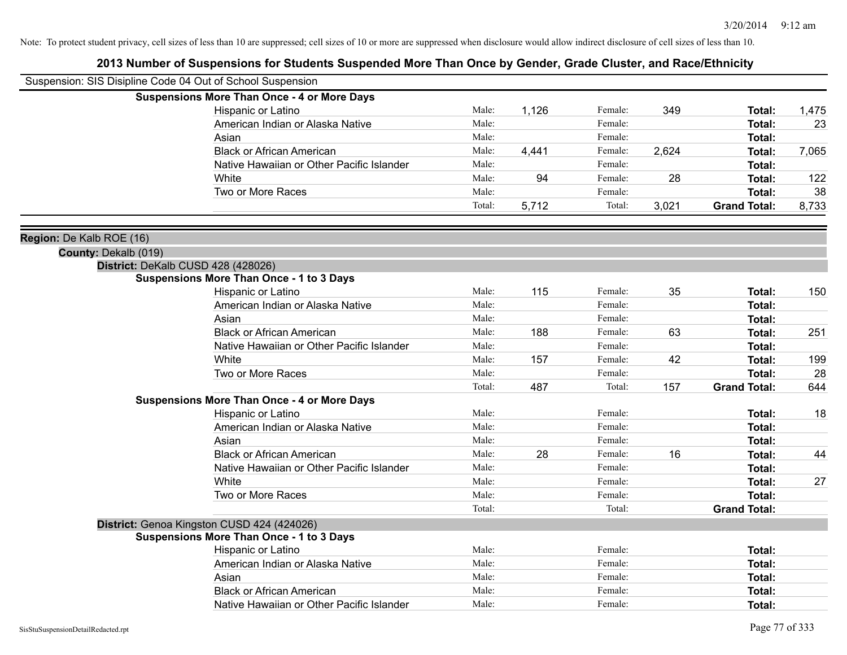| Suspension: SIS Disipline Code 04 Out of School Suspension |                                                    |        |       |         |       |                     |       |
|------------------------------------------------------------|----------------------------------------------------|--------|-------|---------|-------|---------------------|-------|
|                                                            | <b>Suspensions More Than Once - 4 or More Days</b> |        |       |         |       |                     |       |
|                                                            | Hispanic or Latino                                 | Male:  | 1,126 | Female: | 349   | Total:              | 1,475 |
|                                                            | American Indian or Alaska Native                   | Male:  |       | Female: |       | Total:              | 23    |
|                                                            | Asian                                              | Male:  |       | Female: |       | Total:              |       |
|                                                            | <b>Black or African American</b>                   | Male:  | 4,441 | Female: | 2,624 | Total:              | 7,065 |
|                                                            | Native Hawaiian or Other Pacific Islander          | Male:  |       | Female: |       | Total:              |       |
|                                                            | White                                              | Male:  | 94    | Female: | 28    | Total:              | 122   |
|                                                            | Two or More Races                                  | Male:  |       | Female: |       | Total:              | 38    |
|                                                            |                                                    | Total: | 5,712 | Total:  | 3,021 | <b>Grand Total:</b> | 8,733 |
| Region: De Kalb ROE (16)                                   |                                                    |        |       |         |       |                     |       |
| County: Dekalb (019)                                       |                                                    |        |       |         |       |                     |       |
|                                                            | District: DeKalb CUSD 428 (428026)                 |        |       |         |       |                     |       |
|                                                            | <b>Suspensions More Than Once - 1 to 3 Days</b>    |        |       |         |       |                     |       |
|                                                            | Hispanic or Latino                                 | Male:  | 115   | Female: | 35    | Total:              | 150   |
|                                                            | American Indian or Alaska Native                   | Male:  |       | Female: |       | Total:              |       |
|                                                            | Asian                                              | Male:  |       | Female: |       | Total:              |       |
|                                                            | <b>Black or African American</b>                   | Male:  | 188   | Female: | 63    | Total:              | 251   |
|                                                            | Native Hawaiian or Other Pacific Islander          | Male:  |       | Female: |       | Total:              |       |
|                                                            | White                                              | Male:  | 157   | Female: | 42    | Total:              | 199   |
|                                                            | Two or More Races                                  | Male:  |       | Female: |       | Total:              | 28    |
|                                                            |                                                    | Total: | 487   | Total:  | 157   | <b>Grand Total:</b> | 644   |
|                                                            | <b>Suspensions More Than Once - 4 or More Days</b> |        |       |         |       |                     |       |
|                                                            | Hispanic or Latino                                 | Male:  |       | Female: |       | Total:              | 18    |
|                                                            | American Indian or Alaska Native                   | Male:  |       | Female: |       | Total:              |       |
|                                                            | Asian                                              | Male:  |       | Female: |       | Total:              |       |
|                                                            | <b>Black or African American</b>                   | Male:  | 28    | Female: | 16    | Total:              | 44    |
|                                                            | Native Hawaiian or Other Pacific Islander          | Male:  |       | Female: |       | Total:              |       |
|                                                            | White                                              | Male:  |       | Female: |       | Total:              | 27    |
|                                                            | Two or More Races                                  | Male:  |       | Female: |       | Total:              |       |
|                                                            |                                                    | Total: |       | Total:  |       | <b>Grand Total:</b> |       |
|                                                            | District: Genoa Kingston CUSD 424 (424026)         |        |       |         |       |                     |       |
|                                                            | <b>Suspensions More Than Once - 1 to 3 Days</b>    |        |       |         |       |                     |       |
|                                                            | Hispanic or Latino                                 | Male:  |       | Female: |       | Total:              |       |
|                                                            | American Indian or Alaska Native                   | Male:  |       | Female: |       | <b>Total:</b>       |       |
|                                                            | Asian                                              | Male:  |       | Female: |       | Total:              |       |
|                                                            | <b>Black or African American</b>                   | Male:  |       | Female: |       | Total:              |       |
|                                                            | Native Hawaiian or Other Pacific Islander          | Male:  |       | Female: |       | Total:              |       |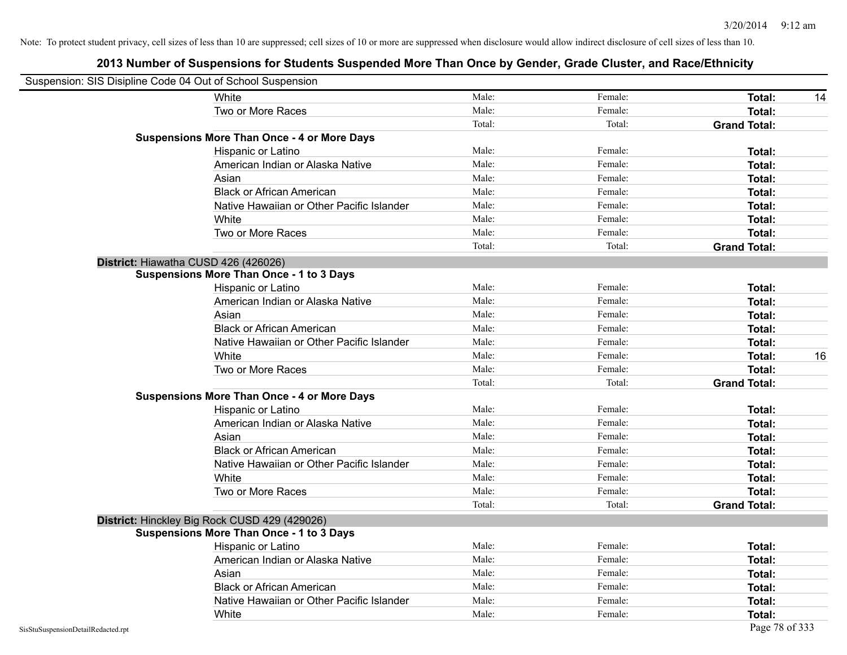| Suspension: SIS Disipline Code 04 Out of School Suspension |                                                    |        |         |                     |
|------------------------------------------------------------|----------------------------------------------------|--------|---------|---------------------|
|                                                            | White                                              | Male:  | Female: | <b>Total:</b><br>14 |
|                                                            | Two or More Races                                  | Male:  | Female: | <b>Total:</b>       |
|                                                            |                                                    | Total: | Total:  | <b>Grand Total:</b> |
|                                                            | <b>Suspensions More Than Once - 4 or More Days</b> |        |         |                     |
|                                                            | Hispanic or Latino                                 | Male:  | Female: | Total:              |
|                                                            | American Indian or Alaska Native                   | Male:  | Female: | Total:              |
|                                                            | Asian                                              | Male:  | Female: | Total:              |
|                                                            | <b>Black or African American</b>                   | Male:  | Female: | Total:              |
|                                                            | Native Hawaiian or Other Pacific Islander          | Male:  | Female: | <b>Total:</b>       |
|                                                            | White                                              | Male:  | Female: | Total:              |
|                                                            | Two or More Races                                  | Male:  | Female: | <b>Total:</b>       |
|                                                            |                                                    | Total: | Total:  | <b>Grand Total:</b> |
|                                                            | District: Hiawatha CUSD 426 (426026)               |        |         |                     |
|                                                            | <b>Suspensions More Than Once - 1 to 3 Days</b>    |        |         |                     |
|                                                            | Hispanic or Latino                                 | Male:  | Female: | Total:              |
|                                                            | American Indian or Alaska Native                   | Male:  | Female: | <b>Total:</b>       |
|                                                            | Asian                                              | Male:  | Female: | Total:              |
|                                                            | <b>Black or African American</b>                   | Male:  | Female: | Total:              |
|                                                            | Native Hawaiian or Other Pacific Islander          | Male:  | Female: | <b>Total:</b>       |
|                                                            | White                                              | Male:  | Female: | 16<br>Total:        |
|                                                            | Two or More Races                                  | Male:  | Female: | <b>Total:</b>       |
|                                                            |                                                    | Total: | Total:  | <b>Grand Total:</b> |
|                                                            | <b>Suspensions More Than Once - 4 or More Days</b> |        |         |                     |
|                                                            | Hispanic or Latino                                 | Male:  | Female: | Total:              |
|                                                            | American Indian or Alaska Native                   | Male:  | Female: | <b>Total:</b>       |
|                                                            | Asian                                              | Male:  | Female: | Total:              |
|                                                            | <b>Black or African American</b>                   | Male:  | Female: | Total:              |
|                                                            | Native Hawaiian or Other Pacific Islander          | Male:  | Female: | <b>Total:</b>       |
|                                                            | White                                              | Male:  | Female: | Total:              |
|                                                            | Two or More Races                                  | Male:  | Female: | <b>Total:</b>       |
|                                                            |                                                    | Total: | Total:  | <b>Grand Total:</b> |
|                                                            | District: Hinckley Big Rock CUSD 429 (429026)      |        |         |                     |
|                                                            | <b>Suspensions More Than Once - 1 to 3 Days</b>    |        |         |                     |
|                                                            | <b>Hispanic or Latino</b>                          | Male:  | Female: | Total:              |
|                                                            | American Indian or Alaska Native                   | Male:  | Female: | Total:              |
|                                                            | Asian                                              | Male:  | Female: | <b>Total:</b>       |
|                                                            | <b>Black or African American</b>                   | Male:  | Female: | Total:              |
|                                                            | Native Hawaiian or Other Pacific Islander          | Male:  | Female: | Total:              |
|                                                            | White                                              | Male:  | Female: | Total:              |
| SisStuSuspensionDetailRedacted.rpt                         |                                                    |        |         | Page 78 of 333      |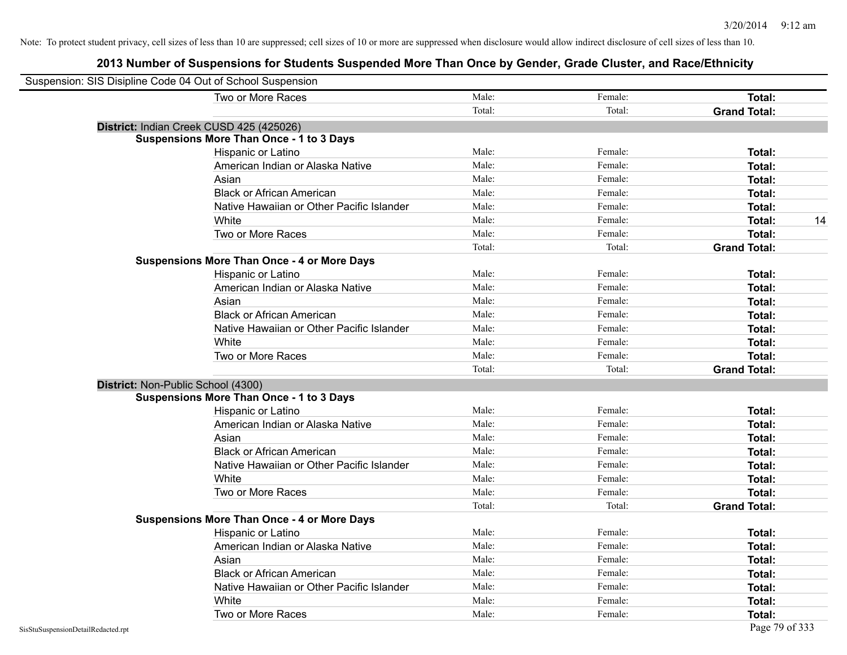| Suspension: SIS Disipline Code 04 Out of School Suspension |                                                    |        |         |                     |
|------------------------------------------------------------|----------------------------------------------------|--------|---------|---------------------|
|                                                            | Two or More Races                                  | Male:  | Female: | Total:              |
|                                                            |                                                    | Total: | Total:  | <b>Grand Total:</b> |
|                                                            | District: Indian Creek CUSD 425 (425026)           |        |         |                     |
|                                                            | <b>Suspensions More Than Once - 1 to 3 Days</b>    |        |         |                     |
|                                                            | Hispanic or Latino                                 | Male:  | Female: | Total:              |
|                                                            | American Indian or Alaska Native                   | Male:  | Female: | Total:              |
|                                                            | Asian                                              | Male:  | Female: | Total:              |
|                                                            | <b>Black or African American</b>                   | Male:  | Female: | Total:              |
|                                                            | Native Hawaiian or Other Pacific Islander          | Male:  | Female: | Total:              |
|                                                            | White                                              | Male:  | Female: | 14<br>Total:        |
|                                                            | Two or More Races                                  | Male:  | Female: | Total:              |
|                                                            |                                                    | Total: | Total:  | <b>Grand Total:</b> |
|                                                            | <b>Suspensions More Than Once - 4 or More Days</b> |        |         |                     |
|                                                            | Hispanic or Latino                                 | Male:  | Female: | Total:              |
|                                                            | American Indian or Alaska Native                   | Male:  | Female: | Total:              |
|                                                            | Asian                                              | Male:  | Female: | Total:              |
|                                                            | <b>Black or African American</b>                   | Male:  | Female: | Total:              |
|                                                            | Native Hawaiian or Other Pacific Islander          | Male:  | Female: | Total:              |
|                                                            | White                                              | Male:  | Female: | Total:              |
|                                                            | Two or More Races                                  | Male:  | Female: | Total:              |
|                                                            |                                                    | Total: | Total:  | <b>Grand Total:</b> |
| District: Non-Public School (4300)                         |                                                    |        |         |                     |
|                                                            | <b>Suspensions More Than Once - 1 to 3 Days</b>    |        |         |                     |
|                                                            | Hispanic or Latino                                 | Male:  | Female: | Total:              |
|                                                            | American Indian or Alaska Native                   | Male:  | Female: | Total:              |
|                                                            | Asian                                              | Male:  | Female: | Total:              |
|                                                            | <b>Black or African American</b>                   | Male:  | Female: | Total:              |
|                                                            | Native Hawaiian or Other Pacific Islander          | Male:  | Female: | Total:              |
|                                                            | White                                              | Male:  | Female: | Total:              |
|                                                            | Two or More Races                                  | Male:  | Female: | Total:              |
|                                                            |                                                    | Total: | Total:  | <b>Grand Total:</b> |
|                                                            | <b>Suspensions More Than Once - 4 or More Days</b> |        |         |                     |
|                                                            | Hispanic or Latino                                 | Male:  | Female: | Total:              |
|                                                            | American Indian or Alaska Native                   | Male:  | Female: | Total:              |
|                                                            | Asian                                              | Male:  | Female: | Total:              |
|                                                            | <b>Black or African American</b>                   | Male:  | Female: | Total:              |
|                                                            | Native Hawaiian or Other Pacific Islander          | Male:  | Female: | Total:              |
|                                                            | White                                              | Male:  | Female: | Total:              |
|                                                            | Two or More Races                                  | Male:  | Female: | Total:              |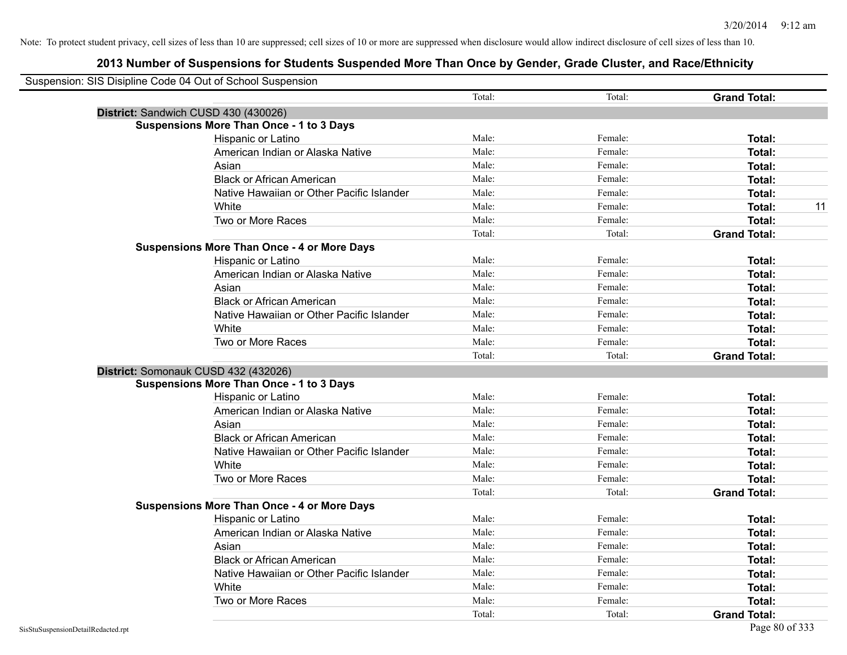| Suspension: SIS Disipline Code 04 Out of School Suspension |                                                    |        |         |                     |
|------------------------------------------------------------|----------------------------------------------------|--------|---------|---------------------|
|                                                            |                                                    | Total: | Total:  | <b>Grand Total:</b> |
|                                                            | District: Sandwich CUSD 430 (430026)               |        |         |                     |
|                                                            | <b>Suspensions More Than Once - 1 to 3 Days</b>    |        |         |                     |
|                                                            | Hispanic or Latino                                 | Male:  | Female: | Total:              |
|                                                            | American Indian or Alaska Native                   | Male:  | Female: | Total:              |
|                                                            | Asian                                              | Male:  | Female: | Total:              |
|                                                            | <b>Black or African American</b>                   | Male:  | Female: | <b>Total:</b>       |
|                                                            | Native Hawaiian or Other Pacific Islander          | Male:  | Female: | Total:              |
|                                                            | White                                              | Male:  | Female: | 11<br>Total:        |
|                                                            | Two or More Races                                  | Male:  | Female: | Total:              |
|                                                            |                                                    | Total: | Total:  | <b>Grand Total:</b> |
|                                                            | <b>Suspensions More Than Once - 4 or More Days</b> |        |         |                     |
|                                                            | Hispanic or Latino                                 | Male:  | Female: | Total:              |
|                                                            | American Indian or Alaska Native                   | Male:  | Female: | Total:              |
|                                                            | Asian                                              | Male:  | Female: | Total:              |
|                                                            | <b>Black or African American</b>                   | Male:  | Female: | <b>Total:</b>       |
|                                                            | Native Hawaiian or Other Pacific Islander          | Male:  | Female: | Total:              |
|                                                            | White                                              | Male:  | Female: | Total:              |
|                                                            | Two or More Races                                  | Male:  | Female: | Total:              |
|                                                            |                                                    | Total: | Total:  | <b>Grand Total:</b> |
|                                                            | District: Somonauk CUSD 432 (432026)               |        |         |                     |
|                                                            | <b>Suspensions More Than Once - 1 to 3 Days</b>    |        |         |                     |
|                                                            | Hispanic or Latino                                 | Male:  | Female: | Total:              |
|                                                            | American Indian or Alaska Native                   | Male:  | Female: | Total:              |
|                                                            | Asian                                              | Male:  | Female: | Total:              |
|                                                            | <b>Black or African American</b>                   | Male:  | Female: | Total:              |
|                                                            | Native Hawaiian or Other Pacific Islander          | Male:  | Female: | Total:              |
|                                                            | White                                              | Male:  | Female: | Total:              |
|                                                            | Two or More Races                                  | Male:  | Female: | <b>Total:</b>       |
|                                                            |                                                    | Total: | Total:  | <b>Grand Total:</b> |
|                                                            | <b>Suspensions More Than Once - 4 or More Days</b> |        |         |                     |
|                                                            | Hispanic or Latino                                 | Male:  | Female: | Total:              |
|                                                            | American Indian or Alaska Native                   | Male:  | Female: | <b>Total:</b>       |
|                                                            | Asian                                              | Male:  | Female: | Total:              |
|                                                            | <b>Black or African American</b>                   | Male:  | Female: | Total:              |
|                                                            | Native Hawaiian or Other Pacific Islander          | Male:  | Female: | Total:              |
|                                                            | White                                              | Male:  | Female: | Total:              |
|                                                            | Two or More Races                                  | Male:  | Female: | Total:              |
|                                                            |                                                    | Total: | Total:  | <b>Grand Total:</b> |
| SisStuSuspensionDetailRedacted.rpt                         |                                                    |        |         | Page 80 of 333      |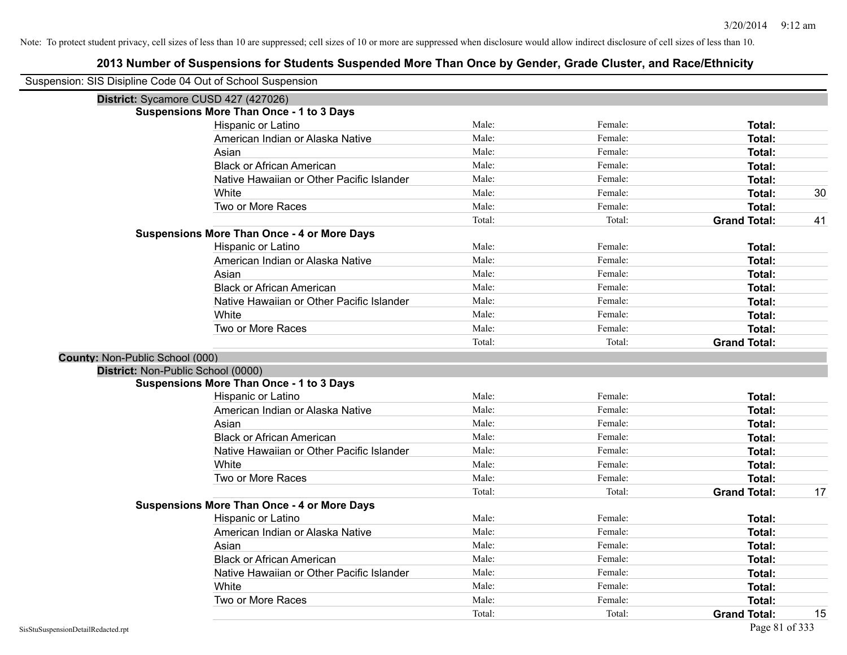|                                        | Suspension: SIS Disipline Code 04 Out of School Suspension |        |         |                     |    |
|----------------------------------------|------------------------------------------------------------|--------|---------|---------------------|----|
|                                        | District: Sycamore CUSD 427 (427026)                       |        |         |                     |    |
|                                        | <b>Suspensions More Than Once - 1 to 3 Days</b>            |        |         |                     |    |
|                                        | Hispanic or Latino                                         | Male:  | Female: | Total:              |    |
|                                        | American Indian or Alaska Native                           | Male:  | Female: | Total:              |    |
|                                        | Asian                                                      | Male:  | Female: | Total:              |    |
|                                        | <b>Black or African American</b>                           | Male:  | Female: | Total:              |    |
|                                        | Native Hawaiian or Other Pacific Islander                  | Male:  | Female: | Total:              |    |
|                                        | White                                                      | Male:  | Female: | Total:              | 30 |
|                                        | Two or More Races                                          | Male:  | Female: | Total:              |    |
|                                        |                                                            | Total: | Total:  | <b>Grand Total:</b> | 41 |
|                                        | <b>Suspensions More Than Once - 4 or More Days</b>         |        |         |                     |    |
|                                        | Hispanic or Latino                                         | Male:  | Female: | Total:              |    |
|                                        | American Indian or Alaska Native                           | Male:  | Female: | Total:              |    |
|                                        | Asian                                                      | Male:  | Female: | Total:              |    |
|                                        | <b>Black or African American</b>                           | Male:  | Female: | Total:              |    |
|                                        | Native Hawaiian or Other Pacific Islander                  | Male:  | Female: | Total:              |    |
|                                        | White                                                      | Male:  | Female: | Total:              |    |
|                                        | Two or More Races                                          | Male:  | Female: | Total:              |    |
|                                        |                                                            | Total: | Total:  | <b>Grand Total:</b> |    |
| <b>County: Non-Public School (000)</b> |                                                            |        |         |                     |    |
|                                        | District: Non-Public School (0000)                         |        |         |                     |    |
|                                        | <b>Suspensions More Than Once - 1 to 3 Days</b>            |        |         |                     |    |
|                                        | Hispanic or Latino                                         | Male:  | Female: | Total:              |    |
|                                        | American Indian or Alaska Native                           | Male:  | Female: | Total:              |    |
|                                        | Asian                                                      | Male:  | Female: | Total:              |    |
|                                        | <b>Black or African American</b>                           | Male:  | Female: | Total:              |    |
|                                        | Native Hawaiian or Other Pacific Islander                  | Male:  | Female: | Total:              |    |
|                                        | White                                                      | Male:  | Female: | Total:              |    |
|                                        | Two or More Races                                          | Male:  | Female: | Total:              |    |
|                                        |                                                            | Total: | Total:  | <b>Grand Total:</b> | 17 |
|                                        | <b>Suspensions More Than Once - 4 or More Days</b>         |        |         |                     |    |
|                                        | Hispanic or Latino                                         | Male:  | Female: | Total:              |    |
|                                        | American Indian or Alaska Native                           | Male:  | Female: | Total:              |    |
|                                        | Asian                                                      | Male:  | Female: | Total:              |    |
|                                        | <b>Black or African American</b>                           | Male:  | Female: | Total:              |    |
|                                        | Native Hawaiian or Other Pacific Islander                  | Male:  | Female: | Total:              |    |
|                                        | White                                                      | Male:  | Female: | Total:              |    |
|                                        | Two or More Races                                          | Male:  | Female: | Total:              |    |
|                                        |                                                            | Total: | Total:  | <b>Grand Total:</b> | 15 |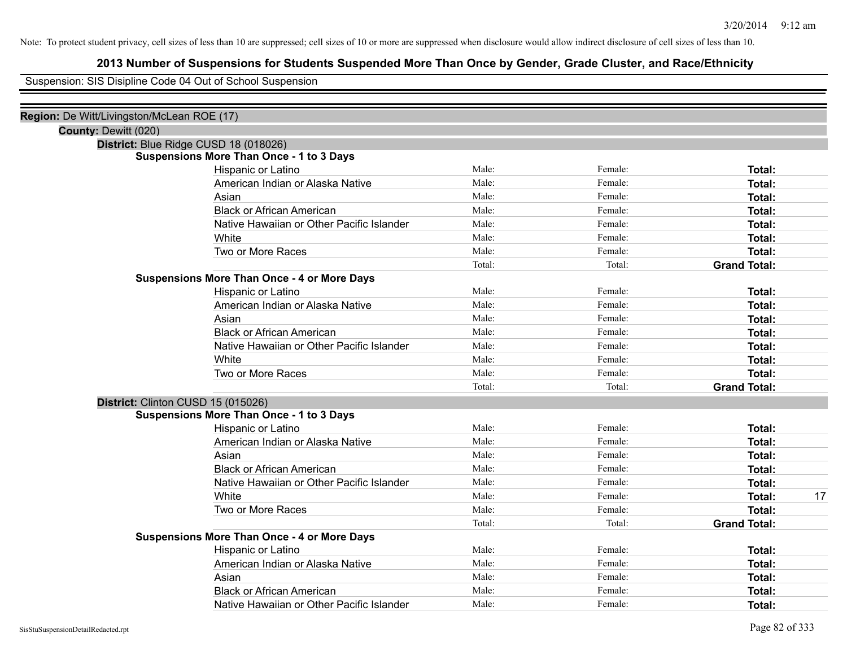# **2013 Number of Suspensions for Students Suspended More Than Once by Gender, Grade Cluster, and Race/Ethnicity**

Suspension: SIS Disipline Code 04 Out of School Suspension

| Region: De Witt/Livingston/McLean ROE (17) |                                                                                          |        |         |                     |
|--------------------------------------------|------------------------------------------------------------------------------------------|--------|---------|---------------------|
| County: Dewitt (020)                       |                                                                                          |        |         |                     |
|                                            | District: Blue Ridge CUSD 18 (018026)<br><b>Suspensions More Than Once - 1 to 3 Days</b> |        |         |                     |
|                                            | Hispanic or Latino                                                                       | Male:  | Female: | Total:              |
|                                            | American Indian or Alaska Native                                                         | Male:  | Female: | Total:              |
|                                            | Asian                                                                                    | Male:  | Female: | <b>Total:</b>       |
|                                            | <b>Black or African American</b>                                                         | Male:  | Female: | Total:              |
|                                            | Native Hawaiian or Other Pacific Islander                                                | Male:  | Female: | Total:              |
|                                            | White                                                                                    | Male:  | Female: | <b>Total:</b>       |
|                                            | Two or More Races                                                                        | Male:  | Female: | <b>Total:</b>       |
|                                            |                                                                                          | Total: | Total:  | <b>Grand Total:</b> |
|                                            | <b>Suspensions More Than Once - 4 or More Days</b>                                       |        |         |                     |
|                                            | Hispanic or Latino                                                                       | Male:  | Female: | <b>Total:</b>       |
|                                            | American Indian or Alaska Native                                                         | Male:  | Female: | <b>Total:</b>       |
|                                            | Asian                                                                                    | Male:  | Female: | <b>Total:</b>       |
|                                            | <b>Black or African American</b>                                                         | Male:  | Female: | <b>Total:</b>       |
|                                            | Native Hawaiian or Other Pacific Islander                                                | Male:  | Female: | <b>Total:</b>       |
|                                            | White                                                                                    | Male:  | Female: | <b>Total:</b>       |
|                                            | Two or More Races                                                                        | Male:  | Female: | <b>Total:</b>       |
|                                            |                                                                                          | Total: | Total:  | <b>Grand Total:</b> |
|                                            | District: Clinton CUSD 15 (015026)                                                       |        |         |                     |
|                                            | <b>Suspensions More Than Once - 1 to 3 Days</b>                                          |        |         |                     |
|                                            | Hispanic or Latino                                                                       | Male:  | Female: | Total:              |
|                                            | American Indian or Alaska Native                                                         | Male:  | Female: | <b>Total:</b>       |
|                                            | Asian                                                                                    | Male:  | Female: | <b>Total:</b>       |
|                                            | <b>Black or African American</b>                                                         | Male:  | Female: | <b>Total:</b>       |
|                                            | Native Hawaiian or Other Pacific Islander                                                | Male:  | Female: | Total:              |
|                                            | White                                                                                    | Male:  | Female: | 17<br><b>Total:</b> |
|                                            | Two or More Races                                                                        | Male:  | Female: | <b>Total:</b>       |
|                                            |                                                                                          | Total: | Total:  | <b>Grand Total:</b> |
|                                            | <b>Suspensions More Than Once - 4 or More Days</b>                                       |        |         |                     |
|                                            | Hispanic or Latino                                                                       | Male:  | Female: | <b>Total:</b>       |
|                                            | American Indian or Alaska Native                                                         | Male:  | Female: | Total:              |
|                                            | Asian                                                                                    | Male:  | Female: | Total:              |
|                                            | <b>Black or African American</b>                                                         | Male:  | Female: | Total:              |
|                                            | Native Hawaiian or Other Pacific Islander                                                | Male:  | Female: | <b>Total:</b>       |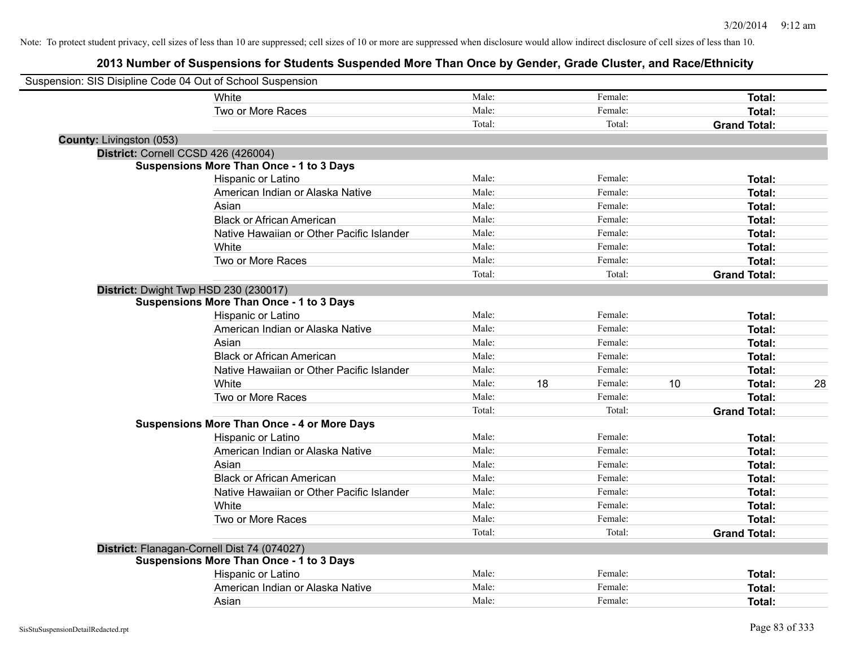| Suspension: SIS Disipline Code 04 Out of School Suspension |                                                    |        |    |         |    |                     |    |
|------------------------------------------------------------|----------------------------------------------------|--------|----|---------|----|---------------------|----|
|                                                            | White                                              | Male:  |    | Female: |    | Total:              |    |
|                                                            | Two or More Races                                  | Male:  |    | Female: |    | Total:              |    |
|                                                            |                                                    | Total: |    | Total:  |    | <b>Grand Total:</b> |    |
| County: Livingston (053)                                   |                                                    |        |    |         |    |                     |    |
|                                                            | District: Cornell CCSD 426 (426004)                |        |    |         |    |                     |    |
|                                                            | <b>Suspensions More Than Once - 1 to 3 Days</b>    |        |    |         |    |                     |    |
|                                                            | Hispanic or Latino                                 | Male:  |    | Female: |    | Total:              |    |
|                                                            | American Indian or Alaska Native                   | Male:  |    | Female: |    | Total:              |    |
|                                                            | Asian                                              | Male:  |    | Female: |    | Total:              |    |
|                                                            | <b>Black or African American</b>                   | Male:  |    | Female: |    | Total:              |    |
|                                                            | Native Hawaiian or Other Pacific Islander          | Male:  |    | Female: |    | Total:              |    |
|                                                            | White                                              | Male:  |    | Female: |    | Total:              |    |
|                                                            | Two or More Races                                  | Male:  |    | Female: |    | Total:              |    |
|                                                            |                                                    | Total: |    | Total:  |    | <b>Grand Total:</b> |    |
|                                                            | District: Dwight Twp HSD 230 (230017)              |        |    |         |    |                     |    |
|                                                            | <b>Suspensions More Than Once - 1 to 3 Days</b>    |        |    |         |    |                     |    |
|                                                            | Hispanic or Latino                                 | Male:  |    | Female: |    | Total:              |    |
|                                                            | American Indian or Alaska Native                   | Male:  |    | Female: |    | Total:              |    |
|                                                            | Asian                                              | Male:  |    | Female: |    | Total:              |    |
|                                                            | <b>Black or African American</b>                   | Male:  |    | Female: |    | Total:              |    |
|                                                            | Native Hawaiian or Other Pacific Islander          | Male:  |    | Female: |    | Total:              |    |
|                                                            | White                                              | Male:  | 18 | Female: | 10 | Total:              | 28 |
|                                                            | Two or More Races                                  | Male:  |    | Female: |    | Total:              |    |
|                                                            |                                                    | Total: |    | Total:  |    | <b>Grand Total:</b> |    |
|                                                            | <b>Suspensions More Than Once - 4 or More Days</b> |        |    |         |    |                     |    |
|                                                            | Hispanic or Latino                                 | Male:  |    | Female: |    | Total:              |    |
|                                                            | American Indian or Alaska Native                   | Male:  |    | Female: |    | Total:              |    |
|                                                            | Asian                                              | Male:  |    | Female: |    | Total:              |    |
|                                                            | <b>Black or African American</b>                   | Male:  |    | Female: |    | Total:              |    |
|                                                            | Native Hawaiian or Other Pacific Islander          | Male:  |    | Female: |    | Total:              |    |
|                                                            | White                                              | Male:  |    | Female: |    | Total:              |    |
|                                                            | Two or More Races                                  | Male:  |    | Female: |    | Total:              |    |
|                                                            |                                                    | Total: |    | Total:  |    | <b>Grand Total:</b> |    |
|                                                            | District: Flanagan-Cornell Dist 74 (074027)        |        |    |         |    |                     |    |
|                                                            | <b>Suspensions More Than Once - 1 to 3 Days</b>    |        |    |         |    |                     |    |
|                                                            | Hispanic or Latino                                 | Male:  |    | Female: |    | Total:              |    |
|                                                            | American Indian or Alaska Native                   | Male:  |    | Female: |    | Total:              |    |
|                                                            | Asian                                              | Male:  |    | Female: |    | Total:              |    |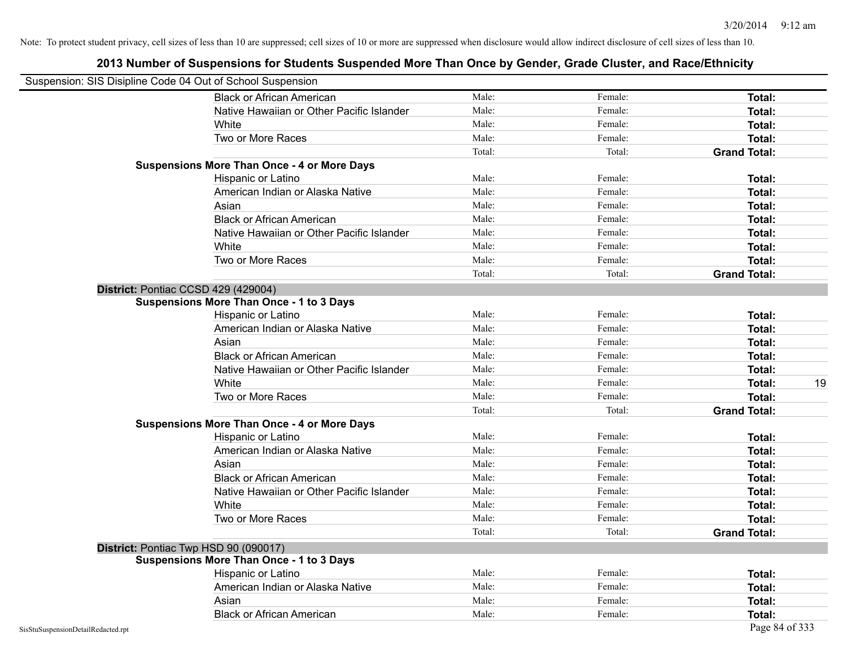| Suspension: SIS Disipline Code 04 Out of School Suspension |                                                    |        |         |                     |
|------------------------------------------------------------|----------------------------------------------------|--------|---------|---------------------|
|                                                            | <b>Black or African American</b>                   | Male:  | Female: | Total:              |
|                                                            | Native Hawaiian or Other Pacific Islander          | Male:  | Female: | Total:              |
|                                                            | White                                              | Male:  | Female: | Total:              |
|                                                            | Two or More Races                                  | Male:  | Female: | <b>Total:</b>       |
|                                                            |                                                    | Total: | Total:  | <b>Grand Total:</b> |
|                                                            | <b>Suspensions More Than Once - 4 or More Days</b> |        |         |                     |
|                                                            | Hispanic or Latino                                 | Male:  | Female: | Total:              |
|                                                            | American Indian or Alaska Native                   | Male:  | Female: | Total:              |
|                                                            | Asian                                              | Male:  | Female: | Total:              |
|                                                            | <b>Black or African American</b>                   | Male:  | Female: | Total:              |
|                                                            | Native Hawaiian or Other Pacific Islander          | Male:  | Female: | <b>Total:</b>       |
|                                                            | White                                              | Male:  | Female: | Total:              |
|                                                            | Two or More Races                                  | Male:  | Female: | <b>Total:</b>       |
|                                                            |                                                    | Total: | Total:  | <b>Grand Total:</b> |
|                                                            | District: Pontiac CCSD 429 (429004)                |        |         |                     |
|                                                            | <b>Suspensions More Than Once - 1 to 3 Days</b>    |        |         |                     |
|                                                            | Hispanic or Latino                                 | Male:  | Female: | <b>Total:</b>       |
|                                                            | American Indian or Alaska Native                   | Male:  | Female: | <b>Total:</b>       |
|                                                            | Asian                                              | Male:  | Female: | Total:              |
|                                                            | <b>Black or African American</b>                   | Male:  | Female: | Total:              |
|                                                            | Native Hawaiian or Other Pacific Islander          | Male:  | Female: | Total:              |
|                                                            | White                                              | Male:  | Female: | 19<br>Total:        |
|                                                            | Two or More Races                                  | Male:  | Female: | <b>Total:</b>       |
|                                                            |                                                    | Total: | Total:  | <b>Grand Total:</b> |
|                                                            | <b>Suspensions More Than Once - 4 or More Days</b> |        |         |                     |
|                                                            | Hispanic or Latino                                 | Male:  | Female: | Total:              |
|                                                            | American Indian or Alaska Native                   | Male:  | Female: | <b>Total:</b>       |
|                                                            | Asian                                              | Male:  | Female: | Total:              |
|                                                            | <b>Black or African American</b>                   | Male:  | Female: | Total:              |
|                                                            | Native Hawaiian or Other Pacific Islander          | Male:  | Female: | Total:              |
|                                                            | White                                              | Male:  | Female: | Total:              |
|                                                            | Two or More Races                                  | Male:  | Female: | <b>Total:</b>       |
|                                                            |                                                    | Total: | Total:  | <b>Grand Total:</b> |
|                                                            | District: Pontiac Twp HSD 90 (090017)              |        |         |                     |
|                                                            | <b>Suspensions More Than Once - 1 to 3 Days</b>    |        |         |                     |
|                                                            | Hispanic or Latino                                 | Male:  | Female: | Total:              |
|                                                            | American Indian or Alaska Native                   | Male:  | Female: | Total:              |
|                                                            | Asian                                              | Male:  | Female: | Total:              |
|                                                            | <b>Black or African American</b>                   | Male:  | Female: | Total:              |
| SisStuSuspensionDetailRedacted.rpt                         |                                                    |        |         | Page 84 of 333      |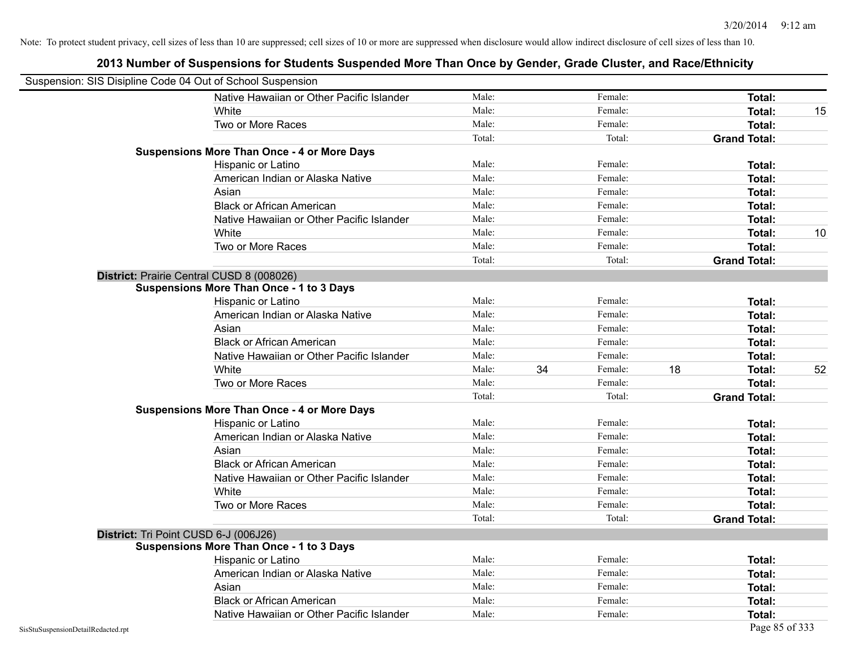| Suspension: SIS Disipline Code 04 Out of School Suspension |                                                    |        |    |         |    |                     |    |
|------------------------------------------------------------|----------------------------------------------------|--------|----|---------|----|---------------------|----|
|                                                            | Native Hawaiian or Other Pacific Islander          | Male:  |    | Female: |    | Total:              |    |
|                                                            | White                                              | Male:  |    | Female: |    | Total:              | 15 |
|                                                            | Two or More Races                                  | Male:  |    | Female: |    | Total:              |    |
|                                                            |                                                    | Total: |    | Total:  |    | <b>Grand Total:</b> |    |
|                                                            | <b>Suspensions More Than Once - 4 or More Days</b> |        |    |         |    |                     |    |
|                                                            | Hispanic or Latino                                 | Male:  |    | Female: |    | Total:              |    |
|                                                            | American Indian or Alaska Native                   | Male:  |    | Female: |    | Total:              |    |
|                                                            | Asian                                              | Male:  |    | Female: |    | Total:              |    |
|                                                            | <b>Black or African American</b>                   | Male:  |    | Female: |    | Total:              |    |
|                                                            | Native Hawaiian or Other Pacific Islander          | Male:  |    | Female: |    | Total:              |    |
|                                                            | White                                              | Male:  |    | Female: |    | Total:              | 10 |
|                                                            | Two or More Races                                  | Male:  |    | Female: |    | Total:              |    |
|                                                            |                                                    | Total: |    | Total:  |    | <b>Grand Total:</b> |    |
|                                                            | District: Prairie Central CUSD 8 (008026)          |        |    |         |    |                     |    |
|                                                            | Suspensions More Than Once - 1 to 3 Days           |        |    |         |    |                     |    |
|                                                            | Hispanic or Latino                                 | Male:  |    | Female: |    | Total:              |    |
|                                                            | American Indian or Alaska Native                   | Male:  |    | Female: |    | Total:              |    |
|                                                            | Asian                                              | Male:  |    | Female: |    | Total:              |    |
|                                                            | <b>Black or African American</b>                   | Male:  |    | Female: |    | Total:              |    |
|                                                            | Native Hawaiian or Other Pacific Islander          | Male:  |    | Female: |    | Total:              |    |
|                                                            | White                                              | Male:  | 34 | Female: | 18 | Total:              | 52 |
|                                                            | Two or More Races                                  | Male:  |    | Female: |    | Total:              |    |
|                                                            |                                                    | Total: |    | Total:  |    | <b>Grand Total:</b> |    |
|                                                            | <b>Suspensions More Than Once - 4 or More Days</b> |        |    |         |    |                     |    |
|                                                            | Hispanic or Latino                                 | Male:  |    | Female: |    | Total:              |    |
|                                                            | American Indian or Alaska Native                   | Male:  |    | Female: |    | Total:              |    |
|                                                            | Asian                                              | Male:  |    | Female: |    | Total:              |    |
|                                                            | <b>Black or African American</b>                   | Male:  |    | Female: |    | Total:              |    |
|                                                            | Native Hawaiian or Other Pacific Islander          | Male:  |    | Female: |    | Total:              |    |
|                                                            | White                                              | Male:  |    | Female: |    | Total:              |    |
|                                                            | Two or More Races                                  | Male:  |    | Female: |    | Total:              |    |
|                                                            |                                                    | Total: |    | Total:  |    | <b>Grand Total:</b> |    |
|                                                            | District: Tri Point CUSD 6-J (006J26)              |        |    |         |    |                     |    |
|                                                            | <b>Suspensions More Than Once - 1 to 3 Days</b>    |        |    |         |    |                     |    |
|                                                            | Hispanic or Latino                                 | Male:  |    | Female: |    | Total:              |    |
|                                                            | American Indian or Alaska Native                   | Male:  |    | Female: |    | Total:              |    |
|                                                            | Asian                                              | Male:  |    | Female: |    | Total:              |    |
|                                                            | <b>Black or African American</b>                   | Male:  |    | Female: |    | Total:              |    |
|                                                            | Native Hawaiian or Other Pacific Islander          | Male:  |    | Female: |    | Total:              |    |
| SisStuSuspensionDetailRedacted.rpt                         |                                                    |        |    |         |    | Page 85 of 333      |    |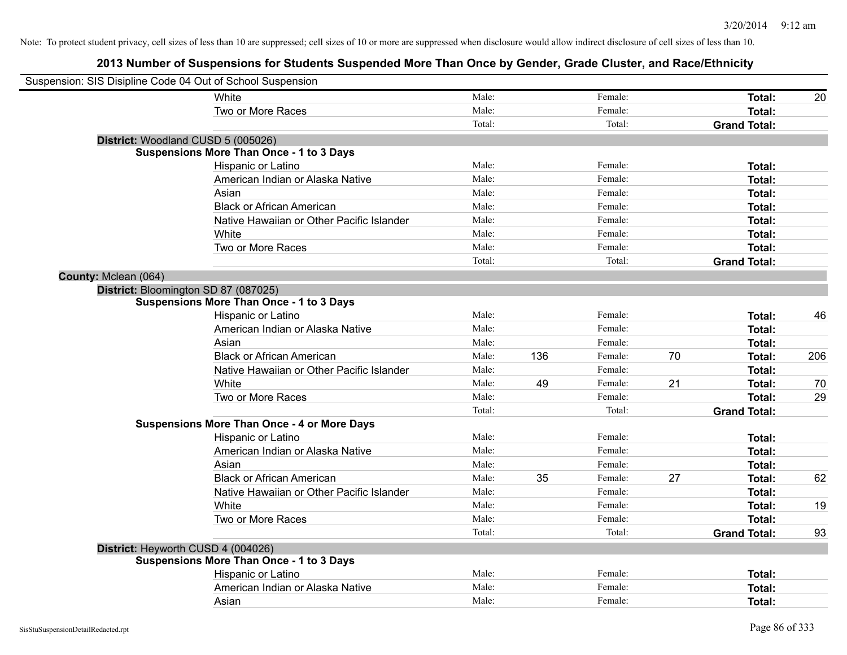| Suspension: SIS Disipline Code 04 Out of School Suspension |                                                    |        |     |         |    |                     |     |
|------------------------------------------------------------|----------------------------------------------------|--------|-----|---------|----|---------------------|-----|
|                                                            | White                                              | Male:  |     | Female: |    | Total:              | 20  |
|                                                            | Two or More Races                                  | Male:  |     | Female: |    | Total:              |     |
|                                                            |                                                    | Total: |     | Total:  |    | <b>Grand Total:</b> |     |
| District: Woodland CUSD 5 (005026)                         |                                                    |        |     |         |    |                     |     |
|                                                            | <b>Suspensions More Than Once - 1 to 3 Days</b>    |        |     |         |    |                     |     |
|                                                            | Hispanic or Latino                                 | Male:  |     | Female: |    | <b>Total:</b>       |     |
|                                                            | American Indian or Alaska Native                   | Male:  |     | Female: |    | <b>Total:</b>       |     |
|                                                            | Asian                                              | Male:  |     | Female: |    | Total:              |     |
|                                                            | <b>Black or African American</b>                   | Male:  |     | Female: |    | Total:              |     |
|                                                            | Native Hawaiian or Other Pacific Islander          | Male:  |     | Female: |    | Total:              |     |
|                                                            | White                                              | Male:  |     | Female: |    | <b>Total:</b>       |     |
|                                                            | Two or More Races                                  | Male:  |     | Female: |    | <b>Total:</b>       |     |
|                                                            |                                                    | Total: |     | Total:  |    | <b>Grand Total:</b> |     |
| County: Mclean (064)                                       |                                                    |        |     |         |    |                     |     |
| District: Bloomington SD 87 (087025)                       |                                                    |        |     |         |    |                     |     |
|                                                            | <b>Suspensions More Than Once - 1 to 3 Days</b>    |        |     |         |    |                     |     |
|                                                            | Hispanic or Latino                                 | Male:  |     | Female: |    | <b>Total:</b>       | 46  |
|                                                            | American Indian or Alaska Native                   | Male:  |     | Female: |    | Total:              |     |
|                                                            | Asian                                              | Male:  |     | Female: |    | Total:              |     |
|                                                            | <b>Black or African American</b>                   | Male:  | 136 | Female: | 70 | Total:              | 206 |
|                                                            | Native Hawaiian or Other Pacific Islander          | Male:  |     | Female: |    | Total:              |     |
|                                                            | White                                              | Male:  | 49  | Female: | 21 | Total:              | 70  |
|                                                            | Two or More Races                                  | Male:  |     | Female: |    | <b>Total:</b>       | 29  |
|                                                            |                                                    | Total: |     | Total:  |    | <b>Grand Total:</b> |     |
|                                                            | <b>Suspensions More Than Once - 4 or More Days</b> |        |     |         |    |                     |     |
|                                                            | Hispanic or Latino                                 | Male:  |     | Female: |    | <b>Total:</b>       |     |
|                                                            | American Indian or Alaska Native                   | Male:  |     | Female: |    | <b>Total:</b>       |     |
|                                                            | Asian                                              | Male:  |     | Female: |    | <b>Total:</b>       |     |
|                                                            | <b>Black or African American</b>                   | Male:  | 35  | Female: | 27 | Total:              | 62  |
|                                                            | Native Hawaiian or Other Pacific Islander          | Male:  |     | Female: |    | Total:              |     |
|                                                            | White                                              | Male:  |     | Female: |    | <b>Total:</b>       | 19  |
|                                                            | Two or More Races                                  | Male:  |     | Female: |    | Total:              |     |
|                                                            |                                                    | Total: |     | Total:  |    | <b>Grand Total:</b> | 93  |
| District: Heyworth CUSD 4 (004026)                         |                                                    |        |     |         |    |                     |     |
|                                                            | <b>Suspensions More Than Once - 1 to 3 Days</b>    |        |     |         |    |                     |     |
|                                                            | Hispanic or Latino                                 | Male:  |     | Female: |    | <b>Total:</b>       |     |
|                                                            | American Indian or Alaska Native                   | Male:  |     | Female: |    | <b>Total:</b>       |     |
|                                                            | Asian                                              | Male:  |     | Female: |    | Total:              |     |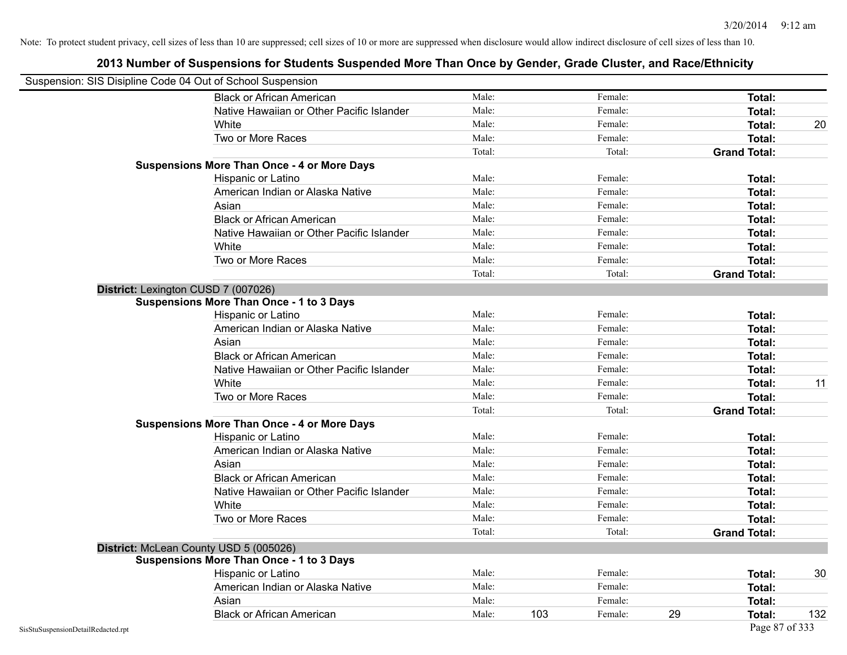| Suspension: SIS Disipline Code 04 Out of School Suspension |                                                    |        |     |         |    |                     |     |
|------------------------------------------------------------|----------------------------------------------------|--------|-----|---------|----|---------------------|-----|
|                                                            | <b>Black or African American</b>                   | Male:  |     | Female: |    | Total:              |     |
|                                                            | Native Hawaiian or Other Pacific Islander          | Male:  |     | Female: |    | Total:              |     |
|                                                            | White                                              | Male:  |     | Female: |    | Total:              | 20  |
|                                                            | Two or More Races                                  | Male:  |     | Female: |    | <b>Total:</b>       |     |
|                                                            |                                                    | Total: |     | Total:  |    | <b>Grand Total:</b> |     |
|                                                            | <b>Suspensions More Than Once - 4 or More Days</b> |        |     |         |    |                     |     |
|                                                            | Hispanic or Latino                                 | Male:  |     | Female: |    | Total:              |     |
|                                                            | American Indian or Alaska Native                   | Male:  |     | Female: |    | Total:              |     |
|                                                            | Asian                                              | Male:  |     | Female: |    | Total:              |     |
|                                                            | <b>Black or African American</b>                   | Male:  |     | Female: |    | Total:              |     |
|                                                            | Native Hawaiian or Other Pacific Islander          | Male:  |     | Female: |    | Total:              |     |
|                                                            | White                                              | Male:  |     | Female: |    | Total:              |     |
|                                                            | Two or More Races                                  | Male:  |     | Female: |    | Total:              |     |
|                                                            |                                                    | Total: |     | Total:  |    | <b>Grand Total:</b> |     |
|                                                            | District: Lexington CUSD 7 (007026)                |        |     |         |    |                     |     |
|                                                            | <b>Suspensions More Than Once - 1 to 3 Days</b>    |        |     |         |    |                     |     |
|                                                            | Hispanic or Latino                                 | Male:  |     | Female: |    | Total:              |     |
|                                                            | American Indian or Alaska Native                   | Male:  |     | Female: |    | <b>Total:</b>       |     |
|                                                            | Asian                                              | Male:  |     | Female: |    | Total:              |     |
|                                                            | <b>Black or African American</b>                   | Male:  |     | Female: |    | Total:              |     |
|                                                            | Native Hawaiian or Other Pacific Islander          | Male:  |     | Female: |    | Total:              |     |
|                                                            | White                                              | Male:  |     | Female: |    | Total:              | 11  |
|                                                            | Two or More Races                                  | Male:  |     | Female: |    | <b>Total:</b>       |     |
|                                                            |                                                    | Total: |     | Total:  |    | <b>Grand Total:</b> |     |
|                                                            | <b>Suspensions More Than Once - 4 or More Days</b> |        |     |         |    |                     |     |
|                                                            | Hispanic or Latino                                 | Male:  |     | Female: |    | Total:              |     |
|                                                            | American Indian or Alaska Native                   | Male:  |     | Female: |    | <b>Total:</b>       |     |
|                                                            | Asian                                              | Male:  |     | Female: |    | Total:              |     |
|                                                            | <b>Black or African American</b>                   | Male:  |     | Female: |    | Total:              |     |
|                                                            | Native Hawaiian or Other Pacific Islander          | Male:  |     | Female: |    | Total:              |     |
|                                                            | White                                              | Male:  |     | Female: |    | Total:              |     |
|                                                            | Two or More Races                                  | Male:  |     | Female: |    | Total:              |     |
|                                                            |                                                    | Total: |     | Total:  |    | <b>Grand Total:</b> |     |
|                                                            | District: McLean County USD 5 (005026)             |        |     |         |    |                     |     |
|                                                            | <b>Suspensions More Than Once - 1 to 3 Days</b>    |        |     |         |    |                     |     |
|                                                            | Hispanic or Latino                                 | Male:  |     | Female: |    | Total:              | 30  |
|                                                            | American Indian or Alaska Native                   | Male:  |     | Female: |    | Total:              |     |
|                                                            | Asian                                              | Male:  |     | Female: |    | Total:              |     |
|                                                            | <b>Black or African American</b>                   | Male:  | 103 | Female: | 29 | Total:              | 132 |
| SisStuSuspensionDetailRedacted.rpt                         |                                                    |        |     |         |    | Page 87 of 333      |     |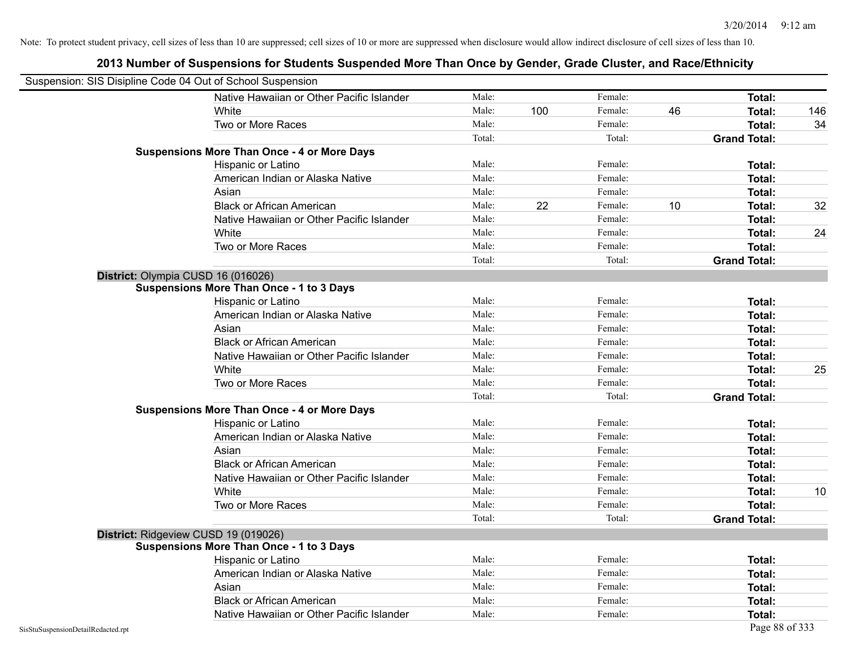| Suspension: SIS Disipline Code 04 Out of School Suspension |                                                    |        |     |         |    |                     |     |
|------------------------------------------------------------|----------------------------------------------------|--------|-----|---------|----|---------------------|-----|
|                                                            | Native Hawaiian or Other Pacific Islander          | Male:  |     | Female: |    | Total:              |     |
|                                                            | White                                              | Male:  | 100 | Female: | 46 | Total:              | 146 |
|                                                            | Two or More Races                                  | Male:  |     | Female: |    | Total:              | 34  |
|                                                            |                                                    | Total: |     | Total:  |    | <b>Grand Total:</b> |     |
|                                                            | <b>Suspensions More Than Once - 4 or More Days</b> |        |     |         |    |                     |     |
|                                                            | Hispanic or Latino                                 | Male:  |     | Female: |    | Total:              |     |
|                                                            | American Indian or Alaska Native                   | Male:  |     | Female: |    | Total:              |     |
|                                                            | Asian                                              | Male:  |     | Female: |    | Total:              |     |
|                                                            | <b>Black or African American</b>                   | Male:  | 22  | Female: | 10 | Total:              | 32  |
|                                                            | Native Hawaiian or Other Pacific Islander          | Male:  |     | Female: |    | Total:              |     |
|                                                            | White                                              | Male:  |     | Female: |    | Total:              | 24  |
|                                                            | Two or More Races                                  | Male:  |     | Female: |    | Total:              |     |
|                                                            |                                                    | Total: |     | Total:  |    | <b>Grand Total:</b> |     |
|                                                            | District: Olympia CUSD 16 (016026)                 |        |     |         |    |                     |     |
|                                                            | <b>Suspensions More Than Once - 1 to 3 Days</b>    |        |     |         |    |                     |     |
|                                                            | Hispanic or Latino                                 | Male:  |     | Female: |    | Total:              |     |
|                                                            | American Indian or Alaska Native                   | Male:  |     | Female: |    | Total:              |     |
|                                                            | Asian                                              | Male:  |     | Female: |    | Total:              |     |
|                                                            | <b>Black or African American</b>                   | Male:  |     | Female: |    | Total:              |     |
|                                                            | Native Hawaiian or Other Pacific Islander          | Male:  |     | Female: |    | Total:              |     |
|                                                            | White                                              | Male:  |     | Female: |    | Total:              | 25  |
|                                                            | Two or More Races                                  | Male:  |     | Female: |    | Total:              |     |
|                                                            |                                                    | Total: |     | Total:  |    | <b>Grand Total:</b> |     |
|                                                            | <b>Suspensions More Than Once - 4 or More Days</b> |        |     |         |    |                     |     |
|                                                            | Hispanic or Latino                                 | Male:  |     | Female: |    | Total:              |     |
|                                                            | American Indian or Alaska Native                   | Male:  |     | Female: |    | Total:              |     |
|                                                            | Asian                                              | Male:  |     | Female: |    | Total:              |     |
|                                                            | <b>Black or African American</b>                   | Male:  |     | Female: |    | Total:              |     |
|                                                            | Native Hawaiian or Other Pacific Islander          | Male:  |     | Female: |    | Total:              |     |
|                                                            | White                                              | Male:  |     | Female: |    | Total:              | 10  |
|                                                            | Two or More Races                                  | Male:  |     | Female: |    | Total:              |     |
|                                                            |                                                    | Total: |     | Total:  |    | <b>Grand Total:</b> |     |
|                                                            | District: Ridgeview CUSD 19 (019026)               |        |     |         |    |                     |     |
|                                                            | <b>Suspensions More Than Once - 1 to 3 Days</b>    |        |     |         |    |                     |     |
|                                                            | Hispanic or Latino                                 | Male:  |     | Female: |    | Total:              |     |
|                                                            | American Indian or Alaska Native                   | Male:  |     | Female: |    | Total:              |     |
|                                                            | Asian                                              | Male:  |     | Female: |    | Total:              |     |
|                                                            | <b>Black or African American</b>                   | Male:  |     | Female: |    | Total:              |     |
|                                                            | Native Hawaiian or Other Pacific Islander          | Male:  |     | Female: |    | Total:              |     |
| SisStuSuspensionDetailRedacted.rpt                         |                                                    |        |     |         |    | Page 88 of 333      |     |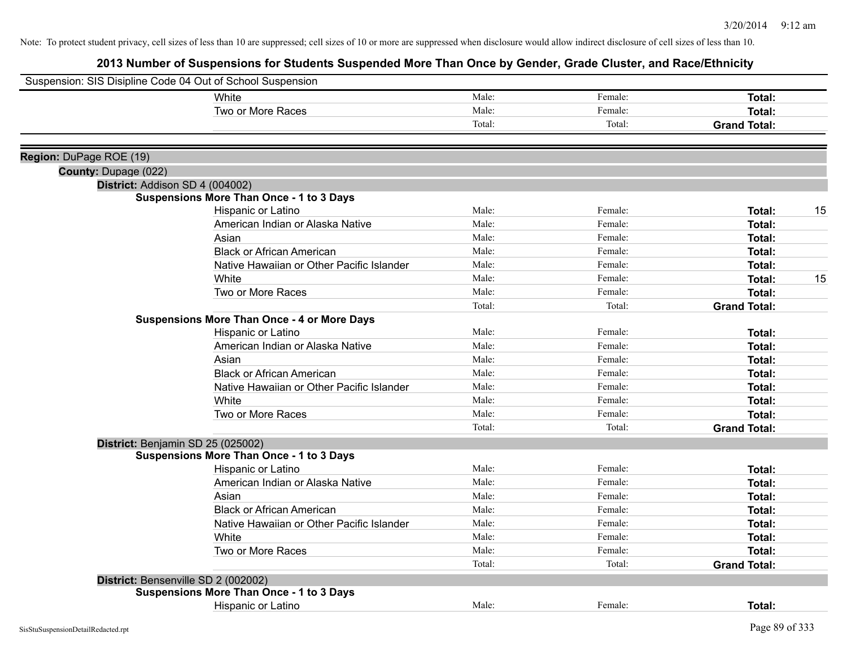| Suspension: SIS Disipline Code 04 Out of School Suspension |                                                    |        |         |                     |
|------------------------------------------------------------|----------------------------------------------------|--------|---------|---------------------|
|                                                            | White                                              | Male:  | Female: | Total:              |
|                                                            | Two or More Races                                  | Male:  | Female: | Total:              |
|                                                            |                                                    | Total: | Total:  | <b>Grand Total:</b> |
| Region: DuPage ROE (19)                                    |                                                    |        |         |                     |
| County: Dupage (022)                                       |                                                    |        |         |                     |
|                                                            | District: Addison SD 4 (004002)                    |        |         |                     |
|                                                            | <b>Suspensions More Than Once - 1 to 3 Days</b>    |        |         |                     |
|                                                            | Hispanic or Latino                                 | Male:  | Female: | Total:<br>15        |
|                                                            | American Indian or Alaska Native                   | Male:  | Female: | Total:              |
|                                                            | Asian                                              | Male:  | Female: | Total:              |
|                                                            | <b>Black or African American</b>                   | Male:  | Female: | Total:              |
|                                                            | Native Hawaiian or Other Pacific Islander          | Male:  | Female: | Total:              |
|                                                            | White                                              | Male:  | Female: | Total:<br>15        |
|                                                            | Two or More Races                                  | Male:  | Female: | Total:              |
|                                                            |                                                    | Total: | Total:  | <b>Grand Total:</b> |
|                                                            | <b>Suspensions More Than Once - 4 or More Days</b> |        |         |                     |
|                                                            | Hispanic or Latino                                 | Male:  | Female: | Total:              |
|                                                            | American Indian or Alaska Native                   | Male:  | Female: | Total:              |
|                                                            | Asian                                              | Male:  | Female: | Total:              |
|                                                            | <b>Black or African American</b>                   | Male:  | Female: | Total:              |
|                                                            | Native Hawaiian or Other Pacific Islander          | Male:  | Female: | Total:              |
|                                                            | White                                              | Male:  | Female: | Total:              |
|                                                            | Two or More Races                                  | Male:  | Female: | Total:              |
|                                                            |                                                    | Total: | Total:  | <b>Grand Total:</b> |
|                                                            | District: Benjamin SD 25 (025002)                  |        |         |                     |
|                                                            | <b>Suspensions More Than Once - 1 to 3 Days</b>    |        |         |                     |
|                                                            | Hispanic or Latino                                 | Male:  | Female: | Total:              |
|                                                            | American Indian or Alaska Native                   | Male:  | Female: | Total:              |
|                                                            | Asian                                              | Male:  | Female: | Total:              |
|                                                            | <b>Black or African American</b>                   | Male:  | Female: | Total:              |
|                                                            | Native Hawaiian or Other Pacific Islander          | Male:  | Female: | Total:              |
|                                                            | White                                              | Male:  | Female: | Total:              |
|                                                            | Two or More Races                                  | Male:  | Female: | Total:              |
|                                                            |                                                    | Total: | Total:  | <b>Grand Total:</b> |
|                                                            | District: Bensenville SD 2 (002002)                |        |         |                     |
|                                                            | <b>Suspensions More Than Once - 1 to 3 Days</b>    |        |         |                     |
|                                                            | Hispanic or Latino                                 | Male:  | Female: | Total:              |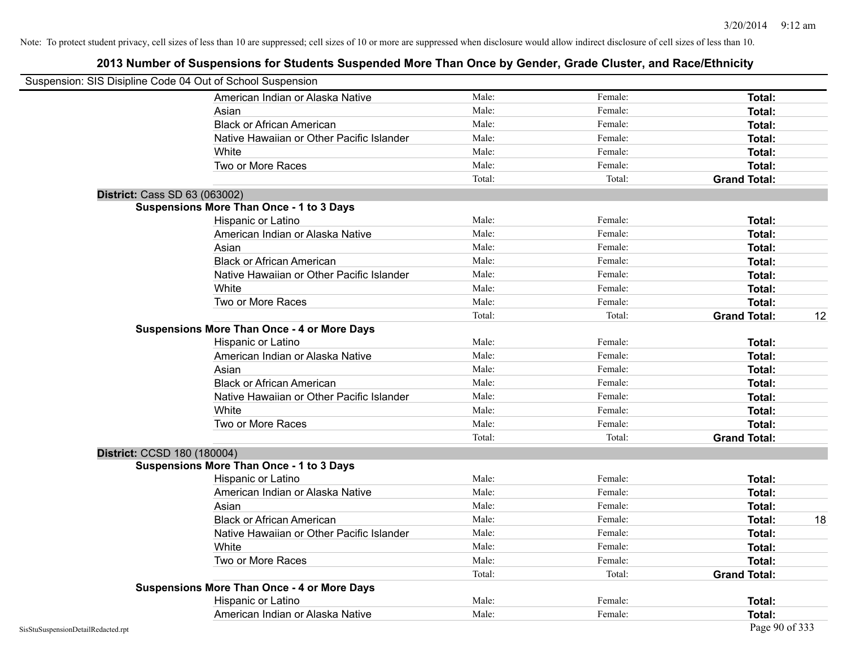|                             | Suspension: SIS Disipline Code 04 Out of School Suspension |        |         |                     |    |
|-----------------------------|------------------------------------------------------------|--------|---------|---------------------|----|
|                             | American Indian or Alaska Native                           | Male:  | Female: | Total:              |    |
|                             | Asian                                                      | Male:  | Female: | Total:              |    |
|                             | <b>Black or African American</b>                           | Male:  | Female: | Total:              |    |
|                             | Native Hawaiian or Other Pacific Islander                  | Male:  | Female: | Total:              |    |
|                             | White                                                      | Male:  | Female: | Total:              |    |
|                             | Two or More Races                                          | Male:  | Female: | Total:              |    |
|                             |                                                            | Total: | Total:  | <b>Grand Total:</b> |    |
|                             | <b>District: Cass SD 63 (063002)</b>                       |        |         |                     |    |
|                             | <b>Suspensions More Than Once - 1 to 3 Days</b>            |        |         |                     |    |
|                             | Hispanic or Latino                                         | Male:  | Female: | Total:              |    |
|                             | American Indian or Alaska Native                           | Male:  | Female: | Total:              |    |
|                             | Asian                                                      | Male:  | Female: | Total:              |    |
|                             | <b>Black or African American</b>                           | Male:  | Female: | Total:              |    |
|                             | Native Hawaiian or Other Pacific Islander                  | Male:  | Female: | Total:              |    |
|                             | White                                                      | Male:  | Female: | Total:              |    |
|                             | Two or More Races                                          | Male:  | Female: | Total:              |    |
|                             |                                                            | Total: | Total:  | <b>Grand Total:</b> | 12 |
|                             | <b>Suspensions More Than Once - 4 or More Days</b>         |        |         |                     |    |
|                             | Hispanic or Latino                                         | Male:  | Female: | Total:              |    |
|                             | American Indian or Alaska Native                           | Male:  | Female: | Total:              |    |
|                             | Asian                                                      | Male:  | Female: | Total:              |    |
|                             | <b>Black or African American</b>                           | Male:  | Female: | Total:              |    |
|                             | Native Hawaiian or Other Pacific Islander                  | Male:  | Female: | Total:              |    |
|                             | White                                                      | Male:  | Female: | Total:              |    |
|                             | Two or More Races                                          | Male:  | Female: | Total:              |    |
|                             |                                                            | Total: | Total:  | <b>Grand Total:</b> |    |
| District: CCSD 180 (180004) |                                                            |        |         |                     |    |
|                             | <b>Suspensions More Than Once - 1 to 3 Days</b>            |        |         |                     |    |
|                             | Hispanic or Latino                                         | Male:  | Female: | Total:              |    |
|                             | American Indian or Alaska Native                           | Male:  | Female: | <b>Total:</b>       |    |
|                             | Asian                                                      | Male:  | Female: | Total:              |    |
|                             | <b>Black or African American</b>                           | Male:  | Female: | Total:              | 18 |
|                             | Native Hawaiian or Other Pacific Islander                  | Male:  | Female: | Total:              |    |
|                             | White                                                      | Male:  | Female: | Total:              |    |
|                             | Two or More Races                                          | Male:  | Female: | Total:              |    |
|                             |                                                            | Total: | Total:  | <b>Grand Total:</b> |    |
|                             | <b>Suspensions More Than Once - 4 or More Days</b>         |        |         |                     |    |
|                             | Hispanic or Latino                                         | Male:  | Female: | Total:              |    |
|                             | American Indian or Alaska Native                           | Male:  | Female: | Total:              |    |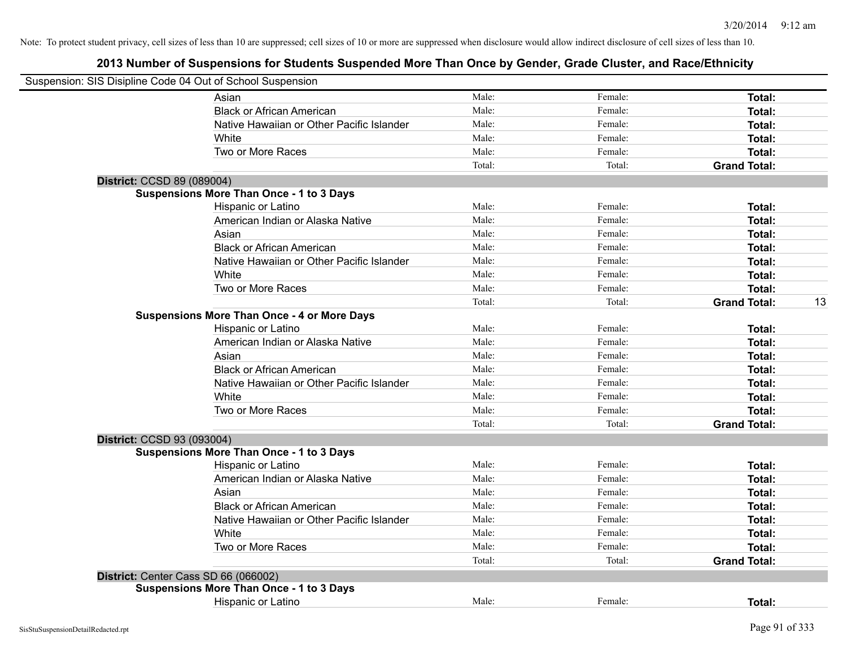|                            | Suspension: SIS Disipline Code 04 Out of School Suspension |        |         |                     |    |
|----------------------------|------------------------------------------------------------|--------|---------|---------------------|----|
|                            | Asian                                                      | Male:  | Female: | Total:              |    |
|                            | <b>Black or African American</b>                           | Male:  | Female: | Total:              |    |
|                            | Native Hawaiian or Other Pacific Islander                  | Male:  | Female: | Total:              |    |
|                            | White                                                      | Male:  | Female: | Total:              |    |
|                            | Two or More Races                                          | Male:  | Female: | Total:              |    |
|                            |                                                            | Total: | Total:  | <b>Grand Total:</b> |    |
| District: CCSD 89 (089004) |                                                            |        |         |                     |    |
|                            | <b>Suspensions More Than Once - 1 to 3 Days</b>            |        |         |                     |    |
|                            | Hispanic or Latino                                         | Male:  | Female: | Total:              |    |
|                            | American Indian or Alaska Native                           | Male:  | Female: | Total:              |    |
|                            | Asian                                                      | Male:  | Female: | Total:              |    |
|                            | <b>Black or African American</b>                           | Male:  | Female: | Total:              |    |
|                            | Native Hawaiian or Other Pacific Islander                  | Male:  | Female: | Total:              |    |
|                            | White                                                      | Male:  | Female: | Total:              |    |
|                            | Two or More Races                                          | Male:  | Female: | Total:              |    |
|                            |                                                            | Total: | Total:  | <b>Grand Total:</b> | 13 |
|                            | <b>Suspensions More Than Once - 4 or More Days</b>         |        |         |                     |    |
|                            | Hispanic or Latino                                         | Male:  | Female: | Total:              |    |
|                            | American Indian or Alaska Native                           | Male:  | Female: | Total:              |    |
|                            | Asian                                                      | Male:  | Female: | Total:              |    |
|                            | <b>Black or African American</b>                           | Male:  | Female: | Total:              |    |
|                            | Native Hawaiian or Other Pacific Islander                  | Male:  | Female: | Total:              |    |
|                            | White                                                      | Male:  | Female: | Total:              |    |
|                            | Two or More Races                                          | Male:  | Female: | Total:              |    |
|                            |                                                            | Total: | Total:  | <b>Grand Total:</b> |    |
| District: CCSD 93 (093004) |                                                            |        |         |                     |    |
|                            | <b>Suspensions More Than Once - 1 to 3 Days</b>            |        |         |                     |    |
|                            | <b>Hispanic or Latino</b>                                  | Male:  | Female: | Total:              |    |
|                            | American Indian or Alaska Native                           | Male:  | Female: | Total:              |    |
|                            | Asian                                                      | Male:  | Female: | Total:              |    |
|                            | <b>Black or African American</b>                           | Male:  | Female: | Total:              |    |
|                            | Native Hawaiian or Other Pacific Islander                  | Male:  | Female: | Total:              |    |
|                            | White                                                      | Male:  | Female: | Total:              |    |
|                            | Two or More Races                                          | Male:  | Female: | Total:              |    |
|                            |                                                            | Total: | Total:  | <b>Grand Total:</b> |    |
|                            | District: Center Cass SD 66 (066002)                       |        |         |                     |    |
|                            | <b>Suspensions More Than Once - 1 to 3 Days</b>            |        |         |                     |    |
|                            | Hispanic or Latino                                         | Male:  | Female: | Total:              |    |
|                            |                                                            |        |         |                     |    |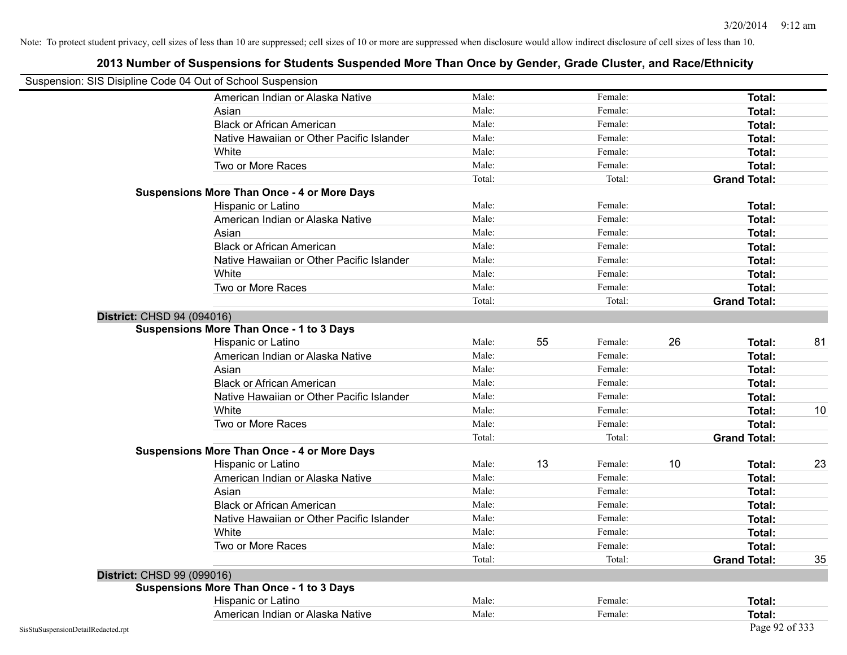| Suspension: SIS Disipline Code 04 Out of School Suspension |                                                    |        |    |         |    |                     |    |
|------------------------------------------------------------|----------------------------------------------------|--------|----|---------|----|---------------------|----|
|                                                            | American Indian or Alaska Native                   | Male:  |    | Female: |    | <b>Total:</b>       |    |
|                                                            | Asian                                              | Male:  |    | Female: |    | Total:              |    |
|                                                            | <b>Black or African American</b>                   | Male:  |    | Female: |    | Total:              |    |
|                                                            | Native Hawaiian or Other Pacific Islander          | Male:  |    | Female: |    | Total:              |    |
|                                                            | White                                              | Male:  |    | Female: |    | Total:              |    |
|                                                            | Two or More Races                                  | Male:  |    | Female: |    | Total:              |    |
|                                                            |                                                    | Total: |    | Total:  |    | <b>Grand Total:</b> |    |
|                                                            | <b>Suspensions More Than Once - 4 or More Days</b> |        |    |         |    |                     |    |
|                                                            | Hispanic or Latino                                 | Male:  |    | Female: |    | Total:              |    |
|                                                            | American Indian or Alaska Native                   | Male:  |    | Female: |    | Total:              |    |
|                                                            | Asian                                              | Male:  |    | Female: |    | Total:              |    |
|                                                            | <b>Black or African American</b>                   | Male:  |    | Female: |    | Total:              |    |
|                                                            | Native Hawaiian or Other Pacific Islander          | Male:  |    | Female: |    | Total:              |    |
|                                                            | White                                              | Male:  |    | Female: |    | Total:              |    |
|                                                            | Two or More Races                                  | Male:  |    | Female: |    | Total:              |    |
|                                                            |                                                    | Total: |    | Total:  |    | <b>Grand Total:</b> |    |
| District: CHSD 94 (094016)                                 |                                                    |        |    |         |    |                     |    |
|                                                            | <b>Suspensions More Than Once - 1 to 3 Days</b>    |        |    |         |    |                     |    |
|                                                            | Hispanic or Latino                                 | Male:  | 55 | Female: | 26 | Total:              | 81 |
|                                                            | American Indian or Alaska Native                   | Male:  |    | Female: |    | Total:              |    |
|                                                            | Asian                                              | Male:  |    | Female: |    | Total:              |    |
|                                                            | <b>Black or African American</b>                   | Male:  |    | Female: |    | Total:              |    |
|                                                            | Native Hawaiian or Other Pacific Islander          | Male:  |    | Female: |    | Total:              |    |
|                                                            | White                                              | Male:  |    | Female: |    | Total:              | 10 |
|                                                            | Two or More Races                                  | Male:  |    | Female: |    | Total:              |    |
|                                                            |                                                    | Total: |    | Total:  |    | <b>Grand Total:</b> |    |
|                                                            | <b>Suspensions More Than Once - 4 or More Days</b> |        |    |         |    |                     |    |
|                                                            | Hispanic or Latino                                 | Male:  | 13 | Female: | 10 | Total:              | 23 |
|                                                            | American Indian or Alaska Native                   | Male:  |    | Female: |    | Total:              |    |
|                                                            | Asian                                              | Male:  |    | Female: |    | Total:              |    |
|                                                            | <b>Black or African American</b>                   | Male:  |    | Female: |    | Total:              |    |
|                                                            | Native Hawaiian or Other Pacific Islander          | Male:  |    | Female: |    | Total:              |    |
|                                                            | White                                              | Male:  |    | Female: |    | Total:              |    |
|                                                            | Two or More Races                                  | Male:  |    | Female: |    | Total:              |    |
|                                                            |                                                    | Total: |    | Total:  |    | <b>Grand Total:</b> | 35 |
| District: CHSD 99 (099016)                                 |                                                    |        |    |         |    |                     |    |
|                                                            | <b>Suspensions More Than Once - 1 to 3 Days</b>    |        |    |         |    |                     |    |
|                                                            | Hispanic or Latino                                 | Male:  |    | Female: |    | Total:              |    |
|                                                            | American Indian or Alaska Native                   | Male:  |    | Female: |    | Total:              |    |
| SisStuSuspensionDetailRedacted.rpt                         |                                                    |        |    |         |    | Page 92 of 333      |    |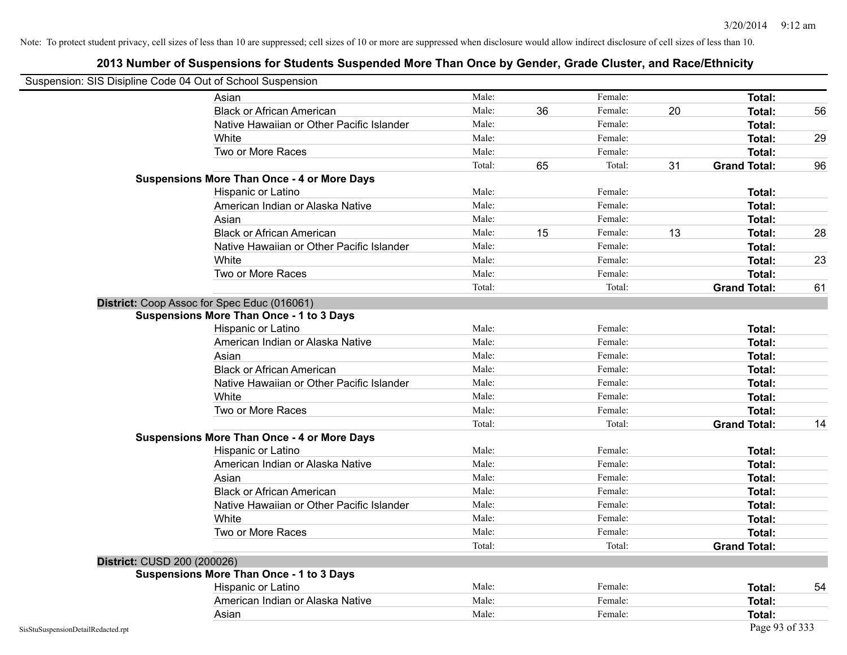| Suspension: SIS Disipline Code 04 Out of School Suspension |                                                    |        |    |         |    |                     |    |
|------------------------------------------------------------|----------------------------------------------------|--------|----|---------|----|---------------------|----|
|                                                            | Asian                                              | Male:  |    | Female: |    | <b>Total:</b>       |    |
|                                                            | <b>Black or African American</b>                   | Male:  | 36 | Female: | 20 | Total:              | 56 |
|                                                            | Native Hawaiian or Other Pacific Islander          | Male:  |    | Female: |    | Total:              |    |
|                                                            | White                                              | Male:  |    | Female: |    | Total:              | 29 |
|                                                            | Two or More Races                                  | Male:  |    | Female: |    | <b>Total:</b>       |    |
|                                                            |                                                    | Total: | 65 | Total:  | 31 | <b>Grand Total:</b> | 96 |
|                                                            | <b>Suspensions More Than Once - 4 or More Days</b> |        |    |         |    |                     |    |
|                                                            | Hispanic or Latino                                 | Male:  |    | Female: |    | Total:              |    |
|                                                            | American Indian or Alaska Native                   | Male:  |    | Female: |    | <b>Total:</b>       |    |
|                                                            | Asian                                              | Male:  |    | Female: |    | Total:              |    |
|                                                            | <b>Black or African American</b>                   | Male:  | 15 | Female: | 13 | Total:              | 28 |
|                                                            | Native Hawaiian or Other Pacific Islander          | Male:  |    | Female: |    | Total:              |    |
|                                                            | White                                              | Male:  |    | Female: |    | Total:              | 23 |
|                                                            | Two or More Races                                  | Male:  |    | Female: |    | <b>Total:</b>       |    |
|                                                            |                                                    | Total: |    | Total:  |    | <b>Grand Total:</b> | 61 |
|                                                            | District: Coop Assoc for Spec Educ (016061)        |        |    |         |    |                     |    |
|                                                            | <b>Suspensions More Than Once - 1 to 3 Days</b>    |        |    |         |    |                     |    |
|                                                            | Hispanic or Latino                                 | Male:  |    | Female: |    | <b>Total:</b>       |    |
|                                                            | American Indian or Alaska Native                   | Male:  |    | Female: |    | Total:              |    |
|                                                            | Asian                                              | Male:  |    | Female: |    | Total:              |    |
|                                                            | <b>Black or African American</b>                   | Male:  |    | Female: |    | Total:              |    |
|                                                            | Native Hawaiian or Other Pacific Islander          | Male:  |    | Female: |    | Total:              |    |
|                                                            | White                                              | Male:  |    | Female: |    | Total:              |    |
|                                                            | Two or More Races                                  | Male:  |    | Female: |    | <b>Total:</b>       |    |
|                                                            |                                                    | Total: |    | Total:  |    | <b>Grand Total:</b> | 14 |
|                                                            | <b>Suspensions More Than Once - 4 or More Days</b> |        |    |         |    |                     |    |
|                                                            | Hispanic or Latino                                 | Male:  |    | Female: |    | Total:              |    |
|                                                            | American Indian or Alaska Native                   | Male:  |    | Female: |    | Total:              |    |
|                                                            | Asian                                              | Male:  |    | Female: |    | Total:              |    |
|                                                            | <b>Black or African American</b>                   | Male:  |    | Female: |    | Total:              |    |
|                                                            | Native Hawaiian or Other Pacific Islander          | Male:  |    | Female: |    | Total:              |    |
|                                                            | White                                              | Male:  |    | Female: |    | Total:              |    |
|                                                            | Two or More Races                                  | Male:  |    | Female: |    | <b>Total:</b>       |    |
|                                                            |                                                    | Total: |    | Total:  |    | <b>Grand Total:</b> |    |
| District: CUSD 200 (200026)                                |                                                    |        |    |         |    |                     |    |
|                                                            | <b>Suspensions More Than Once - 1 to 3 Days</b>    |        |    |         |    |                     |    |
|                                                            | Hispanic or Latino                                 | Male:  |    | Female: |    | Total:              | 54 |
|                                                            | American Indian or Alaska Native                   | Male:  |    | Female: |    | Total:              |    |
|                                                            | Asian                                              | Male:  |    | Female: |    | Total:              |    |
| SisStuSuspensionDetailRedacted.rpt                         |                                                    |        |    |         |    | Page 93 of 333      |    |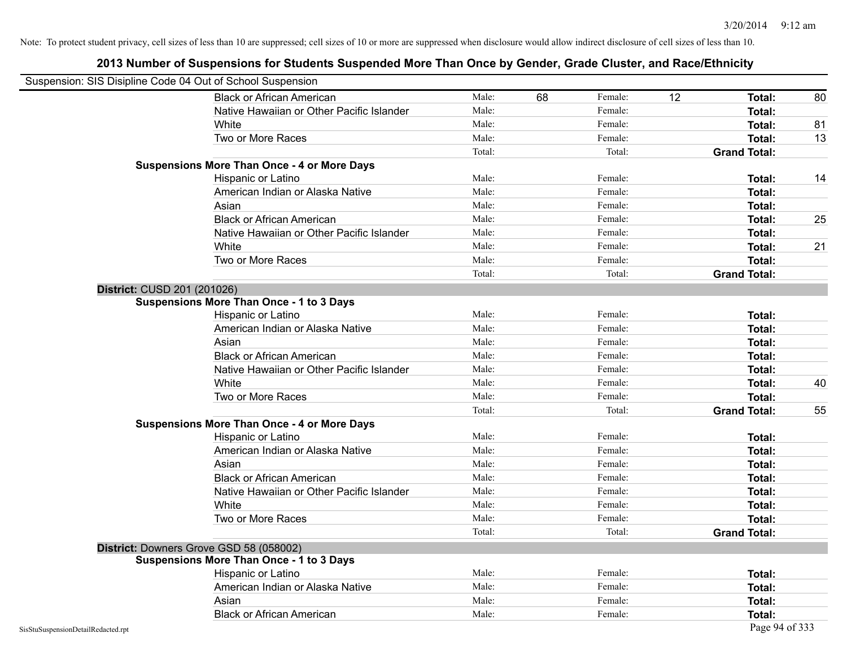|                                    | Suspension: SIS Disipline Code 04 Out of School Suspension |        |    |         |    |                     |    |
|------------------------------------|------------------------------------------------------------|--------|----|---------|----|---------------------|----|
|                                    | <b>Black or African American</b>                           | Male:  | 68 | Female: | 12 | Total:              | 80 |
|                                    | Native Hawaiian or Other Pacific Islander                  | Male:  |    | Female: |    | Total:              |    |
|                                    | White                                                      | Male:  |    | Female: |    | Total:              | 81 |
|                                    | Two or More Races                                          | Male:  |    | Female: |    | Total:              | 13 |
|                                    |                                                            | Total: |    | Total:  |    | <b>Grand Total:</b> |    |
|                                    | <b>Suspensions More Than Once - 4 or More Days</b>         |        |    |         |    |                     |    |
|                                    | Hispanic or Latino                                         | Male:  |    | Female: |    | Total:              | 14 |
|                                    | American Indian or Alaska Native                           | Male:  |    | Female: |    | <b>Total:</b>       |    |
|                                    | Asian                                                      | Male:  |    | Female: |    | Total:              |    |
|                                    | <b>Black or African American</b>                           | Male:  |    | Female: |    | Total:              | 25 |
|                                    | Native Hawaiian or Other Pacific Islander                  | Male:  |    | Female: |    | Total:              |    |
|                                    | White                                                      | Male:  |    | Female: |    | Total:              | 21 |
|                                    | Two or More Races                                          | Male:  |    | Female: |    | Total:              |    |
|                                    |                                                            | Total: |    | Total:  |    | <b>Grand Total:</b> |    |
| District: CUSD 201 (201026)        |                                                            |        |    |         |    |                     |    |
|                                    | <b>Suspensions More Than Once - 1 to 3 Days</b>            |        |    |         |    |                     |    |
|                                    | Hispanic or Latino                                         | Male:  |    | Female: |    | Total:              |    |
|                                    | American Indian or Alaska Native                           | Male:  |    | Female: |    | Total:              |    |
|                                    | Asian                                                      | Male:  |    | Female: |    | Total:              |    |
|                                    | <b>Black or African American</b>                           | Male:  |    | Female: |    | Total:              |    |
|                                    | Native Hawaiian or Other Pacific Islander                  | Male:  |    | Female: |    | Total:              |    |
|                                    | White                                                      | Male:  |    | Female: |    | Total:              | 40 |
|                                    | Two or More Races                                          | Male:  |    | Female: |    | <b>Total:</b>       |    |
|                                    |                                                            | Total: |    | Total:  |    | <b>Grand Total:</b> | 55 |
|                                    | <b>Suspensions More Than Once - 4 or More Days</b>         |        |    |         |    |                     |    |
|                                    | Hispanic or Latino                                         | Male:  |    | Female: |    | Total:              |    |
|                                    | American Indian or Alaska Native                           | Male:  |    | Female: |    | Total:              |    |
|                                    | Asian                                                      | Male:  |    | Female: |    | Total:              |    |
|                                    | <b>Black or African American</b>                           | Male:  |    | Female: |    | Total:              |    |
|                                    | Native Hawaiian or Other Pacific Islander                  | Male:  |    | Female: |    | Total:              |    |
|                                    | White                                                      | Male:  |    | Female: |    | Total:              |    |
|                                    | Two or More Races                                          | Male:  |    | Female: |    | Total:              |    |
|                                    |                                                            | Total: |    | Total:  |    | <b>Grand Total:</b> |    |
|                                    | District: Downers Grove GSD 58 (058002)                    |        |    |         |    |                     |    |
|                                    | <b>Suspensions More Than Once - 1 to 3 Days</b>            |        |    |         |    |                     |    |
|                                    | Hispanic or Latino                                         | Male:  |    | Female: |    | Total:              |    |
|                                    | American Indian or Alaska Native                           | Male:  |    | Female: |    | Total:              |    |
|                                    | Asian                                                      | Male:  |    | Female: |    | Total:              |    |
|                                    | <b>Black or African American</b>                           | Male:  |    | Female: |    | Total:              |    |
| SisStuSuspensionDetailRedacted.rpt |                                                            |        |    |         |    | Page 94 of 333      |    |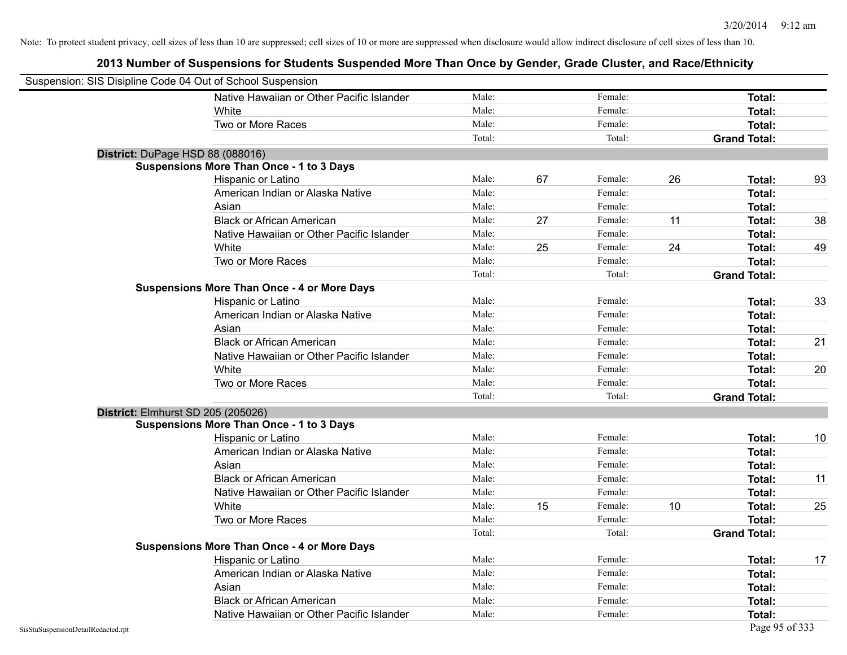| Suspension: SIS Disipline Code 04 Out of School Suspension |                                                    |        |    |         |    |                     |    |
|------------------------------------------------------------|----------------------------------------------------|--------|----|---------|----|---------------------|----|
|                                                            | Native Hawaiian or Other Pacific Islander          | Male:  |    | Female: |    | Total:              |    |
|                                                            | White                                              | Male:  |    | Female: |    | <b>Total:</b>       |    |
|                                                            | Two or More Races                                  | Male:  |    | Female: |    | Total:              |    |
|                                                            |                                                    | Total: |    | Total:  |    | <b>Grand Total:</b> |    |
| District: DuPage HSD 88 (088016)                           |                                                    |        |    |         |    |                     |    |
|                                                            | <b>Suspensions More Than Once - 1 to 3 Days</b>    |        |    |         |    |                     |    |
|                                                            | Hispanic or Latino                                 | Male:  | 67 | Female: | 26 | Total:              | 93 |
|                                                            | American Indian or Alaska Native                   | Male:  |    | Female: |    | <b>Total:</b>       |    |
|                                                            | Asian                                              | Male:  |    | Female: |    | Total:              |    |
|                                                            | <b>Black or African American</b>                   | Male:  | 27 | Female: | 11 | Total:              | 38 |
|                                                            | Native Hawaiian or Other Pacific Islander          | Male:  |    | Female: |    | Total:              |    |
|                                                            | White                                              | Male:  | 25 | Female: | 24 | <b>Total:</b>       | 49 |
|                                                            | Two or More Races                                  | Male:  |    | Female: |    | <b>Total:</b>       |    |
|                                                            |                                                    | Total: |    | Total:  |    | <b>Grand Total:</b> |    |
|                                                            | <b>Suspensions More Than Once - 4 or More Days</b> |        |    |         |    |                     |    |
|                                                            | Hispanic or Latino                                 | Male:  |    | Female: |    | Total:              | 33 |
|                                                            | American Indian or Alaska Native                   | Male:  |    | Female: |    | <b>Total:</b>       |    |
|                                                            | Asian                                              | Male:  |    | Female: |    | Total:              |    |
|                                                            | <b>Black or African American</b>                   | Male:  |    | Female: |    | <b>Total:</b>       | 21 |
|                                                            | Native Hawaiian or Other Pacific Islander          | Male:  |    | Female: |    | <b>Total:</b>       |    |
|                                                            | White                                              | Male:  |    | Female: |    | Total:              | 20 |
|                                                            | Two or More Races                                  | Male:  |    | Female: |    | <b>Total:</b>       |    |
|                                                            |                                                    | Total: |    | Total:  |    | <b>Grand Total:</b> |    |
| District: Elmhurst SD 205 (205026)                         |                                                    |        |    |         |    |                     |    |
|                                                            | <b>Suspensions More Than Once - 1 to 3 Days</b>    |        |    |         |    |                     |    |
|                                                            | Hispanic or Latino                                 | Male:  |    | Female: |    | Total:              | 10 |
|                                                            | American Indian or Alaska Native                   | Male:  |    | Female: |    | <b>Total:</b>       |    |
|                                                            | Asian                                              | Male:  |    | Female: |    | <b>Total:</b>       |    |
|                                                            | <b>Black or African American</b>                   | Male:  |    | Female: |    | <b>Total:</b>       | 11 |
|                                                            | Native Hawaiian or Other Pacific Islander          | Male:  |    | Female: |    | Total:              |    |
|                                                            | White                                              | Male:  | 15 | Female: | 10 | Total:              | 25 |
|                                                            | Two or More Races                                  | Male:  |    | Female: |    | <b>Total:</b>       |    |
|                                                            |                                                    | Total: |    | Total:  |    | <b>Grand Total:</b> |    |
|                                                            | <b>Suspensions More Than Once - 4 or More Days</b> |        |    |         |    |                     |    |
|                                                            | <b>Hispanic or Latino</b>                          | Male:  |    | Female: |    | Total:              | 17 |
|                                                            | American Indian or Alaska Native                   | Male:  |    | Female: |    | <b>Total:</b>       |    |
|                                                            | Asian                                              | Male:  |    | Female: |    | <b>Total:</b>       |    |
|                                                            | <b>Black or African American</b>                   | Male:  |    | Female: |    | <b>Total:</b>       |    |
|                                                            | Native Hawaiian or Other Pacific Islander          | Male:  |    | Female: |    | Total:              |    |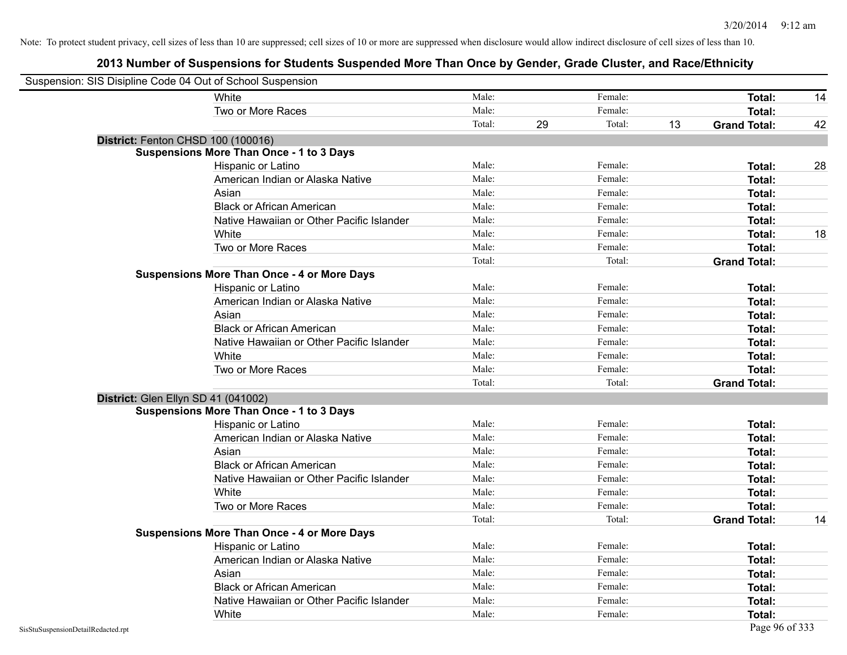| Suspension: SIS Disipline Code 04 Out of School Suspension |                                                    |        |    |         |    |                     |    |
|------------------------------------------------------------|----------------------------------------------------|--------|----|---------|----|---------------------|----|
|                                                            | White                                              | Male:  |    | Female: |    | Total:              | 14 |
|                                                            | Two or More Races                                  | Male:  |    | Female: |    | Total:              |    |
|                                                            |                                                    | Total: | 29 | Total:  | 13 | <b>Grand Total:</b> | 42 |
| District: Fenton CHSD 100 (100016)                         |                                                    |        |    |         |    |                     |    |
|                                                            | <b>Suspensions More Than Once - 1 to 3 Days</b>    |        |    |         |    |                     |    |
|                                                            | Hispanic or Latino                                 | Male:  |    | Female: |    | Total:              | 28 |
|                                                            | American Indian or Alaska Native                   | Male:  |    | Female: |    | <b>Total:</b>       |    |
|                                                            | Asian                                              | Male:  |    | Female: |    | Total:              |    |
|                                                            | <b>Black or African American</b>                   | Male:  |    | Female: |    | Total:              |    |
|                                                            | Native Hawaiian or Other Pacific Islander          | Male:  |    | Female: |    | Total:              |    |
|                                                            | White                                              | Male:  |    | Female: |    | Total:              | 18 |
|                                                            | Two or More Races                                  | Male:  |    | Female: |    | Total:              |    |
|                                                            |                                                    | Total: |    | Total:  |    | <b>Grand Total:</b> |    |
|                                                            | <b>Suspensions More Than Once - 4 or More Days</b> |        |    |         |    |                     |    |
|                                                            | Hispanic or Latino                                 | Male:  |    | Female: |    | Total:              |    |
|                                                            | American Indian or Alaska Native                   | Male:  |    | Female: |    | Total:              |    |
|                                                            | Asian                                              | Male:  |    | Female: |    | <b>Total:</b>       |    |
|                                                            | <b>Black or African American</b>                   | Male:  |    | Female: |    | <b>Total:</b>       |    |
|                                                            | Native Hawaiian or Other Pacific Islander          | Male:  |    | Female: |    | Total:              |    |
|                                                            | White                                              | Male:  |    | Female: |    | Total:              |    |
|                                                            | Two or More Races                                  | Male:  |    | Female: |    | Total:              |    |
|                                                            |                                                    | Total: |    | Total:  |    | <b>Grand Total:</b> |    |
| District: Glen Ellyn SD 41 (041002)                        |                                                    |        |    |         |    |                     |    |
|                                                            | <b>Suspensions More Than Once - 1 to 3 Days</b>    |        |    |         |    |                     |    |
|                                                            | Hispanic or Latino                                 | Male:  |    | Female: |    | Total:              |    |
|                                                            | American Indian or Alaska Native                   | Male:  |    | Female: |    | Total:              |    |
|                                                            | Asian                                              | Male:  |    | Female: |    | Total:              |    |
|                                                            | <b>Black or African American</b>                   | Male:  |    | Female: |    | Total:              |    |
|                                                            | Native Hawaiian or Other Pacific Islander          | Male:  |    | Female: |    | Total:              |    |
|                                                            | White                                              | Male:  |    | Female: |    | Total:              |    |
|                                                            | Two or More Races                                  | Male:  |    | Female: |    | Total:              |    |
|                                                            |                                                    | Total: |    | Total:  |    | <b>Grand Total:</b> | 14 |
|                                                            | <b>Suspensions More Than Once - 4 or More Days</b> |        |    |         |    |                     |    |
|                                                            | Hispanic or Latino                                 | Male:  |    | Female: |    | Total:              |    |
|                                                            | American Indian or Alaska Native                   | Male:  |    | Female: |    | Total:              |    |
|                                                            | Asian                                              | Male:  |    | Female: |    | Total:              |    |
|                                                            | <b>Black or African American</b>                   | Male:  |    | Female: |    | Total:              |    |
|                                                            | Native Hawaiian or Other Pacific Islander          | Male:  |    | Female: |    | Total:              |    |
|                                                            | White                                              | Male:  |    | Female: |    | <b>Total:</b>       |    |
| SisStuSuspensionDetailRedacted.rpt                         |                                                    |        |    |         |    | Page 96 of 333      |    |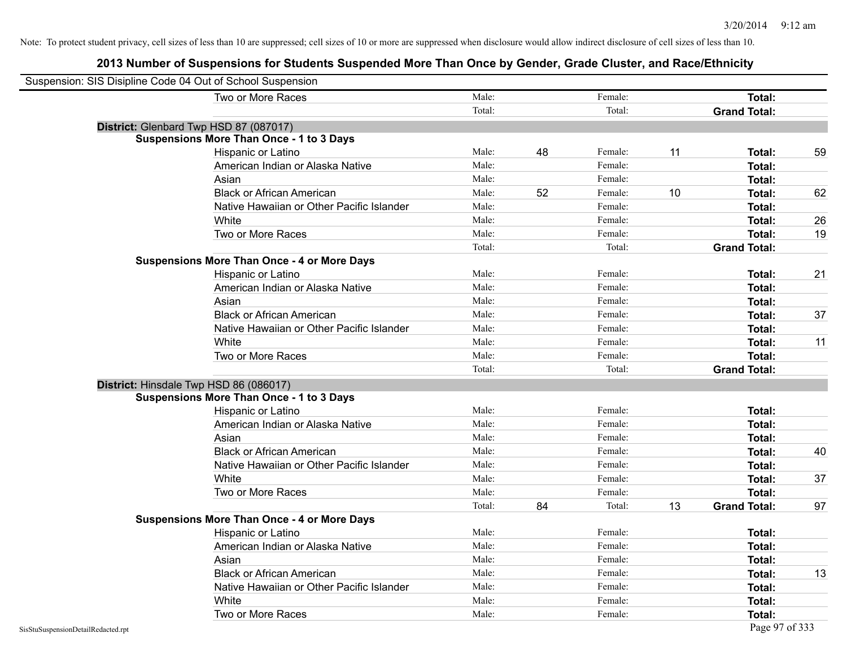| Suspension: SIS Disipline Code 04 Out of School Suspension |                                                    |        |    |         |    |                     |    |
|------------------------------------------------------------|----------------------------------------------------|--------|----|---------|----|---------------------|----|
|                                                            | Two or More Races                                  | Male:  |    | Female: |    | Total:              |    |
|                                                            |                                                    | Total: |    | Total:  |    | <b>Grand Total:</b> |    |
|                                                            | District: Glenbard Twp HSD 87 (087017)             |        |    |         |    |                     |    |
|                                                            | <b>Suspensions More Than Once - 1 to 3 Days</b>    |        |    |         |    |                     |    |
|                                                            | Hispanic or Latino                                 | Male:  | 48 | Female: | 11 | Total:              | 59 |
|                                                            | American Indian or Alaska Native                   | Male:  |    | Female: |    | <b>Total:</b>       |    |
|                                                            | Asian                                              | Male:  |    | Female: |    | Total:              |    |
|                                                            | <b>Black or African American</b>                   | Male:  | 52 | Female: | 10 | <b>Total:</b>       | 62 |
|                                                            | Native Hawaiian or Other Pacific Islander          | Male:  |    | Female: |    | Total:              |    |
|                                                            | White                                              | Male:  |    | Female: |    | <b>Total:</b>       | 26 |
|                                                            | Two or More Races                                  | Male:  |    | Female: |    | <b>Total:</b>       | 19 |
|                                                            |                                                    | Total: |    | Total:  |    | <b>Grand Total:</b> |    |
|                                                            | <b>Suspensions More Than Once - 4 or More Days</b> |        |    |         |    |                     |    |
|                                                            | Hispanic or Latino                                 | Male:  |    | Female: |    | Total:              | 21 |
|                                                            | American Indian or Alaska Native                   | Male:  |    | Female: |    | <b>Total:</b>       |    |
|                                                            | Asian                                              | Male:  |    | Female: |    | Total:              |    |
|                                                            | <b>Black or African American</b>                   | Male:  |    | Female: |    | <b>Total:</b>       | 37 |
|                                                            | Native Hawaiian or Other Pacific Islander          | Male:  |    | Female: |    | <b>Total:</b>       |    |
|                                                            | White                                              | Male:  |    | Female: |    | Total:              | 11 |
|                                                            | Two or More Races                                  | Male:  |    | Female: |    | <b>Total:</b>       |    |
|                                                            |                                                    | Total: |    | Total:  |    | <b>Grand Total:</b> |    |
| District: Hinsdale Twp HSD 86 (086017)                     |                                                    |        |    |         |    |                     |    |
|                                                            | <b>Suspensions More Than Once - 1 to 3 Days</b>    |        |    |         |    |                     |    |
|                                                            | Hispanic or Latino                                 | Male:  |    | Female: |    | Total:              |    |
|                                                            | American Indian or Alaska Native                   | Male:  |    | Female: |    | Total:              |    |
|                                                            | Asian                                              | Male:  |    | Female: |    | Total:              |    |
|                                                            | <b>Black or African American</b>                   | Male:  |    | Female: |    | Total:              | 40 |
|                                                            | Native Hawaiian or Other Pacific Islander          | Male:  |    | Female: |    | <b>Total:</b>       |    |
|                                                            | White                                              | Male:  |    | Female: |    | <b>Total:</b>       | 37 |
|                                                            | Two or More Races                                  | Male:  |    | Female: |    | Total:              |    |
|                                                            |                                                    | Total: | 84 | Total:  | 13 | <b>Grand Total:</b> | 97 |
|                                                            | <b>Suspensions More Than Once - 4 or More Days</b> |        |    |         |    |                     |    |
|                                                            | Hispanic or Latino                                 | Male:  |    | Female: |    | Total:              |    |
|                                                            | American Indian or Alaska Native                   | Male:  |    | Female: |    | <b>Total:</b>       |    |
|                                                            | Asian                                              | Male:  |    | Female: |    | <b>Total:</b>       |    |
|                                                            | <b>Black or African American</b>                   | Male:  |    | Female: |    | <b>Total:</b>       | 13 |
|                                                            | Native Hawaiian or Other Pacific Islander          | Male:  |    | Female: |    | <b>Total:</b>       |    |
|                                                            | White                                              | Male:  |    | Female: |    | <b>Total:</b>       |    |
|                                                            | Two or More Races                                  | Male:  |    | Female: |    | Total:              |    |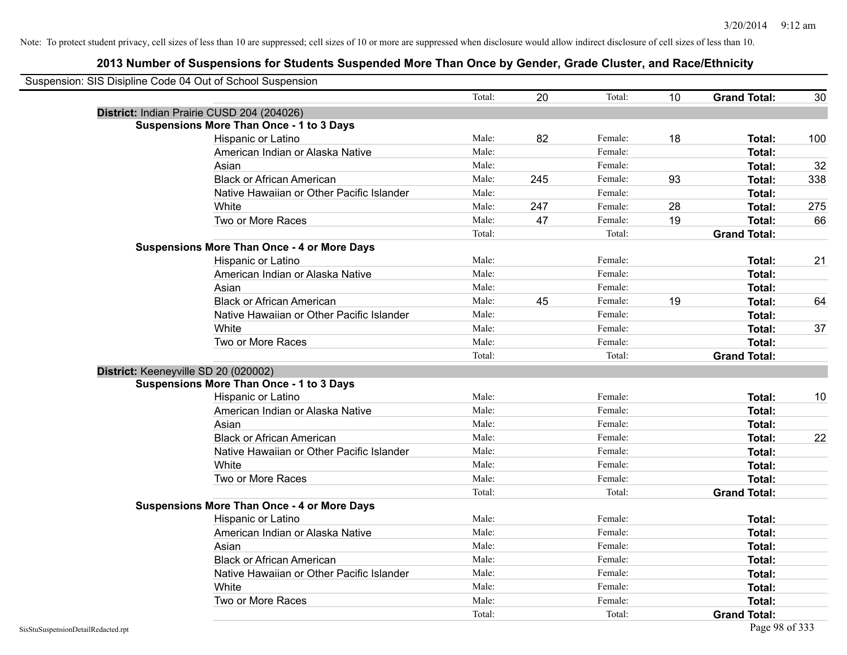|                                    | Suspension: SIS Disipline Code 04 Out of School Suspension |        |     |         |    |                     |     |
|------------------------------------|------------------------------------------------------------|--------|-----|---------|----|---------------------|-----|
|                                    |                                                            | Total: | 20  | Total:  | 10 | <b>Grand Total:</b> | 30  |
|                                    | District: Indian Prairie CUSD 204 (204026)                 |        |     |         |    |                     |     |
|                                    | <b>Suspensions More Than Once - 1 to 3 Days</b>            |        |     |         |    |                     |     |
|                                    | Hispanic or Latino                                         | Male:  | 82  | Female: | 18 | Total:              | 100 |
|                                    | American Indian or Alaska Native                           | Male:  |     | Female: |    | Total:              |     |
|                                    | Asian                                                      | Male:  |     | Female: |    | Total:              | 32  |
|                                    | <b>Black or African American</b>                           | Male:  | 245 | Female: | 93 | <b>Total:</b>       | 338 |
|                                    | Native Hawaiian or Other Pacific Islander                  | Male:  |     | Female: |    | <b>Total:</b>       |     |
|                                    | White                                                      | Male:  | 247 | Female: | 28 | Total:              | 275 |
|                                    | Two or More Races                                          | Male:  | 47  | Female: | 19 | Total:              | 66  |
|                                    |                                                            | Total: |     | Total:  |    | <b>Grand Total:</b> |     |
|                                    | <b>Suspensions More Than Once - 4 or More Days</b>         |        |     |         |    |                     |     |
|                                    | Hispanic or Latino                                         | Male:  |     | Female: |    | Total:              | 21  |
|                                    | American Indian or Alaska Native                           | Male:  |     | Female: |    | Total:              |     |
|                                    | Asian                                                      | Male:  |     | Female: |    | Total:              |     |
|                                    | <b>Black or African American</b>                           | Male:  | 45  | Female: | 19 | Total:              | 64  |
|                                    | Native Hawaiian or Other Pacific Islander                  | Male:  |     | Female: |    | <b>Total:</b>       |     |
|                                    | White                                                      | Male:  |     | Female: |    | <b>Total:</b>       | 37  |
|                                    | Two or More Races                                          | Male:  |     | Female: |    | Total:              |     |
|                                    |                                                            | Total: |     | Total:  |    | <b>Grand Total:</b> |     |
|                                    | District: Keeneyville SD 20 (020002)                       |        |     |         |    |                     |     |
|                                    | <b>Suspensions More Than Once - 1 to 3 Days</b>            |        |     |         |    |                     |     |
|                                    | Hispanic or Latino                                         | Male:  |     | Female: |    | Total:              | 10  |
|                                    | American Indian or Alaska Native                           | Male:  |     | Female: |    | <b>Total:</b>       |     |
|                                    | Asian                                                      | Male:  |     | Female: |    | Total:              |     |
|                                    | <b>Black or African American</b>                           | Male:  |     | Female: |    | Total:              | 22  |
|                                    | Native Hawaiian or Other Pacific Islander                  | Male:  |     | Female: |    | Total:              |     |
|                                    | White                                                      | Male:  |     | Female: |    | Total:              |     |
|                                    | Two or More Races                                          | Male:  |     | Female: |    | Total:              |     |
|                                    |                                                            | Total: |     | Total:  |    | <b>Grand Total:</b> |     |
|                                    | <b>Suspensions More Than Once - 4 or More Days</b>         |        |     |         |    |                     |     |
|                                    | Hispanic or Latino                                         | Male:  |     | Female: |    | Total:              |     |
|                                    | American Indian or Alaska Native                           | Male:  |     | Female: |    | Total:              |     |
|                                    | Asian                                                      | Male:  |     | Female: |    | <b>Total:</b>       |     |
|                                    | <b>Black or African American</b>                           | Male:  |     | Female: |    | <b>Total:</b>       |     |
|                                    | Native Hawaiian or Other Pacific Islander                  | Male:  |     | Female: |    | Total:              |     |
|                                    | White                                                      | Male:  |     | Female: |    | Total:              |     |
|                                    | Two or More Races                                          | Male:  |     | Female: |    | Total:              |     |
|                                    |                                                            | Total: |     | Total:  |    | <b>Grand Total:</b> |     |
| SisStuSuspensionDetailRedacted.rpt |                                                            |        |     |         |    | Page 98 of 333      |     |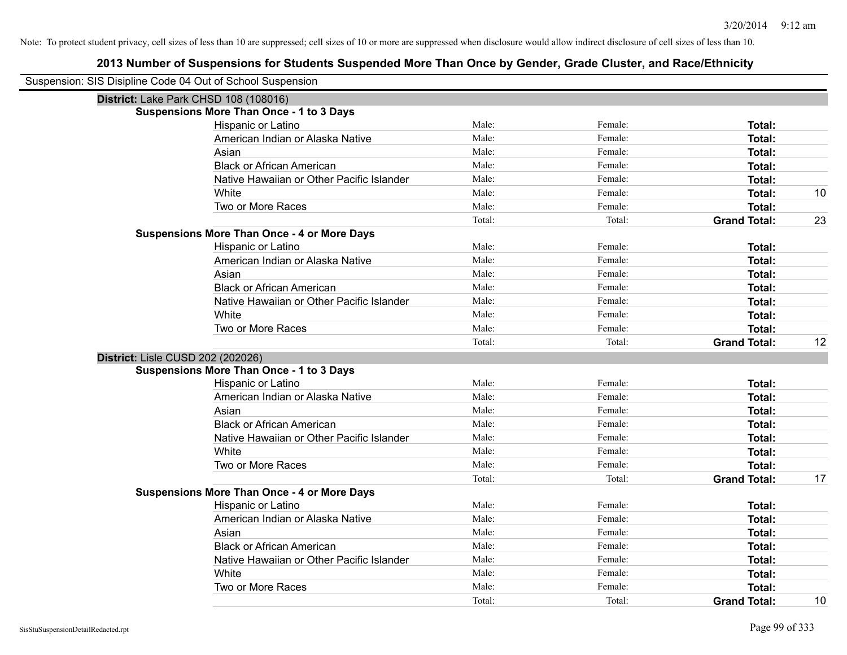| Suspension: SIS Disipline Code 04 Out of School Suspension |                                                    |        |         |                     |    |
|------------------------------------------------------------|----------------------------------------------------|--------|---------|---------------------|----|
|                                                            | District: Lake Park CHSD 108 (108016)              |        |         |                     |    |
|                                                            | <b>Suspensions More Than Once - 1 to 3 Days</b>    |        |         |                     |    |
|                                                            | Hispanic or Latino                                 | Male:  | Female: | Total:              |    |
|                                                            | American Indian or Alaska Native                   | Male:  | Female: | <b>Total:</b>       |    |
|                                                            | Asian                                              | Male:  | Female: | <b>Total:</b>       |    |
|                                                            | <b>Black or African American</b>                   | Male:  | Female: | <b>Total:</b>       |    |
|                                                            | Native Hawaiian or Other Pacific Islander          | Male:  | Female: | <b>Total:</b>       |    |
|                                                            | White                                              | Male:  | Female: | <b>Total:</b>       | 10 |
|                                                            | Two or More Races                                  | Male:  | Female: | <b>Total:</b>       |    |
|                                                            |                                                    | Total: | Total:  | <b>Grand Total:</b> | 23 |
|                                                            | <b>Suspensions More Than Once - 4 or More Days</b> |        |         |                     |    |
|                                                            | Hispanic or Latino                                 | Male:  | Female: | <b>Total:</b>       |    |
|                                                            | American Indian or Alaska Native                   | Male:  | Female: | <b>Total:</b>       |    |
|                                                            | Asian                                              | Male:  | Female: | <b>Total:</b>       |    |
|                                                            | <b>Black or African American</b>                   | Male:  | Female: | <b>Total:</b>       |    |
|                                                            | Native Hawaiian or Other Pacific Islander          | Male:  | Female: | <b>Total:</b>       |    |
|                                                            | White                                              | Male:  | Female: | <b>Total:</b>       |    |
|                                                            | Two or More Races                                  | Male:  | Female: | <b>Total:</b>       |    |
|                                                            |                                                    | Total: | Total:  | <b>Grand Total:</b> | 12 |
| District: Lisle CUSD 202 (202026)                          |                                                    |        |         |                     |    |
|                                                            | <b>Suspensions More Than Once - 1 to 3 Days</b>    |        |         |                     |    |
|                                                            | Hispanic or Latino                                 | Male:  | Female: | Total:              |    |
|                                                            | American Indian or Alaska Native                   | Male:  | Female: | <b>Total:</b>       |    |
|                                                            | Asian                                              | Male:  | Female: | <b>Total:</b>       |    |
|                                                            | <b>Black or African American</b>                   | Male:  | Female: | <b>Total:</b>       |    |
|                                                            | Native Hawaiian or Other Pacific Islander          | Male:  | Female: | <b>Total:</b>       |    |
|                                                            | White                                              | Male:  | Female: | <b>Total:</b>       |    |
|                                                            | Two or More Races                                  | Male:  | Female: | <b>Total:</b>       |    |
|                                                            |                                                    | Total: | Total:  | <b>Grand Total:</b> | 17 |
|                                                            | <b>Suspensions More Than Once - 4 or More Days</b> |        |         |                     |    |
|                                                            | Hispanic or Latino                                 | Male:  | Female: | <b>Total:</b>       |    |
|                                                            | American Indian or Alaska Native                   | Male:  | Female: | Total:              |    |
|                                                            | Asian                                              | Male:  | Female: | <b>Total:</b>       |    |
|                                                            | <b>Black or African American</b>                   | Male:  | Female: | <b>Total:</b>       |    |
|                                                            | Native Hawaiian or Other Pacific Islander          | Male:  | Female: | <b>Total:</b>       |    |
|                                                            | White                                              | Male:  | Female: | <b>Total:</b>       |    |
|                                                            | Two or More Races                                  | Male:  | Female: | <b>Total:</b>       |    |
|                                                            |                                                    | Total: | Total:  | <b>Grand Total:</b> | 10 |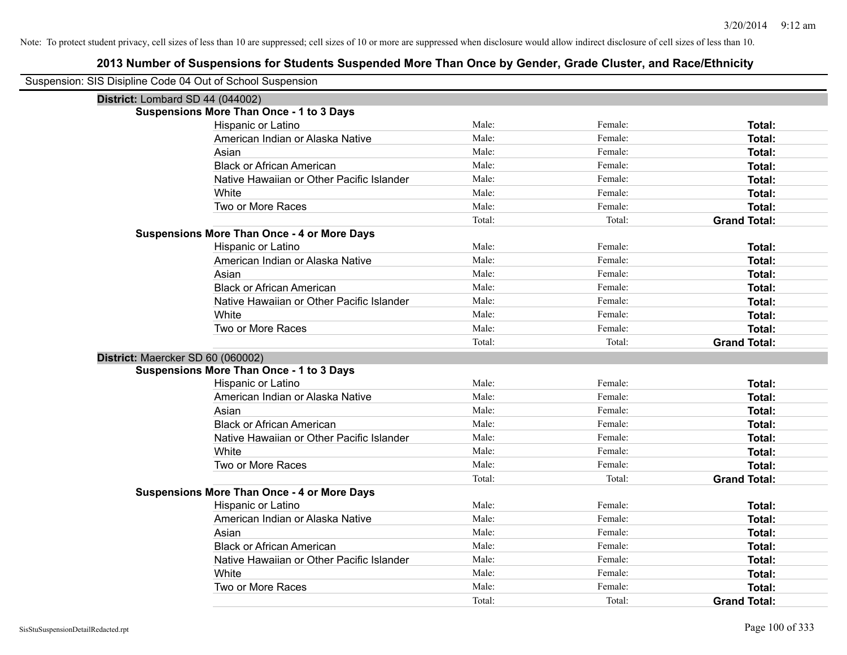| Suspension: SIS Disipline Code 04 Out of School Suspension |                                                    |        |         |                     |
|------------------------------------------------------------|----------------------------------------------------|--------|---------|---------------------|
| District: Lombard SD 44 (044002)                           |                                                    |        |         |                     |
|                                                            | <b>Suspensions More Than Once - 1 to 3 Days</b>    |        |         |                     |
|                                                            | Hispanic or Latino                                 | Male:  | Female: | Total:              |
|                                                            | American Indian or Alaska Native                   | Male:  | Female: | Total:              |
|                                                            | Asian                                              | Male:  | Female: | Total:              |
|                                                            | <b>Black or African American</b>                   | Male:  | Female: | <b>Total:</b>       |
|                                                            | Native Hawaiian or Other Pacific Islander          | Male:  | Female: | Total:              |
|                                                            | White                                              | Male:  | Female: | Total:              |
|                                                            | Two or More Races                                  | Male:  | Female: | Total:              |
|                                                            |                                                    | Total: | Total:  | <b>Grand Total:</b> |
|                                                            | <b>Suspensions More Than Once - 4 or More Days</b> |        |         |                     |
|                                                            | Hispanic or Latino                                 | Male:  | Female: | Total:              |
|                                                            | American Indian or Alaska Native                   | Male:  | Female: | Total:              |
|                                                            | Asian                                              | Male:  | Female: | Total:              |
|                                                            | <b>Black or African American</b>                   | Male:  | Female: | <b>Total:</b>       |
|                                                            | Native Hawaiian or Other Pacific Islander          | Male:  | Female: | Total:              |
|                                                            | White                                              | Male:  | Female: | Total:              |
|                                                            | Two or More Races                                  | Male:  | Female: | Total:              |
|                                                            |                                                    | Total: | Total:  | <b>Grand Total:</b> |
| District: Maercker SD 60 (060002)                          |                                                    |        |         |                     |
|                                                            | <b>Suspensions More Than Once - 1 to 3 Days</b>    |        |         |                     |
|                                                            | Hispanic or Latino                                 | Male:  | Female: | <b>Total:</b>       |
|                                                            | American Indian or Alaska Native                   | Male:  | Female: | Total:              |
|                                                            | Asian                                              | Male:  | Female: | Total:              |
|                                                            | <b>Black or African American</b>                   | Male:  | Female: | Total:              |
|                                                            | Native Hawaiian or Other Pacific Islander          | Male:  | Female: | Total:              |
|                                                            | White                                              | Male:  | Female: | Total:              |
|                                                            | Two or More Races                                  | Male:  | Female: | Total:              |
|                                                            |                                                    | Total: | Total:  | <b>Grand Total:</b> |
|                                                            | <b>Suspensions More Than Once - 4 or More Days</b> |        |         |                     |
|                                                            | Hispanic or Latino                                 | Male:  | Female: | Total:              |
|                                                            | American Indian or Alaska Native                   | Male:  | Female: | Total:              |
|                                                            | Asian                                              | Male:  | Female: | Total:              |
|                                                            | <b>Black or African American</b>                   | Male:  | Female: | Total:              |
|                                                            | Native Hawaiian or Other Pacific Islander          | Male:  | Female: | Total:              |
|                                                            | White                                              | Male:  | Female: | Total:              |
|                                                            | Two or More Races                                  | Male:  | Female: | <b>Total:</b>       |
|                                                            |                                                    | Total: | Total:  | <b>Grand Total:</b> |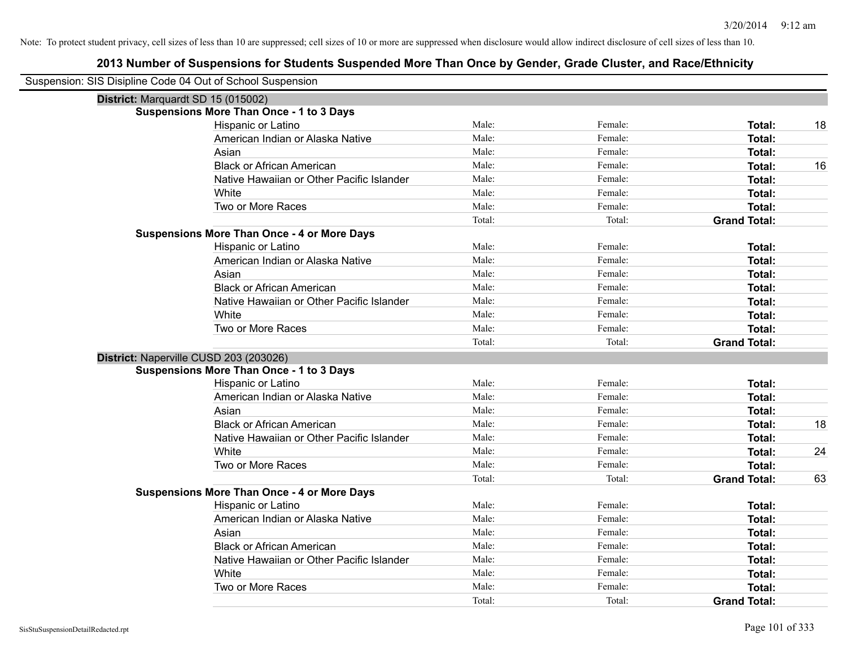| Suspension: SIS Disipline Code 04 Out of School Suspension |                                                    |        |         |                     |    |
|------------------------------------------------------------|----------------------------------------------------|--------|---------|---------------------|----|
| District: Marquardt SD 15 (015002)                         |                                                    |        |         |                     |    |
|                                                            | <b>Suspensions More Than Once - 1 to 3 Days</b>    |        |         |                     |    |
|                                                            | Hispanic or Latino                                 | Male:  | Female: | Total:              | 18 |
|                                                            | American Indian or Alaska Native                   | Male:  | Female: | Total:              |    |
|                                                            | Asian                                              | Male:  | Female: | Total:              |    |
|                                                            | <b>Black or African American</b>                   | Male:  | Female: | Total:              | 16 |
|                                                            | Native Hawaiian or Other Pacific Islander          | Male:  | Female: | Total:              |    |
|                                                            | White                                              | Male:  | Female: | Total:              |    |
|                                                            | Two or More Races                                  | Male:  | Female: | Total:              |    |
|                                                            |                                                    | Total: | Total:  | <b>Grand Total:</b> |    |
|                                                            | <b>Suspensions More Than Once - 4 or More Days</b> |        |         |                     |    |
|                                                            | Hispanic or Latino                                 | Male:  | Female: | Total:              |    |
|                                                            | American Indian or Alaska Native                   | Male:  | Female: | Total:              |    |
|                                                            | Asian                                              | Male:  | Female: | Total:              |    |
|                                                            | <b>Black or African American</b>                   | Male:  | Female: | Total:              |    |
|                                                            | Native Hawaiian or Other Pacific Islander          | Male:  | Female: | Total:              |    |
|                                                            | White                                              | Male:  | Female: | Total:              |    |
|                                                            | Two or More Races                                  | Male:  | Female: | Total:              |    |
|                                                            |                                                    | Total: | Total:  | <b>Grand Total:</b> |    |
| District: Naperville CUSD 203 (203026)                     |                                                    |        |         |                     |    |
|                                                            | <b>Suspensions More Than Once - 1 to 3 Days</b>    |        |         |                     |    |
|                                                            | Hispanic or Latino                                 | Male:  | Female: | Total:              |    |
|                                                            | American Indian or Alaska Native                   | Male:  | Female: | Total:              |    |
|                                                            | Asian                                              | Male:  | Female: | Total:              |    |
|                                                            | <b>Black or African American</b>                   | Male:  | Female: | Total:              | 18 |
|                                                            | Native Hawaiian or Other Pacific Islander          | Male:  | Female: | Total:              |    |
|                                                            | White                                              | Male:  | Female: | Total:              | 24 |
|                                                            | Two or More Races                                  | Male:  | Female: | Total:              |    |
|                                                            |                                                    | Total: | Total:  | <b>Grand Total:</b> | 63 |
|                                                            | <b>Suspensions More Than Once - 4 or More Days</b> |        |         |                     |    |
|                                                            | Hispanic or Latino                                 | Male:  | Female: | Total:              |    |
|                                                            | American Indian or Alaska Native                   | Male:  | Female: | Total:              |    |
|                                                            | Asian                                              | Male:  | Female: | Total:              |    |
|                                                            | <b>Black or African American</b>                   | Male:  | Female: | Total:              |    |
|                                                            | Native Hawaiian or Other Pacific Islander          | Male:  | Female: | Total:              |    |
|                                                            | White                                              | Male:  | Female: | Total:              |    |
|                                                            | Two or More Races                                  | Male:  | Female: | Total:              |    |
|                                                            |                                                    | Total: |         | <b>Grand Total:</b> |    |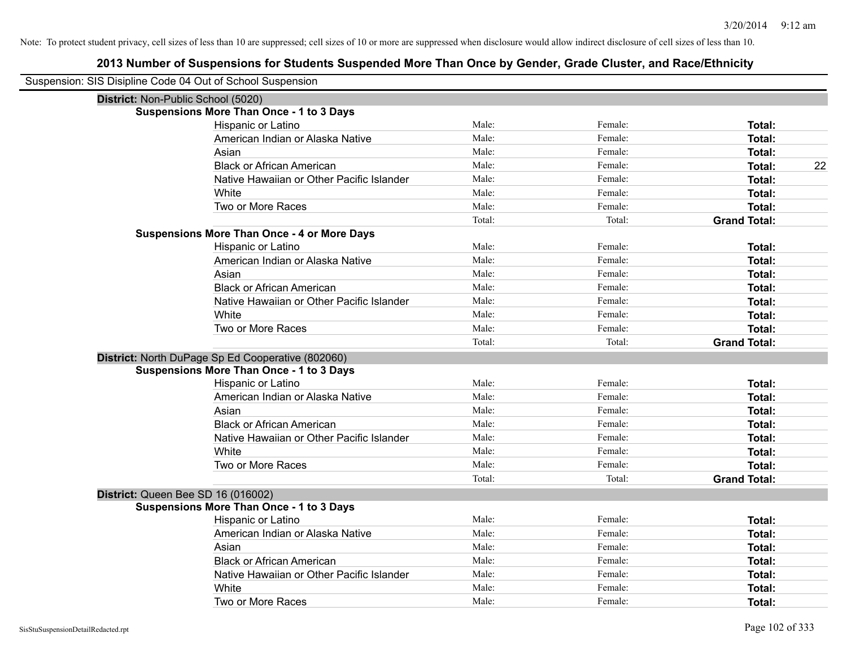| Suspension: SIS Disipline Code 04 Out of School Suspension |                                                    |        |         |                     |
|------------------------------------------------------------|----------------------------------------------------|--------|---------|---------------------|
| District: Non-Public School (5020)                         |                                                    |        |         |                     |
|                                                            | <b>Suspensions More Than Once - 1 to 3 Days</b>    |        |         |                     |
|                                                            | Hispanic or Latino                                 | Male:  | Female: | Total:              |
|                                                            | American Indian or Alaska Native                   | Male:  | Female: | Total:              |
|                                                            | Asian                                              | Male:  | Female: | Total:              |
|                                                            | <b>Black or African American</b>                   | Male:  | Female: | 22<br>Total:        |
|                                                            | Native Hawaiian or Other Pacific Islander          | Male:  | Female: | Total:              |
|                                                            | White                                              | Male:  | Female: | Total:              |
|                                                            | Two or More Races                                  | Male:  | Female: | Total:              |
|                                                            |                                                    | Total: | Total:  | <b>Grand Total:</b> |
|                                                            | <b>Suspensions More Than Once - 4 or More Days</b> |        |         |                     |
|                                                            | Hispanic or Latino                                 | Male:  | Female: | Total:              |
|                                                            | American Indian or Alaska Native                   | Male:  | Female: | Total:              |
|                                                            | Asian                                              | Male:  | Female: | Total:              |
|                                                            | <b>Black or African American</b>                   | Male:  | Female: | Total:              |
|                                                            | Native Hawaiian or Other Pacific Islander          | Male:  | Female: | Total:              |
|                                                            | White                                              | Male:  | Female: | Total:              |
|                                                            | Two or More Races                                  | Male:  | Female: | Total:              |
|                                                            |                                                    | Total: | Total:  | <b>Grand Total:</b> |
|                                                            | District: North DuPage Sp Ed Cooperative (802060)  |        |         |                     |
|                                                            | <b>Suspensions More Than Once - 1 to 3 Days</b>    |        |         |                     |
|                                                            | Hispanic or Latino                                 | Male:  | Female: | Total:              |
|                                                            | American Indian or Alaska Native                   | Male:  | Female: | Total:              |
|                                                            | Asian                                              | Male:  | Female: | Total:              |
|                                                            | <b>Black or African American</b>                   | Male:  | Female: | Total:              |
|                                                            | Native Hawaiian or Other Pacific Islander          | Male:  | Female: | Total:              |
|                                                            | White                                              | Male:  | Female: | Total:              |
|                                                            | Two or More Races                                  | Male:  | Female: | Total:              |
|                                                            |                                                    | Total: | Total:  | <b>Grand Total:</b> |
| District: Queen Bee SD 16 (016002)                         |                                                    |        |         |                     |
|                                                            | <b>Suspensions More Than Once - 1 to 3 Days</b>    |        |         |                     |
|                                                            | Hispanic or Latino                                 | Male:  | Female: | Total:              |
|                                                            | American Indian or Alaska Native                   | Male:  | Female: | Total:              |
|                                                            | Asian                                              | Male:  | Female: | Total:              |
|                                                            | <b>Black or African American</b>                   | Male:  | Female: | Total:              |
|                                                            | Native Hawaiian or Other Pacific Islander          | Male:  | Female: | Total:              |
|                                                            | White                                              | Male:  | Female: | Total:              |
|                                                            | Two or More Races                                  | Male:  | Female: | Total:              |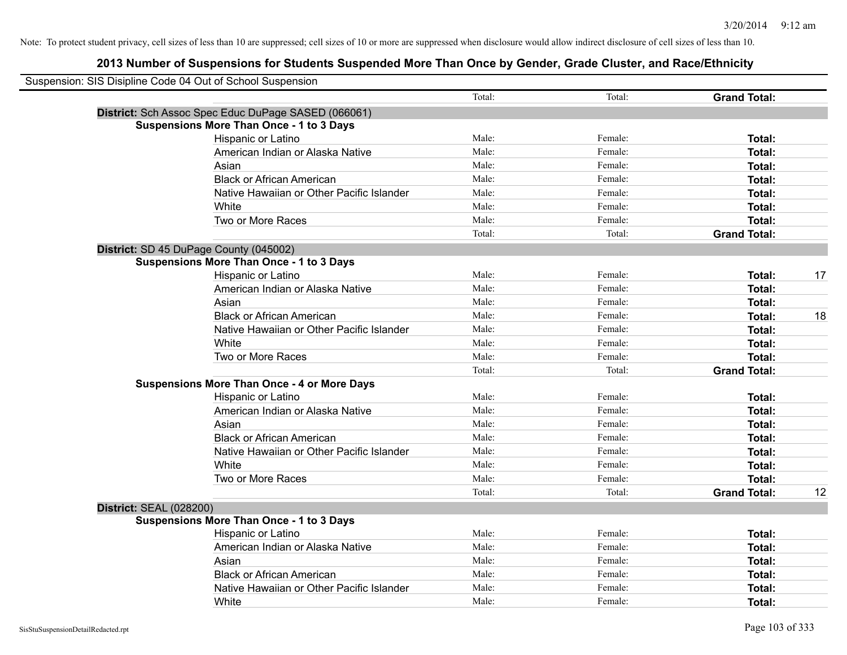| Suspension: SIS Disipline Code 04 Out of School Suspension |                                                     |        |         |                     |    |
|------------------------------------------------------------|-----------------------------------------------------|--------|---------|---------------------|----|
|                                                            |                                                     | Total: | Total:  | <b>Grand Total:</b> |    |
|                                                            | District: Sch Assoc Spec Educ DuPage SASED (066061) |        |         |                     |    |
|                                                            | <b>Suspensions More Than Once - 1 to 3 Days</b>     |        |         |                     |    |
|                                                            | Hispanic or Latino                                  | Male:  | Female: | Total:              |    |
|                                                            | American Indian or Alaska Native                    | Male:  | Female: | Total:              |    |
|                                                            | Asian                                               | Male:  | Female: | Total:              |    |
|                                                            | <b>Black or African American</b>                    | Male:  | Female: | Total:              |    |
|                                                            | Native Hawaiian or Other Pacific Islander           | Male:  | Female: | Total:              |    |
|                                                            | White                                               | Male:  | Female: | Total:              |    |
|                                                            | Two or More Races                                   | Male:  | Female: | Total:              |    |
|                                                            |                                                     | Total: | Total:  | <b>Grand Total:</b> |    |
|                                                            | District: SD 45 DuPage County (045002)              |        |         |                     |    |
|                                                            | <b>Suspensions More Than Once - 1 to 3 Days</b>     |        |         |                     |    |
|                                                            | Hispanic or Latino                                  | Male:  | Female: | Total:              | 17 |
|                                                            | American Indian or Alaska Native                    | Male:  | Female: | Total:              |    |
|                                                            | Asian                                               | Male:  | Female: | Total:              |    |
|                                                            | <b>Black or African American</b>                    | Male:  | Female: | Total:              | 18 |
|                                                            | Native Hawaiian or Other Pacific Islander           | Male:  | Female: | Total:              |    |
|                                                            | White                                               | Male:  | Female: | Total:              |    |
|                                                            | Two or More Races                                   | Male:  | Female: | Total:              |    |
|                                                            |                                                     | Total: | Total:  | <b>Grand Total:</b> |    |
|                                                            | <b>Suspensions More Than Once - 4 or More Days</b>  |        |         |                     |    |
|                                                            | Hispanic or Latino                                  | Male:  | Female: | Total:              |    |
|                                                            | American Indian or Alaska Native                    | Male:  | Female: | Total:              |    |
|                                                            | Asian                                               | Male:  | Female: | Total:              |    |
|                                                            | <b>Black or African American</b>                    | Male:  | Female: | Total:              |    |
|                                                            | Native Hawaiian or Other Pacific Islander           | Male:  | Female: | Total:              |    |
|                                                            | White                                               | Male:  | Female: | Total:              |    |
|                                                            | Two or More Races                                   | Male:  | Female: | Total:              |    |
|                                                            |                                                     | Total: | Total:  | <b>Grand Total:</b> | 12 |
| <b>District: SEAL (028200)</b>                             |                                                     |        |         |                     |    |
|                                                            | <b>Suspensions More Than Once - 1 to 3 Days</b>     |        |         |                     |    |
|                                                            | Hispanic or Latino                                  | Male:  | Female: | Total:              |    |
|                                                            | American Indian or Alaska Native                    | Male:  | Female: | Total:              |    |
|                                                            | Asian                                               | Male:  | Female: | Total:              |    |
|                                                            | <b>Black or African American</b>                    | Male:  | Female: | Total:              |    |
|                                                            | Native Hawaiian or Other Pacific Islander           | Male:  | Female: | Total:              |    |
|                                                            | White                                               | Male:  | Female: | Total:              |    |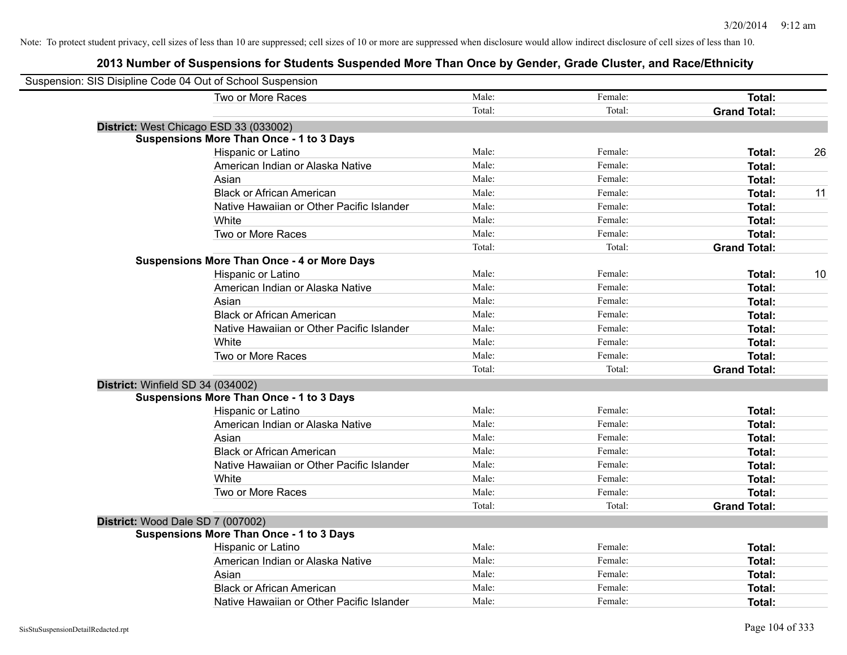| Suspension: SIS Disipline Code 04 Out of School Suspension |                                                    |        |         |                     |    |
|------------------------------------------------------------|----------------------------------------------------|--------|---------|---------------------|----|
|                                                            | Two or More Races                                  | Male:  | Female: | Total:              |    |
|                                                            |                                                    | Total: | Total:  | <b>Grand Total:</b> |    |
|                                                            | District: West Chicago ESD 33 (033002)             |        |         |                     |    |
|                                                            | <b>Suspensions More Than Once - 1 to 3 Days</b>    |        |         |                     |    |
|                                                            | Hispanic or Latino                                 | Male:  | Female: | Total:              | 26 |
|                                                            | American Indian or Alaska Native                   | Male:  | Female: | Total:              |    |
|                                                            | Asian                                              | Male:  | Female: | Total:              |    |
|                                                            | <b>Black or African American</b>                   | Male:  | Female: | Total:              | 11 |
|                                                            | Native Hawaiian or Other Pacific Islander          | Male:  | Female: | Total:              |    |
|                                                            | White                                              | Male:  | Female: | Total:              |    |
|                                                            | Two or More Races                                  | Male:  | Female: | Total:              |    |
|                                                            |                                                    | Total: | Total:  | <b>Grand Total:</b> |    |
|                                                            | <b>Suspensions More Than Once - 4 or More Days</b> |        |         |                     |    |
|                                                            | Hispanic or Latino                                 | Male:  | Female: | Total:              | 10 |
|                                                            | American Indian or Alaska Native                   | Male:  | Female: | Total:              |    |
|                                                            | Asian                                              | Male:  | Female: | Total:              |    |
|                                                            | <b>Black or African American</b>                   | Male:  | Female: | Total:              |    |
|                                                            | Native Hawaiian or Other Pacific Islander          | Male:  | Female: | Total:              |    |
|                                                            | White                                              | Male:  | Female: | Total:              |    |
|                                                            | Two or More Races                                  | Male:  | Female: | Total:              |    |
|                                                            |                                                    | Total: | Total:  | <b>Grand Total:</b> |    |
| District: Winfield SD 34 (034002)                          |                                                    |        |         |                     |    |
|                                                            | <b>Suspensions More Than Once - 1 to 3 Days</b>    |        |         |                     |    |
|                                                            | Hispanic or Latino                                 | Male:  | Female: | Total:              |    |
|                                                            | American Indian or Alaska Native                   | Male:  | Female: | Total:              |    |
|                                                            | Asian                                              | Male:  | Female: | Total:              |    |
|                                                            | <b>Black or African American</b>                   | Male:  | Female: | Total:              |    |
|                                                            | Native Hawaiian or Other Pacific Islander          | Male:  | Female: | <b>Total:</b>       |    |
|                                                            | White                                              | Male:  | Female: | Total:              |    |
|                                                            | Two or More Races                                  | Male:  | Female: | Total:              |    |
|                                                            |                                                    | Total: | Total:  | <b>Grand Total:</b> |    |
|                                                            | District: Wood Dale SD 7 (007002)                  |        |         |                     |    |
|                                                            | <b>Suspensions More Than Once - 1 to 3 Days</b>    |        |         |                     |    |
|                                                            | Hispanic or Latino                                 | Male:  | Female: | Total:              |    |
|                                                            | American Indian or Alaska Native                   | Male:  | Female: | Total:              |    |
|                                                            | Asian                                              | Male:  | Female: | Total:              |    |
|                                                            | <b>Black or African American</b>                   | Male:  | Female: | <b>Total:</b>       |    |
|                                                            | Native Hawaiian or Other Pacific Islander          | Male:  | Female: | Total:              |    |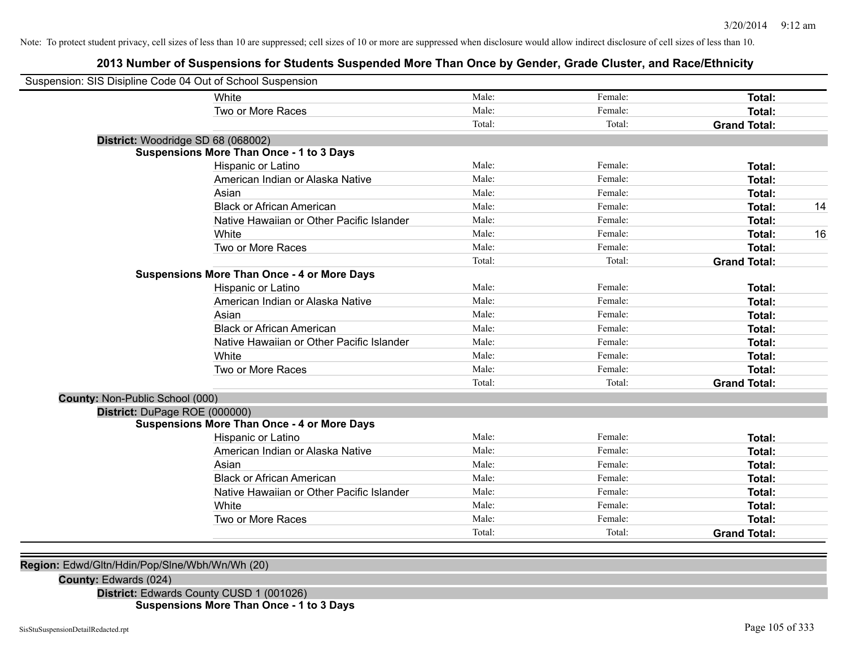# **2013 Number of Suspensions for Students Suspended More Than Once by Gender, Grade Cluster, and Race/Ethnicity**

| Suspension: SIS Disipline Code 04 Out of School Suspension |                                                    |        |         |                     |    |
|------------------------------------------------------------|----------------------------------------------------|--------|---------|---------------------|----|
|                                                            | White                                              | Male:  | Female: | Total:              |    |
|                                                            | Two or More Races                                  | Male:  | Female: | Total:              |    |
|                                                            |                                                    | Total: | Total:  | <b>Grand Total:</b> |    |
| District: Woodridge SD 68 (068002)                         |                                                    |        |         |                     |    |
|                                                            | <b>Suspensions More Than Once - 1 to 3 Days</b>    |        |         |                     |    |
|                                                            | Hispanic or Latino                                 | Male:  | Female: | Total:              |    |
|                                                            | American Indian or Alaska Native                   | Male:  | Female: | Total:              |    |
|                                                            | Asian                                              | Male:  | Female: | Total:              |    |
|                                                            | <b>Black or African American</b>                   | Male:  | Female: | Total:              | 14 |
|                                                            | Native Hawaiian or Other Pacific Islander          | Male:  | Female: | Total:              |    |
|                                                            | White                                              | Male:  | Female: | Total:              | 16 |
|                                                            | Two or More Races                                  | Male:  | Female: | <b>Total:</b>       |    |
|                                                            |                                                    | Total: | Total:  | <b>Grand Total:</b> |    |
|                                                            | <b>Suspensions More Than Once - 4 or More Days</b> |        |         |                     |    |
|                                                            | Hispanic or Latino                                 | Male:  | Female: | Total:              |    |
|                                                            | American Indian or Alaska Native                   | Male:  | Female: | <b>Total:</b>       |    |
|                                                            | Asian                                              | Male:  | Female: | Total:              |    |
|                                                            | <b>Black or African American</b>                   | Male:  | Female: | Total:              |    |
|                                                            | Native Hawaiian or Other Pacific Islander          | Male:  | Female: | Total:              |    |
|                                                            | White                                              | Male:  | Female: | Total:              |    |
|                                                            | Two or More Races                                  | Male:  | Female: | <b>Total:</b>       |    |
|                                                            |                                                    | Total: | Total:  | <b>Grand Total:</b> |    |
| <b>County: Non-Public School (000)</b>                     |                                                    |        |         |                     |    |
| District: DuPage ROE (000000)                              |                                                    |        |         |                     |    |
|                                                            | <b>Suspensions More Than Once - 4 or More Days</b> |        |         |                     |    |
|                                                            | Hispanic or Latino                                 | Male:  | Female: | Total:              |    |
|                                                            | American Indian or Alaska Native                   | Male:  | Female: | Total:              |    |
|                                                            | Asian                                              | Male:  | Female: | Total:              |    |
|                                                            | <b>Black or African American</b>                   | Male:  | Female: | Total:              |    |
|                                                            | Native Hawaiian or Other Pacific Islander          | Male:  | Female: | Total:              |    |
|                                                            | White                                              | Male:  | Female: | Total:              |    |
|                                                            | Two or More Races                                  | Male:  | Female: | Total:              |    |
|                                                            |                                                    | Total: | Total:  | <b>Grand Total:</b> |    |

## **Region:** Edwd/Gltn/Hdin/Pop/Slne/Wbh/Wn/Wh (20)

**County:** Edwards (024)

**District:** Edwards County CUSD 1 (001026) **Suspensions More Than Once - 1 to 3 Days**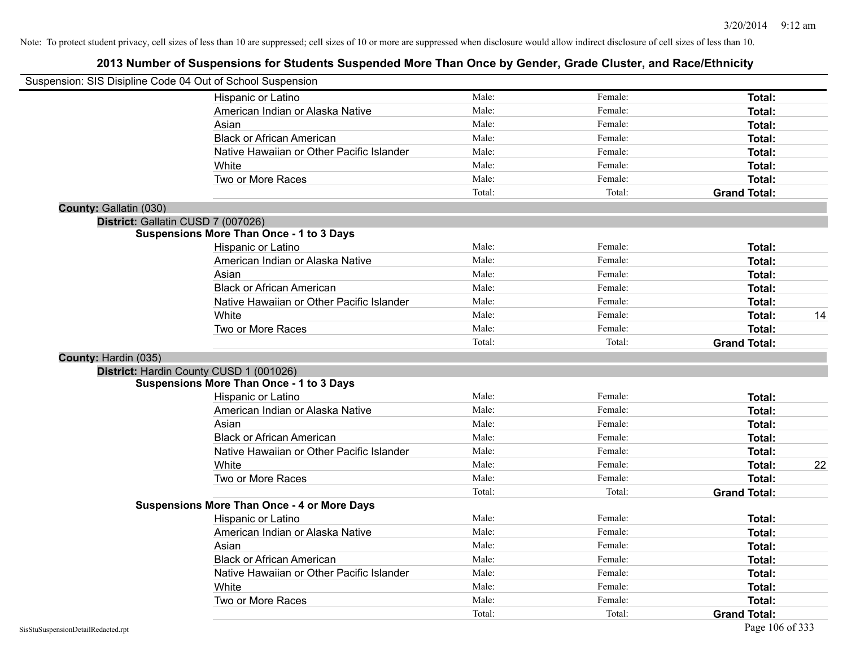|                                    | Suspension: SIS Disipline Code 04 Out of School Suspension |        |         |                     |    |
|------------------------------------|------------------------------------------------------------|--------|---------|---------------------|----|
|                                    | Hispanic or Latino                                         | Male:  | Female: | Total:              |    |
|                                    | American Indian or Alaska Native                           | Male:  | Female: | Total:              |    |
|                                    | Asian                                                      | Male:  | Female: | Total:              |    |
|                                    | <b>Black or African American</b>                           | Male:  | Female: | Total:              |    |
|                                    | Native Hawaiian or Other Pacific Islander                  | Male:  | Female: | Total:              |    |
|                                    | White                                                      | Male:  | Female: | Total:              |    |
|                                    | Two or More Races                                          | Male:  | Female: | Total:              |    |
|                                    |                                                            | Total: | Total:  | <b>Grand Total:</b> |    |
| County: Gallatin (030)             |                                                            |        |         |                     |    |
| District: Gallatin CUSD 7 (007026) |                                                            |        |         |                     |    |
|                                    | <b>Suspensions More Than Once - 1 to 3 Days</b>            |        |         |                     |    |
|                                    | Hispanic or Latino                                         | Male:  | Female: | Total:              |    |
|                                    | American Indian or Alaska Native                           | Male:  | Female: | Total:              |    |
|                                    | Asian                                                      | Male:  | Female: | Total:              |    |
|                                    | <b>Black or African American</b>                           | Male:  | Female: | Total:              |    |
|                                    | Native Hawaiian or Other Pacific Islander                  | Male:  | Female: | Total:              |    |
|                                    | White                                                      | Male:  | Female: | Total:              | 14 |
|                                    | Two or More Races                                          | Male:  | Female: | Total:              |    |
|                                    |                                                            | Total: | Total:  | <b>Grand Total:</b> |    |
| County: Hardin (035)               |                                                            |        |         |                     |    |
|                                    | District: Hardin County CUSD 1 (001026)                    |        |         |                     |    |
|                                    | <b>Suspensions More Than Once - 1 to 3 Days</b>            |        |         |                     |    |
|                                    | <b>Hispanic or Latino</b>                                  | Male:  | Female: | Total:              |    |
|                                    | American Indian or Alaska Native                           | Male:  | Female: | Total:              |    |
|                                    | Asian                                                      | Male:  | Female: | Total:              |    |
|                                    | <b>Black or African American</b>                           | Male:  | Female: | Total:              |    |
|                                    | Native Hawaiian or Other Pacific Islander                  | Male:  | Female: | Total:              |    |
|                                    | White                                                      | Male:  | Female: | Total:              | 22 |
|                                    | Two or More Races                                          | Male:  | Female: | Total:              |    |
|                                    |                                                            | Total: | Total:  | <b>Grand Total:</b> |    |
|                                    | <b>Suspensions More Than Once - 4 or More Days</b>         |        |         |                     |    |
|                                    | Hispanic or Latino                                         | Male:  | Female: | Total:              |    |
|                                    | American Indian or Alaska Native                           | Male:  | Female: | Total:              |    |
|                                    | Asian                                                      | Male:  | Female: | Total:              |    |
|                                    | <b>Black or African American</b>                           | Male:  | Female: | Total:              |    |
|                                    | Native Hawaiian or Other Pacific Islander                  | Male:  | Female: | Total:              |    |
|                                    | White                                                      | Male:  | Female: | Total:              |    |
|                                    | Two or More Races                                          | Male:  | Female: | Total:              |    |
|                                    |                                                            | Total: | Total:  | <b>Grand Total:</b> |    |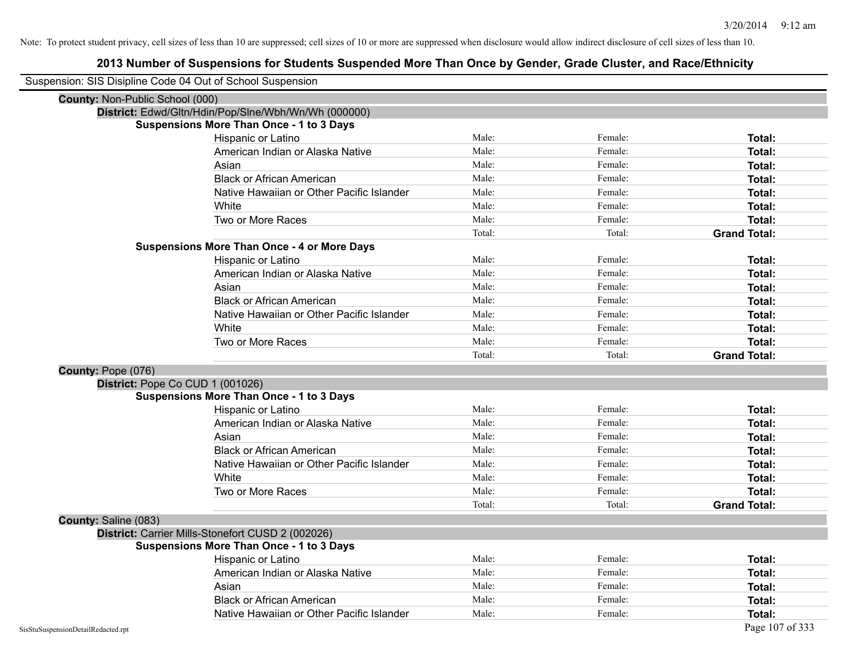| Suspension: SIS Disipline Code 04 Out of School Suspension |                                                      |        |         |                     |
|------------------------------------------------------------|------------------------------------------------------|--------|---------|---------------------|
| County: Non-Public School (000)                            |                                                      |        |         |                     |
|                                                            | District: Edwd/Gltn/Hdin/Pop/Slne/Wbh/Wn/Wh (000000) |        |         |                     |
|                                                            | <b>Suspensions More Than Once - 1 to 3 Days</b>      |        |         |                     |
|                                                            | Hispanic or Latino                                   | Male:  | Female: | Total:              |
|                                                            | American Indian or Alaska Native                     | Male:  | Female: | <b>Total:</b>       |
|                                                            | Asian                                                | Male:  | Female: | Total:              |
|                                                            | <b>Black or African American</b>                     | Male:  | Female: | Total:              |
|                                                            | Native Hawaiian or Other Pacific Islander            | Male:  | Female: | Total:              |
|                                                            | White                                                | Male:  | Female: | <b>Total:</b>       |
|                                                            | Two or More Races                                    | Male:  | Female: | Total:              |
|                                                            |                                                      | Total: | Total:  | <b>Grand Total:</b> |
|                                                            | <b>Suspensions More Than Once - 4 or More Days</b>   |        |         |                     |
|                                                            | Hispanic or Latino                                   | Male:  | Female: | Total:              |
|                                                            | American Indian or Alaska Native                     | Male:  | Female: | Total:              |
|                                                            | Asian                                                | Male:  | Female: | Total:              |
|                                                            | <b>Black or African American</b>                     | Male:  | Female: | <b>Total:</b>       |
|                                                            | Native Hawaiian or Other Pacific Islander            | Male:  | Female: | <b>Total:</b>       |
|                                                            | White                                                | Male:  | Female: | Total:              |
|                                                            | Two or More Races                                    | Male:  | Female: | <b>Total:</b>       |
|                                                            |                                                      | Total: | Total:  | <b>Grand Total:</b> |
| County: Pope (076)                                         |                                                      |        |         |                     |
| District: Pope Co CUD 1 (001026)                           |                                                      |        |         |                     |
|                                                            | <b>Suspensions More Than Once - 1 to 3 Days</b>      |        |         |                     |
|                                                            | Hispanic or Latino                                   | Male:  | Female: | <b>Total:</b>       |
|                                                            | American Indian or Alaska Native                     | Male:  | Female: | Total:              |
|                                                            | Asian                                                | Male:  | Female: | Total:              |
|                                                            | <b>Black or African American</b>                     | Male:  | Female: | Total:              |
|                                                            | Native Hawaiian or Other Pacific Islander            | Male:  | Female: | Total:              |
|                                                            | White                                                | Male:  | Female: | Total:              |
|                                                            | Two or More Races                                    | Male:  | Female: | Total:              |
|                                                            |                                                      | Total: | Total:  | <b>Grand Total:</b> |
| County: Saline (083)                                       |                                                      |        |         |                     |
|                                                            | District: Carrier Mills-Stonefort CUSD 2 (002026)    |        |         |                     |
|                                                            | <b>Suspensions More Than Once - 1 to 3 Days</b>      |        |         |                     |
|                                                            | Hispanic or Latino                                   | Male:  | Female: | Total:              |
|                                                            | American Indian or Alaska Native                     | Male:  | Female: | Total:              |
|                                                            | Asian                                                | Male:  | Female: | Total:              |
|                                                            | <b>Black or African American</b>                     | Male:  | Female: | Total:              |
|                                                            | Native Hawaiian or Other Pacific Islander            | Male:  | Female: | Total:              |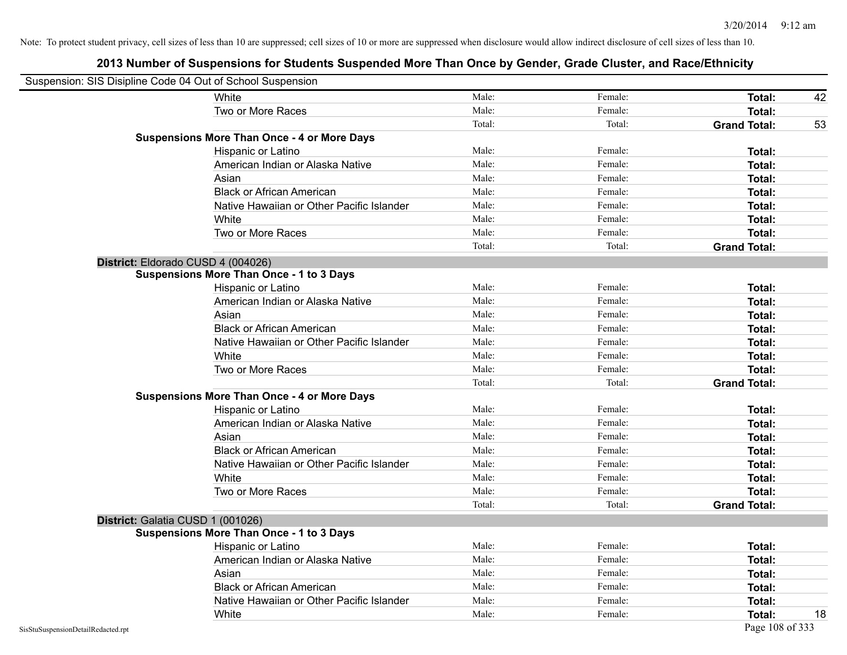| Suspension: SIS Disipline Code 04 Out of School Suspension |                                                    |        |         |                     |    |
|------------------------------------------------------------|----------------------------------------------------|--------|---------|---------------------|----|
|                                                            | White                                              | Male:  | Female: | Total:              | 42 |
|                                                            | Two or More Races                                  | Male:  | Female: | <b>Total:</b>       |    |
|                                                            |                                                    | Total: | Total:  | <b>Grand Total:</b> | 53 |
|                                                            | <b>Suspensions More Than Once - 4 or More Days</b> |        |         |                     |    |
|                                                            | Hispanic or Latino                                 | Male:  | Female: | Total:              |    |
|                                                            | American Indian or Alaska Native                   | Male:  | Female: | <b>Total:</b>       |    |
|                                                            | Asian                                              | Male:  | Female: | <b>Total:</b>       |    |
|                                                            | <b>Black or African American</b>                   | Male:  | Female: | Total:              |    |
|                                                            | Native Hawaiian or Other Pacific Islander          | Male:  | Female: | <b>Total:</b>       |    |
|                                                            | White                                              | Male:  | Female: | <b>Total:</b>       |    |
|                                                            | Two or More Races                                  | Male:  | Female: | Total:              |    |
|                                                            |                                                    | Total: | Total:  | <b>Grand Total:</b> |    |
|                                                            | District: Eldorado CUSD 4 (004026)                 |        |         |                     |    |
|                                                            | <b>Suspensions More Than Once - 1 to 3 Days</b>    |        |         |                     |    |
|                                                            | Hispanic or Latino                                 | Male:  | Female: | <b>Total:</b>       |    |
|                                                            | American Indian or Alaska Native                   | Male:  | Female: | <b>Total:</b>       |    |
|                                                            | Asian                                              | Male:  | Female: | Total:              |    |
|                                                            | <b>Black or African American</b>                   | Male:  | Female: | Total:              |    |
|                                                            | Native Hawaiian or Other Pacific Islander          | Male:  | Female: | Total:              |    |
|                                                            | White                                              | Male:  | Female: | Total:              |    |
|                                                            | Two or More Races                                  | Male:  | Female: | <b>Total:</b>       |    |
|                                                            |                                                    | Total: | Total:  | <b>Grand Total:</b> |    |
|                                                            | <b>Suspensions More Than Once - 4 or More Days</b> |        |         |                     |    |
|                                                            | Hispanic or Latino                                 | Male:  | Female: | Total:              |    |
|                                                            | American Indian or Alaska Native                   | Male:  | Female: | <b>Total:</b>       |    |
|                                                            | Asian                                              | Male:  | Female: | <b>Total:</b>       |    |
|                                                            | <b>Black or African American</b>                   | Male:  | Female: | Total:              |    |
|                                                            | Native Hawaiian or Other Pacific Islander          | Male:  | Female: | <b>Total:</b>       |    |
|                                                            | White                                              | Male:  | Female: | <b>Total:</b>       |    |
|                                                            | Two or More Races                                  | Male:  | Female: | <b>Total:</b>       |    |
|                                                            |                                                    | Total: | Total:  | <b>Grand Total:</b> |    |
|                                                            | District: Galatia CUSD 1 (001026)                  |        |         |                     |    |
|                                                            | <b>Suspensions More Than Once - 1 to 3 Days</b>    |        |         |                     |    |
|                                                            | <b>Hispanic or Latino</b>                          | Male:  | Female: | Total:              |    |
|                                                            | American Indian or Alaska Native                   | Male:  | Female: | <b>Total:</b>       |    |
|                                                            | Asian                                              | Male:  | Female: | <b>Total:</b>       |    |
|                                                            | <b>Black or African American</b>                   | Male:  | Female: | <b>Total:</b>       |    |
|                                                            | Native Hawaiian or Other Pacific Islander          | Male:  | Female: | Total:              |    |
|                                                            | White                                              | Male:  | Female: | Total:              | 18 |
| SisStuSuspensionDetailRedacted.rpt                         |                                                    |        |         | Page 108 of 333     |    |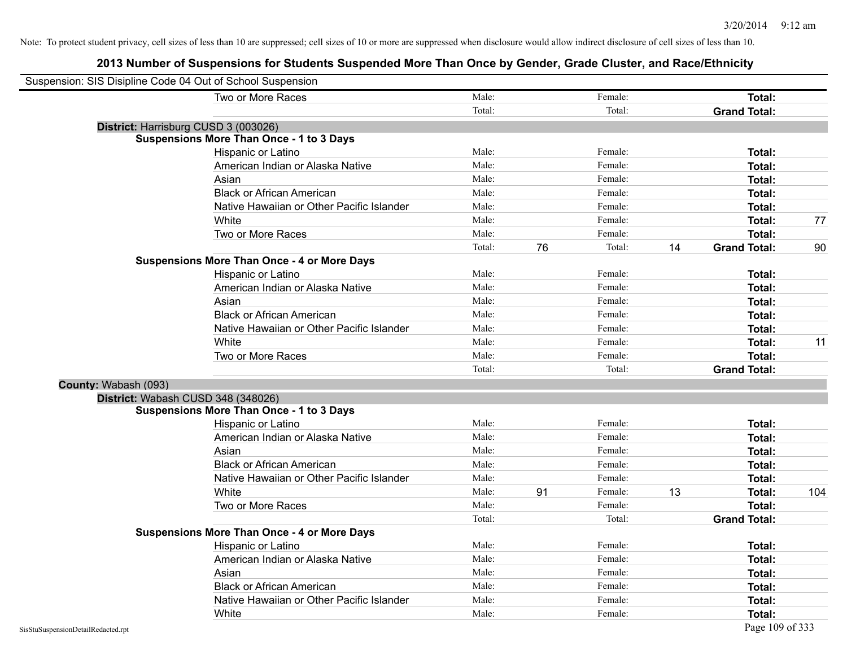|                      | Suspension: SIS Disipline Code 04 Out of School Suspension |        |    |         |    |                     |     |
|----------------------|------------------------------------------------------------|--------|----|---------|----|---------------------|-----|
|                      | Two or More Races                                          | Male:  |    | Female: |    | Total:              |     |
|                      |                                                            | Total: |    | Total:  |    | <b>Grand Total:</b> |     |
|                      | District: Harrisburg CUSD 3 (003026)                       |        |    |         |    |                     |     |
|                      | <b>Suspensions More Than Once - 1 to 3 Days</b>            |        |    |         |    |                     |     |
|                      | Hispanic or Latino                                         | Male:  |    | Female: |    | Total:              |     |
|                      | American Indian or Alaska Native                           | Male:  |    | Female: |    | Total:              |     |
|                      | Asian                                                      | Male:  |    | Female: |    | Total:              |     |
|                      | <b>Black or African American</b>                           | Male:  |    | Female: |    | Total:              |     |
|                      | Native Hawaiian or Other Pacific Islander                  | Male:  |    | Female: |    | Total:              |     |
|                      | White                                                      | Male:  |    | Female: |    | Total:              | 77  |
|                      | Two or More Races                                          | Male:  |    | Female: |    | Total:              |     |
|                      |                                                            | Total: | 76 | Total:  | 14 | <b>Grand Total:</b> | 90  |
|                      | <b>Suspensions More Than Once - 4 or More Days</b>         |        |    |         |    |                     |     |
|                      | Hispanic or Latino                                         | Male:  |    | Female: |    | Total:              |     |
|                      | American Indian or Alaska Native                           | Male:  |    | Female: |    | Total:              |     |
|                      | Asian                                                      | Male:  |    | Female: |    | Total:              |     |
|                      | <b>Black or African American</b>                           | Male:  |    | Female: |    | Total:              |     |
|                      | Native Hawaiian or Other Pacific Islander                  | Male:  |    | Female: |    | Total:              |     |
|                      | White                                                      | Male:  |    | Female: |    | Total:              | 11  |
|                      | Two or More Races                                          | Male:  |    | Female: |    | Total:              |     |
|                      |                                                            | Total: |    | Total:  |    | <b>Grand Total:</b> |     |
| County: Wabash (093) |                                                            |        |    |         |    |                     |     |
|                      | District: Wabash CUSD 348 (348026)                         |        |    |         |    |                     |     |
|                      | <b>Suspensions More Than Once - 1 to 3 Days</b>            |        |    |         |    |                     |     |
|                      | Hispanic or Latino                                         | Male:  |    | Female: |    | Total:              |     |
|                      | American Indian or Alaska Native                           | Male:  |    | Female: |    | Total:              |     |
|                      | Asian                                                      | Male:  |    | Female: |    | Total:              |     |
|                      | <b>Black or African American</b>                           | Male:  |    | Female: |    | Total:              |     |
|                      | Native Hawaiian or Other Pacific Islander                  | Male:  |    | Female: |    | Total:              |     |
|                      | White                                                      | Male:  | 91 | Female: | 13 | <b>Total:</b>       | 104 |
|                      | Two or More Races                                          | Male:  |    | Female: |    | Total:              |     |
|                      |                                                            | Total: |    | Total:  |    | <b>Grand Total:</b> |     |
|                      | <b>Suspensions More Than Once - 4 or More Days</b>         |        |    |         |    |                     |     |
|                      | Hispanic or Latino                                         | Male:  |    | Female: |    | Total:              |     |
|                      | American Indian or Alaska Native                           | Male:  |    | Female: |    | Total:              |     |
|                      | Asian                                                      | Male:  |    | Female: |    | Total:              |     |
|                      | <b>Black or African American</b>                           | Male:  |    | Female: |    | Total:              |     |
|                      | Native Hawaiian or Other Pacific Islander                  | Male:  |    | Female: |    | Total:              |     |
|                      | White                                                      | Male:  |    | Female: |    | Total:              |     |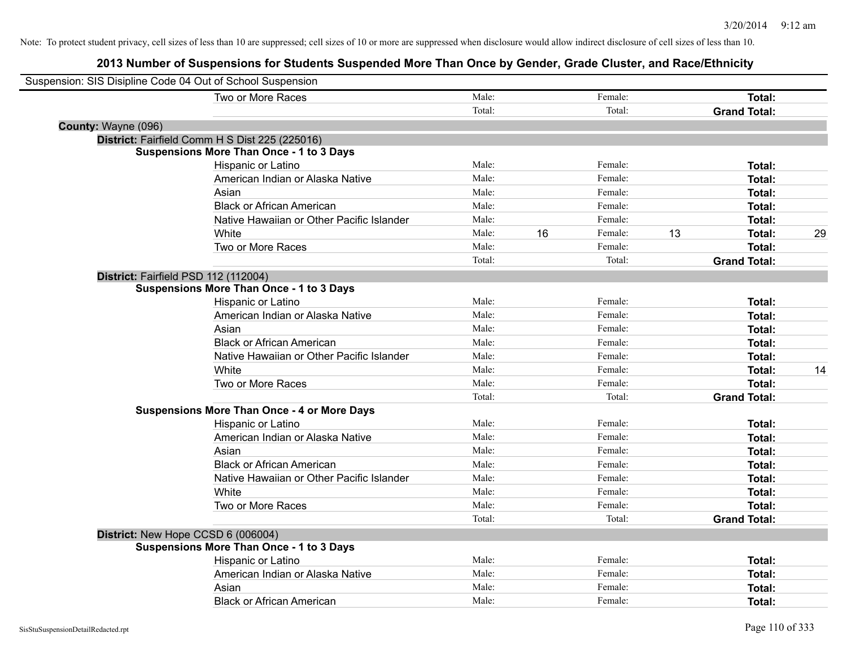| Suspension: SIS Disipline Code 04 Out of School Suspension |                                                    |        |    |         |    |                     |    |
|------------------------------------------------------------|----------------------------------------------------|--------|----|---------|----|---------------------|----|
|                                                            | Two or More Races                                  | Male:  |    | Female: |    | <b>Total:</b>       |    |
|                                                            |                                                    | Total: |    | Total:  |    | <b>Grand Total:</b> |    |
| County: Wayne (096)                                        |                                                    |        |    |         |    |                     |    |
|                                                            | District: Fairfield Comm H S Dist 225 (225016)     |        |    |         |    |                     |    |
|                                                            | <b>Suspensions More Than Once - 1 to 3 Days</b>    |        |    |         |    |                     |    |
|                                                            | Hispanic or Latino                                 | Male:  |    | Female: |    | Total:              |    |
|                                                            | American Indian or Alaska Native                   | Male:  |    | Female: |    | Total:              |    |
|                                                            | Asian                                              | Male:  |    | Female: |    | Total:              |    |
|                                                            | <b>Black or African American</b>                   | Male:  |    | Female: |    | Total:              |    |
|                                                            | Native Hawaiian or Other Pacific Islander          | Male:  |    | Female: |    | Total:              |    |
|                                                            | White                                              | Male:  | 16 | Female: | 13 | Total:              | 29 |
|                                                            | Two or More Races                                  | Male:  |    | Female: |    | Total:              |    |
|                                                            |                                                    | Total: |    | Total:  |    | <b>Grand Total:</b> |    |
| District: Fairfield PSD 112 (112004)                       |                                                    |        |    |         |    |                     |    |
|                                                            | <b>Suspensions More Than Once - 1 to 3 Days</b>    |        |    |         |    |                     |    |
|                                                            | Hispanic or Latino                                 | Male:  |    | Female: |    | Total:              |    |
|                                                            | American Indian or Alaska Native                   | Male:  |    | Female: |    | Total:              |    |
|                                                            | Asian                                              | Male:  |    | Female: |    | Total:              |    |
|                                                            | <b>Black or African American</b>                   | Male:  |    | Female: |    | Total:              |    |
|                                                            | Native Hawaiian or Other Pacific Islander          | Male:  |    | Female: |    | Total:              |    |
|                                                            | White                                              | Male:  |    | Female: |    | Total:              | 14 |
|                                                            | Two or More Races                                  | Male:  |    | Female: |    | Total:              |    |
|                                                            |                                                    | Total: |    | Total:  |    | <b>Grand Total:</b> |    |
|                                                            | <b>Suspensions More Than Once - 4 or More Days</b> |        |    |         |    |                     |    |
|                                                            | Hispanic or Latino                                 | Male:  |    | Female: |    | Total:              |    |
|                                                            | American Indian or Alaska Native                   | Male:  |    | Female: |    | Total:              |    |
|                                                            | Asian                                              | Male:  |    | Female: |    | Total:              |    |
|                                                            | <b>Black or African American</b>                   | Male:  |    | Female: |    | Total:              |    |
|                                                            | Native Hawaiian or Other Pacific Islander          | Male:  |    | Female: |    | Total:              |    |
|                                                            | White                                              | Male:  |    | Female: |    | Total:              |    |
|                                                            | Two or More Races                                  | Male:  |    | Female: |    | Total:              |    |
|                                                            |                                                    | Total: |    | Total:  |    | <b>Grand Total:</b> |    |
|                                                            | District: New Hope CCSD 6 (006004)                 |        |    |         |    |                     |    |
|                                                            | <b>Suspensions More Than Once - 1 to 3 Days</b>    |        |    |         |    |                     |    |
|                                                            | Hispanic or Latino                                 | Male:  |    | Female: |    | Total:              |    |
|                                                            | American Indian or Alaska Native                   | Male:  |    | Female: |    | Total:              |    |
|                                                            | Asian                                              | Male:  |    | Female: |    | Total:              |    |
|                                                            | <b>Black or African American</b>                   | Male:  |    | Female: |    | Total:              |    |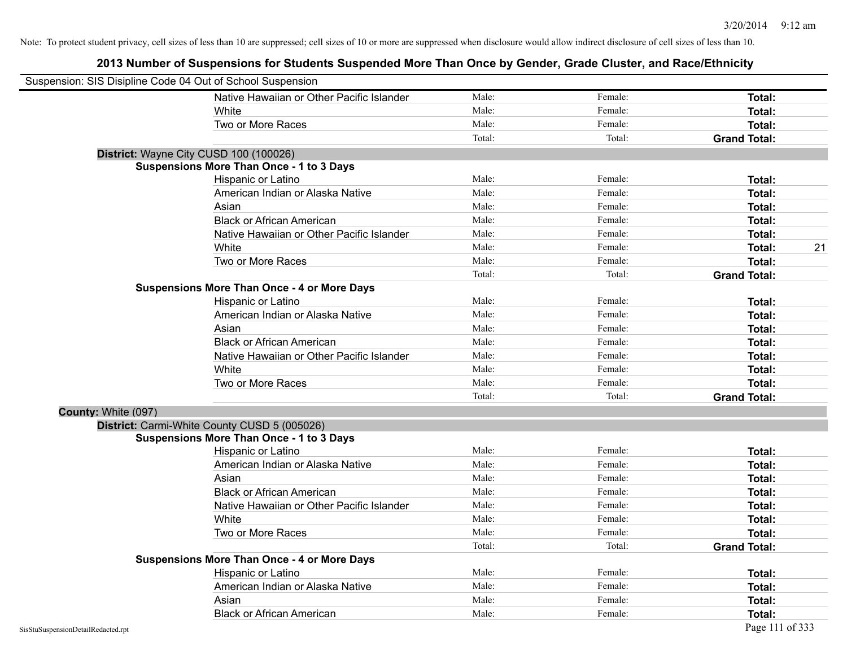| Suspension: SIS Disipline Code 04 Out of School Suspension |                                                    |        |         |                     |
|------------------------------------------------------------|----------------------------------------------------|--------|---------|---------------------|
|                                                            | Native Hawaiian or Other Pacific Islander          | Male:  | Female: | Total:              |
|                                                            | White                                              | Male:  | Female: | Total:              |
|                                                            | Two or More Races                                  | Male:  | Female: | Total:              |
|                                                            |                                                    | Total: | Total:  | <b>Grand Total:</b> |
|                                                            | District: Wayne City CUSD 100 (100026)             |        |         |                     |
|                                                            | <b>Suspensions More Than Once - 1 to 3 Days</b>    |        |         |                     |
|                                                            | Hispanic or Latino                                 | Male:  | Female: | Total:              |
|                                                            | American Indian or Alaska Native                   | Male:  | Female: | <b>Total:</b>       |
|                                                            | Asian                                              | Male:  | Female: | Total:              |
|                                                            | <b>Black or African American</b>                   | Male:  | Female: | <b>Total:</b>       |
|                                                            | Native Hawaiian or Other Pacific Islander          | Male:  | Female: | Total:              |
|                                                            | White                                              | Male:  | Female: | 21<br>Total:        |
|                                                            | Two or More Races                                  | Male:  | Female: | <b>Total:</b>       |
|                                                            |                                                    | Total: | Total:  | <b>Grand Total:</b> |
|                                                            | <b>Suspensions More Than Once - 4 or More Days</b> |        |         |                     |
|                                                            | Hispanic or Latino                                 | Male:  | Female: | Total:              |
|                                                            | American Indian or Alaska Native                   | Male:  | Female: | <b>Total:</b>       |
|                                                            | Asian                                              | Male:  | Female: | <b>Total:</b>       |
|                                                            | <b>Black or African American</b>                   | Male:  | Female: | <b>Total:</b>       |
|                                                            | Native Hawaiian or Other Pacific Islander          | Male:  | Female: | <b>Total:</b>       |
|                                                            | White                                              | Male:  | Female: | Total:              |
|                                                            | Two or More Races                                  | Male:  | Female: | Total:              |
|                                                            |                                                    | Total: | Total:  | <b>Grand Total:</b> |
| County: White (097)                                        |                                                    |        |         |                     |
|                                                            | District: Carmi-White County CUSD 5 (005026)       |        |         |                     |
|                                                            | <b>Suspensions More Than Once - 1 to 3 Days</b>    |        |         |                     |
|                                                            | Hispanic or Latino                                 | Male:  | Female: | Total:              |
|                                                            | American Indian or Alaska Native                   | Male:  | Female: | <b>Total:</b>       |
|                                                            | Asian                                              | Male:  | Female: | Total:              |
|                                                            | <b>Black or African American</b>                   | Male:  | Female: | <b>Total:</b>       |
|                                                            | Native Hawaiian or Other Pacific Islander          | Male:  | Female: | Total:              |
|                                                            | White                                              | Male:  | Female: | <b>Total:</b>       |
|                                                            | Two or More Races                                  | Male:  | Female: | Total:              |
|                                                            |                                                    | Total: | Total:  | <b>Grand Total:</b> |
|                                                            | <b>Suspensions More Than Once - 4 or More Days</b> |        |         |                     |
|                                                            | Hispanic or Latino                                 | Male:  | Female: | Total:              |
|                                                            | American Indian or Alaska Native                   | Male:  | Female: | <b>Total:</b>       |
|                                                            | Asian                                              | Male:  | Female: | <b>Total:</b>       |
|                                                            | <b>Black or African American</b>                   | Male:  | Female: | Total:              |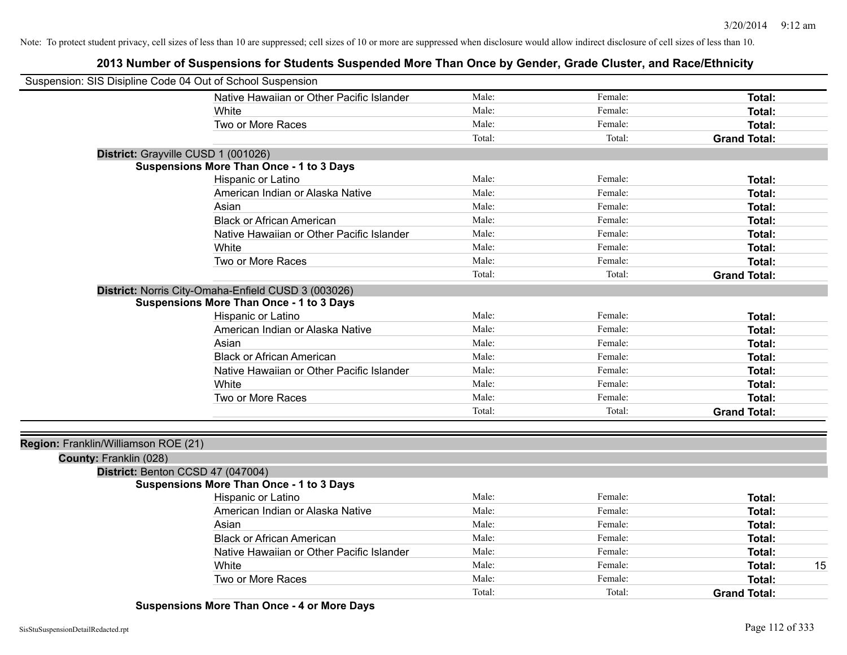| Native Hawaiian or Other Pacific Islander<br>Male:<br>Female:<br>Total:<br>Female:<br>Male:<br>White<br>Total:<br>Two or More Races<br>Male:<br>Female:<br>Total:<br>Total:<br>Total:<br><b>Grand Total:</b><br>District: Grayville CUSD 1 (001026)<br>Suspensions More Than Once - 1 to 3 Days<br>Male:<br>Hispanic or Latino<br>Female:<br>Total:<br>American Indian or Alaska Native<br>Male:<br>Female:<br>Total:<br>Male:<br>Female:<br>Asian<br>Total:<br>Male:<br><b>Black or African American</b><br>Female:<br>Total:<br>Male:<br>Native Hawaiian or Other Pacific Islander<br>Female:<br>Total:<br>White<br>Male:<br>Female:<br>Total:<br>Two or More Races<br>Male:<br>Female:<br>Total:<br>Total:<br>Total:<br><b>Grand Total:</b><br>District: Norris City-Omaha-Enfield CUSD 3 (003026)<br><b>Suspensions More Than Once - 1 to 3 Days</b><br>Male:<br>Hispanic or Latino<br>Female:<br>Total:<br>American Indian or Alaska Native<br>Male:<br>Female:<br>Total:<br>Male:<br>Female:<br>Asian<br>Total:<br><b>Black or African American</b><br>Male:<br>Female:<br>Total:<br>Native Hawaiian or Other Pacific Islander<br>Male:<br>Female:<br>Total:<br>Male:<br>Female:<br>Total:<br>White<br>Male:<br>Two or More Races<br>Female:<br>Total:<br>Total:<br>Total:<br><b>Grand Total:</b><br>Region: Franklin/Williamson ROE (21)<br>County: Franklin (028)<br>District: Benton CCSD 47 (047004)<br>Suspensions More Than Once - 1 to 3 Days<br>Male:<br>Female:<br>Hispanic or Latino<br>Total:<br>Male:<br>American Indian or Alaska Native<br>Female:<br>Total:<br>Male:<br>Female:<br>Asian<br>Total:<br>Male:<br>Female:<br><b>Black or African American</b><br>Total:<br>Male:<br>Female:<br>Native Hawaiian or Other Pacific Islander<br>Total:<br>Male:<br>Female:<br>White<br>15<br>Total:<br>Male:<br>Female:<br>Two or More Races<br>Total:<br>Total:<br>Total: | Suspension: SIS Disipline Code 04 Out of School Suspension |  |                     |
|------------------------------------------------------------------------------------------------------------------------------------------------------------------------------------------------------------------------------------------------------------------------------------------------------------------------------------------------------------------------------------------------------------------------------------------------------------------------------------------------------------------------------------------------------------------------------------------------------------------------------------------------------------------------------------------------------------------------------------------------------------------------------------------------------------------------------------------------------------------------------------------------------------------------------------------------------------------------------------------------------------------------------------------------------------------------------------------------------------------------------------------------------------------------------------------------------------------------------------------------------------------------------------------------------------------------------------------------------------------------------------------------------------------------------------------------------------------------------------------------------------------------------------------------------------------------------------------------------------------------------------------------------------------------------------------------------------------------------------------------------------------------------------------------------------------------------------------------------------------------------------------|------------------------------------------------------------|--|---------------------|
|                                                                                                                                                                                                                                                                                                                                                                                                                                                                                                                                                                                                                                                                                                                                                                                                                                                                                                                                                                                                                                                                                                                                                                                                                                                                                                                                                                                                                                                                                                                                                                                                                                                                                                                                                                                                                                                                                          |                                                            |  |                     |
|                                                                                                                                                                                                                                                                                                                                                                                                                                                                                                                                                                                                                                                                                                                                                                                                                                                                                                                                                                                                                                                                                                                                                                                                                                                                                                                                                                                                                                                                                                                                                                                                                                                                                                                                                                                                                                                                                          |                                                            |  |                     |
|                                                                                                                                                                                                                                                                                                                                                                                                                                                                                                                                                                                                                                                                                                                                                                                                                                                                                                                                                                                                                                                                                                                                                                                                                                                                                                                                                                                                                                                                                                                                                                                                                                                                                                                                                                                                                                                                                          |                                                            |  |                     |
|                                                                                                                                                                                                                                                                                                                                                                                                                                                                                                                                                                                                                                                                                                                                                                                                                                                                                                                                                                                                                                                                                                                                                                                                                                                                                                                                                                                                                                                                                                                                                                                                                                                                                                                                                                                                                                                                                          |                                                            |  |                     |
|                                                                                                                                                                                                                                                                                                                                                                                                                                                                                                                                                                                                                                                                                                                                                                                                                                                                                                                                                                                                                                                                                                                                                                                                                                                                                                                                                                                                                                                                                                                                                                                                                                                                                                                                                                                                                                                                                          |                                                            |  |                     |
|                                                                                                                                                                                                                                                                                                                                                                                                                                                                                                                                                                                                                                                                                                                                                                                                                                                                                                                                                                                                                                                                                                                                                                                                                                                                                                                                                                                                                                                                                                                                                                                                                                                                                                                                                                                                                                                                                          |                                                            |  |                     |
|                                                                                                                                                                                                                                                                                                                                                                                                                                                                                                                                                                                                                                                                                                                                                                                                                                                                                                                                                                                                                                                                                                                                                                                                                                                                                                                                                                                                                                                                                                                                                                                                                                                                                                                                                                                                                                                                                          |                                                            |  |                     |
|                                                                                                                                                                                                                                                                                                                                                                                                                                                                                                                                                                                                                                                                                                                                                                                                                                                                                                                                                                                                                                                                                                                                                                                                                                                                                                                                                                                                                                                                                                                                                                                                                                                                                                                                                                                                                                                                                          |                                                            |  |                     |
|                                                                                                                                                                                                                                                                                                                                                                                                                                                                                                                                                                                                                                                                                                                                                                                                                                                                                                                                                                                                                                                                                                                                                                                                                                                                                                                                                                                                                                                                                                                                                                                                                                                                                                                                                                                                                                                                                          |                                                            |  |                     |
|                                                                                                                                                                                                                                                                                                                                                                                                                                                                                                                                                                                                                                                                                                                                                                                                                                                                                                                                                                                                                                                                                                                                                                                                                                                                                                                                                                                                                                                                                                                                                                                                                                                                                                                                                                                                                                                                                          |                                                            |  |                     |
|                                                                                                                                                                                                                                                                                                                                                                                                                                                                                                                                                                                                                                                                                                                                                                                                                                                                                                                                                                                                                                                                                                                                                                                                                                                                                                                                                                                                                                                                                                                                                                                                                                                                                                                                                                                                                                                                                          |                                                            |  |                     |
|                                                                                                                                                                                                                                                                                                                                                                                                                                                                                                                                                                                                                                                                                                                                                                                                                                                                                                                                                                                                                                                                                                                                                                                                                                                                                                                                                                                                                                                                                                                                                                                                                                                                                                                                                                                                                                                                                          |                                                            |  |                     |
|                                                                                                                                                                                                                                                                                                                                                                                                                                                                                                                                                                                                                                                                                                                                                                                                                                                                                                                                                                                                                                                                                                                                                                                                                                                                                                                                                                                                                                                                                                                                                                                                                                                                                                                                                                                                                                                                                          |                                                            |  |                     |
|                                                                                                                                                                                                                                                                                                                                                                                                                                                                                                                                                                                                                                                                                                                                                                                                                                                                                                                                                                                                                                                                                                                                                                                                                                                                                                                                                                                                                                                                                                                                                                                                                                                                                                                                                                                                                                                                                          |                                                            |  |                     |
|                                                                                                                                                                                                                                                                                                                                                                                                                                                                                                                                                                                                                                                                                                                                                                                                                                                                                                                                                                                                                                                                                                                                                                                                                                                                                                                                                                                                                                                                                                                                                                                                                                                                                                                                                                                                                                                                                          |                                                            |  |                     |
|                                                                                                                                                                                                                                                                                                                                                                                                                                                                                                                                                                                                                                                                                                                                                                                                                                                                                                                                                                                                                                                                                                                                                                                                                                                                                                                                                                                                                                                                                                                                                                                                                                                                                                                                                                                                                                                                                          |                                                            |  |                     |
|                                                                                                                                                                                                                                                                                                                                                                                                                                                                                                                                                                                                                                                                                                                                                                                                                                                                                                                                                                                                                                                                                                                                                                                                                                                                                                                                                                                                                                                                                                                                                                                                                                                                                                                                                                                                                                                                                          |                                                            |  |                     |
|                                                                                                                                                                                                                                                                                                                                                                                                                                                                                                                                                                                                                                                                                                                                                                                                                                                                                                                                                                                                                                                                                                                                                                                                                                                                                                                                                                                                                                                                                                                                                                                                                                                                                                                                                                                                                                                                                          |                                                            |  |                     |
|                                                                                                                                                                                                                                                                                                                                                                                                                                                                                                                                                                                                                                                                                                                                                                                                                                                                                                                                                                                                                                                                                                                                                                                                                                                                                                                                                                                                                                                                                                                                                                                                                                                                                                                                                                                                                                                                                          |                                                            |  |                     |
|                                                                                                                                                                                                                                                                                                                                                                                                                                                                                                                                                                                                                                                                                                                                                                                                                                                                                                                                                                                                                                                                                                                                                                                                                                                                                                                                                                                                                                                                                                                                                                                                                                                                                                                                                                                                                                                                                          |                                                            |  |                     |
|                                                                                                                                                                                                                                                                                                                                                                                                                                                                                                                                                                                                                                                                                                                                                                                                                                                                                                                                                                                                                                                                                                                                                                                                                                                                                                                                                                                                                                                                                                                                                                                                                                                                                                                                                                                                                                                                                          |                                                            |  |                     |
|                                                                                                                                                                                                                                                                                                                                                                                                                                                                                                                                                                                                                                                                                                                                                                                                                                                                                                                                                                                                                                                                                                                                                                                                                                                                                                                                                                                                                                                                                                                                                                                                                                                                                                                                                                                                                                                                                          |                                                            |  |                     |
|                                                                                                                                                                                                                                                                                                                                                                                                                                                                                                                                                                                                                                                                                                                                                                                                                                                                                                                                                                                                                                                                                                                                                                                                                                                                                                                                                                                                                                                                                                                                                                                                                                                                                                                                                                                                                                                                                          |                                                            |  |                     |
|                                                                                                                                                                                                                                                                                                                                                                                                                                                                                                                                                                                                                                                                                                                                                                                                                                                                                                                                                                                                                                                                                                                                                                                                                                                                                                                                                                                                                                                                                                                                                                                                                                                                                                                                                                                                                                                                                          |                                                            |  |                     |
|                                                                                                                                                                                                                                                                                                                                                                                                                                                                                                                                                                                                                                                                                                                                                                                                                                                                                                                                                                                                                                                                                                                                                                                                                                                                                                                                                                                                                                                                                                                                                                                                                                                                                                                                                                                                                                                                                          |                                                            |  |                     |
|                                                                                                                                                                                                                                                                                                                                                                                                                                                                                                                                                                                                                                                                                                                                                                                                                                                                                                                                                                                                                                                                                                                                                                                                                                                                                                                                                                                                                                                                                                                                                                                                                                                                                                                                                                                                                                                                                          |                                                            |  |                     |
|                                                                                                                                                                                                                                                                                                                                                                                                                                                                                                                                                                                                                                                                                                                                                                                                                                                                                                                                                                                                                                                                                                                                                                                                                                                                                                                                                                                                                                                                                                                                                                                                                                                                                                                                                                                                                                                                                          |                                                            |  |                     |
|                                                                                                                                                                                                                                                                                                                                                                                                                                                                                                                                                                                                                                                                                                                                                                                                                                                                                                                                                                                                                                                                                                                                                                                                                                                                                                                                                                                                                                                                                                                                                                                                                                                                                                                                                                                                                                                                                          |                                                            |  |                     |
|                                                                                                                                                                                                                                                                                                                                                                                                                                                                                                                                                                                                                                                                                                                                                                                                                                                                                                                                                                                                                                                                                                                                                                                                                                                                                                                                                                                                                                                                                                                                                                                                                                                                                                                                                                                                                                                                                          |                                                            |  |                     |
|                                                                                                                                                                                                                                                                                                                                                                                                                                                                                                                                                                                                                                                                                                                                                                                                                                                                                                                                                                                                                                                                                                                                                                                                                                                                                                                                                                                                                                                                                                                                                                                                                                                                                                                                                                                                                                                                                          |                                                            |  |                     |
|                                                                                                                                                                                                                                                                                                                                                                                                                                                                                                                                                                                                                                                                                                                                                                                                                                                                                                                                                                                                                                                                                                                                                                                                                                                                                                                                                                                                                                                                                                                                                                                                                                                                                                                                                                                                                                                                                          |                                                            |  |                     |
|                                                                                                                                                                                                                                                                                                                                                                                                                                                                                                                                                                                                                                                                                                                                                                                                                                                                                                                                                                                                                                                                                                                                                                                                                                                                                                                                                                                                                                                                                                                                                                                                                                                                                                                                                                                                                                                                                          |                                                            |  |                     |
|                                                                                                                                                                                                                                                                                                                                                                                                                                                                                                                                                                                                                                                                                                                                                                                                                                                                                                                                                                                                                                                                                                                                                                                                                                                                                                                                                                                                                                                                                                                                                                                                                                                                                                                                                                                                                                                                                          |                                                            |  |                     |
|                                                                                                                                                                                                                                                                                                                                                                                                                                                                                                                                                                                                                                                                                                                                                                                                                                                                                                                                                                                                                                                                                                                                                                                                                                                                                                                                                                                                                                                                                                                                                                                                                                                                                                                                                                                                                                                                                          |                                                            |  |                     |
|                                                                                                                                                                                                                                                                                                                                                                                                                                                                                                                                                                                                                                                                                                                                                                                                                                                                                                                                                                                                                                                                                                                                                                                                                                                                                                                                                                                                                                                                                                                                                                                                                                                                                                                                                                                                                                                                                          |                                                            |  |                     |
|                                                                                                                                                                                                                                                                                                                                                                                                                                                                                                                                                                                                                                                                                                                                                                                                                                                                                                                                                                                                                                                                                                                                                                                                                                                                                                                                                                                                                                                                                                                                                                                                                                                                                                                                                                                                                                                                                          |                                                            |  | <b>Grand Total:</b> |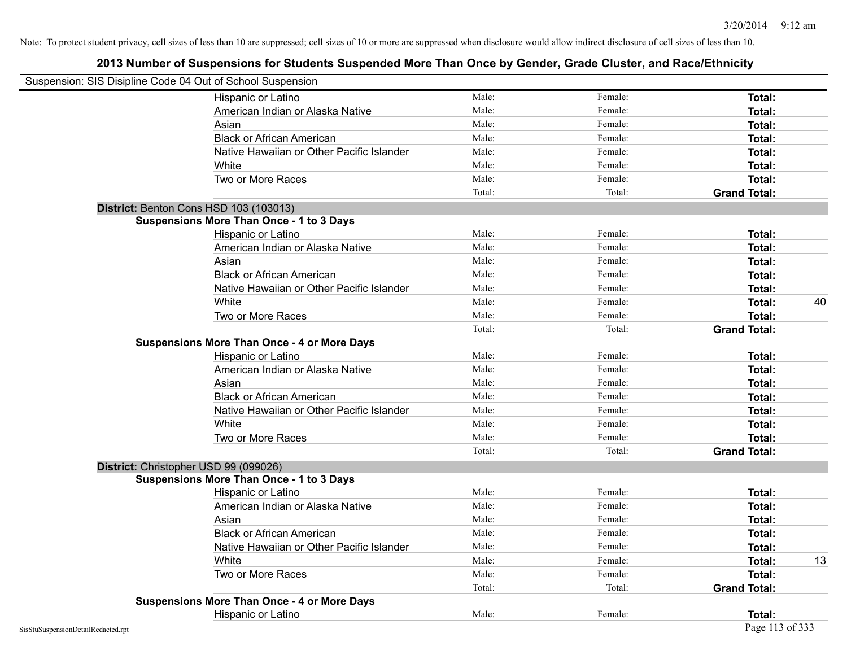|                                    | Suspension: SIS Disipline Code 04 Out of School Suspension |        |         |                     |    |
|------------------------------------|------------------------------------------------------------|--------|---------|---------------------|----|
|                                    | Hispanic or Latino                                         | Male:  | Female: | Total:              |    |
|                                    | American Indian or Alaska Native                           | Male:  | Female: | Total:              |    |
|                                    | Asian                                                      | Male:  | Female: | Total:              |    |
|                                    | <b>Black or African American</b>                           | Male:  | Female: | Total:              |    |
|                                    | Native Hawaiian or Other Pacific Islander                  | Male:  | Female: | Total:              |    |
|                                    | White                                                      | Male:  | Female: | Total:              |    |
|                                    | Two or More Races                                          | Male:  | Female: | Total:              |    |
|                                    |                                                            | Total: | Total:  | <b>Grand Total:</b> |    |
|                                    | District: Benton Cons HSD 103 (103013)                     |        |         |                     |    |
|                                    | <b>Suspensions More Than Once - 1 to 3 Days</b>            |        |         |                     |    |
|                                    | Hispanic or Latino                                         | Male:  | Female: | Total:              |    |
|                                    | American Indian or Alaska Native                           | Male:  | Female: | Total:              |    |
|                                    | Asian                                                      | Male:  | Female: | Total:              |    |
|                                    | <b>Black or African American</b>                           | Male:  | Female: | Total:              |    |
|                                    | Native Hawaiian or Other Pacific Islander                  | Male:  | Female: | Total:              |    |
|                                    | White                                                      | Male:  | Female: | Total:              | 40 |
|                                    | Two or More Races                                          | Male:  | Female: | Total:              |    |
|                                    |                                                            | Total: | Total:  | <b>Grand Total:</b> |    |
|                                    | <b>Suspensions More Than Once - 4 or More Days</b>         |        |         |                     |    |
|                                    | Hispanic or Latino                                         | Male:  | Female: | Total:              |    |
|                                    | American Indian or Alaska Native                           | Male:  | Female: | Total:              |    |
|                                    | Asian                                                      | Male:  | Female: | Total:              |    |
|                                    | <b>Black or African American</b>                           | Male:  | Female: | Total:              |    |
|                                    | Native Hawaiian or Other Pacific Islander                  | Male:  | Female: | Total:              |    |
|                                    | White                                                      | Male:  | Female: | Total:              |    |
|                                    | Two or More Races                                          | Male:  | Female: | Total:              |    |
|                                    |                                                            | Total: | Total:  | <b>Grand Total:</b> |    |
|                                    | District: Christopher USD 99 (099026)                      |        |         |                     |    |
|                                    | <b>Suspensions More Than Once - 1 to 3 Days</b>            |        |         |                     |    |
|                                    | Hispanic or Latino                                         | Male:  | Female: | Total:              |    |
|                                    | American Indian or Alaska Native                           | Male:  | Female: | Total:              |    |
|                                    | Asian                                                      | Male:  | Female: | Total:              |    |
|                                    | <b>Black or African American</b>                           | Male:  | Female: | Total:              |    |
|                                    | Native Hawaiian or Other Pacific Islander                  | Male:  | Female: | Total:              |    |
|                                    | White                                                      | Male:  | Female: | Total:              | 13 |
|                                    | Two or More Races                                          | Male:  | Female: | Total:              |    |
|                                    |                                                            | Total: | Total:  | <b>Grand Total:</b> |    |
|                                    | <b>Suspensions More Than Once - 4 or More Days</b>         |        |         |                     |    |
|                                    | Hispanic or Latino                                         | Male:  | Female: | Total:              |    |
| SisStuSuspensionDetailRedacted.rpt |                                                            |        |         | Page 113 of 333     |    |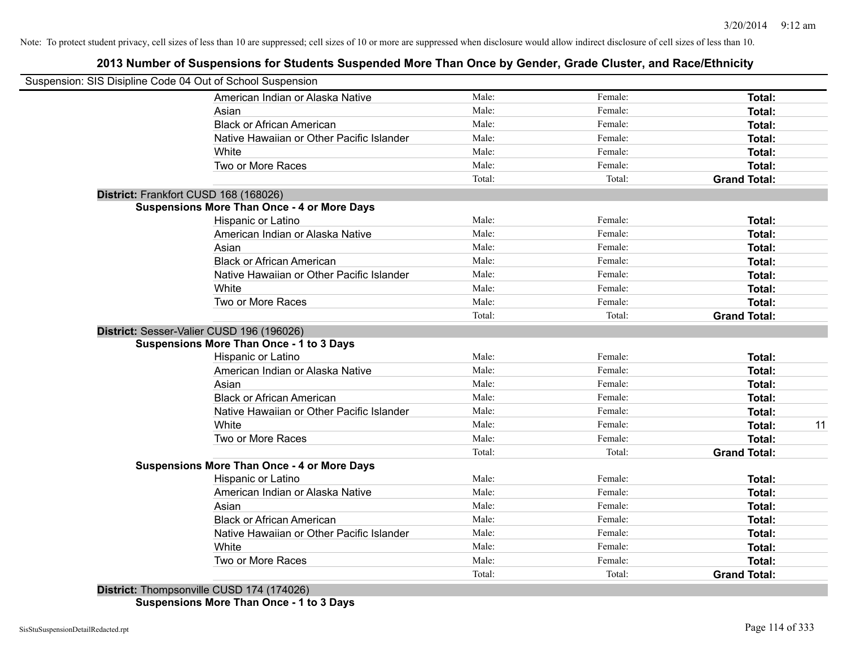## **2013 Number of Suspensions for Students Suspended More Than Once by Gender, Grade Cluster, and Race/Ethnicity**

| Suspension: SIS Disipline Code 04 Out of School Suspension |        |         |                     |    |
|------------------------------------------------------------|--------|---------|---------------------|----|
| American Indian or Alaska Native                           | Male:  | Female: | Total:              |    |
| Asian                                                      | Male:  | Female: | Total:              |    |
| <b>Black or African American</b>                           | Male:  | Female: | Total:              |    |
| Native Hawaiian or Other Pacific Islander                  | Male:  | Female: | Total:              |    |
| White                                                      | Male:  | Female: | Total:              |    |
| Two or More Races                                          | Male:  | Female: | Total:              |    |
|                                                            | Total: | Total:  | <b>Grand Total:</b> |    |
| District: Frankfort CUSD 168 (168026)                      |        |         |                     |    |
| <b>Suspensions More Than Once - 4 or More Days</b>         |        |         |                     |    |
| Hispanic or Latino                                         | Male:  | Female: | Total:              |    |
| American Indian or Alaska Native                           | Male:  | Female: | Total:              |    |
| Asian                                                      | Male:  | Female: | Total:              |    |
| <b>Black or African American</b>                           | Male:  | Female: | Total:              |    |
| Native Hawaiian or Other Pacific Islander                  | Male:  | Female: | Total:              |    |
| White                                                      | Male:  | Female: | Total:              |    |
| Two or More Races                                          | Male:  | Female: | Total:              |    |
|                                                            | Total: | Total:  | <b>Grand Total:</b> |    |
| District: Sesser-Valier CUSD 196 (196026)                  |        |         |                     |    |
| <b>Suspensions More Than Once - 1 to 3 Days</b>            |        |         |                     |    |
| Hispanic or Latino                                         | Male:  | Female: | Total:              |    |
| American Indian or Alaska Native                           | Male:  | Female: | Total:              |    |
| Asian                                                      | Male:  | Female: | Total:              |    |
| <b>Black or African American</b>                           | Male:  | Female: | Total:              |    |
| Native Hawaiian or Other Pacific Islander                  | Male:  | Female: | Total:              |    |
| White                                                      | Male:  | Female: | Total:              | 11 |
| Two or More Races                                          | Male:  | Female: | Total:              |    |
|                                                            | Total: | Total:  | <b>Grand Total:</b> |    |
| <b>Suspensions More Than Once - 4 or More Days</b>         |        |         |                     |    |
| Hispanic or Latino                                         | Male:  | Female: | Total:              |    |
| American Indian or Alaska Native                           | Male:  | Female: | Total:              |    |
| Asian                                                      | Male:  | Female: | Total:              |    |
| <b>Black or African American</b>                           | Male:  | Female: | Total:              |    |
| Native Hawaiian or Other Pacific Islander                  | Male:  | Female: | Total:              |    |
| White                                                      | Male:  | Female: | Total:              |    |
| Two or More Races                                          | Male:  | Female: | Total:              |    |
|                                                            | Total: | Total:  | <b>Grand Total:</b> |    |
| District: Thompsonville CUSD 174 (174026)                  |        |         |                     |    |

**Suspensions More Than Once - 1 to 3 Days**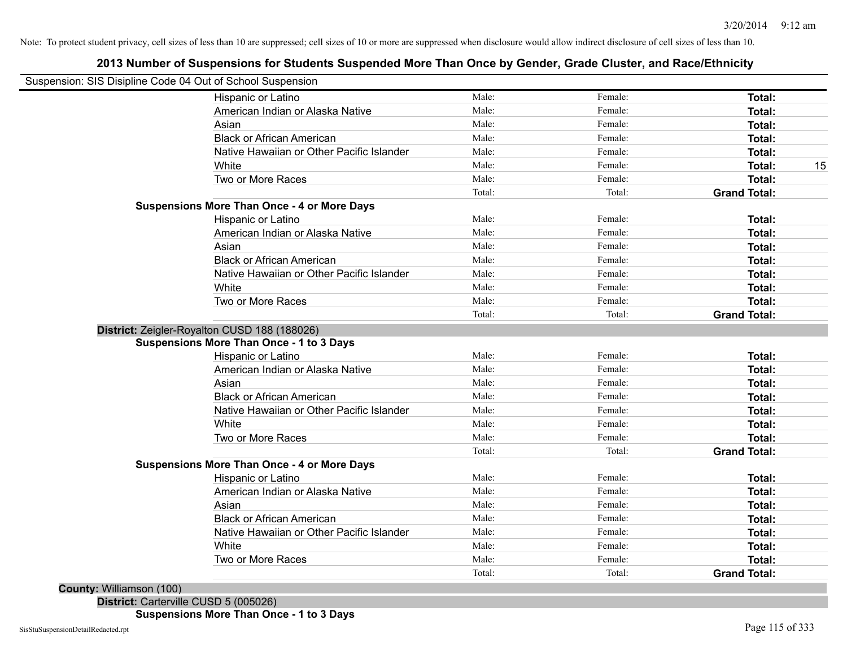### **2013 Number of Suspensions for Students Suspended More Than Once by Gender, Grade Cluster, and Race/Ethnicity**

| Suspension: SIS Disipline Code 04 Out of School Suspension |        |         |                                      |
|------------------------------------------------------------|--------|---------|--------------------------------------|
| Hispanic or Latino                                         | Male:  | Female: | Total:                               |
| American Indian or Alaska Native                           | Male:  | Female: | <b>Total:</b>                        |
| Asian                                                      | Male:  | Female: | <b>Total:</b>                        |
| <b>Black or African American</b>                           | Male:  | Female: | <b>Total:</b>                        |
| Native Hawaiian or Other Pacific Islander                  | Male:  | Female: | <b>Total:</b>                        |
| White                                                      | Male:  | Female: | <b>Total:</b>                        |
| Two or More Races                                          | Male:  | Female: | <b>Total:</b>                        |
|                                                            | Total: | Total:  | <b>Grand Total:</b>                  |
| <b>Suspensions More Than Once - 4 or More Days</b>         |        |         |                                      |
| Hispanic or Latino                                         | Male:  | Female: | <b>Total:</b>                        |
| American Indian or Alaska Native                           | Male:  | Female: | <b>Total:</b>                        |
| Asian                                                      | Male:  | Female: | <b>Total:</b>                        |
| <b>Black or African American</b>                           | Male:  | Female: | <b>Total:</b>                        |
| Native Hawaiian or Other Pacific Islander                  | Male:  | Female: | <b>Total:</b>                        |
| White                                                      | Male:  | Female: | Total:                               |
| Two or More Races                                          | Male:  | Female: | Total:                               |
|                                                            | Total: | Total:  | <b>Grand Total:</b>                  |
| District: Zeigler-Royalton CUSD 188 (188026)               |        |         |                                      |
| Suspensions More Than Once - 1 to 3 Days                   |        |         |                                      |
| Hispanic or Latino                                         | Male:  | Female: | <b>Total:</b>                        |
| American Indian or Alaska Native                           | Male:  | Female: | <b>Total:</b>                        |
| Asian                                                      | Male:  | Female: | <b>Total:</b>                        |
| <b>Black or African American</b>                           | Male:  | Female: | <b>Total:</b>                        |
| Native Hawaiian or Other Pacific Islander                  | Male:  | Female: | <b>Total:</b>                        |
| White                                                      | Male:  | Female: | Total:                               |
| Two or More Races                                          | Male:  | Female: | Total:                               |
|                                                            | Total: | Total:  | <b>Grand Total:</b>                  |
| <b>Suspensions More Than Once - 4 or More Days</b>         |        |         |                                      |
| Hispanic or Latino                                         | Male:  | Female: | <b>Total:</b>                        |
| American Indian or Alaska Native                           | Male:  | Female: | <b>Total:</b>                        |
| Asian                                                      | Male:  | Female: | <b>Total:</b>                        |
| <b>Black or African American</b>                           | Male:  | Female: | <b>Total:</b>                        |
| Native Hawaiian or Other Pacific Islander                  | Male:  | Female: | <b>Total:</b>                        |
|                                                            | Male:  | Female: | <b>Total:</b>                        |
| White                                                      |        |         |                                      |
| Two or More Races                                          | Male:  | Female: | <b>Total:</b><br><b>Grand Total:</b> |

**District:** Carterville CUSD 5 (005026)

**Suspensions More Than Once - 1 to 3 Days**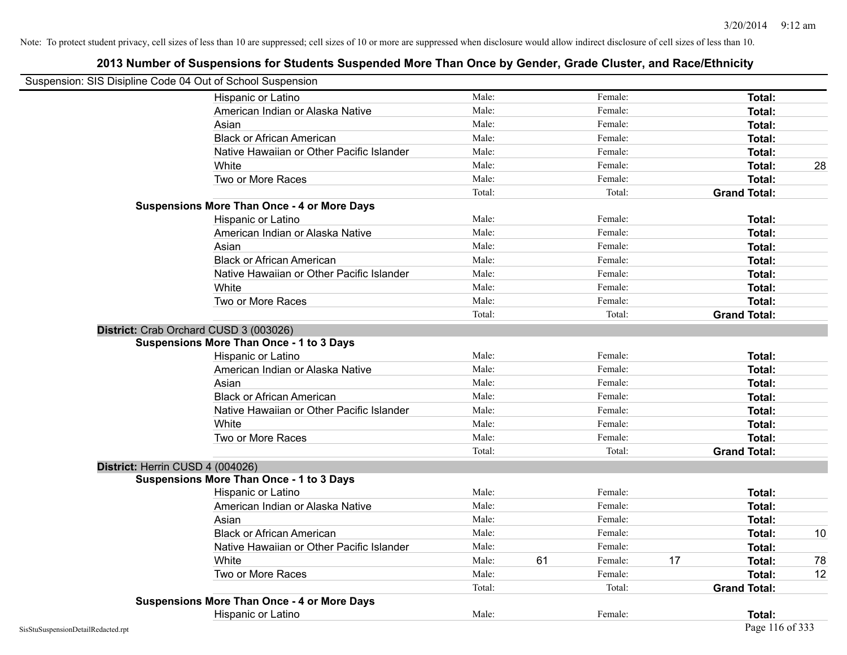| Suspension: SIS Disipline Code 04 Out of School Suspension |                                                    |        |    |         |    |                     |    |
|------------------------------------------------------------|----------------------------------------------------|--------|----|---------|----|---------------------|----|
|                                                            | Hispanic or Latino                                 | Male:  |    | Female: |    | Total:              |    |
|                                                            | American Indian or Alaska Native                   | Male:  |    | Female: |    | Total:              |    |
|                                                            | Asian                                              | Male:  |    | Female: |    | <b>Total:</b>       |    |
|                                                            | <b>Black or African American</b>                   | Male:  |    | Female: |    | <b>Total:</b>       |    |
|                                                            | Native Hawaiian or Other Pacific Islander          | Male:  |    | Female: |    | <b>Total:</b>       |    |
|                                                            | White                                              | Male:  |    | Female: |    | Total:              | 28 |
|                                                            | Two or More Races                                  | Male:  |    | Female: |    | Total:              |    |
|                                                            |                                                    | Total: |    | Total:  |    | <b>Grand Total:</b> |    |
|                                                            | <b>Suspensions More Than Once - 4 or More Days</b> |        |    |         |    |                     |    |
|                                                            | Hispanic or Latino                                 | Male:  |    | Female: |    | Total:              |    |
|                                                            | American Indian or Alaska Native                   | Male:  |    | Female: |    | Total:              |    |
|                                                            | Asian                                              | Male:  |    | Female: |    | Total:              |    |
|                                                            | <b>Black or African American</b>                   | Male:  |    | Female: |    | Total:              |    |
|                                                            | Native Hawaiian or Other Pacific Islander          | Male:  |    | Female: |    | <b>Total:</b>       |    |
|                                                            | White                                              | Male:  |    | Female: |    | Total:              |    |
|                                                            | Two or More Races                                  | Male:  |    | Female: |    | <b>Total:</b>       |    |
|                                                            |                                                    | Total: |    | Total:  |    | <b>Grand Total:</b> |    |
|                                                            | District: Crab Orchard CUSD 3 (003026)             |        |    |         |    |                     |    |
|                                                            | <b>Suspensions More Than Once - 1 to 3 Days</b>    |        |    |         |    |                     |    |
|                                                            | Hispanic or Latino                                 | Male:  |    | Female: |    | Total:              |    |
|                                                            | American Indian or Alaska Native                   | Male:  |    | Female: |    | <b>Total:</b>       |    |
|                                                            | Asian                                              | Male:  |    | Female: |    | Total:              |    |
|                                                            | <b>Black or African American</b>                   | Male:  |    | Female: |    | Total:              |    |
|                                                            | Native Hawaiian or Other Pacific Islander          | Male:  |    | Female: |    | Total:              |    |
|                                                            | White                                              | Male:  |    | Female: |    | <b>Total:</b>       |    |
|                                                            | Two or More Races                                  | Male:  |    | Female: |    | <b>Total:</b>       |    |
|                                                            |                                                    | Total: |    | Total:  |    | <b>Grand Total:</b> |    |
|                                                            | District: Herrin CUSD 4 (004026)                   |        |    |         |    |                     |    |
|                                                            | <b>Suspensions More Than Once - 1 to 3 Days</b>    |        |    |         |    |                     |    |
|                                                            | Hispanic or Latino                                 | Male:  |    | Female: |    | <b>Total:</b>       |    |
|                                                            | American Indian or Alaska Native                   | Male:  |    | Female: |    | <b>Total:</b>       |    |
|                                                            | Asian                                              | Male:  |    | Female: |    | <b>Total:</b>       |    |
|                                                            | <b>Black or African American</b>                   | Male:  |    | Female: |    | Total:              | 10 |
|                                                            | Native Hawaiian or Other Pacific Islander          | Male:  |    | Female: |    | <b>Total:</b>       |    |
|                                                            | White                                              | Male:  | 61 | Female: | 17 | Total:              | 78 |
|                                                            | Two or More Races                                  | Male:  |    | Female: |    | <b>Total:</b>       | 12 |
|                                                            |                                                    | Total: |    | Total:  |    | <b>Grand Total:</b> |    |
|                                                            | <b>Suspensions More Than Once - 4 or More Days</b> |        |    |         |    |                     |    |
|                                                            | Hispanic or Latino                                 | Male:  |    | Female: |    | Total:              |    |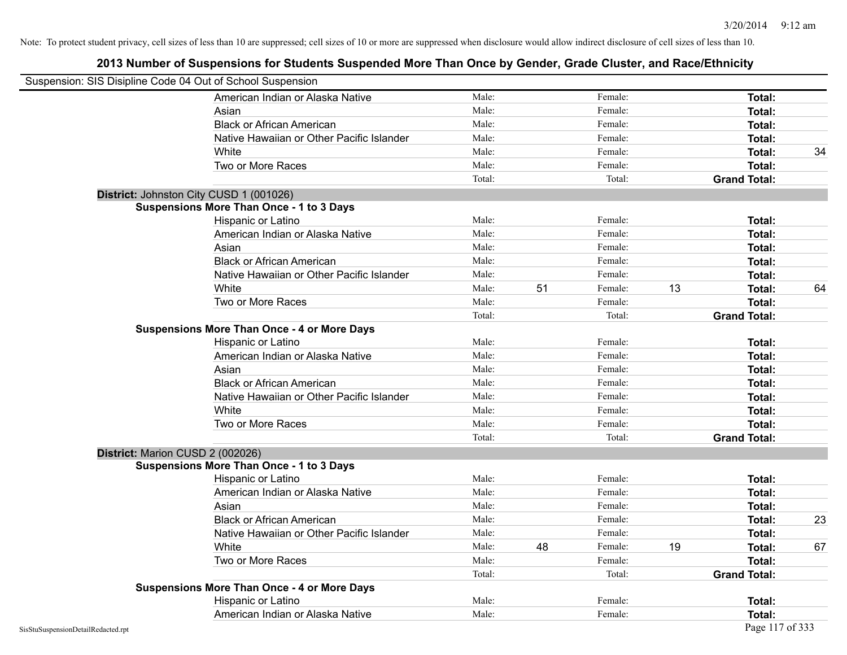| Suspension: SIS Disipline Code 04 Out of School Suspension |                                                    |        |    |         |    |                     |    |
|------------------------------------------------------------|----------------------------------------------------|--------|----|---------|----|---------------------|----|
|                                                            | American Indian or Alaska Native                   | Male:  |    | Female: |    | Total:              |    |
|                                                            | Asian                                              | Male:  |    | Female: |    | Total:              |    |
|                                                            | <b>Black or African American</b>                   | Male:  |    | Female: |    | Total:              |    |
|                                                            | Native Hawaiian or Other Pacific Islander          | Male:  |    | Female: |    | Total:              |    |
|                                                            | White                                              | Male:  |    | Female: |    | Total:              | 34 |
|                                                            | Two or More Races                                  | Male:  |    | Female: |    | <b>Total:</b>       |    |
|                                                            |                                                    | Total: |    | Total:  |    | <b>Grand Total:</b> |    |
|                                                            | District: Johnston City CUSD 1 (001026)            |        |    |         |    |                     |    |
|                                                            | <b>Suspensions More Than Once - 1 to 3 Days</b>    |        |    |         |    |                     |    |
|                                                            | Hispanic or Latino                                 | Male:  |    | Female: |    | Total:              |    |
|                                                            | American Indian or Alaska Native                   | Male:  |    | Female: |    | Total:              |    |
|                                                            | Asian                                              | Male:  |    | Female: |    | Total:              |    |
|                                                            | <b>Black or African American</b>                   | Male:  |    | Female: |    | Total:              |    |
|                                                            | Native Hawaiian or Other Pacific Islander          | Male:  |    | Female: |    | Total:              |    |
|                                                            | White                                              | Male:  | 51 | Female: | 13 | Total:              | 64 |
|                                                            | Two or More Races                                  | Male:  |    | Female: |    | <b>Total:</b>       |    |
|                                                            |                                                    | Total: |    | Total:  |    | <b>Grand Total:</b> |    |
|                                                            | <b>Suspensions More Than Once - 4 or More Days</b> |        |    |         |    |                     |    |
|                                                            | Hispanic or Latino                                 | Male:  |    | Female: |    | Total:              |    |
|                                                            | American Indian or Alaska Native                   | Male:  |    | Female: |    | Total:              |    |
|                                                            | Asian                                              | Male:  |    | Female: |    | Total:              |    |
|                                                            | <b>Black or African American</b>                   | Male:  |    | Female: |    | Total:              |    |
|                                                            | Native Hawaiian or Other Pacific Islander          | Male:  |    | Female: |    | Total:              |    |
|                                                            | White                                              | Male:  |    | Female: |    | Total:              |    |
|                                                            | Two or More Races                                  | Male:  |    | Female: |    | <b>Total:</b>       |    |
|                                                            |                                                    | Total: |    | Total:  |    | <b>Grand Total:</b> |    |
|                                                            | District: Marion CUSD 2 (002026)                   |        |    |         |    |                     |    |
|                                                            | <b>Suspensions More Than Once - 1 to 3 Days</b>    |        |    |         |    |                     |    |
|                                                            | Hispanic or Latino                                 | Male:  |    | Female: |    | Total:              |    |
|                                                            | American Indian or Alaska Native                   | Male:  |    | Female: |    | Total:              |    |
|                                                            | Asian                                              | Male:  |    | Female: |    | <b>Total:</b>       |    |
|                                                            | <b>Black or African American</b>                   | Male:  |    | Female: |    | Total:              | 23 |
|                                                            | Native Hawaiian or Other Pacific Islander          | Male:  |    | Female: |    | Total:              |    |
|                                                            | White                                              | Male:  | 48 | Female: | 19 | Total:              | 67 |
|                                                            | Two or More Races                                  | Male:  |    | Female: |    | Total:              |    |
|                                                            |                                                    | Total: |    | Total:  |    | <b>Grand Total:</b> |    |
|                                                            | <b>Suspensions More Than Once - 4 or More Days</b> |        |    |         |    |                     |    |
|                                                            | Hispanic or Latino                                 | Male:  |    | Female: |    | Total:              |    |
|                                                            | American Indian or Alaska Native                   | Male:  |    | Female: |    | Total:              |    |
| SisStuSuspensionDetailRedacted.rpt                         |                                                    |        |    |         |    | Page 117 of 333     |    |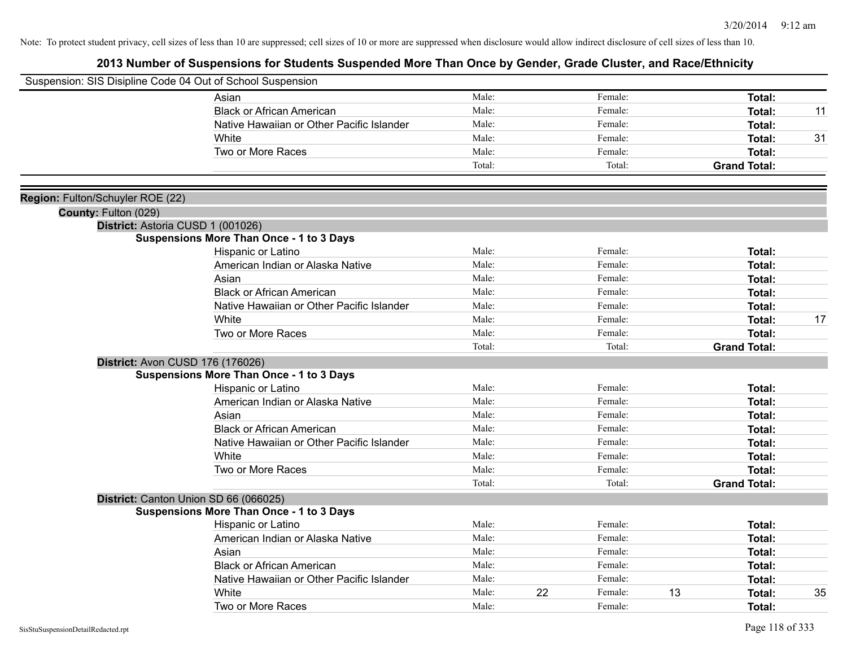| Suspension: SIS Disipline Code 04 Out of School Suspension |                                                 |        |    |         |                     |    |
|------------------------------------------------------------|-------------------------------------------------|--------|----|---------|---------------------|----|
|                                                            | Asian                                           | Male:  |    | Female: | Total:              |    |
|                                                            | <b>Black or African American</b>                | Male:  |    | Female: | Total:              | 11 |
|                                                            | Native Hawaiian or Other Pacific Islander       | Male:  |    | Female: | Total:              |    |
|                                                            | White                                           | Male:  |    | Female: | Total:              | 31 |
|                                                            | Two or More Races                               | Male:  |    | Female: | Total:              |    |
|                                                            |                                                 | Total: |    | Total:  | <b>Grand Total:</b> |    |
|                                                            |                                                 |        |    |         |                     |    |
| Region: Fulton/Schuyler ROE (22)<br>County: Fulton (029)   |                                                 |        |    |         |                     |    |
| District: Astoria CUSD 1 (001026)                          |                                                 |        |    |         |                     |    |
|                                                            | <b>Suspensions More Than Once - 1 to 3 Days</b> |        |    |         |                     |    |
|                                                            | Hispanic or Latino                              | Male:  |    | Female: | Total:              |    |
|                                                            | American Indian or Alaska Native                | Male:  |    | Female: | Total:              |    |
|                                                            | Asian                                           | Male:  |    | Female: | Total:              |    |
|                                                            | <b>Black or African American</b>                | Male:  |    | Female: | Total:              |    |
|                                                            | Native Hawaiian or Other Pacific Islander       | Male:  |    | Female: | Total:              |    |
|                                                            | White                                           | Male:  |    | Female: | Total:              | 17 |
|                                                            | Two or More Races                               | Male:  |    | Female: | Total:              |    |
|                                                            |                                                 | Total: |    | Total:  | <b>Grand Total:</b> |    |
| District: Avon CUSD 176 (176026)                           |                                                 |        |    |         |                     |    |
|                                                            | <b>Suspensions More Than Once - 1 to 3 Days</b> |        |    |         |                     |    |
|                                                            | Hispanic or Latino                              | Male:  |    | Female: | Total:              |    |
|                                                            | American Indian or Alaska Native                | Male:  |    | Female: | Total:              |    |
|                                                            | Asian                                           | Male:  |    | Female: | Total:              |    |
|                                                            | <b>Black or African American</b>                | Male:  |    | Female: | Total:              |    |
|                                                            | Native Hawaiian or Other Pacific Islander       | Male:  |    | Female: | Total:              |    |
|                                                            | White                                           | Male:  |    | Female: | Total:              |    |
|                                                            | Two or More Races                               | Male:  |    | Female: | Total:              |    |
|                                                            |                                                 | Total: |    | Total:  | <b>Grand Total:</b> |    |
|                                                            | District: Canton Union SD 66 (066025)           |        |    |         |                     |    |
|                                                            | <b>Suspensions More Than Once - 1 to 3 Days</b> |        |    |         |                     |    |
|                                                            | Hispanic or Latino                              | Male:  |    | Female: | Total:              |    |
|                                                            | American Indian or Alaska Native                | Male:  |    | Female: | Total:              |    |
|                                                            | Asian                                           | Male:  |    | Female: | Total:              |    |
|                                                            | <b>Black or African American</b>                | Male:  |    | Female: | Total:              |    |
|                                                            | Native Hawaiian or Other Pacific Islander       | Male:  |    | Female: | Total:              |    |
|                                                            | White                                           | Male:  | 22 | Female: | 13<br>Total:        | 35 |
|                                                            | Two or More Races                               | Male:  |    | Female: | Total:              |    |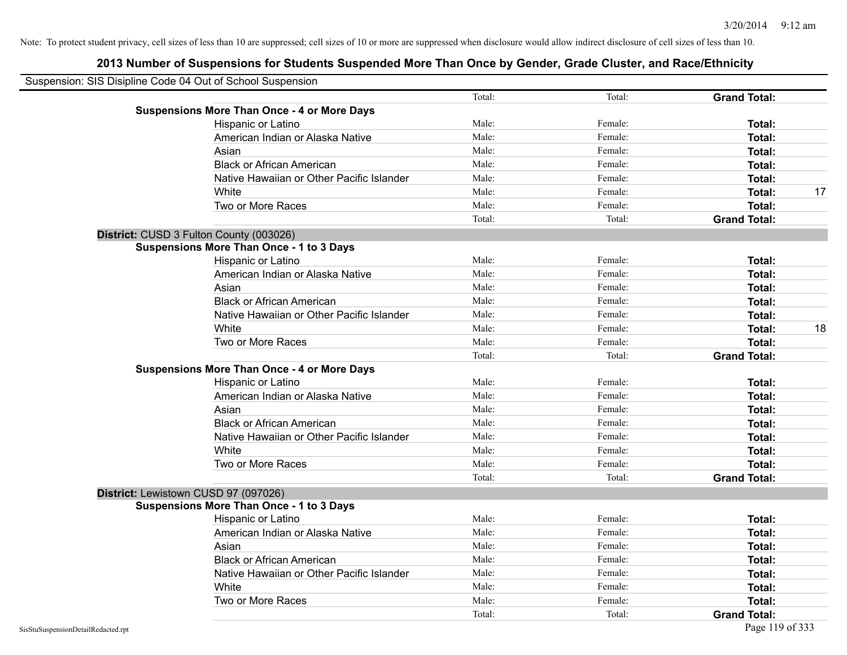| Suspension: SIS Disipline Code 04 Out of School Suspension |        |         |                     |    |
|------------------------------------------------------------|--------|---------|---------------------|----|
|                                                            | Total: | Total:  | <b>Grand Total:</b> |    |
| <b>Suspensions More Than Once - 4 or More Days</b>         |        |         |                     |    |
| Hispanic or Latino                                         | Male:  | Female: | Total:              |    |
| American Indian or Alaska Native                           | Male:  | Female: | Total:              |    |
| Asian                                                      | Male:  | Female: | Total:              |    |
| <b>Black or African American</b>                           | Male:  | Female: | Total:              |    |
| Native Hawaiian or Other Pacific Islander                  | Male:  | Female: | Total:              |    |
| White                                                      | Male:  | Female: | Total:              | 17 |
| Two or More Races                                          | Male:  | Female: | Total:              |    |
|                                                            | Total: | Total:  | <b>Grand Total:</b> |    |
| District: CUSD 3 Fulton County (003026)                    |        |         |                     |    |
| <b>Suspensions More Than Once - 1 to 3 Days</b>            |        |         |                     |    |
| Hispanic or Latino                                         | Male:  | Female: | Total:              |    |
| American Indian or Alaska Native                           | Male:  | Female: | Total:              |    |
| Asian                                                      | Male:  | Female: | Total:              |    |
| <b>Black or African American</b>                           | Male:  | Female: | Total:              |    |
| Native Hawaiian or Other Pacific Islander                  | Male:  | Female: | Total:              |    |
| White                                                      | Male:  | Female: | Total:              | 18 |
| Two or More Races                                          | Male:  | Female: | Total:              |    |
|                                                            | Total: | Total:  | <b>Grand Total:</b> |    |
| <b>Suspensions More Than Once - 4 or More Days</b>         |        |         |                     |    |
| Hispanic or Latino                                         | Male:  | Female: | Total:              |    |
| American Indian or Alaska Native                           | Male:  | Female: | Total:              |    |
| Asian                                                      | Male:  | Female: | Total:              |    |
| <b>Black or African American</b>                           | Male:  | Female: | Total:              |    |
| Native Hawaiian or Other Pacific Islander                  | Male:  | Female: | Total:              |    |
| White                                                      | Male:  | Female: | Total:              |    |
| Two or More Races                                          | Male:  | Female: | Total:              |    |
|                                                            | Total: | Total:  | <b>Grand Total:</b> |    |
| District: Lewistown CUSD 97 (097026)                       |        |         |                     |    |
| <b>Suspensions More Than Once - 1 to 3 Days</b>            |        |         |                     |    |
| Hispanic or Latino                                         | Male:  | Female: | Total:              |    |
| American Indian or Alaska Native                           | Male:  | Female: | Total:              |    |
| Asian                                                      | Male:  | Female: | Total:              |    |
| <b>Black or African American</b>                           | Male:  | Female: | Total:              |    |
| Native Hawaiian or Other Pacific Islander                  | Male:  | Female: | Total:              |    |
| White                                                      | Male:  | Female: | Total:              |    |
| Two or More Races                                          | Male:  | Female: | Total:              |    |
|                                                            | Total: | Total:  | <b>Grand Total:</b> |    |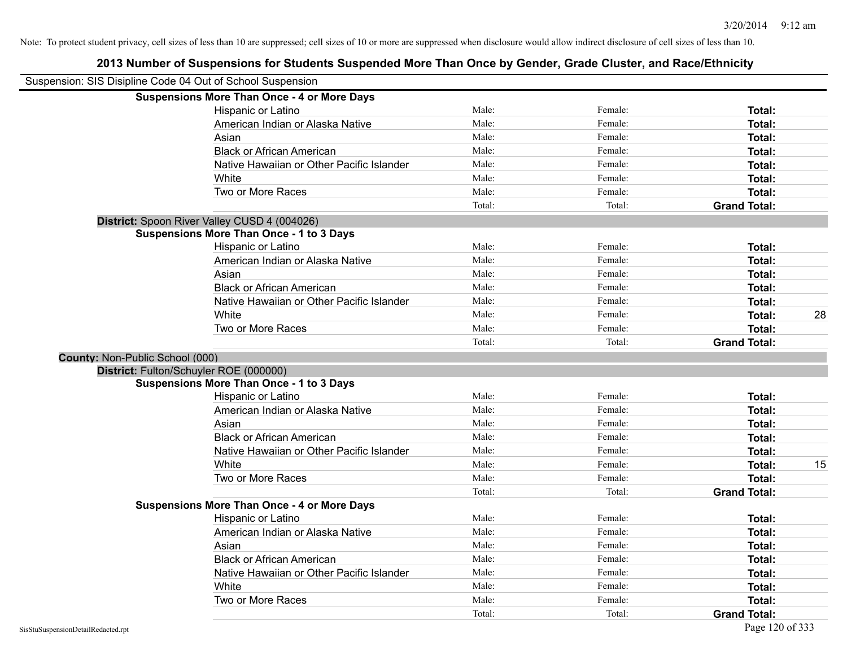| Suspension: SIS Disipline Code 04 Out of School Suspension |                                                    |        |         |                     |    |
|------------------------------------------------------------|----------------------------------------------------|--------|---------|---------------------|----|
|                                                            | <b>Suspensions More Than Once - 4 or More Days</b> |        |         |                     |    |
|                                                            | Hispanic or Latino                                 | Male:  | Female: | Total:              |    |
|                                                            | American Indian or Alaska Native                   | Male:  | Female: | Total:              |    |
|                                                            | Asian                                              | Male:  | Female: | Total:              |    |
|                                                            | <b>Black or African American</b>                   | Male:  | Female: | Total:              |    |
|                                                            | Native Hawaiian or Other Pacific Islander          | Male:  | Female: | Total:              |    |
|                                                            | White                                              | Male:  | Female: | Total:              |    |
|                                                            | Two or More Races                                  | Male:  | Female: | <b>Total:</b>       |    |
|                                                            |                                                    | Total: | Total:  | <b>Grand Total:</b> |    |
|                                                            | District: Spoon River Valley CUSD 4 (004026)       |        |         |                     |    |
|                                                            | <b>Suspensions More Than Once - 1 to 3 Days</b>    |        |         |                     |    |
|                                                            | Hispanic or Latino                                 | Male:  | Female: | <b>Total:</b>       |    |
|                                                            | American Indian or Alaska Native                   | Male:  | Female: | Total:              |    |
|                                                            | Asian                                              | Male:  | Female: | Total:              |    |
|                                                            | <b>Black or African American</b>                   | Male:  | Female: | Total:              |    |
|                                                            | Native Hawaiian or Other Pacific Islander          | Male:  | Female: | Total:              |    |
|                                                            | White                                              | Male:  | Female: | <b>Total:</b>       | 28 |
|                                                            | Two or More Races                                  | Male:  | Female: | Total:              |    |
|                                                            |                                                    | Total: | Total:  | <b>Grand Total:</b> |    |
| County: Non-Public School (000)                            |                                                    |        |         |                     |    |
|                                                            | District: Fulton/Schuyler ROE (000000)             |        |         |                     |    |
|                                                            | <b>Suspensions More Than Once - 1 to 3 Days</b>    |        |         |                     |    |
|                                                            | Hispanic or Latino                                 | Male:  | Female: | <b>Total:</b>       |    |
|                                                            | American Indian or Alaska Native                   | Male:  | Female: | Total:              |    |
|                                                            | Asian                                              | Male:  | Female: | Total:              |    |
|                                                            | <b>Black or African American</b>                   | Male:  | Female: | Total:              |    |
|                                                            | Native Hawaiian or Other Pacific Islander          | Male:  | Female: | Total:              |    |
|                                                            | White                                              | Male:  | Female: | <b>Total:</b>       | 15 |
|                                                            | Two or More Races                                  | Male:  | Female: | Total:              |    |
|                                                            |                                                    | Total: | Total:  | <b>Grand Total:</b> |    |
|                                                            | <b>Suspensions More Than Once - 4 or More Days</b> |        |         |                     |    |
|                                                            | Hispanic or Latino                                 | Male:  | Female: | Total:              |    |
|                                                            | American Indian or Alaska Native                   | Male:  | Female: | Total:              |    |
|                                                            | Asian                                              | Male:  | Female: | <b>Total:</b>       |    |
|                                                            | <b>Black or African American</b>                   | Male:  | Female: | Total:              |    |
|                                                            | Native Hawaiian or Other Pacific Islander          | Male:  | Female: | Total:              |    |
|                                                            | White                                              | Male:  | Female: | Total:              |    |
|                                                            | Two or More Races                                  | Male:  | Female: | <b>Total:</b>       |    |
|                                                            |                                                    | Total: | Total:  | <b>Grand Total:</b> |    |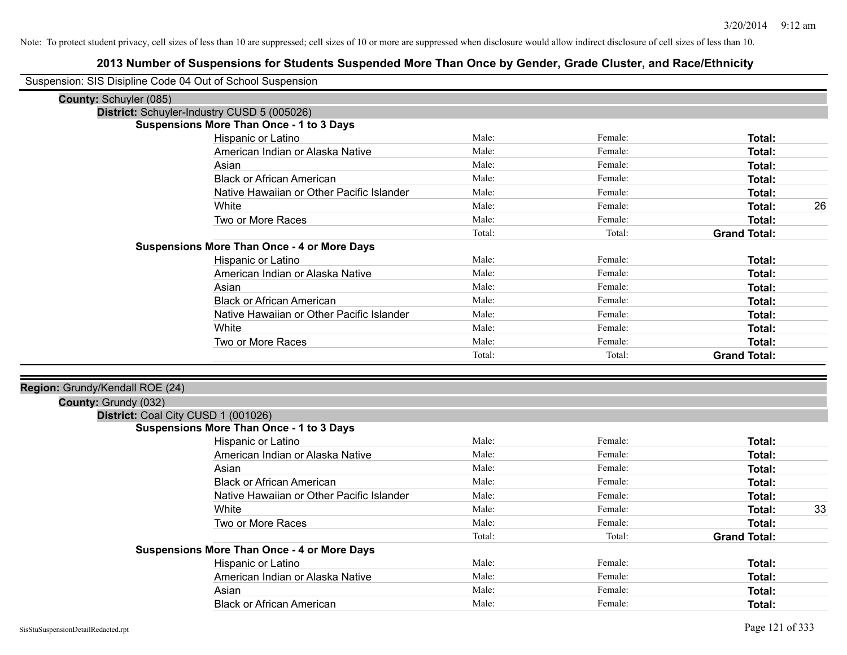| Suspension: SIS Disipline Code 04 Out of School Suspension |                                                    |        |         |                     |    |
|------------------------------------------------------------|----------------------------------------------------|--------|---------|---------------------|----|
| County: Schuyler (085)                                     |                                                    |        |         |                     |    |
|                                                            | District: Schuyler-Industry CUSD 5 (005026)        |        |         |                     |    |
|                                                            | <b>Suspensions More Than Once - 1 to 3 Days</b>    |        |         |                     |    |
|                                                            | Hispanic or Latino                                 | Male:  | Female: | Total:              |    |
|                                                            | American Indian or Alaska Native                   | Male:  | Female: | <b>Total:</b>       |    |
|                                                            | Asian                                              | Male:  | Female: | <b>Total:</b>       |    |
|                                                            | <b>Black or African American</b>                   | Male:  | Female: | <b>Total:</b>       |    |
|                                                            | Native Hawaiian or Other Pacific Islander          | Male:  | Female: | Total:              |    |
|                                                            | White                                              | Male:  | Female: | <b>Total:</b>       | 26 |
|                                                            | Two or More Races                                  | Male:  | Female: | <b>Total:</b>       |    |
|                                                            |                                                    | Total: | Total:  | <b>Grand Total:</b> |    |
|                                                            | <b>Suspensions More Than Once - 4 or More Days</b> |        |         |                     |    |
|                                                            | Hispanic or Latino                                 | Male:  | Female: | Total:              |    |
|                                                            | American Indian or Alaska Native                   | Male:  | Female: | <b>Total:</b>       |    |
|                                                            | Asian                                              | Male:  | Female: | <b>Total:</b>       |    |
|                                                            | <b>Black or African American</b>                   | Male:  | Female: | Total:              |    |
|                                                            | Native Hawaiian or Other Pacific Islander          | Male:  | Female: | Total:              |    |
|                                                            | White                                              | Male:  | Female: | Total:              |    |
|                                                            | Two or More Races                                  | Male:  | Female: | Total:              |    |
|                                                            |                                                    | Total: | Total:  | <b>Grand Total:</b> |    |
|                                                            |                                                    |        |         |                     |    |
| Region: Grundy/Kendall ROE (24)                            |                                                    |        |         |                     |    |
| County: Grundy (032)                                       |                                                    |        |         |                     |    |
| District: Coal City CUSD 1 (001026)                        |                                                    |        |         |                     |    |
|                                                            | <b>Suspensions More Than Once - 1 to 3 Days</b>    |        |         |                     |    |
|                                                            | Hispanic or Latino                                 | Male:  | Female: | Total:              |    |
|                                                            | American Indian or Alaska Native                   | Male:  | Female: | <b>Total:</b>       |    |
|                                                            | Asian                                              | Male:  | Female: | Total:              |    |
|                                                            | <b>Black or African American</b>                   | Male:  | Female: | <b>Total:</b>       |    |
|                                                            | Native Hawaiian or Other Pacific Islander          | Male:  | Female: | <b>Total:</b>       |    |
|                                                            | White                                              | Male:  | Female: | <b>Total:</b>       | 33 |
|                                                            | Two or More Races                                  | Male:  | Female: | Total:              |    |
|                                                            |                                                    | Total: | Total:  | <b>Grand Total:</b> |    |
|                                                            | <b>Suspensions More Than Once - 4 or More Days</b> |        |         |                     |    |
|                                                            | Hispanic or Latino                                 | Male:  | Female: | Total:              |    |
|                                                            | American Indian or Alaska Native                   | Male:  | Female: | Total:              |    |
|                                                            | Asian                                              | Male:  | Female: | <b>Total:</b>       |    |
|                                                            | <b>Black or African American</b>                   | Male:  | Female: | Total:              |    |
|                                                            |                                                    |        |         |                     |    |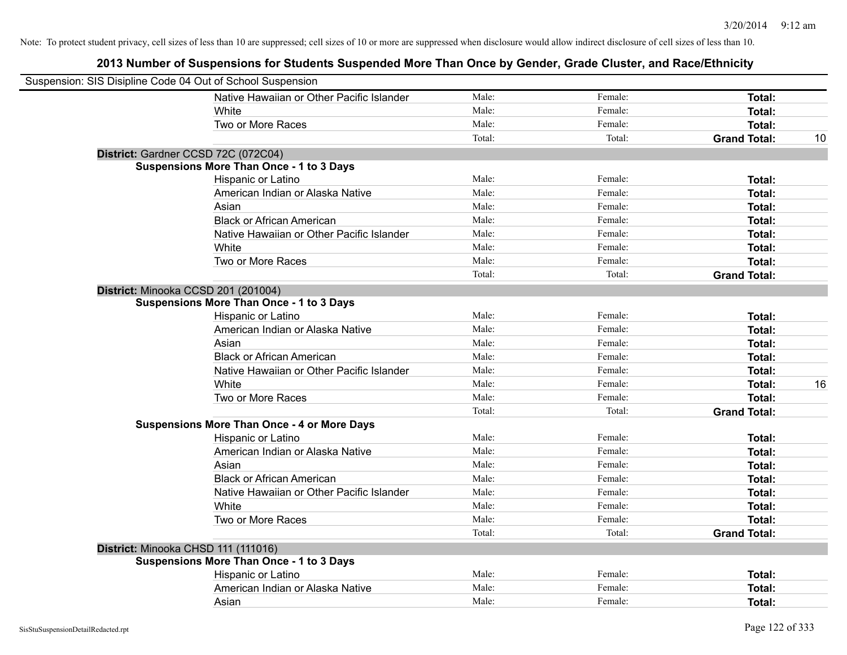| Suspension: SIS Disipline Code 04 Out of School Suspension |                                                    |        |         |                     |    |
|------------------------------------------------------------|----------------------------------------------------|--------|---------|---------------------|----|
|                                                            | Native Hawaiian or Other Pacific Islander          | Male:  | Female: | Total:              |    |
|                                                            | White                                              | Male:  | Female: | <b>Total:</b>       |    |
|                                                            | Two or More Races                                  | Male:  | Female: | <b>Total:</b>       |    |
|                                                            |                                                    | Total: | Total:  | <b>Grand Total:</b> | 10 |
| District: Gardner CCSD 72C (072C04)                        |                                                    |        |         |                     |    |
|                                                            | <b>Suspensions More Than Once - 1 to 3 Days</b>    |        |         |                     |    |
|                                                            | Hispanic or Latino                                 | Male:  | Female: | Total:              |    |
|                                                            | American Indian or Alaska Native                   | Male:  | Female: | Total:              |    |
|                                                            | Asian                                              | Male:  | Female: | <b>Total:</b>       |    |
|                                                            | <b>Black or African American</b>                   | Male:  | Female: | Total:              |    |
|                                                            | Native Hawaiian or Other Pacific Islander          | Male:  | Female: | Total:              |    |
|                                                            | White                                              | Male:  | Female: | Total:              |    |
|                                                            | Two or More Races                                  | Male:  | Female: | <b>Total:</b>       |    |
|                                                            |                                                    | Total: | Total:  | <b>Grand Total:</b> |    |
| District: Minooka CCSD 201 (201004)                        |                                                    |        |         |                     |    |
|                                                            | <b>Suspensions More Than Once - 1 to 3 Days</b>    |        |         |                     |    |
|                                                            | Hispanic or Latino                                 | Male:  | Female: | Total:              |    |
|                                                            | American Indian or Alaska Native                   | Male:  | Female: | Total:              |    |
|                                                            | Asian                                              | Male:  | Female: | Total:              |    |
|                                                            | <b>Black or African American</b>                   | Male:  | Female: | Total:              |    |
|                                                            | Native Hawaiian or Other Pacific Islander          | Male:  | Female: | Total:              |    |
|                                                            | White                                              | Male:  | Female: | Total:              | 16 |
|                                                            | Two or More Races                                  | Male:  | Female: | Total:              |    |
|                                                            |                                                    | Total: | Total:  | <b>Grand Total:</b> |    |
|                                                            | <b>Suspensions More Than Once - 4 or More Days</b> |        |         |                     |    |
|                                                            | Hispanic or Latino                                 | Male:  | Female: | Total:              |    |
|                                                            | American Indian or Alaska Native                   | Male:  | Female: | Total:              |    |
|                                                            | Asian                                              | Male:  | Female: | Total:              |    |
|                                                            | <b>Black or African American</b>                   | Male:  | Female: | Total:              |    |
|                                                            | Native Hawaiian or Other Pacific Islander          | Male:  | Female: | <b>Total:</b>       |    |
|                                                            | White                                              | Male:  | Female: | Total:              |    |
|                                                            | Two or More Races                                  | Male:  | Female: | <b>Total:</b>       |    |
|                                                            |                                                    | Total: | Total:  | <b>Grand Total:</b> |    |
| District: Minooka CHSD 111 (111016)                        |                                                    |        |         |                     |    |
|                                                            | <b>Suspensions More Than Once - 1 to 3 Days</b>    |        |         |                     |    |
|                                                            | Hispanic or Latino                                 | Male:  | Female: | <b>Total:</b>       |    |
|                                                            | American Indian or Alaska Native                   | Male:  | Female: | Total:              |    |
|                                                            | Asian                                              | Male:  | Female: | Total:              |    |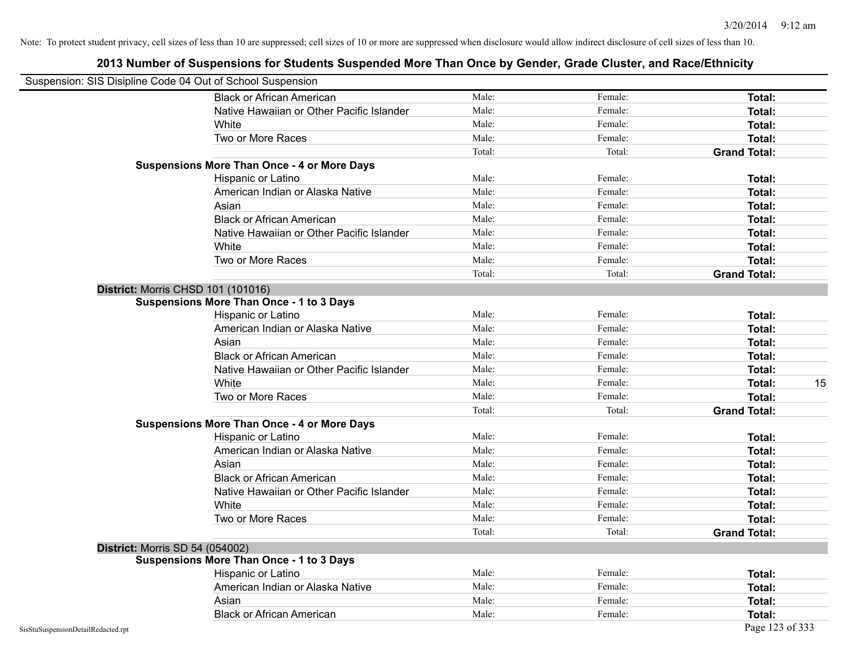| Suspension: SIS Disipline Code 04 Out of School Suspension |                                                    |        |         |                     |
|------------------------------------------------------------|----------------------------------------------------|--------|---------|---------------------|
|                                                            | <b>Black or African American</b>                   | Male:  | Female: | <b>Total:</b>       |
|                                                            | Native Hawaiian or Other Pacific Islander          | Male:  | Female: | Total:              |
|                                                            | White                                              | Male:  | Female: | Total:              |
|                                                            | Two or More Races                                  | Male:  | Female: | <b>Total:</b>       |
|                                                            |                                                    | Total: | Total:  | <b>Grand Total:</b> |
|                                                            | <b>Suspensions More Than Once - 4 or More Days</b> |        |         |                     |
|                                                            | Hispanic or Latino                                 | Male:  | Female: | Total:              |
|                                                            | American Indian or Alaska Native                   | Male:  | Female: | <b>Total:</b>       |
|                                                            | Asian                                              | Male:  | Female: | Total:              |
|                                                            | <b>Black or African American</b>                   | Male:  | Female: | <b>Total:</b>       |
|                                                            | Native Hawaiian or Other Pacific Islander          | Male:  | Female: | Total:              |
|                                                            | White                                              | Male:  | Female: | Total:              |
|                                                            | Two or More Races                                  | Male:  | Female: | Total:              |
|                                                            |                                                    | Total: | Total:  | <b>Grand Total:</b> |
|                                                            | District: Morris CHSD 101 (101016)                 |        |         |                     |
|                                                            | <b>Suspensions More Than Once - 1 to 3 Days</b>    |        |         |                     |
|                                                            | Hispanic or Latino                                 | Male:  | Female: | Total:              |
|                                                            | American Indian or Alaska Native                   | Male:  | Female: | <b>Total:</b>       |
|                                                            | Asian                                              | Male:  | Female: | Total:              |
|                                                            | <b>Black or African American</b>                   | Male:  | Female: | Total:              |
|                                                            | Native Hawaiian or Other Pacific Islander          | Male:  | Female: | Total:              |
|                                                            | White                                              | Male:  | Female: | 15<br>Total:        |
|                                                            | Two or More Races                                  | Male:  | Female: | <b>Total:</b>       |
|                                                            |                                                    | Total: | Total:  | <b>Grand Total:</b> |
|                                                            | <b>Suspensions More Than Once - 4 or More Days</b> |        |         |                     |
|                                                            | Hispanic or Latino                                 | Male:  | Female: | Total:              |
|                                                            | American Indian or Alaska Native                   | Male:  | Female: | <b>Total:</b>       |
|                                                            | Asian                                              | Male:  | Female: | Total:              |
|                                                            | <b>Black or African American</b>                   | Male:  | Female: | Total:              |
|                                                            | Native Hawaiian or Other Pacific Islander          | Male:  | Female: | Total:              |
|                                                            | White                                              | Male:  | Female: | Total:              |
|                                                            | Two or More Races                                  | Male:  | Female: | <b>Total:</b>       |
|                                                            |                                                    | Total: | Total:  | <b>Grand Total:</b> |
| <b>District: Morris SD 54 (054002)</b>                     |                                                    |        |         |                     |
|                                                            | <b>Suspensions More Than Once - 1 to 3 Days</b>    |        |         |                     |
|                                                            | Hispanic or Latino                                 | Male:  | Female: | Total:              |
|                                                            | American Indian or Alaska Native                   | Male:  | Female: | Total:              |
|                                                            | Asian                                              | Male:  | Female: | Total:              |
|                                                            | <b>Black or African American</b>                   | Male:  | Female: | Total:              |
| SisStuSuspensionDetailRedacted.rpt                         |                                                    |        |         | Page 123 of 333     |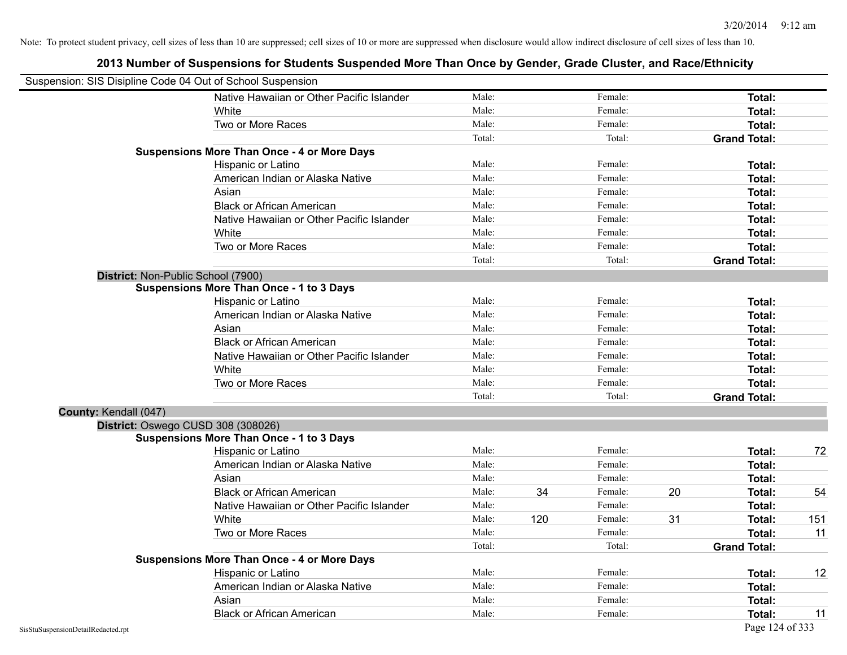| Suspension: SIS Disipline Code 04 Out of School Suspension |                                                    |        |     |         |    |                     |     |
|------------------------------------------------------------|----------------------------------------------------|--------|-----|---------|----|---------------------|-----|
|                                                            | Native Hawaiian or Other Pacific Islander          | Male:  |     | Female: |    | <b>Total:</b>       |     |
|                                                            | White                                              | Male:  |     | Female: |    | <b>Total:</b>       |     |
|                                                            | Two or More Races                                  | Male:  |     | Female: |    | <b>Total:</b>       |     |
|                                                            |                                                    | Total: |     | Total:  |    | <b>Grand Total:</b> |     |
|                                                            | <b>Suspensions More Than Once - 4 or More Days</b> |        |     |         |    |                     |     |
|                                                            | Hispanic or Latino                                 | Male:  |     | Female: |    | Total:              |     |
|                                                            | American Indian or Alaska Native                   | Male:  |     | Female: |    | Total:              |     |
|                                                            | Asian                                              | Male:  |     | Female: |    | <b>Total:</b>       |     |
|                                                            | <b>Black or African American</b>                   | Male:  |     | Female: |    | <b>Total:</b>       |     |
|                                                            | Native Hawaiian or Other Pacific Islander          | Male:  |     | Female: |    | <b>Total:</b>       |     |
|                                                            | White                                              | Male:  |     | Female: |    | <b>Total:</b>       |     |
|                                                            | Two or More Races                                  | Male:  |     | Female: |    | Total:              |     |
|                                                            |                                                    | Total: |     | Total:  |    | <b>Grand Total:</b> |     |
| District: Non-Public School (7900)                         |                                                    |        |     |         |    |                     |     |
|                                                            | <b>Suspensions More Than Once - 1 to 3 Days</b>    |        |     |         |    |                     |     |
|                                                            | Hispanic or Latino                                 | Male:  |     | Female: |    | Total:              |     |
|                                                            | American Indian or Alaska Native                   | Male:  |     | Female: |    | <b>Total:</b>       |     |
|                                                            | Asian                                              | Male:  |     | Female: |    | <b>Total:</b>       |     |
|                                                            | <b>Black or African American</b>                   | Male:  |     | Female: |    | <b>Total:</b>       |     |
|                                                            | Native Hawaiian or Other Pacific Islander          | Male:  |     | Female: |    | Total:              |     |
|                                                            | White                                              | Male:  |     | Female: |    | Total:              |     |
|                                                            | Two or More Races                                  | Male:  |     | Female: |    | <b>Total:</b>       |     |
|                                                            |                                                    | Total: |     | Total:  |    | <b>Grand Total:</b> |     |
| County: Kendall (047)                                      |                                                    |        |     |         |    |                     |     |
|                                                            | District: Oswego CUSD 308 (308026)                 |        |     |         |    |                     |     |
|                                                            | <b>Suspensions More Than Once - 1 to 3 Days</b>    |        |     |         |    |                     |     |
|                                                            | Hispanic or Latino                                 | Male:  |     | Female: |    | Total:              | 72  |
|                                                            | American Indian or Alaska Native                   | Male:  |     | Female: |    | <b>Total:</b>       |     |
|                                                            | Asian                                              | Male:  |     | Female: |    | Total:              |     |
|                                                            | <b>Black or African American</b>                   | Male:  | 34  | Female: | 20 | Total:              | 54  |
|                                                            | Native Hawaiian or Other Pacific Islander          | Male:  |     | Female: |    | Total:              |     |
|                                                            | White                                              | Male:  | 120 | Female: | 31 | <b>Total:</b>       | 151 |
|                                                            | Two or More Races                                  | Male:  |     | Female: |    | <b>Total:</b>       | 11  |
|                                                            |                                                    | Total: |     | Total:  |    | <b>Grand Total:</b> |     |
|                                                            | <b>Suspensions More Than Once - 4 or More Days</b> |        |     |         |    |                     |     |
|                                                            | Hispanic or Latino                                 | Male:  |     | Female: |    | Total:              | 12  |
|                                                            | American Indian or Alaska Native                   | Male:  |     | Female: |    | <b>Total:</b>       |     |
|                                                            | Asian                                              | Male:  |     | Female: |    | <b>Total:</b>       |     |
|                                                            | <b>Black or African American</b>                   | Male:  |     | Female: |    | Total:              | 11  |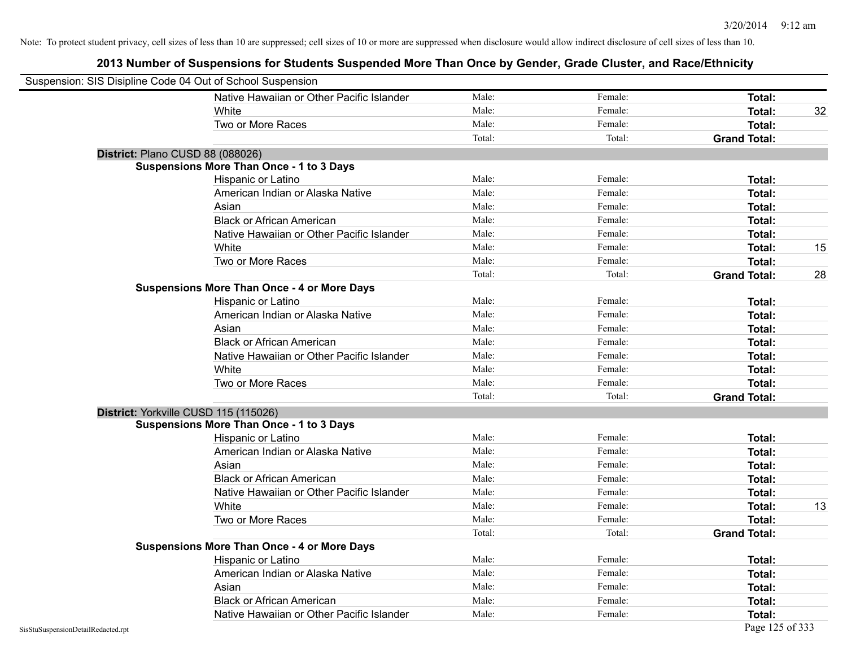| Suspension: SIS Disipline Code 04 Out of School Suspension |                                                    |        |         |                     |    |
|------------------------------------------------------------|----------------------------------------------------|--------|---------|---------------------|----|
|                                                            | Native Hawaiian or Other Pacific Islander          | Male:  | Female: | Total:              |    |
|                                                            | White                                              | Male:  | Female: | <b>Total:</b>       | 32 |
|                                                            | Two or More Races                                  | Male:  | Female: | Total:              |    |
|                                                            |                                                    | Total: | Total:  | <b>Grand Total:</b> |    |
| District: Plano CUSD 88 (088026)                           |                                                    |        |         |                     |    |
|                                                            | <b>Suspensions More Than Once - 1 to 3 Days</b>    |        |         |                     |    |
|                                                            | Hispanic or Latino                                 | Male:  | Female: | Total:              |    |
|                                                            | American Indian or Alaska Native                   | Male:  | Female: | Total:              |    |
|                                                            | Asian                                              | Male:  | Female: | Total:              |    |
|                                                            | <b>Black or African American</b>                   | Male:  | Female: | <b>Total:</b>       |    |
|                                                            | Native Hawaiian or Other Pacific Islander          | Male:  | Female: | Total:              |    |
|                                                            | White                                              | Male:  | Female: | <b>Total:</b>       | 15 |
|                                                            | Two or More Races                                  | Male:  | Female: | Total:              |    |
|                                                            |                                                    | Total: | Total:  | <b>Grand Total:</b> | 28 |
|                                                            | <b>Suspensions More Than Once - 4 or More Days</b> |        |         |                     |    |
|                                                            | Hispanic or Latino                                 | Male:  | Female: | Total:              |    |
|                                                            | American Indian or Alaska Native                   | Male:  | Female: | <b>Total:</b>       |    |
|                                                            | Asian                                              | Male:  | Female: | Total:              |    |
|                                                            | <b>Black or African American</b>                   | Male:  | Female: | Total:              |    |
|                                                            | Native Hawaiian or Other Pacific Islander          | Male:  | Female: | Total:              |    |
|                                                            | White                                              | Male:  | Female: | Total:              |    |
|                                                            | Two or More Races                                  | Male:  | Female: | Total:              |    |
|                                                            |                                                    | Total: | Total:  | <b>Grand Total:</b> |    |
| District: Yorkville CUSD 115 (115026)                      |                                                    |        |         |                     |    |
|                                                            | <b>Suspensions More Than Once - 1 to 3 Days</b>    |        |         |                     |    |
|                                                            | Hispanic or Latino                                 | Male:  | Female: | <b>Total:</b>       |    |
|                                                            | American Indian or Alaska Native                   | Male:  | Female: | Total:              |    |
|                                                            | Asian                                              | Male:  | Female: | Total:              |    |
|                                                            | <b>Black or African American</b>                   | Male:  | Female: | Total:              |    |
|                                                            | Native Hawaiian or Other Pacific Islander          | Male:  | Female: | Total:              |    |
|                                                            | White                                              | Male:  | Female: | Total:              | 13 |
|                                                            | Two or More Races                                  | Male:  | Female: | <b>Total:</b>       |    |
|                                                            |                                                    | Total: | Total:  | <b>Grand Total:</b> |    |
|                                                            | <b>Suspensions More Than Once - 4 or More Days</b> |        |         |                     |    |
|                                                            | <b>Hispanic or Latino</b>                          | Male:  | Female: | Total:              |    |
|                                                            | American Indian or Alaska Native                   | Male:  | Female: | Total:              |    |
|                                                            | Asian                                              | Male:  | Female: | Total:              |    |
|                                                            | <b>Black or African American</b>                   | Male:  | Female: | <b>Total:</b>       |    |
|                                                            | Native Hawaiian or Other Pacific Islander          | Male:  | Female: | Total:              |    |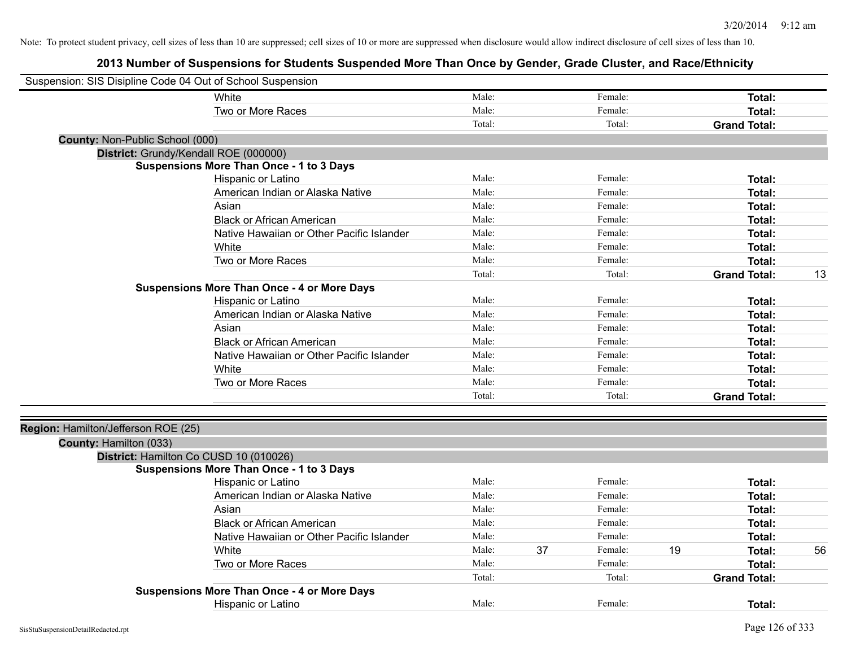| Suspension: SIS Disipline Code 04 Out of School Suspension |                                                    |        |    |         |    |                     |    |
|------------------------------------------------------------|----------------------------------------------------|--------|----|---------|----|---------------------|----|
|                                                            | White                                              | Male:  |    | Female: |    | <b>Total:</b>       |    |
|                                                            | Two or More Races                                  | Male:  |    | Female: |    | Total:              |    |
|                                                            |                                                    | Total: |    | Total:  |    | <b>Grand Total:</b> |    |
| <b>County: Non-Public School (000)</b>                     |                                                    |        |    |         |    |                     |    |
|                                                            | District: Grundy/Kendall ROE (000000)              |        |    |         |    |                     |    |
|                                                            | <b>Suspensions More Than Once - 1 to 3 Days</b>    |        |    |         |    |                     |    |
|                                                            | Hispanic or Latino                                 | Male:  |    | Female: |    | Total:              |    |
|                                                            | American Indian or Alaska Native                   | Male:  |    | Female: |    | Total:              |    |
|                                                            | Asian                                              | Male:  |    | Female: |    | <b>Total:</b>       |    |
|                                                            | <b>Black or African American</b>                   | Male:  |    | Female: |    | <b>Total:</b>       |    |
|                                                            | Native Hawaiian or Other Pacific Islander          | Male:  |    | Female: |    | Total:              |    |
|                                                            | White                                              | Male:  |    | Female: |    | <b>Total:</b>       |    |
|                                                            | Two or More Races                                  | Male:  |    | Female: |    | <b>Total:</b>       |    |
|                                                            |                                                    | Total: |    | Total:  |    | <b>Grand Total:</b> | 13 |
|                                                            | <b>Suspensions More Than Once - 4 or More Days</b> |        |    |         |    |                     |    |
|                                                            | Hispanic or Latino                                 | Male:  |    | Female: |    | <b>Total:</b>       |    |
|                                                            | American Indian or Alaska Native                   | Male:  |    | Female: |    | <b>Total:</b>       |    |
|                                                            | Asian                                              | Male:  |    | Female: |    | <b>Total:</b>       |    |
|                                                            | <b>Black or African American</b>                   | Male:  |    | Female: |    | Total:              |    |
|                                                            | Native Hawaiian or Other Pacific Islander          | Male:  |    | Female: |    | Total:              |    |
|                                                            | White                                              | Male:  |    | Female: |    | Total:              |    |
|                                                            | Two or More Races                                  | Male:  |    | Female: |    | Total:              |    |
|                                                            |                                                    | Total: |    | Total:  |    | <b>Grand Total:</b> |    |
|                                                            |                                                    |        |    |         |    |                     |    |
| Region: Hamilton/Jefferson ROE (25)                        |                                                    |        |    |         |    |                     |    |
| County: Hamilton (033)                                     | District: Hamilton Co CUSD 10 (010026)             |        |    |         |    |                     |    |
|                                                            | <b>Suspensions More Than Once - 1 to 3 Days</b>    |        |    |         |    |                     |    |
|                                                            | Hispanic or Latino                                 | Male:  |    | Female: |    | <b>Total:</b>       |    |
|                                                            | American Indian or Alaska Native                   | Male:  |    | Female: |    | <b>Total:</b>       |    |
|                                                            | Asian                                              | Male:  |    | Female: |    | Total:              |    |
|                                                            | <b>Black or African American</b>                   | Male:  |    | Female: |    | <b>Total:</b>       |    |
|                                                            | Native Hawaiian or Other Pacific Islander          | Male:  |    | Female: |    |                     |    |
|                                                            | White                                              | Male:  |    | Female: |    | Total:              |    |
|                                                            |                                                    |        | 37 |         | 19 | Total:              | 56 |
|                                                            | Two or More Races                                  | Male:  |    | Female: |    | Total:              |    |
|                                                            |                                                    | Total: |    | Total:  |    | <b>Grand Total:</b> |    |
|                                                            | <b>Suspensions More Than Once - 4 or More Days</b> |        |    |         |    |                     |    |
|                                                            | <b>Hispanic or Latino</b>                          | Male:  |    | Female: |    | Total:              |    |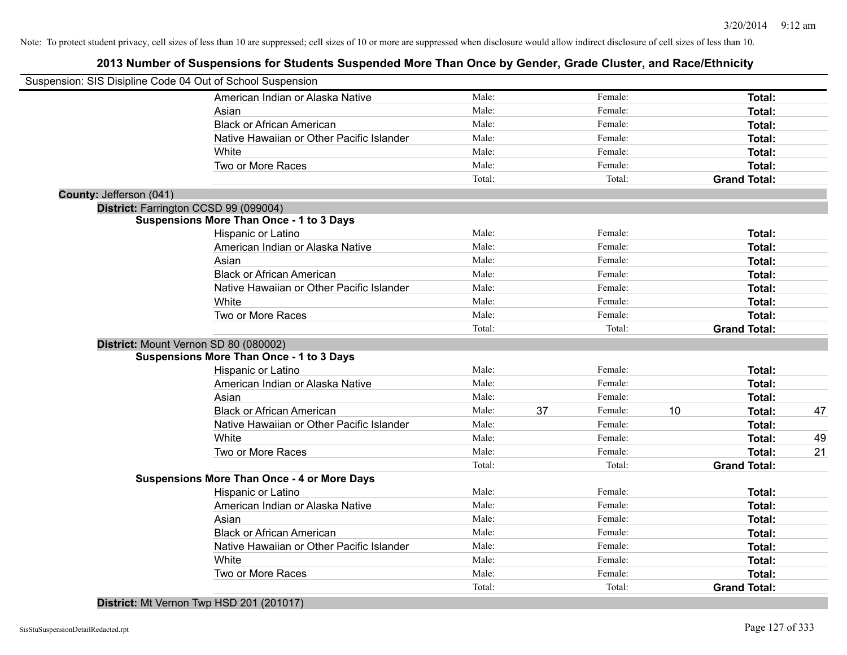## **2013 Number of Suspensions for Students Suspended More Than Once by Gender, Grade Cluster, and Race/Ethnicity**

|                         | Suspension: SIS Disipline Code 04 Out of School Suspension |        |    |         |    |                     |    |
|-------------------------|------------------------------------------------------------|--------|----|---------|----|---------------------|----|
|                         | American Indian or Alaska Native                           | Male:  |    | Female: |    | Total:              |    |
|                         | Asian                                                      | Male:  |    | Female: |    | Total:              |    |
|                         | <b>Black or African American</b>                           | Male:  |    | Female: |    | Total:              |    |
|                         | Native Hawaiian or Other Pacific Islander                  | Male:  |    | Female: |    | Total:              |    |
|                         | White                                                      | Male:  |    | Female: |    | Total:              |    |
|                         | Two or More Races                                          | Male:  |    | Female: |    | Total:              |    |
|                         |                                                            | Total: |    | Total:  |    | <b>Grand Total:</b> |    |
| County: Jefferson (041) |                                                            |        |    |         |    |                     |    |
|                         | District: Farrington CCSD 99 (099004)                      |        |    |         |    |                     |    |
|                         | <b>Suspensions More Than Once - 1 to 3 Days</b>            |        |    |         |    |                     |    |
|                         | Hispanic or Latino                                         | Male:  |    | Female: |    | Total:              |    |
|                         | American Indian or Alaska Native                           | Male:  |    | Female: |    | Total:              |    |
|                         | Asian                                                      | Male:  |    | Female: |    | Total:              |    |
|                         | <b>Black or African American</b>                           | Male:  |    | Female: |    | Total:              |    |
|                         | Native Hawaiian or Other Pacific Islander                  | Male:  |    | Female: |    | Total:              |    |
|                         | White                                                      | Male:  |    | Female: |    | Total:              |    |
|                         | Two or More Races                                          | Male:  |    | Female: |    | Total:              |    |
|                         |                                                            | Total: |    | Total:  |    | <b>Grand Total:</b> |    |
|                         | District: Mount Vernon SD 80 (080002)                      |        |    |         |    |                     |    |
|                         | <b>Suspensions More Than Once - 1 to 3 Days</b>            |        |    |         |    |                     |    |
|                         | Hispanic or Latino                                         | Male:  |    | Female: |    | Total:              |    |
|                         | American Indian or Alaska Native                           | Male:  |    | Female: |    | Total:              |    |
|                         | Asian                                                      | Male:  |    | Female: |    | Total:              |    |
|                         | <b>Black or African American</b>                           | Male:  | 37 | Female: | 10 | Total:              | 47 |
|                         | Native Hawaiian or Other Pacific Islander                  | Male:  |    | Female: |    | Total:              |    |
|                         | White                                                      | Male:  |    | Female: |    | Total:              | 49 |
|                         | Two or More Races                                          | Male:  |    | Female: |    | Total:              | 21 |
|                         |                                                            | Total: |    | Total:  |    | <b>Grand Total:</b> |    |
|                         | <b>Suspensions More Than Once - 4 or More Days</b>         |        |    |         |    |                     |    |
|                         | Hispanic or Latino                                         | Male:  |    | Female: |    | Total:              |    |
|                         | American Indian or Alaska Native                           | Male:  |    | Female: |    | Total:              |    |
|                         | Asian                                                      | Male:  |    | Female: |    | Total:              |    |
|                         | <b>Black or African American</b>                           | Male:  |    | Female: |    | Total:              |    |
|                         | Native Hawaiian or Other Pacific Islander                  | Male:  |    | Female: |    | Total:              |    |
|                         | White                                                      | Male:  |    | Female: |    | Total:              |    |
|                         | Two or More Races                                          | Male:  |    | Female: |    | Total:              |    |
|                         |                                                            | Total: |    | Total:  |    | <b>Grand Total:</b> |    |

**District:** Mt Vernon Twp HSD 201 (201017)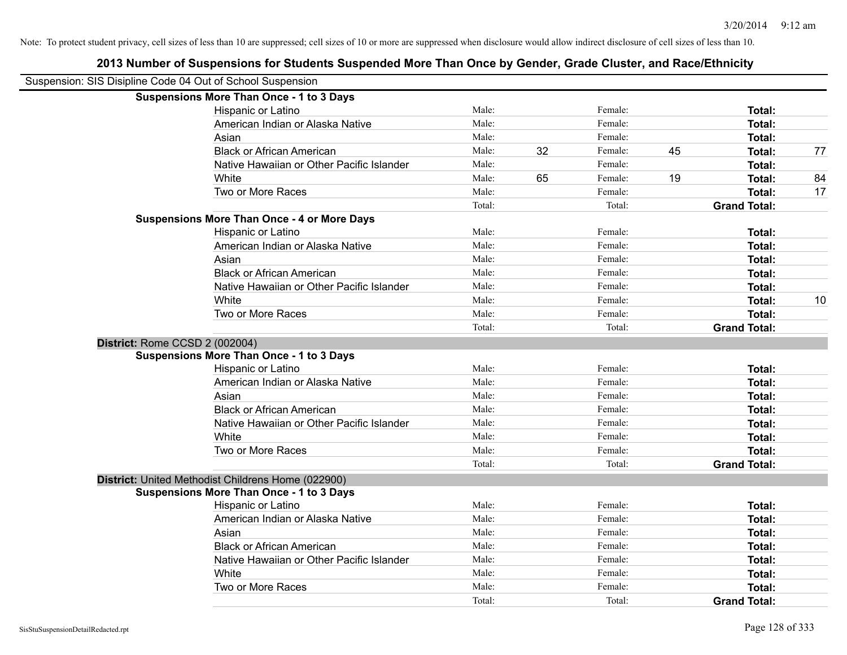| Suspension: SIS Disipline Code 04 Out of School Suspension |        |    |         |    |                     |    |
|------------------------------------------------------------|--------|----|---------|----|---------------------|----|
| <b>Suspensions More Than Once - 1 to 3 Days</b>            |        |    |         |    |                     |    |
| Hispanic or Latino                                         | Male:  |    | Female: |    | Total:              |    |
| American Indian or Alaska Native                           | Male:  |    | Female: |    | Total:              |    |
| Asian                                                      | Male:  |    | Female: |    | Total:              |    |
| <b>Black or African American</b>                           | Male:  | 32 | Female: | 45 | Total:              | 77 |
| Native Hawaiian or Other Pacific Islander                  | Male:  |    | Female: |    | Total:              |    |
| White                                                      | Male:  | 65 | Female: | 19 | Total:              | 84 |
| Two or More Races                                          | Male:  |    | Female: |    | Total:              | 17 |
|                                                            | Total: |    | Total:  |    | <b>Grand Total:</b> |    |
| <b>Suspensions More Than Once - 4 or More Days</b>         |        |    |         |    |                     |    |
| Hispanic or Latino                                         | Male:  |    | Female: |    | Total:              |    |
| American Indian or Alaska Native                           | Male:  |    | Female: |    | Total:              |    |
| Asian                                                      | Male:  |    | Female: |    | Total:              |    |
| <b>Black or African American</b>                           | Male:  |    | Female: |    | Total:              |    |
| Native Hawaiian or Other Pacific Islander                  | Male:  |    | Female: |    | Total:              |    |
| White                                                      | Male:  |    | Female: |    | Total:              | 10 |
| Two or More Races                                          | Male:  |    | Female: |    | Total:              |    |
|                                                            | Total: |    | Total:  |    | <b>Grand Total:</b> |    |
| District: Rome CCSD 2 (002004)                             |        |    |         |    |                     |    |
| <b>Suspensions More Than Once - 1 to 3 Days</b>            |        |    |         |    |                     |    |
| Hispanic or Latino                                         | Male:  |    | Female: |    | Total:              |    |
| American Indian or Alaska Native                           | Male:  |    | Female: |    | Total:              |    |
| Asian                                                      | Male:  |    | Female: |    | Total:              |    |
| <b>Black or African American</b>                           | Male:  |    | Female: |    | Total:              |    |
| Native Hawaiian or Other Pacific Islander                  | Male:  |    | Female: |    | Total:              |    |
| White                                                      | Male:  |    | Female: |    | Total:              |    |
| Two or More Races                                          | Male:  |    | Female: |    | Total:              |    |
|                                                            | Total: |    | Total:  |    | <b>Grand Total:</b> |    |
| District: United Methodist Childrens Home (022900)         |        |    |         |    |                     |    |
| <b>Suspensions More Than Once - 1 to 3 Days</b>            |        |    |         |    |                     |    |
| Hispanic or Latino                                         | Male:  |    | Female: |    | Total:              |    |
| American Indian or Alaska Native                           | Male:  |    | Female: |    | Total:              |    |
| Asian                                                      | Male:  |    | Female: |    | Total:              |    |
| <b>Black or African American</b>                           | Male:  |    | Female: |    | Total:              |    |
| Native Hawaiian or Other Pacific Islander                  | Male:  |    | Female: |    | Total:              |    |
| White                                                      | Male:  |    | Female: |    | Total:              |    |
| Two or More Races                                          | Male:  |    | Female: |    | Total:              |    |
|                                                            | Total: |    | Total:  |    | <b>Grand Total:</b> |    |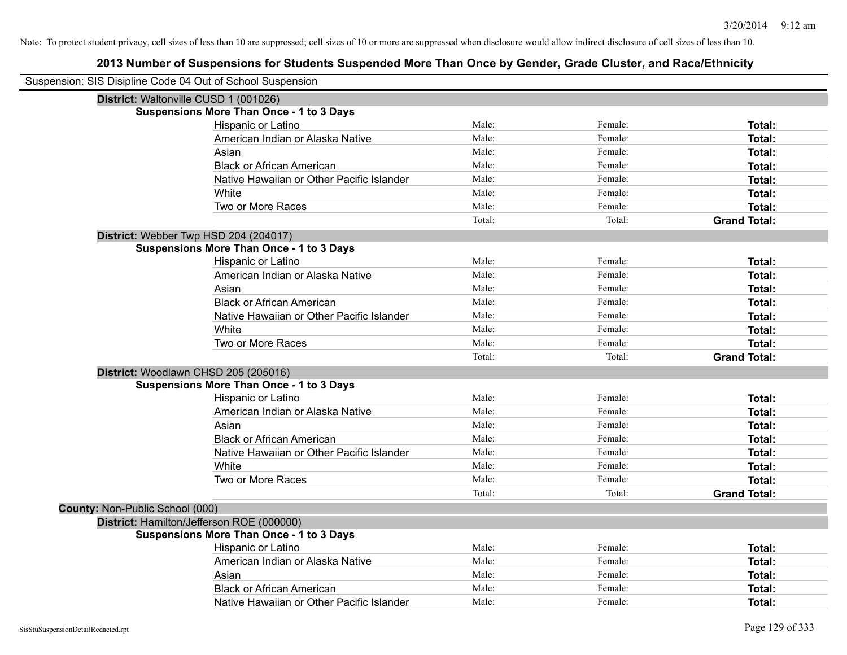| Suspension: SIS Disipline Code 04 Out of School Suspension |                                                 |        |         |                     |
|------------------------------------------------------------|-------------------------------------------------|--------|---------|---------------------|
| District: Waltonville CUSD 1 (001026)                      |                                                 |        |         |                     |
|                                                            | <b>Suspensions More Than Once - 1 to 3 Days</b> |        |         |                     |
|                                                            | Hispanic or Latino                              | Male:  | Female: | Total:              |
|                                                            | American Indian or Alaska Native                | Male:  | Female: | <b>Total:</b>       |
|                                                            | Asian                                           | Male:  | Female: | <b>Total:</b>       |
|                                                            | <b>Black or African American</b>                | Male:  | Female: | <b>Total:</b>       |
|                                                            | Native Hawaiian or Other Pacific Islander       | Male:  | Female: | <b>Total:</b>       |
|                                                            | White                                           | Male:  | Female: | Total:              |
|                                                            | Two or More Races                               | Male:  | Female: | <b>Total:</b>       |
|                                                            |                                                 | Total: | Total:  | <b>Grand Total:</b> |
|                                                            | District: Webber Twp HSD 204 (204017)           |        |         |                     |
|                                                            | <b>Suspensions More Than Once - 1 to 3 Days</b> |        |         |                     |
|                                                            | Hispanic or Latino                              | Male:  | Female: | <b>Total:</b>       |
|                                                            | American Indian or Alaska Native                | Male:  | Female: | Total:              |
|                                                            | Asian                                           | Male:  | Female: | <b>Total:</b>       |
|                                                            | <b>Black or African American</b>                | Male:  | Female: | <b>Total:</b>       |
|                                                            | Native Hawaiian or Other Pacific Islander       | Male:  | Female: | <b>Total:</b>       |
|                                                            | White                                           | Male:  | Female: | Total:              |
|                                                            | Two or More Races                               | Male:  | Female: | Total:              |
|                                                            |                                                 | Total: | Total:  | <b>Grand Total:</b> |
|                                                            | District: Woodlawn CHSD 205 (205016)            |        |         |                     |
|                                                            | <b>Suspensions More Than Once - 1 to 3 Days</b> |        |         |                     |
|                                                            | Hispanic or Latino                              | Male:  | Female: | Total:              |
|                                                            | American Indian or Alaska Native                | Male:  | Female: | Total:              |
|                                                            | Asian                                           | Male:  | Female: | Total:              |
|                                                            | <b>Black or African American</b>                | Male:  | Female: | <b>Total:</b>       |
|                                                            | Native Hawaiian or Other Pacific Islander       | Male:  | Female: | <b>Total:</b>       |
|                                                            | White                                           | Male:  | Female: | <b>Total:</b>       |
|                                                            | Two or More Races                               | Male:  | Female: | <b>Total:</b>       |
|                                                            |                                                 | Total: | Total:  | <b>Grand Total:</b> |
| County: Non-Public School (000)                            |                                                 |        |         |                     |
|                                                            | District: Hamilton/Jefferson ROE (000000)       |        |         |                     |
|                                                            | <b>Suspensions More Than Once - 1 to 3 Days</b> |        |         |                     |
|                                                            | <b>Hispanic or Latino</b>                       | Male:  | Female: | Total:              |
|                                                            | American Indian or Alaska Native                | Male:  | Female: | Total:              |
|                                                            | Asian                                           | Male:  | Female: | <b>Total:</b>       |
|                                                            | <b>Black or African American</b>                | Male:  | Female: | <b>Total:</b>       |
|                                                            | Native Hawaiian or Other Pacific Islander       | Male:  | Female: | Total:              |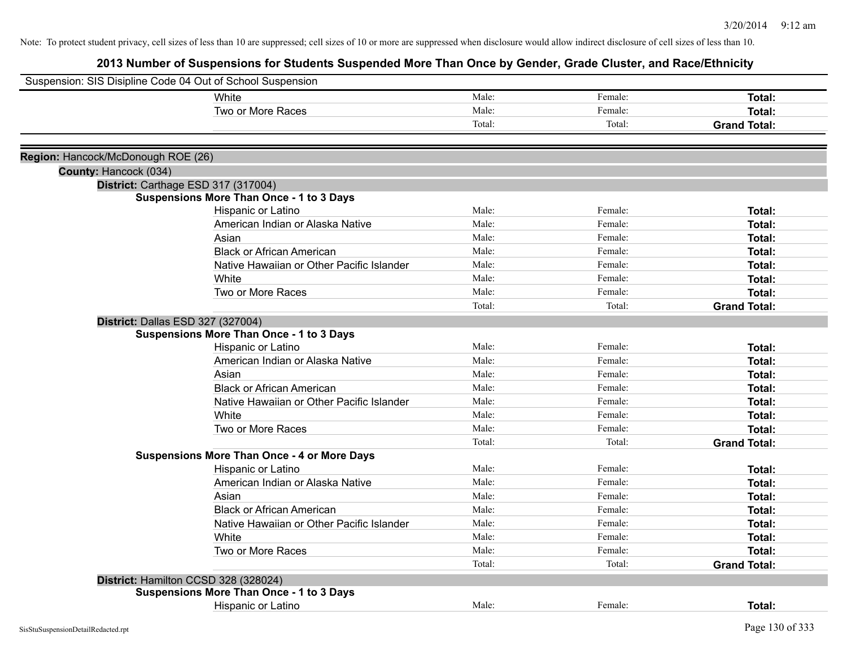| Suspension: SIS Disipline Code 04 Out of School Suspension |                                                    |        |         |                     |
|------------------------------------------------------------|----------------------------------------------------|--------|---------|---------------------|
|                                                            | White                                              | Male:  | Female: | Total:              |
|                                                            | Two or More Races                                  | Male:  | Female: | Total:              |
|                                                            |                                                    | Total: | Total:  | <b>Grand Total:</b> |
|                                                            |                                                    |        |         |                     |
| Region: Hancock/McDonough ROE (26)                         |                                                    |        |         |                     |
| County: Hancock (034)                                      |                                                    |        |         |                     |
|                                                            | District: Carthage ESD 317 (317004)                |        |         |                     |
|                                                            | <b>Suspensions More Than Once - 1 to 3 Days</b>    |        |         |                     |
|                                                            | Hispanic or Latino                                 | Male:  | Female: | Total:              |
|                                                            | American Indian or Alaska Native                   | Male:  | Female: | Total:              |
|                                                            | Asian                                              | Male:  | Female: | Total:              |
|                                                            | <b>Black or African American</b>                   | Male:  | Female: | Total:              |
|                                                            | Native Hawaiian or Other Pacific Islander          | Male:  | Female: | Total:              |
|                                                            | White                                              | Male:  | Female: | Total:              |
|                                                            | Two or More Races                                  | Male:  | Female: | Total:              |
|                                                            |                                                    | Total: | Total:  | <b>Grand Total:</b> |
| District: Dallas ESD 327 (327004)                          |                                                    |        |         |                     |
|                                                            | <b>Suspensions More Than Once - 1 to 3 Days</b>    |        |         |                     |
|                                                            | Hispanic or Latino                                 | Male:  | Female: | Total:              |
|                                                            | American Indian or Alaska Native                   | Male:  | Female: | Total:              |
|                                                            | Asian                                              | Male:  | Female: | Total:              |
|                                                            | <b>Black or African American</b>                   | Male:  | Female: | Total:              |
|                                                            | Native Hawaiian or Other Pacific Islander          | Male:  | Female: | Total:              |
|                                                            | <b>White</b>                                       | Male:  | Female: | Total:              |
|                                                            | Two or More Races                                  | Male:  | Female: | Total:              |
|                                                            |                                                    | Total: | Total:  | <b>Grand Total:</b> |
|                                                            | <b>Suspensions More Than Once - 4 or More Days</b> |        |         |                     |
|                                                            | Hispanic or Latino                                 | Male:  | Female: | Total:              |
|                                                            | American Indian or Alaska Native                   | Male:  | Female: | Total:              |
|                                                            | Asian                                              | Male:  | Female: | Total:              |
|                                                            | <b>Black or African American</b>                   | Male:  | Female: | Total:              |
|                                                            | Native Hawaiian or Other Pacific Islander          | Male:  | Female: | Total:              |
|                                                            | White                                              | Male:  | Female: | Total:              |
|                                                            | Two or More Races                                  | Male:  | Female: | Total:              |
|                                                            |                                                    | Total: | Total:  | <b>Grand Total:</b> |
|                                                            | District: Hamilton CCSD 328 (328024)               |        |         |                     |
|                                                            | <b>Suspensions More Than Once - 1 to 3 Days</b>    |        |         |                     |
|                                                            | Hispanic or Latino                                 | Male:  | Female: | Total:              |
|                                                            |                                                    |        |         |                     |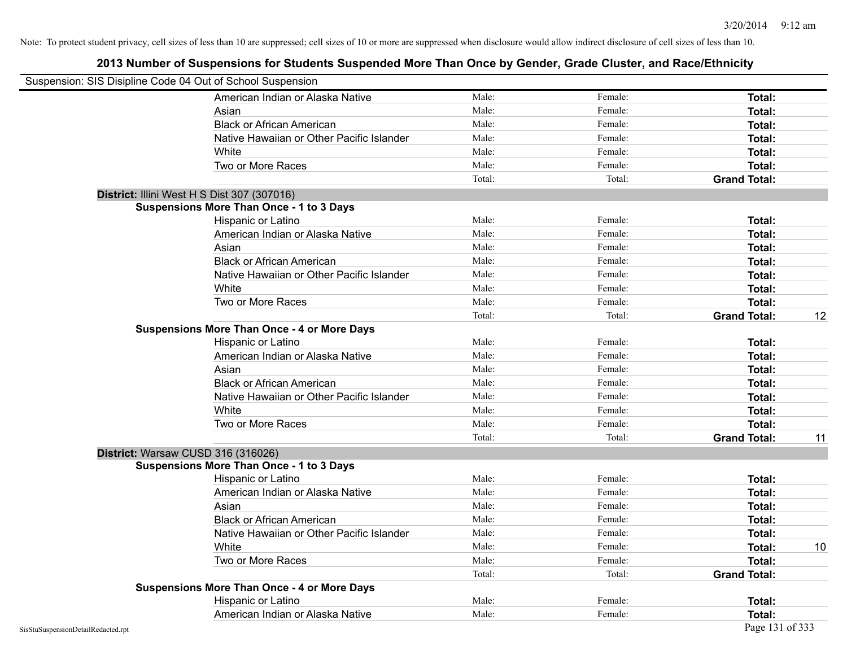|                                    | Suspension: SIS Disipline Code 04 Out of School Suspension |        |         |                     |    |
|------------------------------------|------------------------------------------------------------|--------|---------|---------------------|----|
|                                    | American Indian or Alaska Native                           | Male:  | Female: | <b>Total:</b>       |    |
|                                    | Asian                                                      | Male:  | Female: | Total:              |    |
|                                    | <b>Black or African American</b>                           | Male:  | Female: | Total:              |    |
|                                    | Native Hawaiian or Other Pacific Islander                  | Male:  | Female: | Total:              |    |
|                                    | White                                                      | Male:  | Female: | Total:              |    |
|                                    | Two or More Races                                          | Male:  | Female: | Total:              |    |
|                                    |                                                            | Total: | Total:  | <b>Grand Total:</b> |    |
|                                    | District: Illini West H S Dist 307 (307016)                |        |         |                     |    |
|                                    | <b>Suspensions More Than Once - 1 to 3 Days</b>            |        |         |                     |    |
|                                    | Hispanic or Latino                                         | Male:  | Female: | Total:              |    |
|                                    | American Indian or Alaska Native                           | Male:  | Female: | Total:              |    |
|                                    | Asian                                                      | Male:  | Female: | Total:              |    |
|                                    | <b>Black or African American</b>                           | Male:  | Female: | Total:              |    |
|                                    | Native Hawaiian or Other Pacific Islander                  | Male:  | Female: | <b>Total:</b>       |    |
|                                    | White                                                      | Male:  | Female: | Total:              |    |
|                                    | Two or More Races                                          | Male:  | Female: | Total:              |    |
|                                    |                                                            | Total: | Total:  | <b>Grand Total:</b> | 12 |
|                                    | <b>Suspensions More Than Once - 4 or More Days</b>         |        |         |                     |    |
|                                    | Hispanic or Latino                                         | Male:  | Female: | Total:              |    |
|                                    | American Indian or Alaska Native                           | Male:  | Female: | Total:              |    |
|                                    | Asian                                                      | Male:  | Female: | Total:              |    |
|                                    | <b>Black or African American</b>                           | Male:  | Female: | Total:              |    |
|                                    | Native Hawaiian or Other Pacific Islander                  | Male:  | Female: | <b>Total:</b>       |    |
|                                    | White                                                      | Male:  | Female: | Total:              |    |
|                                    | Two or More Races                                          | Male:  | Female: | Total:              |    |
|                                    |                                                            | Total: | Total:  | <b>Grand Total:</b> | 11 |
|                                    | District: Warsaw CUSD 316 (316026)                         |        |         |                     |    |
|                                    | <b>Suspensions More Than Once - 1 to 3 Days</b>            |        |         |                     |    |
|                                    | Hispanic or Latino                                         | Male:  | Female: | Total:              |    |
|                                    | American Indian or Alaska Native                           | Male:  | Female: | Total:              |    |
|                                    | Asian                                                      | Male:  | Female: | Total:              |    |
|                                    | <b>Black or African American</b>                           | Male:  | Female: | Total:              |    |
|                                    | Native Hawaiian or Other Pacific Islander                  | Male:  | Female: | <b>Total:</b>       |    |
|                                    | White                                                      | Male:  | Female: | Total:              | 10 |
|                                    | Two or More Races                                          | Male:  | Female: | Total:              |    |
|                                    |                                                            | Total: | Total:  | <b>Grand Total:</b> |    |
|                                    | <b>Suspensions More Than Once - 4 or More Days</b>         |        |         |                     |    |
|                                    | Hispanic or Latino                                         | Male:  | Female: | Total:              |    |
|                                    | American Indian or Alaska Native                           | Male:  | Female: | Total:              |    |
| SisStuSuspensionDetailRedacted.rpt |                                                            |        |         | Page 131 of 333     |    |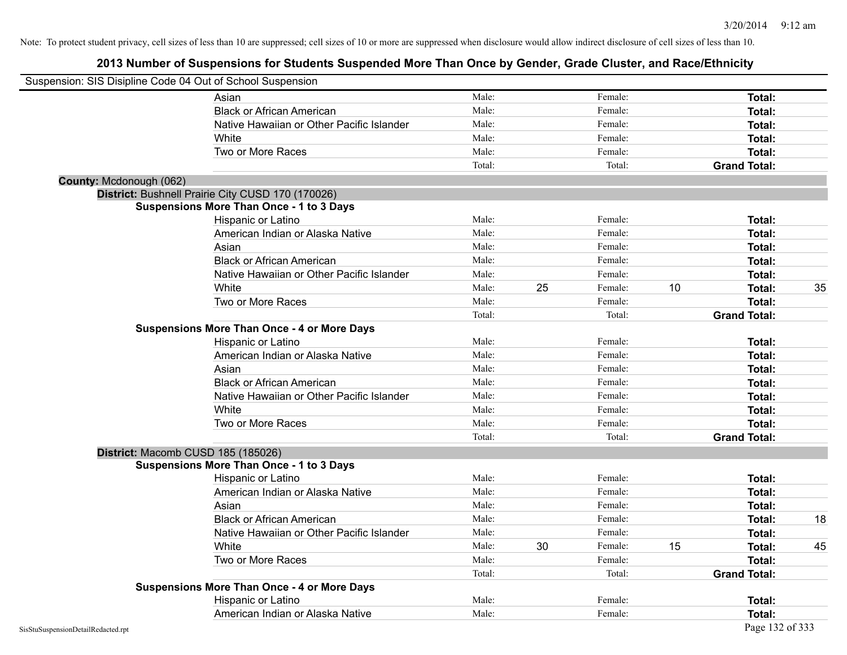|                         | Suspension: SIS Disipline Code 04 Out of School Suspension |        |    |         |    |                     |    |
|-------------------------|------------------------------------------------------------|--------|----|---------|----|---------------------|----|
|                         | Asian                                                      | Male:  |    | Female: |    | Total:              |    |
|                         | <b>Black or African American</b>                           | Male:  |    | Female: |    | Total:              |    |
|                         | Native Hawaiian or Other Pacific Islander                  | Male:  |    | Female: |    | Total:              |    |
|                         | White                                                      | Male:  |    | Female: |    | Total:              |    |
|                         | Two or More Races                                          | Male:  |    | Female: |    | Total:              |    |
|                         |                                                            | Total: |    | Total:  |    | <b>Grand Total:</b> |    |
| County: Mcdonough (062) |                                                            |        |    |         |    |                     |    |
|                         | District: Bushnell Prairie City CUSD 170 (170026)          |        |    |         |    |                     |    |
|                         | <b>Suspensions More Than Once - 1 to 3 Days</b>            |        |    |         |    |                     |    |
|                         | Hispanic or Latino                                         | Male:  |    | Female: |    | <b>Total:</b>       |    |
|                         | American Indian or Alaska Native                           | Male:  |    | Female: |    | Total:              |    |
|                         | Asian                                                      | Male:  |    | Female: |    | Total:              |    |
|                         | <b>Black or African American</b>                           | Male:  |    | Female: |    | Total:              |    |
|                         | Native Hawaiian or Other Pacific Islander                  | Male:  |    | Female: |    | Total:              |    |
|                         | White                                                      | Male:  | 25 | Female: | 10 | Total:              | 35 |
|                         | Two or More Races                                          | Male:  |    | Female: |    | Total:              |    |
|                         |                                                            | Total: |    | Total:  |    | <b>Grand Total:</b> |    |
|                         | <b>Suspensions More Than Once - 4 or More Days</b>         |        |    |         |    |                     |    |
|                         | Hispanic or Latino                                         | Male:  |    | Female: |    | Total:              |    |
|                         | American Indian or Alaska Native                           | Male:  |    | Female: |    | Total:              |    |
|                         | Asian                                                      | Male:  |    | Female: |    | Total:              |    |
|                         | <b>Black or African American</b>                           | Male:  |    | Female: |    | Total:              |    |
|                         | Native Hawaiian or Other Pacific Islander                  | Male:  |    | Female: |    | <b>Total:</b>       |    |
|                         | White                                                      | Male:  |    | Female: |    | Total:              |    |
|                         | Two or More Races                                          | Male:  |    | Female: |    | Total:              |    |
|                         |                                                            | Total: |    | Total:  |    | <b>Grand Total:</b> |    |
|                         | District: Macomb CUSD 185 (185026)                         |        |    |         |    |                     |    |
|                         | <b>Suspensions More Than Once - 1 to 3 Days</b>            |        |    |         |    |                     |    |
|                         | <b>Hispanic or Latino</b>                                  | Male:  |    | Female: |    | Total:              |    |
|                         | American Indian or Alaska Native                           | Male:  |    | Female: |    | Total:              |    |
|                         | Asian                                                      | Male:  |    | Female: |    | Total:              |    |
|                         | <b>Black or African American</b>                           | Male:  |    | Female: |    | Total:              | 18 |
|                         | Native Hawaiian or Other Pacific Islander                  | Male:  |    | Female: |    | Total:              |    |
|                         | White                                                      | Male:  | 30 | Female: | 15 | Total:              | 45 |
|                         | Two or More Races                                          | Male:  |    | Female: |    | Total:              |    |
|                         |                                                            | Total: |    | Total:  |    | <b>Grand Total:</b> |    |
|                         | <b>Suspensions More Than Once - 4 or More Days</b>         |        |    |         |    |                     |    |
|                         | Hispanic or Latino                                         | Male:  |    | Female: |    | Total:              |    |
|                         | American Indian or Alaska Native                           | Male:  |    | Female: |    | Total:              |    |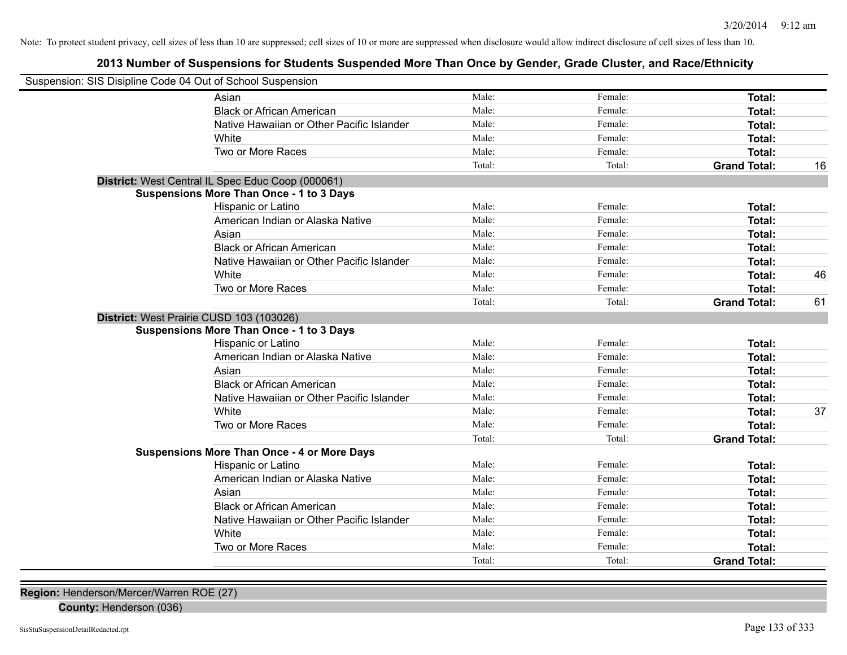## **2013 Number of Suspensions for Students Suspended More Than Once by Gender, Grade Cluster, and Race/Ethnicity**

| Suspension: SIS Disipline Code 04 Out of School Suspension |                                                    |        |         |                     |    |
|------------------------------------------------------------|----------------------------------------------------|--------|---------|---------------------|----|
|                                                            | Asian                                              | Male:  | Female: | Total:              |    |
|                                                            | <b>Black or African American</b>                   | Male:  | Female: | Total:              |    |
|                                                            | Native Hawaiian or Other Pacific Islander          | Male:  | Female: | <b>Total:</b>       |    |
|                                                            | White                                              | Male:  | Female: | <b>Total:</b>       |    |
|                                                            | Two or More Races                                  | Male:  | Female: | <b>Total:</b>       |    |
|                                                            |                                                    | Total: | Total:  | <b>Grand Total:</b> | 16 |
|                                                            | District: West Central IL Spec Educ Coop (000061)  |        |         |                     |    |
|                                                            | <b>Suspensions More Than Once - 1 to 3 Days</b>    |        |         |                     |    |
|                                                            | Hispanic or Latino                                 | Male:  | Female: | Total:              |    |
|                                                            | American Indian or Alaska Native                   | Male:  | Female: | Total:              |    |
|                                                            | Asian                                              | Male:  | Female: | <b>Total:</b>       |    |
|                                                            | <b>Black or African American</b>                   | Male:  | Female: | Total:              |    |
|                                                            | Native Hawaiian or Other Pacific Islander          | Male:  | Female: | <b>Total:</b>       |    |
|                                                            | White                                              | Male:  | Female: | <b>Total:</b>       | 46 |
|                                                            | Two or More Races                                  | Male:  | Female: | <b>Total:</b>       |    |
|                                                            |                                                    | Total: | Total:  | <b>Grand Total:</b> | 61 |
|                                                            | District: West Prairie CUSD 103 (103026)           |        |         |                     |    |
|                                                            | <b>Suspensions More Than Once - 1 to 3 Days</b>    |        |         |                     |    |
|                                                            | Hispanic or Latino                                 | Male:  | Female: | <b>Total:</b>       |    |
|                                                            | American Indian or Alaska Native                   | Male:  | Female: | <b>Total:</b>       |    |
|                                                            | Asian                                              | Male:  | Female: | Total:              |    |
|                                                            | <b>Black or African American</b>                   | Male:  | Female: | Total:              |    |
|                                                            | Native Hawaiian or Other Pacific Islander          | Male:  | Female: | Total:              |    |
|                                                            | White                                              | Male:  | Female: | <b>Total:</b>       | 37 |
|                                                            | Two or More Races                                  | Male:  | Female: | <b>Total:</b>       |    |
|                                                            |                                                    | Total: | Total:  | <b>Grand Total:</b> |    |
|                                                            | <b>Suspensions More Than Once - 4 or More Days</b> |        |         |                     |    |
|                                                            | Hispanic or Latino                                 | Male:  | Female: | Total:              |    |
|                                                            | American Indian or Alaska Native                   | Male:  | Female: | <b>Total:</b>       |    |
|                                                            | Asian                                              | Male:  | Female: | <b>Total:</b>       |    |
|                                                            | <b>Black or African American</b>                   | Male:  | Female: | <b>Total:</b>       |    |
|                                                            | Native Hawaiian or Other Pacific Islander          | Male:  | Female: | Total:              |    |
|                                                            | White                                              | Male:  | Female: | Total:              |    |
|                                                            | Two or More Races                                  | Male:  | Female: | <b>Total:</b>       |    |
|                                                            |                                                    | Total: | Total:  | <b>Grand Total:</b> |    |
|                                                            |                                                    |        |         |                     |    |

**Region:** Henderson/Mercer/Warren ROE (27)

**County:** Henderson (036)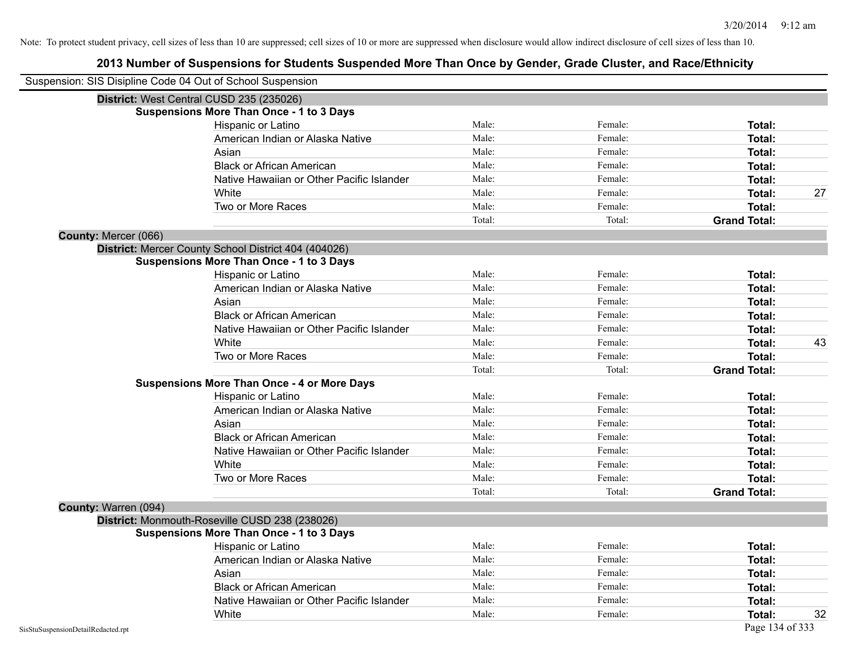| Suspension: SIS Disipline Code 04 Out of School Suspension |                                                      |        |         |                     |    |
|------------------------------------------------------------|------------------------------------------------------|--------|---------|---------------------|----|
|                                                            | District: West Central CUSD 235 (235026)             |        |         |                     |    |
|                                                            | <b>Suspensions More Than Once - 1 to 3 Days</b>      |        |         |                     |    |
|                                                            | Hispanic or Latino                                   | Male:  | Female: | Total:              |    |
|                                                            | American Indian or Alaska Native                     | Male:  | Female: | Total:              |    |
|                                                            | Asian                                                | Male:  | Female: | Total:              |    |
|                                                            | <b>Black or African American</b>                     | Male:  | Female: | Total:              |    |
|                                                            | Native Hawaiian or Other Pacific Islander            | Male:  | Female: | Total:              |    |
|                                                            | White                                                | Male:  | Female: | Total:              | 27 |
|                                                            | Two or More Races                                    | Male:  | Female: | Total:              |    |
|                                                            |                                                      | Total: | Total:  | <b>Grand Total:</b> |    |
| County: Mercer (066)                                       |                                                      |        |         |                     |    |
|                                                            | District: Mercer County School District 404 (404026) |        |         |                     |    |
|                                                            | <b>Suspensions More Than Once - 1 to 3 Days</b>      |        |         |                     |    |
|                                                            | Hispanic or Latino                                   | Male:  | Female: | Total:              |    |
|                                                            | American Indian or Alaska Native                     | Male:  | Female: | Total:              |    |
|                                                            | Asian                                                | Male:  | Female: | Total:              |    |
|                                                            | <b>Black or African American</b>                     | Male:  | Female: | Total:              |    |
|                                                            | Native Hawaiian or Other Pacific Islander            | Male:  | Female: | Total:              |    |
|                                                            | White                                                | Male:  | Female: | Total:              | 43 |
|                                                            | Two or More Races                                    | Male:  | Female: | Total:              |    |
|                                                            |                                                      | Total: | Total:  | <b>Grand Total:</b> |    |
|                                                            | <b>Suspensions More Than Once - 4 or More Days</b>   |        |         |                     |    |
|                                                            | Hispanic or Latino                                   | Male:  | Female: | Total:              |    |
|                                                            | American Indian or Alaska Native                     | Male:  | Female: | Total:              |    |
|                                                            | Asian                                                | Male:  | Female: | Total:              |    |
|                                                            | <b>Black or African American</b>                     | Male:  | Female: | Total:              |    |
|                                                            | Native Hawaiian or Other Pacific Islander            | Male:  | Female: | Total:              |    |
|                                                            | White                                                | Male:  | Female: | <b>Total:</b>       |    |
|                                                            | Two or More Races                                    | Male:  | Female: | Total:              |    |
|                                                            |                                                      | Total: | Total:  | <b>Grand Total:</b> |    |
| County: Warren (094)                                       |                                                      |        |         |                     |    |
|                                                            | District: Monmouth-Roseville CUSD 238 (238026)       |        |         |                     |    |
|                                                            | <b>Suspensions More Than Once - 1 to 3 Days</b>      |        |         |                     |    |
|                                                            | Hispanic or Latino                                   | Male:  | Female: | Total:              |    |
|                                                            | American Indian or Alaska Native                     | Male:  | Female: | Total:              |    |
|                                                            | Asian                                                | Male:  | Female: | Total:              |    |
|                                                            | <b>Black or African American</b>                     | Male:  | Female: | Total:              |    |
|                                                            | Native Hawaiian or Other Pacific Islander            | Male:  | Female: | Total:              |    |
|                                                            | White                                                | Male:  | Female: | Total:              | 32 |
| SisStuSuspensionDetailRedacted.rpt                         |                                                      |        |         | Page 134 of 333     |    |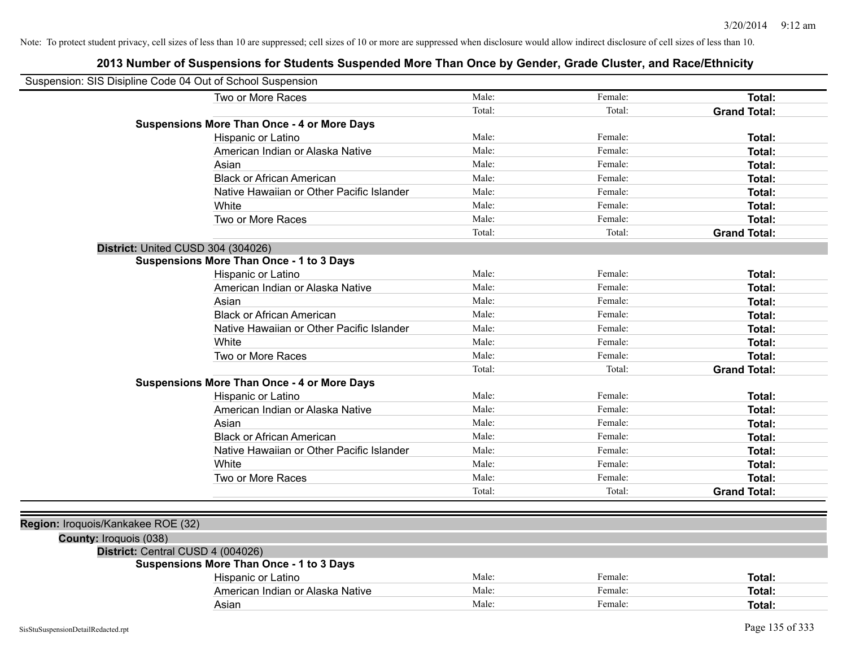| Suspension: SIS Disipline Code 04 Out of School Suspension |                                                    |        |         |                     |
|------------------------------------------------------------|----------------------------------------------------|--------|---------|---------------------|
|                                                            | Two or More Races                                  | Male:  | Female: | Total:              |
|                                                            |                                                    | Total: | Total:  | <b>Grand Total:</b> |
|                                                            | <b>Suspensions More Than Once - 4 or More Days</b> |        |         |                     |
|                                                            | Hispanic or Latino                                 | Male:  | Female: | Total:              |
|                                                            | American Indian or Alaska Native                   | Male:  | Female: | Total:              |
|                                                            | Asian                                              | Male:  | Female: | Total:              |
|                                                            | <b>Black or African American</b>                   | Male:  | Female: | Total:              |
|                                                            | Native Hawaiian or Other Pacific Islander          | Male:  | Female: | Total:              |
|                                                            | White                                              | Male:  | Female: | Total:              |
|                                                            | Two or More Races                                  | Male:  | Female: | Total:              |
|                                                            |                                                    | Total: | Total:  | <b>Grand Total:</b> |
| District: United CUSD 304 (304026)                         |                                                    |        |         |                     |
|                                                            | <b>Suspensions More Than Once - 1 to 3 Days</b>    |        |         |                     |
|                                                            | Hispanic or Latino                                 | Male:  | Female: | Total:              |
|                                                            | American Indian or Alaska Native                   | Male:  | Female: | Total:              |
|                                                            | Asian                                              | Male:  | Female: | Total:              |
|                                                            | <b>Black or African American</b>                   | Male:  | Female: | Total:              |
|                                                            | Native Hawaiian or Other Pacific Islander          | Male:  | Female: | Total:              |
|                                                            | White                                              | Male:  | Female: | Total:              |
|                                                            | Two or More Races                                  | Male:  | Female: | Total:              |
|                                                            |                                                    | Total: | Total:  | <b>Grand Total:</b> |
|                                                            | <b>Suspensions More Than Once - 4 or More Days</b> |        |         |                     |
|                                                            | Hispanic or Latino                                 | Male:  | Female: | Total:              |
|                                                            | American Indian or Alaska Native                   | Male:  | Female: | Total:              |
|                                                            | Asian                                              | Male:  | Female: | Total:              |
|                                                            | <b>Black or African American</b>                   | Male:  | Female: | Total:              |
|                                                            | Native Hawaiian or Other Pacific Islander          | Male:  | Female: | Total:              |
|                                                            | White                                              | Male:  | Female: | Total:              |
|                                                            | Two or More Races                                  | Male:  | Female: | Total:              |
|                                                            |                                                    | Total: | Total:  | <b>Grand Total:</b> |
|                                                            |                                                    |        |         |                     |
| Region: Iroquois/Kankakee ROE (32)                         |                                                    |        |         |                     |
| County: Iroquois (038)                                     |                                                    |        |         |                     |
| District: Central CUSD 4 (004026)                          |                                                    |        |         |                     |
|                                                            | <b>Suspensions More Than Once - 1 to 3 Days</b>    |        |         |                     |
|                                                            | Hispanic or Latino                                 | Male:  | Female: | Total:              |
|                                                            | American Indian or Alaska Native                   | Male:  | Female: | Total:              |
|                                                            | Asian                                              | Male:  | Female: | Total:              |
|                                                            |                                                    |        |         |                     |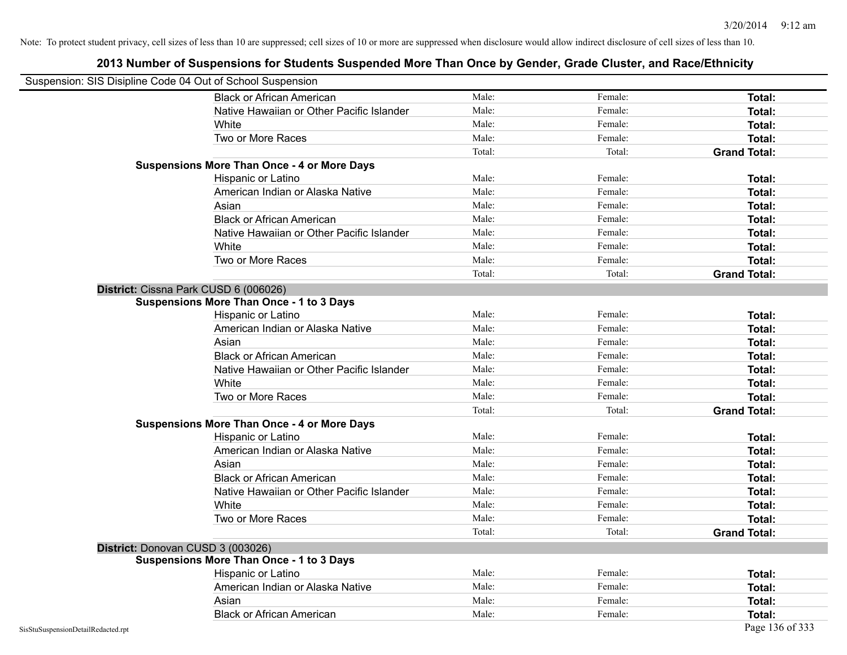| Suspension: SIS Disipline Code 04 Out of School Suspension |                                                    |        |         |                     |
|------------------------------------------------------------|----------------------------------------------------|--------|---------|---------------------|
|                                                            | <b>Black or African American</b>                   | Male:  | Female: | Total:              |
|                                                            | Native Hawaiian or Other Pacific Islander          | Male:  | Female: | Total:              |
|                                                            | White                                              | Male:  | Female: | Total:              |
|                                                            | Two or More Races                                  | Male:  | Female: | <b>Total:</b>       |
|                                                            |                                                    | Total: | Total:  | <b>Grand Total:</b> |
|                                                            | <b>Suspensions More Than Once - 4 or More Days</b> |        |         |                     |
|                                                            | Hispanic or Latino                                 | Male:  | Female: | Total:              |
|                                                            | American Indian or Alaska Native                   | Male:  | Female: | Total:              |
|                                                            | Asian                                              | Male:  | Female: | Total:              |
|                                                            | <b>Black or African American</b>                   | Male:  | Female: | Total:              |
|                                                            | Native Hawaiian or Other Pacific Islander          | Male:  | Female: | <b>Total:</b>       |
|                                                            | White                                              | Male:  | Female: | Total:              |
|                                                            | Two or More Races                                  | Male:  | Female: | <b>Total:</b>       |
|                                                            |                                                    | Total: | Total:  | <b>Grand Total:</b> |
|                                                            | District: Cissna Park CUSD 6 (006026)              |        |         |                     |
|                                                            | <b>Suspensions More Than Once - 1 to 3 Days</b>    |        |         |                     |
|                                                            | Hispanic or Latino                                 | Male:  | Female: | <b>Total:</b>       |
|                                                            | American Indian or Alaska Native                   | Male:  | Female: | <b>Total:</b>       |
|                                                            | Asian                                              | Male:  | Female: | Total:              |
|                                                            | <b>Black or African American</b>                   | Male:  | Female: | Total:              |
|                                                            | Native Hawaiian or Other Pacific Islander          | Male:  | Female: | Total:              |
|                                                            | White                                              | Male:  | Female: | Total:              |
|                                                            | Two or More Races                                  | Male:  | Female: | <b>Total:</b>       |
|                                                            |                                                    | Total: | Total:  | <b>Grand Total:</b> |
|                                                            | <b>Suspensions More Than Once - 4 or More Days</b> |        |         |                     |
|                                                            | Hispanic or Latino                                 | Male:  | Female: | Total:              |
|                                                            | American Indian or Alaska Native                   | Male:  | Female: | <b>Total:</b>       |
|                                                            | Asian                                              | Male:  | Female: | Total:              |
|                                                            | <b>Black or African American</b>                   | Male:  | Female: | Total:              |
|                                                            | Native Hawaiian or Other Pacific Islander          | Male:  | Female: | Total:              |
|                                                            | White                                              | Male:  | Female: | Total:              |
|                                                            | Two or More Races                                  | Male:  | Female: | <b>Total:</b>       |
|                                                            |                                                    | Total: | Total:  | <b>Grand Total:</b> |
| District: Donovan CUSD 3 (003026)                          |                                                    |        |         |                     |
|                                                            | <b>Suspensions More Than Once - 1 to 3 Days</b>    |        |         |                     |
|                                                            | Hispanic or Latino                                 | Male:  | Female: | Total:              |
|                                                            | American Indian or Alaska Native                   | Male:  | Female: | Total:              |
|                                                            | Asian                                              | Male:  | Female: | Total:              |
|                                                            | <b>Black or African American</b>                   | Male:  | Female: | Total:              |
| SisStuSuspensionDetailRedacted.rpt                         |                                                    |        |         | Page 136 of 333     |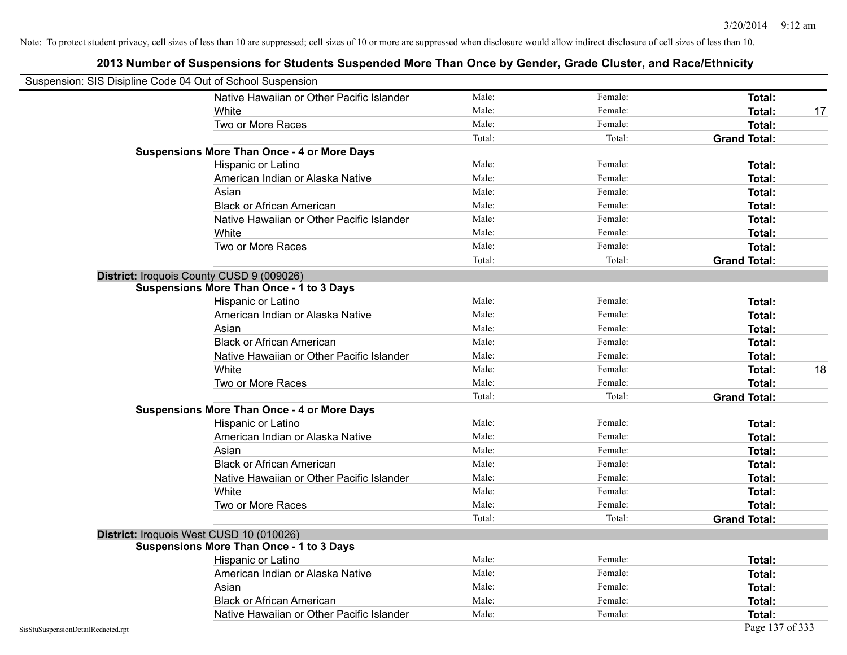|                                    | Suspension: SIS Disipline Code 04 Out of School Suspension |        |         |                     |    |
|------------------------------------|------------------------------------------------------------|--------|---------|---------------------|----|
|                                    | Native Hawaiian or Other Pacific Islander                  | Male:  | Female: | Total:              |    |
|                                    | White                                                      | Male:  | Female: | <b>Total:</b>       | 17 |
|                                    | Two or More Races                                          | Male:  | Female: | <b>Total:</b>       |    |
|                                    |                                                            | Total: | Total:  | <b>Grand Total:</b> |    |
|                                    | <b>Suspensions More Than Once - 4 or More Days</b>         |        |         |                     |    |
|                                    | Hispanic or Latino                                         | Male:  | Female: | Total:              |    |
|                                    | American Indian or Alaska Native                           | Male:  | Female: | Total:              |    |
|                                    | Asian                                                      | Male:  | Female: | Total:              |    |
|                                    | <b>Black or African American</b>                           | Male:  | Female: | <b>Total:</b>       |    |
|                                    | Native Hawaiian or Other Pacific Islander                  | Male:  | Female: | <b>Total:</b>       |    |
|                                    | White                                                      | Male:  | Female: | <b>Total:</b>       |    |
|                                    | Two or More Races                                          | Male:  | Female: | Total:              |    |
|                                    |                                                            | Total: | Total:  | <b>Grand Total:</b> |    |
|                                    | District: Iroquois County CUSD 9 (009026)                  |        |         |                     |    |
|                                    | Suspensions More Than Once - 1 to 3 Days                   |        |         |                     |    |
|                                    | Hispanic or Latino                                         | Male:  | Female: | <b>Total:</b>       |    |
|                                    | American Indian or Alaska Native                           | Male:  | Female: | <b>Total:</b>       |    |
|                                    | Asian                                                      | Male:  | Female: | Total:              |    |
|                                    | <b>Black or African American</b>                           | Male:  | Female: | Total:              |    |
|                                    | Native Hawaiian or Other Pacific Islander                  | Male:  | Female: | Total:              |    |
|                                    | White                                                      | Male:  | Female: | Total:              | 18 |
|                                    | Two or More Races                                          | Male:  | Female: | <b>Total:</b>       |    |
|                                    |                                                            | Total: | Total:  | <b>Grand Total:</b> |    |
|                                    | <b>Suspensions More Than Once - 4 or More Days</b>         |        |         |                     |    |
|                                    | Hispanic or Latino                                         | Male:  | Female: | <b>Total:</b>       |    |
|                                    | American Indian or Alaska Native                           | Male:  | Female: | <b>Total:</b>       |    |
|                                    | Asian                                                      | Male:  | Female: | Total:              |    |
|                                    | <b>Black or African American</b>                           | Male:  | Female: | Total:              |    |
|                                    | Native Hawaiian or Other Pacific Islander                  | Male:  | Female: | <b>Total:</b>       |    |
|                                    | White                                                      | Male:  | Female: | Total:              |    |
|                                    | Two or More Races                                          | Male:  | Female: | <b>Total:</b>       |    |
|                                    |                                                            | Total: | Total:  | <b>Grand Total:</b> |    |
|                                    | District: Iroquois West CUSD 10 (010026)                   |        |         |                     |    |
|                                    | <b>Suspensions More Than Once - 1 to 3 Days</b>            |        |         |                     |    |
|                                    | Hispanic or Latino                                         | Male:  | Female: | Total:              |    |
|                                    | American Indian or Alaska Native                           | Male:  | Female: | <b>Total:</b>       |    |
|                                    | Asian                                                      | Male:  | Female: | <b>Total:</b>       |    |
|                                    | <b>Black or African American</b>                           | Male:  | Female: | <b>Total:</b>       |    |
|                                    | Native Hawaiian or Other Pacific Islander                  | Male:  | Female: | Total:              |    |
| SisStuSuspensionDetailRedacted.rpt |                                                            |        |         | Page 137 of 333     |    |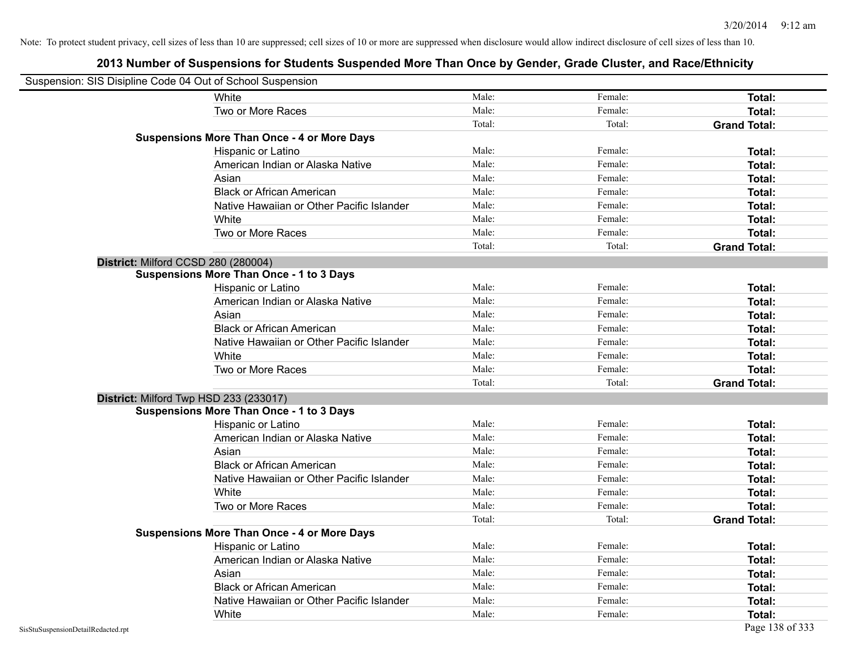| Suspension: SIS Disipline Code 04 Out of School Suspension |                                                    |        |         |                     |
|------------------------------------------------------------|----------------------------------------------------|--------|---------|---------------------|
|                                                            | White                                              | Male:  | Female: | Total:              |
|                                                            | Two or More Races                                  | Male:  | Female: | Total:              |
|                                                            |                                                    | Total: | Total:  | <b>Grand Total:</b> |
|                                                            | <b>Suspensions More Than Once - 4 or More Days</b> |        |         |                     |
|                                                            | Hispanic or Latino                                 | Male:  | Female: | Total:              |
|                                                            | American Indian or Alaska Native                   | Male:  | Female: | Total:              |
|                                                            | Asian                                              | Male:  | Female: | Total:              |
|                                                            | <b>Black or African American</b>                   | Male:  | Female: | Total:              |
|                                                            | Native Hawaiian or Other Pacific Islander          | Male:  | Female: | Total:              |
|                                                            | White                                              | Male:  | Female: | Total:              |
|                                                            | Two or More Races                                  | Male:  | Female: | Total:              |
|                                                            |                                                    | Total: | Total:  | <b>Grand Total:</b> |
|                                                            | District: Milford CCSD 280 (280004)                |        |         |                     |
|                                                            | <b>Suspensions More Than Once - 1 to 3 Days</b>    |        |         |                     |
|                                                            | Hispanic or Latino                                 | Male:  | Female: | Total:              |
|                                                            | American Indian or Alaska Native                   | Male:  | Female: | Total:              |
|                                                            | Asian                                              | Male:  | Female: | Total:              |
|                                                            | <b>Black or African American</b>                   | Male:  | Female: | Total:              |
|                                                            | Native Hawaiian or Other Pacific Islander          | Male:  | Female: | Total:              |
|                                                            | White                                              | Male:  | Female: | Total:              |
|                                                            | Two or More Races                                  | Male:  | Female: | Total:              |
|                                                            |                                                    | Total: | Total:  | <b>Grand Total:</b> |
|                                                            | District: Milford Twp HSD 233 (233017)             |        |         |                     |
|                                                            | <b>Suspensions More Than Once - 1 to 3 Days</b>    |        |         |                     |
|                                                            | Hispanic or Latino                                 | Male:  | Female: | Total:              |
|                                                            | American Indian or Alaska Native                   | Male:  | Female: | Total:              |
|                                                            | Asian                                              | Male:  | Female: | Total:              |
|                                                            | <b>Black or African American</b>                   | Male:  | Female: | Total:              |
|                                                            | Native Hawaiian or Other Pacific Islander          | Male:  | Female: | Total:              |
|                                                            | White                                              | Male:  | Female: | Total:              |
|                                                            | Two or More Races                                  | Male:  | Female: | Total:              |
|                                                            |                                                    | Total: | Total:  | <b>Grand Total:</b> |
|                                                            | <b>Suspensions More Than Once - 4 or More Days</b> |        |         |                     |
|                                                            | Hispanic or Latino                                 | Male:  | Female: | Total:              |
|                                                            | American Indian or Alaska Native                   | Male:  | Female: | Total:              |
|                                                            | Asian                                              | Male:  | Female: | Total:              |
|                                                            | <b>Black or African American</b>                   | Male:  | Female: | Total:              |
|                                                            | Native Hawaiian or Other Pacific Islander          | Male:  | Female: | Total:              |
|                                                            | White                                              | Male:  | Female: | Total:              |
| SisStuSuspensionDetailRedacted.rpt                         |                                                    |        |         | Page 138 of 333     |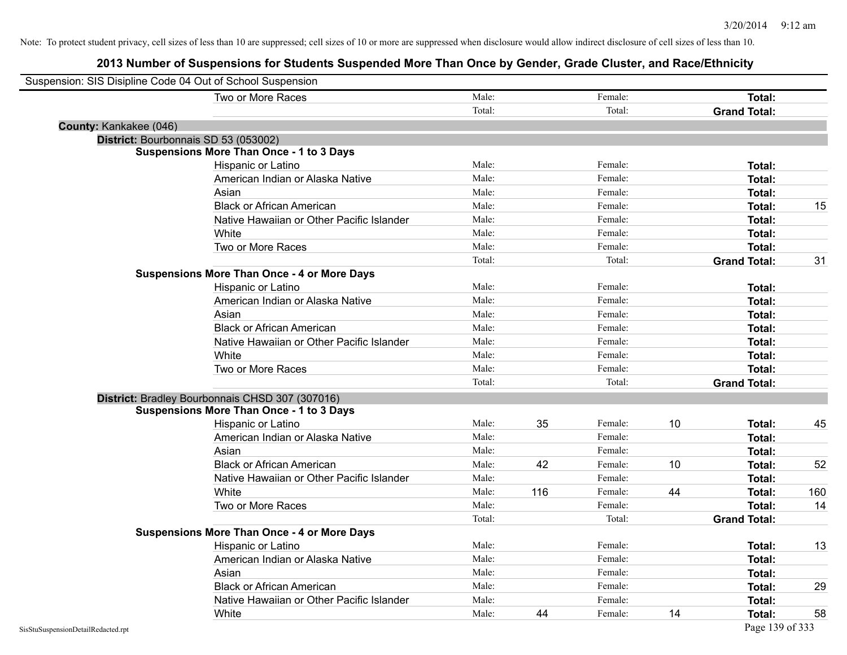|                                    | Suspension: SIS Disipline Code 04 Out of School Suspension |        |     |         |    |                     |     |
|------------------------------------|------------------------------------------------------------|--------|-----|---------|----|---------------------|-----|
|                                    | Two or More Races                                          | Male:  |     | Female: |    | Total:              |     |
|                                    |                                                            | Total: |     | Total:  |    | <b>Grand Total:</b> |     |
| County: Kankakee (046)             |                                                            |        |     |         |    |                     |     |
|                                    | District: Bourbonnais SD 53 (053002)                       |        |     |         |    |                     |     |
|                                    | <b>Suspensions More Than Once - 1 to 3 Days</b>            |        |     |         |    |                     |     |
|                                    | Hispanic or Latino                                         | Male:  |     | Female: |    | Total:              |     |
|                                    | American Indian or Alaska Native                           | Male:  |     | Female: |    | Total:              |     |
|                                    | Asian                                                      | Male:  |     | Female: |    | Total:              |     |
|                                    | <b>Black or African American</b>                           | Male:  |     | Female: |    | Total:              | 15  |
|                                    | Native Hawaiian or Other Pacific Islander                  | Male:  |     | Female: |    | Total:              |     |
|                                    | White                                                      | Male:  |     | Female: |    | Total:              |     |
|                                    | Two or More Races                                          | Male:  |     | Female: |    | Total:              |     |
|                                    |                                                            | Total: |     | Total:  |    | <b>Grand Total:</b> | 31  |
|                                    | <b>Suspensions More Than Once - 4 or More Days</b>         |        |     |         |    |                     |     |
|                                    | Hispanic or Latino                                         | Male:  |     | Female: |    | Total:              |     |
|                                    | American Indian or Alaska Native                           | Male:  |     | Female: |    | Total:              |     |
|                                    | Asian                                                      | Male:  |     | Female: |    | Total:              |     |
|                                    | <b>Black or African American</b>                           | Male:  |     | Female: |    | Total:              |     |
|                                    | Native Hawaiian or Other Pacific Islander                  | Male:  |     | Female: |    | Total:              |     |
|                                    | White                                                      | Male:  |     | Female: |    | Total:              |     |
|                                    | Two or More Races                                          | Male:  |     | Female: |    | Total:              |     |
|                                    |                                                            | Total: |     | Total:  |    | <b>Grand Total:</b> |     |
|                                    | District: Bradley Bourbonnais CHSD 307 (307016)            |        |     |         |    |                     |     |
|                                    | <b>Suspensions More Than Once - 1 to 3 Days</b>            |        |     |         |    |                     |     |
|                                    | Hispanic or Latino                                         | Male:  | 35  | Female: | 10 | Total:              | 45  |
|                                    | American Indian or Alaska Native                           | Male:  |     | Female: |    | Total:              |     |
|                                    | Asian                                                      | Male:  |     | Female: |    | Total:              |     |
|                                    | <b>Black or African American</b>                           | Male:  | 42  | Female: | 10 | Total:              | 52  |
|                                    | Native Hawaiian or Other Pacific Islander                  | Male:  |     | Female: |    | Total:              |     |
|                                    | White                                                      | Male:  | 116 | Female: | 44 | Total:              | 160 |
|                                    | Two or More Races                                          | Male:  |     | Female: |    | <b>Total:</b>       | 14  |
|                                    |                                                            | Total: |     | Total:  |    | <b>Grand Total:</b> |     |
|                                    | <b>Suspensions More Than Once - 4 or More Days</b>         |        |     |         |    |                     |     |
|                                    | Hispanic or Latino                                         | Male:  |     | Female: |    | Total:              | 13  |
|                                    | American Indian or Alaska Native                           | Male:  |     | Female: |    | Total:              |     |
|                                    | Asian                                                      | Male:  |     | Female: |    | Total:              |     |
|                                    | <b>Black or African American</b>                           | Male:  |     | Female: |    | Total:              | 29  |
|                                    | Native Hawaiian or Other Pacific Islander                  | Male:  |     | Female: |    | Total:              |     |
|                                    | White                                                      | Male:  | 44  | Female: | 14 | Total:              | 58  |
| SisStuSuspensionDetailRedacted.rpt |                                                            |        |     |         |    | Page 139 of 333     |     |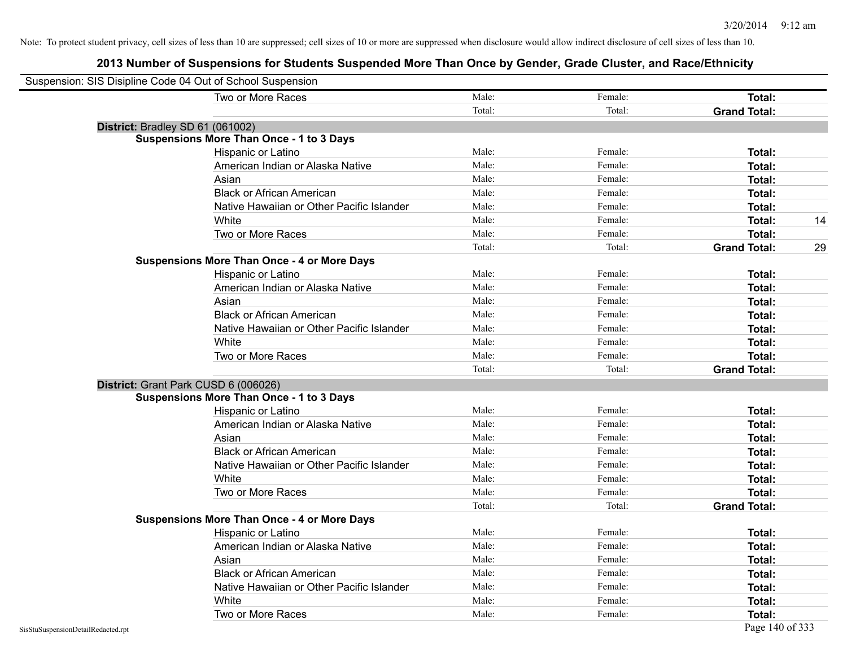| Suspension: SIS Disipline Code 04 Out of School Suspension |        |         |                     |    |
|------------------------------------------------------------|--------|---------|---------------------|----|
| Two or More Races                                          | Male:  | Female: | Total:              |    |
|                                                            | Total: | Total:  | <b>Grand Total:</b> |    |
| District: Bradley SD 61 (061002)                           |        |         |                     |    |
| <b>Suspensions More Than Once - 1 to 3 Days</b>            |        |         |                     |    |
| Hispanic or Latino                                         | Male:  | Female: | Total:              |    |
| American Indian or Alaska Native                           | Male:  | Female: | Total:              |    |
| Asian                                                      | Male:  | Female: | Total:              |    |
| <b>Black or African American</b>                           | Male:  | Female: | Total:              |    |
| Native Hawaiian or Other Pacific Islander                  | Male:  | Female: | Total:              |    |
| White                                                      | Male:  | Female: | Total:              | 14 |
| Two or More Races                                          | Male:  | Female: | Total:              |    |
|                                                            | Total: | Total:  | <b>Grand Total:</b> | 29 |
| <b>Suspensions More Than Once - 4 or More Days</b>         |        |         |                     |    |
| Hispanic or Latino                                         | Male:  | Female: | Total:              |    |
| American Indian or Alaska Native                           | Male:  | Female: | Total:              |    |
| Asian                                                      | Male:  | Female: | <b>Total:</b>       |    |
| <b>Black or African American</b>                           | Male:  | Female: | Total:              |    |
| Native Hawaiian or Other Pacific Islander                  | Male:  | Female: | Total:              |    |
| White                                                      | Male:  | Female: | Total:              |    |
| Two or More Races                                          | Male:  | Female: | Total:              |    |
|                                                            | Total: | Total:  | <b>Grand Total:</b> |    |
| District: Grant Park CUSD 6 (006026)                       |        |         |                     |    |
| <b>Suspensions More Than Once - 1 to 3 Days</b>            |        |         |                     |    |
| Hispanic or Latino                                         | Male:  | Female: | Total:              |    |
| American Indian or Alaska Native                           | Male:  | Female: | Total:              |    |
| Asian                                                      | Male:  | Female: | Total:              |    |
| <b>Black or African American</b>                           | Male:  | Female: | Total:              |    |
| Native Hawaiian or Other Pacific Islander                  | Male:  | Female: | Total:              |    |
| White                                                      | Male:  | Female: | Total:              |    |
| Two or More Races                                          | Male:  | Female: | Total:              |    |
|                                                            | Total: | Total:  | <b>Grand Total:</b> |    |
| <b>Suspensions More Than Once - 4 or More Days</b>         |        |         |                     |    |
| Hispanic or Latino                                         | Male:  | Female: | Total:              |    |
| American Indian or Alaska Native                           | Male:  | Female: | Total:              |    |
| Asian                                                      | Male:  | Female: | Total:              |    |
| <b>Black or African American</b>                           | Male:  | Female: | Total:              |    |
| Native Hawaiian or Other Pacific Islander                  | Male:  | Female: | Total:              |    |
| White                                                      | Male:  | Female: | Total:              |    |
| Two or More Races                                          | Male:  | Female: | Total:              |    |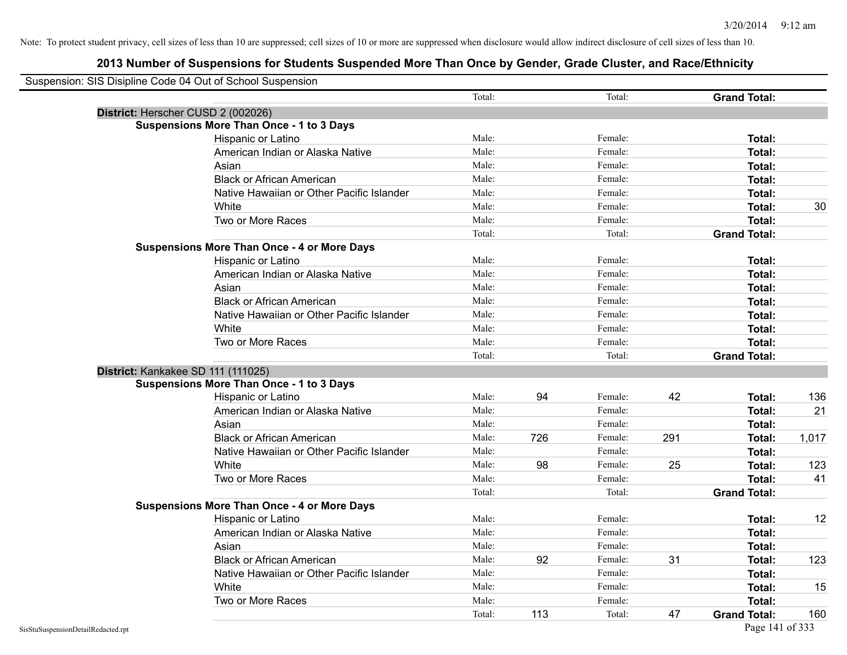|                                    | Suspension: SIS Disipline Code 04 Out of School Suspension |        |     |         |     |                     |       |
|------------------------------------|------------------------------------------------------------|--------|-----|---------|-----|---------------------|-------|
|                                    |                                                            | Total: |     | Total:  |     | <b>Grand Total:</b> |       |
|                                    | District: Herscher CUSD 2 (002026)                         |        |     |         |     |                     |       |
|                                    | <b>Suspensions More Than Once - 1 to 3 Days</b>            |        |     |         |     |                     |       |
|                                    | Hispanic or Latino                                         | Male:  |     | Female: |     | Total:              |       |
|                                    | American Indian or Alaska Native                           | Male:  |     | Female: |     | Total:              |       |
|                                    | Asian                                                      | Male:  |     | Female: |     | Total:              |       |
|                                    | <b>Black or African American</b>                           | Male:  |     | Female: |     | <b>Total:</b>       |       |
|                                    | Native Hawaiian or Other Pacific Islander                  | Male:  |     | Female: |     | Total:              |       |
|                                    | White                                                      | Male:  |     | Female: |     | Total:              | 30    |
|                                    | Two or More Races                                          | Male:  |     | Female: |     | Total:              |       |
|                                    |                                                            | Total: |     | Total:  |     | <b>Grand Total:</b> |       |
|                                    | <b>Suspensions More Than Once - 4 or More Days</b>         |        |     |         |     |                     |       |
|                                    | Hispanic or Latino                                         | Male:  |     | Female: |     | Total:              |       |
|                                    | American Indian or Alaska Native                           | Male:  |     | Female: |     | Total:              |       |
|                                    | Asian                                                      | Male:  |     | Female: |     | Total:              |       |
|                                    | <b>Black or African American</b>                           | Male:  |     | Female: |     | Total:              |       |
|                                    | Native Hawaiian or Other Pacific Islander                  | Male:  |     | Female: |     | Total:              |       |
|                                    | White                                                      | Male:  |     | Female: |     | Total:              |       |
|                                    | Two or More Races                                          | Male:  |     | Female: |     | Total:              |       |
|                                    |                                                            | Total: |     | Total:  |     | <b>Grand Total:</b> |       |
|                                    | District: Kankakee SD 111 (111025)                         |        |     |         |     |                     |       |
|                                    | <b>Suspensions More Than Once - 1 to 3 Days</b>            |        |     |         |     |                     |       |
|                                    | Hispanic or Latino                                         | Male:  | 94  | Female: | 42  | Total:              | 136   |
|                                    | American Indian or Alaska Native                           | Male:  |     | Female: |     | <b>Total:</b>       | 21    |
|                                    | Asian                                                      | Male:  |     | Female: |     | Total:              |       |
|                                    | <b>Black or African American</b>                           | Male:  | 726 | Female: | 291 | Total:              | 1,017 |
|                                    | Native Hawaiian or Other Pacific Islander                  | Male:  |     | Female: |     | Total:              |       |
|                                    | White                                                      | Male:  | 98  | Female: | 25  | Total:              | 123   |
|                                    | Two or More Races                                          | Male:  |     | Female: |     | Total:              | 41    |
|                                    |                                                            | Total: |     | Total:  |     | <b>Grand Total:</b> |       |
|                                    | <b>Suspensions More Than Once - 4 or More Days</b>         |        |     |         |     |                     |       |
|                                    | Hispanic or Latino                                         | Male:  |     | Female: |     | Total:              | 12    |
|                                    | American Indian or Alaska Native                           | Male:  |     | Female: |     | <b>Total:</b>       |       |
|                                    | Asian                                                      | Male:  |     | Female: |     | Total:              |       |
|                                    | <b>Black or African American</b>                           | Male:  | 92  | Female: | 31  | Total:              | 123   |
|                                    | Native Hawaiian or Other Pacific Islander                  | Male:  |     | Female: |     | <b>Total:</b>       |       |
|                                    | White                                                      | Male:  |     | Female: |     | Total:              | 15    |
|                                    | Two or More Races                                          | Male:  |     | Female: |     | Total:              |       |
|                                    |                                                            | Total: | 113 | Total:  | 47  | <b>Grand Total:</b> | 160   |
| SisStuSuspensionDetailRedacted.rpt |                                                            |        |     |         |     | Page 141 of 333     |       |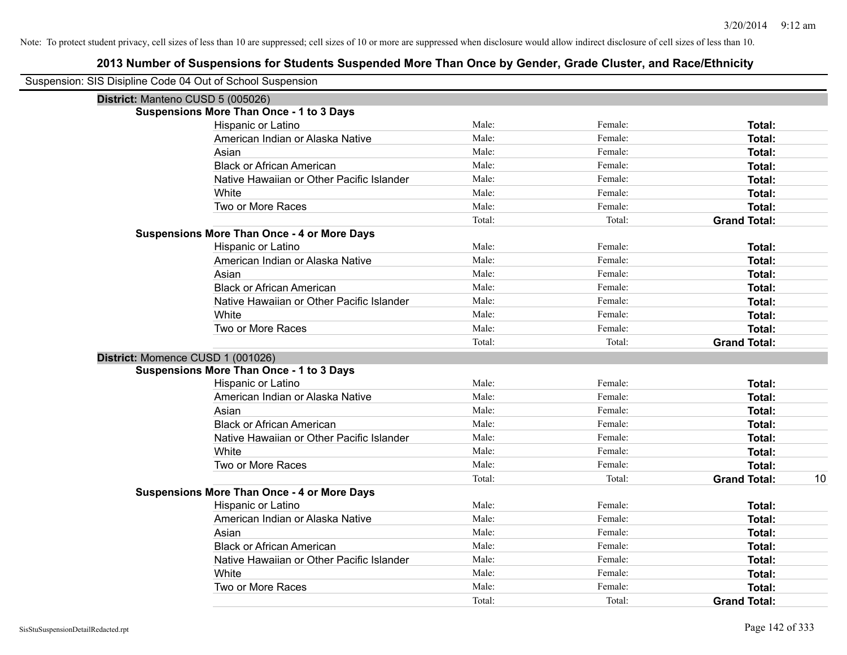| Suspension: SIS Disipline Code 04 Out of School Suspension |                                                    |        |         |                           |
|------------------------------------------------------------|----------------------------------------------------|--------|---------|---------------------------|
| District: Manteno CUSD 5 (005026)                          |                                                    |        |         |                           |
|                                                            | <b>Suspensions More Than Once - 1 to 3 Days</b>    |        |         |                           |
|                                                            | Hispanic or Latino                                 | Male:  | Female: | Total:                    |
|                                                            | American Indian or Alaska Native                   | Male:  | Female: | Total:                    |
|                                                            | Asian                                              | Male:  | Female: | Total:                    |
|                                                            | <b>Black or African American</b>                   | Male:  | Female: | Total:                    |
|                                                            | Native Hawaiian or Other Pacific Islander          | Male:  | Female: | Total:                    |
|                                                            | White                                              | Male:  | Female: | <b>Total:</b>             |
|                                                            | Two or More Races                                  | Male:  | Female: | <b>Total:</b>             |
|                                                            |                                                    | Total: | Total:  | <b>Grand Total:</b>       |
|                                                            | <b>Suspensions More Than Once - 4 or More Days</b> |        |         |                           |
|                                                            | Hispanic or Latino                                 | Male:  | Female: | Total:                    |
|                                                            | American Indian or Alaska Native                   | Male:  | Female: | <b>Total:</b>             |
|                                                            | Asian                                              | Male:  | Female: | <b>Total:</b>             |
|                                                            | <b>Black or African American</b>                   | Male:  | Female: | Total:                    |
|                                                            | Native Hawaiian or Other Pacific Islander          | Male:  | Female: | <b>Total:</b>             |
|                                                            | White                                              | Male:  | Female: | <b>Total:</b>             |
|                                                            | Two or More Races                                  | Male:  | Female: | <b>Total:</b>             |
|                                                            |                                                    | Total: | Total:  | <b>Grand Total:</b>       |
| District: Momence CUSD 1 (001026)                          |                                                    |        |         |                           |
|                                                            | <b>Suspensions More Than Once - 1 to 3 Days</b>    |        |         |                           |
|                                                            | Hispanic or Latino                                 | Male:  | Female: | <b>Total:</b>             |
|                                                            | American Indian or Alaska Native                   | Male:  | Female: | Total:                    |
|                                                            | Asian                                              | Male:  | Female: | <b>Total:</b>             |
|                                                            | <b>Black or African American</b>                   | Male:  | Female: | <b>Total:</b>             |
|                                                            | Native Hawaiian or Other Pacific Islander          | Male:  | Female: | <b>Total:</b>             |
|                                                            | White                                              | Male:  | Female: | <b>Total:</b>             |
|                                                            | Two or More Races                                  | Male:  | Female: | <b>Total:</b>             |
|                                                            |                                                    | Total: | Total:  | <b>Grand Total:</b><br>10 |
|                                                            | <b>Suspensions More Than Once - 4 or More Days</b> |        |         |                           |
|                                                            | Hispanic or Latino                                 | Male:  | Female: | Total:                    |
|                                                            | American Indian or Alaska Native                   | Male:  | Female: | Total:                    |
|                                                            | Asian                                              | Male:  | Female: | <b>Total:</b>             |
|                                                            | <b>Black or African American</b>                   | Male:  | Female: | Total:                    |
|                                                            | Native Hawaiian or Other Pacific Islander          | Male:  | Female: | <b>Total:</b>             |
|                                                            | White                                              | Male:  | Female: | <b>Total:</b>             |
|                                                            | Two or More Races                                  | Male:  | Female: | <b>Total:</b>             |
|                                                            |                                                    | Total: | Total:  | <b>Grand Total:</b>       |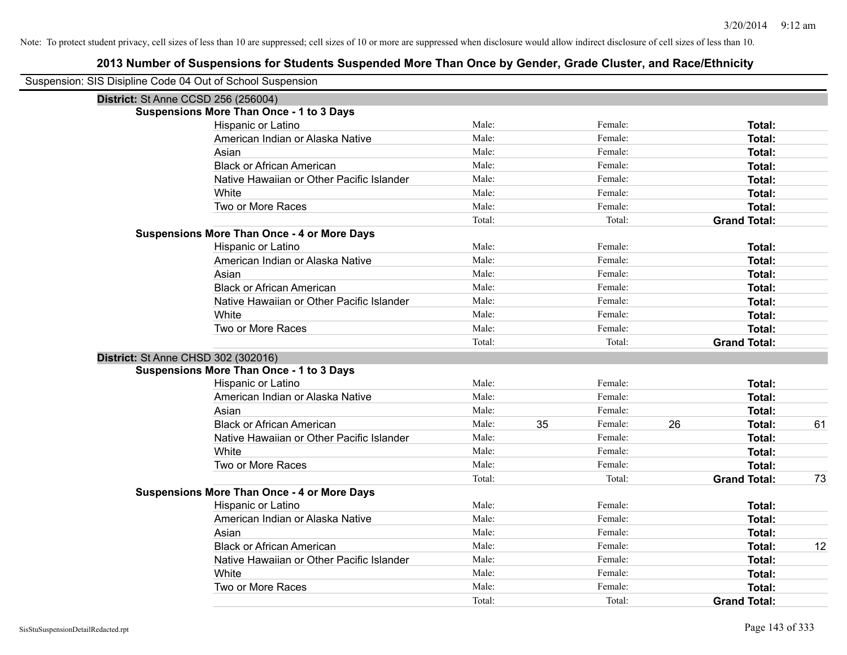| Suspension: SIS Disipline Code 04 Out of School Suspension |                                                    |        |    |         |    |                     |    |
|------------------------------------------------------------|----------------------------------------------------|--------|----|---------|----|---------------------|----|
| District: St Anne CCSD 256 (256004)                        |                                                    |        |    |         |    |                     |    |
|                                                            | <b>Suspensions More Than Once - 1 to 3 Days</b>    |        |    |         |    |                     |    |
|                                                            | Hispanic or Latino                                 | Male:  |    | Female: |    | <b>Total:</b>       |    |
|                                                            | American Indian or Alaska Native                   | Male:  |    | Female: |    | <b>Total:</b>       |    |
|                                                            | Asian                                              | Male:  |    | Female: |    | Total:              |    |
|                                                            | <b>Black or African American</b>                   | Male:  |    | Female: |    | <b>Total:</b>       |    |
|                                                            | Native Hawaiian or Other Pacific Islander          | Male:  |    | Female: |    | <b>Total:</b>       |    |
|                                                            | White                                              | Male:  |    | Female: |    | <b>Total:</b>       |    |
|                                                            | Two or More Races                                  | Male:  |    | Female: |    | Total:              |    |
|                                                            |                                                    | Total: |    | Total:  |    | <b>Grand Total:</b> |    |
|                                                            | <b>Suspensions More Than Once - 4 or More Days</b> |        |    |         |    |                     |    |
|                                                            | Hispanic or Latino                                 | Male:  |    | Female: |    | Total:              |    |
|                                                            | American Indian or Alaska Native                   | Male:  |    | Female: |    | <b>Total:</b>       |    |
|                                                            | Asian                                              | Male:  |    | Female: |    | <b>Total:</b>       |    |
|                                                            | <b>Black or African American</b>                   | Male:  |    | Female: |    | <b>Total:</b>       |    |
|                                                            | Native Hawaiian or Other Pacific Islander          | Male:  |    | Female: |    | <b>Total:</b>       |    |
|                                                            | White                                              | Male:  |    | Female: |    | Total:              |    |
|                                                            | Two or More Races                                  | Male:  |    | Female: |    | <b>Total:</b>       |    |
|                                                            |                                                    | Total: |    | Total:  |    | <b>Grand Total:</b> |    |
| District: St Anne CHSD 302 (302016)                        |                                                    |        |    |         |    |                     |    |
|                                                            | <b>Suspensions More Than Once - 1 to 3 Days</b>    |        |    |         |    |                     |    |
|                                                            | Hispanic or Latino                                 | Male:  |    | Female: |    | <b>Total:</b>       |    |
|                                                            | American Indian or Alaska Native                   | Male:  |    | Female: |    | <b>Total:</b>       |    |
|                                                            | Asian                                              | Male:  |    | Female: |    | <b>Total:</b>       |    |
|                                                            | <b>Black or African American</b>                   | Male:  | 35 | Female: | 26 | Total:              | 61 |
|                                                            | Native Hawaiian or Other Pacific Islander          | Male:  |    | Female: |    | <b>Total:</b>       |    |
|                                                            | White                                              | Male:  |    | Female: |    | <b>Total:</b>       |    |
|                                                            | Two or More Races                                  | Male:  |    | Female: |    | <b>Total:</b>       |    |
|                                                            |                                                    | Total: |    | Total:  |    | <b>Grand Total:</b> | 73 |
|                                                            | <b>Suspensions More Than Once - 4 or More Days</b> |        |    |         |    |                     |    |
|                                                            | Hispanic or Latino                                 | Male:  |    | Female: |    | <b>Total:</b>       |    |
|                                                            | American Indian or Alaska Native                   | Male:  |    | Female: |    | <b>Total:</b>       |    |
|                                                            | Asian                                              | Male:  |    | Female: |    | <b>Total:</b>       |    |
|                                                            | <b>Black or African American</b>                   | Male:  |    | Female: |    | <b>Total:</b>       | 12 |
|                                                            | Native Hawaiian or Other Pacific Islander          | Male:  |    | Female: |    | <b>Total:</b>       |    |
|                                                            | White                                              | Male:  |    | Female: |    | <b>Total:</b>       |    |
|                                                            | Two or More Races                                  | Male:  |    | Female: |    | <b>Total:</b>       |    |
|                                                            |                                                    | Total: |    | Total:  |    | <b>Grand Total:</b> |    |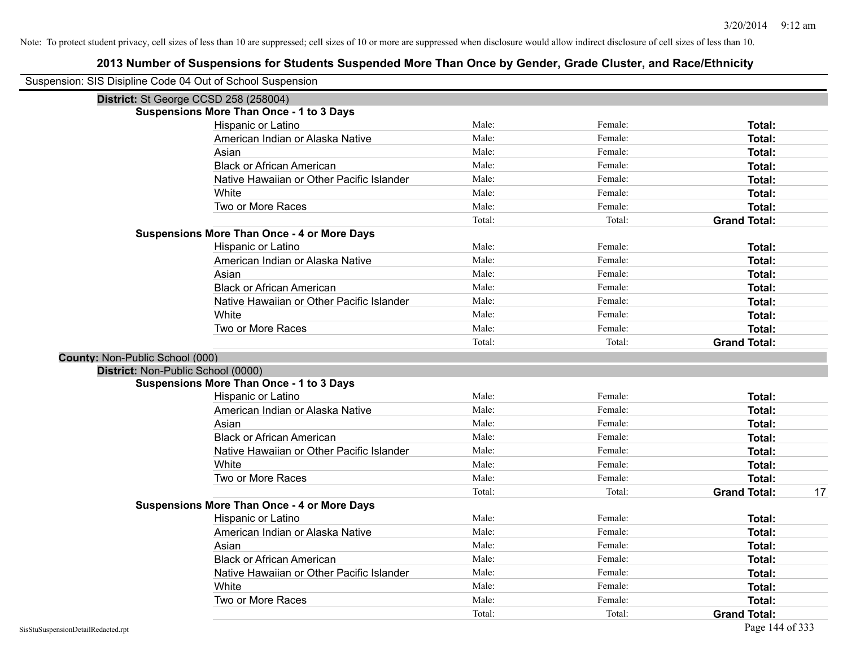| Suspension: SIS Disipline Code 04 Out of School Suspension |                                                    |        |         |                           |
|------------------------------------------------------------|----------------------------------------------------|--------|---------|---------------------------|
|                                                            | District: St George CCSD 258 (258004)              |        |         |                           |
|                                                            | <b>Suspensions More Than Once - 1 to 3 Days</b>    |        |         |                           |
|                                                            | Hispanic or Latino                                 | Male:  | Female: | Total:                    |
|                                                            | American Indian or Alaska Native                   | Male:  | Female: | Total:                    |
|                                                            | Asian                                              | Male:  | Female: | Total:                    |
|                                                            | <b>Black or African American</b>                   | Male:  | Female: | Total:                    |
|                                                            | Native Hawaiian or Other Pacific Islander          | Male:  | Female: | Total:                    |
|                                                            | White                                              | Male:  | Female: | Total:                    |
|                                                            | Two or More Races                                  | Male:  | Female: | Total:                    |
|                                                            |                                                    | Total: | Total:  | <b>Grand Total:</b>       |
|                                                            | <b>Suspensions More Than Once - 4 or More Days</b> |        |         |                           |
|                                                            | Hispanic or Latino                                 | Male:  | Female: | Total:                    |
|                                                            | American Indian or Alaska Native                   | Male:  | Female: | Total:                    |
|                                                            | Asian                                              | Male:  | Female: | Total:                    |
|                                                            | <b>Black or African American</b>                   | Male:  | Female: | Total:                    |
|                                                            | Native Hawaiian or Other Pacific Islander          | Male:  | Female: | Total:                    |
|                                                            | White                                              | Male:  | Female: | Total:                    |
|                                                            | Two or More Races                                  | Male:  | Female: | Total:                    |
|                                                            |                                                    | Total: | Total:  | <b>Grand Total:</b>       |
| County: Non-Public School (000)                            |                                                    |        |         |                           |
|                                                            | District: Non-Public School (0000)                 |        |         |                           |
|                                                            | <b>Suspensions More Than Once - 1 to 3 Days</b>    |        |         |                           |
|                                                            | Hispanic or Latino                                 | Male:  | Female: | Total:                    |
|                                                            | American Indian or Alaska Native                   | Male:  | Female: | Total:                    |
|                                                            | Asian                                              | Male:  | Female: | Total:                    |
|                                                            | <b>Black or African American</b>                   | Male:  | Female: | Total:                    |
|                                                            | Native Hawaiian or Other Pacific Islander          | Male:  | Female: | Total:                    |
|                                                            | White                                              | Male:  | Female: | Total:                    |
|                                                            | Two or More Races                                  | Male:  | Female: | Total:                    |
|                                                            |                                                    | Total: | Total:  | 17<br><b>Grand Total:</b> |
|                                                            | <b>Suspensions More Than Once - 4 or More Days</b> |        |         |                           |
|                                                            | Hispanic or Latino                                 | Male:  | Female: | Total:                    |
|                                                            | American Indian or Alaska Native                   | Male:  | Female: | Total:                    |
|                                                            | Asian                                              | Male:  | Female: | Total:                    |
|                                                            | <b>Black or African American</b>                   | Male:  | Female: | Total:                    |
|                                                            | Native Hawaiian or Other Pacific Islander          | Male:  | Female: | Total:                    |
|                                                            | White                                              | Male:  | Female: | Total:                    |
|                                                            | Two or More Races                                  | Male:  | Female: | Total:                    |
|                                                            |                                                    | Total: | Total:  | <b>Grand Total:</b>       |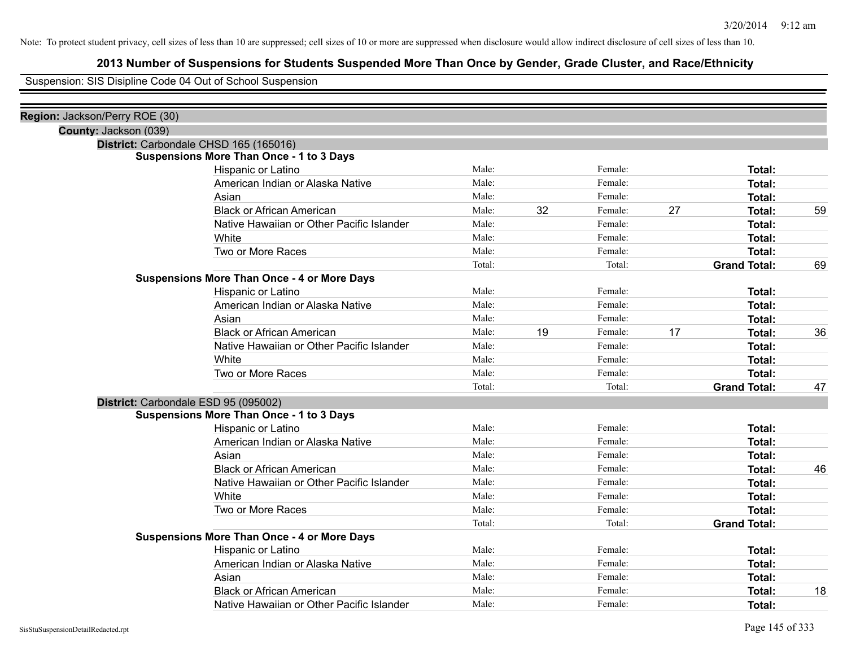## **2013 Number of Suspensions for Students Suspended More Than Once by Gender, Grade Cluster, and Race/Ethnicity**

Suspension: SIS Disipline Code 04 Out of School Suspension

| Region: Jackson/Perry ROE (30)       |                                                    |        |    |         |    |                     |    |
|--------------------------------------|----------------------------------------------------|--------|----|---------|----|---------------------|----|
| County: Jackson (039)                |                                                    |        |    |         |    |                     |    |
|                                      | District: Carbondale CHSD 165 (165016)             |        |    |         |    |                     |    |
|                                      | <b>Suspensions More Than Once - 1 to 3 Days</b>    |        |    |         |    |                     |    |
|                                      | Hispanic or Latino                                 | Male:  |    | Female: |    | Total:              |    |
|                                      | American Indian or Alaska Native                   | Male:  |    | Female: |    | Total:              |    |
|                                      | Asian                                              | Male:  |    | Female: |    | Total:              |    |
|                                      | <b>Black or African American</b>                   | Male:  | 32 | Female: | 27 | Total:              | 59 |
|                                      | Native Hawaiian or Other Pacific Islander          | Male:  |    | Female: |    | Total:              |    |
|                                      | White                                              | Male:  |    | Female: |    | Total:              |    |
|                                      | Two or More Races                                  | Male:  |    | Female: |    | Total:              |    |
|                                      |                                                    | Total: |    | Total:  |    | <b>Grand Total:</b> | 69 |
|                                      | <b>Suspensions More Than Once - 4 or More Days</b> |        |    |         |    |                     |    |
|                                      | Hispanic or Latino                                 | Male:  |    | Female: |    | Total:              |    |
|                                      | American Indian or Alaska Native                   | Male:  |    | Female: |    | Total:              |    |
|                                      | Asian                                              | Male:  |    | Female: |    | Total:              |    |
|                                      | <b>Black or African American</b>                   | Male:  | 19 | Female: | 17 | Total:              | 36 |
|                                      | Native Hawaiian or Other Pacific Islander          | Male:  |    | Female: |    | Total:              |    |
|                                      | White                                              | Male:  |    | Female: |    | Total:              |    |
|                                      | Two or More Races                                  | Male:  |    | Female: |    | Total:              |    |
|                                      |                                                    | Total: |    | Total:  |    | <b>Grand Total:</b> | 47 |
| District: Carbondale ESD 95 (095002) |                                                    |        |    |         |    |                     |    |
|                                      | <b>Suspensions More Than Once - 1 to 3 Days</b>    |        |    |         |    |                     |    |
|                                      | Hispanic or Latino                                 | Male:  |    | Female: |    | Total:              |    |
|                                      | American Indian or Alaska Native                   | Male:  |    | Female: |    | Total:              |    |
|                                      | Asian                                              | Male:  |    | Female: |    | Total:              |    |
|                                      | <b>Black or African American</b>                   | Male:  |    | Female: |    | Total:              | 46 |
|                                      | Native Hawaiian or Other Pacific Islander          | Male:  |    | Female: |    | Total:              |    |
|                                      | White                                              | Male:  |    | Female: |    | Total:              |    |
|                                      | Two or More Races                                  | Male:  |    | Female: |    | Total:              |    |
|                                      |                                                    | Total: |    | Total:  |    | <b>Grand Total:</b> |    |
|                                      | <b>Suspensions More Than Once - 4 or More Days</b> |        |    |         |    |                     |    |
|                                      | Hispanic or Latino                                 | Male:  |    | Female: |    | Total:              |    |
|                                      | American Indian or Alaska Native                   | Male:  |    | Female: |    | Total:              |    |
|                                      | Asian                                              | Male:  |    | Female: |    | Total:              |    |
|                                      | <b>Black or African American</b>                   | Male:  |    | Female: |    | Total:              | 18 |
|                                      | Native Hawaiian or Other Pacific Islander          | Male:  |    | Female: |    | Total:              |    |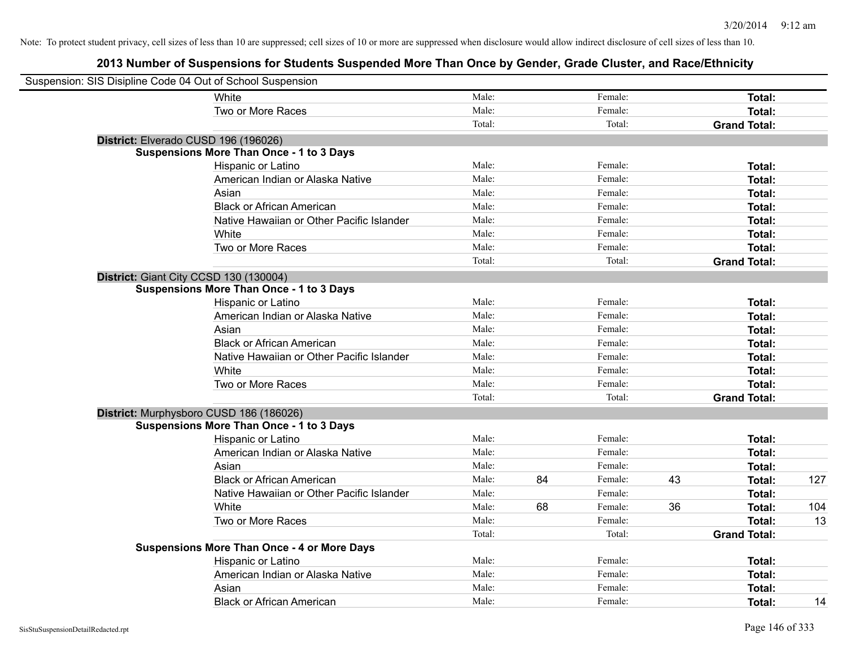| Suspension: SIS Disipline Code 04 Out of School Suspension |                                                    |        |    |         |    |                     |     |
|------------------------------------------------------------|----------------------------------------------------|--------|----|---------|----|---------------------|-----|
|                                                            | White                                              | Male:  |    | Female: |    | Total:              |     |
|                                                            | Two or More Races                                  | Male:  |    | Female: |    | <b>Total:</b>       |     |
|                                                            |                                                    | Total: |    | Total:  |    | <b>Grand Total:</b> |     |
| District: Elverado CUSD 196 (196026)                       |                                                    |        |    |         |    |                     |     |
|                                                            | <b>Suspensions More Than Once - 1 to 3 Days</b>    |        |    |         |    |                     |     |
|                                                            | Hispanic or Latino                                 | Male:  |    | Female: |    | Total:              |     |
|                                                            | American Indian or Alaska Native                   | Male:  |    | Female: |    | Total:              |     |
|                                                            | Asian                                              | Male:  |    | Female: |    | Total:              |     |
|                                                            | <b>Black or African American</b>                   | Male:  |    | Female: |    | Total:              |     |
|                                                            | Native Hawaiian or Other Pacific Islander          | Male:  |    | Female: |    | Total:              |     |
|                                                            | White                                              | Male:  |    | Female: |    | Total:              |     |
|                                                            | Two or More Races                                  | Male:  |    | Female: |    | Total:              |     |
|                                                            |                                                    | Total: |    | Total:  |    | <b>Grand Total:</b> |     |
|                                                            | District: Giant City CCSD 130 (130004)             |        |    |         |    |                     |     |
|                                                            | <b>Suspensions More Than Once - 1 to 3 Days</b>    |        |    |         |    |                     |     |
|                                                            | Hispanic or Latino                                 | Male:  |    | Female: |    | Total:              |     |
|                                                            | American Indian or Alaska Native                   | Male:  |    | Female: |    | Total:              |     |
|                                                            | Asian                                              | Male:  |    | Female: |    | Total:              |     |
|                                                            | <b>Black or African American</b>                   | Male:  |    | Female: |    | Total:              |     |
|                                                            | Native Hawaiian or Other Pacific Islander          | Male:  |    | Female: |    | Total:              |     |
|                                                            | White                                              | Male:  |    | Female: |    | Total:              |     |
|                                                            | Two or More Races                                  | Male:  |    | Female: |    | Total:              |     |
|                                                            |                                                    | Total: |    | Total:  |    | <b>Grand Total:</b> |     |
|                                                            | District: Murphysboro CUSD 186 (186026)            |        |    |         |    |                     |     |
|                                                            | <b>Suspensions More Than Once - 1 to 3 Days</b>    |        |    |         |    |                     |     |
|                                                            | Hispanic or Latino                                 | Male:  |    | Female: |    | Total:              |     |
|                                                            | American Indian or Alaska Native                   | Male:  |    | Female: |    | Total:              |     |
|                                                            | Asian                                              | Male:  |    | Female: |    | Total:              |     |
|                                                            | <b>Black or African American</b>                   | Male:  | 84 | Female: | 43 | Total:              | 127 |
|                                                            | Native Hawaiian or Other Pacific Islander          | Male:  |    | Female: |    | Total:              |     |
|                                                            | White                                              | Male:  | 68 | Female: | 36 | Total:              | 104 |
|                                                            | Two or More Races                                  | Male:  |    | Female: |    | Total:              | 13  |
|                                                            |                                                    | Total: |    | Total:  |    | <b>Grand Total:</b> |     |
|                                                            | <b>Suspensions More Than Once - 4 or More Days</b> |        |    |         |    |                     |     |
|                                                            | Hispanic or Latino                                 | Male:  |    | Female: |    | Total:              |     |
|                                                            | American Indian or Alaska Native                   | Male:  |    | Female: |    | Total:              |     |
|                                                            | Asian                                              | Male:  |    | Female: |    | Total:              |     |
|                                                            | <b>Black or African American</b>                   | Male:  |    | Female: |    | Total:              | 14  |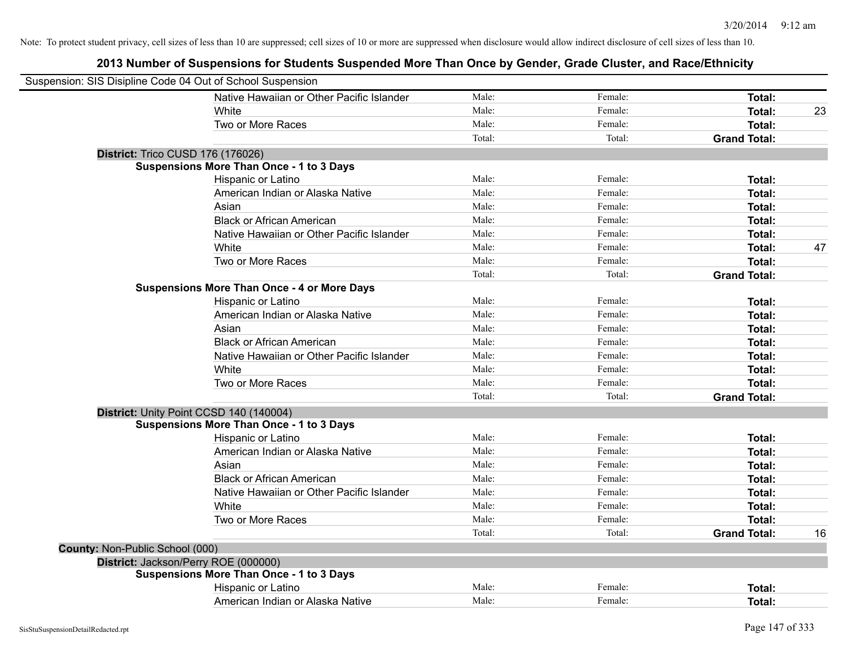|                                 | Suspension: SIS Disipline Code 04 Out of School Suspension |        |         |                     |    |
|---------------------------------|------------------------------------------------------------|--------|---------|---------------------|----|
|                                 | Native Hawaiian or Other Pacific Islander                  | Male:  | Female: | Total:              |    |
|                                 | White                                                      | Male:  | Female: | Total:              | 23 |
|                                 | Two or More Races                                          | Male:  | Female: | Total:              |    |
|                                 |                                                            | Total: | Total:  | <b>Grand Total:</b> |    |
|                                 | <b>District: Trico CUSD 176 (176026)</b>                   |        |         |                     |    |
|                                 | <b>Suspensions More Than Once - 1 to 3 Days</b>            |        |         |                     |    |
|                                 | Hispanic or Latino                                         | Male:  | Female: | Total:              |    |
|                                 | American Indian or Alaska Native                           | Male:  | Female: | Total:              |    |
|                                 | Asian                                                      | Male:  | Female: | Total:              |    |
|                                 | <b>Black or African American</b>                           | Male:  | Female: | Total:              |    |
|                                 | Native Hawaiian or Other Pacific Islander                  | Male:  | Female: | Total:              |    |
|                                 | White                                                      | Male:  | Female: | <b>Total:</b>       | 47 |
|                                 | Two or More Races                                          | Male:  | Female: | Total:              |    |
|                                 |                                                            | Total: | Total:  | <b>Grand Total:</b> |    |
|                                 | <b>Suspensions More Than Once - 4 or More Days</b>         |        |         |                     |    |
|                                 | Hispanic or Latino                                         | Male:  | Female: | <b>Total:</b>       |    |
|                                 | American Indian or Alaska Native                           | Male:  | Female: | Total:              |    |
|                                 | Asian                                                      | Male:  | Female: | Total:              |    |
|                                 | <b>Black or African American</b>                           | Male:  | Female: | Total:              |    |
|                                 | Native Hawaiian or Other Pacific Islander                  | Male:  | Female: | Total:              |    |
|                                 | White                                                      | Male:  | Female: | Total:              |    |
|                                 | Two or More Races                                          | Male:  | Female: | Total:              |    |
|                                 |                                                            | Total: | Total:  | <b>Grand Total:</b> |    |
|                                 | District: Unity Point CCSD 140 (140004)                    |        |         |                     |    |
|                                 | <b>Suspensions More Than Once - 1 to 3 Days</b>            |        |         |                     |    |
|                                 | Hispanic or Latino                                         | Male:  | Female: | Total:              |    |
|                                 | American Indian or Alaska Native                           | Male:  | Female: | <b>Total:</b>       |    |
|                                 | Asian                                                      | Male:  | Female: | Total:              |    |
|                                 | <b>Black or African American</b>                           | Male:  | Female: | Total:              |    |
|                                 | Native Hawaiian or Other Pacific Islander                  | Male:  | Female: | Total:              |    |
|                                 | White                                                      | Male:  | Female: | Total:              |    |
|                                 | Two or More Races                                          | Male:  | Female: | Total:              |    |
|                                 |                                                            | Total: | Total:  | <b>Grand Total:</b> | 16 |
| County: Non-Public School (000) |                                                            |        |         |                     |    |
|                                 | District: Jackson/Perry ROE (000000)                       |        |         |                     |    |
|                                 | <b>Suspensions More Than Once - 1 to 3 Days</b>            |        |         |                     |    |
|                                 | Hispanic or Latino                                         | Male:  | Female: | Total:              |    |
|                                 | American Indian or Alaska Native                           | Male:  | Female: | Total:              |    |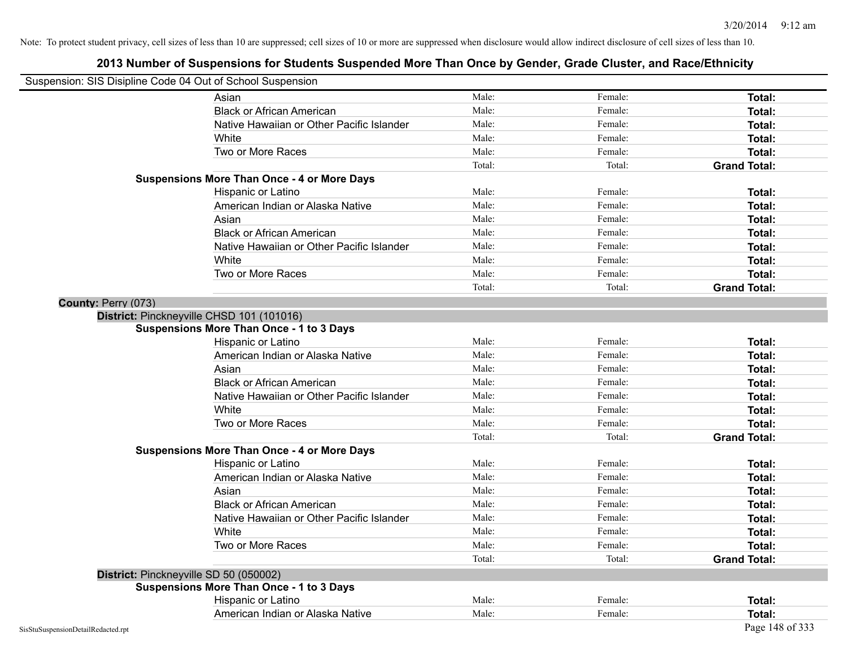| Suspension: SIS Disipline Code 04 Out of School Suspension |                                                    |        |         |                     |
|------------------------------------------------------------|----------------------------------------------------|--------|---------|---------------------|
|                                                            | Asian                                              | Male:  | Female: | <b>Total:</b>       |
|                                                            | <b>Black or African American</b>                   | Male:  | Female: | Total:              |
|                                                            | Native Hawaiian or Other Pacific Islander          | Male:  | Female: | Total:              |
|                                                            | White                                              | Male:  | Female: | Total:              |
|                                                            | Two or More Races                                  | Male:  | Female: | Total:              |
|                                                            |                                                    | Total: | Total:  | <b>Grand Total:</b> |
|                                                            | <b>Suspensions More Than Once - 4 or More Days</b> |        |         |                     |
|                                                            | Hispanic or Latino                                 | Male:  | Female: | Total:              |
|                                                            | American Indian or Alaska Native                   | Male:  | Female: | Total:              |
|                                                            | Asian                                              | Male:  | Female: | Total:              |
|                                                            | <b>Black or African American</b>                   | Male:  | Female: | Total:              |
|                                                            | Native Hawaiian or Other Pacific Islander          | Male:  | Female: | Total:              |
|                                                            | White                                              | Male:  | Female: | Total:              |
|                                                            | Two or More Races                                  | Male:  | Female: | Total:              |
|                                                            |                                                    | Total: | Total:  | <b>Grand Total:</b> |
| County: Perry (073)                                        |                                                    |        |         |                     |
|                                                            | District: Pinckneyville CHSD 101 (101016)          |        |         |                     |
|                                                            | <b>Suspensions More Than Once - 1 to 3 Days</b>    |        |         |                     |
|                                                            | Hispanic or Latino                                 | Male:  | Female: | Total:              |
|                                                            | American Indian or Alaska Native                   | Male:  | Female: | Total:              |
|                                                            | Asian                                              | Male:  | Female: | Total:              |
|                                                            | <b>Black or African American</b>                   | Male:  | Female: | Total:              |
|                                                            | Native Hawaiian or Other Pacific Islander          | Male:  | Female: | Total:              |
|                                                            | White                                              | Male:  | Female: | <b>Total:</b>       |
|                                                            | Two or More Races                                  | Male:  | Female: | Total:              |
|                                                            |                                                    | Total: | Total:  | <b>Grand Total:</b> |
|                                                            | <b>Suspensions More Than Once - 4 or More Days</b> |        |         |                     |
|                                                            | Hispanic or Latino                                 | Male:  | Female: | Total:              |
|                                                            | American Indian or Alaska Native                   | Male:  | Female: | Total:              |
|                                                            | Asian                                              | Male:  | Female: | Total:              |
|                                                            | <b>Black or African American</b>                   | Male:  | Female: | Total:              |
|                                                            | Native Hawaiian or Other Pacific Islander          | Male:  | Female: | Total:              |
|                                                            | White                                              | Male:  | Female: | <b>Total:</b>       |
|                                                            | Two or More Races                                  | Male:  | Female: | Total:              |
|                                                            |                                                    | Total: | Total:  | <b>Grand Total:</b> |
|                                                            | District: Pinckneyville SD 50 (050002)             |        |         |                     |
|                                                            | <b>Suspensions More Than Once - 1 to 3 Days</b>    |        |         |                     |
|                                                            | Hispanic or Latino                                 | Male:  | Female: | Total:              |
|                                                            | American Indian or Alaska Native                   | Male:  | Female: | Total:              |
| SisStuSuspensionDetailRedacted.rpt                         |                                                    |        |         | Page 148 of 333     |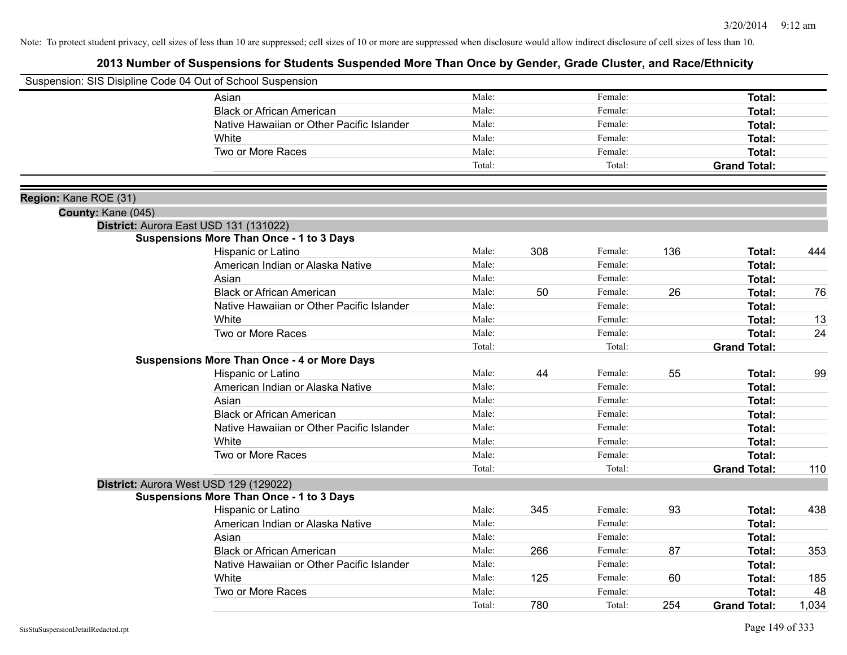|                       | Suspension: SIS Disipline Code 04 Out of School Suspension |        |     |         |     |                     |       |
|-----------------------|------------------------------------------------------------|--------|-----|---------|-----|---------------------|-------|
|                       | Asian                                                      | Male:  |     | Female: |     | <b>Total:</b>       |       |
|                       | <b>Black or African American</b>                           | Male:  |     | Female: |     | Total:              |       |
|                       | Native Hawaiian or Other Pacific Islander                  | Male:  |     | Female: |     | Total:              |       |
|                       | White                                                      | Male:  |     | Female: |     | Total:              |       |
|                       | Two or More Races                                          | Male:  |     | Female: |     | Total:              |       |
|                       |                                                            | Total: |     | Total:  |     | <b>Grand Total:</b> |       |
| Region: Kane ROE (31) |                                                            |        |     |         |     |                     |       |
| County: Kane (045)    |                                                            |        |     |         |     |                     |       |
|                       | District: Aurora East USD 131 (131022)                     |        |     |         |     |                     |       |
|                       | <b>Suspensions More Than Once - 1 to 3 Days</b>            |        |     |         |     |                     |       |
|                       | Hispanic or Latino                                         | Male:  | 308 | Female: | 136 | Total:              | 444   |
|                       | American Indian or Alaska Native                           | Male:  |     | Female: |     | <b>Total:</b>       |       |
|                       | Asian                                                      | Male:  |     | Female: |     | <b>Total:</b>       |       |
|                       | <b>Black or African American</b>                           | Male:  | 50  | Female: | 26  | <b>Total:</b>       | 76    |
|                       | Native Hawaiian or Other Pacific Islander                  | Male:  |     | Female: |     | <b>Total:</b>       |       |
|                       | White                                                      | Male:  |     | Female: |     | <b>Total:</b>       | 13    |
|                       | Two or More Races                                          | Male:  |     | Female: |     | <b>Total:</b>       | 24    |
|                       |                                                            | Total: |     | Total:  |     | <b>Grand Total:</b> |       |
|                       | <b>Suspensions More Than Once - 4 or More Days</b>         |        |     |         |     |                     |       |
|                       | Hispanic or Latino                                         | Male:  | 44  | Female: | 55  | Total:              | 99    |
|                       | American Indian or Alaska Native                           | Male:  |     | Female: |     | <b>Total:</b>       |       |
|                       | Asian                                                      | Male:  |     | Female: |     | <b>Total:</b>       |       |
|                       | <b>Black or African American</b>                           | Male:  |     | Female: |     | <b>Total:</b>       |       |
|                       | Native Hawaiian or Other Pacific Islander                  | Male:  |     | Female: |     | <b>Total:</b>       |       |
|                       | White                                                      | Male:  |     | Female: |     | <b>Total:</b>       |       |
|                       | Two or More Races                                          | Male:  |     | Female: |     | Total:              |       |
|                       |                                                            | Total: |     | Total:  |     | <b>Grand Total:</b> | 110   |
|                       | District: Aurora West USD 129 (129022)                     |        |     |         |     |                     |       |
|                       | <b>Suspensions More Than Once - 1 to 3 Days</b>            |        |     |         |     |                     |       |
|                       | Hispanic or Latino                                         | Male:  | 345 | Female: | 93  | Total:              | 438   |
|                       | American Indian or Alaska Native                           | Male:  |     | Female: |     | Total:              |       |
|                       | Asian                                                      | Male:  |     | Female: |     | <b>Total:</b>       |       |
|                       | <b>Black or African American</b>                           | Male:  | 266 | Female: | 87  | <b>Total:</b>       | 353   |
|                       | Native Hawaiian or Other Pacific Islander                  | Male:  |     | Female: |     | <b>Total:</b>       |       |
|                       | White                                                      | Male:  | 125 | Female: | 60  | <b>Total:</b>       | 185   |
|                       | Two or More Races                                          | Male:  |     | Female: |     | <b>Total:</b>       | 48    |
|                       |                                                            | Total: | 780 | Total:  | 254 | <b>Grand Total:</b> | 1,034 |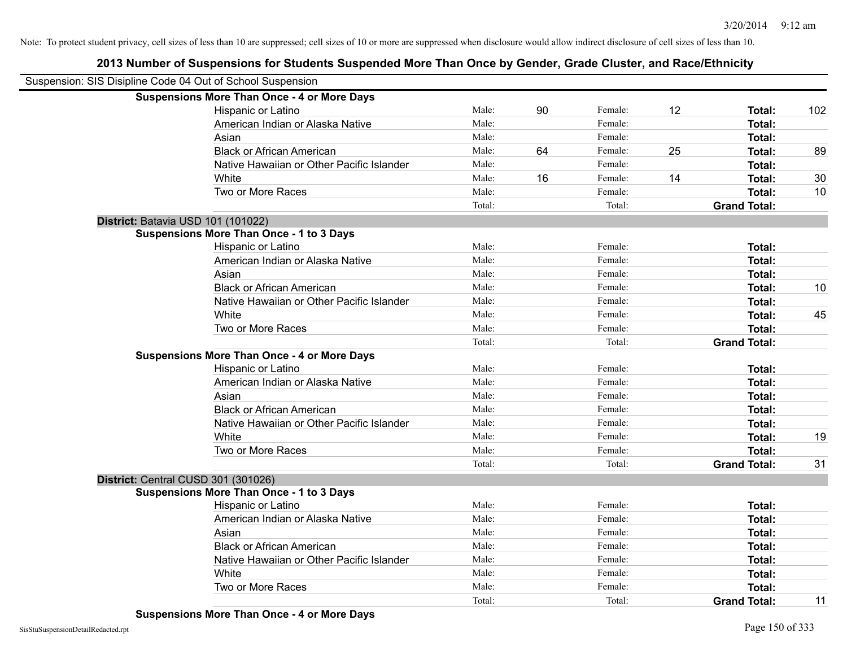| Suspension: SIS Disipline Code 04 Out of School Suspension |                                                    |        |    |         |    |                     |     |
|------------------------------------------------------------|----------------------------------------------------|--------|----|---------|----|---------------------|-----|
|                                                            | <b>Suspensions More Than Once - 4 or More Days</b> |        |    |         |    |                     |     |
|                                                            | Hispanic or Latino                                 | Male:  | 90 | Female: | 12 | Total:              | 102 |
|                                                            | American Indian or Alaska Native                   | Male:  |    | Female: |    | <b>Total:</b>       |     |
|                                                            | Asian                                              | Male:  |    | Female: |    | Total:              |     |
|                                                            | <b>Black or African American</b>                   | Male:  | 64 | Female: | 25 | Total:              | 89  |
|                                                            | Native Hawaiian or Other Pacific Islander          | Male:  |    | Female: |    | <b>Total:</b>       |     |
|                                                            | White                                              | Male:  | 16 | Female: | 14 | Total:              | 30  |
|                                                            | Two or More Races                                  | Male:  |    | Female: |    | <b>Total:</b>       | 10  |
|                                                            |                                                    | Total: |    | Total:  |    | <b>Grand Total:</b> |     |
|                                                            | District: Batavia USD 101 (101022)                 |        |    |         |    |                     |     |
|                                                            | <b>Suspensions More Than Once - 1 to 3 Days</b>    |        |    |         |    |                     |     |
|                                                            | Hispanic or Latino                                 | Male:  |    | Female: |    | Total:              |     |
|                                                            | American Indian or Alaska Native                   | Male:  |    | Female: |    | Total:              |     |
|                                                            | Asian                                              | Male:  |    | Female: |    | Total:              |     |
|                                                            | <b>Black or African American</b>                   | Male:  |    | Female: |    | Total:              | 10  |
|                                                            | Native Hawaiian or Other Pacific Islander          | Male:  |    | Female: |    | Total:              |     |
|                                                            | White                                              | Male:  |    | Female: |    | Total:              | 45  |
|                                                            | Two or More Races                                  | Male:  |    | Female: |    | Total:              |     |
|                                                            |                                                    | Total: |    | Total:  |    | <b>Grand Total:</b> |     |
|                                                            | <b>Suspensions More Than Once - 4 or More Days</b> |        |    |         |    |                     |     |
|                                                            | Hispanic or Latino                                 | Male:  |    | Female: |    | Total:              |     |
|                                                            | American Indian or Alaska Native                   | Male:  |    | Female: |    | Total:              |     |
|                                                            | Asian                                              | Male:  |    | Female: |    | Total:              |     |
|                                                            | <b>Black or African American</b>                   | Male:  |    | Female: |    | <b>Total:</b>       |     |
|                                                            | Native Hawaiian or Other Pacific Islander          | Male:  |    | Female: |    | Total:              |     |
|                                                            | White                                              | Male:  |    | Female: |    | <b>Total:</b>       | 19  |
|                                                            | Two or More Races                                  | Male:  |    | Female: |    | Total:              |     |
|                                                            |                                                    | Total: |    | Total:  |    | <b>Grand Total:</b> | 31  |
|                                                            | District: Central CUSD 301 (301026)                |        |    |         |    |                     |     |
|                                                            | <b>Suspensions More Than Once - 1 to 3 Days</b>    |        |    |         |    |                     |     |
|                                                            | Hispanic or Latino                                 | Male:  |    | Female: |    | Total:              |     |
|                                                            | American Indian or Alaska Native                   | Male:  |    | Female: |    | Total:              |     |
|                                                            | Asian                                              | Male:  |    | Female: |    | Total:              |     |
|                                                            | <b>Black or African American</b>                   | Male:  |    | Female: |    | <b>Total:</b>       |     |
|                                                            | Native Hawaiian or Other Pacific Islander          | Male:  |    | Female: |    | Total:              |     |
|                                                            | White                                              | Male:  |    | Female: |    | <b>Total:</b>       |     |
|                                                            | Two or More Races                                  | Male:  |    | Female: |    | <b>Total:</b>       |     |
|                                                            |                                                    | Total: |    | Total:  |    | <b>Grand Total:</b> | 11  |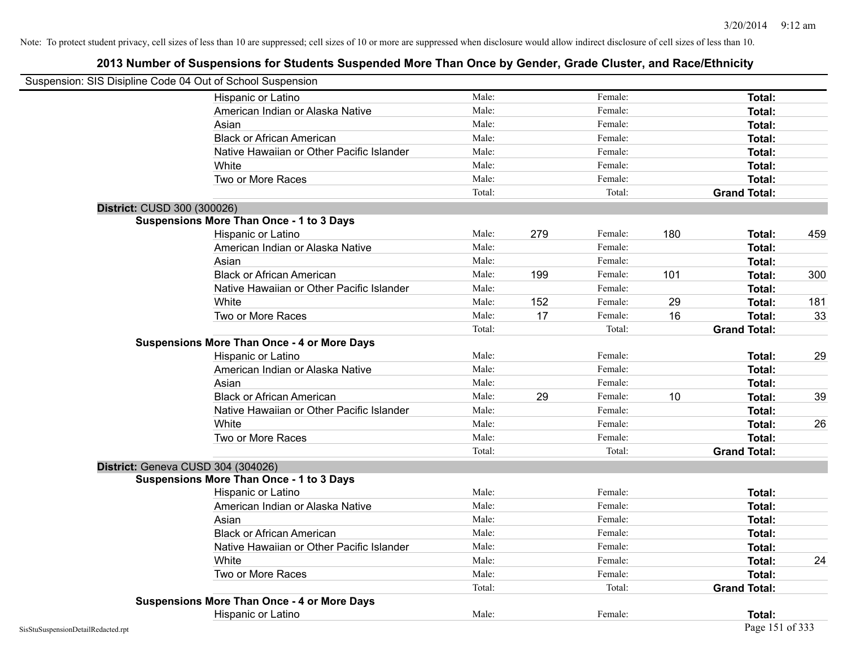| Suspension: SIS Disipline Code 04 Out of School Suspension |                                                    |        |     |         |     |                     |     |
|------------------------------------------------------------|----------------------------------------------------|--------|-----|---------|-----|---------------------|-----|
|                                                            | Hispanic or Latino                                 | Male:  |     | Female: |     | <b>Total:</b>       |     |
|                                                            | American Indian or Alaska Native                   | Male:  |     | Female: |     | Total:              |     |
|                                                            | Asian                                              | Male:  |     | Female: |     | Total:              |     |
|                                                            | <b>Black or African American</b>                   | Male:  |     | Female: |     | Total:              |     |
|                                                            | Native Hawaiian or Other Pacific Islander          | Male:  |     | Female: |     | Total:              |     |
|                                                            | White                                              | Male:  |     | Female: |     | <b>Total:</b>       |     |
|                                                            | Two or More Races                                  | Male:  |     | Female: |     | <b>Total:</b>       |     |
|                                                            |                                                    | Total: |     | Total:  |     | <b>Grand Total:</b> |     |
| District: CUSD 300 (300026)                                |                                                    |        |     |         |     |                     |     |
|                                                            | <b>Suspensions More Than Once - 1 to 3 Days</b>    |        |     |         |     |                     |     |
|                                                            | Hispanic or Latino                                 | Male:  | 279 | Female: | 180 | Total:              | 459 |
|                                                            | American Indian or Alaska Native                   | Male:  |     | Female: |     | Total:              |     |
|                                                            | Asian                                              | Male:  |     | Female: |     | Total:              |     |
|                                                            | <b>Black or African American</b>                   | Male:  | 199 | Female: | 101 | Total:              | 300 |
|                                                            | Native Hawaiian or Other Pacific Islander          | Male:  |     | Female: |     | Total:              |     |
|                                                            | White                                              | Male:  | 152 | Female: | 29  | Total:              | 181 |
|                                                            | Two or More Races                                  | Male:  | 17  | Female: | 16  | <b>Total:</b>       | 33  |
|                                                            |                                                    | Total: |     | Total:  |     | <b>Grand Total:</b> |     |
|                                                            | <b>Suspensions More Than Once - 4 or More Days</b> |        |     |         |     |                     |     |
|                                                            | Hispanic or Latino                                 | Male:  |     | Female: |     | Total:              | 29  |
|                                                            | American Indian or Alaska Native                   | Male:  |     | Female: |     | Total:              |     |
|                                                            | Asian                                              | Male:  |     | Female: |     | Total:              |     |
|                                                            | <b>Black or African American</b>                   | Male:  | 29  | Female: | 10  | Total:              | 39  |
|                                                            | Native Hawaiian or Other Pacific Islander          | Male:  |     | Female: |     | Total:              |     |
|                                                            | White                                              | Male:  |     | Female: |     | Total:              | 26  |
|                                                            | Two or More Races                                  | Male:  |     | Female: |     | <b>Total:</b>       |     |
|                                                            |                                                    | Total: |     | Total:  |     | <b>Grand Total:</b> |     |
|                                                            | District: Geneva CUSD 304 (304026)                 |        |     |         |     |                     |     |
|                                                            | <b>Suspensions More Than Once - 1 to 3 Days</b>    |        |     |         |     |                     |     |
|                                                            | Hispanic or Latino                                 | Male:  |     | Female: |     | Total:              |     |
|                                                            | American Indian or Alaska Native                   | Male:  |     | Female: |     | <b>Total:</b>       |     |
|                                                            | Asian                                              | Male:  |     | Female: |     | Total:              |     |
|                                                            | <b>Black or African American</b>                   | Male:  |     | Female: |     | Total:              |     |
|                                                            | Native Hawaiian or Other Pacific Islander          | Male:  |     | Female: |     | Total:              |     |
|                                                            | White                                              | Male:  |     | Female: |     | Total:              | 24  |
|                                                            | Two or More Races                                  | Male:  |     | Female: |     | Total:              |     |
|                                                            |                                                    | Total: |     | Total:  |     | <b>Grand Total:</b> |     |
|                                                            | <b>Suspensions More Than Once - 4 or More Days</b> |        |     |         |     |                     |     |
|                                                            | Hispanic or Latino                                 | Male:  |     | Female: |     | Total:              |     |
| SisStuSuspensionDetailRedacted.rpt                         |                                                    |        |     |         |     | Page 151 of 333     |     |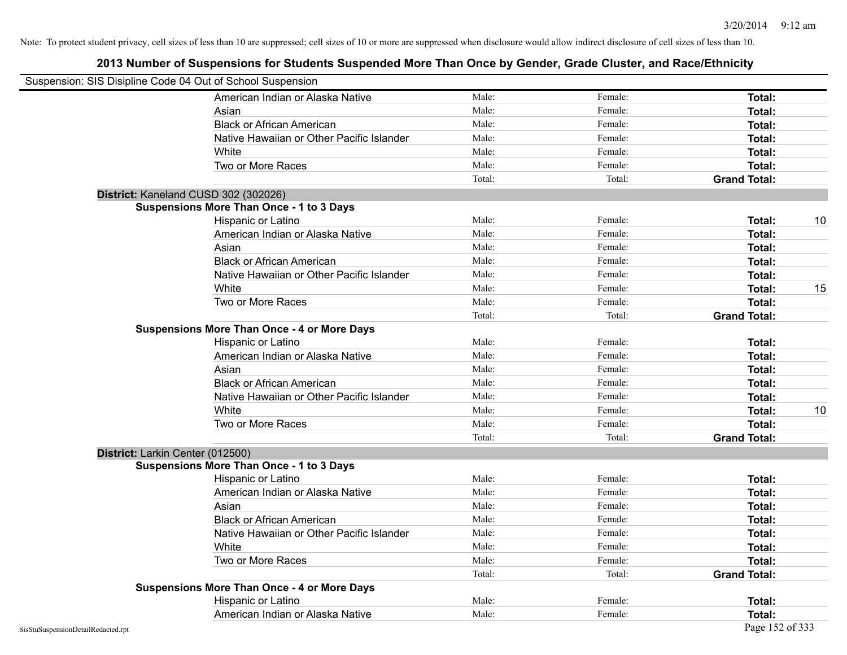|                                    | Suspension: SIS Disipline Code 04 Out of School Suspension |        |         |                     |    |
|------------------------------------|------------------------------------------------------------|--------|---------|---------------------|----|
|                                    | American Indian or Alaska Native                           | Male:  | Female: | <b>Total:</b>       |    |
|                                    | Asian                                                      | Male:  | Female: | Total:              |    |
|                                    | <b>Black or African American</b>                           | Male:  | Female: | Total:              |    |
|                                    | Native Hawaiian or Other Pacific Islander                  | Male:  | Female: | Total:              |    |
|                                    | White                                                      | Male:  | Female: | Total:              |    |
|                                    | Two or More Races                                          | Male:  | Female: | Total:              |    |
|                                    |                                                            | Total: | Total:  | <b>Grand Total:</b> |    |
|                                    | District: Kaneland CUSD 302 (302026)                       |        |         |                     |    |
|                                    | <b>Suspensions More Than Once - 1 to 3 Days</b>            |        |         |                     |    |
|                                    | Hispanic or Latino                                         | Male:  | Female: | Total:              | 10 |
|                                    | American Indian or Alaska Native                           | Male:  | Female: | Total:              |    |
|                                    | Asian                                                      | Male:  | Female: | Total:              |    |
|                                    | <b>Black or African American</b>                           | Male:  | Female: | Total:              |    |
|                                    | Native Hawaiian or Other Pacific Islander                  | Male:  | Female: | Total:              |    |
|                                    | White                                                      | Male:  | Female: | Total:              | 15 |
|                                    | Two or More Races                                          | Male:  | Female: | Total:              |    |
|                                    |                                                            | Total: | Total:  | <b>Grand Total:</b> |    |
|                                    | <b>Suspensions More Than Once - 4 or More Days</b>         |        |         |                     |    |
|                                    | Hispanic or Latino                                         | Male:  | Female: | Total:              |    |
|                                    | American Indian or Alaska Native                           | Male:  | Female: | Total:              |    |
|                                    | Asian                                                      | Male:  | Female: | Total:              |    |
|                                    | <b>Black or African American</b>                           | Male:  | Female: | Total:              |    |
|                                    | Native Hawaiian or Other Pacific Islander                  | Male:  | Female: | Total:              |    |
|                                    | White                                                      | Male:  | Female: | Total:              | 10 |
|                                    | Two or More Races                                          | Male:  | Female: | Total:              |    |
|                                    |                                                            | Total: | Total:  | <b>Grand Total:</b> |    |
|                                    | District: Larkin Center (012500)                           |        |         |                     |    |
|                                    | <b>Suspensions More Than Once - 1 to 3 Days</b>            |        |         |                     |    |
|                                    | Hispanic or Latino                                         | Male:  | Female: | Total:              |    |
|                                    | American Indian or Alaska Native                           | Male:  | Female: | Total:              |    |
|                                    | Asian                                                      | Male:  | Female: | Total:              |    |
|                                    | <b>Black or African American</b>                           | Male:  | Female: | Total:              |    |
|                                    | Native Hawaiian or Other Pacific Islander                  | Male:  | Female: | Total:              |    |
|                                    | White                                                      | Male:  | Female: | Total:              |    |
|                                    | Two or More Races                                          | Male:  | Female: | Total:              |    |
|                                    |                                                            | Total: | Total:  | <b>Grand Total:</b> |    |
|                                    | <b>Suspensions More Than Once - 4 or More Days</b>         |        |         |                     |    |
|                                    | Hispanic or Latino                                         | Male:  | Female: | Total:              |    |
|                                    | American Indian or Alaska Native                           | Male:  | Female: | Total:              |    |
| SisStuSuspensionDetailRedacted.rpt |                                                            |        |         | Page 152 of 333     |    |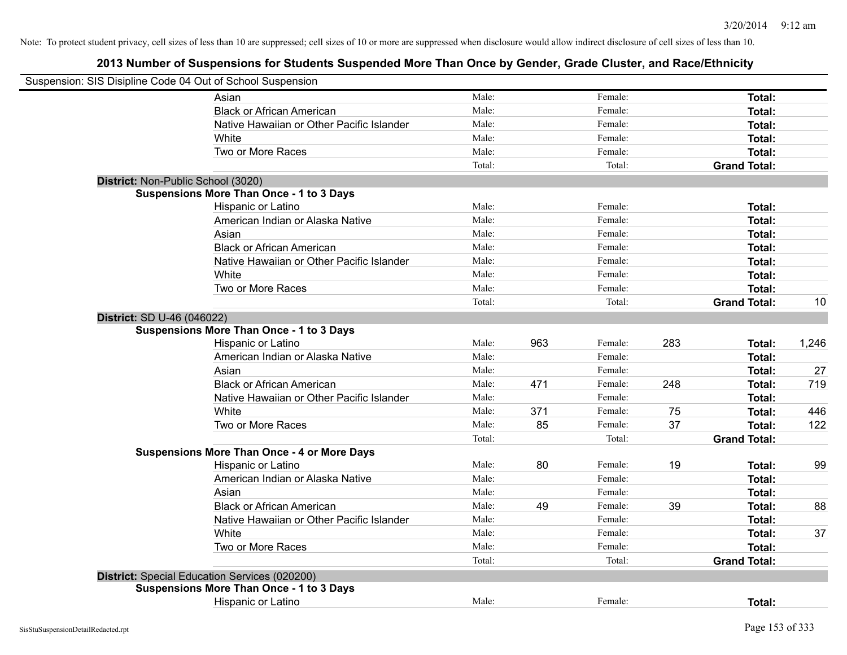|                            | Suspension: SIS Disipline Code 04 Out of School Suspension |                |     |                    |     |                     |       |
|----------------------------|------------------------------------------------------------|----------------|-----|--------------------|-----|---------------------|-------|
|                            | Asian                                                      | Male:          |     | Female:            |     | Total:              |       |
|                            | <b>Black or African American</b>                           | Male:          |     | Female:            |     | Total:              |       |
|                            | Native Hawaiian or Other Pacific Islander                  | Male:          |     | Female:            |     | Total:              |       |
|                            | White                                                      | Male:          |     | Female:            |     | Total:              |       |
|                            | Two or More Races                                          | Male:          |     | Female:            |     | Total:              |       |
|                            |                                                            | Total:         |     | Total:             |     | <b>Grand Total:</b> |       |
|                            | District: Non-Public School (3020)                         |                |     |                    |     |                     |       |
|                            | <b>Suspensions More Than Once - 1 to 3 Days</b>            |                |     |                    |     |                     |       |
|                            | Hispanic or Latino                                         | Male:          |     | Female:            |     | Total:              |       |
|                            | American Indian or Alaska Native                           | Male:          |     | Female:            |     | Total:              |       |
|                            | Asian                                                      | Male:          |     | Female:            |     | Total:              |       |
|                            | <b>Black or African American</b>                           | Male:          |     | Female:            |     | Total:              |       |
|                            | Native Hawaiian or Other Pacific Islander                  | Male:          |     | Female:            |     | Total:              |       |
|                            | White                                                      | Male:          |     | Female:            |     | <b>Total:</b>       |       |
|                            | Two or More Races                                          | Male:          |     | Female:            |     | Total:              |       |
|                            |                                                            | Total:         |     | Total:             |     | <b>Grand Total:</b> | 10    |
| District: SD U-46 (046022) |                                                            |                |     |                    |     |                     |       |
|                            | <b>Suspensions More Than Once - 1 to 3 Days</b>            |                |     |                    |     |                     |       |
|                            | Hispanic or Latino                                         | Male:          | 963 | Female:            | 283 | Total:              | 1,246 |
|                            | American Indian or Alaska Native                           | Male:          |     | Female:            |     | Total:              |       |
|                            | Asian                                                      | Male:          |     | Female:            |     | Total:              | 27    |
|                            | <b>Black or African American</b>                           | Male:          | 471 | Female:            | 248 | Total:              | 719   |
|                            | Native Hawaiian or Other Pacific Islander                  | Male:          |     | Female:            |     | Total:              |       |
|                            | White                                                      | Male:          | 371 | Female:            | 75  | Total:              | 446   |
|                            | Two or More Races                                          | Male:          | 85  | Female:            | 37  | Total:              | 122   |
|                            |                                                            | Total:         |     | Total:             |     | <b>Grand Total:</b> |       |
|                            | <b>Suspensions More Than Once - 4 or More Days</b>         |                |     |                    |     |                     |       |
|                            | Hispanic or Latino                                         | Male:          | 80  | Female:            | 19  | Total:              | 99    |
|                            | American Indian or Alaska Native                           | Male:          |     | Female:            |     | Total:              |       |
|                            | Asian                                                      | Male:          |     | Female:            |     | Total:              |       |
|                            | <b>Black or African American</b>                           | Male:          | 49  | Female:            | 39  | Total:              | 88    |
|                            | Native Hawaiian or Other Pacific Islander                  | Male:<br>Male: |     | Female:            |     | Total:              |       |
|                            | White                                                      | Male:          |     | Female:<br>Female: |     | Total:              | 37    |
|                            | Two or More Races                                          | Total:         |     | Total:             |     | Total:              |       |
|                            |                                                            |                |     |                    |     | <b>Grand Total:</b> |       |
|                            | District: Special Education Services (020200)              |                |     |                    |     |                     |       |
|                            | <b>Suspensions More Than Once - 1 to 3 Days</b>            |                |     |                    |     |                     |       |
|                            | Hispanic or Latino                                         | Male:          |     | Female:            |     | Total:              |       |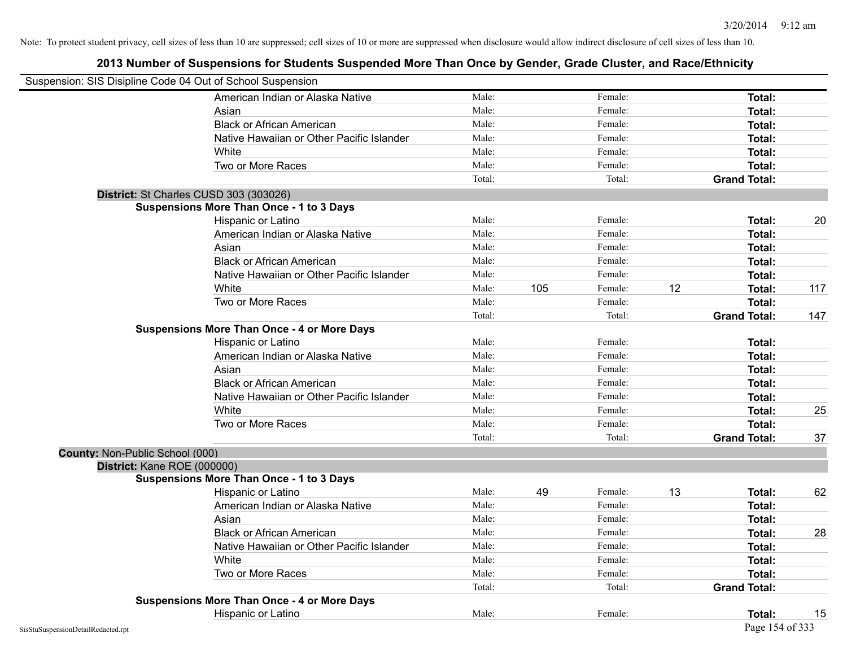| Suspension: SIS Disipline Code 04 Out of School Suspension |                                                    |        |     |         |    |                     |     |
|------------------------------------------------------------|----------------------------------------------------|--------|-----|---------|----|---------------------|-----|
|                                                            | American Indian or Alaska Native                   | Male:  |     | Female: |    | <b>Total:</b>       |     |
|                                                            | Asian                                              | Male:  |     | Female: |    | Total:              |     |
|                                                            | <b>Black or African American</b>                   | Male:  |     | Female: |    | Total:              |     |
|                                                            | Native Hawaiian or Other Pacific Islander          | Male:  |     | Female: |    | Total:              |     |
|                                                            | White                                              | Male:  |     | Female: |    | Total:              |     |
|                                                            | Two or More Races                                  | Male:  |     | Female: |    | Total:              |     |
|                                                            |                                                    | Total: |     | Total:  |    | <b>Grand Total:</b> |     |
|                                                            | District: St Charles CUSD 303 (303026)             |        |     |         |    |                     |     |
|                                                            | <b>Suspensions More Than Once - 1 to 3 Days</b>    |        |     |         |    |                     |     |
|                                                            | Hispanic or Latino                                 | Male:  |     | Female: |    | Total:              | 20  |
|                                                            | American Indian or Alaska Native                   | Male:  |     | Female: |    | Total:              |     |
|                                                            | Asian                                              | Male:  |     | Female: |    | Total:              |     |
|                                                            | <b>Black or African American</b>                   | Male:  |     | Female: |    | Total:              |     |
|                                                            | Native Hawaiian or Other Pacific Islander          | Male:  |     | Female: |    | Total:              |     |
|                                                            | White                                              | Male:  | 105 | Female: | 12 | Total:              | 117 |
|                                                            | Two or More Races                                  | Male:  |     | Female: |    | Total:              |     |
|                                                            |                                                    | Total: |     | Total:  |    | <b>Grand Total:</b> | 147 |
|                                                            | <b>Suspensions More Than Once - 4 or More Days</b> |        |     |         |    |                     |     |
|                                                            | Hispanic or Latino                                 | Male:  |     | Female: |    | Total:              |     |
|                                                            | American Indian or Alaska Native                   | Male:  |     | Female: |    | Total:              |     |
|                                                            | Asian                                              | Male:  |     | Female: |    | Total:              |     |
|                                                            | <b>Black or African American</b>                   | Male:  |     | Female: |    | Total:              |     |
|                                                            | Native Hawaiian or Other Pacific Islander          | Male:  |     | Female: |    | Total:              |     |
|                                                            | White                                              | Male:  |     | Female: |    | Total:              | 25  |
|                                                            | Two or More Races                                  | Male:  |     | Female: |    | Total:              |     |
|                                                            |                                                    | Total: |     | Total:  |    | <b>Grand Total:</b> | 37  |
| County: Non-Public School (000)                            |                                                    |        |     |         |    |                     |     |
| District: Kane ROE (000000)                                |                                                    |        |     |         |    |                     |     |
|                                                            | <b>Suspensions More Than Once - 1 to 3 Days</b>    |        |     |         |    |                     |     |
|                                                            | Hispanic or Latino                                 | Male:  | 49  | Female: | 13 | Total:              | 62  |
|                                                            | American Indian or Alaska Native                   | Male:  |     | Female: |    | Total:              |     |
|                                                            | Asian                                              | Male:  |     | Female: |    | Total:              |     |
|                                                            | <b>Black or African American</b>                   | Male:  |     | Female: |    | Total:              | 28  |
|                                                            | Native Hawaiian or Other Pacific Islander          | Male:  |     | Female: |    | <b>Total:</b>       |     |
|                                                            | White                                              | Male:  |     | Female: |    | Total:              |     |
|                                                            | Two or More Races                                  | Male:  |     | Female: |    | Total:              |     |
|                                                            |                                                    | Total: |     | Total:  |    | <b>Grand Total:</b> |     |
|                                                            | <b>Suspensions More Than Once - 4 or More Days</b> |        |     |         |    |                     |     |
|                                                            | Hispanic or Latino                                 | Male:  |     | Female: |    | Total:              | 15  |
| SisStuSuspensionDetailRedacted.rpt                         |                                                    |        |     |         |    | Page 154 of 333     |     |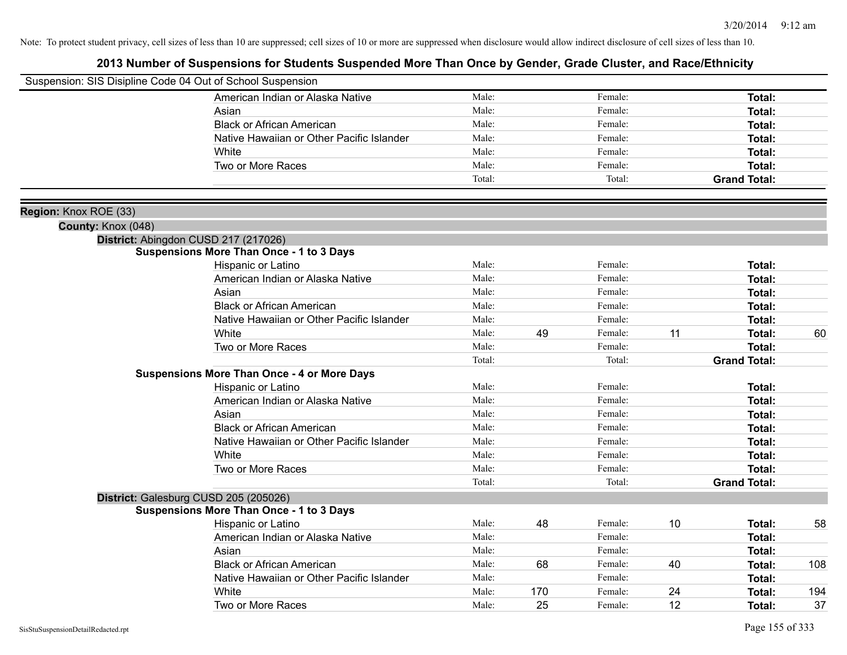|                       | Suspension: SIS Disipline Code 04 Out of School Suspension |        |     |         |    |                     |     |
|-----------------------|------------------------------------------------------------|--------|-----|---------|----|---------------------|-----|
|                       | American Indian or Alaska Native                           | Male:  |     | Female: |    | Total:              |     |
|                       | Asian                                                      | Male:  |     | Female: |    | Total:              |     |
|                       | <b>Black or African American</b>                           | Male:  |     | Female: |    | Total:              |     |
|                       | Native Hawaiian or Other Pacific Islander                  | Male:  |     | Female: |    | Total:              |     |
|                       | White                                                      | Male:  |     | Female: |    | Total:              |     |
|                       | Two or More Races                                          | Male:  |     | Female: |    | <b>Total:</b>       |     |
|                       |                                                            | Total: |     | Total:  |    | <b>Grand Total:</b> |     |
|                       |                                                            |        |     |         |    |                     |     |
| Region: Knox ROE (33) |                                                            |        |     |         |    |                     |     |
| County: Knox (048)    |                                                            |        |     |         |    |                     |     |
|                       | District: Abingdon CUSD 217 (217026)                       |        |     |         |    |                     |     |
|                       | <b>Suspensions More Than Once - 1 to 3 Days</b>            |        |     |         |    |                     |     |
|                       | Hispanic or Latino                                         | Male:  |     | Female: |    | Total:              |     |
|                       | American Indian or Alaska Native                           | Male:  |     | Female: |    | Total:              |     |
|                       | Asian                                                      | Male:  |     | Female: |    | Total:              |     |
|                       | <b>Black or African American</b>                           | Male:  |     | Female: |    | Total:              |     |
|                       | Native Hawaiian or Other Pacific Islander                  | Male:  |     | Female: |    | Total:              |     |
|                       | White                                                      | Male:  | 49  | Female: | 11 | Total:              | 60  |
|                       | Two or More Races                                          | Male:  |     | Female: |    | Total:              |     |
|                       |                                                            | Total: |     | Total:  |    | <b>Grand Total:</b> |     |
|                       | <b>Suspensions More Than Once - 4 or More Days</b>         |        |     |         |    |                     |     |
|                       | Hispanic or Latino                                         | Male:  |     | Female: |    | Total:              |     |
|                       | American Indian or Alaska Native                           | Male:  |     | Female: |    | Total:              |     |
|                       | Asian                                                      | Male:  |     | Female: |    | Total:              |     |
|                       | <b>Black or African American</b>                           | Male:  |     | Female: |    | Total:              |     |
|                       | Native Hawaiian or Other Pacific Islander                  | Male:  |     | Female: |    | Total:              |     |
|                       | White                                                      | Male:  |     | Female: |    | Total:              |     |
|                       | Two or More Races                                          | Male:  |     | Female: |    | <b>Total:</b>       |     |
|                       |                                                            | Total: |     | Total:  |    | <b>Grand Total:</b> |     |
|                       | District: Galesburg CUSD 205 (205026)                      |        |     |         |    |                     |     |
|                       | <b>Suspensions More Than Once - 1 to 3 Days</b>            |        |     |         |    |                     |     |
|                       | Hispanic or Latino                                         | Male:  | 48  | Female: | 10 | Total:              | 58  |
|                       | American Indian or Alaska Native                           | Male:  |     | Female: |    | Total:              |     |
|                       | Asian                                                      | Male:  |     | Female: |    | Total:              |     |
|                       | <b>Black or African American</b>                           | Male:  | 68  | Female: | 40 | Total:              | 108 |
|                       | Native Hawaiian or Other Pacific Islander                  | Male:  |     | Female: |    | Total:              |     |
|                       | White                                                      | Male:  | 170 | Female: | 24 | <b>Total:</b>       | 194 |
|                       | Two or More Races                                          | Male:  | 25  | Female: | 12 | Total:              | 37  |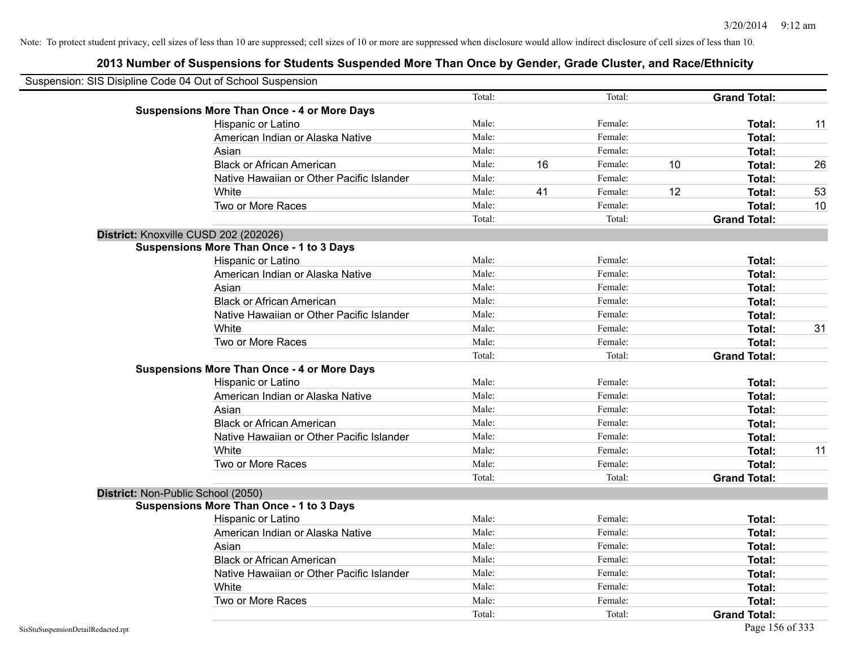| Suspension: SIS Disipline Code 04 Out of School Suspension |        |    |         |    |                     |    |
|------------------------------------------------------------|--------|----|---------|----|---------------------|----|
|                                                            | Total: |    | Total:  |    | <b>Grand Total:</b> |    |
| <b>Suspensions More Than Once - 4 or More Days</b>         |        |    |         |    |                     |    |
| Hispanic or Latino                                         | Male:  |    | Female: |    | Total:              | 11 |
| American Indian or Alaska Native                           | Male:  |    | Female: |    | Total:              |    |
| Asian                                                      | Male:  |    | Female: |    | Total:              |    |
| <b>Black or African American</b>                           | Male:  | 16 | Female: | 10 | Total:              | 26 |
| Native Hawaiian or Other Pacific Islander                  | Male:  |    | Female: |    | Total:              |    |
| White                                                      | Male:  | 41 | Female: | 12 | Total:              | 53 |
| Two or More Races                                          | Male:  |    | Female: |    | Total:              | 10 |
|                                                            | Total: |    | Total:  |    | <b>Grand Total:</b> |    |
| District: Knoxville CUSD 202 (202026)                      |        |    |         |    |                     |    |
| <b>Suspensions More Than Once - 1 to 3 Days</b>            |        |    |         |    |                     |    |
| Hispanic or Latino                                         | Male:  |    | Female: |    | Total:              |    |
| American Indian or Alaska Native                           | Male:  |    | Female: |    | <b>Total:</b>       |    |
| Asian                                                      | Male:  |    | Female: |    | Total:              |    |
| <b>Black or African American</b>                           | Male:  |    | Female: |    | Total:              |    |
| Native Hawaiian or Other Pacific Islander                  | Male:  |    | Female: |    | <b>Total:</b>       |    |
| White                                                      | Male:  |    | Female: |    | <b>Total:</b>       | 31 |
| Two or More Races                                          | Male:  |    | Female: |    | Total:              |    |
|                                                            | Total: |    | Total:  |    | <b>Grand Total:</b> |    |
| <b>Suspensions More Than Once - 4 or More Days</b>         |        |    |         |    |                     |    |
| Hispanic or Latino                                         | Male:  |    | Female: |    | Total:              |    |
| American Indian or Alaska Native                           | Male:  |    | Female: |    | Total:              |    |
| Asian                                                      | Male:  |    | Female: |    | Total:              |    |
| <b>Black or African American</b>                           | Male:  |    | Female: |    | Total:              |    |
| Native Hawaiian or Other Pacific Islander                  | Male:  |    | Female: |    | <b>Total:</b>       |    |
| White                                                      | Male:  |    | Female: |    | Total:              | 11 |
| Two or More Races                                          | Male:  |    | Female: |    | <b>Total:</b>       |    |
|                                                            | Total: |    | Total:  |    | <b>Grand Total:</b> |    |
| District: Non-Public School (2050)                         |        |    |         |    |                     |    |
| <b>Suspensions More Than Once - 1 to 3 Days</b>            |        |    |         |    |                     |    |
| Hispanic or Latino                                         | Male:  |    | Female: |    | <b>Total:</b>       |    |
| American Indian or Alaska Native                           | Male:  |    | Female: |    | <b>Total:</b>       |    |
| Asian                                                      | Male:  |    | Female: |    | Total:              |    |
| <b>Black or African American</b>                           | Male:  |    | Female: |    | Total:              |    |
| Native Hawaiian or Other Pacific Islander                  | Male:  |    | Female: |    | Total:              |    |
| White                                                      | Male:  |    | Female: |    | Total:              |    |
| Two or More Races                                          | Male:  |    | Female: |    | <b>Total:</b>       |    |
|                                                            | Total: |    | Total:  |    | <b>Grand Total:</b> |    |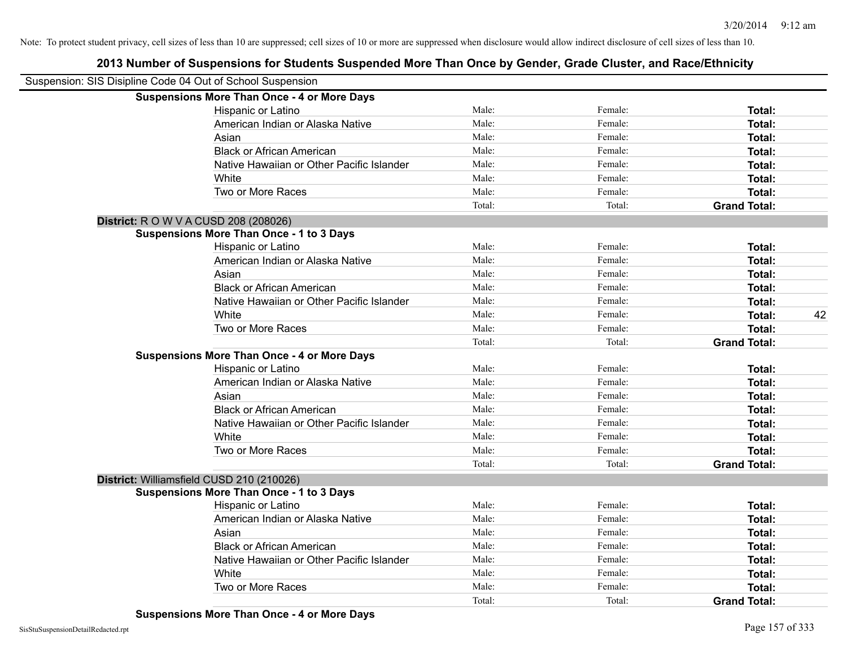| Suspension: SIS Disipline Code 04 Out of School Suspension |                                                    |        |         |                     |    |
|------------------------------------------------------------|----------------------------------------------------|--------|---------|---------------------|----|
|                                                            | <b>Suspensions More Than Once - 4 or More Days</b> |        |         |                     |    |
|                                                            | Hispanic or Latino                                 | Male:  | Female: | Total:              |    |
|                                                            | American Indian or Alaska Native                   | Male:  | Female: | Total:              |    |
|                                                            | Asian                                              | Male:  | Female: | Total:              |    |
|                                                            | <b>Black or African American</b>                   | Male:  | Female: | Total:              |    |
|                                                            | Native Hawaiian or Other Pacific Islander          | Male:  | Female: | Total:              |    |
|                                                            | White                                              | Male:  | Female: | Total:              |    |
|                                                            | Two or More Races                                  | Male:  | Female: | Total:              |    |
|                                                            |                                                    | Total: | Total:  | <b>Grand Total:</b> |    |
|                                                            | <b>District:</b> R O W V A CUSD 208 (208026)       |        |         |                     |    |
|                                                            | <b>Suspensions More Than Once - 1 to 3 Days</b>    |        |         |                     |    |
|                                                            | Hispanic or Latino                                 | Male:  | Female: | Total:              |    |
|                                                            | American Indian or Alaska Native                   | Male:  | Female: | Total:              |    |
|                                                            | Asian                                              | Male:  | Female: | Total:              |    |
|                                                            | <b>Black or African American</b>                   | Male:  | Female: | Total:              |    |
|                                                            | Native Hawaiian or Other Pacific Islander          | Male:  | Female: | Total:              |    |
|                                                            | White                                              | Male:  | Female: | Total:              | 42 |
|                                                            | Two or More Races                                  | Male:  | Female: | Total:              |    |
|                                                            |                                                    | Total: | Total:  | <b>Grand Total:</b> |    |
|                                                            | <b>Suspensions More Than Once - 4 or More Days</b> |        |         |                     |    |
|                                                            | Hispanic or Latino                                 | Male:  | Female: | Total:              |    |
|                                                            | American Indian or Alaska Native                   | Male:  | Female: | Total:              |    |
|                                                            | Asian                                              | Male:  | Female: | Total:              |    |
|                                                            | <b>Black or African American</b>                   | Male:  | Female: | Total:              |    |
|                                                            | Native Hawaiian or Other Pacific Islander          | Male:  | Female: | Total:              |    |
|                                                            | White                                              | Male:  | Female: | Total:              |    |
|                                                            | Two or More Races                                  | Male:  | Female: | Total:              |    |
|                                                            |                                                    | Total: | Total:  | <b>Grand Total:</b> |    |
|                                                            | District: Williamsfield CUSD 210 (210026)          |        |         |                     |    |
|                                                            | <b>Suspensions More Than Once - 1 to 3 Days</b>    |        |         |                     |    |
|                                                            | Hispanic or Latino                                 | Male:  | Female: | Total:              |    |
|                                                            | American Indian or Alaska Native                   | Male:  | Female: | Total:              |    |
|                                                            | Asian                                              | Male:  | Female: | Total:              |    |
|                                                            | <b>Black or African American</b>                   | Male:  | Female: | Total:              |    |
|                                                            | Native Hawaiian or Other Pacific Islander          | Male:  | Female: | Total:              |    |
|                                                            | White                                              | Male:  | Female: | Total:              |    |
|                                                            | Two or More Races                                  | Male:  | Female: | Total:              |    |
|                                                            |                                                    | Total: | Total:  | <b>Grand Total:</b> |    |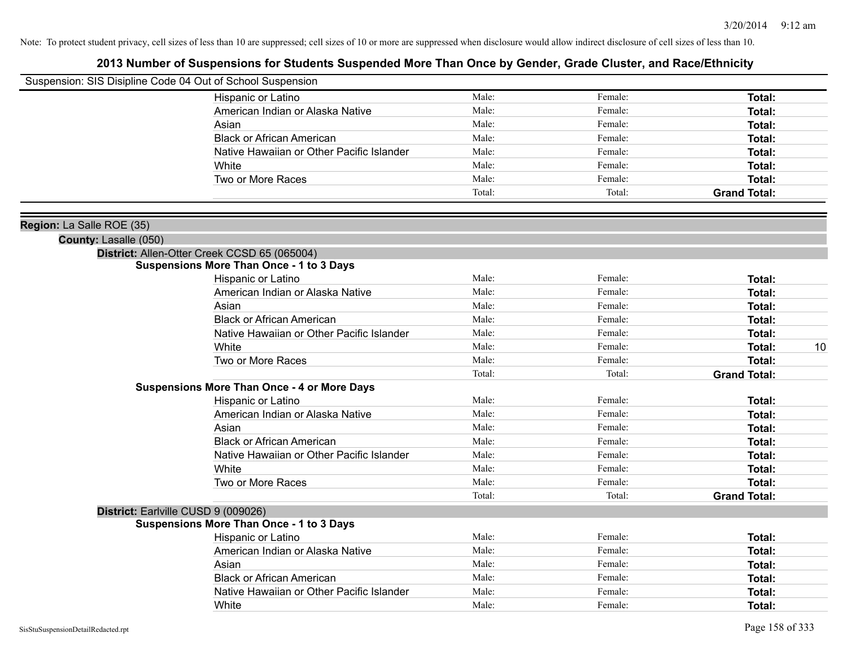| Suspension: SIS Disipline Code 04 Out of School Suspension |                                                    |        |         |                     |
|------------------------------------------------------------|----------------------------------------------------|--------|---------|---------------------|
|                                                            | Hispanic or Latino                                 | Male:  | Female: | Total:              |
|                                                            | American Indian or Alaska Native                   | Male:  | Female: | Total:              |
|                                                            | Asian                                              | Male:  | Female: | Total:              |
|                                                            | <b>Black or African American</b>                   | Male:  | Female: | Total:              |
|                                                            | Native Hawaiian or Other Pacific Islander          | Male:  | Female: | Total:              |
|                                                            | White                                              | Male:  | Female: | <b>Total:</b>       |
|                                                            | Two or More Races                                  | Male:  | Female: | Total:              |
|                                                            |                                                    | Total: | Total:  | <b>Grand Total:</b> |
| Region: La Salle ROE (35)                                  |                                                    |        |         |                     |
| County: Lasalle (050)                                      |                                                    |        |         |                     |
|                                                            | District: Allen-Otter Creek CCSD 65 (065004)       |        |         |                     |
|                                                            | <b>Suspensions More Than Once - 1 to 3 Days</b>    |        |         |                     |
|                                                            | Hispanic or Latino                                 | Male:  | Female: | <b>Total:</b>       |
|                                                            | American Indian or Alaska Native                   | Male:  | Female: | Total:              |
|                                                            | Asian                                              | Male:  | Female: | <b>Total:</b>       |
|                                                            | <b>Black or African American</b>                   | Male:  | Female: | Total:              |
|                                                            | Native Hawaiian or Other Pacific Islander          | Male:  | Female: | <b>Total:</b>       |
|                                                            | White                                              | Male:  | Female: | 10<br><b>Total:</b> |
|                                                            | Two or More Races                                  | Male:  | Female: | <b>Total:</b>       |
|                                                            |                                                    | Total: | Total:  | <b>Grand Total:</b> |
|                                                            | <b>Suspensions More Than Once - 4 or More Days</b> |        |         |                     |
|                                                            | Hispanic or Latino                                 | Male:  | Female: | Total:              |
|                                                            | American Indian or Alaska Native                   | Male:  | Female: | <b>Total:</b>       |
|                                                            | Asian                                              | Male:  | Female: | Total:              |
|                                                            | <b>Black or African American</b>                   | Male:  | Female: | <b>Total:</b>       |
|                                                            | Native Hawaiian or Other Pacific Islander          | Male:  | Female: | <b>Total:</b>       |
|                                                            | White                                              | Male:  | Female: | <b>Total:</b>       |
|                                                            | Two or More Races                                  | Male:  | Female: | <b>Total:</b>       |
|                                                            |                                                    | Total: | Total:  | <b>Grand Total:</b> |
|                                                            | District: Earlville CUSD 9 (009026)                |        |         |                     |
|                                                            | <b>Suspensions More Than Once - 1 to 3 Days</b>    |        |         |                     |
|                                                            | Hispanic or Latino                                 | Male:  | Female: | Total:              |
|                                                            | American Indian or Alaska Native                   | Male:  | Female: | Total:              |
|                                                            | Asian                                              | Male:  | Female: | Total:              |
|                                                            | <b>Black or African American</b>                   | Male:  | Female: | <b>Total:</b>       |
|                                                            | Native Hawaiian or Other Pacific Islander          | Male:  | Female: | <b>Total:</b>       |
|                                                            | White                                              | Male:  | Female: | Total:              |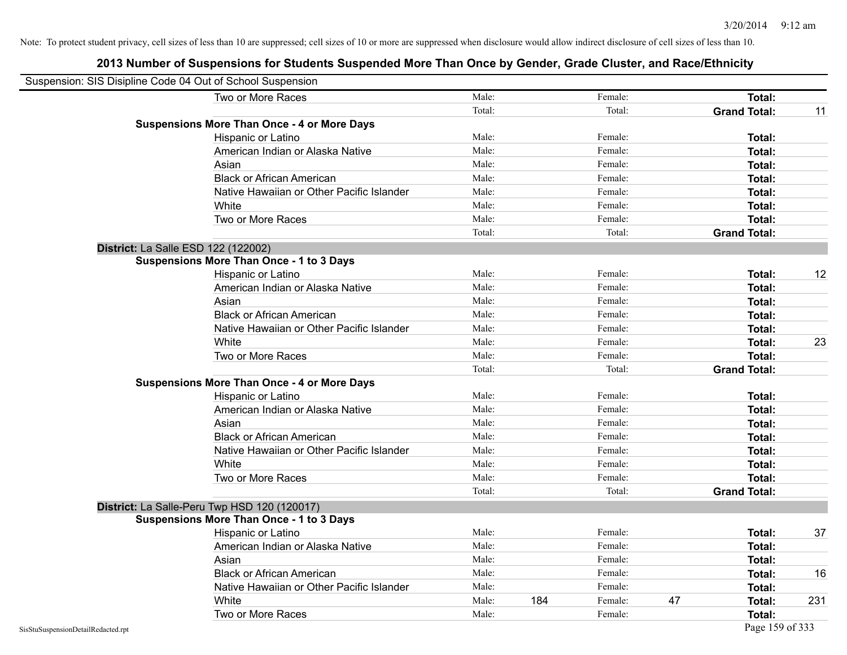| Suspension: SIS Disipline Code 04 Out of School Suspension |                                                    |        |     |         |    |                     |     |
|------------------------------------------------------------|----------------------------------------------------|--------|-----|---------|----|---------------------|-----|
|                                                            | Two or More Races                                  | Male:  |     | Female: |    | Total:              |     |
|                                                            |                                                    | Total: |     | Total:  |    | <b>Grand Total:</b> | 11  |
|                                                            | <b>Suspensions More Than Once - 4 or More Days</b> |        |     |         |    |                     |     |
|                                                            | Hispanic or Latino                                 | Male:  |     | Female: |    | Total:              |     |
|                                                            | American Indian or Alaska Native                   | Male:  |     | Female: |    | Total:              |     |
|                                                            | Asian                                              | Male:  |     | Female: |    | Total:              |     |
|                                                            | <b>Black or African American</b>                   | Male:  |     | Female: |    | Total:              |     |
|                                                            | Native Hawaiian or Other Pacific Islander          | Male:  |     | Female: |    | Total:              |     |
|                                                            | White                                              | Male:  |     | Female: |    | Total:              |     |
|                                                            | Two or More Races                                  | Male:  |     | Female: |    | Total:              |     |
|                                                            |                                                    | Total: |     | Total:  |    | <b>Grand Total:</b> |     |
|                                                            | District: La Salle ESD 122 (122002)                |        |     |         |    |                     |     |
|                                                            | <b>Suspensions More Than Once - 1 to 3 Days</b>    |        |     |         |    |                     |     |
|                                                            | Hispanic or Latino                                 | Male:  |     | Female: |    | Total:              | 12  |
|                                                            | American Indian or Alaska Native                   | Male:  |     | Female: |    | Total:              |     |
|                                                            | Asian                                              | Male:  |     | Female: |    | Total:              |     |
|                                                            | <b>Black or African American</b>                   | Male:  |     | Female: |    | Total:              |     |
|                                                            | Native Hawaiian or Other Pacific Islander          | Male:  |     | Female: |    | Total:              |     |
|                                                            | White                                              | Male:  |     | Female: |    | Total:              | 23  |
|                                                            | Two or More Races                                  | Male:  |     | Female: |    | Total:              |     |
|                                                            |                                                    | Total: |     | Total:  |    | <b>Grand Total:</b> |     |
|                                                            | <b>Suspensions More Than Once - 4 or More Days</b> |        |     |         |    |                     |     |
|                                                            | Hispanic or Latino                                 | Male:  |     | Female: |    | Total:              |     |
|                                                            | American Indian or Alaska Native                   | Male:  |     | Female: |    | Total:              |     |
|                                                            | Asian                                              | Male:  |     | Female: |    | Total:              |     |
|                                                            | <b>Black or African American</b>                   | Male:  |     | Female: |    | Total:              |     |
|                                                            | Native Hawaiian or Other Pacific Islander          | Male:  |     | Female: |    | Total:              |     |
|                                                            | White                                              | Male:  |     | Female: |    | Total:              |     |
|                                                            | Two or More Races                                  | Male:  |     | Female: |    | Total:              |     |
|                                                            |                                                    | Total: |     | Total:  |    | <b>Grand Total:</b> |     |
|                                                            | District: La Salle-Peru Twp HSD 120 (120017)       |        |     |         |    |                     |     |
|                                                            | <b>Suspensions More Than Once - 1 to 3 Days</b>    |        |     |         |    |                     |     |
|                                                            | Hispanic or Latino                                 | Male:  |     | Female: |    | Total:              | 37  |
|                                                            | American Indian or Alaska Native                   | Male:  |     | Female: |    | Total:              |     |
|                                                            | Asian                                              | Male:  |     | Female: |    | Total:              |     |
|                                                            | <b>Black or African American</b>                   | Male:  |     | Female: |    | Total:              | 16  |
|                                                            | Native Hawaiian or Other Pacific Islander          | Male:  |     | Female: |    | Total:              |     |
|                                                            | White                                              | Male:  | 184 | Female: | 47 | Total:              | 231 |
|                                                            | Two or More Races                                  | Male:  |     | Female: |    | <b>Total:</b>       |     |
| SisStuSuspensionDetailRedacted.rpt                         |                                                    |        |     |         |    | Page 159 of 333     |     |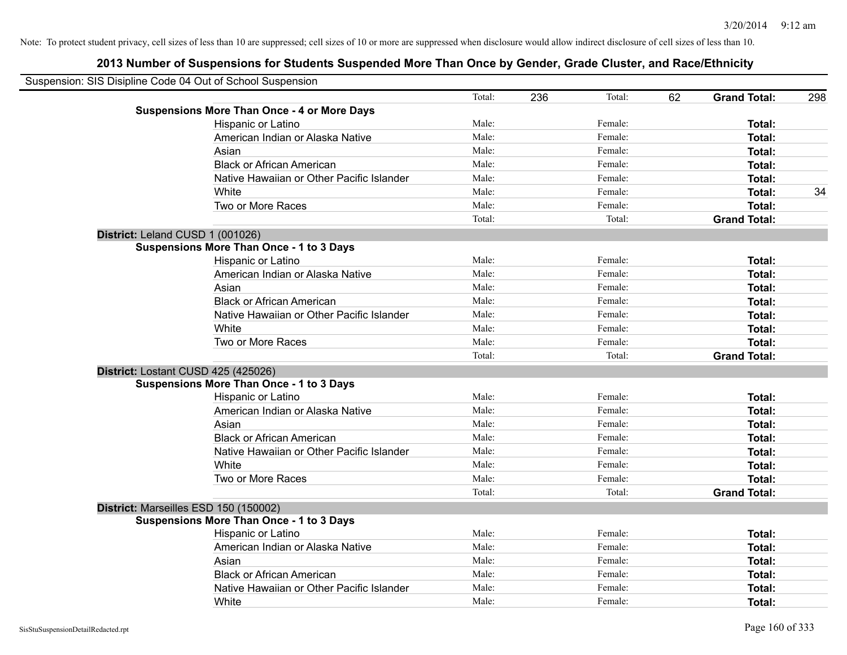| Suspension: SIS Disipline Code 04 Out of School Suspension |                                                    |        |     |         |    |                     |     |
|------------------------------------------------------------|----------------------------------------------------|--------|-----|---------|----|---------------------|-----|
|                                                            |                                                    | Total: | 236 | Total:  | 62 | <b>Grand Total:</b> | 298 |
|                                                            | <b>Suspensions More Than Once - 4 or More Days</b> |        |     |         |    |                     |     |
|                                                            | Hispanic or Latino                                 | Male:  |     | Female: |    | Total:              |     |
|                                                            | American Indian or Alaska Native                   | Male:  |     | Female: |    | <b>Total:</b>       |     |
|                                                            | Asian                                              | Male:  |     | Female: |    | <b>Total:</b>       |     |
|                                                            | <b>Black or African American</b>                   | Male:  |     | Female: |    | <b>Total:</b>       |     |
|                                                            | Native Hawaiian or Other Pacific Islander          | Male:  |     | Female: |    | <b>Total:</b>       |     |
|                                                            | White                                              | Male:  |     | Female: |    | <b>Total:</b>       | 34  |
|                                                            | Two or More Races                                  | Male:  |     | Female: |    | Total:              |     |
|                                                            |                                                    | Total: |     | Total:  |    | <b>Grand Total:</b> |     |
|                                                            | District: Leland CUSD 1 (001026)                   |        |     |         |    |                     |     |
|                                                            | <b>Suspensions More Than Once - 1 to 3 Days</b>    |        |     |         |    |                     |     |
|                                                            | Hispanic or Latino                                 | Male:  |     | Female: |    | Total:              |     |
|                                                            | American Indian or Alaska Native                   | Male:  |     | Female: |    | <b>Total:</b>       |     |
|                                                            | Asian                                              | Male:  |     | Female: |    | <b>Total:</b>       |     |
|                                                            | <b>Black or African American</b>                   | Male:  |     | Female: |    | <b>Total:</b>       |     |
|                                                            | Native Hawaiian or Other Pacific Islander          | Male:  |     | Female: |    | Total:              |     |
|                                                            | White                                              | Male:  |     | Female: |    | Total:              |     |
|                                                            | Two or More Races                                  | Male:  |     | Female: |    | Total:              |     |
|                                                            |                                                    | Total: |     | Total:  |    | <b>Grand Total:</b> |     |
|                                                            | District: Lostant CUSD 425 (425026)                |        |     |         |    |                     |     |
|                                                            | <b>Suspensions More Than Once - 1 to 3 Days</b>    |        |     |         |    |                     |     |
|                                                            | Hispanic or Latino                                 | Male:  |     | Female: |    | Total:              |     |
|                                                            | American Indian or Alaska Native                   | Male:  |     | Female: |    | <b>Total:</b>       |     |
|                                                            | Asian                                              | Male:  |     | Female: |    | <b>Total:</b>       |     |
|                                                            | <b>Black or African American</b>                   | Male:  |     | Female: |    | <b>Total:</b>       |     |
|                                                            | Native Hawaiian or Other Pacific Islander          | Male:  |     | Female: |    | <b>Total:</b>       |     |
|                                                            | White                                              | Male:  |     | Female: |    | <b>Total:</b>       |     |
|                                                            | Two or More Races                                  | Male:  |     | Female: |    | Total:              |     |
|                                                            |                                                    | Total: |     | Total:  |    | <b>Grand Total:</b> |     |
|                                                            | District: Marseilles ESD 150 (150002)              |        |     |         |    |                     |     |
|                                                            | <b>Suspensions More Than Once - 1 to 3 Days</b>    |        |     |         |    |                     |     |
|                                                            | Hispanic or Latino                                 | Male:  |     | Female: |    | Total:              |     |
|                                                            | American Indian or Alaska Native                   | Male:  |     | Female: |    | <b>Total:</b>       |     |
|                                                            | Asian                                              | Male:  |     | Female: |    | <b>Total:</b>       |     |
|                                                            | <b>Black or African American</b>                   | Male:  |     | Female: |    | <b>Total:</b>       |     |
|                                                            | Native Hawaiian or Other Pacific Islander          | Male:  |     | Female: |    | <b>Total:</b>       |     |
|                                                            | White                                              | Male:  |     | Female: |    | <b>Total:</b>       |     |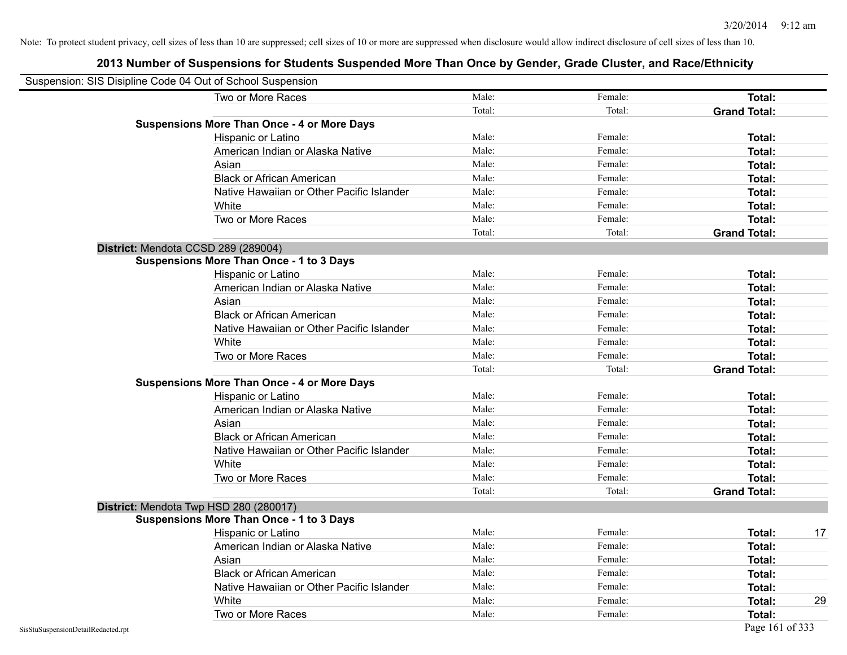| Suspension: SIS Disipline Code 04 Out of School Suspension |        |         |                     |    |
|------------------------------------------------------------|--------|---------|---------------------|----|
| Two or More Races                                          | Male:  | Female: | Total:              |    |
|                                                            | Total: | Total:  | <b>Grand Total:</b> |    |
| <b>Suspensions More Than Once - 4 or More Days</b>         |        |         |                     |    |
| Hispanic or Latino                                         | Male:  | Female: | Total:              |    |
| American Indian or Alaska Native                           | Male:  | Female: | Total:              |    |
| Asian                                                      | Male:  | Female: | Total:              |    |
| <b>Black or African American</b>                           | Male:  | Female: | Total:              |    |
| Native Hawaiian or Other Pacific Islander                  | Male:  | Female: | Total:              |    |
| White                                                      | Male:  | Female: | Total:              |    |
| Two or More Races                                          | Male:  | Female: | Total:              |    |
|                                                            | Total: | Total:  | <b>Grand Total:</b> |    |
| District: Mendota CCSD 289 (289004)                        |        |         |                     |    |
| <b>Suspensions More Than Once - 1 to 3 Days</b>            |        |         |                     |    |
| Hispanic or Latino                                         | Male:  | Female: | Total:              |    |
| American Indian or Alaska Native                           | Male:  | Female: | Total:              |    |
| Asian                                                      | Male:  | Female: | Total:              |    |
| <b>Black or African American</b>                           | Male:  | Female: | Total:              |    |
| Native Hawaiian or Other Pacific Islander                  | Male:  | Female: | Total:              |    |
| White                                                      | Male:  | Female: | Total:              |    |
| Two or More Races                                          | Male:  | Female: | Total:              |    |
|                                                            | Total: | Total:  | <b>Grand Total:</b> |    |
| <b>Suspensions More Than Once - 4 or More Days</b>         |        |         |                     |    |
| Hispanic or Latino                                         | Male:  | Female: | Total:              |    |
| American Indian or Alaska Native                           | Male:  | Female: | Total:              |    |
| Asian                                                      | Male:  | Female: | Total:              |    |
| <b>Black or African American</b>                           | Male:  | Female: | Total:              |    |
| Native Hawaiian or Other Pacific Islander                  | Male:  | Female: | Total:              |    |
| White                                                      | Male:  | Female: | Total:              |    |
| Two or More Races                                          | Male:  | Female: | Total:              |    |
|                                                            | Total: | Total:  | <b>Grand Total:</b> |    |
| District: Mendota Twp HSD 280 (280017)                     |        |         |                     |    |
| <b>Suspensions More Than Once - 1 to 3 Days</b>            |        |         |                     |    |
| Hispanic or Latino                                         | Male:  | Female: | Total:              | 17 |
| American Indian or Alaska Native                           | Male:  | Female: | Total:              |    |
| Asian                                                      | Male:  | Female: | Total:              |    |
| <b>Black or African American</b>                           | Male:  | Female: | Total:              |    |
| Native Hawaiian or Other Pacific Islander                  | Male:  | Female: | Total:              |    |
| White                                                      | Male:  | Female: | Total:              | 29 |
| Two or More Races                                          | Male:  | Female: | Total:              |    |
| SisStuSuspensionDetailRedacted.rpt                         |        |         | Page 161 of 333     |    |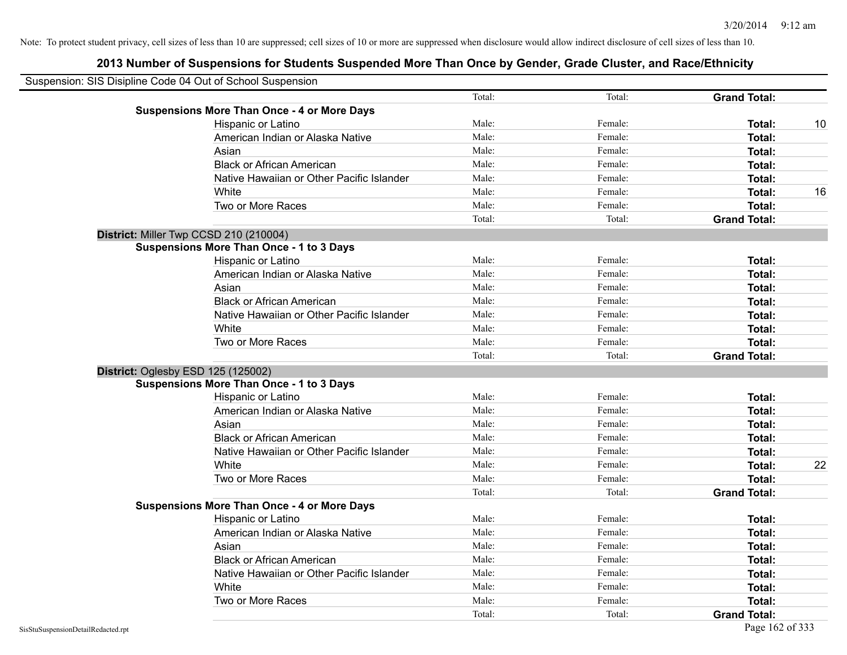| Suspension: SIS Disipline Code 04 Out of School Suspension |                                                    |        |         |                     |    |
|------------------------------------------------------------|----------------------------------------------------|--------|---------|---------------------|----|
|                                                            |                                                    | Total: | Total:  | <b>Grand Total:</b> |    |
|                                                            | <b>Suspensions More Than Once - 4 or More Days</b> |        |         |                     |    |
|                                                            | Hispanic or Latino                                 | Male:  | Female: | Total:              | 10 |
|                                                            | American Indian or Alaska Native                   | Male:  | Female: | <b>Total:</b>       |    |
|                                                            | Asian                                              | Male:  | Female: | Total:              |    |
|                                                            | <b>Black or African American</b>                   | Male:  | Female: | <b>Total:</b>       |    |
|                                                            | Native Hawaiian or Other Pacific Islander          | Male:  | Female: | <b>Total:</b>       |    |
|                                                            | White                                              | Male:  | Female: | Total:              | 16 |
|                                                            | Two or More Races                                  | Male:  | Female: | <b>Total:</b>       |    |
|                                                            |                                                    | Total: | Total:  | <b>Grand Total:</b> |    |
|                                                            | District: Miller Twp CCSD 210 (210004)             |        |         |                     |    |
|                                                            | <b>Suspensions More Than Once - 1 to 3 Days</b>    |        |         |                     |    |
|                                                            | Hispanic or Latino                                 | Male:  | Female: | Total:              |    |
|                                                            | American Indian or Alaska Native                   | Male:  | Female: | <b>Total:</b>       |    |
|                                                            | Asian                                              | Male:  | Female: | Total:              |    |
|                                                            | <b>Black or African American</b>                   | Male:  | Female: | <b>Total:</b>       |    |
|                                                            | Native Hawaiian or Other Pacific Islander          | Male:  | Female: | <b>Total:</b>       |    |
|                                                            | White                                              | Male:  | Female: | <b>Total:</b>       |    |
|                                                            | Two or More Races                                  | Male:  | Female: | Total:              |    |
|                                                            |                                                    | Total: | Total:  | <b>Grand Total:</b> |    |
|                                                            | District: Oglesby ESD 125 (125002)                 |        |         |                     |    |
|                                                            | <b>Suspensions More Than Once - 1 to 3 Days</b>    |        |         |                     |    |
|                                                            | Hispanic or Latino                                 | Male:  | Female: | Total:              |    |
|                                                            | American Indian or Alaska Native                   | Male:  | Female: | <b>Total:</b>       |    |
|                                                            | Asian                                              | Male:  | Female: | <b>Total:</b>       |    |
|                                                            | <b>Black or African American</b>                   | Male:  | Female: | Total:              |    |
|                                                            | Native Hawaiian or Other Pacific Islander          | Male:  | Female: | <b>Total:</b>       |    |
|                                                            | White                                              | Male:  | Female: | <b>Total:</b>       | 22 |
|                                                            | Two or More Races                                  | Male:  | Female: | Total:              |    |
|                                                            |                                                    | Total: | Total:  | <b>Grand Total:</b> |    |
|                                                            | <b>Suspensions More Than Once - 4 or More Days</b> |        |         |                     |    |
|                                                            | Hispanic or Latino                                 | Male:  | Female: | Total:              |    |
|                                                            | American Indian or Alaska Native                   | Male:  | Female: | <b>Total:</b>       |    |
|                                                            | Asian                                              | Male:  | Female: | <b>Total:</b>       |    |
|                                                            | <b>Black or African American</b>                   | Male:  | Female: | Total:              |    |
|                                                            | Native Hawaiian or Other Pacific Islander          | Male:  | Female: | <b>Total:</b>       |    |
|                                                            | White                                              | Male:  | Female: | <b>Total:</b>       |    |
|                                                            | Two or More Races                                  | Male:  | Female: | <b>Total:</b>       |    |
|                                                            |                                                    | Total: | Total:  | <b>Grand Total:</b> |    |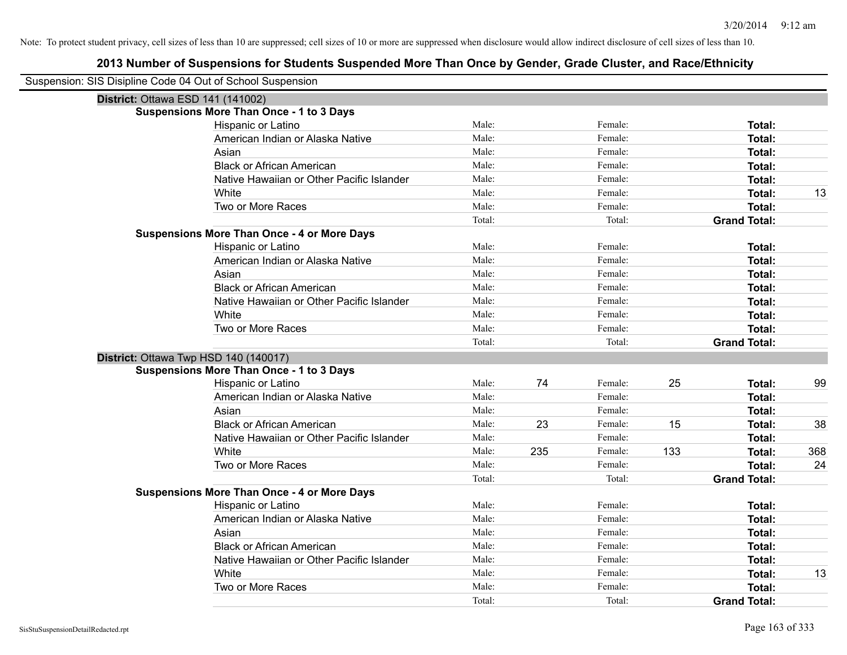| Suspension: SIS Disipline Code 04 Out of School Suspension |                                                    |        |     |         |     |                     |     |
|------------------------------------------------------------|----------------------------------------------------|--------|-----|---------|-----|---------------------|-----|
| District: Ottawa ESD 141 (141002)                          |                                                    |        |     |         |     |                     |     |
|                                                            | <b>Suspensions More Than Once - 1 to 3 Days</b>    |        |     |         |     |                     |     |
|                                                            | Hispanic or Latino                                 | Male:  |     | Female: |     | Total:              |     |
|                                                            | American Indian or Alaska Native                   | Male:  |     | Female: |     | <b>Total:</b>       |     |
|                                                            | Asian                                              | Male:  |     | Female: |     | Total:              |     |
|                                                            | <b>Black or African American</b>                   | Male:  |     | Female: |     | Total:              |     |
|                                                            | Native Hawaiian or Other Pacific Islander          | Male:  |     | Female: |     | <b>Total:</b>       |     |
|                                                            | White                                              | Male:  |     | Female: |     | <b>Total:</b>       | 13  |
|                                                            | Two or More Races                                  | Male:  |     | Female: |     | <b>Total:</b>       |     |
|                                                            |                                                    | Total: |     | Total:  |     | <b>Grand Total:</b> |     |
|                                                            | <b>Suspensions More Than Once - 4 or More Days</b> |        |     |         |     |                     |     |
|                                                            | Hispanic or Latino                                 | Male:  |     | Female: |     | Total:              |     |
|                                                            | American Indian or Alaska Native                   | Male:  |     | Female: |     | <b>Total:</b>       |     |
|                                                            | Asian                                              | Male:  |     | Female: |     | <b>Total:</b>       |     |
|                                                            | <b>Black or African American</b>                   | Male:  |     | Female: |     | Total:              |     |
|                                                            | Native Hawaiian or Other Pacific Islander          | Male:  |     | Female: |     | <b>Total:</b>       |     |
|                                                            | White                                              | Male:  |     | Female: |     | <b>Total:</b>       |     |
|                                                            | Two or More Races                                  | Male:  |     | Female: |     | <b>Total:</b>       |     |
|                                                            |                                                    | Total: |     | Total:  |     | <b>Grand Total:</b> |     |
| District: Ottawa Twp HSD 140 (140017)                      |                                                    |        |     |         |     |                     |     |
|                                                            | <b>Suspensions More Than Once - 1 to 3 Days</b>    |        |     |         |     |                     |     |
|                                                            | Hispanic or Latino                                 | Male:  | 74  | Female: | 25  | Total:              | 99  |
|                                                            | American Indian or Alaska Native                   | Male:  |     | Female: |     | Total:              |     |
|                                                            | Asian                                              | Male:  |     | Female: |     | <b>Total:</b>       |     |
|                                                            | <b>Black or African American</b>                   | Male:  | 23  | Female: | 15  | <b>Total:</b>       | 38  |
|                                                            | Native Hawaiian or Other Pacific Islander          | Male:  |     | Female: |     | <b>Total:</b>       |     |
|                                                            | White                                              | Male:  | 235 | Female: | 133 | <b>Total:</b>       | 368 |
|                                                            | Two or More Races                                  | Male:  |     | Female: |     | <b>Total:</b>       | 24  |
|                                                            |                                                    | Total: |     | Total:  |     | <b>Grand Total:</b> |     |
|                                                            | <b>Suspensions More Than Once - 4 or More Days</b> |        |     |         |     |                     |     |
|                                                            | Hispanic or Latino                                 | Male:  |     | Female: |     | Total:              |     |
|                                                            | American Indian or Alaska Native                   | Male:  |     | Female: |     | Total:              |     |
|                                                            | Asian                                              | Male:  |     | Female: |     | <b>Total:</b>       |     |
|                                                            | <b>Black or African American</b>                   | Male:  |     | Female: |     | <b>Total:</b>       |     |
|                                                            | Native Hawaiian or Other Pacific Islander          | Male:  |     | Female: |     | <b>Total:</b>       |     |
|                                                            | White                                              | Male:  |     | Female: |     | <b>Total:</b>       | 13  |
|                                                            | Two or More Races                                  | Male:  |     | Female: |     | <b>Total:</b>       |     |
|                                                            |                                                    | Total: |     | Total:  |     | <b>Grand Total:</b> |     |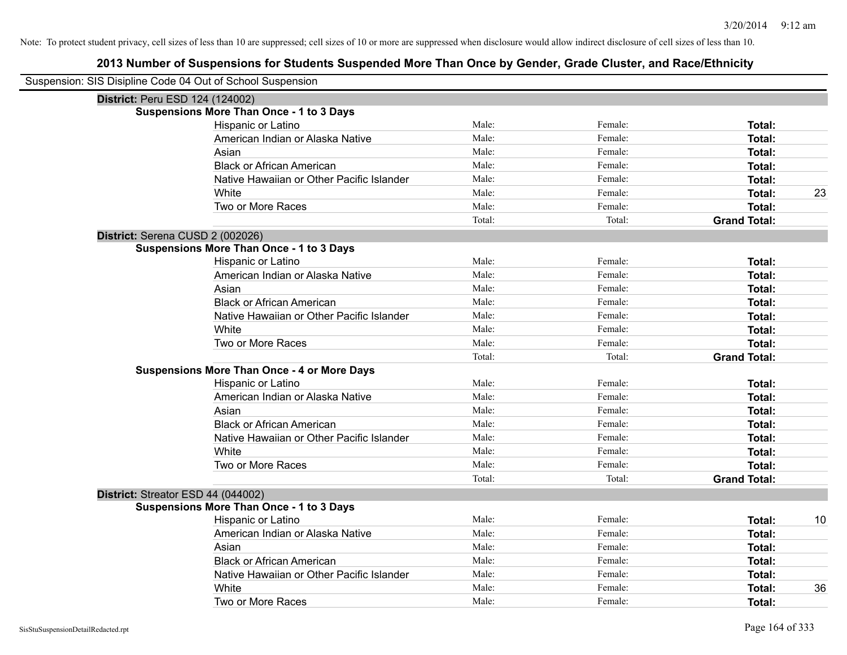| Suspension: SIS Disipline Code 04 Out of School Suspension |                                                    |        |         |                     |    |
|------------------------------------------------------------|----------------------------------------------------|--------|---------|---------------------|----|
| District: Peru ESD 124 (124002)                            |                                                    |        |         |                     |    |
|                                                            | <b>Suspensions More Than Once - 1 to 3 Days</b>    |        |         |                     |    |
|                                                            | Hispanic or Latino                                 | Male:  | Female: | Total:              |    |
|                                                            | American Indian or Alaska Native                   | Male:  | Female: | Total:              |    |
|                                                            | Asian                                              | Male:  | Female: | Total:              |    |
|                                                            | <b>Black or African American</b>                   | Male:  | Female: | Total:              |    |
|                                                            | Native Hawaiian or Other Pacific Islander          | Male:  | Female: | Total:              |    |
|                                                            | White                                              | Male:  | Female: | Total:              | 23 |
|                                                            | Two or More Races                                  | Male:  | Female: | Total:              |    |
|                                                            |                                                    | Total: | Total:  | <b>Grand Total:</b> |    |
| District: Serena CUSD 2 (002026)                           |                                                    |        |         |                     |    |
|                                                            | <b>Suspensions More Than Once - 1 to 3 Days</b>    |        |         |                     |    |
|                                                            | Hispanic or Latino                                 | Male:  | Female: | Total:              |    |
|                                                            | American Indian or Alaska Native                   | Male:  | Female: | Total:              |    |
|                                                            | Asian                                              | Male:  | Female: | Total:              |    |
|                                                            | <b>Black or African American</b>                   | Male:  | Female: | Total:              |    |
|                                                            | Native Hawaiian or Other Pacific Islander          | Male:  | Female: | Total:              |    |
|                                                            | White                                              | Male:  | Female: | Total:              |    |
|                                                            | Two or More Races                                  | Male:  | Female: | Total:              |    |
|                                                            |                                                    | Total: | Total:  | <b>Grand Total:</b> |    |
|                                                            | <b>Suspensions More Than Once - 4 or More Days</b> |        |         |                     |    |
|                                                            | Hispanic or Latino                                 | Male:  | Female: | Total:              |    |
|                                                            | American Indian or Alaska Native                   | Male:  | Female: | Total:              |    |
|                                                            | Asian                                              | Male:  | Female: | Total:              |    |
|                                                            | <b>Black or African American</b>                   | Male:  | Female: | Total:              |    |
|                                                            | Native Hawaiian or Other Pacific Islander          | Male:  | Female: | Total:              |    |
|                                                            | White                                              | Male:  | Female: | Total:              |    |
|                                                            | Two or More Races                                  | Male:  | Female: | Total:              |    |
|                                                            |                                                    | Total: | Total:  | <b>Grand Total:</b> |    |
| District: Streator ESD 44 (044002)                         |                                                    |        |         |                     |    |
|                                                            | <b>Suspensions More Than Once - 1 to 3 Days</b>    |        |         |                     |    |
|                                                            | Hispanic or Latino                                 | Male:  | Female: | Total:              | 10 |
|                                                            | American Indian or Alaska Native                   | Male:  | Female: | Total:              |    |
|                                                            | Asian                                              | Male:  | Female: | Total:              |    |
|                                                            | <b>Black or African American</b>                   | Male:  | Female: | Total:              |    |
|                                                            | Native Hawaiian or Other Pacific Islander          | Male:  | Female: | Total:              |    |
|                                                            | White                                              | Male:  | Female: | Total:              | 36 |
|                                                            | Two or More Races                                  | Male:  | Female: | Total:              |    |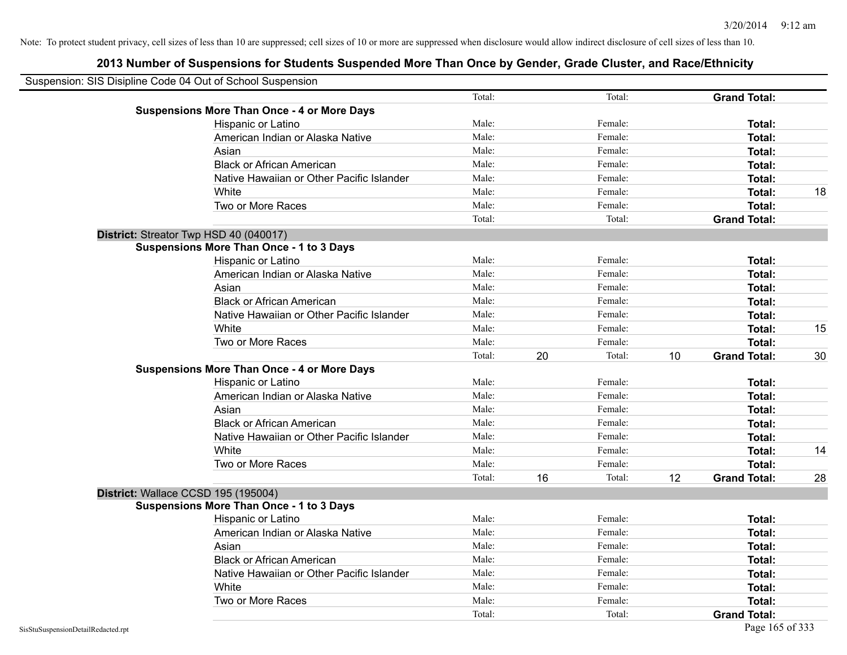| Suspension: SIS Disipline Code 04 Out of School Suspension |                                                    |        |    |         |    |                     |    |
|------------------------------------------------------------|----------------------------------------------------|--------|----|---------|----|---------------------|----|
|                                                            | <b>Suspensions More Than Once - 4 or More Days</b> | Total: |    | Total:  |    | <b>Grand Total:</b> |    |
|                                                            | Hispanic or Latino                                 | Male:  |    | Female: |    | Total:              |    |
|                                                            | American Indian or Alaska Native                   | Male:  |    | Female: |    | Total:              |    |
|                                                            | Asian                                              | Male:  |    | Female: |    | Total:              |    |
|                                                            | <b>Black or African American</b>                   | Male:  |    | Female: |    |                     |    |
|                                                            |                                                    |        |    |         |    | Total:              |    |
|                                                            | Native Hawaiian or Other Pacific Islander          | Male:  |    | Female: |    | Total:              |    |
|                                                            | White                                              | Male:  |    | Female: |    | Total:              | 18 |
|                                                            | Two or More Races                                  | Male:  |    | Female: |    | Total:              |    |
|                                                            |                                                    | Total: |    | Total:  |    | <b>Grand Total:</b> |    |
|                                                            | District: Streator Twp HSD 40 (040017)             |        |    |         |    |                     |    |
|                                                            | <b>Suspensions More Than Once - 1 to 3 Days</b>    |        |    |         |    |                     |    |
|                                                            | Hispanic or Latino                                 | Male:  |    | Female: |    | Total:              |    |
|                                                            | American Indian or Alaska Native                   | Male:  |    | Female: |    | Total:              |    |
|                                                            | Asian                                              | Male:  |    | Female: |    | Total:              |    |
|                                                            | <b>Black or African American</b>                   | Male:  |    | Female: |    | Total:              |    |
|                                                            | Native Hawaiian or Other Pacific Islander          | Male:  |    | Female: |    | Total:              |    |
|                                                            | White                                              | Male:  |    | Female: |    | Total:              | 15 |
|                                                            | Two or More Races                                  | Male:  |    | Female: |    | Total:              |    |
|                                                            |                                                    | Total: | 20 | Total:  | 10 | <b>Grand Total:</b> | 30 |
|                                                            | <b>Suspensions More Than Once - 4 or More Days</b> |        |    |         |    |                     |    |
|                                                            | Hispanic or Latino                                 | Male:  |    | Female: |    | Total:              |    |
|                                                            | American Indian or Alaska Native                   | Male:  |    | Female: |    | Total:              |    |
|                                                            | Asian                                              | Male:  |    | Female: |    | Total:              |    |
|                                                            | <b>Black or African American</b>                   | Male:  |    | Female: |    | Total:              |    |
|                                                            | Native Hawaiian or Other Pacific Islander          | Male:  |    | Female: |    | Total:              |    |
|                                                            | White                                              | Male:  |    | Female: |    | Total:              | 14 |
|                                                            | Two or More Races                                  | Male:  |    | Female: |    | Total:              |    |
|                                                            |                                                    | Total: | 16 | Total:  | 12 | <b>Grand Total:</b> | 28 |
|                                                            | District: Wallace CCSD 195 (195004)                |        |    |         |    |                     |    |
|                                                            | <b>Suspensions More Than Once - 1 to 3 Days</b>    |        |    |         |    |                     |    |
|                                                            | Hispanic or Latino                                 | Male:  |    | Female: |    | Total:              |    |
|                                                            | American Indian or Alaska Native                   | Male:  |    | Female: |    | Total:              |    |
|                                                            | Asian                                              | Male:  |    | Female: |    | Total:              |    |
|                                                            | <b>Black or African American</b>                   | Male:  |    | Female: |    | Total:              |    |
|                                                            | Native Hawaiian or Other Pacific Islander          | Male:  |    | Female: |    | Total:              |    |
|                                                            | White                                              | Male:  |    | Female: |    | Total:              |    |
|                                                            | Two or More Races                                  | Male:  |    | Female: |    | Total:              |    |
|                                                            |                                                    | Total: |    | Total:  |    | <b>Grand Total:</b> |    |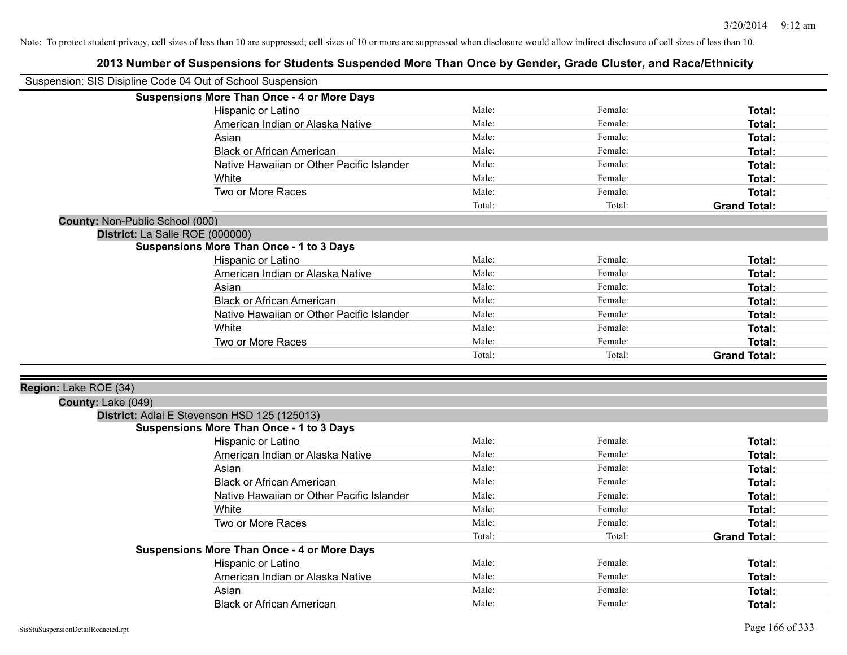| Suspension: SIS Disipline Code 04 Out of School Suspension |                                                    |        |         |                     |
|------------------------------------------------------------|----------------------------------------------------|--------|---------|---------------------|
|                                                            | <b>Suspensions More Than Once - 4 or More Days</b> |        |         |                     |
|                                                            | Hispanic or Latino                                 | Male:  | Female: | <b>Total:</b>       |
|                                                            | American Indian or Alaska Native                   | Male:  | Female: | <b>Total:</b>       |
|                                                            | Asian                                              | Male:  | Female: | <b>Total:</b>       |
|                                                            | <b>Black or African American</b>                   | Male:  | Female: | <b>Total:</b>       |
|                                                            | Native Hawaiian or Other Pacific Islander          | Male:  | Female: | <b>Total:</b>       |
|                                                            | White                                              | Male:  | Female: | <b>Total:</b>       |
|                                                            | Two or More Races                                  | Male:  | Female: | Total:              |
|                                                            |                                                    | Total: | Total:  | <b>Grand Total:</b> |
| County: Non-Public School (000)                            |                                                    |        |         |                     |
| District: La Salle ROE (000000)                            |                                                    |        |         |                     |
|                                                            | <b>Suspensions More Than Once - 1 to 3 Days</b>    |        |         |                     |
|                                                            | Hispanic or Latino                                 | Male:  | Female: | Total:              |
|                                                            | American Indian or Alaska Native                   | Male:  | Female: | <b>Total:</b>       |
|                                                            | Asian                                              | Male:  | Female: | <b>Total:</b>       |
|                                                            | <b>Black or African American</b>                   | Male:  | Female: | Total:              |
|                                                            | Native Hawaiian or Other Pacific Islander          | Male:  | Female: | <b>Total:</b>       |
|                                                            | White                                              | Male:  | Female: | Total:              |
|                                                            | Two or More Races                                  | Male:  | Female: | <b>Total:</b>       |
|                                                            |                                                    | Total: | Total:  | <b>Grand Total:</b> |
|                                                            |                                                    |        |         |                     |
| Region: Lake ROE (34)                                      |                                                    |        |         |                     |
| County: Lake (049)                                         |                                                    |        |         |                     |
|                                                            | District: Adlai E Stevenson HSD 125 (125013)       |        |         |                     |
|                                                            | <b>Suspensions More Than Once - 1 to 3 Days</b>    |        |         |                     |
|                                                            | Hispanic or Latino                                 | Male:  | Female: | Total:              |
|                                                            | American Indian or Alaska Native                   | Male:  | Female: | <b>Total:</b>       |
|                                                            | Asian                                              | Male:  | Female: | Total:              |
|                                                            | <b>Black or African American</b>                   | Male:  | Female: | <b>Total:</b>       |
|                                                            | Native Hawaiian or Other Pacific Islander          | Male:  | Female: | <b>Total:</b>       |
|                                                            | White                                              | Male:  | Female: | <b>Total:</b>       |
|                                                            | Two or More Races                                  | Male:  | Female: | Total:              |
|                                                            |                                                    | Total: | Total:  | <b>Grand Total:</b> |
|                                                            | <b>Suspensions More Than Once - 4 or More Days</b> |        |         |                     |
|                                                            | Hispanic or Latino                                 | Male:  | Female: | Total:              |
|                                                            | American Indian or Alaska Native                   | Male:  | Female: | <b>Total:</b>       |
|                                                            | Asian                                              | Male:  | Female: | <b>Total:</b>       |
|                                                            | <b>Black or African American</b>                   | Male:  | Female: | Total:              |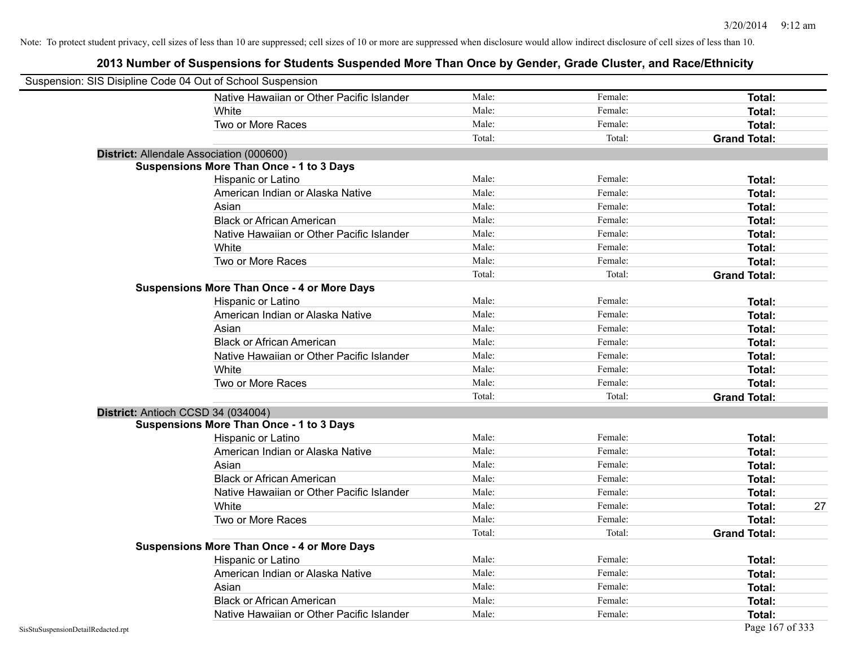| Suspension: SIS Disipline Code 04 Out of School Suspension |                                                    |        |         |                     |
|------------------------------------------------------------|----------------------------------------------------|--------|---------|---------------------|
|                                                            | Native Hawaiian or Other Pacific Islander          | Male:  | Female: | Total:              |
|                                                            | White                                              | Male:  | Female: | Total:              |
|                                                            | Two or More Races                                  | Male:  | Female: | Total:              |
|                                                            |                                                    | Total: | Total:  | <b>Grand Total:</b> |
| District: Allendale Association (000600)                   |                                                    |        |         |                     |
|                                                            | <b>Suspensions More Than Once - 1 to 3 Days</b>    |        |         |                     |
|                                                            | Hispanic or Latino                                 | Male:  | Female: | Total:              |
|                                                            | American Indian or Alaska Native                   | Male:  | Female: | Total:              |
|                                                            | Asian                                              | Male:  | Female: | Total:              |
|                                                            | <b>Black or African American</b>                   | Male:  | Female: | Total:              |
|                                                            | Native Hawaiian or Other Pacific Islander          | Male:  | Female: | Total:              |
|                                                            | White                                              | Male:  | Female: | <b>Total:</b>       |
|                                                            | Two or More Races                                  | Male:  | Female: | <b>Total:</b>       |
|                                                            |                                                    | Total: | Total:  | <b>Grand Total:</b> |
|                                                            | <b>Suspensions More Than Once - 4 or More Days</b> |        |         |                     |
|                                                            | Hispanic or Latino                                 | Male:  | Female: | Total:              |
|                                                            | American Indian or Alaska Native                   | Male:  | Female: | Total:              |
|                                                            | Asian                                              | Male:  | Female: | Total:              |
|                                                            | <b>Black or African American</b>                   | Male:  | Female: | Total:              |
|                                                            | Native Hawaiian or Other Pacific Islander          | Male:  | Female: | Total:              |
|                                                            | White                                              | Male:  | Female: | Total:              |
|                                                            | Two or More Races                                  | Male:  | Female: | Total:              |
|                                                            |                                                    | Total: | Total:  | <b>Grand Total:</b> |
| District: Antioch CCSD 34 (034004)                         |                                                    |        |         |                     |
|                                                            | <b>Suspensions More Than Once - 1 to 3 Days</b>    |        |         |                     |
|                                                            | Hispanic or Latino                                 | Male:  | Female: | Total:              |
|                                                            | American Indian or Alaska Native                   | Male:  | Female: | Total:              |
|                                                            | Asian                                              | Male:  | Female: | Total:              |
|                                                            | <b>Black or African American</b>                   | Male:  | Female: | Total:              |
|                                                            | Native Hawaiian or Other Pacific Islander          | Male:  | Female: | Total:              |
|                                                            | White                                              | Male:  | Female: | <b>Total:</b><br>27 |
|                                                            | Two or More Races                                  | Male:  | Female: | <b>Total:</b>       |
|                                                            |                                                    | Total: | Total:  | <b>Grand Total:</b> |
|                                                            | <b>Suspensions More Than Once - 4 or More Days</b> |        |         |                     |
|                                                            | Hispanic or Latino                                 | Male:  | Female: | Total:              |
|                                                            | American Indian or Alaska Native                   | Male:  | Female: | Total:              |
|                                                            | Asian                                              | Male:  | Female: | Total:              |
|                                                            | <b>Black or African American</b>                   | Male:  | Female: | <b>Total:</b>       |
|                                                            | Native Hawaiian or Other Pacific Islander          | Male:  | Female: | Total:              |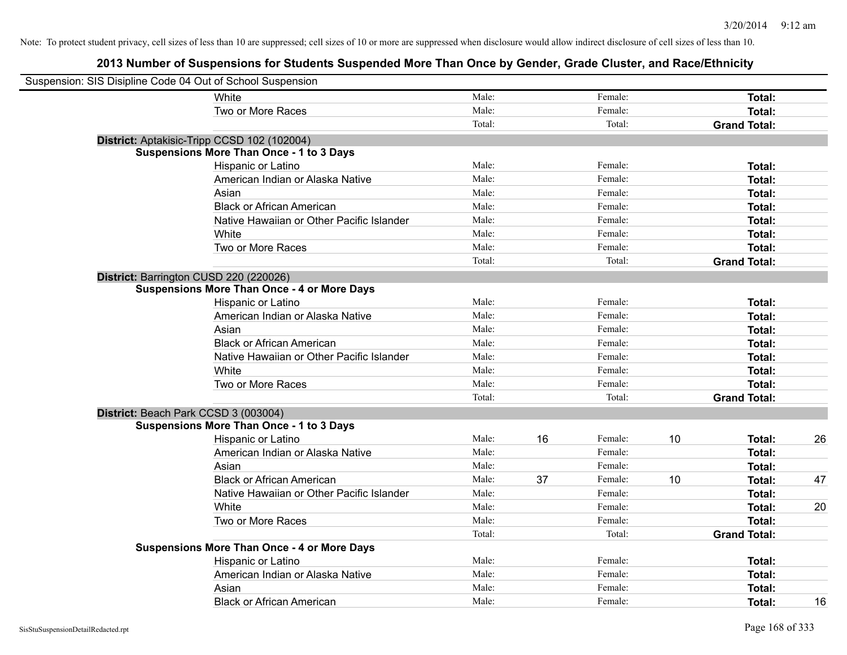| Suspension: SIS Disipline Code 04 Out of School Suspension |                                                    |        |    |         |    |                     |    |
|------------------------------------------------------------|----------------------------------------------------|--------|----|---------|----|---------------------|----|
|                                                            | White                                              | Male:  |    | Female: |    | Total:              |    |
|                                                            | Two or More Races                                  | Male:  |    | Female: |    | <b>Total:</b>       |    |
|                                                            |                                                    | Total: |    | Total:  |    | <b>Grand Total:</b> |    |
| District: Aptakisic-Tripp CCSD 102 (102004)                |                                                    |        |    |         |    |                     |    |
|                                                            | <b>Suspensions More Than Once - 1 to 3 Days</b>    |        |    |         |    |                     |    |
|                                                            | Hispanic or Latino                                 | Male:  |    | Female: |    | Total:              |    |
|                                                            | American Indian or Alaska Native                   | Male:  |    | Female: |    | Total:              |    |
|                                                            | Asian                                              | Male:  |    | Female: |    | Total:              |    |
|                                                            | <b>Black or African American</b>                   | Male:  |    | Female: |    | Total:              |    |
|                                                            | Native Hawaiian or Other Pacific Islander          | Male:  |    | Female: |    | Total:              |    |
|                                                            | White                                              | Male:  |    | Female: |    | Total:              |    |
|                                                            | Two or More Races                                  | Male:  |    | Female: |    | Total:              |    |
|                                                            |                                                    | Total: |    | Total:  |    | <b>Grand Total:</b> |    |
| District: Barrington CUSD 220 (220026)                     |                                                    |        |    |         |    |                     |    |
|                                                            | <b>Suspensions More Than Once - 4 or More Days</b> |        |    |         |    |                     |    |
|                                                            | Hispanic or Latino                                 | Male:  |    | Female: |    | Total:              |    |
|                                                            | American Indian or Alaska Native                   | Male:  |    | Female: |    | Total:              |    |
|                                                            | Asian                                              | Male:  |    | Female: |    | Total:              |    |
|                                                            | <b>Black or African American</b>                   | Male:  |    | Female: |    | Total:              |    |
|                                                            | Native Hawaiian or Other Pacific Islander          | Male:  |    | Female: |    | Total:              |    |
|                                                            | White                                              | Male:  |    | Female: |    | Total:              |    |
|                                                            | Two or More Races                                  | Male:  |    | Female: |    | <b>Total:</b>       |    |
|                                                            |                                                    | Total: |    | Total:  |    | <b>Grand Total:</b> |    |
| District: Beach Park CCSD 3 (003004)                       |                                                    |        |    |         |    |                     |    |
|                                                            | <b>Suspensions More Than Once - 1 to 3 Days</b>    |        |    |         |    |                     |    |
|                                                            | Hispanic or Latino                                 | Male:  | 16 | Female: | 10 | Total:              | 26 |
|                                                            | American Indian or Alaska Native                   | Male:  |    | Female: |    | Total:              |    |
|                                                            | Asian                                              | Male:  |    | Female: |    | Total:              |    |
|                                                            | <b>Black or African American</b>                   | Male:  | 37 | Female: | 10 | Total:              | 47 |
|                                                            | Native Hawaiian or Other Pacific Islander          | Male:  |    | Female: |    | Total:              |    |
|                                                            | White                                              | Male:  |    | Female: |    | Total:              | 20 |
|                                                            | Two or More Races                                  | Male:  |    | Female: |    | Total:              |    |
|                                                            |                                                    | Total: |    | Total:  |    | <b>Grand Total:</b> |    |
|                                                            | <b>Suspensions More Than Once - 4 or More Days</b> |        |    |         |    |                     |    |
|                                                            | Hispanic or Latino                                 | Male:  |    | Female: |    | Total:              |    |
|                                                            | American Indian or Alaska Native                   | Male:  |    | Female: |    | Total:              |    |
|                                                            | Asian                                              | Male:  |    | Female: |    | Total:              |    |
|                                                            | <b>Black or African American</b>                   | Male:  |    | Female: |    | Total:              | 16 |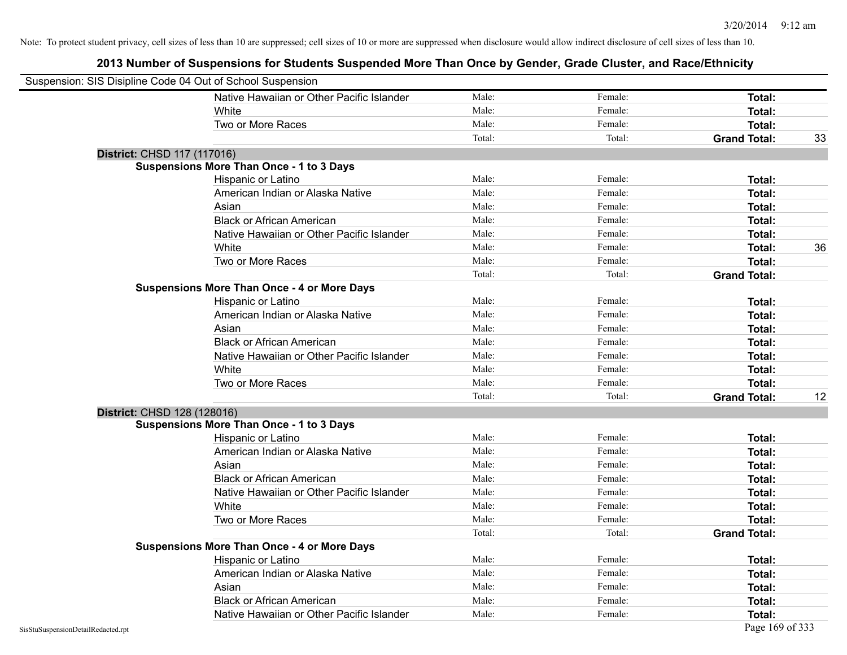| Suspension: SIS Disipline Code 04 Out of School Suspension |                                                    |        |         |                     |    |
|------------------------------------------------------------|----------------------------------------------------|--------|---------|---------------------|----|
|                                                            | Native Hawaiian or Other Pacific Islander          | Male:  | Female: | Total:              |    |
|                                                            | White                                              | Male:  | Female: | <b>Total:</b>       |    |
|                                                            | Two or More Races                                  | Male:  | Female: | Total:              |    |
|                                                            |                                                    | Total: | Total:  | <b>Grand Total:</b> | 33 |
| District: CHSD 117 (117016)                                |                                                    |        |         |                     |    |
|                                                            | <b>Suspensions More Than Once - 1 to 3 Days</b>    |        |         |                     |    |
|                                                            | Hispanic or Latino                                 | Male:  | Female: | <b>Total:</b>       |    |
|                                                            | American Indian or Alaska Native                   | Male:  | Female: | Total:              |    |
|                                                            | Asian                                              | Male:  | Female: | Total:              |    |
|                                                            | <b>Black or African American</b>                   | Male:  | Female: | Total:              |    |
|                                                            | Native Hawaiian or Other Pacific Islander          | Male:  | Female: | Total:              |    |
|                                                            | White                                              | Male:  | Female: | Total:              | 36 |
|                                                            | Two or More Races                                  | Male:  | Female: | Total:              |    |
|                                                            |                                                    | Total: | Total:  | <b>Grand Total:</b> |    |
|                                                            | <b>Suspensions More Than Once - 4 or More Days</b> |        |         |                     |    |
|                                                            | Hispanic or Latino                                 | Male:  | Female: | Total:              |    |
|                                                            | American Indian or Alaska Native                   | Male:  | Female: | Total:              |    |
|                                                            | Asian                                              | Male:  | Female: | Total:              |    |
|                                                            | <b>Black or African American</b>                   | Male:  | Female: | Total:              |    |
|                                                            | Native Hawaiian or Other Pacific Islander          | Male:  | Female: | Total:              |    |
|                                                            | White                                              | Male:  | Female: | Total:              |    |
|                                                            | Two or More Races                                  | Male:  | Female: | <b>Total:</b>       |    |
|                                                            |                                                    | Total: | Total:  | <b>Grand Total:</b> | 12 |
| District: CHSD 128 (128016)                                |                                                    |        |         |                     |    |
|                                                            | <b>Suspensions More Than Once - 1 to 3 Days</b>    |        |         |                     |    |
|                                                            | Hispanic or Latino                                 | Male:  | Female: | Total:              |    |
|                                                            | American Indian or Alaska Native                   | Male:  | Female: | Total:              |    |
|                                                            | Asian                                              | Male:  | Female: | Total:              |    |
|                                                            | <b>Black or African American</b>                   | Male:  | Female: | Total:              |    |
|                                                            | Native Hawaiian or Other Pacific Islander          | Male:  | Female: | <b>Total:</b>       |    |
|                                                            | White                                              | Male:  | Female: | <b>Total:</b>       |    |
|                                                            | Two or More Races                                  | Male:  | Female: | <b>Total:</b>       |    |
|                                                            |                                                    | Total: | Total:  | <b>Grand Total:</b> |    |
|                                                            | <b>Suspensions More Than Once - 4 or More Days</b> |        |         |                     |    |
|                                                            | Hispanic or Latino                                 | Male:  | Female: | Total:              |    |
|                                                            | American Indian or Alaska Native                   | Male:  | Female: | Total:              |    |
|                                                            | Asian                                              | Male:  | Female: | Total:              |    |
|                                                            | <b>Black or African American</b>                   | Male:  | Female: | <b>Total:</b>       |    |
|                                                            | Native Hawaiian or Other Pacific Islander          | Male:  | Female: | Total:              |    |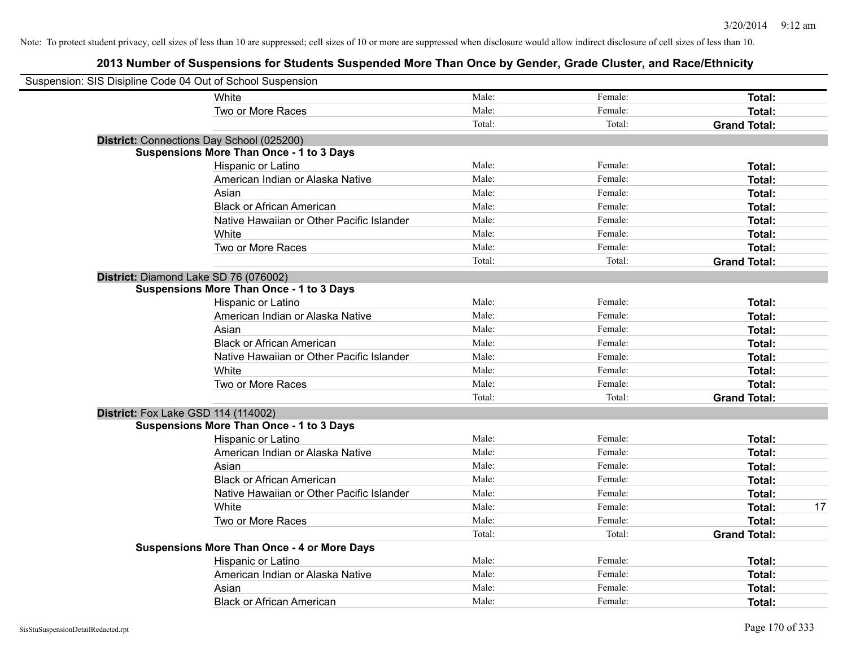| Suspension: SIS Disipline Code 04 Out of School Suspension |                                                    |        |         |                     |    |
|------------------------------------------------------------|----------------------------------------------------|--------|---------|---------------------|----|
|                                                            | White                                              | Male:  | Female: | Total:              |    |
|                                                            | Two or More Races                                  | Male:  | Female: | Total:              |    |
|                                                            |                                                    | Total: | Total:  | <b>Grand Total:</b> |    |
| District: Connections Day School (025200)                  |                                                    |        |         |                     |    |
|                                                            | <b>Suspensions More Than Once - 1 to 3 Days</b>    |        |         |                     |    |
|                                                            | Hispanic or Latino                                 | Male:  | Female: | Total:              |    |
|                                                            | American Indian or Alaska Native                   | Male:  | Female: | Total:              |    |
|                                                            | Asian                                              | Male:  | Female: | Total:              |    |
|                                                            | <b>Black or African American</b>                   | Male:  | Female: | Total:              |    |
|                                                            | Native Hawaiian or Other Pacific Islander          | Male:  | Female: | Total:              |    |
|                                                            | White                                              | Male:  | Female: | Total:              |    |
|                                                            | Two or More Races                                  | Male:  | Female: | Total:              |    |
|                                                            |                                                    | Total: | Total:  | <b>Grand Total:</b> |    |
| District: Diamond Lake SD 76 (076002)                      |                                                    |        |         |                     |    |
|                                                            | <b>Suspensions More Than Once - 1 to 3 Days</b>    |        |         |                     |    |
|                                                            | Hispanic or Latino                                 | Male:  | Female: | Total:              |    |
|                                                            | American Indian or Alaska Native                   | Male:  | Female: | Total:              |    |
|                                                            | Asian                                              | Male:  | Female: | Total:              |    |
|                                                            | <b>Black or African American</b>                   | Male:  | Female: | Total:              |    |
|                                                            | Native Hawaiian or Other Pacific Islander          | Male:  | Female: | Total:              |    |
|                                                            | White                                              | Male:  | Female: | Total:              |    |
|                                                            | Two or More Races                                  | Male:  | Female: | Total:              |    |
|                                                            |                                                    | Total: | Total:  | <b>Grand Total:</b> |    |
| <b>District:</b> Fox Lake GSD 114 (114002)                 |                                                    |        |         |                     |    |
|                                                            | <b>Suspensions More Than Once - 1 to 3 Days</b>    |        |         |                     |    |
|                                                            | Hispanic or Latino                                 | Male:  | Female: | Total:              |    |
|                                                            | American Indian or Alaska Native                   | Male:  | Female: | Total:              |    |
|                                                            | Asian                                              | Male:  | Female: | Total:              |    |
|                                                            | <b>Black or African American</b>                   | Male:  | Female: | Total:              |    |
|                                                            | Native Hawaiian or Other Pacific Islander          | Male:  | Female: | Total:              |    |
|                                                            | White                                              | Male:  | Female: | Total:              | 17 |
|                                                            | Two or More Races                                  | Male:  | Female: | Total:              |    |
|                                                            |                                                    | Total: | Total:  | <b>Grand Total:</b> |    |
|                                                            | <b>Suspensions More Than Once - 4 or More Days</b> |        |         |                     |    |
|                                                            | Hispanic or Latino                                 | Male:  | Female: | Total:              |    |
|                                                            | American Indian or Alaska Native                   | Male:  | Female: | Total:              |    |
|                                                            | Asian                                              | Male:  | Female: | Total:              |    |
|                                                            | <b>Black or African American</b>                   | Male:  | Female: | Total:              |    |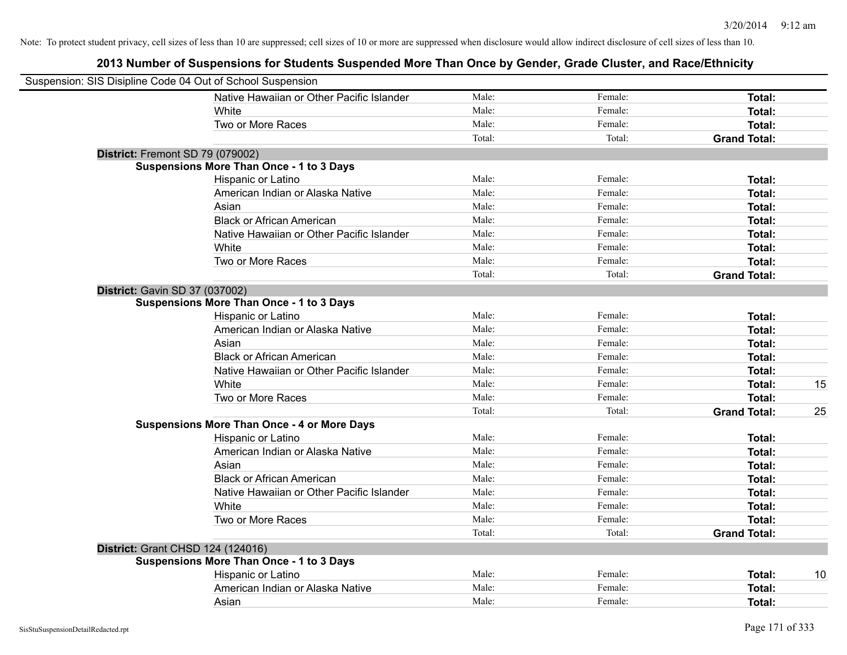| Suspension: SIS Disipline Code 04 Out of School Suspension |                                                    |        |         |                     |    |
|------------------------------------------------------------|----------------------------------------------------|--------|---------|---------------------|----|
|                                                            | Native Hawaiian or Other Pacific Islander          | Male:  | Female: | Total:              |    |
|                                                            | White                                              | Male:  | Female: | Total:              |    |
|                                                            | Two or More Races                                  | Male:  | Female: | Total:              |    |
|                                                            |                                                    | Total: | Total:  | <b>Grand Total:</b> |    |
| District: Fremont SD 79 (079002)                           |                                                    |        |         |                     |    |
|                                                            | <b>Suspensions More Than Once - 1 to 3 Days</b>    |        |         |                     |    |
|                                                            | Hispanic or Latino                                 | Male:  | Female: | Total:              |    |
|                                                            | American Indian or Alaska Native                   | Male:  | Female: | Total:              |    |
|                                                            | Asian                                              | Male:  | Female: | Total:              |    |
|                                                            | <b>Black or African American</b>                   | Male:  | Female: | Total:              |    |
|                                                            | Native Hawaiian or Other Pacific Islander          | Male:  | Female: | Total:              |    |
|                                                            | White                                              | Male:  | Female: | Total:              |    |
|                                                            | Two or More Races                                  | Male:  | Female: | Total:              |    |
|                                                            |                                                    | Total: | Total:  | <b>Grand Total:</b> |    |
| District: Gavin SD 37 (037002)                             |                                                    |        |         |                     |    |
|                                                            | <b>Suspensions More Than Once - 1 to 3 Days</b>    |        |         |                     |    |
|                                                            | Hispanic or Latino                                 | Male:  | Female: | Total:              |    |
|                                                            | American Indian or Alaska Native                   | Male:  | Female: | Total:              |    |
|                                                            | Asian                                              | Male:  | Female: | Total:              |    |
|                                                            | <b>Black or African American</b>                   | Male:  | Female: | Total:              |    |
|                                                            | Native Hawaiian or Other Pacific Islander          | Male:  | Female: | Total:              |    |
|                                                            | White                                              | Male:  | Female: | Total:              | 15 |
|                                                            | Two or More Races                                  | Male:  | Female: | Total:              |    |
|                                                            |                                                    | Total: | Total:  | <b>Grand Total:</b> | 25 |
|                                                            | <b>Suspensions More Than Once - 4 or More Days</b> |        |         |                     |    |
|                                                            | Hispanic or Latino                                 | Male:  | Female: | Total:              |    |
|                                                            | American Indian or Alaska Native                   | Male:  | Female: | Total:              |    |
|                                                            | Asian                                              | Male:  | Female: | Total:              |    |
|                                                            | <b>Black or African American</b>                   | Male:  | Female: | Total:              |    |
|                                                            | Native Hawaiian or Other Pacific Islander          | Male:  | Female: | Total:              |    |
|                                                            | White                                              | Male:  | Female: | Total:              |    |
|                                                            | Two or More Races                                  | Male:  | Female: | Total:              |    |
|                                                            |                                                    | Total: | Total:  | <b>Grand Total:</b> |    |
| District: Grant CHSD 124 (124016)                          |                                                    |        |         |                     |    |
|                                                            | <b>Suspensions More Than Once - 1 to 3 Days</b>    |        |         |                     |    |
|                                                            | Hispanic or Latino                                 | Male:  | Female: | Total:              | 10 |
|                                                            | American Indian or Alaska Native                   | Male:  | Female: | Total:              |    |
|                                                            | Asian                                              | Male:  | Female: | Total:              |    |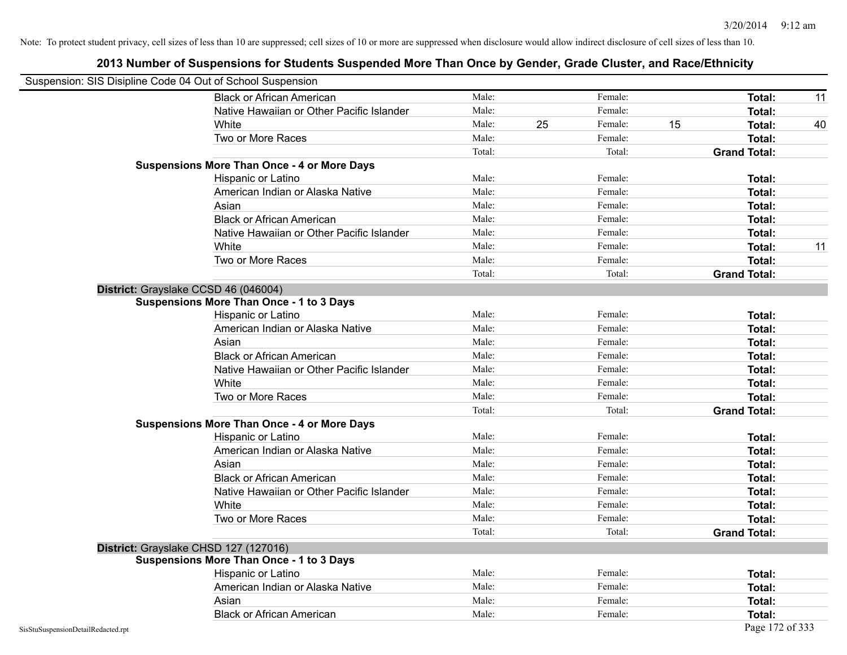|                                    | Suspension: SIS Disipline Code 04 Out of School Suspension |        |    |         |    |                     |    |
|------------------------------------|------------------------------------------------------------|--------|----|---------|----|---------------------|----|
|                                    | <b>Black or African American</b>                           | Male:  |    | Female: |    | <b>Total:</b>       | 11 |
|                                    | Native Hawaiian or Other Pacific Islander                  | Male:  |    | Female: |    | <b>Total:</b>       |    |
|                                    | White                                                      | Male:  | 25 | Female: | 15 | Total:              | 40 |
|                                    | Two or More Races                                          | Male:  |    | Female: |    | <b>Total:</b>       |    |
|                                    |                                                            | Total: |    | Total:  |    | <b>Grand Total:</b> |    |
|                                    | <b>Suspensions More Than Once - 4 or More Days</b>         |        |    |         |    |                     |    |
|                                    | Hispanic or Latino                                         | Male:  |    | Female: |    | Total:              |    |
|                                    | American Indian or Alaska Native                           | Male:  |    | Female: |    | <b>Total:</b>       |    |
|                                    | Asian                                                      | Male:  |    | Female: |    | Total:              |    |
|                                    | <b>Black or African American</b>                           | Male:  |    | Female: |    | Total:              |    |
|                                    | Native Hawaiian or Other Pacific Islander                  | Male:  |    | Female: |    | <b>Total:</b>       |    |
|                                    | White                                                      | Male:  |    | Female: |    | Total:              | 11 |
|                                    | Two or More Races                                          | Male:  |    | Female: |    | Total:              |    |
|                                    |                                                            | Total: |    | Total:  |    | <b>Grand Total:</b> |    |
|                                    | District: Grayslake CCSD 46 (046004)                       |        |    |         |    |                     |    |
|                                    | <b>Suspensions More Than Once - 1 to 3 Days</b>            |        |    |         |    |                     |    |
|                                    | Hispanic or Latino                                         | Male:  |    | Female: |    | <b>Total:</b>       |    |
|                                    | American Indian or Alaska Native                           | Male:  |    | Female: |    | <b>Total:</b>       |    |
|                                    | Asian                                                      | Male:  |    | Female: |    | Total:              |    |
|                                    | <b>Black or African American</b>                           | Male:  |    | Female: |    | Total:              |    |
|                                    | Native Hawaiian or Other Pacific Islander                  | Male:  |    | Female: |    | Total:              |    |
|                                    | White                                                      | Male:  |    | Female: |    | <b>Total:</b>       |    |
|                                    | Two or More Races                                          | Male:  |    | Female: |    | <b>Total:</b>       |    |
|                                    |                                                            | Total: |    | Total:  |    | <b>Grand Total:</b> |    |
|                                    | <b>Suspensions More Than Once - 4 or More Days</b>         |        |    |         |    |                     |    |
|                                    | Hispanic or Latino                                         | Male:  |    | Female: |    | Total:              |    |
|                                    | American Indian or Alaska Native                           | Male:  |    | Female: |    | <b>Total:</b>       |    |
|                                    | Asian                                                      | Male:  |    | Female: |    | Total:              |    |
|                                    | <b>Black or African American</b>                           | Male:  |    | Female: |    | Total:              |    |
|                                    | Native Hawaiian or Other Pacific Islander                  | Male:  |    | Female: |    | Total:              |    |
|                                    | White                                                      | Male:  |    | Female: |    | Total:              |    |
|                                    | Two or More Races                                          | Male:  |    | Female: |    | <b>Total:</b>       |    |
|                                    |                                                            | Total: |    | Total:  |    | <b>Grand Total:</b> |    |
|                                    | District: Grayslake CHSD 127 (127016)                      |        |    |         |    |                     |    |
|                                    | <b>Suspensions More Than Once - 1 to 3 Days</b>            |        |    |         |    |                     |    |
|                                    | Hispanic or Latino                                         | Male:  |    | Female: |    | Total:              |    |
|                                    | American Indian or Alaska Native                           | Male:  |    | Female: |    | Total:              |    |
|                                    | Asian                                                      | Male:  |    | Female: |    | Total:              |    |
|                                    | <b>Black or African American</b>                           | Male:  |    | Female: |    | Total:              |    |
| SisStuSuspensionDetailRedacted.rpt |                                                            |        |    |         |    | Page 172 of 333     |    |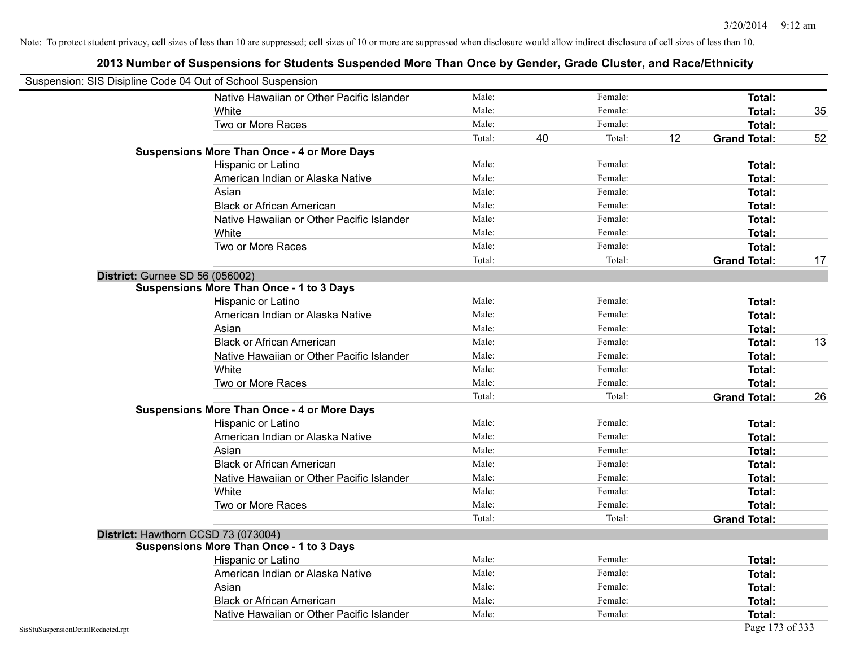| Suspension: SIS Disipline Code 04 Out of School Suspension |                                                    |        |    |         |    |                     |    |
|------------------------------------------------------------|----------------------------------------------------|--------|----|---------|----|---------------------|----|
|                                                            | Native Hawaiian or Other Pacific Islander          | Male:  |    | Female: |    | Total:              |    |
|                                                            | White                                              | Male:  |    | Female: |    | Total:              | 35 |
|                                                            | Two or More Races                                  | Male:  |    | Female: |    | Total:              |    |
|                                                            |                                                    | Total: | 40 | Total:  | 12 | <b>Grand Total:</b> | 52 |
|                                                            | <b>Suspensions More Than Once - 4 or More Days</b> |        |    |         |    |                     |    |
|                                                            | Hispanic or Latino                                 | Male:  |    | Female: |    | Total:              |    |
|                                                            | American Indian or Alaska Native                   | Male:  |    | Female: |    | Total:              |    |
|                                                            | Asian                                              | Male:  |    | Female: |    | Total:              |    |
|                                                            | <b>Black or African American</b>                   | Male:  |    | Female: |    | Total:              |    |
|                                                            | Native Hawaiian or Other Pacific Islander          | Male:  |    | Female: |    | Total:              |    |
|                                                            | White                                              | Male:  |    | Female: |    | Total:              |    |
|                                                            | Two or More Races                                  | Male:  |    | Female: |    | Total:              |    |
|                                                            |                                                    | Total: |    | Total:  |    | <b>Grand Total:</b> | 17 |
| District: Gurnee SD 56 (056002)                            |                                                    |        |    |         |    |                     |    |
|                                                            | <b>Suspensions More Than Once - 1 to 3 Days</b>    |        |    |         |    |                     |    |
|                                                            | Hispanic or Latino                                 | Male:  |    | Female: |    | Total:              |    |
|                                                            | American Indian or Alaska Native                   | Male:  |    | Female: |    | Total:              |    |
|                                                            | Asian                                              | Male:  |    | Female: |    | Total:              |    |
|                                                            | <b>Black or African American</b>                   | Male:  |    | Female: |    | Total:              | 13 |
|                                                            | Native Hawaiian or Other Pacific Islander          | Male:  |    | Female: |    | Total:              |    |
|                                                            | White                                              | Male:  |    | Female: |    | Total:              |    |
|                                                            | Two or More Races                                  | Male:  |    | Female: |    | Total:              |    |
|                                                            |                                                    | Total: |    | Total:  |    | <b>Grand Total:</b> | 26 |
|                                                            | <b>Suspensions More Than Once - 4 or More Days</b> |        |    |         |    |                     |    |
|                                                            | Hispanic or Latino                                 | Male:  |    | Female: |    | Total:              |    |
|                                                            | American Indian or Alaska Native                   | Male:  |    | Female: |    | Total:              |    |
|                                                            | Asian                                              | Male:  |    | Female: |    | Total:              |    |
|                                                            | <b>Black or African American</b>                   | Male:  |    | Female: |    | Total:              |    |
|                                                            | Native Hawaiian or Other Pacific Islander          | Male:  |    | Female: |    | Total:              |    |
|                                                            | White                                              | Male:  |    | Female: |    | Total:              |    |
|                                                            | Two or More Races                                  | Male:  |    | Female: |    | Total:              |    |
|                                                            |                                                    | Total: |    | Total:  |    | <b>Grand Total:</b> |    |
|                                                            | District: Hawthorn CCSD 73 (073004)                |        |    |         |    |                     |    |
|                                                            | <b>Suspensions More Than Once - 1 to 3 Days</b>    |        |    |         |    |                     |    |
|                                                            | Hispanic or Latino                                 | Male:  |    | Female: |    | Total:              |    |
|                                                            | American Indian or Alaska Native                   | Male:  |    | Female: |    | Total:              |    |
|                                                            | Asian                                              | Male:  |    | Female: |    | Total:              |    |
|                                                            | <b>Black or African American</b>                   | Male:  |    | Female: |    | Total:              |    |
|                                                            | Native Hawaiian or Other Pacific Islander          | Male:  |    | Female: |    | Total:              |    |
| SisStuSuspensionDetailRedacted.rpt                         |                                                    |        |    |         |    | Page 173 of 333     |    |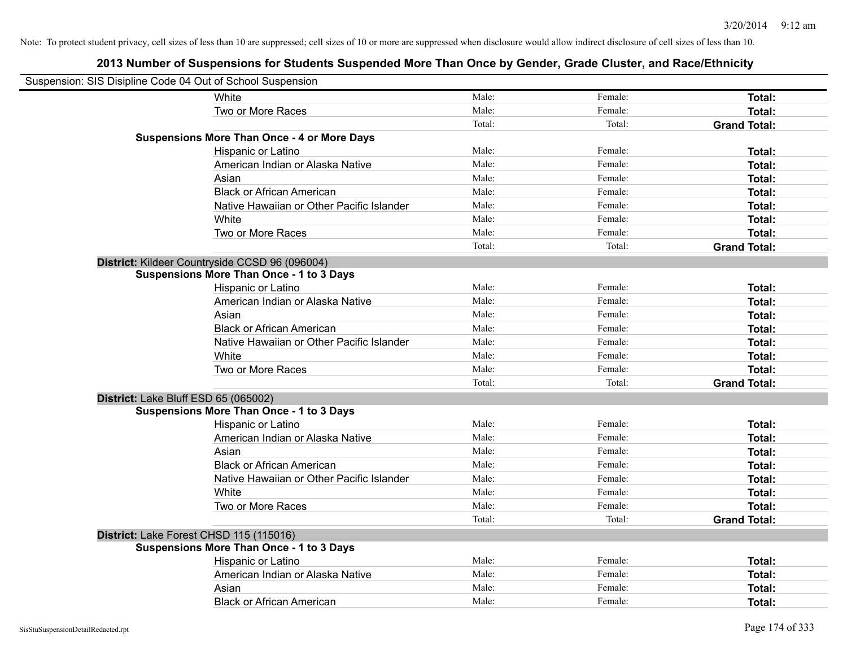| Suspension: SIS Disipline Code 04 Out of School Suspension |                                                    |        |         |                     |
|------------------------------------------------------------|----------------------------------------------------|--------|---------|---------------------|
|                                                            | White                                              | Male:  | Female: | Total:              |
|                                                            | Two or More Races                                  | Male:  | Female: | Total:              |
|                                                            |                                                    | Total: | Total:  | <b>Grand Total:</b> |
|                                                            | <b>Suspensions More Than Once - 4 or More Days</b> |        |         |                     |
|                                                            | Hispanic or Latino                                 | Male:  | Female: | Total:              |
|                                                            | American Indian or Alaska Native                   | Male:  | Female: | Total:              |
|                                                            | Asian                                              | Male:  | Female: | Total:              |
|                                                            | <b>Black or African American</b>                   | Male:  | Female: | Total:              |
|                                                            | Native Hawaiian or Other Pacific Islander          | Male:  | Female: | Total:              |
|                                                            | White                                              | Male:  | Female: | Total:              |
|                                                            | Two or More Races                                  | Male:  | Female: | Total:              |
|                                                            |                                                    | Total: | Total:  | <b>Grand Total:</b> |
|                                                            | District: Kildeer Countryside CCSD 96 (096004)     |        |         |                     |
|                                                            | <b>Suspensions More Than Once - 1 to 3 Days</b>    |        |         |                     |
|                                                            | Hispanic or Latino                                 | Male:  | Female: | Total:              |
|                                                            | American Indian or Alaska Native                   | Male:  | Female: | Total:              |
|                                                            | Asian                                              | Male:  | Female: | Total:              |
|                                                            | <b>Black or African American</b>                   | Male:  | Female: | Total:              |
|                                                            | Native Hawaiian or Other Pacific Islander          | Male:  | Female: | Total:              |
|                                                            | White                                              | Male:  | Female: | Total:              |
|                                                            | Two or More Races                                  | Male:  | Female: | Total:              |
|                                                            |                                                    | Total: | Total:  | <b>Grand Total:</b> |
| District: Lake Bluff ESD 65 (065002)                       |                                                    |        |         |                     |
|                                                            | <b>Suspensions More Than Once - 1 to 3 Days</b>    |        |         |                     |
|                                                            | Hispanic or Latino                                 | Male:  | Female: | Total:              |
|                                                            | American Indian or Alaska Native                   | Male:  | Female: | Total:              |
|                                                            | Asian                                              | Male:  | Female: | Total:              |
|                                                            | <b>Black or African American</b>                   | Male:  | Female: | Total:              |
|                                                            | Native Hawaiian or Other Pacific Islander          | Male:  | Female: | Total:              |
|                                                            | <b>White</b>                                       | Male:  | Female: | Total:              |
|                                                            | Two or More Races                                  | Male:  | Female: | Total:              |
|                                                            |                                                    | Total: | Total:  | <b>Grand Total:</b> |
| District: Lake Forest CHSD 115 (115016)                    |                                                    |        |         |                     |
|                                                            | <b>Suspensions More Than Once - 1 to 3 Days</b>    |        |         |                     |
|                                                            | Hispanic or Latino                                 | Male:  | Female: | Total:              |
|                                                            | American Indian or Alaska Native                   | Male:  | Female: | Total:              |
|                                                            | Asian                                              | Male:  | Female: | Total:              |
|                                                            | <b>Black or African American</b>                   | Male:  | Female: | Total:              |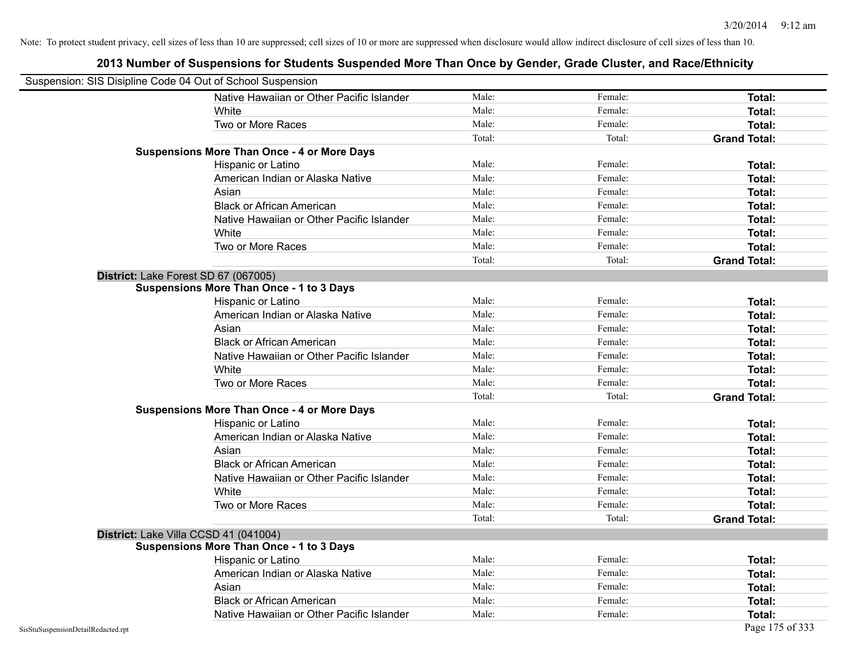| Suspension: SIS Disipline Code 04 Out of School Suspension |                                                    |        |         |                     |
|------------------------------------------------------------|----------------------------------------------------|--------|---------|---------------------|
|                                                            | Native Hawaiian or Other Pacific Islander          | Male:  | Female: | Total:              |
|                                                            | White                                              | Male:  | Female: | Total:              |
|                                                            | Two or More Races                                  | Male:  | Female: | Total:              |
|                                                            |                                                    | Total: | Total:  | <b>Grand Total:</b> |
|                                                            | <b>Suspensions More Than Once - 4 or More Days</b> |        |         |                     |
|                                                            | Hispanic or Latino                                 | Male:  | Female: | Total:              |
|                                                            | American Indian or Alaska Native                   | Male:  | Female: | <b>Total:</b>       |
|                                                            | Asian                                              | Male:  | Female: | Total:              |
|                                                            | <b>Black or African American</b>                   | Male:  | Female: | <b>Total:</b>       |
|                                                            | Native Hawaiian or Other Pacific Islander          | Male:  | Female: | <b>Total:</b>       |
|                                                            | White                                              | Male:  | Female: | Total:              |
|                                                            | Two or More Races                                  | Male:  | Female: | <b>Total:</b>       |
|                                                            |                                                    | Total: | Total:  | <b>Grand Total:</b> |
|                                                            | District: Lake Forest SD 67 (067005)               |        |         |                     |
|                                                            | <b>Suspensions More Than Once - 1 to 3 Days</b>    |        |         |                     |
|                                                            | Hispanic or Latino                                 | Male:  | Female: | Total:              |
|                                                            | American Indian or Alaska Native                   | Male:  | Female: | Total:              |
|                                                            | Asian                                              | Male:  | Female: | Total:              |
|                                                            | <b>Black or African American</b>                   | Male:  | Female: | <b>Total:</b>       |
|                                                            | Native Hawaiian or Other Pacific Islander          | Male:  | Female: | Total:              |
|                                                            | White                                              | Male:  | Female: | Total:              |
|                                                            | Two or More Races                                  | Male:  | Female: | Total:              |
|                                                            |                                                    | Total: | Total:  | <b>Grand Total:</b> |
|                                                            | <b>Suspensions More Than Once - 4 or More Days</b> |        |         |                     |
|                                                            | Hispanic or Latino                                 | Male:  | Female: | Total:              |
|                                                            | American Indian or Alaska Native                   | Male:  | Female: | <b>Total:</b>       |
|                                                            | Asian                                              | Male:  | Female: | Total:              |
|                                                            | <b>Black or African American</b>                   | Male:  | Female: | Total:              |
|                                                            | Native Hawaiian or Other Pacific Islander          | Male:  | Female: | Total:              |
|                                                            | White                                              | Male:  | Female: | Total:              |
|                                                            | Two or More Races                                  | Male:  | Female: | Total:              |
|                                                            |                                                    | Total: | Total:  | <b>Grand Total:</b> |
|                                                            | District: Lake Villa CCSD 41 (041004)              |        |         |                     |
|                                                            | <b>Suspensions More Than Once - 1 to 3 Days</b>    |        |         |                     |
|                                                            | Hispanic or Latino                                 | Male:  | Female: | Total:              |
|                                                            | American Indian or Alaska Native                   | Male:  | Female: | Total:              |
|                                                            | Asian                                              | Male:  | Female: | Total:              |
|                                                            | <b>Black or African American</b>                   | Male:  | Female: | Total:              |
|                                                            | Native Hawaiian or Other Pacific Islander          | Male:  | Female: | Total:              |
| SisStuSuspensionDetailRedacted.rpt                         |                                                    |        |         | Page 175 of 333     |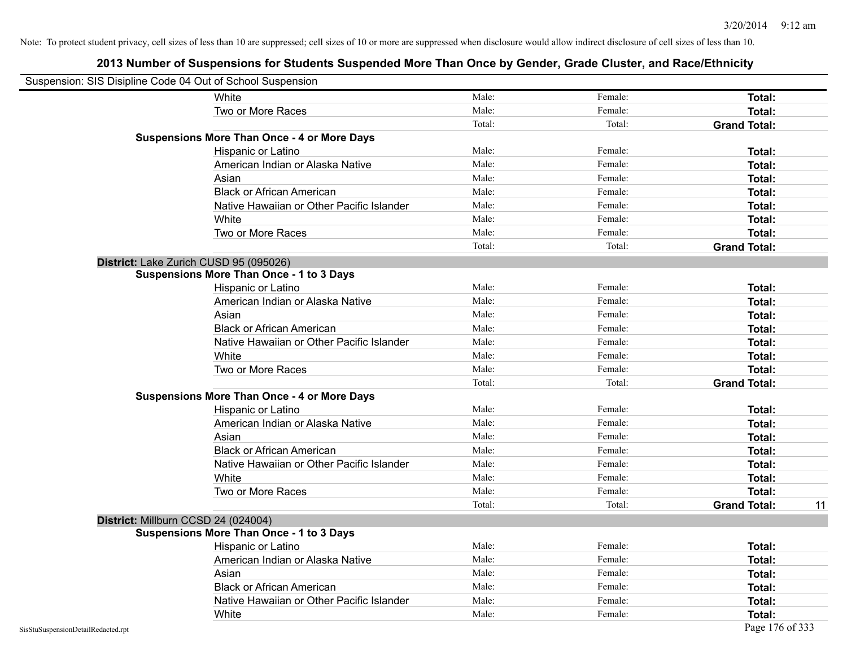| Suspension: SIS Disipline Code 04 Out of School Suspension |                                                    |        |         |                     |    |
|------------------------------------------------------------|----------------------------------------------------|--------|---------|---------------------|----|
|                                                            | White                                              | Male:  | Female: | <b>Total:</b>       |    |
|                                                            | Two or More Races                                  | Male:  | Female: | Total:              |    |
|                                                            |                                                    | Total: | Total:  | <b>Grand Total:</b> |    |
|                                                            | <b>Suspensions More Than Once - 4 or More Days</b> |        |         |                     |    |
|                                                            | Hispanic or Latino                                 | Male:  | Female: | Total:              |    |
|                                                            | American Indian or Alaska Native                   | Male:  | Female: | <b>Total:</b>       |    |
|                                                            | Asian                                              | Male:  | Female: | Total:              |    |
|                                                            | <b>Black or African American</b>                   | Male:  | Female: | Total:              |    |
|                                                            | Native Hawaiian or Other Pacific Islander          | Male:  | Female: | <b>Total:</b>       |    |
|                                                            | White                                              | Male:  | Female: | <b>Total:</b>       |    |
|                                                            | Two or More Races                                  | Male:  | Female: | Total:              |    |
|                                                            |                                                    | Total: | Total:  | <b>Grand Total:</b> |    |
|                                                            | District: Lake Zurich CUSD 95 (095026)             |        |         |                     |    |
|                                                            | <b>Suspensions More Than Once - 1 to 3 Days</b>    |        |         |                     |    |
|                                                            | Hispanic or Latino                                 | Male:  | Female: | Total:              |    |
|                                                            | American Indian or Alaska Native                   | Male:  | Female: | <b>Total:</b>       |    |
|                                                            | Asian                                              | Male:  | Female: | <b>Total:</b>       |    |
|                                                            | <b>Black or African American</b>                   | Male:  | Female: | <b>Total:</b>       |    |
|                                                            | Native Hawaiian or Other Pacific Islander          | Male:  | Female: | Total:              |    |
|                                                            | White                                              | Male:  | Female: | Total:              |    |
|                                                            | Two or More Races                                  | Male:  | Female: | Total:              |    |
|                                                            |                                                    | Total: | Total:  | <b>Grand Total:</b> |    |
|                                                            | <b>Suspensions More Than Once - 4 or More Days</b> |        |         |                     |    |
|                                                            | Hispanic or Latino                                 | Male:  | Female: | Total:              |    |
|                                                            | American Indian or Alaska Native                   | Male:  | Female: | <b>Total:</b>       |    |
|                                                            | Asian                                              | Male:  | Female: | Total:              |    |
|                                                            | <b>Black or African American</b>                   | Male:  | Female: | Total:              |    |
|                                                            | Native Hawaiian or Other Pacific Islander          | Male:  | Female: | Total:              |    |
|                                                            | White                                              | Male:  | Female: | Total:              |    |
|                                                            | Two or More Races                                  | Male:  | Female: | <b>Total:</b>       |    |
|                                                            |                                                    | Total: | Total:  | <b>Grand Total:</b> | 11 |
| District: Millburn CCSD 24 (024004)                        |                                                    |        |         |                     |    |
|                                                            | <b>Suspensions More Than Once - 1 to 3 Days</b>    |        |         |                     |    |
|                                                            | Hispanic or Latino                                 | Male:  | Female: | Total:              |    |
|                                                            | American Indian or Alaska Native                   | Male:  | Female: | Total:              |    |
|                                                            | Asian                                              | Male:  | Female: | Total:              |    |
|                                                            | <b>Black or African American</b>                   | Male:  | Female: | <b>Total:</b>       |    |
|                                                            | Native Hawaiian or Other Pacific Islander          | Male:  | Female: | <b>Total:</b>       |    |
|                                                            | White                                              | Male:  | Female: | Total:              |    |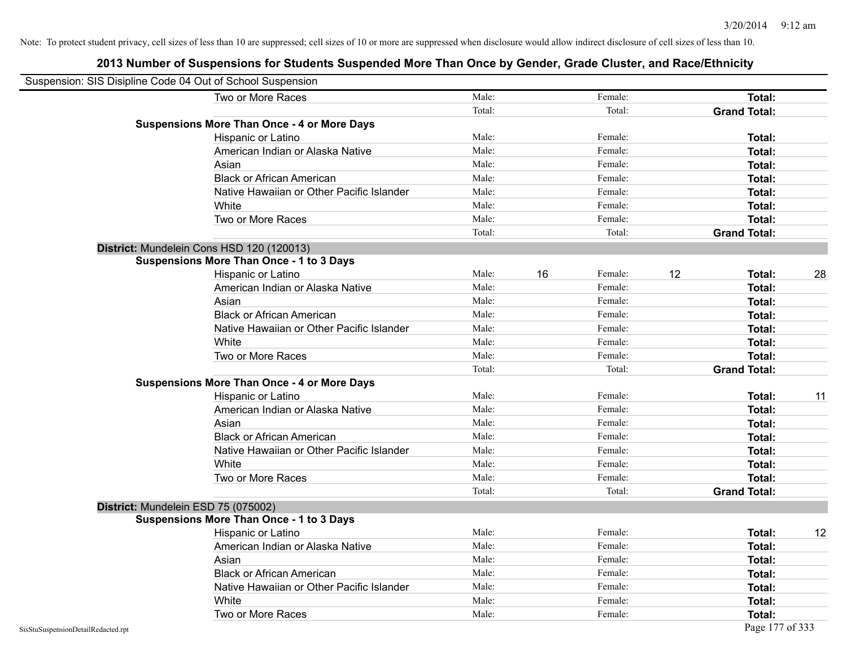| Suspension: SIS Disipline Code 04 Out of School Suspension |                                                    |        |    |         |    |                     |    |
|------------------------------------------------------------|----------------------------------------------------|--------|----|---------|----|---------------------|----|
|                                                            | Two or More Races                                  | Male:  |    | Female: |    | Total:              |    |
|                                                            |                                                    | Total: |    | Total:  |    | <b>Grand Total:</b> |    |
|                                                            | <b>Suspensions More Than Once - 4 or More Days</b> |        |    |         |    |                     |    |
|                                                            | Hispanic or Latino                                 | Male:  |    | Female: |    | Total:              |    |
|                                                            | American Indian or Alaska Native                   | Male:  |    | Female: |    | Total:              |    |
|                                                            | Asian                                              | Male:  |    | Female: |    | Total:              |    |
|                                                            | <b>Black or African American</b>                   | Male:  |    | Female: |    | Total:              |    |
|                                                            | Native Hawaiian or Other Pacific Islander          | Male:  |    | Female: |    | Total:              |    |
|                                                            | White                                              | Male:  |    | Female: |    | Total:              |    |
|                                                            | Two or More Races                                  | Male:  |    | Female: |    | Total:              |    |
|                                                            |                                                    | Total: |    | Total:  |    | <b>Grand Total:</b> |    |
|                                                            | District: Mundelein Cons HSD 120 (120013)          |        |    |         |    |                     |    |
|                                                            | <b>Suspensions More Than Once - 1 to 3 Days</b>    |        |    |         |    |                     |    |
|                                                            | Hispanic or Latino                                 | Male:  | 16 | Female: | 12 | Total:              | 28 |
|                                                            | American Indian or Alaska Native                   | Male:  |    | Female: |    | Total:              |    |
|                                                            | Asian                                              | Male:  |    | Female: |    | Total:              |    |
|                                                            | <b>Black or African American</b>                   | Male:  |    | Female: |    | Total:              |    |
|                                                            | Native Hawaiian or Other Pacific Islander          | Male:  |    | Female: |    | Total:              |    |
|                                                            | White                                              | Male:  |    | Female: |    | Total:              |    |
|                                                            | Two or More Races                                  | Male:  |    | Female: |    | Total:              |    |
|                                                            |                                                    | Total: |    | Total:  |    | <b>Grand Total:</b> |    |
|                                                            | <b>Suspensions More Than Once - 4 or More Days</b> |        |    |         |    |                     |    |
|                                                            | Hispanic or Latino                                 | Male:  |    | Female: |    | Total:              | 11 |
|                                                            | American Indian or Alaska Native                   | Male:  |    | Female: |    | Total:              |    |
|                                                            | Asian                                              | Male:  |    | Female: |    | Total:              |    |
|                                                            | <b>Black or African American</b>                   | Male:  |    | Female: |    | Total:              |    |
|                                                            | Native Hawaiian or Other Pacific Islander          | Male:  |    | Female: |    | Total:              |    |
|                                                            | White                                              | Male:  |    | Female: |    | Total:              |    |
|                                                            | Two or More Races                                  | Male:  |    | Female: |    | <b>Total:</b>       |    |
|                                                            |                                                    | Total: |    | Total:  |    | <b>Grand Total:</b> |    |
|                                                            | District: Mundelein ESD 75 (075002)                |        |    |         |    |                     |    |
|                                                            | <b>Suspensions More Than Once - 1 to 3 Days</b>    |        |    |         |    |                     |    |
|                                                            | Hispanic or Latino                                 | Male:  |    | Female: |    | Total:              | 12 |
|                                                            | American Indian or Alaska Native                   | Male:  |    | Female: |    | Total:              |    |
|                                                            | Asian                                              | Male:  |    | Female: |    | Total:              |    |
|                                                            | <b>Black or African American</b>                   | Male:  |    | Female: |    | Total:              |    |
|                                                            | Native Hawaiian or Other Pacific Islander          | Male:  |    | Female: |    | Total:              |    |
|                                                            | White                                              | Male:  |    | Female: |    | Total:              |    |
|                                                            | Two or More Races                                  | Male:  |    | Female: |    | <b>Total:</b>       |    |
| SisStuSuspensionDetailRedacted.rpt                         |                                                    |        |    |         |    | Page 177 of 333     |    |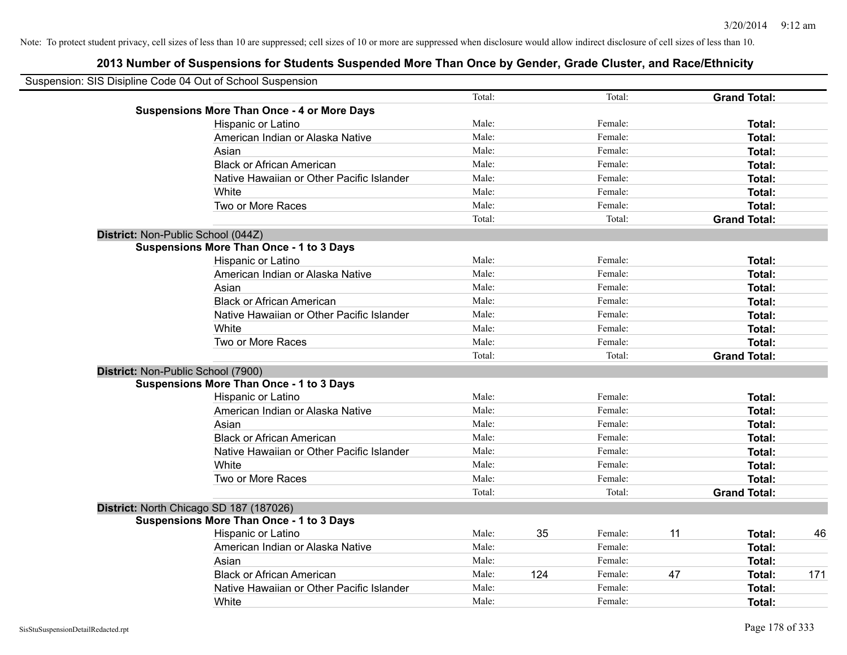| Suspension: SIS Disipline Code 04 Out of School Suspension |        |     |         |    |                     |     |
|------------------------------------------------------------|--------|-----|---------|----|---------------------|-----|
|                                                            | Total: |     | Total:  |    | <b>Grand Total:</b> |     |
| <b>Suspensions More Than Once - 4 or More Days</b>         |        |     |         |    |                     |     |
| Hispanic or Latino                                         | Male:  |     | Female: |    | Total:              |     |
| American Indian or Alaska Native                           | Male:  |     | Female: |    | Total:              |     |
| Asian                                                      | Male:  |     | Female: |    | Total:              |     |
| <b>Black or African American</b>                           | Male:  |     | Female: |    | Total:              |     |
| Native Hawaiian or Other Pacific Islander                  | Male:  |     | Female: |    | Total:              |     |
| White                                                      | Male:  |     | Female: |    | Total:              |     |
| Two or More Races                                          | Male:  |     | Female: |    | Total:              |     |
|                                                            | Total: |     | Total:  |    | <b>Grand Total:</b> |     |
| District: Non-Public School (044Z)                         |        |     |         |    |                     |     |
| <b>Suspensions More Than Once - 1 to 3 Days</b>            |        |     |         |    |                     |     |
| Hispanic or Latino                                         | Male:  |     | Female: |    | Total:              |     |
| American Indian or Alaska Native                           | Male:  |     | Female: |    | Total:              |     |
| Asian                                                      | Male:  |     | Female: |    | Total:              |     |
| <b>Black or African American</b>                           | Male:  |     | Female: |    | Total:              |     |
| Native Hawaiian or Other Pacific Islander                  | Male:  |     | Female: |    | Total:              |     |
| White                                                      | Male:  |     | Female: |    | Total:              |     |
| Two or More Races                                          | Male:  |     | Female: |    | Total:              |     |
|                                                            | Total: |     | Total:  |    | <b>Grand Total:</b> |     |
| District: Non-Public School (7900)                         |        |     |         |    |                     |     |
| <b>Suspensions More Than Once - 1 to 3 Days</b>            |        |     |         |    |                     |     |
| Hispanic or Latino                                         | Male:  |     | Female: |    | Total:              |     |
| American Indian or Alaska Native                           | Male:  |     | Female: |    | Total:              |     |
| Asian                                                      | Male:  |     | Female: |    | Total:              |     |
| <b>Black or African American</b>                           | Male:  |     | Female: |    | Total:              |     |
| Native Hawaiian or Other Pacific Islander                  | Male:  |     | Female: |    | Total:              |     |
| White                                                      | Male:  |     | Female: |    | Total:              |     |
| Two or More Races                                          | Male:  |     | Female: |    | Total:              |     |
|                                                            | Total: |     | Total:  |    | <b>Grand Total:</b> |     |
| District: North Chicago SD 187 (187026)                    |        |     |         |    |                     |     |
| <b>Suspensions More Than Once - 1 to 3 Days</b>            |        |     |         |    |                     |     |
| Hispanic or Latino                                         | Male:  | 35  | Female: | 11 | Total:              | 46  |
| American Indian or Alaska Native                           | Male:  |     | Female: |    | Total:              |     |
| Asian                                                      | Male:  |     | Female: |    | Total:              |     |
| <b>Black or African American</b>                           | Male:  | 124 | Female: | 47 | Total:              | 171 |
| Native Hawaiian or Other Pacific Islander                  | Male:  |     | Female: |    | Total:              |     |
| White                                                      | Male:  |     | Female: |    | Total:              |     |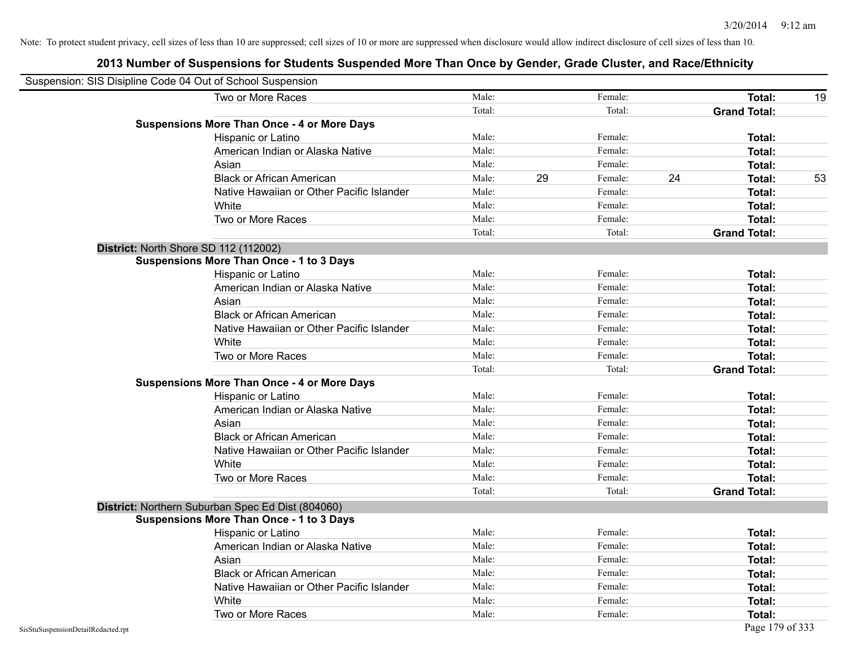| Suspension: SIS Disipline Code 04 Out of School Suspension |                                                    |        |    |         |    |                     |    |
|------------------------------------------------------------|----------------------------------------------------|--------|----|---------|----|---------------------|----|
|                                                            | Two or More Races                                  | Male:  |    | Female: |    | Total:              | 19 |
|                                                            |                                                    | Total: |    | Total:  |    | <b>Grand Total:</b> |    |
|                                                            | <b>Suspensions More Than Once - 4 or More Days</b> |        |    |         |    |                     |    |
|                                                            | Hispanic or Latino                                 | Male:  |    | Female: |    | Total:              |    |
|                                                            | American Indian or Alaska Native                   | Male:  |    | Female: |    | Total:              |    |
|                                                            | Asian                                              | Male:  |    | Female: |    | Total:              |    |
|                                                            | <b>Black or African American</b>                   | Male:  | 29 | Female: | 24 | Total:              | 53 |
|                                                            | Native Hawaiian or Other Pacific Islander          | Male:  |    | Female: |    | Total:              |    |
|                                                            | White                                              | Male:  |    | Female: |    | Total:              |    |
|                                                            | Two or More Races                                  | Male:  |    | Female: |    | Total:              |    |
|                                                            |                                                    | Total: |    | Total:  |    | <b>Grand Total:</b> |    |
|                                                            | District: North Shore SD 112 (112002)              |        |    |         |    |                     |    |
|                                                            | <b>Suspensions More Than Once - 1 to 3 Days</b>    |        |    |         |    |                     |    |
|                                                            | Hispanic or Latino                                 | Male:  |    | Female: |    | Total:              |    |
|                                                            | American Indian or Alaska Native                   | Male:  |    | Female: |    | Total:              |    |
|                                                            | Asian                                              | Male:  |    | Female: |    | Total:              |    |
|                                                            | <b>Black or African American</b>                   | Male:  |    | Female: |    | Total:              |    |
|                                                            | Native Hawaiian or Other Pacific Islander          | Male:  |    | Female: |    | Total:              |    |
|                                                            | White                                              | Male:  |    | Female: |    | Total:              |    |
|                                                            | Two or More Races                                  | Male:  |    | Female: |    | Total:              |    |
|                                                            |                                                    | Total: |    | Total:  |    | <b>Grand Total:</b> |    |
|                                                            | <b>Suspensions More Than Once - 4 or More Days</b> |        |    |         |    |                     |    |
|                                                            | Hispanic or Latino                                 | Male:  |    | Female: |    | Total:              |    |
|                                                            | American Indian or Alaska Native                   | Male:  |    | Female: |    | Total:              |    |
|                                                            | Asian                                              | Male:  |    | Female: |    | Total:              |    |
|                                                            | <b>Black or African American</b>                   | Male:  |    | Female: |    | Total:              |    |
|                                                            | Native Hawaiian or Other Pacific Islander          | Male:  |    | Female: |    | Total:              |    |
|                                                            | White                                              | Male:  |    | Female: |    | Total:              |    |
|                                                            | Two or More Races                                  | Male:  |    | Female: |    | <b>Total:</b>       |    |
|                                                            |                                                    | Total: |    | Total:  |    | <b>Grand Total:</b> |    |
|                                                            | District: Northern Suburban Spec Ed Dist (804060)  |        |    |         |    |                     |    |
|                                                            | <b>Suspensions More Than Once - 1 to 3 Days</b>    |        |    |         |    |                     |    |
|                                                            | Hispanic or Latino                                 | Male:  |    | Female: |    | Total:              |    |
|                                                            | American Indian or Alaska Native                   | Male:  |    | Female: |    | Total:              |    |
|                                                            | Asian                                              | Male:  |    | Female: |    | Total:              |    |
|                                                            | <b>Black or African American</b>                   | Male:  |    | Female: |    | Total:              |    |
|                                                            | Native Hawaiian or Other Pacific Islander          | Male:  |    | Female: |    | Total:              |    |
|                                                            | White                                              | Male:  |    | Female: |    | Total:              |    |
|                                                            | Two or More Races                                  | Male:  |    | Female: |    | <b>Total:</b>       |    |
| SisStuSuspensionDetailRedacted.rpt                         |                                                    |        |    |         |    | Page 179 of 333     |    |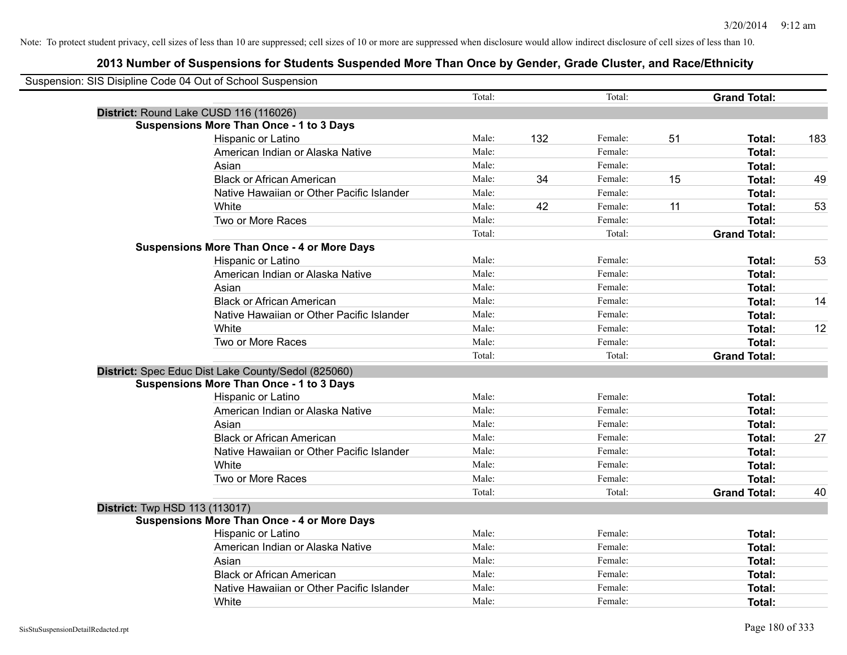| Suspension: SIS Disipline Code 04 Out of School Suspension |                                                     |        |     |         |    |                     |     |
|------------------------------------------------------------|-----------------------------------------------------|--------|-----|---------|----|---------------------|-----|
|                                                            |                                                     | Total: |     | Total:  |    | <b>Grand Total:</b> |     |
|                                                            | District: Round Lake CUSD 116 (116026)              |        |     |         |    |                     |     |
|                                                            | <b>Suspensions More Than Once - 1 to 3 Days</b>     |        |     |         |    |                     |     |
|                                                            | Hispanic or Latino                                  | Male:  | 132 | Female: | 51 | Total:              | 183 |
|                                                            | American Indian or Alaska Native                    | Male:  |     | Female: |    | <b>Total:</b>       |     |
|                                                            | Asian                                               | Male:  |     | Female: |    | <b>Total:</b>       |     |
|                                                            | <b>Black or African American</b>                    | Male:  | 34  | Female: | 15 | <b>Total:</b>       | 49  |
|                                                            | Native Hawaiian or Other Pacific Islander           | Male:  |     | Female: |    | <b>Total:</b>       |     |
|                                                            | White                                               | Male:  | 42  | Female: | 11 | Total:              | 53  |
|                                                            | Two or More Races                                   | Male:  |     | Female: |    | Total:              |     |
|                                                            |                                                     | Total: |     | Total:  |    | <b>Grand Total:</b> |     |
|                                                            | <b>Suspensions More Than Once - 4 or More Days</b>  |        |     |         |    |                     |     |
|                                                            | Hispanic or Latino                                  | Male:  |     | Female: |    | Total:              | 53  |
|                                                            | American Indian or Alaska Native                    | Male:  |     | Female: |    | <b>Total:</b>       |     |
|                                                            | Asian                                               | Male:  |     | Female: |    | Total:              |     |
|                                                            | <b>Black or African American</b>                    | Male:  |     | Female: |    | <b>Total:</b>       | 14  |
|                                                            | Native Hawaiian or Other Pacific Islander           | Male:  |     | Female: |    | <b>Total:</b>       |     |
|                                                            | White                                               | Male:  |     | Female: |    | <b>Total:</b>       | 12  |
|                                                            | Two or More Races                                   | Male:  |     | Female: |    | Total:              |     |
|                                                            |                                                     | Total: |     | Total:  |    | <b>Grand Total:</b> |     |
|                                                            | District: Spec Educ Dist Lake County/Sedol (825060) |        |     |         |    |                     |     |
|                                                            | <b>Suspensions More Than Once - 1 to 3 Days</b>     |        |     |         |    |                     |     |
|                                                            | Hispanic or Latino                                  | Male:  |     | Female: |    | <b>Total:</b>       |     |
|                                                            | American Indian or Alaska Native                    | Male:  |     | Female: |    | Total:              |     |
|                                                            | Asian                                               | Male:  |     | Female: |    | <b>Total:</b>       |     |
|                                                            | <b>Black or African American</b>                    | Male:  |     | Female: |    | <b>Total:</b>       | 27  |
|                                                            | Native Hawaiian or Other Pacific Islander           | Male:  |     | Female: |    | <b>Total:</b>       |     |
|                                                            | White                                               | Male:  |     | Female: |    | <b>Total:</b>       |     |
|                                                            | Two or More Races                                   | Male:  |     | Female: |    | <b>Total:</b>       |     |
|                                                            |                                                     | Total: |     | Total:  |    | <b>Grand Total:</b> | 40  |
| <b>District:</b> Twp HSD 113 (113017)                      |                                                     |        |     |         |    |                     |     |
|                                                            | <b>Suspensions More Than Once - 4 or More Days</b>  |        |     |         |    |                     |     |
|                                                            | Hispanic or Latino                                  | Male:  |     | Female: |    | Total:              |     |
|                                                            | American Indian or Alaska Native                    | Male:  |     | Female: |    | <b>Total:</b>       |     |
|                                                            | Asian                                               | Male:  |     | Female: |    | Total:              |     |
|                                                            | <b>Black or African American</b>                    | Male:  |     | Female: |    | <b>Total:</b>       |     |
|                                                            | Native Hawaiian or Other Pacific Islander           | Male:  |     | Female: |    | <b>Total:</b>       |     |
|                                                            | White                                               | Male:  |     | Female: |    | <b>Total:</b>       |     |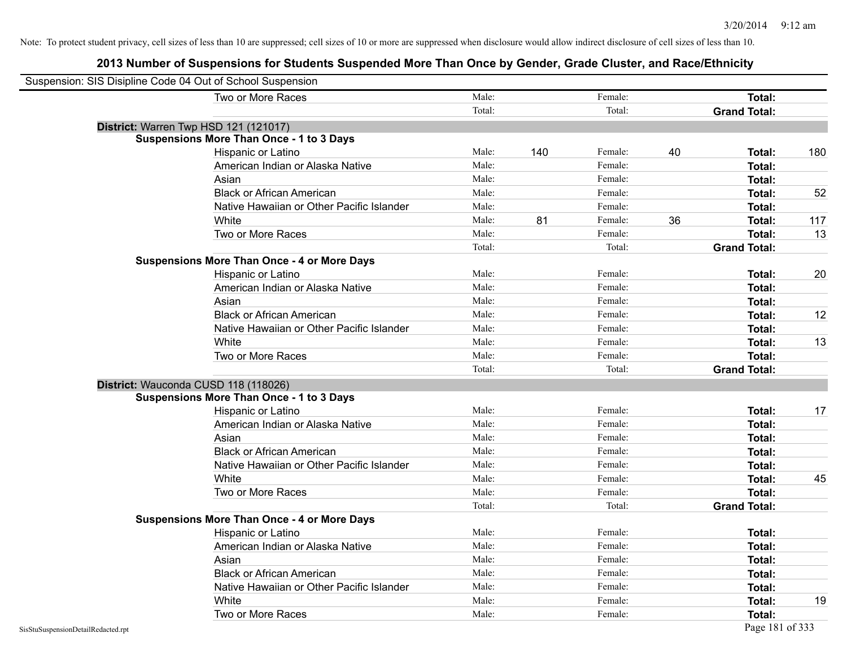| Suspension: SIS Disipline Code 04 Out of School Suspension |                                                    |        |     |         |    |                     |     |
|------------------------------------------------------------|----------------------------------------------------|--------|-----|---------|----|---------------------|-----|
|                                                            | Two or More Races                                  | Male:  |     | Female: |    | Total:              |     |
|                                                            |                                                    | Total: |     | Total:  |    | <b>Grand Total:</b> |     |
|                                                            | District: Warren Twp HSD 121 (121017)              |        |     |         |    |                     |     |
|                                                            | <b>Suspensions More Than Once - 1 to 3 Days</b>    |        |     |         |    |                     |     |
|                                                            | Hispanic or Latino                                 | Male:  | 140 | Female: | 40 | Total:              | 180 |
|                                                            | American Indian or Alaska Native                   | Male:  |     | Female: |    | <b>Total:</b>       |     |
|                                                            | Asian                                              | Male:  |     | Female: |    | Total:              |     |
|                                                            | <b>Black or African American</b>                   | Male:  |     | Female: |    | <b>Total:</b>       | 52  |
|                                                            | Native Hawaiian or Other Pacific Islander          | Male:  |     | Female: |    | Total:              |     |
|                                                            | White                                              | Male:  | 81  | Female: | 36 | <b>Total:</b>       | 117 |
|                                                            | Two or More Races                                  | Male:  |     | Female: |    | <b>Total:</b>       | 13  |
|                                                            |                                                    | Total: |     | Total:  |    | <b>Grand Total:</b> |     |
|                                                            | <b>Suspensions More Than Once - 4 or More Days</b> |        |     |         |    |                     |     |
|                                                            | Hispanic or Latino                                 | Male:  |     | Female: |    | Total:              | 20  |
|                                                            | American Indian or Alaska Native                   | Male:  |     | Female: |    | <b>Total:</b>       |     |
|                                                            | Asian                                              | Male:  |     | Female: |    | <b>Total:</b>       |     |
|                                                            | <b>Black or African American</b>                   | Male:  |     | Female: |    | <b>Total:</b>       | 12  |
|                                                            | Native Hawaiian or Other Pacific Islander          | Male:  |     | Female: |    | Total:              |     |
|                                                            | White                                              | Male:  |     | Female: |    | Total:              | 13  |
|                                                            | Two or More Races                                  | Male:  |     | Female: |    | <b>Total:</b>       |     |
|                                                            |                                                    | Total: |     | Total:  |    | <b>Grand Total:</b> |     |
|                                                            | District: Wauconda CUSD 118 (118026)               |        |     |         |    |                     |     |
|                                                            | <b>Suspensions More Than Once - 1 to 3 Days</b>    |        |     |         |    |                     |     |
|                                                            | Hispanic or Latino                                 | Male:  |     | Female: |    | Total:              | 17  |
|                                                            | American Indian or Alaska Native                   | Male:  |     | Female: |    | Total:              |     |
|                                                            | Asian                                              | Male:  |     | Female: |    | Total:              |     |
|                                                            | <b>Black or African American</b>                   | Male:  |     | Female: |    | Total:              |     |
|                                                            | Native Hawaiian or Other Pacific Islander          | Male:  |     | Female: |    | <b>Total:</b>       |     |
|                                                            | White                                              | Male:  |     | Female: |    | <b>Total:</b>       | 45  |
|                                                            | Two or More Races                                  | Male:  |     | Female: |    | <b>Total:</b>       |     |
|                                                            |                                                    | Total: |     | Total:  |    | <b>Grand Total:</b> |     |
|                                                            | <b>Suspensions More Than Once - 4 or More Days</b> |        |     |         |    |                     |     |
|                                                            | Hispanic or Latino                                 | Male:  |     | Female: |    | Total:              |     |
|                                                            | American Indian or Alaska Native                   | Male:  |     | Female: |    | <b>Total:</b>       |     |
|                                                            | Asian                                              | Male:  |     | Female: |    | <b>Total:</b>       |     |
|                                                            | <b>Black or African American</b>                   | Male:  |     | Female: |    | <b>Total:</b>       |     |
|                                                            | Native Hawaiian or Other Pacific Islander          | Male:  |     | Female: |    | <b>Total:</b>       |     |
|                                                            | White                                              | Male:  |     | Female: |    | <b>Total:</b>       | 19  |
|                                                            | Two or More Races                                  | Male:  |     | Female: |    | Total:              |     |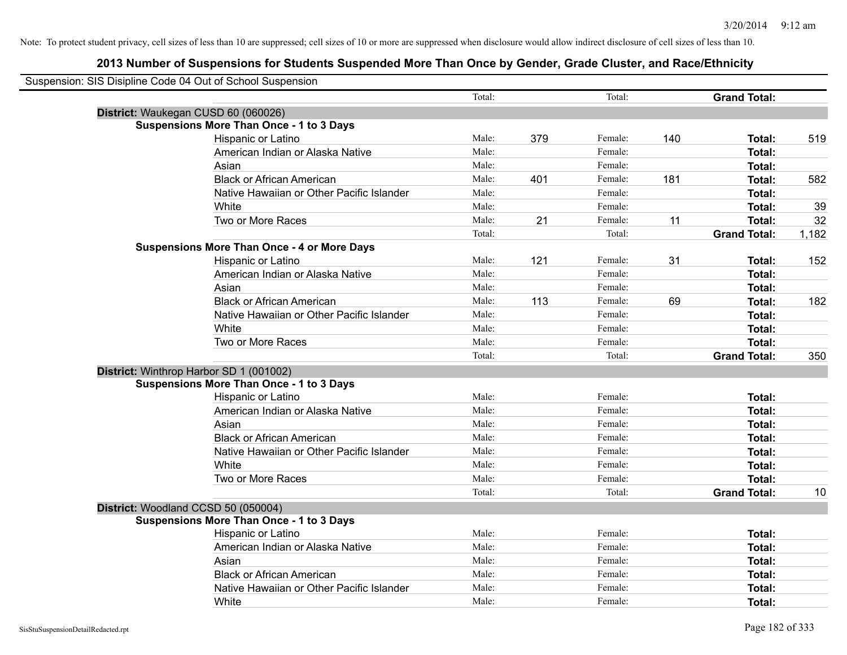| Suspension: SIS Disipline Code 04 Out of School Suspension |                                                    |        |     |         |     |                     |       |
|------------------------------------------------------------|----------------------------------------------------|--------|-----|---------|-----|---------------------|-------|
|                                                            |                                                    | Total: |     | Total:  |     | <b>Grand Total:</b> |       |
| District: Waukegan CUSD 60 (060026)                        |                                                    |        |     |         |     |                     |       |
|                                                            | <b>Suspensions More Than Once - 1 to 3 Days</b>    |        |     |         |     |                     |       |
|                                                            | Hispanic or Latino                                 | Male:  | 379 | Female: | 140 | Total:              | 519   |
|                                                            | American Indian or Alaska Native                   | Male:  |     | Female: |     | <b>Total:</b>       |       |
|                                                            | Asian                                              | Male:  |     | Female: |     | <b>Total:</b>       |       |
|                                                            | <b>Black or African American</b>                   | Male:  | 401 | Female: | 181 | Total:              | 582   |
|                                                            | Native Hawaiian or Other Pacific Islander          | Male:  |     | Female: |     | Total:              |       |
|                                                            | White                                              | Male:  |     | Female: |     | Total:              | 39    |
|                                                            | Two or More Races                                  | Male:  | 21  | Female: | 11  | <b>Total:</b>       | 32    |
|                                                            |                                                    | Total: |     | Total:  |     | <b>Grand Total:</b> | 1,182 |
|                                                            | <b>Suspensions More Than Once - 4 or More Days</b> |        |     |         |     |                     |       |
|                                                            | Hispanic or Latino                                 | Male:  | 121 | Female: | 31  | <b>Total:</b>       | 152   |
|                                                            | American Indian or Alaska Native                   | Male:  |     | Female: |     | <b>Total:</b>       |       |
|                                                            | Asian                                              | Male:  |     | Female: |     | <b>Total:</b>       |       |
|                                                            | <b>Black or African American</b>                   | Male:  | 113 | Female: | 69  | <b>Total:</b>       | 182   |
|                                                            | Native Hawaiian or Other Pacific Islander          | Male:  |     | Female: |     | <b>Total:</b>       |       |
|                                                            | White                                              | Male:  |     | Female: |     | <b>Total:</b>       |       |
|                                                            | Two or More Races                                  | Male:  |     | Female: |     | Total:              |       |
|                                                            |                                                    | Total: |     | Total:  |     | <b>Grand Total:</b> | 350   |
| District: Winthrop Harbor SD 1 (001002)                    |                                                    |        |     |         |     |                     |       |
|                                                            | <b>Suspensions More Than Once - 1 to 3 Days</b>    |        |     |         |     |                     |       |
|                                                            | Hispanic or Latino                                 | Male:  |     | Female: |     | Total:              |       |
|                                                            | American Indian or Alaska Native                   | Male:  |     | Female: |     | <b>Total:</b>       |       |
|                                                            | Asian                                              | Male:  |     | Female: |     | <b>Total:</b>       |       |
|                                                            | <b>Black or African American</b>                   | Male:  |     | Female: |     | Total:              |       |
|                                                            | Native Hawaiian or Other Pacific Islander          | Male:  |     | Female: |     | <b>Total:</b>       |       |
|                                                            | White                                              | Male:  |     | Female: |     | <b>Total:</b>       |       |
|                                                            | Two or More Races                                  | Male:  |     | Female: |     | <b>Total:</b>       |       |
|                                                            |                                                    | Total: |     | Total:  |     | <b>Grand Total:</b> | 10    |
| District: Woodland CCSD 50 (050004)                        |                                                    |        |     |         |     |                     |       |
|                                                            | <b>Suspensions More Than Once - 1 to 3 Days</b>    |        |     |         |     |                     |       |
|                                                            | Hispanic or Latino                                 | Male:  |     | Female: |     | Total:              |       |
|                                                            | American Indian or Alaska Native                   | Male:  |     | Female: |     | <b>Total:</b>       |       |
|                                                            | Asian                                              | Male:  |     | Female: |     | <b>Total:</b>       |       |
|                                                            | <b>Black or African American</b>                   | Male:  |     | Female: |     | <b>Total:</b>       |       |
|                                                            | Native Hawaiian or Other Pacific Islander          | Male:  |     | Female: |     | <b>Total:</b>       |       |
|                                                            | White                                              | Male:  |     | Female: |     | Total:              |       |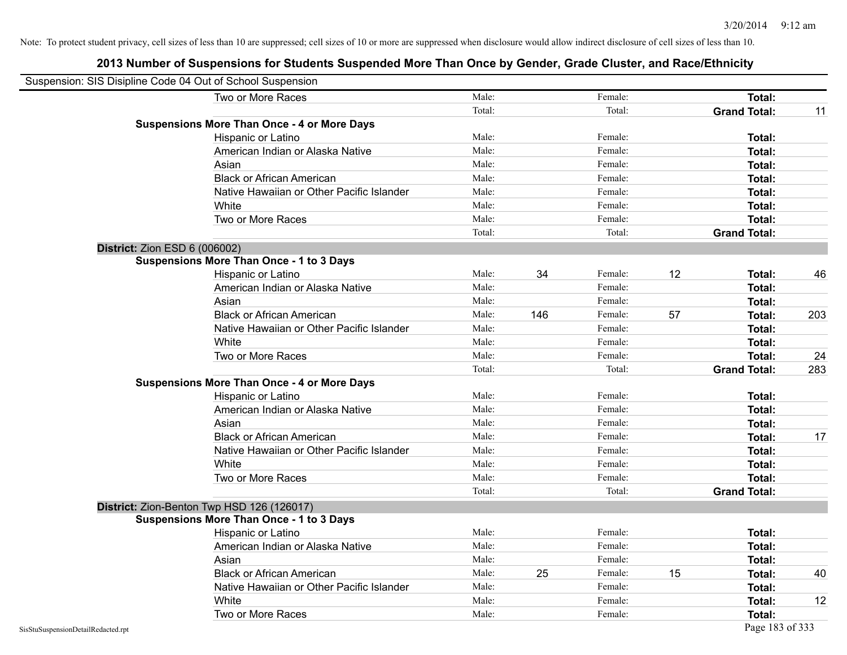|                                    | Suspension: SIS Disipline Code 04 Out of School Suspension |        |     |         |    |                     |     |
|------------------------------------|------------------------------------------------------------|--------|-----|---------|----|---------------------|-----|
|                                    | Two or More Races                                          | Male:  |     | Female: |    | Total:              |     |
|                                    |                                                            | Total: |     | Total:  |    | <b>Grand Total:</b> | 11  |
|                                    | <b>Suspensions More Than Once - 4 or More Days</b>         |        |     |         |    |                     |     |
|                                    | Hispanic or Latino                                         | Male:  |     | Female: |    | Total:              |     |
|                                    | American Indian or Alaska Native                           | Male:  |     | Female: |    | Total:              |     |
|                                    | Asian                                                      | Male:  |     | Female: |    | Total:              |     |
|                                    | <b>Black or African American</b>                           | Male:  |     | Female: |    | Total:              |     |
|                                    | Native Hawaiian or Other Pacific Islander                  | Male:  |     | Female: |    | Total:              |     |
|                                    | White                                                      | Male:  |     | Female: |    | Total:              |     |
|                                    | Two or More Races                                          | Male:  |     | Female: |    | Total:              |     |
|                                    |                                                            | Total: |     | Total:  |    | <b>Grand Total:</b> |     |
| District: Zion ESD 6 (006002)      |                                                            |        |     |         |    |                     |     |
|                                    | <b>Suspensions More Than Once - 1 to 3 Days</b>            |        |     |         |    |                     |     |
|                                    | Hispanic or Latino                                         | Male:  | 34  | Female: | 12 | Total:              | 46  |
|                                    | American Indian or Alaska Native                           | Male:  |     | Female: |    | Total:              |     |
|                                    | Asian                                                      | Male:  |     | Female: |    | Total:              |     |
|                                    | <b>Black or African American</b>                           | Male:  | 146 | Female: | 57 | Total:              | 203 |
|                                    | Native Hawaiian or Other Pacific Islander                  | Male:  |     | Female: |    | Total:              |     |
|                                    | White                                                      | Male:  |     | Female: |    | Total:              |     |
|                                    | Two or More Races                                          | Male:  |     | Female: |    | Total:              | 24  |
|                                    |                                                            | Total: |     | Total:  |    | <b>Grand Total:</b> | 283 |
|                                    | <b>Suspensions More Than Once - 4 or More Days</b>         |        |     |         |    |                     |     |
|                                    | Hispanic or Latino                                         | Male:  |     | Female: |    | Total:              |     |
|                                    | American Indian or Alaska Native                           | Male:  |     | Female: |    | Total:              |     |
|                                    | Asian                                                      | Male:  |     | Female: |    | Total:              |     |
|                                    | <b>Black or African American</b>                           | Male:  |     | Female: |    | Total:              | 17  |
|                                    | Native Hawaiian or Other Pacific Islander                  | Male:  |     | Female: |    | Total:              |     |
|                                    | White                                                      | Male:  |     | Female: |    | Total:              |     |
|                                    | Two or More Races                                          | Male:  |     | Female: |    | Total:              |     |
|                                    |                                                            | Total: |     | Total:  |    | <b>Grand Total:</b> |     |
|                                    | District: Zion-Benton Twp HSD 126 (126017)                 |        |     |         |    |                     |     |
|                                    | <b>Suspensions More Than Once - 1 to 3 Days</b>            |        |     |         |    |                     |     |
|                                    | Hispanic or Latino                                         | Male:  |     | Female: |    | Total:              |     |
|                                    | American Indian or Alaska Native                           | Male:  |     | Female: |    | Total:              |     |
|                                    | Asian                                                      | Male:  |     | Female: |    | Total:              |     |
|                                    | <b>Black or African American</b>                           | Male:  | 25  | Female: | 15 | Total:              | 40  |
|                                    | Native Hawaiian or Other Pacific Islander                  | Male:  |     | Female: |    | Total:              |     |
|                                    | White                                                      | Male:  |     | Female: |    | Total:              | 12  |
|                                    | Two or More Races                                          | Male:  |     | Female: |    | <b>Total:</b>       |     |
| SisStuSuspensionDetailRedacted.rpt |                                                            |        |     |         |    | Page 183 of 333     |     |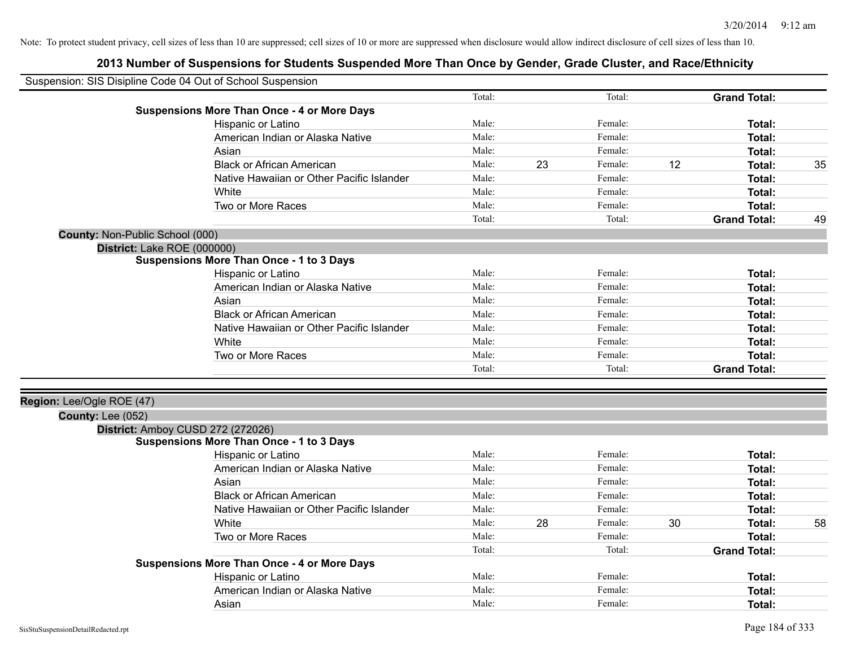| Suspension: SIS Disipline Code 04 Out of School Suspension |                                                    |        |    |         |    |                     |    |
|------------------------------------------------------------|----------------------------------------------------|--------|----|---------|----|---------------------|----|
|                                                            |                                                    | Total: |    | Total:  |    | <b>Grand Total:</b> |    |
|                                                            | <b>Suspensions More Than Once - 4 or More Days</b> |        |    |         |    |                     |    |
|                                                            | Hispanic or Latino                                 | Male:  |    | Female: |    | Total:              |    |
|                                                            | American Indian or Alaska Native                   | Male:  |    | Female: |    | Total:              |    |
|                                                            | Asian                                              | Male:  |    | Female: |    | Total:              |    |
|                                                            | <b>Black or African American</b>                   | Male:  | 23 | Female: | 12 | Total:              | 35 |
|                                                            | Native Hawaiian or Other Pacific Islander          | Male:  |    | Female: |    | Total:              |    |
|                                                            | White                                              | Male:  |    | Female: |    | Total:              |    |
|                                                            | Two or More Races                                  | Male:  |    | Female: |    | Total:              |    |
|                                                            |                                                    | Total: |    | Total:  |    | <b>Grand Total:</b> | 49 |
| County: Non-Public School (000)                            |                                                    |        |    |         |    |                     |    |
| District: Lake ROE (000000)                                |                                                    |        |    |         |    |                     |    |
|                                                            | <b>Suspensions More Than Once - 1 to 3 Days</b>    |        |    |         |    |                     |    |
|                                                            | Hispanic or Latino                                 | Male:  |    | Female: |    | Total:              |    |
|                                                            | American Indian or Alaska Native                   | Male:  |    | Female: |    | Total:              |    |
|                                                            | Asian                                              | Male:  |    | Female: |    | Total:              |    |
|                                                            | <b>Black or African American</b>                   | Male:  |    | Female: |    | Total:              |    |
|                                                            | Native Hawaiian or Other Pacific Islander          | Male:  |    | Female: |    | Total:              |    |
|                                                            | White                                              | Male:  |    | Female: |    | Total:              |    |
|                                                            | Two or More Races                                  | Male:  |    | Female: |    | Total:              |    |
|                                                            |                                                    | Total: |    | Total:  |    | <b>Grand Total:</b> |    |
|                                                            |                                                    |        |    |         |    |                     |    |
| Region: Lee/Ogle ROE (47)<br><b>County: Lee (052)</b>      |                                                    |        |    |         |    |                     |    |
|                                                            | District: Amboy CUSD 272 (272026)                  |        |    |         |    |                     |    |
|                                                            | <b>Suspensions More Than Once - 1 to 3 Days</b>    |        |    |         |    |                     |    |
|                                                            | Hispanic or Latino                                 | Male:  |    | Female: |    | Total:              |    |
|                                                            | American Indian or Alaska Native                   | Male:  |    | Female: |    | Total:              |    |
|                                                            | Asian                                              | Male:  |    | Female: |    | Total:              |    |
|                                                            | <b>Black or African American</b>                   | Male:  |    | Female: |    | Total:              |    |
|                                                            | Native Hawaiian or Other Pacific Islander          | Male:  |    | Female: |    | Total:              |    |
|                                                            | White                                              | Male:  | 28 | Female: | 30 | Total:              | 58 |
|                                                            | Two or More Races                                  | Male:  |    | Female: |    | Total:              |    |
|                                                            |                                                    | Total: |    | Total:  |    | <b>Grand Total:</b> |    |
|                                                            | <b>Suspensions More Than Once - 4 or More Days</b> |        |    |         |    |                     |    |
|                                                            | Hispanic or Latino                                 | Male:  |    | Female: |    | Total:              |    |
|                                                            | American Indian or Alaska Native                   | Male:  |    | Female: |    | Total:              |    |
|                                                            | Asian                                              | Male:  |    | Female: |    | Total:              |    |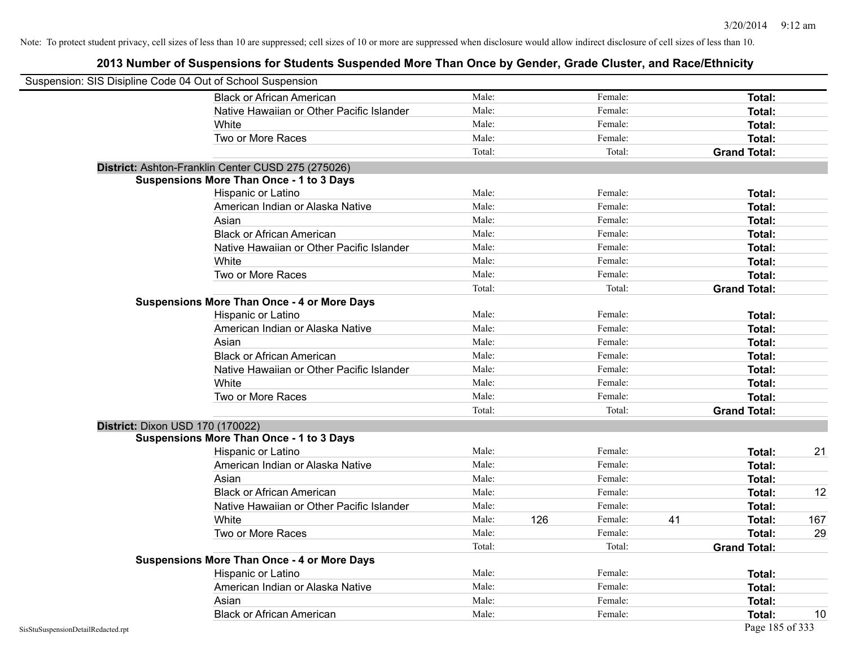| Suspension: SIS Disipline Code 04 Out of School Suspension |                                                    |        |     |         |    |                     |     |
|------------------------------------------------------------|----------------------------------------------------|--------|-----|---------|----|---------------------|-----|
|                                                            | <b>Black or African American</b>                   | Male:  |     | Female: |    | Total:              |     |
|                                                            | Native Hawaiian or Other Pacific Islander          | Male:  |     | Female: |    | Total:              |     |
|                                                            | White                                              | Male:  |     | Female: |    | Total:              |     |
|                                                            | Two or More Races                                  | Male:  |     | Female: |    | Total:              |     |
|                                                            |                                                    | Total: |     | Total:  |    | <b>Grand Total:</b> |     |
|                                                            | District: Ashton-Franklin Center CUSD 275 (275026) |        |     |         |    |                     |     |
|                                                            | <b>Suspensions More Than Once - 1 to 3 Days</b>    |        |     |         |    |                     |     |
|                                                            | Hispanic or Latino                                 | Male:  |     | Female: |    | Total:              |     |
|                                                            | American Indian or Alaska Native                   | Male:  |     | Female: |    | Total:              |     |
|                                                            | Asian                                              | Male:  |     | Female: |    | Total:              |     |
|                                                            | <b>Black or African American</b>                   | Male:  |     | Female: |    | Total:              |     |
|                                                            | Native Hawaiian or Other Pacific Islander          | Male:  |     | Female: |    | Total:              |     |
|                                                            | White                                              | Male:  |     | Female: |    | Total:              |     |
|                                                            | Two or More Races                                  | Male:  |     | Female: |    | Total:              |     |
|                                                            |                                                    | Total: |     | Total:  |    | <b>Grand Total:</b> |     |
|                                                            | <b>Suspensions More Than Once - 4 or More Days</b> |        |     |         |    |                     |     |
|                                                            | Hispanic or Latino                                 | Male:  |     | Female: |    | Total:              |     |
|                                                            | American Indian or Alaska Native                   | Male:  |     | Female: |    | Total:              |     |
|                                                            | Asian                                              | Male:  |     | Female: |    | Total:              |     |
|                                                            | <b>Black or African American</b>                   | Male:  |     | Female: |    | Total:              |     |
|                                                            | Native Hawaiian or Other Pacific Islander          | Male:  |     | Female: |    | Total:              |     |
|                                                            | White                                              | Male:  |     | Female: |    | Total:              |     |
|                                                            | Two or More Races                                  | Male:  |     | Female: |    | Total:              |     |
|                                                            |                                                    | Total: |     | Total:  |    | <b>Grand Total:</b> |     |
| District: Dixon USD 170 (170022)                           |                                                    |        |     |         |    |                     |     |
|                                                            | <b>Suspensions More Than Once - 1 to 3 Days</b>    |        |     |         |    |                     |     |
|                                                            | Hispanic or Latino                                 | Male:  |     | Female: |    | Total:              | 21  |
|                                                            | American Indian or Alaska Native                   | Male:  |     | Female: |    | Total:              |     |
|                                                            | Asian                                              | Male:  |     | Female: |    | Total:              |     |
|                                                            | <b>Black or African American</b>                   | Male:  |     | Female: |    | Total:              | 12  |
|                                                            | Native Hawaiian or Other Pacific Islander          | Male:  |     | Female: |    | Total:              |     |
|                                                            | White                                              | Male:  | 126 | Female: | 41 | Total:              | 167 |
|                                                            | Two or More Races                                  | Male:  |     | Female: |    | Total:              | 29  |
|                                                            |                                                    | Total: |     | Total:  |    | <b>Grand Total:</b> |     |
|                                                            | <b>Suspensions More Than Once - 4 or More Days</b> |        |     |         |    |                     |     |
|                                                            | Hispanic or Latino                                 | Male:  |     | Female: |    | Total:              |     |
|                                                            | American Indian or Alaska Native                   | Male:  |     | Female: |    | Total:              |     |
|                                                            | Asian                                              | Male:  |     | Female: |    | Total:              |     |
|                                                            | <b>Black or African American</b>                   | Male:  |     | Female: |    | Total:              | 10  |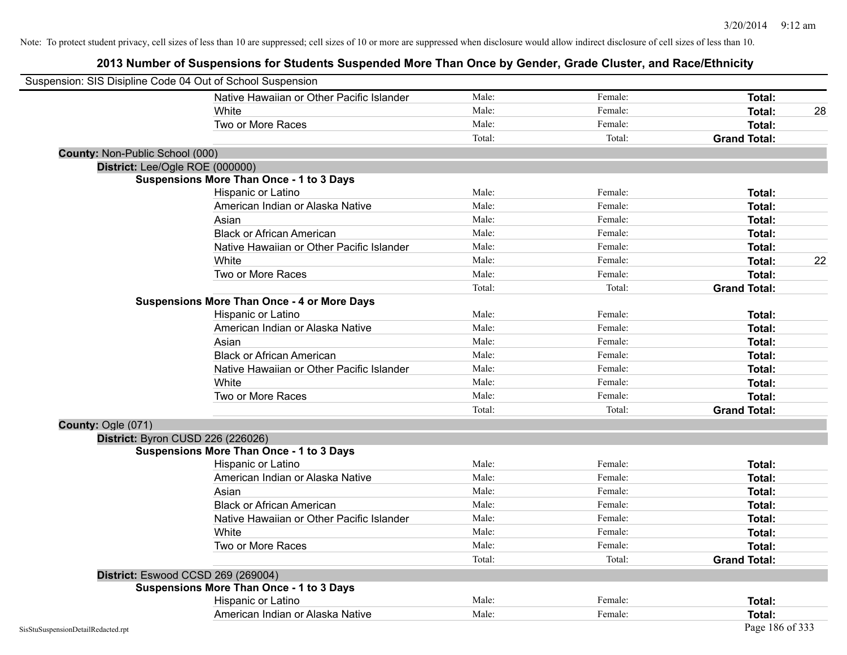| Suspension: SIS Disipline Code 04 Out of School Suspension |                                                    |        |         |                     |
|------------------------------------------------------------|----------------------------------------------------|--------|---------|---------------------|
|                                                            | Native Hawaiian or Other Pacific Islander          | Male:  | Female: | Total:              |
|                                                            | White                                              | Male:  | Female: | Total:<br>28        |
|                                                            | Two or More Races                                  | Male:  | Female: | Total:              |
|                                                            |                                                    | Total: | Total:  | <b>Grand Total:</b> |
| County: Non-Public School (000)                            |                                                    |        |         |                     |
| District: Lee/Ogle ROE (000000)                            |                                                    |        |         |                     |
|                                                            | <b>Suspensions More Than Once - 1 to 3 Days</b>    |        |         |                     |
|                                                            | Hispanic or Latino                                 | Male:  | Female: | Total:              |
|                                                            | American Indian or Alaska Native                   | Male:  | Female: | Total:              |
|                                                            | Asian                                              | Male:  | Female: | Total:              |
|                                                            | <b>Black or African American</b>                   | Male:  | Female: | Total:              |
|                                                            | Native Hawaiian or Other Pacific Islander          | Male:  | Female: | Total:              |
|                                                            | White                                              | Male:  | Female: | 22<br><b>Total:</b> |
|                                                            | Two or More Races                                  | Male:  | Female: | <b>Total:</b>       |
|                                                            |                                                    | Total: | Total:  | <b>Grand Total:</b> |
|                                                            | <b>Suspensions More Than Once - 4 or More Days</b> |        |         |                     |
|                                                            | Hispanic or Latino                                 | Male:  | Female: | Total:              |
|                                                            | American Indian or Alaska Native                   | Male:  | Female: | <b>Total:</b>       |
|                                                            | Asian                                              | Male:  | Female: | Total:              |
|                                                            | <b>Black or African American</b>                   | Male:  | Female: | Total:              |
|                                                            | Native Hawaiian or Other Pacific Islander          | Male:  | Female: | Total:              |
|                                                            | White                                              | Male:  | Female: | <b>Total:</b>       |
|                                                            | Two or More Races                                  | Male:  | Female: | <b>Total:</b>       |
|                                                            |                                                    | Total: | Total:  | <b>Grand Total:</b> |
| County: Ogle (071)                                         |                                                    |        |         |                     |
|                                                            | District: Byron CUSD 226 (226026)                  |        |         |                     |
|                                                            | <b>Suspensions More Than Once - 1 to 3 Days</b>    |        |         |                     |
|                                                            | Hispanic or Latino                                 | Male:  | Female: | Total:              |
|                                                            | American Indian or Alaska Native                   | Male:  | Female: | Total:              |
|                                                            | Asian                                              | Male:  | Female: | Total:              |
|                                                            | <b>Black or African American</b>                   | Male:  | Female: | Total:              |
|                                                            | Native Hawaiian or Other Pacific Islander          | Male:  | Female: | Total:              |
|                                                            | White                                              | Male:  | Female: | Total:              |
|                                                            | Two or More Races                                  | Male:  | Female: | <b>Total:</b>       |
|                                                            |                                                    | Total: | Total:  | <b>Grand Total:</b> |
|                                                            | District: Eswood CCSD 269 (269004)                 |        |         |                     |
|                                                            | <b>Suspensions More Than Once - 1 to 3 Days</b>    |        |         |                     |
|                                                            | Hispanic or Latino                                 | Male:  | Female: | Total:              |
|                                                            | American Indian or Alaska Native                   | Male:  | Female: | Total:              |
| SisStuSuspensionDetailRedacted.rpt                         |                                                    |        |         | Page 186 of 333     |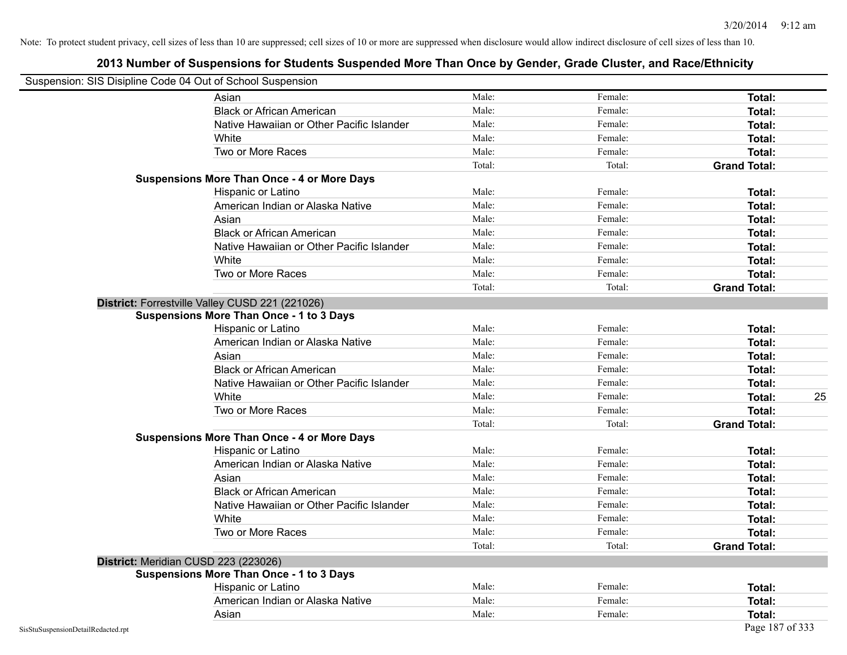| Suspension: SIS Disipline Code 04 Out of School Suspension |                                                    |        |         |                     |
|------------------------------------------------------------|----------------------------------------------------|--------|---------|---------------------|
|                                                            | Asian                                              | Male:  | Female: | Total:              |
|                                                            | <b>Black or African American</b>                   | Male:  | Female: | Total:              |
|                                                            | Native Hawaiian or Other Pacific Islander          | Male:  | Female: | Total:              |
|                                                            | White                                              | Male:  | Female: | Total:              |
|                                                            | Two or More Races                                  | Male:  | Female: | Total:              |
|                                                            |                                                    | Total: | Total:  | <b>Grand Total:</b> |
|                                                            | <b>Suspensions More Than Once - 4 or More Days</b> |        |         |                     |
|                                                            | Hispanic or Latino                                 | Male:  | Female: | Total:              |
|                                                            | American Indian or Alaska Native                   | Male:  | Female: | Total:              |
|                                                            | Asian                                              | Male:  | Female: | Total:              |
|                                                            | <b>Black or African American</b>                   | Male:  | Female: | <b>Total:</b>       |
|                                                            | Native Hawaiian or Other Pacific Islander          | Male:  | Female: | Total:              |
|                                                            | White                                              | Male:  | Female: | Total:              |
|                                                            | Two or More Races                                  | Male:  | Female: | Total:              |
|                                                            |                                                    | Total: | Total:  | <b>Grand Total:</b> |
|                                                            | District: Forrestville Valley CUSD 221 (221026)    |        |         |                     |
|                                                            | <b>Suspensions More Than Once - 1 to 3 Days</b>    |        |         |                     |
|                                                            | Hispanic or Latino                                 | Male:  | Female: | Total:              |
|                                                            | American Indian or Alaska Native                   | Male:  | Female: | Total:              |
|                                                            | Asian                                              | Male:  | Female: | Total:              |
|                                                            | <b>Black or African American</b>                   | Male:  | Female: | Total:              |
|                                                            | Native Hawaiian or Other Pacific Islander          | Male:  | Female: | Total:              |
|                                                            | White                                              | Male:  | Female: | 25<br><b>Total:</b> |
|                                                            | Two or More Races                                  | Male:  | Female: | <b>Total:</b>       |
|                                                            |                                                    | Total: | Total:  | <b>Grand Total:</b> |
|                                                            | <b>Suspensions More Than Once - 4 or More Days</b> |        |         |                     |
|                                                            | Hispanic or Latino                                 | Male:  | Female: | Total:              |
|                                                            | American Indian or Alaska Native                   | Male:  | Female: | <b>Total:</b>       |
|                                                            | Asian                                              | Male:  | Female: | Total:              |
|                                                            | <b>Black or African American</b>                   | Male:  | Female: | Total:              |
|                                                            | Native Hawaiian or Other Pacific Islander          | Male:  | Female: | Total:              |
|                                                            | White                                              | Male:  | Female: | Total:              |
|                                                            | Two or More Races                                  | Male:  | Female: | <b>Total:</b>       |
|                                                            |                                                    | Total: | Total:  | <b>Grand Total:</b> |
|                                                            | District: Meridian CUSD 223 (223026)               |        |         |                     |
|                                                            | <b>Suspensions More Than Once - 1 to 3 Days</b>    |        |         |                     |
|                                                            | Hispanic or Latino                                 | Male:  | Female: | Total:              |
|                                                            | American Indian or Alaska Native                   | Male:  | Female: | Total:              |
|                                                            | Asian                                              | Male:  | Female: | Total:              |
| SisStuSuspensionDetailRedacted.rpt                         |                                                    |        |         | Page 187 of 333     |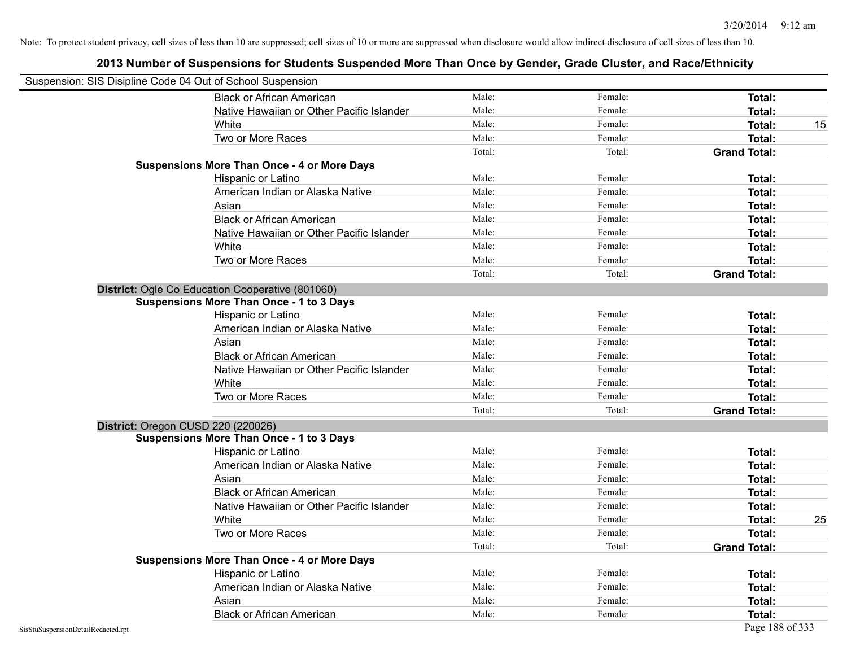| Suspension: SIS Disipline Code 04 Out of School Suspension |                                                    |        |         |                     |    |
|------------------------------------------------------------|----------------------------------------------------|--------|---------|---------------------|----|
|                                                            | <b>Black or African American</b>                   | Male:  | Female: | Total:              |    |
|                                                            | Native Hawaiian or Other Pacific Islander          | Male:  | Female: | Total:              |    |
|                                                            | White                                              | Male:  | Female: | <b>Total:</b>       | 15 |
|                                                            | Two or More Races                                  | Male:  | Female: | Total:              |    |
|                                                            |                                                    | Total: | Total:  | <b>Grand Total:</b> |    |
|                                                            | <b>Suspensions More Than Once - 4 or More Days</b> |        |         |                     |    |
|                                                            | Hispanic or Latino                                 | Male:  | Female: | Total:              |    |
|                                                            | American Indian or Alaska Native                   | Male:  | Female: | Total:              |    |
|                                                            | Asian                                              | Male:  | Female: | <b>Total:</b>       |    |
|                                                            | <b>Black or African American</b>                   | Male:  | Female: | Total:              |    |
|                                                            | Native Hawaiian or Other Pacific Islander          | Male:  | Female: | Total:              |    |
|                                                            | White                                              | Male:  | Female: | Total:              |    |
|                                                            | Two or More Races                                  | Male:  | Female: | Total:              |    |
|                                                            |                                                    | Total: | Total:  | <b>Grand Total:</b> |    |
|                                                            | District: Ogle Co Education Cooperative (801060)   |        |         |                     |    |
|                                                            | <b>Suspensions More Than Once - 1 to 3 Days</b>    |        |         |                     |    |
|                                                            | Hispanic or Latino                                 | Male:  | Female: | <b>Total:</b>       |    |
|                                                            | American Indian or Alaska Native                   | Male:  | Female: | <b>Total:</b>       |    |
|                                                            | Asian                                              | Male:  | Female: | Total:              |    |
|                                                            | <b>Black or African American</b>                   | Male:  | Female: | Total:              |    |
|                                                            | Native Hawaiian or Other Pacific Islander          | Male:  | Female: | Total:              |    |
|                                                            | White                                              | Male:  | Female: | Total:              |    |
|                                                            | Two or More Races                                  | Male:  | Female: | Total:              |    |
|                                                            |                                                    | Total: | Total:  | <b>Grand Total:</b> |    |
|                                                            | District: Oregon CUSD 220 (220026)                 |        |         |                     |    |
|                                                            | <b>Suspensions More Than Once - 1 to 3 Days</b>    |        |         |                     |    |
|                                                            | Hispanic or Latino                                 | Male:  | Female: | Total:              |    |
|                                                            | American Indian or Alaska Native                   | Male:  | Female: | Total:              |    |
|                                                            | Asian                                              | Male:  | Female: | Total:              |    |
|                                                            | <b>Black or African American</b>                   | Male:  | Female: | Total:              |    |
|                                                            | Native Hawaiian or Other Pacific Islander          | Male:  | Female: | Total:              |    |
|                                                            | White                                              | Male:  | Female: | <b>Total:</b>       | 25 |
|                                                            | Two or More Races                                  | Male:  | Female: | Total:              |    |
|                                                            |                                                    | Total: | Total:  | <b>Grand Total:</b> |    |
|                                                            | <b>Suspensions More Than Once - 4 or More Days</b> |        |         |                     |    |
|                                                            | Hispanic or Latino                                 | Male:  | Female: | Total:              |    |
|                                                            | American Indian or Alaska Native                   | Male:  | Female: | Total:              |    |
|                                                            | Asian                                              | Male:  | Female: | <b>Total:</b>       |    |
|                                                            | <b>Black or African American</b>                   | Male:  | Female: | Total:              |    |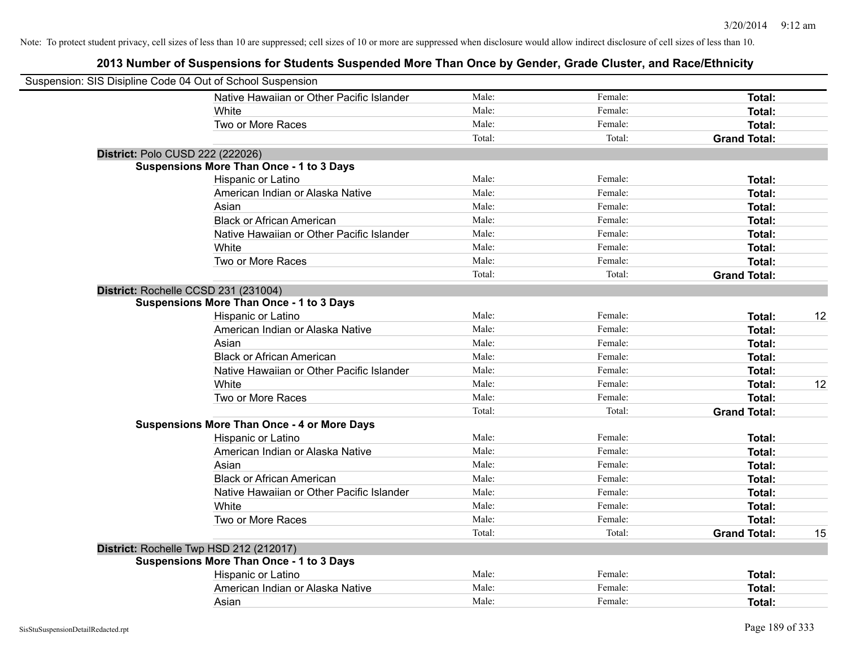| Suspension: SIS Disipline Code 04 Out of School Suspension |                                                    |        |         |                     |    |
|------------------------------------------------------------|----------------------------------------------------|--------|---------|---------------------|----|
|                                                            | Native Hawaiian or Other Pacific Islander          | Male:  | Female: | Total:              |    |
|                                                            | White                                              | Male:  | Female: | Total:              |    |
|                                                            | Two or More Races                                  | Male:  | Female: | Total:              |    |
|                                                            |                                                    | Total: | Total:  | <b>Grand Total:</b> |    |
| District: Polo CUSD 222 (222026)                           |                                                    |        |         |                     |    |
|                                                            | <b>Suspensions More Than Once - 1 to 3 Days</b>    |        |         |                     |    |
|                                                            | Hispanic or Latino                                 | Male:  | Female: | Total:              |    |
|                                                            | American Indian or Alaska Native                   | Male:  | Female: | Total:              |    |
|                                                            | Asian                                              | Male:  | Female: | Total:              |    |
|                                                            | <b>Black or African American</b>                   | Male:  | Female: | Total:              |    |
|                                                            | Native Hawaiian or Other Pacific Islander          | Male:  | Female: | Total:              |    |
|                                                            | White                                              | Male:  | Female: | Total:              |    |
|                                                            | Two or More Races                                  | Male:  | Female: | Total:              |    |
|                                                            |                                                    | Total: | Total:  | <b>Grand Total:</b> |    |
|                                                            | District: Rochelle CCSD 231 (231004)               |        |         |                     |    |
|                                                            | <b>Suspensions More Than Once - 1 to 3 Days</b>    |        |         |                     |    |
|                                                            | Hispanic or Latino                                 | Male:  | Female: | Total:              | 12 |
|                                                            | American Indian or Alaska Native                   | Male:  | Female: | Total:              |    |
|                                                            | Asian                                              | Male:  | Female: | Total:              |    |
|                                                            | <b>Black or African American</b>                   | Male:  | Female: | Total:              |    |
|                                                            | Native Hawaiian or Other Pacific Islander          | Male:  | Female: | Total:              |    |
|                                                            | White                                              | Male:  | Female: | Total:              | 12 |
|                                                            | Two or More Races                                  | Male:  | Female: | Total:              |    |
|                                                            |                                                    | Total: | Total:  | <b>Grand Total:</b> |    |
|                                                            | <b>Suspensions More Than Once - 4 or More Days</b> |        |         |                     |    |
|                                                            | Hispanic or Latino                                 | Male:  | Female: | Total:              |    |
|                                                            | American Indian or Alaska Native                   | Male:  | Female: | Total:              |    |
|                                                            | Asian                                              | Male:  | Female: | Total:              |    |
|                                                            | <b>Black or African American</b>                   | Male:  | Female: | Total:              |    |
|                                                            | Native Hawaiian or Other Pacific Islander          | Male:  | Female: | Total:              |    |
|                                                            | <b>White</b>                                       | Male:  | Female: | Total:              |    |
|                                                            | Two or More Races                                  | Male:  | Female: | Total:              |    |
|                                                            |                                                    | Total: | Total:  | <b>Grand Total:</b> | 15 |
|                                                            | District: Rochelle Twp HSD 212 (212017)            |        |         |                     |    |
|                                                            | <b>Suspensions More Than Once - 1 to 3 Days</b>    |        |         |                     |    |
|                                                            | Hispanic or Latino                                 | Male:  | Female: | Total:              |    |
|                                                            | American Indian or Alaska Native                   | Male:  | Female: | Total:              |    |
|                                                            | Asian                                              | Male:  | Female: | Total:              |    |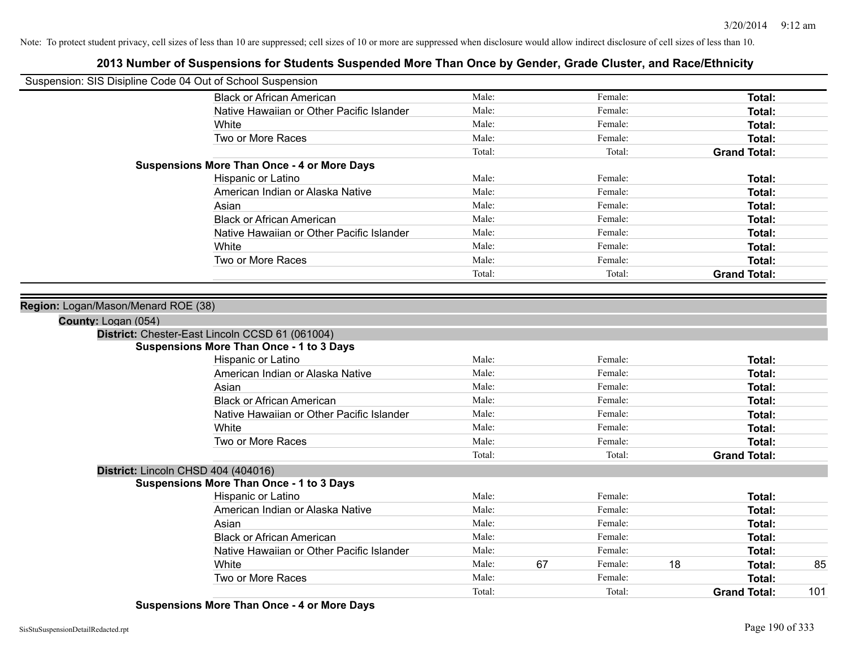### **2013 Number of Suspensions for Students Suspended More Than Once by Gender, Grade Cluster, and Race/Ethnicity**

| Suspension: SIS Disipline Code 04 Out of School Suspension |                                                    |        |    |         |    |                     |     |
|------------------------------------------------------------|----------------------------------------------------|--------|----|---------|----|---------------------|-----|
|                                                            | <b>Black or African American</b>                   | Male:  |    | Female: |    | Total:              |     |
|                                                            | Native Hawaiian or Other Pacific Islander          | Male:  |    | Female: |    | Total:              |     |
|                                                            | White                                              | Male:  |    | Female: |    | Total:              |     |
|                                                            | Two or More Races                                  | Male:  |    | Female: |    | Total:              |     |
|                                                            |                                                    | Total: |    | Total:  |    | <b>Grand Total:</b> |     |
|                                                            | <b>Suspensions More Than Once - 4 or More Days</b> |        |    |         |    |                     |     |
|                                                            | Hispanic or Latino                                 | Male:  |    | Female: |    | Total:              |     |
|                                                            | American Indian or Alaska Native                   | Male:  |    | Female: |    | Total:              |     |
|                                                            | Asian                                              | Male:  |    | Female: |    | Total:              |     |
|                                                            | <b>Black or African American</b>                   | Male:  |    | Female: |    | Total:              |     |
|                                                            | Native Hawaiian or Other Pacific Islander          | Male:  |    | Female: |    | Total:              |     |
|                                                            | White                                              | Male:  |    | Female: |    | Total:              |     |
|                                                            | Two or More Races                                  | Male:  |    | Female: |    | Total:              |     |
|                                                            |                                                    | Total: |    | Total:  |    | <b>Grand Total:</b> |     |
|                                                            |                                                    |        |    |         |    |                     |     |
| Region: Logan/Mason/Menard ROE (38)                        |                                                    |        |    |         |    |                     |     |
| County: Logan (054)                                        |                                                    |        |    |         |    |                     |     |
|                                                            | District: Chester-East Lincoln CCSD 61 (061004)    |        |    |         |    |                     |     |
|                                                            | <b>Suspensions More Than Once - 1 to 3 Days</b>    |        |    |         |    |                     |     |
|                                                            | Hispanic or Latino                                 | Male:  |    | Female: |    | Total:              |     |
|                                                            | American Indian or Alaska Native                   | Male:  |    | Female: |    | Total:              |     |
|                                                            | Asian                                              | Male:  |    | Female: |    | Total:              |     |
|                                                            | <b>Black or African American</b>                   | Male:  |    | Female: |    | Total:              |     |
|                                                            | Native Hawaiian or Other Pacific Islander          | Male:  |    | Female: |    | Total:              |     |
|                                                            | White                                              | Male:  |    | Female: |    | Total:              |     |
|                                                            | Two or More Races                                  | Male:  |    | Female: |    | Total:              |     |
|                                                            |                                                    | Total: |    | Total:  |    | <b>Grand Total:</b> |     |
| District: Lincoln CHSD 404 (404016)                        |                                                    |        |    |         |    |                     |     |
|                                                            | <b>Suspensions More Than Once - 1 to 3 Days</b>    |        |    |         |    |                     |     |
|                                                            | Hispanic or Latino                                 | Male:  |    | Female: |    | Total:              |     |
|                                                            | American Indian or Alaska Native                   | Male:  |    | Female: |    | Total:              |     |
|                                                            | Asian                                              | Male:  |    | Female: |    | Total:              |     |
|                                                            | <b>Black or African American</b>                   | Male:  |    | Female: |    | Total:              |     |
|                                                            | Native Hawaiian or Other Pacific Islander          | Male:  |    | Female: |    | Total:              |     |
|                                                            | White                                              | Male:  | 67 | Female: | 18 | Total:              | 85  |
|                                                            | Two or More Races                                  | Male:  |    | Female: |    | Total:              |     |
|                                                            |                                                    | Total: |    | Total:  |    | <b>Grand Total:</b> | 101 |

**Suspensions More Than Once - 4 or More Days**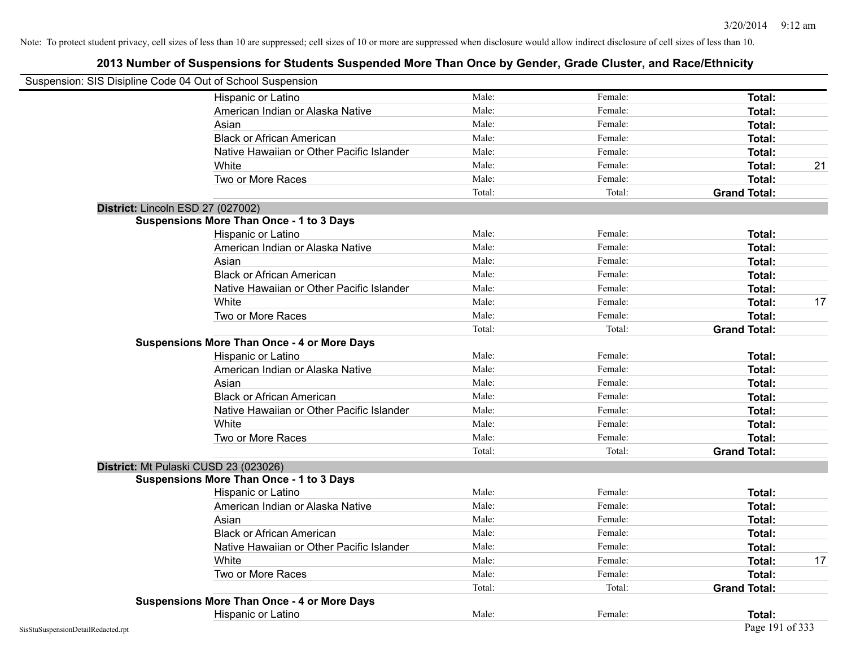| Suspension: SIS Disipline Code 04 Out of School Suspension |                                                    |        |         |                     |    |
|------------------------------------------------------------|----------------------------------------------------|--------|---------|---------------------|----|
|                                                            | Hispanic or Latino                                 | Male:  | Female: | Total:              |    |
|                                                            | American Indian or Alaska Native                   | Male:  | Female: | Total:              |    |
|                                                            | Asian                                              | Male:  | Female: | Total:              |    |
|                                                            | <b>Black or African American</b>                   | Male:  | Female: | Total:              |    |
|                                                            | Native Hawaiian or Other Pacific Islander          | Male:  | Female: | Total:              |    |
|                                                            | White                                              | Male:  | Female: | Total:              | 21 |
|                                                            | Two or More Races                                  | Male:  | Female: | <b>Total:</b>       |    |
|                                                            |                                                    | Total: | Total:  | <b>Grand Total:</b> |    |
| District: Lincoln ESD 27 (027002)                          |                                                    |        |         |                     |    |
|                                                            | <b>Suspensions More Than Once - 1 to 3 Days</b>    |        |         |                     |    |
|                                                            | Hispanic or Latino                                 | Male:  | Female: | Total:              |    |
|                                                            | American Indian or Alaska Native                   | Male:  | Female: | Total:              |    |
|                                                            | Asian                                              | Male:  | Female: | <b>Total:</b>       |    |
|                                                            | <b>Black or African American</b>                   | Male:  | Female: | Total:              |    |
|                                                            | Native Hawaiian or Other Pacific Islander          | Male:  | Female: | Total:              |    |
|                                                            | White                                              | Male:  | Female: | Total:              | 17 |
|                                                            | Two or More Races                                  | Male:  | Female: | Total:              |    |
|                                                            |                                                    | Total: | Total:  | <b>Grand Total:</b> |    |
|                                                            | <b>Suspensions More Than Once - 4 or More Days</b> |        |         |                     |    |
|                                                            | Hispanic or Latino                                 | Male:  | Female: | Total:              |    |
|                                                            | American Indian or Alaska Native                   | Male:  | Female: | Total:              |    |
|                                                            | Asian                                              | Male:  | Female: | Total:              |    |
|                                                            | <b>Black or African American</b>                   | Male:  | Female: | Total:              |    |
|                                                            | Native Hawaiian or Other Pacific Islander          | Male:  | Female: | Total:              |    |
|                                                            | White                                              | Male:  | Female: | Total:              |    |
|                                                            | Two or More Races                                  | Male:  | Female: | <b>Total:</b>       |    |
|                                                            |                                                    | Total: | Total:  | <b>Grand Total:</b> |    |
|                                                            | District: Mt Pulaski CUSD 23 (023026)              |        |         |                     |    |
|                                                            | <b>Suspensions More Than Once - 1 to 3 Days</b>    |        |         |                     |    |
|                                                            | Hispanic or Latino                                 | Male:  | Female: | Total:              |    |
|                                                            | American Indian or Alaska Native                   | Male:  | Female: | Total:              |    |
|                                                            | Asian                                              | Male:  | Female: | Total:              |    |
|                                                            | <b>Black or African American</b>                   | Male:  | Female: | Total:              |    |
|                                                            | Native Hawaiian or Other Pacific Islander          | Male:  | Female: | Total:              |    |
|                                                            | White                                              | Male:  | Female: | Total:              | 17 |
|                                                            | Two or More Races                                  | Male:  | Female: | <b>Total:</b>       |    |
|                                                            |                                                    | Total: | Total:  | <b>Grand Total:</b> |    |
|                                                            | <b>Suspensions More Than Once - 4 or More Days</b> |        |         |                     |    |
|                                                            | Hispanic or Latino                                 | Male:  | Female: | Total:              |    |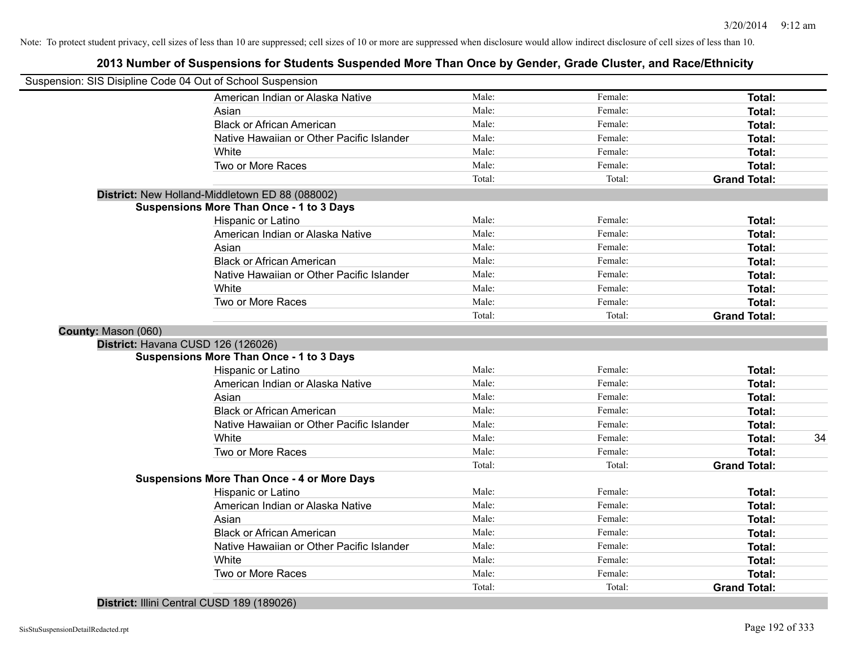### **2013 Number of Suspensions for Students Suspended More Than Once by Gender, Grade Cluster, and Race/Ethnicity**

|                     | Suspension: SIS Disipline Code 04 Out of School Suspension |        |         |                     |    |
|---------------------|------------------------------------------------------------|--------|---------|---------------------|----|
|                     | American Indian or Alaska Native                           | Male:  | Female: | Total:              |    |
|                     | Asian                                                      | Male:  | Female: | Total:              |    |
|                     | <b>Black or African American</b>                           | Male:  | Female: | Total:              |    |
|                     | Native Hawaiian or Other Pacific Islander                  | Male:  | Female: | Total:              |    |
|                     | White                                                      | Male:  | Female: | Total:              |    |
|                     | Two or More Races                                          | Male:  | Female: | Total:              |    |
|                     |                                                            | Total: | Total:  | <b>Grand Total:</b> |    |
|                     | District: New Holland-Middletown ED 88 (088002)            |        |         |                     |    |
|                     | <b>Suspensions More Than Once - 1 to 3 Days</b>            |        |         |                     |    |
|                     | Hispanic or Latino                                         | Male:  | Female: | Total:              |    |
|                     | American Indian or Alaska Native                           | Male:  | Female: | Total:              |    |
|                     | Asian                                                      | Male:  | Female: | Total:              |    |
|                     | <b>Black or African American</b>                           | Male:  | Female: | Total:              |    |
|                     | Native Hawaiian or Other Pacific Islander                  | Male:  | Female: | Total:              |    |
|                     | White                                                      | Male:  | Female: | Total:              |    |
|                     | Two or More Races                                          | Male:  | Female: | Total:              |    |
|                     |                                                            | Total: | Total:  | <b>Grand Total:</b> |    |
| County: Mason (060) |                                                            |        |         |                     |    |
|                     | District: Havana CUSD 126 (126026)                         |        |         |                     |    |
|                     | <b>Suspensions More Than Once - 1 to 3 Days</b>            |        |         |                     |    |
|                     | Hispanic or Latino                                         | Male:  | Female: | Total:              |    |
|                     | American Indian or Alaska Native                           | Male:  | Female: | Total:              |    |
|                     | Asian                                                      | Male:  | Female: | Total:              |    |
|                     | <b>Black or African American</b>                           | Male:  | Female: | <b>Total:</b>       |    |
|                     | Native Hawaiian or Other Pacific Islander                  | Male:  | Female: | Total:              |    |
|                     | White                                                      | Male:  | Female: | Total:              | 34 |
|                     | Two or More Races                                          | Male:  | Female: | Total:              |    |
|                     |                                                            | Total: | Total:  | <b>Grand Total:</b> |    |
|                     | <b>Suspensions More Than Once - 4 or More Days</b>         |        |         |                     |    |
|                     | Hispanic or Latino                                         | Male:  | Female: | Total:              |    |
|                     | American Indian or Alaska Native                           | Male:  | Female: | Total:              |    |
|                     | Asian                                                      | Male:  | Female: | Total:              |    |
|                     | <b>Black or African American</b>                           | Male:  | Female: | Total:              |    |
|                     | Native Hawaiian or Other Pacific Islander                  | Male:  | Female: | Total:              |    |
|                     | White                                                      | Male:  | Female: | Total:              |    |
|                     | Two or More Races                                          | Male:  | Female: | Total:              |    |
|                     |                                                            | Total: | Total:  | <b>Grand Total:</b> |    |
|                     |                                                            |        |         |                     |    |

**District:** Illini Central CUSD 189 (189026)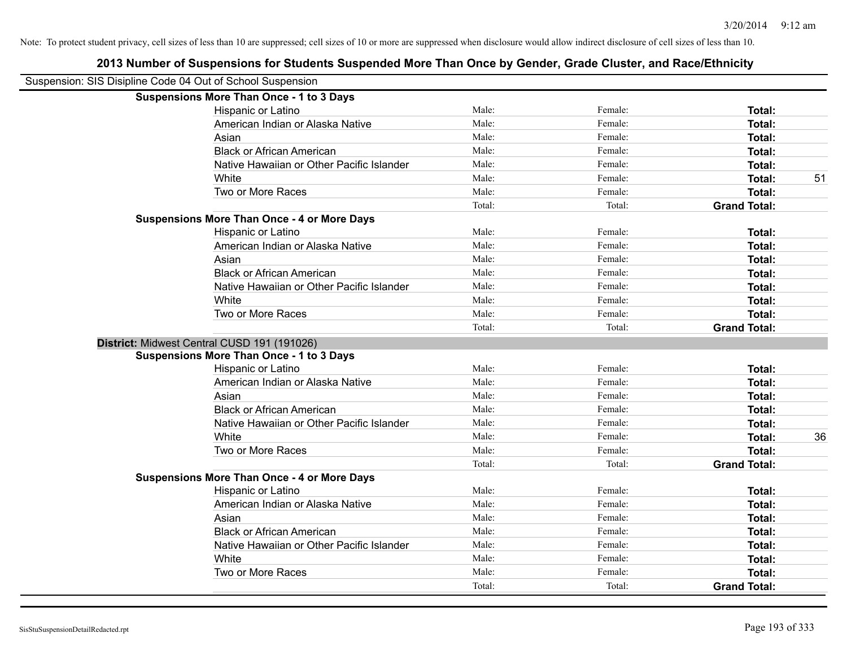| Suspension: SIS Disipline Code 04 Out of School Suspension |                                                    |        |         |                     |    |
|------------------------------------------------------------|----------------------------------------------------|--------|---------|---------------------|----|
|                                                            | <b>Suspensions More Than Once - 1 to 3 Days</b>    |        |         |                     |    |
|                                                            | Hispanic or Latino                                 | Male:  | Female: | Total:              |    |
|                                                            | American Indian or Alaska Native                   | Male:  | Female: | Total:              |    |
|                                                            | Asian                                              | Male:  | Female: | Total:              |    |
|                                                            | <b>Black or African American</b>                   | Male:  | Female: | Total:              |    |
|                                                            | Native Hawaiian or Other Pacific Islander          | Male:  | Female: | Total:              |    |
|                                                            | White                                              | Male:  | Female: | Total:              | 51 |
|                                                            | Two or More Races                                  | Male:  | Female: | Total:              |    |
|                                                            |                                                    | Total: | Total:  | <b>Grand Total:</b> |    |
|                                                            | <b>Suspensions More Than Once - 4 or More Days</b> |        |         |                     |    |
|                                                            | Hispanic or Latino                                 | Male:  | Female: | <b>Total:</b>       |    |
|                                                            | American Indian or Alaska Native                   | Male:  | Female: | <b>Total:</b>       |    |
|                                                            | Asian                                              | Male:  | Female: | <b>Total:</b>       |    |
|                                                            | <b>Black or African American</b>                   | Male:  | Female: | Total:              |    |
|                                                            | Native Hawaiian or Other Pacific Islander          | Male:  | Female: | Total:              |    |
|                                                            | White                                              | Male:  | Female: | Total:              |    |
|                                                            | Two or More Races                                  | Male:  | Female: | <b>Total:</b>       |    |
|                                                            |                                                    | Total: | Total:  | <b>Grand Total:</b> |    |
|                                                            | District: Midwest Central CUSD 191 (191026)        |        |         |                     |    |
|                                                            | <b>Suspensions More Than Once - 1 to 3 Days</b>    |        |         |                     |    |
|                                                            | Hispanic or Latino                                 | Male:  | Female: | Total:              |    |
|                                                            | American Indian or Alaska Native                   | Male:  | Female: | <b>Total:</b>       |    |
|                                                            | Asian                                              | Male:  | Female: | <b>Total:</b>       |    |
|                                                            | <b>Black or African American</b>                   | Male:  | Female: | <b>Total:</b>       |    |
|                                                            | Native Hawaiian or Other Pacific Islander          | Male:  | Female: | <b>Total:</b>       |    |
|                                                            | White                                              | Male:  | Female: | Total:              | 36 |
|                                                            | Two or More Races                                  | Male:  | Female: | <b>Total:</b>       |    |
|                                                            |                                                    | Total: | Total:  | <b>Grand Total:</b> |    |
|                                                            | <b>Suspensions More Than Once - 4 or More Days</b> |        |         |                     |    |
|                                                            | Hispanic or Latino                                 | Male:  | Female: | Total:              |    |
|                                                            | American Indian or Alaska Native                   | Male:  | Female: | Total:              |    |
|                                                            | Asian                                              | Male:  | Female: | Total:              |    |
|                                                            | <b>Black or African American</b>                   | Male:  | Female: | Total:              |    |
|                                                            | Native Hawaiian or Other Pacific Islander          | Male:  | Female: | Total:              |    |
|                                                            | White                                              | Male:  | Female: | <b>Total:</b>       |    |
|                                                            | Two or More Races                                  | Male:  | Female: | <b>Total:</b>       |    |
|                                                            |                                                    | Total: | Total:  | <b>Grand Total:</b> |    |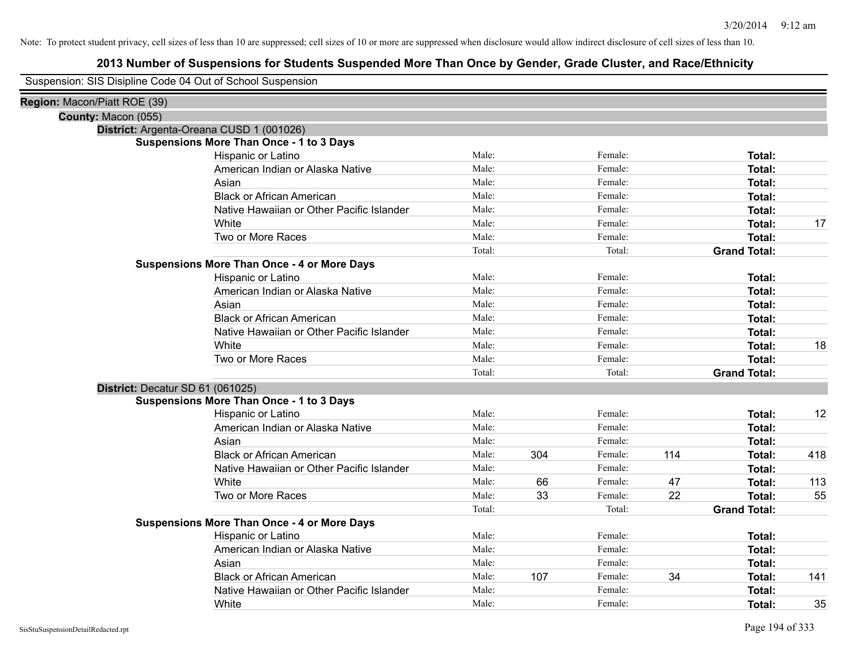### **2013 Number of Suspensions for Students Suspended More Than Once by Gender, Grade Cluster, and Race/Ethnicity**

Suspension: SIS Disipline Code 04 Out of School Suspension

| Region: Macon/Piatt ROE (39) |                                                    |        |     |         |     |                     |     |
|------------------------------|----------------------------------------------------|--------|-----|---------|-----|---------------------|-----|
| County: Macon (055)          |                                                    |        |     |         |     |                     |     |
|                              | District: Argenta-Oreana CUSD 1 (001026)           |        |     |         |     |                     |     |
|                              | <b>Suspensions More Than Once - 1 to 3 Days</b>    |        |     |         |     |                     |     |
|                              | Hispanic or Latino                                 | Male:  |     | Female: |     | Total:              |     |
|                              | American Indian or Alaska Native                   | Male:  |     | Female: |     | Total:              |     |
|                              | Asian                                              | Male:  |     | Female: |     | Total:              |     |
|                              | <b>Black or African American</b>                   | Male:  |     | Female: |     | Total:              |     |
|                              | Native Hawaiian or Other Pacific Islander          | Male:  |     | Female: |     | Total:              |     |
|                              | White                                              | Male:  |     | Female: |     | Total:              | 17  |
|                              | Two or More Races                                  | Male:  |     | Female: |     | <b>Total:</b>       |     |
|                              |                                                    | Total: |     | Total:  |     | <b>Grand Total:</b> |     |
|                              | <b>Suspensions More Than Once - 4 or More Days</b> |        |     |         |     |                     |     |
|                              | Hispanic or Latino                                 | Male:  |     | Female: |     | Total:              |     |
|                              | American Indian or Alaska Native                   | Male:  |     | Female: |     | Total:              |     |
|                              | Asian                                              | Male:  |     | Female: |     | <b>Total:</b>       |     |
|                              | <b>Black or African American</b>                   | Male:  |     | Female: |     | Total:              |     |
|                              | Native Hawaiian or Other Pacific Islander          | Male:  |     | Female: |     | Total:              |     |
|                              | White                                              | Male:  |     | Female: |     | <b>Total:</b>       | 18  |
|                              | Two or More Races                                  | Male:  |     | Female: |     | Total:              |     |
|                              |                                                    | Total: |     | Total:  |     | <b>Grand Total:</b> |     |
|                              | District: Decatur SD 61 (061025)                   |        |     |         |     |                     |     |
|                              | <b>Suspensions More Than Once - 1 to 3 Days</b>    |        |     |         |     |                     |     |
|                              | Hispanic or Latino                                 | Male:  |     | Female: |     | Total:              | 12  |
|                              | American Indian or Alaska Native                   | Male:  |     | Female: |     | Total:              |     |
|                              | Asian                                              | Male:  |     | Female: |     | Total:              |     |
|                              | <b>Black or African American</b>                   | Male:  | 304 | Female: | 114 | Total:              | 418 |
|                              | Native Hawaiian or Other Pacific Islander          | Male:  |     | Female: |     | Total:              |     |
|                              | White                                              | Male:  | 66  | Female: | 47  | Total:              | 113 |
|                              | Two or More Races                                  | Male:  | 33  | Female: | 22  | Total:              | 55  |
|                              |                                                    | Total: |     | Total:  |     | <b>Grand Total:</b> |     |
|                              | <b>Suspensions More Than Once - 4 or More Days</b> |        |     |         |     |                     |     |
|                              | Hispanic or Latino                                 | Male:  |     | Female: |     | Total:              |     |
|                              | American Indian or Alaska Native                   | Male:  |     | Female: |     | Total:              |     |
|                              | Asian                                              | Male:  |     | Female: |     | Total:              |     |
|                              | <b>Black or African American</b>                   | Male:  | 107 | Female: | 34  | Total:              | 141 |
|                              | Native Hawaiian or Other Pacific Islander          | Male:  |     | Female: |     | Total:              |     |
|                              | White                                              | Male:  |     | Female: |     | Total:              | 35  |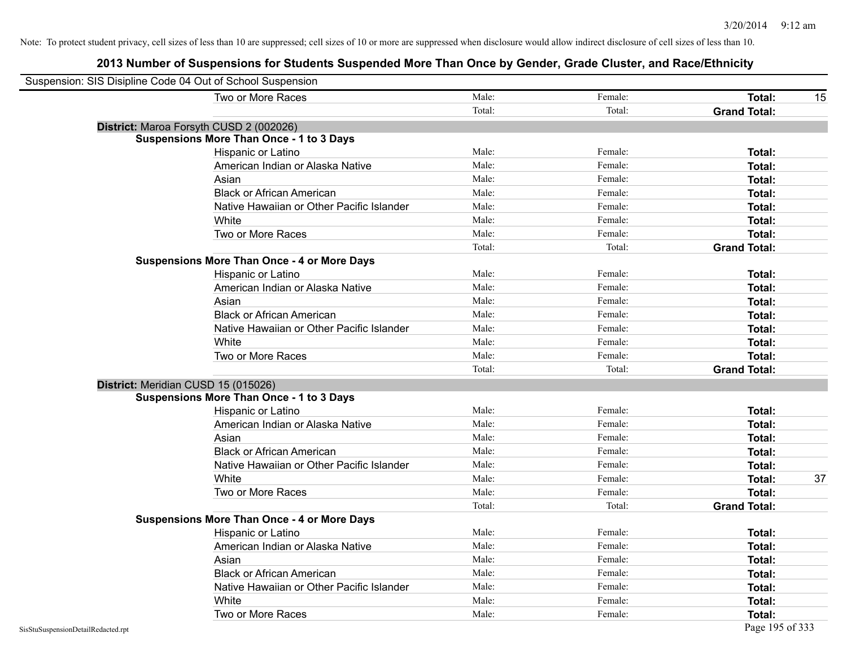| Suspension: SIS Disipline Code 04 Out of School Suspension |                                                    |        |         |                     |
|------------------------------------------------------------|----------------------------------------------------|--------|---------|---------------------|
|                                                            | Two or More Races                                  | Male:  | Female: | Total:<br>15        |
|                                                            |                                                    | Total: | Total:  | <b>Grand Total:</b> |
|                                                            | District: Maroa Forsyth CUSD 2 (002026)            |        |         |                     |
|                                                            | <b>Suspensions More Than Once - 1 to 3 Days</b>    |        |         |                     |
|                                                            | Hispanic or Latino                                 | Male:  | Female: | Total:              |
|                                                            | American Indian or Alaska Native                   | Male:  | Female: | <b>Total:</b>       |
|                                                            | Asian                                              | Male:  | Female: | Total:              |
|                                                            | <b>Black or African American</b>                   | Male:  | Female: | Total:              |
|                                                            | Native Hawaiian or Other Pacific Islander          | Male:  | Female: | Total:              |
|                                                            | White                                              | Male:  | Female: | Total:              |
|                                                            | Two or More Races                                  | Male:  | Female: | <b>Total:</b>       |
|                                                            |                                                    | Total: | Total:  | <b>Grand Total:</b> |
|                                                            | <b>Suspensions More Than Once - 4 or More Days</b> |        |         |                     |
|                                                            | Hispanic or Latino                                 | Male:  | Female: | Total:              |
|                                                            | American Indian or Alaska Native                   | Male:  | Female: | <b>Total:</b>       |
|                                                            | Asian                                              | Male:  | Female: | <b>Total:</b>       |
|                                                            | <b>Black or African American</b>                   | Male:  | Female: | Total:              |
|                                                            | Native Hawaiian or Other Pacific Islander          | Male:  | Female: | Total:              |
|                                                            | White                                              | Male:  | Female: | Total:              |
|                                                            | Two or More Races                                  | Male:  | Female: | <b>Total:</b>       |
|                                                            |                                                    | Total: | Total:  | <b>Grand Total:</b> |
|                                                            | District: Meridian CUSD 15 (015026)                |        |         |                     |
|                                                            | <b>Suspensions More Than Once - 1 to 3 Days</b>    |        |         |                     |
|                                                            | Hispanic or Latino                                 | Male:  | Female: | Total:              |
|                                                            | American Indian or Alaska Native                   | Male:  | Female: | Total:              |
|                                                            | Asian                                              | Male:  | Female: | <b>Total:</b>       |
|                                                            | <b>Black or African American</b>                   | Male:  | Female: | Total:              |
|                                                            | Native Hawaiian or Other Pacific Islander          | Male:  | Female: | <b>Total:</b>       |
|                                                            | White                                              | Male:  | Female: | 37<br><b>Total:</b> |
|                                                            | Two or More Races                                  | Male:  | Female: | Total:              |
|                                                            |                                                    | Total: | Total:  | <b>Grand Total:</b> |
|                                                            | <b>Suspensions More Than Once - 4 or More Days</b> |        |         |                     |
|                                                            | Hispanic or Latino                                 | Male:  | Female: | Total:              |
|                                                            | American Indian or Alaska Native                   | Male:  | Female: | <b>Total:</b>       |
|                                                            | Asian                                              | Male:  | Female: | <b>Total:</b>       |
|                                                            | <b>Black or African American</b>                   | Male:  | Female: | <b>Total:</b>       |
|                                                            | Native Hawaiian or Other Pacific Islander          | Male:  | Female: | <b>Total:</b>       |
|                                                            | White                                              | Male:  | Female: | <b>Total:</b>       |
|                                                            | Two or More Races                                  | Male:  | Female: | Total:              |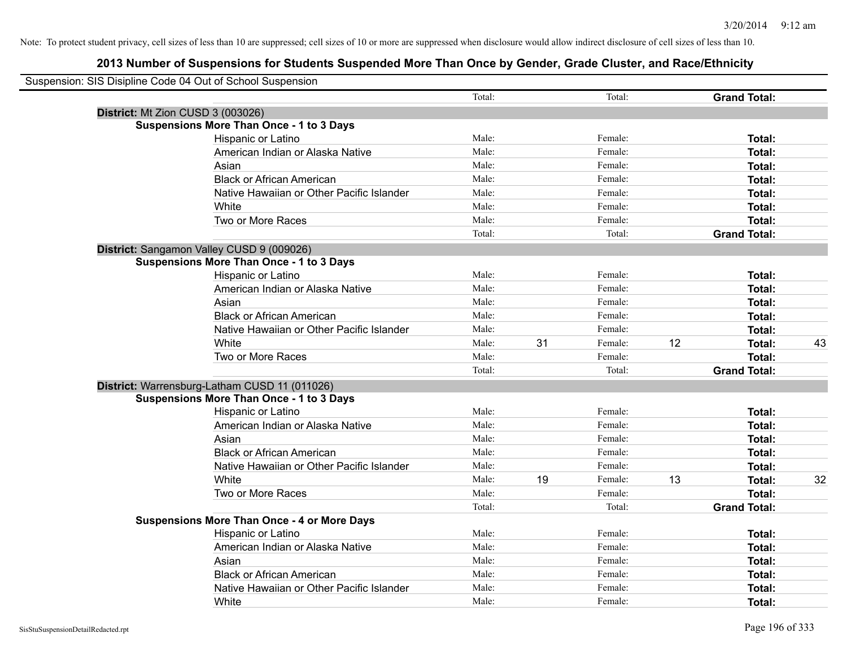| Suspension: SIS Disipline Code 04 Out of School Suspension |        |    |         |    |                     |    |
|------------------------------------------------------------|--------|----|---------|----|---------------------|----|
|                                                            | Total: |    | Total:  |    | <b>Grand Total:</b> |    |
| District: Mt Zion CUSD 3 (003026)                          |        |    |         |    |                     |    |
| <b>Suspensions More Than Once - 1 to 3 Days</b>            |        |    |         |    |                     |    |
| Hispanic or Latino                                         | Male:  |    | Female: |    | Total:              |    |
| American Indian or Alaska Native                           | Male:  |    | Female: |    | Total:              |    |
| Asian                                                      | Male:  |    | Female: |    | Total:              |    |
| <b>Black or African American</b>                           | Male:  |    | Female: |    | Total:              |    |
| Native Hawaiian or Other Pacific Islander                  | Male:  |    | Female: |    | Total:              |    |
| White                                                      | Male:  |    | Female: |    | <b>Total:</b>       |    |
| Two or More Races                                          | Male:  |    | Female: |    | Total:              |    |
|                                                            | Total: |    | Total:  |    | <b>Grand Total:</b> |    |
| District: Sangamon Valley CUSD 9 (009026)                  |        |    |         |    |                     |    |
| <b>Suspensions More Than Once - 1 to 3 Days</b>            |        |    |         |    |                     |    |
| Hispanic or Latino                                         | Male:  |    | Female: |    | <b>Total:</b>       |    |
| American Indian or Alaska Native                           | Male:  |    | Female: |    | Total:              |    |
| Asian                                                      | Male:  |    | Female: |    | Total:              |    |
| <b>Black or African American</b>                           | Male:  |    | Female: |    | Total:              |    |
| Native Hawaiian or Other Pacific Islander                  | Male:  |    | Female: |    | Total:              |    |
| White                                                      | Male:  | 31 | Female: | 12 | <b>Total:</b>       | 43 |
| Two or More Races                                          | Male:  |    | Female: |    | Total:              |    |
|                                                            | Total: |    | Total:  |    | <b>Grand Total:</b> |    |
| District: Warrensburg-Latham CUSD 11 (011026)              |        |    |         |    |                     |    |
| <b>Suspensions More Than Once - 1 to 3 Days</b>            |        |    |         |    |                     |    |
| Hispanic or Latino                                         | Male:  |    | Female: |    | <b>Total:</b>       |    |
| American Indian or Alaska Native                           | Male:  |    | Female: |    | Total:              |    |
| Asian                                                      | Male:  |    | Female: |    | Total:              |    |
| <b>Black or African American</b>                           | Male:  |    | Female: |    | Total:              |    |
| Native Hawaiian or Other Pacific Islander                  | Male:  |    | Female: |    | Total:              |    |
| White                                                      | Male:  | 19 | Female: | 13 | Total:              | 32 |
| Two or More Races                                          | Male:  |    | Female: |    | Total:              |    |
|                                                            | Total: |    | Total:  |    | <b>Grand Total:</b> |    |
| <b>Suspensions More Than Once - 4 or More Days</b>         |        |    |         |    |                     |    |
| <b>Hispanic or Latino</b>                                  | Male:  |    | Female: |    | Total:              |    |
| American Indian or Alaska Native                           | Male:  |    | Female: |    | Total:              |    |
| Asian                                                      | Male:  |    | Female: |    | Total:              |    |
| <b>Black or African American</b>                           | Male:  |    | Female: |    | <b>Total:</b>       |    |
| Native Hawaiian or Other Pacific Islander                  | Male:  |    | Female: |    | Total:              |    |
| White                                                      | Male:  |    | Female: |    | Total:              |    |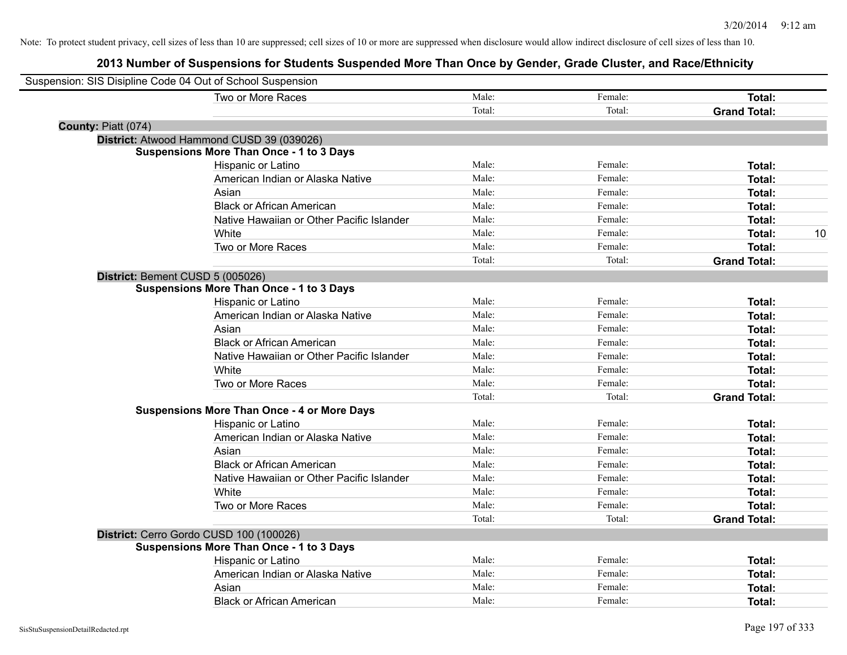| Suspension: SIS Disipline Code 04 Out of School Suspension |                                                    |        |         |                     |
|------------------------------------------------------------|----------------------------------------------------|--------|---------|---------------------|
|                                                            | Two or More Races                                  | Male:  | Female: | Total:              |
|                                                            |                                                    | Total: | Total:  | <b>Grand Total:</b> |
| County: Piatt (074)                                        |                                                    |        |         |                     |
|                                                            | District: Atwood Hammond CUSD 39 (039026)          |        |         |                     |
|                                                            | <b>Suspensions More Than Once - 1 to 3 Days</b>    |        |         |                     |
|                                                            | Hispanic or Latino                                 | Male:  | Female: | Total:              |
|                                                            | American Indian or Alaska Native                   | Male:  | Female: | Total:              |
|                                                            | Asian                                              | Male:  | Female: | Total:              |
|                                                            | <b>Black or African American</b>                   | Male:  | Female: | Total:              |
|                                                            | Native Hawaiian or Other Pacific Islander          | Male:  | Female: | Total:              |
|                                                            | White                                              | Male:  | Female: | 10<br>Total:        |
|                                                            | Two or More Races                                  | Male:  | Female: | <b>Total:</b>       |
|                                                            |                                                    | Total: | Total:  | <b>Grand Total:</b> |
| District: Bement CUSD 5 (005026)                           |                                                    |        |         |                     |
|                                                            | <b>Suspensions More Than Once - 1 to 3 Days</b>    |        |         |                     |
|                                                            | Hispanic or Latino                                 | Male:  | Female: | Total:              |
|                                                            | American Indian or Alaska Native                   | Male:  | Female: | Total:              |
|                                                            | Asian                                              | Male:  | Female: | Total:              |
|                                                            | <b>Black or African American</b>                   | Male:  | Female: | Total:              |
|                                                            | Native Hawaiian or Other Pacific Islander          | Male:  | Female: | Total:              |
|                                                            | White                                              | Male:  | Female: | Total:              |
|                                                            | Two or More Races                                  | Male:  | Female: | Total:              |
|                                                            |                                                    | Total: | Total:  | <b>Grand Total:</b> |
|                                                            | <b>Suspensions More Than Once - 4 or More Days</b> |        |         |                     |
|                                                            | Hispanic or Latino                                 | Male:  | Female: | Total:              |
|                                                            | American Indian or Alaska Native                   | Male:  | Female: | Total:              |
|                                                            | Asian                                              | Male:  | Female: | Total:              |
|                                                            | <b>Black or African American</b>                   | Male:  | Female: | Total:              |
|                                                            | Native Hawaiian or Other Pacific Islander          | Male:  | Female: | Total:              |
|                                                            | White                                              | Male:  | Female: | Total:              |
|                                                            | Two or More Races                                  | Male:  | Female: | Total:              |
|                                                            |                                                    | Total: | Total:  | <b>Grand Total:</b> |
|                                                            | District: Cerro Gordo CUSD 100 (100026)            |        |         |                     |
|                                                            | <b>Suspensions More Than Once - 1 to 3 Days</b>    |        |         |                     |
|                                                            | Hispanic or Latino                                 | Male:  | Female: | Total:              |
|                                                            | American Indian or Alaska Native                   | Male:  | Female: | Total:              |
|                                                            | Asian                                              | Male:  | Female: | Total:              |
|                                                            | <b>Black or African American</b>                   | Male:  | Female: | Total:              |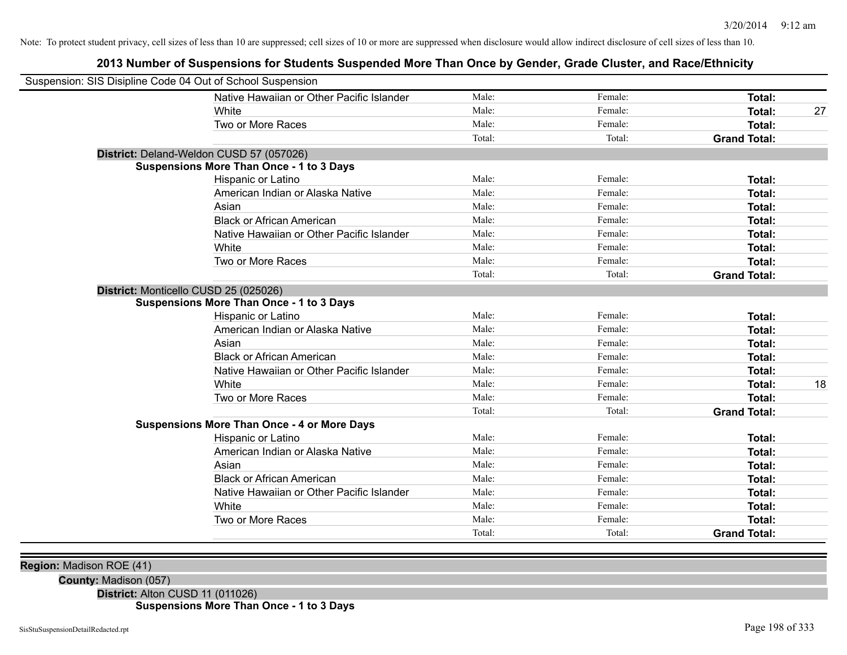### **2013 Number of Suspensions for Students Suspended More Than Once by Gender, Grade Cluster, and Race/Ethnicity**

| Suspension: SIS Disipline Code 04 Out of School Suspension |                                                    |        |         |                     |    |
|------------------------------------------------------------|----------------------------------------------------|--------|---------|---------------------|----|
|                                                            | Native Hawaiian or Other Pacific Islander          | Male:  | Female: | Total:              |    |
|                                                            | White                                              | Male:  | Female: | Total:              | 27 |
|                                                            | Two or More Races                                  | Male:  | Female: | Total:              |    |
|                                                            |                                                    | Total: | Total:  | <b>Grand Total:</b> |    |
|                                                            | District: Deland-Weldon CUSD 57 (057026)           |        |         |                     |    |
|                                                            | <b>Suspensions More Than Once - 1 to 3 Days</b>    |        |         |                     |    |
|                                                            | Hispanic or Latino                                 | Male:  | Female: | Total:              |    |
|                                                            | American Indian or Alaska Native                   | Male:  | Female: | Total:              |    |
|                                                            | Asian                                              | Male:  | Female: | Total:              |    |
|                                                            | <b>Black or African American</b>                   | Male:  | Female: | Total:              |    |
|                                                            | Native Hawaiian or Other Pacific Islander          | Male:  | Female: | Total:              |    |
|                                                            | White                                              | Male:  | Female: | <b>Total:</b>       |    |
|                                                            | Two or More Races                                  | Male:  | Female: | Total:              |    |
|                                                            |                                                    | Total: | Total:  | <b>Grand Total:</b> |    |
| District: Monticello CUSD 25 (025026)                      |                                                    |        |         |                     |    |
|                                                            | <b>Suspensions More Than Once - 1 to 3 Days</b>    |        |         |                     |    |
|                                                            | Hispanic or Latino                                 | Male:  | Female: | Total:              |    |
|                                                            | American Indian or Alaska Native                   | Male:  | Female: | Total:              |    |
|                                                            | Asian                                              | Male:  | Female: | <b>Total:</b>       |    |
|                                                            | <b>Black or African American</b>                   | Male:  | Female: | <b>Total:</b>       |    |
|                                                            | Native Hawaiian or Other Pacific Islander          | Male:  | Female: | Total:              |    |
|                                                            | White                                              | Male:  | Female: | <b>Total:</b>       | 18 |
|                                                            | Two or More Races                                  | Male:  | Female: | <b>Total:</b>       |    |
|                                                            |                                                    | Total: | Total:  | <b>Grand Total:</b> |    |
|                                                            | <b>Suspensions More Than Once - 4 or More Days</b> |        |         |                     |    |
|                                                            | Hispanic or Latino                                 | Male:  | Female: | Total:              |    |
|                                                            | American Indian or Alaska Native                   | Male:  | Female: | Total:              |    |
|                                                            | Asian                                              | Male:  | Female: | <b>Total:</b>       |    |
|                                                            | <b>Black or African American</b>                   | Male:  | Female: | Total:              |    |
|                                                            | Native Hawaiian or Other Pacific Islander          | Male:  | Female: | Total:              |    |
|                                                            | White                                              | Male:  | Female: | <b>Total:</b>       |    |
|                                                            | Two or More Races                                  | Male:  | Female: | Total:              |    |
|                                                            |                                                    | Total: | Total:  | <b>Grand Total:</b> |    |
|                                                            |                                                    |        |         |                     |    |

**Region:** Madison ROE (41)

**County:** Madison (057)

**District:** Alton CUSD 11 (011026) **Suspensions More Than Once - 1 to 3 Days**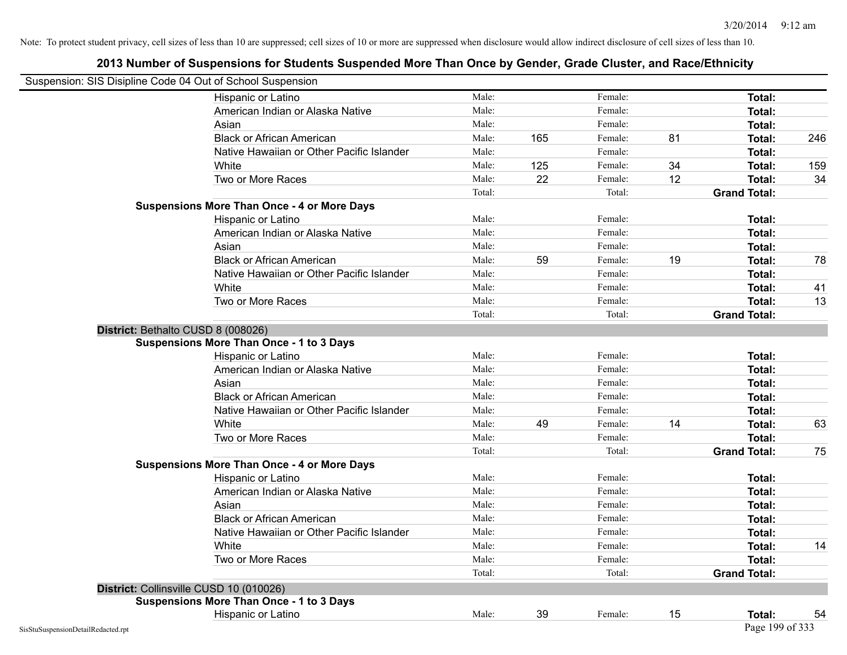| Suspension: SIS Disipline Code 04 Out of School Suspension |                                                    |        |     |         |    |                     |     |
|------------------------------------------------------------|----------------------------------------------------|--------|-----|---------|----|---------------------|-----|
|                                                            | Hispanic or Latino                                 | Male:  |     | Female: |    | Total:              |     |
|                                                            | American Indian or Alaska Native                   | Male:  |     | Female: |    | Total:              |     |
|                                                            | Asian                                              | Male:  |     | Female: |    | Total:              |     |
|                                                            | <b>Black or African American</b>                   | Male:  | 165 | Female: | 81 | Total:              | 246 |
|                                                            | Native Hawaiian or Other Pacific Islander          | Male:  |     | Female: |    | Total:              |     |
|                                                            | White                                              | Male:  | 125 | Female: | 34 | Total:              | 159 |
|                                                            | Two or More Races                                  | Male:  | 22  | Female: | 12 | <b>Total:</b>       | 34  |
|                                                            |                                                    | Total: |     | Total:  |    | <b>Grand Total:</b> |     |
|                                                            | <b>Suspensions More Than Once - 4 or More Days</b> |        |     |         |    |                     |     |
|                                                            | Hispanic or Latino                                 | Male:  |     | Female: |    | Total:              |     |
|                                                            | American Indian or Alaska Native                   | Male:  |     | Female: |    | Total:              |     |
|                                                            | Asian                                              | Male:  |     | Female: |    | Total:              |     |
|                                                            | <b>Black or African American</b>                   | Male:  | 59  | Female: | 19 | Total:              | 78  |
|                                                            | Native Hawaiian or Other Pacific Islander          | Male:  |     | Female: |    | Total:              |     |
|                                                            | White                                              | Male:  |     | Female: |    | Total:              | 41  |
|                                                            | Two or More Races                                  | Male:  |     | Female: |    | Total:              | 13  |
|                                                            |                                                    | Total: |     | Total:  |    | <b>Grand Total:</b> |     |
|                                                            | District: Bethalto CUSD 8 (008026)                 |        |     |         |    |                     |     |
|                                                            | <b>Suspensions More Than Once - 1 to 3 Days</b>    |        |     |         |    |                     |     |
|                                                            | Hispanic or Latino                                 | Male:  |     | Female: |    | <b>Total:</b>       |     |
|                                                            | American Indian or Alaska Native                   | Male:  |     | Female: |    | Total:              |     |
|                                                            | Asian                                              | Male:  |     | Female: |    | Total:              |     |
|                                                            | <b>Black or African American</b>                   | Male:  |     | Female: |    | Total:              |     |
|                                                            | Native Hawaiian or Other Pacific Islander          | Male:  |     | Female: |    | Total:              |     |
|                                                            | White                                              | Male:  | 49  | Female: | 14 | Total:              | 63  |
|                                                            | Two or More Races                                  | Male:  |     | Female: |    | <b>Total:</b>       |     |
|                                                            |                                                    | Total: |     | Total:  |    | <b>Grand Total:</b> | 75  |
|                                                            | <b>Suspensions More Than Once - 4 or More Days</b> |        |     |         |    |                     |     |
|                                                            | Hispanic or Latino                                 | Male:  |     | Female: |    | Total:              |     |
|                                                            | American Indian or Alaska Native                   | Male:  |     | Female: |    | Total:              |     |
|                                                            | Asian                                              | Male:  |     | Female: |    | Total:              |     |
|                                                            | <b>Black or African American</b>                   | Male:  |     | Female: |    | Total:              |     |
|                                                            | Native Hawaiian or Other Pacific Islander          | Male:  |     | Female: |    | Total:              |     |
|                                                            | White                                              | Male:  |     | Female: |    | Total:              | 14  |
|                                                            | Two or More Races                                  | Male:  |     | Female: |    | Total:              |     |
|                                                            |                                                    | Total: |     | Total:  |    | <b>Grand Total:</b> |     |
|                                                            | District: Collinsville CUSD 10 (010026)            |        |     |         |    |                     |     |
|                                                            | <b>Suspensions More Than Once - 1 to 3 Days</b>    |        |     |         |    |                     |     |
|                                                            | Hispanic or Latino                                 | Male:  | 39  | Female: | 15 | Total:              | 54  |
| SisStuSuspensionDetailRedacted.rpt                         |                                                    |        |     |         |    | Page 199 of 333     |     |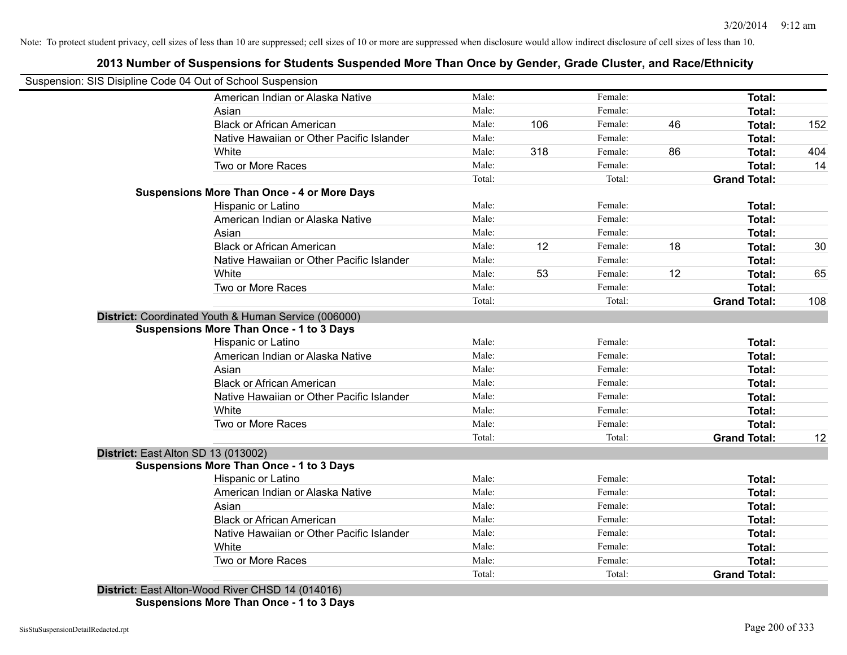### **2013 Number of Suspensions for Students Suspended More Than Once by Gender, Grade Cluster, and Race/Ethnicity**

|                                     | American Indian or Alaska Native                                                                        | Male:  |     |         |    |                     |     |
|-------------------------------------|---------------------------------------------------------------------------------------------------------|--------|-----|---------|----|---------------------|-----|
|                                     |                                                                                                         |        |     | Female: |    | Total:              |     |
|                                     | Asian                                                                                                   | Male:  |     | Female: |    | Total:              |     |
|                                     | <b>Black or African American</b>                                                                        | Male:  | 106 | Female: | 46 | Total:              | 152 |
|                                     | Native Hawaiian or Other Pacific Islander                                                               | Male:  |     | Female: |    | Total:              |     |
|                                     | White                                                                                                   | Male:  | 318 | Female: | 86 | Total:              | 404 |
|                                     | Two or More Races                                                                                       | Male:  |     | Female: |    | Total:              | 14  |
|                                     |                                                                                                         | Total: |     | Total:  |    | <b>Grand Total:</b> |     |
|                                     | <b>Suspensions More Than Once - 4 or More Days</b>                                                      |        |     |         |    |                     |     |
|                                     | Hispanic or Latino                                                                                      | Male:  |     | Female: |    | Total:              |     |
|                                     | American Indian or Alaska Native                                                                        | Male:  |     | Female: |    | Total:              |     |
|                                     | Asian                                                                                                   | Male:  |     | Female: |    | Total:              |     |
|                                     | <b>Black or African American</b>                                                                        | Male:  | 12  | Female: | 18 | Total:              | 30  |
|                                     | Native Hawaiian or Other Pacific Islander                                                               | Male:  |     | Female: |    | Total:              |     |
|                                     | White                                                                                                   | Male:  | 53  | Female: | 12 | Total:              | 65  |
|                                     | Two or More Races                                                                                       | Male:  |     | Female: |    | Total:              |     |
|                                     |                                                                                                         | Total: |     | Total:  |    | <b>Grand Total:</b> | 108 |
|                                     | District: Coordinated Youth & Human Service (006000)<br><b>Suspensions More Than Once - 1 to 3 Days</b> |        |     |         |    |                     |     |
|                                     | Hispanic or Latino                                                                                      | Male:  |     | Female: |    | Total:              |     |
|                                     | American Indian or Alaska Native                                                                        | Male:  |     | Female: |    | Total:              |     |
|                                     | Asian                                                                                                   | Male:  |     | Female: |    | Total:              |     |
|                                     | <b>Black or African American</b>                                                                        | Male:  |     | Female: |    | Total:              |     |
|                                     | Native Hawaiian or Other Pacific Islander                                                               | Male:  |     | Female: |    | Total:              |     |
|                                     | White                                                                                                   | Male:  |     | Female: |    | Total:              |     |
|                                     | Two or More Races                                                                                       | Male:  |     | Female: |    | Total:              |     |
|                                     |                                                                                                         | Total: |     | Total:  |    | <b>Grand Total:</b> | 12  |
| District: East Alton SD 13 (013002) |                                                                                                         |        |     |         |    |                     |     |
|                                     | <b>Suspensions More Than Once - 1 to 3 Days</b>                                                         |        |     |         |    |                     |     |
|                                     | Hispanic or Latino                                                                                      | Male:  |     | Female: |    | Total:              |     |
|                                     | American Indian or Alaska Native                                                                        | Male:  |     | Female: |    | Total:              |     |
|                                     | Asian                                                                                                   | Male:  |     | Female: |    | Total:              |     |
|                                     | <b>Black or African American</b>                                                                        | Male:  |     | Female: |    | Total:              |     |
|                                     | Native Hawaiian or Other Pacific Islander                                                               | Male:  |     | Female: |    | Total:              |     |
|                                     | White                                                                                                   | Male:  |     | Female: |    | Total:              |     |
|                                     | Two or More Races                                                                                       | Male:  |     | Female: |    | Total:              |     |
|                                     | District: East Alton-Wood River CHSD 14 (014016)                                                        | Total: |     | Total:  |    | <b>Grand Total:</b> |     |

**Suspensions More Than Once - 1 to 3 Days**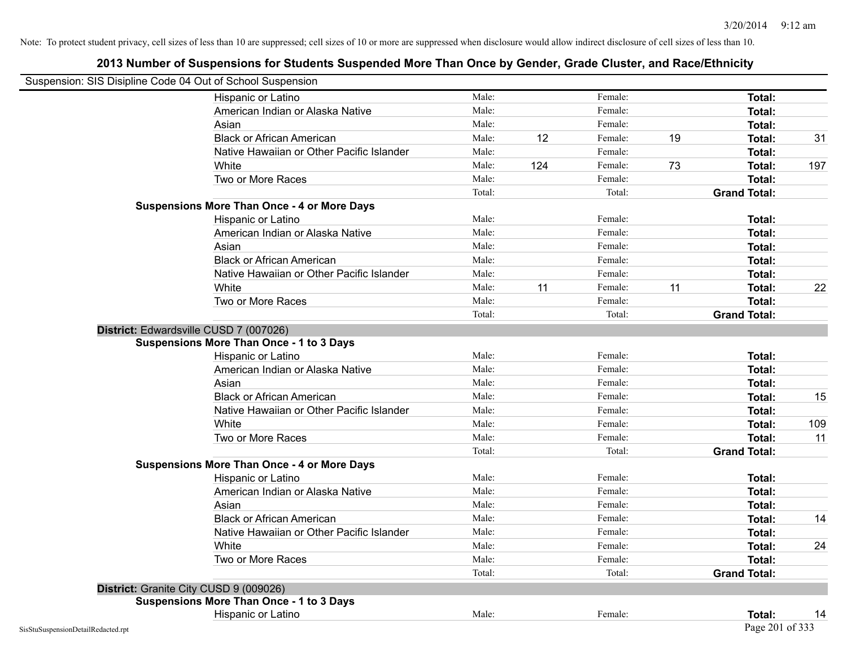| Suspension: SIS Disipline Code 04 Out of School Suspension |                                                    |        |     |         |    |                     |     |
|------------------------------------------------------------|----------------------------------------------------|--------|-----|---------|----|---------------------|-----|
|                                                            | Hispanic or Latino                                 | Male:  |     | Female: |    | Total:              |     |
|                                                            | American Indian or Alaska Native                   | Male:  |     | Female: |    | Total:              |     |
|                                                            | Asian                                              | Male:  |     | Female: |    | Total:              |     |
|                                                            | <b>Black or African American</b>                   | Male:  | 12  | Female: | 19 | Total:              | 31  |
|                                                            | Native Hawaiian or Other Pacific Islander          | Male:  |     | Female: |    | Total:              |     |
|                                                            | White                                              | Male:  | 124 | Female: | 73 | Total:              | 197 |
|                                                            | Two or More Races                                  | Male:  |     | Female: |    | <b>Total:</b>       |     |
|                                                            |                                                    | Total: |     | Total:  |    | <b>Grand Total:</b> |     |
|                                                            | <b>Suspensions More Than Once - 4 or More Days</b> |        |     |         |    |                     |     |
|                                                            | Hispanic or Latino                                 | Male:  |     | Female: |    | Total:              |     |
|                                                            | American Indian or Alaska Native                   | Male:  |     | Female: |    | Total:              |     |
|                                                            | Asian                                              | Male:  |     | Female: |    | Total:              |     |
|                                                            | <b>Black or African American</b>                   | Male:  |     | Female: |    | Total:              |     |
|                                                            | Native Hawaiian or Other Pacific Islander          | Male:  |     | Female: |    | <b>Total:</b>       |     |
|                                                            | White                                              | Male:  | 11  | Female: | 11 | Total:              | 22  |
|                                                            | Two or More Races                                  | Male:  |     | Female: |    | <b>Total:</b>       |     |
|                                                            |                                                    | Total: |     | Total:  |    | <b>Grand Total:</b> |     |
|                                                            | District: Edwardsville CUSD 7 (007026)             |        |     |         |    |                     |     |
|                                                            | <b>Suspensions More Than Once - 1 to 3 Days</b>    |        |     |         |    |                     |     |
|                                                            | Hispanic or Latino                                 | Male:  |     | Female: |    | Total:              |     |
|                                                            | American Indian or Alaska Native                   | Male:  |     | Female: |    | <b>Total:</b>       |     |
|                                                            | Asian                                              | Male:  |     | Female: |    | Total:              |     |
|                                                            | <b>Black or African American</b>                   | Male:  |     | Female: |    | Total:              | 15  |
|                                                            | Native Hawaiian or Other Pacific Islander          | Male:  |     | Female: |    | Total:              |     |
|                                                            | White                                              | Male:  |     | Female: |    | Total:              | 109 |
|                                                            | Two or More Races                                  | Male:  |     | Female: |    | Total:              | 11  |
|                                                            |                                                    | Total: |     | Total:  |    | <b>Grand Total:</b> |     |
|                                                            | <b>Suspensions More Than Once - 4 or More Days</b> |        |     |         |    |                     |     |
|                                                            | Hispanic or Latino                                 | Male:  |     | Female: |    | Total:              |     |
|                                                            | American Indian or Alaska Native                   | Male:  |     | Female: |    | Total:              |     |
|                                                            | Asian                                              | Male:  |     | Female: |    | Total:              |     |
|                                                            | <b>Black or African American</b>                   | Male:  |     | Female: |    | Total:              | 14  |
|                                                            | Native Hawaiian or Other Pacific Islander          | Male:  |     | Female: |    | Total:              |     |
|                                                            | White                                              | Male:  |     | Female: |    | Total:              | 24  |
|                                                            | Two or More Races                                  | Male:  |     | Female: |    | Total:              |     |
|                                                            |                                                    | Total: |     | Total:  |    | <b>Grand Total:</b> |     |
|                                                            | District: Granite City CUSD 9 (009026)             |        |     |         |    |                     |     |
|                                                            | <b>Suspensions More Than Once - 1 to 3 Days</b>    |        |     |         |    |                     |     |
|                                                            | Hispanic or Latino                                 | Male:  |     | Female: |    | Total:              | 14  |
| SisStuSuspensionDetailRedacted.rpt                         |                                                    |        |     |         |    | Page 201 of 333     |     |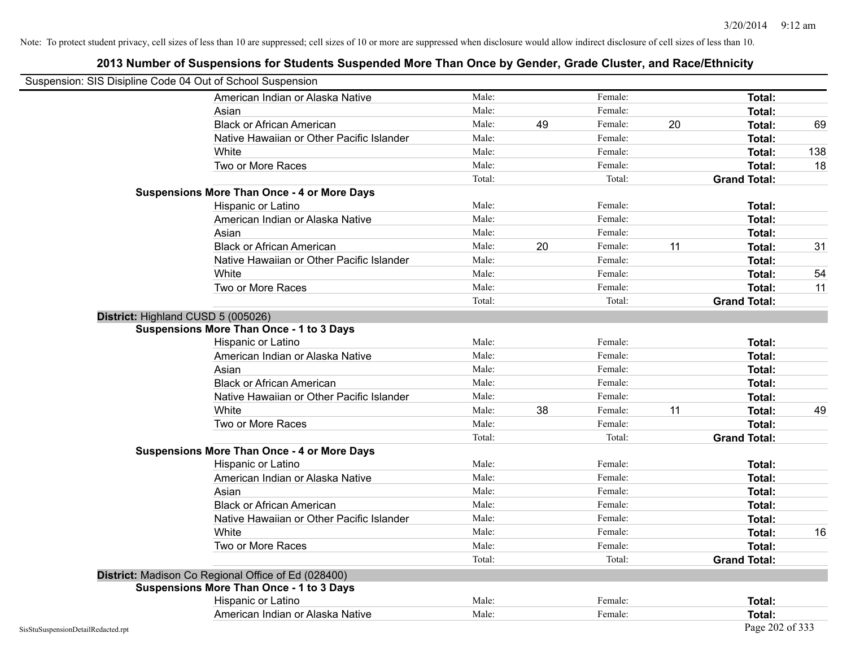| Suspension: SIS Disipline Code 04 Out of School Suspension |                                                     |        |    |         |    |                     |     |
|------------------------------------------------------------|-----------------------------------------------------|--------|----|---------|----|---------------------|-----|
|                                                            | American Indian or Alaska Native                    | Male:  |    | Female: |    | <b>Total:</b>       |     |
|                                                            | Asian                                               | Male:  |    | Female: |    | <b>Total:</b>       |     |
|                                                            | <b>Black or African American</b>                    | Male:  | 49 | Female: | 20 | Total:              | 69  |
|                                                            | Native Hawaiian or Other Pacific Islander           | Male:  |    | Female: |    | Total:              |     |
|                                                            | White                                               | Male:  |    | Female: |    | Total:              | 138 |
|                                                            | Two or More Races                                   | Male:  |    | Female: |    | <b>Total:</b>       | 18  |
|                                                            |                                                     | Total: |    | Total:  |    | <b>Grand Total:</b> |     |
|                                                            | <b>Suspensions More Than Once - 4 or More Days</b>  |        |    |         |    |                     |     |
|                                                            | Hispanic or Latino                                  | Male:  |    | Female: |    | Total:              |     |
|                                                            | American Indian or Alaska Native                    | Male:  |    | Female: |    | Total:              |     |
|                                                            | Asian                                               | Male:  |    | Female: |    | <b>Total:</b>       |     |
|                                                            | <b>Black or African American</b>                    | Male:  | 20 | Female: | 11 | Total:              | 31  |
|                                                            | Native Hawaiian or Other Pacific Islander           | Male:  |    | Female: |    | Total:              |     |
|                                                            | White                                               | Male:  |    | Female: |    | Total:              | 54  |
|                                                            | Two or More Races                                   | Male:  |    | Female: |    | Total:              | 11  |
|                                                            |                                                     | Total: |    | Total:  |    | <b>Grand Total:</b> |     |
|                                                            | District: Highland CUSD 5 (005026)                  |        |    |         |    |                     |     |
|                                                            | Suspensions More Than Once - 1 to 3 Days            |        |    |         |    |                     |     |
|                                                            | Hispanic or Latino                                  | Male:  |    | Female: |    | <b>Total:</b>       |     |
|                                                            | American Indian or Alaska Native                    | Male:  |    | Female: |    | Total:              |     |
|                                                            | Asian                                               | Male:  |    | Female: |    | Total:              |     |
|                                                            | <b>Black or African American</b>                    | Male:  |    | Female: |    | Total:              |     |
|                                                            | Native Hawaiian or Other Pacific Islander           | Male:  |    | Female: |    | Total:              |     |
|                                                            | White                                               | Male:  | 38 | Female: | 11 | Total:              | 49  |
|                                                            | Two or More Races                                   | Male:  |    | Female: |    | <b>Total:</b>       |     |
|                                                            |                                                     | Total: |    | Total:  |    | <b>Grand Total:</b> |     |
|                                                            | <b>Suspensions More Than Once - 4 or More Days</b>  |        |    |         |    |                     |     |
|                                                            | Hispanic or Latino                                  | Male:  |    | Female: |    | Total:              |     |
|                                                            | American Indian or Alaska Native                    | Male:  |    | Female: |    | Total:              |     |
|                                                            | Asian                                               | Male:  |    | Female: |    | Total:              |     |
|                                                            | <b>Black or African American</b>                    | Male:  |    | Female: |    | Total:              |     |
|                                                            | Native Hawaiian or Other Pacific Islander           | Male:  |    | Female: |    | <b>Total:</b>       |     |
|                                                            | White                                               | Male:  |    | Female: |    | <b>Total:</b>       | 16  |
|                                                            | Two or More Races                                   | Male:  |    | Female: |    | Total:              |     |
|                                                            |                                                     | Total: |    | Total:  |    | <b>Grand Total:</b> |     |
|                                                            | District: Madison Co Regional Office of Ed (028400) |        |    |         |    |                     |     |
|                                                            | <b>Suspensions More Than Once - 1 to 3 Days</b>     |        |    |         |    |                     |     |
|                                                            | Hispanic or Latino                                  | Male:  |    | Female: |    | Total:              |     |
|                                                            | American Indian or Alaska Native                    | Male:  |    | Female: |    | Total:              |     |
| SisStuSuspensionDetailRedacted.rpt                         |                                                     |        |    |         |    | Page 202 of 333     |     |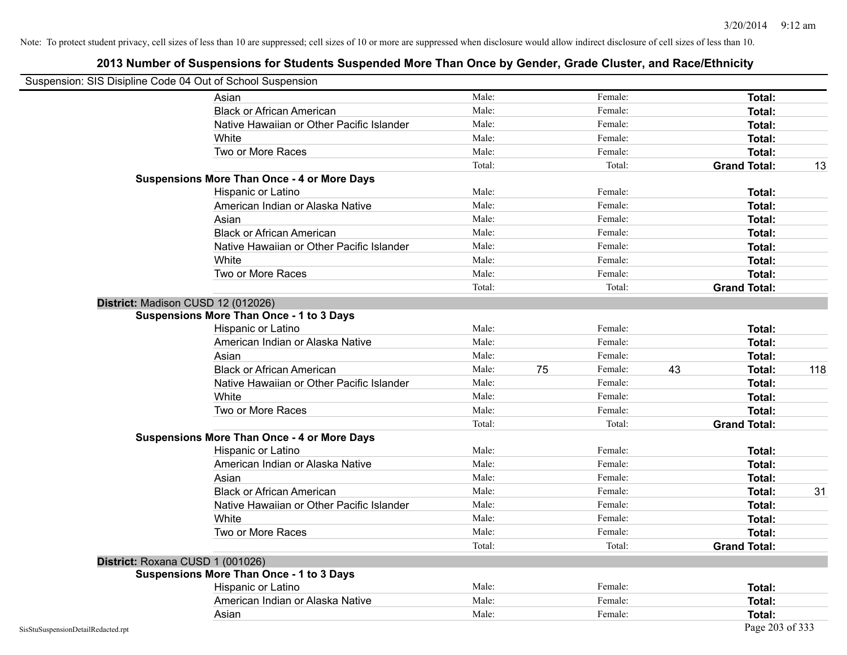| Suspension: SIS Disipline Code 04 Out of School Suspension |                                                    |        |    |         |    |                     |     |
|------------------------------------------------------------|----------------------------------------------------|--------|----|---------|----|---------------------|-----|
|                                                            | Asian                                              | Male:  |    | Female: |    | Total:              |     |
|                                                            | <b>Black or African American</b>                   | Male:  |    | Female: |    | Total:              |     |
|                                                            | Native Hawaiian or Other Pacific Islander          | Male:  |    | Female: |    | Total:              |     |
|                                                            | White                                              | Male:  |    | Female: |    | Total:              |     |
|                                                            | Two or More Races                                  | Male:  |    | Female: |    | Total:              |     |
|                                                            |                                                    | Total: |    | Total:  |    | <b>Grand Total:</b> | 13  |
|                                                            | <b>Suspensions More Than Once - 4 or More Days</b> |        |    |         |    |                     |     |
|                                                            | Hispanic or Latino                                 | Male:  |    | Female: |    | Total:              |     |
|                                                            | American Indian or Alaska Native                   | Male:  |    | Female: |    | Total:              |     |
|                                                            | Asian                                              | Male:  |    | Female: |    | Total:              |     |
|                                                            | <b>Black or African American</b>                   | Male:  |    | Female: |    | Total:              |     |
|                                                            | Native Hawaiian or Other Pacific Islander          | Male:  |    | Female: |    | <b>Total:</b>       |     |
|                                                            | White                                              | Male:  |    | Female: |    | <b>Total:</b>       |     |
|                                                            | Two or More Races                                  | Male:  |    | Female: |    | <b>Total:</b>       |     |
|                                                            |                                                    | Total: |    | Total:  |    | <b>Grand Total:</b> |     |
| District: Madison CUSD 12 (012026)                         |                                                    |        |    |         |    |                     |     |
|                                                            | <b>Suspensions More Than Once - 1 to 3 Days</b>    |        |    |         |    |                     |     |
|                                                            | Hispanic or Latino                                 | Male:  |    | Female: |    | Total:              |     |
|                                                            | American Indian or Alaska Native                   | Male:  |    | Female: |    | <b>Total:</b>       |     |
|                                                            | Asian                                              | Male:  |    | Female: |    | Total:              |     |
|                                                            | <b>Black or African American</b>                   | Male:  | 75 | Female: | 43 | Total:              | 118 |
|                                                            | Native Hawaiian or Other Pacific Islander          | Male:  |    | Female: |    | Total:              |     |
|                                                            | White                                              | Male:  |    | Female: |    | Total:              |     |
|                                                            | Two or More Races                                  | Male:  |    | Female: |    | <b>Total:</b>       |     |
|                                                            |                                                    | Total: |    | Total:  |    | <b>Grand Total:</b> |     |
|                                                            | <b>Suspensions More Than Once - 4 or More Days</b> |        |    |         |    |                     |     |
|                                                            | Hispanic or Latino                                 | Male:  |    | Female: |    | Total:              |     |
|                                                            | American Indian or Alaska Native                   | Male:  |    | Female: |    | Total:              |     |
|                                                            | Asian                                              | Male:  |    | Female: |    | Total:              |     |
|                                                            | <b>Black or African American</b>                   | Male:  |    | Female: |    | <b>Total:</b>       | 31  |
|                                                            | Native Hawaiian or Other Pacific Islander          | Male:  |    | Female: |    | Total:              |     |
|                                                            | White                                              | Male:  |    | Female: |    | Total:              |     |
|                                                            | Two or More Races                                  | Male:  |    | Female: |    | Total:              |     |
|                                                            |                                                    | Total: |    | Total:  |    | <b>Grand Total:</b> |     |
| District: Roxana CUSD 1 (001026)                           |                                                    |        |    |         |    |                     |     |
|                                                            | <b>Suspensions More Than Once - 1 to 3 Days</b>    |        |    |         |    |                     |     |
|                                                            | Hispanic or Latino                                 | Male:  |    | Female: |    | Total:              |     |
|                                                            | American Indian or Alaska Native                   | Male:  |    | Female: |    | Total:              |     |
|                                                            | Asian                                              | Male:  |    | Female: |    | <b>Total:</b>       |     |
| SisStuSuspensionDetailRedacted.rpt                         |                                                    |        |    |         |    | Page 203 of 333     |     |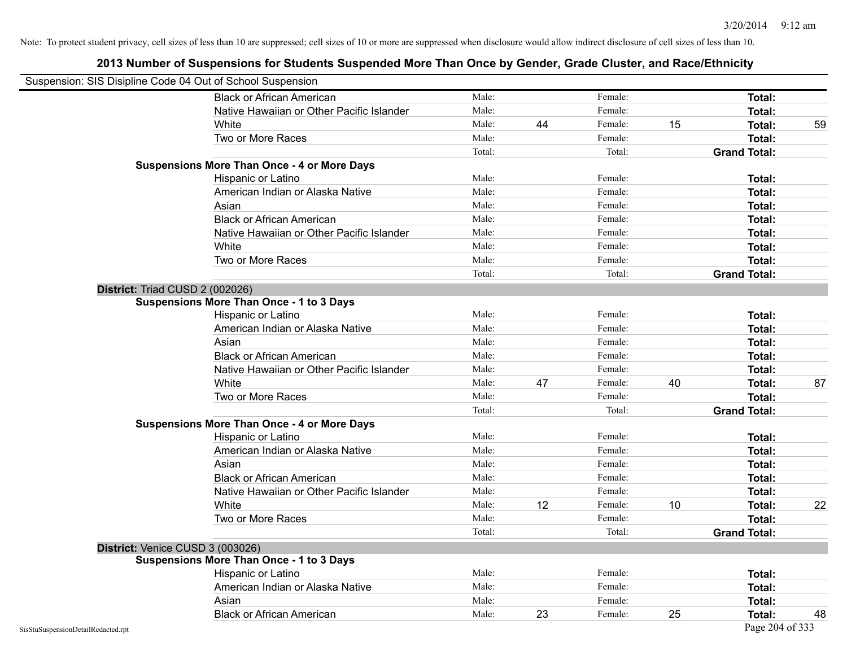|                                    | Suspension: SIS Disipline Code 04 Out of School Suspension |        |    |         |    |                     |    |
|------------------------------------|------------------------------------------------------------|--------|----|---------|----|---------------------|----|
|                                    | <b>Black or African American</b>                           | Male:  |    | Female: |    | <b>Total:</b>       |    |
|                                    | Native Hawaiian or Other Pacific Islander                  | Male:  |    | Female: |    | Total:              |    |
|                                    | White                                                      | Male:  | 44 | Female: | 15 | Total:              | 59 |
|                                    | Two or More Races                                          | Male:  |    | Female: |    | Total:              |    |
|                                    |                                                            | Total: |    | Total:  |    | <b>Grand Total:</b> |    |
|                                    | <b>Suspensions More Than Once - 4 or More Days</b>         |        |    |         |    |                     |    |
|                                    | Hispanic or Latino                                         | Male:  |    | Female: |    | Total:              |    |
|                                    | American Indian or Alaska Native                           | Male:  |    | Female: |    | Total:              |    |
|                                    | Asian                                                      | Male:  |    | Female: |    | Total:              |    |
|                                    | <b>Black or African American</b>                           | Male:  |    | Female: |    | <b>Total:</b>       |    |
|                                    | Native Hawaiian or Other Pacific Islander                  | Male:  |    | Female: |    | Total:              |    |
|                                    | White                                                      | Male:  |    | Female: |    | Total:              |    |
|                                    | Two or More Races                                          | Male:  |    | Female: |    | Total:              |    |
|                                    |                                                            | Total: |    | Total:  |    | <b>Grand Total:</b> |    |
|                                    | District: Triad CUSD 2 (002026)                            |        |    |         |    |                     |    |
|                                    | <b>Suspensions More Than Once - 1 to 3 Days</b>            |        |    |         |    |                     |    |
|                                    | Hispanic or Latino                                         | Male:  |    | Female: |    | Total:              |    |
|                                    | American Indian or Alaska Native                           | Male:  |    | Female: |    | Total:              |    |
|                                    | Asian                                                      | Male:  |    | Female: |    | Total:              |    |
|                                    | <b>Black or African American</b>                           | Male:  |    | Female: |    | Total:              |    |
|                                    | Native Hawaiian or Other Pacific Islander                  | Male:  |    | Female: |    | Total:              |    |
|                                    | White                                                      | Male:  | 47 | Female: | 40 | Total:              | 87 |
|                                    | Two or More Races                                          | Male:  |    | Female: |    | <b>Total:</b>       |    |
|                                    |                                                            | Total: |    | Total:  |    | <b>Grand Total:</b> |    |
|                                    | <b>Suspensions More Than Once - 4 or More Days</b>         |        |    |         |    |                     |    |
|                                    | Hispanic or Latino                                         | Male:  |    | Female: |    | Total:              |    |
|                                    | American Indian or Alaska Native                           | Male:  |    | Female: |    | Total:              |    |
|                                    | Asian                                                      | Male:  |    | Female: |    | Total:              |    |
|                                    | <b>Black or African American</b>                           | Male:  |    | Female: |    | Total:              |    |
|                                    | Native Hawaiian or Other Pacific Islander                  | Male:  |    | Female: |    | Total:              |    |
|                                    | White                                                      | Male:  | 12 | Female: | 10 | Total:              | 22 |
|                                    | Two or More Races                                          | Male:  |    | Female: |    | <b>Total:</b>       |    |
|                                    |                                                            | Total: |    | Total:  |    | <b>Grand Total:</b> |    |
|                                    | District: Venice CUSD 3 (003026)                           |        |    |         |    |                     |    |
|                                    | <b>Suspensions More Than Once - 1 to 3 Days</b>            |        |    |         |    |                     |    |
|                                    | Hispanic or Latino                                         | Male:  |    | Female: |    | Total:              |    |
|                                    | American Indian or Alaska Native                           | Male:  |    | Female: |    | Total:              |    |
|                                    | Asian                                                      | Male:  |    | Female: |    | Total:              |    |
|                                    | <b>Black or African American</b>                           | Male:  | 23 | Female: | 25 | Total:              | 48 |
| SisStuSuspensionDetailRedacted.rpt |                                                            |        |    |         |    | Page 204 of 333     |    |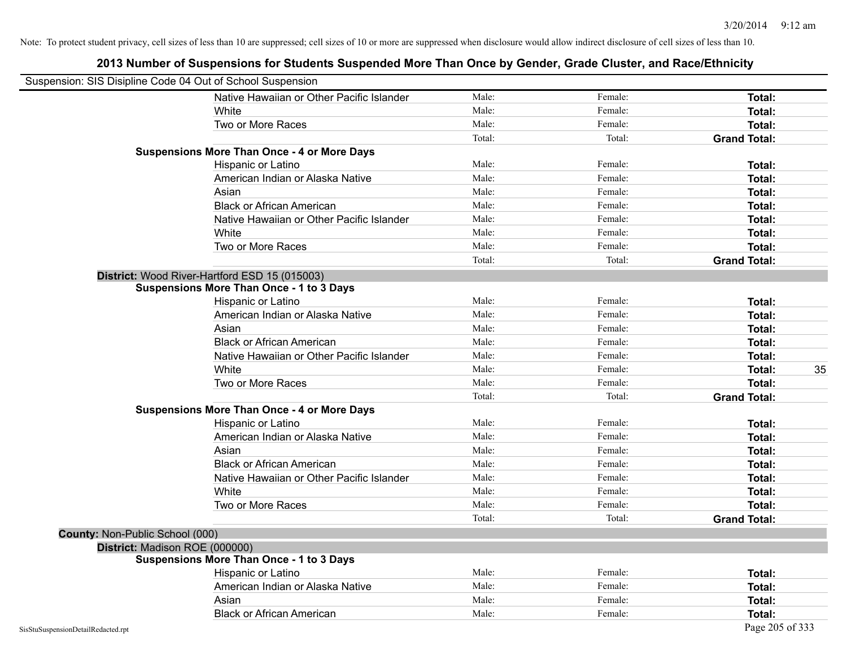| Suspension: SIS Disipline Code 04 Out of School Suspension |                                                    |        |         |                     |
|------------------------------------------------------------|----------------------------------------------------|--------|---------|---------------------|
|                                                            | Native Hawaiian or Other Pacific Islander          | Male:  | Female: | Total:              |
|                                                            | White                                              | Male:  | Female: | Total:              |
|                                                            | Two or More Races                                  | Male:  | Female: | Total:              |
|                                                            |                                                    | Total: | Total:  | <b>Grand Total:</b> |
|                                                            | <b>Suspensions More Than Once - 4 or More Days</b> |        |         |                     |
|                                                            | Hispanic or Latino                                 | Male:  | Female: | Total:              |
|                                                            | American Indian or Alaska Native                   | Male:  | Female: | Total:              |
|                                                            | Asian                                              | Male:  | Female: | Total:              |
|                                                            | <b>Black or African American</b>                   | Male:  | Female: | Total:              |
|                                                            | Native Hawaiian or Other Pacific Islander          | Male:  | Female: | Total:              |
|                                                            | White                                              | Male:  | Female: | Total:              |
|                                                            | Two or More Races                                  | Male:  | Female: | Total:              |
|                                                            |                                                    | Total: | Total:  | <b>Grand Total:</b> |
|                                                            | District: Wood River-Hartford ESD 15 (015003)      |        |         |                     |
|                                                            | <b>Suspensions More Than Once - 1 to 3 Days</b>    |        |         |                     |
|                                                            | Hispanic or Latino                                 | Male:  | Female: | Total:              |
|                                                            | American Indian or Alaska Native                   | Male:  | Female: | Total:              |
|                                                            | Asian                                              | Male:  | Female: | Total:              |
|                                                            | <b>Black or African American</b>                   | Male:  | Female: | Total:              |
|                                                            | Native Hawaiian or Other Pacific Islander          | Male:  | Female: | Total:              |
|                                                            | White                                              | Male:  | Female: | 35<br>Total:        |
|                                                            | Two or More Races                                  | Male:  | Female: | Total:              |
|                                                            |                                                    | Total: | Total:  | <b>Grand Total:</b> |
|                                                            | <b>Suspensions More Than Once - 4 or More Days</b> |        |         |                     |
|                                                            | Hispanic or Latino                                 | Male:  | Female: | Total:              |
|                                                            | American Indian or Alaska Native                   | Male:  | Female: | Total:              |
|                                                            | Asian                                              | Male:  | Female: | Total:              |
|                                                            | <b>Black or African American</b>                   | Male:  | Female: | Total:              |
|                                                            | Native Hawaiian or Other Pacific Islander          | Male:  | Female: | Total:              |
|                                                            | White                                              | Male:  | Female: | Total:              |
|                                                            | Two or More Races                                  | Male:  | Female: | Total:              |
|                                                            |                                                    | Total: | Total:  | <b>Grand Total:</b> |
| County: Non-Public School (000)                            |                                                    |        |         |                     |
| District: Madison ROE (000000)                             |                                                    |        |         |                     |
|                                                            | <b>Suspensions More Than Once - 1 to 3 Days</b>    |        |         |                     |
|                                                            | Hispanic or Latino                                 | Male:  | Female: | Total:              |
|                                                            | American Indian or Alaska Native                   | Male:  | Female: | Total:              |
|                                                            | Asian                                              | Male:  | Female: | Total:              |
|                                                            | <b>Black or African American</b>                   | Male:  | Female: | Total:              |
| SisStuSuspensionDetailRedacted.rpt                         |                                                    |        |         | Page 205 of 333     |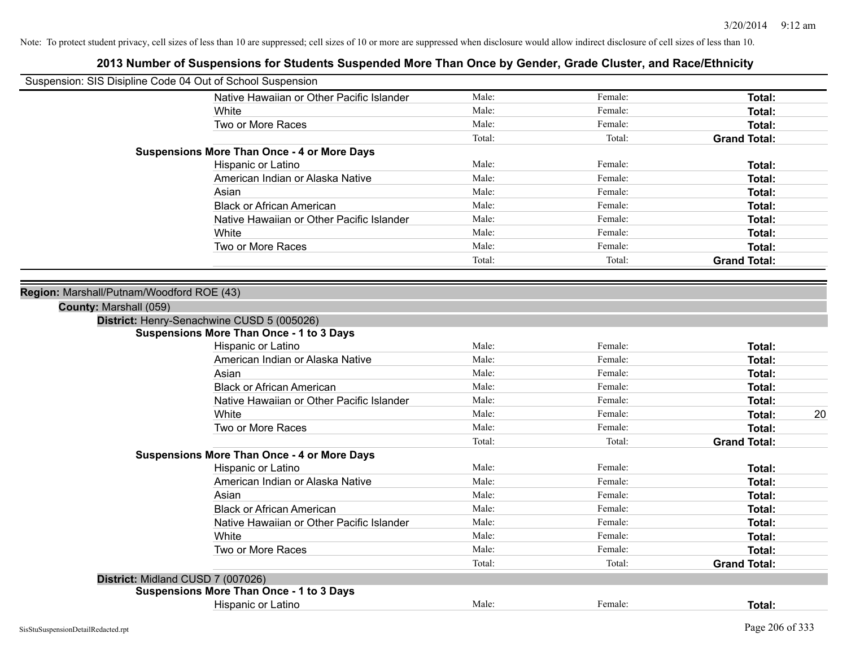|                                           | Suspension: SIS Disipline Code 04 Out of School Suspension |        |         |                     |
|-------------------------------------------|------------------------------------------------------------|--------|---------|---------------------|
|                                           | Native Hawaiian or Other Pacific Islander                  | Male:  | Female: | Total:              |
|                                           | White                                                      | Male:  | Female: | Total:              |
|                                           | Two or More Races                                          | Male:  | Female: | Total:              |
|                                           |                                                            | Total: | Total:  | <b>Grand Total:</b> |
|                                           | <b>Suspensions More Than Once - 4 or More Days</b>         |        |         |                     |
|                                           | Hispanic or Latino                                         | Male:  | Female: | Total:              |
|                                           | American Indian or Alaska Native                           | Male:  | Female: | Total:              |
|                                           | Asian                                                      | Male:  | Female: | Total:              |
|                                           | <b>Black or African American</b>                           | Male:  | Female: | Total:              |
|                                           | Native Hawaiian or Other Pacific Islander                  | Male:  | Female: | <b>Total:</b>       |
|                                           | White                                                      | Male:  | Female: | Total:              |
|                                           | Two or More Races                                          | Male:  | Female: | Total:              |
|                                           |                                                            | Total: | Total:  | <b>Grand Total:</b> |
|                                           |                                                            |        |         |                     |
| Region: Marshall/Putnam/Woodford ROE (43) |                                                            |        |         |                     |
| County: Marshall (059)                    |                                                            |        |         |                     |
|                                           | District: Henry-Senachwine CUSD 5 (005026)                 |        |         |                     |
|                                           | <b>Suspensions More Than Once - 1 to 3 Days</b>            |        |         |                     |
|                                           | Hispanic or Latino                                         | Male:  | Female: | Total:              |
|                                           | American Indian or Alaska Native                           | Male:  | Female: | Total:              |
|                                           | Asian                                                      | Male:  | Female: | Total:              |
|                                           | <b>Black or African American</b>                           | Male:  | Female: | Total:              |
|                                           | Native Hawaiian or Other Pacific Islander                  | Male:  | Female: | Total:              |
|                                           | White                                                      | Male:  | Female: | 20<br>Total:        |
|                                           | Two or More Races                                          | Male:  | Female: | Total:              |
|                                           |                                                            | Total: | Total:  | <b>Grand Total:</b> |
|                                           | <b>Suspensions More Than Once - 4 or More Days</b>         |        |         |                     |
|                                           | Hispanic or Latino                                         | Male:  | Female: | Total:              |
|                                           | American Indian or Alaska Native                           | Male:  | Female: | Total:              |
|                                           | Asian                                                      | Male:  | Female: | Total:              |
|                                           | <b>Black or African American</b>                           | Male:  | Female: | Total:              |
|                                           | Native Hawaiian or Other Pacific Islander                  | Male:  | Female: | Total:              |
|                                           |                                                            | Male:  | Female: |                     |
|                                           | White                                                      |        |         | Total:              |
|                                           | Two or More Races                                          | Male:  | Female: | Total:              |
|                                           |                                                            | Total: | Total:  | <b>Grand Total:</b> |
|                                           | District: Midland CUSD 7 (007026)                          |        |         |                     |
|                                           | <b>Suspensions More Than Once - 1 to 3 Days</b>            |        |         |                     |
|                                           | Hispanic or Latino                                         | Male:  | Female: | Total:              |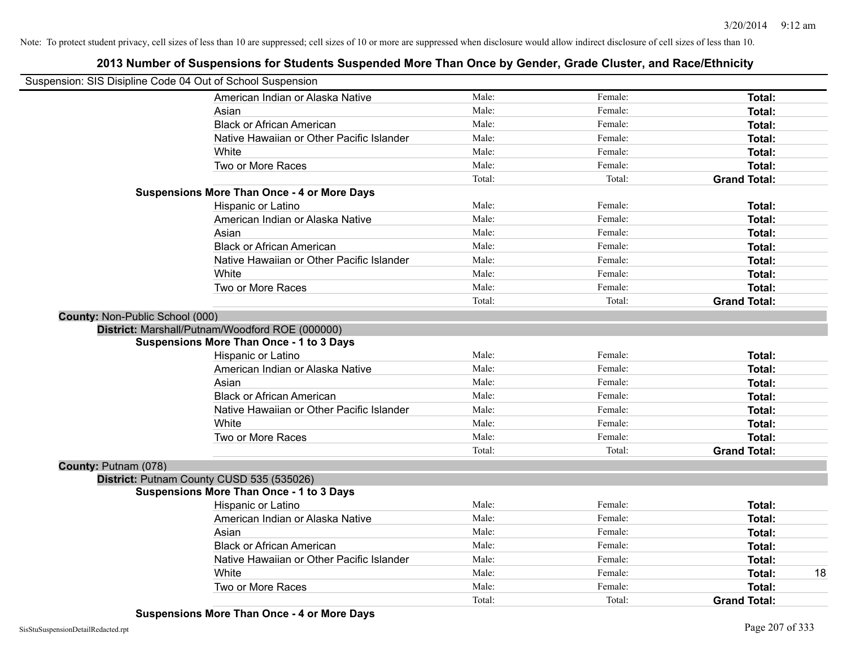| Suspension: SIS Disipline Code 04 Out of School Suspension |                                           |        |         |                     |
|------------------------------------------------------------|-------------------------------------------|--------|---------|---------------------|
|                                                            | American Indian or Alaska Native          | Male:  | Female: | Total:              |
| Asian                                                      |                                           | Male:  | Female: | Total:              |
| <b>Black or African American</b>                           |                                           | Male:  | Female: | Total:              |
|                                                            | Native Hawaiian or Other Pacific Islander | Male:  | Female: | <b>Total:</b>       |
| White                                                      |                                           | Male:  | Female: | <b>Total:</b>       |
| Two or More Races                                          |                                           | Male:  | Female: | Total:              |
|                                                            |                                           | Total: | Total:  | <b>Grand Total:</b> |
| <b>Suspensions More Than Once - 4 or More Days</b>         |                                           |        |         |                     |
| Hispanic or Latino                                         |                                           | Male:  | Female: | Total:              |
|                                                            | American Indian or Alaska Native          | Male:  | Female: | <b>Total:</b>       |
| Asian                                                      |                                           | Male:  | Female: | Total:              |
| <b>Black or African American</b>                           |                                           | Male:  | Female: | Total:              |
|                                                            | Native Hawaiian or Other Pacific Islander | Male:  | Female: | Total:              |
| White                                                      |                                           | Male:  | Female: | <b>Total:</b>       |
| Two or More Races                                          |                                           | Male:  | Female: | Total:              |
|                                                            |                                           | Total: | Total:  | <b>Grand Total:</b> |
| County: Non-Public School (000)                            |                                           |        |         |                     |
| District: Marshall/Putnam/Woodford ROE (000000)            |                                           |        |         |                     |
| <b>Suspensions More Than Once - 1 to 3 Days</b>            |                                           |        |         |                     |
| Hispanic or Latino                                         |                                           | Male:  | Female: | Total:              |
|                                                            | American Indian or Alaska Native          | Male:  | Female: | Total:              |
| Asian                                                      |                                           | Male:  | Female: | Total:              |
| <b>Black or African American</b>                           |                                           | Male:  | Female: | Total:              |
|                                                            | Native Hawaiian or Other Pacific Islander | Male:  | Female: | <b>Total:</b>       |
| White                                                      |                                           | Male:  | Female: | <b>Total:</b>       |
| Two or More Races                                          |                                           | Male:  | Female: | <b>Total:</b>       |
|                                                            |                                           | Total: | Total:  | <b>Grand Total:</b> |
| County: Putnam (078)                                       |                                           |        |         |                     |
| District: Putnam County CUSD 535 (535026)                  |                                           |        |         |                     |
| <b>Suspensions More Than Once - 1 to 3 Days</b>            |                                           |        |         |                     |
| Hispanic or Latino                                         |                                           | Male:  | Female: | Total:              |
|                                                            | American Indian or Alaska Native          | Male:  | Female: | Total:              |
| Asian                                                      |                                           | Male:  | Female: | Total:              |
| <b>Black or African American</b>                           |                                           | Male:  | Female: | <b>Total:</b>       |
|                                                            | Native Hawaiian or Other Pacific Islander | Male:  | Female: | Total:              |
| White                                                      |                                           | Male:  | Female: | <b>Total:</b>       |
| Two or More Races                                          |                                           | Male:  | Female: | <b>Total:</b>       |
|                                                            |                                           | Total: | Total:  | <b>Grand Total:</b> |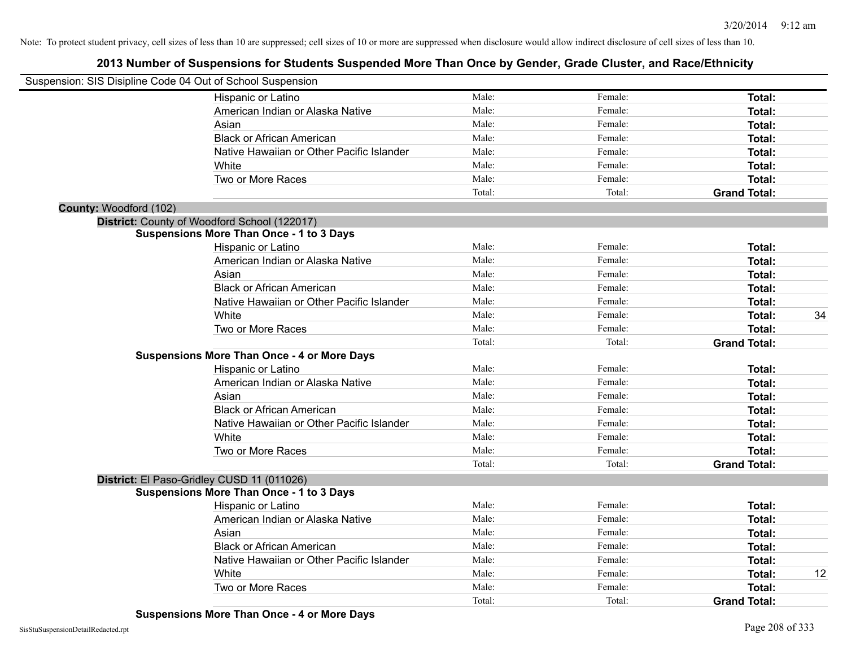| Suspension: SIS Disipline Code 04 Out of School Suspension |                                                    |        |         |                     |    |
|------------------------------------------------------------|----------------------------------------------------|--------|---------|---------------------|----|
|                                                            | Hispanic or Latino                                 | Male:  | Female: | Total:              |    |
|                                                            | American Indian or Alaska Native                   | Male:  | Female: | Total:              |    |
|                                                            | Asian                                              | Male:  | Female: | Total:              |    |
|                                                            | <b>Black or African American</b>                   | Male:  | Female: | <b>Total:</b>       |    |
|                                                            | Native Hawaiian or Other Pacific Islander          | Male:  | Female: | Total:              |    |
|                                                            | White                                              | Male:  | Female: | Total:              |    |
|                                                            | Two or More Races                                  | Male:  | Female: | <b>Total:</b>       |    |
|                                                            |                                                    | Total: | Total:  | <b>Grand Total:</b> |    |
| County: Woodford (102)                                     |                                                    |        |         |                     |    |
|                                                            | District: County of Woodford School (122017)       |        |         |                     |    |
|                                                            | <b>Suspensions More Than Once - 1 to 3 Days</b>    |        |         |                     |    |
|                                                            | Hispanic or Latino                                 | Male:  | Female: | Total:              |    |
|                                                            | American Indian or Alaska Native                   | Male:  | Female: | Total:              |    |
|                                                            | Asian                                              | Male:  | Female: | Total:              |    |
|                                                            | <b>Black or African American</b>                   | Male:  | Female: | Total:              |    |
|                                                            | Native Hawaiian or Other Pacific Islander          | Male:  | Female: | Total:              |    |
|                                                            | White                                              | Male:  | Female: | Total:              | 34 |
|                                                            | Two or More Races                                  | Male:  | Female: | <b>Total:</b>       |    |
|                                                            |                                                    | Total: | Total:  | <b>Grand Total:</b> |    |
|                                                            | <b>Suspensions More Than Once - 4 or More Days</b> |        |         |                     |    |
|                                                            | Hispanic or Latino                                 | Male:  | Female: | Total:              |    |
|                                                            | American Indian or Alaska Native                   | Male:  | Female: | <b>Total:</b>       |    |
|                                                            | Asian                                              | Male:  | Female: | Total:              |    |
|                                                            | <b>Black or African American</b>                   | Male:  | Female: | <b>Total:</b>       |    |
|                                                            | Native Hawaiian or Other Pacific Islander          | Male:  | Female: | Total:              |    |
|                                                            | White                                              | Male:  | Female: | <b>Total:</b>       |    |
|                                                            | Two or More Races                                  | Male:  | Female: | <b>Total:</b>       |    |
|                                                            |                                                    | Total: | Total:  | <b>Grand Total:</b> |    |
|                                                            | District: El Paso-Gridley CUSD 11 (011026)         |        |         |                     |    |
|                                                            | <b>Suspensions More Than Once - 1 to 3 Days</b>    |        |         |                     |    |
|                                                            | Hispanic or Latino                                 | Male:  | Female: | Total:              |    |
|                                                            | American Indian or Alaska Native                   | Male:  | Female: | Total:              |    |
|                                                            | Asian                                              | Male:  | Female: | Total:              |    |
|                                                            | <b>Black or African American</b>                   | Male:  | Female: | <b>Total:</b>       |    |
|                                                            | Native Hawaiian or Other Pacific Islander          | Male:  | Female: | Total:              |    |
|                                                            | White                                              | Male:  | Female: | <b>Total:</b>       | 12 |
|                                                            | Two or More Races                                  | Male:  | Female: | <b>Total:</b>       |    |
|                                                            |                                                    | Total: | Total:  | <b>Grand Total:</b> |    |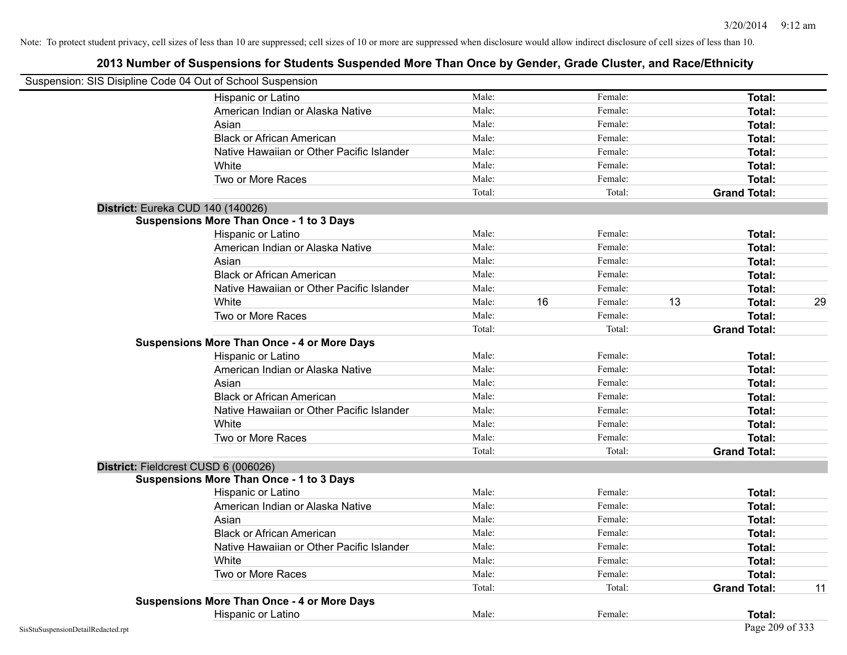| Suspension: SIS Disipline Code 04 Out of School Suspension |                                                    |        |    |         |    |                     |    |
|------------------------------------------------------------|----------------------------------------------------|--------|----|---------|----|---------------------|----|
|                                                            | Hispanic or Latino                                 | Male:  |    | Female: |    | Total:              |    |
|                                                            | American Indian or Alaska Native                   | Male:  |    | Female: |    | Total:              |    |
|                                                            | Asian                                              | Male:  |    | Female: |    | Total:              |    |
|                                                            | <b>Black or African American</b>                   | Male:  |    | Female: |    | Total:              |    |
|                                                            | Native Hawaiian or Other Pacific Islander          | Male:  |    | Female: |    | Total:              |    |
|                                                            | White                                              | Male:  |    | Female: |    | Total:              |    |
|                                                            | Two or More Races                                  | Male:  |    | Female: |    | Total:              |    |
|                                                            |                                                    | Total: |    | Total:  |    | <b>Grand Total:</b> |    |
| District: Eureka CUD 140 (140026)                          |                                                    |        |    |         |    |                     |    |
|                                                            | <b>Suspensions More Than Once - 1 to 3 Days</b>    |        |    |         |    |                     |    |
|                                                            | Hispanic or Latino                                 | Male:  |    | Female: |    | Total:              |    |
|                                                            | American Indian or Alaska Native                   | Male:  |    | Female: |    | Total:              |    |
|                                                            | Asian                                              | Male:  |    | Female: |    | Total:              |    |
|                                                            | <b>Black or African American</b>                   | Male:  |    | Female: |    | Total:              |    |
|                                                            | Native Hawaiian or Other Pacific Islander          | Male:  |    | Female: |    | Total:              |    |
|                                                            | White                                              | Male:  | 16 | Female: | 13 | Total:              | 29 |
|                                                            | Two or More Races                                  | Male:  |    | Female: |    | Total:              |    |
|                                                            |                                                    | Total: |    | Total:  |    | <b>Grand Total:</b> |    |
|                                                            | <b>Suspensions More Than Once - 4 or More Days</b> |        |    |         |    |                     |    |
|                                                            | Hispanic or Latino                                 | Male:  |    | Female: |    | Total:              |    |
|                                                            | American Indian or Alaska Native                   | Male:  |    | Female: |    | Total:              |    |
|                                                            | Asian                                              | Male:  |    | Female: |    | Total:              |    |
|                                                            | <b>Black or African American</b>                   | Male:  |    | Female: |    | Total:              |    |
|                                                            | Native Hawaiian or Other Pacific Islander          | Male:  |    | Female: |    | Total:              |    |
|                                                            | White                                              | Male:  |    | Female: |    | Total:              |    |
|                                                            | Two or More Races                                  | Male:  |    | Female: |    | Total:              |    |
|                                                            |                                                    | Total: |    | Total:  |    | <b>Grand Total:</b> |    |
| District: Fieldcrest CUSD 6 (006026)                       |                                                    |        |    |         |    |                     |    |
|                                                            | <b>Suspensions More Than Once - 1 to 3 Days</b>    |        |    |         |    |                     |    |
|                                                            | Hispanic or Latino                                 | Male:  |    | Female: |    | Total:              |    |
|                                                            | American Indian or Alaska Native                   | Male:  |    | Female: |    | Total:              |    |
|                                                            | Asian                                              | Male:  |    | Female: |    | Total:              |    |
|                                                            | <b>Black or African American</b>                   | Male:  |    | Female: |    | Total:              |    |
|                                                            | Native Hawaiian or Other Pacific Islander          | Male:  |    | Female: |    | Total:              |    |
|                                                            | White                                              | Male:  |    | Female: |    | Total:              |    |
|                                                            | Two or More Races                                  | Male:  |    | Female: |    | Total:              |    |
|                                                            |                                                    | Total: |    | Total:  |    | <b>Grand Total:</b> | 11 |
|                                                            | <b>Suspensions More Than Once - 4 or More Days</b> |        |    |         |    |                     |    |
|                                                            | Hispanic or Latino                                 | Male:  |    | Female: |    | Total:              |    |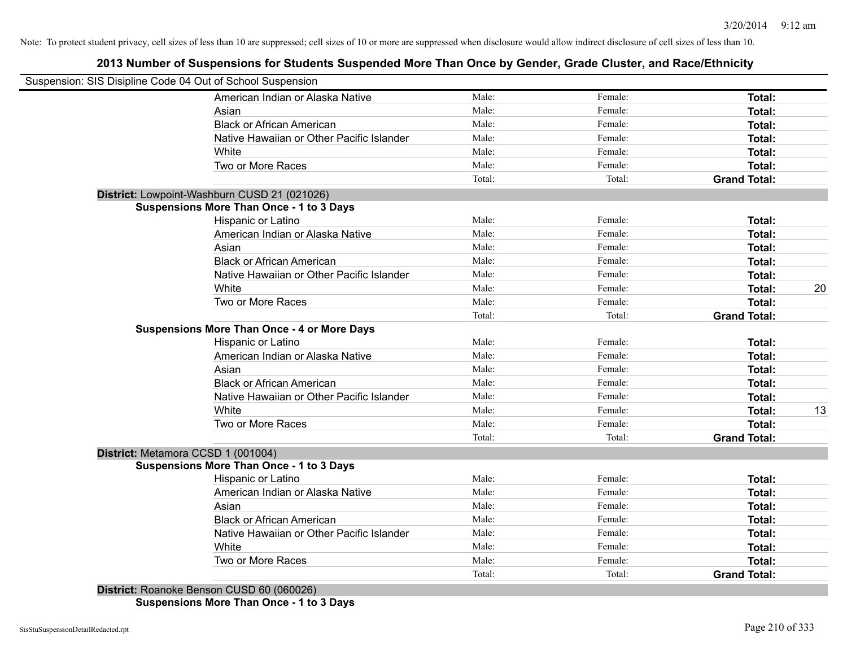### **2013 Number of Suspensions for Students Suspended More Than Once by Gender, Grade Cluster, and Race/Ethnicity**

| Suspension: SIS Disipline Code 04 Out of School Suspension |                 |         |                               |    |
|------------------------------------------------------------|-----------------|---------|-------------------------------|----|
| American Indian or Alaska Native                           | Male:           | Female: | Total:                        |    |
| Asian                                                      | Male:           | Female: | Total:                        |    |
| <b>Black or African American</b>                           | Male:           | Female: | Total:                        |    |
| Native Hawaiian or Other Pacific Islander                  | Male:           | Female: | Total:                        |    |
| White                                                      | Male:           | Female: | Total:                        |    |
| Two or More Races                                          | Male:           | Female: | Total:                        |    |
|                                                            | Total:          | Total:  | <b>Grand Total:</b>           |    |
| District: Lowpoint-Washburn CUSD 21 (021026)               |                 |         |                               |    |
| <b>Suspensions More Than Once - 1 to 3 Days</b>            |                 |         |                               |    |
| Hispanic or Latino                                         | Male:           | Female: | Total:                        |    |
| American Indian or Alaska Native                           | Male:           | Female: | Total:                        |    |
| Asian                                                      | Male:           | Female: | Total:                        |    |
| <b>Black or African American</b>                           | Male:           | Female: | Total:                        |    |
| Native Hawaiian or Other Pacific Islander                  | Male:           | Female: | Total:                        |    |
| White                                                      | Male:           | Female: | Total:                        | 20 |
| Two or More Races                                          | Male:           | Female: | Total:                        |    |
|                                                            | Total:          | Total:  | <b>Grand Total:</b>           |    |
| <b>Suspensions More Than Once - 4 or More Days</b>         |                 |         |                               |    |
| Hispanic or Latino                                         | Male:           | Female: | Total:                        |    |
| American Indian or Alaska Native                           | Male:           | Female: | Total:                        |    |
| Asian                                                      | Male:           | Female: | Total:                        |    |
| <b>Black or African American</b>                           | Male:           | Female: | Total:                        |    |
| Native Hawaiian or Other Pacific Islander                  | Male:           | Female: | Total:                        |    |
| White                                                      | Male:           | Female: | Total:                        | 13 |
| Two or More Races                                          | Male:           | Female: | Total:                        |    |
|                                                            | Total:          | Total:  | <b>Grand Total:</b>           |    |
| District: Metamora CCSD 1 (001004)                         |                 |         |                               |    |
| <b>Suspensions More Than Once - 1 to 3 Days</b>            |                 |         |                               |    |
| Hispanic or Latino                                         | Male:           | Female: | Total:                        |    |
| American Indian or Alaska Native                           | Male:           | Female: | Total:                        |    |
| Asian                                                      | Male:           | Female: | Total:                        |    |
| <b>Black or African American</b>                           | Male:           | Female: | Total:                        |    |
| Native Hawaiian or Other Pacific Islander                  | Male:           | Female: | Total:                        |    |
| White                                                      | Male:           | Female: | Total:                        |    |
|                                                            |                 |         |                               |    |
| Two or More Races                                          | Male:<br>Total: | Female: | Total:<br><b>Grand Total:</b> |    |

**Suspensions More Than Once - 1 to 3 Days**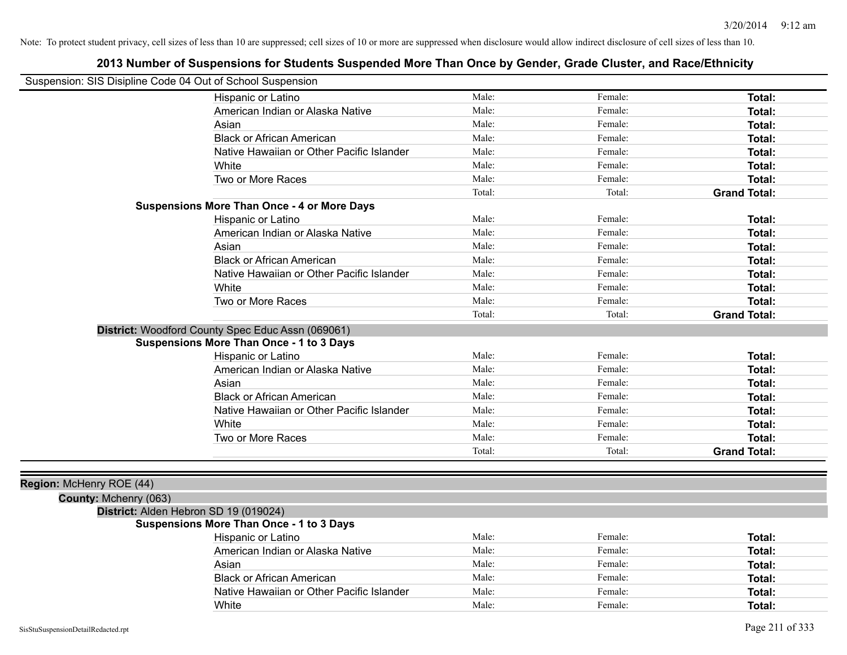| Suspension: SIS Disipline Code 04 Out of School Suspension |                                                    |        |         |                     |
|------------------------------------------------------------|----------------------------------------------------|--------|---------|---------------------|
|                                                            | Hispanic or Latino                                 | Male:  | Female: | <b>Total:</b>       |
|                                                            | American Indian or Alaska Native                   | Male:  | Female: | Total:              |
|                                                            | Asian                                              | Male:  | Female: | Total:              |
|                                                            | <b>Black or African American</b>                   | Male:  | Female: | Total:              |
|                                                            | Native Hawaiian or Other Pacific Islander          | Male:  | Female: | Total:              |
|                                                            | White                                              | Male:  | Female: | Total:              |
|                                                            | Two or More Races                                  | Male:  | Female: | Total:              |
|                                                            |                                                    | Total: | Total:  | <b>Grand Total:</b> |
|                                                            | <b>Suspensions More Than Once - 4 or More Days</b> |        |         |                     |
|                                                            | Hispanic or Latino                                 | Male:  | Female: | Total:              |
|                                                            | American Indian or Alaska Native                   | Male:  | Female: | Total:              |
|                                                            | Asian                                              | Male:  | Female: | Total:              |
|                                                            | <b>Black or African American</b>                   | Male:  | Female: | Total:              |
|                                                            | Native Hawaiian or Other Pacific Islander          | Male:  | Female: | Total:              |
|                                                            | White                                              | Male:  | Female: | Total:              |
|                                                            | Two or More Races                                  | Male:  | Female: | Total:              |
|                                                            |                                                    | Total: | Total:  | <b>Grand Total:</b> |
|                                                            | District: Woodford County Spec Educ Assn (069061)  |        |         |                     |
|                                                            | <b>Suspensions More Than Once - 1 to 3 Days</b>    |        |         |                     |
|                                                            | Hispanic or Latino                                 | Male:  | Female: | Total:              |
|                                                            | American Indian or Alaska Native                   | Male:  | Female: | Total:              |
|                                                            | Asian                                              | Male:  | Female: | Total:              |
|                                                            | <b>Black or African American</b>                   | Male:  | Female: | Total:              |
|                                                            | Native Hawaiian or Other Pacific Islander          | Male:  | Female: | Total:              |
|                                                            | White                                              | Male:  | Female: | Total:              |
|                                                            | Two or More Races                                  | Male:  | Female: | Total:              |
|                                                            |                                                    | Total: | Total:  | <b>Grand Total:</b> |
|                                                            |                                                    |        |         |                     |
| Region: McHenry ROE (44)                                   |                                                    |        |         |                     |
| County: Mchenry (063)                                      |                                                    |        |         |                     |

#### **2013 Number of Suspensions for Students Suspended More Than Once by Gender, Grade Cluster, and Race/Ethnicity**

## **District:** Alden Hebron SD 19 (019024)

#### **Suspensions More Than Once - 1 to 3 Days**

| Hispanic or Latino                        | Male: | Female: | Total: |
|-------------------------------------------|-------|---------|--------|
| American Indian or Alaska Native          | Male: | Female: | Total: |
| Asian                                     | Male: | Female: | Total: |
| <b>Black or African American</b>          | Male: | Female: | Total: |
| Native Hawaiian or Other Pacific Islander | Male: | Female: | Total: |
| White                                     | Male: | Female: | Total: |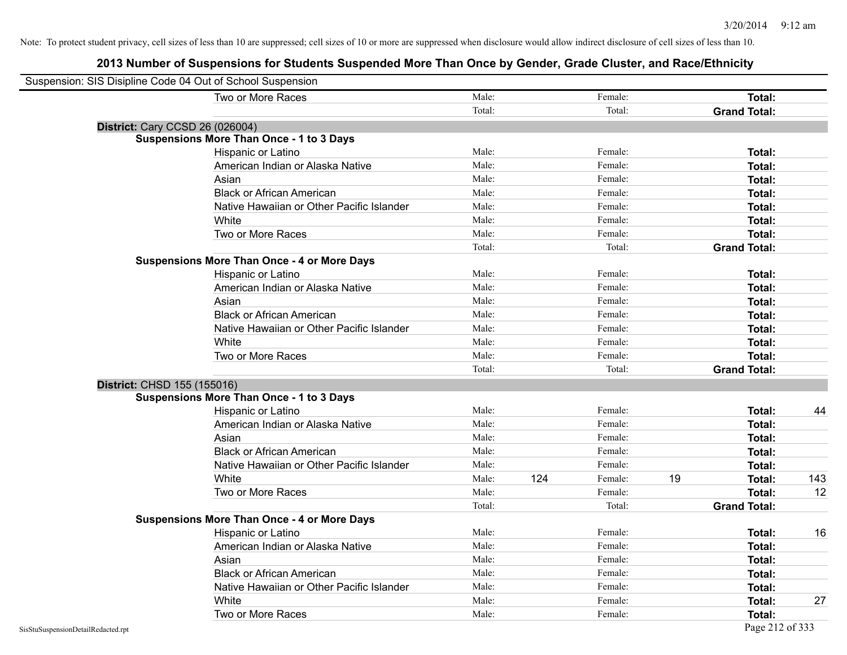| Suspension: SIS Disipline Code 04 Out of School Suspension |                                                    |        |     |         |    |                     |     |
|------------------------------------------------------------|----------------------------------------------------|--------|-----|---------|----|---------------------|-----|
|                                                            | Two or More Races                                  | Male:  |     | Female: |    | Total:              |     |
|                                                            |                                                    | Total: |     | Total:  |    | <b>Grand Total:</b> |     |
| <b>District: Cary CCSD 26 (026004)</b>                     |                                                    |        |     |         |    |                     |     |
|                                                            | <b>Suspensions More Than Once - 1 to 3 Days</b>    |        |     |         |    |                     |     |
|                                                            | Hispanic or Latino                                 | Male:  |     | Female: |    | Total:              |     |
|                                                            | American Indian or Alaska Native                   | Male:  |     | Female: |    | Total:              |     |
|                                                            | Asian                                              | Male:  |     | Female: |    | Total:              |     |
|                                                            | <b>Black or African American</b>                   | Male:  |     | Female: |    | Total:              |     |
|                                                            | Native Hawaiian or Other Pacific Islander          | Male:  |     | Female: |    | Total:              |     |
|                                                            | White                                              | Male:  |     | Female: |    | Total:              |     |
|                                                            | Two or More Races                                  | Male:  |     | Female: |    | Total:              |     |
|                                                            |                                                    | Total: |     | Total:  |    | <b>Grand Total:</b> |     |
|                                                            | <b>Suspensions More Than Once - 4 or More Days</b> |        |     |         |    |                     |     |
|                                                            | Hispanic or Latino                                 | Male:  |     | Female: |    | Total:              |     |
|                                                            | American Indian or Alaska Native                   | Male:  |     | Female: |    | Total:              |     |
|                                                            | Asian                                              | Male:  |     | Female: |    | Total:              |     |
|                                                            | <b>Black or African American</b>                   | Male:  |     | Female: |    | Total:              |     |
|                                                            | Native Hawaiian or Other Pacific Islander          | Male:  |     | Female: |    | Total:              |     |
|                                                            | White                                              | Male:  |     | Female: |    | Total:              |     |
|                                                            | Two or More Races                                  | Male:  |     | Female: |    | Total:              |     |
|                                                            |                                                    | Total: |     | Total:  |    | <b>Grand Total:</b> |     |
| District: CHSD 155 (155016)                                |                                                    |        |     |         |    |                     |     |
|                                                            | <b>Suspensions More Than Once - 1 to 3 Days</b>    |        |     |         |    |                     |     |
|                                                            | Hispanic or Latino                                 | Male:  |     | Female: |    | Total:              | 44  |
|                                                            | American Indian or Alaska Native                   | Male:  |     | Female: |    | Total:              |     |
|                                                            | Asian                                              | Male:  |     | Female: |    | Total:              |     |
|                                                            | <b>Black or African American</b>                   | Male:  |     | Female: |    | Total:              |     |
|                                                            | Native Hawaiian or Other Pacific Islander          | Male:  |     | Female: |    | Total:              |     |
|                                                            | White                                              | Male:  | 124 | Female: | 19 | Total:              | 143 |
|                                                            | Two or More Races                                  | Male:  |     | Female: |    | Total:              | 12  |
|                                                            |                                                    | Total: |     | Total:  |    | <b>Grand Total:</b> |     |
|                                                            | <b>Suspensions More Than Once - 4 or More Days</b> |        |     |         |    |                     |     |
|                                                            | Hispanic or Latino                                 | Male:  |     | Female: |    | Total:              | 16  |
|                                                            | American Indian or Alaska Native                   | Male:  |     | Female: |    | Total:              |     |
|                                                            | Asian                                              | Male:  |     | Female: |    | Total:              |     |
|                                                            | <b>Black or African American</b>                   | Male:  |     | Female: |    | Total:              |     |
|                                                            | Native Hawaiian or Other Pacific Islander          | Male:  |     | Female: |    | Total:              |     |
|                                                            | White                                              | Male:  |     | Female: |    | Total:              | 27  |
|                                                            | Two or More Races                                  | Male:  |     | Female: |    | Total:              |     |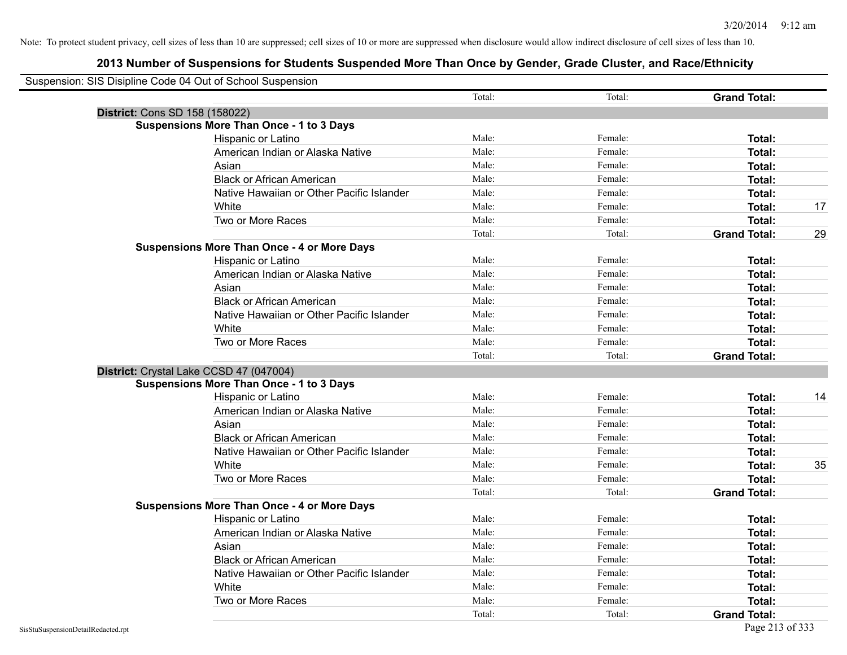| Suspension: SIS Disipline Code 04 Out of School Suspension |                                                    |        |         |                     |    |
|------------------------------------------------------------|----------------------------------------------------|--------|---------|---------------------|----|
|                                                            |                                                    | Total: | Total:  | <b>Grand Total:</b> |    |
|                                                            | District: Cons SD 158 (158022)                     |        |         |                     |    |
|                                                            | <b>Suspensions More Than Once - 1 to 3 Days</b>    |        |         |                     |    |
|                                                            | Hispanic or Latino                                 | Male:  | Female: | Total:              |    |
|                                                            | American Indian or Alaska Native                   | Male:  | Female: | Total:              |    |
|                                                            | Asian                                              | Male:  | Female: | Total:              |    |
|                                                            | <b>Black or African American</b>                   | Male:  | Female: | <b>Total:</b>       |    |
|                                                            | Native Hawaiian or Other Pacific Islander          | Male:  | Female: | Total:              |    |
|                                                            | White                                              | Male:  | Female: | Total:              | 17 |
|                                                            | Two or More Races                                  | Male:  | Female: | Total:              |    |
|                                                            |                                                    | Total: | Total:  | <b>Grand Total:</b> | 29 |
|                                                            | <b>Suspensions More Than Once - 4 or More Days</b> |        |         |                     |    |
|                                                            | Hispanic or Latino                                 | Male:  | Female: | Total:              |    |
|                                                            | American Indian or Alaska Native                   | Male:  | Female: | Total:              |    |
|                                                            | Asian                                              | Male:  | Female: | Total:              |    |
|                                                            | <b>Black or African American</b>                   | Male:  | Female: | Total:              |    |
|                                                            | Native Hawaiian or Other Pacific Islander          | Male:  | Female: | Total:              |    |
|                                                            | White                                              | Male:  | Female: | Total:              |    |
|                                                            | Two or More Races                                  | Male:  | Female: | Total:              |    |
|                                                            |                                                    | Total: | Total:  | <b>Grand Total:</b> |    |
|                                                            | District: Crystal Lake CCSD 47 (047004)            |        |         |                     |    |
|                                                            | <b>Suspensions More Than Once - 1 to 3 Days</b>    |        |         |                     |    |
|                                                            | Hispanic or Latino                                 | Male:  | Female: | Total:              | 14 |
|                                                            | American Indian or Alaska Native                   | Male:  | Female: | Total:              |    |
|                                                            | Asian                                              | Male:  | Female: | Total:              |    |
|                                                            | <b>Black or African American</b>                   | Male:  | Female: | Total:              |    |
|                                                            | Native Hawaiian or Other Pacific Islander          | Male:  | Female: | Total:              |    |
|                                                            | White                                              | Male:  | Female: | Total:              | 35 |
|                                                            | Two or More Races                                  | Male:  | Female: | Total:              |    |
|                                                            |                                                    | Total: | Total:  | <b>Grand Total:</b> |    |
|                                                            | <b>Suspensions More Than Once - 4 or More Days</b> |        |         |                     |    |
|                                                            | Hispanic or Latino                                 | Male:  | Female: | Total:              |    |
|                                                            | American Indian or Alaska Native                   | Male:  | Female: | <b>Total:</b>       |    |
|                                                            | Asian                                              | Male:  | Female: | Total:              |    |
|                                                            | <b>Black or African American</b>                   | Male:  | Female: | Total:              |    |
|                                                            | Native Hawaiian or Other Pacific Islander          | Male:  | Female: | Total:              |    |
|                                                            | White                                              | Male:  | Female: | Total:              |    |
|                                                            | Two or More Races                                  | Male:  | Female: | Total:              |    |
|                                                            |                                                    | Total: | Total:  | <b>Grand Total:</b> |    |
| SisStuSuspensionDetailRedacted.rpt                         |                                                    |        |         | Page 213 of 333     |    |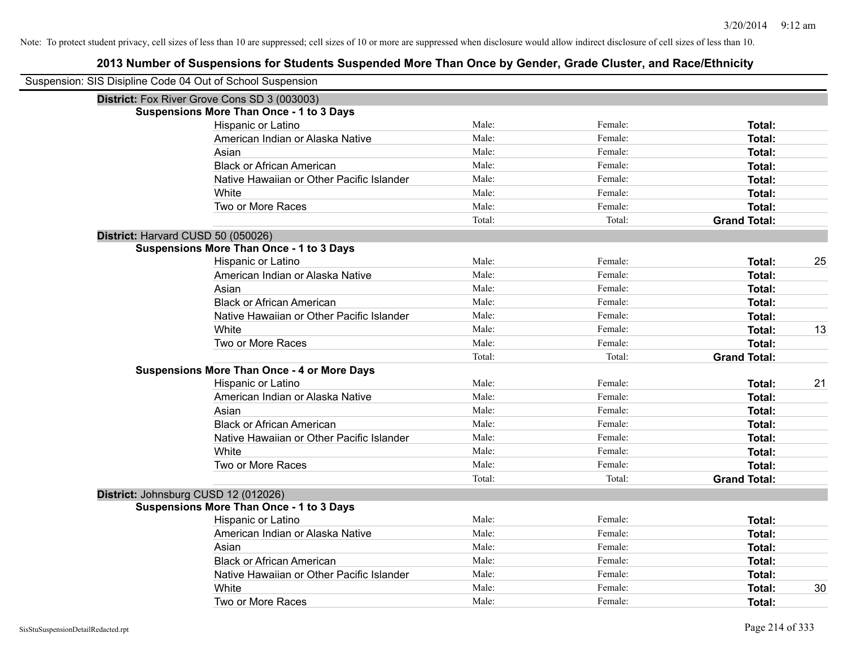| Suspension: SIS Disipline Code 04 Out of School Suspension |                                                    |        |         |                     |    |
|------------------------------------------------------------|----------------------------------------------------|--------|---------|---------------------|----|
|                                                            | District: Fox River Grove Cons SD 3 (003003)       |        |         |                     |    |
|                                                            | <b>Suspensions More Than Once - 1 to 3 Days</b>    |        |         |                     |    |
|                                                            | Hispanic or Latino                                 | Male:  | Female: | Total:              |    |
|                                                            | American Indian or Alaska Native                   | Male:  | Female: | <b>Total:</b>       |    |
|                                                            | Asian                                              | Male:  | Female: | <b>Total:</b>       |    |
|                                                            | <b>Black or African American</b>                   | Male:  | Female: | <b>Total:</b>       |    |
|                                                            | Native Hawaiian or Other Pacific Islander          | Male:  | Female: | <b>Total:</b>       |    |
|                                                            | White                                              | Male:  | Female: | Total:              |    |
|                                                            | Two or More Races                                  | Male:  | Female: | <b>Total:</b>       |    |
|                                                            |                                                    | Total: | Total:  | <b>Grand Total:</b> |    |
|                                                            | District: Harvard CUSD 50 (050026)                 |        |         |                     |    |
|                                                            | <b>Suspensions More Than Once - 1 to 3 Days</b>    |        |         |                     |    |
|                                                            | Hispanic or Latino                                 | Male:  | Female: | Total:              | 25 |
|                                                            | American Indian or Alaska Native                   | Male:  | Female: | <b>Total:</b>       |    |
|                                                            | Asian                                              | Male:  | Female: | <b>Total:</b>       |    |
|                                                            | <b>Black or African American</b>                   | Male:  | Female: | Total:              |    |
|                                                            | Native Hawaiian or Other Pacific Islander          | Male:  | Female: | <b>Total:</b>       |    |
|                                                            | White                                              | Male:  | Female: | <b>Total:</b>       | 13 |
|                                                            | Two or More Races                                  | Male:  | Female: | <b>Total:</b>       |    |
|                                                            |                                                    | Total: | Total:  | <b>Grand Total:</b> |    |
|                                                            | <b>Suspensions More Than Once - 4 or More Days</b> |        |         |                     |    |
|                                                            | Hispanic or Latino                                 | Male:  | Female: | Total:              | 21 |
|                                                            | American Indian or Alaska Native                   | Male:  | Female: | <b>Total:</b>       |    |
|                                                            | Asian                                              | Male:  | Female: | <b>Total:</b>       |    |
|                                                            | <b>Black or African American</b>                   | Male:  | Female: | <b>Total:</b>       |    |
|                                                            | Native Hawaiian or Other Pacific Islander          | Male:  | Female: | <b>Total:</b>       |    |
|                                                            | White                                              | Male:  | Female: | <b>Total:</b>       |    |
|                                                            | Two or More Races                                  | Male:  | Female: | <b>Total:</b>       |    |
|                                                            |                                                    | Total: | Total:  | <b>Grand Total:</b> |    |
|                                                            | District: Johnsburg CUSD 12 (012026)               |        |         |                     |    |
|                                                            | <b>Suspensions More Than Once - 1 to 3 Days</b>    |        |         |                     |    |
|                                                            | Hispanic or Latino                                 | Male:  | Female: | Total:              |    |
|                                                            | American Indian or Alaska Native                   | Male:  | Female: | Total:              |    |
|                                                            | Asian                                              | Male:  | Female: | Total:              |    |
|                                                            | <b>Black or African American</b>                   | Male:  | Female: | <b>Total:</b>       |    |
|                                                            | Native Hawaiian or Other Pacific Islander          | Male:  | Female: | <b>Total:</b>       |    |
|                                                            | White                                              | Male:  | Female: | <b>Total:</b>       | 30 |
|                                                            | Two or More Races                                  | Male:  | Female: | Total:              |    |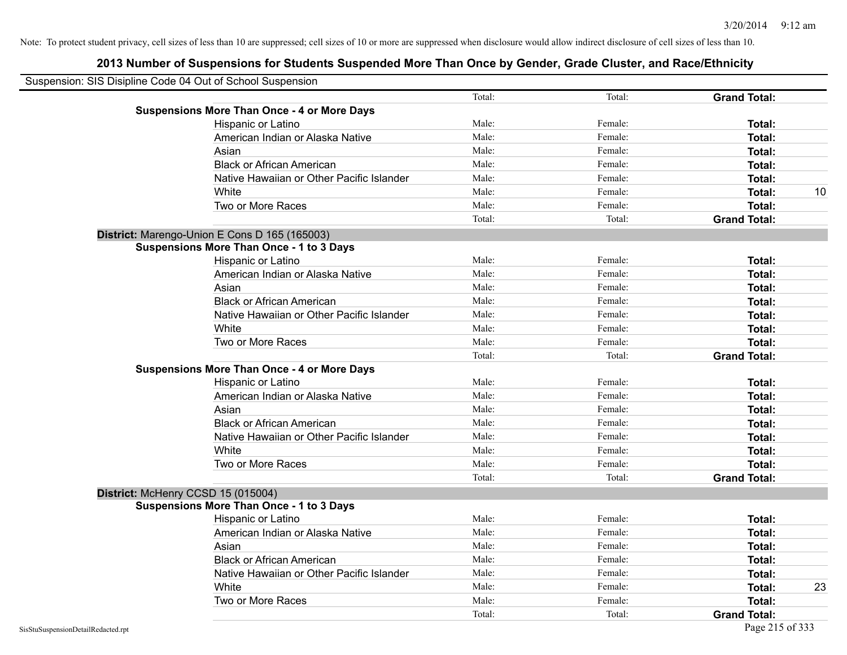| Suspension: SIS Disipline Code 04 Out of School Suspension |        |         |                     |    |
|------------------------------------------------------------|--------|---------|---------------------|----|
|                                                            | Total: | Total:  | <b>Grand Total:</b> |    |
| <b>Suspensions More Than Once - 4 or More Days</b>         |        |         |                     |    |
| Hispanic or Latino                                         | Male:  | Female: | Total:              |    |
| American Indian or Alaska Native                           | Male:  | Female: | Total:              |    |
| Asian                                                      | Male:  | Female: | Total:              |    |
| <b>Black or African American</b>                           | Male:  | Female: | Total:              |    |
| Native Hawaiian or Other Pacific Islander                  | Male:  | Female: | Total:              |    |
| White                                                      | Male:  | Female: | Total:              | 10 |
| Two or More Races                                          | Male:  | Female: | Total:              |    |
|                                                            | Total: | Total:  | <b>Grand Total:</b> |    |
| District: Marengo-Union E Cons D 165 (165003)              |        |         |                     |    |
| <b>Suspensions More Than Once - 1 to 3 Days</b>            |        |         |                     |    |
| Hispanic or Latino                                         | Male:  | Female: | Total:              |    |
| American Indian or Alaska Native                           | Male:  | Female: | Total:              |    |
| Asian                                                      | Male:  | Female: | Total:              |    |
| <b>Black or African American</b>                           | Male:  | Female: | Total:              |    |
| Native Hawaiian or Other Pacific Islander                  | Male:  | Female: | Total:              |    |
| White                                                      | Male:  | Female: | Total:              |    |
| Two or More Races                                          | Male:  | Female: | Total:              |    |
|                                                            | Total: | Total:  | <b>Grand Total:</b> |    |
| <b>Suspensions More Than Once - 4 or More Days</b>         |        |         |                     |    |
| Hispanic or Latino                                         | Male:  | Female: | Total:              |    |
| American Indian or Alaska Native                           | Male:  | Female: | Total:              |    |
| Asian                                                      | Male:  | Female: | Total:              |    |
| <b>Black or African American</b>                           | Male:  | Female: | Total:              |    |
| Native Hawaiian or Other Pacific Islander                  | Male:  | Female: | Total:              |    |
| White                                                      | Male:  | Female: | Total:              |    |
| Two or More Races                                          | Male:  | Female: | Total:              |    |
|                                                            | Total: | Total:  | <b>Grand Total:</b> |    |
| District: McHenry CCSD 15 (015004)                         |        |         |                     |    |
| <b>Suspensions More Than Once - 1 to 3 Days</b>            |        |         |                     |    |
| Hispanic or Latino                                         | Male:  | Female: | Total:              |    |
| American Indian or Alaska Native                           | Male:  | Female: | Total:              |    |
| Asian                                                      | Male:  | Female: | Total:              |    |
| <b>Black or African American</b>                           | Male:  | Female: | Total:              |    |
| Native Hawaiian or Other Pacific Islander                  | Male:  | Female: | Total:              |    |
| White                                                      | Male:  | Female: | Total:              | 23 |
| Two or More Races                                          | Male:  | Female: | Total:              |    |
|                                                            | Total: | Total:  | <b>Grand Total:</b> |    |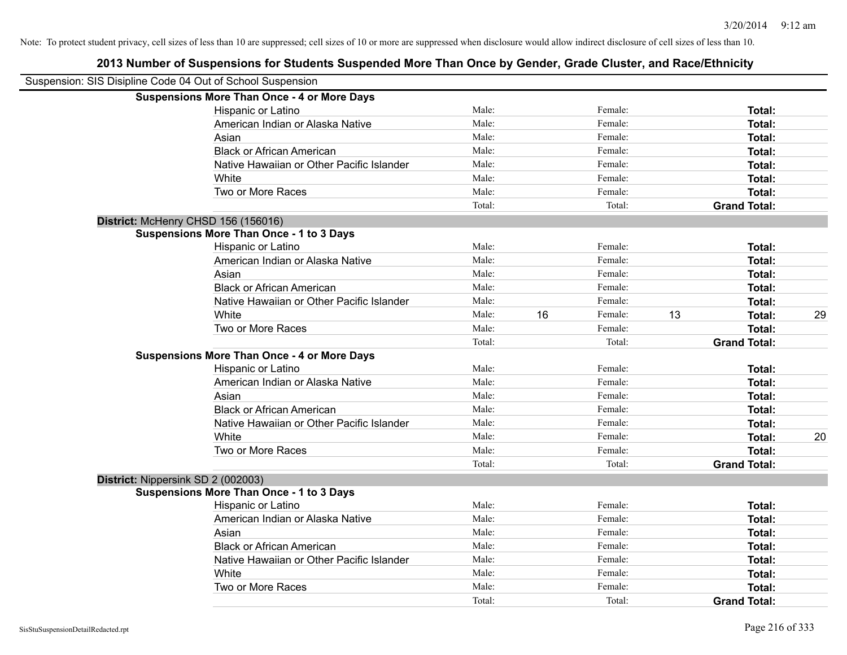| Suspension: SIS Disipline Code 04 Out of School Suspension |                                                    |        |    |         |    |                     |    |
|------------------------------------------------------------|----------------------------------------------------|--------|----|---------|----|---------------------|----|
|                                                            | <b>Suspensions More Than Once - 4 or More Days</b> |        |    |         |    |                     |    |
|                                                            | Hispanic or Latino                                 | Male:  |    | Female: |    | Total:              |    |
|                                                            | American Indian or Alaska Native                   | Male:  |    | Female: |    | Total:              |    |
|                                                            | Asian                                              | Male:  |    | Female: |    | Total:              |    |
|                                                            | <b>Black or African American</b>                   | Male:  |    | Female: |    | Total:              |    |
|                                                            | Native Hawaiian or Other Pacific Islander          | Male:  |    | Female: |    | Total:              |    |
|                                                            | White                                              | Male:  |    | Female: |    | Total:              |    |
|                                                            | Two or More Races                                  | Male:  |    | Female: |    | Total:              |    |
|                                                            |                                                    | Total: |    | Total:  |    | <b>Grand Total:</b> |    |
| District: McHenry CHSD 156 (156016)                        |                                                    |        |    |         |    |                     |    |
|                                                            | <b>Suspensions More Than Once - 1 to 3 Days</b>    |        |    |         |    |                     |    |
|                                                            | Hispanic or Latino                                 | Male:  |    | Female: |    | Total:              |    |
|                                                            | American Indian or Alaska Native                   | Male:  |    | Female: |    | Total:              |    |
|                                                            | Asian                                              | Male:  |    | Female: |    | Total:              |    |
|                                                            | <b>Black or African American</b>                   | Male:  |    | Female: |    | Total:              |    |
|                                                            | Native Hawaiian or Other Pacific Islander          | Male:  |    | Female: |    | Total:              |    |
|                                                            | White                                              | Male:  | 16 | Female: | 13 | Total:              | 29 |
|                                                            | Two or More Races                                  | Male:  |    | Female: |    | Total:              |    |
|                                                            |                                                    | Total: |    | Total:  |    | <b>Grand Total:</b> |    |
|                                                            | <b>Suspensions More Than Once - 4 or More Days</b> |        |    |         |    |                     |    |
|                                                            | Hispanic or Latino                                 | Male:  |    | Female: |    | Total:              |    |
|                                                            | American Indian or Alaska Native                   | Male:  |    | Female: |    | Total:              |    |
|                                                            | Asian                                              | Male:  |    | Female: |    | Total:              |    |
|                                                            | <b>Black or African American</b>                   | Male:  |    | Female: |    | Total:              |    |
|                                                            | Native Hawaiian or Other Pacific Islander          | Male:  |    | Female: |    | Total:              |    |
|                                                            | White                                              | Male:  |    | Female: |    | Total:              | 20 |
|                                                            | Two or More Races                                  | Male:  |    | Female: |    | Total:              |    |
|                                                            |                                                    | Total: |    | Total:  |    | <b>Grand Total:</b> |    |
| District: Nippersink SD 2 (002003)                         |                                                    |        |    |         |    |                     |    |
|                                                            | <b>Suspensions More Than Once - 1 to 3 Days</b>    |        |    |         |    |                     |    |
|                                                            | Hispanic or Latino                                 | Male:  |    | Female: |    | Total:              |    |
|                                                            | American Indian or Alaska Native                   | Male:  |    | Female: |    | Total:              |    |
|                                                            | Asian                                              | Male:  |    | Female: |    | Total:              |    |
|                                                            | <b>Black or African American</b>                   | Male:  |    | Female: |    | Total:              |    |
|                                                            | Native Hawaiian or Other Pacific Islander          | Male:  |    | Female: |    | Total:              |    |
|                                                            | White                                              | Male:  |    | Female: |    | Total:              |    |
|                                                            | Two or More Races                                  | Male:  |    | Female: |    | Total:              |    |
|                                                            |                                                    | Total: |    | Total:  |    | <b>Grand Total:</b> |    |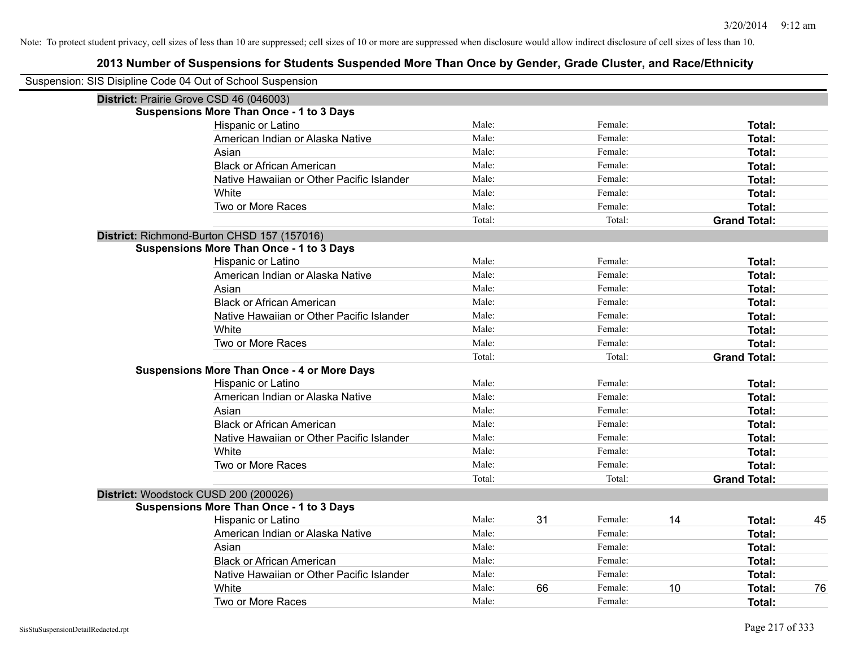| Suspension: SIS Disipline Code 04 Out of School Suspension |                                                    |        |    |         |    |                     |    |
|------------------------------------------------------------|----------------------------------------------------|--------|----|---------|----|---------------------|----|
| District: Prairie Grove CSD 46 (046003)                    |                                                    |        |    |         |    |                     |    |
|                                                            | <b>Suspensions More Than Once - 1 to 3 Days</b>    |        |    |         |    |                     |    |
|                                                            | Hispanic or Latino                                 | Male:  |    | Female: |    | Total:              |    |
|                                                            | American Indian or Alaska Native                   | Male:  |    | Female: |    | <b>Total:</b>       |    |
|                                                            | Asian                                              | Male:  |    | Female: |    | Total:              |    |
|                                                            | <b>Black or African American</b>                   | Male:  |    | Female: |    | Total:              |    |
|                                                            | Native Hawaiian or Other Pacific Islander          | Male:  |    | Female: |    | Total:              |    |
|                                                            | White                                              | Male:  |    | Female: |    | <b>Total:</b>       |    |
|                                                            | Two or More Races                                  | Male:  |    | Female: |    | <b>Total:</b>       |    |
|                                                            |                                                    | Total: |    | Total:  |    | <b>Grand Total:</b> |    |
|                                                            | District: Richmond-Burton CHSD 157 (157016)        |        |    |         |    |                     |    |
|                                                            | <b>Suspensions More Than Once - 1 to 3 Days</b>    |        |    |         |    |                     |    |
|                                                            | Hispanic or Latino                                 | Male:  |    | Female: |    | Total:              |    |
|                                                            | American Indian or Alaska Native                   | Male:  |    | Female: |    | Total:              |    |
|                                                            | Asian                                              | Male:  |    | Female: |    | Total:              |    |
|                                                            | <b>Black or African American</b>                   | Male:  |    | Female: |    | Total:              |    |
|                                                            | Native Hawaiian or Other Pacific Islander          | Male:  |    | Female: |    | Total:              |    |
|                                                            | White                                              | Male:  |    | Female: |    | Total:              |    |
|                                                            | Two or More Races                                  | Male:  |    | Female: |    | <b>Total:</b>       |    |
|                                                            |                                                    | Total: |    | Total:  |    | <b>Grand Total:</b> |    |
|                                                            | <b>Suspensions More Than Once - 4 or More Days</b> |        |    |         |    |                     |    |
|                                                            | Hispanic or Latino                                 | Male:  |    | Female: |    | Total:              |    |
|                                                            | American Indian or Alaska Native                   | Male:  |    | Female: |    | Total:              |    |
|                                                            | Asian                                              | Male:  |    | Female: |    | Total:              |    |
|                                                            | <b>Black or African American</b>                   | Male:  |    | Female: |    | <b>Total:</b>       |    |
|                                                            | Native Hawaiian or Other Pacific Islander          | Male:  |    | Female: |    | Total:              |    |
|                                                            | White                                              | Male:  |    | Female: |    | <b>Total:</b>       |    |
|                                                            | Two or More Races                                  | Male:  |    | Female: |    | <b>Total:</b>       |    |
|                                                            |                                                    | Total: |    | Total:  |    | <b>Grand Total:</b> |    |
| District: Woodstock CUSD 200 (200026)                      |                                                    |        |    |         |    |                     |    |
|                                                            | <b>Suspensions More Than Once - 1 to 3 Days</b>    |        |    |         |    |                     |    |
|                                                            | Hispanic or Latino                                 | Male:  | 31 | Female: | 14 | Total:              | 45 |
|                                                            | American Indian or Alaska Native                   | Male:  |    | Female: |    | Total:              |    |
|                                                            | Asian                                              | Male:  |    | Female: |    | Total:              |    |
|                                                            | <b>Black or African American</b>                   | Male:  |    | Female: |    | Total:              |    |
|                                                            | Native Hawaiian or Other Pacific Islander          | Male:  |    | Female: |    | Total:              |    |
|                                                            | White                                              | Male:  | 66 | Female: | 10 | <b>Total:</b>       | 76 |
|                                                            | Two or More Races                                  | Male:  |    | Female: |    | <b>Total:</b>       |    |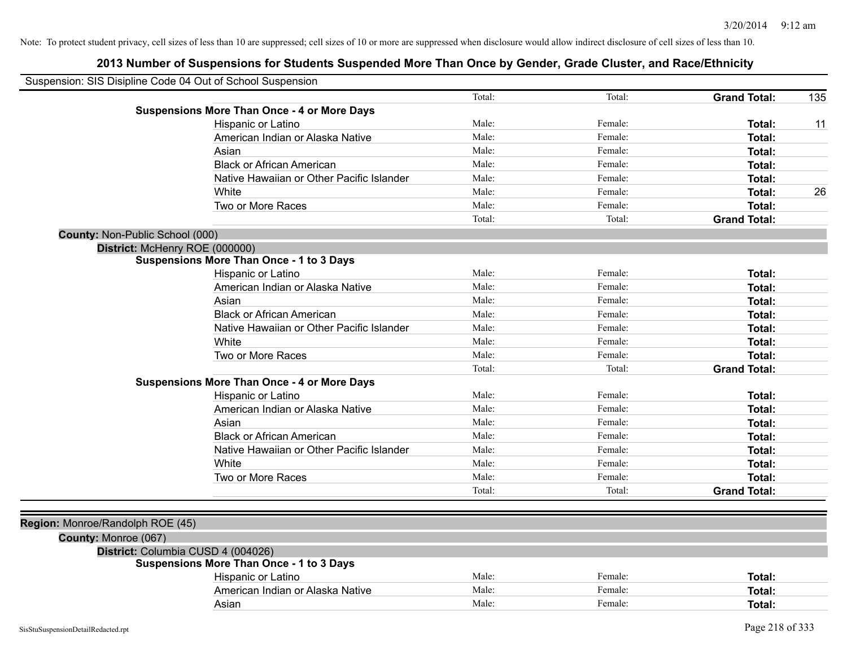| Suspension: SIS Disipline Code 04 Out of School Suspension |                                                    |        |         |                     |     |
|------------------------------------------------------------|----------------------------------------------------|--------|---------|---------------------|-----|
|                                                            |                                                    | Total: | Total:  | <b>Grand Total:</b> | 135 |
|                                                            | <b>Suspensions More Than Once - 4 or More Days</b> |        |         |                     |     |
|                                                            | Hispanic or Latino                                 | Male:  | Female: | Total:              | 11  |
|                                                            | American Indian or Alaska Native                   | Male:  | Female: | Total:              |     |
|                                                            | Asian                                              | Male:  | Female: | Total:              |     |
|                                                            | <b>Black or African American</b>                   | Male:  | Female: | Total:              |     |
|                                                            | Native Hawaiian or Other Pacific Islander          | Male:  | Female: | Total:              |     |
|                                                            | White                                              | Male:  | Female: | Total:              | 26  |
|                                                            | Two or More Races                                  | Male:  | Female: | Total:              |     |
|                                                            |                                                    | Total: | Total:  | <b>Grand Total:</b> |     |
| County: Non-Public School (000)                            |                                                    |        |         |                     |     |
| District: McHenry ROE (000000)                             |                                                    |        |         |                     |     |
|                                                            | <b>Suspensions More Than Once - 1 to 3 Days</b>    |        |         |                     |     |
|                                                            | Hispanic or Latino                                 | Male:  | Female: | Total:              |     |
|                                                            | American Indian or Alaska Native                   | Male:  | Female: | Total:              |     |
|                                                            | Asian                                              | Male:  | Female: | Total:              |     |
|                                                            | <b>Black or African American</b>                   | Male:  | Female: | Total:              |     |
|                                                            | Native Hawaiian or Other Pacific Islander          | Male:  | Female: | Total:              |     |
|                                                            | White                                              | Male:  | Female: | Total:              |     |
|                                                            | Two or More Races                                  | Male:  | Female: | Total:              |     |
|                                                            |                                                    | Total: | Total:  | <b>Grand Total:</b> |     |
|                                                            | <b>Suspensions More Than Once - 4 or More Days</b> |        |         |                     |     |
|                                                            | Hispanic or Latino                                 | Male:  | Female: | Total:              |     |
|                                                            | American Indian or Alaska Native                   | Male:  | Female: | Total:              |     |
|                                                            | Asian                                              | Male:  | Female: | Total:              |     |
|                                                            | <b>Black or African American</b>                   | Male:  | Female: | Total:              |     |
|                                                            | Native Hawaiian or Other Pacific Islander          | Male:  | Female: | Total:              |     |
|                                                            | White                                              | Male:  | Female: | Total:              |     |
|                                                            | Two or More Races                                  | Male:  | Female: | Total:              |     |
|                                                            |                                                    | Total: | Total:  | <b>Grand Total:</b> |     |
|                                                            |                                                    |        |         |                     |     |
| Region: Monroe/Randolph ROE (45)                           |                                                    |        |         |                     |     |
| County: Monroe (067)                                       |                                                    |        |         |                     |     |
| District: Columbia CUSD 4 (004026)                         |                                                    |        |         |                     |     |
|                                                            | <b>Suspensions More Than Once - 1 to 3 Days</b>    |        |         |                     |     |
|                                                            | Hispanic or Latino                                 | Male:  | Female: | Total:              |     |
|                                                            | American Indian or Alaska Native                   | Male:  | Female: | Total:              |     |
|                                                            | Asian                                              | Male:  | Female: | Total:              |     |
|                                                            |                                                    |        |         |                     |     |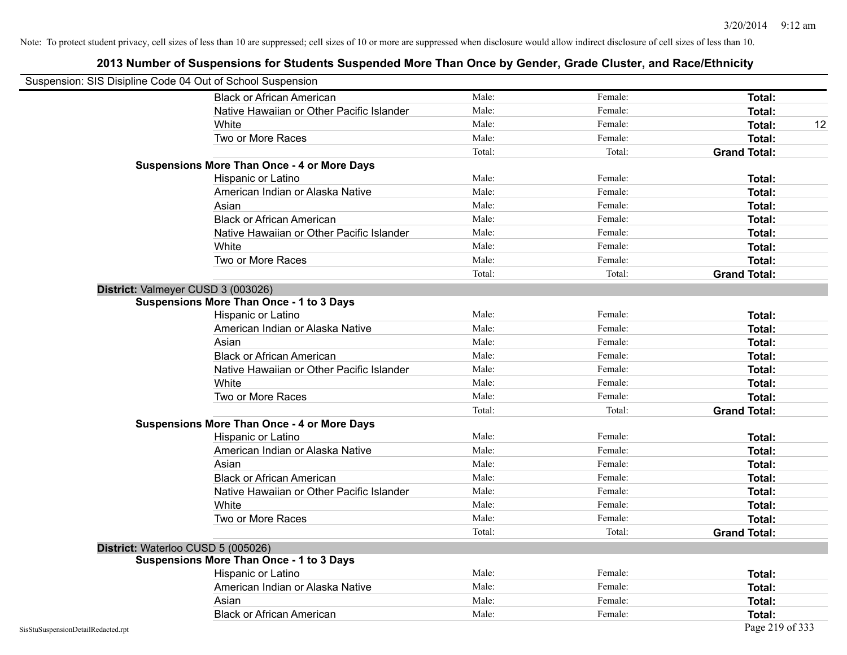| Suspension: SIS Disipline Code 04 Out of School Suspension |                                                    |        |         |                     |
|------------------------------------------------------------|----------------------------------------------------|--------|---------|---------------------|
|                                                            | <b>Black or African American</b>                   | Male:  | Female: | Total:              |
|                                                            | Native Hawaiian or Other Pacific Islander          | Male:  | Female: | Total:              |
|                                                            | White                                              | Male:  | Female: | 12<br>Total:        |
|                                                            | Two or More Races                                  | Male:  | Female: | <b>Total:</b>       |
|                                                            |                                                    | Total: | Total:  | <b>Grand Total:</b> |
|                                                            | <b>Suspensions More Than Once - 4 or More Days</b> |        |         |                     |
|                                                            | Hispanic or Latino                                 | Male:  | Female: | Total:              |
|                                                            | American Indian or Alaska Native                   | Male:  | Female: | <b>Total:</b>       |
|                                                            | Asian                                              | Male:  | Female: | Total:              |
|                                                            | <b>Black or African American</b>                   | Male:  | Female: | Total:              |
|                                                            | Native Hawaiian or Other Pacific Islander          | Male:  | Female: | Total:              |
|                                                            | White                                              | Male:  | Female: | <b>Total:</b>       |
|                                                            | Two or More Races                                  | Male:  | Female: | Total:              |
|                                                            |                                                    | Total: | Total:  | <b>Grand Total:</b> |
| District: Valmeyer CUSD 3 (003026)                         |                                                    |        |         |                     |
|                                                            | <b>Suspensions More Than Once - 1 to 3 Days</b>    |        |         |                     |
|                                                            | Hispanic or Latino                                 | Male:  | Female: | <b>Total:</b>       |
|                                                            | American Indian or Alaska Native                   | Male:  | Female: | <b>Total:</b>       |
|                                                            | Asian                                              | Male:  | Female: | <b>Total:</b>       |
|                                                            | <b>Black or African American</b>                   | Male:  | Female: | Total:              |
|                                                            | Native Hawaiian or Other Pacific Islander          | Male:  | Female: | <b>Total:</b>       |
|                                                            | White                                              | Male:  | Female: | Total:              |
|                                                            | Two or More Races                                  | Male:  | Female: | Total:              |
|                                                            |                                                    | Total: | Total:  | <b>Grand Total:</b> |
|                                                            | <b>Suspensions More Than Once - 4 or More Days</b> |        |         |                     |
|                                                            | Hispanic or Latino                                 | Male:  | Female: | Total:              |
|                                                            | American Indian or Alaska Native                   | Male:  | Female: | <b>Total:</b>       |
|                                                            | Asian                                              | Male:  | Female: | <b>Total:</b>       |
|                                                            | <b>Black or African American</b>                   | Male:  | Female: | Total:              |
|                                                            | Native Hawaiian or Other Pacific Islander          | Male:  | Female: | Total:              |
|                                                            | White                                              | Male:  | Female: | <b>Total:</b>       |
|                                                            | Two or More Races                                  | Male:  | Female: | Total:              |
|                                                            |                                                    | Total: | Total:  | <b>Grand Total:</b> |
| District: Waterloo CUSD 5 (005026)                         |                                                    |        |         |                     |
|                                                            | <b>Suspensions More Than Once - 1 to 3 Days</b>    |        |         |                     |
|                                                            | Hispanic or Latino                                 | Male:  | Female: | Total:              |
|                                                            | American Indian or Alaska Native                   | Male:  | Female: | Total:              |
|                                                            | Asian                                              | Male:  | Female: | Total:              |
|                                                            | <b>Black or African American</b>                   | Male:  | Female: | Total:              |
| SisStuSuspensionDetailRedacted.rpt                         |                                                    |        |         | Page 219 of 333     |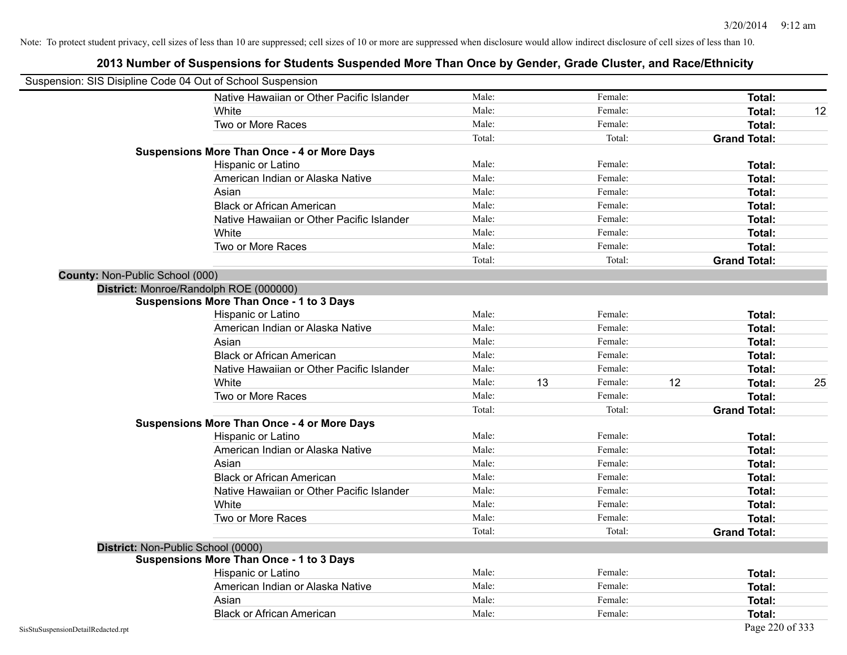|                                        | Suspension: SIS Disipline Code 04 Out of School Suspension |        |    |         |    |                     |    |
|----------------------------------------|------------------------------------------------------------|--------|----|---------|----|---------------------|----|
|                                        | Native Hawaiian or Other Pacific Islander                  | Male:  |    | Female: |    | Total:              |    |
|                                        | White                                                      | Male:  |    | Female: |    | <b>Total:</b>       | 12 |
|                                        | Two or More Races                                          | Male:  |    | Female: |    | <b>Total:</b>       |    |
|                                        |                                                            | Total: |    | Total:  |    | <b>Grand Total:</b> |    |
|                                        | <b>Suspensions More Than Once - 4 or More Days</b>         |        |    |         |    |                     |    |
|                                        | Hispanic or Latino                                         | Male:  |    | Female: |    | Total:              |    |
|                                        | American Indian or Alaska Native                           | Male:  |    | Female: |    | <b>Total:</b>       |    |
|                                        | Asian                                                      | Male:  |    | Female: |    | Total:              |    |
|                                        | <b>Black or African American</b>                           | Male:  |    | Female: |    | <b>Total:</b>       |    |
|                                        | Native Hawaiian or Other Pacific Islander                  | Male:  |    | Female: |    | <b>Total:</b>       |    |
|                                        | White                                                      | Male:  |    | Female: |    | <b>Total:</b>       |    |
|                                        | Two or More Races                                          | Male:  |    | Female: |    | Total:              |    |
|                                        |                                                            | Total: |    | Total:  |    | <b>Grand Total:</b> |    |
| <b>County: Non-Public School (000)</b> |                                                            |        |    |         |    |                     |    |
|                                        | District: Monroe/Randolph ROE (000000)                     |        |    |         |    |                     |    |
|                                        | <b>Suspensions More Than Once - 1 to 3 Days</b>            |        |    |         |    |                     |    |
|                                        | Hispanic or Latino                                         | Male:  |    | Female: |    | Total:              |    |
|                                        | American Indian or Alaska Native                           | Male:  |    | Female: |    | <b>Total:</b>       |    |
|                                        | Asian                                                      | Male:  |    | Female: |    | <b>Total:</b>       |    |
|                                        | <b>Black or African American</b>                           | Male:  |    | Female: |    | <b>Total:</b>       |    |
|                                        | Native Hawaiian or Other Pacific Islander                  | Male:  |    | Female: |    | Total:              |    |
|                                        | White                                                      | Male:  | 13 | Female: | 12 | <b>Total:</b>       | 25 |
|                                        | Two or More Races                                          | Male:  |    | Female: |    | Total:              |    |
|                                        |                                                            | Total: |    | Total:  |    | <b>Grand Total:</b> |    |
|                                        | <b>Suspensions More Than Once - 4 or More Days</b>         |        |    |         |    |                     |    |
|                                        | Hispanic or Latino                                         | Male:  |    | Female: |    | Total:              |    |
|                                        | American Indian or Alaska Native                           | Male:  |    | Female: |    | <b>Total:</b>       |    |
|                                        | Asian                                                      | Male:  |    | Female: |    | <b>Total:</b>       |    |
|                                        | <b>Black or African American</b>                           | Male:  |    | Female: |    | <b>Total:</b>       |    |
|                                        | Native Hawaiian or Other Pacific Islander                  | Male:  |    | Female: |    | Total:              |    |
|                                        | White                                                      | Male:  |    | Female: |    | Total:              |    |
|                                        | Two or More Races                                          | Male:  |    | Female: |    | <b>Total:</b>       |    |
|                                        |                                                            | Total: |    | Total:  |    | <b>Grand Total:</b> |    |
|                                        | District: Non-Public School (0000)                         |        |    |         |    |                     |    |
|                                        | <b>Suspensions More Than Once - 1 to 3 Days</b>            |        |    |         |    |                     |    |
|                                        | Hispanic or Latino                                         | Male:  |    | Female: |    | Total:              |    |
|                                        | American Indian or Alaska Native                           | Male:  |    | Female: |    | Total:              |    |
|                                        | Asian                                                      | Male:  |    | Female: |    | Total:              |    |
|                                        | <b>Black or African American</b>                           | Male:  |    | Female: |    | Total:              |    |
| SisStuSuspensionDetailRedacted.rpt     |                                                            |        |    |         |    | Page 220 of 333     |    |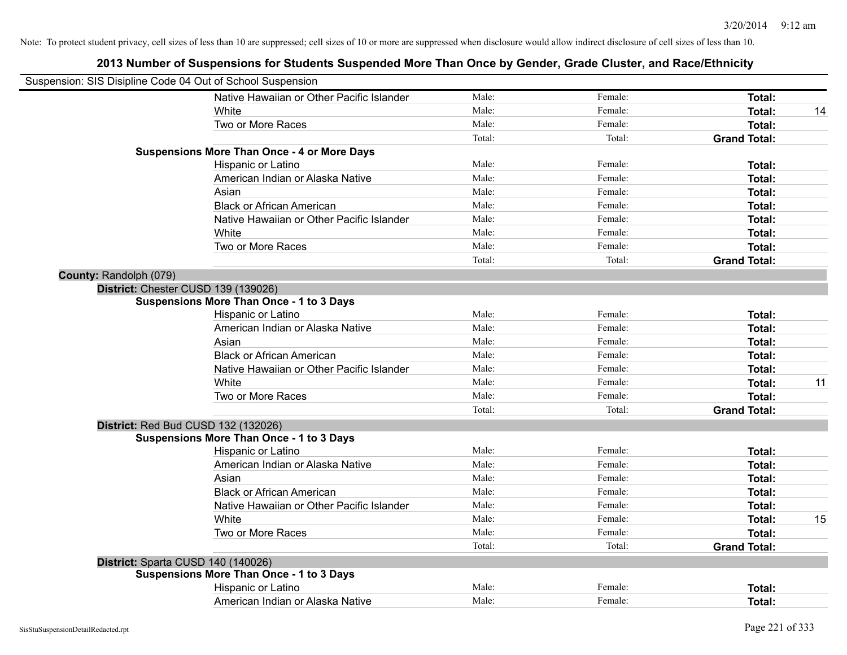| Suspension: SIS Disipline Code 04 Out of School Suspension |                                                    |        |         |                     |    |
|------------------------------------------------------------|----------------------------------------------------|--------|---------|---------------------|----|
|                                                            | Native Hawaiian or Other Pacific Islander          | Male:  | Female: | Total:              |    |
|                                                            | White                                              | Male:  | Female: | Total:              | 14 |
|                                                            | Two or More Races                                  | Male:  | Female: | Total:              |    |
|                                                            |                                                    | Total: | Total:  | <b>Grand Total:</b> |    |
|                                                            | <b>Suspensions More Than Once - 4 or More Days</b> |        |         |                     |    |
|                                                            | Hispanic or Latino                                 | Male:  | Female: | Total:              |    |
|                                                            | American Indian or Alaska Native                   | Male:  | Female: | Total:              |    |
|                                                            | Asian                                              | Male:  | Female: | Total:              |    |
|                                                            | <b>Black or African American</b>                   | Male:  | Female: | Total:              |    |
|                                                            | Native Hawaiian or Other Pacific Islander          | Male:  | Female: | Total:              |    |
|                                                            | White                                              | Male:  | Female: | Total:              |    |
|                                                            | Two or More Races                                  | Male:  | Female: | Total:              |    |
|                                                            |                                                    | Total: | Total:  | <b>Grand Total:</b> |    |
| County: Randolph (079)                                     |                                                    |        |         |                     |    |
| District: Chester CUSD 139 (139026)                        |                                                    |        |         |                     |    |
|                                                            | <b>Suspensions More Than Once - 1 to 3 Days</b>    |        |         |                     |    |
|                                                            | Hispanic or Latino                                 | Male:  | Female: | Total:              |    |
|                                                            | American Indian or Alaska Native                   | Male:  | Female: | Total:              |    |
|                                                            | Asian                                              | Male:  | Female: | Total:              |    |
|                                                            | <b>Black or African American</b>                   | Male:  | Female: | Total:              |    |
|                                                            | Native Hawaiian or Other Pacific Islander          | Male:  | Female: | Total:              |    |
|                                                            | White                                              | Male:  | Female: | Total:              | 11 |
|                                                            | Two or More Races                                  | Male:  | Female: | Total:              |    |
|                                                            |                                                    | Total: | Total:  | <b>Grand Total:</b> |    |
| District: Red Bud CUSD 132 (132026)                        |                                                    |        |         |                     |    |
|                                                            | <b>Suspensions More Than Once - 1 to 3 Days</b>    |        |         |                     |    |
|                                                            | Hispanic or Latino                                 | Male:  | Female: | Total:              |    |
|                                                            | American Indian or Alaska Native                   | Male:  | Female: | Total:              |    |
|                                                            | Asian                                              | Male:  | Female: | Total:              |    |
|                                                            | <b>Black or African American</b>                   | Male:  | Female: | Total:              |    |
|                                                            | Native Hawaiian or Other Pacific Islander          | Male:  | Female: | Total:              |    |
|                                                            | White                                              | Male:  | Female: | Total:              | 15 |
|                                                            | Two or More Races                                  | Male:  | Female: | Total:              |    |
|                                                            |                                                    | Total: | Total:  | <b>Grand Total:</b> |    |
| District: Sparta CUSD 140 (140026)                         |                                                    |        |         |                     |    |
|                                                            | <b>Suspensions More Than Once - 1 to 3 Days</b>    |        |         |                     |    |
|                                                            | Hispanic or Latino                                 | Male:  | Female: | Total:              |    |
|                                                            | American Indian or Alaska Native                   | Male:  | Female: | Total:              |    |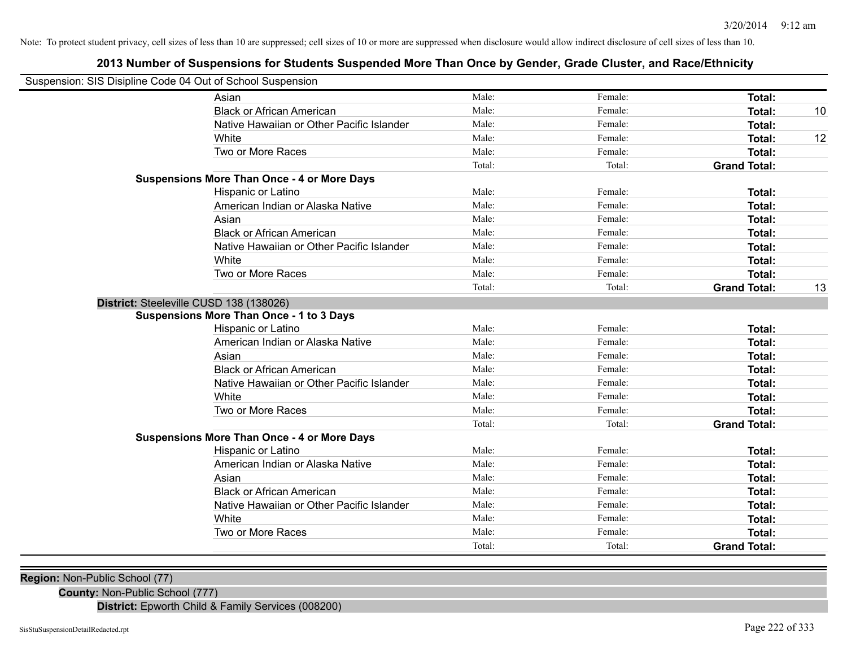# **2013 Number of Suspensions for Students Suspended More Than Once by Gender, Grade Cluster, and Race/Ethnicity**

| Suspension: SIS Disipline Code 04 Out of School Suspension |                                                    |        |         |                     |    |
|------------------------------------------------------------|----------------------------------------------------|--------|---------|---------------------|----|
|                                                            | Asian                                              | Male:  | Female: | <b>Total:</b>       |    |
|                                                            | <b>Black or African American</b>                   | Male:  | Female: | <b>Total:</b>       | 10 |
|                                                            | Native Hawaiian or Other Pacific Islander          | Male:  | Female: | <b>Total:</b>       |    |
|                                                            | White                                              | Male:  | Female: | <b>Total:</b>       | 12 |
|                                                            | Two or More Races                                  | Male:  | Female: | Total:              |    |
|                                                            |                                                    | Total: | Total:  | <b>Grand Total:</b> |    |
|                                                            | <b>Suspensions More Than Once - 4 or More Days</b> |        |         |                     |    |
|                                                            | Hispanic or Latino                                 | Male:  | Female: | <b>Total:</b>       |    |
|                                                            | American Indian or Alaska Native                   | Male:  | Female: | <b>Total:</b>       |    |
|                                                            | Asian                                              | Male:  | Female: | Total:              |    |
|                                                            | <b>Black or African American</b>                   | Male:  | Female: | Total:              |    |
|                                                            | Native Hawaiian or Other Pacific Islander          | Male:  | Female: | <b>Total:</b>       |    |
|                                                            | White                                              | Male:  | Female: | <b>Total:</b>       |    |
|                                                            | Two or More Races                                  | Male:  | Female: | <b>Total:</b>       |    |
|                                                            |                                                    | Total: | Total:  | <b>Grand Total:</b> | 13 |
| District: Steeleville CUSD 138 (138026)                    |                                                    |        |         |                     |    |
|                                                            | <b>Suspensions More Than Once - 1 to 3 Days</b>    |        |         |                     |    |
|                                                            | Hispanic or Latino                                 | Male:  | Female: | Total:              |    |
|                                                            | American Indian or Alaska Native                   | Male:  | Female: | <b>Total:</b>       |    |
|                                                            | Asian                                              | Male:  | Female: | Total:              |    |
|                                                            | <b>Black or African American</b>                   | Male:  | Female: | <b>Total:</b>       |    |
|                                                            | Native Hawaiian or Other Pacific Islander          | Male:  | Female: | Total:              |    |
|                                                            | White                                              | Male:  | Female: | Total:              |    |
|                                                            | Two or More Races                                  | Male:  | Female: | <b>Total:</b>       |    |
|                                                            |                                                    | Total: | Total:  | <b>Grand Total:</b> |    |
|                                                            | <b>Suspensions More Than Once - 4 or More Days</b> |        |         |                     |    |
|                                                            | Hispanic or Latino                                 | Male:  | Female: | <b>Total:</b>       |    |
|                                                            | American Indian or Alaska Native                   | Male:  | Female: | Total:              |    |
|                                                            | Asian                                              | Male:  | Female: | <b>Total:</b>       |    |
|                                                            | <b>Black or African American</b>                   | Male:  | Female: | <b>Total:</b>       |    |
|                                                            | Native Hawaiian or Other Pacific Islander          | Male:  | Female: | <b>Total:</b>       |    |
|                                                            | White                                              | Male:  | Female: | <b>Total:</b>       |    |
|                                                            | Two or More Races                                  | Male:  | Female: | Total:              |    |
|                                                            |                                                    | Total: | Total:  | <b>Grand Total:</b> |    |

**Region:** Non-Public School (77)

**County:** Non-Public School (777)

**District:** Epworth Child & Family Services (008200)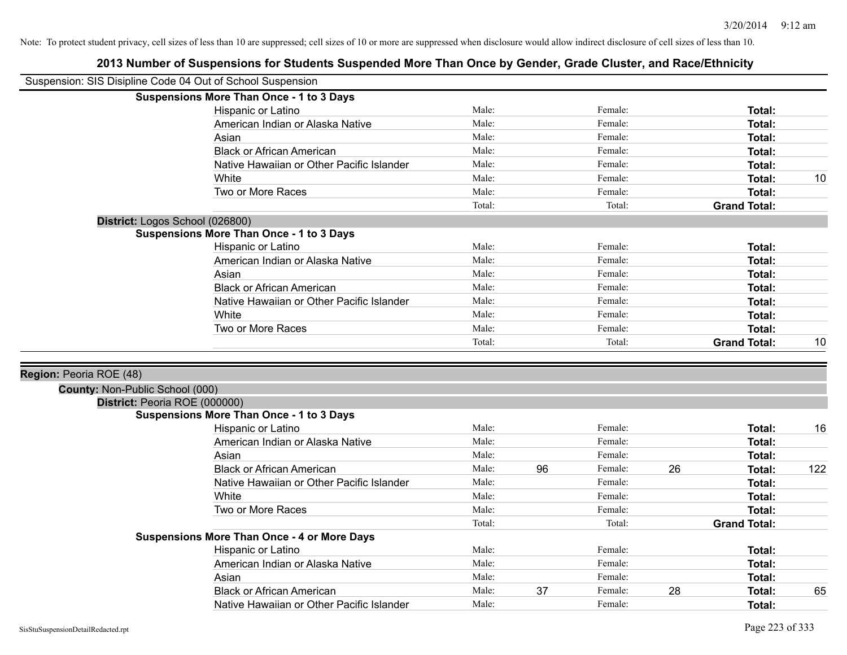| Suspension: SIS Disipline Code 04 Out of School Suspension |                                                    |        |    |         |    |                     |     |
|------------------------------------------------------------|----------------------------------------------------|--------|----|---------|----|---------------------|-----|
|                                                            | <b>Suspensions More Than Once - 1 to 3 Days</b>    |        |    |         |    |                     |     |
|                                                            | Hispanic or Latino                                 | Male:  |    | Female: |    | Total:              |     |
|                                                            | American Indian or Alaska Native                   | Male:  |    | Female: |    | <b>Total:</b>       |     |
|                                                            | Asian                                              | Male:  |    | Female: |    | Total:              |     |
|                                                            | <b>Black or African American</b>                   | Male:  |    | Female: |    | Total:              |     |
|                                                            | Native Hawaiian or Other Pacific Islander          | Male:  |    | Female: |    | Total:              |     |
|                                                            | White                                              | Male:  |    | Female: |    | Total:              | 10  |
|                                                            | Two or More Races                                  | Male:  |    | Female: |    | Total:              |     |
|                                                            |                                                    | Total: |    | Total:  |    | <b>Grand Total:</b> |     |
|                                                            | District: Logos School (026800)                    |        |    |         |    |                     |     |
|                                                            | <b>Suspensions More Than Once - 1 to 3 Days</b>    |        |    |         |    |                     |     |
|                                                            | Hispanic or Latino                                 | Male:  |    | Female: |    | Total:              |     |
|                                                            | American Indian or Alaska Native                   | Male:  |    | Female: |    | Total:              |     |
|                                                            | Asian                                              | Male:  |    | Female: |    | Total:              |     |
|                                                            | <b>Black or African American</b>                   | Male:  |    | Female: |    | Total:              |     |
|                                                            | Native Hawaiian or Other Pacific Islander          | Male:  |    | Female: |    | Total:              |     |
|                                                            | White                                              | Male:  |    | Female: |    | Total:              |     |
|                                                            | Two or More Races                                  | Male:  |    | Female: |    | Total:              |     |
|                                                            |                                                    | Total: |    | Total:  |    | <b>Grand Total:</b> | 10  |
|                                                            |                                                    |        |    |         |    |                     |     |
| Region: Peoria ROE (48)                                    |                                                    |        |    |         |    |                     |     |
| County: Non-Public School (000)                            |                                                    |        |    |         |    |                     |     |
| District: Peoria ROE (000000)                              |                                                    |        |    |         |    |                     |     |
|                                                            | <b>Suspensions More Than Once - 1 to 3 Days</b>    |        |    |         |    |                     |     |
|                                                            | Hispanic or Latino                                 | Male:  |    | Female: |    | Total:              | 16  |
|                                                            | American Indian or Alaska Native                   | Male:  |    | Female: |    | Total:              |     |
|                                                            | Asian                                              | Male:  |    | Female: |    | Total:              |     |
|                                                            | <b>Black or African American</b>                   | Male:  | 96 | Female: | 26 | Total:              | 122 |
|                                                            | Native Hawaiian or Other Pacific Islander          | Male:  |    | Female: |    | <b>Total:</b>       |     |
|                                                            | White                                              | Male:  |    | Female: |    | Total:              |     |
|                                                            | Two or More Races                                  | Male:  |    | Female: |    | Total:              |     |
|                                                            |                                                    | Total: |    | Total:  |    | <b>Grand Total:</b> |     |
|                                                            | <b>Suspensions More Than Once - 4 or More Days</b> |        |    |         |    |                     |     |
|                                                            | Hispanic or Latino                                 | Male:  |    | Female: |    | Total:              |     |
|                                                            | American Indian or Alaska Native                   | Male:  |    | Female: |    | Total:              |     |
|                                                            | Asian                                              | Male:  |    | Female: |    | Total:              |     |
|                                                            | <b>Black or African American</b>                   | Male:  | 37 | Female: | 28 | <b>Total:</b>       | 65  |
|                                                            | Native Hawaiian or Other Pacific Islander          | Male:  |    | Female: |    | Total:              |     |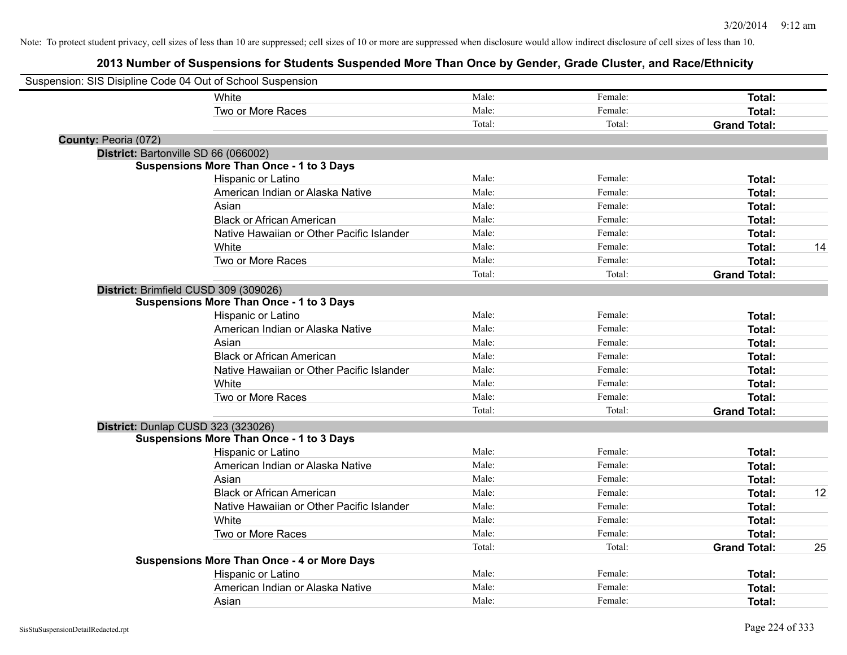|                      | Suspension: SIS Disipline Code 04 Out of School Suspension |        |         |                     |    |
|----------------------|------------------------------------------------------------|--------|---------|---------------------|----|
|                      | White                                                      | Male:  | Female: | Total:              |    |
|                      | Two or More Races                                          | Male:  | Female: | Total:              |    |
|                      |                                                            | Total: | Total:  | <b>Grand Total:</b> |    |
| County: Peoria (072) |                                                            |        |         |                     |    |
|                      | District: Bartonville SD 66 (066002)                       |        |         |                     |    |
|                      | <b>Suspensions More Than Once - 1 to 3 Days</b>            |        |         |                     |    |
|                      | Hispanic or Latino                                         | Male:  | Female: | Total:              |    |
|                      | American Indian or Alaska Native                           | Male:  | Female: | Total:              |    |
|                      | Asian                                                      | Male:  | Female: | Total:              |    |
|                      | <b>Black or African American</b>                           | Male:  | Female: | Total:              |    |
|                      | Native Hawaiian or Other Pacific Islander                  | Male:  | Female: | Total:              |    |
|                      | White                                                      | Male:  | Female: | Total:              | 14 |
|                      | Two or More Races                                          | Male:  | Female: | Total:              |    |
|                      |                                                            | Total: | Total:  | <b>Grand Total:</b> |    |
|                      | District: Brimfield CUSD 309 (309026)                      |        |         |                     |    |
|                      | <b>Suspensions More Than Once - 1 to 3 Days</b>            |        |         |                     |    |
|                      | Hispanic or Latino                                         | Male:  | Female: | Total:              |    |
|                      | American Indian or Alaska Native                           | Male:  | Female: | Total:              |    |
|                      | Asian                                                      | Male:  | Female: | Total:              |    |
|                      | <b>Black or African American</b>                           | Male:  | Female: | Total:              |    |
|                      | Native Hawaiian or Other Pacific Islander                  | Male:  | Female: | Total:              |    |
|                      | White                                                      | Male:  | Female: | Total:              |    |
|                      | Two or More Races                                          | Male:  | Female: | Total:              |    |
|                      |                                                            | Total: | Total:  | <b>Grand Total:</b> |    |
|                      | District: Dunlap CUSD 323 (323026)                         |        |         |                     |    |
|                      | <b>Suspensions More Than Once - 1 to 3 Days</b>            |        |         |                     |    |
|                      | Hispanic or Latino                                         | Male:  | Female: | Total:              |    |
|                      | American Indian or Alaska Native                           | Male:  | Female: | Total:              |    |
|                      | Asian                                                      | Male:  | Female: | Total:              |    |
|                      | <b>Black or African American</b>                           | Male:  | Female: | Total:              | 12 |
|                      | Native Hawaiian or Other Pacific Islander                  | Male:  | Female: | Total:              |    |
|                      | White                                                      | Male:  | Female: | Total:              |    |
|                      | Two or More Races                                          | Male:  | Female: | Total:              |    |
|                      |                                                            | Total: | Total:  | <b>Grand Total:</b> | 25 |
|                      | <b>Suspensions More Than Once - 4 or More Days</b>         |        |         |                     |    |
|                      | Hispanic or Latino                                         | Male:  | Female: | Total:              |    |
|                      | American Indian or Alaska Native                           | Male:  | Female: | Total:              |    |
|                      | Asian                                                      | Male:  | Female: | Total:              |    |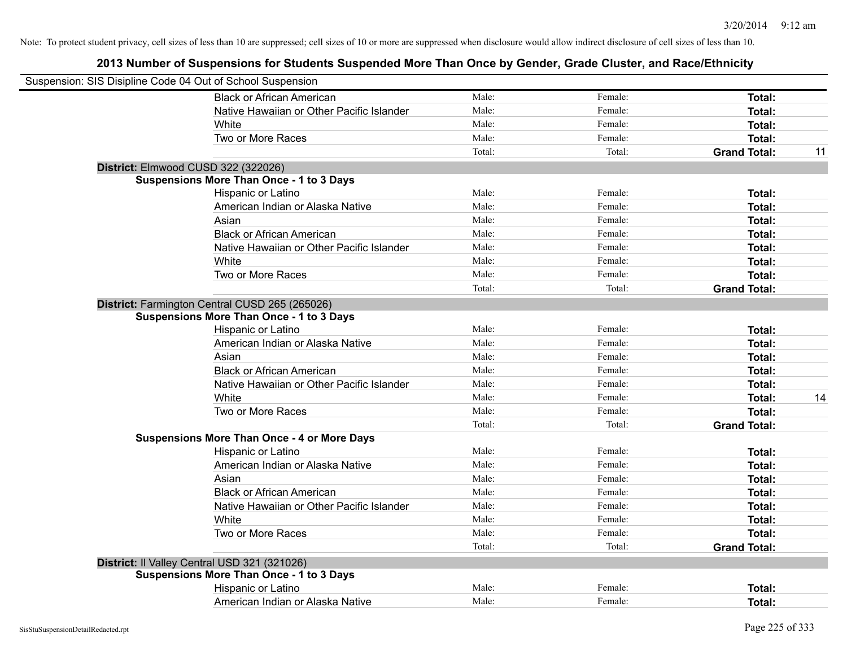| Suspension: SIS Disipline Code 04 Out of School Suspension                                        |                |                    |                     |    |
|---------------------------------------------------------------------------------------------------|----------------|--------------------|---------------------|----|
| <b>Black or African American</b>                                                                  | Male:          | Female:            | Total:              |    |
| Native Hawaiian or Other Pacific Islander                                                         | Male:          | Female:            | Total:              |    |
| White                                                                                             | Male:          | Female:            | Total:              |    |
| Two or More Races                                                                                 | Male:          | Female:            | Total:              |    |
|                                                                                                   | Total:         | Total:             | <b>Grand Total:</b> | 11 |
| District: Elmwood CUSD 322 (322026)                                                               |                |                    |                     |    |
| <b>Suspensions More Than Once - 1 to 3 Days</b>                                                   | Male:          | Female:            | Total:              |    |
| Hispanic or Latino                                                                                |                |                    |                     |    |
| American Indian or Alaska Native<br>Asian                                                         | Male:<br>Male: | Female:<br>Female: | Total:              |    |
| <b>Black or African American</b>                                                                  |                |                    | Total:              |    |
|                                                                                                   | Male:          | Female:            | Total:              |    |
| Native Hawaiian or Other Pacific Islander                                                         | Male:          | Female:            | Total:              |    |
| White                                                                                             | Male:          | Female:            | Total:              |    |
| Two or More Races                                                                                 | Male:          | Female:            | Total:              |    |
|                                                                                                   | Total:         | Total:             | <b>Grand Total:</b> |    |
| District: Farmington Central CUSD 265 (265026)<br><b>Suspensions More Than Once - 1 to 3 Days</b> |                |                    |                     |    |
| Hispanic or Latino                                                                                | Male:          | Female:            | Total:              |    |
| American Indian or Alaska Native                                                                  | Male:          | Female:            | Total:              |    |
| Asian                                                                                             | Male:          | Female:            | Total:              |    |
| <b>Black or African American</b>                                                                  | Male:          | Female:            | Total:              |    |
| Native Hawaiian or Other Pacific Islander                                                         | Male:          | Female:            | Total:              |    |
| White                                                                                             | Male:          | Female:            | Total:              | 14 |
| Two or More Races                                                                                 | Male:          | Female:            | Total:              |    |
|                                                                                                   | Total:         | Total:             | <b>Grand Total:</b> |    |
| <b>Suspensions More Than Once - 4 or More Days</b>                                                |                |                    |                     |    |
| Hispanic or Latino                                                                                | Male:          | Female:            | Total:              |    |
| American Indian or Alaska Native                                                                  | Male:          | Female:            | Total:              |    |
| Asian                                                                                             | Male:          | Female:            | Total:              |    |
| <b>Black or African American</b>                                                                  | Male:          | Female:            | Total:              |    |
| Native Hawaiian or Other Pacific Islander                                                         | Male:          | Female:            | Total:              |    |
| White                                                                                             | Male:          | Female:            | Total:              |    |
| Two or More Races                                                                                 | Male:          | Female:            | Total:              |    |
|                                                                                                   | Total:         | Total:             | <b>Grand Total:</b> |    |
| District: Il Valley Central USD 321 (321026)                                                      |                |                    |                     |    |
| <b>Suspensions More Than Once - 1 to 3 Days</b>                                                   |                |                    |                     |    |
| Hispanic or Latino                                                                                | Male:          | Female:            | Total:              |    |
| American Indian or Alaska Native                                                                  | Male:          | Female:            | Total:              |    |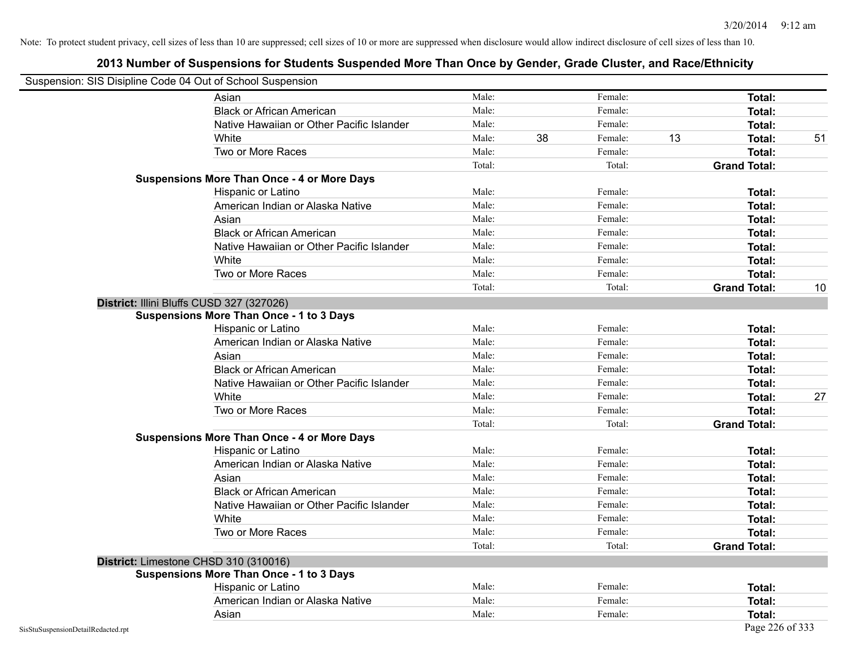| Suspension: SIS Disipline Code 04 Out of School Suspension |                                                    |        |    |         |    |                     |    |
|------------------------------------------------------------|----------------------------------------------------|--------|----|---------|----|---------------------|----|
|                                                            | Asian                                              | Male:  |    | Female: |    | <b>Total:</b>       |    |
|                                                            | <b>Black or African American</b>                   | Male:  |    | Female: |    | Total:              |    |
|                                                            | Native Hawaiian or Other Pacific Islander          | Male:  |    | Female: |    | Total:              |    |
|                                                            | White                                              | Male:  | 38 | Female: | 13 | Total:              | 51 |
|                                                            | Two or More Races                                  | Male:  |    | Female: |    | <b>Total:</b>       |    |
|                                                            |                                                    | Total: |    | Total:  |    | <b>Grand Total:</b> |    |
|                                                            | <b>Suspensions More Than Once - 4 or More Days</b> |        |    |         |    |                     |    |
|                                                            | Hispanic or Latino                                 | Male:  |    | Female: |    | Total:              |    |
|                                                            | American Indian or Alaska Native                   | Male:  |    | Female: |    | <b>Total:</b>       |    |
|                                                            | Asian                                              | Male:  |    | Female: |    | Total:              |    |
|                                                            | <b>Black or African American</b>                   | Male:  |    | Female: |    | Total:              |    |
|                                                            | Native Hawaiian or Other Pacific Islander          | Male:  |    | Female: |    | Total:              |    |
|                                                            | White                                              | Male:  |    | Female: |    | Total:              |    |
|                                                            | Two or More Races                                  | Male:  |    | Female: |    | <b>Total:</b>       |    |
|                                                            |                                                    | Total: |    | Total:  |    | <b>Grand Total:</b> | 10 |
|                                                            | District: Illini Bluffs CUSD 327 (327026)          |        |    |         |    |                     |    |
|                                                            | <b>Suspensions More Than Once - 1 to 3 Days</b>    |        |    |         |    |                     |    |
|                                                            | Hispanic or Latino                                 | Male:  |    | Female: |    | <b>Total:</b>       |    |
|                                                            | American Indian or Alaska Native                   | Male:  |    | Female: |    | Total:              |    |
|                                                            | Asian                                              | Male:  |    | Female: |    | Total:              |    |
|                                                            | <b>Black or African American</b>                   | Male:  |    | Female: |    | Total:              |    |
|                                                            | Native Hawaiian or Other Pacific Islander          | Male:  |    | Female: |    | Total:              |    |
|                                                            | White                                              | Male:  |    | Female: |    | Total:              | 27 |
|                                                            | Two or More Races                                  | Male:  |    | Female: |    | <b>Total:</b>       |    |
|                                                            |                                                    | Total: |    | Total:  |    | <b>Grand Total:</b> |    |
|                                                            | <b>Suspensions More Than Once - 4 or More Days</b> |        |    |         |    |                     |    |
|                                                            | Hispanic or Latino                                 | Male:  |    | Female: |    | Total:              |    |
|                                                            | American Indian or Alaska Native                   | Male:  |    | Female: |    | Total:              |    |
|                                                            | Asian                                              | Male:  |    | Female: |    | Total:              |    |
|                                                            | <b>Black or African American</b>                   | Male:  |    | Female: |    | Total:              |    |
|                                                            | Native Hawaiian or Other Pacific Islander          | Male:  |    | Female: |    | Total:              |    |
|                                                            | White                                              | Male:  |    | Female: |    | Total:              |    |
|                                                            | Two or More Races                                  | Male:  |    | Female: |    | <b>Total:</b>       |    |
|                                                            |                                                    | Total: |    | Total:  |    | <b>Grand Total:</b> |    |
|                                                            | District: Limestone CHSD 310 (310016)              |        |    |         |    |                     |    |
|                                                            | <b>Suspensions More Than Once - 1 to 3 Days</b>    |        |    |         |    |                     |    |
|                                                            | Hispanic or Latino                                 | Male:  |    | Female: |    | Total:              |    |
|                                                            | American Indian or Alaska Native                   | Male:  |    | Female: |    | Total:              |    |
|                                                            | Asian                                              | Male:  |    | Female: |    | Total:              |    |
| SisStuSuspensionDetailRedacted.rpt                         |                                                    |        |    |         |    | Page 226 of 333     |    |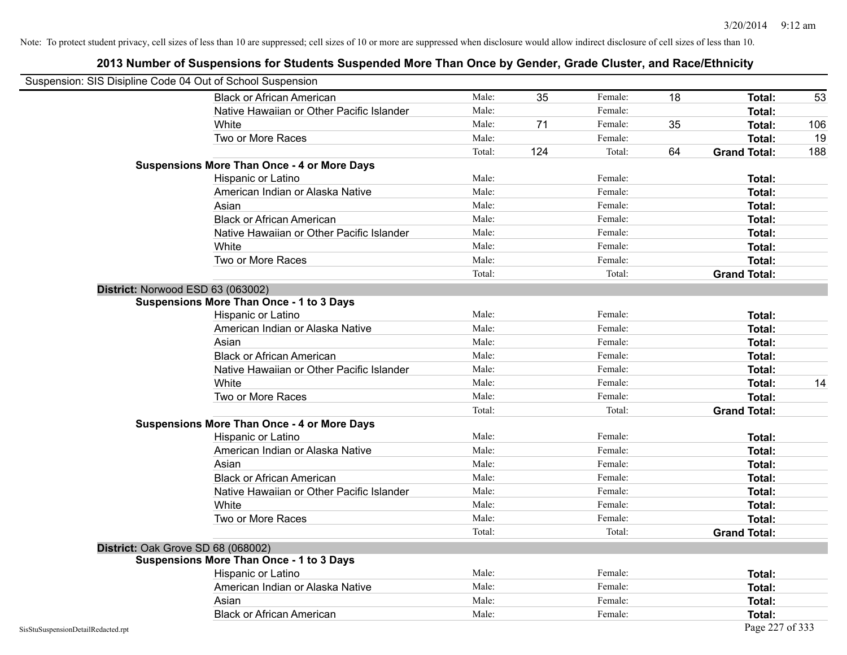|                                    | Suspension: SIS Disipline Code 04 Out of School Suspension |        |     |         |    |                     |     |
|------------------------------------|------------------------------------------------------------|--------|-----|---------|----|---------------------|-----|
|                                    | <b>Black or African American</b>                           | Male:  | 35  | Female: | 18 | Total:              | 53  |
|                                    | Native Hawaiian or Other Pacific Islander                  | Male:  |     | Female: |    | Total:              |     |
|                                    | White                                                      | Male:  | 71  | Female: | 35 | Total:              | 106 |
|                                    | Two or More Races                                          | Male:  |     | Female: |    | <b>Total:</b>       | 19  |
|                                    |                                                            | Total: | 124 | Total:  | 64 | <b>Grand Total:</b> | 188 |
|                                    | <b>Suspensions More Than Once - 4 or More Days</b>         |        |     |         |    |                     |     |
|                                    | Hispanic or Latino                                         | Male:  |     | Female: |    | Total:              |     |
|                                    | American Indian or Alaska Native                           | Male:  |     | Female: |    | Total:              |     |
|                                    | Asian                                                      | Male:  |     | Female: |    | Total:              |     |
|                                    | <b>Black or African American</b>                           | Male:  |     | Female: |    | Total:              |     |
|                                    | Native Hawaiian or Other Pacific Islander                  | Male:  |     | Female: |    | Total:              |     |
|                                    | White                                                      | Male:  |     | Female: |    | Total:              |     |
|                                    | Two or More Races                                          | Male:  |     | Female: |    | Total:              |     |
|                                    |                                                            | Total: |     | Total:  |    | <b>Grand Total:</b> |     |
|                                    | District: Norwood ESD 63 (063002)                          |        |     |         |    |                     |     |
|                                    | Suspensions More Than Once - 1 to 3 Days                   |        |     |         |    |                     |     |
|                                    | Hispanic or Latino                                         | Male:  |     | Female: |    | Total:              |     |
|                                    | American Indian or Alaska Native                           | Male:  |     | Female: |    | <b>Total:</b>       |     |
|                                    | Asian                                                      | Male:  |     | Female: |    | Total:              |     |
|                                    | <b>Black or African American</b>                           | Male:  |     | Female: |    | Total:              |     |
|                                    | Native Hawaiian or Other Pacific Islander                  | Male:  |     | Female: |    | Total:              |     |
|                                    | White                                                      | Male:  |     | Female: |    | Total:              | 14  |
|                                    | Two or More Races                                          | Male:  |     | Female: |    | <b>Total:</b>       |     |
|                                    |                                                            | Total: |     | Total:  |    | <b>Grand Total:</b> |     |
|                                    | <b>Suspensions More Than Once - 4 or More Days</b>         |        |     |         |    |                     |     |
|                                    | Hispanic or Latino                                         | Male:  |     | Female: |    | Total:              |     |
|                                    | American Indian or Alaska Native                           | Male:  |     | Female: |    | <b>Total:</b>       |     |
|                                    | Asian                                                      | Male:  |     | Female: |    | Total:              |     |
|                                    | <b>Black or African American</b>                           | Male:  |     | Female: |    | Total:              |     |
|                                    | Native Hawaiian or Other Pacific Islander                  | Male:  |     | Female: |    | Total:              |     |
|                                    | White                                                      | Male:  |     | Female: |    | Total:              |     |
|                                    | Two or More Races                                          | Male:  |     | Female: |    | Total:              |     |
|                                    |                                                            | Total: |     | Total:  |    | <b>Grand Total:</b> |     |
|                                    | District: Oak Grove SD 68 (068002)                         |        |     |         |    |                     |     |
|                                    | <b>Suspensions More Than Once - 1 to 3 Days</b>            |        |     |         |    |                     |     |
|                                    | Hispanic or Latino                                         | Male:  |     | Female: |    | Total:              |     |
|                                    | American Indian or Alaska Native                           | Male:  |     | Female: |    | Total:              |     |
|                                    | Asian                                                      | Male:  |     | Female: |    | Total:              |     |
|                                    | <b>Black or African American</b>                           | Male:  |     | Female: |    | Total:              |     |
| SisStuSuspensionDetailRedacted.rpt |                                                            |        |     |         |    | Page 227 of 333     |     |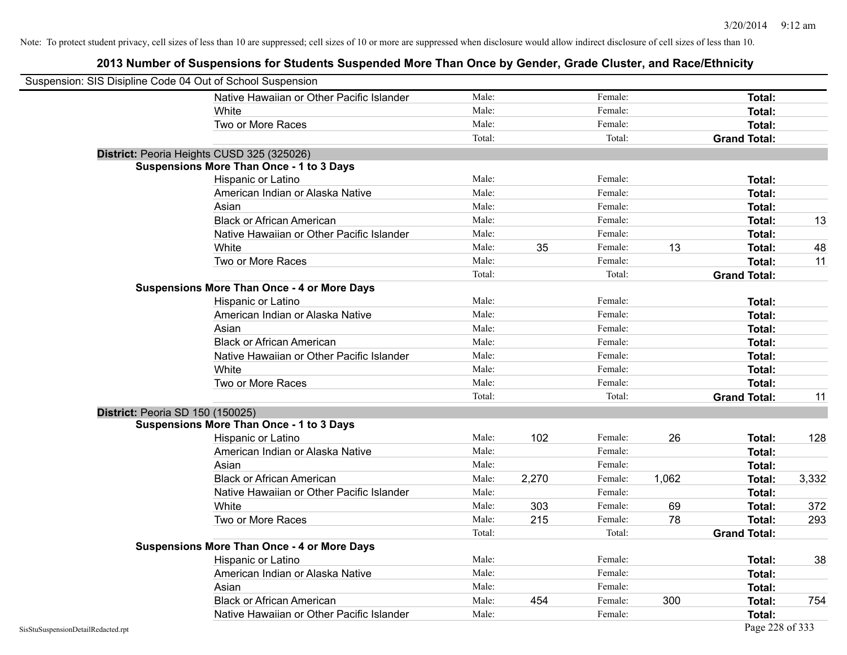| Suspension: SIS Disipline Code 04 Out of School Suspension |                                                    |        |       |         |       |                     |       |
|------------------------------------------------------------|----------------------------------------------------|--------|-------|---------|-------|---------------------|-------|
|                                                            | Native Hawaiian or Other Pacific Islander          | Male:  |       | Female: |       | Total:              |       |
|                                                            | White                                              | Male:  |       | Female: |       | Total:              |       |
|                                                            | Two or More Races                                  | Male:  |       | Female: |       | Total:              |       |
|                                                            |                                                    | Total: |       | Total:  |       | <b>Grand Total:</b> |       |
|                                                            | District: Peoria Heights CUSD 325 (325026)         |        |       |         |       |                     |       |
|                                                            | <b>Suspensions More Than Once - 1 to 3 Days</b>    |        |       |         |       |                     |       |
|                                                            | Hispanic or Latino                                 | Male:  |       | Female: |       | Total:              |       |
|                                                            | American Indian or Alaska Native                   | Male:  |       | Female: |       | Total:              |       |
|                                                            | Asian                                              | Male:  |       | Female: |       | Total:              |       |
|                                                            | <b>Black or African American</b>                   | Male:  |       | Female: |       | Total:              | 13    |
|                                                            | Native Hawaiian or Other Pacific Islander          | Male:  |       | Female: |       | Total:              |       |
|                                                            | White                                              | Male:  | 35    | Female: | 13    | Total:              | 48    |
|                                                            | Two or More Races                                  | Male:  |       | Female: |       | Total:              | 11    |
|                                                            |                                                    | Total: |       | Total:  |       | <b>Grand Total:</b> |       |
|                                                            | <b>Suspensions More Than Once - 4 or More Days</b> |        |       |         |       |                     |       |
|                                                            | Hispanic or Latino                                 | Male:  |       | Female: |       | Total:              |       |
|                                                            | American Indian or Alaska Native                   | Male:  |       | Female: |       | Total:              |       |
|                                                            | Asian                                              | Male:  |       | Female: |       | Total:              |       |
|                                                            | <b>Black or African American</b>                   | Male:  |       | Female: |       | Total:              |       |
|                                                            | Native Hawaiian or Other Pacific Islander          | Male:  |       | Female: |       | Total:              |       |
|                                                            | White                                              | Male:  |       | Female: |       | Total:              |       |
|                                                            | Two or More Races                                  | Male:  |       | Female: |       | Total:              |       |
|                                                            |                                                    | Total: |       | Total:  |       | <b>Grand Total:</b> | 11    |
|                                                            | District: Peoria SD 150 (150025)                   |        |       |         |       |                     |       |
|                                                            | <b>Suspensions More Than Once - 1 to 3 Days</b>    |        |       |         |       |                     |       |
|                                                            | Hispanic or Latino                                 | Male:  | 102   | Female: | 26    | Total:              | 128   |
|                                                            | American Indian or Alaska Native                   | Male:  |       | Female: |       | Total:              |       |
|                                                            | Asian                                              | Male:  |       | Female: |       | Total:              |       |
|                                                            | <b>Black or African American</b>                   | Male:  | 2,270 | Female: | 1,062 | Total:              | 3,332 |
|                                                            | Native Hawaiian or Other Pacific Islander          | Male:  |       | Female: |       | Total:              |       |
|                                                            | White                                              | Male:  | 303   | Female: | 69    | Total:              | 372   |
|                                                            | Two or More Races                                  | Male:  | 215   | Female: | 78    | Total:              | 293   |
|                                                            |                                                    | Total: |       | Total:  |       | <b>Grand Total:</b> |       |
|                                                            | <b>Suspensions More Than Once - 4 or More Days</b> |        |       |         |       |                     |       |
|                                                            | Hispanic or Latino                                 | Male:  |       | Female: |       | Total:              | 38    |
|                                                            | American Indian or Alaska Native                   | Male:  |       | Female: |       | Total:              |       |
|                                                            | Asian                                              | Male:  |       | Female: |       | Total:              |       |
|                                                            | <b>Black or African American</b>                   | Male:  | 454   | Female: | 300   | Total:              | 754   |
|                                                            | Native Hawaiian or Other Pacific Islander          | Male:  |       | Female: |       | Total:              |       |
| SisStuSuspensionDetailRedacted.rpt                         |                                                    |        |       |         |       | Page 228 of 333     |       |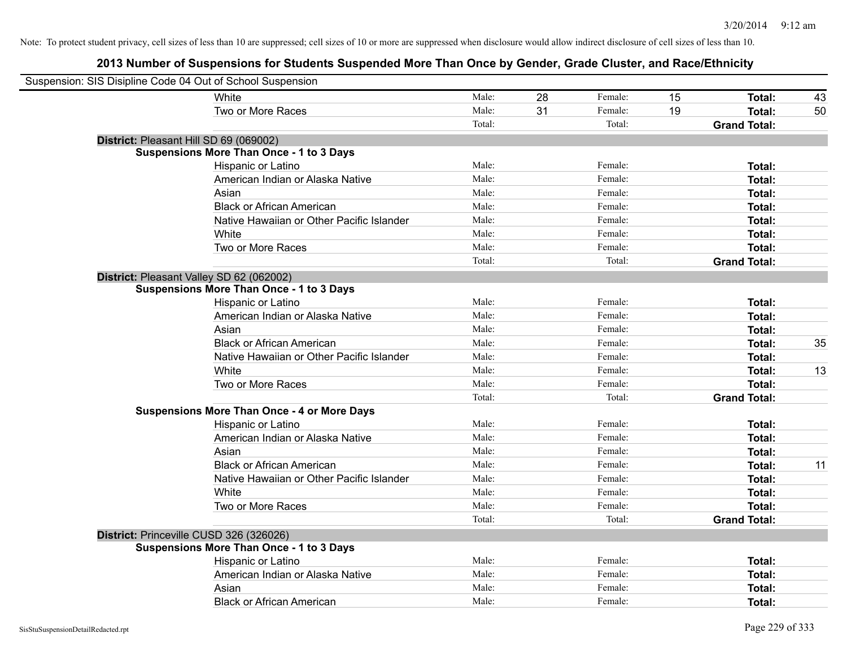| Suspension: SIS Disipline Code 04 Out of School Suspension |                                                    |        |    |         |    |                     |    |
|------------------------------------------------------------|----------------------------------------------------|--------|----|---------|----|---------------------|----|
|                                                            | White                                              | Male:  | 28 | Female: | 15 | Total:              | 43 |
|                                                            | Two or More Races                                  | Male:  | 31 | Female: | 19 | Total:              | 50 |
|                                                            |                                                    | Total: |    | Total:  |    | <b>Grand Total:</b> |    |
| District: Pleasant Hill SD 69 (069002)                     |                                                    |        |    |         |    |                     |    |
|                                                            | <b>Suspensions More Than Once - 1 to 3 Days</b>    |        |    |         |    |                     |    |
|                                                            | Hispanic or Latino                                 | Male:  |    | Female: |    | <b>Total:</b>       |    |
|                                                            | American Indian or Alaska Native                   | Male:  |    | Female: |    | <b>Total:</b>       |    |
|                                                            | Asian                                              | Male:  |    | Female: |    | Total:              |    |
|                                                            | <b>Black or African American</b>                   | Male:  |    | Female: |    | <b>Total:</b>       |    |
|                                                            | Native Hawaiian or Other Pacific Islander          | Male:  |    | Female: |    | Total:              |    |
|                                                            | White                                              | Male:  |    | Female: |    | Total:              |    |
|                                                            | Two or More Races                                  | Male:  |    | Female: |    | Total:              |    |
|                                                            |                                                    | Total: |    | Total:  |    | <b>Grand Total:</b> |    |
|                                                            | District: Pleasant Valley SD 62 (062002)           |        |    |         |    |                     |    |
|                                                            | <b>Suspensions More Than Once - 1 to 3 Days</b>    |        |    |         |    |                     |    |
|                                                            | Hispanic or Latino                                 | Male:  |    | Female: |    | <b>Total:</b>       |    |
|                                                            | American Indian or Alaska Native                   | Male:  |    | Female: |    | <b>Total:</b>       |    |
|                                                            | Asian                                              | Male:  |    | Female: |    | Total:              |    |
|                                                            | <b>Black or African American</b>                   | Male:  |    | Female: |    | Total:              | 35 |
|                                                            | Native Hawaiian or Other Pacific Islander          | Male:  |    | Female: |    | Total:              |    |
|                                                            | White                                              | Male:  |    | Female: |    | <b>Total:</b>       | 13 |
|                                                            | Two or More Races                                  | Male:  |    | Female: |    | <b>Total:</b>       |    |
|                                                            |                                                    | Total: |    | Total:  |    | <b>Grand Total:</b> |    |
|                                                            | <b>Suspensions More Than Once - 4 or More Days</b> |        |    |         |    |                     |    |
|                                                            | Hispanic or Latino                                 | Male:  |    | Female: |    | Total:              |    |
|                                                            | American Indian or Alaska Native                   | Male:  |    | Female: |    | <b>Total:</b>       |    |
|                                                            | Asian                                              | Male:  |    | Female: |    | <b>Total:</b>       |    |
|                                                            | <b>Black or African American</b>                   | Male:  |    | Female: |    | Total:              | 11 |
|                                                            | Native Hawaiian or Other Pacific Islander          | Male:  |    | Female: |    | <b>Total:</b>       |    |
|                                                            | White                                              | Male:  |    | Female: |    | Total:              |    |
|                                                            | Two or More Races                                  | Male:  |    | Female: |    | Total:              |    |
|                                                            |                                                    | Total: |    | Total:  |    | <b>Grand Total:</b> |    |
|                                                            | District: Princeville CUSD 326 (326026)            |        |    |         |    |                     |    |
|                                                            | <b>Suspensions More Than Once - 1 to 3 Days</b>    |        |    |         |    |                     |    |
|                                                            | Hispanic or Latino                                 | Male:  |    | Female: |    | Total:              |    |
|                                                            | American Indian or Alaska Native                   | Male:  |    | Female: |    | Total:              |    |
|                                                            | Asian                                              | Male:  |    | Female: |    | <b>Total:</b>       |    |
|                                                            | <b>Black or African American</b>                   | Male:  |    | Female: |    | Total:              |    |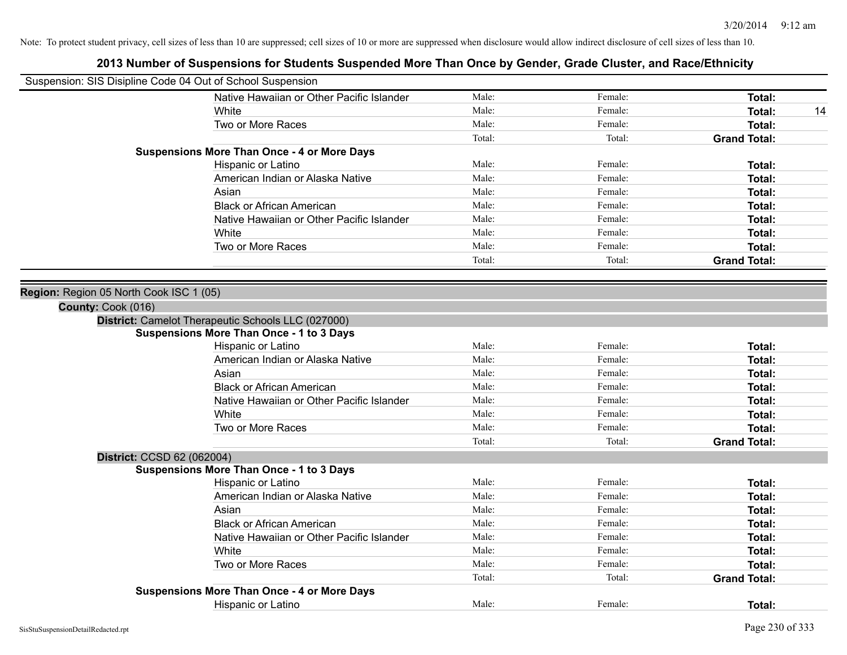| Suspension: SIS Disipline Code 04 Out of School Suspension |                                                    |        |         |                     |
|------------------------------------------------------------|----------------------------------------------------|--------|---------|---------------------|
|                                                            | Native Hawaiian or Other Pacific Islander          | Male:  | Female: | Total:              |
|                                                            | White                                              | Male:  | Female: | Total:<br>14        |
|                                                            | Two or More Races                                  | Male:  | Female: | Total:              |
|                                                            |                                                    | Total: | Total:  | <b>Grand Total:</b> |
|                                                            | <b>Suspensions More Than Once - 4 or More Days</b> |        |         |                     |
|                                                            | Hispanic or Latino                                 | Male:  | Female: | Total:              |
|                                                            | American Indian or Alaska Native                   | Male:  | Female: | Total:              |
|                                                            | Asian                                              | Male:  | Female: | Total:              |
|                                                            | <b>Black or African American</b>                   | Male:  | Female: | Total:              |
|                                                            | Native Hawaiian or Other Pacific Islander          | Male:  | Female: | Total:              |
|                                                            | White                                              | Male:  | Female: | Total:              |
|                                                            | Two or More Races                                  | Male:  | Female: | Total:              |
|                                                            |                                                    | Total: | Total:  | <b>Grand Total:</b> |
|                                                            |                                                    |        |         |                     |
| Region: Region 05 North Cook ISC 1 (05)                    |                                                    |        |         |                     |
| County: Cook (016)                                         |                                                    |        |         |                     |
|                                                            | District: Camelot Therapeutic Schools LLC (027000) |        |         |                     |
|                                                            | <b>Suspensions More Than Once - 1 to 3 Days</b>    |        |         |                     |
|                                                            | Hispanic or Latino                                 | Male:  | Female: | Total:              |
|                                                            | American Indian or Alaska Native                   | Male:  | Female: | Total:              |
|                                                            | Asian                                              | Male:  | Female: | Total:              |
|                                                            | <b>Black or African American</b>                   | Male:  | Female: | Total:              |
|                                                            | Native Hawaiian or Other Pacific Islander          | Male:  | Female: | Total:              |
|                                                            | White                                              | Male:  | Female: | Total:              |
|                                                            | Two or More Races                                  | Male:  | Female: | Total:              |
|                                                            |                                                    | Total: | Total:  | <b>Grand Total:</b> |
| District: CCSD 62 (062004)                                 |                                                    |        |         |                     |
|                                                            | <b>Suspensions More Than Once - 1 to 3 Days</b>    |        |         |                     |
|                                                            | Hispanic or Latino                                 | Male:  | Female: | Total:              |
|                                                            | American Indian or Alaska Native                   | Male:  | Female: | Total:              |
|                                                            | Asian                                              | Male:  | Female: | Total:              |
|                                                            | <b>Black or African American</b>                   | Male:  | Female: | Total:              |
|                                                            | Native Hawaiian or Other Pacific Islander          | Male:  | Female: | Total:              |
|                                                            | <b>White</b>                                       | Male:  | Female: | Total:              |
|                                                            | Two or More Races                                  | Male:  | Female: | Total:              |
|                                                            |                                                    | Total: | Total:  | <b>Grand Total:</b> |
|                                                            | <b>Suspensions More Than Once - 4 or More Days</b> |        |         |                     |
|                                                            | Hispanic or Latino                                 | Male:  | Female: | Total:              |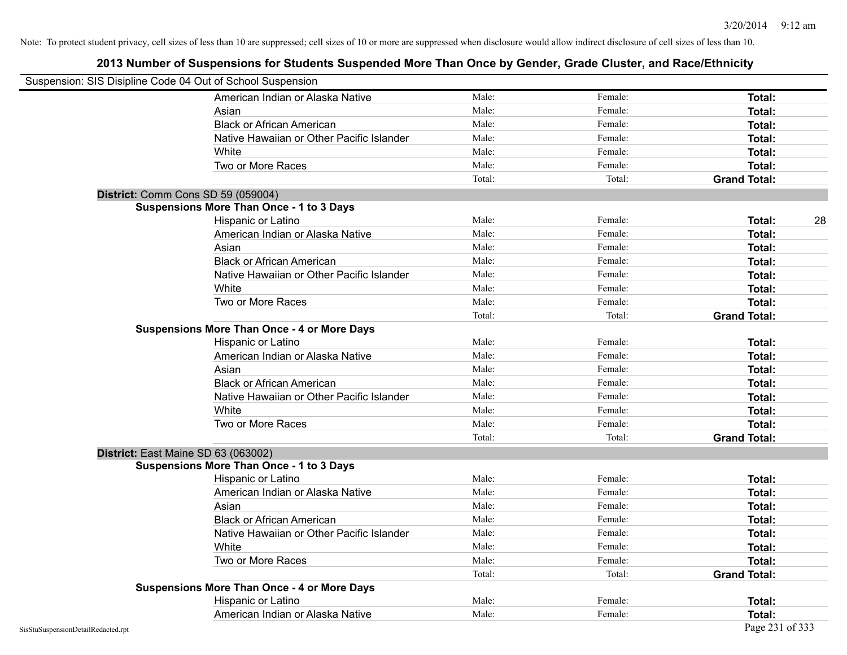| Suspension: SIS Disipline Code 04 Out of School Suspension |                                                    |        |         |                     |
|------------------------------------------------------------|----------------------------------------------------|--------|---------|---------------------|
|                                                            | American Indian or Alaska Native                   | Male:  | Female: | <b>Total:</b>       |
|                                                            | Asian                                              | Male:  | Female: | Total:              |
|                                                            | <b>Black or African American</b>                   | Male:  | Female: | Total:              |
|                                                            | Native Hawaiian or Other Pacific Islander          | Male:  | Female: | Total:              |
|                                                            | White                                              | Male:  | Female: | Total:              |
|                                                            | Two or More Races                                  | Male:  | Female: | Total:              |
|                                                            |                                                    | Total: | Total:  | <b>Grand Total:</b> |
|                                                            | District: Comm Cons SD 59 (059004)                 |        |         |                     |
|                                                            | <b>Suspensions More Than Once - 1 to 3 Days</b>    |        |         |                     |
|                                                            | Hispanic or Latino                                 | Male:  | Female: | 28<br>Total:        |
|                                                            | American Indian or Alaska Native                   | Male:  | Female: | Total:              |
|                                                            | Asian                                              | Male:  | Female: | Total:              |
|                                                            | <b>Black or African American</b>                   | Male:  | Female: | Total:              |
|                                                            | Native Hawaiian or Other Pacific Islander          | Male:  | Female: | Total:              |
|                                                            | White                                              | Male:  | Female: | Total:              |
|                                                            | Two or More Races                                  | Male:  | Female: | Total:              |
|                                                            |                                                    | Total: | Total:  | <b>Grand Total:</b> |
|                                                            | <b>Suspensions More Than Once - 4 or More Days</b> |        |         |                     |
|                                                            | Hispanic or Latino                                 | Male:  | Female: | Total:              |
|                                                            | American Indian or Alaska Native                   | Male:  | Female: | Total:              |
|                                                            | Asian                                              | Male:  | Female: | Total:              |
|                                                            | <b>Black or African American</b>                   | Male:  | Female: | Total:              |
|                                                            | Native Hawaiian or Other Pacific Islander          | Male:  | Female: | Total:              |
|                                                            | White                                              | Male:  | Female: | Total:              |
|                                                            | Two or More Races                                  | Male:  | Female: | Total:              |
|                                                            |                                                    | Total: | Total:  | <b>Grand Total:</b> |
|                                                            | District: East Maine SD 63 (063002)                |        |         |                     |
|                                                            | <b>Suspensions More Than Once - 1 to 3 Days</b>    |        |         |                     |
|                                                            | Hispanic or Latino                                 | Male:  | Female: | Total:              |
|                                                            | American Indian or Alaska Native                   | Male:  | Female: | Total:              |
|                                                            | Asian                                              | Male:  | Female: | Total:              |
|                                                            | <b>Black or African American</b>                   | Male:  | Female: | Total:              |
|                                                            | Native Hawaiian or Other Pacific Islander          | Male:  | Female: | Total:              |
|                                                            | White                                              | Male:  | Female: | Total:              |
|                                                            | Two or More Races                                  | Male:  | Female: | Total:              |
|                                                            |                                                    | Total: | Total:  | <b>Grand Total:</b> |
|                                                            | <b>Suspensions More Than Once - 4 or More Days</b> |        |         |                     |
|                                                            | Hispanic or Latino                                 | Male:  | Female: | Total:              |
|                                                            | American Indian or Alaska Native                   | Male:  | Female: | Total:              |
| SisStuSuspensionDetailRedacted.rpt                         |                                                    |        |         | Page 231 of 333     |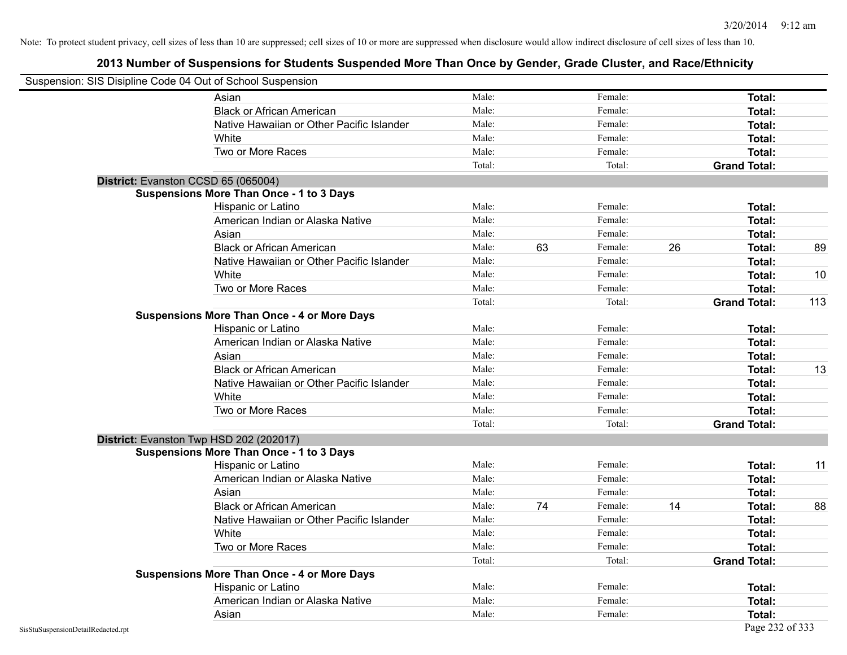|                                    | Suspension: SIS Disipline Code 04 Out of School Suspension |        |    |         |    |                     |     |
|------------------------------------|------------------------------------------------------------|--------|----|---------|----|---------------------|-----|
|                                    | Asian                                                      | Male:  |    | Female: |    | Total:              |     |
|                                    | <b>Black or African American</b>                           | Male:  |    | Female: |    | Total:              |     |
|                                    | Native Hawaiian or Other Pacific Islander                  | Male:  |    | Female: |    | Total:              |     |
|                                    | White                                                      | Male:  |    | Female: |    | Total:              |     |
|                                    | Two or More Races                                          | Male:  |    | Female: |    | Total:              |     |
|                                    |                                                            | Total: |    | Total:  |    | <b>Grand Total:</b> |     |
|                                    | District: Evanston CCSD 65 (065004)                        |        |    |         |    |                     |     |
|                                    | <b>Suspensions More Than Once - 1 to 3 Days</b>            |        |    |         |    |                     |     |
|                                    | Hispanic or Latino                                         | Male:  |    | Female: |    | Total:              |     |
|                                    | American Indian or Alaska Native                           | Male:  |    | Female: |    | Total:              |     |
|                                    | Asian                                                      | Male:  |    | Female: |    | Total:              |     |
|                                    | <b>Black or African American</b>                           | Male:  | 63 | Female: | 26 | Total:              | 89  |
|                                    | Native Hawaiian or Other Pacific Islander                  | Male:  |    | Female: |    | Total:              |     |
|                                    | White                                                      | Male:  |    | Female: |    | Total:              | 10  |
|                                    | Two or More Races                                          | Male:  |    | Female: |    | Total:              |     |
|                                    |                                                            | Total: |    | Total:  |    | <b>Grand Total:</b> | 113 |
|                                    | <b>Suspensions More Than Once - 4 or More Days</b>         |        |    |         |    |                     |     |
|                                    | Hispanic or Latino                                         | Male:  |    | Female: |    | Total:              |     |
|                                    | American Indian or Alaska Native                           | Male:  |    | Female: |    | Total:              |     |
|                                    | Asian                                                      | Male:  |    | Female: |    | Total:              |     |
|                                    | <b>Black or African American</b>                           | Male:  |    | Female: |    | Total:              | 13  |
|                                    | Native Hawaiian or Other Pacific Islander                  | Male:  |    | Female: |    | Total:              |     |
|                                    | White                                                      | Male:  |    | Female: |    | Total:              |     |
|                                    | Two or More Races                                          | Male:  |    | Female: |    | Total:              |     |
|                                    |                                                            | Total: |    | Total:  |    | <b>Grand Total:</b> |     |
|                                    | District: Evanston Twp HSD 202 (202017)                    |        |    |         |    |                     |     |
|                                    | <b>Suspensions More Than Once - 1 to 3 Days</b>            |        |    |         |    |                     |     |
|                                    | Hispanic or Latino                                         | Male:  |    | Female: |    | Total:              | 11  |
|                                    | American Indian or Alaska Native                           | Male:  |    | Female: |    | Total:              |     |
|                                    | Asian                                                      | Male:  |    | Female: |    | Total:              |     |
|                                    | <b>Black or African American</b>                           | Male:  | 74 | Female: | 14 | Total:              | 88  |
|                                    | Native Hawaiian or Other Pacific Islander                  | Male:  |    | Female: |    | Total:              |     |
|                                    | White                                                      | Male:  |    | Female: |    | Total:              |     |
|                                    | Two or More Races                                          | Male:  |    | Female: |    | Total:              |     |
|                                    |                                                            | Total: |    | Total:  |    | <b>Grand Total:</b> |     |
|                                    | <b>Suspensions More Than Once - 4 or More Days</b>         |        |    |         |    |                     |     |
|                                    | Hispanic or Latino                                         | Male:  |    | Female: |    | Total:              |     |
|                                    | American Indian or Alaska Native                           | Male:  |    | Female: |    | Total:              |     |
|                                    | Asian                                                      | Male:  |    | Female: |    | Total:              |     |
| SisStuSuspensionDetailRedacted.rpt |                                                            |        |    |         |    | Page 232 of 333     |     |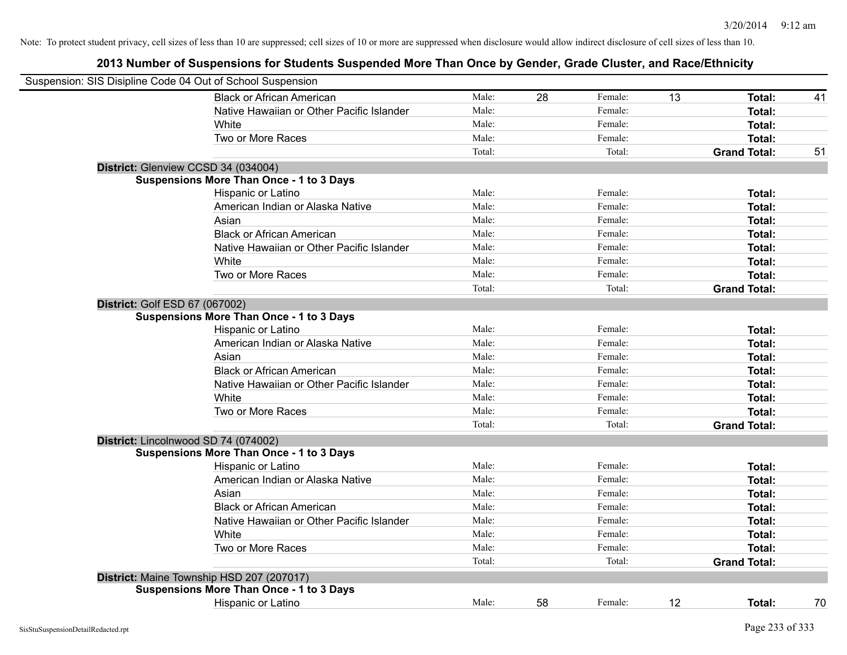| Suspension: SIS Disipline Code 04 Out of School Suspension |        |    |         |    |                     |    |
|------------------------------------------------------------|--------|----|---------|----|---------------------|----|
| <b>Black or African American</b>                           | Male:  | 28 | Female: | 13 | Total:              | 41 |
| Native Hawaiian or Other Pacific Islander                  | Male:  |    | Female: |    | Total:              |    |
| White                                                      | Male:  |    | Female: |    | Total:              |    |
| Two or More Races                                          | Male:  |    | Female: |    | Total:              |    |
|                                                            | Total: |    | Total:  |    | <b>Grand Total:</b> | 51 |
| District: Glenview CCSD 34 (034004)                        |        |    |         |    |                     |    |
| <b>Suspensions More Than Once - 1 to 3 Days</b>            |        |    |         |    |                     |    |
| Hispanic or Latino                                         | Male:  |    | Female: |    | Total:              |    |
| American Indian or Alaska Native                           | Male:  |    | Female: |    | Total:              |    |
| Asian                                                      | Male:  |    | Female: |    | Total:              |    |
| <b>Black or African American</b>                           | Male:  |    | Female: |    | Total:              |    |
| Native Hawaiian or Other Pacific Islander                  | Male:  |    | Female: |    | Total:              |    |
| White                                                      | Male:  |    | Female: |    | Total:              |    |
| Two or More Races                                          | Male:  |    | Female: |    | Total:              |    |
|                                                            | Total: |    | Total:  |    | <b>Grand Total:</b> |    |
| District: Golf ESD 67 (067002)                             |        |    |         |    |                     |    |
| <b>Suspensions More Than Once - 1 to 3 Days</b>            |        |    |         |    |                     |    |
| Hispanic or Latino                                         | Male:  |    | Female: |    | Total:              |    |
| American Indian or Alaska Native                           | Male:  |    | Female: |    | Total:              |    |
| Asian                                                      | Male:  |    | Female: |    | Total:              |    |
| <b>Black or African American</b>                           | Male:  |    | Female: |    | Total:              |    |
| Native Hawaiian or Other Pacific Islander                  | Male:  |    | Female: |    | Total:              |    |
| White                                                      | Male:  |    | Female: |    | Total:              |    |
| Two or More Races                                          | Male:  |    | Female: |    | Total:              |    |
|                                                            | Total: |    | Total:  |    | <b>Grand Total:</b> |    |
| District: Lincolnwood SD 74 (074002)                       |        |    |         |    |                     |    |
| <b>Suspensions More Than Once - 1 to 3 Days</b>            |        |    |         |    |                     |    |
| Hispanic or Latino                                         | Male:  |    | Female: |    | Total:              |    |
| American Indian or Alaska Native                           | Male:  |    | Female: |    | Total:              |    |
| Asian                                                      | Male:  |    | Female: |    | Total:              |    |
| <b>Black or African American</b>                           | Male:  |    | Female: |    | Total:              |    |
| Native Hawaiian or Other Pacific Islander                  | Male:  |    | Female: |    | Total:              |    |
| White                                                      | Male:  |    | Female: |    | Total:              |    |
| Two or More Races                                          | Male:  |    | Female: |    | Total:              |    |
|                                                            | Total: |    | Total:  |    | <b>Grand Total:</b> |    |
| District: Maine Township HSD 207 (207017)                  |        |    |         |    |                     |    |
| <b>Suspensions More Than Once - 1 to 3 Days</b>            |        |    |         |    |                     |    |
| <b>Hispanic or Latino</b>                                  | Male:  | 58 | Female: | 12 | Total:              | 70 |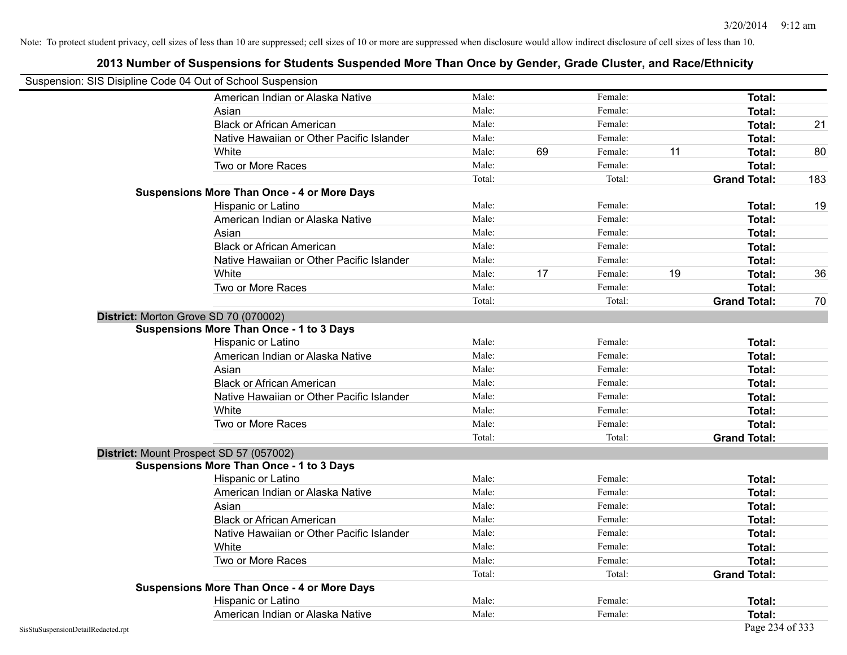|                                    | Suspension: SIS Disipline Code 04 Out of School Suspension |        |    |         |    |                     |     |
|------------------------------------|------------------------------------------------------------|--------|----|---------|----|---------------------|-----|
|                                    | American Indian or Alaska Native                           | Male:  |    | Female: |    | <b>Total:</b>       |     |
|                                    | Asian                                                      | Male:  |    | Female: |    | Total:              |     |
|                                    | <b>Black or African American</b>                           | Male:  |    | Female: |    | Total:              | 21  |
|                                    | Native Hawaiian or Other Pacific Islander                  | Male:  |    | Female: |    | Total:              |     |
|                                    | White                                                      | Male:  | 69 | Female: | 11 | Total:              | 80  |
|                                    | Two or More Races                                          | Male:  |    | Female: |    | Total:              |     |
|                                    |                                                            | Total: |    | Total:  |    | <b>Grand Total:</b> | 183 |
|                                    | <b>Suspensions More Than Once - 4 or More Days</b>         |        |    |         |    |                     |     |
|                                    | Hispanic or Latino                                         | Male:  |    | Female: |    | Total:              | 19  |
|                                    | American Indian or Alaska Native                           | Male:  |    | Female: |    | <b>Total:</b>       |     |
|                                    | Asian                                                      | Male:  |    | Female: |    | Total:              |     |
|                                    | <b>Black or African American</b>                           | Male:  |    | Female: |    | Total:              |     |
|                                    | Native Hawaiian or Other Pacific Islander                  | Male:  |    | Female: |    | Total:              |     |
|                                    | White                                                      | Male:  | 17 | Female: | 19 | Total:              | 36  |
|                                    | Two or More Races                                          | Male:  |    | Female: |    | Total:              |     |
|                                    |                                                            | Total: |    | Total:  |    | <b>Grand Total:</b> | 70  |
|                                    | District: Morton Grove SD 70 (070002)                      |        |    |         |    |                     |     |
|                                    | <b>Suspensions More Than Once - 1 to 3 Days</b>            |        |    |         |    |                     |     |
|                                    | Hispanic or Latino                                         | Male:  |    | Female: |    | Total:              |     |
|                                    | American Indian or Alaska Native                           | Male:  |    | Female: |    | Total:              |     |
|                                    | Asian                                                      | Male:  |    | Female: |    | Total:              |     |
|                                    | <b>Black or African American</b>                           | Male:  |    | Female: |    | Total:              |     |
|                                    | Native Hawaiian or Other Pacific Islander                  | Male:  |    | Female: |    | Total:              |     |
|                                    | White                                                      | Male:  |    | Female: |    | <b>Total:</b>       |     |
|                                    | Two or More Races                                          | Male:  |    | Female: |    | Total:              |     |
|                                    |                                                            | Total: |    | Total:  |    | <b>Grand Total:</b> |     |
|                                    | District: Mount Prospect SD 57 (057002)                    |        |    |         |    |                     |     |
|                                    | <b>Suspensions More Than Once - 1 to 3 Days</b>            |        |    |         |    |                     |     |
|                                    | Hispanic or Latino                                         | Male:  |    | Female: |    | Total:              |     |
|                                    | American Indian or Alaska Native                           | Male:  |    | Female: |    | Total:              |     |
|                                    | Asian                                                      | Male:  |    | Female: |    | Total:              |     |
|                                    | <b>Black or African American</b>                           | Male:  |    | Female: |    | Total:              |     |
|                                    | Native Hawaiian or Other Pacific Islander                  | Male:  |    | Female: |    | Total:              |     |
|                                    | White                                                      | Male:  |    | Female: |    | Total:              |     |
|                                    | Two or More Races                                          | Male:  |    | Female: |    | Total:              |     |
|                                    |                                                            | Total: |    | Total:  |    | <b>Grand Total:</b> |     |
|                                    | <b>Suspensions More Than Once - 4 or More Days</b>         |        |    |         |    |                     |     |
|                                    | Hispanic or Latino                                         | Male:  |    | Female: |    | Total:              |     |
|                                    | American Indian or Alaska Native                           | Male:  |    | Female: |    | Total:              |     |
| SisStuSuspensionDetailRedacted.rpt |                                                            |        |    |         |    | Page 234 of 333     |     |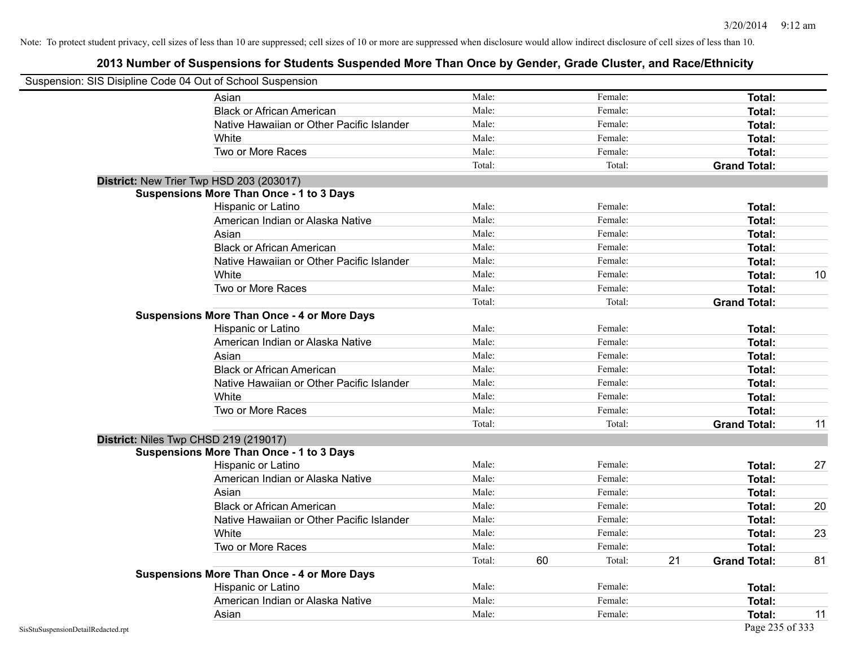| Suspension: SIS Disipline Code 04 Out of School Suspension |                                                    |        |    |         |    |                     |    |
|------------------------------------------------------------|----------------------------------------------------|--------|----|---------|----|---------------------|----|
|                                                            | Asian                                              | Male:  |    | Female: |    | Total:              |    |
|                                                            | <b>Black or African American</b>                   | Male:  |    | Female: |    | Total:              |    |
|                                                            | Native Hawaiian or Other Pacific Islander          | Male:  |    | Female: |    | Total:              |    |
|                                                            | White                                              | Male:  |    | Female: |    | Total:              |    |
|                                                            | Two or More Races                                  | Male:  |    | Female: |    | Total:              |    |
|                                                            |                                                    | Total: |    | Total:  |    | <b>Grand Total:</b> |    |
|                                                            | District: New Trier Twp HSD 203 (203017)           |        |    |         |    |                     |    |
|                                                            | <b>Suspensions More Than Once - 1 to 3 Days</b>    |        |    |         |    |                     |    |
|                                                            | Hispanic or Latino                                 | Male:  |    | Female: |    | Total:              |    |
|                                                            | American Indian or Alaska Native                   | Male:  |    | Female: |    | Total:              |    |
|                                                            | Asian                                              | Male:  |    | Female: |    | Total:              |    |
|                                                            | <b>Black or African American</b>                   | Male:  |    | Female: |    | Total:              |    |
|                                                            | Native Hawaiian or Other Pacific Islander          | Male:  |    | Female: |    | Total:              |    |
|                                                            | White                                              | Male:  |    | Female: |    | Total:              | 10 |
|                                                            | Two or More Races                                  | Male:  |    | Female: |    | Total:              |    |
|                                                            |                                                    | Total: |    | Total:  |    | <b>Grand Total:</b> |    |
|                                                            | <b>Suspensions More Than Once - 4 or More Days</b> |        |    |         |    |                     |    |
|                                                            | Hispanic or Latino                                 | Male:  |    | Female: |    | Total:              |    |
|                                                            | American Indian or Alaska Native                   | Male:  |    | Female: |    | Total:              |    |
|                                                            | Asian                                              | Male:  |    | Female: |    | Total:              |    |
|                                                            | <b>Black or African American</b>                   | Male:  |    | Female: |    | Total:              |    |
|                                                            | Native Hawaiian or Other Pacific Islander          | Male:  |    | Female: |    | Total:              |    |
|                                                            | White                                              | Male:  |    | Female: |    | Total:              |    |
|                                                            | Two or More Races                                  | Male:  |    | Female: |    | Total:              |    |
|                                                            |                                                    | Total: |    | Total:  |    | <b>Grand Total:</b> | 11 |
|                                                            | District: Niles Twp CHSD 219 (219017)              |        |    |         |    |                     |    |
|                                                            | <b>Suspensions More Than Once - 1 to 3 Days</b>    |        |    |         |    |                     |    |
|                                                            | Hispanic or Latino                                 | Male:  |    | Female: |    | Total:              | 27 |
|                                                            | American Indian or Alaska Native                   | Male:  |    | Female: |    | Total:              |    |
|                                                            | Asian                                              | Male:  |    | Female: |    | Total:              |    |
|                                                            | <b>Black or African American</b>                   | Male:  |    | Female: |    | Total:              | 20 |
|                                                            | Native Hawaiian or Other Pacific Islander          | Male:  |    | Female: |    | Total:              |    |
|                                                            | White                                              | Male:  |    | Female: |    | Total:              | 23 |
|                                                            | Two or More Races                                  | Male:  |    | Female: |    | Total:              |    |
|                                                            |                                                    | Total: | 60 | Total:  | 21 | <b>Grand Total:</b> | 81 |
|                                                            | <b>Suspensions More Than Once - 4 or More Days</b> |        |    |         |    |                     |    |
|                                                            | Hispanic or Latino                                 | Male:  |    | Female: |    | Total:              |    |
|                                                            | American Indian or Alaska Native                   | Male:  |    | Female: |    | Total:              |    |
|                                                            | Asian                                              | Male:  |    | Female: |    | Total:              | 11 |
| SisStuSuspensionDetailRedacted.rpt                         |                                                    |        |    |         |    | Page 235 of 333     |    |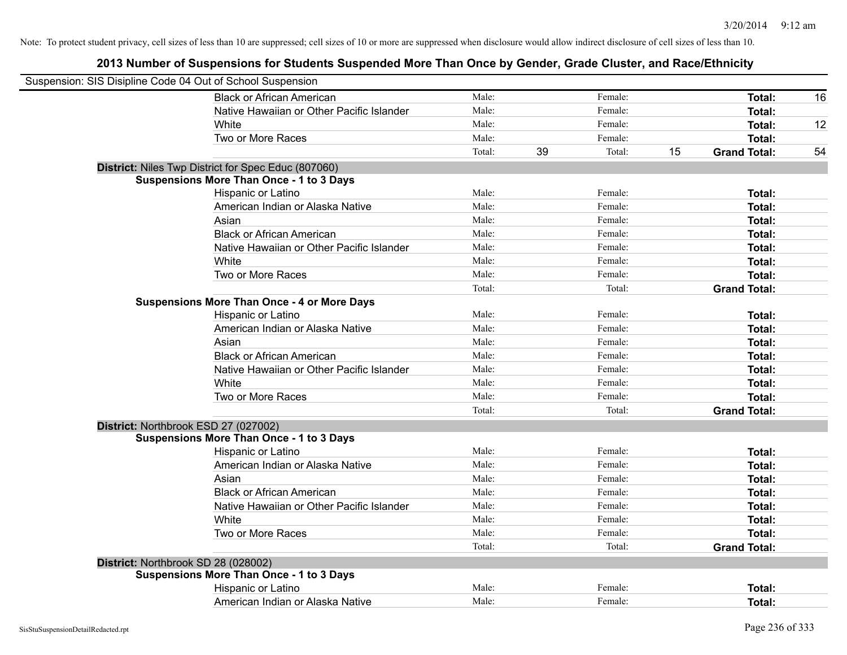| Suspension: SIS Disipline Code 04 Out of School Suspension |                                                     |        |    |         |    |                     |    |
|------------------------------------------------------------|-----------------------------------------------------|--------|----|---------|----|---------------------|----|
|                                                            | <b>Black or African American</b>                    | Male:  |    | Female: |    | Total:              | 16 |
|                                                            | Native Hawaiian or Other Pacific Islander           | Male:  |    | Female: |    | Total:              |    |
|                                                            | White                                               | Male:  |    | Female: |    | Total:              | 12 |
|                                                            | Two or More Races                                   | Male:  |    | Female: |    | Total:              |    |
|                                                            |                                                     | Total: | 39 | Total:  | 15 | <b>Grand Total:</b> | 54 |
|                                                            | District: Niles Twp District for Spec Educ (807060) |        |    |         |    |                     |    |
|                                                            | <b>Suspensions More Than Once - 1 to 3 Days</b>     |        |    |         |    |                     |    |
|                                                            | Hispanic or Latino                                  | Male:  |    | Female: |    | Total:              |    |
|                                                            | American Indian or Alaska Native                    | Male:  |    | Female: |    | Total:              |    |
|                                                            | Asian                                               | Male:  |    | Female: |    | Total:              |    |
|                                                            | <b>Black or African American</b>                    | Male:  |    | Female: |    | Total:              |    |
|                                                            | Native Hawaiian or Other Pacific Islander           | Male:  |    | Female: |    | Total:              |    |
|                                                            | White                                               | Male:  |    | Female: |    | Total:              |    |
|                                                            | Two or More Races                                   | Male:  |    | Female: |    | Total:              |    |
|                                                            |                                                     | Total: |    | Total:  |    | <b>Grand Total:</b> |    |
|                                                            | <b>Suspensions More Than Once - 4 or More Days</b>  |        |    |         |    |                     |    |
|                                                            | Hispanic or Latino                                  | Male:  |    | Female: |    | <b>Total:</b>       |    |
|                                                            | American Indian or Alaska Native                    | Male:  |    | Female: |    | Total:              |    |
|                                                            | Asian                                               | Male:  |    | Female: |    | Total:              |    |
|                                                            | <b>Black or African American</b>                    | Male:  |    | Female: |    | Total:              |    |
|                                                            | Native Hawaiian or Other Pacific Islander           | Male:  |    | Female: |    | Total:              |    |
|                                                            | White                                               | Male:  |    | Female: |    | Total:              |    |
|                                                            | Two or More Races                                   | Male:  |    | Female: |    | Total:              |    |
|                                                            |                                                     | Total: |    | Total:  |    | <b>Grand Total:</b> |    |
|                                                            | District: Northbrook ESD 27 (027002)                |        |    |         |    |                     |    |
|                                                            | <b>Suspensions More Than Once - 1 to 3 Days</b>     |        |    |         |    |                     |    |
|                                                            | Hispanic or Latino                                  | Male:  |    | Female: |    | Total:              |    |
|                                                            | American Indian or Alaska Native                    | Male:  |    | Female: |    | Total:              |    |
|                                                            | Asian                                               | Male:  |    | Female: |    | Total:              |    |
|                                                            | <b>Black or African American</b>                    | Male:  |    | Female: |    | Total:              |    |
|                                                            | Native Hawaiian or Other Pacific Islander           | Male:  |    | Female: |    | Total:              |    |
|                                                            | White                                               | Male:  |    | Female: |    | Total:              |    |
|                                                            | Two or More Races                                   | Male:  |    | Female: |    | Total:              |    |
|                                                            |                                                     | Total: |    | Total:  |    | <b>Grand Total:</b> |    |
| District: Northbrook SD 28 (028002)                        |                                                     |        |    |         |    |                     |    |
|                                                            | <b>Suspensions More Than Once - 1 to 3 Days</b>     |        |    |         |    |                     |    |
|                                                            | Hispanic or Latino                                  | Male:  |    | Female: |    | <b>Total:</b>       |    |
|                                                            | American Indian or Alaska Native                    | Male:  |    | Female: |    | Total:              |    |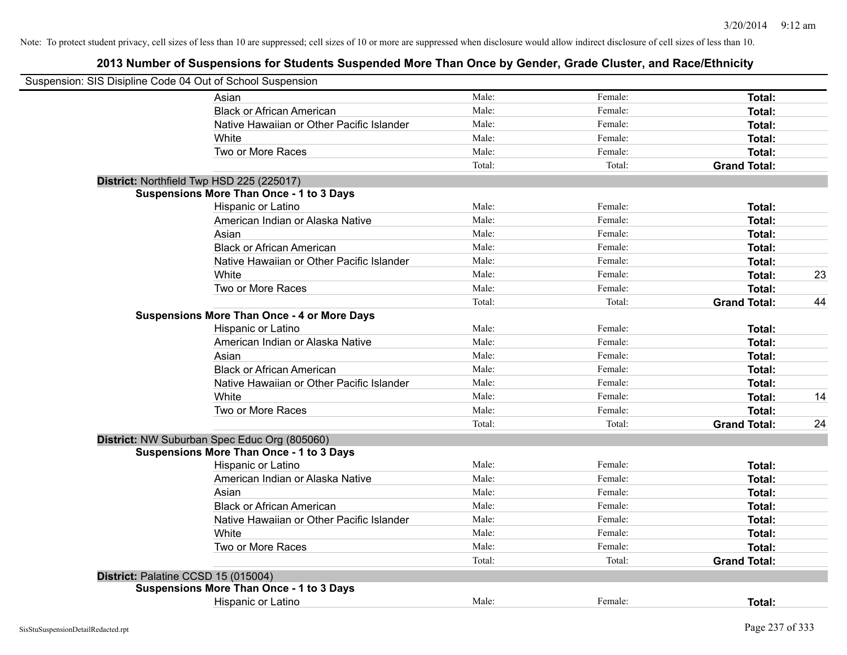| Suspension: SIS Disipline Code 04 Out of School Suspension |                                                    |        |         |                     |    |
|------------------------------------------------------------|----------------------------------------------------|--------|---------|---------------------|----|
|                                                            | Asian                                              | Male:  | Female: | Total:              |    |
|                                                            | <b>Black or African American</b>                   | Male:  | Female: | Total:              |    |
|                                                            | Native Hawaiian or Other Pacific Islander          | Male:  | Female: | Total:              |    |
|                                                            | White                                              | Male:  | Female: | Total:              |    |
|                                                            | Two or More Races                                  | Male:  | Female: | Total:              |    |
|                                                            |                                                    | Total: | Total:  | <b>Grand Total:</b> |    |
|                                                            | District: Northfield Twp HSD 225 (225017)          |        |         |                     |    |
|                                                            | <b>Suspensions More Than Once - 1 to 3 Days</b>    |        |         |                     |    |
|                                                            | Hispanic or Latino                                 | Male:  | Female: | Total:              |    |
|                                                            | American Indian or Alaska Native                   | Male:  | Female: | Total:              |    |
|                                                            | Asian                                              | Male:  | Female: | Total:              |    |
|                                                            | <b>Black or African American</b>                   | Male:  | Female: | Total:              |    |
|                                                            | Native Hawaiian or Other Pacific Islander          | Male:  | Female: | Total:              |    |
|                                                            | White                                              | Male:  | Female: | Total:              | 23 |
|                                                            | Two or More Races                                  | Male:  | Female: | Total:              |    |
|                                                            |                                                    | Total: | Total:  | <b>Grand Total:</b> | 44 |
|                                                            | <b>Suspensions More Than Once - 4 or More Days</b> |        |         |                     |    |
|                                                            | Hispanic or Latino                                 | Male:  | Female: | Total:              |    |
|                                                            | American Indian or Alaska Native                   | Male:  | Female: | Total:              |    |
|                                                            | Asian                                              | Male:  | Female: | Total:              |    |
|                                                            | <b>Black or African American</b>                   | Male:  | Female: | Total:              |    |
|                                                            | Native Hawaiian or Other Pacific Islander          | Male:  | Female: | Total:              |    |
|                                                            | White                                              | Male:  | Female: | Total:              | 14 |
|                                                            | Two or More Races                                  | Male:  | Female: | Total:              |    |
|                                                            |                                                    | Total: | Total:  | <b>Grand Total:</b> | 24 |
|                                                            | District: NW Suburban Spec Educ Org (805060)       |        |         |                     |    |
|                                                            | <b>Suspensions More Than Once - 1 to 3 Days</b>    |        |         |                     |    |
|                                                            | Hispanic or Latino                                 | Male:  | Female: | Total:              |    |
|                                                            | American Indian or Alaska Native                   | Male:  | Female: | Total:              |    |
|                                                            | Asian                                              | Male:  | Female: | Total:              |    |
|                                                            | <b>Black or African American</b>                   | Male:  | Female: | Total:              |    |
|                                                            | Native Hawaiian or Other Pacific Islander          | Male:  | Female: | Total:              |    |
|                                                            | White                                              | Male:  | Female: | Total:              |    |
|                                                            | Two or More Races                                  | Male:  | Female: | Total:              |    |
|                                                            |                                                    | Total: | Total:  | <b>Grand Total:</b> |    |
|                                                            | District: Palatine CCSD 15 (015004)                |        |         |                     |    |
|                                                            | <b>Suspensions More Than Once - 1 to 3 Days</b>    |        |         |                     |    |
|                                                            | Hispanic or Latino                                 | Male:  | Female: | Total:              |    |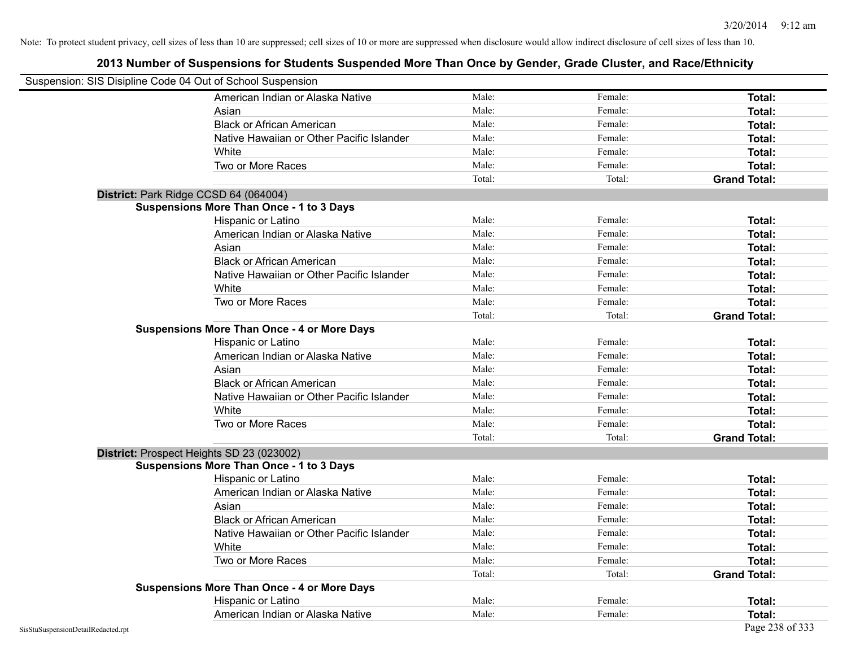| Suspension: SIS Disipline Code 04 Out of School Suspension |                                                    |        |         |                     |
|------------------------------------------------------------|----------------------------------------------------|--------|---------|---------------------|
|                                                            | American Indian or Alaska Native                   | Male:  | Female: | <b>Total:</b>       |
|                                                            | Asian                                              | Male:  | Female: | Total:              |
|                                                            | <b>Black or African American</b>                   | Male:  | Female: | Total:              |
|                                                            | Native Hawaiian or Other Pacific Islander          | Male:  | Female: | Total:              |
|                                                            | White                                              | Male:  | Female: | Total:              |
|                                                            | Two or More Races                                  | Male:  | Female: | <b>Total:</b>       |
|                                                            |                                                    | Total: | Total:  | <b>Grand Total:</b> |
|                                                            | District: Park Ridge CCSD 64 (064004)              |        |         |                     |
|                                                            | <b>Suspensions More Than Once - 1 to 3 Days</b>    |        |         |                     |
|                                                            | Hispanic or Latino                                 | Male:  | Female: | Total:              |
|                                                            | American Indian or Alaska Native                   | Male:  | Female: | Total:              |
|                                                            | Asian                                              | Male:  | Female: | Total:              |
|                                                            | <b>Black or African American</b>                   | Male:  | Female: | Total:              |
|                                                            | Native Hawaiian or Other Pacific Islander          | Male:  | Female: | <b>Total:</b>       |
|                                                            | White                                              | Male:  | Female: | Total:              |
|                                                            | Two or More Races                                  | Male:  | Female: | <b>Total:</b>       |
|                                                            |                                                    | Total: | Total:  | <b>Grand Total:</b> |
|                                                            | <b>Suspensions More Than Once - 4 or More Days</b> |        |         |                     |
|                                                            | Hispanic or Latino                                 | Male:  | Female: | Total:              |
|                                                            | American Indian or Alaska Native                   | Male:  | Female: | Total:              |
|                                                            | Asian                                              | Male:  | Female: | Total:              |
|                                                            | <b>Black or African American</b>                   | Male:  | Female: | Total:              |
|                                                            | Native Hawaiian or Other Pacific Islander          | Male:  | Female: | <b>Total:</b>       |
|                                                            | White                                              | Male:  | Female: | Total:              |
|                                                            | Two or More Races                                  | Male:  | Female: | Total:              |
|                                                            |                                                    | Total: | Total:  | <b>Grand Total:</b> |
|                                                            | District: Prospect Heights SD 23 (023002)          |        |         |                     |
|                                                            | <b>Suspensions More Than Once - 1 to 3 Days</b>    |        |         |                     |
|                                                            | Hispanic or Latino                                 | Male:  | Female: | Total:              |
|                                                            | American Indian or Alaska Native                   | Male:  | Female: | Total:              |
|                                                            | Asian                                              | Male:  | Female: | Total:              |
|                                                            | <b>Black or African American</b>                   | Male:  | Female: | Total:              |
|                                                            | Native Hawaiian or Other Pacific Islander          | Male:  | Female: | <b>Total:</b>       |
|                                                            | White                                              | Male:  | Female: | Total:              |
|                                                            | Two or More Races                                  | Male:  | Female: | Total:              |
|                                                            |                                                    | Total: | Total:  | <b>Grand Total:</b> |
|                                                            | <b>Suspensions More Than Once - 4 or More Days</b> |        |         |                     |
|                                                            | Hispanic or Latino                                 | Male:  | Female: | Total:              |
|                                                            | American Indian or Alaska Native                   | Male:  | Female: | Total:              |
| SisStuSuspensionDetailRedacted.rpt                         |                                                    |        |         | Page 238 of 333     |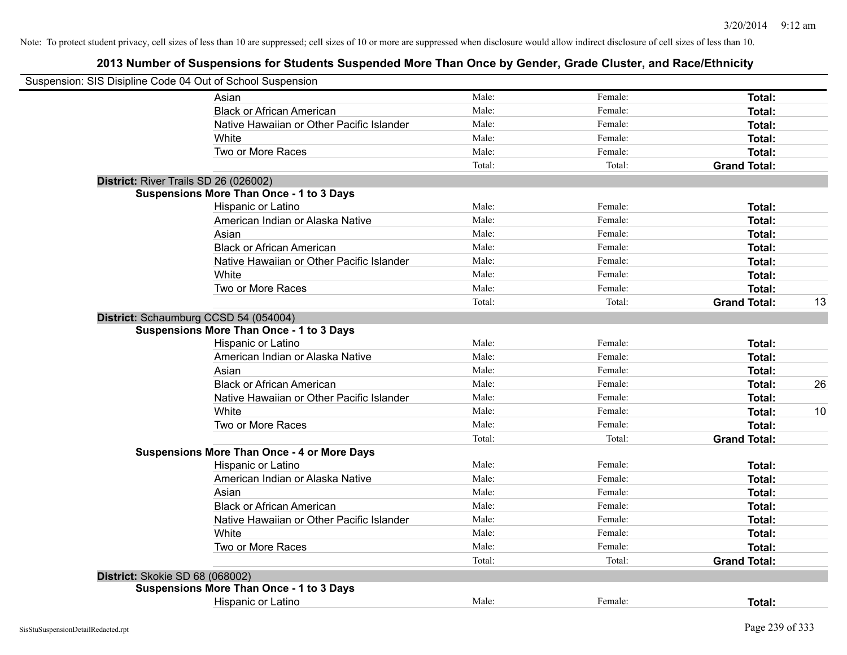| Suspension: SIS Disipline Code 04 Out of School Suspension |                                                    |        |         |                     |    |
|------------------------------------------------------------|----------------------------------------------------|--------|---------|---------------------|----|
|                                                            | Asian                                              | Male:  | Female: | Total:              |    |
|                                                            | <b>Black or African American</b>                   | Male:  | Female: | Total:              |    |
|                                                            | Native Hawaiian or Other Pacific Islander          | Male:  | Female: | Total:              |    |
|                                                            | White                                              | Male:  | Female: | Total:              |    |
|                                                            | Two or More Races                                  | Male:  | Female: | Total:              |    |
|                                                            |                                                    | Total: | Total:  | <b>Grand Total:</b> |    |
| District: River Trails SD 26 (026002)                      |                                                    |        |         |                     |    |
|                                                            | <b>Suspensions More Than Once - 1 to 3 Days</b>    |        |         |                     |    |
|                                                            | Hispanic or Latino                                 | Male:  | Female: | Total:              |    |
|                                                            | American Indian or Alaska Native                   | Male:  | Female: | Total:              |    |
|                                                            | Asian                                              | Male:  | Female: | Total:              |    |
|                                                            | <b>Black or African American</b>                   | Male:  | Female: | Total:              |    |
|                                                            | Native Hawaiian or Other Pacific Islander          | Male:  | Female: | Total:              |    |
|                                                            | White                                              | Male:  | Female: | Total:              |    |
|                                                            | Two or More Races                                  | Male:  | Female: | Total:              |    |
|                                                            |                                                    | Total: | Total:  | <b>Grand Total:</b> | 13 |
|                                                            | District: Schaumburg CCSD 54 (054004)              |        |         |                     |    |
|                                                            | <b>Suspensions More Than Once - 1 to 3 Days</b>    |        |         |                     |    |
|                                                            | Hispanic or Latino                                 | Male:  | Female: | Total:              |    |
|                                                            | American Indian or Alaska Native                   | Male:  | Female: | Total:              |    |
|                                                            | Asian                                              | Male:  | Female: | Total:              |    |
|                                                            | <b>Black or African American</b>                   | Male:  | Female: | Total:              | 26 |
|                                                            | Native Hawaiian or Other Pacific Islander          | Male:  | Female: | Total:              |    |
|                                                            | White                                              | Male:  | Female: | Total:              | 10 |
|                                                            | Two or More Races                                  | Male:  | Female: | Total:              |    |
|                                                            |                                                    | Total: | Total:  | <b>Grand Total:</b> |    |
|                                                            | <b>Suspensions More Than Once - 4 or More Days</b> |        |         |                     |    |
|                                                            | Hispanic or Latino                                 | Male:  | Female: | Total:              |    |
|                                                            | American Indian or Alaska Native                   | Male:  | Female: | Total:              |    |
|                                                            | Asian                                              | Male:  | Female: | Total:              |    |
|                                                            | <b>Black or African American</b>                   | Male:  | Female: | Total:              |    |
|                                                            | Native Hawaiian or Other Pacific Islander          | Male:  | Female: | Total:              |    |
|                                                            | White                                              | Male:  | Female: | Total:              |    |
|                                                            | Two or More Races                                  | Male:  | Female: | Total:              |    |
|                                                            |                                                    | Total: | Total:  | <b>Grand Total:</b> |    |
| District: Skokie SD 68 (068002)                            |                                                    |        |         |                     |    |
|                                                            | <b>Suspensions More Than Once - 1 to 3 Days</b>    |        |         |                     |    |
|                                                            | <b>Hispanic or Latino</b>                          | Male:  | Female: | Total:              |    |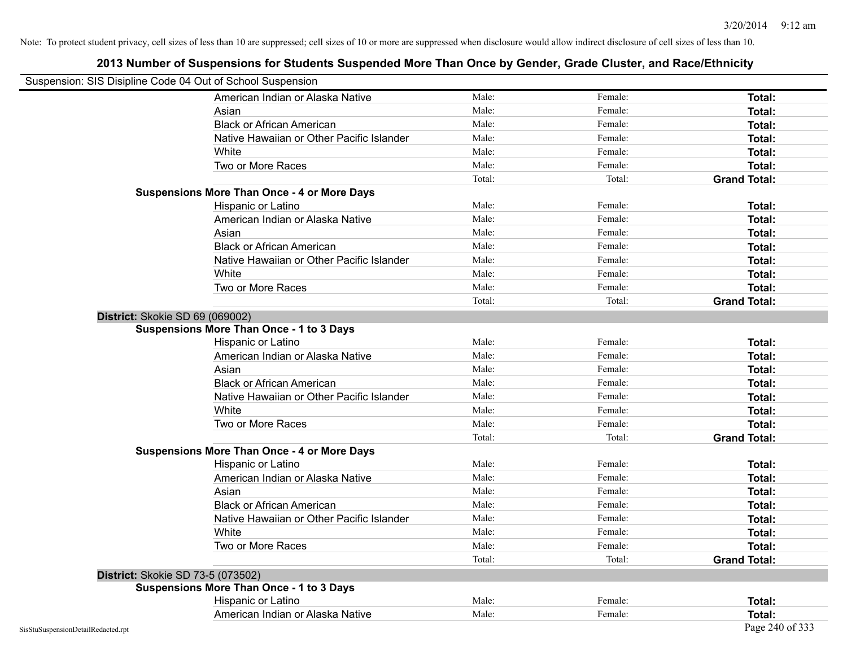| Suspension: SIS Disipline Code 04 Out of School Suspension |                                                    |        |         |                     |
|------------------------------------------------------------|----------------------------------------------------|--------|---------|---------------------|
|                                                            | American Indian or Alaska Native                   | Male:  | Female: | <b>Total:</b>       |
|                                                            | Asian                                              | Male:  | Female: | Total:              |
|                                                            | <b>Black or African American</b>                   | Male:  | Female: | Total:              |
|                                                            | Native Hawaiian or Other Pacific Islander          | Male:  | Female: | Total:              |
|                                                            | White                                              | Male:  | Female: | Total:              |
|                                                            | Two or More Races                                  | Male:  | Female: | Total:              |
|                                                            |                                                    | Total: | Total:  | <b>Grand Total:</b> |
|                                                            | <b>Suspensions More Than Once - 4 or More Days</b> |        |         |                     |
|                                                            | Hispanic or Latino                                 | Male:  | Female: | Total:              |
|                                                            | American Indian or Alaska Native                   | Male:  | Female: | <b>Total:</b>       |
|                                                            | Asian                                              | Male:  | Female: | Total:              |
|                                                            | <b>Black or African American</b>                   | Male:  | Female: | Total:              |
|                                                            | Native Hawaiian or Other Pacific Islander          | Male:  | Female: | Total:              |
|                                                            | White                                              | Male:  | Female: | Total:              |
|                                                            | Two or More Races                                  | Male:  | Female: | Total:              |
|                                                            |                                                    | Total: | Total:  | <b>Grand Total:</b> |
| District: Skokie SD 69 (069002)                            |                                                    |        |         |                     |
|                                                            | <b>Suspensions More Than Once - 1 to 3 Days</b>    |        |         |                     |
|                                                            | Hispanic or Latino                                 | Male:  | Female: | Total:              |
|                                                            | American Indian or Alaska Native                   | Male:  | Female: | Total:              |
|                                                            | Asian                                              | Male:  | Female: | Total:              |
|                                                            | <b>Black or African American</b>                   | Male:  | Female: | Total:              |
|                                                            | Native Hawaiian or Other Pacific Islander          | Male:  | Female: | Total:              |
|                                                            | White                                              | Male:  | Female: | <b>Total:</b>       |
|                                                            | Two or More Races                                  | Male:  | Female: | Total:              |
|                                                            |                                                    | Total: | Total:  | <b>Grand Total:</b> |
|                                                            | <b>Suspensions More Than Once - 4 or More Days</b> |        |         |                     |
|                                                            | Hispanic or Latino                                 | Male:  | Female: | Total:              |
|                                                            | American Indian or Alaska Native                   | Male:  | Female: | Total:              |
|                                                            | Asian                                              | Male:  | Female: | Total:              |
|                                                            | <b>Black or African American</b>                   | Male:  | Female: | Total:              |
|                                                            | Native Hawaiian or Other Pacific Islander          | Male:  | Female: | Total:              |
|                                                            | White                                              | Male:  | Female: | Total:              |
|                                                            | Two or More Races                                  | Male:  | Female: | Total:              |
|                                                            |                                                    | Total: | Total:  | <b>Grand Total:</b> |
| District: Skokie SD 73-5 (073502)                          |                                                    |        |         |                     |
|                                                            | <b>Suspensions More Than Once - 1 to 3 Days</b>    |        |         |                     |
|                                                            | Hispanic or Latino                                 | Male:  | Female: | Total:              |
|                                                            | American Indian or Alaska Native                   | Male:  | Female: | Total:              |
| SisStuSuspensionDetailRedacted.rpt                         |                                                    |        |         | Page 240 of 333     |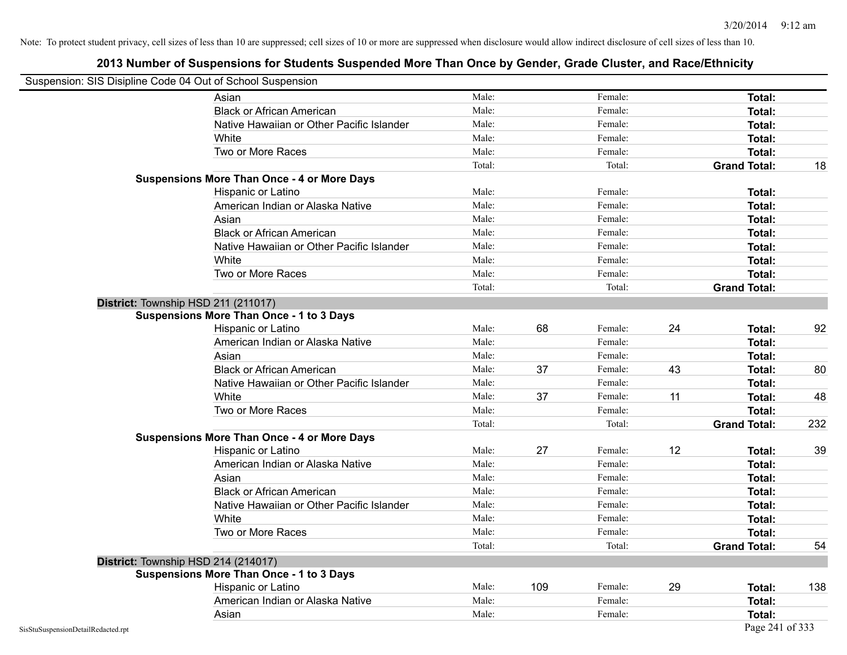|                                    | Suspension: SIS Disipline Code 04 Out of School Suspension |        |     |         |    |                     |     |
|------------------------------------|------------------------------------------------------------|--------|-----|---------|----|---------------------|-----|
|                                    | Asian                                                      | Male:  |     | Female: |    | <b>Total:</b>       |     |
|                                    | <b>Black or African American</b>                           | Male:  |     | Female: |    | <b>Total:</b>       |     |
|                                    | Native Hawaiian or Other Pacific Islander                  | Male:  |     | Female: |    | Total:              |     |
|                                    | White                                                      | Male:  |     | Female: |    | Total:              |     |
|                                    | Two or More Races                                          | Male:  |     | Female: |    | Total:              |     |
|                                    |                                                            | Total: |     | Total:  |    | <b>Grand Total:</b> | 18  |
|                                    | <b>Suspensions More Than Once - 4 or More Days</b>         |        |     |         |    |                     |     |
|                                    | Hispanic or Latino                                         | Male:  |     | Female: |    | Total:              |     |
|                                    | American Indian or Alaska Native                           | Male:  |     | Female: |    | Total:              |     |
|                                    | Asian                                                      | Male:  |     | Female: |    | Total:              |     |
|                                    | <b>Black or African American</b>                           | Male:  |     | Female: |    | Total:              |     |
|                                    | Native Hawaiian or Other Pacific Islander                  | Male:  |     | Female: |    | Total:              |     |
|                                    | White                                                      | Male:  |     | Female: |    | Total:              |     |
|                                    | Two or More Races                                          | Male:  |     | Female: |    | <b>Total:</b>       |     |
|                                    |                                                            | Total: |     | Total:  |    | <b>Grand Total:</b> |     |
|                                    | District: Township HSD 211 (211017)                        |        |     |         |    |                     |     |
|                                    | <b>Suspensions More Than Once - 1 to 3 Days</b>            |        |     |         |    |                     |     |
|                                    | Hispanic or Latino                                         | Male:  | 68  | Female: | 24 | Total:              | 92  |
|                                    | American Indian or Alaska Native                           | Male:  |     | Female: |    | Total:              |     |
|                                    | Asian                                                      | Male:  |     | Female: |    | Total:              |     |
|                                    | <b>Black or African American</b>                           | Male:  | 37  | Female: | 43 | Total:              | 80  |
|                                    | Native Hawaiian or Other Pacific Islander                  | Male:  |     | Female: |    | Total:              |     |
|                                    | White                                                      | Male:  | 37  | Female: | 11 | Total:              | 48  |
|                                    | Two or More Races                                          | Male:  |     | Female: |    | Total:              |     |
|                                    |                                                            | Total: |     | Total:  |    | <b>Grand Total:</b> | 232 |
|                                    | <b>Suspensions More Than Once - 4 or More Days</b>         |        |     |         |    |                     |     |
|                                    | Hispanic or Latino                                         | Male:  | 27  | Female: | 12 | Total:              | 39  |
|                                    | American Indian or Alaska Native                           | Male:  |     | Female: |    | Total:              |     |
|                                    | Asian                                                      | Male:  |     | Female: |    | Total:              |     |
|                                    | <b>Black or African American</b>                           | Male:  |     | Female: |    | Total:              |     |
|                                    | Native Hawaiian or Other Pacific Islander                  | Male:  |     | Female: |    | Total:              |     |
|                                    | White                                                      | Male:  |     | Female: |    | Total:              |     |
|                                    | Two or More Races                                          | Male:  |     | Female: |    | Total:              |     |
|                                    |                                                            | Total: |     | Total:  |    | <b>Grand Total:</b> | 54  |
|                                    | District: Township HSD 214 (214017)                        |        |     |         |    |                     |     |
|                                    | <b>Suspensions More Than Once - 1 to 3 Days</b>            |        |     |         |    |                     |     |
|                                    | Hispanic or Latino                                         | Male:  | 109 | Female: | 29 | Total:              | 138 |
|                                    | American Indian or Alaska Native                           | Male:  |     | Female: |    | Total:              |     |
|                                    | Asian                                                      | Male:  |     | Female: |    | Total:              |     |
| SisStuSuspensionDetailRedacted.rpt |                                                            |        |     |         |    | Page 241 of 333     |     |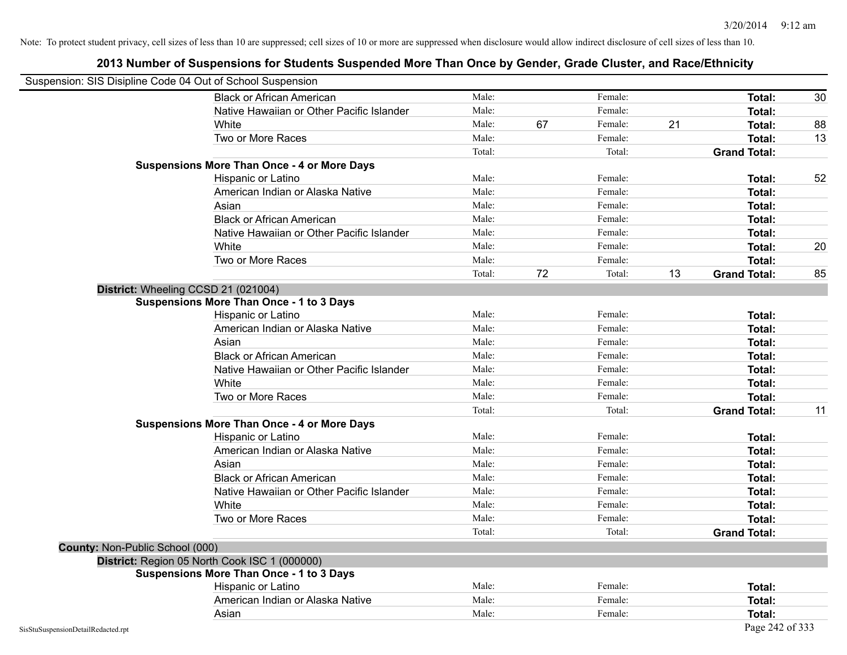|                                        | Suspension: SIS Disipline Code 04 Out of School Suspension |        |    |         |    |                     |    |
|----------------------------------------|------------------------------------------------------------|--------|----|---------|----|---------------------|----|
|                                        | <b>Black or African American</b>                           | Male:  |    | Female: |    | Total:              | 30 |
|                                        | Native Hawaiian or Other Pacific Islander                  | Male:  |    | Female: |    | Total:              |    |
|                                        | White                                                      | Male:  | 67 | Female: | 21 | Total:              | 88 |
|                                        | Two or More Races                                          | Male:  |    | Female: |    | Total:              | 13 |
|                                        |                                                            | Total: |    | Total:  |    | <b>Grand Total:</b> |    |
|                                        | <b>Suspensions More Than Once - 4 or More Days</b>         |        |    |         |    |                     |    |
|                                        | Hispanic or Latino                                         | Male:  |    | Female: |    | Total:              | 52 |
|                                        | American Indian or Alaska Native                           | Male:  |    | Female: |    | Total:              |    |
|                                        | Asian                                                      | Male:  |    | Female: |    | Total:              |    |
|                                        | <b>Black or African American</b>                           | Male:  |    | Female: |    | Total:              |    |
|                                        | Native Hawaiian or Other Pacific Islander                  | Male:  |    | Female: |    | Total:              |    |
|                                        | White                                                      | Male:  |    | Female: |    | Total:              | 20 |
|                                        | Two or More Races                                          | Male:  |    | Female: |    | Total:              |    |
|                                        |                                                            | Total: | 72 | Total:  | 13 | <b>Grand Total:</b> | 85 |
|                                        | District: Wheeling CCSD 21 (021004)                        |        |    |         |    |                     |    |
|                                        | <b>Suspensions More Than Once - 1 to 3 Days</b>            |        |    |         |    |                     |    |
|                                        | Hispanic or Latino                                         | Male:  |    | Female: |    | Total:              |    |
|                                        | American Indian or Alaska Native                           | Male:  |    | Female: |    | Total:              |    |
|                                        | Asian                                                      | Male:  |    | Female: |    | Total:              |    |
|                                        | <b>Black or African American</b>                           | Male:  |    | Female: |    | Total:              |    |
|                                        | Native Hawaiian or Other Pacific Islander                  | Male:  |    | Female: |    | Total:              |    |
|                                        | White                                                      | Male:  |    | Female: |    | Total:              |    |
|                                        | Two or More Races                                          | Male:  |    | Female: |    | Total:              |    |
|                                        |                                                            | Total: |    | Total:  |    | <b>Grand Total:</b> | 11 |
|                                        | <b>Suspensions More Than Once - 4 or More Days</b>         |        |    |         |    |                     |    |
|                                        | Hispanic or Latino                                         | Male:  |    | Female: |    | Total:              |    |
|                                        | American Indian or Alaska Native                           | Male:  |    | Female: |    | Total:              |    |
|                                        | Asian                                                      | Male:  |    | Female: |    | Total:              |    |
|                                        | <b>Black or African American</b>                           | Male:  |    | Female: |    | Total:              |    |
|                                        | Native Hawaiian or Other Pacific Islander                  | Male:  |    | Female: |    | Total:              |    |
|                                        | White                                                      | Male:  |    | Female: |    | Total:              |    |
|                                        | Two or More Races                                          | Male:  |    | Female: |    | Total:              |    |
|                                        |                                                            | Total: |    | Total:  |    | <b>Grand Total:</b> |    |
| <b>County: Non-Public School (000)</b> |                                                            |        |    |         |    |                     |    |
|                                        | District: Region 05 North Cook ISC 1 (000000)              |        |    |         |    |                     |    |
|                                        | <b>Suspensions More Than Once - 1 to 3 Days</b>            |        |    |         |    |                     |    |
|                                        | Hispanic or Latino                                         | Male:  |    | Female: |    | Total:              |    |
|                                        | American Indian or Alaska Native                           | Male:  |    | Female: |    | Total:              |    |
|                                        | Asian                                                      | Male:  |    | Female: |    | Total:              |    |
| SisStuSuspensionDetailRedacted.rpt     |                                                            |        |    |         |    | Page 242 of 333     |    |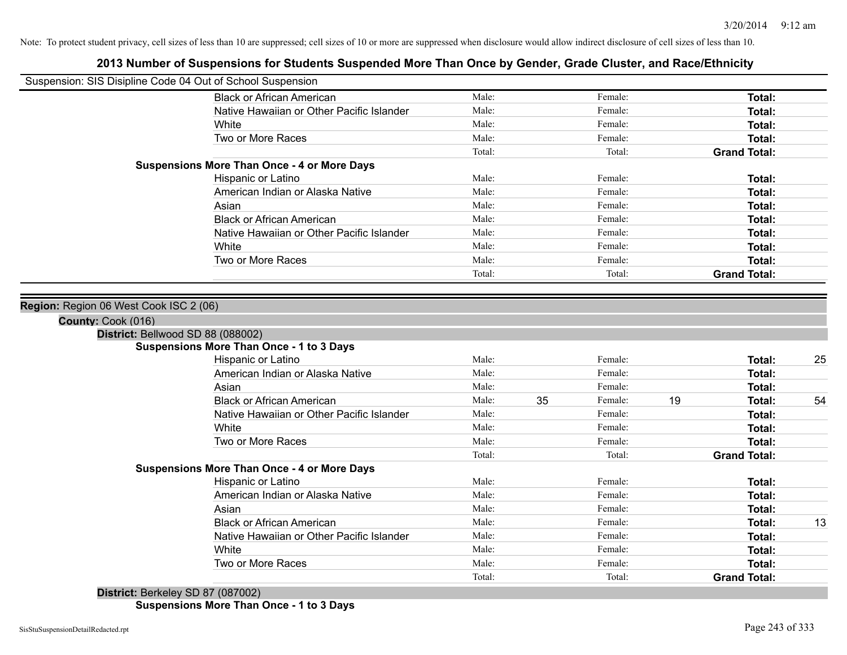# **2013 Number of Suspensions for Students Suspended More Than Once by Gender, Grade Cluster, and Race/Ethnicity**

| Suspension: SIS Disipline Code 04 Out of School Suspension |                                                    |        |    |         |    |                     |    |
|------------------------------------------------------------|----------------------------------------------------|--------|----|---------|----|---------------------|----|
|                                                            | <b>Black or African American</b>                   | Male:  |    | Female: |    | Total:              |    |
|                                                            | Native Hawaiian or Other Pacific Islander          | Male:  |    | Female: |    | <b>Total:</b>       |    |
|                                                            | White                                              | Male:  |    | Female: |    | <b>Total:</b>       |    |
|                                                            | Two or More Races                                  | Male:  |    | Female: |    | <b>Total:</b>       |    |
|                                                            |                                                    | Total: |    | Total:  |    | <b>Grand Total:</b> |    |
|                                                            | <b>Suspensions More Than Once - 4 or More Days</b> |        |    |         |    |                     |    |
|                                                            | Hispanic or Latino                                 | Male:  |    | Female: |    | <b>Total:</b>       |    |
|                                                            | American Indian or Alaska Native                   | Male:  |    | Female: |    | <b>Total:</b>       |    |
|                                                            | Asian                                              | Male:  |    | Female: |    | <b>Total:</b>       |    |
|                                                            | <b>Black or African American</b>                   | Male:  |    | Female: |    | <b>Total:</b>       |    |
|                                                            | Native Hawaiian or Other Pacific Islander          | Male:  |    | Female: |    | <b>Total:</b>       |    |
|                                                            | White                                              | Male:  |    | Female: |    | <b>Total:</b>       |    |
|                                                            | Two or More Races                                  | Male:  |    | Female: |    | <b>Total:</b>       |    |
|                                                            |                                                    | Total: |    | Total:  |    | <b>Grand Total:</b> |    |
| District: Bellwood SD 88 (088002)                          |                                                    |        |    |         |    |                     |    |
|                                                            | <b>Suspensions More Than Once - 1 to 3 Days</b>    |        |    |         |    |                     |    |
|                                                            | Hispanic or Latino                                 | Male:  |    | Female: |    | <b>Total:</b>       | 25 |
|                                                            | American Indian or Alaska Native                   | Male:  |    | Female: |    | <b>Total:</b>       |    |
|                                                            | Asian                                              | Male:  |    | Female: |    | <b>Total:</b>       |    |
|                                                            | <b>Black or African American</b>                   | Male:  | 35 | Female: | 19 | Total:              | 54 |
|                                                            | Native Hawaiian or Other Pacific Islander          | Male:  |    | Female: |    | <b>Total:</b>       |    |
|                                                            | White                                              | Male:  |    | Female: |    | <b>Total:</b>       |    |
|                                                            | Two or More Races                                  | Male:  |    | Female: |    | <b>Total:</b>       |    |
|                                                            | <b>Suspensions More Than Once - 4 or More Days</b> | Total: |    | Total:  |    | <b>Grand Total:</b> |    |
|                                                            | Hispanic or Latino                                 | Male:  |    | Female: |    | Total:              |    |
|                                                            | American Indian or Alaska Native                   | Male:  |    | Female: |    | <b>Total:</b>       |    |
|                                                            | Asian                                              | Male:  |    | Female: |    | <b>Total:</b>       |    |
|                                                            | <b>Black or African American</b>                   | Male:  |    | Female: |    | <b>Total:</b>       | 13 |
|                                                            | Native Hawaiian or Other Pacific Islander          | Male:  |    | Female: |    | <b>Total:</b>       |    |
|                                                            | White                                              | Male:  |    | Female: |    | Total:              |    |
|                                                            | Two or More Races                                  | Male:  |    | Female: |    | <b>Total:</b>       |    |
|                                                            |                                                    | Total: |    | Total:  |    | <b>Grand Total:</b> |    |
| District: Berkeley SD 87 (087002)                          |                                                    |        |    |         |    |                     |    |
|                                                            |                                                    |        |    |         |    |                     |    |

**Suspensions More Than Once - 1 to 3 Days**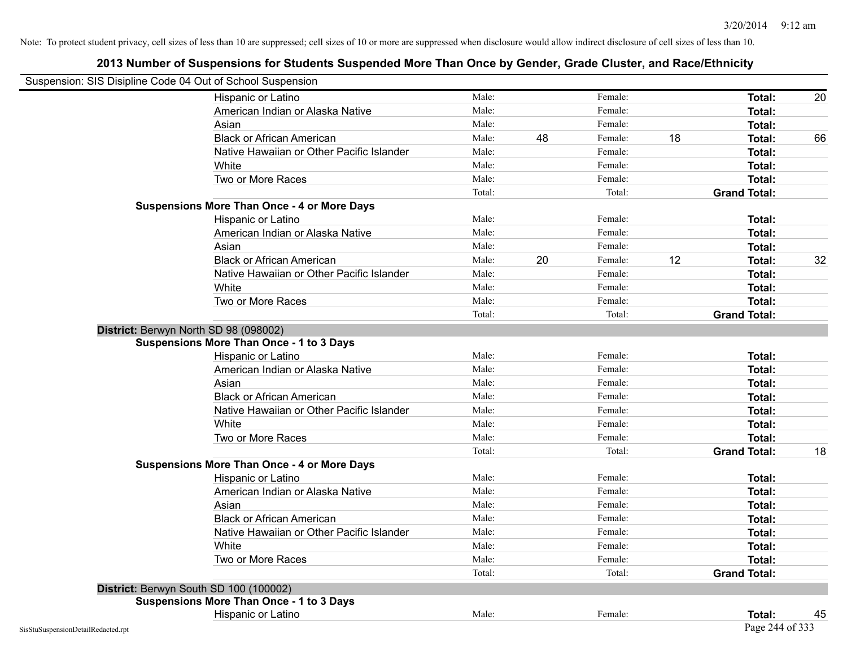| Suspension: SIS Disipline Code 04 Out of School Suspension |                                                    |        |    |         |    |                     |    |
|------------------------------------------------------------|----------------------------------------------------|--------|----|---------|----|---------------------|----|
|                                                            | Hispanic or Latino                                 | Male:  |    | Female: |    | <b>Total:</b>       | 20 |
|                                                            | American Indian or Alaska Native                   | Male:  |    | Female: |    | Total:              |    |
|                                                            | Asian                                              | Male:  |    | Female: |    | Total:              |    |
|                                                            | <b>Black or African American</b>                   | Male:  | 48 | Female: | 18 | Total:              | 66 |
|                                                            | Native Hawaiian or Other Pacific Islander          | Male:  |    | Female: |    | Total:              |    |
|                                                            | White                                              | Male:  |    | Female: |    | <b>Total:</b>       |    |
|                                                            | Two or More Races                                  | Male:  |    | Female: |    | <b>Total:</b>       |    |
|                                                            |                                                    | Total: |    | Total:  |    | <b>Grand Total:</b> |    |
|                                                            | <b>Suspensions More Than Once - 4 or More Days</b> |        |    |         |    |                     |    |
|                                                            | Hispanic or Latino                                 | Male:  |    | Female: |    | Total:              |    |
|                                                            | American Indian or Alaska Native                   | Male:  |    | Female: |    | Total:              |    |
|                                                            | Asian                                              | Male:  |    | Female: |    | Total:              |    |
|                                                            | <b>Black or African American</b>                   | Male:  | 20 | Female: | 12 | Total:              | 32 |
|                                                            | Native Hawaiian or Other Pacific Islander          | Male:  |    | Female: |    | <b>Total:</b>       |    |
|                                                            | White                                              | Male:  |    | Female: |    | Total:              |    |
|                                                            | Two or More Races                                  | Male:  |    | Female: |    | <b>Total:</b>       |    |
|                                                            |                                                    | Total: |    | Total:  |    | <b>Grand Total:</b> |    |
|                                                            | District: Berwyn North SD 98 (098002)              |        |    |         |    |                     |    |
|                                                            | <b>Suspensions More Than Once - 1 to 3 Days</b>    |        |    |         |    |                     |    |
|                                                            | Hispanic or Latino                                 | Male:  |    | Female: |    | Total:              |    |
|                                                            | American Indian or Alaska Native                   | Male:  |    | Female: |    | Total:              |    |
|                                                            | Asian                                              | Male:  |    | Female: |    | Total:              |    |
|                                                            | <b>Black or African American</b>                   | Male:  |    | Female: |    | Total:              |    |
|                                                            | Native Hawaiian or Other Pacific Islander          | Male:  |    | Female: |    | Total:              |    |
|                                                            | White                                              | Male:  |    | Female: |    | Total:              |    |
|                                                            | Two or More Races                                  | Male:  |    | Female: |    | Total:              |    |
|                                                            |                                                    | Total: |    | Total:  |    | <b>Grand Total:</b> | 18 |
|                                                            | <b>Suspensions More Than Once - 4 or More Days</b> |        |    |         |    |                     |    |
|                                                            | Hispanic or Latino                                 | Male:  |    | Female: |    | Total:              |    |
|                                                            | American Indian or Alaska Native                   | Male:  |    | Female: |    | <b>Total:</b>       |    |
|                                                            | Asian                                              | Male:  |    | Female: |    | <b>Total:</b>       |    |
|                                                            | <b>Black or African American</b>                   | Male:  |    | Female: |    | Total:              |    |
|                                                            | Native Hawaiian or Other Pacific Islander          | Male:  |    | Female: |    | Total:              |    |
|                                                            | White                                              | Male:  |    | Female: |    | Total:              |    |
|                                                            | Two or More Races                                  | Male:  |    | Female: |    | Total:              |    |
|                                                            |                                                    | Total: |    | Total:  |    | <b>Grand Total:</b> |    |
|                                                            | District: Berwyn South SD 100 (100002)             |        |    |         |    |                     |    |
|                                                            | <b>Suspensions More Than Once - 1 to 3 Days</b>    |        |    |         |    |                     |    |
|                                                            | Hispanic or Latino                                 | Male:  |    | Female: |    | Total:              | 45 |
| SisStuSuspensionDetailRedacted.rpt                         |                                                    |        |    |         |    | Page 244 of 333     |    |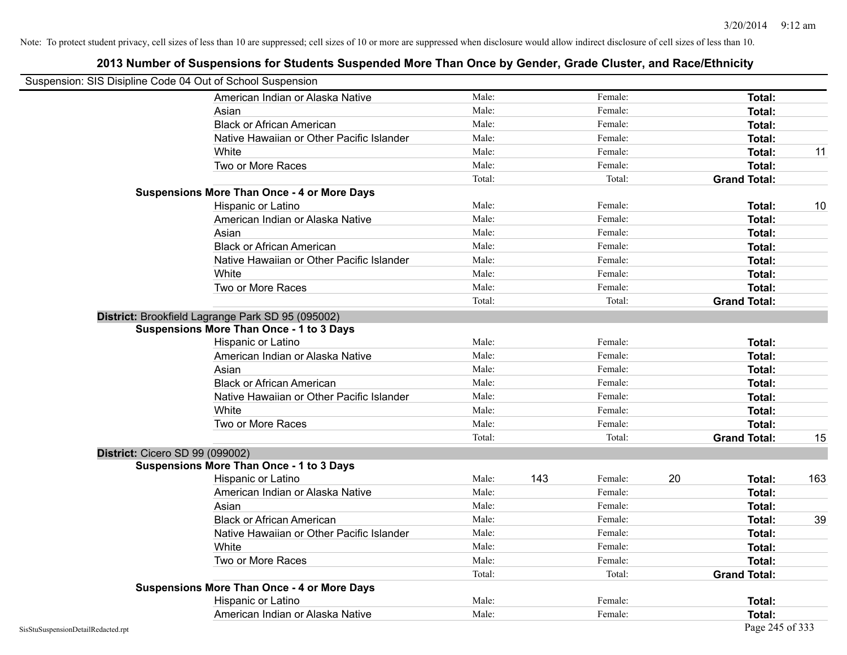| Suspension: SIS Disipline Code 04 Out of School Suspension |                                                    |        |     |         |    |                     |     |
|------------------------------------------------------------|----------------------------------------------------|--------|-----|---------|----|---------------------|-----|
|                                                            | American Indian or Alaska Native                   | Male:  |     | Female: |    | Total:              |     |
|                                                            | Asian                                              | Male:  |     | Female: |    | Total:              |     |
|                                                            | <b>Black or African American</b>                   | Male:  |     | Female: |    | Total:              |     |
|                                                            | Native Hawaiian or Other Pacific Islander          | Male:  |     | Female: |    | Total:              |     |
|                                                            | White                                              | Male:  |     | Female: |    | Total:              | 11  |
|                                                            | Two or More Races                                  | Male:  |     | Female: |    | <b>Total:</b>       |     |
|                                                            |                                                    | Total: |     | Total:  |    | <b>Grand Total:</b> |     |
|                                                            | <b>Suspensions More Than Once - 4 or More Days</b> |        |     |         |    |                     |     |
|                                                            | Hispanic or Latino                                 | Male:  |     | Female: |    | Total:              | 10  |
|                                                            | American Indian or Alaska Native                   | Male:  |     | Female: |    | Total:              |     |
|                                                            | Asian                                              | Male:  |     | Female: |    | <b>Total:</b>       |     |
|                                                            | <b>Black or African American</b>                   | Male:  |     | Female: |    | Total:              |     |
|                                                            | Native Hawaiian or Other Pacific Islander          | Male:  |     | Female: |    | Total:              |     |
|                                                            | White                                              | Male:  |     | Female: |    | Total:              |     |
|                                                            | Two or More Races                                  | Male:  |     | Female: |    | <b>Total:</b>       |     |
|                                                            |                                                    | Total: |     | Total:  |    | <b>Grand Total:</b> |     |
|                                                            | District: Brookfield Lagrange Park SD 95 (095002)  |        |     |         |    |                     |     |
|                                                            | <b>Suspensions More Than Once - 1 to 3 Days</b>    |        |     |         |    |                     |     |
|                                                            | Hispanic or Latino                                 | Male:  |     | Female: |    | <b>Total:</b>       |     |
|                                                            | American Indian or Alaska Native                   | Male:  |     | Female: |    | Total:              |     |
|                                                            | Asian                                              | Male:  |     | Female: |    | Total:              |     |
|                                                            | <b>Black or African American</b>                   | Male:  |     | Female: |    | Total:              |     |
|                                                            | Native Hawaiian or Other Pacific Islander          | Male:  |     | Female: |    | <b>Total:</b>       |     |
|                                                            | White                                              | Male:  |     | Female: |    | Total:              |     |
|                                                            | Two or More Races                                  | Male:  |     | Female: |    | <b>Total:</b>       |     |
|                                                            |                                                    | Total: |     | Total:  |    | <b>Grand Total:</b> | 15  |
| District: Cicero SD 99 (099002)                            |                                                    |        |     |         |    |                     |     |
|                                                            | <b>Suspensions More Than Once - 1 to 3 Days</b>    |        |     |         |    |                     |     |
|                                                            | Hispanic or Latino                                 | Male:  | 143 | Female: | 20 | Total:              | 163 |
|                                                            | American Indian or Alaska Native                   | Male:  |     | Female: |    | Total:              |     |
|                                                            | Asian                                              | Male:  |     | Female: |    | Total:              |     |
|                                                            | <b>Black or African American</b>                   | Male:  |     | Female: |    | Total:              | 39  |
|                                                            | Native Hawaiian or Other Pacific Islander          | Male:  |     | Female: |    | Total:              |     |
|                                                            | White                                              | Male:  |     | Female: |    | Total:              |     |
|                                                            | Two or More Races                                  | Male:  |     | Female: |    | Total:              |     |
|                                                            |                                                    | Total: |     | Total:  |    | <b>Grand Total:</b> |     |
|                                                            | <b>Suspensions More Than Once - 4 or More Days</b> |        |     |         |    |                     |     |
|                                                            | Hispanic or Latino                                 | Male:  |     | Female: |    | Total:              |     |
|                                                            | American Indian or Alaska Native                   | Male:  |     | Female: |    | Total:              |     |
| SisStuSuspensionDetailRedacted.rpt                         |                                                    |        |     |         |    | Page 245 of 333     |     |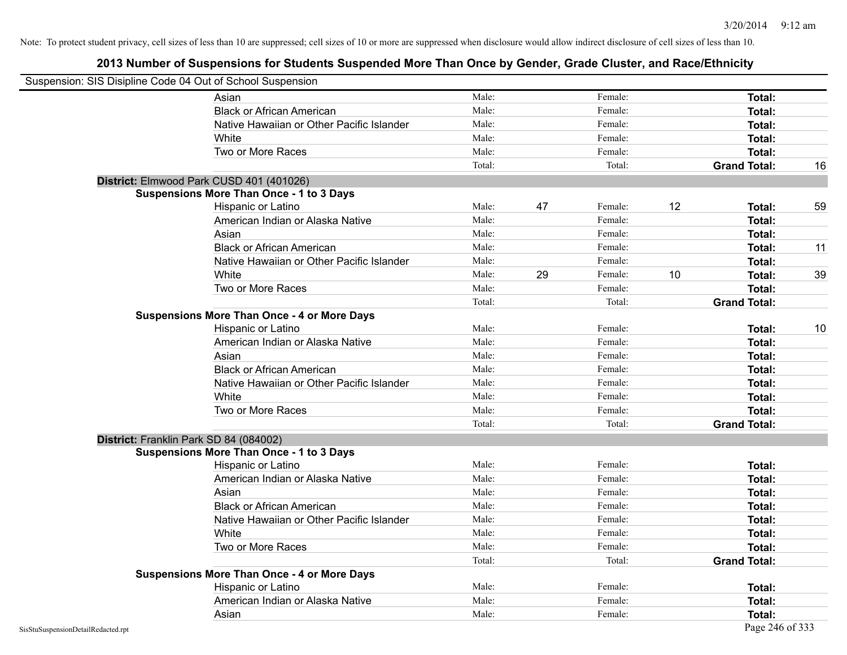|                                    | Suspension: SIS Disipline Code 04 Out of School Suspension |        |    |         |    |                     |    |
|------------------------------------|------------------------------------------------------------|--------|----|---------|----|---------------------|----|
|                                    | Asian                                                      | Male:  |    | Female: |    | <b>Total:</b>       |    |
|                                    | <b>Black or African American</b>                           | Male:  |    | Female: |    | Total:              |    |
|                                    | Native Hawaiian or Other Pacific Islander                  | Male:  |    | Female: |    | Total:              |    |
|                                    | White                                                      | Male:  |    | Female: |    | Total:              |    |
|                                    | Two or More Races                                          | Male:  |    | Female: |    | Total:              |    |
|                                    |                                                            | Total: |    | Total:  |    | <b>Grand Total:</b> | 16 |
|                                    | District: Elmwood Park CUSD 401 (401026)                   |        |    |         |    |                     |    |
|                                    | <b>Suspensions More Than Once - 1 to 3 Days</b>            |        |    |         |    |                     |    |
|                                    | Hispanic or Latino                                         | Male:  | 47 | Female: | 12 | Total:              | 59 |
|                                    | American Indian or Alaska Native                           | Male:  |    | Female: |    | <b>Total:</b>       |    |
|                                    | Asian                                                      | Male:  |    | Female: |    | Total:              |    |
|                                    | <b>Black or African American</b>                           | Male:  |    | Female: |    | Total:              | 11 |
|                                    | Native Hawaiian or Other Pacific Islander                  | Male:  |    | Female: |    | <b>Total:</b>       |    |
|                                    | White                                                      | Male:  | 29 | Female: | 10 | Total:              | 39 |
|                                    | Two or More Races                                          | Male:  |    | Female: |    | <b>Total:</b>       |    |
|                                    |                                                            | Total: |    | Total:  |    | <b>Grand Total:</b> |    |
|                                    | <b>Suspensions More Than Once - 4 or More Days</b>         |        |    |         |    |                     |    |
|                                    | Hispanic or Latino                                         | Male:  |    | Female: |    | Total:              | 10 |
|                                    | American Indian or Alaska Native                           | Male:  |    | Female: |    | <b>Total:</b>       |    |
|                                    | Asian                                                      | Male:  |    | Female: |    | Total:              |    |
|                                    | <b>Black or African American</b>                           | Male:  |    | Female: |    | <b>Total:</b>       |    |
|                                    | Native Hawaiian or Other Pacific Islander                  | Male:  |    | Female: |    | <b>Total:</b>       |    |
|                                    | White                                                      | Male:  |    | Female: |    | <b>Total:</b>       |    |
|                                    | Two or More Races                                          | Male:  |    | Female: |    | Total:              |    |
|                                    |                                                            | Total: |    | Total:  |    | <b>Grand Total:</b> |    |
|                                    | District: Franklin Park SD 84 (084002)                     |        |    |         |    |                     |    |
|                                    | <b>Suspensions More Than Once - 1 to 3 Days</b>            |        |    |         |    |                     |    |
|                                    | Hispanic or Latino                                         | Male:  |    | Female: |    | Total:              |    |
|                                    | American Indian or Alaska Native                           | Male:  |    | Female: |    | <b>Total:</b>       |    |
|                                    | Asian                                                      | Male:  |    | Female: |    | <b>Total:</b>       |    |
|                                    | <b>Black or African American</b>                           | Male:  |    | Female: |    | Total:              |    |
|                                    | Native Hawaiian or Other Pacific Islander                  | Male:  |    | Female: |    | Total:              |    |
|                                    | White                                                      | Male:  |    | Female: |    | <b>Total:</b>       |    |
|                                    | Two or More Races                                          | Male:  |    | Female: |    | Total:              |    |
|                                    |                                                            | Total: |    | Total:  |    | <b>Grand Total:</b> |    |
|                                    | <b>Suspensions More Than Once - 4 or More Days</b>         |        |    |         |    |                     |    |
|                                    | Hispanic or Latino                                         | Male:  |    | Female: |    | Total:              |    |
|                                    | American Indian or Alaska Native                           | Male:  |    | Female: |    | <b>Total:</b>       |    |
|                                    | Asian                                                      | Male:  |    | Female: |    | Total:              |    |
| SisStuSuspensionDetailRedacted.rpt |                                                            |        |    |         |    | Page 246 of 333     |    |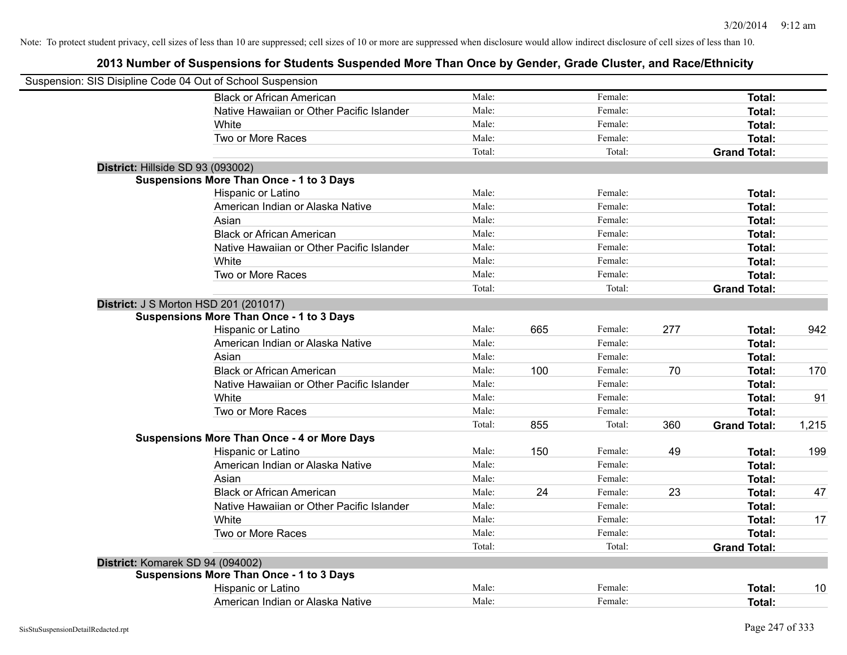|                                   | Suspension: SIS Disipline Code 04 Out of School Suspension |        |     |         |     |                     |       |
|-----------------------------------|------------------------------------------------------------|--------|-----|---------|-----|---------------------|-------|
|                                   | <b>Black or African American</b>                           | Male:  |     | Female: |     | Total:              |       |
|                                   | Native Hawaiian or Other Pacific Islander                  | Male:  |     | Female: |     | Total:              |       |
|                                   | White                                                      | Male:  |     | Female: |     | Total:              |       |
|                                   | Two or More Races                                          | Male:  |     | Female: |     | Total:              |       |
|                                   |                                                            | Total: |     | Total:  |     | <b>Grand Total:</b> |       |
| District: Hillside SD 93 (093002) |                                                            |        |     |         |     |                     |       |
|                                   | <b>Suspensions More Than Once - 1 to 3 Days</b>            |        |     |         |     |                     |       |
|                                   | Hispanic or Latino                                         | Male:  |     | Female: |     | Total:              |       |
|                                   | American Indian or Alaska Native                           | Male:  |     | Female: |     | Total:              |       |
|                                   | Asian                                                      | Male:  |     | Female: |     | Total:              |       |
|                                   | <b>Black or African American</b>                           | Male:  |     | Female: |     | Total:              |       |
|                                   | Native Hawaiian or Other Pacific Islander                  | Male:  |     | Female: |     | Total:              |       |
|                                   | White                                                      | Male:  |     | Female: |     | Total:              |       |
|                                   | Two or More Races                                          | Male:  |     | Female: |     | Total:              |       |
|                                   |                                                            | Total: |     | Total:  |     | <b>Grand Total:</b> |       |
|                                   | <b>District: J S Morton HSD 201 (201017)</b>               |        |     |         |     |                     |       |
|                                   | <b>Suspensions More Than Once - 1 to 3 Days</b>            |        |     |         |     |                     |       |
|                                   | Hispanic or Latino                                         | Male:  | 665 | Female: | 277 | Total:              | 942   |
|                                   | American Indian or Alaska Native                           | Male:  |     | Female: |     | Total:              |       |
|                                   | Asian                                                      | Male:  |     | Female: |     | Total:              |       |
|                                   | <b>Black or African American</b>                           | Male:  | 100 | Female: | 70  | Total:              | 170   |
|                                   | Native Hawaiian or Other Pacific Islander                  | Male:  |     | Female: |     | Total:              |       |
|                                   | White                                                      | Male:  |     | Female: |     | Total:              | 91    |
|                                   | Two or More Races                                          | Male:  |     | Female: |     | Total:              |       |
|                                   |                                                            | Total: | 855 | Total:  | 360 | <b>Grand Total:</b> | 1,215 |
|                                   | <b>Suspensions More Than Once - 4 or More Days</b>         |        |     |         |     |                     |       |
|                                   | Hispanic or Latino                                         | Male:  | 150 | Female: | 49  | Total:              | 199   |
|                                   | American Indian or Alaska Native                           | Male:  |     | Female: |     | Total:              |       |
|                                   | Asian                                                      | Male:  |     | Female: |     | Total:              |       |
|                                   | <b>Black or African American</b>                           | Male:  | 24  | Female: | 23  | Total:              | 47    |
|                                   | Native Hawaiian or Other Pacific Islander                  | Male:  |     | Female: |     | Total:              |       |
|                                   | White                                                      | Male:  |     | Female: |     | Total:              | 17    |
|                                   | Two or More Races                                          | Male:  |     | Female: |     | Total:              |       |
|                                   |                                                            | Total: |     | Total:  |     | <b>Grand Total:</b> |       |
| District: Komarek SD 94 (094002)  |                                                            |        |     |         |     |                     |       |
|                                   | <b>Suspensions More Than Once - 1 to 3 Days</b>            |        |     |         |     |                     |       |
|                                   | Hispanic or Latino                                         | Male:  |     | Female: |     | Total:              | 10    |
|                                   | American Indian or Alaska Native                           | Male:  |     | Female: |     | Total:              |       |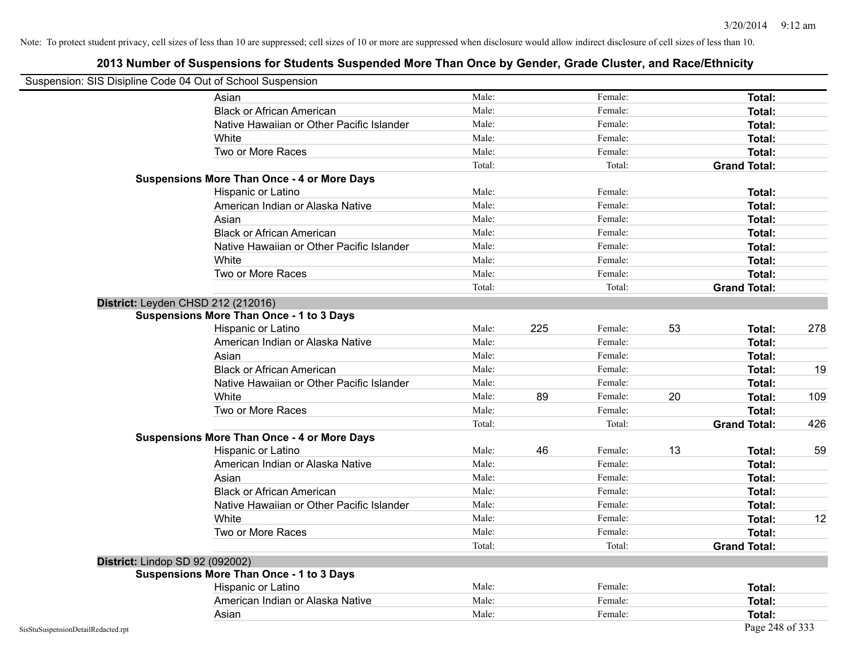| Suspension: SIS Disipline Code 04 Out of School Suspension |                                                    |        |     |         |    |                     |     |
|------------------------------------------------------------|----------------------------------------------------|--------|-----|---------|----|---------------------|-----|
|                                                            | Asian                                              | Male:  |     | Female: |    | Total:              |     |
|                                                            | <b>Black or African American</b>                   | Male:  |     | Female: |    | Total:              |     |
|                                                            | Native Hawaiian or Other Pacific Islander          | Male:  |     | Female: |    | Total:              |     |
|                                                            | White                                              | Male:  |     | Female: |    | Total:              |     |
|                                                            | Two or More Races                                  | Male:  |     | Female: |    | Total:              |     |
|                                                            |                                                    | Total: |     | Total:  |    | <b>Grand Total:</b> |     |
|                                                            | <b>Suspensions More Than Once - 4 or More Days</b> |        |     |         |    |                     |     |
|                                                            | Hispanic or Latino                                 | Male:  |     | Female: |    | Total:              |     |
|                                                            | American Indian or Alaska Native                   | Male:  |     | Female: |    | Total:              |     |
|                                                            | Asian                                              | Male:  |     | Female: |    | Total:              |     |
|                                                            | <b>Black or African American</b>                   | Male:  |     | Female: |    | Total:              |     |
|                                                            | Native Hawaiian or Other Pacific Islander          | Male:  |     | Female: |    | Total:              |     |
|                                                            | White                                              | Male:  |     | Female: |    | Total:              |     |
|                                                            | Two or More Races                                  | Male:  |     | Female: |    | Total:              |     |
|                                                            |                                                    | Total: |     | Total:  |    | <b>Grand Total:</b> |     |
|                                                            | District: Leyden CHSD 212 (212016)                 |        |     |         |    |                     |     |
|                                                            | <b>Suspensions More Than Once - 1 to 3 Days</b>    |        |     |         |    |                     |     |
|                                                            | Hispanic or Latino                                 | Male:  | 225 | Female: | 53 | Total:              | 278 |
|                                                            | American Indian or Alaska Native                   | Male:  |     | Female: |    | Total:              |     |
|                                                            | Asian                                              | Male:  |     | Female: |    | Total:              |     |
|                                                            | <b>Black or African American</b>                   | Male:  |     | Female: |    | Total:              | 19  |
|                                                            | Native Hawaiian or Other Pacific Islander          | Male:  |     | Female: |    | Total:              |     |
|                                                            | White                                              | Male:  | 89  | Female: | 20 | Total:              | 109 |
|                                                            | Two or More Races                                  | Male:  |     | Female: |    | Total:              |     |
|                                                            |                                                    | Total: |     | Total:  |    | <b>Grand Total:</b> | 426 |
|                                                            | <b>Suspensions More Than Once - 4 or More Days</b> |        |     |         |    |                     |     |
|                                                            | Hispanic or Latino                                 | Male:  | 46  | Female: | 13 | Total:              | 59  |
|                                                            | American Indian or Alaska Native                   | Male:  |     | Female: |    | Total:              |     |
|                                                            | Asian                                              | Male:  |     | Female: |    | Total:              |     |
|                                                            | <b>Black or African American</b>                   | Male:  |     | Female: |    | Total:              |     |
|                                                            | Native Hawaiian or Other Pacific Islander          | Male:  |     | Female: |    | Total:              |     |
|                                                            | White                                              | Male:  |     | Female: |    | Total:              | 12  |
|                                                            | Two or More Races                                  | Male:  |     | Female: |    | Total:              |     |
|                                                            |                                                    | Total: |     | Total:  |    | <b>Grand Total:</b> |     |
| District: Lindop SD 92 (092002)                            |                                                    |        |     |         |    |                     |     |
|                                                            | <b>Suspensions More Than Once - 1 to 3 Days</b>    |        |     |         |    |                     |     |
|                                                            | Hispanic or Latino                                 | Male:  |     | Female: |    | Total:              |     |
|                                                            | American Indian or Alaska Native                   | Male:  |     | Female: |    | Total:              |     |
|                                                            | Asian                                              | Male:  |     | Female: |    | Total:              |     |
| SisStuSuspensionDetailRedacted.rpt                         |                                                    |        |     |         |    | Page 248 of 333     |     |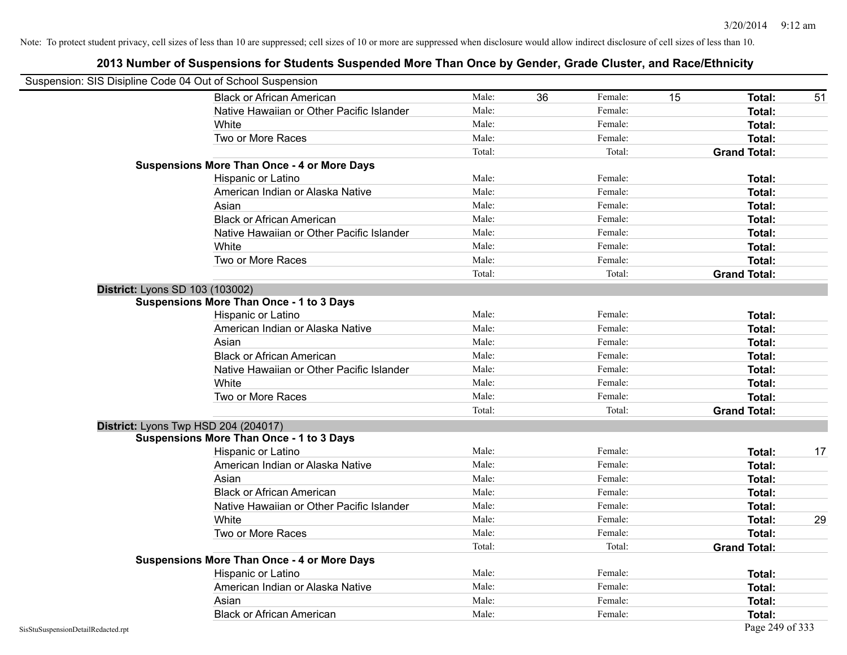|                                    | Suspension: SIS Disipline Code 04 Out of School Suspension |        |    |         |    |                     |    |
|------------------------------------|------------------------------------------------------------|--------|----|---------|----|---------------------|----|
|                                    | <b>Black or African American</b>                           | Male:  | 36 | Female: | 15 | Total:              | 51 |
|                                    | Native Hawaiian or Other Pacific Islander                  | Male:  |    | Female: |    | Total:              |    |
|                                    | White                                                      | Male:  |    | Female: |    | Total:              |    |
|                                    | Two or More Races                                          | Male:  |    | Female: |    | Total:              |    |
|                                    |                                                            | Total: |    | Total:  |    | <b>Grand Total:</b> |    |
|                                    | <b>Suspensions More Than Once - 4 or More Days</b>         |        |    |         |    |                     |    |
|                                    | Hispanic or Latino                                         | Male:  |    | Female: |    | Total:              |    |
|                                    | American Indian or Alaska Native                           | Male:  |    | Female: |    | Total:              |    |
|                                    | Asian                                                      | Male:  |    | Female: |    | Total:              |    |
|                                    | <b>Black or African American</b>                           | Male:  |    | Female: |    | Total:              |    |
|                                    | Native Hawaiian or Other Pacific Islander                  | Male:  |    | Female: |    | Total:              |    |
|                                    | White                                                      | Male:  |    | Female: |    | Total:              |    |
|                                    | Two or More Races                                          | Male:  |    | Female: |    | Total:              |    |
|                                    |                                                            | Total: |    | Total:  |    | <b>Grand Total:</b> |    |
|                                    | <b>District: Lyons SD 103 (103002)</b>                     |        |    |         |    |                     |    |
|                                    | <b>Suspensions More Than Once - 1 to 3 Days</b>            |        |    |         |    |                     |    |
|                                    | Hispanic or Latino                                         | Male:  |    | Female: |    | Total:              |    |
|                                    | American Indian or Alaska Native                           | Male:  |    | Female: |    | Total:              |    |
|                                    | Asian                                                      | Male:  |    | Female: |    | Total:              |    |
|                                    | <b>Black or African American</b>                           | Male:  |    | Female: |    | Total:              |    |
|                                    | Native Hawaiian or Other Pacific Islander                  | Male:  |    | Female: |    | Total:              |    |
|                                    | White                                                      | Male:  |    | Female: |    | Total:              |    |
|                                    | Two or More Races                                          | Male:  |    | Female: |    | Total:              |    |
|                                    |                                                            | Total: |    | Total:  |    | <b>Grand Total:</b> |    |
|                                    | District: Lyons Twp HSD 204 (204017)                       |        |    |         |    |                     |    |
|                                    | <b>Suspensions More Than Once - 1 to 3 Days</b>            |        |    |         |    |                     |    |
|                                    | Hispanic or Latino                                         | Male:  |    | Female: |    | Total:              | 17 |
|                                    | American Indian or Alaska Native                           | Male:  |    | Female: |    | Total:              |    |
|                                    | Asian                                                      | Male:  |    | Female: |    | Total:              |    |
|                                    | <b>Black or African American</b>                           | Male:  |    | Female: |    | Total:              |    |
|                                    | Native Hawaiian or Other Pacific Islander                  | Male:  |    | Female: |    | Total:              |    |
|                                    | White                                                      | Male:  |    | Female: |    | Total:              | 29 |
|                                    | Two or More Races                                          | Male:  |    | Female: |    | <b>Total:</b>       |    |
|                                    |                                                            | Total: |    | Total:  |    | <b>Grand Total:</b> |    |
|                                    | <b>Suspensions More Than Once - 4 or More Days</b>         |        |    |         |    |                     |    |
|                                    | Hispanic or Latino                                         | Male:  |    | Female: |    | Total:              |    |
|                                    | American Indian or Alaska Native                           | Male:  |    | Female: |    | Total:              |    |
|                                    | Asian                                                      | Male:  |    | Female: |    | Total:              |    |
|                                    | <b>Black or African American</b>                           | Male:  |    | Female: |    | Total:              |    |
| SisStuSuspensionDetailRedacted.rpt |                                                            |        |    |         |    | Page 249 of 333     |    |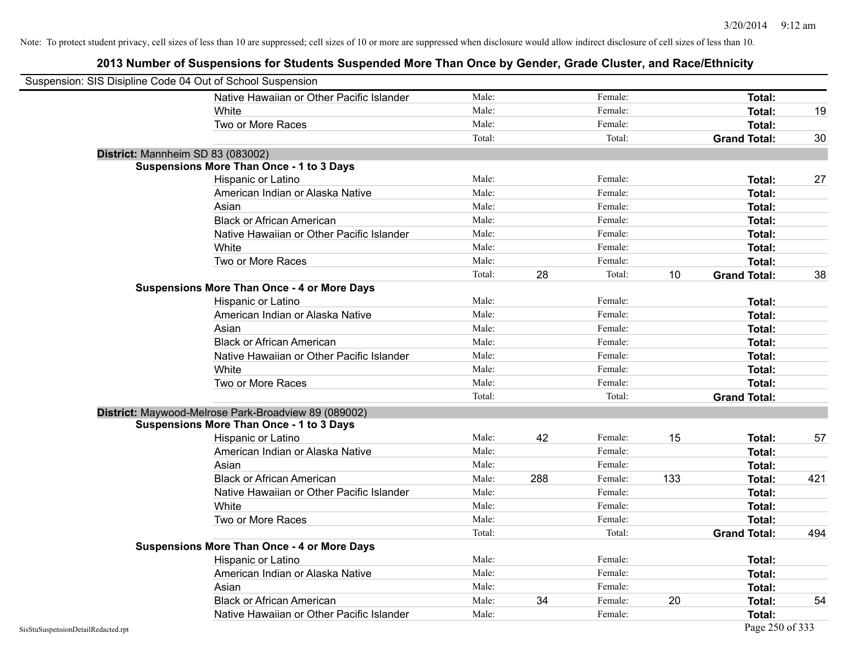| Suspension: SIS Disipline Code 04 Out of School Suspension |                                                      |        |     |         |     |                     |     |
|------------------------------------------------------------|------------------------------------------------------|--------|-----|---------|-----|---------------------|-----|
|                                                            | Native Hawaiian or Other Pacific Islander            | Male:  |     | Female: |     | Total:              |     |
|                                                            | White                                                | Male:  |     | Female: |     | Total:              | 19  |
|                                                            | Two or More Races                                    | Male:  |     | Female: |     | <b>Total:</b>       |     |
|                                                            |                                                      | Total: |     | Total:  |     | <b>Grand Total:</b> | 30  |
|                                                            | District: Mannheim SD 83 (083002)                    |        |     |         |     |                     |     |
|                                                            | <b>Suspensions More Than Once - 1 to 3 Days</b>      |        |     |         |     |                     |     |
|                                                            | Hispanic or Latino                                   | Male:  |     | Female: |     | Total:              | 27  |
|                                                            | American Indian or Alaska Native                     | Male:  |     | Female: |     | Total:              |     |
|                                                            | Asian                                                | Male:  |     | Female: |     | Total:              |     |
|                                                            | <b>Black or African American</b>                     | Male:  |     | Female: |     | <b>Total:</b>       |     |
|                                                            | Native Hawaiian or Other Pacific Islander            | Male:  |     | Female: |     | Total:              |     |
|                                                            | White                                                | Male:  |     | Female: |     | Total:              |     |
|                                                            | Two or More Races                                    | Male:  |     | Female: |     | <b>Total:</b>       |     |
|                                                            |                                                      | Total: | 28  | Total:  | 10  | <b>Grand Total:</b> | 38  |
|                                                            | <b>Suspensions More Than Once - 4 or More Days</b>   |        |     |         |     |                     |     |
|                                                            | Hispanic or Latino                                   | Male:  |     | Female: |     | Total:              |     |
|                                                            | American Indian or Alaska Native                     | Male:  |     | Female: |     | Total:              |     |
|                                                            | Asian                                                | Male:  |     | Female: |     | Total:              |     |
|                                                            | <b>Black or African American</b>                     | Male:  |     | Female: |     | Total:              |     |
|                                                            | Native Hawaiian or Other Pacific Islander            | Male:  |     | Female: |     | Total:              |     |
|                                                            | White                                                | Male:  |     | Female: |     | Total:              |     |
|                                                            | Two or More Races                                    | Male:  |     | Female: |     | <b>Total:</b>       |     |
|                                                            |                                                      | Total: |     | Total:  |     | <b>Grand Total:</b> |     |
|                                                            | District: Maywood-Melrose Park-Broadview 89 (089002) |        |     |         |     |                     |     |
|                                                            | <b>Suspensions More Than Once - 1 to 3 Days</b>      |        |     |         |     |                     |     |
|                                                            | Hispanic or Latino                                   | Male:  | 42  | Female: | 15  | <b>Total:</b>       | 57  |
|                                                            | American Indian or Alaska Native                     | Male:  |     | Female: |     | Total:              |     |
|                                                            | Asian                                                | Male:  |     | Female: |     | Total:              |     |
|                                                            | <b>Black or African American</b>                     | Male:  | 288 | Female: | 133 | Total:              | 421 |
|                                                            | Native Hawaiian or Other Pacific Islander            | Male:  |     | Female: |     | Total:              |     |
|                                                            | White                                                | Male:  |     | Female: |     | Total:              |     |
|                                                            | Two or More Races                                    | Male:  |     | Female: |     | <b>Total:</b>       |     |
|                                                            |                                                      | Total: |     | Total:  |     | <b>Grand Total:</b> | 494 |
|                                                            | <b>Suspensions More Than Once - 4 or More Days</b>   |        |     |         |     |                     |     |
|                                                            | Hispanic or Latino                                   | Male:  |     | Female: |     | Total:              |     |
|                                                            | American Indian or Alaska Native                     | Male:  |     | Female: |     | <b>Total:</b>       |     |
|                                                            | Asian                                                | Male:  |     | Female: |     | Total:              |     |
|                                                            | <b>Black or African American</b>                     | Male:  | 34  | Female: | 20  | Total:              | 54  |
|                                                            | Native Hawaiian or Other Pacific Islander            | Male:  |     | Female: |     | <b>Total:</b>       |     |
| SisStuSuspensionDetailRedacted.rpt                         |                                                      |        |     |         |     | Page 250 of 333     |     |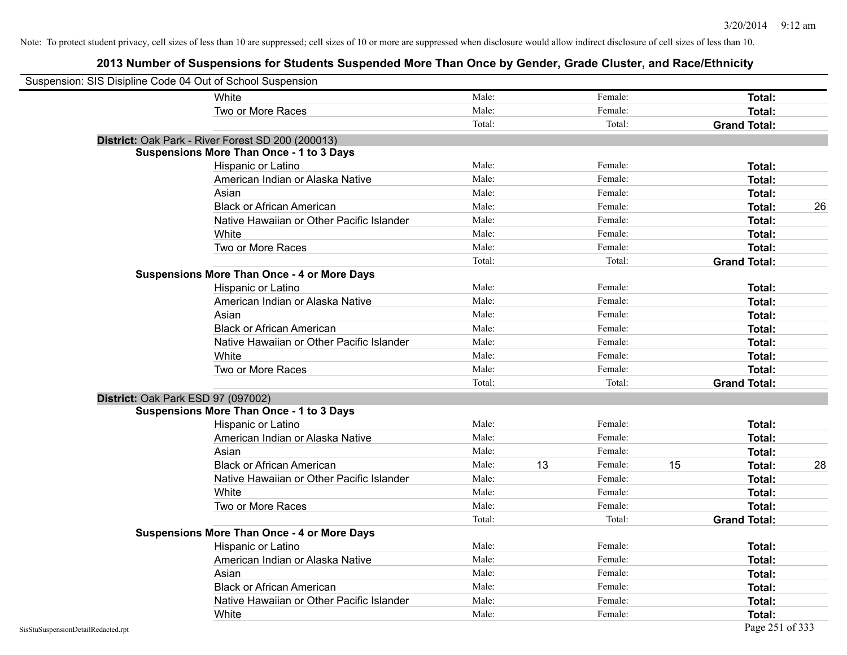| Suspension: SIS Disipline Code 04 Out of School Suspension |                                                    |        |    |         |    |                     |    |
|------------------------------------------------------------|----------------------------------------------------|--------|----|---------|----|---------------------|----|
|                                                            | White                                              | Male:  |    | Female: |    | Total:              |    |
|                                                            | Two or More Races                                  | Male:  |    | Female: |    | Total:              |    |
|                                                            |                                                    | Total: |    | Total:  |    | <b>Grand Total:</b> |    |
|                                                            | District: Oak Park - River Forest SD 200 (200013)  |        |    |         |    |                     |    |
|                                                            | <b>Suspensions More Than Once - 1 to 3 Days</b>    |        |    |         |    |                     |    |
|                                                            | Hispanic or Latino                                 | Male:  |    | Female: |    | Total:              |    |
|                                                            | American Indian or Alaska Native                   | Male:  |    | Female: |    | Total:              |    |
|                                                            | Asian                                              | Male:  |    | Female: |    | Total:              |    |
|                                                            | <b>Black or African American</b>                   | Male:  |    | Female: |    | Total:              | 26 |
|                                                            | Native Hawaiian or Other Pacific Islander          | Male:  |    | Female: |    | Total:              |    |
|                                                            | White                                              | Male:  |    | Female: |    | Total:              |    |
|                                                            | Two or More Races                                  | Male:  |    | Female: |    | Total:              |    |
|                                                            |                                                    | Total: |    | Total:  |    | <b>Grand Total:</b> |    |
|                                                            | <b>Suspensions More Than Once - 4 or More Days</b> |        |    |         |    |                     |    |
|                                                            | Hispanic or Latino                                 | Male:  |    | Female: |    | Total:              |    |
|                                                            | American Indian or Alaska Native                   | Male:  |    | Female: |    | Total:              |    |
|                                                            | Asian                                              | Male:  |    | Female: |    | Total:              |    |
|                                                            | <b>Black or African American</b>                   | Male:  |    | Female: |    | Total:              |    |
|                                                            | Native Hawaiian or Other Pacific Islander          | Male:  |    | Female: |    | Total:              |    |
|                                                            | White                                              | Male:  |    | Female: |    | Total:              |    |
|                                                            | Two or More Races                                  | Male:  |    | Female: |    | Total:              |    |
|                                                            |                                                    | Total: |    | Total:  |    | <b>Grand Total:</b> |    |
|                                                            | District: Oak Park ESD 97 (097002)                 |        |    |         |    |                     |    |
|                                                            | <b>Suspensions More Than Once - 1 to 3 Days</b>    |        |    |         |    |                     |    |
|                                                            | Hispanic or Latino                                 | Male:  |    | Female: |    | Total:              |    |
|                                                            | American Indian or Alaska Native                   | Male:  |    | Female: |    | Total:              |    |
|                                                            | Asian                                              | Male:  |    | Female: |    | Total:              |    |
|                                                            | <b>Black or African American</b>                   | Male:  | 13 | Female: | 15 | <b>Total:</b>       | 28 |
|                                                            | Native Hawaiian or Other Pacific Islander          | Male:  |    | Female: |    | Total:              |    |
|                                                            | White                                              | Male:  |    | Female: |    | Total:              |    |
|                                                            | Two or More Races                                  | Male:  |    | Female: |    | Total:              |    |
|                                                            |                                                    | Total: |    | Total:  |    | <b>Grand Total:</b> |    |
|                                                            | <b>Suspensions More Than Once - 4 or More Days</b> |        |    |         |    |                     |    |
|                                                            | Hispanic or Latino                                 | Male:  |    | Female: |    | Total:              |    |
|                                                            | American Indian or Alaska Native                   | Male:  |    | Female: |    | Total:              |    |
|                                                            | Asian                                              | Male:  |    | Female: |    | Total:              |    |
|                                                            | <b>Black or African American</b>                   | Male:  |    | Female: |    | Total:              |    |
|                                                            | Native Hawaiian or Other Pacific Islander          | Male:  |    | Female: |    | Total:              |    |
|                                                            | White                                              | Male:  |    | Female: |    | <b>Total:</b>       |    |
| SisStuSuspensionDetailRedacted.rpt                         |                                                    |        |    |         |    | Page 251 of 333     |    |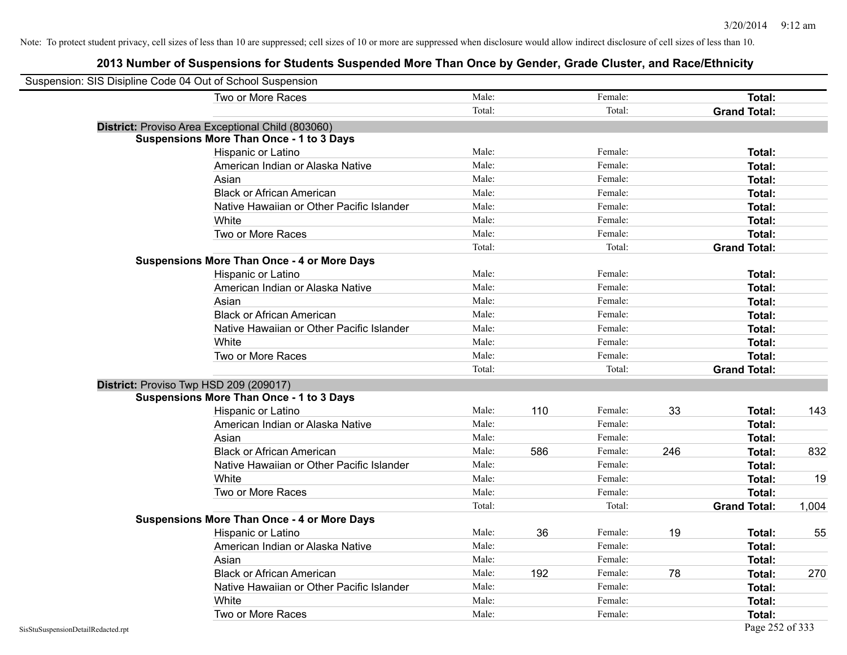| Suspension: SIS Disipline Code 04 Out of School Suspension |                                                    |        |     |         |     |                     |       |
|------------------------------------------------------------|----------------------------------------------------|--------|-----|---------|-----|---------------------|-------|
|                                                            | Two or More Races                                  | Male:  |     | Female: |     | Total:              |       |
|                                                            |                                                    | Total: |     | Total:  |     | <b>Grand Total:</b> |       |
|                                                            | District: Proviso Area Exceptional Child (803060)  |        |     |         |     |                     |       |
|                                                            | <b>Suspensions More Than Once - 1 to 3 Days</b>    |        |     |         |     |                     |       |
|                                                            | Hispanic or Latino                                 | Male:  |     | Female: |     | Total:              |       |
|                                                            | American Indian or Alaska Native                   | Male:  |     | Female: |     | Total:              |       |
|                                                            | Asian                                              | Male:  |     | Female: |     | Total:              |       |
|                                                            | <b>Black or African American</b>                   | Male:  |     | Female: |     | Total:              |       |
|                                                            | Native Hawaiian or Other Pacific Islander          | Male:  |     | Female: |     | Total:              |       |
|                                                            | White                                              | Male:  |     | Female: |     | Total:              |       |
|                                                            | Two or More Races                                  | Male:  |     | Female: |     | Total:              |       |
|                                                            |                                                    | Total: |     | Total:  |     | <b>Grand Total:</b> |       |
|                                                            | <b>Suspensions More Than Once - 4 or More Days</b> |        |     |         |     |                     |       |
|                                                            | Hispanic or Latino                                 | Male:  |     | Female: |     | Total:              |       |
|                                                            | American Indian or Alaska Native                   | Male:  |     | Female: |     | Total:              |       |
|                                                            | Asian                                              | Male:  |     | Female: |     | Total:              |       |
|                                                            | <b>Black or African American</b>                   | Male:  |     | Female: |     | Total:              |       |
|                                                            | Native Hawaiian or Other Pacific Islander          | Male:  |     | Female: |     | Total:              |       |
|                                                            | White                                              | Male:  |     | Female: |     | Total:              |       |
|                                                            | Two or More Races                                  | Male:  |     | Female: |     | Total:              |       |
|                                                            |                                                    | Total: |     | Total:  |     | <b>Grand Total:</b> |       |
|                                                            | District: Proviso Twp HSD 209 (209017)             |        |     |         |     |                     |       |
|                                                            | <b>Suspensions More Than Once - 1 to 3 Days</b>    |        |     |         |     |                     |       |
|                                                            | Hispanic or Latino                                 | Male:  | 110 | Female: | 33  | Total:              | 143   |
|                                                            | American Indian or Alaska Native                   | Male:  |     | Female: |     | Total:              |       |
|                                                            | Asian                                              | Male:  |     | Female: |     | Total:              |       |
|                                                            | <b>Black or African American</b>                   | Male:  | 586 | Female: | 246 | Total:              | 832   |
|                                                            | Native Hawaiian or Other Pacific Islander          | Male:  |     | Female: |     | Total:              |       |
|                                                            | White                                              | Male:  |     | Female: |     | Total:              | 19    |
|                                                            | Two or More Races                                  | Male:  |     | Female: |     | Total:              |       |
|                                                            |                                                    | Total: |     | Total:  |     | <b>Grand Total:</b> | 1,004 |
|                                                            | <b>Suspensions More Than Once - 4 or More Days</b> |        |     |         |     |                     |       |
|                                                            | Hispanic or Latino                                 | Male:  | 36  | Female: | 19  | Total:              | 55    |
|                                                            | American Indian or Alaska Native                   | Male:  |     | Female: |     | Total:              |       |
|                                                            | Asian                                              | Male:  |     | Female: |     | Total:              |       |
|                                                            | <b>Black or African American</b>                   | Male:  | 192 | Female: | 78  | Total:              | 270   |
|                                                            | Native Hawaiian or Other Pacific Islander          | Male:  |     | Female: |     | Total:              |       |
|                                                            | White                                              | Male:  |     | Female: |     | Total:              |       |
|                                                            | Two or More Races                                  | Male:  |     | Female: |     | Total:              |       |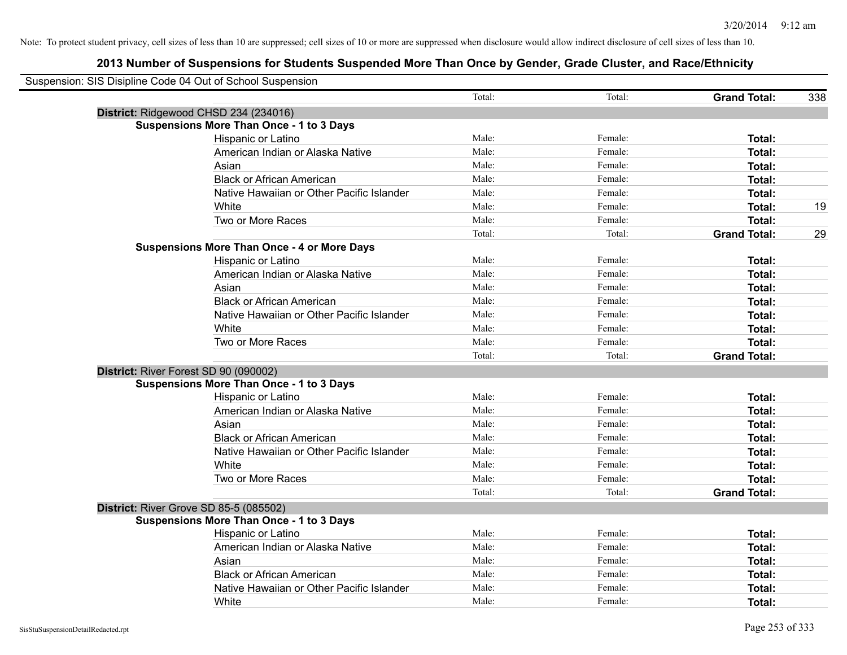| Suspension: SIS Disipline Code 04 Out of School Suspension |                                                    |        |         |                     |     |
|------------------------------------------------------------|----------------------------------------------------|--------|---------|---------------------|-----|
|                                                            |                                                    | Total: | Total:  | <b>Grand Total:</b> | 338 |
|                                                            | District: Ridgewood CHSD 234 (234016)              |        |         |                     |     |
|                                                            | <b>Suspensions More Than Once - 1 to 3 Days</b>    |        |         |                     |     |
|                                                            | Hispanic or Latino                                 | Male:  | Female: | Total:              |     |
|                                                            | American Indian or Alaska Native                   | Male:  | Female: | Total:              |     |
|                                                            | Asian                                              | Male:  | Female: | Total:              |     |
|                                                            | <b>Black or African American</b>                   | Male:  | Female: | <b>Total:</b>       |     |
|                                                            | Native Hawaiian or Other Pacific Islander          | Male:  | Female: | Total:              |     |
|                                                            | White                                              | Male:  | Female: | Total:              | 19  |
|                                                            | Two or More Races                                  | Male:  | Female: | Total:              |     |
|                                                            |                                                    | Total: | Total:  | <b>Grand Total:</b> | 29  |
|                                                            | <b>Suspensions More Than Once - 4 or More Days</b> |        |         |                     |     |
|                                                            | Hispanic or Latino                                 | Male:  | Female: | Total:              |     |
|                                                            | American Indian or Alaska Native                   | Male:  | Female: | Total:              |     |
|                                                            | Asian                                              | Male:  | Female: | Total:              |     |
|                                                            | <b>Black or African American</b>                   | Male:  | Female: | Total:              |     |
|                                                            | Native Hawaiian or Other Pacific Islander          | Male:  | Female: | Total:              |     |
|                                                            | White                                              | Male:  | Female: | Total:              |     |
|                                                            | Two or More Races                                  | Male:  | Female: | <b>Total:</b>       |     |
|                                                            |                                                    | Total: | Total:  | <b>Grand Total:</b> |     |
| District: River Forest SD 90 (090002)                      |                                                    |        |         |                     |     |
|                                                            | <b>Suspensions More Than Once - 1 to 3 Days</b>    |        |         |                     |     |
|                                                            | Hispanic or Latino                                 | Male:  | Female: | Total:              |     |
|                                                            | American Indian or Alaska Native                   | Male:  | Female: | Total:              |     |
|                                                            | Asian                                              | Male:  | Female: | Total:              |     |
|                                                            | <b>Black or African American</b>                   | Male:  | Female: | Total:              |     |
|                                                            | Native Hawaiian or Other Pacific Islander          | Male:  | Female: | Total:              |     |
|                                                            | White                                              | Male:  | Female: | <b>Total:</b>       |     |
|                                                            | Two or More Races                                  | Male:  | Female: | <b>Total:</b>       |     |
|                                                            |                                                    | Total: | Total:  | <b>Grand Total:</b> |     |
|                                                            | District: River Grove SD 85-5 (085502)             |        |         |                     |     |
|                                                            | <b>Suspensions More Than Once - 1 to 3 Days</b>    |        |         |                     |     |
|                                                            | Hispanic or Latino                                 | Male:  | Female: | Total:              |     |
|                                                            | American Indian or Alaska Native                   | Male:  | Female: | Total:              |     |
|                                                            | Asian                                              | Male:  | Female: | Total:              |     |
|                                                            | <b>Black or African American</b>                   | Male:  | Female: | Total:              |     |
|                                                            | Native Hawaiian or Other Pacific Islander          | Male:  | Female: | <b>Total:</b>       |     |
|                                                            | White                                              | Male:  | Female: | Total:              |     |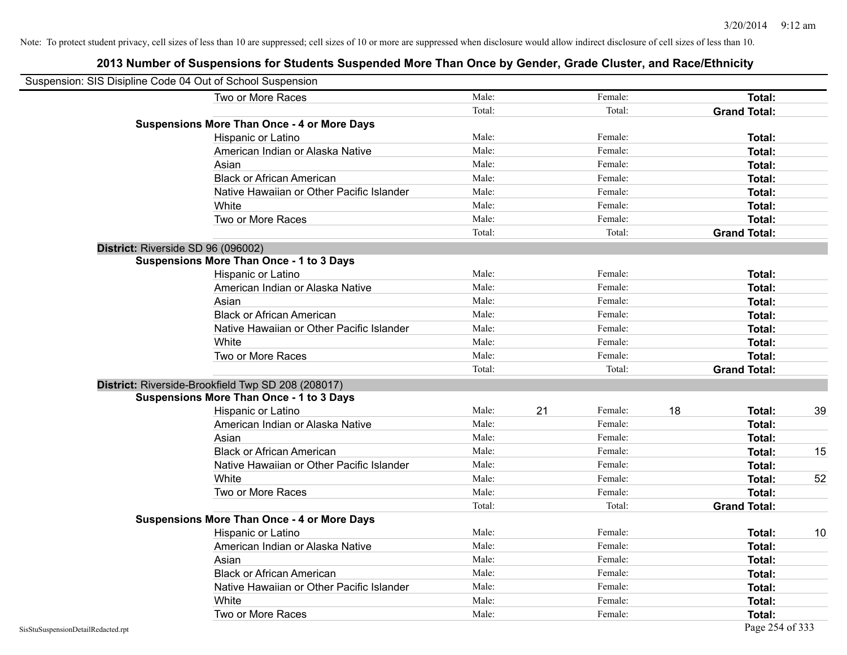| Suspension: SIS Disipline Code 04 Out of School Suspension |                                                    |        |               |                     |    |
|------------------------------------------------------------|----------------------------------------------------|--------|---------------|---------------------|----|
|                                                            | Two or More Races                                  | Male:  | Female:       | <b>Total:</b>       |    |
|                                                            |                                                    | Total: | Total:        | <b>Grand Total:</b> |    |
|                                                            | <b>Suspensions More Than Once - 4 or More Days</b> |        |               |                     |    |
|                                                            | Hispanic or Latino                                 | Male:  | Female:       | Total:              |    |
|                                                            | American Indian or Alaska Native                   | Male:  | Female:       | Total:              |    |
|                                                            | Asian                                              | Male:  | Female:       | Total:              |    |
|                                                            | <b>Black or African American</b>                   | Male:  | Female:       | Total:              |    |
|                                                            | Native Hawaiian or Other Pacific Islander          | Male:  | Female:       | Total:              |    |
|                                                            | White                                              | Male:  | Female:       | Total:              |    |
|                                                            | Two or More Races                                  | Male:  | Female:       | Total:              |    |
|                                                            |                                                    | Total: | Total:        | <b>Grand Total:</b> |    |
|                                                            | District: Riverside SD 96 (096002)                 |        |               |                     |    |
|                                                            | <b>Suspensions More Than Once - 1 to 3 Days</b>    |        |               |                     |    |
|                                                            | Hispanic or Latino                                 | Male:  | Female:       | Total:              |    |
|                                                            | American Indian or Alaska Native                   | Male:  | Female:       | Total:              |    |
|                                                            | Asian                                              | Male:  | Female:       | Total:              |    |
|                                                            | <b>Black or African American</b>                   | Male:  | Female:       | Total:              |    |
|                                                            | Native Hawaiian or Other Pacific Islander          | Male:  | Female:       | Total:              |    |
|                                                            | White                                              | Male:  | Female:       | Total:              |    |
|                                                            | Two or More Races                                  | Male:  | Female:       | Total:              |    |
|                                                            |                                                    | Total: | Total:        | <b>Grand Total:</b> |    |
|                                                            | District: Riverside-Brookfield Twp SD 208 (208017) |        |               |                     |    |
|                                                            | <b>Suspensions More Than Once - 1 to 3 Days</b>    |        |               |                     |    |
|                                                            | Hispanic or Latino                                 | Male:  | 21<br>Female: | 18<br>Total:        | 39 |
|                                                            | American Indian or Alaska Native                   | Male:  | Female:       | Total:              |    |
|                                                            | Asian                                              | Male:  | Female:       | Total:              |    |
|                                                            | <b>Black or African American</b>                   | Male:  | Female:       | Total:              | 15 |
|                                                            | Native Hawaiian or Other Pacific Islander          | Male:  | Female:       | Total:              |    |
|                                                            | White                                              | Male:  | Female:       | Total:              | 52 |
|                                                            | Two or More Races                                  | Male:  | Female:       | Total:              |    |
|                                                            |                                                    | Total: | Total:        | <b>Grand Total:</b> |    |
|                                                            | <b>Suspensions More Than Once - 4 or More Days</b> |        |               |                     |    |
|                                                            | Hispanic or Latino                                 | Male:  | Female:       | Total:              | 10 |
|                                                            | American Indian or Alaska Native                   | Male:  | Female:       | Total:              |    |
|                                                            | Asian                                              | Male:  | Female:       | Total:              |    |
|                                                            | <b>Black or African American</b>                   | Male:  | Female:       | Total:              |    |
|                                                            | Native Hawaiian or Other Pacific Islander          | Male:  | Female:       | Total:              |    |
|                                                            | White                                              | Male:  | Female:       | Total:              |    |
|                                                            | Two or More Races                                  | Male:  | Female:       | Total:              |    |
| SisStuSuspensionDetailRedacted.rpt                         |                                                    |        |               | Page 254 of 333     |    |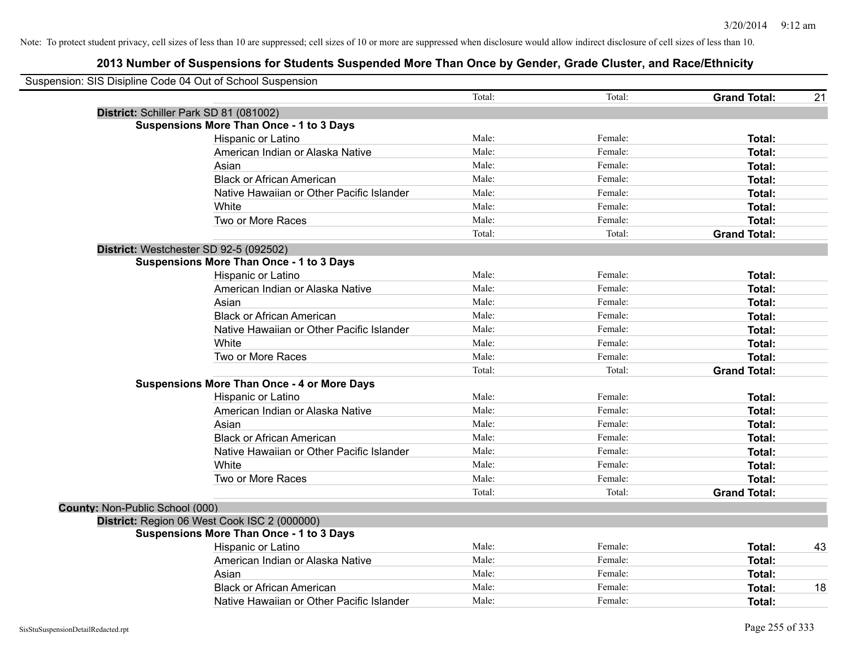|                                 | Suspension: SIS Disipline Code 04 Out of School Suspension |        |         |                     |    |
|---------------------------------|------------------------------------------------------------|--------|---------|---------------------|----|
|                                 |                                                            | Total: | Total:  | <b>Grand Total:</b> | 21 |
|                                 | District: Schiller Park SD 81 (081002)                     |        |         |                     |    |
|                                 | <b>Suspensions More Than Once - 1 to 3 Days</b>            |        |         |                     |    |
|                                 | Hispanic or Latino                                         | Male:  | Female: | Total:              |    |
|                                 | American Indian or Alaska Native                           | Male:  | Female: | Total:              |    |
|                                 | Asian                                                      | Male:  | Female: | Total:              |    |
|                                 | <b>Black or African American</b>                           | Male:  | Female: | Total:              |    |
|                                 | Native Hawaiian or Other Pacific Islander                  | Male:  | Female: | Total:              |    |
|                                 | White                                                      | Male:  | Female: | Total:              |    |
|                                 | Two or More Races                                          | Male:  | Female: | Total:              |    |
|                                 |                                                            | Total: | Total:  | <b>Grand Total:</b> |    |
|                                 | District: Westchester SD 92-5 (092502)                     |        |         |                     |    |
|                                 | <b>Suspensions More Than Once - 1 to 3 Days</b>            |        |         |                     |    |
|                                 | Hispanic or Latino                                         | Male:  | Female: | Total:              |    |
|                                 | American Indian or Alaska Native                           | Male:  | Female: | Total:              |    |
|                                 | Asian                                                      | Male:  | Female: | Total:              |    |
|                                 | <b>Black or African American</b>                           | Male:  | Female: | Total:              |    |
|                                 | Native Hawaiian or Other Pacific Islander                  | Male:  | Female: | Total:              |    |
|                                 | White                                                      | Male:  | Female: | Total:              |    |
|                                 | Two or More Races                                          | Male:  | Female: | Total:              |    |
|                                 |                                                            | Total: | Total:  | <b>Grand Total:</b> |    |
|                                 | <b>Suspensions More Than Once - 4 or More Days</b>         |        |         |                     |    |
|                                 | Hispanic or Latino                                         | Male:  | Female: | Total:              |    |
|                                 | American Indian or Alaska Native                           | Male:  | Female: | Total:              |    |
|                                 | Asian                                                      | Male:  | Female: | Total:              |    |
|                                 | <b>Black or African American</b>                           | Male:  | Female: | Total:              |    |
|                                 | Native Hawaiian or Other Pacific Islander                  | Male:  | Female: | Total:              |    |
|                                 | White                                                      | Male:  | Female: | Total:              |    |
|                                 | Two or More Races                                          | Male:  | Female: | Total:              |    |
|                                 |                                                            | Total: | Total:  | <b>Grand Total:</b> |    |
| County: Non-Public School (000) |                                                            |        |         |                     |    |
|                                 | District: Region 06 West Cook ISC 2 (000000)               |        |         |                     |    |
|                                 | <b>Suspensions More Than Once - 1 to 3 Days</b>            |        |         |                     |    |
|                                 | Hispanic or Latino                                         | Male:  | Female: | Total:              | 43 |
|                                 | American Indian or Alaska Native                           | Male:  | Female: | Total:              |    |
|                                 | Asian                                                      | Male:  | Female: | Total:              |    |
|                                 | <b>Black or African American</b>                           | Male:  | Female: | Total:              | 18 |
|                                 | Native Hawaiian or Other Pacific Islander                  | Male:  | Female: | Total:              |    |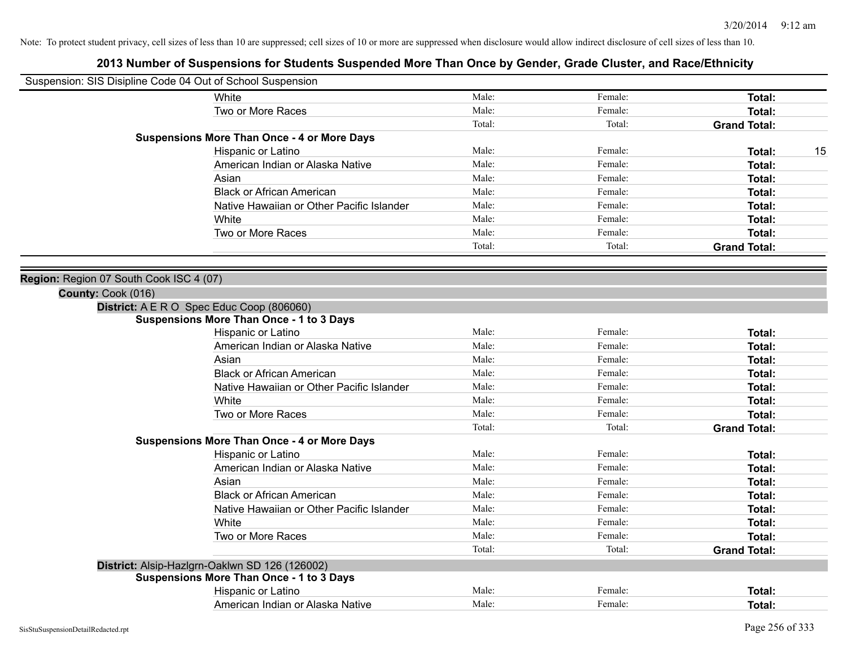|                                         | Suspension: SIS Disipline Code 04 Out of School Suspension                                        |        |         |                     |    |
|-----------------------------------------|---------------------------------------------------------------------------------------------------|--------|---------|---------------------|----|
|                                         | White                                                                                             | Male:  | Female: | Total:              |    |
|                                         | Two or More Races                                                                                 | Male:  | Female: | Total:              |    |
|                                         |                                                                                                   | Total: | Total:  | <b>Grand Total:</b> |    |
|                                         | <b>Suspensions More Than Once - 4 or More Days</b>                                                |        |         |                     |    |
|                                         | Hispanic or Latino                                                                                | Male:  | Female: | Total:              | 15 |
|                                         | American Indian or Alaska Native                                                                  | Male:  | Female: | Total:              |    |
|                                         | Asian                                                                                             | Male:  | Female: | <b>Total:</b>       |    |
|                                         | <b>Black or African American</b>                                                                  | Male:  | Female: | Total:              |    |
|                                         | Native Hawaiian or Other Pacific Islander                                                         | Male:  | Female: | Total:              |    |
|                                         | White                                                                                             | Male:  | Female: | Total:              |    |
|                                         | Two or More Races                                                                                 | Male:  | Female: | Total:              |    |
|                                         |                                                                                                   | Total: | Total:  | <b>Grand Total:</b> |    |
|                                         |                                                                                                   |        |         |                     |    |
| Region: Region 07 South Cook ISC 4 (07) |                                                                                                   |        |         |                     |    |
| County: Cook (016)                      |                                                                                                   |        |         |                     |    |
|                                         | District: A E R O Spec Educ Coop (806060)                                                         |        |         |                     |    |
|                                         | <b>Suspensions More Than Once - 1 to 3 Days</b>                                                   |        |         |                     |    |
|                                         | Hispanic or Latino                                                                                | Male:  | Female: | Total:              |    |
|                                         | American Indian or Alaska Native                                                                  | Male:  | Female: | Total:              |    |
|                                         | Asian                                                                                             | Male:  | Female: | Total:              |    |
|                                         | <b>Black or African American</b>                                                                  | Male:  | Female: | Total:              |    |
|                                         | Native Hawaiian or Other Pacific Islander                                                         | Male:  | Female: | <b>Total:</b>       |    |
|                                         | White                                                                                             | Male:  | Female: | Total:              |    |
|                                         | Two or More Races                                                                                 | Male:  | Female: | Total:              |    |
|                                         |                                                                                                   | Total: | Total:  | <b>Grand Total:</b> |    |
|                                         | <b>Suspensions More Than Once - 4 or More Days</b>                                                |        |         |                     |    |
|                                         | Hispanic or Latino                                                                                | Male:  | Female: | Total:              |    |
|                                         | American Indian or Alaska Native                                                                  | Male:  | Female: | <b>Total:</b>       |    |
|                                         | Asian                                                                                             | Male:  | Female: | <b>Total:</b>       |    |
|                                         | <b>Black or African American</b>                                                                  | Male:  | Female: | Total:              |    |
|                                         | Native Hawaiian or Other Pacific Islander                                                         | Male:  | Female: | Total:              |    |
|                                         | White                                                                                             | Male:  | Female: | <b>Total:</b>       |    |
|                                         | Two or More Races                                                                                 | Male:  | Female: | Total:              |    |
|                                         |                                                                                                   | Total: | Total:  | <b>Grand Total:</b> |    |
|                                         | District: Alsip-Hazlgrn-Oaklwn SD 126 (126002)<br><b>Suspensions More Than Once - 1 to 3 Days</b> |        |         |                     |    |
|                                         | Hispanic or Latino                                                                                | Male:  | Female: | Total:              |    |
|                                         | American Indian or Alaska Native                                                                  | Male:  |         |                     |    |
|                                         |                                                                                                   |        | Female: | Total:              |    |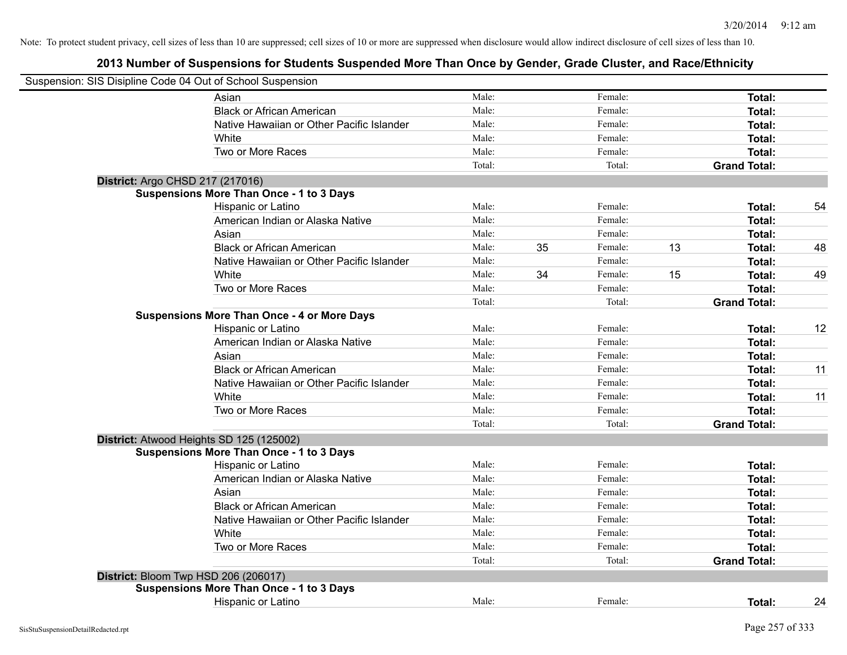| Suspension: SIS Disipline Code 04 Out of School Suspension |                                                    |        |    |         |    |                     |    |
|------------------------------------------------------------|----------------------------------------------------|--------|----|---------|----|---------------------|----|
|                                                            | Asian                                              | Male:  |    | Female: |    | Total:              |    |
|                                                            | <b>Black or African American</b>                   | Male:  |    | Female: |    | Total:              |    |
|                                                            | Native Hawaiian or Other Pacific Islander          | Male:  |    | Female: |    | Total:              |    |
|                                                            | White                                              | Male:  |    | Female: |    | Total:              |    |
|                                                            | Two or More Races                                  | Male:  |    | Female: |    | Total:              |    |
|                                                            |                                                    | Total: |    | Total:  |    | <b>Grand Total:</b> |    |
|                                                            | District: Argo CHSD 217 (217016)                   |        |    |         |    |                     |    |
|                                                            | <b>Suspensions More Than Once - 1 to 3 Days</b>    |        |    |         |    |                     |    |
|                                                            | Hispanic or Latino                                 | Male:  |    | Female: |    | Total:              | 54 |
|                                                            | American Indian or Alaska Native                   | Male:  |    | Female: |    | Total:              |    |
|                                                            | Asian                                              | Male:  |    | Female: |    | Total:              |    |
|                                                            | <b>Black or African American</b>                   | Male:  | 35 | Female: | 13 | Total:              | 48 |
|                                                            | Native Hawaiian or Other Pacific Islander          | Male:  |    | Female: |    | Total:              |    |
|                                                            | White                                              | Male:  | 34 | Female: | 15 | Total:              | 49 |
|                                                            | Two or More Races                                  | Male:  |    | Female: |    | Total:              |    |
|                                                            |                                                    | Total: |    | Total:  |    | <b>Grand Total:</b> |    |
|                                                            | <b>Suspensions More Than Once - 4 or More Days</b> |        |    |         |    |                     |    |
|                                                            | Hispanic or Latino                                 | Male:  |    | Female: |    | Total:              | 12 |
|                                                            | American Indian or Alaska Native                   | Male:  |    | Female: |    | Total:              |    |
|                                                            | Asian                                              | Male:  |    | Female: |    | Total:              |    |
|                                                            | <b>Black or African American</b>                   | Male:  |    | Female: |    | Total:              | 11 |
|                                                            | Native Hawaiian or Other Pacific Islander          | Male:  |    | Female: |    | Total:              |    |
|                                                            | White                                              | Male:  |    | Female: |    | Total:              | 11 |
|                                                            | Two or More Races                                  | Male:  |    | Female: |    | Total:              |    |
|                                                            |                                                    | Total: |    | Total:  |    | <b>Grand Total:</b> |    |
|                                                            | District: Atwood Heights SD 125 (125002)           |        |    |         |    |                     |    |
|                                                            | <b>Suspensions More Than Once - 1 to 3 Days</b>    |        |    |         |    |                     |    |
|                                                            | Hispanic or Latino                                 | Male:  |    | Female: |    | Total:              |    |
|                                                            | American Indian or Alaska Native                   | Male:  |    | Female: |    | Total:              |    |
|                                                            | Asian                                              | Male:  |    | Female: |    | Total:              |    |
|                                                            | <b>Black or African American</b>                   | Male:  |    | Female: |    | Total:              |    |
|                                                            | Native Hawaiian or Other Pacific Islander          | Male:  |    | Female: |    | Total:              |    |
|                                                            | White                                              | Male:  |    | Female: |    | Total:              |    |
|                                                            | Two or More Races                                  | Male:  |    | Female: |    | Total:              |    |
|                                                            |                                                    | Total: |    | Total:  |    | <b>Grand Total:</b> |    |
|                                                            | District: Bloom Twp HSD 206 (206017)               |        |    |         |    |                     |    |
|                                                            | <b>Suspensions More Than Once - 1 to 3 Days</b>    |        |    |         |    |                     |    |
|                                                            | Hispanic or Latino                                 | Male:  |    | Female: |    | Total:              | 24 |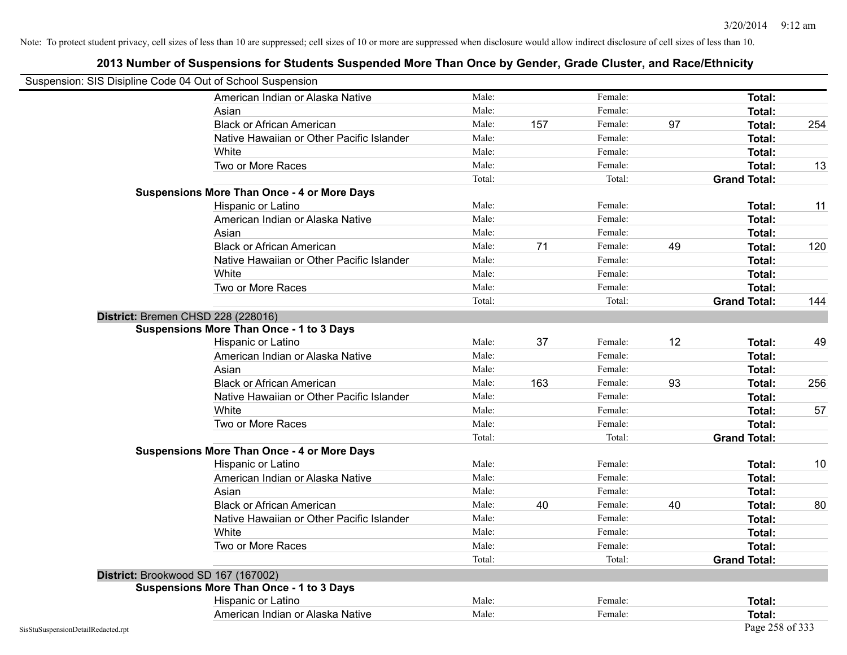| Suspension: SIS Disipline Code 04 Out of School Suspension |                                                    |        |     |         |    |                     |     |
|------------------------------------------------------------|----------------------------------------------------|--------|-----|---------|----|---------------------|-----|
|                                                            | American Indian or Alaska Native                   | Male:  |     | Female: |    | <b>Total:</b>       |     |
|                                                            | Asian                                              | Male:  |     | Female: |    | Total:              |     |
|                                                            | <b>Black or African American</b>                   | Male:  | 157 | Female: | 97 | Total:              | 254 |
|                                                            | Native Hawaiian or Other Pacific Islander          | Male:  |     | Female: |    | Total:              |     |
|                                                            | White                                              | Male:  |     | Female: |    | Total:              |     |
|                                                            | Two or More Races                                  | Male:  |     | Female: |    | <b>Total:</b>       | 13  |
|                                                            |                                                    | Total: |     | Total:  |    | <b>Grand Total:</b> |     |
|                                                            | <b>Suspensions More Than Once - 4 or More Days</b> |        |     |         |    |                     |     |
|                                                            | Hispanic or Latino                                 | Male:  |     | Female: |    | Total:              | 11  |
|                                                            | American Indian or Alaska Native                   | Male:  |     | Female: |    | <b>Total:</b>       |     |
|                                                            | Asian                                              | Male:  |     | Female: |    | Total:              |     |
|                                                            | <b>Black or African American</b>                   | Male:  | 71  | Female: | 49 | Total:              | 120 |
|                                                            | Native Hawaiian or Other Pacific Islander          | Male:  |     | Female: |    | Total:              |     |
|                                                            | White                                              | Male:  |     | Female: |    | Total:              |     |
|                                                            | Two or More Races                                  | Male:  |     | Female: |    | <b>Total:</b>       |     |
|                                                            |                                                    | Total: |     | Total:  |    | <b>Grand Total:</b> | 144 |
|                                                            | District: Bremen CHSD 228 (228016)                 |        |     |         |    |                     |     |
|                                                            | <b>Suspensions More Than Once - 1 to 3 Days</b>    |        |     |         |    |                     |     |
|                                                            | Hispanic or Latino                                 | Male:  | 37  | Female: | 12 | Total:              | 49  |
|                                                            | American Indian or Alaska Native                   | Male:  |     | Female: |    | Total:              |     |
|                                                            | Asian                                              | Male:  |     | Female: |    | Total:              |     |
|                                                            | <b>Black or African American</b>                   | Male:  | 163 | Female: | 93 | Total:              | 256 |
|                                                            | Native Hawaiian or Other Pacific Islander          | Male:  |     | Female: |    | Total:              |     |
|                                                            | White                                              | Male:  |     | Female: |    | Total:              | 57  |
|                                                            | Two or More Races                                  | Male:  |     | Female: |    | <b>Total:</b>       |     |
|                                                            |                                                    | Total: |     | Total:  |    | <b>Grand Total:</b> |     |
|                                                            | <b>Suspensions More Than Once - 4 or More Days</b> |        |     |         |    |                     |     |
|                                                            | Hispanic or Latino                                 | Male:  |     | Female: |    | Total:              | 10  |
|                                                            | American Indian or Alaska Native                   | Male:  |     | Female: |    | Total:              |     |
|                                                            | Asian                                              | Male:  |     | Female: |    | Total:              |     |
|                                                            | <b>Black or African American</b>                   | Male:  | 40  | Female: | 40 | Total:              | 80  |
|                                                            | Native Hawaiian or Other Pacific Islander          | Male:  |     | Female: |    | Total:              |     |
|                                                            | White                                              | Male:  |     | Female: |    | Total:              |     |
|                                                            | Two or More Races                                  | Male:  |     | Female: |    | Total:              |     |
|                                                            |                                                    | Total: |     | Total:  |    | <b>Grand Total:</b> |     |
|                                                            | District: Brookwood SD 167 (167002)                |        |     |         |    |                     |     |
|                                                            | <b>Suspensions More Than Once - 1 to 3 Days</b>    |        |     |         |    |                     |     |
|                                                            | Hispanic or Latino                                 | Male:  |     | Female: |    | Total:              |     |
|                                                            | American Indian or Alaska Native                   | Male:  |     | Female: |    | <b>Total:</b>       |     |
| SisStuSuspensionDetailRedacted.rpt                         |                                                    |        |     |         |    | Page 258 of 333     |     |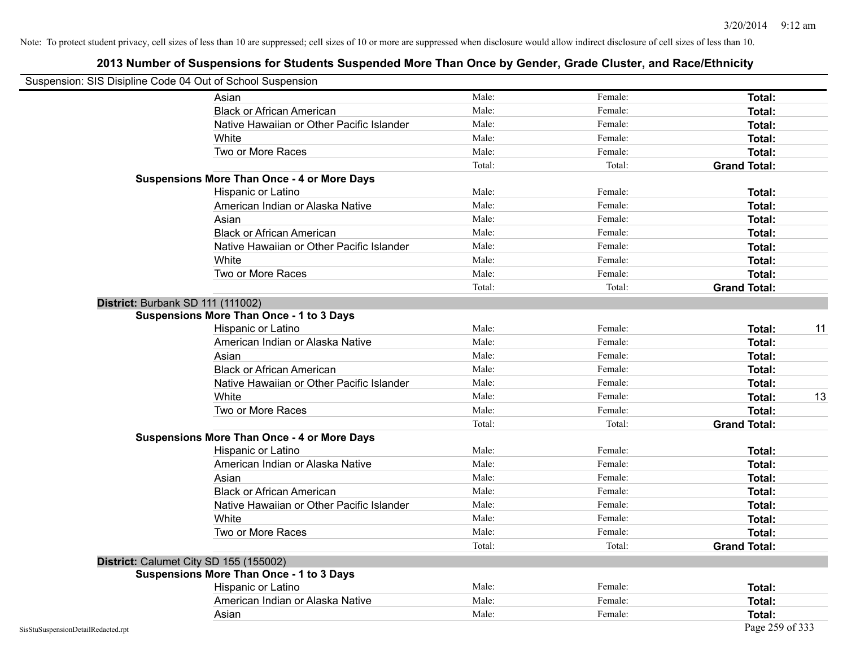| Suspension: SIS Disipline Code 04 Out of School Suspension |                                                    |        |         |                     |    |
|------------------------------------------------------------|----------------------------------------------------|--------|---------|---------------------|----|
|                                                            | Asian                                              | Male:  | Female: | Total:              |    |
|                                                            | <b>Black or African American</b>                   | Male:  | Female: | Total:              |    |
|                                                            | Native Hawaiian or Other Pacific Islander          | Male:  | Female: | Total:              |    |
|                                                            | White                                              | Male:  | Female: | Total:              |    |
|                                                            | Two or More Races                                  | Male:  | Female: | Total:              |    |
|                                                            |                                                    | Total: | Total:  | <b>Grand Total:</b> |    |
|                                                            | <b>Suspensions More Than Once - 4 or More Days</b> |        |         |                     |    |
|                                                            | Hispanic or Latino                                 | Male:  | Female: | Total:              |    |
|                                                            | American Indian or Alaska Native                   | Male:  | Female: | Total:              |    |
|                                                            | Asian                                              | Male:  | Female: | Total:              |    |
|                                                            | <b>Black or African American</b>                   | Male:  | Female: | Total:              |    |
|                                                            | Native Hawaiian or Other Pacific Islander          | Male:  | Female: | Total:              |    |
|                                                            | White                                              | Male:  | Female: | Total:              |    |
|                                                            | Two or More Races                                  | Male:  | Female: | Total:              |    |
|                                                            |                                                    | Total: | Total:  | <b>Grand Total:</b> |    |
|                                                            | District: Burbank SD 111 (111002)                  |        |         |                     |    |
|                                                            | <b>Suspensions More Than Once - 1 to 3 Days</b>    |        |         |                     |    |
|                                                            | Hispanic or Latino                                 | Male:  | Female: | Total:              | 11 |
|                                                            | American Indian or Alaska Native                   | Male:  | Female: | Total:              |    |
|                                                            | Asian                                              | Male:  | Female: | Total:              |    |
|                                                            | <b>Black or African American</b>                   | Male:  | Female: | Total:              |    |
|                                                            | Native Hawaiian or Other Pacific Islander          | Male:  | Female: | Total:              |    |
|                                                            | White                                              | Male:  | Female: | Total:              | 13 |
|                                                            | Two or More Races                                  | Male:  | Female: | Total:              |    |
|                                                            |                                                    | Total: | Total:  | <b>Grand Total:</b> |    |
|                                                            | <b>Suspensions More Than Once - 4 or More Days</b> |        |         |                     |    |
|                                                            | Hispanic or Latino                                 | Male:  | Female: | Total:              |    |
|                                                            | American Indian or Alaska Native                   | Male:  | Female: | Total:              |    |
|                                                            | Asian                                              | Male:  | Female: | Total:              |    |
|                                                            | <b>Black or African American</b>                   | Male:  | Female: | Total:              |    |
|                                                            | Native Hawaiian or Other Pacific Islander          | Male:  | Female: | Total:              |    |
|                                                            | White                                              | Male:  | Female: | Total:              |    |
|                                                            | Two or More Races                                  | Male:  | Female: | Total:              |    |
|                                                            |                                                    | Total: | Total:  | <b>Grand Total:</b> |    |
|                                                            | District: Calumet City SD 155 (155002)             |        |         |                     |    |
|                                                            | <b>Suspensions More Than Once - 1 to 3 Days</b>    |        |         |                     |    |
|                                                            | Hispanic or Latino                                 | Male:  | Female: | Total:              |    |
|                                                            | American Indian or Alaska Native                   | Male:  | Female: | Total:              |    |
|                                                            | Asian                                              | Male:  | Female: | Total:              |    |
| SisStuSuspensionDetailRedacted.rpt                         |                                                    |        |         | Page 259 of 333     |    |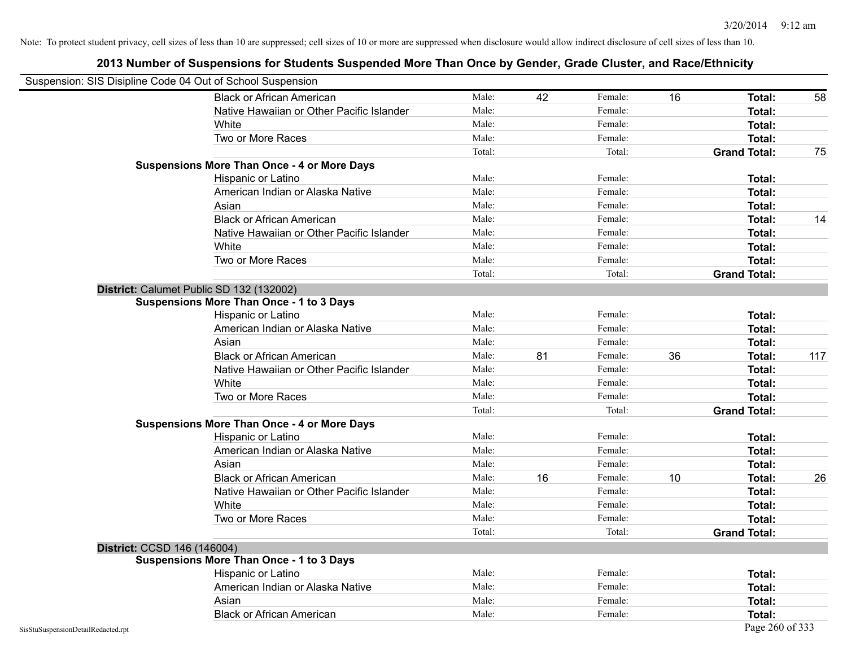|                                    | Suspension: SIS Disipline Code 04 Out of School Suspension |        |    |         |    |                     |     |
|------------------------------------|------------------------------------------------------------|--------|----|---------|----|---------------------|-----|
|                                    | <b>Black or African American</b>                           | Male:  | 42 | Female: | 16 | Total:              | 58  |
|                                    | Native Hawaiian or Other Pacific Islander                  | Male:  |    | Female: |    | Total:              |     |
|                                    | White                                                      | Male:  |    | Female: |    | Total:              |     |
|                                    | Two or More Races                                          | Male:  |    | Female: |    | Total:              |     |
|                                    |                                                            | Total: |    | Total:  |    | <b>Grand Total:</b> | 75  |
|                                    | <b>Suspensions More Than Once - 4 or More Days</b>         |        |    |         |    |                     |     |
|                                    | Hispanic or Latino                                         | Male:  |    | Female: |    | Total:              |     |
|                                    | American Indian or Alaska Native                           | Male:  |    | Female: |    | Total:              |     |
|                                    | Asian                                                      | Male:  |    | Female: |    | Total:              |     |
|                                    | <b>Black or African American</b>                           | Male:  |    | Female: |    | Total:              | 14  |
|                                    | Native Hawaiian or Other Pacific Islander                  | Male:  |    | Female: |    | Total:              |     |
|                                    | White                                                      | Male:  |    | Female: |    | Total:              |     |
|                                    | Two or More Races                                          | Male:  |    | Female: |    | Total:              |     |
|                                    |                                                            | Total: |    | Total:  |    | <b>Grand Total:</b> |     |
|                                    | District: Calumet Public SD 132 (132002)                   |        |    |         |    |                     |     |
|                                    | Suspensions More Than Once - 1 to 3 Days                   |        |    |         |    |                     |     |
|                                    | Hispanic or Latino                                         | Male:  |    | Female: |    | Total:              |     |
|                                    | American Indian or Alaska Native                           | Male:  |    | Female: |    | Total:              |     |
|                                    | Asian                                                      | Male:  |    | Female: |    | Total:              |     |
|                                    | <b>Black or African American</b>                           | Male:  | 81 | Female: | 36 | Total:              | 117 |
|                                    | Native Hawaiian or Other Pacific Islander                  | Male:  |    | Female: |    | Total:              |     |
|                                    | White                                                      | Male:  |    | Female: |    | Total:              |     |
|                                    | Two or More Races                                          | Male:  |    | Female: |    | Total:              |     |
|                                    |                                                            | Total: |    | Total:  |    | <b>Grand Total:</b> |     |
|                                    | <b>Suspensions More Than Once - 4 or More Days</b>         |        |    |         |    |                     |     |
|                                    | Hispanic or Latino                                         | Male:  |    | Female: |    | Total:              |     |
|                                    | American Indian or Alaska Native                           | Male:  |    | Female: |    | Total:              |     |
|                                    | Asian                                                      | Male:  |    | Female: |    | Total:              |     |
|                                    | <b>Black or African American</b>                           | Male:  | 16 | Female: | 10 | Total:              | 26  |
|                                    | Native Hawaiian or Other Pacific Islander                  | Male:  |    | Female: |    | Total:              |     |
|                                    | White                                                      | Male:  |    | Female: |    | Total:              |     |
|                                    | Two or More Races                                          | Male:  |    | Female: |    | Total:              |     |
|                                    |                                                            | Total: |    | Total:  |    | <b>Grand Total:</b> |     |
|                                    | District: CCSD 146 (146004)                                |        |    |         |    |                     |     |
|                                    | <b>Suspensions More Than Once - 1 to 3 Days</b>            |        |    |         |    |                     |     |
|                                    | Hispanic or Latino                                         | Male:  |    | Female: |    | Total:              |     |
|                                    | American Indian or Alaska Native                           | Male:  |    | Female: |    | Total:              |     |
|                                    | Asian                                                      | Male:  |    | Female: |    | Total:              |     |
|                                    | <b>Black or African American</b>                           | Male:  |    | Female: |    | Total:              |     |
| SisStuSuspensionDetailRedacted.rpt |                                                            |        |    |         |    | Page 260 of 333     |     |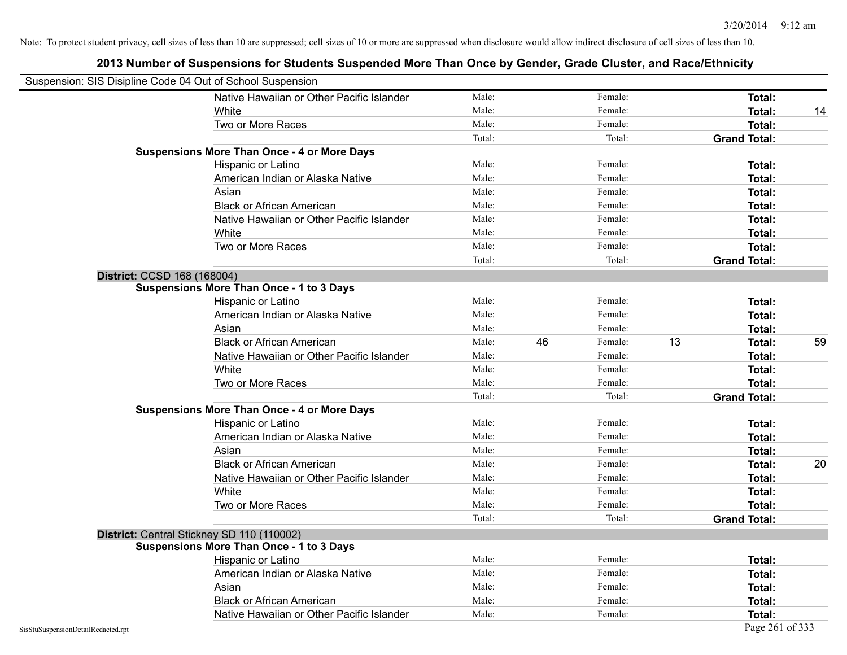|                                    | Suspension: SIS Disipline Code 04 Out of School Suspension |        |    |         |    |                     |    |
|------------------------------------|------------------------------------------------------------|--------|----|---------|----|---------------------|----|
|                                    | Native Hawaiian or Other Pacific Islander                  | Male:  |    | Female: |    | Total:              |    |
|                                    | White                                                      | Male:  |    | Female: |    | <b>Total:</b>       | 14 |
|                                    | Two or More Races                                          | Male:  |    | Female: |    | Total:              |    |
|                                    |                                                            | Total: |    | Total:  |    | <b>Grand Total:</b> |    |
|                                    | <b>Suspensions More Than Once - 4 or More Days</b>         |        |    |         |    |                     |    |
|                                    | Hispanic or Latino                                         | Male:  |    | Female: |    | Total:              |    |
|                                    | American Indian or Alaska Native                           | Male:  |    | Female: |    | Total:              |    |
|                                    | Asian                                                      | Male:  |    | Female: |    | Total:              |    |
|                                    | <b>Black or African American</b>                           | Male:  |    | Female: |    | Total:              |    |
|                                    | Native Hawaiian or Other Pacific Islander                  | Male:  |    | Female: |    | Total:              |    |
|                                    | White                                                      | Male:  |    | Female: |    | Total:              |    |
|                                    | Two or More Races                                          | Male:  |    | Female: |    | Total:              |    |
|                                    |                                                            | Total: |    | Total:  |    | <b>Grand Total:</b> |    |
|                                    | District: CCSD 168 (168004)                                |        |    |         |    |                     |    |
|                                    | <b>Suspensions More Than Once - 1 to 3 Days</b>            |        |    |         |    |                     |    |
|                                    | Hispanic or Latino                                         | Male:  |    | Female: |    | Total:              |    |
|                                    | American Indian or Alaska Native                           | Male:  |    | Female: |    | <b>Total:</b>       |    |
|                                    | Asian                                                      | Male:  |    | Female: |    | <b>Total:</b>       |    |
|                                    | <b>Black or African American</b>                           | Male:  | 46 | Female: | 13 | <b>Total:</b>       | 59 |
|                                    | Native Hawaiian or Other Pacific Islander                  | Male:  |    | Female: |    | Total:              |    |
|                                    | White                                                      | Male:  |    | Female: |    | Total:              |    |
|                                    | Two or More Races                                          | Male:  |    | Female: |    | Total:              |    |
|                                    |                                                            | Total: |    | Total:  |    | <b>Grand Total:</b> |    |
|                                    | <b>Suspensions More Than Once - 4 or More Days</b>         |        |    |         |    |                     |    |
|                                    | Hispanic or Latino                                         | Male:  |    | Female: |    | Total:              |    |
|                                    | American Indian or Alaska Native                           | Male:  |    | Female: |    | Total:              |    |
|                                    | Asian                                                      | Male:  |    | Female: |    | Total:              |    |
|                                    | <b>Black or African American</b>                           | Male:  |    | Female: |    | Total:              | 20 |
|                                    | Native Hawaiian or Other Pacific Islander                  | Male:  |    | Female: |    | Total:              |    |
|                                    | White                                                      | Male:  |    | Female: |    | Total:              |    |
|                                    | Two or More Races                                          | Male:  |    | Female: |    | Total:              |    |
|                                    |                                                            | Total: |    | Total:  |    | <b>Grand Total:</b> |    |
|                                    | District: Central Stickney SD 110 (110002)                 |        |    |         |    |                     |    |
|                                    | <b>Suspensions More Than Once - 1 to 3 Days</b>            |        |    |         |    |                     |    |
|                                    | Hispanic or Latino                                         | Male:  |    | Female: |    | Total:              |    |
|                                    | American Indian or Alaska Native                           | Male:  |    | Female: |    | Total:              |    |
|                                    | Asian                                                      | Male:  |    | Female: |    | Total:              |    |
|                                    | <b>Black or African American</b>                           | Male:  |    | Female: |    | Total:              |    |
|                                    | Native Hawaiian or Other Pacific Islander                  | Male:  |    | Female: |    | Total:              |    |
| SisStuSuspensionDetailRedacted.rpt |                                                            |        |    |         |    | Page 261 of 333     |    |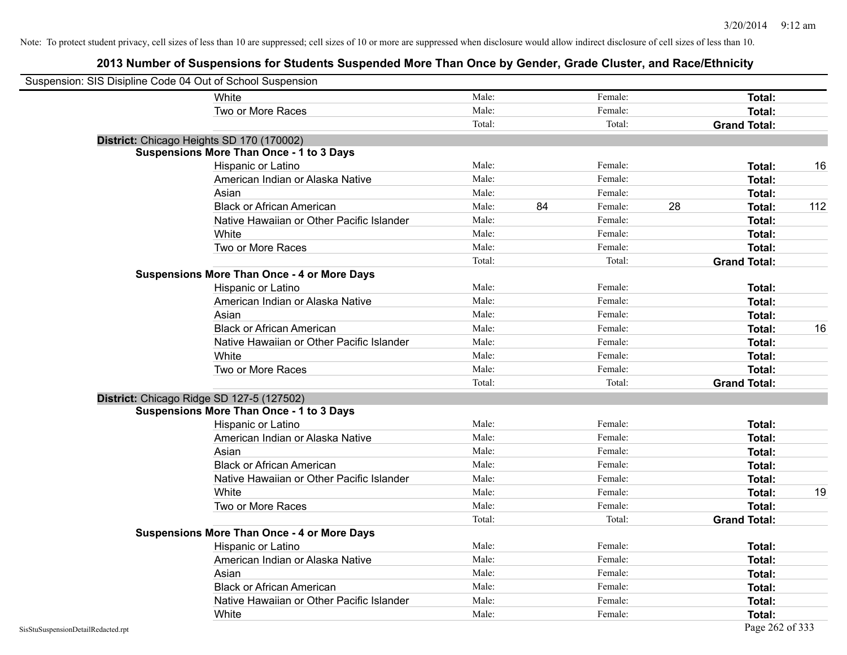| Suspension: SIS Disipline Code 04 Out of School Suspension |                                                    |        |    |         |    |                     |     |
|------------------------------------------------------------|----------------------------------------------------|--------|----|---------|----|---------------------|-----|
|                                                            | White                                              | Male:  |    | Female: |    | Total:              |     |
|                                                            | Two or More Races                                  | Male:  |    | Female: |    | Total:              |     |
|                                                            |                                                    | Total: |    | Total:  |    | <b>Grand Total:</b> |     |
|                                                            | District: Chicago Heights SD 170 (170002)          |        |    |         |    |                     |     |
|                                                            | <b>Suspensions More Than Once - 1 to 3 Days</b>    |        |    |         |    |                     |     |
|                                                            | Hispanic or Latino                                 | Male:  |    | Female: |    | Total:              | 16  |
|                                                            | American Indian or Alaska Native                   | Male:  |    | Female: |    | Total:              |     |
|                                                            | Asian                                              | Male:  |    | Female: |    | Total:              |     |
|                                                            | <b>Black or African American</b>                   | Male:  | 84 | Female: | 28 | Total:              | 112 |
|                                                            | Native Hawaiian or Other Pacific Islander          | Male:  |    | Female: |    | Total:              |     |
|                                                            | White                                              | Male:  |    | Female: |    | <b>Total:</b>       |     |
|                                                            | Two or More Races                                  | Male:  |    | Female: |    | <b>Total:</b>       |     |
|                                                            |                                                    | Total: |    | Total:  |    | <b>Grand Total:</b> |     |
|                                                            | <b>Suspensions More Than Once - 4 or More Days</b> |        |    |         |    |                     |     |
|                                                            | Hispanic or Latino                                 | Male:  |    | Female: |    | Total:              |     |
|                                                            | American Indian or Alaska Native                   | Male:  |    | Female: |    | Total:              |     |
|                                                            | Asian                                              | Male:  |    | Female: |    | Total:              |     |
|                                                            | <b>Black or African American</b>                   | Male:  |    | Female: |    | Total:              | 16  |
|                                                            | Native Hawaiian or Other Pacific Islander          | Male:  |    | Female: |    | <b>Total:</b>       |     |
|                                                            | White                                              | Male:  |    | Female: |    | Total:              |     |
|                                                            | Two or More Races                                  | Male:  |    | Female: |    | Total:              |     |
|                                                            |                                                    | Total: |    | Total:  |    | <b>Grand Total:</b> |     |
|                                                            | District: Chicago Ridge SD 127-5 (127502)          |        |    |         |    |                     |     |
|                                                            | <b>Suspensions More Than Once - 1 to 3 Days</b>    |        |    |         |    |                     |     |
|                                                            | Hispanic or Latino                                 | Male:  |    | Female: |    | <b>Total:</b>       |     |
|                                                            | American Indian or Alaska Native                   | Male:  |    | Female: |    | Total:              |     |
|                                                            | Asian                                              | Male:  |    | Female: |    | Total:              |     |
|                                                            | <b>Black or African American</b>                   | Male:  |    | Female: |    | Total:              |     |
|                                                            | Native Hawaiian or Other Pacific Islander          | Male:  |    | Female: |    | Total:              |     |
|                                                            | White                                              | Male:  |    | Female: |    | Total:              | 19  |
|                                                            | Two or More Races                                  | Male:  |    | Female: |    | Total:              |     |
|                                                            |                                                    | Total: |    | Total:  |    | <b>Grand Total:</b> |     |
|                                                            | <b>Suspensions More Than Once - 4 or More Days</b> |        |    |         |    |                     |     |
|                                                            | Hispanic or Latino                                 | Male:  |    | Female: |    | Total:              |     |
|                                                            | American Indian or Alaska Native                   | Male:  |    | Female: |    | Total:              |     |
|                                                            | Asian                                              | Male:  |    | Female: |    | Total:              |     |
|                                                            | <b>Black or African American</b>                   | Male:  |    | Female: |    | Total:              |     |
|                                                            | Native Hawaiian or Other Pacific Islander          | Male:  |    | Female: |    | Total:              |     |
|                                                            | White                                              | Male:  |    | Female: |    | Total:              |     |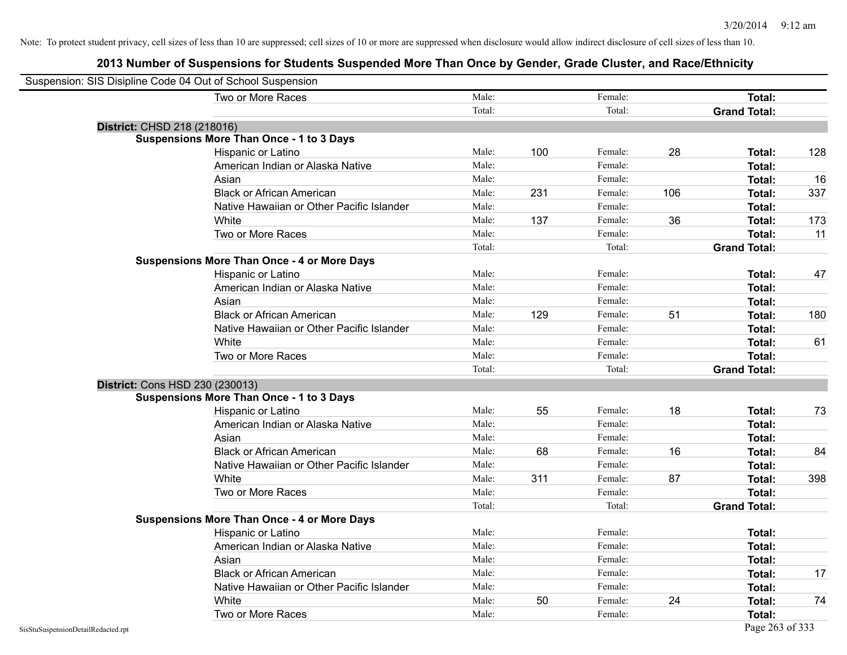| Suspension: SIS Disipline Code 04 Out of School Suspension |                                                    |        |     |         |     |                     |     |
|------------------------------------------------------------|----------------------------------------------------|--------|-----|---------|-----|---------------------|-----|
|                                                            | Two or More Races                                  | Male:  |     | Female: |     | Total:              |     |
|                                                            |                                                    | Total: |     | Total:  |     | <b>Grand Total:</b> |     |
| <b>District: CHSD 218 (218016)</b>                         |                                                    |        |     |         |     |                     |     |
|                                                            | <b>Suspensions More Than Once - 1 to 3 Days</b>    |        |     |         |     |                     |     |
|                                                            | Hispanic or Latino                                 | Male:  | 100 | Female: | 28  | Total:              | 128 |
|                                                            | American Indian or Alaska Native                   | Male:  |     | Female: |     | Total:              |     |
|                                                            | Asian                                              | Male:  |     | Female: |     | Total:              | 16  |
|                                                            | <b>Black or African American</b>                   | Male:  | 231 | Female: | 106 | Total:              | 337 |
|                                                            | Native Hawaiian or Other Pacific Islander          | Male:  |     | Female: |     | Total:              |     |
|                                                            | White                                              | Male:  | 137 | Female: | 36  | Total:              | 173 |
|                                                            | Two or More Races                                  | Male:  |     | Female: |     | Total:              | 11  |
|                                                            |                                                    | Total: |     | Total:  |     | <b>Grand Total:</b> |     |
|                                                            | <b>Suspensions More Than Once - 4 or More Days</b> |        |     |         |     |                     |     |
|                                                            | Hispanic or Latino                                 | Male:  |     | Female: |     | Total:              | 47  |
|                                                            | American Indian or Alaska Native                   | Male:  |     | Female: |     | Total:              |     |
|                                                            | Asian                                              | Male:  |     | Female: |     | Total:              |     |
|                                                            | <b>Black or African American</b>                   | Male:  | 129 | Female: | 51  | Total:              | 180 |
|                                                            | Native Hawaiian or Other Pacific Islander          | Male:  |     | Female: |     | Total:              |     |
|                                                            | White                                              | Male:  |     | Female: |     | Total:              | 61  |
|                                                            | Two or More Races                                  | Male:  |     | Female: |     | Total:              |     |
|                                                            |                                                    | Total: |     | Total:  |     | <b>Grand Total:</b> |     |
|                                                            | District: Cons HSD 230 (230013)                    |        |     |         |     |                     |     |
|                                                            | <b>Suspensions More Than Once - 1 to 3 Days</b>    |        |     |         |     |                     |     |
|                                                            | Hispanic or Latino                                 | Male:  | 55  | Female: | 18  | Total:              | 73  |
|                                                            | American Indian or Alaska Native                   | Male:  |     | Female: |     | Total:              |     |
|                                                            | Asian                                              | Male:  |     | Female: |     | Total:              |     |
|                                                            | <b>Black or African American</b>                   | Male:  | 68  | Female: | 16  | Total:              | 84  |
|                                                            | Native Hawaiian or Other Pacific Islander          | Male:  |     | Female: |     | Total:              |     |
|                                                            | White                                              | Male:  | 311 | Female: | 87  | <b>Total:</b>       | 398 |
|                                                            | Two or More Races                                  | Male:  |     | Female: |     | Total:              |     |
|                                                            |                                                    | Total: |     | Total:  |     | <b>Grand Total:</b> |     |
|                                                            | <b>Suspensions More Than Once - 4 or More Days</b> |        |     |         |     |                     |     |
|                                                            | Hispanic or Latino                                 | Male:  |     | Female: |     | Total:              |     |
|                                                            | American Indian or Alaska Native                   | Male:  |     | Female: |     | Total:              |     |
|                                                            | Asian                                              | Male:  |     | Female: |     | Total:              |     |
|                                                            | <b>Black or African American</b>                   | Male:  |     | Female: |     | Total:              | 17  |
|                                                            | Native Hawaiian or Other Pacific Islander          | Male:  |     | Female: |     | Total:              |     |
|                                                            | White                                              | Male:  | 50  | Female: | 24  | Total:              | 74  |
|                                                            | Two or More Races                                  | Male:  |     | Female: |     | Total:              |     |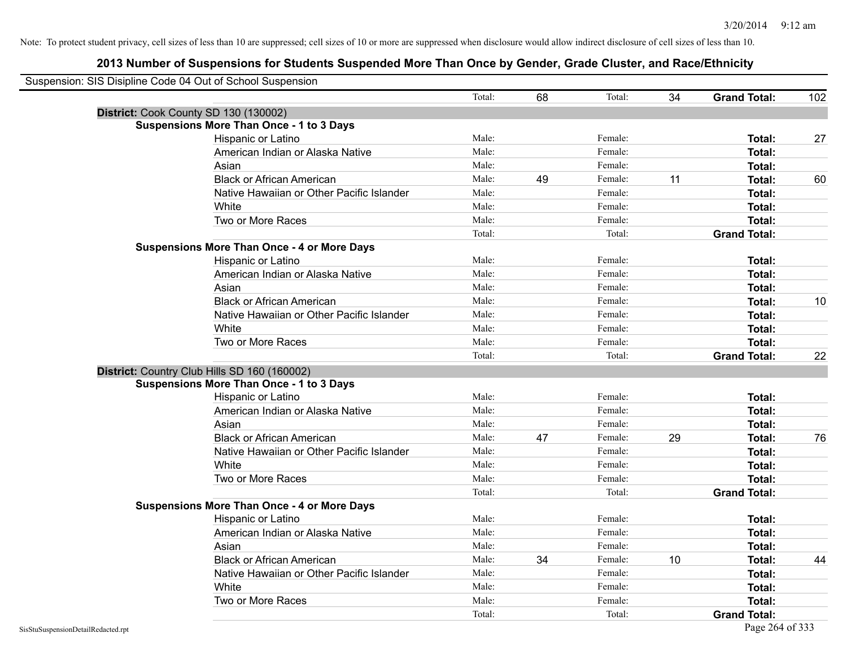| Suspension: SIS Disipline Code 04 Out of School Suspension |                                                    |        |    |         |    |                     |     |
|------------------------------------------------------------|----------------------------------------------------|--------|----|---------|----|---------------------|-----|
|                                                            |                                                    | Total: | 68 | Total:  | 34 | <b>Grand Total:</b> | 102 |
|                                                            | District: Cook County SD 130 (130002)              |        |    |         |    |                     |     |
|                                                            | <b>Suspensions More Than Once - 1 to 3 Days</b>    |        |    |         |    |                     |     |
|                                                            | Hispanic or Latino                                 | Male:  |    | Female: |    | Total:              | 27  |
|                                                            | American Indian or Alaska Native                   | Male:  |    | Female: |    | Total:              |     |
|                                                            | Asian                                              | Male:  |    | Female: |    | Total:              |     |
|                                                            | <b>Black or African American</b>                   | Male:  | 49 | Female: | 11 | Total:              | 60  |
|                                                            | Native Hawaiian or Other Pacific Islander          | Male:  |    | Female: |    | <b>Total:</b>       |     |
|                                                            | White                                              | Male:  |    | Female: |    | <b>Total:</b>       |     |
|                                                            | Two or More Races                                  | Male:  |    | Female: |    | <b>Total:</b>       |     |
|                                                            |                                                    | Total: |    | Total:  |    | <b>Grand Total:</b> |     |
|                                                            | <b>Suspensions More Than Once - 4 or More Days</b> |        |    |         |    |                     |     |
|                                                            | Hispanic or Latino                                 | Male:  |    | Female: |    | Total:              |     |
|                                                            | American Indian or Alaska Native                   | Male:  |    | Female: |    | <b>Total:</b>       |     |
|                                                            | Asian                                              | Male:  |    | Female: |    | Total:              |     |
|                                                            | <b>Black or African American</b>                   | Male:  |    | Female: |    | <b>Total:</b>       | 10  |
|                                                            | Native Hawaiian or Other Pacific Islander          | Male:  |    | Female: |    | Total:              |     |
|                                                            | White                                              | Male:  |    | Female: |    | <b>Total:</b>       |     |
|                                                            | Two or More Races                                  | Male:  |    | Female: |    | <b>Total:</b>       |     |
|                                                            |                                                    | Total: |    | Total:  |    | <b>Grand Total:</b> | 22  |
|                                                            | District: Country Club Hills SD 160 (160002)       |        |    |         |    |                     |     |
|                                                            | <b>Suspensions More Than Once - 1 to 3 Days</b>    |        |    |         |    |                     |     |
|                                                            | Hispanic or Latino                                 | Male:  |    | Female: |    | Total:              |     |
|                                                            | American Indian or Alaska Native                   | Male:  |    | Female: |    | <b>Total:</b>       |     |
|                                                            | Asian                                              | Male:  |    | Female: |    | Total:              |     |
|                                                            | <b>Black or African American</b>                   | Male:  | 47 | Female: | 29 | <b>Total:</b>       | 76  |
|                                                            | Native Hawaiian or Other Pacific Islander          | Male:  |    | Female: |    | <b>Total:</b>       |     |
|                                                            | White                                              | Male:  |    | Female: |    | Total:              |     |
|                                                            | Two or More Races                                  | Male:  |    | Female: |    | <b>Total:</b>       |     |
|                                                            |                                                    | Total: |    | Total:  |    | <b>Grand Total:</b> |     |
|                                                            | <b>Suspensions More Than Once - 4 or More Days</b> |        |    |         |    |                     |     |
|                                                            | Hispanic or Latino                                 | Male:  |    | Female: |    | Total:              |     |
|                                                            | American Indian or Alaska Native                   | Male:  |    | Female: |    | <b>Total:</b>       |     |
|                                                            | Asian                                              | Male:  |    | Female: |    | Total:              |     |
|                                                            | <b>Black or African American</b>                   | Male:  | 34 | Female: | 10 | Total:              | 44  |
|                                                            | Native Hawaiian or Other Pacific Islander          | Male:  |    | Female: |    | <b>Total:</b>       |     |
|                                                            | White                                              | Male:  |    | Female: |    | Total:              |     |
|                                                            | Two or More Races                                  | Male:  |    | Female: |    | <b>Total:</b>       |     |
|                                                            |                                                    | Total: |    | Total:  |    | <b>Grand Total:</b> |     |
| SisStuSuspensionDetailRedacted.rpt                         |                                                    |        |    |         |    | Page 264 of 333     |     |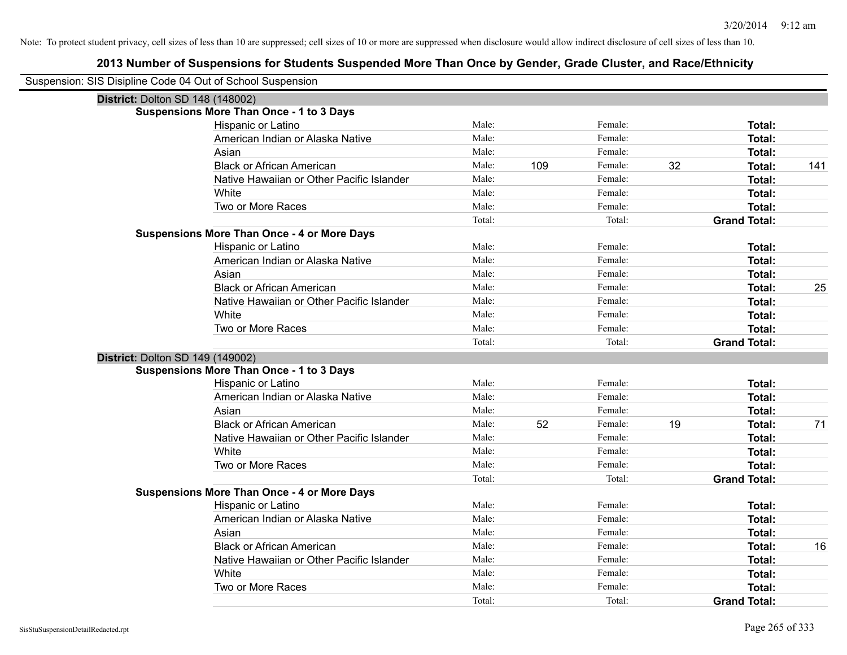| Suspension: SIS Disipline Code 04 Out of School Suspension |                                                    |                 |     |                   |    |                                      |     |
|------------------------------------------------------------|----------------------------------------------------|-----------------|-----|-------------------|----|--------------------------------------|-----|
| <b>District: Dolton SD 148 (148002)</b>                    |                                                    |                 |     |                   |    |                                      |     |
|                                                            | <b>Suspensions More Than Once - 1 to 3 Days</b>    |                 |     |                   |    |                                      |     |
|                                                            | Hispanic or Latino                                 | Male:           |     | Female:           |    | Total:                               |     |
|                                                            | American Indian or Alaska Native                   | Male:           |     | Female:           |    | Total:                               |     |
|                                                            | Asian                                              | Male:           |     | Female:           |    | Total:                               |     |
|                                                            | <b>Black or African American</b>                   | Male:           | 109 | Female:           | 32 | Total:                               | 141 |
|                                                            | Native Hawaiian or Other Pacific Islander          | Male:           |     | Female:           |    | Total:                               |     |
|                                                            | White                                              | Male:           |     | Female:           |    | <b>Total:</b>                        |     |
|                                                            | Two or More Races                                  | Male:           |     | Female:           |    | Total:                               |     |
|                                                            |                                                    | Total:          |     | Total:            |    | <b>Grand Total:</b>                  |     |
|                                                            | <b>Suspensions More Than Once - 4 or More Days</b> |                 |     |                   |    |                                      |     |
|                                                            | Hispanic or Latino                                 | Male:           |     | Female:           |    | Total:                               |     |
|                                                            | American Indian or Alaska Native                   | Male:           |     | Female:           |    | Total:                               |     |
|                                                            | Asian                                              | Male:           |     | Female:           |    | Total:                               |     |
|                                                            | <b>Black or African American</b>                   | Male:           |     | Female:           |    | <b>Total:</b>                        | 25  |
|                                                            | Native Hawaiian or Other Pacific Islander          | Male:           |     | Female:           |    | Total:                               |     |
|                                                            | White                                              | Male:           |     | Female:           |    | <b>Total:</b>                        |     |
|                                                            | Two or More Races                                  | Male:           |     | Female:           |    | Total:                               |     |
|                                                            |                                                    | Total:          |     | Total:            |    | <b>Grand Total:</b>                  |     |
| District: Dolton SD 149 (149002)                           |                                                    |                 |     |                   |    |                                      |     |
|                                                            |                                                    |                 |     |                   |    |                                      |     |
|                                                            | <b>Suspensions More Than Once - 1 to 3 Days</b>    |                 |     |                   |    |                                      |     |
|                                                            | Hispanic or Latino                                 | Male:           |     | Female:           |    | Total:                               |     |
|                                                            | American Indian or Alaska Native                   | Male:           |     | Female:           |    | Total:                               |     |
|                                                            | Asian                                              | Male:           |     | Female:           |    | Total:                               |     |
|                                                            | <b>Black or African American</b>                   | Male:           | 52  | Female:           | 19 | <b>Total:</b>                        | 71  |
|                                                            | Native Hawaiian or Other Pacific Islander          | Male:           |     | Female:           |    | <b>Total:</b>                        |     |
|                                                            | White                                              | Male:           |     | Female:           |    | Total:                               |     |
|                                                            | Two or More Races                                  | Male:           |     | Female:           |    | <b>Total:</b>                        |     |
|                                                            |                                                    | Total:          |     | Total:            |    | <b>Grand Total:</b>                  |     |
|                                                            | <b>Suspensions More Than Once - 4 or More Days</b> |                 |     |                   |    |                                      |     |
|                                                            | Hispanic or Latino                                 | Male:           |     | Female:           |    | Total:                               |     |
|                                                            | American Indian or Alaska Native                   | Male:           |     | Female:           |    | Total:                               |     |
|                                                            | Asian                                              | Male:           |     | Female:           |    | Total:                               |     |
|                                                            | <b>Black or African American</b>                   | Male:           |     | Female:           |    | Total:                               | 16  |
|                                                            | Native Hawaiian or Other Pacific Islander          | Male:           |     | Female:           |    | <b>Total:</b>                        |     |
|                                                            | White                                              | Male:           |     | Female:           |    | Total:                               |     |
|                                                            | Two or More Races                                  | Male:<br>Total: |     | Female:<br>Total: |    | <b>Total:</b><br><b>Grand Total:</b> |     |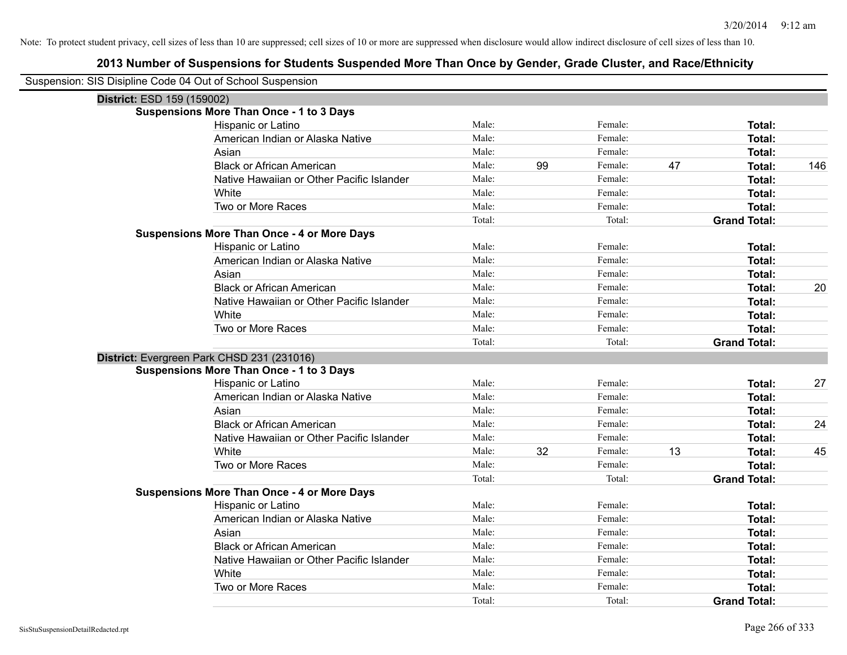| Suspension: SIS Disipline Code 04 Out of School Suspension |                                                    |        |    |         |    |                     |     |
|------------------------------------------------------------|----------------------------------------------------|--------|----|---------|----|---------------------|-----|
| District: ESD 159 (159002)                                 |                                                    |        |    |         |    |                     |     |
|                                                            | <b>Suspensions More Than Once - 1 to 3 Days</b>    |        |    |         |    |                     |     |
|                                                            | Hispanic or Latino                                 | Male:  |    | Female: |    | Total:              |     |
|                                                            | American Indian or Alaska Native                   | Male:  |    | Female: |    | Total:              |     |
|                                                            | Asian                                              | Male:  |    | Female: |    | Total:              |     |
|                                                            | <b>Black or African American</b>                   | Male:  | 99 | Female: | 47 | Total:              | 146 |
|                                                            | Native Hawaiian or Other Pacific Islander          | Male:  |    | Female: |    | Total:              |     |
|                                                            | White                                              | Male:  |    | Female: |    | <b>Total:</b>       |     |
|                                                            | Two or More Races                                  | Male:  |    | Female: |    | Total:              |     |
|                                                            |                                                    | Total: |    | Total:  |    | <b>Grand Total:</b> |     |
|                                                            | <b>Suspensions More Than Once - 4 or More Days</b> |        |    |         |    |                     |     |
|                                                            | Hispanic or Latino                                 | Male:  |    | Female: |    | Total:              |     |
|                                                            | American Indian or Alaska Native                   | Male:  |    | Female: |    | <b>Total:</b>       |     |
|                                                            | Asian                                              | Male:  |    | Female: |    | Total:              |     |
|                                                            | <b>Black or African American</b>                   | Male:  |    | Female: |    | <b>Total:</b>       | 20  |
|                                                            | Native Hawaiian or Other Pacific Islander          | Male:  |    | Female: |    | Total:              |     |
|                                                            | White                                              | Male:  |    | Female: |    | <b>Total:</b>       |     |
|                                                            | Two or More Races                                  | Male:  |    | Female: |    | <b>Total:</b>       |     |
|                                                            |                                                    | Total: |    | Total:  |    | <b>Grand Total:</b> |     |
|                                                            | District: Evergreen Park CHSD 231 (231016)         |        |    |         |    |                     |     |
|                                                            | <b>Suspensions More Than Once - 1 to 3 Days</b>    |        |    |         |    |                     |     |
|                                                            | Hispanic or Latino                                 | Male:  |    | Female: |    | Total:              | 27  |
|                                                            | American Indian or Alaska Native                   | Male:  |    | Female: |    | Total:              |     |
|                                                            | Asian                                              | Male:  |    | Female: |    | Total:              |     |
|                                                            | <b>Black or African American</b>                   | Male:  |    | Female: |    | <b>Total:</b>       | 24  |
|                                                            | Native Hawaiian or Other Pacific Islander          | Male:  |    | Female: |    | Total:              |     |
|                                                            | White                                              | Male:  | 32 | Female: | 13 | <b>Total:</b>       | 45  |
|                                                            | Two or More Races                                  | Male:  |    | Female: |    | <b>Total:</b>       |     |
|                                                            |                                                    | Total: |    | Total:  |    | <b>Grand Total:</b> |     |
|                                                            | <b>Suspensions More Than Once - 4 or More Days</b> |        |    |         |    |                     |     |
|                                                            | Hispanic or Latino                                 | Male:  |    | Female: |    | Total:              |     |
|                                                            | American Indian or Alaska Native                   | Male:  |    | Female: |    | Total:              |     |
|                                                            | Asian                                              | Male:  |    | Female: |    | Total:              |     |
|                                                            | <b>Black or African American</b>                   | Male:  |    | Female: |    | Total:              |     |
|                                                            | Native Hawaiian or Other Pacific Islander          | Male:  |    | Female: |    | <b>Total:</b>       |     |
|                                                            | White                                              | Male:  |    | Female: |    | Total:              |     |
|                                                            | Two or More Races                                  | Male:  |    | Female: |    | Total:              |     |
|                                                            |                                                    | Total: |    | Total:  |    | <b>Grand Total:</b> |     |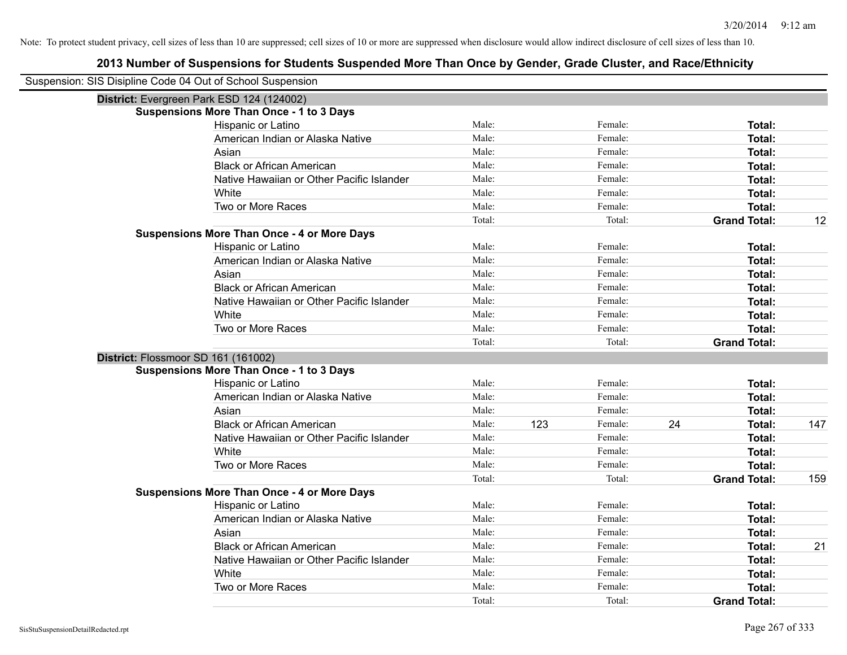| Suspension: SIS Disipline Code 04 Out of School Suspension |                                                    |        |     |         |    |                     |     |
|------------------------------------------------------------|----------------------------------------------------|--------|-----|---------|----|---------------------|-----|
|                                                            | District: Evergreen Park ESD 124 (124002)          |        |     |         |    |                     |     |
|                                                            | <b>Suspensions More Than Once - 1 to 3 Days</b>    |        |     |         |    |                     |     |
|                                                            | Hispanic or Latino                                 | Male:  |     | Female: |    | Total:              |     |
|                                                            | American Indian or Alaska Native                   | Male:  |     | Female: |    | Total:              |     |
|                                                            | Asian                                              | Male:  |     | Female: |    | Total:              |     |
|                                                            | <b>Black or African American</b>                   | Male:  |     | Female: |    | Total:              |     |
|                                                            | Native Hawaiian or Other Pacific Islander          | Male:  |     | Female: |    | Total:              |     |
|                                                            | White                                              | Male:  |     | Female: |    | Total:              |     |
|                                                            | Two or More Races                                  | Male:  |     | Female: |    | Total:              |     |
|                                                            |                                                    | Total: |     | Total:  |    | <b>Grand Total:</b> | 12  |
|                                                            | <b>Suspensions More Than Once - 4 or More Days</b> |        |     |         |    |                     |     |
|                                                            | Hispanic or Latino                                 | Male:  |     | Female: |    | Total:              |     |
|                                                            | American Indian or Alaska Native                   | Male:  |     | Female: |    | Total:              |     |
|                                                            | Asian                                              | Male:  |     | Female: |    | Total:              |     |
|                                                            | <b>Black or African American</b>                   | Male:  |     | Female: |    | Total:              |     |
|                                                            | Native Hawaiian or Other Pacific Islander          | Male:  |     | Female: |    | Total:              |     |
|                                                            | White                                              | Male:  |     | Female: |    | Total:              |     |
|                                                            | Two or More Races                                  | Male:  |     | Female: |    | Total:              |     |
|                                                            |                                                    | Total: |     | Total:  |    | <b>Grand Total:</b> |     |
| District: Flossmoor SD 161 (161002)                        |                                                    |        |     |         |    |                     |     |
|                                                            | <b>Suspensions More Than Once - 1 to 3 Days</b>    |        |     |         |    |                     |     |
|                                                            | Hispanic or Latino                                 | Male:  |     | Female: |    | Total:              |     |
|                                                            | American Indian or Alaska Native                   | Male:  |     | Female: |    | Total:              |     |
|                                                            | Asian                                              | Male:  |     | Female: |    | Total:              |     |
|                                                            | <b>Black or African American</b>                   | Male:  | 123 | Female: | 24 | Total:              | 147 |
|                                                            | Native Hawaiian or Other Pacific Islander          | Male:  |     | Female: |    | Total:              |     |
|                                                            | White                                              | Male:  |     | Female: |    | Total:              |     |
|                                                            | Two or More Races                                  | Male:  |     | Female: |    | Total:              |     |
|                                                            |                                                    | Total: |     | Total:  |    | <b>Grand Total:</b> | 159 |
|                                                            | <b>Suspensions More Than Once - 4 or More Days</b> |        |     |         |    |                     |     |
|                                                            | Hispanic or Latino                                 | Male:  |     | Female: |    | Total:              |     |
|                                                            | American Indian or Alaska Native                   | Male:  |     | Female: |    | Total:              |     |
|                                                            | Asian                                              | Male:  |     | Female: |    | Total:              |     |
|                                                            | <b>Black or African American</b>                   | Male:  |     | Female: |    | Total:              | 21  |
|                                                            | Native Hawaiian or Other Pacific Islander          | Male:  |     | Female: |    | Total:              |     |
|                                                            | White                                              | Male:  |     | Female: |    | Total:              |     |
|                                                            | Two or More Races                                  | Male:  |     | Female: |    | Total:              |     |
|                                                            |                                                    | Total: |     | Total:  |    | <b>Grand Total:</b> |     |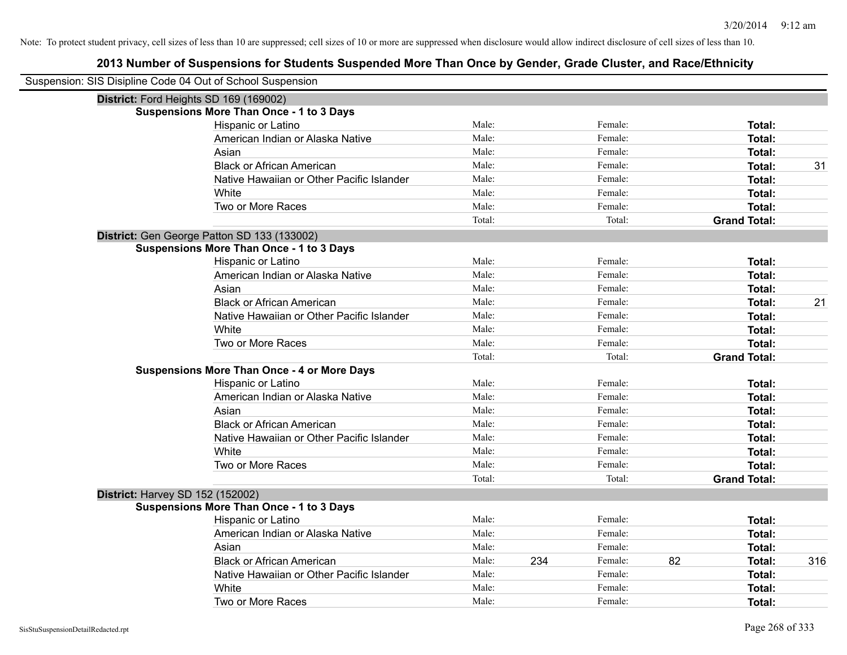| Suspension: SIS Disipline Code 04 Out of School Suspension |                                                    |        |     |         |    |                     |     |
|------------------------------------------------------------|----------------------------------------------------|--------|-----|---------|----|---------------------|-----|
| District: Ford Heights SD 169 (169002)                     |                                                    |        |     |         |    |                     |     |
|                                                            | <b>Suspensions More Than Once - 1 to 3 Days</b>    |        |     |         |    |                     |     |
|                                                            | Hispanic or Latino                                 | Male:  |     | Female: |    | Total:              |     |
|                                                            | American Indian or Alaska Native                   | Male:  |     | Female: |    | <b>Total:</b>       |     |
|                                                            | Asian                                              | Male:  |     | Female: |    | Total:              |     |
|                                                            | <b>Black or African American</b>                   | Male:  |     | Female: |    | Total:              | 31  |
|                                                            | Native Hawaiian or Other Pacific Islander          | Male:  |     | Female: |    | Total:              |     |
|                                                            | White                                              | Male:  |     | Female: |    | Total:              |     |
|                                                            | Two or More Races                                  | Male:  |     | Female: |    | Total:              |     |
|                                                            |                                                    | Total: |     | Total:  |    | <b>Grand Total:</b> |     |
|                                                            | District: Gen George Patton SD 133 (133002)        |        |     |         |    |                     |     |
|                                                            | <b>Suspensions More Than Once - 1 to 3 Days</b>    |        |     |         |    |                     |     |
|                                                            | Hispanic or Latino                                 | Male:  |     | Female: |    | <b>Total:</b>       |     |
|                                                            | American Indian or Alaska Native                   | Male:  |     | Female: |    | Total:              |     |
|                                                            | Asian                                              | Male:  |     | Female: |    | Total:              |     |
|                                                            | <b>Black or African American</b>                   | Male:  |     | Female: |    | Total:              | 21  |
|                                                            | Native Hawaiian or Other Pacific Islander          | Male:  |     | Female: |    | <b>Total:</b>       |     |
|                                                            | White                                              | Male:  |     | Female: |    | Total:              |     |
|                                                            | Two or More Races                                  | Male:  |     | Female: |    | Total:              |     |
|                                                            |                                                    | Total: |     | Total:  |    | <b>Grand Total:</b> |     |
|                                                            | <b>Suspensions More Than Once - 4 or More Days</b> |        |     |         |    |                     |     |
|                                                            | Hispanic or Latino                                 | Male:  |     | Female: |    | Total:              |     |
|                                                            | American Indian or Alaska Native                   | Male:  |     | Female: |    | Total:              |     |
|                                                            | Asian                                              | Male:  |     | Female: |    | <b>Total:</b>       |     |
|                                                            | <b>Black or African American</b>                   | Male:  |     | Female: |    | Total:              |     |
|                                                            | Native Hawaiian or Other Pacific Islander          | Male:  |     | Female: |    | <b>Total:</b>       |     |
|                                                            | White                                              | Male:  |     | Female: |    | Total:              |     |
|                                                            | Two or More Races                                  | Male:  |     | Female: |    | <b>Total:</b>       |     |
|                                                            |                                                    | Total: |     | Total:  |    | <b>Grand Total:</b> |     |
| <b>District: Harvey SD 152 (152002)</b>                    |                                                    |        |     |         |    |                     |     |
|                                                            | <b>Suspensions More Than Once - 1 to 3 Days</b>    |        |     |         |    |                     |     |
|                                                            | Hispanic or Latino                                 | Male:  |     | Female: |    | Total:              |     |
|                                                            | American Indian or Alaska Native                   | Male:  |     | Female: |    | Total:              |     |
|                                                            | Asian                                              | Male:  |     | Female: |    | Total:              |     |
|                                                            | <b>Black or African American</b>                   | Male:  | 234 | Female: | 82 | <b>Total:</b>       | 316 |
|                                                            | Native Hawaiian or Other Pacific Islander          | Male:  |     | Female: |    | Total:              |     |
|                                                            | White                                              | Male:  |     | Female: |    | <b>Total:</b>       |     |
|                                                            | Two or More Races                                  | Male:  |     | Female: |    | Total:              |     |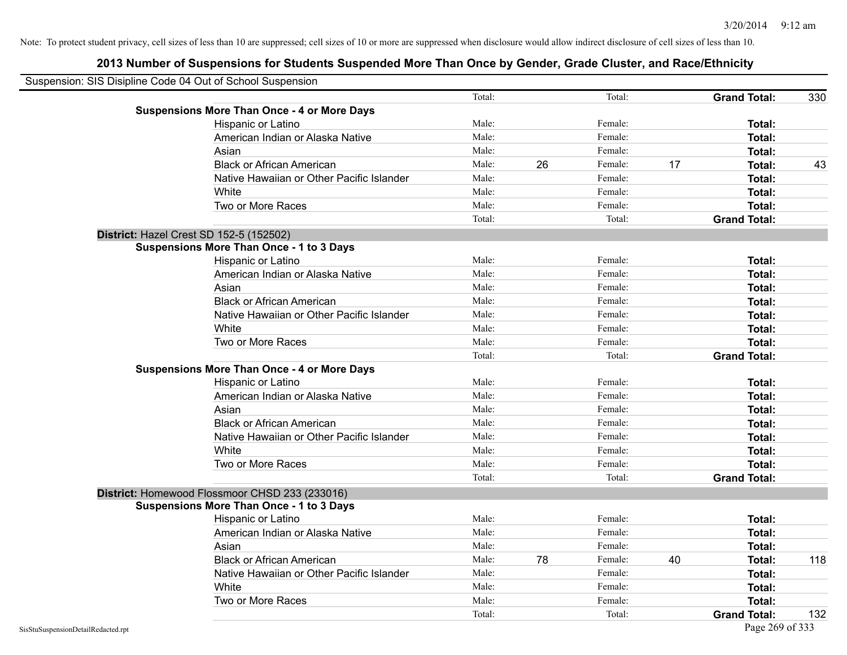| Suspension: SIS Disipline Code 04 Out of School Suspension |                                                    |        |    |         |    |                     |     |
|------------------------------------------------------------|----------------------------------------------------|--------|----|---------|----|---------------------|-----|
|                                                            |                                                    | Total: |    | Total:  |    | <b>Grand Total:</b> | 330 |
|                                                            | <b>Suspensions More Than Once - 4 or More Days</b> |        |    |         |    |                     |     |
|                                                            | Hispanic or Latino                                 | Male:  |    | Female: |    | Total:              |     |
|                                                            | American Indian or Alaska Native                   | Male:  |    | Female: |    | <b>Total:</b>       |     |
|                                                            | Asian                                              | Male:  |    | Female: |    | Total:              |     |
|                                                            | <b>Black or African American</b>                   | Male:  | 26 | Female: | 17 | Total:              | 43  |
|                                                            | Native Hawaiian or Other Pacific Islander          | Male:  |    | Female: |    | Total:              |     |
|                                                            | White                                              | Male:  |    | Female: |    | <b>Total:</b>       |     |
|                                                            | Two or More Races                                  | Male:  |    | Female: |    | Total:              |     |
|                                                            |                                                    | Total: |    | Total:  |    | <b>Grand Total:</b> |     |
|                                                            | District: Hazel Crest SD 152-5 (152502)            |        |    |         |    |                     |     |
|                                                            | <b>Suspensions More Than Once - 1 to 3 Days</b>    |        |    |         |    |                     |     |
|                                                            | Hispanic or Latino                                 | Male:  |    | Female: |    | Total:              |     |
|                                                            | American Indian or Alaska Native                   | Male:  |    | Female: |    | <b>Total:</b>       |     |
|                                                            | Asian                                              | Male:  |    | Female: |    | Total:              |     |
|                                                            | <b>Black or African American</b>                   | Male:  |    | Female: |    | Total:              |     |
|                                                            | Native Hawaiian or Other Pacific Islander          | Male:  |    | Female: |    | <b>Total:</b>       |     |
|                                                            | White                                              | Male:  |    | Female: |    | Total:              |     |
|                                                            | Two or More Races                                  | Male:  |    | Female: |    | <b>Total:</b>       |     |
|                                                            |                                                    | Total: |    | Total:  |    | <b>Grand Total:</b> |     |
|                                                            | <b>Suspensions More Than Once - 4 or More Days</b> |        |    |         |    |                     |     |
|                                                            | Hispanic or Latino                                 | Male:  |    | Female: |    | Total:              |     |
|                                                            | American Indian or Alaska Native                   | Male:  |    | Female: |    | <b>Total:</b>       |     |
|                                                            | Asian                                              | Male:  |    | Female: |    | Total:              |     |
|                                                            | <b>Black or African American</b>                   | Male:  |    | Female: |    | Total:              |     |
|                                                            | Native Hawaiian or Other Pacific Islander          | Male:  |    | Female: |    | Total:              |     |
|                                                            | White                                              | Male:  |    | Female: |    | Total:              |     |
|                                                            | Two or More Races                                  | Male:  |    | Female: |    | Total:              |     |
|                                                            |                                                    | Total: |    | Total:  |    | <b>Grand Total:</b> |     |
|                                                            | District: Homewood Flossmoor CHSD 233 (233016)     |        |    |         |    |                     |     |
|                                                            | <b>Suspensions More Than Once - 1 to 3 Days</b>    |        |    |         |    |                     |     |
|                                                            | Hispanic or Latino                                 | Male:  |    | Female: |    | <b>Total:</b>       |     |
|                                                            | American Indian or Alaska Native                   | Male:  |    | Female: |    | Total:              |     |
|                                                            | Asian                                              | Male:  |    | Female: |    | <b>Total:</b>       |     |
|                                                            | <b>Black or African American</b>                   | Male:  | 78 | Female: | 40 | Total:              | 118 |
|                                                            | Native Hawaiian or Other Pacific Islander          | Male:  |    | Female: |    | <b>Total:</b>       |     |
|                                                            | White                                              | Male:  |    | Female: |    | <b>Total:</b>       |     |
|                                                            | Two or More Races                                  | Male:  |    | Female: |    | <b>Total:</b>       |     |
|                                                            |                                                    | Total: |    | Total:  |    | <b>Grand Total:</b> | 132 |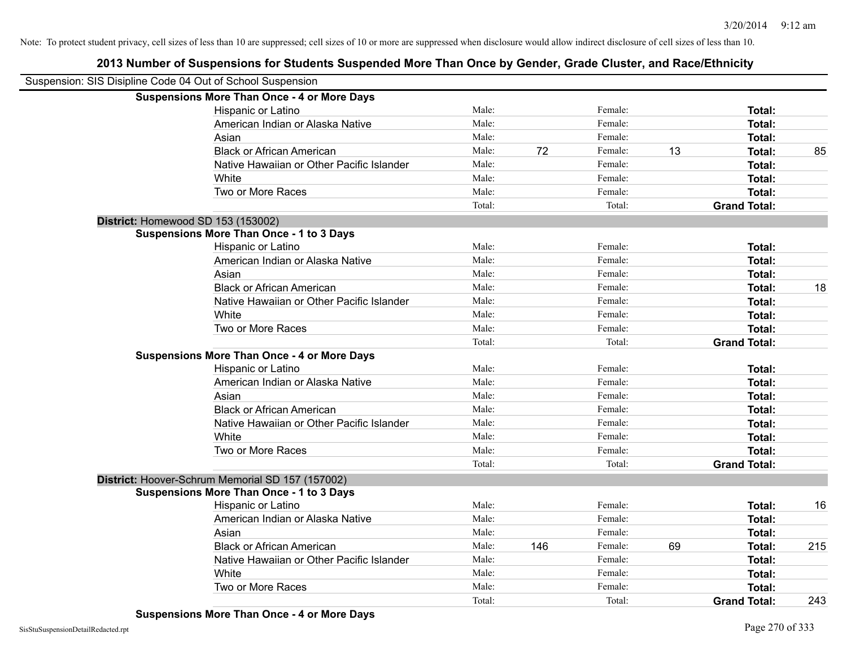| Suspension: SIS Disipline Code 04 Out of School Suspension |                                                    |        |     |         |    |                     |     |
|------------------------------------------------------------|----------------------------------------------------|--------|-----|---------|----|---------------------|-----|
|                                                            | <b>Suspensions More Than Once - 4 or More Days</b> |        |     |         |    |                     |     |
|                                                            | Hispanic or Latino                                 | Male:  |     | Female: |    | <b>Total:</b>       |     |
|                                                            | American Indian or Alaska Native                   | Male:  |     | Female: |    | <b>Total:</b>       |     |
|                                                            | Asian                                              | Male:  |     | Female: |    | <b>Total:</b>       |     |
|                                                            | <b>Black or African American</b>                   | Male:  | 72  | Female: | 13 | <b>Total:</b>       | 85  |
|                                                            | Native Hawaiian or Other Pacific Islander          | Male:  |     | Female: |    | <b>Total:</b>       |     |
|                                                            | White                                              | Male:  |     | Female: |    | Total:              |     |
|                                                            | Two or More Races                                  | Male:  |     | Female: |    | <b>Total:</b>       |     |
|                                                            |                                                    | Total: |     | Total:  |    | <b>Grand Total:</b> |     |
|                                                            | District: Homewood SD 153 (153002)                 |        |     |         |    |                     |     |
|                                                            | Suspensions More Than Once - 1 to 3 Days           |        |     |         |    |                     |     |
|                                                            | Hispanic or Latino                                 | Male:  |     | Female: |    | Total:              |     |
|                                                            | American Indian or Alaska Native                   | Male:  |     | Female: |    | <b>Total:</b>       |     |
|                                                            | Asian                                              | Male:  |     | Female: |    | <b>Total:</b>       |     |
|                                                            | <b>Black or African American</b>                   | Male:  |     | Female: |    | Total:              | 18  |
|                                                            | Native Hawaiian or Other Pacific Islander          | Male:  |     | Female: |    | <b>Total:</b>       |     |
|                                                            | White                                              | Male:  |     | Female: |    | <b>Total:</b>       |     |
|                                                            | Two or More Races                                  | Male:  |     | Female: |    | <b>Total:</b>       |     |
|                                                            |                                                    | Total: |     | Total:  |    | <b>Grand Total:</b> |     |
|                                                            | <b>Suspensions More Than Once - 4 or More Days</b> |        |     |         |    |                     |     |
|                                                            | Hispanic or Latino                                 | Male:  |     | Female: |    | Total:              |     |
|                                                            | American Indian or Alaska Native                   | Male:  |     | Female: |    | Total:              |     |
|                                                            | Asian                                              | Male:  |     | Female: |    | Total:              |     |
|                                                            | <b>Black or African American</b>                   | Male:  |     | Female: |    | <b>Total:</b>       |     |
|                                                            | Native Hawaiian or Other Pacific Islander          | Male:  |     | Female: |    | Total:              |     |
|                                                            | White                                              | Male:  |     | Female: |    | <b>Total:</b>       |     |
|                                                            | Two or More Races                                  | Male:  |     | Female: |    | Total:              |     |
|                                                            |                                                    | Total: |     | Total:  |    | <b>Grand Total:</b> |     |
|                                                            | District: Hoover-Schrum Memorial SD 157 (157002)   |        |     |         |    |                     |     |
|                                                            | <b>Suspensions More Than Once - 1 to 3 Days</b>    |        |     |         |    |                     |     |
|                                                            | Hispanic or Latino                                 | Male:  |     | Female: |    | <b>Total:</b>       | 16  |
|                                                            | American Indian or Alaska Native                   | Male:  |     | Female: |    | <b>Total:</b>       |     |
|                                                            | Asian                                              | Male:  |     | Female: |    | Total:              |     |
|                                                            | <b>Black or African American</b>                   | Male:  | 146 | Female: | 69 | <b>Total:</b>       | 215 |
|                                                            | Native Hawaiian or Other Pacific Islander          | Male:  |     | Female: |    | <b>Total:</b>       |     |
|                                                            | White                                              | Male:  |     | Female: |    | <b>Total:</b>       |     |
|                                                            | Two or More Races                                  | Male:  |     | Female: |    | <b>Total:</b>       |     |
|                                                            |                                                    | Total: |     | Total:  |    | <b>Grand Total:</b> | 243 |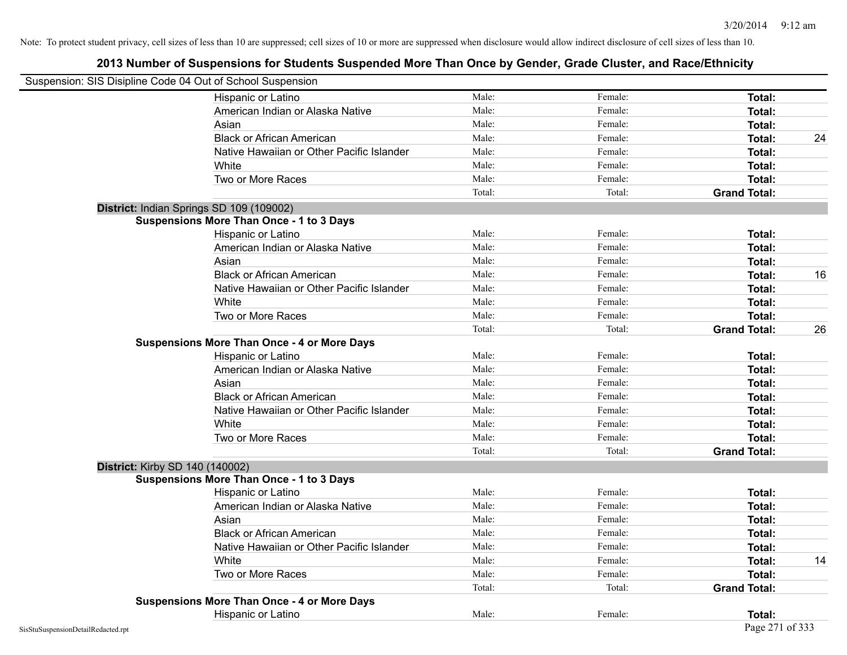| Suspension: SIS Disipline Code 04 Out of School Suspension |                                                    |        |         |                     |    |
|------------------------------------------------------------|----------------------------------------------------|--------|---------|---------------------|----|
|                                                            | Hispanic or Latino                                 | Male:  | Female: | <b>Total:</b>       |    |
|                                                            | American Indian or Alaska Native                   | Male:  | Female: | <b>Total:</b>       |    |
|                                                            | Asian                                              | Male:  | Female: | Total:              |    |
|                                                            | <b>Black or African American</b>                   | Male:  | Female: | Total:              | 24 |
|                                                            | Native Hawaiian or Other Pacific Islander          | Male:  | Female: | Total:              |    |
|                                                            | White                                              | Male:  | Female: | <b>Total:</b>       |    |
|                                                            | Two or More Races                                  | Male:  | Female: | <b>Total:</b>       |    |
|                                                            |                                                    | Total: | Total:  | <b>Grand Total:</b> |    |
|                                                            | District: Indian Springs SD 109 (109002)           |        |         |                     |    |
|                                                            | <b>Suspensions More Than Once - 1 to 3 Days</b>    |        |         |                     |    |
|                                                            | Hispanic or Latino                                 | Male:  | Female: | Total:              |    |
|                                                            | American Indian or Alaska Native                   | Male:  | Female: | <b>Total:</b>       |    |
|                                                            | Asian                                              | Male:  | Female: | Total:              |    |
|                                                            | <b>Black or African American</b>                   | Male:  | Female: | <b>Total:</b>       | 16 |
|                                                            | Native Hawaiian or Other Pacific Islander          | Male:  | Female: | Total:              |    |
|                                                            | White                                              | Male:  | Female: | Total:              |    |
|                                                            | Two or More Races                                  | Male:  | Female: | <b>Total:</b>       |    |
|                                                            |                                                    | Total: | Total:  | <b>Grand Total:</b> | 26 |
|                                                            | <b>Suspensions More Than Once - 4 or More Days</b> |        |         |                     |    |
|                                                            | Hispanic or Latino                                 | Male:  | Female: | Total:              |    |
|                                                            | American Indian or Alaska Native                   | Male:  | Female: | Total:              |    |
|                                                            | Asian                                              | Male:  | Female: | <b>Total:</b>       |    |
|                                                            | <b>Black or African American</b>                   | Male:  | Female: | <b>Total:</b>       |    |
|                                                            | Native Hawaiian or Other Pacific Islander          | Male:  | Female: | <b>Total:</b>       |    |
|                                                            | White                                              | Male:  | Female: | Total:              |    |
|                                                            | Two or More Races                                  | Male:  | Female: | Total:              |    |
|                                                            |                                                    | Total: | Total:  | <b>Grand Total:</b> |    |
| District: Kirby SD 140 (140002)                            |                                                    |        |         |                     |    |
|                                                            | <b>Suspensions More Than Once - 1 to 3 Days</b>    |        |         |                     |    |
|                                                            | Hispanic or Latino                                 | Male:  | Female: | <b>Total:</b>       |    |
|                                                            | American Indian or Alaska Native                   | Male:  | Female: | <b>Total:</b>       |    |
|                                                            | Asian                                              | Male:  | Female: | Total:              |    |
|                                                            | <b>Black or African American</b>                   | Male:  | Female: | <b>Total:</b>       |    |
|                                                            | Native Hawaiian or Other Pacific Islander          | Male:  | Female: | Total:              |    |
|                                                            | White                                              | Male:  | Female: | <b>Total:</b>       | 14 |
|                                                            | Two or More Races                                  | Male:  | Female: | <b>Total:</b>       |    |
|                                                            |                                                    | Total: | Total:  | <b>Grand Total:</b> |    |
|                                                            | <b>Suspensions More Than Once - 4 or More Days</b> |        |         |                     |    |
|                                                            | Hispanic or Latino                                 | Male:  | Female: | Total:              |    |
| SisStuSuspensionDetailRedacted.rpt                         |                                                    |        |         | Page 271 of 333     |    |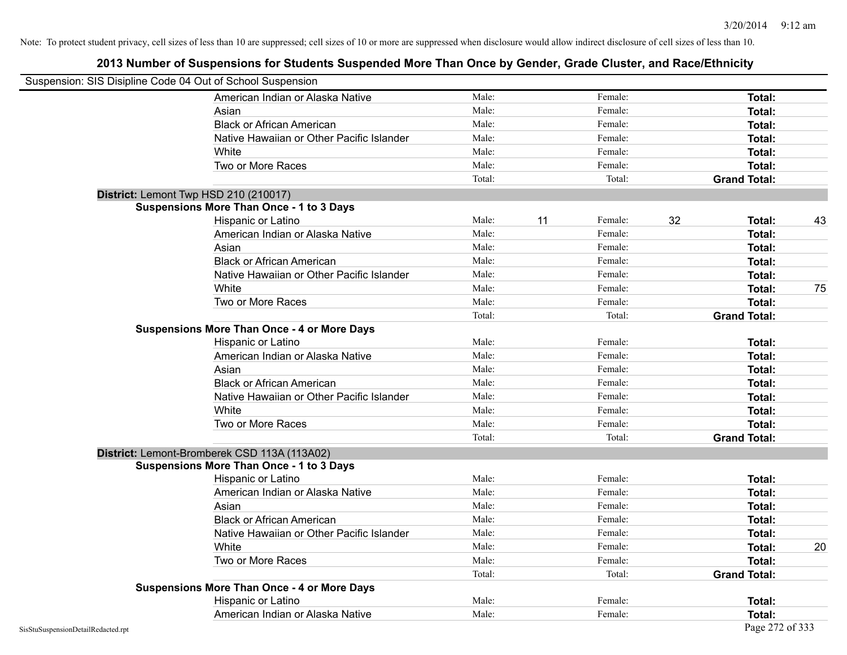|                                    | Suspension: SIS Disipline Code 04 Out of School Suspension |        |    |         |    |                     |    |
|------------------------------------|------------------------------------------------------------|--------|----|---------|----|---------------------|----|
|                                    | American Indian or Alaska Native                           | Male:  |    | Female: |    | <b>Total:</b>       |    |
|                                    | Asian                                                      | Male:  |    | Female: |    | Total:              |    |
|                                    | <b>Black or African American</b>                           | Male:  |    | Female: |    | Total:              |    |
|                                    | Native Hawaiian or Other Pacific Islander                  | Male:  |    | Female: |    | Total:              |    |
|                                    | White                                                      | Male:  |    | Female: |    | Total:              |    |
|                                    | Two or More Races                                          | Male:  |    | Female: |    | Total:              |    |
|                                    |                                                            | Total: |    | Total:  |    | <b>Grand Total:</b> |    |
|                                    | District: Lemont Twp HSD 210 (210017)                      |        |    |         |    |                     |    |
|                                    | <b>Suspensions More Than Once - 1 to 3 Days</b>            |        |    |         |    |                     |    |
|                                    | Hispanic or Latino                                         | Male:  | 11 | Female: | 32 | Total:              | 43 |
|                                    | American Indian or Alaska Native                           | Male:  |    | Female: |    | Total:              |    |
|                                    | Asian                                                      | Male:  |    | Female: |    | Total:              |    |
|                                    | <b>Black or African American</b>                           | Male:  |    | Female: |    | Total:              |    |
|                                    | Native Hawaiian or Other Pacific Islander                  | Male:  |    | Female: |    | Total:              |    |
|                                    | White                                                      | Male:  |    | Female: |    | Total:              | 75 |
|                                    | Two or More Races                                          | Male:  |    | Female: |    | Total:              |    |
|                                    |                                                            | Total: |    | Total:  |    | <b>Grand Total:</b> |    |
|                                    | <b>Suspensions More Than Once - 4 or More Days</b>         |        |    |         |    |                     |    |
|                                    | Hispanic or Latino                                         | Male:  |    | Female: |    | Total:              |    |
|                                    | American Indian or Alaska Native                           | Male:  |    | Female: |    | Total:              |    |
|                                    | Asian                                                      | Male:  |    | Female: |    | Total:              |    |
|                                    | <b>Black or African American</b>                           | Male:  |    | Female: |    | Total:              |    |
|                                    | Native Hawaiian or Other Pacific Islander                  | Male:  |    | Female: |    | Total:              |    |
|                                    | White                                                      | Male:  |    | Female: |    | <b>Total:</b>       |    |
|                                    | Two or More Races                                          | Male:  |    | Female: |    | Total:              |    |
|                                    |                                                            | Total: |    | Total:  |    | <b>Grand Total:</b> |    |
|                                    | District: Lemont-Bromberek CSD 113A (113A02)               |        |    |         |    |                     |    |
|                                    | <b>Suspensions More Than Once - 1 to 3 Days</b>            |        |    |         |    |                     |    |
|                                    | Hispanic or Latino                                         | Male:  |    | Female: |    | Total:              |    |
|                                    | American Indian or Alaska Native                           | Male:  |    | Female: |    | Total:              |    |
|                                    | Asian                                                      | Male:  |    | Female: |    | Total:              |    |
|                                    | <b>Black or African American</b>                           | Male:  |    | Female: |    | Total:              |    |
|                                    | Native Hawaiian or Other Pacific Islander                  | Male:  |    | Female: |    | Total:              |    |
|                                    | White                                                      | Male:  |    | Female: |    | Total:              | 20 |
|                                    | Two or More Races                                          | Male:  |    | Female: |    | Total:              |    |
|                                    |                                                            | Total: |    | Total:  |    | <b>Grand Total:</b> |    |
|                                    | <b>Suspensions More Than Once - 4 or More Days</b>         |        |    |         |    |                     |    |
|                                    | Hispanic or Latino                                         | Male:  |    | Female: |    | Total:              |    |
|                                    | American Indian or Alaska Native                           | Male:  |    | Female: |    | Total:              |    |
| SisStuSuspensionDetailRedacted.rpt |                                                            |        |    |         |    | Page 272 of 333     |    |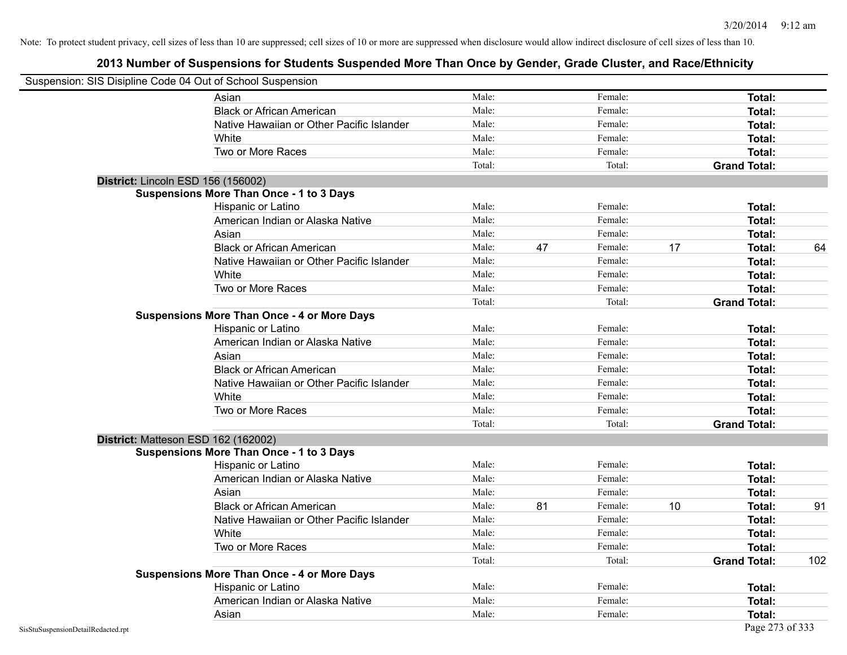|                                    | Suspension: SIS Disipline Code 04 Out of School Suspension |        |    |         |    |                     |     |
|------------------------------------|------------------------------------------------------------|--------|----|---------|----|---------------------|-----|
|                                    | Asian                                                      | Male:  |    | Female: |    | Total:              |     |
|                                    | <b>Black or African American</b>                           | Male:  |    | Female: |    | Total:              |     |
|                                    | Native Hawaiian or Other Pacific Islander                  | Male:  |    | Female: |    | Total:              |     |
|                                    | White                                                      | Male:  |    | Female: |    | Total:              |     |
|                                    | Two or More Races                                          | Male:  |    | Female: |    | Total:              |     |
|                                    |                                                            | Total: |    | Total:  |    | <b>Grand Total:</b> |     |
|                                    | District: Lincoln ESD 156 (156002)                         |        |    |         |    |                     |     |
|                                    | <b>Suspensions More Than Once - 1 to 3 Days</b>            |        |    |         |    |                     |     |
|                                    | Hispanic or Latino                                         | Male:  |    | Female: |    | Total:              |     |
|                                    | American Indian or Alaska Native                           | Male:  |    | Female: |    | Total:              |     |
|                                    | Asian                                                      | Male:  |    | Female: |    | Total:              |     |
|                                    | <b>Black or African American</b>                           | Male:  | 47 | Female: | 17 | Total:              | 64  |
|                                    | Native Hawaiian or Other Pacific Islander                  | Male:  |    | Female: |    | Total:              |     |
|                                    | White                                                      | Male:  |    | Female: |    | Total:              |     |
|                                    | Two or More Races                                          | Male:  |    | Female: |    | Total:              |     |
|                                    |                                                            | Total: |    | Total:  |    | <b>Grand Total:</b> |     |
|                                    | <b>Suspensions More Than Once - 4 or More Days</b>         |        |    |         |    |                     |     |
|                                    | Hispanic or Latino                                         | Male:  |    | Female: |    | Total:              |     |
|                                    | American Indian or Alaska Native                           | Male:  |    | Female: |    | Total:              |     |
|                                    | Asian                                                      | Male:  |    | Female: |    | Total:              |     |
|                                    | <b>Black or African American</b>                           | Male:  |    | Female: |    | Total:              |     |
|                                    | Native Hawaiian or Other Pacific Islander                  | Male:  |    | Female: |    | Total:              |     |
|                                    | White                                                      | Male:  |    | Female: |    | <b>Total:</b>       |     |
|                                    | Two or More Races                                          | Male:  |    | Female: |    | Total:              |     |
|                                    |                                                            | Total: |    | Total:  |    | <b>Grand Total:</b> |     |
|                                    | District: Matteson ESD 162 (162002)                        |        |    |         |    |                     |     |
|                                    | <b>Suspensions More Than Once - 1 to 3 Days</b>            |        |    |         |    |                     |     |
|                                    | Hispanic or Latino                                         | Male:  |    | Female: |    | Total:              |     |
|                                    | American Indian or Alaska Native                           | Male:  |    | Female: |    | Total:              |     |
|                                    | Asian                                                      | Male:  |    | Female: |    | Total:              |     |
|                                    | <b>Black or African American</b>                           | Male:  | 81 | Female: | 10 | Total:              | 91  |
|                                    | Native Hawaiian or Other Pacific Islander                  | Male:  |    | Female: |    | Total:              |     |
|                                    | White                                                      | Male:  |    | Female: |    | Total:              |     |
|                                    | Two or More Races                                          | Male:  |    | Female: |    | Total:              |     |
|                                    |                                                            | Total: |    | Total:  |    | <b>Grand Total:</b> | 102 |
|                                    | <b>Suspensions More Than Once - 4 or More Days</b>         |        |    |         |    |                     |     |
|                                    | Hispanic or Latino                                         | Male:  |    | Female: |    | Total:              |     |
|                                    | American Indian or Alaska Native                           | Male:  |    | Female: |    | Total:              |     |
|                                    | Asian                                                      | Male:  |    | Female: |    | Total:              |     |
| SisStuSuspensionDetailRedacted.rpt |                                                            |        |    |         |    | Page 273 of 333     |     |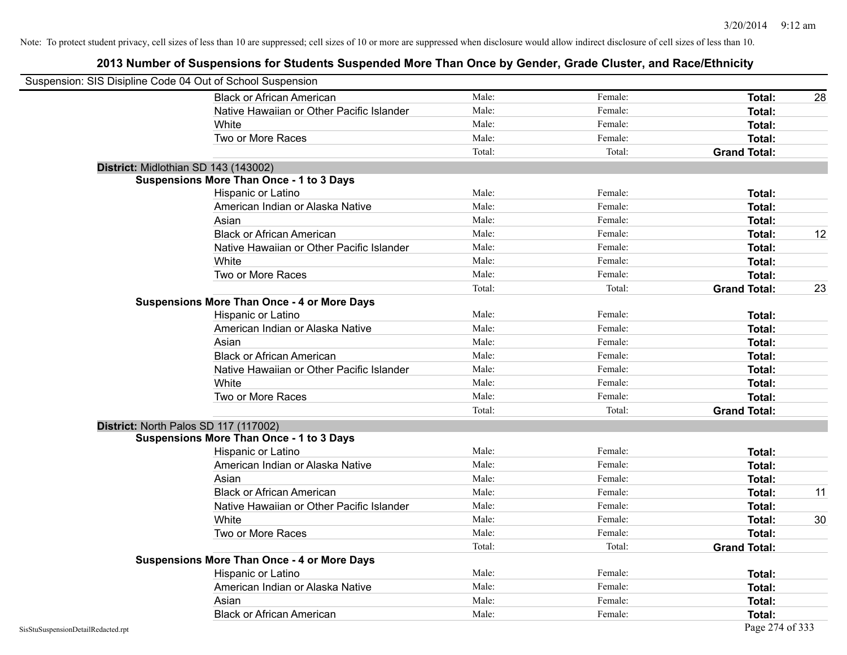| Suspension: SIS Disipline Code 04 Out of School Suspension |        |         |                     |    |
|------------------------------------------------------------|--------|---------|---------------------|----|
| <b>Black or African American</b>                           | Male:  | Female: | Total:              | 28 |
| Native Hawaiian or Other Pacific Islander                  | Male:  | Female: | Total:              |    |
| White                                                      | Male:  | Female: | Total:              |    |
| Two or More Races                                          | Male:  | Female: | Total:              |    |
|                                                            | Total: | Total:  | <b>Grand Total:</b> |    |
| District: Midlothian SD 143 (143002)                       |        |         |                     |    |
| <b>Suspensions More Than Once - 1 to 3 Days</b>            |        |         |                     |    |
| Hispanic or Latino                                         | Male:  | Female: | Total:              |    |
| American Indian or Alaska Native                           | Male:  | Female: | Total:              |    |
| Asian                                                      | Male:  | Female: | Total:              |    |
| <b>Black or African American</b>                           | Male:  | Female: | Total:              | 12 |
| Native Hawaiian or Other Pacific Islander                  | Male:  | Female: | Total:              |    |
| White                                                      | Male:  | Female: | Total:              |    |
| Two or More Races                                          | Male:  | Female: | Total:              |    |
|                                                            | Total: | Total:  | <b>Grand Total:</b> | 23 |
| <b>Suspensions More Than Once - 4 or More Days</b>         |        |         |                     |    |
| Hispanic or Latino                                         | Male:  | Female: | Total:              |    |
| American Indian or Alaska Native                           | Male:  | Female: | Total:              |    |
| Asian                                                      | Male:  | Female: | Total:              |    |
| <b>Black or African American</b>                           | Male:  | Female: | Total:              |    |
| Native Hawaiian or Other Pacific Islander                  | Male:  | Female: | Total:              |    |
| White                                                      | Male:  | Female: | Total:              |    |
| Two or More Races                                          | Male:  | Female: | Total:              |    |
|                                                            | Total: | Total:  | <b>Grand Total:</b> |    |
| District: North Palos SD 117 (117002)                      |        |         |                     |    |
| <b>Suspensions More Than Once - 1 to 3 Days</b>            |        |         |                     |    |
| Hispanic or Latino                                         | Male:  | Female: | Total:              |    |
| American Indian or Alaska Native                           | Male:  | Female: | Total:              |    |
| Asian                                                      | Male:  | Female: | Total:              |    |
| <b>Black or African American</b>                           | Male:  | Female: | Total:              | 11 |
| Native Hawaiian or Other Pacific Islander                  | Male:  | Female: | Total:              |    |
| White                                                      | Male:  | Female: | Total:              | 30 |
| Two or More Races                                          | Male:  | Female: | Total:              |    |
|                                                            | Total: | Total:  | <b>Grand Total:</b> |    |
| <b>Suspensions More Than Once - 4 or More Days</b>         |        |         |                     |    |
| Hispanic or Latino                                         | Male:  | Female: | Total:              |    |
| American Indian or Alaska Native                           | Male:  | Female: | Total:              |    |
| Asian                                                      | Male:  | Female: | Total:              |    |
| <b>Black or African American</b>                           | Male:  | Female: | Total:              |    |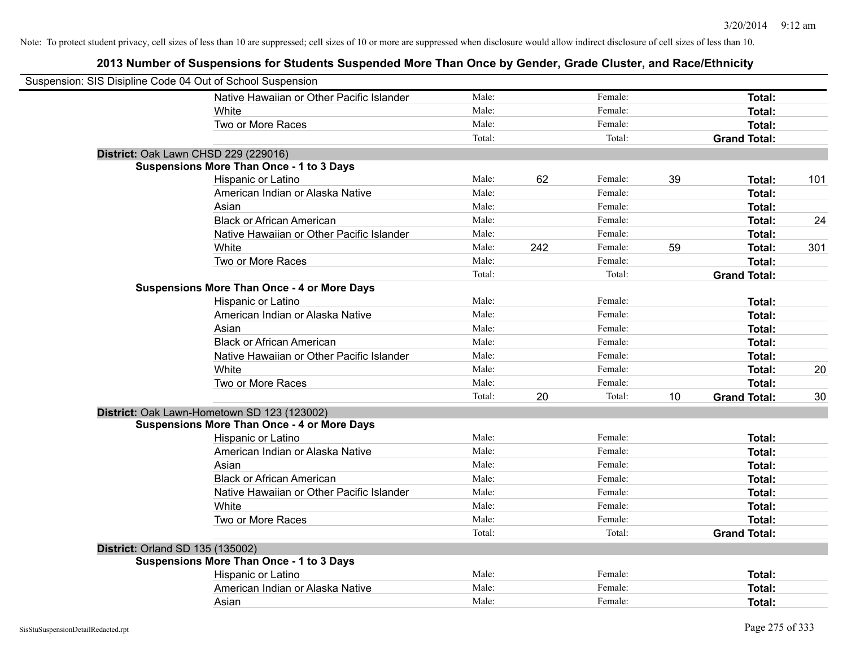| Suspension: SIS Disipline Code 04 Out of School Suspension |                                                    |        |     |         |    |                     |     |
|------------------------------------------------------------|----------------------------------------------------|--------|-----|---------|----|---------------------|-----|
|                                                            | Native Hawaiian or Other Pacific Islander          | Male:  |     | Female: |    | Total:              |     |
|                                                            | White                                              | Male:  |     | Female: |    | Total:              |     |
|                                                            | Two or More Races                                  | Male:  |     | Female: |    | Total:              |     |
|                                                            |                                                    | Total: |     | Total:  |    | <b>Grand Total:</b> |     |
| District: Oak Lawn CHSD 229 (229016)                       |                                                    |        |     |         |    |                     |     |
|                                                            | <b>Suspensions More Than Once - 1 to 3 Days</b>    |        |     |         |    |                     |     |
|                                                            | Hispanic or Latino                                 | Male:  | 62  | Female: | 39 | Total:              | 101 |
|                                                            | American Indian or Alaska Native                   | Male:  |     | Female: |    | Total:              |     |
|                                                            | Asian                                              | Male:  |     | Female: |    | Total:              |     |
|                                                            | <b>Black or African American</b>                   | Male:  |     | Female: |    | Total:              | 24  |
|                                                            | Native Hawaiian or Other Pacific Islander          | Male:  |     | Female: |    | Total:              |     |
|                                                            | White                                              | Male:  | 242 | Female: | 59 | Total:              | 301 |
|                                                            | Two or More Races                                  | Male:  |     | Female: |    | Total:              |     |
|                                                            |                                                    | Total: |     | Total:  |    | <b>Grand Total:</b> |     |
|                                                            | <b>Suspensions More Than Once - 4 or More Days</b> |        |     |         |    |                     |     |
|                                                            | Hispanic or Latino                                 | Male:  |     | Female: |    | Total:              |     |
|                                                            | American Indian or Alaska Native                   | Male:  |     | Female: |    | Total:              |     |
|                                                            | Asian                                              | Male:  |     | Female: |    | Total:              |     |
|                                                            | <b>Black or African American</b>                   | Male:  |     | Female: |    | Total:              |     |
|                                                            | Native Hawaiian or Other Pacific Islander          | Male:  |     | Female: |    | Total:              |     |
|                                                            | White                                              | Male:  |     | Female: |    | Total:              | 20  |
|                                                            | Two or More Races                                  | Male:  |     | Female: |    | Total:              |     |
|                                                            |                                                    | Total: | 20  | Total:  | 10 | <b>Grand Total:</b> | 30  |
|                                                            | District: Oak Lawn-Hometown SD 123 (123002)        |        |     |         |    |                     |     |
|                                                            | <b>Suspensions More Than Once - 4 or More Days</b> |        |     |         |    |                     |     |
|                                                            | Hispanic or Latino                                 | Male:  |     | Female: |    | Total:              |     |
|                                                            | American Indian or Alaska Native                   | Male:  |     | Female: |    | Total:              |     |
|                                                            | Asian                                              | Male:  |     | Female: |    | Total:              |     |
|                                                            | <b>Black or African American</b>                   | Male:  |     | Female: |    | Total:              |     |
|                                                            | Native Hawaiian or Other Pacific Islander          | Male:  |     | Female: |    | Total:              |     |
|                                                            | White                                              | Male:  |     | Female: |    | Total:              |     |
|                                                            | Two or More Races                                  | Male:  |     | Female: |    | Total:              |     |
|                                                            |                                                    | Total: |     | Total:  |    | <b>Grand Total:</b> |     |
| <b>District: Orland SD 135 (135002)</b>                    |                                                    |        |     |         |    |                     |     |
|                                                            | <b>Suspensions More Than Once - 1 to 3 Days</b>    |        |     |         |    |                     |     |
|                                                            | Hispanic or Latino                                 | Male:  |     | Female: |    | Total:              |     |
|                                                            | American Indian or Alaska Native                   | Male:  |     | Female: |    | Total:              |     |
|                                                            | Asian                                              | Male:  |     | Female: |    | Total:              |     |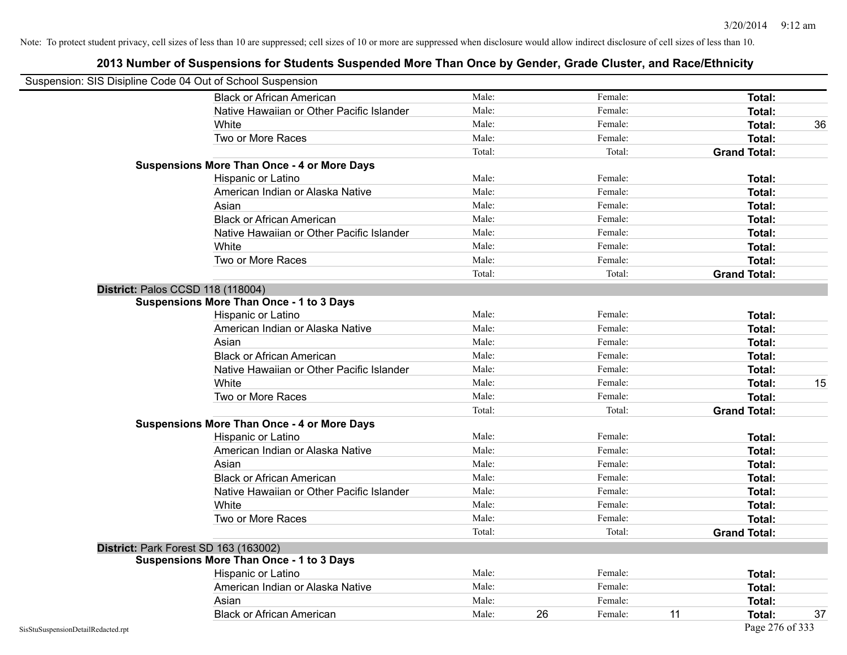| Suspension: SIS Disipline Code 04 Out of School Suspension |                                                    |        |    |         |    |                     |    |
|------------------------------------------------------------|----------------------------------------------------|--------|----|---------|----|---------------------|----|
|                                                            | <b>Black or African American</b>                   | Male:  |    | Female: |    | Total:              |    |
|                                                            | Native Hawaiian or Other Pacific Islander          | Male:  |    | Female: |    | Total:              |    |
|                                                            | White                                              | Male:  |    | Female: |    | Total:              | 36 |
|                                                            | Two or More Races                                  | Male:  |    | Female: |    | <b>Total:</b>       |    |
|                                                            |                                                    | Total: |    | Total:  |    | <b>Grand Total:</b> |    |
|                                                            | <b>Suspensions More Than Once - 4 or More Days</b> |        |    |         |    |                     |    |
|                                                            | Hispanic or Latino                                 | Male:  |    | Female: |    | Total:              |    |
|                                                            | American Indian or Alaska Native                   | Male:  |    | Female: |    | <b>Total:</b>       |    |
|                                                            | Asian                                              | Male:  |    | Female: |    | Total:              |    |
|                                                            | <b>Black or African American</b>                   | Male:  |    | Female: |    | Total:              |    |
|                                                            | Native Hawaiian or Other Pacific Islander          | Male:  |    | Female: |    | <b>Total:</b>       |    |
|                                                            | White                                              | Male:  |    | Female: |    | <b>Total:</b>       |    |
|                                                            | Two or More Races                                  | Male:  |    | Female: |    | <b>Total:</b>       |    |
|                                                            |                                                    | Total: |    | Total:  |    | <b>Grand Total:</b> |    |
| District: Palos CCSD 118 (118004)                          |                                                    |        |    |         |    |                     |    |
|                                                            | Suspensions More Than Once - 1 to 3 Days           |        |    |         |    |                     |    |
|                                                            | Hispanic or Latino                                 | Male:  |    | Female: |    | <b>Total:</b>       |    |
|                                                            | American Indian or Alaska Native                   | Male:  |    | Female: |    | <b>Total:</b>       |    |
|                                                            | Asian                                              | Male:  |    | Female: |    | <b>Total:</b>       |    |
|                                                            | <b>Black or African American</b>                   | Male:  |    | Female: |    | Total:              |    |
|                                                            | Native Hawaiian or Other Pacific Islander          | Male:  |    | Female: |    | Total:              |    |
|                                                            | White                                              | Male:  |    | Female: |    | Total:              | 15 |
|                                                            | Two or More Races                                  | Male:  |    | Female: |    | Total:              |    |
|                                                            |                                                    | Total: |    | Total:  |    | <b>Grand Total:</b> |    |
|                                                            | <b>Suspensions More Than Once - 4 or More Days</b> |        |    |         |    |                     |    |
|                                                            | Hispanic or Latino                                 | Male:  |    | Female: |    | Total:              |    |
|                                                            | American Indian or Alaska Native                   | Male:  |    | Female: |    | <b>Total:</b>       |    |
|                                                            | Asian                                              | Male:  |    | Female: |    | <b>Total:</b>       |    |
|                                                            | <b>Black or African American</b>                   | Male:  |    | Female: |    | Total:              |    |
|                                                            | Native Hawaiian or Other Pacific Islander          | Male:  |    | Female: |    | Total:              |    |
|                                                            | White                                              | Male:  |    | Female: |    | <b>Total:</b>       |    |
|                                                            | Two or More Races                                  | Male:  |    | Female: |    | Total:              |    |
|                                                            |                                                    | Total: |    | Total:  |    | <b>Grand Total:</b> |    |
|                                                            | District: Park Forest SD 163 (163002)              |        |    |         |    |                     |    |
|                                                            | <b>Suspensions More Than Once - 1 to 3 Days</b>    |        |    |         |    |                     |    |
|                                                            | Hispanic or Latino                                 | Male:  |    | Female: |    | Total:              |    |
|                                                            | American Indian or Alaska Native                   | Male:  |    | Female: |    | Total:              |    |
|                                                            | Asian                                              | Male:  |    | Female: |    | Total:              |    |
|                                                            | <b>Black or African American</b>                   | Male:  | 26 | Female: | 11 | Total:              | 37 |
| SisStuSuspensionDetailRedacted.rpt                         |                                                    |        |    |         |    | Page 276 of 333     |    |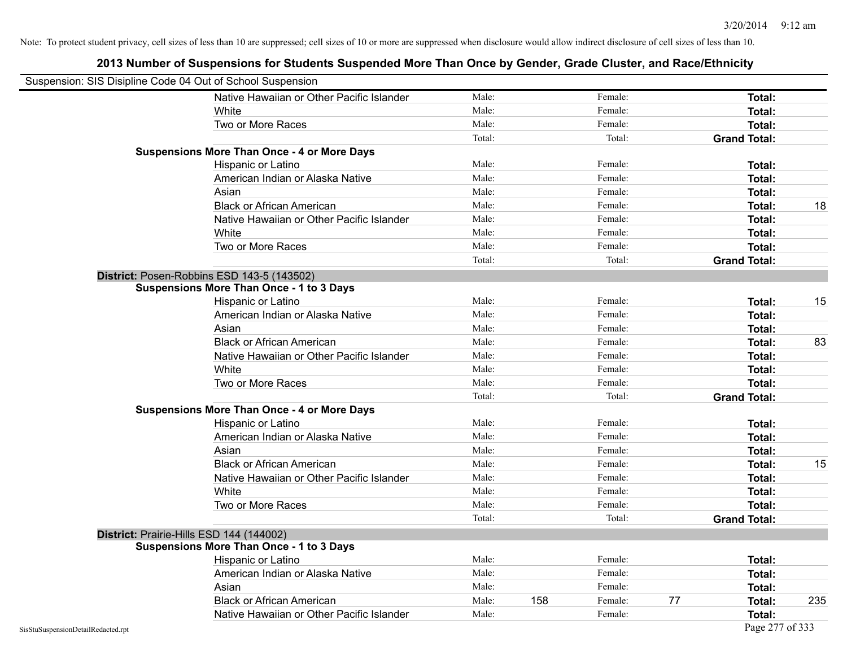| Suspension: SIS Disipline Code 04 Out of School Suspension |                                                    |        |     |         |    |                     |     |
|------------------------------------------------------------|----------------------------------------------------|--------|-----|---------|----|---------------------|-----|
|                                                            | Native Hawaiian or Other Pacific Islander          | Male:  |     | Female: |    | Total:              |     |
|                                                            | White                                              | Male:  |     | Female: |    | Total:              |     |
|                                                            | Two or More Races                                  | Male:  |     | Female: |    | Total:              |     |
|                                                            |                                                    | Total: |     | Total:  |    | <b>Grand Total:</b> |     |
|                                                            | <b>Suspensions More Than Once - 4 or More Days</b> |        |     |         |    |                     |     |
|                                                            | Hispanic or Latino                                 | Male:  |     | Female: |    | Total:              |     |
|                                                            | American Indian or Alaska Native                   | Male:  |     | Female: |    | Total:              |     |
|                                                            | Asian                                              | Male:  |     | Female: |    | Total:              |     |
|                                                            | <b>Black or African American</b>                   | Male:  |     | Female: |    | Total:              | 18  |
|                                                            | Native Hawaiian or Other Pacific Islander          | Male:  |     | Female: |    | <b>Total:</b>       |     |
|                                                            | White                                              | Male:  |     | Female: |    | Total:              |     |
|                                                            | Two or More Races                                  | Male:  |     | Female: |    | <b>Total:</b>       |     |
|                                                            |                                                    | Total: |     | Total:  |    | <b>Grand Total:</b> |     |
|                                                            | District: Posen-Robbins ESD 143-5 (143502)         |        |     |         |    |                     |     |
|                                                            | <b>Suspensions More Than Once - 1 to 3 Days</b>    |        |     |         |    |                     |     |
|                                                            | Hispanic or Latino                                 | Male:  |     | Female: |    | Total:              | 15  |
|                                                            | American Indian or Alaska Native                   | Male:  |     | Female: |    | <b>Total:</b>       |     |
|                                                            | Asian                                              | Male:  |     | Female: |    | Total:              |     |
|                                                            | <b>Black or African American</b>                   | Male:  |     | Female: |    | Total:              | 83  |
|                                                            | Native Hawaiian or Other Pacific Islander          | Male:  |     | Female: |    | Total:              |     |
|                                                            | White                                              | Male:  |     | Female: |    | Total:              |     |
|                                                            | Two or More Races                                  | Male:  |     | Female: |    | Total:              |     |
|                                                            |                                                    | Total: |     | Total:  |    | <b>Grand Total:</b> |     |
|                                                            | <b>Suspensions More Than Once - 4 or More Days</b> |        |     |         |    |                     |     |
|                                                            | Hispanic or Latino                                 | Male:  |     | Female: |    | Total:              |     |
|                                                            | American Indian or Alaska Native                   | Male:  |     | Female: |    | <b>Total:</b>       |     |
|                                                            | Asian                                              | Male:  |     | Female: |    | Total:              |     |
|                                                            | <b>Black or African American</b>                   | Male:  |     | Female: |    | Total:              | 15  |
|                                                            | Native Hawaiian or Other Pacific Islander          | Male:  |     | Female: |    | Total:              |     |
|                                                            | White                                              | Male:  |     | Female: |    | <b>Total:</b>       |     |
|                                                            | Two or More Races                                  | Male:  |     | Female: |    | Total:              |     |
|                                                            |                                                    | Total: |     | Total:  |    | <b>Grand Total:</b> |     |
|                                                            | District: Prairie-Hills ESD 144 (144002)           |        |     |         |    |                     |     |
|                                                            | <b>Suspensions More Than Once - 1 to 3 Days</b>    |        |     |         |    |                     |     |
|                                                            | Hispanic or Latino                                 | Male:  |     | Female: |    | Total:              |     |
|                                                            | American Indian or Alaska Native                   | Male:  |     | Female: |    | Total:              |     |
|                                                            | Asian                                              | Male:  |     | Female: |    | Total:              |     |
|                                                            | <b>Black or African American</b>                   | Male:  | 158 | Female: | 77 | Total:              | 235 |
|                                                            | Native Hawaiian or Other Pacific Islander          | Male:  |     | Female: |    | Total:              |     |
| SisStuSuspensionDetailRedacted.rpt                         |                                                    |        |     |         |    | Page 277 of 333     |     |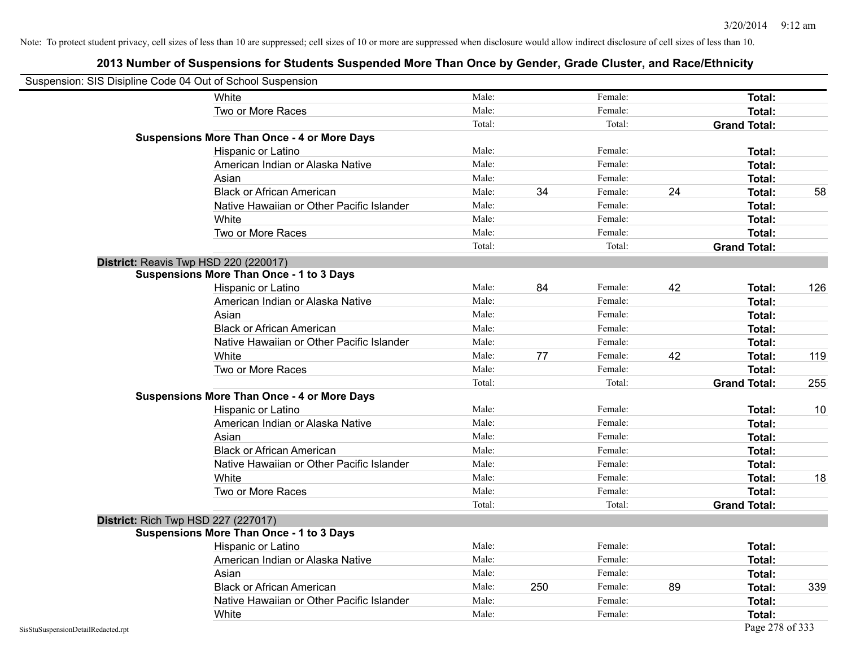|                                    | Suspension: SIS Disipline Code 04 Out of School Suspension |        |     |         |    |                     |     |
|------------------------------------|------------------------------------------------------------|--------|-----|---------|----|---------------------|-----|
|                                    | White                                                      | Male:  |     | Female: |    | Total:              |     |
|                                    | Two or More Races                                          | Male:  |     | Female: |    | Total:              |     |
|                                    |                                                            | Total: |     | Total:  |    | <b>Grand Total:</b> |     |
|                                    | <b>Suspensions More Than Once - 4 or More Days</b>         |        |     |         |    |                     |     |
|                                    | Hispanic or Latino                                         | Male:  |     | Female: |    | Total:              |     |
|                                    | American Indian or Alaska Native                           | Male:  |     | Female: |    | <b>Total:</b>       |     |
|                                    | Asian                                                      | Male:  |     | Female: |    | Total:              |     |
|                                    | <b>Black or African American</b>                           | Male:  | 34  | Female: | 24 | Total:              | 58  |
|                                    | Native Hawaiian or Other Pacific Islander                  | Male:  |     | Female: |    | Total:              |     |
|                                    | White                                                      | Male:  |     | Female: |    | Total:              |     |
|                                    | Two or More Races                                          | Male:  |     | Female: |    | <b>Total:</b>       |     |
|                                    |                                                            | Total: |     | Total:  |    | <b>Grand Total:</b> |     |
|                                    | District: Reavis Twp HSD 220 (220017)                      |        |     |         |    |                     |     |
|                                    | <b>Suspensions More Than Once - 1 to 3 Days</b>            |        |     |         |    |                     |     |
|                                    | Hispanic or Latino                                         | Male:  | 84  | Female: | 42 | Total:              | 126 |
|                                    | American Indian or Alaska Native                           | Male:  |     | Female: |    | <b>Total:</b>       |     |
|                                    | Asian                                                      | Male:  |     | Female: |    | Total:              |     |
|                                    | <b>Black or African American</b>                           | Male:  |     | Female: |    | Total:              |     |
|                                    | Native Hawaiian or Other Pacific Islander                  | Male:  |     | Female: |    | Total:              |     |
|                                    | White                                                      | Male:  | 77  | Female: | 42 | Total:              | 119 |
|                                    | Two or More Races                                          | Male:  |     | Female: |    | Total:              |     |
|                                    |                                                            | Total: |     | Total:  |    | <b>Grand Total:</b> | 255 |
|                                    | <b>Suspensions More Than Once - 4 or More Days</b>         |        |     |         |    |                     |     |
|                                    | Hispanic or Latino                                         | Male:  |     | Female: |    | Total:              | 10  |
|                                    | American Indian or Alaska Native                           | Male:  |     | Female: |    | <b>Total:</b>       |     |
|                                    | Asian                                                      | Male:  |     | Female: |    | Total:              |     |
|                                    | <b>Black or African American</b>                           | Male:  |     | Female: |    | Total:              |     |
|                                    | Native Hawaiian or Other Pacific Islander                  | Male:  |     | Female: |    | Total:              |     |
|                                    | White                                                      | Male:  |     | Female: |    | Total:              | 18  |
|                                    | Two or More Races                                          | Male:  |     | Female: |    | <b>Total:</b>       |     |
|                                    |                                                            | Total: |     | Total:  |    | <b>Grand Total:</b> |     |
|                                    | <b>District: Rich Twp HSD 227 (227017)</b>                 |        |     |         |    |                     |     |
|                                    | <b>Suspensions More Than Once - 1 to 3 Days</b>            |        |     |         |    |                     |     |
|                                    | <b>Hispanic or Latino</b>                                  | Male:  |     | Female: |    | Total:              |     |
|                                    | American Indian or Alaska Native                           | Male:  |     | Female: |    | Total:              |     |
|                                    | Asian                                                      | Male:  |     | Female: |    | Total:              |     |
|                                    | <b>Black or African American</b>                           | Male:  | 250 | Female: | 89 | Total:              | 339 |
|                                    | Native Hawaiian or Other Pacific Islander                  | Male:  |     | Female: |    | Total:              |     |
|                                    | White                                                      | Male:  |     | Female: |    | Total:              |     |
| SisStuSuspensionDetailRedacted.rpt |                                                            |        |     |         |    | Page 278 of 333     |     |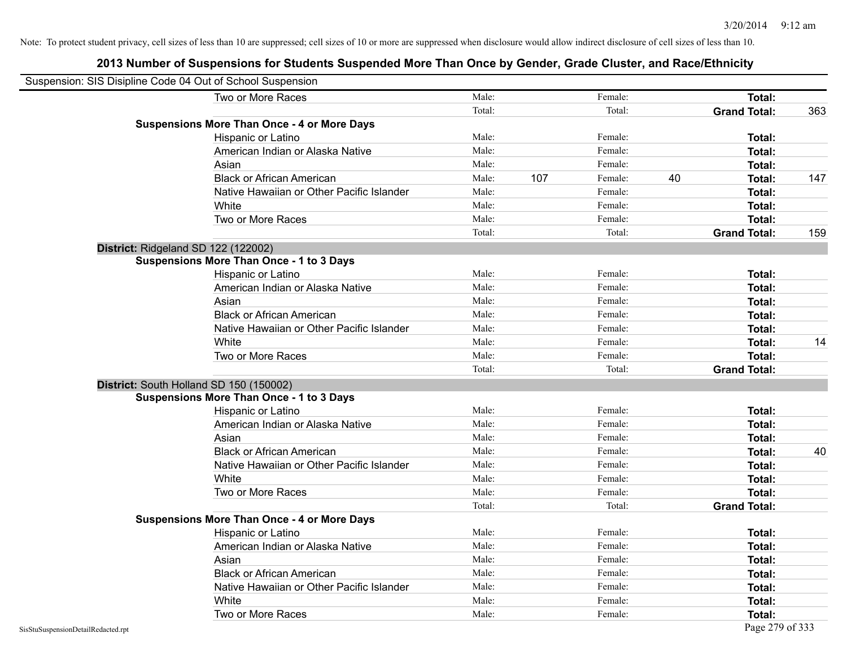| Suspension: SIS Disipline Code 04 Out of School Suspension |        |     |         |    |                     |     |
|------------------------------------------------------------|--------|-----|---------|----|---------------------|-----|
| Two or More Races                                          | Male:  |     | Female: |    | Total:              |     |
|                                                            | Total: |     | Total:  |    | <b>Grand Total:</b> | 363 |
| <b>Suspensions More Than Once - 4 or More Days</b>         |        |     |         |    |                     |     |
| Hispanic or Latino                                         | Male:  |     | Female: |    | Total:              |     |
| American Indian or Alaska Native                           | Male:  |     | Female: |    | Total:              |     |
| Asian                                                      | Male:  |     | Female: |    | Total:              |     |
| <b>Black or African American</b>                           | Male:  | 107 | Female: | 40 | Total:              | 147 |
| Native Hawaiian or Other Pacific Islander                  | Male:  |     | Female: |    | Total:              |     |
| White                                                      | Male:  |     | Female: |    | Total:              |     |
| Two or More Races                                          | Male:  |     | Female: |    | Total:              |     |
|                                                            | Total: |     | Total:  |    | <b>Grand Total:</b> | 159 |
| District: Ridgeland SD 122 (122002)                        |        |     |         |    |                     |     |
| <b>Suspensions More Than Once - 1 to 3 Days</b>            |        |     |         |    |                     |     |
| Hispanic or Latino                                         | Male:  |     | Female: |    | Total:              |     |
| American Indian or Alaska Native                           | Male:  |     | Female: |    | Total:              |     |
| Asian                                                      | Male:  |     | Female: |    | Total:              |     |
| <b>Black or African American</b>                           | Male:  |     | Female: |    | Total:              |     |
| Native Hawaiian or Other Pacific Islander                  | Male:  |     | Female: |    | Total:              |     |
| White                                                      | Male:  |     | Female: |    | Total:              | 14  |
| Two or More Races                                          | Male:  |     | Female: |    | Total:              |     |
|                                                            | Total: |     | Total:  |    | <b>Grand Total:</b> |     |
| District: South Holland SD 150 (150002)                    |        |     |         |    |                     |     |
| <b>Suspensions More Than Once - 1 to 3 Days</b>            |        |     |         |    |                     |     |
| Hispanic or Latino                                         | Male:  |     | Female: |    | Total:              |     |
| American Indian or Alaska Native                           | Male:  |     | Female: |    | Total:              |     |
| Asian                                                      | Male:  |     | Female: |    | Total:              |     |
| <b>Black or African American</b>                           | Male:  |     | Female: |    | Total:              | 40  |
| Native Hawaiian or Other Pacific Islander                  | Male:  |     | Female: |    | Total:              |     |
| White                                                      | Male:  |     | Female: |    | Total:              |     |
| Two or More Races                                          | Male:  |     | Female: |    | Total:              |     |
|                                                            | Total: |     | Total:  |    | <b>Grand Total:</b> |     |
| <b>Suspensions More Than Once - 4 or More Days</b>         |        |     |         |    |                     |     |
| <b>Hispanic or Latino</b>                                  | Male:  |     | Female: |    | Total:              |     |
| American Indian or Alaska Native                           | Male:  |     | Female: |    | Total:              |     |
| Asian                                                      | Male:  |     | Female: |    | Total:              |     |
| <b>Black or African American</b>                           | Male:  |     | Female: |    | Total:              |     |
| Native Hawaiian or Other Pacific Islander                  | Male:  |     | Female: |    | Total:              |     |
| White                                                      | Male:  |     | Female: |    | Total:              |     |
| Two or More Races                                          | Male:  |     | Female: |    | Total:              |     |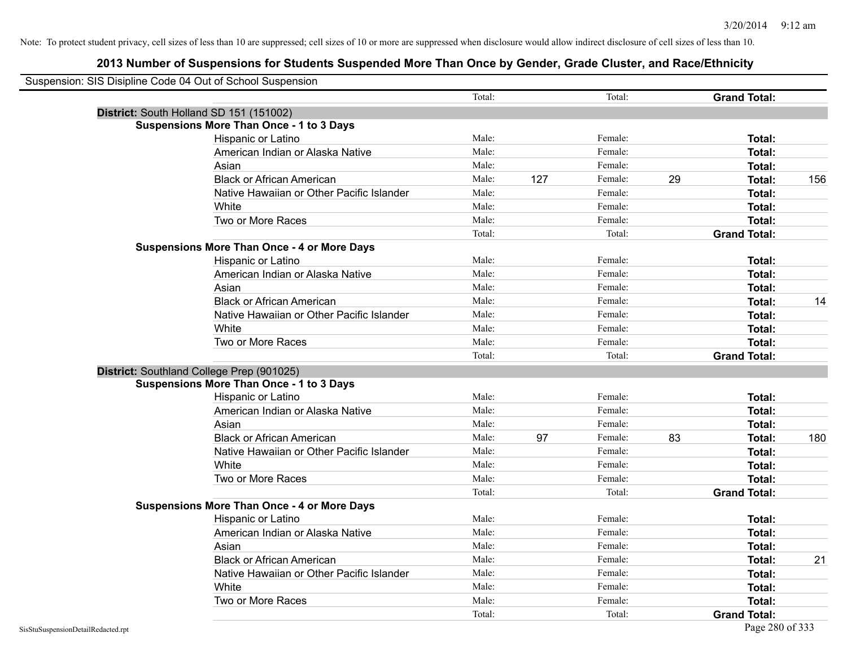|                                    | Suspension: SIS Disipline Code 04 Out of School Suspension |        |     |         |    |                     |     |
|------------------------------------|------------------------------------------------------------|--------|-----|---------|----|---------------------|-----|
|                                    |                                                            | Total: |     | Total:  |    | <b>Grand Total:</b> |     |
|                                    | District: South Holland SD 151 (151002)                    |        |     |         |    |                     |     |
|                                    | <b>Suspensions More Than Once - 1 to 3 Days</b>            |        |     |         |    |                     |     |
|                                    | Hispanic or Latino                                         | Male:  |     | Female: |    | Total:              |     |
|                                    | American Indian or Alaska Native                           | Male:  |     | Female: |    | Total:              |     |
|                                    | Asian                                                      | Male:  |     | Female: |    | Total:              |     |
|                                    | <b>Black or African American</b>                           | Male:  | 127 | Female: | 29 | Total:              | 156 |
|                                    | Native Hawaiian or Other Pacific Islander                  | Male:  |     | Female: |    | Total:              |     |
|                                    | White                                                      | Male:  |     | Female: |    | Total:              |     |
|                                    | Two or More Races                                          | Male:  |     | Female: |    | Total:              |     |
|                                    |                                                            | Total: |     | Total:  |    | <b>Grand Total:</b> |     |
|                                    | <b>Suspensions More Than Once - 4 or More Days</b>         |        |     |         |    |                     |     |
|                                    | Hispanic or Latino                                         | Male:  |     | Female: |    | Total:              |     |
|                                    | American Indian or Alaska Native                           | Male:  |     | Female: |    | Total:              |     |
|                                    | Asian                                                      | Male:  |     | Female: |    | Total:              |     |
|                                    | <b>Black or African American</b>                           | Male:  |     | Female: |    | Total:              | 14  |
|                                    | Native Hawaiian or Other Pacific Islander                  | Male:  |     | Female: |    | Total:              |     |
|                                    | White                                                      | Male:  |     | Female: |    | Total:              |     |
|                                    | Two or More Races                                          | Male:  |     | Female: |    | Total:              |     |
|                                    |                                                            | Total: |     | Total:  |    | <b>Grand Total:</b> |     |
|                                    | District: Southland College Prep (901025)                  |        |     |         |    |                     |     |
|                                    | <b>Suspensions More Than Once - 1 to 3 Days</b>            |        |     |         |    |                     |     |
|                                    | Hispanic or Latino                                         | Male:  |     | Female: |    | Total:              |     |
|                                    | American Indian or Alaska Native                           | Male:  |     | Female: |    | Total:              |     |
|                                    | Asian                                                      | Male:  |     | Female: |    | Total:              |     |
|                                    | <b>Black or African American</b>                           | Male:  | 97  | Female: | 83 | Total:              | 180 |
|                                    | Native Hawaiian or Other Pacific Islander                  | Male:  |     | Female: |    | Total:              |     |
|                                    | White                                                      | Male:  |     | Female: |    | Total:              |     |
|                                    | Two or More Races                                          | Male:  |     | Female: |    | Total:              |     |
|                                    |                                                            | Total: |     | Total:  |    | <b>Grand Total:</b> |     |
|                                    | <b>Suspensions More Than Once - 4 or More Days</b>         |        |     |         |    |                     |     |
|                                    | Hispanic or Latino                                         | Male:  |     | Female: |    | Total:              |     |
|                                    | American Indian or Alaska Native                           | Male:  |     | Female: |    | Total:              |     |
|                                    | Asian                                                      | Male:  |     | Female: |    | Total:              |     |
|                                    | <b>Black or African American</b>                           | Male:  |     | Female: |    | Total:              | 21  |
|                                    | Native Hawaiian or Other Pacific Islander                  | Male:  |     | Female: |    | Total:              |     |
|                                    | White                                                      | Male:  |     | Female: |    | Total:              |     |
|                                    | Two or More Races                                          | Male:  |     | Female: |    | Total:              |     |
|                                    |                                                            | Total: |     | Total:  |    | <b>Grand Total:</b> |     |
| SisStuSuspensionDetailRedacted.rpt |                                                            |        |     |         |    | Page 280 of 333     |     |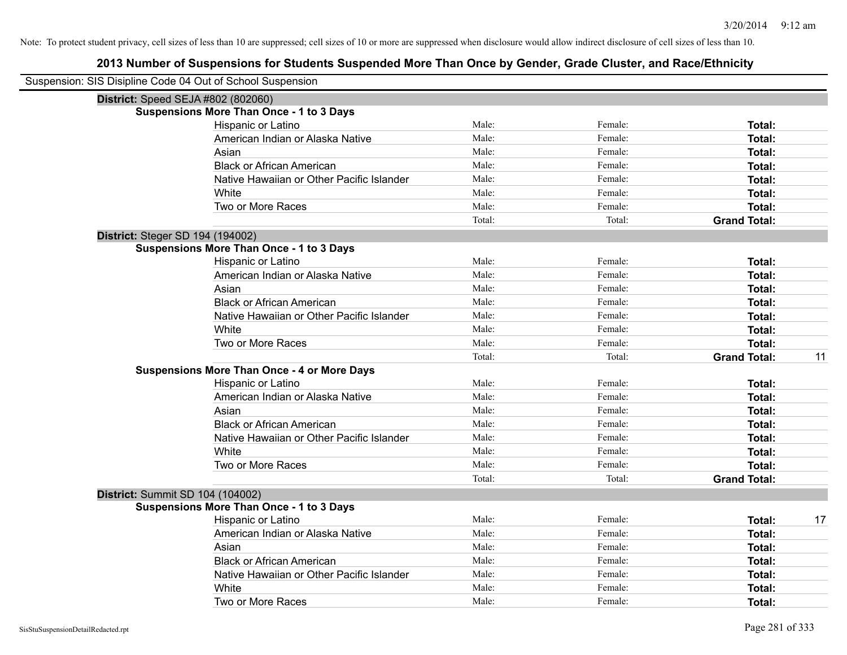| Suspension: SIS Disipline Code 04 Out of School Suspension |                                                    |        |         |                     |    |
|------------------------------------------------------------|----------------------------------------------------|--------|---------|---------------------|----|
|                                                            | District: Speed SEJA #802 (802060)                 |        |         |                     |    |
|                                                            | <b>Suspensions More Than Once - 1 to 3 Days</b>    |        |         |                     |    |
|                                                            | Hispanic or Latino                                 | Male:  | Female: | <b>Total:</b>       |    |
|                                                            | American Indian or Alaska Native                   | Male:  | Female: | <b>Total:</b>       |    |
|                                                            | Asian                                              | Male:  | Female: | Total:              |    |
|                                                            | <b>Black or African American</b>                   | Male:  | Female: | <b>Total:</b>       |    |
|                                                            | Native Hawaiian or Other Pacific Islander          | Male:  | Female: | <b>Total:</b>       |    |
|                                                            | White                                              | Male:  | Female: | <b>Total:</b>       |    |
|                                                            | Two or More Races                                  | Male:  | Female: | Total:              |    |
|                                                            |                                                    | Total: | Total:  | <b>Grand Total:</b> |    |
| <b>District: Steger SD 194 (194002)</b>                    |                                                    |        |         |                     |    |
|                                                            | <b>Suspensions More Than Once - 1 to 3 Days</b>    |        |         |                     |    |
|                                                            | Hispanic or Latino                                 | Male:  | Female: | Total:              |    |
|                                                            | American Indian or Alaska Native                   | Male:  | Female: | <b>Total:</b>       |    |
|                                                            | Asian                                              | Male:  | Female: | Total:              |    |
|                                                            | <b>Black or African American</b>                   | Male:  | Female: | <b>Total:</b>       |    |
|                                                            | Native Hawaiian or Other Pacific Islander          | Male:  | Female: | Total:              |    |
|                                                            | White                                              | Male:  | Female: | <b>Total:</b>       |    |
|                                                            | Two or More Races                                  | Male:  | Female: | <b>Total:</b>       |    |
|                                                            |                                                    | Total: | Total:  | <b>Grand Total:</b> | 11 |
|                                                            | <b>Suspensions More Than Once - 4 or More Days</b> |        |         |                     |    |
|                                                            | Hispanic or Latino                                 | Male:  | Female: | Total:              |    |
|                                                            | American Indian or Alaska Native                   | Male:  | Female: | <b>Total:</b>       |    |
|                                                            | Asian                                              | Male:  | Female: | Total:              |    |
|                                                            | <b>Black or African American</b>                   | Male:  | Female: | Total:              |    |
|                                                            | Native Hawaiian or Other Pacific Islander          | Male:  | Female: | <b>Total:</b>       |    |
|                                                            | White                                              | Male:  | Female: | <b>Total:</b>       |    |
|                                                            | Two or More Races                                  | Male:  | Female: | <b>Total:</b>       |    |
|                                                            |                                                    | Total: | Total:  | <b>Grand Total:</b> |    |
| <b>District: Summit SD 104 (104002)</b>                    |                                                    |        |         |                     |    |
|                                                            | <b>Suspensions More Than Once - 1 to 3 Days</b>    |        |         |                     |    |
|                                                            | Hispanic or Latino                                 | Male:  | Female: | Total:              | 17 |
|                                                            | American Indian or Alaska Native                   | Male:  | Female: | Total:              |    |
|                                                            | Asian                                              | Male:  | Female: | <b>Total:</b>       |    |
|                                                            | <b>Black or African American</b>                   | Male:  | Female: | Total:              |    |
|                                                            | Native Hawaiian or Other Pacific Islander          | Male:  | Female: | <b>Total:</b>       |    |
|                                                            | White                                              | Male:  | Female: | <b>Total:</b>       |    |
|                                                            | Two or More Races                                  | Male:  | Female: | Total:              |    |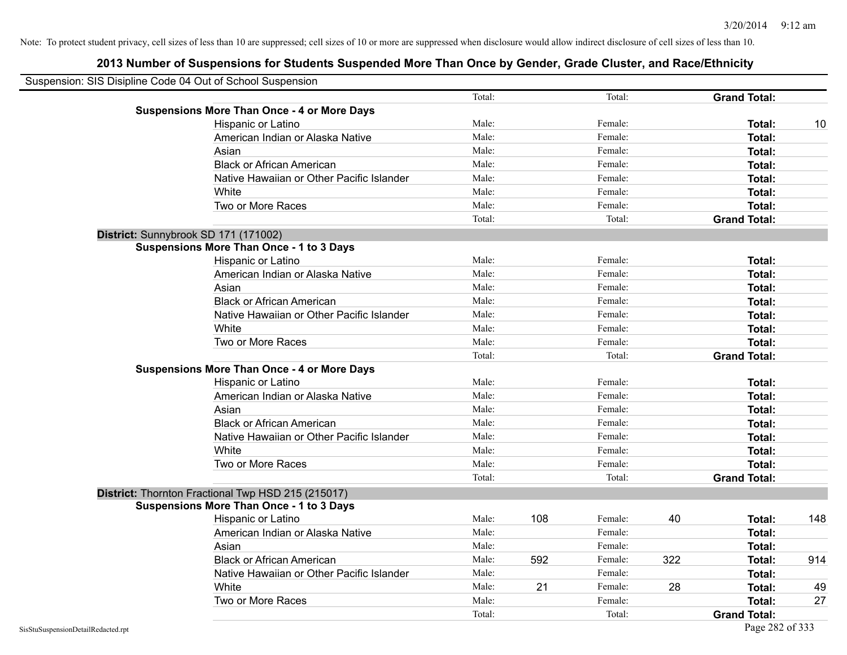| Suspension: SIS Disipline Code 04 Out of School Suspension |        |     |         |     |                     |     |
|------------------------------------------------------------|--------|-----|---------|-----|---------------------|-----|
|                                                            | Total: |     | Total:  |     | <b>Grand Total:</b> |     |
| <b>Suspensions More Than Once - 4 or More Days</b>         |        |     |         |     |                     |     |
| Hispanic or Latino                                         | Male:  |     | Female: |     | Total:              | 10  |
| American Indian or Alaska Native                           | Male:  |     | Female: |     | <b>Total:</b>       |     |
| Asian                                                      | Male:  |     | Female: |     | <b>Total:</b>       |     |
| <b>Black or African American</b>                           | Male:  |     | Female: |     | Total:              |     |
| Native Hawaiian or Other Pacific Islander                  | Male:  |     | Female: |     | <b>Total:</b>       |     |
| White                                                      | Male:  |     | Female: |     | Total:              |     |
| Two or More Races                                          | Male:  |     | Female: |     | <b>Total:</b>       |     |
|                                                            | Total: |     | Total:  |     | <b>Grand Total:</b> |     |
| District: Sunnybrook SD 171 (171002)                       |        |     |         |     |                     |     |
| <b>Suspensions More Than Once - 1 to 3 Days</b>            |        |     |         |     |                     |     |
| Hispanic or Latino                                         | Male:  |     | Female: |     | Total:              |     |
| American Indian or Alaska Native                           | Male:  |     | Female: |     | Total:              |     |
| Asian                                                      | Male:  |     | Female: |     | Total:              |     |
| <b>Black or African American</b>                           | Male:  |     | Female: |     | Total:              |     |
| Native Hawaiian or Other Pacific Islander                  | Male:  |     | Female: |     | Total:              |     |
| White                                                      | Male:  |     | Female: |     | Total:              |     |
| Two or More Races                                          | Male:  |     | Female: |     | <b>Total:</b>       |     |
|                                                            | Total: |     | Total:  |     | <b>Grand Total:</b> |     |
| <b>Suspensions More Than Once - 4 or More Days</b>         |        |     |         |     |                     |     |
| Hispanic or Latino                                         | Male:  |     | Female: |     | Total:              |     |
| American Indian or Alaska Native                           | Male:  |     | Female: |     | <b>Total:</b>       |     |
| Asian                                                      | Male:  |     | Female: |     | <b>Total:</b>       |     |
| <b>Black or African American</b>                           | Male:  |     | Female: |     | Total:              |     |
| Native Hawaiian or Other Pacific Islander                  | Male:  |     | Female: |     | Total:              |     |
| White                                                      | Male:  |     | Female: |     | Total:              |     |
| Two or More Races                                          | Male:  |     | Female: |     | Total:              |     |
|                                                            | Total: |     | Total:  |     | <b>Grand Total:</b> |     |
| District: Thornton Fractional Twp HSD 215 (215017)         |        |     |         |     |                     |     |
| <b>Suspensions More Than Once - 1 to 3 Days</b>            |        |     |         |     |                     |     |
| Hispanic or Latino                                         | Male:  | 108 | Female: | 40  | Total:              | 148 |
| American Indian or Alaska Native                           | Male:  |     | Female: |     | <b>Total:</b>       |     |
| Asian                                                      | Male:  |     | Female: |     | <b>Total:</b>       |     |
| <b>Black or African American</b>                           | Male:  | 592 | Female: | 322 | Total:              | 914 |
| Native Hawaiian or Other Pacific Islander                  | Male:  |     | Female: |     | Total:              |     |
| White                                                      | Male:  | 21  | Female: | 28  | <b>Total:</b>       | 49  |
| Two or More Races                                          | Male:  |     | Female: |     | <b>Total:</b>       | 27  |
|                                                            | Total: |     | Total:  |     | <b>Grand Total:</b> |     |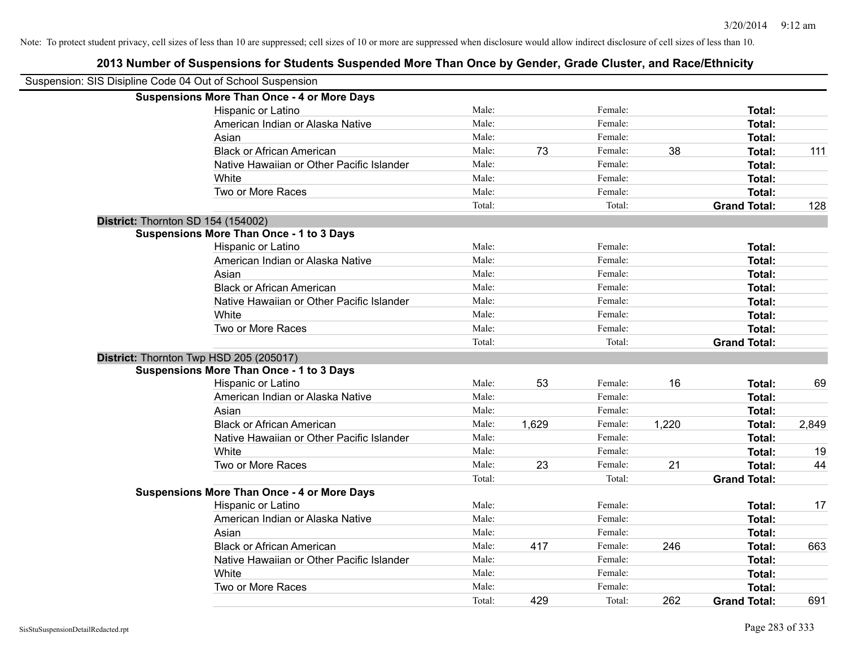| Suspension: SIS Disipline Code 04 Out of School Suspension |                                                    |        |       |         |       |                     |       |
|------------------------------------------------------------|----------------------------------------------------|--------|-------|---------|-------|---------------------|-------|
|                                                            | <b>Suspensions More Than Once - 4 or More Days</b> |        |       |         |       |                     |       |
|                                                            | Hispanic or Latino                                 | Male:  |       | Female: |       | Total:              |       |
|                                                            | American Indian or Alaska Native                   | Male:  |       | Female: |       | Total:              |       |
|                                                            | Asian                                              | Male:  |       | Female: |       | Total:              |       |
|                                                            | <b>Black or African American</b>                   | Male:  | 73    | Female: | 38    | Total:              | 111   |
|                                                            | Native Hawaiian or Other Pacific Islander          | Male:  |       | Female: |       | Total:              |       |
|                                                            | White                                              | Male:  |       | Female: |       | Total:              |       |
|                                                            | Two or More Races                                  | Male:  |       | Female: |       | Total:              |       |
|                                                            |                                                    | Total: |       | Total:  |       | <b>Grand Total:</b> | 128   |
| District: Thornton SD 154 (154002)                         |                                                    |        |       |         |       |                     |       |
|                                                            | <b>Suspensions More Than Once - 1 to 3 Days</b>    |        |       |         |       |                     |       |
|                                                            | Hispanic or Latino                                 | Male:  |       | Female: |       | Total:              |       |
|                                                            | American Indian or Alaska Native                   | Male:  |       | Female: |       | Total:              |       |
|                                                            | Asian                                              | Male:  |       | Female: |       | Total:              |       |
|                                                            | <b>Black or African American</b>                   | Male:  |       | Female: |       | Total:              |       |
|                                                            | Native Hawaiian or Other Pacific Islander          | Male:  |       | Female: |       | Total:              |       |
|                                                            | White                                              | Male:  |       | Female: |       | Total:              |       |
|                                                            | Two or More Races                                  | Male:  |       | Female: |       | Total:              |       |
|                                                            |                                                    | Total: |       | Total:  |       | <b>Grand Total:</b> |       |
|                                                            | District: Thornton Twp HSD 205 (205017)            |        |       |         |       |                     |       |
|                                                            | <b>Suspensions More Than Once - 1 to 3 Days</b>    |        |       |         |       |                     |       |
|                                                            | Hispanic or Latino                                 | Male:  | 53    | Female: | 16    | Total:              | 69    |
|                                                            | American Indian or Alaska Native                   | Male:  |       | Female: |       | Total:              |       |
|                                                            | Asian                                              | Male:  |       | Female: |       | Total:              |       |
|                                                            | <b>Black or African American</b>                   | Male:  | 1,629 | Female: | 1,220 | Total:              | 2,849 |
|                                                            | Native Hawaiian or Other Pacific Islander          | Male:  |       | Female: |       | Total:              |       |
|                                                            | White                                              | Male:  |       | Female: |       | Total:              | 19    |
|                                                            | Two or More Races                                  | Male:  | 23    | Female: | 21    | Total:              | 44    |
|                                                            |                                                    | Total: |       | Total:  |       | <b>Grand Total:</b> |       |
|                                                            | <b>Suspensions More Than Once - 4 or More Days</b> |        |       |         |       |                     |       |
|                                                            | Hispanic or Latino                                 | Male:  |       | Female: |       | Total:              | 17    |
|                                                            | American Indian or Alaska Native                   | Male:  |       | Female: |       | Total:              |       |
|                                                            | Asian                                              | Male:  |       | Female: |       | Total:              |       |
|                                                            | <b>Black or African American</b>                   | Male:  | 417   | Female: | 246   | Total:              | 663   |
|                                                            | Native Hawaiian or Other Pacific Islander          | Male:  |       | Female: |       | Total:              |       |
|                                                            | White                                              | Male:  |       | Female: |       | Total:              |       |
|                                                            | Two or More Races                                  | Male:  |       | Female: |       | Total:              |       |
|                                                            |                                                    | Total: | 429   | Total:  | 262   | <b>Grand Total:</b> | 691   |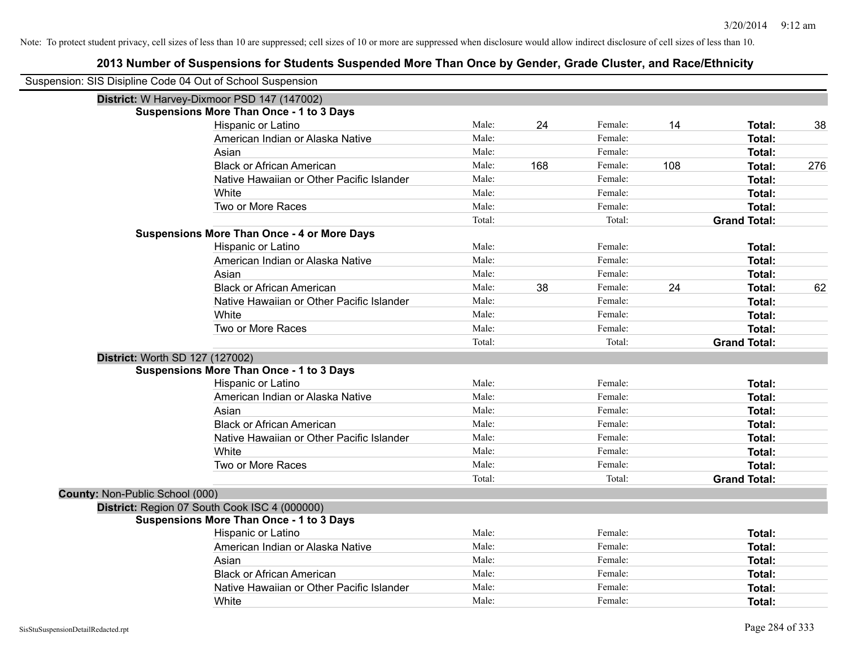| Suspension: SIS Disipline Code 04 Out of School Suspension |                                                    |        |     |         |     |                     |     |
|------------------------------------------------------------|----------------------------------------------------|--------|-----|---------|-----|---------------------|-----|
|                                                            | District: W Harvey-Dixmoor PSD 147 (147002)        |        |     |         |     |                     |     |
|                                                            | <b>Suspensions More Than Once - 1 to 3 Days</b>    |        |     |         |     |                     |     |
|                                                            | Hispanic or Latino                                 | Male:  | 24  | Female: | 14  | Total:              | 38  |
|                                                            | American Indian or Alaska Native                   | Male:  |     | Female: |     | Total:              |     |
|                                                            | Asian                                              | Male:  |     | Female: |     | Total:              |     |
|                                                            | <b>Black or African American</b>                   | Male:  | 168 | Female: | 108 | Total:              | 276 |
|                                                            | Native Hawaiian or Other Pacific Islander          | Male:  |     | Female: |     | <b>Total:</b>       |     |
|                                                            | White                                              | Male:  |     | Female: |     | Total:              |     |
|                                                            | Two or More Races                                  | Male:  |     | Female: |     | Total:              |     |
|                                                            |                                                    | Total: |     | Total:  |     | <b>Grand Total:</b> |     |
|                                                            | <b>Suspensions More Than Once - 4 or More Days</b> |        |     |         |     |                     |     |
|                                                            | Hispanic or Latino                                 | Male:  |     | Female: |     | Total:              |     |
|                                                            | American Indian or Alaska Native                   | Male:  |     | Female: |     | Total:              |     |
|                                                            | Asian                                              | Male:  |     | Female: |     | Total:              |     |
|                                                            | <b>Black or African American</b>                   | Male:  | 38  | Female: | 24  | Total:              | 62  |
|                                                            | Native Hawaiian or Other Pacific Islander          | Male:  |     | Female: |     | Total:              |     |
|                                                            | White                                              | Male:  |     | Female: |     | Total:              |     |
|                                                            | Two or More Races                                  | Male:  |     | Female: |     | Total:              |     |
|                                                            |                                                    | Total: |     | Total:  |     | <b>Grand Total:</b> |     |
| District: Worth SD 127 (127002)                            |                                                    |        |     |         |     |                     |     |
|                                                            | <b>Suspensions More Than Once - 1 to 3 Days</b>    |        |     |         |     |                     |     |
|                                                            | Hispanic or Latino                                 | Male:  |     | Female: |     | Total:              |     |
|                                                            | American Indian or Alaska Native                   | Male:  |     | Female: |     | Total:              |     |
|                                                            | Asian                                              | Male:  |     | Female: |     | Total:              |     |
|                                                            | <b>Black or African American</b>                   | Male:  |     | Female: |     | <b>Total:</b>       |     |
|                                                            | Native Hawaiian or Other Pacific Islander          | Male:  |     | Female: |     | Total:              |     |
|                                                            | White                                              | Male:  |     | Female: |     | Total:              |     |
|                                                            | Two or More Races                                  | Male:  |     | Female: |     | Total:              |     |
|                                                            |                                                    | Total: |     | Total:  |     | <b>Grand Total:</b> |     |
| County: Non-Public School (000)                            |                                                    |        |     |         |     |                     |     |
|                                                            | District: Region 07 South Cook ISC 4 (000000)      |        |     |         |     |                     |     |
|                                                            | <b>Suspensions More Than Once - 1 to 3 Days</b>    |        |     |         |     |                     |     |
|                                                            | Hispanic or Latino                                 | Male:  |     | Female: |     | Total:              |     |
|                                                            | American Indian or Alaska Native                   | Male:  |     | Female: |     | Total:              |     |
|                                                            | Asian                                              | Male:  |     | Female: |     | Total:              |     |
|                                                            | <b>Black or African American</b>                   | Male:  |     | Female: |     | Total:              |     |
|                                                            | Native Hawaiian or Other Pacific Islander          | Male:  |     | Female: |     | <b>Total:</b>       |     |
|                                                            | White                                              | Male:  |     | Female: |     | Total:              |     |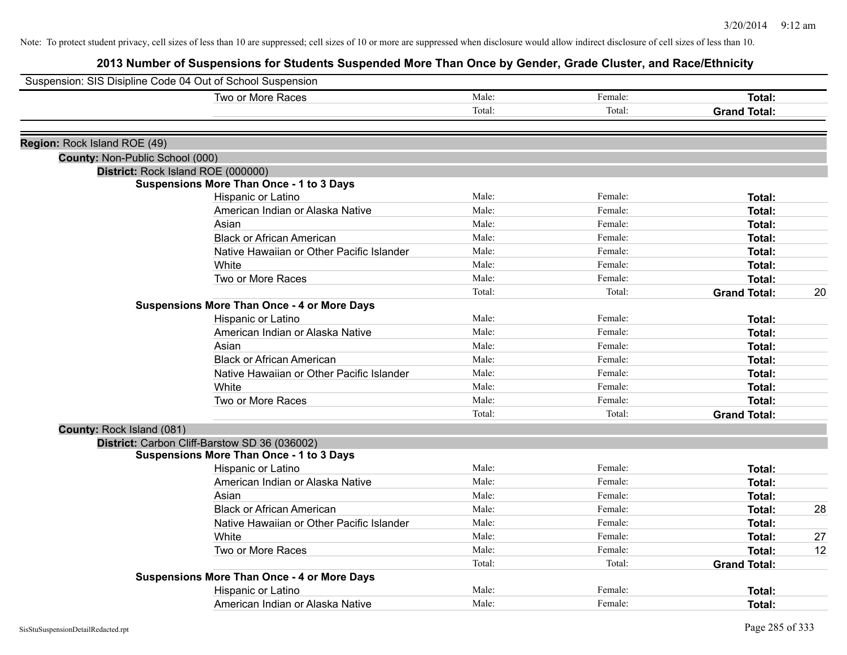|                                 | Suspension: SIS Disipline Code 04 Out of School Suspension |        |         |                     |    |
|---------------------------------|------------------------------------------------------------|--------|---------|---------------------|----|
|                                 | Two or More Races                                          | Male:  | Female: | <b>Total:</b>       |    |
|                                 |                                                            | Total: | Total:  | <b>Grand Total:</b> |    |
|                                 |                                                            |        |         |                     |    |
| Region: Rock Island ROE (49)    |                                                            |        |         |                     |    |
| County: Non-Public School (000) |                                                            |        |         |                     |    |
|                                 | District: Rock Island ROE (000000)                         |        |         |                     |    |
|                                 | <b>Suspensions More Than Once - 1 to 3 Days</b>            |        |         |                     |    |
|                                 | Hispanic or Latino                                         | Male:  | Female: | Total:              |    |
|                                 | American Indian or Alaska Native                           | Male:  | Female: | <b>Total:</b>       |    |
|                                 | Asian                                                      | Male:  | Female: | <b>Total:</b>       |    |
|                                 | <b>Black or African American</b>                           | Male:  | Female: | <b>Total:</b>       |    |
|                                 | Native Hawaiian or Other Pacific Islander                  | Male:  | Female: | Total:              |    |
|                                 | White                                                      | Male:  | Female: | <b>Total:</b>       |    |
|                                 | Two or More Races                                          | Male:  | Female: | Total:              |    |
|                                 |                                                            | Total: | Total:  | <b>Grand Total:</b> | 20 |
|                                 | <b>Suspensions More Than Once - 4 or More Days</b>         |        |         |                     |    |
|                                 | Hispanic or Latino                                         | Male:  | Female: | Total:              |    |
|                                 | American Indian or Alaska Native                           | Male:  | Female: | <b>Total:</b>       |    |
|                                 | Asian                                                      | Male:  | Female: | <b>Total:</b>       |    |
|                                 | <b>Black or African American</b>                           | Male:  | Female: | Total:              |    |
|                                 | Native Hawaiian or Other Pacific Islander                  | Male:  | Female: | Total:              |    |
|                                 | White                                                      | Male:  | Female: | Total:              |    |
|                                 | Two or More Races                                          | Male:  | Female: | <b>Total:</b>       |    |
|                                 |                                                            | Total: | Total:  | <b>Grand Total:</b> |    |
| County: Rock Island (081)       |                                                            |        |         |                     |    |
|                                 | District: Carbon Cliff-Barstow SD 36 (036002)              |        |         |                     |    |
|                                 | <b>Suspensions More Than Once - 1 to 3 Days</b>            |        |         |                     |    |
|                                 | Hispanic or Latino                                         | Male:  | Female: | <b>Total:</b>       |    |
|                                 | American Indian or Alaska Native                           | Male:  | Female: | <b>Total:</b>       |    |
|                                 | Asian                                                      | Male:  | Female: | <b>Total:</b>       |    |
|                                 | <b>Black or African American</b>                           | Male:  | Female: | <b>Total:</b>       | 28 |
|                                 | Native Hawaiian or Other Pacific Islander                  | Male:  | Female: | Total:              |    |
|                                 | White                                                      | Male:  | Female: | <b>Total:</b>       | 27 |
|                                 | Two or More Races                                          | Male:  | Female: | Total:              | 12 |
|                                 |                                                            | Total: | Total:  | <b>Grand Total:</b> |    |
|                                 | <b>Suspensions More Than Once - 4 or More Days</b>         |        |         |                     |    |
|                                 | Hispanic or Latino                                         | Male:  | Female: | <b>Total:</b>       |    |
|                                 | American Indian or Alaska Native                           | Male:  | Female: | Total:              |    |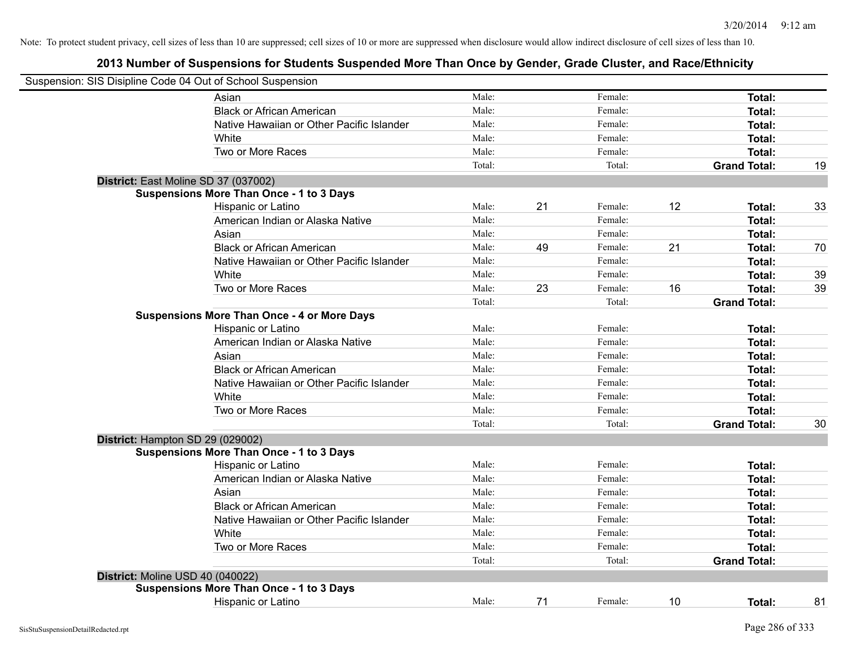| Suspension: SIS Disipline Code 04 Out of School Suspension |                                                    |        |    |         |    |                     |    |
|------------------------------------------------------------|----------------------------------------------------|--------|----|---------|----|---------------------|----|
|                                                            | Asian                                              | Male:  |    | Female: |    | Total:              |    |
|                                                            | <b>Black or African American</b>                   | Male:  |    | Female: |    | Total:              |    |
|                                                            | Native Hawaiian or Other Pacific Islander          | Male:  |    | Female: |    | Total:              |    |
|                                                            | White                                              | Male:  |    | Female: |    | Total:              |    |
|                                                            | Two or More Races                                  | Male:  |    | Female: |    | <b>Total:</b>       |    |
|                                                            |                                                    | Total: |    | Total:  |    | <b>Grand Total:</b> | 19 |
|                                                            | District: East Moline SD 37 (037002)               |        |    |         |    |                     |    |
|                                                            | <b>Suspensions More Than Once - 1 to 3 Days</b>    |        |    |         |    |                     |    |
|                                                            | Hispanic or Latino                                 | Male:  | 21 | Female: | 12 | Total:              | 33 |
|                                                            | American Indian or Alaska Native                   | Male:  |    | Female: |    | Total:              |    |
|                                                            | Asian                                              | Male:  |    | Female: |    | Total:              |    |
|                                                            | <b>Black or African American</b>                   | Male:  | 49 | Female: | 21 | Total:              | 70 |
|                                                            | Native Hawaiian or Other Pacific Islander          | Male:  |    | Female: |    | Total:              |    |
|                                                            | White                                              | Male:  |    | Female: |    | Total:              | 39 |
|                                                            | Two or More Races                                  | Male:  | 23 | Female: | 16 | <b>Total:</b>       | 39 |
|                                                            |                                                    | Total: |    | Total:  |    | <b>Grand Total:</b> |    |
|                                                            | <b>Suspensions More Than Once - 4 or More Days</b> |        |    |         |    |                     |    |
|                                                            | Hispanic or Latino                                 | Male:  |    | Female: |    | Total:              |    |
|                                                            | American Indian or Alaska Native                   | Male:  |    | Female: |    | Total:              |    |
|                                                            | Asian                                              | Male:  |    | Female: |    | Total:              |    |
|                                                            | <b>Black or African American</b>                   | Male:  |    | Female: |    | Total:              |    |
|                                                            | Native Hawaiian or Other Pacific Islander          | Male:  |    | Female: |    | Total:              |    |
|                                                            | White                                              | Male:  |    | Female: |    | Total:              |    |
|                                                            | Two or More Races                                  | Male:  |    | Female: |    | Total:              |    |
|                                                            |                                                    | Total: |    | Total:  |    | <b>Grand Total:</b> | 30 |
|                                                            | District: Hampton SD 29 (029002)                   |        |    |         |    |                     |    |
|                                                            | <b>Suspensions More Than Once - 1 to 3 Days</b>    |        |    |         |    |                     |    |
|                                                            | Hispanic or Latino                                 | Male:  |    | Female: |    | <b>Total:</b>       |    |
|                                                            | American Indian or Alaska Native                   | Male:  |    | Female: |    | Total:              |    |
|                                                            | Asian                                              | Male:  |    | Female: |    | Total:              |    |
|                                                            | <b>Black or African American</b>                   | Male:  |    | Female: |    | Total:              |    |
|                                                            | Native Hawaiian or Other Pacific Islander          | Male:  |    | Female: |    | Total:              |    |
|                                                            | White                                              | Male:  |    | Female: |    | Total:              |    |
|                                                            | Two or More Races                                  | Male:  |    | Female: |    | <b>Total:</b>       |    |
|                                                            |                                                    | Total: |    | Total:  |    | <b>Grand Total:</b> |    |
|                                                            | District: Moline USD 40 (040022)                   |        |    |         |    |                     |    |
|                                                            | Suspensions More Than Once - 1 to 3 Days           |        |    |         |    |                     |    |
|                                                            | <b>Hispanic or Latino</b>                          | Male:  | 71 | Female: | 10 | Total:              | 81 |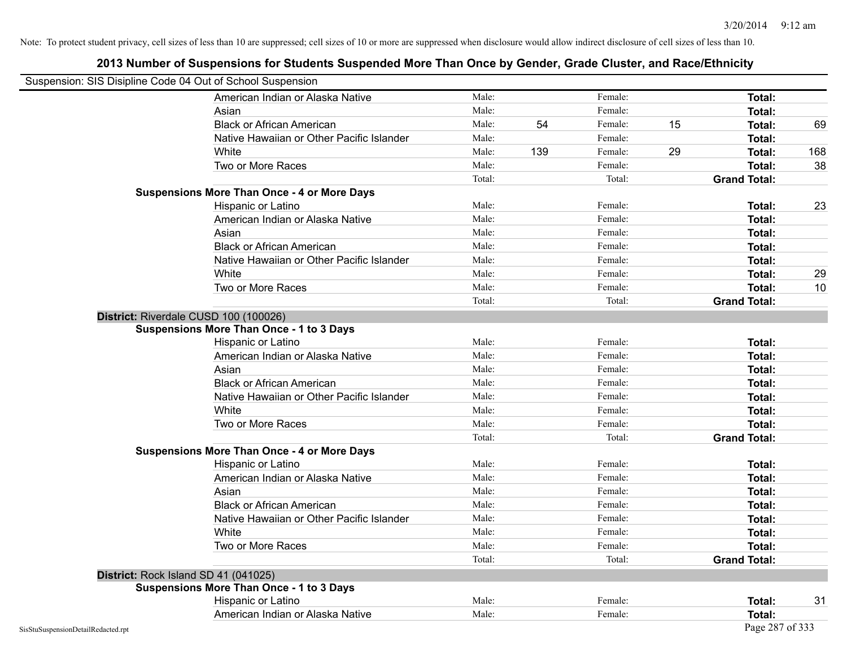| Suspension: SIS Disipline Code 04 Out of School Suspension |                                                    |        |     |         |    |                     |     |
|------------------------------------------------------------|----------------------------------------------------|--------|-----|---------|----|---------------------|-----|
|                                                            | American Indian or Alaska Native                   | Male:  |     | Female: |    | Total:              |     |
|                                                            | Asian                                              | Male:  |     | Female: |    | Total:              |     |
|                                                            | <b>Black or African American</b>                   | Male:  | 54  | Female: | 15 | Total:              | 69  |
|                                                            | Native Hawaiian or Other Pacific Islander          | Male:  |     | Female: |    | Total:              |     |
|                                                            | White                                              | Male:  | 139 | Female: | 29 | Total:              | 168 |
|                                                            | Two or More Races                                  | Male:  |     | Female: |    | Total:              | 38  |
|                                                            |                                                    | Total: |     | Total:  |    | <b>Grand Total:</b> |     |
|                                                            | <b>Suspensions More Than Once - 4 or More Days</b> |        |     |         |    |                     |     |
|                                                            | Hispanic or Latino                                 | Male:  |     | Female: |    | Total:              | 23  |
|                                                            | American Indian or Alaska Native                   | Male:  |     | Female: |    | Total:              |     |
|                                                            | Asian                                              | Male:  |     | Female: |    | Total:              |     |
|                                                            | <b>Black or African American</b>                   | Male:  |     | Female: |    | Total:              |     |
|                                                            | Native Hawaiian or Other Pacific Islander          | Male:  |     | Female: |    | Total:              |     |
|                                                            | White                                              | Male:  |     | Female: |    | Total:              | 29  |
|                                                            | Two or More Races                                  | Male:  |     | Female: |    | Total:              | 10  |
|                                                            |                                                    | Total: |     | Total:  |    | <b>Grand Total:</b> |     |
|                                                            | District: Riverdale CUSD 100 (100026)              |        |     |         |    |                     |     |
|                                                            | <b>Suspensions More Than Once - 1 to 3 Days</b>    |        |     |         |    |                     |     |
|                                                            | Hispanic or Latino                                 | Male:  |     | Female: |    | Total:              |     |
|                                                            | American Indian or Alaska Native                   | Male:  |     | Female: |    | Total:              |     |
|                                                            | Asian                                              | Male:  |     | Female: |    | Total:              |     |
|                                                            | <b>Black or African American</b>                   | Male:  |     | Female: |    | Total:              |     |
|                                                            | Native Hawaiian or Other Pacific Islander          | Male:  |     | Female: |    | Total:              |     |
|                                                            | White                                              | Male:  |     | Female: |    | Total:              |     |
|                                                            | Two or More Races                                  | Male:  |     | Female: |    | <b>Total:</b>       |     |
|                                                            |                                                    | Total: |     | Total:  |    | <b>Grand Total:</b> |     |
|                                                            | <b>Suspensions More Than Once - 4 or More Days</b> |        |     |         |    |                     |     |
|                                                            | Hispanic or Latino                                 | Male:  |     | Female: |    | Total:              |     |
|                                                            | American Indian or Alaska Native                   | Male:  |     | Female: |    | Total:              |     |
|                                                            | Asian                                              | Male:  |     | Female: |    | Total:              |     |
|                                                            | <b>Black or African American</b>                   | Male:  |     | Female: |    | Total:              |     |
|                                                            | Native Hawaiian or Other Pacific Islander          | Male:  |     | Female: |    | Total:              |     |
|                                                            | White                                              | Male:  |     | Female: |    | Total:              |     |
|                                                            | Two or More Races                                  | Male:  |     | Female: |    | Total:              |     |
|                                                            |                                                    | Total: |     | Total:  |    | <b>Grand Total:</b> |     |
|                                                            | District: Rock Island SD 41 (041025)               |        |     |         |    |                     |     |
|                                                            | <b>Suspensions More Than Once - 1 to 3 Days</b>    |        |     |         |    |                     |     |
|                                                            | Hispanic or Latino                                 | Male:  |     | Female: |    | Total:              | 31  |
|                                                            | American Indian or Alaska Native                   | Male:  |     | Female: |    | Total:              |     |
| SisStuSuspensionDetailRedacted.rpt                         |                                                    |        |     |         |    | Page 287 of 333     |     |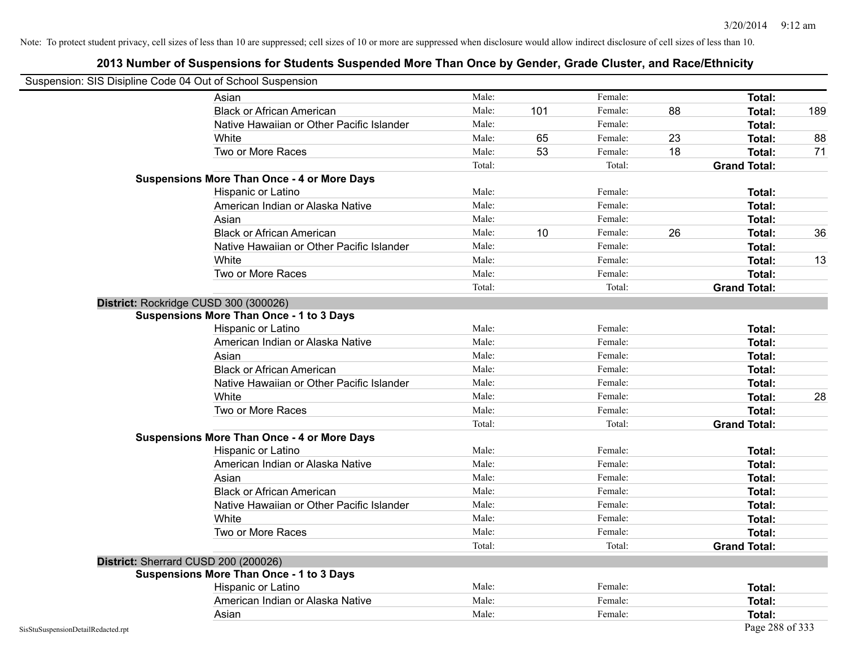| Suspension: SIS Disipline Code 04 Out of School Suspension |                                                    |        |     |         |    |                     |     |
|------------------------------------------------------------|----------------------------------------------------|--------|-----|---------|----|---------------------|-----|
|                                                            | Asian                                              | Male:  |     | Female: |    | Total:              |     |
|                                                            | <b>Black or African American</b>                   | Male:  | 101 | Female: | 88 | Total:              | 189 |
|                                                            | Native Hawaiian or Other Pacific Islander          | Male:  |     | Female: |    | Total:              |     |
|                                                            | White                                              | Male:  | 65  | Female: | 23 | Total:              | 88  |
|                                                            | Two or More Races                                  | Male:  | 53  | Female: | 18 | <b>Total:</b>       | 71  |
|                                                            |                                                    | Total: |     | Total:  |    | <b>Grand Total:</b> |     |
|                                                            | <b>Suspensions More Than Once - 4 or More Days</b> |        |     |         |    |                     |     |
|                                                            | Hispanic or Latino                                 | Male:  |     | Female: |    | Total:              |     |
|                                                            | American Indian or Alaska Native                   | Male:  |     | Female: |    | <b>Total:</b>       |     |
|                                                            | Asian                                              | Male:  |     | Female: |    | Total:              |     |
|                                                            | <b>Black or African American</b>                   | Male:  | 10  | Female: | 26 | Total:              | 36  |
|                                                            | Native Hawaiian or Other Pacific Islander          | Male:  |     | Female: |    | Total:              |     |
|                                                            | White                                              | Male:  |     | Female: |    | Total:              | 13  |
|                                                            | Two or More Races                                  | Male:  |     | Female: |    | <b>Total:</b>       |     |
|                                                            |                                                    | Total: |     | Total:  |    | <b>Grand Total:</b> |     |
|                                                            | District: Rockridge CUSD 300 (300026)              |        |     |         |    |                     |     |
|                                                            | <b>Suspensions More Than Once - 1 to 3 Days</b>    |        |     |         |    |                     |     |
|                                                            | Hispanic or Latino                                 | Male:  |     | Female: |    | <b>Total:</b>       |     |
|                                                            | American Indian or Alaska Native                   | Male:  |     | Female: |    | Total:              |     |
|                                                            | Asian                                              | Male:  |     | Female: |    | Total:              |     |
|                                                            | <b>Black or African American</b>                   | Male:  |     | Female: |    | Total:              |     |
|                                                            | Native Hawaiian or Other Pacific Islander          | Male:  |     | Female: |    | Total:              |     |
|                                                            | White                                              | Male:  |     | Female: |    | Total:              | 28  |
|                                                            | Two or More Races                                  | Male:  |     | Female: |    | <b>Total:</b>       |     |
|                                                            |                                                    | Total: |     | Total:  |    | <b>Grand Total:</b> |     |
|                                                            | <b>Suspensions More Than Once - 4 or More Days</b> |        |     |         |    |                     |     |
|                                                            | Hispanic or Latino                                 | Male:  |     | Female: |    | Total:              |     |
|                                                            | American Indian or Alaska Native                   | Male:  |     | Female: |    | Total:              |     |
|                                                            | Asian                                              | Male:  |     | Female: |    | Total:              |     |
|                                                            | <b>Black or African American</b>                   | Male:  |     | Female: |    | Total:              |     |
|                                                            | Native Hawaiian or Other Pacific Islander          | Male:  |     | Female: |    | Total:              |     |
|                                                            | White                                              | Male:  |     | Female: |    | Total:              |     |
|                                                            | Two or More Races                                  | Male:  |     | Female: |    | <b>Total:</b>       |     |
|                                                            |                                                    | Total: |     | Total:  |    | <b>Grand Total:</b> |     |
|                                                            | District: Sherrard CUSD 200 (200026)               |        |     |         |    |                     |     |
|                                                            | <b>Suspensions More Than Once - 1 to 3 Days</b>    |        |     |         |    |                     |     |
|                                                            | Hispanic or Latino                                 | Male:  |     | Female: |    | Total:              |     |
|                                                            | American Indian or Alaska Native                   | Male:  |     | Female: |    | <b>Total:</b>       |     |
|                                                            | Asian                                              | Male:  |     | Female: |    | Total:              |     |
| SisStuSuspensionDetailRedacted.rpt                         |                                                    |        |     |         |    | Page 288 of 333     |     |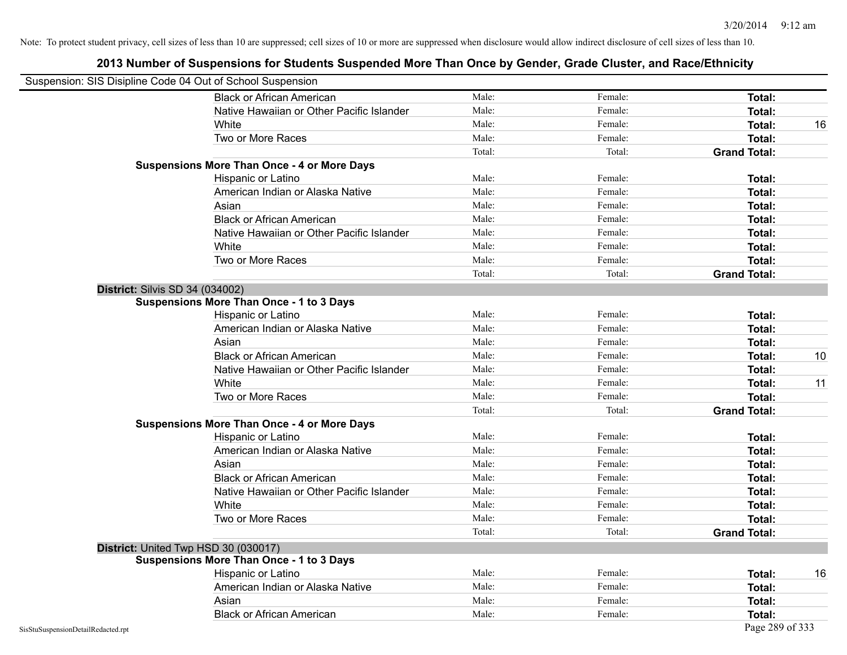| Suspension: SIS Disipline Code 04 Out of School Suspension |                                                    |        |         |                     |    |
|------------------------------------------------------------|----------------------------------------------------|--------|---------|---------------------|----|
|                                                            | <b>Black or African American</b>                   | Male:  | Female: | <b>Total:</b>       |    |
|                                                            | Native Hawaiian or Other Pacific Islander          | Male:  | Female: | <b>Total:</b>       |    |
|                                                            | White                                              | Male:  | Female: | Total:              | 16 |
|                                                            | Two or More Races                                  | Male:  | Female: | <b>Total:</b>       |    |
|                                                            |                                                    | Total: | Total:  | <b>Grand Total:</b> |    |
|                                                            | <b>Suspensions More Than Once - 4 or More Days</b> |        |         |                     |    |
|                                                            | Hispanic or Latino                                 | Male:  | Female: | Total:              |    |
|                                                            | American Indian or Alaska Native                   | Male:  | Female: | <b>Total:</b>       |    |
|                                                            | Asian                                              | Male:  | Female: | Total:              |    |
|                                                            | <b>Black or African American</b>                   | Male:  | Female: | <b>Total:</b>       |    |
|                                                            | Native Hawaiian or Other Pacific Islander          | Male:  | Female: | <b>Total:</b>       |    |
|                                                            | White                                              | Male:  | Female: | Total:              |    |
|                                                            | Two or More Races                                  | Male:  | Female: | <b>Total:</b>       |    |
|                                                            |                                                    | Total: | Total:  | <b>Grand Total:</b> |    |
| <b>District: Silvis SD 34 (034002)</b>                     |                                                    |        |         |                     |    |
|                                                            | <b>Suspensions More Than Once - 1 to 3 Days</b>    |        |         |                     |    |
|                                                            | Hispanic or Latino                                 | Male:  | Female: | <b>Total:</b>       |    |
|                                                            | American Indian or Alaska Native                   | Male:  | Female: | <b>Total:</b>       |    |
|                                                            | Asian                                              | Male:  | Female: | Total:              |    |
|                                                            | <b>Black or African American</b>                   | Male:  | Female: | Total:              | 10 |
|                                                            | Native Hawaiian or Other Pacific Islander          | Male:  | Female: | Total:              |    |
|                                                            | White                                              | Male:  | Female: | Total:              | 11 |
|                                                            | Two or More Races                                  | Male:  | Female: | <b>Total:</b>       |    |
|                                                            |                                                    | Total: | Total:  | <b>Grand Total:</b> |    |
|                                                            | <b>Suspensions More Than Once - 4 or More Days</b> |        |         |                     |    |
|                                                            | Hispanic or Latino                                 | Male:  | Female: | Total:              |    |
|                                                            | American Indian or Alaska Native                   | Male:  | Female: | <b>Total:</b>       |    |
|                                                            | Asian                                              | Male:  | Female: | Total:              |    |
|                                                            | <b>Black or African American</b>                   | Male:  | Female: | Total:              |    |
|                                                            | Native Hawaiian or Other Pacific Islander          | Male:  | Female: | Total:              |    |
|                                                            | White                                              | Male:  | Female: | Total:              |    |
|                                                            | Two or More Races                                  | Male:  | Female: | <b>Total:</b>       |    |
|                                                            |                                                    | Total: | Total:  | <b>Grand Total:</b> |    |
|                                                            | District: United Twp HSD 30 (030017)               |        |         |                     |    |
|                                                            | <b>Suspensions More Than Once - 1 to 3 Days</b>    |        |         |                     |    |
|                                                            | Hispanic or Latino                                 | Male:  | Female: | Total:              | 16 |
|                                                            | American Indian or Alaska Native                   | Male:  | Female: | <b>Total:</b>       |    |
|                                                            | Asian                                              | Male:  | Female: | Total:              |    |
|                                                            | <b>Black or African American</b>                   | Male:  | Female: | Total:              |    |
| SisStuSuspensionDetailRedacted.rpt                         |                                                    |        |         | Page 289 of 333     |    |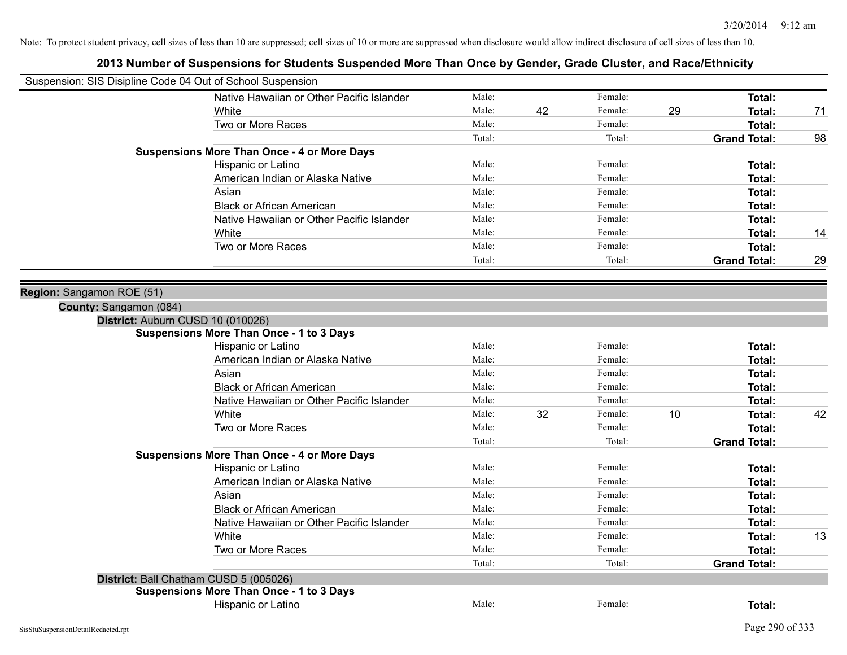| Suspension: SIS Disipline Code 04 Out of School Suspension |                                                    |        |    |         |    |                     |    |
|------------------------------------------------------------|----------------------------------------------------|--------|----|---------|----|---------------------|----|
|                                                            | Native Hawaiian or Other Pacific Islander          | Male:  |    | Female: |    | <b>Total:</b>       |    |
|                                                            | White                                              | Male:  | 42 | Female: | 29 | <b>Total:</b>       | 71 |
|                                                            | Two or More Races                                  | Male:  |    | Female: |    | <b>Total:</b>       |    |
|                                                            |                                                    | Total: |    | Total:  |    | <b>Grand Total:</b> | 98 |
|                                                            | <b>Suspensions More Than Once - 4 or More Days</b> |        |    |         |    |                     |    |
|                                                            | Hispanic or Latino                                 | Male:  |    | Female: |    | Total:              |    |
|                                                            | American Indian or Alaska Native                   | Male:  |    | Female: |    | Total:              |    |
|                                                            | Asian                                              | Male:  |    | Female: |    | Total:              |    |
|                                                            | <b>Black or African American</b>                   | Male:  |    | Female: |    | Total:              |    |
|                                                            | Native Hawaiian or Other Pacific Islander          | Male:  |    | Female: |    | Total:              |    |
|                                                            | White                                              | Male:  |    | Female: |    | Total:              | 14 |
|                                                            | Two or More Races                                  | Male:  |    | Female: |    | <b>Total:</b>       |    |
|                                                            |                                                    | Total: |    | Total:  |    | <b>Grand Total:</b> | 29 |
| Region: Sangamon ROE (51)                                  |                                                    |        |    |         |    |                     |    |
| County: Sangamon (084)                                     |                                                    |        |    |         |    |                     |    |
| District: Auburn CUSD 10 (010026)                          |                                                    |        |    |         |    |                     |    |
|                                                            | <b>Suspensions More Than Once - 1 to 3 Days</b>    |        |    |         |    |                     |    |
|                                                            | Hispanic or Latino                                 | Male:  |    | Female: |    | Total:              |    |
|                                                            | American Indian or Alaska Native                   | Male:  |    | Female: |    | Total:              |    |
|                                                            | Asian                                              | Male:  |    | Female: |    | Total:              |    |
|                                                            | <b>Black or African American</b>                   | Male:  |    | Female: |    | Total:              |    |
|                                                            | Native Hawaiian or Other Pacific Islander          | Male:  |    | Female: |    | Total:              |    |
|                                                            | White                                              | Male:  | 32 | Female: | 10 | <b>Total:</b>       | 42 |
|                                                            | Two or More Races                                  | Male:  |    | Female: |    | <b>Total:</b>       |    |
|                                                            |                                                    | Total: |    | Total:  |    | <b>Grand Total:</b> |    |
|                                                            | <b>Suspensions More Than Once - 4 or More Days</b> |        |    |         |    |                     |    |
|                                                            | Hispanic or Latino                                 | Male:  |    | Female: |    | Total:              |    |
|                                                            | American Indian or Alaska Native                   | Male:  |    | Female: |    | Total:              |    |
|                                                            | Asian                                              | Male:  |    | Female: |    | Total:              |    |
|                                                            | <b>Black or African American</b>                   | Male:  |    | Female: |    | Total:              |    |
|                                                            | Native Hawaiian or Other Pacific Islander          | Male:  |    | Female: |    | Total:              |    |
|                                                            | White                                              | Male:  |    | Female: |    | Total:              | 13 |
|                                                            | Two or More Races                                  | Male:  |    | Female: |    | <b>Total:</b>       |    |
|                                                            |                                                    | Total: |    | Total:  |    | <b>Grand Total:</b> |    |
| District: Ball Chatham CUSD 5 (005026)                     |                                                    |        |    |         |    |                     |    |
|                                                            | <b>Suspensions More Than Once - 1 to 3 Days</b>    |        |    |         |    |                     |    |
|                                                            | Hispanic or Latino                                 | Male:  |    | Female: |    | Total:              |    |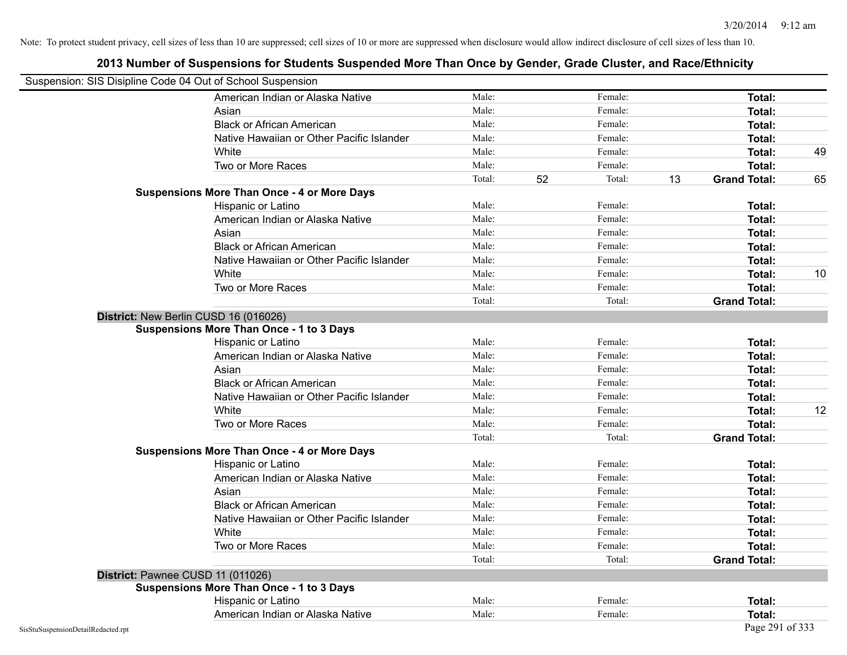| Suspension: SIS Disipline Code 04 Out of School Suspension |                                                    |        |    |         |    |                     |    |
|------------------------------------------------------------|----------------------------------------------------|--------|----|---------|----|---------------------|----|
|                                                            | American Indian or Alaska Native                   | Male:  |    | Female: |    | <b>Total:</b>       |    |
|                                                            | Asian                                              | Male:  |    | Female: |    | Total:              |    |
|                                                            | <b>Black or African American</b>                   | Male:  |    | Female: |    | Total:              |    |
|                                                            | Native Hawaiian or Other Pacific Islander          | Male:  |    | Female: |    | Total:              |    |
|                                                            | White                                              | Male:  |    | Female: |    | Total:              | 49 |
|                                                            | Two or More Races                                  | Male:  |    | Female: |    | Total:              |    |
|                                                            |                                                    | Total: | 52 | Total:  | 13 | <b>Grand Total:</b> | 65 |
|                                                            | <b>Suspensions More Than Once - 4 or More Days</b> |        |    |         |    |                     |    |
|                                                            | Hispanic or Latino                                 | Male:  |    | Female: |    | Total:              |    |
|                                                            | American Indian or Alaska Native                   | Male:  |    | Female: |    | <b>Total:</b>       |    |
|                                                            | Asian                                              | Male:  |    | Female: |    | Total:              |    |
|                                                            | <b>Black or African American</b>                   | Male:  |    | Female: |    | Total:              |    |
|                                                            | Native Hawaiian or Other Pacific Islander          | Male:  |    | Female: |    | Total:              |    |
|                                                            | White                                              | Male:  |    | Female: |    | Total:              | 10 |
|                                                            | Two or More Races                                  | Male:  |    | Female: |    | <b>Total:</b>       |    |
|                                                            |                                                    | Total: |    | Total:  |    | <b>Grand Total:</b> |    |
|                                                            | District: New Berlin CUSD 16 (016026)              |        |    |         |    |                     |    |
|                                                            | <b>Suspensions More Than Once - 1 to 3 Days</b>    |        |    |         |    |                     |    |
|                                                            | Hispanic or Latino                                 | Male:  |    | Female: |    | <b>Total:</b>       |    |
|                                                            | American Indian or Alaska Native                   | Male:  |    | Female: |    | Total:              |    |
|                                                            | Asian                                              | Male:  |    | Female: |    | Total:              |    |
|                                                            | <b>Black or African American</b>                   | Male:  |    | Female: |    | Total:              |    |
|                                                            | Native Hawaiian or Other Pacific Islander          | Male:  |    | Female: |    | Total:              |    |
|                                                            | White                                              | Male:  |    | Female: |    | Total:              | 12 |
|                                                            | Two or More Races                                  | Male:  |    | Female: |    | <b>Total:</b>       |    |
|                                                            |                                                    | Total: |    | Total:  |    | <b>Grand Total:</b> |    |
|                                                            | <b>Suspensions More Than Once - 4 or More Days</b> |        |    |         |    |                     |    |
|                                                            | Hispanic or Latino                                 | Male:  |    | Female: |    | Total:              |    |
|                                                            | American Indian or Alaska Native                   | Male:  |    | Female: |    | Total:              |    |
|                                                            | Asian                                              | Male:  |    | Female: |    | Total:              |    |
|                                                            | <b>Black or African American</b>                   | Male:  |    | Female: |    | Total:              |    |
|                                                            | Native Hawaiian or Other Pacific Islander          | Male:  |    | Female: |    | Total:              |    |
|                                                            | White                                              | Male:  |    | Female: |    | Total:              |    |
|                                                            | Two or More Races                                  | Male:  |    | Female: |    | Total:              |    |
|                                                            |                                                    | Total: |    | Total:  |    | <b>Grand Total:</b> |    |
|                                                            | District: Pawnee CUSD 11 (011026)                  |        |    |         |    |                     |    |
|                                                            | <b>Suspensions More Than Once - 1 to 3 Days</b>    |        |    |         |    |                     |    |
|                                                            | Hispanic or Latino                                 | Male:  |    | Female: |    | Total:              |    |
|                                                            | American Indian or Alaska Native                   | Male:  |    | Female: |    | Total:              |    |
| SisStuSuspensionDetailRedacted.rpt                         |                                                    |        |    |         |    | Page 291 of 333     |    |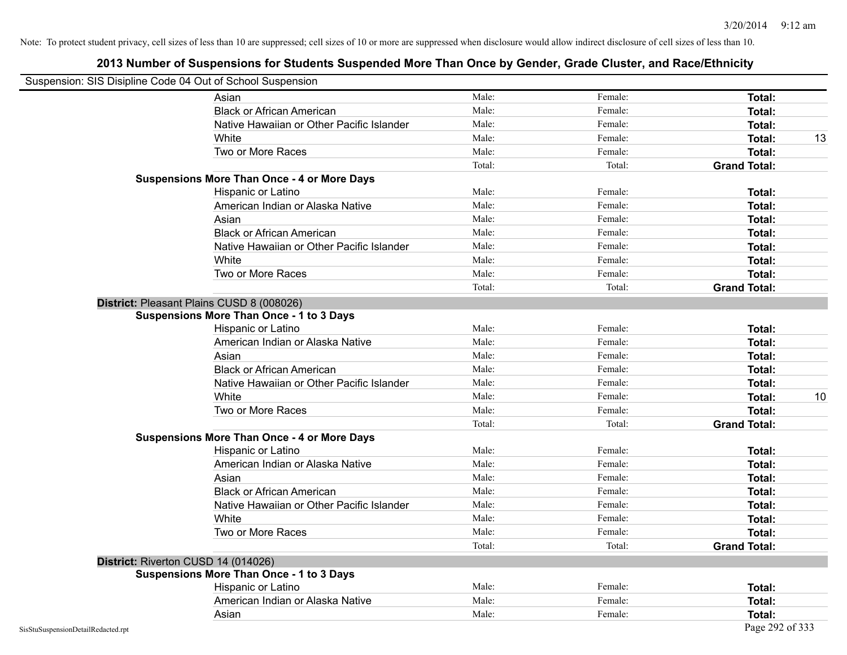| Suspension: SIS Disipline Code 04 Out of School Suspension |                                                    |        |         |                     |    |
|------------------------------------------------------------|----------------------------------------------------|--------|---------|---------------------|----|
|                                                            | Asian                                              | Male:  | Female: | Total:              |    |
|                                                            | <b>Black or African American</b>                   | Male:  | Female: | Total:              |    |
|                                                            | Native Hawaiian or Other Pacific Islander          | Male:  | Female: | Total:              |    |
|                                                            | White                                              | Male:  | Female: | Total:              | 13 |
|                                                            | Two or More Races                                  | Male:  | Female: | Total:              |    |
|                                                            |                                                    | Total: | Total:  | <b>Grand Total:</b> |    |
|                                                            | <b>Suspensions More Than Once - 4 or More Days</b> |        |         |                     |    |
|                                                            | Hispanic or Latino                                 | Male:  | Female: | Total:              |    |
|                                                            | American Indian or Alaska Native                   | Male:  | Female: | Total:              |    |
|                                                            | Asian                                              | Male:  | Female: | Total:              |    |
|                                                            | <b>Black or African American</b>                   | Male:  | Female: | Total:              |    |
|                                                            | Native Hawaiian or Other Pacific Islander          | Male:  | Female: | <b>Total:</b>       |    |
|                                                            | White                                              | Male:  | Female: | <b>Total:</b>       |    |
|                                                            | Two or More Races                                  | Male:  | Female: | <b>Total:</b>       |    |
|                                                            |                                                    | Total: | Total:  | <b>Grand Total:</b> |    |
|                                                            | District: Pleasant Plains CUSD 8 (008026)          |        |         |                     |    |
|                                                            | <b>Suspensions More Than Once - 1 to 3 Days</b>    |        |         |                     |    |
|                                                            | Hispanic or Latino                                 | Male:  | Female: | <b>Total:</b>       |    |
|                                                            | American Indian or Alaska Native                   | Male:  | Female: | <b>Total:</b>       |    |
|                                                            | Asian                                              | Male:  | Female: | Total:              |    |
|                                                            | <b>Black or African American</b>                   | Male:  | Female: | Total:              |    |
|                                                            | Native Hawaiian or Other Pacific Islander          | Male:  | Female: | Total:              |    |
|                                                            | White                                              | Male:  | Female: | Total:              | 10 |
|                                                            | Two or More Races                                  | Male:  | Female: | Total:              |    |
|                                                            |                                                    | Total: | Total:  | <b>Grand Total:</b> |    |
|                                                            | <b>Suspensions More Than Once - 4 or More Days</b> |        |         |                     |    |
|                                                            | Hispanic or Latino                                 | Male:  | Female: | Total:              |    |
|                                                            | American Indian or Alaska Native                   | Male:  | Female: | <b>Total:</b>       |    |
|                                                            | Asian                                              | Male:  | Female: | Total:              |    |
|                                                            | <b>Black or African American</b>                   | Male:  | Female: | <b>Total:</b>       |    |
|                                                            | Native Hawaiian or Other Pacific Islander          | Male:  | Female: | Total:              |    |
|                                                            | White                                              | Male:  | Female: | Total:              |    |
|                                                            | Two or More Races                                  | Male:  | Female: | Total:              |    |
|                                                            |                                                    | Total: | Total:  | <b>Grand Total:</b> |    |
|                                                            | District: Riverton CUSD 14 (014026)                |        |         |                     |    |
|                                                            | <b>Suspensions More Than Once - 1 to 3 Days</b>    |        |         |                     |    |
|                                                            | Hispanic or Latino                                 | Male:  | Female: | Total:              |    |
|                                                            | American Indian or Alaska Native                   | Male:  | Female: | Total:              |    |
|                                                            | Asian                                              | Male:  | Female: | Total:              |    |
| SisStuSuspensionDetailRedacted.rpt                         |                                                    |        |         | Page 292 of 333     |    |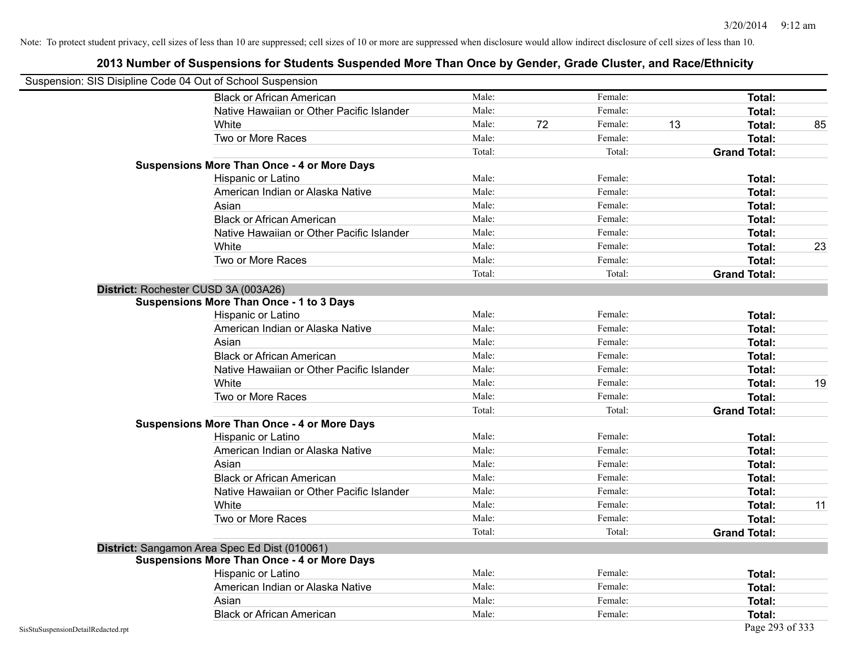|                                    | Suspension: SIS Disipline Code 04 Out of School Suspension |        |    |         |    |                     |    |
|------------------------------------|------------------------------------------------------------|--------|----|---------|----|---------------------|----|
|                                    | <b>Black or African American</b>                           | Male:  |    | Female: |    | Total:              |    |
|                                    | Native Hawaiian or Other Pacific Islander                  | Male:  |    | Female: |    | Total:              |    |
|                                    | White                                                      | Male:  | 72 | Female: | 13 | Total:              | 85 |
|                                    | Two or More Races                                          | Male:  |    | Female: |    | <b>Total:</b>       |    |
|                                    |                                                            | Total: |    | Total:  |    | <b>Grand Total:</b> |    |
|                                    | <b>Suspensions More Than Once - 4 or More Days</b>         |        |    |         |    |                     |    |
|                                    | Hispanic or Latino                                         | Male:  |    | Female: |    | Total:              |    |
|                                    | American Indian or Alaska Native                           | Male:  |    | Female: |    | Total:              |    |
|                                    | Asian                                                      | Male:  |    | Female: |    | Total:              |    |
|                                    | <b>Black or African American</b>                           | Male:  |    | Female: |    | Total:              |    |
|                                    | Native Hawaiian or Other Pacific Islander                  | Male:  |    | Female: |    | Total:              |    |
|                                    | White                                                      | Male:  |    | Female: |    | Total:              | 23 |
|                                    | Two or More Races                                          | Male:  |    | Female: |    | Total:              |    |
|                                    |                                                            | Total: |    | Total:  |    | <b>Grand Total:</b> |    |
|                                    | District: Rochester CUSD 3A (003A26)                       |        |    |         |    |                     |    |
|                                    | Suspensions More Than Once - 1 to 3 Days                   |        |    |         |    |                     |    |
|                                    | Hispanic or Latino                                         | Male:  |    | Female: |    | Total:              |    |
|                                    | American Indian or Alaska Native                           | Male:  |    | Female: |    | <b>Total:</b>       |    |
|                                    | Asian                                                      | Male:  |    | Female: |    | Total:              |    |
|                                    | <b>Black or African American</b>                           | Male:  |    | Female: |    | Total:              |    |
|                                    | Native Hawaiian or Other Pacific Islander                  | Male:  |    | Female: |    | Total:              |    |
|                                    | White                                                      | Male:  |    | Female: |    | Total:              | 19 |
|                                    | Two or More Races                                          | Male:  |    | Female: |    | <b>Total:</b>       |    |
|                                    |                                                            | Total: |    | Total:  |    | <b>Grand Total:</b> |    |
|                                    | <b>Suspensions More Than Once - 4 or More Days</b>         |        |    |         |    |                     |    |
|                                    | Hispanic or Latino                                         | Male:  |    | Female: |    | Total:              |    |
|                                    | American Indian or Alaska Native                           | Male:  |    | Female: |    | <b>Total:</b>       |    |
|                                    | Asian                                                      | Male:  |    | Female: |    | Total:              |    |
|                                    | <b>Black or African American</b>                           | Male:  |    | Female: |    | Total:              |    |
|                                    | Native Hawaiian or Other Pacific Islander                  | Male:  |    | Female: |    | Total:              |    |
|                                    | White                                                      | Male:  |    | Female: |    | Total:              | 11 |
|                                    | Two or More Races                                          | Male:  |    | Female: |    | <b>Total:</b>       |    |
|                                    |                                                            | Total: |    | Total:  |    | <b>Grand Total:</b> |    |
|                                    | District: Sangamon Area Spec Ed Dist (010061)              |        |    |         |    |                     |    |
|                                    | <b>Suspensions More Than Once - 4 or More Days</b>         |        |    |         |    |                     |    |
|                                    | Hispanic or Latino                                         | Male:  |    | Female: |    | Total:              |    |
|                                    | American Indian or Alaska Native                           | Male:  |    | Female: |    | Total:              |    |
|                                    | Asian                                                      | Male:  |    | Female: |    | Total:              |    |
|                                    | <b>Black or African American</b>                           | Male:  |    | Female: |    | Total:              |    |
| SisStuSuspensionDetailRedacted.rpt |                                                            |        |    |         |    | Page 293 of 333     |    |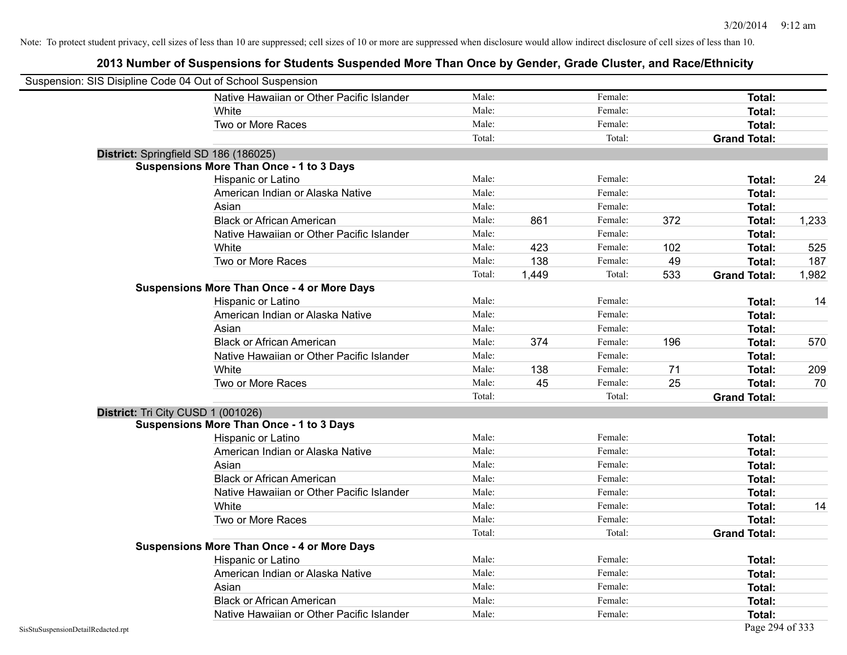| Suspension: SIS Disipline Code 04 Out of School Suspension |                                                    |        |       |         |     |                     |       |
|------------------------------------------------------------|----------------------------------------------------|--------|-------|---------|-----|---------------------|-------|
|                                                            | Native Hawaiian or Other Pacific Islander          | Male:  |       | Female: |     | Total:              |       |
|                                                            | White                                              | Male:  |       | Female: |     | Total:              |       |
|                                                            | Two or More Races                                  | Male:  |       | Female: |     | Total:              |       |
|                                                            |                                                    | Total: |       | Total:  |     | <b>Grand Total:</b> |       |
| District: Springfield SD 186 (186025)                      |                                                    |        |       |         |     |                     |       |
|                                                            | <b>Suspensions More Than Once - 1 to 3 Days</b>    |        |       |         |     |                     |       |
|                                                            | Hispanic or Latino                                 | Male:  |       | Female: |     | <b>Total:</b>       | 24    |
|                                                            | American Indian or Alaska Native                   | Male:  |       | Female: |     | <b>Total:</b>       |       |
|                                                            | Asian                                              | Male:  |       | Female: |     | <b>Total:</b>       |       |
|                                                            | <b>Black or African American</b>                   | Male:  | 861   | Female: | 372 | Total:              | 1,233 |
|                                                            | Native Hawaiian or Other Pacific Islander          | Male:  |       | Female: |     | Total:              |       |
|                                                            | White                                              | Male:  | 423   | Female: | 102 | Total:              | 525   |
|                                                            | Two or More Races                                  | Male:  | 138   | Female: | 49  | <b>Total:</b>       | 187   |
|                                                            |                                                    | Total: | 1,449 | Total:  | 533 | <b>Grand Total:</b> | 1,982 |
|                                                            | <b>Suspensions More Than Once - 4 or More Days</b> |        |       |         |     |                     |       |
|                                                            | Hispanic or Latino                                 | Male:  |       | Female: |     | Total:              | 14    |
|                                                            | American Indian or Alaska Native                   | Male:  |       | Female: |     | Total:              |       |
|                                                            | Asian                                              | Male:  |       | Female: |     | <b>Total:</b>       |       |
|                                                            | <b>Black or African American</b>                   | Male:  | 374   | Female: | 196 | Total:              | 570   |
|                                                            | Native Hawaiian or Other Pacific Islander          | Male:  |       | Female: |     | <b>Total:</b>       |       |
|                                                            | White                                              | Male:  | 138   | Female: | 71  | Total:              | 209   |
|                                                            | Two or More Races                                  | Male:  | 45    | Female: | 25  | <b>Total:</b>       | 70    |
|                                                            |                                                    | Total: |       | Total:  |     | <b>Grand Total:</b> |       |
| District: Tri City CUSD 1 (001026)                         |                                                    |        |       |         |     |                     |       |
|                                                            | <b>Suspensions More Than Once - 1 to 3 Days</b>    |        |       |         |     |                     |       |
|                                                            | Hispanic or Latino                                 | Male:  |       | Female: |     | Total:              |       |
|                                                            | American Indian or Alaska Native                   | Male:  |       | Female: |     | Total:              |       |
|                                                            | Asian                                              | Male:  |       | Female: |     | Total:              |       |
|                                                            | <b>Black or African American</b>                   | Male:  |       | Female: |     | Total:              |       |
|                                                            | Native Hawaiian or Other Pacific Islander          | Male:  |       | Female: |     | <b>Total:</b>       |       |
|                                                            | White                                              | Male:  |       | Female: |     | <b>Total:</b>       | 14    |
|                                                            | Two or More Races                                  | Male:  |       | Female: |     | <b>Total:</b>       |       |
|                                                            |                                                    | Total: |       | Total:  |     | <b>Grand Total:</b> |       |
|                                                            | <b>Suspensions More Than Once - 4 or More Days</b> |        |       |         |     |                     |       |
|                                                            | Hispanic or Latino                                 | Male:  |       | Female: |     | Total:              |       |
|                                                            | American Indian or Alaska Native                   | Male:  |       | Female: |     | <b>Total:</b>       |       |
|                                                            | Asian                                              | Male:  |       | Female: |     | Total:              |       |
|                                                            | <b>Black or African American</b>                   | Male:  |       | Female: |     | <b>Total:</b>       |       |
|                                                            | Native Hawaiian or Other Pacific Islander          | Male:  |       | Female: |     | Total:              |       |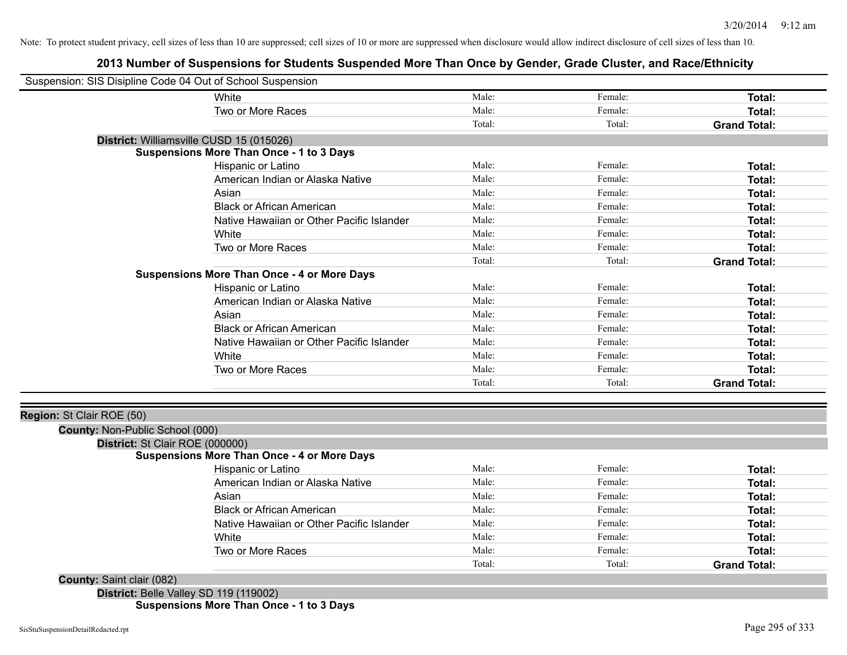# **2013 Number of Suspensions for Students Suspended More Than Once by Gender, Grade Cluster, and Race/Ethnicity**

|                                 | Suspension: SIS Disipline Code 04 Out of School Suspension |                 |                    |                               |
|---------------------------------|------------------------------------------------------------|-----------------|--------------------|-------------------------------|
|                                 | White                                                      | Male:           | Female:            | Total:                        |
|                                 | Two or More Races                                          | Male:           | Female:            | Total:                        |
|                                 |                                                            | Total:          | Total:             | <b>Grand Total:</b>           |
|                                 | District: Williamsville CUSD 15 (015026)                   |                 |                    |                               |
|                                 | <b>Suspensions More Than Once - 1 to 3 Days</b>            |                 |                    |                               |
|                                 | Hispanic or Latino                                         | Male:           | Female:            | Total:                        |
|                                 | American Indian or Alaska Native                           | Male:           | Female:            | Total:                        |
|                                 | Asian                                                      | Male:           | Female:            | Total:                        |
|                                 | <b>Black or African American</b>                           | Male:           | Female:            | Total:                        |
|                                 | Native Hawaiian or Other Pacific Islander                  | Male:           | Female:            | Total:                        |
|                                 | White                                                      | Male:           | Female:            | Total:                        |
|                                 | Two or More Races                                          | Male:           | Female:            | Total:                        |
|                                 |                                                            | Total:          | Total:             | <b>Grand Total:</b>           |
|                                 | <b>Suspensions More Than Once - 4 or More Days</b>         |                 |                    |                               |
|                                 | Hispanic or Latino                                         | Male:           | Female:            | Total:                        |
|                                 | American Indian or Alaska Native                           | Male:           | Female:            | Total:                        |
|                                 | Asian                                                      | Male:           | Female:            | Total:                        |
|                                 | <b>Black or African American</b>                           | Male:           | Female:            | Total:                        |
|                                 | Native Hawaiian or Other Pacific Islander                  | Male:           | Female:            | Total:                        |
|                                 | White                                                      | Male:           | Female:            | Total:                        |
|                                 | Two or More Races                                          | Male:           | Female:            | <b>Total:</b>                 |
|                                 |                                                            | Total:          | Total:             | <b>Grand Total:</b>           |
|                                 |                                                            |                 |                    |                               |
| Region: St Clair ROE (50)       |                                                            |                 |                    |                               |
| County: Non-Public School (000) |                                                            |                 |                    |                               |
| District: St Clair ROE (000000) |                                                            |                 |                    |                               |
|                                 | <b>Suspensions More Than Once - 4 or More Days</b>         | Male:           | Female:            |                               |
|                                 | Hispanic or Latino                                         |                 |                    | Total:                        |
|                                 | American Indian or Alaska Native                           | Male:           | Female:            | Total:                        |
|                                 | Asian                                                      | Male:           | Female:<br>Female: | Total:                        |
|                                 | <b>Black or African American</b>                           | Male:           |                    | Total:                        |
|                                 | Native Hawaiian or Other Pacific Islander                  | Male:           | Female:            | Total:                        |
|                                 | White                                                      | Male:           | Female:            | Total:                        |
|                                 | Two or More Races                                          | Male:<br>Total: | Female:<br>Total:  | Total:<br><b>Grand Total:</b> |

**District:** Belle Valley SD 119 (119002) **Suspensions More Than Once - 1 to 3 Days**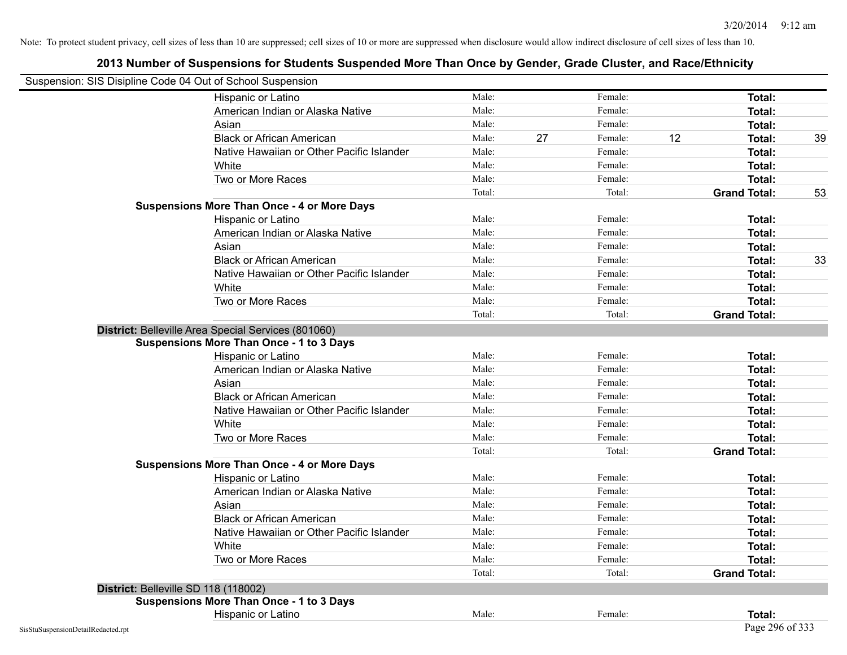| Suspension: SIS Disipline Code 04 Out of School Suspension |                                                     |        |    |         |    |                     |    |
|------------------------------------------------------------|-----------------------------------------------------|--------|----|---------|----|---------------------|----|
|                                                            | Hispanic or Latino                                  | Male:  |    | Female: |    | Total:              |    |
|                                                            | American Indian or Alaska Native                    | Male:  |    | Female: |    | Total:              |    |
|                                                            | Asian                                               | Male:  |    | Female: |    | Total:              |    |
|                                                            | <b>Black or African American</b>                    | Male:  | 27 | Female: | 12 | Total:              | 39 |
|                                                            | Native Hawaiian or Other Pacific Islander           | Male:  |    | Female: |    | Total:              |    |
|                                                            | White                                               | Male:  |    | Female: |    | <b>Total:</b>       |    |
|                                                            | Two or More Races                                   | Male:  |    | Female: |    | <b>Total:</b>       |    |
|                                                            |                                                     | Total: |    | Total:  |    | <b>Grand Total:</b> | 53 |
|                                                            | <b>Suspensions More Than Once - 4 or More Days</b>  |        |    |         |    |                     |    |
|                                                            | Hispanic or Latino                                  | Male:  |    | Female: |    | Total:              |    |
|                                                            | American Indian or Alaska Native                    | Male:  |    | Female: |    | Total:              |    |
|                                                            | Asian                                               | Male:  |    | Female: |    | Total:              |    |
|                                                            | <b>Black or African American</b>                    | Male:  |    | Female: |    | Total:              | 33 |
|                                                            | Native Hawaiian or Other Pacific Islander           | Male:  |    | Female: |    | <b>Total:</b>       |    |
|                                                            | White                                               | Male:  |    | Female: |    | Total:              |    |
|                                                            | Two or More Races                                   | Male:  |    | Female: |    | <b>Total:</b>       |    |
|                                                            |                                                     | Total: |    | Total:  |    | <b>Grand Total:</b> |    |
|                                                            | District: Belleville Area Special Services (801060) |        |    |         |    |                     |    |
|                                                            | <b>Suspensions More Than Once - 1 to 3 Days</b>     |        |    |         |    |                     |    |
|                                                            | Hispanic or Latino                                  | Male:  |    | Female: |    | Total:              |    |
|                                                            | American Indian or Alaska Native                    | Male:  |    | Female: |    | Total:              |    |
|                                                            | Asian                                               | Male:  |    | Female: |    | Total:              |    |
|                                                            | <b>Black or African American</b>                    | Male:  |    | Female: |    | Total:              |    |
|                                                            | Native Hawaiian or Other Pacific Islander           | Male:  |    | Female: |    | Total:              |    |
|                                                            | White                                               | Male:  |    | Female: |    | Total:              |    |
|                                                            | Two or More Races                                   | Male:  |    | Female: |    | Total:              |    |
|                                                            |                                                     | Total: |    | Total:  |    | <b>Grand Total:</b> |    |
|                                                            | <b>Suspensions More Than Once - 4 or More Days</b>  |        |    |         |    |                     |    |
|                                                            | Hispanic or Latino                                  | Male:  |    | Female: |    | Total:              |    |
|                                                            | American Indian or Alaska Native                    | Male:  |    | Female: |    | Total:              |    |
|                                                            | Asian                                               | Male:  |    | Female: |    | <b>Total:</b>       |    |
|                                                            | <b>Black or African American</b>                    | Male:  |    | Female: |    | Total:              |    |
|                                                            | Native Hawaiian or Other Pacific Islander           | Male:  |    | Female: |    | Total:              |    |
|                                                            | White                                               | Male:  |    | Female: |    | Total:              |    |
|                                                            | Two or More Races                                   | Male:  |    | Female: |    | Total:              |    |
|                                                            |                                                     | Total: |    | Total:  |    | <b>Grand Total:</b> |    |
|                                                            | District: Belleville SD 118 (118002)                |        |    |         |    |                     |    |
|                                                            | <b>Suspensions More Than Once - 1 to 3 Days</b>     |        |    |         |    |                     |    |
|                                                            | Hispanic or Latino                                  | Male:  |    | Female: |    | Total:              |    |
| SisStuSuspensionDetailRedacted.rpt                         |                                                     |        |    |         |    | Page 296 of 333     |    |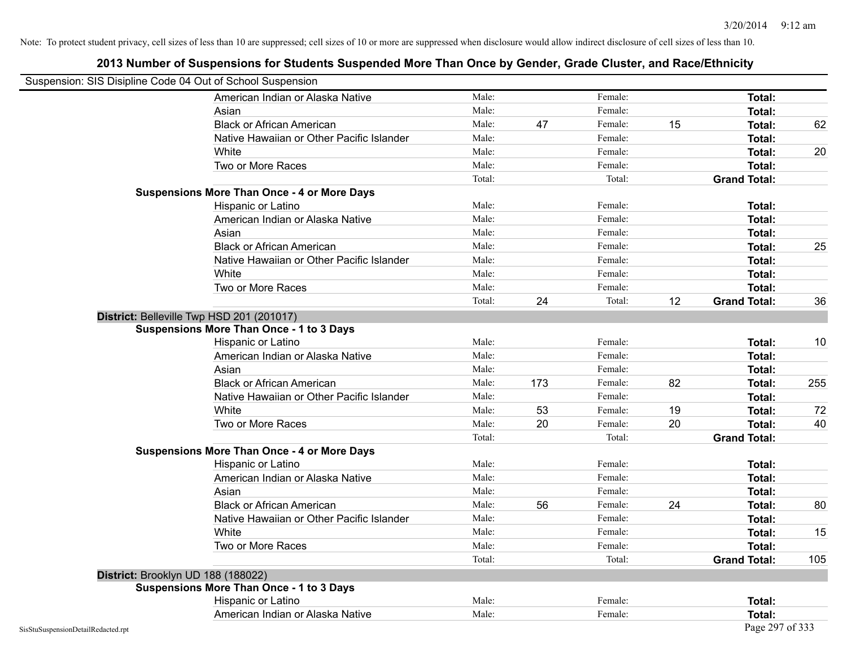| Suspension: SIS Disipline Code 04 Out of School Suspension |                                                    |        |     |         |    |                     |     |
|------------------------------------------------------------|----------------------------------------------------|--------|-----|---------|----|---------------------|-----|
|                                                            | American Indian or Alaska Native                   | Male:  |     | Female: |    | Total:              |     |
|                                                            | Asian                                              | Male:  |     | Female: |    | Total:              |     |
|                                                            | <b>Black or African American</b>                   | Male:  | 47  | Female: | 15 | Total:              | 62  |
|                                                            | Native Hawaiian or Other Pacific Islander          | Male:  |     | Female: |    | Total:              |     |
|                                                            | White                                              | Male:  |     | Female: |    | Total:              | 20  |
|                                                            | Two or More Races                                  | Male:  |     | Female: |    | <b>Total:</b>       |     |
|                                                            |                                                    | Total: |     | Total:  |    | <b>Grand Total:</b> |     |
|                                                            | <b>Suspensions More Than Once - 4 or More Days</b> |        |     |         |    |                     |     |
|                                                            | Hispanic or Latino                                 | Male:  |     | Female: |    | Total:              |     |
|                                                            | American Indian or Alaska Native                   | Male:  |     | Female: |    | <b>Total:</b>       |     |
|                                                            | Asian                                              | Male:  |     | Female: |    | Total:              |     |
|                                                            | <b>Black or African American</b>                   | Male:  |     | Female: |    | Total:              | 25  |
|                                                            | Native Hawaiian or Other Pacific Islander          | Male:  |     | Female: |    | Total:              |     |
|                                                            | White                                              | Male:  |     | Female: |    | Total:              |     |
|                                                            | Two or More Races                                  | Male:  |     | Female: |    | Total:              |     |
|                                                            |                                                    | Total: | 24  | Total:  | 12 | <b>Grand Total:</b> | 36  |
|                                                            | District: Belleville Twp HSD 201 (201017)          |        |     |         |    |                     |     |
|                                                            | <b>Suspensions More Than Once - 1 to 3 Days</b>    |        |     |         |    |                     |     |
|                                                            | Hispanic or Latino                                 | Male:  |     | Female: |    | Total:              | 10  |
|                                                            | American Indian or Alaska Native                   | Male:  |     | Female: |    | Total:              |     |
|                                                            | Asian                                              | Male:  |     | Female: |    | Total:              |     |
|                                                            | <b>Black or African American</b>                   | Male:  | 173 | Female: | 82 | Total:              | 255 |
|                                                            | Native Hawaiian or Other Pacific Islander          | Male:  |     | Female: |    | Total:              |     |
|                                                            | White                                              | Male:  | 53  | Female: | 19 | Total:              | 72  |
|                                                            | Two or More Races                                  | Male:  | 20  | Female: | 20 | <b>Total:</b>       | 40  |
|                                                            |                                                    | Total: |     | Total:  |    | <b>Grand Total:</b> |     |
|                                                            | <b>Suspensions More Than Once - 4 or More Days</b> |        |     |         |    |                     |     |
|                                                            | Hispanic or Latino                                 | Male:  |     | Female: |    | Total:              |     |
|                                                            | American Indian or Alaska Native                   | Male:  |     | Female: |    | Total:              |     |
|                                                            | Asian                                              | Male:  |     | Female: |    | Total:              |     |
|                                                            | <b>Black or African American</b>                   | Male:  | 56  | Female: | 24 | Total:              | 80  |
|                                                            | Native Hawaiian or Other Pacific Islander          | Male:  |     | Female: |    | <b>Total:</b>       |     |
|                                                            | White                                              | Male:  |     | Female: |    | <b>Total:</b>       | 15  |
|                                                            | Two or More Races                                  | Male:  |     | Female: |    | Total:              |     |
|                                                            |                                                    | Total: |     | Total:  |    | <b>Grand Total:</b> | 105 |
|                                                            | District: Brooklyn UD 188 (188022)                 |        |     |         |    |                     |     |
|                                                            | <b>Suspensions More Than Once - 1 to 3 Days</b>    |        |     |         |    |                     |     |
|                                                            | Hispanic or Latino                                 | Male:  |     | Female: |    | Total:              |     |
|                                                            | American Indian or Alaska Native                   | Male:  |     | Female: |    | Total:              |     |
| SisStuSuspensionDetailRedacted.rpt                         |                                                    |        |     |         |    | Page 297 of 333     |     |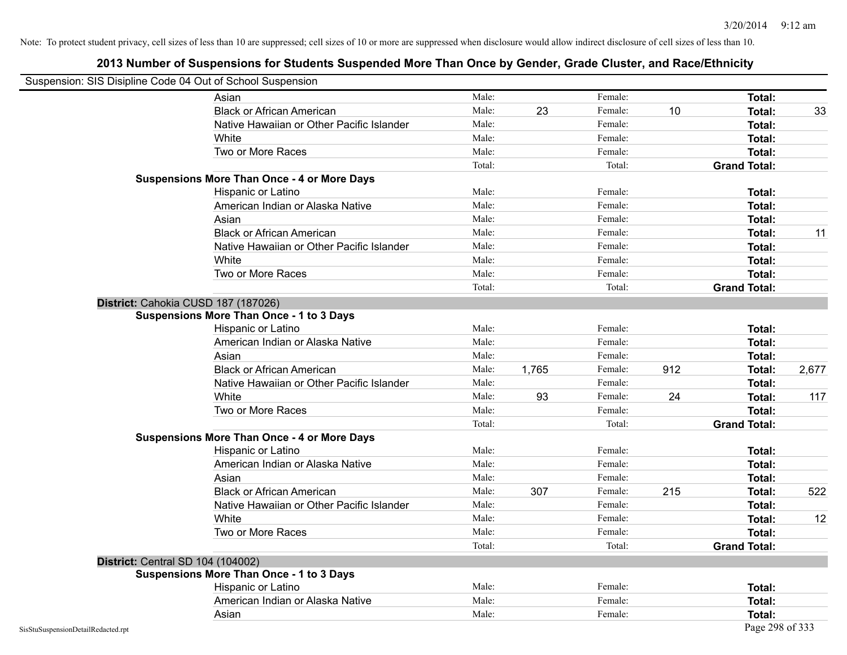|                                    | Suspension: SIS Disipline Code 04 Out of School Suspension |        |       |         |     |                     |       |
|------------------------------------|------------------------------------------------------------|--------|-------|---------|-----|---------------------|-------|
|                                    | Asian                                                      | Male:  |       | Female: |     | Total:              |       |
|                                    | <b>Black or African American</b>                           | Male:  | 23    | Female: | 10  | Total:              | 33    |
|                                    | Native Hawaiian or Other Pacific Islander                  | Male:  |       | Female: |     | Total:              |       |
|                                    | White                                                      | Male:  |       | Female: |     | Total:              |       |
|                                    | Two or More Races                                          | Male:  |       | Female: |     | Total:              |       |
|                                    |                                                            | Total: |       | Total:  |     | <b>Grand Total:</b> |       |
|                                    | <b>Suspensions More Than Once - 4 or More Days</b>         |        |       |         |     |                     |       |
|                                    | Hispanic or Latino                                         | Male:  |       | Female: |     | Total:              |       |
|                                    | American Indian or Alaska Native                           | Male:  |       | Female: |     | Total:              |       |
|                                    | Asian                                                      | Male:  |       | Female: |     | Total:              |       |
|                                    | <b>Black or African American</b>                           | Male:  |       | Female: |     | Total:              | 11    |
|                                    | Native Hawaiian or Other Pacific Islander                  | Male:  |       | Female: |     | Total:              |       |
|                                    | White                                                      | Male:  |       | Female: |     | Total:              |       |
|                                    | Two or More Races                                          | Male:  |       | Female: |     | Total:              |       |
|                                    |                                                            | Total: |       | Total:  |     | <b>Grand Total:</b> |       |
|                                    | District: Cahokia CUSD 187 (187026)                        |        |       |         |     |                     |       |
|                                    | <b>Suspensions More Than Once - 1 to 3 Days</b>            |        |       |         |     |                     |       |
|                                    | Hispanic or Latino                                         | Male:  |       | Female: |     | Total:              |       |
|                                    | American Indian or Alaska Native                           | Male:  |       | Female: |     | Total:              |       |
|                                    | Asian                                                      | Male:  |       | Female: |     | Total:              |       |
|                                    | <b>Black or African American</b>                           | Male:  | 1,765 | Female: | 912 | Total:              | 2,677 |
|                                    | Native Hawaiian or Other Pacific Islander                  | Male:  |       | Female: |     | Total:              |       |
|                                    | White                                                      | Male:  | 93    | Female: | 24  | Total:              | 117   |
|                                    | Two or More Races                                          | Male:  |       | Female: |     | <b>Total:</b>       |       |
|                                    |                                                            | Total: |       | Total:  |     | <b>Grand Total:</b> |       |
|                                    | <b>Suspensions More Than Once - 4 or More Days</b>         |        |       |         |     |                     |       |
|                                    | Hispanic or Latino                                         | Male:  |       | Female: |     | Total:              |       |
|                                    | American Indian or Alaska Native                           | Male:  |       | Female: |     | Total:              |       |
|                                    | Asian                                                      | Male:  |       | Female: |     | Total:              |       |
|                                    | <b>Black or African American</b>                           | Male:  | 307   | Female: | 215 | Total:              | 522   |
|                                    | Native Hawaiian or Other Pacific Islander                  | Male:  |       | Female: |     | Total:              |       |
|                                    | White                                                      | Male:  |       | Female: |     | Total:              | 12    |
|                                    | Two or More Races                                          | Male:  |       | Female: |     | Total:              |       |
|                                    |                                                            | Total: |       | Total:  |     | <b>Grand Total:</b> |       |
|                                    | <b>District: Central SD 104 (104002)</b>                   |        |       |         |     |                     |       |
|                                    | <b>Suspensions More Than Once - 1 to 3 Days</b>            |        |       |         |     |                     |       |
|                                    | Hispanic or Latino                                         | Male:  |       | Female: |     | Total:              |       |
|                                    | American Indian or Alaska Native                           | Male:  |       | Female: |     | Total:              |       |
|                                    | Asian                                                      | Male:  |       | Female: |     | <b>Total:</b>       |       |
| SisStuSuspensionDetailRedacted.rpt |                                                            |        |       |         |     | Page 298 of 333     |       |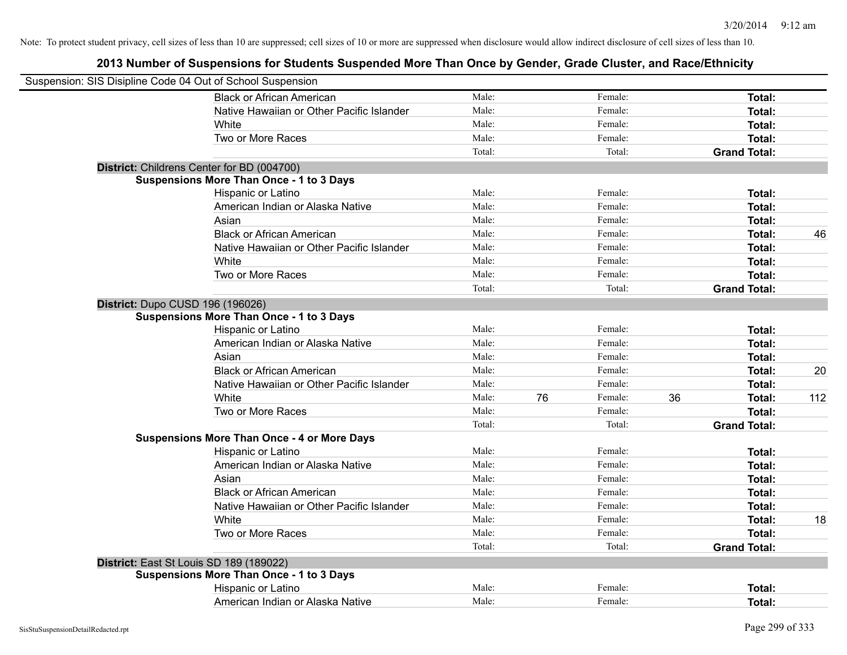| Suspension: SIS Disipline Code 04 Out of School Suspension |                                                    |        |    |         |    |                     |     |
|------------------------------------------------------------|----------------------------------------------------|--------|----|---------|----|---------------------|-----|
|                                                            | <b>Black or African American</b>                   | Male:  |    | Female: |    | Total:              |     |
|                                                            | Native Hawaiian or Other Pacific Islander          | Male:  |    | Female: |    | Total:              |     |
|                                                            | White                                              | Male:  |    | Female: |    | Total:              |     |
|                                                            | Two or More Races                                  | Male:  |    | Female: |    | Total:              |     |
|                                                            |                                                    | Total: |    | Total:  |    | <b>Grand Total:</b> |     |
|                                                            | District: Childrens Center for BD (004700)         |        |    |         |    |                     |     |
|                                                            | <b>Suspensions More Than Once - 1 to 3 Days</b>    |        |    |         |    |                     |     |
|                                                            | Hispanic or Latino                                 | Male:  |    | Female: |    | Total:              |     |
|                                                            | American Indian or Alaska Native                   | Male:  |    | Female: |    | Total:              |     |
|                                                            | Asian                                              | Male:  |    | Female: |    | Total:              |     |
|                                                            | <b>Black or African American</b>                   | Male:  |    | Female: |    | Total:              | 46  |
|                                                            | Native Hawaiian or Other Pacific Islander          | Male:  |    | Female: |    | Total:              |     |
|                                                            | White                                              | Male:  |    | Female: |    | Total:              |     |
|                                                            | Two or More Races                                  | Male:  |    | Female: |    | Total:              |     |
|                                                            |                                                    | Total: |    | Total:  |    | <b>Grand Total:</b> |     |
| District: Dupo CUSD 196 (196026)                           |                                                    |        |    |         |    |                     |     |
|                                                            | <b>Suspensions More Than Once - 1 to 3 Days</b>    |        |    |         |    |                     |     |
|                                                            | Hispanic or Latino                                 | Male:  |    | Female: |    | Total:              |     |
|                                                            | American Indian or Alaska Native                   | Male:  |    | Female: |    | Total:              |     |
|                                                            | Asian                                              | Male:  |    | Female: |    | Total:              |     |
|                                                            | <b>Black or African American</b>                   | Male:  |    | Female: |    | Total:              | 20  |
|                                                            | Native Hawaiian or Other Pacific Islander          | Male:  |    | Female: |    | Total:              |     |
|                                                            | White                                              | Male:  | 76 | Female: | 36 | <b>Total:</b>       | 112 |
|                                                            | Two or More Races                                  | Male:  |    | Female: |    | Total:              |     |
|                                                            |                                                    | Total: |    | Total:  |    | <b>Grand Total:</b> |     |
|                                                            | <b>Suspensions More Than Once - 4 or More Days</b> |        |    |         |    |                     |     |
|                                                            | Hispanic or Latino                                 | Male:  |    | Female: |    | Total:              |     |
|                                                            | American Indian or Alaska Native                   | Male:  |    | Female: |    | Total:              |     |
|                                                            | Asian                                              | Male:  |    | Female: |    | Total:              |     |
|                                                            | <b>Black or African American</b>                   | Male:  |    | Female: |    | Total:              |     |
|                                                            | Native Hawaiian or Other Pacific Islander          | Male:  |    | Female: |    | Total:              |     |
|                                                            | White                                              | Male:  |    | Female: |    | Total:              | 18  |
|                                                            | Two or More Races                                  | Male:  |    | Female: |    | Total:              |     |
|                                                            |                                                    | Total: |    | Total:  |    | <b>Grand Total:</b> |     |
|                                                            | District: East St Louis SD 189 (189022)            |        |    |         |    |                     |     |
|                                                            | <b>Suspensions More Than Once - 1 to 3 Days</b>    |        |    |         |    |                     |     |
|                                                            | Hispanic or Latino                                 | Male:  |    | Female: |    | Total:              |     |
|                                                            | American Indian or Alaska Native                   | Male:  |    | Female: |    | Total:              |     |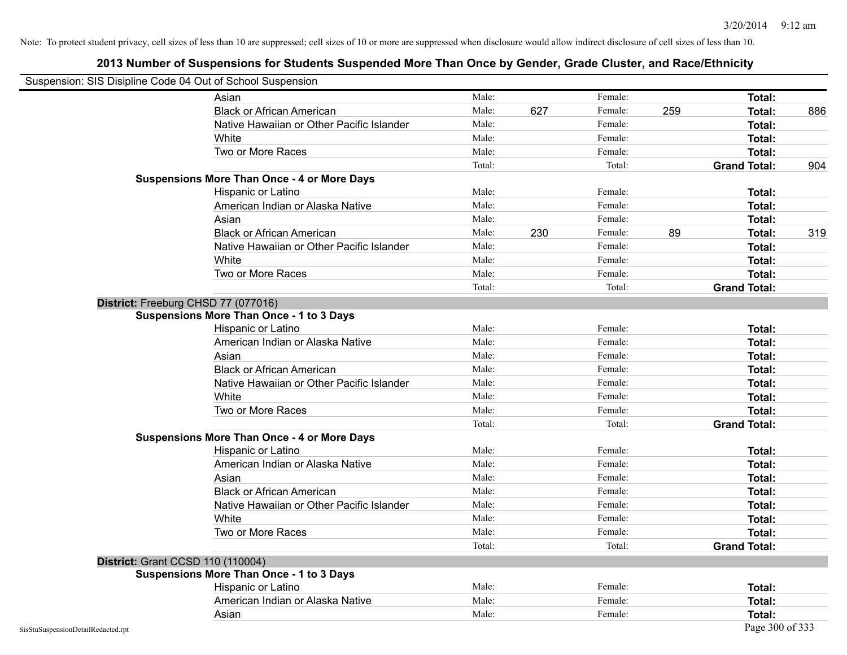| Suspension: SIS Disipline Code 04 Out of School Suspension |                                                    |        |     |         |     |                     |     |
|------------------------------------------------------------|----------------------------------------------------|--------|-----|---------|-----|---------------------|-----|
|                                                            | Asian                                              | Male:  |     | Female: |     | Total:              |     |
|                                                            | <b>Black or African American</b>                   | Male:  | 627 | Female: | 259 | Total:              | 886 |
|                                                            | Native Hawaiian or Other Pacific Islander          | Male:  |     | Female: |     | Total:              |     |
|                                                            | White                                              | Male:  |     | Female: |     | Total:              |     |
|                                                            | Two or More Races                                  | Male:  |     | Female: |     | Total:              |     |
|                                                            |                                                    | Total: |     | Total:  |     | <b>Grand Total:</b> | 904 |
|                                                            | <b>Suspensions More Than Once - 4 or More Days</b> |        |     |         |     |                     |     |
|                                                            | Hispanic or Latino                                 | Male:  |     | Female: |     | Total:              |     |
|                                                            | American Indian or Alaska Native                   | Male:  |     | Female: |     | Total:              |     |
|                                                            | Asian                                              | Male:  |     | Female: |     | Total:              |     |
|                                                            | <b>Black or African American</b>                   | Male:  | 230 | Female: | 89  | Total:              | 319 |
|                                                            | Native Hawaiian or Other Pacific Islander          | Male:  |     | Female: |     | Total:              |     |
|                                                            | White                                              | Male:  |     | Female: |     | Total:              |     |
|                                                            | Two or More Races                                  | Male:  |     | Female: |     | Total:              |     |
|                                                            |                                                    | Total: |     | Total:  |     | <b>Grand Total:</b> |     |
|                                                            | District: Freeburg CHSD 77 (077016)                |        |     |         |     |                     |     |
|                                                            | <b>Suspensions More Than Once - 1 to 3 Days</b>    |        |     |         |     |                     |     |
|                                                            | Hispanic or Latino                                 | Male:  |     | Female: |     | Total:              |     |
|                                                            | American Indian or Alaska Native                   | Male:  |     | Female: |     | Total:              |     |
|                                                            | Asian                                              | Male:  |     | Female: |     | Total:              |     |
|                                                            | <b>Black or African American</b>                   | Male:  |     | Female: |     | Total:              |     |
|                                                            | Native Hawaiian or Other Pacific Islander          | Male:  |     | Female: |     | Total:              |     |
|                                                            | White                                              | Male:  |     | Female: |     | <b>Total:</b>       |     |
|                                                            | Two or More Races                                  | Male:  |     | Female: |     | <b>Total:</b>       |     |
|                                                            |                                                    | Total: |     | Total:  |     | <b>Grand Total:</b> |     |
|                                                            | <b>Suspensions More Than Once - 4 or More Days</b> |        |     |         |     |                     |     |
|                                                            | Hispanic or Latino                                 | Male:  |     | Female: |     | Total:              |     |
|                                                            | American Indian or Alaska Native                   | Male:  |     | Female: |     | <b>Total:</b>       |     |
|                                                            | Asian                                              | Male:  |     | Female: |     | Total:              |     |
|                                                            | <b>Black or African American</b>                   | Male:  |     | Female: |     | Total:              |     |
|                                                            | Native Hawaiian or Other Pacific Islander          | Male:  |     | Female: |     | Total:              |     |
|                                                            | White                                              | Male:  |     | Female: |     | Total:              |     |
|                                                            | Two or More Races                                  | Male:  |     | Female: |     | <b>Total:</b>       |     |
|                                                            |                                                    | Total: |     | Total:  |     | <b>Grand Total:</b> |     |
|                                                            | District: Grant CCSD 110 (110004)                  |        |     |         |     |                     |     |
|                                                            | <b>Suspensions More Than Once - 1 to 3 Days</b>    |        |     |         |     |                     |     |
|                                                            | Hispanic or Latino                                 | Male:  |     | Female: |     | Total:              |     |
|                                                            | American Indian or Alaska Native                   | Male:  |     | Female: |     | Total:              |     |
|                                                            | Asian                                              | Male:  |     | Female: |     | Total:              |     |
| SisStuSuspensionDetailRedacted.rpt                         |                                                    |        |     |         |     | Page 300 of 333     |     |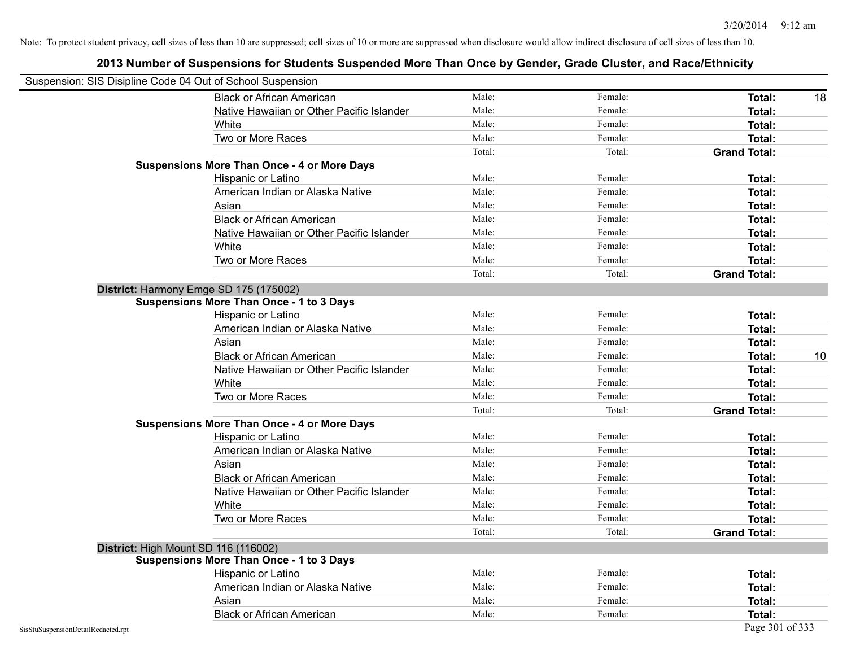| Suspension: SIS Disipline Code 04 Out of School Suspension |                                                    |        |         |                     |
|------------------------------------------------------------|----------------------------------------------------|--------|---------|---------------------|
|                                                            | <b>Black or African American</b>                   | Male:  | Female: | Total:<br>18        |
|                                                            | Native Hawaiian or Other Pacific Islander          | Male:  | Female: | Total:              |
|                                                            | White                                              | Male:  | Female: | Total:              |
|                                                            | Two or More Races                                  | Male:  | Female: | Total:              |
|                                                            |                                                    | Total: | Total:  | <b>Grand Total:</b> |
|                                                            | <b>Suspensions More Than Once - 4 or More Days</b> |        |         |                     |
|                                                            | Hispanic or Latino                                 | Male:  | Female: | Total:              |
|                                                            | American Indian or Alaska Native                   | Male:  | Female: | Total:              |
|                                                            | Asian                                              | Male:  | Female: | Total:              |
|                                                            | <b>Black or African American</b>                   | Male:  | Female: | Total:              |
|                                                            | Native Hawaiian or Other Pacific Islander          | Male:  | Female: | Total:              |
|                                                            | White                                              | Male:  | Female: | Total:              |
|                                                            | Two or More Races                                  | Male:  | Female: | Total:              |
|                                                            |                                                    | Total: | Total:  | <b>Grand Total:</b> |
|                                                            | District: Harmony Emge SD 175 (175002)             |        |         |                     |
|                                                            | <b>Suspensions More Than Once - 1 to 3 Days</b>    |        |         |                     |
|                                                            | Hispanic or Latino                                 | Male:  | Female: | Total:              |
|                                                            | American Indian or Alaska Native                   | Male:  | Female: | <b>Total:</b>       |
|                                                            | Asian                                              | Male:  | Female: | Total:              |
|                                                            | <b>Black or African American</b>                   | Male:  | Female: | 10<br>Total:        |
|                                                            | Native Hawaiian or Other Pacific Islander          | Male:  | Female: | Total:              |
|                                                            | White                                              | Male:  | Female: | Total:              |
|                                                            | Two or More Races                                  | Male:  | Female: | Total:              |
|                                                            |                                                    | Total: | Total:  | <b>Grand Total:</b> |
|                                                            | <b>Suspensions More Than Once - 4 or More Days</b> |        |         |                     |
|                                                            | Hispanic or Latino                                 | Male:  | Female: | Total:              |
|                                                            | American Indian or Alaska Native                   | Male:  | Female: | <b>Total:</b>       |
|                                                            | Asian                                              | Male:  | Female: | Total:              |
|                                                            | <b>Black or African American</b>                   | Male:  | Female: | Total:              |
|                                                            | Native Hawaiian or Other Pacific Islander          | Male:  | Female: | Total:              |
|                                                            | White                                              | Male:  | Female: | Total:              |
|                                                            | Two or More Races                                  | Male:  | Female: | Total:              |
|                                                            |                                                    | Total: | Total:  | <b>Grand Total:</b> |
|                                                            | District: High Mount SD 116 (116002)               |        |         |                     |
|                                                            | <b>Suspensions More Than Once - 1 to 3 Days</b>    |        |         |                     |
|                                                            | Hispanic or Latino                                 | Male:  | Female: | Total:              |
|                                                            | American Indian or Alaska Native                   | Male:  | Female: | Total:              |
|                                                            | Asian                                              | Male:  | Female: | Total:              |
|                                                            | <b>Black or African American</b>                   | Male:  | Female: | Total:              |
| SisStuSuspensionDetailRedacted.rpt                         |                                                    |        |         | Page 301 of 333     |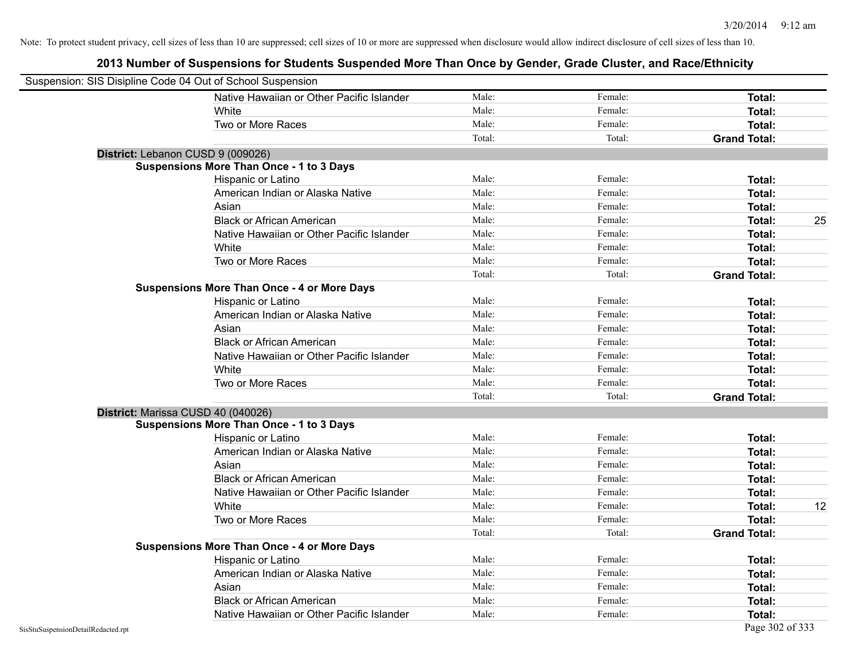| Suspension: SIS Disipline Code 04 Out of School Suspension |                                                    |        |         |                     |    |
|------------------------------------------------------------|----------------------------------------------------|--------|---------|---------------------|----|
|                                                            | Native Hawaiian or Other Pacific Islander          | Male:  | Female: | Total:              |    |
|                                                            | White                                              | Male:  | Female: | Total:              |    |
|                                                            | Two or More Races                                  | Male:  | Female: | Total:              |    |
|                                                            |                                                    | Total: | Total:  | <b>Grand Total:</b> |    |
| District: Lebanon CUSD 9 (009026)                          |                                                    |        |         |                     |    |
|                                                            | <b>Suspensions More Than Once - 1 to 3 Days</b>    |        |         |                     |    |
|                                                            | Hispanic or Latino                                 | Male:  | Female: | Total:              |    |
|                                                            | American Indian or Alaska Native                   | Male:  | Female: | Total:              |    |
|                                                            | Asian                                              | Male:  | Female: | Total:              |    |
|                                                            | <b>Black or African American</b>                   | Male:  | Female: | Total:              | 25 |
|                                                            | Native Hawaiian or Other Pacific Islander          | Male:  | Female: | Total:              |    |
|                                                            | White                                              | Male:  | Female: | Total:              |    |
|                                                            | Two or More Races                                  | Male:  | Female: | Total:              |    |
|                                                            |                                                    | Total: | Total:  | <b>Grand Total:</b> |    |
|                                                            | <b>Suspensions More Than Once - 4 or More Days</b> |        |         |                     |    |
|                                                            | Hispanic or Latino                                 | Male:  | Female: | Total:              |    |
|                                                            | American Indian or Alaska Native                   | Male:  | Female: | Total:              |    |
|                                                            | Asian                                              | Male:  | Female: | Total:              |    |
|                                                            | <b>Black or African American</b>                   | Male:  | Female: | Total:              |    |
|                                                            | Native Hawaiian or Other Pacific Islander          | Male:  | Female: | Total:              |    |
|                                                            | White                                              | Male:  | Female: | Total:              |    |
|                                                            | Two or More Races                                  | Male:  | Female: | Total:              |    |
|                                                            |                                                    | Total: | Total:  | <b>Grand Total:</b> |    |
| District: Marissa CUSD 40 (040026)                         |                                                    |        |         |                     |    |
|                                                            | <b>Suspensions More Than Once - 1 to 3 Days</b>    |        |         |                     |    |
|                                                            | Hispanic or Latino                                 | Male:  | Female: | Total:              |    |
|                                                            | American Indian or Alaska Native                   | Male:  | Female: | Total:              |    |
|                                                            | Asian                                              | Male:  | Female: | Total:              |    |
|                                                            | <b>Black or African American</b>                   | Male:  | Female: | Total:              |    |
|                                                            | Native Hawaiian or Other Pacific Islander          | Male:  | Female: | Total:              |    |
|                                                            | White                                              | Male:  | Female: | Total:              | 12 |
|                                                            | Two or More Races                                  | Male:  | Female: | Total:              |    |
|                                                            |                                                    | Total: | Total:  | <b>Grand Total:</b> |    |
|                                                            | <b>Suspensions More Than Once - 4 or More Days</b> |        |         |                     |    |
|                                                            | <b>Hispanic or Latino</b>                          | Male:  | Female: | Total:              |    |
|                                                            | American Indian or Alaska Native                   | Male:  | Female: | Total:              |    |
|                                                            | Asian                                              | Male:  | Female: | Total:              |    |
|                                                            | <b>Black or African American</b>                   | Male:  | Female: | Total:              |    |
|                                                            | Native Hawaiian or Other Pacific Islander          | Male:  | Female: | Total:              |    |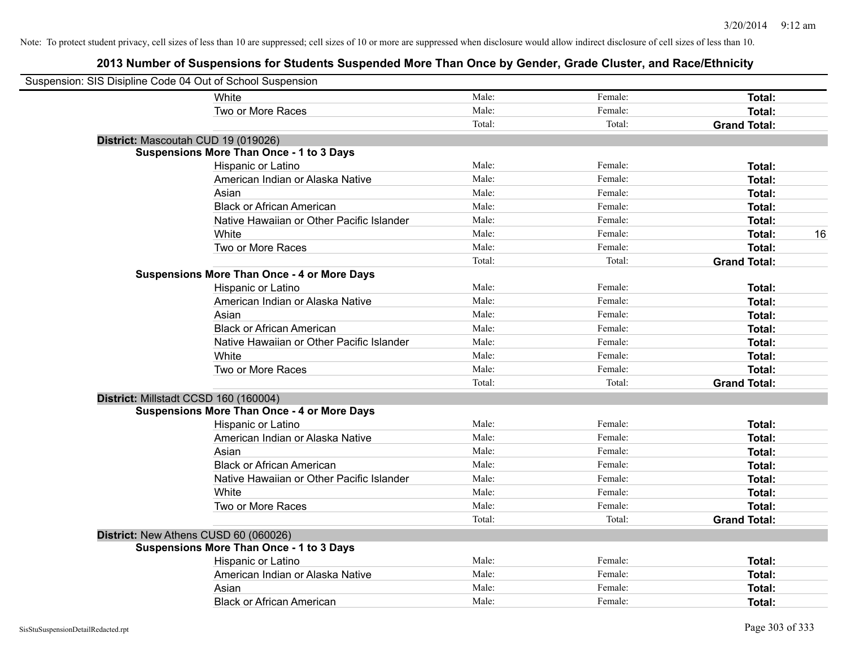| Suspension: SIS Disipline Code 04 Out of School Suspension |                                                    |        |         |                     |
|------------------------------------------------------------|----------------------------------------------------|--------|---------|---------------------|
|                                                            | White                                              | Male:  | Female: | Total:              |
|                                                            | Two or More Races                                  | Male:  | Female: | Total:              |
|                                                            |                                                    | Total: | Total:  | <b>Grand Total:</b> |
| District: Mascoutah CUD 19 (019026)                        |                                                    |        |         |                     |
|                                                            | <b>Suspensions More Than Once - 1 to 3 Days</b>    |        |         |                     |
|                                                            | Hispanic or Latino                                 | Male:  | Female: | Total:              |
|                                                            | American Indian or Alaska Native                   | Male:  | Female: | Total:              |
|                                                            | Asian                                              | Male:  | Female: | Total:              |
|                                                            | <b>Black or African American</b>                   | Male:  | Female: | Total:              |
|                                                            | Native Hawaiian or Other Pacific Islander          | Male:  | Female: | Total:              |
|                                                            | White                                              | Male:  | Female: | 16<br>Total:        |
|                                                            | Two or More Races                                  | Male:  | Female: | Total:              |
|                                                            |                                                    | Total: | Total:  | <b>Grand Total:</b> |
|                                                            | <b>Suspensions More Than Once - 4 or More Days</b> |        |         |                     |
|                                                            | Hispanic or Latino                                 | Male:  | Female: | Total:              |
|                                                            | American Indian or Alaska Native                   | Male:  | Female: | Total:              |
|                                                            | Asian                                              | Male:  | Female: | Total:              |
|                                                            | <b>Black or African American</b>                   | Male:  | Female: | Total:              |
|                                                            | Native Hawaiian or Other Pacific Islander          | Male:  | Female: | Total:              |
|                                                            | White                                              | Male:  | Female: | Total:              |
|                                                            | Two or More Races                                  | Male:  | Female: | Total:              |
|                                                            |                                                    | Total: | Total:  | <b>Grand Total:</b> |
| District: Millstadt CCSD 160 (160004)                      |                                                    |        |         |                     |
|                                                            | <b>Suspensions More Than Once - 4 or More Days</b> |        |         |                     |
|                                                            | Hispanic or Latino                                 | Male:  | Female: | Total:              |
|                                                            | American Indian or Alaska Native                   | Male:  | Female: | Total:              |
|                                                            | Asian                                              | Male:  | Female: | Total:              |
|                                                            | <b>Black or African American</b>                   | Male:  | Female: | Total:              |
|                                                            | Native Hawaiian or Other Pacific Islander          | Male:  | Female: | Total:              |
|                                                            | White                                              | Male:  | Female: | Total:              |
|                                                            | Two or More Races                                  | Male:  | Female: | Total:              |
|                                                            |                                                    | Total: | Total:  | <b>Grand Total:</b> |
| District: New Athens CUSD 60 (060026)                      |                                                    |        |         |                     |
|                                                            | <b>Suspensions More Than Once - 1 to 3 Days</b>    |        |         |                     |
|                                                            | Hispanic or Latino                                 | Male:  | Female: | Total:              |
|                                                            | American Indian or Alaska Native                   | Male:  | Female: | Total:              |
|                                                            | Asian                                              | Male:  | Female: | Total:              |
|                                                            | <b>Black or African American</b>                   | Male:  | Female: | Total:              |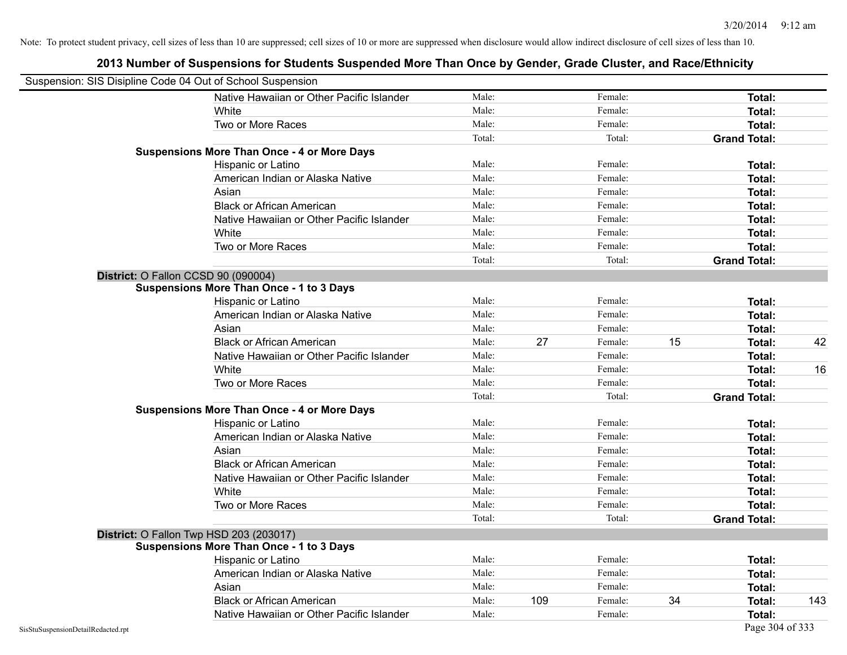| Suspension: SIS Disipline Code 04 Out of School Suspension |                                                    |        |     |         |    |                     |     |
|------------------------------------------------------------|----------------------------------------------------|--------|-----|---------|----|---------------------|-----|
|                                                            | Native Hawaiian or Other Pacific Islander          | Male:  |     | Female: |    | Total:              |     |
|                                                            | White                                              | Male:  |     | Female: |    | Total:              |     |
|                                                            | Two or More Races                                  | Male:  |     | Female: |    | Total:              |     |
|                                                            |                                                    | Total: |     | Total:  |    | <b>Grand Total:</b> |     |
|                                                            | <b>Suspensions More Than Once - 4 or More Days</b> |        |     |         |    |                     |     |
|                                                            | Hispanic or Latino                                 | Male:  |     | Female: |    | Total:              |     |
|                                                            | American Indian or Alaska Native                   | Male:  |     | Female: |    | Total:              |     |
|                                                            | Asian                                              | Male:  |     | Female: |    | Total:              |     |
|                                                            | <b>Black or African American</b>                   | Male:  |     | Female: |    | Total:              |     |
|                                                            | Native Hawaiian or Other Pacific Islander          | Male:  |     | Female: |    | Total:              |     |
|                                                            | White                                              | Male:  |     | Female: |    | Total:              |     |
|                                                            | Two or More Races                                  | Male:  |     | Female: |    | <b>Total:</b>       |     |
|                                                            |                                                    | Total: |     | Total:  |    | <b>Grand Total:</b> |     |
|                                                            | District: O Fallon CCSD 90 (090004)                |        |     |         |    |                     |     |
|                                                            | <b>Suspensions More Than Once - 1 to 3 Days</b>    |        |     |         |    |                     |     |
|                                                            | Hispanic or Latino                                 | Male:  |     | Female: |    | Total:              |     |
|                                                            | American Indian or Alaska Native                   | Male:  |     | Female: |    | Total:              |     |
|                                                            | Asian                                              | Male:  |     | Female: |    | Total:              |     |
|                                                            | <b>Black or African American</b>                   | Male:  | 27  | Female: | 15 | Total:              | 42  |
|                                                            | Native Hawaiian or Other Pacific Islander          | Male:  |     | Female: |    | Total:              |     |
|                                                            | White                                              | Male:  |     | Female: |    | Total:              | 16  |
|                                                            | Two or More Races                                  | Male:  |     | Female: |    | Total:              |     |
|                                                            |                                                    | Total: |     | Total:  |    | <b>Grand Total:</b> |     |
|                                                            | <b>Suspensions More Than Once - 4 or More Days</b> |        |     |         |    |                     |     |
|                                                            | Hispanic or Latino                                 | Male:  |     | Female: |    | Total:              |     |
|                                                            | American Indian or Alaska Native                   | Male:  |     | Female: |    | Total:              |     |
|                                                            | Asian                                              | Male:  |     | Female: |    | Total:              |     |
|                                                            | <b>Black or African American</b>                   | Male:  |     | Female: |    | Total:              |     |
|                                                            | Native Hawaiian or Other Pacific Islander          | Male:  |     | Female: |    | Total:              |     |
|                                                            | White                                              | Male:  |     | Female: |    | <b>Total:</b>       |     |
|                                                            | Two or More Races                                  | Male:  |     | Female: |    | Total:              |     |
|                                                            |                                                    | Total: |     | Total:  |    | <b>Grand Total:</b> |     |
|                                                            | District: O Fallon Twp HSD 203 (203017)            |        |     |         |    |                     |     |
|                                                            | <b>Suspensions More Than Once - 1 to 3 Days</b>    |        |     |         |    |                     |     |
|                                                            | Hispanic or Latino                                 | Male:  |     | Female: |    | Total:              |     |
|                                                            | American Indian or Alaska Native                   | Male:  |     | Female: |    | Total:              |     |
|                                                            | Asian                                              | Male:  |     | Female: |    | <b>Total:</b>       |     |
|                                                            | <b>Black or African American</b>                   | Male:  | 109 | Female: | 34 | Total:              | 143 |
|                                                            | Native Hawaiian or Other Pacific Islander          | Male:  |     | Female: |    | <b>Total:</b>       |     |
| SisStuSuspensionDetailRedacted.rpt                         |                                                    |        |     |         |    | Page 304 of 333     |     |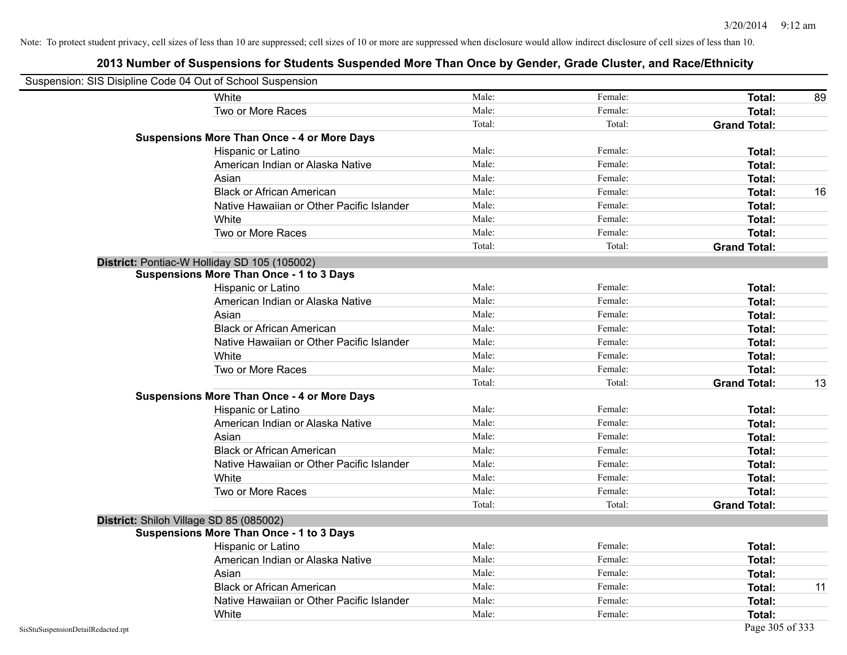| Suspension: SIS Disipline Code 04 Out of School Suspension |                                                    |        |         |                     |    |
|------------------------------------------------------------|----------------------------------------------------|--------|---------|---------------------|----|
|                                                            | White                                              | Male:  | Female: | Total:              | 89 |
|                                                            | Two or More Races                                  | Male:  | Female: | <b>Total:</b>       |    |
|                                                            |                                                    | Total: | Total:  | <b>Grand Total:</b> |    |
|                                                            | <b>Suspensions More Than Once - 4 or More Days</b> |        |         |                     |    |
|                                                            | Hispanic or Latino                                 | Male:  | Female: | Total:              |    |
|                                                            | American Indian or Alaska Native                   | Male:  | Female: | Total:              |    |
|                                                            | Asian                                              | Male:  | Female: | Total:              |    |
|                                                            | <b>Black or African American</b>                   | Male:  | Female: | <b>Total:</b>       | 16 |
|                                                            | Native Hawaiian or Other Pacific Islander          | Male:  | Female: | Total:              |    |
|                                                            | White                                              | Male:  | Female: | Total:              |    |
|                                                            | Two or More Races                                  | Male:  | Female: | Total:              |    |
|                                                            |                                                    | Total: | Total:  | <b>Grand Total:</b> |    |
|                                                            | District: Pontiac-W Holliday SD 105 (105002)       |        |         |                     |    |
|                                                            | <b>Suspensions More Than Once - 1 to 3 Days</b>    |        |         |                     |    |
|                                                            | Hispanic or Latino                                 | Male:  | Female: | <b>Total:</b>       |    |
|                                                            | American Indian or Alaska Native                   | Male:  | Female: | <b>Total:</b>       |    |
|                                                            | Asian                                              | Male:  | Female: | Total:              |    |
|                                                            | <b>Black or African American</b>                   | Male:  | Female: | <b>Total:</b>       |    |
|                                                            | Native Hawaiian or Other Pacific Islander          | Male:  | Female: | <b>Total:</b>       |    |
|                                                            | White                                              | Male:  | Female: | <b>Total:</b>       |    |
|                                                            | Two or More Races                                  | Male:  | Female: | <b>Total:</b>       |    |
|                                                            |                                                    | Total: | Total:  | <b>Grand Total:</b> | 13 |
|                                                            | <b>Suspensions More Than Once - 4 or More Days</b> |        |         |                     |    |
|                                                            | Hispanic or Latino                                 | Male:  | Female: | Total:              |    |
|                                                            | American Indian or Alaska Native                   | Male:  | Female: | <b>Total:</b>       |    |
|                                                            | Asian                                              | Male:  | Female: | Total:              |    |
|                                                            | <b>Black or African American</b>                   | Male:  | Female: | <b>Total:</b>       |    |
|                                                            | Native Hawaiian or Other Pacific Islander          | Male:  | Female: | <b>Total:</b>       |    |
|                                                            | White                                              | Male:  | Female: | <b>Total:</b>       |    |
|                                                            | Two or More Races                                  | Male:  | Female: | <b>Total:</b>       |    |
|                                                            |                                                    | Total: | Total:  | <b>Grand Total:</b> |    |
|                                                            | District: Shiloh Village SD 85 (085002)            |        |         |                     |    |
|                                                            | <b>Suspensions More Than Once - 1 to 3 Days</b>    |        |         |                     |    |
|                                                            | <b>Hispanic or Latino</b>                          | Male:  | Female: | Total:              |    |
|                                                            | American Indian or Alaska Native                   | Male:  | Female: | <b>Total:</b>       |    |
|                                                            | Asian                                              | Male:  | Female: | Total:              |    |
|                                                            | <b>Black or African American</b>                   | Male:  | Female: | Total:              | 11 |
|                                                            | Native Hawaiian or Other Pacific Islander          | Male:  | Female: | Total:              |    |
|                                                            | White                                              | Male:  | Female: | Total:              |    |
| SisStuSuspensionDetailRedacted.rpt                         |                                                    |        |         | Page 305 of 333     |    |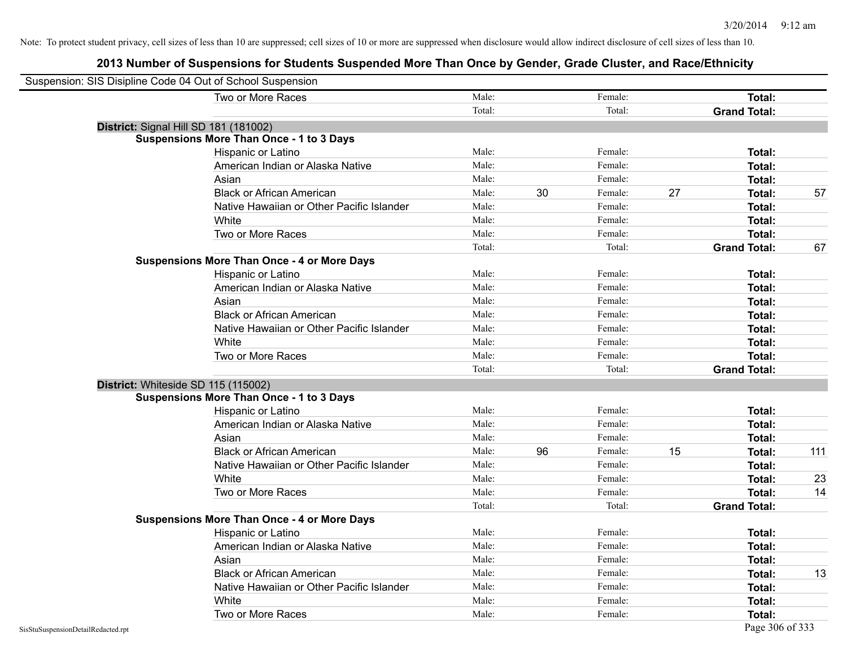| Suspension: SIS Disipline Code 04 Out of School Suspension |        |    |         |    |                     |     |
|------------------------------------------------------------|--------|----|---------|----|---------------------|-----|
| Two or More Races                                          | Male:  |    | Female: |    | Total:              |     |
|                                                            | Total: |    | Total:  |    | <b>Grand Total:</b> |     |
| District: Signal Hill SD 181 (181002)                      |        |    |         |    |                     |     |
| <b>Suspensions More Than Once - 1 to 3 Days</b>            |        |    |         |    |                     |     |
| Hispanic or Latino                                         | Male:  |    | Female: |    | Total:              |     |
| American Indian or Alaska Native                           | Male:  |    | Female: |    | Total:              |     |
| Asian                                                      | Male:  |    | Female: |    | Total:              |     |
| <b>Black or African American</b>                           | Male:  | 30 | Female: | 27 | Total:              | 57  |
| Native Hawaiian or Other Pacific Islander                  | Male:  |    | Female: |    | Total:              |     |
| White                                                      | Male:  |    | Female: |    | Total:              |     |
| Two or More Races                                          | Male:  |    | Female: |    | Total:              |     |
|                                                            | Total: |    | Total:  |    | <b>Grand Total:</b> | 67  |
| <b>Suspensions More Than Once - 4 or More Days</b>         |        |    |         |    |                     |     |
| Hispanic or Latino                                         | Male:  |    | Female: |    | Total:              |     |
| American Indian or Alaska Native                           | Male:  |    | Female: |    | Total:              |     |
| Asian                                                      | Male:  |    | Female: |    | Total:              |     |
| <b>Black or African American</b>                           | Male:  |    | Female: |    | Total:              |     |
| Native Hawaiian or Other Pacific Islander                  | Male:  |    | Female: |    | Total:              |     |
| White                                                      | Male:  |    | Female: |    | Total:              |     |
| Two or More Races                                          | Male:  |    | Female: |    | Total:              |     |
|                                                            | Total: |    | Total:  |    | <b>Grand Total:</b> |     |
| District: Whiteside SD 115 (115002)                        |        |    |         |    |                     |     |
| <b>Suspensions More Than Once - 1 to 3 Days</b>            |        |    |         |    |                     |     |
| Hispanic or Latino                                         | Male:  |    | Female: |    | Total:              |     |
| American Indian or Alaska Native                           | Male:  |    | Female: |    | Total:              |     |
| Asian                                                      | Male:  |    | Female: |    | Total:              |     |
| <b>Black or African American</b>                           | Male:  | 96 | Female: | 15 | Total:              | 111 |
| Native Hawaiian or Other Pacific Islander                  | Male:  |    | Female: |    | Total:              |     |
| White                                                      | Male:  |    | Female: |    | Total:              | 23  |
| Two or More Races                                          | Male:  |    | Female: |    | Total:              | 14  |
|                                                            | Total: |    | Total:  |    | <b>Grand Total:</b> |     |
| <b>Suspensions More Than Once - 4 or More Days</b>         |        |    |         |    |                     |     |
| Hispanic or Latino                                         | Male:  |    | Female: |    | Total:              |     |
| American Indian or Alaska Native                           | Male:  |    | Female: |    | Total:              |     |
| Asian                                                      | Male:  |    | Female: |    | Total:              |     |
| <b>Black or African American</b>                           | Male:  |    | Female: |    | Total:              | 13  |
| Native Hawaiian or Other Pacific Islander                  | Male:  |    | Female: |    | Total:              |     |
| White                                                      | Male:  |    | Female: |    | Total:              |     |
| Two or More Races                                          | Male:  |    | Female: |    | Total:              |     |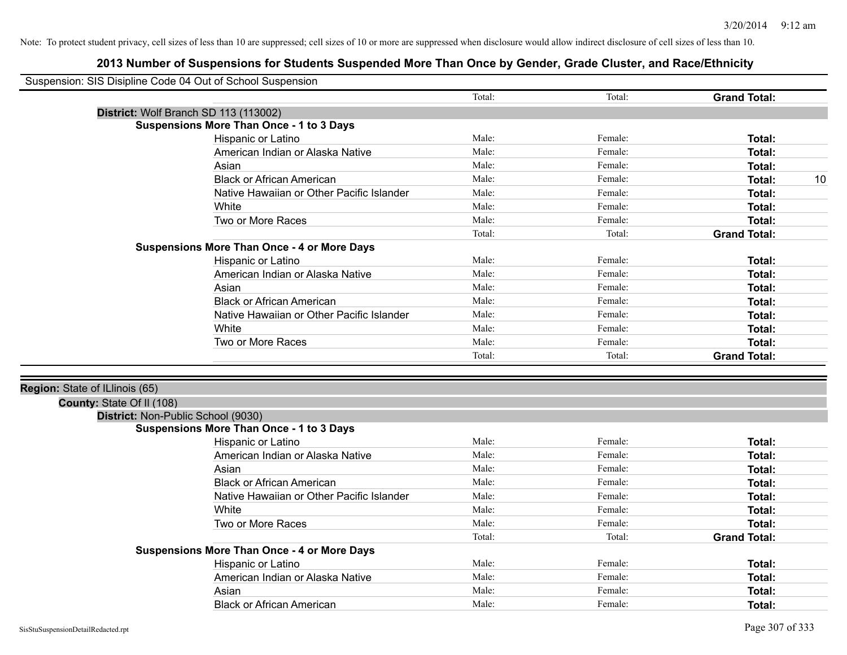| Suspension: SIS Disipline Code 04 Out of School Suspension |                                                    |        |         |                     |    |
|------------------------------------------------------------|----------------------------------------------------|--------|---------|---------------------|----|
|                                                            |                                                    | Total: | Total:  | <b>Grand Total:</b> |    |
|                                                            | District: Wolf Branch SD 113 (113002)              |        |         |                     |    |
|                                                            | <b>Suspensions More Than Once - 1 to 3 Days</b>    |        |         |                     |    |
|                                                            | Hispanic or Latino                                 | Male:  | Female: | Total:              |    |
|                                                            | American Indian or Alaska Native                   | Male:  | Female: | Total:              |    |
|                                                            | Asian                                              | Male:  | Female: | Total:              |    |
|                                                            | <b>Black or African American</b>                   | Male:  | Female: | <b>Total:</b>       | 10 |
|                                                            | Native Hawaiian or Other Pacific Islander          | Male:  | Female: | Total:              |    |
|                                                            | White                                              | Male:  | Female: | Total:              |    |
|                                                            | Two or More Races                                  | Male:  | Female: | Total:              |    |
|                                                            |                                                    | Total: | Total:  | <b>Grand Total:</b> |    |
|                                                            | <b>Suspensions More Than Once - 4 or More Days</b> |        |         |                     |    |
|                                                            | Hispanic or Latino                                 | Male:  | Female: | Total:              |    |
|                                                            | American Indian or Alaska Native                   | Male:  | Female: | Total:              |    |
|                                                            | Asian                                              | Male:  | Female: | Total:              |    |
|                                                            | <b>Black or African American</b>                   | Male:  | Female: | <b>Total:</b>       |    |
|                                                            | Native Hawaiian or Other Pacific Islander          | Male:  | Female: | <b>Total:</b>       |    |
|                                                            | White                                              | Male:  | Female: | Total:              |    |
|                                                            | Two or More Races                                  | Male:  | Female: | Total:              |    |
|                                                            |                                                    | Total: | Total:  | <b>Grand Total:</b> |    |
| Region: State of ILlinois (65)                             |                                                    |        |         |                     |    |
| County: State Of II (108)                                  |                                                    |        |         |                     |    |
|                                                            | District: Non-Public School (9030)                 |        |         |                     |    |
|                                                            | <b>Suspensions More Than Once - 1 to 3 Days</b>    |        |         |                     |    |
|                                                            | Hispanic or Latino                                 | Male:  | Female: | Total:              |    |
|                                                            | American Indian or Alaska Native                   | Male:  | Female: | Total:              |    |
|                                                            | Asian                                              | Male:  | Female: | Total:              |    |
|                                                            | <b>Black or African American</b>                   | Male:  | Female: | Total:              |    |
|                                                            | Native Hawaiian or Other Pacific Islander          | Male:  | Female: | <b>Total:</b>       |    |
|                                                            | White                                              | Male:  | Female: | Total:              |    |
|                                                            | Two or More Races                                  | Male:  | Female: | Total:              |    |
|                                                            |                                                    | Total: | Total:  | <b>Grand Total:</b> |    |
|                                                            | <b>Suspensions More Than Once - 4 or More Days</b> |        |         |                     |    |
|                                                            | Hispanic or Latino                                 | Male:  | Female: | Total:              |    |
|                                                            | American Indian or Alaska Native                   | Male:  | Female: | Total:              |    |
|                                                            | Asian                                              | Male:  | Female: | <b>Total:</b>       |    |
|                                                            | <b>Black or African American</b>                   | Male:  | Female: | Total:              |    |
|                                                            |                                                    |        |         |                     |    |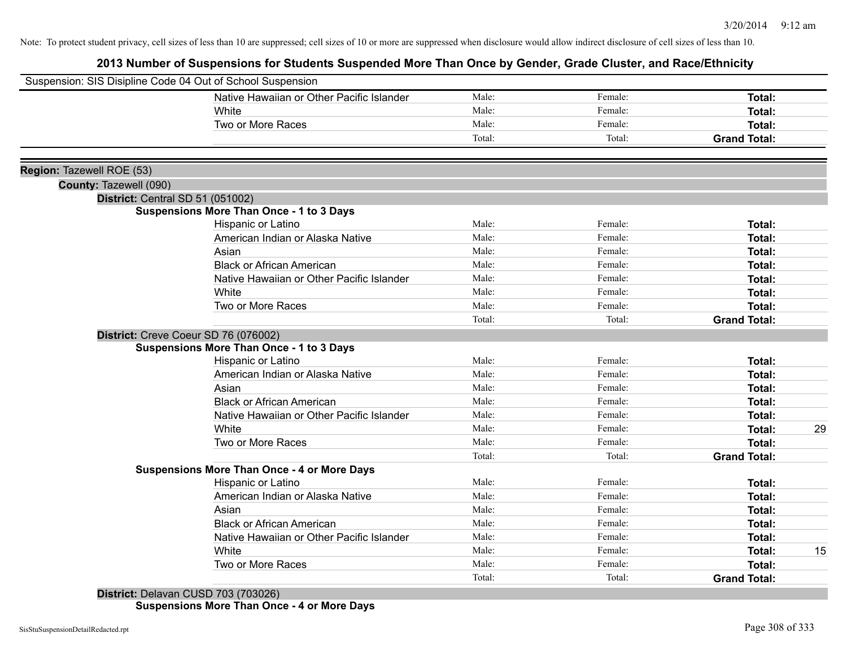# **2013 Number of Suspensions for Students Suspended More Than Once by Gender, Grade Cluster, and Race/Ethnicity**

| Suspension: SIS Disipline Code 04 Out of School Suspension |                                                    |        |         |                     |    |
|------------------------------------------------------------|----------------------------------------------------|--------|---------|---------------------|----|
|                                                            | Native Hawaiian or Other Pacific Islander          | Male:  | Female: | Total:              |    |
|                                                            | White                                              | Male:  | Female: | Total:              |    |
|                                                            | Two or More Races                                  | Male:  | Female: | Total:              |    |
|                                                            |                                                    | Total: | Total:  | <b>Grand Total:</b> |    |
|                                                            |                                                    |        |         |                     |    |
| Region: Tazewell ROE (53)                                  |                                                    |        |         |                     |    |
| County: Tazewell (090)                                     |                                                    |        |         |                     |    |
| District: Central SD 51 (051002)                           |                                                    |        |         |                     |    |
|                                                            | <b>Suspensions More Than Once - 1 to 3 Days</b>    |        |         |                     |    |
|                                                            | Hispanic or Latino                                 | Male:  | Female: | Total:              |    |
|                                                            | American Indian or Alaska Native                   | Male:  | Female: | Total:              |    |
|                                                            | Asian                                              | Male:  | Female: | Total:              |    |
|                                                            | <b>Black or African American</b>                   | Male:  | Female: | Total:              |    |
|                                                            | Native Hawaiian or Other Pacific Islander          | Male:  | Female: | Total:              |    |
|                                                            | White                                              | Male:  | Female: | Total:              |    |
|                                                            | Two or More Races                                  | Male:  | Female: | Total:              |    |
|                                                            |                                                    | Total: | Total:  | <b>Grand Total:</b> |    |
|                                                            | District: Creve Coeur SD 76 (076002)               |        |         |                     |    |
|                                                            | <b>Suspensions More Than Once - 1 to 3 Days</b>    |        |         |                     |    |
|                                                            | Hispanic or Latino                                 | Male:  | Female: | Total:              |    |
|                                                            | American Indian or Alaska Native                   | Male:  | Female: | Total:              |    |
|                                                            | Asian                                              | Male:  | Female: | Total:              |    |
|                                                            | <b>Black or African American</b>                   | Male:  | Female: | Total:              |    |
|                                                            | Native Hawaiian or Other Pacific Islander          | Male:  | Female: | Total:              |    |
|                                                            | White                                              | Male:  | Female: | Total:              | 29 |
|                                                            | Two or More Races                                  | Male:  | Female: | Total:              |    |
|                                                            |                                                    | Total: | Total:  | <b>Grand Total:</b> |    |
|                                                            | <b>Suspensions More Than Once - 4 or More Days</b> |        |         |                     |    |
|                                                            | Hispanic or Latino                                 | Male:  | Female: | Total:              |    |
|                                                            | American Indian or Alaska Native                   | Male:  | Female: | Total:              |    |
|                                                            | Asian                                              | Male:  | Female: | Total:              |    |
|                                                            | <b>Black or African American</b>                   | Male:  | Female: | Total:              |    |
|                                                            | Native Hawaiian or Other Pacific Islander          | Male:  | Female: | Total:              |    |
|                                                            | White                                              | Male:  | Female: | Total:              | 15 |
|                                                            | Two or More Races                                  | Male:  | Female: | <b>Total:</b>       |    |
|                                                            |                                                    | Total: | Total:  | <b>Grand Total:</b> |    |
|                                                            |                                                    |        |         |                     |    |

**District:** Delavan CUSD 703 (703026) **Suspensions More Than Once - 4 or More Days**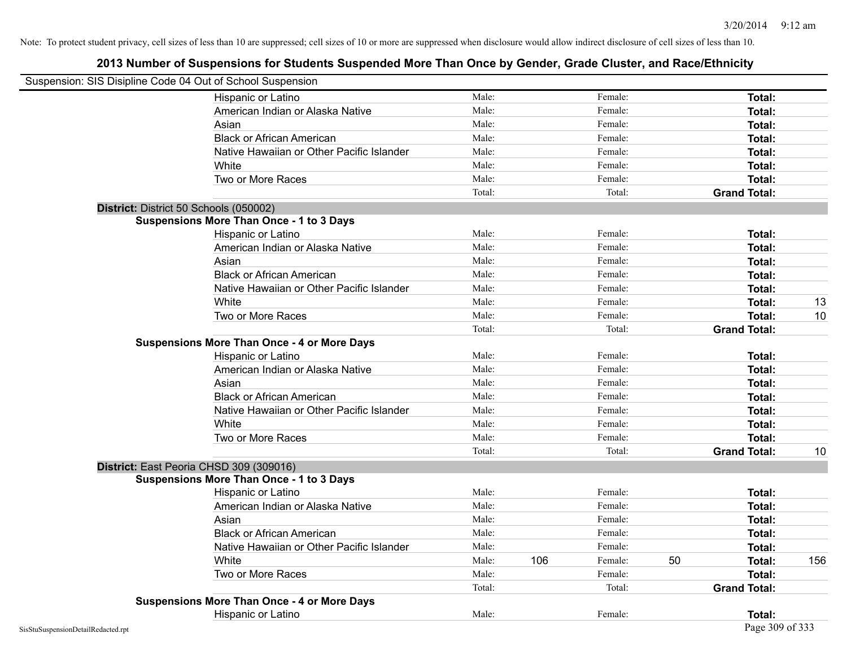| Suspension: SIS Disipline Code 04 Out of School Suspension |                                                    |        |     |         |    |                     |     |
|------------------------------------------------------------|----------------------------------------------------|--------|-----|---------|----|---------------------|-----|
|                                                            | Hispanic or Latino                                 | Male:  |     | Female: |    | Total:              |     |
|                                                            | American Indian or Alaska Native                   | Male:  |     | Female: |    | Total:              |     |
|                                                            | Asian                                              | Male:  |     | Female: |    | Total:              |     |
|                                                            | <b>Black or African American</b>                   | Male:  |     | Female: |    | Total:              |     |
|                                                            | Native Hawaiian or Other Pacific Islander          | Male:  |     | Female: |    | Total:              |     |
|                                                            | White                                              | Male:  |     | Female: |    | Total:              |     |
|                                                            | Two or More Races                                  | Male:  |     | Female: |    | Total:              |     |
|                                                            |                                                    | Total: |     | Total:  |    | <b>Grand Total:</b> |     |
| District: District 50 Schools (050002)                     |                                                    |        |     |         |    |                     |     |
|                                                            | <b>Suspensions More Than Once - 1 to 3 Days</b>    |        |     |         |    |                     |     |
|                                                            | Hispanic or Latino                                 | Male:  |     | Female: |    | Total:              |     |
|                                                            | American Indian or Alaska Native                   | Male:  |     | Female: |    | Total:              |     |
|                                                            | Asian                                              | Male:  |     | Female: |    | Total:              |     |
|                                                            | <b>Black or African American</b>                   | Male:  |     | Female: |    | Total:              |     |
|                                                            | Native Hawaiian or Other Pacific Islander          | Male:  |     | Female: |    | Total:              |     |
|                                                            | White                                              | Male:  |     | Female: |    | Total:              | 13  |
|                                                            | Two or More Races                                  | Male:  |     | Female: |    | Total:              | 10  |
|                                                            |                                                    | Total: |     | Total:  |    | <b>Grand Total:</b> |     |
|                                                            | <b>Suspensions More Than Once - 4 or More Days</b> |        |     |         |    |                     |     |
|                                                            | Hispanic or Latino                                 | Male:  |     | Female: |    | Total:              |     |
|                                                            | American Indian or Alaska Native                   | Male:  |     | Female: |    | Total:              |     |
|                                                            | Asian                                              | Male:  |     | Female: |    | Total:              |     |
|                                                            | <b>Black or African American</b>                   | Male:  |     | Female: |    | Total:              |     |
|                                                            | Native Hawaiian or Other Pacific Islander          | Male:  |     | Female: |    | Total:              |     |
|                                                            | White                                              | Male:  |     | Female: |    | Total:              |     |
|                                                            | Two or More Races                                  | Male:  |     | Female: |    | Total:              |     |
|                                                            |                                                    | Total: |     | Total:  |    | <b>Grand Total:</b> | 10  |
| District: East Peoria CHSD 309 (309016)                    |                                                    |        |     |         |    |                     |     |
|                                                            | <b>Suspensions More Than Once - 1 to 3 Days</b>    |        |     |         |    |                     |     |
|                                                            | Hispanic or Latino                                 | Male:  |     | Female: |    | Total:              |     |
|                                                            | American Indian or Alaska Native                   | Male:  |     | Female: |    | Total:              |     |
|                                                            | Asian                                              | Male:  |     | Female: |    | Total:              |     |
|                                                            | <b>Black or African American</b>                   | Male:  |     | Female: |    | Total:              |     |
|                                                            | Native Hawaiian or Other Pacific Islander          | Male:  |     | Female: |    | Total:              |     |
|                                                            | White                                              | Male:  | 106 | Female: | 50 | Total:              | 156 |
|                                                            | Two or More Races                                  | Male:  |     | Female: |    | Total:              |     |
|                                                            |                                                    | Total: |     | Total:  |    | <b>Grand Total:</b> |     |
|                                                            | <b>Suspensions More Than Once - 4 or More Days</b> |        |     |         |    |                     |     |
|                                                            | Hispanic or Latino                                 | Male:  |     | Female: |    | Total:              |     |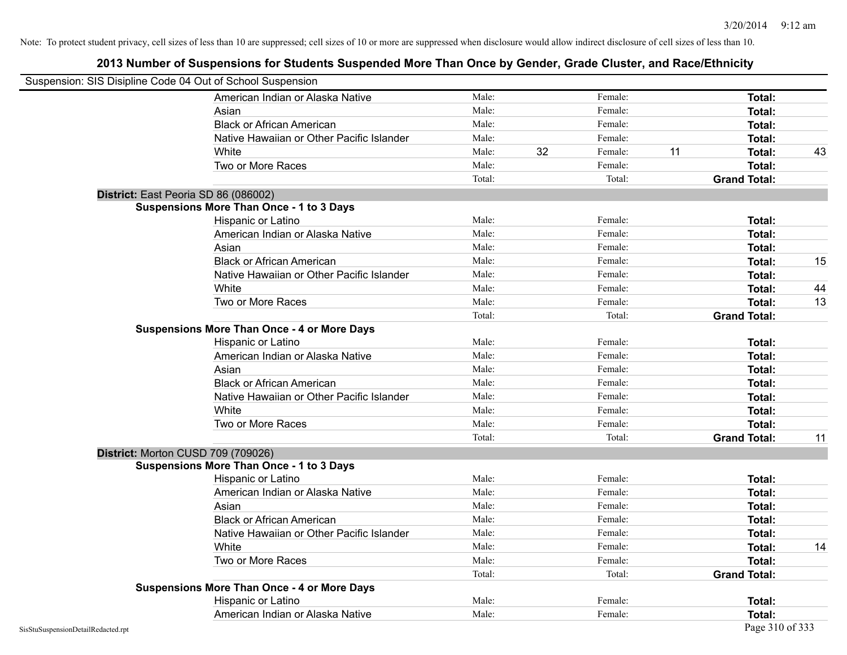| Suspension: SIS Disipline Code 04 Out of School Suspension |                                                    |        |    |         |    |                     |    |
|------------------------------------------------------------|----------------------------------------------------|--------|----|---------|----|---------------------|----|
|                                                            | American Indian or Alaska Native                   | Male:  |    | Female: |    | <b>Total:</b>       |    |
|                                                            | Asian                                              | Male:  |    | Female: |    | Total:              |    |
|                                                            | <b>Black or African American</b>                   | Male:  |    | Female: |    | Total:              |    |
|                                                            | Native Hawaiian or Other Pacific Islander          | Male:  |    | Female: |    | Total:              |    |
|                                                            | White                                              | Male:  | 32 | Female: | 11 | Total:              | 43 |
|                                                            | Two or More Races                                  | Male:  |    | Female: |    | <b>Total:</b>       |    |
|                                                            |                                                    | Total: |    | Total:  |    | <b>Grand Total:</b> |    |
|                                                            | District: East Peoria SD 86 (086002)               |        |    |         |    |                     |    |
|                                                            | <b>Suspensions More Than Once - 1 to 3 Days</b>    |        |    |         |    |                     |    |
|                                                            | Hispanic or Latino                                 | Male:  |    | Female: |    | Total:              |    |
|                                                            | American Indian or Alaska Native                   | Male:  |    | Female: |    | Total:              |    |
|                                                            | Asian                                              | Male:  |    | Female: |    | Total:              |    |
|                                                            | <b>Black or African American</b>                   | Male:  |    | Female: |    | Total:              | 15 |
|                                                            | Native Hawaiian or Other Pacific Islander          | Male:  |    | Female: |    | Total:              |    |
|                                                            | White                                              | Male:  |    | Female: |    | Total:              | 44 |
|                                                            | Two or More Races                                  | Male:  |    | Female: |    | <b>Total:</b>       | 13 |
|                                                            |                                                    | Total: |    | Total:  |    | <b>Grand Total:</b> |    |
|                                                            | <b>Suspensions More Than Once - 4 or More Days</b> |        |    |         |    |                     |    |
|                                                            | Hispanic or Latino                                 | Male:  |    | Female: |    | Total:              |    |
|                                                            | American Indian or Alaska Native                   | Male:  |    | Female: |    | Total:              |    |
|                                                            | Asian                                              | Male:  |    | Female: |    | Total:              |    |
|                                                            | <b>Black or African American</b>                   | Male:  |    | Female: |    | Total:              |    |
|                                                            | Native Hawaiian or Other Pacific Islander          | Male:  |    | Female: |    | Total:              |    |
|                                                            | White                                              | Male:  |    | Female: |    | Total:              |    |
|                                                            | Two or More Races                                  | Male:  |    | Female: |    | <b>Total:</b>       |    |
|                                                            |                                                    | Total: |    | Total:  |    | <b>Grand Total:</b> | 11 |
|                                                            | District: Morton CUSD 709 (709026)                 |        |    |         |    |                     |    |
|                                                            | <b>Suspensions More Than Once - 1 to 3 Days</b>    |        |    |         |    |                     |    |
|                                                            | Hispanic or Latino                                 | Male:  |    | Female: |    | Total:              |    |
|                                                            | American Indian or Alaska Native                   | Male:  |    | Female: |    | Total:              |    |
|                                                            | Asian                                              | Male:  |    | Female: |    | Total:              |    |
|                                                            | <b>Black or African American</b>                   | Male:  |    | Female: |    | Total:              |    |
|                                                            | Native Hawaiian or Other Pacific Islander          | Male:  |    | Female: |    | Total:              |    |
|                                                            | White                                              | Male:  |    | Female: |    | Total:              | 14 |
|                                                            | Two or More Races                                  | Male:  |    | Female: |    | Total:              |    |
|                                                            |                                                    | Total: |    | Total:  |    | <b>Grand Total:</b> |    |
|                                                            | <b>Suspensions More Than Once - 4 or More Days</b> |        |    |         |    |                     |    |
|                                                            | Hispanic or Latino                                 | Male:  |    | Female: |    | Total:              |    |
|                                                            | American Indian or Alaska Native                   | Male:  |    | Female: |    | Total:              |    |
| SisStuSuspensionDetailRedacted.rpt                         |                                                    |        |    |         |    | Page 310 of 333     |    |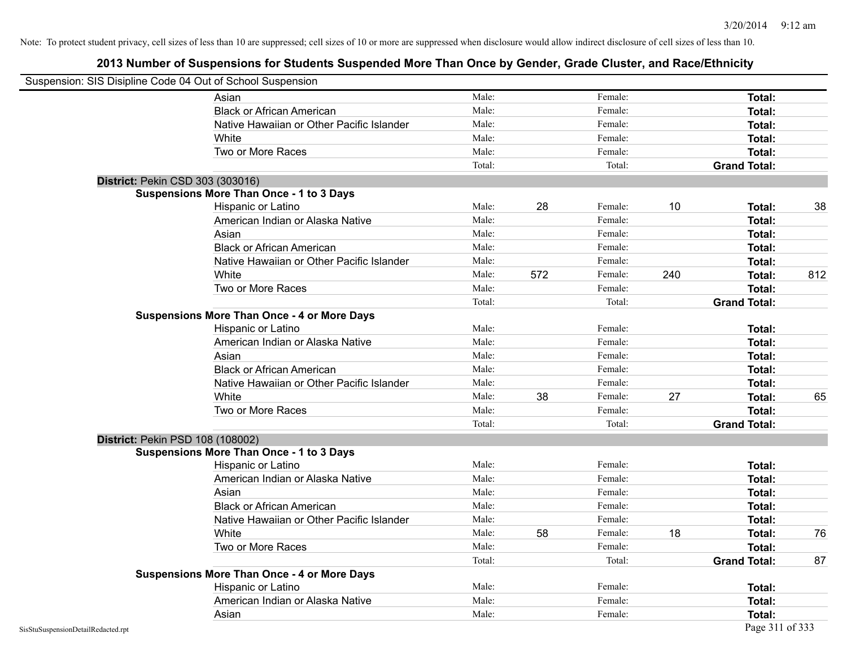|                                    | Suspension: SIS Disipline Code 04 Out of School Suspension |        |     |         |     |                     |     |
|------------------------------------|------------------------------------------------------------|--------|-----|---------|-----|---------------------|-----|
|                                    | Asian                                                      | Male:  |     | Female: |     | Total:              |     |
|                                    | <b>Black or African American</b>                           | Male:  |     | Female: |     | Total:              |     |
|                                    | Native Hawaiian or Other Pacific Islander                  | Male:  |     | Female: |     | Total:              |     |
|                                    | White                                                      | Male:  |     | Female: |     | Total:              |     |
|                                    | Two or More Races                                          | Male:  |     | Female: |     | Total:              |     |
|                                    |                                                            | Total: |     | Total:  |     | <b>Grand Total:</b> |     |
|                                    | District: Pekin CSD 303 (303016)                           |        |     |         |     |                     |     |
|                                    | <b>Suspensions More Than Once - 1 to 3 Days</b>            |        |     |         |     |                     |     |
|                                    | Hispanic or Latino                                         | Male:  | 28  | Female: | 10  | Total:              | 38  |
|                                    | American Indian or Alaska Native                           | Male:  |     | Female: |     | Total:              |     |
|                                    | Asian                                                      | Male:  |     | Female: |     | Total:              |     |
|                                    | <b>Black or African American</b>                           | Male:  |     | Female: |     | Total:              |     |
|                                    | Native Hawaiian or Other Pacific Islander                  | Male:  |     | Female: |     | Total:              |     |
|                                    | White                                                      | Male:  | 572 | Female: | 240 | <b>Total:</b>       | 812 |
|                                    | Two or More Races                                          | Male:  |     | Female: |     | Total:              |     |
|                                    |                                                            | Total: |     | Total:  |     | <b>Grand Total:</b> |     |
|                                    | <b>Suspensions More Than Once - 4 or More Days</b>         |        |     |         |     |                     |     |
|                                    | Hispanic or Latino                                         | Male:  |     | Female: |     | Total:              |     |
|                                    | American Indian or Alaska Native                           | Male:  |     | Female: |     | Total:              |     |
|                                    | Asian                                                      | Male:  |     | Female: |     | Total:              |     |
|                                    | <b>Black or African American</b>                           | Male:  |     | Female: |     | Total:              |     |
|                                    | Native Hawaiian or Other Pacific Islander                  | Male:  |     | Female: |     | Total:              |     |
|                                    | White                                                      | Male:  | 38  | Female: | 27  | Total:              | 65  |
|                                    | Two or More Races                                          | Male:  |     | Female: |     | Total:              |     |
|                                    |                                                            | Total: |     | Total:  |     | <b>Grand Total:</b> |     |
|                                    | District: Pekin PSD 108 (108002)                           |        |     |         |     |                     |     |
|                                    | <b>Suspensions More Than Once - 1 to 3 Days</b>            |        |     |         |     |                     |     |
|                                    | Hispanic or Latino                                         | Male:  |     | Female: |     | Total:              |     |
|                                    | American Indian or Alaska Native                           | Male:  |     | Female: |     | Total:              |     |
|                                    | Asian                                                      | Male:  |     | Female: |     | Total:              |     |
|                                    | <b>Black or African American</b>                           | Male:  |     | Female: |     | Total:              |     |
|                                    | Native Hawaiian or Other Pacific Islander                  | Male:  |     | Female: |     | Total:              |     |
|                                    | White                                                      | Male:  | 58  | Female: | 18  | Total:              | 76  |
|                                    | Two or More Races                                          | Male:  |     | Female: |     | Total:              |     |
|                                    |                                                            | Total: |     | Total:  |     | <b>Grand Total:</b> | 87  |
|                                    | <b>Suspensions More Than Once - 4 or More Days</b>         |        |     |         |     |                     |     |
|                                    | Hispanic or Latino                                         | Male:  |     | Female: |     | Total:              |     |
|                                    | American Indian or Alaska Native                           | Male:  |     | Female: |     | Total:              |     |
|                                    | Asian                                                      | Male:  |     | Female: |     | Total:              |     |
| SisStuSuspensionDetailRedacted.rpt |                                                            |        |     |         |     | Page 311 of 333     |     |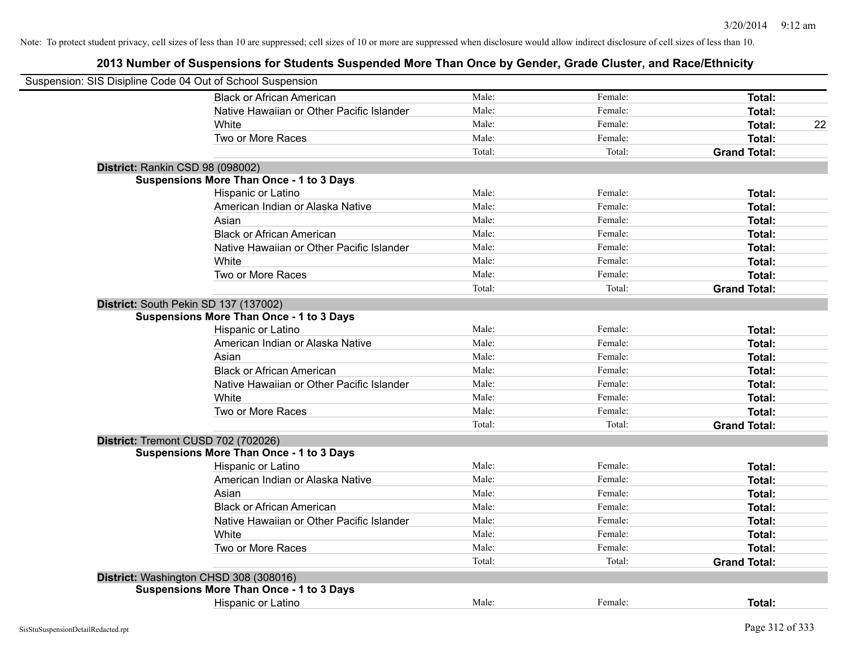| Suspension: SIS Disipline Code 04 Out of School Suspension |                                                 |        |         |                     |
|------------------------------------------------------------|-------------------------------------------------|--------|---------|---------------------|
|                                                            | <b>Black or African American</b>                | Male:  | Female: | Total:              |
|                                                            | Native Hawaiian or Other Pacific Islander       | Male:  | Female: | Total:              |
|                                                            | White                                           | Male:  | Female: | 22<br><b>Total:</b> |
|                                                            | Two or More Races                               | Male:  | Female: | Total:              |
|                                                            |                                                 | Total: | Total:  | <b>Grand Total:</b> |
|                                                            | District: Rankin CSD 98 (098002)                |        |         |                     |
|                                                            | <b>Suspensions More Than Once - 1 to 3 Days</b> |        |         |                     |
|                                                            | Hispanic or Latino                              | Male:  | Female: | <b>Total:</b>       |
|                                                            | American Indian or Alaska Native                | Male:  | Female: | <b>Total:</b>       |
|                                                            | Asian                                           | Male:  | Female: | Total:              |
|                                                            | <b>Black or African American</b>                | Male:  | Female: | Total:              |
|                                                            | Native Hawaiian or Other Pacific Islander       | Male:  | Female: | <b>Total:</b>       |
|                                                            | White                                           | Male:  | Female: | Total:              |
|                                                            | Two or More Races                               | Male:  | Female: | Total:              |
|                                                            |                                                 | Total: | Total:  | <b>Grand Total:</b> |
|                                                            | District: South Pekin SD 137 (137002)           |        |         |                     |
|                                                            | <b>Suspensions More Than Once - 1 to 3 Days</b> |        |         |                     |
|                                                            | Hispanic or Latino                              | Male:  | Female: | Total:              |
|                                                            | American Indian or Alaska Native                | Male:  | Female: | Total:              |
|                                                            | Asian                                           | Male:  | Female: | Total:              |
|                                                            | <b>Black or African American</b>                | Male:  | Female: | Total:              |
|                                                            | Native Hawaiian or Other Pacific Islander       | Male:  | Female: | <b>Total:</b>       |
|                                                            | White                                           | Male:  | Female: | Total:              |
|                                                            | Two or More Races                               | Male:  | Female: | Total:              |
|                                                            |                                                 | Total: | Total:  | <b>Grand Total:</b> |
|                                                            | District: Tremont CUSD 702 (702026)             |        |         |                     |
|                                                            | <b>Suspensions More Than Once - 1 to 3 Days</b> |        |         |                     |
|                                                            | Hispanic or Latino                              | Male:  | Female: | <b>Total:</b>       |
|                                                            | American Indian or Alaska Native                | Male:  | Female: | Total:              |
|                                                            | Asian                                           | Male:  | Female: | Total:              |
|                                                            | <b>Black or African American</b>                | Male:  | Female: | Total:              |
|                                                            | Native Hawaiian or Other Pacific Islander       | Male:  | Female: | Total:              |
|                                                            | White                                           | Male:  | Female: | <b>Total:</b>       |
|                                                            | Two or More Races                               | Male:  | Female: | Total:              |
|                                                            |                                                 | Total: | Total:  | <b>Grand Total:</b> |
|                                                            | District: Washington CHSD 308 (308016)          |        |         |                     |
|                                                            | <b>Suspensions More Than Once - 1 to 3 Days</b> |        |         |                     |
|                                                            | Hispanic or Latino                              | Male:  | Female: | Total:              |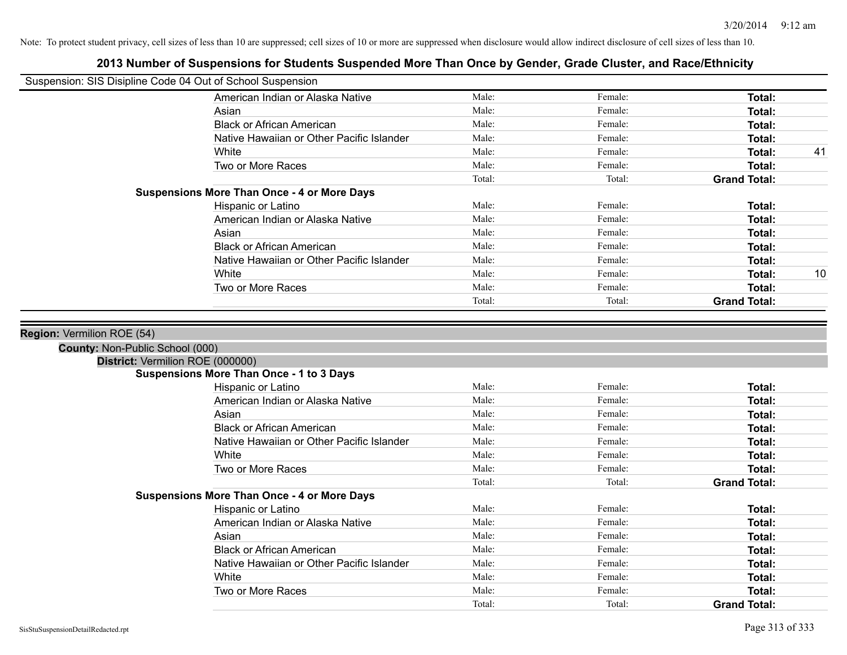| Suspension: SIS Disipline Code 04 Out of School Suspension |                |                    |                     |    |
|------------------------------------------------------------|----------------|--------------------|---------------------|----|
| American Indian or Alaska Native                           | Male:          | Female:            | Total:              |    |
| Asian                                                      | Male:          | Female:            | Total:              |    |
| <b>Black or African American</b>                           | Male:          | Female:            | Total:              |    |
| Native Hawaiian or Other Pacific Islander                  | Male:          | Female:            | Total:              |    |
| White                                                      | Male:          | Female:            | Total:              | 41 |
| Two or More Races                                          | Male:          | Female:            | <b>Total:</b>       |    |
|                                                            | Total:         | Total:             | <b>Grand Total:</b> |    |
| <b>Suspensions More Than Once - 4 or More Days</b>         |                |                    |                     |    |
| Hispanic or Latino                                         | Male:          | Female:            | Total:              |    |
| American Indian or Alaska Native                           | Male:          | Female:            | Total:              |    |
| Asian                                                      | Male:          | Female:            | Total:              |    |
| <b>Black or African American</b>                           | Male:          | Female:            | Total:              |    |
| Native Hawaiian or Other Pacific Islander                  | Male:          | Female:            | Total:              |    |
| White                                                      | Male:          | Female:            | Total:              | 10 |
| Two or More Races                                          | Male:          | Female:            | Total:              |    |
|                                                            | Total:         | Total:             | <b>Grand Total:</b> |    |
| District: Vermilion ROE (000000)                           |                |                    |                     |    |
| <b>Suspensions More Than Once - 1 to 3 Days</b>            |                |                    |                     |    |
| Hispanic or Latino                                         | Male:          | Female:            | Total:              |    |
| American Indian or Alaska Native                           | Male:          | Female:            | Total:              |    |
| Asian                                                      | Male:          | Female:            | Total:              |    |
| <b>Black or African American</b>                           | Male:          | Female:            | Total:              |    |
| Native Hawaiian or Other Pacific Islander                  | Male:          | Female:            | Total:              |    |
| White                                                      | Male:          | Female:            | Total:              |    |
| Two or More Races                                          | Male:          | Female:            | Total:              |    |
|                                                            | Total:         | Total:             | <b>Grand Total:</b> |    |
| <b>Suspensions More Than Once - 4 or More Days</b>         |                |                    |                     |    |
| Hispanic or Latino                                         | Male:          | Female:            | Total:              |    |
| American Indian or Alaska Native                           | Male:          | Female:            | Total:              |    |
| Asian                                                      | Male:          | Female:            | Total:              |    |
| <b>Black or African American</b>                           | Male:          | Female:            | Total:              |    |
| Native Hawaiian or Other Pacific Islander                  | Male:<br>Male: | Female:            | Total:              |    |
| White                                                      | Male:          | Female:<br>Female: | Total:              |    |
| Two or More Races                                          | Total:         | Total:             | <b>Total:</b>       |    |
|                                                            |                |                    | <b>Grand Total:</b> |    |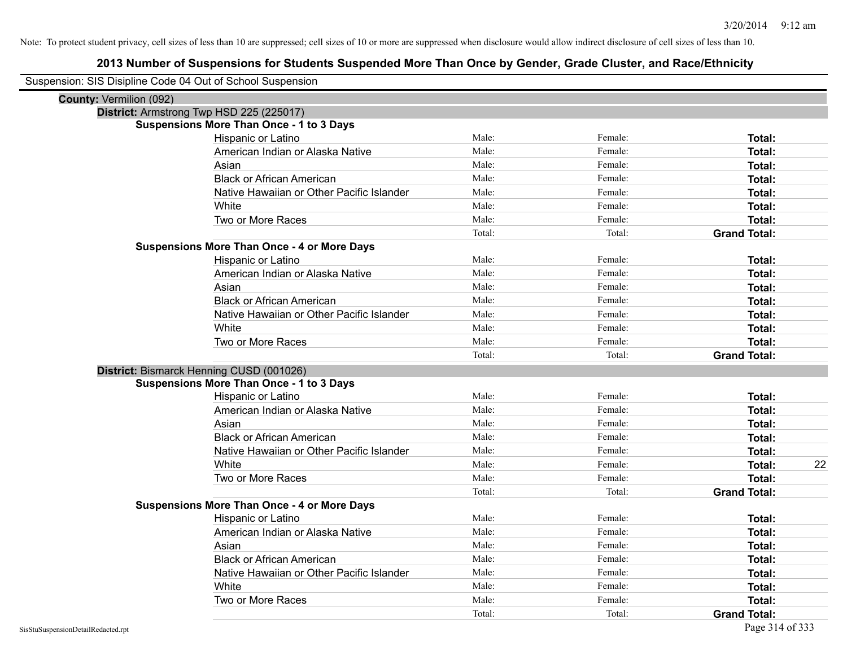| Suspension: SIS Disipline Code 04 Out of School Suspension |                                                    |        |         |                     |    |
|------------------------------------------------------------|----------------------------------------------------|--------|---------|---------------------|----|
| County: Vermilion (092)                                    |                                                    |        |         |                     |    |
| District: Armstrong Twp HSD 225 (225017)                   |                                                    |        |         |                     |    |
|                                                            | <b>Suspensions More Than Once - 1 to 3 Days</b>    |        |         |                     |    |
|                                                            | Hispanic or Latino                                 | Male:  | Female: | Total:              |    |
|                                                            | American Indian or Alaska Native                   | Male:  | Female: | Total:              |    |
|                                                            | Asian                                              | Male:  | Female: | Total:              |    |
|                                                            | <b>Black or African American</b>                   | Male:  | Female: | Total:              |    |
|                                                            | Native Hawaiian or Other Pacific Islander          | Male:  | Female: | Total:              |    |
|                                                            | White                                              | Male:  | Female: | Total:              |    |
|                                                            | Two or More Races                                  | Male:  | Female: | Total:              |    |
|                                                            |                                                    | Total: | Total:  | <b>Grand Total:</b> |    |
|                                                            | <b>Suspensions More Than Once - 4 or More Days</b> |        |         |                     |    |
|                                                            | Hispanic or Latino                                 | Male:  | Female: | Total:              |    |
|                                                            | American Indian or Alaska Native                   | Male:  | Female: | Total:              |    |
|                                                            | Asian                                              | Male:  | Female: | Total:              |    |
|                                                            | <b>Black or African American</b>                   | Male:  | Female: | Total:              |    |
|                                                            | Native Hawaiian or Other Pacific Islander          | Male:  | Female: | Total:              |    |
|                                                            | White                                              | Male:  | Female: | Total:              |    |
|                                                            | Two or More Races                                  | Male:  | Female: | Total:              |    |
|                                                            |                                                    | Total: | Total:  | <b>Grand Total:</b> |    |
| District: Bismarck Henning CUSD (001026)                   |                                                    |        |         |                     |    |
|                                                            | <b>Suspensions More Than Once - 1 to 3 Days</b>    |        |         |                     |    |
|                                                            | Hispanic or Latino                                 | Male:  | Female: | Total:              |    |
|                                                            | American Indian or Alaska Native                   | Male:  | Female: | Total:              |    |
|                                                            | Asian                                              | Male:  | Female: | Total:              |    |
|                                                            | <b>Black or African American</b>                   | Male:  | Female: | Total:              |    |
|                                                            | Native Hawaiian or Other Pacific Islander          | Male:  | Female: | Total:              |    |
|                                                            | White                                              | Male:  | Female: | Total:              | 22 |
|                                                            | Two or More Races                                  | Male:  | Female: | Total:              |    |
|                                                            |                                                    | Total: | Total:  | <b>Grand Total:</b> |    |
|                                                            | <b>Suspensions More Than Once - 4 or More Days</b> |        |         |                     |    |
|                                                            | Hispanic or Latino                                 | Male:  | Female: | Total:              |    |
|                                                            | American Indian or Alaska Native                   | Male:  | Female: | Total:              |    |
|                                                            | Asian                                              | Male:  | Female: | Total:              |    |
|                                                            | <b>Black or African American</b>                   | Male:  | Female: | Total:              |    |
|                                                            | Native Hawaiian or Other Pacific Islander          | Male:  | Female: | Total:              |    |
|                                                            | White                                              | Male:  | Female: | Total:              |    |
|                                                            | Two or More Races                                  | Male:  | Female: | Total:              |    |
|                                                            |                                                    | Total: | Total:  | <b>Grand Total:</b> |    |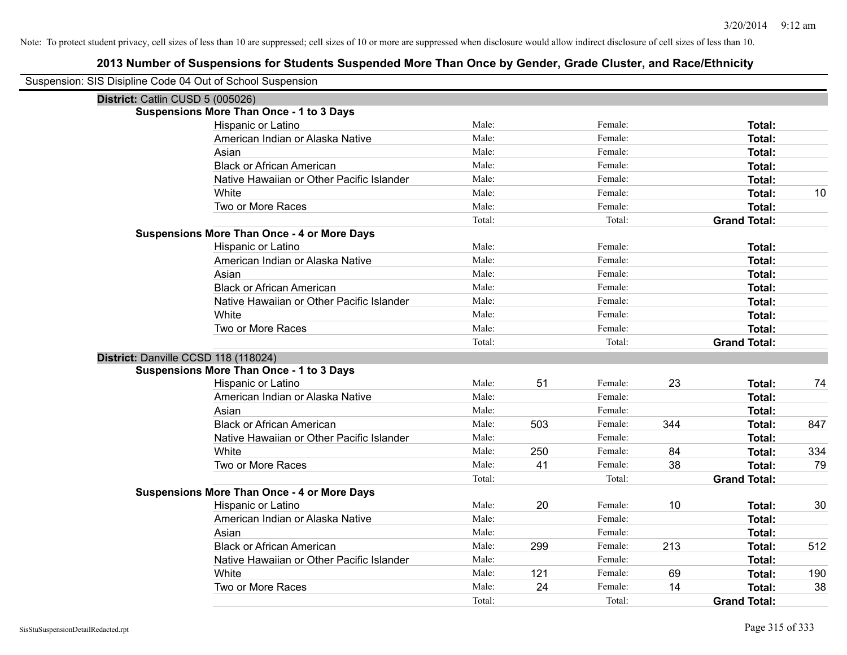| Suspension: SIS Disipline Code 04 Out of School Suspension |                                                    |        |     |         |     |                     |     |
|------------------------------------------------------------|----------------------------------------------------|--------|-----|---------|-----|---------------------|-----|
| District: Catlin CUSD 5 (005026)                           |                                                    |        |     |         |     |                     |     |
|                                                            | <b>Suspensions More Than Once - 1 to 3 Days</b>    |        |     |         |     |                     |     |
|                                                            | Hispanic or Latino                                 | Male:  |     | Female: |     | Total:              |     |
|                                                            | American Indian or Alaska Native                   | Male:  |     | Female: |     | <b>Total:</b>       |     |
|                                                            | Asian                                              | Male:  |     | Female: |     | Total:              |     |
|                                                            | <b>Black or African American</b>                   | Male:  |     | Female: |     | Total:              |     |
|                                                            | Native Hawaiian or Other Pacific Islander          | Male:  |     | Female: |     | <b>Total:</b>       |     |
|                                                            | White                                              | Male:  |     | Female: |     | <b>Total:</b>       | 10  |
|                                                            | Two or More Races                                  | Male:  |     | Female: |     | <b>Total:</b>       |     |
|                                                            |                                                    | Total: |     | Total:  |     | <b>Grand Total:</b> |     |
|                                                            | <b>Suspensions More Than Once - 4 or More Days</b> |        |     |         |     |                     |     |
|                                                            | Hispanic or Latino                                 | Male:  |     | Female: |     | Total:              |     |
|                                                            | American Indian or Alaska Native                   | Male:  |     | Female: |     | <b>Total:</b>       |     |
|                                                            | Asian                                              | Male:  |     | Female: |     | <b>Total:</b>       |     |
|                                                            | <b>Black or African American</b>                   | Male:  |     | Female: |     | Total:              |     |
|                                                            | Native Hawaiian or Other Pacific Islander          | Male:  |     | Female: |     | <b>Total:</b>       |     |
|                                                            | White                                              | Male:  |     | Female: |     | <b>Total:</b>       |     |
|                                                            | Two or More Races                                  | Male:  |     | Female: |     | <b>Total:</b>       |     |
|                                                            |                                                    | Total: |     | Total:  |     | <b>Grand Total:</b> |     |
| District: Danville CCSD 118 (118024)                       |                                                    |        |     |         |     |                     |     |
|                                                            | <b>Suspensions More Than Once - 1 to 3 Days</b>    |        |     |         |     |                     |     |
|                                                            | Hispanic or Latino                                 | Male:  | 51  | Female: | 23  | <b>Total:</b>       | 74  |
|                                                            | American Indian or Alaska Native                   | Male:  |     | Female: |     | Total:              |     |
|                                                            | Asian                                              | Male:  |     | Female: |     | <b>Total:</b>       |     |
|                                                            | <b>Black or African American</b>                   | Male:  | 503 | Female: | 344 | <b>Total:</b>       | 847 |
|                                                            | Native Hawaiian or Other Pacific Islander          | Male:  |     | Female: |     | <b>Total:</b>       |     |
|                                                            | White                                              | Male:  | 250 | Female: | 84  | <b>Total:</b>       | 334 |
|                                                            | Two or More Races                                  | Male:  | 41  | Female: | 38  | <b>Total:</b>       | 79  |
|                                                            |                                                    | Total: |     | Total:  |     | <b>Grand Total:</b> |     |
|                                                            | <b>Suspensions More Than Once - 4 or More Days</b> |        |     |         |     |                     |     |
|                                                            | Hispanic or Latino                                 | Male:  | 20  | Female: | 10  | Total:              | 30  |
|                                                            | American Indian or Alaska Native                   | Male:  |     | Female: |     | <b>Total:</b>       |     |
|                                                            | Asian                                              | Male:  |     | Female: |     | Total:              |     |
|                                                            | <b>Black or African American</b>                   | Male:  | 299 | Female: | 213 | Total:              | 512 |
|                                                            | Native Hawaiian or Other Pacific Islander          | Male:  |     | Female: |     | Total:              |     |
|                                                            | White                                              | Male:  | 121 | Female: | 69  | <b>Total:</b>       | 190 |
|                                                            | Two or More Races                                  | Male:  | 24  | Female: | 14  | <b>Total:</b>       | 38  |
|                                                            |                                                    | Total: |     | Total:  |     | <b>Grand Total:</b> |     |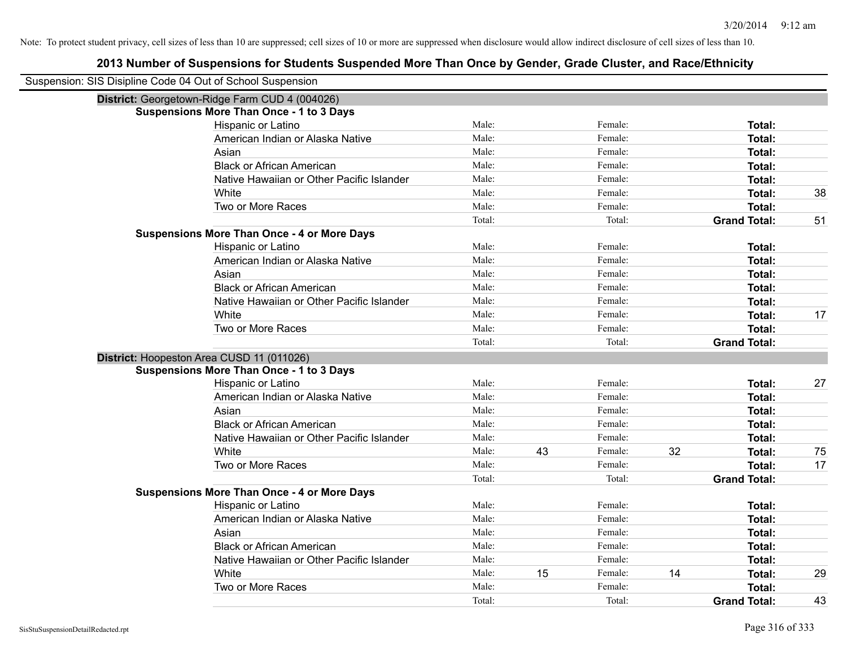| Suspension: SIS Disipline Code 04 Out of School Suspension |                                                    |        |    |         |    |                     |    |
|------------------------------------------------------------|----------------------------------------------------|--------|----|---------|----|---------------------|----|
|                                                            | District: Georgetown-Ridge Farm CUD 4 (004026)     |        |    |         |    |                     |    |
|                                                            | <b>Suspensions More Than Once - 1 to 3 Days</b>    |        |    |         |    |                     |    |
|                                                            | Hispanic or Latino                                 | Male:  |    | Female: |    | Total:              |    |
|                                                            | American Indian or Alaska Native                   | Male:  |    | Female: |    | Total:              |    |
|                                                            | Asian                                              | Male:  |    | Female: |    | Total:              |    |
|                                                            | <b>Black or African American</b>                   | Male:  |    | Female: |    | Total:              |    |
|                                                            | Native Hawaiian or Other Pacific Islander          | Male:  |    | Female: |    | Total:              |    |
|                                                            | White                                              | Male:  |    | Female: |    | Total:              | 38 |
|                                                            | Two or More Races                                  | Male:  |    | Female: |    | Total:              |    |
|                                                            |                                                    | Total: |    | Total:  |    | <b>Grand Total:</b> | 51 |
|                                                            | <b>Suspensions More Than Once - 4 or More Days</b> |        |    |         |    |                     |    |
|                                                            | Hispanic or Latino                                 | Male:  |    | Female: |    | Total:              |    |
|                                                            | American Indian or Alaska Native                   | Male:  |    | Female: |    | Total:              |    |
|                                                            | Asian                                              | Male:  |    | Female: |    | Total:              |    |
|                                                            | <b>Black or African American</b>                   | Male:  |    | Female: |    | Total:              |    |
|                                                            | Native Hawaiian or Other Pacific Islander          | Male:  |    | Female: |    | Total:              |    |
|                                                            | White                                              | Male:  |    | Female: |    | Total:              | 17 |
|                                                            | Two or More Races                                  | Male:  |    | Female: |    | Total:              |    |
|                                                            |                                                    | Total: |    | Total:  |    | <b>Grand Total:</b> |    |
|                                                            | District: Hoopeston Area CUSD 11 (011026)          |        |    |         |    |                     |    |
|                                                            | <b>Suspensions More Than Once - 1 to 3 Days</b>    |        |    |         |    |                     |    |
|                                                            | Hispanic or Latino                                 | Male:  |    | Female: |    | Total:              | 27 |
|                                                            | American Indian or Alaska Native                   | Male:  |    | Female: |    | Total:              |    |
|                                                            | Asian                                              | Male:  |    | Female: |    | Total:              |    |
|                                                            | <b>Black or African American</b>                   | Male:  |    | Female: |    | Total:              |    |
|                                                            | Native Hawaiian or Other Pacific Islander          | Male:  |    | Female: |    | Total:              |    |
|                                                            | White                                              | Male:  | 43 | Female: | 32 | Total:              | 75 |
|                                                            | Two or More Races                                  | Male:  |    | Female: |    | Total:              | 17 |
|                                                            |                                                    | Total: |    | Total:  |    | <b>Grand Total:</b> |    |
|                                                            | <b>Suspensions More Than Once - 4 or More Days</b> |        |    |         |    |                     |    |
|                                                            | Hispanic or Latino                                 | Male:  |    | Female: |    | Total:              |    |
|                                                            | American Indian or Alaska Native                   | Male:  |    | Female: |    | Total:              |    |
|                                                            | Asian                                              | Male:  |    | Female: |    | Total:              |    |
|                                                            | <b>Black or African American</b>                   | Male:  |    | Female: |    | Total:              |    |
|                                                            | Native Hawaiian or Other Pacific Islander          | Male:  |    | Female: |    | Total:              |    |
|                                                            | White                                              | Male:  | 15 | Female: | 14 | Total:              | 29 |
|                                                            | Two or More Races                                  | Male:  |    | Female: |    | Total:              |    |
|                                                            |                                                    | Total: |    | Total:  |    | <b>Grand Total:</b> | 43 |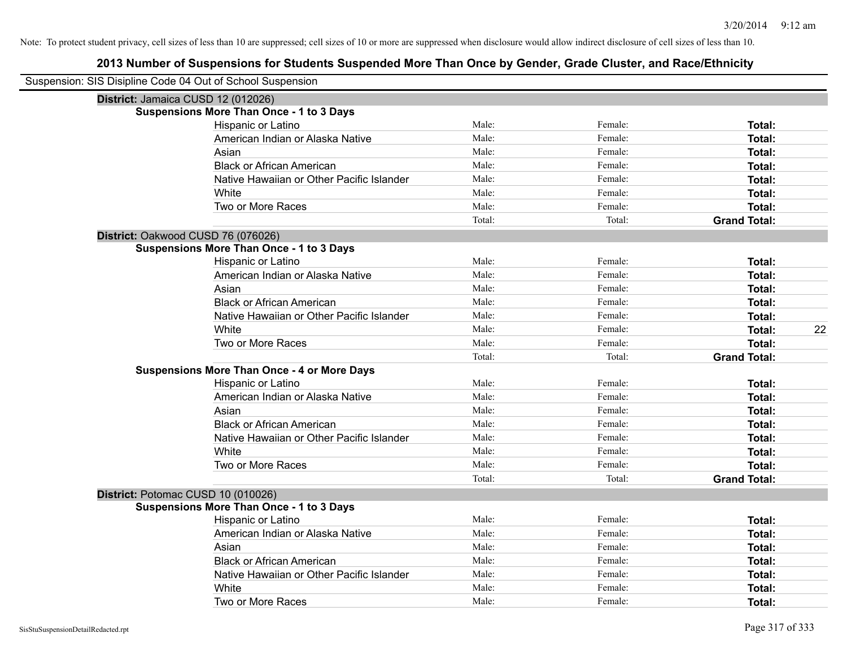| Suspension: SIS Disipline Code 04 Out of School Suspension |                                                    |        |         |                     |
|------------------------------------------------------------|----------------------------------------------------|--------|---------|---------------------|
| District: Jamaica CUSD 12 (012026)                         |                                                    |        |         |                     |
|                                                            | <b>Suspensions More Than Once - 1 to 3 Days</b>    |        |         |                     |
|                                                            | Hispanic or Latino                                 | Male:  | Female: | Total:              |
|                                                            | American Indian or Alaska Native                   | Male:  | Female: | <b>Total:</b>       |
|                                                            | Asian                                              | Male:  | Female: | <b>Total:</b>       |
|                                                            | <b>Black or African American</b>                   | Male:  | Female: | <b>Total:</b>       |
|                                                            | Native Hawaiian or Other Pacific Islander          | Male:  | Female: | <b>Total:</b>       |
|                                                            | White                                              | Male:  | Female: | Total:              |
|                                                            | Two or More Races                                  | Male:  | Female: | <b>Total:</b>       |
|                                                            |                                                    | Total: | Total:  | <b>Grand Total:</b> |
|                                                            | District: Oakwood CUSD 76 (076026)                 |        |         |                     |
|                                                            | <b>Suspensions More Than Once - 1 to 3 Days</b>    |        |         |                     |
|                                                            | Hispanic or Latino                                 | Male:  | Female: | Total:              |
|                                                            | American Indian or Alaska Native                   | Male:  | Female: | <b>Total:</b>       |
|                                                            | Asian                                              | Male:  | Female: | Total:              |
|                                                            | <b>Black or African American</b>                   | Male:  | Female: | Total:              |
|                                                            | Native Hawaiian or Other Pacific Islander          | Male:  | Female: | <b>Total:</b>       |
|                                                            | White                                              | Male:  | Female: | 22<br><b>Total:</b> |
|                                                            | Two or More Races                                  | Male:  | Female: | <b>Total:</b>       |
|                                                            |                                                    | Total: | Total:  | <b>Grand Total:</b> |
|                                                            | <b>Suspensions More Than Once - 4 or More Days</b> |        |         |                     |
|                                                            | Hispanic or Latino                                 | Male:  | Female: | Total:              |
|                                                            | American Indian or Alaska Native                   | Male:  | Female: | <b>Total:</b>       |
|                                                            | Asian                                              | Male:  | Female: | Total:              |
|                                                            | <b>Black or African American</b>                   | Male:  | Female: | <b>Total:</b>       |
|                                                            | Native Hawaiian or Other Pacific Islander          | Male:  | Female: | <b>Total:</b>       |
|                                                            | White                                              | Male:  | Female: | <b>Total:</b>       |
|                                                            | Two or More Races                                  | Male:  | Female: | <b>Total:</b>       |
|                                                            |                                                    | Total: | Total:  | <b>Grand Total:</b> |
| District: Potomac CUSD 10 (010026)                         |                                                    |        |         |                     |
|                                                            | <b>Suspensions More Than Once - 1 to 3 Days</b>    |        |         |                     |
|                                                            | Hispanic or Latino                                 | Male:  | Female: | Total:              |
|                                                            | American Indian or Alaska Native                   | Male:  | Female: | Total:              |
|                                                            | Asian                                              | Male:  | Female: | Total:              |
|                                                            | <b>Black or African American</b>                   | Male:  | Female: | <b>Total:</b>       |
|                                                            | Native Hawaiian or Other Pacific Islander          | Male:  | Female: | <b>Total:</b>       |
|                                                            | White                                              | Male:  | Female: | <b>Total:</b>       |
|                                                            | Two or More Races                                  | Male:  | Female: | Total:              |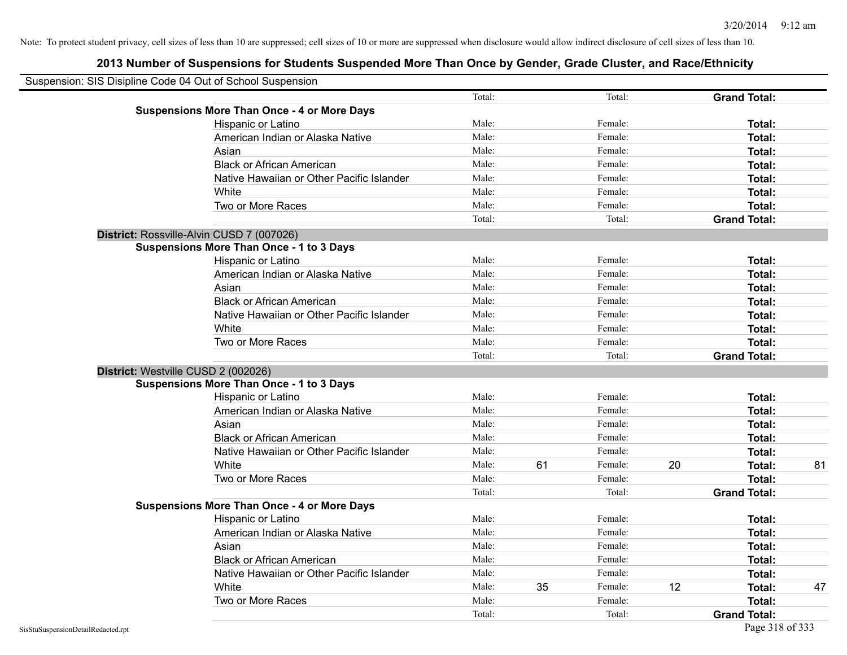| Suspension: SIS Disipline Code 04 Out of School Suspension |                                                    |                |    |         |    |                     |    |
|------------------------------------------------------------|----------------------------------------------------|----------------|----|---------|----|---------------------|----|
|                                                            |                                                    | Total:         |    | Total:  |    | <b>Grand Total:</b> |    |
|                                                            | <b>Suspensions More Than Once - 4 or More Days</b> | Male:          |    | Female: |    |                     |    |
|                                                            | Hispanic or Latino                                 | Male:          |    | Female: |    | Total:              |    |
|                                                            | American Indian or Alaska Native                   |                |    |         |    | Total:              |    |
|                                                            | Asian                                              | Male:<br>Male: |    | Female: |    | Total:              |    |
|                                                            | <b>Black or African American</b>                   |                |    | Female: |    | Total:              |    |
|                                                            | Native Hawaiian or Other Pacific Islander          | Male:          |    | Female: |    | Total:              |    |
|                                                            | White                                              | Male:          |    | Female: |    | Total:              |    |
|                                                            | Two or More Races                                  | Male:          |    | Female: |    | Total:              |    |
|                                                            |                                                    | Total:         |    | Total:  |    | <b>Grand Total:</b> |    |
|                                                            | District: Rossville-Alvin CUSD 7 (007026)          |                |    |         |    |                     |    |
|                                                            | <b>Suspensions More Than Once - 1 to 3 Days</b>    |                |    |         |    |                     |    |
|                                                            | Hispanic or Latino                                 | Male:          |    | Female: |    | Total:              |    |
|                                                            | American Indian or Alaska Native                   | Male:          |    | Female: |    | Total:              |    |
|                                                            | Asian                                              | Male:          |    | Female: |    | Total:              |    |
|                                                            | <b>Black or African American</b>                   | Male:          |    | Female: |    | Total:              |    |
|                                                            | Native Hawaiian or Other Pacific Islander          | Male:          |    | Female: |    | Total:              |    |
|                                                            | White                                              | Male:          |    | Female: |    | Total:              |    |
|                                                            | Two or More Races                                  | Male:          |    | Female: |    | Total:              |    |
|                                                            |                                                    | Total:         |    | Total:  |    | <b>Grand Total:</b> |    |
|                                                            | District: Westville CUSD 2 (002026)                |                |    |         |    |                     |    |
|                                                            | <b>Suspensions More Than Once - 1 to 3 Days</b>    |                |    |         |    |                     |    |
|                                                            | Hispanic or Latino                                 | Male:          |    | Female: |    | Total:              |    |
|                                                            | American Indian or Alaska Native                   | Male:          |    | Female: |    | Total:              |    |
|                                                            | Asian                                              | Male:          |    | Female: |    | Total:              |    |
|                                                            | <b>Black or African American</b>                   | Male:          |    | Female: |    | Total:              |    |
|                                                            | Native Hawaiian or Other Pacific Islander          | Male:          |    | Female: |    | Total:              |    |
|                                                            | White                                              | Male:          | 61 | Female: | 20 | Total:              | 81 |
|                                                            | Two or More Races                                  | Male:          |    | Female: |    | Total:              |    |
|                                                            |                                                    | Total:         |    | Total:  |    | <b>Grand Total:</b> |    |
|                                                            | <b>Suspensions More Than Once - 4 or More Days</b> |                |    |         |    |                     |    |
|                                                            | Hispanic or Latino                                 | Male:          |    | Female: |    | Total:              |    |
|                                                            | American Indian or Alaska Native                   | Male:          |    | Female: |    | Total:              |    |
|                                                            | Asian                                              | Male:          |    | Female: |    | Total:              |    |
|                                                            | <b>Black or African American</b>                   | Male:          |    | Female: |    | Total:              |    |
|                                                            | Native Hawaiian or Other Pacific Islander          | Male:          |    | Female: |    | Total:              |    |
|                                                            | White                                              | Male:          | 35 | Female: | 12 | Total:              | 47 |
|                                                            | Two or More Races                                  | Male:          |    | Female: |    | Total:              |    |
|                                                            |                                                    | Total:         |    | Total:  |    | <b>Grand Total:</b> |    |
| SisStuSuspensionDetailRedacted.rpt                         |                                                    |                |    |         |    | Page 318 of 333     |    |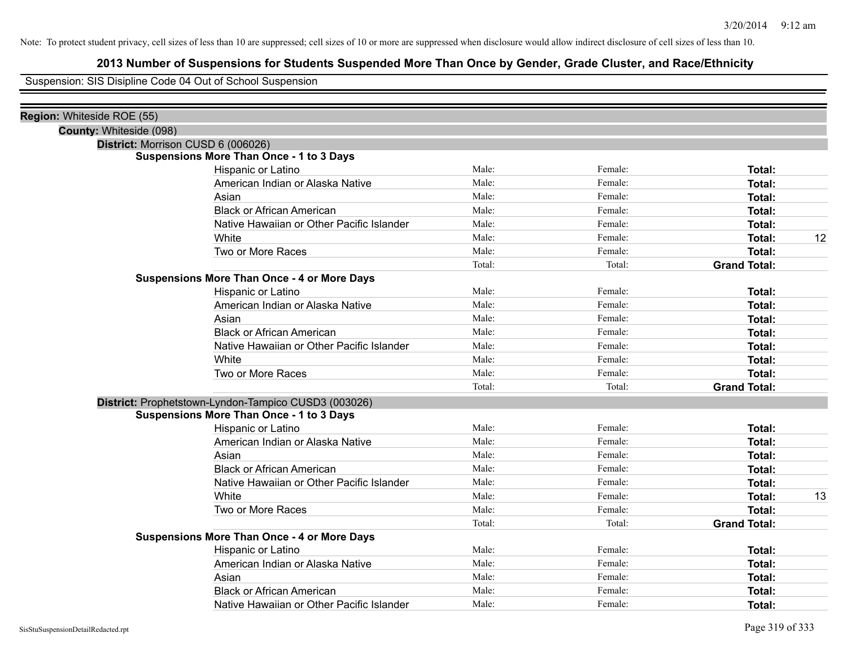# **2013 Number of Suspensions for Students Suspended More Than Once by Gender, Grade Cluster, and Race/Ethnicity**

Suspension: SIS Disipline Code 04 Out of School Suspension

| District: Morrison CUSD 6 (006026)                   |                                                                                                       |                         |                     |               |
|------------------------------------------------------|-------------------------------------------------------------------------------------------------------|-------------------------|---------------------|---------------|
|                                                      |                                                                                                       |                         |                     |               |
| Hispanic or Latino                                   |                                                                                                       | Female:                 | Total:              |               |
| American Indian or Alaska Native                     | Male:                                                                                                 | Female:                 | <b>Total:</b>       |               |
| Asian                                                | Male:                                                                                                 | Female:                 | Total:              |               |
| <b>Black or African American</b>                     | Male:                                                                                                 | Female:                 | <b>Total:</b>       |               |
| Native Hawaiian or Other Pacific Islander            | Male:                                                                                                 | Female:                 | <b>Total:</b>       |               |
| White                                                |                                                                                                       | Female:                 | Total:              | 12            |
| Two or More Races                                    | Male:                                                                                                 | Female:                 | Total:              |               |
|                                                      | Total:                                                                                                | Total:                  | <b>Grand Total:</b> |               |
| <b>Suspensions More Than Once - 4 or More Days</b>   |                                                                                                       |                         |                     |               |
| Hispanic or Latino                                   | Male:                                                                                                 | Female:                 |                     |               |
| American Indian or Alaska Native                     |                                                                                                       | Female:                 | Total:              |               |
| Asian                                                | Male:                                                                                                 | Female:                 | Total:              |               |
| <b>Black or African American</b>                     | Male:                                                                                                 | Female:                 | Total:              |               |
| Native Hawaiian or Other Pacific Islander            | Male:                                                                                                 | Female:                 | Total:              |               |
| White                                                | Male:                                                                                                 | Female:                 | Total:              |               |
| Two or More Races                                    | Male:                                                                                                 | Female:                 | Total:              |               |
|                                                      | Total:                                                                                                | Total:                  | <b>Grand Total:</b> |               |
| District: Prophetstown-Lyndon-Tampico CUSD3 (003026) |                                                                                                       |                         |                     |               |
| <b>Suspensions More Than Once - 1 to 3 Days</b>      |                                                                                                       |                         |                     |               |
| Hispanic or Latino                                   | Male:                                                                                                 | Female:                 | Total:              |               |
| American Indian or Alaska Native                     | Male:                                                                                                 | Female:                 | Total:              |               |
| Asian                                                | Male:                                                                                                 | Female:                 | Total:              |               |
| <b>Black or African American</b>                     | Male:                                                                                                 | Female:                 | Total:              |               |
| Native Hawaiian or Other Pacific Islander            | Male:                                                                                                 | Female:                 | Total:              |               |
| White                                                | Male:                                                                                                 | Female:                 | Total:              | 13            |
| Two or More Races                                    | Male:                                                                                                 | Female:                 | Total:              |               |
|                                                      | Total:                                                                                                | Total:                  | <b>Grand Total:</b> |               |
|                                                      |                                                                                                       |                         |                     |               |
| Hispanic or Latino                                   | Male:                                                                                                 | Female:                 | Total:              |               |
| American Indian or Alaska Native                     | Male:                                                                                                 | Female:                 | Total:              |               |
| Asian                                                | Male:                                                                                                 | Female:                 | Total:              |               |
| <b>Black or African American</b>                     | Male:                                                                                                 | Female:                 | Total:              |               |
| Native Hawaiian or Other Pacific Islander            | Male:                                                                                                 | Female:                 | Total:              |               |
|                                                      | <b>Suspensions More Than Once - 1 to 3 Days</b><br><b>Suspensions More Than Once - 4 or More Days</b> | Male:<br>Male:<br>Male: |                     | <b>Total:</b> |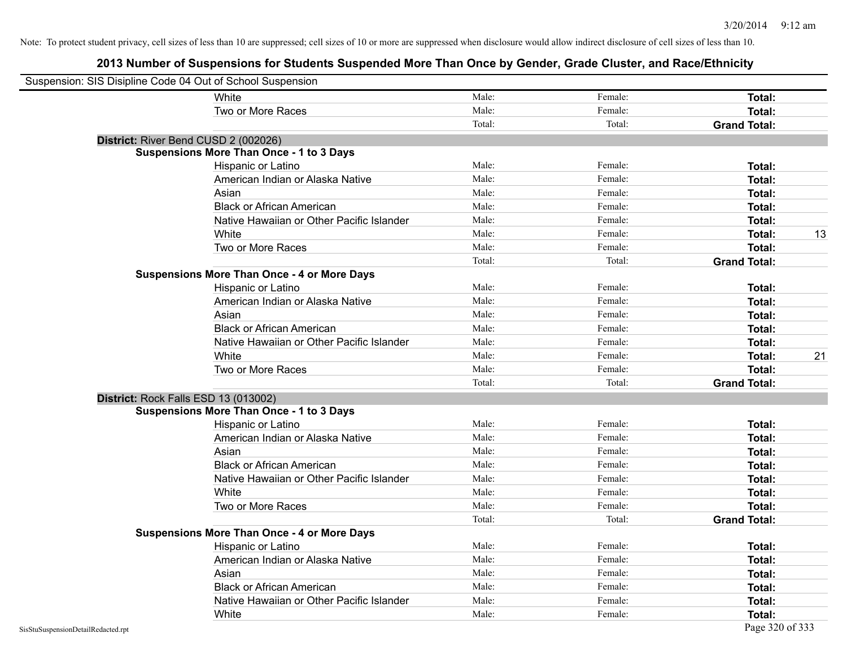| Suspension: SIS Disipline Code 04 Out of School Suspension |                                                    |        |         |                     |    |
|------------------------------------------------------------|----------------------------------------------------|--------|---------|---------------------|----|
|                                                            | White                                              | Male:  | Female: | Total:              |    |
|                                                            | Two or More Races                                  | Male:  | Female: | Total:              |    |
|                                                            |                                                    | Total: | Total:  | <b>Grand Total:</b> |    |
|                                                            | District: River Bend CUSD 2 (002026)               |        |         |                     |    |
|                                                            | <b>Suspensions More Than Once - 1 to 3 Days</b>    |        |         |                     |    |
|                                                            | Hispanic or Latino                                 | Male:  | Female: | Total:              |    |
|                                                            | American Indian or Alaska Native                   | Male:  | Female: | Total:              |    |
|                                                            | Asian                                              | Male:  | Female: | Total:              |    |
|                                                            | <b>Black or African American</b>                   | Male:  | Female: | Total:              |    |
|                                                            | Native Hawaiian or Other Pacific Islander          | Male:  | Female: | Total:              |    |
|                                                            | White                                              | Male:  | Female: | Total:              | 13 |
|                                                            | Two or More Races                                  | Male:  | Female: | Total:              |    |
|                                                            |                                                    | Total: | Total:  | <b>Grand Total:</b> |    |
|                                                            | <b>Suspensions More Than Once - 4 or More Days</b> |        |         |                     |    |
|                                                            | Hispanic or Latino                                 | Male:  | Female: | Total:              |    |
|                                                            | American Indian or Alaska Native                   | Male:  | Female: | Total:              |    |
|                                                            | Asian                                              | Male:  | Female: | Total:              |    |
|                                                            | <b>Black or African American</b>                   | Male:  | Female: | Total:              |    |
|                                                            | Native Hawaiian or Other Pacific Islander          | Male:  | Female: | Total:              |    |
|                                                            | White                                              | Male:  | Female: | Total:              | 21 |
|                                                            | Two or More Races                                  | Male:  | Female: | Total:              |    |
|                                                            |                                                    | Total: | Total:  | <b>Grand Total:</b> |    |
| District: Rock Falls ESD 13 (013002)                       |                                                    |        |         |                     |    |
|                                                            | <b>Suspensions More Than Once - 1 to 3 Days</b>    |        |         |                     |    |
|                                                            | Hispanic or Latino                                 | Male:  | Female: | Total:              |    |
|                                                            | American Indian or Alaska Native                   | Male:  | Female: | Total:              |    |
|                                                            | Asian                                              | Male:  | Female: | Total:              |    |
|                                                            | <b>Black or African American</b>                   | Male:  | Female: | Total:              |    |
|                                                            | Native Hawaiian or Other Pacific Islander          | Male:  | Female: | Total:              |    |
|                                                            | White                                              | Male:  | Female: | Total:              |    |
|                                                            | Two or More Races                                  | Male:  | Female: | Total:              |    |
|                                                            |                                                    | Total: | Total:  | <b>Grand Total:</b> |    |
|                                                            | <b>Suspensions More Than Once - 4 or More Days</b> |        |         |                     |    |
|                                                            | Hispanic or Latino                                 | Male:  | Female: | Total:              |    |
|                                                            | American Indian or Alaska Native                   | Male:  | Female: | Total:              |    |
|                                                            | Asian                                              | Male:  | Female: | Total:              |    |
|                                                            | <b>Black or African American</b>                   | Male:  | Female: | Total:              |    |
|                                                            | Native Hawaiian or Other Pacific Islander          | Male:  | Female: | Total:              |    |
|                                                            | White                                              | Male:  | Female: | Total:              |    |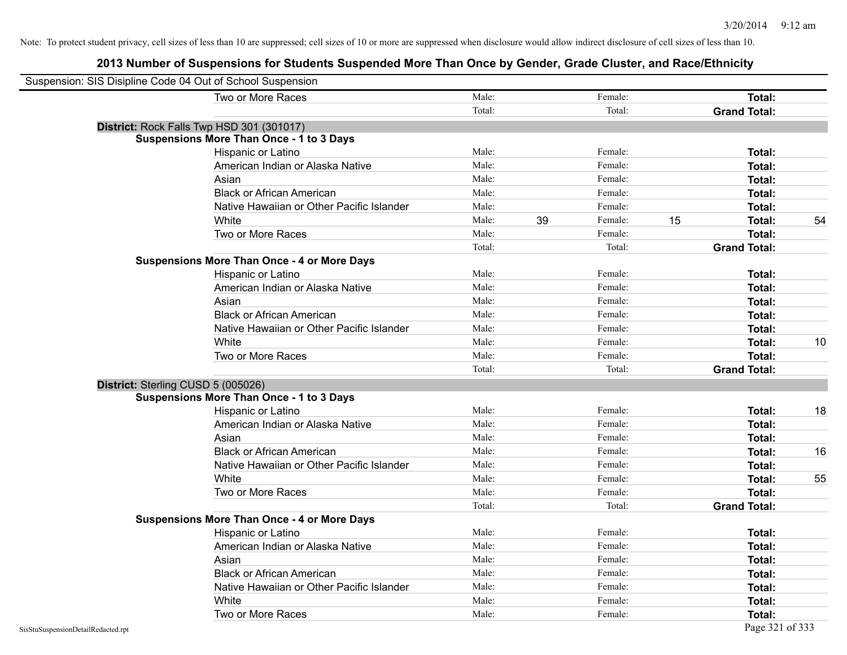| Suspension: SIS Disipline Code 04 Out of School Suspension |                                                    |        |    |         |    |                     |    |
|------------------------------------------------------------|----------------------------------------------------|--------|----|---------|----|---------------------|----|
|                                                            | Two or More Races                                  | Male:  |    | Female: |    | Total:              |    |
|                                                            |                                                    | Total: |    | Total:  |    | <b>Grand Total:</b> |    |
| District: Rock Falls Twp HSD 301 (301017)                  |                                                    |        |    |         |    |                     |    |
|                                                            | <b>Suspensions More Than Once - 1 to 3 Days</b>    |        |    |         |    |                     |    |
|                                                            | Hispanic or Latino                                 | Male:  |    | Female: |    | Total:              |    |
|                                                            | American Indian or Alaska Native                   | Male:  |    | Female: |    | Total:              |    |
|                                                            | Asian                                              | Male:  |    | Female: |    | Total:              |    |
|                                                            | <b>Black or African American</b>                   | Male:  |    | Female: |    | Total:              |    |
|                                                            | Native Hawaiian or Other Pacific Islander          | Male:  |    | Female: |    | Total:              |    |
|                                                            | White                                              | Male:  | 39 | Female: | 15 | Total:              | 54 |
|                                                            | Two or More Races                                  | Male:  |    | Female: |    | Total:              |    |
|                                                            |                                                    | Total: |    | Total:  |    | <b>Grand Total:</b> |    |
|                                                            | <b>Suspensions More Than Once - 4 or More Days</b> |        |    |         |    |                     |    |
|                                                            | Hispanic or Latino                                 | Male:  |    | Female: |    | Total:              |    |
|                                                            | American Indian or Alaska Native                   | Male:  |    | Female: |    | Total:              |    |
|                                                            | Asian                                              | Male:  |    | Female: |    | Total:              |    |
|                                                            | <b>Black or African American</b>                   | Male:  |    | Female: |    | Total:              |    |
|                                                            | Native Hawaiian or Other Pacific Islander          | Male:  |    | Female: |    | Total:              |    |
|                                                            | White                                              | Male:  |    | Female: |    | Total:              | 10 |
|                                                            | Two or More Races                                  | Male:  |    | Female: |    | Total:              |    |
|                                                            |                                                    | Total: |    | Total:  |    | <b>Grand Total:</b> |    |
| District: Sterling CUSD 5 (005026)                         |                                                    |        |    |         |    |                     |    |
|                                                            | <b>Suspensions More Than Once - 1 to 3 Days</b>    |        |    |         |    |                     |    |
|                                                            | Hispanic or Latino                                 | Male:  |    | Female: |    | Total:              | 18 |
|                                                            | American Indian or Alaska Native                   | Male:  |    | Female: |    | Total:              |    |
|                                                            | Asian                                              | Male:  |    | Female: |    | Total:              |    |
|                                                            | <b>Black or African American</b>                   | Male:  |    | Female: |    | Total:              | 16 |
|                                                            | Native Hawaiian or Other Pacific Islander          | Male:  |    | Female: |    | Total:              |    |
|                                                            | White                                              | Male:  |    | Female: |    | Total:              | 55 |
|                                                            | Two or More Races                                  | Male:  |    | Female: |    | Total:              |    |
|                                                            |                                                    | Total: |    | Total:  |    | <b>Grand Total:</b> |    |
|                                                            | <b>Suspensions More Than Once - 4 or More Days</b> |        |    |         |    |                     |    |
|                                                            | Hispanic or Latino                                 | Male:  |    | Female: |    | Total:              |    |
|                                                            | American Indian or Alaska Native                   | Male:  |    | Female: |    | Total:              |    |
|                                                            | Asian                                              | Male:  |    | Female: |    | Total:              |    |
|                                                            | <b>Black or African American</b>                   | Male:  |    | Female: |    | Total:              |    |
|                                                            | Native Hawaiian or Other Pacific Islander          | Male:  |    | Female: |    | Total:              |    |
|                                                            | White                                              | Male:  |    | Female: |    | Total:              |    |
|                                                            | Two or More Races                                  | Male:  |    | Female: |    | Total:              |    |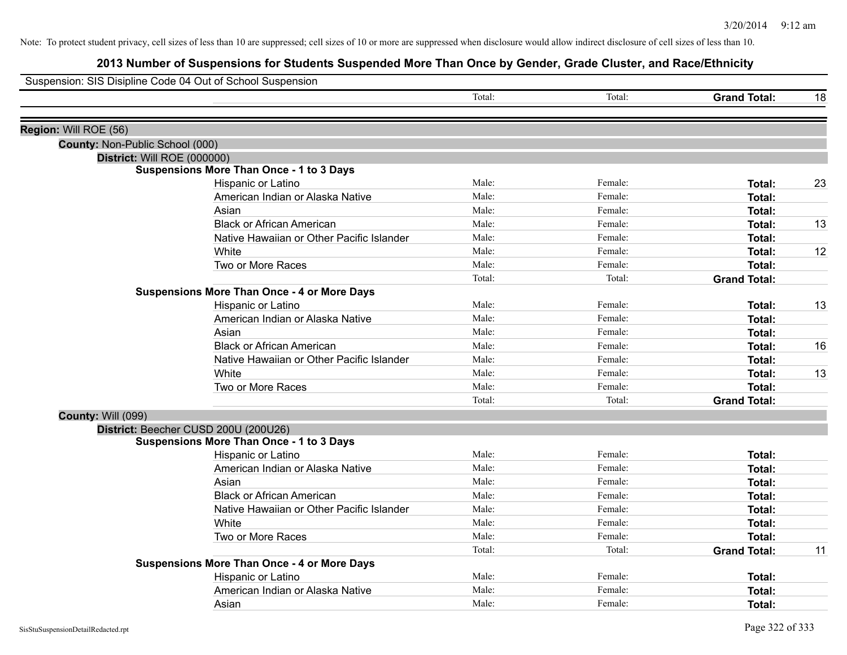| Suspension: SIS Disipline Code 04 Out of School Suspension |                                                    |        |         |                     |    |
|------------------------------------------------------------|----------------------------------------------------|--------|---------|---------------------|----|
|                                                            |                                                    | Total: | Total:  | <b>Grand Total:</b> | 18 |
| Region: Will ROE (56)                                      |                                                    |        |         |                     |    |
| County: Non-Public School (000)                            |                                                    |        |         |                     |    |
| District: Will ROE (000000)                                |                                                    |        |         |                     |    |
|                                                            | <b>Suspensions More Than Once - 1 to 3 Days</b>    |        |         |                     |    |
|                                                            | Hispanic or Latino                                 | Male:  | Female: | Total:              | 23 |
|                                                            | American Indian or Alaska Native                   | Male:  | Female: | <b>Total:</b>       |    |
|                                                            | Asian                                              | Male:  | Female: | Total:              |    |
|                                                            | <b>Black or African American</b>                   | Male:  | Female: | <b>Total:</b>       | 13 |
|                                                            | Native Hawaiian or Other Pacific Islander          | Male:  | Female: | <b>Total:</b>       |    |
|                                                            | White                                              | Male:  | Female: | <b>Total:</b>       | 12 |
|                                                            | Two or More Races                                  | Male:  | Female: | <b>Total:</b>       |    |
|                                                            |                                                    | Total: | Total:  | <b>Grand Total:</b> |    |
|                                                            | <b>Suspensions More Than Once - 4 or More Days</b> |        |         |                     |    |
|                                                            | Hispanic or Latino                                 | Male:  | Female: | Total:              | 13 |
|                                                            | American Indian or Alaska Native                   | Male:  | Female: | Total:              |    |
|                                                            | Asian                                              | Male:  | Female: | <b>Total:</b>       |    |
|                                                            | <b>Black or African American</b>                   | Male:  | Female: | <b>Total:</b>       | 16 |
|                                                            | Native Hawaiian or Other Pacific Islander          | Male:  | Female: | <b>Total:</b>       |    |
|                                                            | White                                              | Male:  | Female: | <b>Total:</b>       | 13 |
|                                                            | Two or More Races                                  | Male:  | Female: | <b>Total:</b>       |    |
|                                                            |                                                    | Total: | Total:  | <b>Grand Total:</b> |    |
| <b>County: Will (099)</b>                                  |                                                    |        |         |                     |    |
|                                                            | District: Beecher CUSD 200U (200U26)               |        |         |                     |    |
|                                                            | <b>Suspensions More Than Once - 1 to 3 Days</b>    |        |         |                     |    |
|                                                            | Hispanic or Latino                                 | Male:  | Female: | <b>Total:</b>       |    |
|                                                            | American Indian or Alaska Native                   | Male:  | Female: | Total:              |    |
|                                                            | Asian                                              | Male:  | Female: | <b>Total:</b>       |    |
|                                                            | <b>Black or African American</b>                   | Male:  | Female: | <b>Total:</b>       |    |
|                                                            | Native Hawaiian or Other Pacific Islander          | Male:  | Female: | <b>Total:</b>       |    |
|                                                            | White                                              | Male:  | Female: | Total:              |    |
|                                                            | Two or More Races                                  | Male:  | Female: | Total:              |    |
|                                                            |                                                    | Total: | Total:  | <b>Grand Total:</b> | 11 |
|                                                            | <b>Suspensions More Than Once - 4 or More Days</b> |        |         |                     |    |
|                                                            | Hispanic or Latino                                 | Male:  | Female: | <b>Total:</b>       |    |
|                                                            | American Indian or Alaska Native                   | Male:  | Female: | <b>Total:</b>       |    |
|                                                            | Asian                                              | Male:  | Female: | Total:              |    |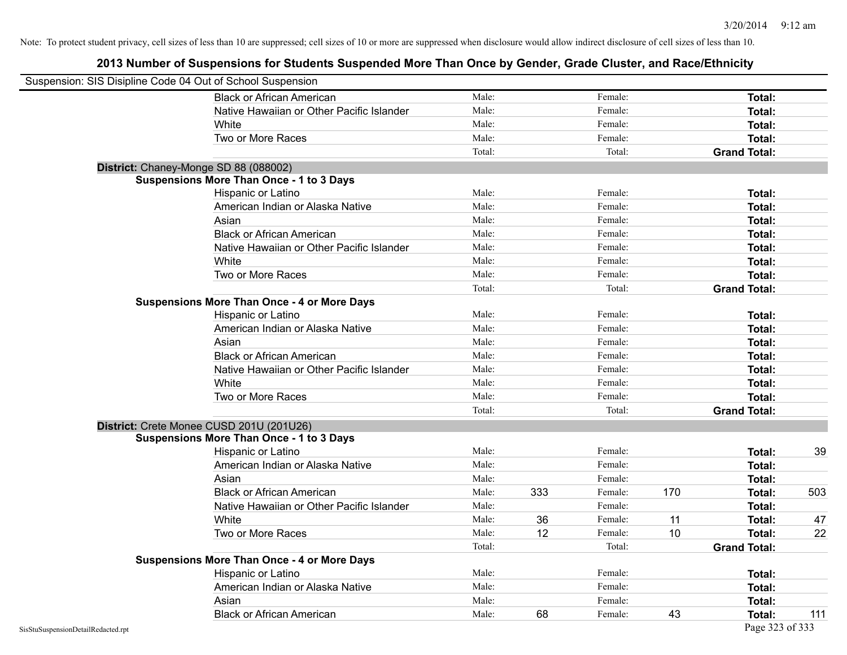| Suspension: SIS Disipline Code 04 Out of School Suspension<br><b>Black or African American</b> | Male:  |     |         |     |                     |     |
|------------------------------------------------------------------------------------------------|--------|-----|---------|-----|---------------------|-----|
|                                                                                                |        |     |         |     |                     |     |
|                                                                                                |        |     | Female: |     | Total:              |     |
| Native Hawaiian or Other Pacific Islander                                                      | Male:  |     | Female: |     | Total:              |     |
| White                                                                                          | Male:  |     | Female: |     | Total:              |     |
| Two or More Races                                                                              | Male:  |     | Female: |     | Total:              |     |
|                                                                                                | Total: |     | Total:  |     | <b>Grand Total:</b> |     |
| District: Chaney-Monge SD 88 (088002)                                                          |        |     |         |     |                     |     |
| <b>Suspensions More Than Once - 1 to 3 Days</b>                                                |        |     |         |     |                     |     |
| Hispanic or Latino                                                                             | Male:  |     | Female: |     | Total:              |     |
| American Indian or Alaska Native                                                               | Male:  |     | Female: |     | Total:              |     |
| Asian                                                                                          | Male:  |     | Female: |     | Total:              |     |
| <b>Black or African American</b>                                                               | Male:  |     | Female: |     | Total:              |     |
| Native Hawaiian or Other Pacific Islander                                                      | Male:  |     | Female: |     | Total:              |     |
| White                                                                                          | Male:  |     | Female: |     | Total:              |     |
| Two or More Races                                                                              | Male:  |     | Female: |     | Total:              |     |
|                                                                                                | Total: |     | Total:  |     | <b>Grand Total:</b> |     |
| <b>Suspensions More Than Once - 4 or More Days</b>                                             |        |     |         |     |                     |     |
| Hispanic or Latino                                                                             | Male:  |     | Female: |     | Total:              |     |
| American Indian or Alaska Native                                                               | Male:  |     | Female: |     | Total:              |     |
| Asian                                                                                          | Male:  |     | Female: |     | Total:              |     |
| <b>Black or African American</b>                                                               | Male:  |     | Female: |     | Total:              |     |
| Native Hawaiian or Other Pacific Islander                                                      | Male:  |     | Female: |     | Total:              |     |
| White                                                                                          | Male:  |     | Female: |     | Total:              |     |
| Two or More Races                                                                              | Male:  |     | Female: |     | Total:              |     |
|                                                                                                | Total: |     | Total:  |     | <b>Grand Total:</b> |     |
| District: Crete Monee CUSD 201U (201U26)                                                       |        |     |         |     |                     |     |
| <b>Suspensions More Than Once - 1 to 3 Days</b>                                                |        |     |         |     |                     |     |
| Hispanic or Latino                                                                             | Male:  |     | Female: |     | Total:              | 39  |
| American Indian or Alaska Native                                                               | Male:  |     | Female: |     | Total:              |     |
| Asian                                                                                          | Male:  |     | Female: |     | Total:              |     |
| <b>Black or African American</b>                                                               | Male:  | 333 | Female: | 170 | Total:              | 503 |
| Native Hawaiian or Other Pacific Islander                                                      | Male:  |     | Female: |     | Total:              |     |
| White                                                                                          | Male:  | 36  | Female: | 11  | Total:              | 47  |
| Two or More Races                                                                              | Male:  | 12  | Female: | 10  | Total:              | 22  |
|                                                                                                | Total: |     | Total:  |     | <b>Grand Total:</b> |     |
| <b>Suspensions More Than Once - 4 or More Days</b>                                             |        |     |         |     |                     |     |
| Hispanic or Latino                                                                             | Male:  |     | Female: |     | Total:              |     |
| American Indian or Alaska Native                                                               | Male:  |     | Female: |     | Total:              |     |
| Asian                                                                                          | Male:  |     | Female: |     | Total:              |     |
| <b>Black or African American</b>                                                               | Male:  | 68  | Female: | 43  | Total:              | 111 |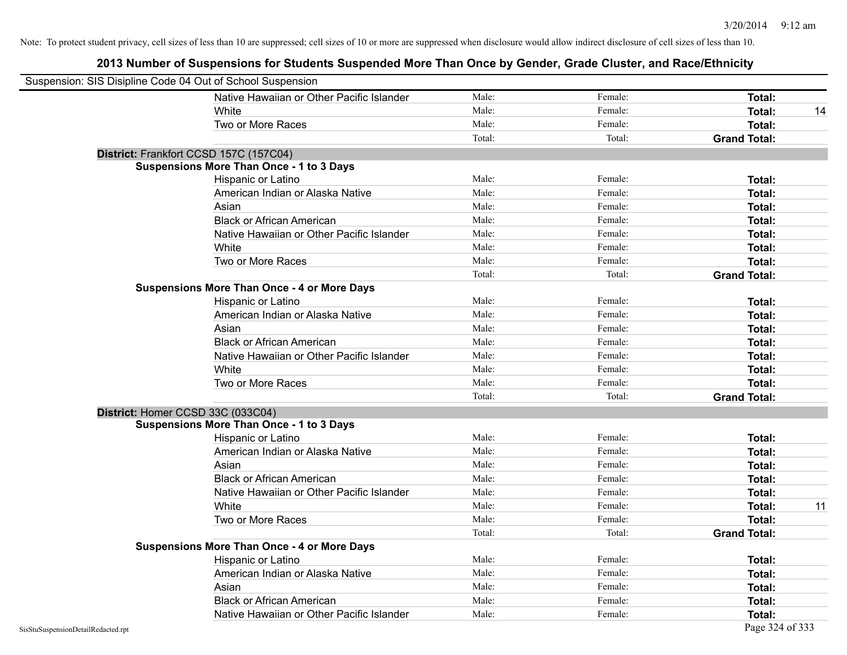| Suspension: SIS Disipline Code 04 Out of School Suspension |                                                    |        |         |                     |    |
|------------------------------------------------------------|----------------------------------------------------|--------|---------|---------------------|----|
|                                                            | Native Hawaiian or Other Pacific Islander          | Male:  | Female: | <b>Total:</b>       |    |
|                                                            | White                                              | Male:  | Female: | Total:              | 14 |
|                                                            | Two or More Races                                  | Male:  | Female: | Total:              |    |
|                                                            |                                                    | Total: | Total:  | <b>Grand Total:</b> |    |
| District: Frankfort CCSD 157C (157C04)                     |                                                    |        |         |                     |    |
|                                                            | <b>Suspensions More Than Once - 1 to 3 Days</b>    |        |         |                     |    |
|                                                            | Hispanic or Latino                                 | Male:  | Female: | Total:              |    |
|                                                            | American Indian or Alaska Native                   | Male:  | Female: | <b>Total:</b>       |    |
|                                                            | Asian                                              | Male:  | Female: | <b>Total:</b>       |    |
|                                                            | <b>Black or African American</b>                   | Male:  | Female: | Total:              |    |
|                                                            | Native Hawaiian or Other Pacific Islander          | Male:  | Female: | Total:              |    |
|                                                            | White                                              | Male:  | Female: | Total:              |    |
|                                                            | Two or More Races                                  | Male:  | Female: | Total:              |    |
|                                                            |                                                    | Total: | Total:  | <b>Grand Total:</b> |    |
|                                                            | <b>Suspensions More Than Once - 4 or More Days</b> |        |         |                     |    |
|                                                            | Hispanic or Latino                                 | Male:  | Female: | Total:              |    |
|                                                            | American Indian or Alaska Native                   | Male:  | Female: | <b>Total:</b>       |    |
|                                                            | Asian                                              | Male:  | Female: | Total:              |    |
|                                                            | <b>Black or African American</b>                   | Male:  | Female: | <b>Total:</b>       |    |
|                                                            | Native Hawaiian or Other Pacific Islander          | Male:  | Female: | <b>Total:</b>       |    |
|                                                            | White                                              | Male:  | Female: | Total:              |    |
|                                                            | Two or More Races                                  | Male:  | Female: | Total:              |    |
|                                                            |                                                    | Total: | Total:  | <b>Grand Total:</b> |    |
| District: Homer CCSD 33C (033C04)                          |                                                    |        |         |                     |    |
|                                                            | <b>Suspensions More Than Once - 1 to 3 Days</b>    |        |         |                     |    |
|                                                            | Hispanic or Latino                                 | Male:  | Female: | Total:              |    |
|                                                            | American Indian or Alaska Native                   | Male:  | Female: | <b>Total:</b>       |    |
|                                                            | Asian                                              | Male:  | Female: | Total:              |    |
|                                                            | <b>Black or African American</b>                   | Male:  | Female: | Total:              |    |
|                                                            | Native Hawaiian or Other Pacific Islander          | Male:  | Female: | <b>Total:</b>       |    |
|                                                            | White                                              | Male:  | Female: | <b>Total:</b>       | 11 |
|                                                            | Two or More Races                                  | Male:  | Female: | <b>Total:</b>       |    |
|                                                            |                                                    | Total: | Total:  | <b>Grand Total:</b> |    |
|                                                            | <b>Suspensions More Than Once - 4 or More Days</b> |        |         |                     |    |
|                                                            | Hispanic or Latino                                 | Male:  | Female: | Total:              |    |
|                                                            | American Indian or Alaska Native                   | Male:  | Female: | <b>Total:</b>       |    |
|                                                            | Asian                                              | Male:  | Female: | <b>Total:</b>       |    |
|                                                            | <b>Black or African American</b>                   | Male:  | Female: | <b>Total:</b>       |    |
|                                                            | Native Hawaiian or Other Pacific Islander          | Male:  | Female: | Total:              |    |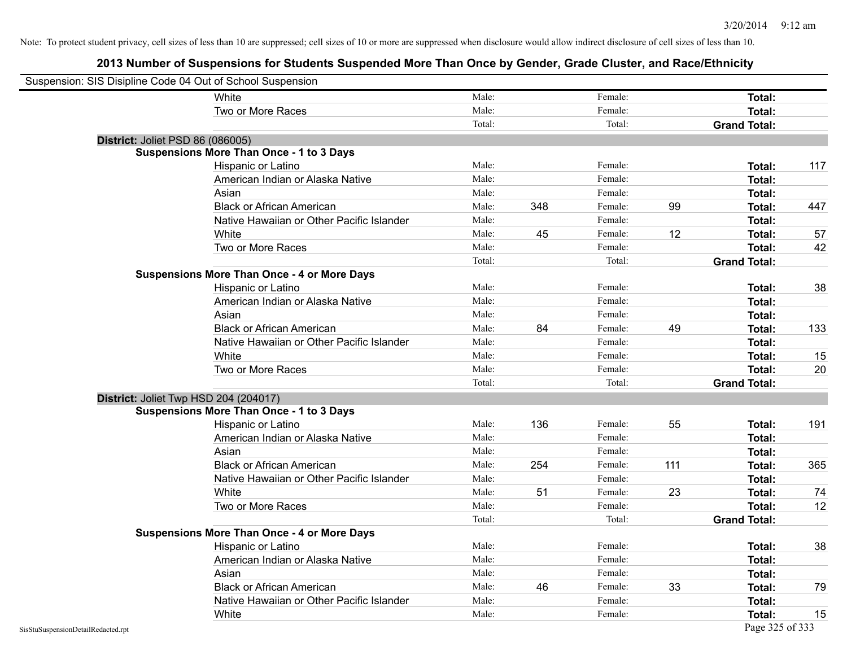| Suspension: SIS Disipline Code 04 Out of School Suspension |                                                    |        |     |         |     |                     |     |
|------------------------------------------------------------|----------------------------------------------------|--------|-----|---------|-----|---------------------|-----|
|                                                            | White                                              | Male:  |     | Female: |     | Total:              |     |
|                                                            | Two or More Races                                  | Male:  |     | Female: |     | Total:              |     |
|                                                            |                                                    | Total: |     | Total:  |     | <b>Grand Total:</b> |     |
| District: Joliet PSD 86 (086005)                           |                                                    |        |     |         |     |                     |     |
|                                                            | <b>Suspensions More Than Once - 1 to 3 Days</b>    |        |     |         |     |                     |     |
|                                                            | Hispanic or Latino                                 | Male:  |     | Female: |     | Total:              | 117 |
|                                                            | American Indian or Alaska Native                   | Male:  |     | Female: |     | <b>Total:</b>       |     |
|                                                            | Asian                                              | Male:  |     | Female: |     | Total:              |     |
|                                                            | <b>Black or African American</b>                   | Male:  | 348 | Female: | 99  | Total:              | 447 |
|                                                            | Native Hawaiian or Other Pacific Islander          | Male:  |     | Female: |     | Total:              |     |
|                                                            | White                                              | Male:  | 45  | Female: | 12  | Total:              | 57  |
|                                                            | Two or More Races                                  | Male:  |     | Female: |     | <b>Total:</b>       | 42  |
|                                                            |                                                    | Total: |     | Total:  |     | <b>Grand Total:</b> |     |
|                                                            | <b>Suspensions More Than Once - 4 or More Days</b> |        |     |         |     |                     |     |
|                                                            | Hispanic or Latino                                 | Male:  |     | Female: |     | Total:              | 38  |
|                                                            | American Indian or Alaska Native                   | Male:  |     | Female: |     | Total:              |     |
|                                                            | Asian                                              | Male:  |     | Female: |     | Total:              |     |
|                                                            | <b>Black or African American</b>                   | Male:  | 84  | Female: | 49  | <b>Total:</b>       | 133 |
|                                                            | Native Hawaiian or Other Pacific Islander          | Male:  |     | Female: |     | <b>Total:</b>       |     |
|                                                            | White                                              | Male:  |     | Female: |     | Total:              | 15  |
|                                                            | Two or More Races                                  | Male:  |     | Female: |     | Total:              | 20  |
|                                                            |                                                    | Total: |     | Total:  |     | <b>Grand Total:</b> |     |
|                                                            | District: Joliet Twp HSD 204 (204017)              |        |     |         |     |                     |     |
|                                                            | <b>Suspensions More Than Once - 1 to 3 Days</b>    |        |     |         |     |                     |     |
|                                                            | Hispanic or Latino                                 | Male:  | 136 | Female: | 55  | Total:              | 191 |
|                                                            | American Indian or Alaska Native                   | Male:  |     | Female: |     | <b>Total:</b>       |     |
|                                                            | Asian                                              | Male:  |     | Female: |     | Total:              |     |
|                                                            | <b>Black or African American</b>                   | Male:  | 254 | Female: | 111 | Total:              | 365 |
|                                                            | Native Hawaiian or Other Pacific Islander          | Male:  |     | Female: |     | Total:              |     |
|                                                            | White                                              | Male:  | 51  | Female: | 23  | Total:              | 74  |
|                                                            | Two or More Races                                  | Male:  |     | Female: |     | Total:              | 12  |
|                                                            |                                                    | Total: |     | Total:  |     | <b>Grand Total:</b> |     |
|                                                            | <b>Suspensions More Than Once - 4 or More Days</b> |        |     |         |     |                     |     |
|                                                            | Hispanic or Latino                                 | Male:  |     | Female: |     | Total:              | 38  |
|                                                            | American Indian or Alaska Native                   | Male:  |     | Female: |     | Total:              |     |
|                                                            | Asian                                              | Male:  |     | Female: |     | Total:              |     |
|                                                            | <b>Black or African American</b>                   | Male:  | 46  | Female: | 33  | <b>Total:</b>       | 79  |
|                                                            | Native Hawaiian or Other Pacific Islander          | Male:  |     | Female: |     | Total:              |     |
|                                                            | White                                              | Male:  |     | Female: |     | <b>Total:</b>       | 15  |
| SisStuSuspensionDetailRedacted.rpt                         |                                                    |        |     |         |     | Page 325 of 333     |     |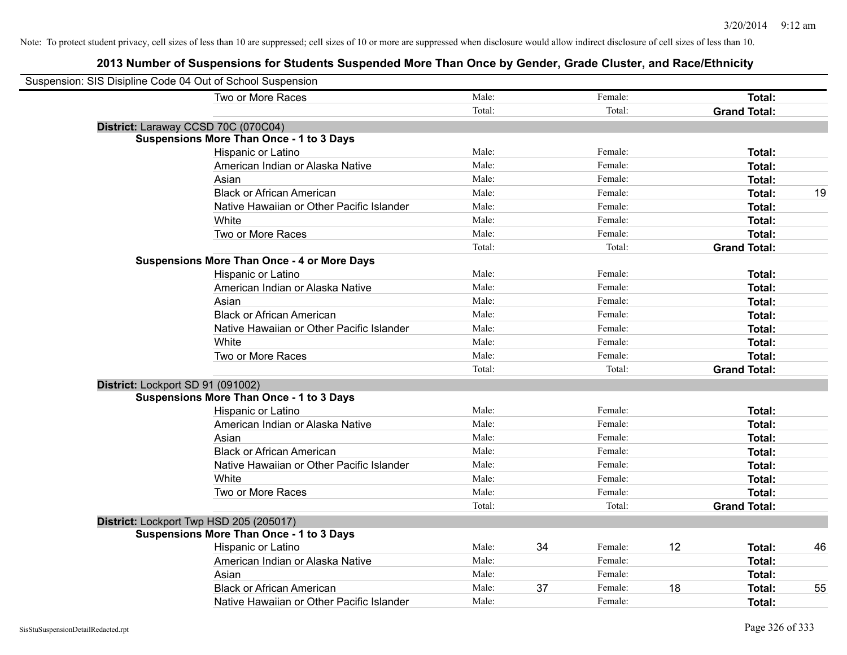| Suspension: SIS Disipline Code 04 Out of School Suspension |                                                    |        |    |         |    |                     |    |
|------------------------------------------------------------|----------------------------------------------------|--------|----|---------|----|---------------------|----|
|                                                            | Two or More Races                                  | Male:  |    | Female: |    | <b>Total:</b>       |    |
|                                                            |                                                    | Total: |    | Total:  |    | <b>Grand Total:</b> |    |
|                                                            | District: Laraway CCSD 70C (070C04)                |        |    |         |    |                     |    |
|                                                            | <b>Suspensions More Than Once - 1 to 3 Days</b>    |        |    |         |    |                     |    |
|                                                            | Hispanic or Latino                                 | Male:  |    | Female: |    | Total:              |    |
|                                                            | American Indian or Alaska Native                   | Male:  |    | Female: |    | Total:              |    |
|                                                            | Asian                                              | Male:  |    | Female: |    | Total:              |    |
|                                                            | <b>Black or African American</b>                   | Male:  |    | Female: |    | Total:              | 19 |
|                                                            | Native Hawaiian or Other Pacific Islander          | Male:  |    | Female: |    | Total:              |    |
|                                                            | White                                              | Male:  |    | Female: |    | Total:              |    |
|                                                            | Two or More Races                                  | Male:  |    | Female: |    | Total:              |    |
|                                                            |                                                    | Total: |    | Total:  |    | <b>Grand Total:</b> |    |
|                                                            | <b>Suspensions More Than Once - 4 or More Days</b> |        |    |         |    |                     |    |
|                                                            | Hispanic or Latino                                 | Male:  |    | Female: |    | Total:              |    |
|                                                            | American Indian or Alaska Native                   | Male:  |    | Female: |    | Total:              |    |
|                                                            | Asian                                              | Male:  |    | Female: |    | Total:              |    |
|                                                            | <b>Black or African American</b>                   | Male:  |    | Female: |    | Total:              |    |
|                                                            | Native Hawaiian or Other Pacific Islander          | Male:  |    | Female: |    | Total:              |    |
|                                                            | White                                              | Male:  |    | Female: |    | Total:              |    |
|                                                            | Two or More Races                                  | Male:  |    | Female: |    | Total:              |    |
|                                                            |                                                    | Total: |    | Total:  |    | <b>Grand Total:</b> |    |
|                                                            | District: Lockport SD 91 (091002)                  |        |    |         |    |                     |    |
|                                                            | <b>Suspensions More Than Once - 1 to 3 Days</b>    |        |    |         |    |                     |    |
|                                                            | Hispanic or Latino                                 | Male:  |    | Female: |    | Total:              |    |
|                                                            | American Indian or Alaska Native                   | Male:  |    | Female: |    | Total:              |    |
|                                                            | Asian                                              | Male:  |    | Female: |    | Total:              |    |
|                                                            | <b>Black or African American</b>                   | Male:  |    | Female: |    | Total:              |    |
|                                                            | Native Hawaiian or Other Pacific Islander          | Male:  |    | Female: |    | Total:              |    |
|                                                            | White                                              | Male:  |    | Female: |    | Total:              |    |
|                                                            | Two or More Races                                  | Male:  |    | Female: |    | Total:              |    |
|                                                            |                                                    | Total: |    | Total:  |    | <b>Grand Total:</b> |    |
|                                                            | District: Lockport Twp HSD 205 (205017)            |        |    |         |    |                     |    |
|                                                            | <b>Suspensions More Than Once - 1 to 3 Days</b>    |        |    |         |    |                     |    |
|                                                            | Hispanic or Latino                                 | Male:  | 34 | Female: | 12 | Total:              | 46 |
|                                                            | American Indian or Alaska Native                   | Male:  |    | Female: |    | Total:              |    |
|                                                            | Asian                                              | Male:  |    | Female: |    | Total:              |    |
|                                                            | <b>Black or African American</b>                   | Male:  | 37 | Female: | 18 | <b>Total:</b>       | 55 |
|                                                            | Native Hawaiian or Other Pacific Islander          | Male:  |    | Female: |    | Total:              |    |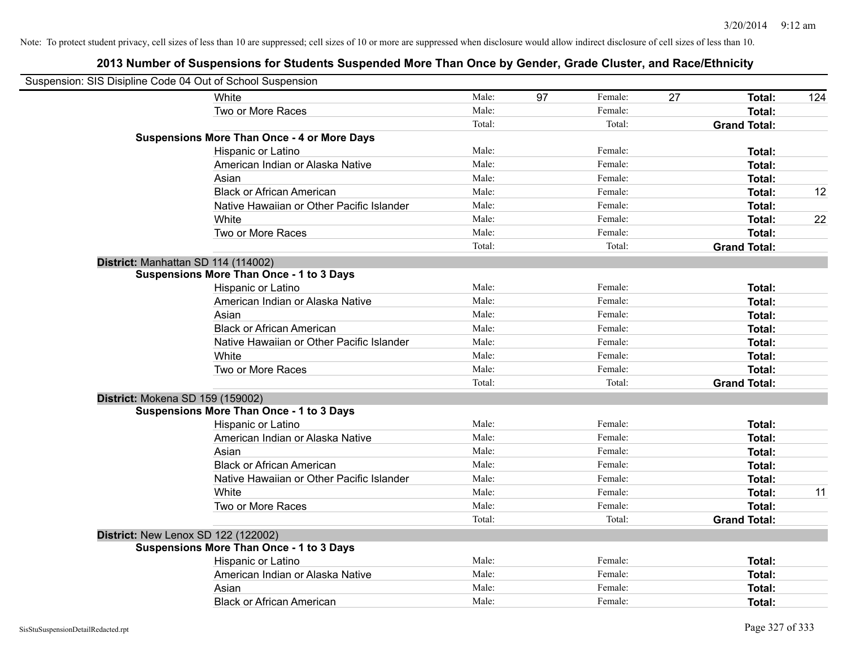| Suspension: SIS Disipline Code 04 Out of School Suspension |        |    |         |    |                     |     |
|------------------------------------------------------------|--------|----|---------|----|---------------------|-----|
| White                                                      | Male:  | 97 | Female: | 27 | Total:              | 124 |
| Two or More Races                                          | Male:  |    | Female: |    | <b>Total:</b>       |     |
|                                                            | Total: |    | Total:  |    | <b>Grand Total:</b> |     |
| <b>Suspensions More Than Once - 4 or More Days</b>         |        |    |         |    |                     |     |
| Hispanic or Latino                                         | Male:  |    | Female: |    | <b>Total:</b>       |     |
| American Indian or Alaska Native                           | Male:  |    | Female: |    | <b>Total:</b>       |     |
| Asian                                                      | Male:  |    | Female: |    | <b>Total:</b>       |     |
| <b>Black or African American</b>                           | Male:  |    | Female: |    | <b>Total:</b>       | 12  |
| Native Hawaiian or Other Pacific Islander                  | Male:  |    | Female: |    | <b>Total:</b>       |     |
| White                                                      | Male:  |    | Female: |    | <b>Total:</b>       | 22  |
| Two or More Races                                          | Male:  |    | Female: |    | <b>Total:</b>       |     |
|                                                            | Total: |    | Total:  |    | <b>Grand Total:</b> |     |
| District: Manhattan SD 114 (114002)                        |        |    |         |    |                     |     |
| <b>Suspensions More Than Once - 1 to 3 Days</b>            |        |    |         |    |                     |     |
| Hispanic or Latino                                         | Male:  |    | Female: |    | Total:              |     |
| American Indian or Alaska Native                           | Male:  |    | Female: |    | <b>Total:</b>       |     |
| Asian                                                      | Male:  |    | Female: |    | <b>Total:</b>       |     |
| <b>Black or African American</b>                           | Male:  |    | Female: |    | <b>Total:</b>       |     |
| Native Hawaiian or Other Pacific Islander                  | Male:  |    | Female: |    | Total:              |     |
| White                                                      | Male:  |    | Female: |    | Total:              |     |
| Two or More Races                                          | Male:  |    | Female: |    | <b>Total:</b>       |     |
|                                                            | Total: |    | Total:  |    | <b>Grand Total:</b> |     |
| District: Mokena SD 159 (159002)                           |        |    |         |    |                     |     |
| <b>Suspensions More Than Once - 1 to 3 Days</b>            |        |    |         |    |                     |     |
| Hispanic or Latino                                         | Male:  |    | Female: |    | <b>Total:</b>       |     |
| American Indian or Alaska Native                           | Male:  |    | Female: |    | <b>Total:</b>       |     |
| Asian                                                      | Male:  |    | Female: |    | Total:              |     |
| <b>Black or African American</b>                           | Male:  |    | Female: |    | <b>Total:</b>       |     |
| Native Hawaiian or Other Pacific Islander                  | Male:  |    | Female: |    | <b>Total:</b>       |     |
| White                                                      | Male:  |    | Female: |    | <b>Total:</b>       | 11  |
| Two or More Races                                          | Male:  |    | Female: |    | <b>Total:</b>       |     |
|                                                            | Total: |    | Total:  |    | <b>Grand Total:</b> |     |
| District: New Lenox SD 122 (122002)                        |        |    |         |    |                     |     |
| <b>Suspensions More Than Once - 1 to 3 Days</b>            |        |    |         |    |                     |     |
| Hispanic or Latino                                         | Male:  |    | Female: |    | <b>Total:</b>       |     |
| American Indian or Alaska Native                           | Male:  |    | Female: |    | <b>Total:</b>       |     |
| Asian                                                      | Male:  |    | Female: |    | <b>Total:</b>       |     |
| <b>Black or African American</b>                           | Male:  |    | Female: |    | Total:              |     |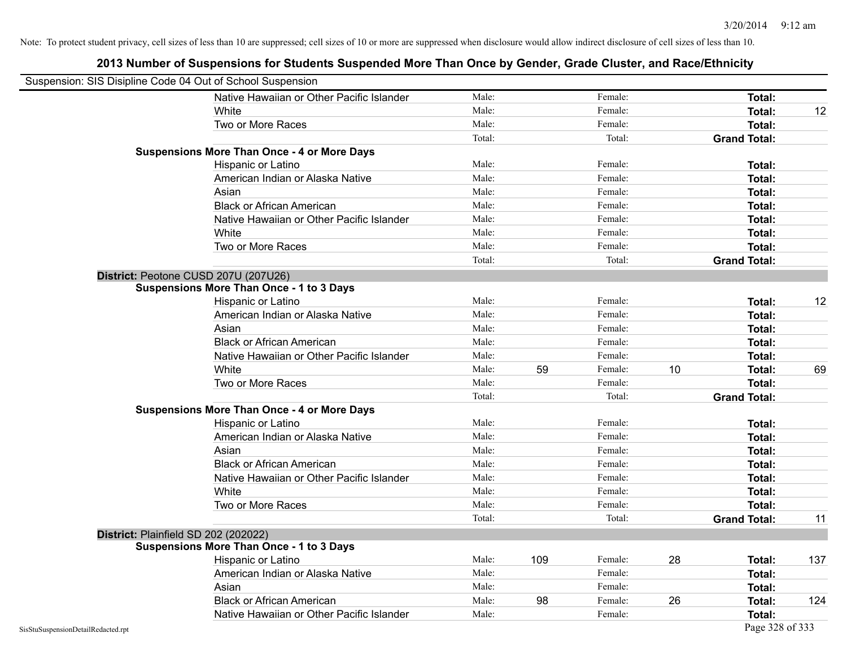| Suspension: SIS Disipline Code 04 Out of School Suspension |                                                    |        |     |         |    |                     |     |
|------------------------------------------------------------|----------------------------------------------------|--------|-----|---------|----|---------------------|-----|
|                                                            | Native Hawaiian or Other Pacific Islander          | Male:  |     | Female: |    | Total:              |     |
|                                                            | White                                              | Male:  |     | Female: |    | Total:              | 12  |
|                                                            | Two or More Races                                  | Male:  |     | Female: |    | Total:              |     |
|                                                            |                                                    | Total: |     | Total:  |    | <b>Grand Total:</b> |     |
|                                                            | <b>Suspensions More Than Once - 4 or More Days</b> |        |     |         |    |                     |     |
|                                                            | Hispanic or Latino                                 | Male:  |     | Female: |    | Total:              |     |
|                                                            | American Indian or Alaska Native                   | Male:  |     | Female: |    | Total:              |     |
|                                                            | Asian                                              | Male:  |     | Female: |    | Total:              |     |
|                                                            | <b>Black or African American</b>                   | Male:  |     | Female: |    | Total:              |     |
|                                                            | Native Hawaiian or Other Pacific Islander          | Male:  |     | Female: |    | Total:              |     |
|                                                            | White                                              | Male:  |     | Female: |    | Total:              |     |
|                                                            | Two or More Races                                  | Male:  |     | Female: |    | Total:              |     |
|                                                            |                                                    | Total: |     | Total:  |    | <b>Grand Total:</b> |     |
|                                                            | District: Peotone CUSD 207U (207U26)               |        |     |         |    |                     |     |
|                                                            | Suspensions More Than Once - 1 to 3 Days           |        |     |         |    |                     |     |
|                                                            | Hispanic or Latino                                 | Male:  |     | Female: |    | Total:              | 12  |
|                                                            | American Indian or Alaska Native                   | Male:  |     | Female: |    | Total:              |     |
|                                                            | Asian                                              | Male:  |     | Female: |    | Total:              |     |
|                                                            | <b>Black or African American</b>                   | Male:  |     | Female: |    | Total:              |     |
|                                                            | Native Hawaiian or Other Pacific Islander          | Male:  |     | Female: |    | Total:              |     |
|                                                            | White                                              | Male:  | 59  | Female: | 10 | Total:              | 69  |
|                                                            | Two or More Races                                  | Male:  |     | Female: |    | Total:              |     |
|                                                            |                                                    | Total: |     | Total:  |    | <b>Grand Total:</b> |     |
|                                                            | <b>Suspensions More Than Once - 4 or More Days</b> |        |     |         |    |                     |     |
|                                                            | Hispanic or Latino                                 | Male:  |     | Female: |    | Total:              |     |
|                                                            | American Indian or Alaska Native                   | Male:  |     | Female: |    | Total:              |     |
|                                                            | Asian                                              | Male:  |     | Female: |    | Total:              |     |
|                                                            | <b>Black or African American</b>                   | Male:  |     | Female: |    | Total:              |     |
|                                                            | Native Hawaiian or Other Pacific Islander          | Male:  |     | Female: |    | Total:              |     |
|                                                            | White                                              | Male:  |     | Female: |    | Total:              |     |
|                                                            | Two or More Races                                  | Male:  |     | Female: |    | Total:              |     |
|                                                            |                                                    | Total: |     | Total:  |    | <b>Grand Total:</b> | 11  |
|                                                            | District: Plainfield SD 202 (202022)               |        |     |         |    |                     |     |
|                                                            | <b>Suspensions More Than Once - 1 to 3 Days</b>    |        |     |         |    |                     |     |
|                                                            | Hispanic or Latino                                 | Male:  | 109 | Female: | 28 | Total:              | 137 |
|                                                            | American Indian or Alaska Native                   | Male:  |     | Female: |    | Total:              |     |
|                                                            | Asian                                              | Male:  |     | Female: |    | Total:              |     |
|                                                            | <b>Black or African American</b>                   | Male:  | 98  | Female: | 26 | Total:              | 124 |
|                                                            | Native Hawaiian or Other Pacific Islander          | Male:  |     | Female: |    | Total:              |     |
| SisStuSuspensionDetailRedacted.rpt                         |                                                    |        |     |         |    | Page 328 of 333     |     |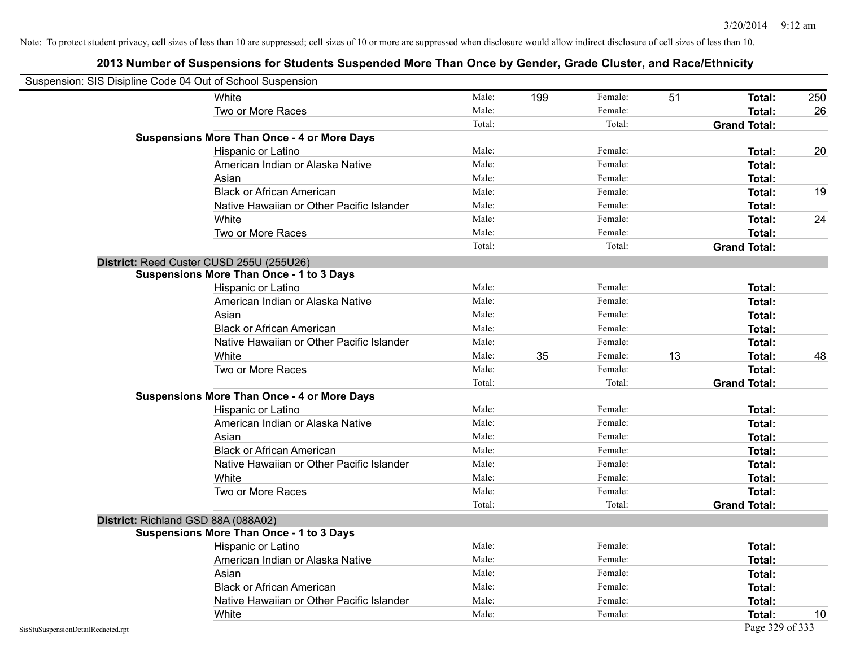| Suspension: SIS Disipline Code 04 Out of School Suspension |                                                    |        |     |         |    |                     |     |
|------------------------------------------------------------|----------------------------------------------------|--------|-----|---------|----|---------------------|-----|
|                                                            | White                                              | Male:  | 199 | Female: | 51 | Total:              | 250 |
|                                                            | Two or More Races                                  | Male:  |     | Female: |    | Total:              | 26  |
|                                                            |                                                    | Total: |     | Total:  |    | <b>Grand Total:</b> |     |
|                                                            | <b>Suspensions More Than Once - 4 or More Days</b> |        |     |         |    |                     |     |
|                                                            | Hispanic or Latino                                 | Male:  |     | Female: |    | Total:              | 20  |
|                                                            | American Indian or Alaska Native                   | Male:  |     | Female: |    | Total:              |     |
|                                                            | Asian                                              | Male:  |     | Female: |    | <b>Total:</b>       |     |
|                                                            | <b>Black or African American</b>                   | Male:  |     | Female: |    | Total:              | 19  |
|                                                            | Native Hawaiian or Other Pacific Islander          | Male:  |     | Female: |    | Total:              |     |
|                                                            | White                                              | Male:  |     | Female: |    | Total:              | 24  |
|                                                            | Two or More Races                                  | Male:  |     | Female: |    | Total:              |     |
|                                                            |                                                    | Total: |     | Total:  |    | <b>Grand Total:</b> |     |
|                                                            | District: Reed Custer CUSD 255U (255U26)           |        |     |         |    |                     |     |
|                                                            | <b>Suspensions More Than Once - 1 to 3 Days</b>    |        |     |         |    |                     |     |
|                                                            | Hispanic or Latino                                 | Male:  |     | Female: |    | Total:              |     |
|                                                            | American Indian or Alaska Native                   | Male:  |     | Female: |    | Total:              |     |
|                                                            | Asian                                              | Male:  |     | Female: |    | <b>Total:</b>       |     |
|                                                            | <b>Black or African American</b>                   | Male:  |     | Female: |    | <b>Total:</b>       |     |
|                                                            | Native Hawaiian or Other Pacific Islander          | Male:  |     | Female: |    | Total:              |     |
|                                                            | White                                              | Male:  | 35  | Female: | 13 | Total:              | 48  |
|                                                            | Two or More Races                                  | Male:  |     | Female: |    | Total:              |     |
|                                                            |                                                    | Total: |     | Total:  |    | <b>Grand Total:</b> |     |
|                                                            | <b>Suspensions More Than Once - 4 or More Days</b> |        |     |         |    |                     |     |
|                                                            | Hispanic or Latino                                 | Male:  |     | Female: |    | Total:              |     |
|                                                            | American Indian or Alaska Native                   | Male:  |     | Female: |    | Total:              |     |
|                                                            | Asian                                              | Male:  |     | Female: |    | Total:              |     |
|                                                            | <b>Black or African American</b>                   | Male:  |     | Female: |    | Total:              |     |
|                                                            | Native Hawaiian or Other Pacific Islander          | Male:  |     | Female: |    | Total:              |     |
|                                                            | White                                              | Male:  |     | Female: |    | Total:              |     |
|                                                            | Two or More Races                                  | Male:  |     | Female: |    | Total:              |     |
|                                                            |                                                    | Total: |     | Total:  |    | <b>Grand Total:</b> |     |
|                                                            | District: Richland GSD 88A (088A02)                |        |     |         |    |                     |     |
|                                                            | <b>Suspensions More Than Once - 1 to 3 Days</b>    |        |     |         |    |                     |     |
|                                                            | Hispanic or Latino                                 | Male:  |     | Female: |    | Total:              |     |
|                                                            | American Indian or Alaska Native                   | Male:  |     | Female: |    | Total:              |     |
|                                                            | Asian                                              | Male:  |     | Female: |    | Total:              |     |
|                                                            | <b>Black or African American</b>                   | Male:  |     | Female: |    | Total:              |     |
|                                                            | Native Hawaiian or Other Pacific Islander          | Male:  |     | Female: |    | Total:              |     |
|                                                            | White                                              | Male:  |     | Female: |    | Total:              | 10  |
| SisStuSuspensionDetailRedacted.rpt                         |                                                    |        |     |         |    | Page 329 of 333     |     |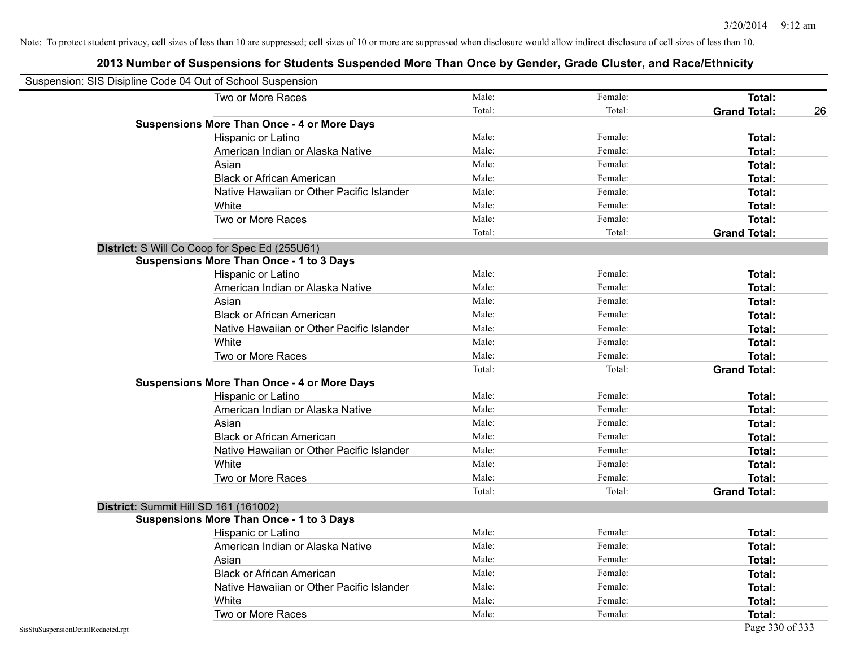| Suspension: SIS Disipline Code 04 Out of School Suspension |                                                    |        |         |                           |
|------------------------------------------------------------|----------------------------------------------------|--------|---------|---------------------------|
|                                                            | Two or More Races                                  | Male:  | Female: | Total:                    |
|                                                            |                                                    | Total: | Total:  | <b>Grand Total:</b><br>26 |
|                                                            | <b>Suspensions More Than Once - 4 or More Days</b> |        |         |                           |
|                                                            | Hispanic or Latino                                 | Male:  | Female: | Total:                    |
|                                                            | American Indian or Alaska Native                   | Male:  | Female: | Total:                    |
|                                                            | Asian                                              | Male:  | Female: | Total:                    |
|                                                            | <b>Black or African American</b>                   | Male:  | Female: | Total:                    |
|                                                            | Native Hawaiian or Other Pacific Islander          | Male:  | Female: | Total:                    |
|                                                            | White                                              | Male:  | Female: | Total:                    |
|                                                            | Two or More Races                                  | Male:  | Female: | Total:                    |
|                                                            |                                                    | Total: | Total:  | <b>Grand Total:</b>       |
|                                                            | District: S Will Co Coop for Spec Ed (255U61)      |        |         |                           |
|                                                            | <b>Suspensions More Than Once - 1 to 3 Days</b>    |        |         |                           |
|                                                            | Hispanic or Latino                                 | Male:  | Female: | Total:                    |
|                                                            | American Indian or Alaska Native                   | Male:  | Female: | <b>Total:</b>             |
|                                                            | Asian                                              | Male:  | Female: | Total:                    |
|                                                            | <b>Black or African American</b>                   | Male:  | Female: | Total:                    |
|                                                            | Native Hawaiian or Other Pacific Islander          | Male:  | Female: | Total:                    |
|                                                            | White                                              | Male:  | Female: | Total:                    |
|                                                            | Two or More Races                                  | Male:  | Female: | Total:                    |
|                                                            |                                                    | Total: | Total:  | <b>Grand Total:</b>       |
|                                                            | <b>Suspensions More Than Once - 4 or More Days</b> |        |         |                           |
|                                                            | Hispanic or Latino                                 | Male:  | Female: | Total:                    |
|                                                            | American Indian or Alaska Native                   | Male:  | Female: | Total:                    |
|                                                            | Asian                                              | Male:  | Female: | Total:                    |
|                                                            | <b>Black or African American</b>                   | Male:  | Female: | Total:                    |
|                                                            | Native Hawaiian or Other Pacific Islander          | Male:  | Female: | Total:                    |
|                                                            | White                                              | Male:  | Female: | Total:                    |
|                                                            | Two or More Races                                  | Male:  | Female: | <b>Total:</b>             |
|                                                            |                                                    | Total: | Total:  | <b>Grand Total:</b>       |
|                                                            | District: Summit Hill SD 161 (161002)              |        |         |                           |
|                                                            | <b>Suspensions More Than Once - 1 to 3 Days</b>    |        |         |                           |
|                                                            | Hispanic or Latino                                 | Male:  | Female: | Total:                    |
|                                                            | American Indian or Alaska Native                   | Male:  | Female: | Total:                    |
|                                                            | Asian                                              | Male:  | Female: | Total:                    |
|                                                            | <b>Black or African American</b>                   | Male:  | Female: | Total:                    |
|                                                            | Native Hawaiian or Other Pacific Islander          | Male:  | Female: | Total:                    |
|                                                            | White                                              | Male:  | Female: | Total:                    |
|                                                            | Two or More Races                                  | Male:  | Female: | <b>Total:</b>             |
| SisStuSuspensionDetailRedacted.rpt                         |                                                    |        |         | Page 330 of 333           |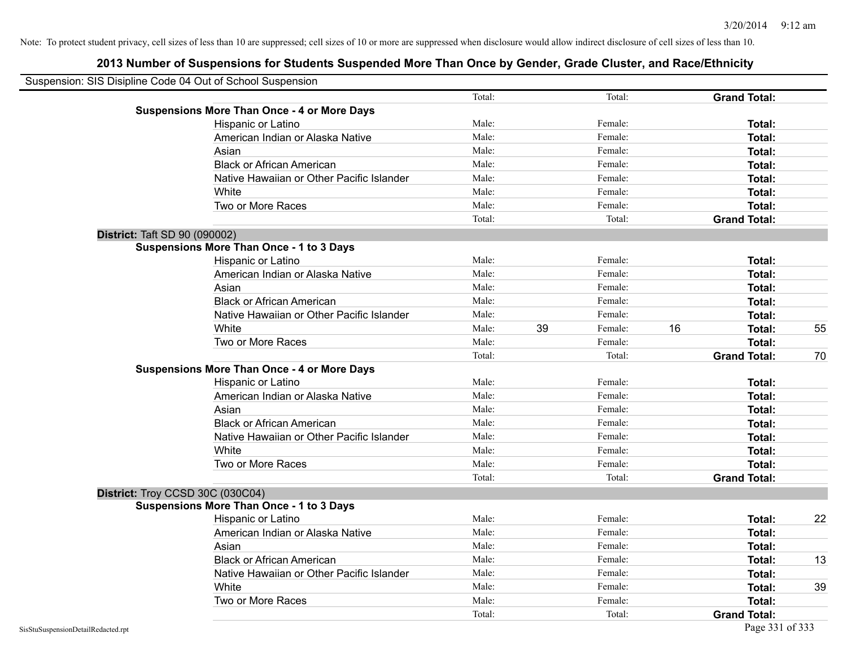| Suspension: SIS Disipline Code 04 Out of School Suspension |        |    |         |    |                     |    |
|------------------------------------------------------------|--------|----|---------|----|---------------------|----|
|                                                            | Total: |    | Total:  |    | <b>Grand Total:</b> |    |
| <b>Suspensions More Than Once - 4 or More Days</b>         |        |    |         |    |                     |    |
| Hispanic or Latino                                         | Male:  |    | Female: |    | Total:              |    |
| American Indian or Alaska Native                           | Male:  |    | Female: |    | Total:              |    |
| Asian                                                      | Male:  |    | Female: |    | Total:              |    |
| <b>Black or African American</b>                           | Male:  |    | Female: |    | Total:              |    |
| Native Hawaiian or Other Pacific Islander                  | Male:  |    | Female: |    | Total:              |    |
| White                                                      | Male:  |    | Female: |    | Total:              |    |
| Two or More Races                                          | Male:  |    | Female: |    | Total:              |    |
|                                                            | Total: |    | Total:  |    | <b>Grand Total:</b> |    |
| District: Taft SD 90 (090002)                              |        |    |         |    |                     |    |
| <b>Suspensions More Than Once - 1 to 3 Days</b>            |        |    |         |    |                     |    |
| Hispanic or Latino                                         | Male:  |    | Female: |    | Total:              |    |
| American Indian or Alaska Native                           | Male:  |    | Female: |    | Total:              |    |
| Asian                                                      | Male:  |    | Female: |    | Total:              |    |
| <b>Black or African American</b>                           | Male:  |    | Female: |    | Total:              |    |
| Native Hawaiian or Other Pacific Islander                  | Male:  |    | Female: |    | Total:              |    |
| White                                                      | Male:  | 39 | Female: | 16 | Total:              | 55 |
| Two or More Races                                          | Male:  |    | Female: |    | Total:              |    |
|                                                            | Total: |    | Total:  |    | <b>Grand Total:</b> | 70 |
| <b>Suspensions More Than Once - 4 or More Days</b>         |        |    |         |    |                     |    |
| Hispanic or Latino                                         | Male:  |    | Female: |    | Total:              |    |
| American Indian or Alaska Native                           | Male:  |    | Female: |    | Total:              |    |
| Asian                                                      | Male:  |    | Female: |    | Total:              |    |
| <b>Black or African American</b>                           | Male:  |    | Female: |    | Total:              |    |
| Native Hawaiian or Other Pacific Islander                  | Male:  |    | Female: |    | Total:              |    |
| White                                                      | Male:  |    | Female: |    | Total:              |    |
| Two or More Races                                          | Male:  |    | Female: |    | Total:              |    |
|                                                            | Total: |    | Total:  |    | <b>Grand Total:</b> |    |
| District: Troy CCSD 30C (030C04)                           |        |    |         |    |                     |    |
| <b>Suspensions More Than Once - 1 to 3 Days</b>            |        |    |         |    |                     |    |
| Hispanic or Latino                                         | Male:  |    | Female: |    | Total:              | 22 |
| American Indian or Alaska Native                           | Male:  |    | Female: |    | Total:              |    |
| Asian                                                      | Male:  |    | Female: |    | Total:              |    |
| <b>Black or African American</b>                           | Male:  |    | Female: |    | Total:              | 13 |
| Native Hawaiian or Other Pacific Islander                  | Male:  |    | Female: |    | Total:              |    |
| White                                                      | Male:  |    | Female: |    | Total:              | 39 |
| Two or More Races                                          | Male:  |    | Female: |    | Total:              |    |
|                                                            | Total: |    | Total:  |    | <b>Grand Total:</b> |    |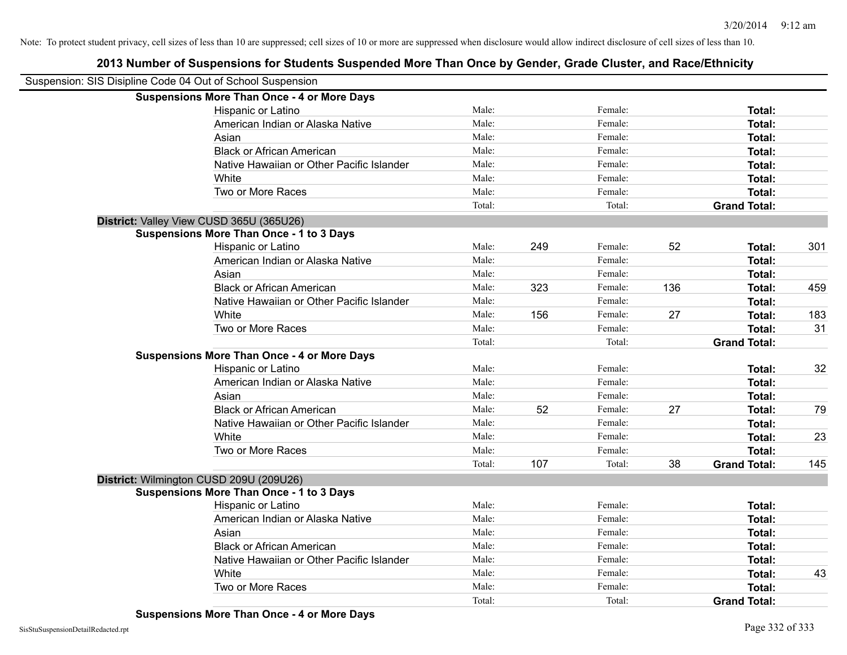| Suspension: SIS Disipline Code 04 Out of School Suspension |                                                    |        |     |         |     |                     |     |
|------------------------------------------------------------|----------------------------------------------------|--------|-----|---------|-----|---------------------|-----|
|                                                            | <b>Suspensions More Than Once - 4 or More Days</b> |        |     |         |     |                     |     |
|                                                            | Hispanic or Latino                                 | Male:  |     | Female: |     | Total:              |     |
|                                                            | American Indian or Alaska Native                   | Male:  |     | Female: |     | Total:              |     |
|                                                            | Asian                                              | Male:  |     | Female: |     | Total:              |     |
|                                                            | <b>Black or African American</b>                   | Male:  |     | Female: |     | Total:              |     |
|                                                            | Native Hawaiian or Other Pacific Islander          | Male:  |     | Female: |     | Total:              |     |
|                                                            | White                                              | Male:  |     | Female: |     | Total:              |     |
|                                                            | Two or More Races                                  | Male:  |     | Female: |     | Total:              |     |
|                                                            |                                                    | Total: |     | Total:  |     | <b>Grand Total:</b> |     |
|                                                            | District: Valley View CUSD 365U (365U26)           |        |     |         |     |                     |     |
|                                                            | <b>Suspensions More Than Once - 1 to 3 Days</b>    |        |     |         |     |                     |     |
|                                                            | Hispanic or Latino                                 | Male:  | 249 | Female: | 52  | Total:              | 301 |
|                                                            | American Indian or Alaska Native                   | Male:  |     | Female: |     | <b>Total:</b>       |     |
|                                                            | Asian                                              | Male:  |     | Female: |     | Total:              |     |
|                                                            | <b>Black or African American</b>                   | Male:  | 323 | Female: | 136 | Total:              | 459 |
|                                                            | Native Hawaiian or Other Pacific Islander          | Male:  |     | Female: |     | Total:              |     |
|                                                            | White                                              | Male:  | 156 | Female: | 27  | Total:              | 183 |
|                                                            | Two or More Races                                  | Male:  |     | Female: |     | Total:              | 31  |
|                                                            |                                                    | Total: |     | Total:  |     | <b>Grand Total:</b> |     |
|                                                            | <b>Suspensions More Than Once - 4 or More Days</b> |        |     |         |     |                     |     |
|                                                            | Hispanic or Latino                                 | Male:  |     | Female: |     | Total:              | 32  |
|                                                            | American Indian or Alaska Native                   | Male:  |     | Female: |     | Total:              |     |
|                                                            | Asian                                              | Male:  |     | Female: |     | Total:              |     |
|                                                            | <b>Black or African American</b>                   | Male:  | 52  | Female: | 27  | Total:              | 79  |
|                                                            | Native Hawaiian or Other Pacific Islander          | Male:  |     | Female: |     | Total:              |     |
|                                                            | White                                              | Male:  |     | Female: |     | Total:              | 23  |
|                                                            | Two or More Races                                  | Male:  |     | Female: |     | Total:              |     |
|                                                            |                                                    | Total: | 107 | Total:  | 38  | <b>Grand Total:</b> | 145 |
|                                                            | District: Wilmington CUSD 209U (209U26)            |        |     |         |     |                     |     |
|                                                            | <b>Suspensions More Than Once - 1 to 3 Days</b>    |        |     |         |     |                     |     |
|                                                            | Hispanic or Latino                                 | Male:  |     | Female: |     | Total:              |     |
|                                                            | American Indian or Alaska Native                   | Male:  |     | Female: |     | Total:              |     |
|                                                            | Asian                                              | Male:  |     | Female: |     | Total:              |     |
|                                                            | <b>Black or African American</b>                   | Male:  |     | Female: |     | Total:              |     |
|                                                            | Native Hawaiian or Other Pacific Islander          | Male:  |     | Female: |     | Total:              |     |
|                                                            | White                                              | Male:  |     | Female: |     | Total:              | 43  |
|                                                            | Two or More Races                                  | Male:  |     | Female: |     | Total:              |     |
|                                                            |                                                    | Total: |     | Total:  |     | <b>Grand Total:</b> |     |